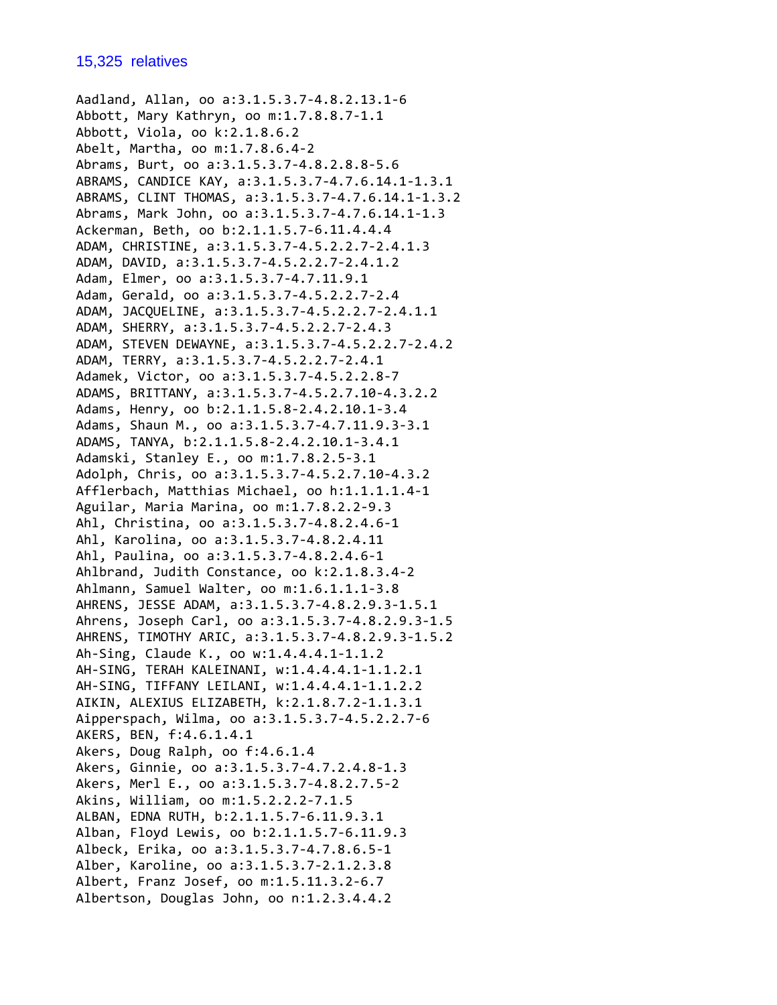Aadland, Allan, oo a:3.1.5.3.7‐4.8.2.13.1‐6 Abbott, Mary Kathryn, oo m:1.7.8.8.7‐1.1 Abbott, Viola, oo k:2.1.8.6.2 Abelt, Martha, oo m:1.7.8.6.4‐2 Abrams, Burt, oo a:3.1.5.3.7‐4.8.2.8.8‐5.6 ABRAMS, CANDICE KAY, a:3.1.5.3.7‐4.7.6.14.1‐1.3.1 ABRAMS, CLINT THOMAS, a:3.1.5.3.7‐4.7.6.14.1‐1.3.2 Abrams, Mark John, oo a:3.1.5.3.7‐4.7.6.14.1‐1.3 Ackerman, Beth, oo b:2.1.1.5.7‐6.11.4.4.4 ADAM, CHRISTINE, a:3.1.5.3.7‐4.5.2.2.7‐2.4.1.3 ADAM, DAVID, a:3.1.5.3.7‐4.5.2.2.7‐2.4.1.2 Adam, Elmer, oo a:3.1.5.3.7‐4.7.11.9.1 Adam, Gerald, oo a:3.1.5.3.7‐4.5.2.2.7‐2.4 ADAM, JACQUELINE, a:3.1.5.3.7‐4.5.2.2.7‐2.4.1.1 ADAM, SHERRY, a:3.1.5.3.7‐4.5.2.2.7‐2.4.3 ADAM, STEVEN DEWAYNE, a:3.1.5.3.7‐4.5.2.2.7‐2.4.2 ADAM, TERRY, a:3.1.5.3.7‐4.5.2.2.7‐2.4.1 Adamek, Victor, oo a:3.1.5.3.7‐4.5.2.2.8‐7 ADAMS, BRITTANY, a:3.1.5.3.7‐4.5.2.7.10‐4.3.2.2 Adams, Henry, oo b:2.1.1.5.8‐2.4.2.10.1‐3.4 Adams, Shaun M., oo a:3.1.5.3.7‐4.7.11.9.3‐3.1 ADAMS, TANYA, b:2.1.1.5.8‐2.4.2.10.1‐3.4.1 Adamski, Stanley E., oo m:1.7.8.2.5‐3.1 Adolph, Chris, oo a:3.1.5.3.7‐4.5.2.7.10‐4.3.2 Afflerbach, Matthias Michael, oo h:1.1.1.1.4‐1 Aguilar, Maria Marina, oo m:1.7.8.2.2‐9.3 Ahl, Christina, oo a:3.1.5.3.7‐4.8.2.4.6‐1 Ahl, Karolina, oo a:3.1.5.3.7‐4.8.2.4.11 Ahl, Paulina, oo a:3.1.5.3.7‐4.8.2.4.6‐1 Ahlbrand, Judith Constance, oo k:2.1.8.3.4‐2 Ahlmann, Samuel Walter, oo m:1.6.1.1.1‐3.8 AHRENS, JESSE ADAM, a:3.1.5.3.7‐4.8.2.9.3‐1.5.1 Ahrens, Joseph Carl, oo a:3.1.5.3.7‐4.8.2.9.3‐1.5 AHRENS, TIMOTHY ARIC, a:3.1.5.3.7‐4.8.2.9.3‐1.5.2 Ah‐Sing, Claude K., oo w:1.4.4.4.1‐1.1.2 AH‐SING, TERAH KALEINANI, w:1.4.4.4.1‐1.1.2.1 AH‐SING, TIFFANY LEILANI, w:1.4.4.4.1‐1.1.2.2 AIKIN, ALEXIUS ELIZABETH, k:2.1.8.7.2‐1.1.3.1 Aipperspach, Wilma, oo a:3.1.5.3.7‐4.5.2.2.7‐6 AKERS, BEN, f:4.6.1.4.1 Akers, Doug Ralph, oo f:4.6.1.4 Akers, Ginnie, oo a:3.1.5.3.7‐4.7.2.4.8‐1.3 Akers, Merl E., oo a:3.1.5.3.7‐4.8.2.7.5‐2 Akins, William, oo m:1.5.2.2.2‐7.1.5 ALBAN, EDNA RUTH, b:2.1.1.5.7‐6.11.9.3.1 Alban, Floyd Lewis, oo b:2.1.1.5.7‐6.11.9.3 Albeck, Erika, oo a:3.1.5.3.7‐4.7.8.6.5‐1 Alber, Karoline, oo a:3.1.5.3.7‐2.1.2.3.8 Albert, Franz Josef, oo m:1.5.11.3.2‐6.7 Albertson, Douglas John, oo n:1.2.3.4.4.2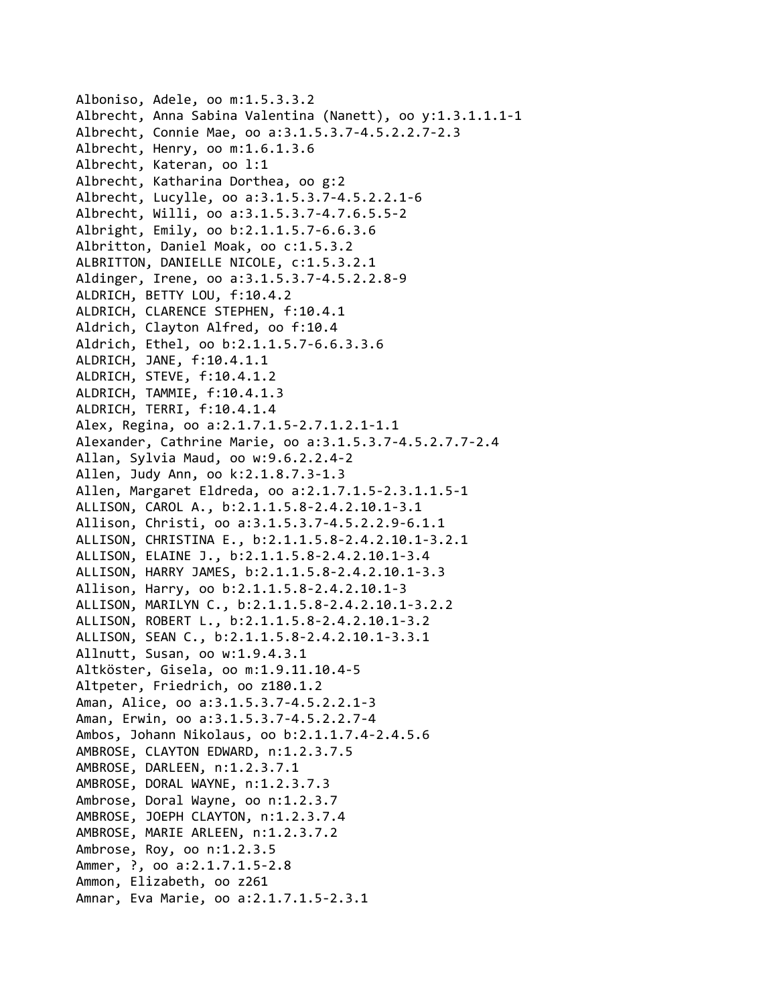Alboniso, Adele, oo m:1.5.3.3.2 Albrecht, Anna Sabina Valentina (Nanett), oo y:1.3.1.1.1‐1 Albrecht, Connie Mae, oo a:3.1.5.3.7‐4.5.2.2.7‐2.3 Albrecht, Henry, oo m:1.6.1.3.6 Albrecht, Kateran, oo l:1 Albrecht, Katharina Dorthea, oo g:2 Albrecht, Lucylle, oo a:3.1.5.3.7‐4.5.2.2.1‐6 Albrecht, Willi, oo a:3.1.5.3.7‐4.7.6.5.5‐2 Albright, Emily, oo b:2.1.1.5.7‐6.6.3.6 Albritton, Daniel Moak, oo c:1.5.3.2 ALBRITTON, DANIELLE NICOLE, c:1.5.3.2.1 Aldinger, Irene, oo a:3.1.5.3.7‐4.5.2.2.8‐9 ALDRICH, BETTY LOU, f:10.4.2 ALDRICH, CLARENCE STEPHEN, f:10.4.1 Aldrich, Clayton Alfred, oo f:10.4 Aldrich, Ethel, oo b:2.1.1.5.7‐6.6.3.3.6 ALDRICH, JANE, f:10.4.1.1 ALDRICH, STEVE, f:10.4.1.2 ALDRICH, TAMMIE, f:10.4.1.3 ALDRICH, TERRI, f:10.4.1.4 Alex, Regina, oo a:2.1.7.1.5‐2.7.1.2.1‐1.1 Alexander, Cathrine Marie, oo a:3.1.5.3.7‐4.5.2.7.7‐2.4 Allan, Sylvia Maud, oo w:9.6.2.2.4‐2 Allen, Judy Ann, oo k:2.1.8.7.3‐1.3 Allen, Margaret Eldreda, oo a:2.1.7.1.5‐2.3.1.1.5‐1 ALLISON, CAROL A., b:2.1.1.5.8‐2.4.2.10.1‐3.1 Allison, Christi, oo a:3.1.5.3.7‐4.5.2.2.9‐6.1.1 ALLISON, CHRISTINA E., b:2.1.1.5.8‐2.4.2.10.1‐3.2.1 ALLISON, ELAINE J., b:2.1.1.5.8‐2.4.2.10.1‐3.4 ALLISON, HARRY JAMES, b:2.1.1.5.8‐2.4.2.10.1‐3.3 Allison, Harry, oo b:2.1.1.5.8‐2.4.2.10.1‐3 ALLISON, MARILYN C., b:2.1.1.5.8‐2.4.2.10.1‐3.2.2 ALLISON, ROBERT L., b:2.1.1.5.8‐2.4.2.10.1‐3.2 ALLISON, SEAN C., b:2.1.1.5.8‐2.4.2.10.1‐3.3.1 Allnutt, Susan, oo w:1.9.4.3.1 Altköster, Gisela, oo m:1.9.11.10.4‐5 Altpeter, Friedrich, oo z180.1.2 Aman, Alice, oo a:3.1.5.3.7‐4.5.2.2.1‐3 Aman, Erwin, oo a:3.1.5.3.7‐4.5.2.2.7‐4 Ambos, Johann Nikolaus, oo b:2.1.1.7.4‐2.4.5.6 AMBROSE, CLAYTON EDWARD, n:1.2.3.7.5 AMBROSE, DARLEEN, n:1.2.3.7.1 AMBROSE, DORAL WAYNE, n:1.2.3.7.3 Ambrose, Doral Wayne, oo n:1.2.3.7 AMBROSE, JOEPH CLAYTON, n:1.2.3.7.4 AMBROSE, MARIE ARLEEN, n:1.2.3.7.2 Ambrose, Roy, oo n:1.2.3.5 Ammer, ?, oo a:2.1.7.1.5‐2.8 Ammon, Elizabeth, oo z261 Amnar, Eva Marie, oo a:2.1.7.1.5‐2.3.1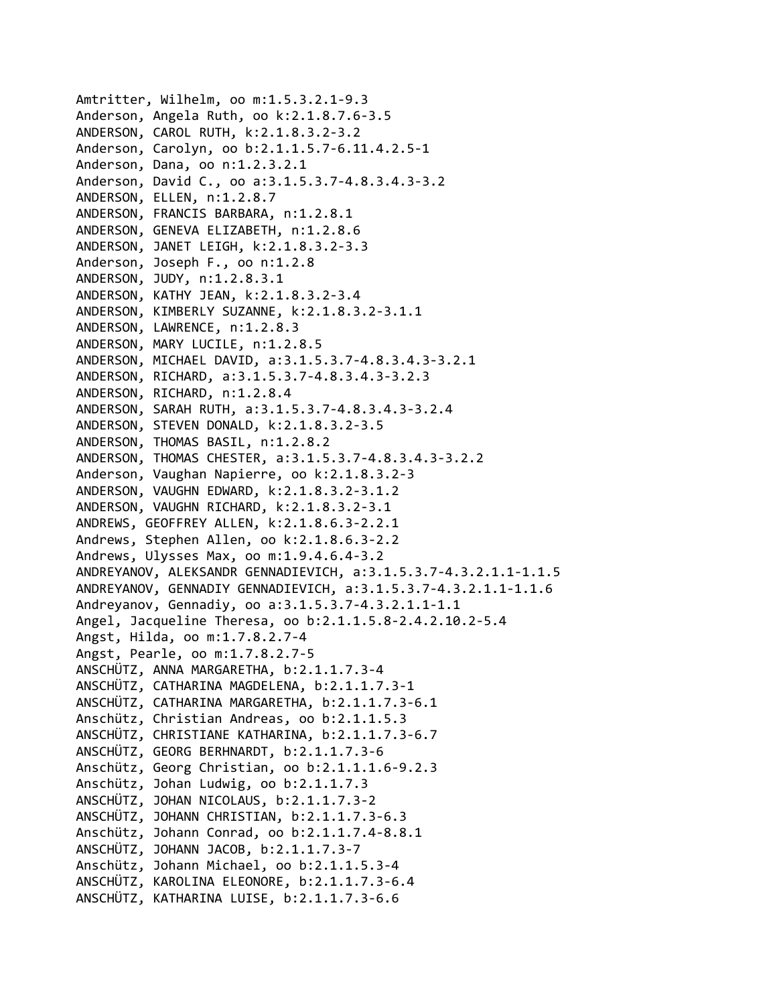Amtritter, Wilhelm, oo m:1.5.3.2.1‐9.3 Anderson, Angela Ruth, oo k:2.1.8.7.6‐3.5 ANDERSON, CAROL RUTH, k:2.1.8.3.2‐3.2 Anderson, Carolyn, oo b:2.1.1.5.7‐6.11.4.2.5‐1 Anderson, Dana, oo n:1.2.3.2.1 Anderson, David C., oo a:3.1.5.3.7‐4.8.3.4.3‐3.2 ANDERSON, ELLEN, n:1.2.8.7 ANDERSON, FRANCIS BARBARA, n:1.2.8.1 ANDERSON, GENEVA ELIZABETH, n:1.2.8.6 ANDERSON, JANET LEIGH, k:2.1.8.3.2‐3.3 Anderson, Joseph F., oo n:1.2.8 ANDERSON, JUDY, n:1.2.8.3.1 ANDERSON, KATHY JEAN, k:2.1.8.3.2‐3.4 ANDERSON, KIMBERLY SUZANNE, k:2.1.8.3.2‐3.1.1 ANDERSON, LAWRENCE, n:1.2.8.3 ANDERSON, MARY LUCILE, n:1.2.8.5 ANDERSON, MICHAEL DAVID, a:3.1.5.3.7‐4.8.3.4.3‐3.2.1 ANDERSON, RICHARD, a:3.1.5.3.7‐4.8.3.4.3‐3.2.3 ANDERSON, RICHARD, n:1.2.8.4 ANDERSON, SARAH RUTH, a:3.1.5.3.7‐4.8.3.4.3‐3.2.4 ANDERSON, STEVEN DONALD, k:2.1.8.3.2‐3.5 ANDERSON, THOMAS BASIL, n:1.2.8.2 ANDERSON, THOMAS CHESTER, a:3.1.5.3.7‐4.8.3.4.3‐3.2.2 Anderson, Vaughan Napierre, oo k:2.1.8.3.2‐3 ANDERSON, VAUGHN EDWARD, k:2.1.8.3.2‐3.1.2 ANDERSON, VAUGHN RICHARD, k:2.1.8.3.2‐3.1 ANDREWS, GEOFFREY ALLEN, k:2.1.8.6.3‐2.2.1 Andrews, Stephen Allen, oo k:2.1.8.6.3‐2.2 Andrews, Ulysses Max, oo m:1.9.4.6.4‐3.2 ANDREYANOV, ALEKSANDR GENNADIEVICH, a:3.1.5.3.7‐4.3.2.1.1‐1.1.5 ANDREYANOV, GENNADIY GENNADIEVICH, a:3.1.5.3.7‐4.3.2.1.1‐1.1.6 Andreyanov, Gennadiy, oo a:3.1.5.3.7‐4.3.2.1.1‐1.1 Angel, Jacqueline Theresa, oo b:2.1.1.5.8‐2.4.2.10.2‐5.4 Angst, Hilda, oo m:1.7.8.2.7‐4 Angst, Pearle, oo m:1.7.8.2.7‐5 ANSCHÜTZ, ANNA MARGARETHA, b:2.1.1.7.3‐4 ANSCHÜTZ, CATHARINA MAGDELENA, b:2.1.1.7.3‐1 ANSCHÜTZ, CATHARINA MARGARETHA, b:2.1.1.7.3‐6.1 Anschütz, Christian Andreas, oo b:2.1.1.5.3 ANSCHÜTZ, CHRISTIANE KATHARINA, b:2.1.1.7.3‐6.7 ANSCHÜTZ, GEORG BERHNARDT, b:2.1.1.7.3‐6 Anschütz, Georg Christian, oo b:2.1.1.1.6‐9.2.3 Anschütz, Johan Ludwig, oo b:2.1.1.7.3 ANSCHÜTZ, JOHAN NICOLAUS, b:2.1.1.7.3‐2 ANSCHÜTZ, JOHANN CHRISTIAN, b:2.1.1.7.3‐6.3 Anschütz, Johann Conrad, oo b:2.1.1.7.4‐8.8.1 ANSCHÜTZ, JOHANN JACOB, b:2.1.1.7.3‐7 Anschütz, Johann Michael, oo b:2.1.1.5.3‐4 ANSCHÜTZ, KAROLINA ELEONORE, b:2.1.1.7.3‐6.4 ANSCHÜTZ, KATHARINA LUISE, b:2.1.1.7.3‐6.6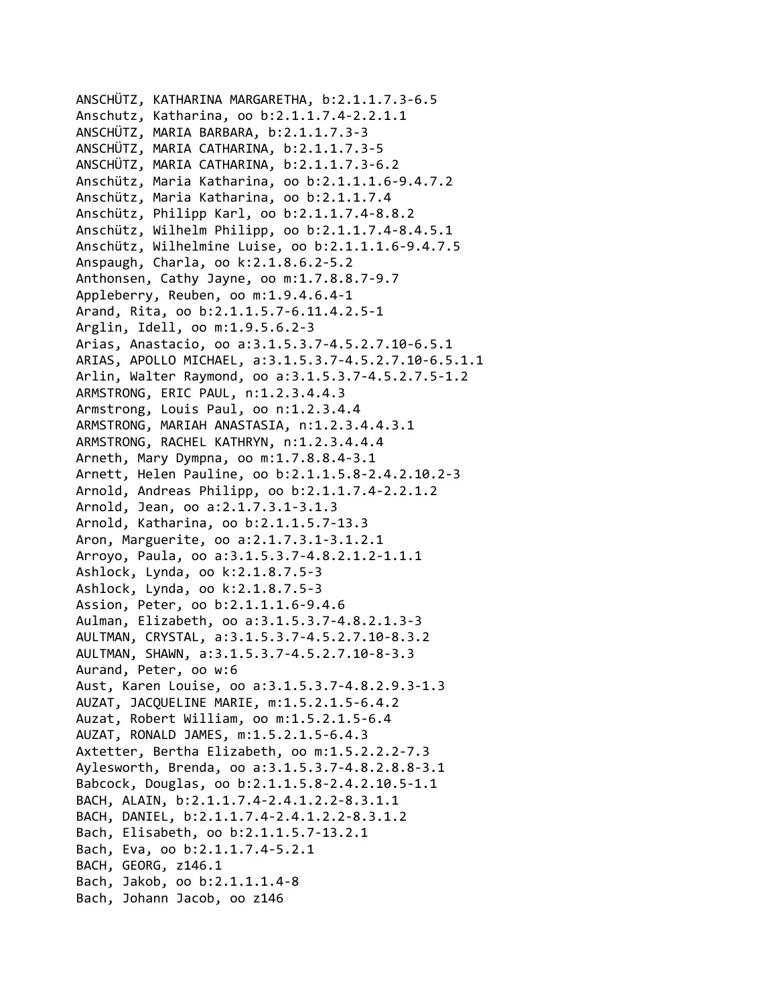```
ANSCHÜTZ, KATHARINA MARGARETHA, b:2.1.1.7.3‐6.5
Anschutz, Katharina, oo b:2.1.1.7.4‐2.2.1.1
ANSCHÜTZ, MARIA BARBARA, b:2.1.1.7.3‐3
ANSCHÜTZ, MARIA CATHARINA, b:2.1.1.7.3‐5
ANSCHÜTZ, MARIA CATHARINA, b:2.1.1.7.3‐6.2
Anschütz, Maria Katharina, oo b:2.1.1.1.6‐9.4.7.2
Anschütz, Maria Katharina, oo b:2.1.1.7.4
Anschütz, Philipp Karl, oo b:2.1.1.7.4‐8.8.2
Anschütz, Wilhelm Philipp, oo b:2.1.1.7.4‐8.4.5.1
Anschütz, Wilhelmine Luise, oo b:2.1.1.1.6‐9.4.7.5
Anspaugh, Charla, oo k:2.1.8.6.2‐5.2
Anthonsen, Cathy Jayne, oo m:1.7.8.8.7‐9.7
Appleberry, Reuben, oo m:1.9.4.6.4‐1
Arand, Rita, oo b:2.1.1.5.7‐6.11.4.2.5‐1
Arglin, Idell, oo m:1.9.5.6.2‐3
Arias, Anastacio, oo a:3.1.5.3.7‐4.5.2.7.10‐6.5.1
ARIAS, APOLLO MICHAEL, a:3.1.5.3.7‐4.5.2.7.10‐6.5.1.1
Arlin, Walter Raymond, oo a:3.1.5.3.7‐4.5.2.7.5‐1.2
ARMSTRONG, ERIC PAUL, n:1.2.3.4.4.3
Armstrong, Louis Paul, oo n:1.2.3.4.4
ARMSTRONG, MARIAH ANASTASIA, n:1.2.3.4.4.3.1
ARMSTRONG, RACHEL KATHRYN, n:1.2.3.4.4.4
Arneth, Mary Dympna, oo m:1.7.8.8.4‐3.1
Arnett, Helen Pauline, oo b:2.1.1.5.8‐2.4.2.10.2‐3
Arnold, Andreas Philipp, oo b:2.1.1.7.4‐2.2.1.2
Arnold, Jean, oo a:2.1.7.3.1‐3.1.3
Arnold, Katharina, oo b:2.1.1.5.7‐13.3
Aron, Marguerite, oo a:2.1.7.3.1‐3.1.2.1
Arroyo, Paula, oo a:3.1.5.3.7‐4.8.2.1.2‐1.1.1
Ashlock, Lynda, oo k:2.1.8.7.5‐3
Ashlock, Lynda, oo k:2.1.8.7.5‐3
Assion, Peter, oo b:2.1.1.1.6‐9.4.6
Aulman, Elizabeth, oo a:3.1.5.3.7‐4.8.2.1.3‐3
AULTMAN, CRYSTAL, a:3.1.5.3.7‐4.5.2.7.10‐8.3.2
AULTMAN, SHAWN, a:3.1.5.3.7‐4.5.2.7.10‐8‐3.3
Aurand, Peter, oo w:6
Aust, Karen Louise, oo a:3.1.5.3.7‐4.8.2.9.3‐1.3
AUZAT, JACQUELINE MARIE, m:1.5.2.1.5‐6.4.2
Auzat, Robert William, oo m:1.5.2.1.5‐6.4
AUZAT, RONALD JAMES, m:1.5.2.1.5‐6.4.3
Axtetter, Bertha Elizabeth, oo m:1.5.2.2.2‐7.3
Aylesworth, Brenda, oo a:3.1.5.3.7‐4.8.2.8.8‐3.1
Babcock, Douglas, oo b:2.1.1.5.8‐2.4.2.10.5‐1.1
BACH, ALAIN, b:2.1.1.7.4‐2.4.1.2.2‐8.3.1.1
BACH, DANIEL, b:2.1.1.7.4‐2.4.1.2.2‐8.3.1.2
Bach, Elisabeth, oo b:2.1.1.5.7‐13.2.1
Bach, Eva, oo b:2.1.1.7.4‐5.2.1
BACH, GEORG, z146.1
Bach, Jakob, oo b:2.1.1.1.4‐8
Bach, Johann Jacob, oo z146
```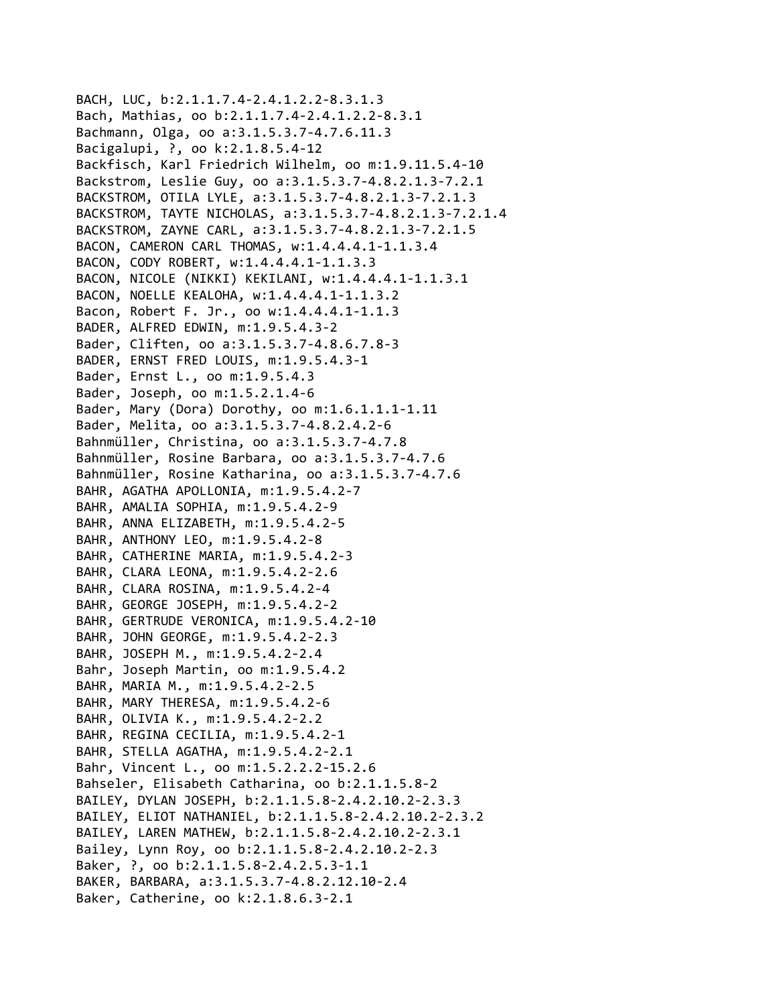```
BACH, LUC, b:2.1.1.7.4‐2.4.1.2.2‐8.3.1.3
Bach, Mathias, oo b:2.1.1.7.4‐2.4.1.2.2‐8.3.1
Bachmann, Olga, oo a:3.1.5.3.7‐4.7.6.11.3
Bacigalupi, ?, oo k:2.1.8.5.4‐12
Backfisch, Karl Friedrich Wilhelm, oo m:1.9.11.5.4‐10
Backstrom, Leslie Guy, oo a:3.1.5.3.7‐4.8.2.1.3‐7.2.1
BACKSTROM, OTILA LYLE, a:3.1.5.3.7‐4.8.2.1.3‐7.2.1.3
BACKSTROM, TAYTE NICHOLAS, a:3.1.5.3.7‐4.8.2.1.3‐7.2.1.4
BACKSTROM, ZAYNE CARL, a:3.1.5.3.7‐4.8.2.1.3‐7.2.1.5
BACON, CAMERON CARL THOMAS, w:1.4.4.4.1‐1.1.3.4
BACON, CODY ROBERT, w:1.4.4.4.1‐1.1.3.3
BACON, NICOLE (NIKKI) KEKILANI, w:1.4.4.4.1‐1.1.3.1
BACON, NOELLE KEALOHA, w:1.4.4.4.1‐1.1.3.2
Bacon, Robert F. Jr., oo w:1.4.4.4.1‐1.1.3
BADER, ALFRED EDWIN, m:1.9.5.4.3‐2
Bader, Cliften, oo a:3.1.5.3.7‐4.8.6.7.8‐3
BADER, ERNST FRED LOUIS, m:1.9.5.4.3‐1
Bader, Ernst L., oo m:1.9.5.4.3
Bader, Joseph, oo m:1.5.2.1.4‐6
Bader, Mary (Dora) Dorothy, oo m:1.6.1.1.1‐1.11
Bader, Melita, oo a:3.1.5.3.7‐4.8.2.4.2‐6
Bahnmüller, Christina, oo a:3.1.5.3.7‐4.7.8
Bahnmüller, Rosine Barbara, oo a:3.1.5.3.7‐4.7.6
Bahnmüller, Rosine Katharina, oo a:3.1.5.3.7‐4.7.6
BAHR, AGATHA APOLLONIA, m:1.9.5.4.2‐7
BAHR, AMALIA SOPHIA, m:1.9.5.4.2‐9
BAHR, ANNA ELIZABETH, m:1.9.5.4.2‐5
BAHR, ANTHONY LEO, m:1.9.5.4.2‐8
BAHR, CATHERINE MARIA, m:1.9.5.4.2‐3
BAHR, CLARA LEONA, m:1.9.5.4.2‐2.6
BAHR, CLARA ROSINA, m:1.9.5.4.2‐4
BAHR, GEORGE JOSEPH, m:1.9.5.4.2‐2
BAHR, GERTRUDE VERONICA, m:1.9.5.4.2‐10
BAHR, JOHN GEORGE, m:1.9.5.4.2‐2.3
BAHR, JOSEPH M., m:1.9.5.4.2‐2.4
Bahr, Joseph Martin, oo m:1.9.5.4.2
BAHR, MARIA M., m:1.9.5.4.2‐2.5
BAHR, MARY THERESA, m:1.9.5.4.2‐6
BAHR, OLIVIA K., m:1.9.5.4.2‐2.2
BAHR, REGINA CECILIA, m:1.9.5.4.2‐1
BAHR, STELLA AGATHA, m:1.9.5.4.2‐2.1
Bahr, Vincent L., oo m:1.5.2.2.2‐15.2.6
Bahseler, Elisabeth Catharina, oo b:2.1.1.5.8‐2
BAILEY, DYLAN JOSEPH, b:2.1.1.5.8‐2.4.2.10.2‐2.3.3
BAILEY, ELIOT NATHANIEL, b:2.1.1.5.8‐2.4.2.10.2‐2.3.2
BAILEY, LAREN MATHEW, b:2.1.1.5.8‐2.4.2.10.2‐2.3.1
Bailey, Lynn Roy, oo b:2.1.1.5.8‐2.4.2.10.2‐2.3
Baker, ?, oo b:2.1.1.5.8‐2.4.2.5.3‐1.1
BAKER, BARBARA, a:3.1.5.3.7‐4.8.2.12.10‐2.4
Baker, Catherine, oo k:2.1.8.6.3‐2.1
```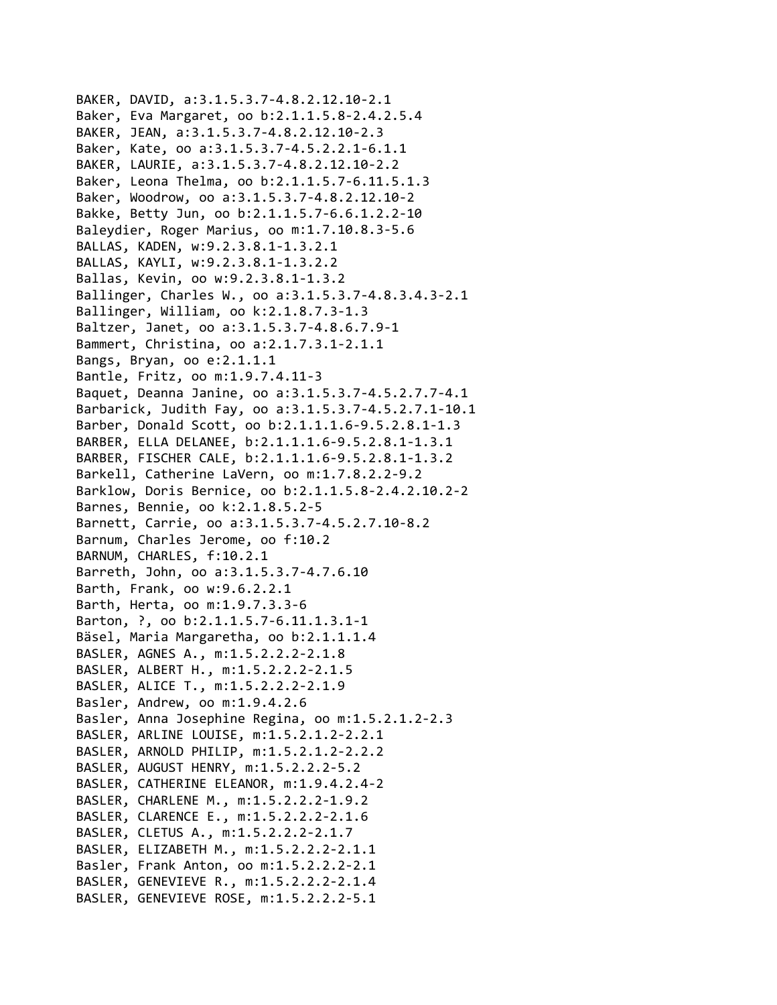```
BAKER, DAVID, a:3.1.5.3.7‐4.8.2.12.10‐2.1
Baker, Eva Margaret, oo b:2.1.1.5.8‐2.4.2.5.4
BAKER, JEAN, a:3.1.5.3.7‐4.8.2.12.10‐2.3
Baker, Kate, oo a:3.1.5.3.7‐4.5.2.2.1‐6.1.1
BAKER, LAURIE, a:3.1.5.3.7‐4.8.2.12.10‐2.2
Baker, Leona Thelma, oo b:2.1.1.5.7‐6.11.5.1.3
Baker, Woodrow, oo a:3.1.5.3.7‐4.8.2.12.10‐2
Bakke, Betty Jun, oo b:2.1.1.5.7‐6.6.1.2.2‐10
Baleydier, Roger Marius, oo m:1.7.10.8.3‐5.6
BALLAS, KADEN, w:9.2.3.8.1‐1.3.2.1
BALLAS, KAYLI, w:9.2.3.8.1‐1.3.2.2
Ballas, Kevin, oo w:9.2.3.8.1‐1.3.2
Ballinger, Charles W., oo a:3.1.5.3.7‐4.8.3.4.3‐2.1
Ballinger, William, oo k:2.1.8.7.3‐1.3
Baltzer, Janet, oo a:3.1.5.3.7‐4.8.6.7.9‐1
Bammert, Christina, oo a:2.1.7.3.1‐2.1.1
Bangs, Bryan, oo e:2.1.1.1
Bantle, Fritz, oo m:1.9.7.4.11‐3
Baquet, Deanna Janine, oo a:3.1.5.3.7‐4.5.2.7.7‐4.1
Barbarick, Judith Fay, oo a:3.1.5.3.7‐4.5.2.7.1‐10.1
Barber, Donald Scott, oo b:2.1.1.1.6‐9.5.2.8.1‐1.3
BARBER, ELLA DELANEE, b:2.1.1.1.6‐9.5.2.8.1‐1.3.1
BARBER, FISCHER CALE, b:2.1.1.1.6‐9.5.2.8.1‐1.3.2
Barkell, Catherine LaVern, oo m:1.7.8.2.2‐9.2
Barklow, Doris Bernice, oo b:2.1.1.5.8‐2.4.2.10.2‐2
Barnes, Bennie, oo k:2.1.8.5.2‐5
Barnett, Carrie, oo a:3.1.5.3.7‐4.5.2.7.10‐8.2
Barnum, Charles Jerome, oo f:10.2
BARNUM, CHARLES, f:10.2.1
Barreth, John, oo a:3.1.5.3.7‐4.7.6.10
Barth, Frank, oo w:9.6.2.2.1
Barth, Herta, oo m:1.9.7.3.3‐6
Barton, ?, oo b:2.1.1.5.7‐6.11.1.3.1‐1
Bäsel, Maria Margaretha, oo b:2.1.1.1.4
BASLER, AGNES A., m:1.5.2.2.2‐2.1.8
BASLER, ALBERT H., m:1.5.2.2.2‐2.1.5
BASLER, ALICE T., m:1.5.2.2.2‐2.1.9
Basler, Andrew, oo m:1.9.4.2.6
Basler, Anna Josephine Regina, oo m:1.5.2.1.2‐2.3
BASLER, ARLINE LOUISE, m:1.5.2.1.2‐2.2.1
BASLER, ARNOLD PHILIP, m:1.5.2.1.2‐2.2.2
BASLER, AUGUST HENRY, m:1.5.2.2.2‐5.2
BASLER, CATHERINE ELEANOR, m:1.9.4.2.4‐2
BASLER, CHARLENE M., m:1.5.2.2.2‐1.9.2
BASLER, CLARENCE E., m:1.5.2.2.2‐2.1.6
BASLER, CLETUS A., m:1.5.2.2.2‐2.1.7
BASLER, ELIZABETH M., m:1.5.2.2.2‐2.1.1
Basler, Frank Anton, oo m:1.5.2.2.2‐2.1
BASLER, GENEVIEVE R., m:1.5.2.2.2‐2.1.4
BASLER, GENEVIEVE ROSE, m:1.5.2.2.2‐5.1
```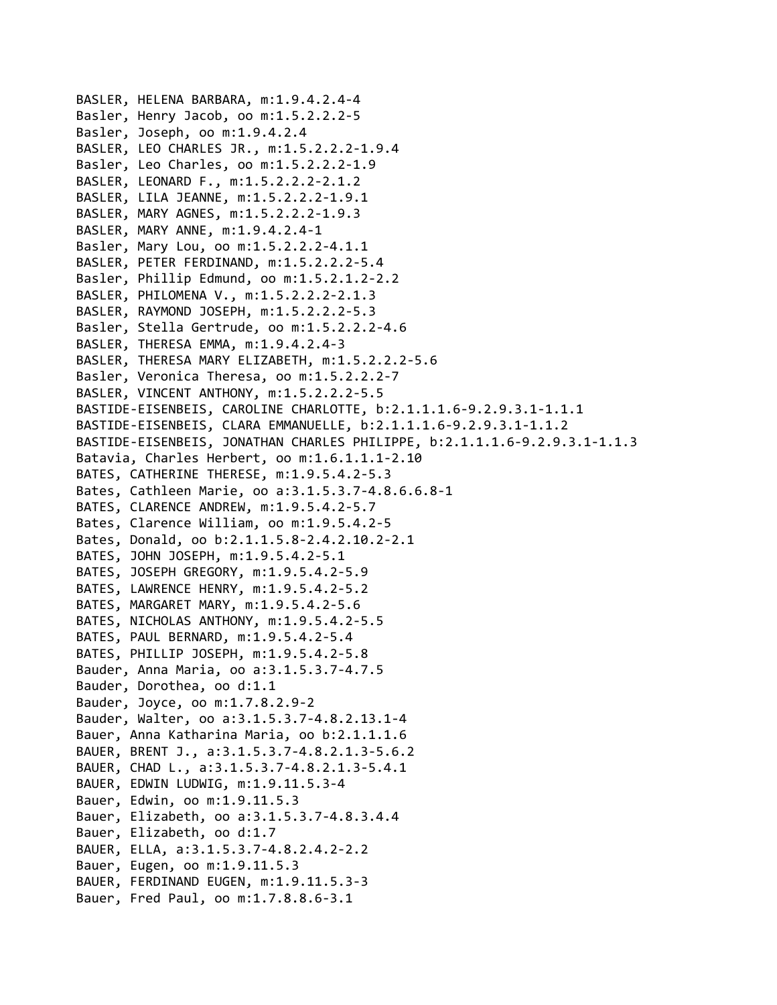BASLER, HELENA BARBARA, m:1.9.4.2.4‐4 Basler, Henry Jacob, oo m:1.5.2.2.2‐5 Basler, Joseph, oo m:1.9.4.2.4 BASLER, LEO CHARLES JR., m:1.5.2.2.2‐1.9.4 Basler, Leo Charles, oo m:1.5.2.2.2‐1.9 BASLER, LEONARD F., m:1.5.2.2.2‐2.1.2 BASLER, LILA JEANNE, m:1.5.2.2.2‐1.9.1 BASLER, MARY AGNES, m:1.5.2.2.2‐1.9.3 BASLER, MARY ANNE, m:1.9.4.2.4‐1 Basler, Mary Lou, oo m:1.5.2.2.2‐4.1.1 BASLER, PETER FERDINAND, m:1.5.2.2.2‐5.4 Basler, Phillip Edmund, oo m:1.5.2.1.2‐2.2 BASLER, PHILOMENA V., m:1.5.2.2.2‐2.1.3 BASLER, RAYMOND JOSEPH, m:1.5.2.2.2‐5.3 Basler, Stella Gertrude, oo m:1.5.2.2.2‐4.6 BASLER, THERESA EMMA, m:1.9.4.2.4‐3 BASLER, THERESA MARY ELIZABETH, m:1.5.2.2.2‐5.6 Basler, Veronica Theresa, oo m:1.5.2.2.2‐7 BASLER, VINCENT ANTHONY, m:1.5.2.2.2‐5.5 BASTIDE‐EISENBEIS, CAROLINE CHARLOTTE, b:2.1.1.1.6‐9.2.9.3.1‐1.1.1 BASTIDE‐EISENBEIS, CLARA EMMANUELLE, b:2.1.1.1.6‐9.2.9.3.1‐1.1.2 BASTIDE‐EISENBEIS, JONATHAN CHARLES PHILIPPE, b:2.1.1.1.6‐9.2.9.3.1‐1.1.3 Batavia, Charles Herbert, oo m:1.6.1.1.1‐2.10 BATES, CATHERINE THERESE, m:1.9.5.4.2‐5.3 Bates, Cathleen Marie, oo a:3.1.5.3.7‐4.8.6.6.8‐1 BATES, CLARENCE ANDREW, m:1.9.5.4.2‐5.7 Bates, Clarence William, oo m:1.9.5.4.2‐5 Bates, Donald, oo b:2.1.1.5.8‐2.4.2.10.2‐2.1 BATES, JOHN JOSEPH, m:1.9.5.4.2‐5.1 BATES, JOSEPH GREGORY, m:1.9.5.4.2‐5.9 BATES, LAWRENCE HENRY, m:1.9.5.4.2‐5.2 BATES, MARGARET MARY, m:1.9.5.4.2‐5.6 BATES, NICHOLAS ANTHONY, m:1.9.5.4.2‐5.5 BATES, PAUL BERNARD, m:1.9.5.4.2‐5.4 BATES, PHILLIP JOSEPH, m:1.9.5.4.2‐5.8 Bauder, Anna Maria, oo a:3.1.5.3.7‐4.7.5 Bauder, Dorothea, oo d:1.1 Bauder, Joyce, oo m:1.7.8.2.9‐2 Bauder, Walter, oo a:3.1.5.3.7‐4.8.2.13.1‐4 Bauer, Anna Katharina Maria, oo b:2.1.1.1.6 BAUER, BRENT J., a:3.1.5.3.7‐4.8.2.1.3‐5.6.2 BAUER, CHAD L., a:3.1.5.3.7‐4.8.2.1.3‐5.4.1 BAUER, EDWIN LUDWIG, m:1.9.11.5.3‐4 Bauer, Edwin, oo m:1.9.11.5.3 Bauer, Elizabeth, oo a:3.1.5.3.7‐4.8.3.4.4 Bauer, Elizabeth, oo d:1.7 BAUER, ELLA, a:3.1.5.3.7‐4.8.2.4.2‐2.2 Bauer, Eugen, oo m:1.9.11.5.3 BAUER, FERDINAND EUGEN, m:1.9.11.5.3‐3 Bauer, Fred Paul, oo m:1.7.8.8.6‐3.1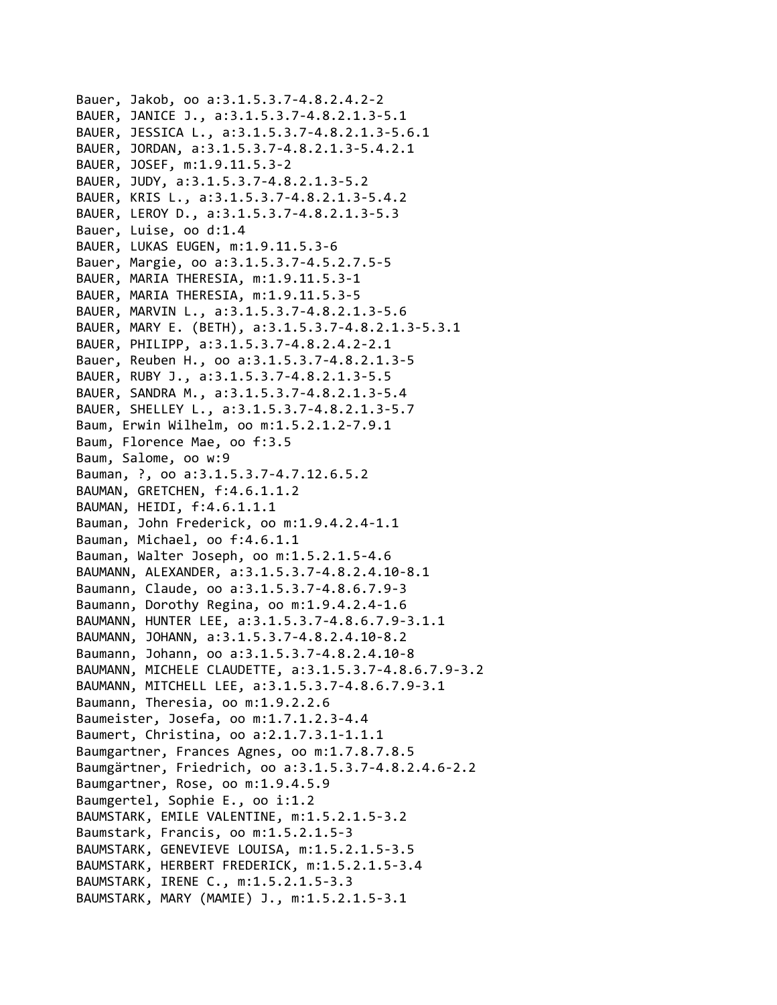```
Bauer, Jakob, oo a:3.1.5.3.7‐4.8.2.4.2‐2
BAUER, JANICE J., a:3.1.5.3.7‐4.8.2.1.3‐5.1
BAUER, JESSICA L., a:3.1.5.3.7‐4.8.2.1.3‐5.6.1
BAUER, JORDAN, a:3.1.5.3.7‐4.8.2.1.3‐5.4.2.1
BAUER, JOSEF, m:1.9.11.5.3‐2
BAUER, JUDY, a:3.1.5.3.7‐4.8.2.1.3‐5.2
BAUER, KRIS L., a:3.1.5.3.7‐4.8.2.1.3‐5.4.2
BAUER, LEROY D., a:3.1.5.3.7‐4.8.2.1.3‐5.3
Bauer, Luise, oo d:1.4
BAUER, LUKAS EUGEN, m:1.9.11.5.3‐6
Bauer, Margie, oo a:3.1.5.3.7‐4.5.2.7.5‐5
BAUER, MARIA THERESIA, m:1.9.11.5.3‐1
BAUER, MARIA THERESIA, m:1.9.11.5.3‐5
BAUER, MARVIN L., a:3.1.5.3.7‐4.8.2.1.3‐5.6
BAUER, MARY E. (BETH), a:3.1.5.3.7‐4.8.2.1.3‐5.3.1
BAUER, PHILIPP, a:3.1.5.3.7‐4.8.2.4.2‐2.1
Bauer, Reuben H., oo a:3.1.5.3.7‐4.8.2.1.3‐5
BAUER, RUBY J., a:3.1.5.3.7‐4.8.2.1.3‐5.5
BAUER, SANDRA M., a:3.1.5.3.7‐4.8.2.1.3‐5.4
BAUER, SHELLEY L., a:3.1.5.3.7‐4.8.2.1.3‐5.7
Baum, Erwin Wilhelm, oo m:1.5.2.1.2‐7.9.1
Baum, Florence Mae, oo f:3.5
Baum, Salome, oo w:9
Bauman, ?, oo a:3.1.5.3.7‐4.7.12.6.5.2
BAUMAN, GRETCHEN, f:4.6.1.1.2
BAUMAN, HEIDI, f:4.6.1.1.1
Bauman, John Frederick, oo m:1.9.4.2.4‐1.1
Bauman, Michael, oo f:4.6.1.1
Bauman, Walter Joseph, oo m:1.5.2.1.5‐4.6
BAUMANN, ALEXANDER, a:3.1.5.3.7‐4.8.2.4.10‐8.1
Baumann, Claude, oo a:3.1.5.3.7‐4.8.6.7.9‐3
Baumann, Dorothy Regina, oo m:1.9.4.2.4‐1.6
BAUMANN, HUNTER LEE, a:3.1.5.3.7‐4.8.6.7.9‐3.1.1
BAUMANN, JOHANN, a:3.1.5.3.7‐4.8.2.4.10‐8.2
Baumann, Johann, oo a:3.1.5.3.7‐4.8.2.4.10‐8
BAUMANN, MICHELE CLAUDETTE, a:3.1.5.3.7‐4.8.6.7.9‐3.2
BAUMANN, MITCHELL LEE, a:3.1.5.3.7‐4.8.6.7.9‐3.1
Baumann, Theresia, oo m:1.9.2.2.6
Baumeister, Josefa, oo m:1.7.1.2.3‐4.4
Baumert, Christina, oo a:2.1.7.3.1‐1.1.1
Baumgartner, Frances Agnes, oo m:1.7.8.7.8.5
Baumgärtner, Friedrich, oo a:3.1.5.3.7‐4.8.2.4.6‐2.2
Baumgartner, Rose, oo m:1.9.4.5.9
Baumgertel, Sophie E., oo i:1.2
BAUMSTARK, EMILE VALENTINE, m:1.5.2.1.5‐3.2
Baumstark, Francis, oo m:1.5.2.1.5‐3
BAUMSTARK, GENEVIEVE LOUISA, m:1.5.2.1.5‐3.5
BAUMSTARK, HERBERT FREDERICK, m:1.5.2.1.5‐3.4
BAUMSTARK, IRENE C., m:1.5.2.1.5‐3.3
BAUMSTARK, MARY (MAMIE) J., m:1.5.2.1.5‐3.1
```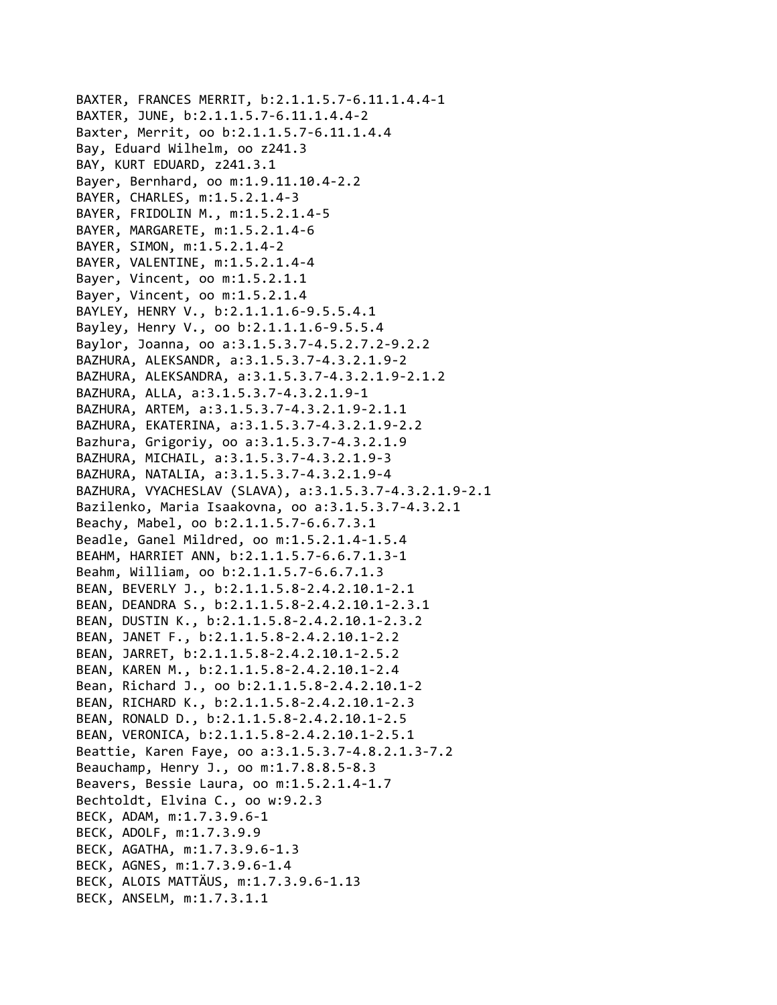```
BAXTER, FRANCES MERRIT, b:2.1.1.5.7‐6.11.1.4.4‐1
BAXTER, JUNE, b:2.1.1.5.7‐6.11.1.4.4‐2
Baxter, Merrit, oo b:2.1.1.5.7‐6.11.1.4.4
Bay, Eduard Wilhelm, oo z241.3
BAY, KURT EDUARD, z241.3.1
Bayer, Bernhard, oo m:1.9.11.10.4‐2.2
BAYER, CHARLES, m:1.5.2.1.4‐3
BAYER, FRIDOLIN M., m:1.5.2.1.4‐5
BAYER, MARGARETE, m:1.5.2.1.4‐6
BAYER, SIMON, m:1.5.2.1.4‐2
BAYER, VALENTINE, m:1.5.2.1.4‐4
Bayer, Vincent, oo m:1.5.2.1.1
Bayer, Vincent, oo m:1.5.2.1.4
BAYLEY, HENRY V., b:2.1.1.1.6‐9.5.5.4.1
Bayley, Henry V., oo b:2.1.1.1.6‐9.5.5.4
Baylor, Joanna, oo a:3.1.5.3.7‐4.5.2.7.2‐9.2.2
BAZHURA, ALEKSANDR, a:3.1.5.3.7‐4.3.2.1.9‐2
BAZHURA, ALEKSANDRA, a:3.1.5.3.7‐4.3.2.1.9‐2.1.2
BAZHURA, ALLA, a:3.1.5.3.7‐4.3.2.1.9‐1
BAZHURA, ARTEM, a:3.1.5.3.7‐4.3.2.1.9‐2.1.1
BAZHURA, EKATERINA, a:3.1.5.3.7‐4.3.2.1.9‐2.2
Bazhura, Grigoriy, oo a:3.1.5.3.7‐4.3.2.1.9
BAZHURA, MICHAIL, a:3.1.5.3.7‐4.3.2.1.9‐3
BAZHURA, NATALIA, a:3.1.5.3.7‐4.3.2.1.9‐4
BAZHURA, VYACHESLAV (SLAVA), a:3.1.5.3.7‐4.3.2.1.9‐2.1
Bazilenko, Maria Isaakovna, oo a:3.1.5.3.7‐4.3.2.1
Beachy, Mabel, oo b:2.1.1.5.7‐6.6.7.3.1
Beadle, Ganel Mildred, oo m:1.5.2.1.4‐1.5.4
BEAHM, HARRIET ANN, b:2.1.1.5.7‐6.6.7.1.3‐1
Beahm, William, oo b:2.1.1.5.7‐6.6.7.1.3
BEAN, BEVERLY J., b:2.1.1.5.8‐2.4.2.10.1‐2.1
BEAN, DEANDRA S., b:2.1.1.5.8‐2.4.2.10.1‐2.3.1
BEAN, DUSTIN K., b:2.1.1.5.8‐2.4.2.10.1‐2.3.2
BEAN, JANET F., b:2.1.1.5.8‐2.4.2.10.1‐2.2
BEAN, JARRET, b:2.1.1.5.8‐2.4.2.10.1‐2.5.2
BEAN, KAREN M., b:2.1.1.5.8‐2.4.2.10.1‐2.4
Bean, Richard J., oo b:2.1.1.5.8‐2.4.2.10.1‐2
BEAN, RICHARD K., b:2.1.1.5.8‐2.4.2.10.1‐2.3
BEAN, RONALD D., b:2.1.1.5.8‐2.4.2.10.1‐2.5
BEAN, VERONICA, b:2.1.1.5.8‐2.4.2.10.1‐2.5.1
Beattie, Karen Faye, oo a:3.1.5.3.7‐4.8.2.1.3‐7.2
Beauchamp, Henry J., oo m:1.7.8.8.5‐8.3
Beavers, Bessie Laura, oo m:1.5.2.1.4‐1.7
Bechtoldt, Elvina C., oo w:9.2.3
BECK, ADAM, m:1.7.3.9.6‐1
BECK, ADOLF, m:1.7.3.9.9
BECK, AGATHA, m:1.7.3.9.6‐1.3
BECK, AGNES, m:1.7.3.9.6‐1.4
BECK, ALOIS MATTÄUS, m:1.7.3.9.6‐1.13
BECK, ANSELM, m:1.7.3.1.1
```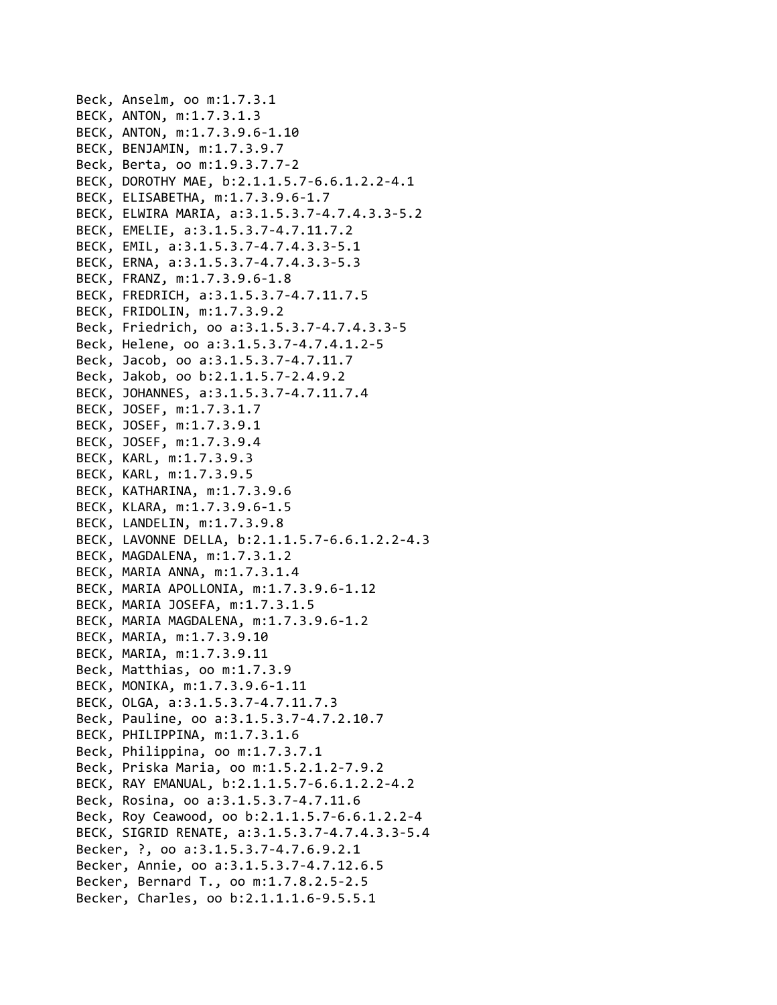```
Beck, Anselm, oo m:1.7.3.1
BECK, ANTON, m:1.7.3.1.3
BECK, ANTON, m:1.7.3.9.6‐1.10
BECK, BENJAMIN, m:1.7.3.9.7
Beck, Berta, oo m:1.9.3.7.7‐2
BECK, DOROTHY MAE, b:2.1.1.5.7‐6.6.1.2.2‐4.1
BECK, ELISABETHA, m:1.7.3.9.6‐1.7
BECK, ELWIRA MARIA, a:3.1.5.3.7‐4.7.4.3.3‐5.2
BECK, EMELIE, a:3.1.5.3.7‐4.7.11.7.2
BECK, EMIL, a:3.1.5.3.7‐4.7.4.3.3‐5.1
BECK, ERNA, a:3.1.5.3.7‐4.7.4.3.3‐5.3
BECK, FRANZ, m:1.7.3.9.6‐1.8
BECK, FREDRICH, a:3.1.5.3.7‐4.7.11.7.5
BECK, FRIDOLIN, m:1.7.3.9.2
Beck, Friedrich, oo a:3.1.5.3.7‐4.7.4.3.3‐5
Beck, Helene, oo a:3.1.5.3.7‐4.7.4.1.2‐5
Beck, Jacob, oo a:3.1.5.3.7‐4.7.11.7
Beck, Jakob, oo b:2.1.1.5.7‐2.4.9.2
BECK, JOHANNES, a:3.1.5.3.7‐4.7.11.7.4
BECK, JOSEF, m:1.7.3.1.7
BECK, JOSEF, m:1.7.3.9.1
BECK, JOSEF, m:1.7.3.9.4
BECK, KARL, m:1.7.3.9.3
BECK, KARL, m:1.7.3.9.5
BECK, KATHARINA, m:1.7.3.9.6
BECK, KLARA, m:1.7.3.9.6‐1.5
BECK, LANDELIN, m:1.7.3.9.8
BECK, LAVONNE DELLA, b:2.1.1.5.7‐6.6.1.2.2‐4.3
BECK, MAGDALENA, m:1.7.3.1.2
BECK, MARIA ANNA, m:1.7.3.1.4
BECK, MARIA APOLLONIA, m:1.7.3.9.6‐1.12
BECK, MARIA JOSEFA, m:1.7.3.1.5
BECK, MARIA MAGDALENA, m:1.7.3.9.6‐1.2
BECK, MARIA, m:1.7.3.9.10
BECK, MARIA, m:1.7.3.9.11
Beck, Matthias, oo m:1.7.3.9
BECK, MONIKA, m:1.7.3.9.6‐1.11
BECK, OLGA, a:3.1.5.3.7‐4.7.11.7.3
Beck, Pauline, oo a:3.1.5.3.7‐4.7.2.10.7
BECK, PHILIPPINA, m:1.7.3.1.6
Beck, Philippina, oo m:1.7.3.7.1
Beck, Priska Maria, oo m:1.5.2.1.2‐7.9.2
BECK, RAY EMANUAL, b:2.1.1.5.7‐6.6.1.2.2‐4.2
Beck, Rosina, oo a:3.1.5.3.7‐4.7.11.6
Beck, Roy Ceawood, oo b:2.1.1.5.7‐6.6.1.2.2‐4
BECK, SIGRID RENATE, a:3.1.5.3.7‐4.7.4.3.3‐5.4
Becker, ?, oo a:3.1.5.3.7‐4.7.6.9.2.1
Becker, Annie, oo a:3.1.5.3.7‐4.7.12.6.5
Becker, Bernard T., oo m:1.7.8.2.5‐2.5
Becker, Charles, oo b:2.1.1.1.6‐9.5.5.1
```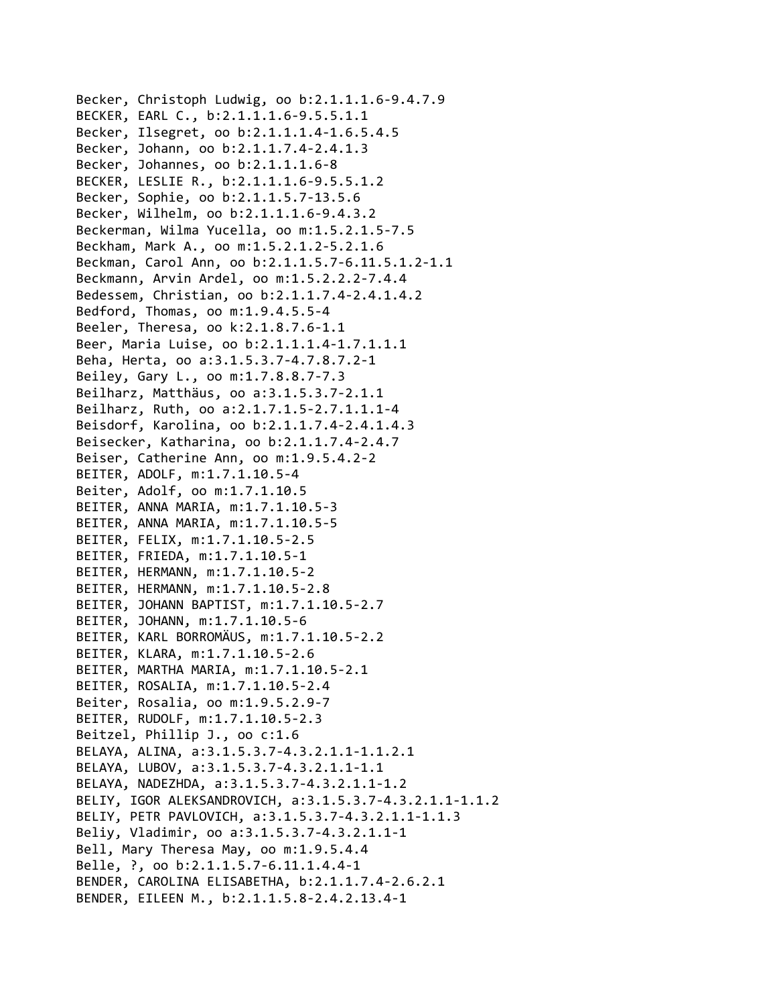Becker, Christoph Ludwig, oo b:2.1.1.1.6‐9.4.7.9 BECKER, EARL C., b:2.1.1.1.6‐9.5.5.1.1 Becker, Ilsegret, oo b:2.1.1.1.4‐1.6.5.4.5 Becker, Johann, oo b:2.1.1.7.4‐2.4.1.3 Becker, Johannes, oo b:2.1.1.1.6‐8 BECKER, LESLIE R., b:2.1.1.1.6‐9.5.5.1.2 Becker, Sophie, oo b:2.1.1.5.7‐13.5.6 Becker, Wilhelm, oo b:2.1.1.1.6‐9.4.3.2 Beckerman, Wilma Yucella, oo m:1.5.2.1.5‐7.5 Beckham, Mark A., oo m:1.5.2.1.2‐5.2.1.6 Beckman, Carol Ann, oo b:2.1.1.5.7‐6.11.5.1.2‐1.1 Beckmann, Arvin Ardel, oo m:1.5.2.2.2‐7.4.4 Bedessem, Christian, oo b:2.1.1.7.4‐2.4.1.4.2 Bedford, Thomas, oo m:1.9.4.5.5‐4 Beeler, Theresa, oo k:2.1.8.7.6‐1.1 Beer, Maria Luise, oo b:2.1.1.1.4‐1.7.1.1.1 Beha, Herta, oo a:3.1.5.3.7‐4.7.8.7.2‐1 Beiley, Gary L., oo m:1.7.8.8.7‐7.3 Beilharz, Matthäus, oo a:3.1.5.3.7‐2.1.1 Beilharz, Ruth, oo a:2.1.7.1.5‐2.7.1.1.1‐4 Beisdorf, Karolina, oo b:2.1.1.7.4‐2.4.1.4.3 Beisecker, Katharina, oo b:2.1.1.7.4‐2.4.7 Beiser, Catherine Ann, oo m:1.9.5.4.2‐2 BEITER, ADOLF, m:1.7.1.10.5‐4 Beiter, Adolf, oo m:1.7.1.10.5 BEITER, ANNA MARIA, m:1.7.1.10.5‐3 BEITER, ANNA MARIA, m:1.7.1.10.5‐5 BEITER, FELIX, m:1.7.1.10.5‐2.5 BEITER, FRIEDA, m:1.7.1.10.5‐1 BEITER, HERMANN, m:1.7.1.10.5‐2 BEITER, HERMANN, m:1.7.1.10.5‐2.8 BEITER, JOHANN BAPTIST, m:1.7.1.10.5‐2.7 BEITER, JOHANN, m:1.7.1.10.5‐6 BEITER, KARL BORROMÄUS, m:1.7.1.10.5‐2.2 BEITER, KLARA, m:1.7.1.10.5‐2.6 BEITER, MARTHA MARIA, m:1.7.1.10.5‐2.1 BEITER, ROSALIA, m:1.7.1.10.5‐2.4 Beiter, Rosalia, oo m:1.9.5.2.9‐7 BEITER, RUDOLF, m:1.7.1.10.5‐2.3 Beitzel, Phillip J., oo c:1.6 BELAYA, ALINA, a:3.1.5.3.7‐4.3.2.1.1‐1.1.2.1 BELAYA, LUBOV, a:3.1.5.3.7‐4.3.2.1.1‐1.1 BELAYA, NADEZHDA, a:3.1.5.3.7‐4.3.2.1.1‐1.2 BELIY, IGOR ALEKSANDROVICH, a:3.1.5.3.7‐4.3.2.1.1‐1.1.2 BELIY, PETR PAVLOVICH, a:3.1.5.3.7‐4.3.2.1.1‐1.1.3 Beliy, Vladimir, oo a:3.1.5.3.7‐4.3.2.1.1‐1 Bell, Mary Theresa May, oo m:1.9.5.4.4 Belle, ?, oo b:2.1.1.5.7‐6.11.1.4.4‐1 BENDER, CAROLINA ELISABETHA, b:2.1.1.7.4‐2.6.2.1 BENDER, EILEEN M., b:2.1.1.5.8‐2.4.2.13.4‐1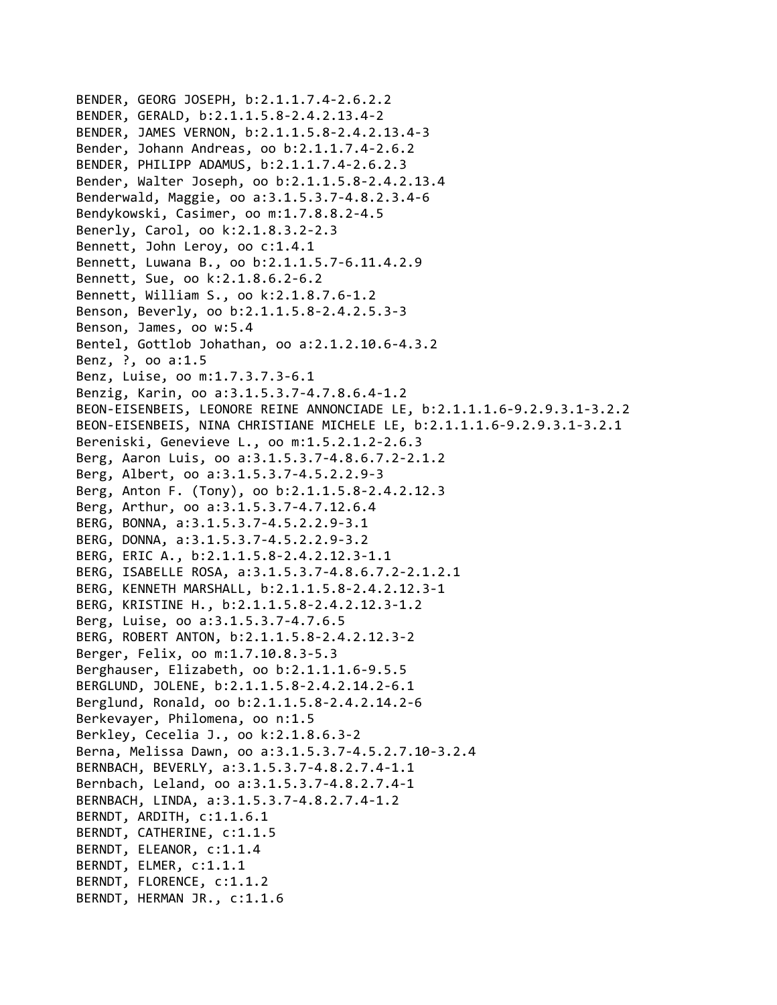```
BENDER, GEORG JOSEPH, b:2.1.1.7.4‐2.6.2.2
BENDER, GERALD, b:2.1.1.5.8‐2.4.2.13.4‐2
BENDER, JAMES VERNON, b:2.1.1.5.8‐2.4.2.13.4‐3
Bender, Johann Andreas, oo b:2.1.1.7.4‐2.6.2
BENDER, PHILIPP ADAMUS, b:2.1.1.7.4‐2.6.2.3
Bender, Walter Joseph, oo b:2.1.1.5.8‐2.4.2.13.4
Benderwald, Maggie, oo a:3.1.5.3.7‐4.8.2.3.4‐6
Bendykowski, Casimer, oo m:1.7.8.8.2‐4.5
Benerly, Carol, oo k:2.1.8.3.2‐2.3
Bennett, John Leroy, oo c:1.4.1
Bennett, Luwana B., oo b:2.1.1.5.7‐6.11.4.2.9
Bennett, Sue, oo k:2.1.8.6.2‐6.2
Bennett, William S., oo k:2.1.8.7.6‐1.2
Benson, Beverly, oo b:2.1.1.5.8‐2.4.2.5.3‐3
Benson, James, oo w:5.4
Bentel, Gottlob Johathan, oo a:2.1.2.10.6‐4.3.2
Benz, ?, oo a:1.5
Benz, Luise, oo m:1.7.3.7.3‐6.1
Benzig, Karin, oo a:3.1.5.3.7‐4.7.8.6.4‐1.2
BEON‐EISENBEIS, LEONORE REINE ANNONCIADE LE, b:2.1.1.1.6‐9.2.9.3.1‐3.2.2
BEON‐EISENBEIS, NINA CHRISTIANE MICHELE LE, b:2.1.1.1.6‐9.2.9.3.1‐3.2.1
Bereniski, Genevieve L., oo m:1.5.2.1.2‐2.6.3
Berg, Aaron Luis, oo a:3.1.5.3.7‐4.8.6.7.2‐2.1.2
Berg, Albert, oo a:3.1.5.3.7‐4.5.2.2.9‐3
Berg, Anton F. (Tony), oo b:2.1.1.5.8‐2.4.2.12.3
Berg, Arthur, oo a:3.1.5.3.7‐4.7.12.6.4
BERG, BONNA, a:3.1.5.3.7‐4.5.2.2.9‐3.1
BERG, DONNA, a:3.1.5.3.7‐4.5.2.2.9‐3.2
BERG, ERIC A., b:2.1.1.5.8‐2.4.2.12.3‐1.1
BERG, ISABELLE ROSA, a:3.1.5.3.7‐4.8.6.7.2‐2.1.2.1
BERG, KENNETH MARSHALL, b:2.1.1.5.8‐2.4.2.12.3‐1
BERG, KRISTINE H., b:2.1.1.5.8‐2.4.2.12.3‐1.2
Berg, Luise, oo a:3.1.5.3.7‐4.7.6.5
BERG, ROBERT ANTON, b:2.1.1.5.8‐2.4.2.12.3‐2
Berger, Felix, oo m:1.7.10.8.3‐5.3
Berghauser, Elizabeth, oo b:2.1.1.1.6‐9.5.5
BERGLUND, JOLENE, b:2.1.1.5.8‐2.4.2.14.2‐6.1
Berglund, Ronald, oo b:2.1.1.5.8‐2.4.2.14.2‐6
Berkevayer, Philomena, oo n:1.5
Berkley, Cecelia J., oo k:2.1.8.6.3‐2
Berna, Melissa Dawn, oo a:3.1.5.3.7‐4.5.2.7.10‐3.2.4
BERNBACH, BEVERLY, a:3.1.5.3.7‐4.8.2.7.4‐1.1
Bernbach, Leland, oo a:3.1.5.3.7‐4.8.2.7.4‐1
BERNBACH, LINDA, a:3.1.5.3.7‐4.8.2.7.4‐1.2
BERNDT, ARDITH, c:1.1.6.1
BERNDT, CATHERINE, c:1.1.5
BERNDT, ELEANOR, c:1.1.4
BERNDT, ELMER, c:1.1.1
BERNDT, FLORENCE, c:1.1.2
BERNDT, HERMAN JR., c:1.1.6
```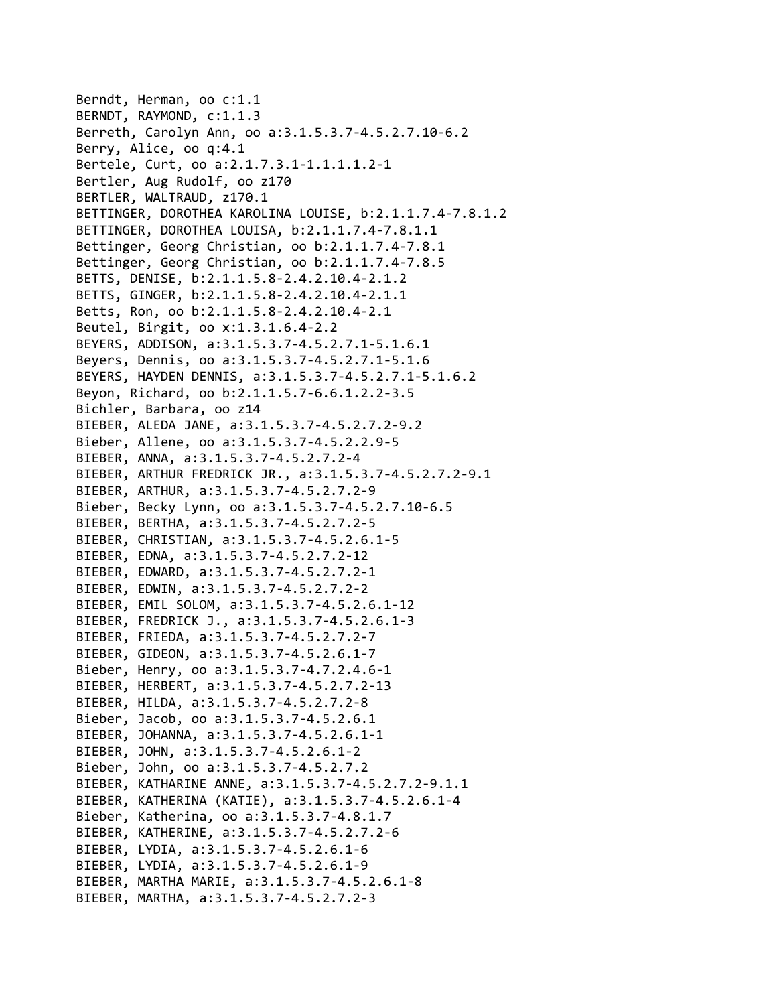Berndt, Herman, oo c:1.1 BERNDT, RAYMOND, c:1.1.3 Berreth, Carolyn Ann, oo a:3.1.5.3.7‐4.5.2.7.10‐6.2 Berry, Alice, oo q:4.1 Bertele, Curt, oo a:2.1.7.3.1‐1.1.1.1.2‐1 Bertler, Aug Rudolf, oo z170 BERTLER, WALTRAUD, z170.1 BETTINGER, DOROTHEA KAROLINA LOUISE, b:2.1.1.7.4‐7.8.1.2 BETTINGER, DOROTHEA LOUISA, b:2.1.1.7.4‐7.8.1.1 Bettinger, Georg Christian, oo b:2.1.1.7.4‐7.8.1 Bettinger, Georg Christian, oo b:2.1.1.7.4‐7.8.5 BETTS, DENISE, b:2.1.1.5.8‐2.4.2.10.4‐2.1.2 BETTS, GINGER, b:2.1.1.5.8‐2.4.2.10.4‐2.1.1 Betts, Ron, oo b:2.1.1.5.8‐2.4.2.10.4‐2.1 Beutel, Birgit, oo x:1.3.1.6.4‐2.2 BEYERS, ADDISON, a:3.1.5.3.7‐4.5.2.7.1‐5.1.6.1 Beyers, Dennis, oo a:3.1.5.3.7‐4.5.2.7.1‐5.1.6 BEYERS, HAYDEN DENNIS, a:3.1.5.3.7‐4.5.2.7.1‐5.1.6.2 Beyon, Richard, oo b:2.1.1.5.7‐6.6.1.2.2‐3.5 Bichler, Barbara, oo z14 BIEBER, ALEDA JANE, a:3.1.5.3.7‐4.5.2.7.2‐9.2 Bieber, Allene, oo a:3.1.5.3.7‐4.5.2.2.9‐5 BIEBER, ANNA, a:3.1.5.3.7‐4.5.2.7.2‐4 BIEBER, ARTHUR FREDRICK JR., a:3.1.5.3.7‐4.5.2.7.2‐9.1 BIEBER, ARTHUR, a:3.1.5.3.7‐4.5.2.7.2‐9 Bieber, Becky Lynn, oo a:3.1.5.3.7‐4.5.2.7.10‐6.5 BIEBER, BERTHA, a:3.1.5.3.7‐4.5.2.7.2‐5 BIEBER, CHRISTIAN, a:3.1.5.3.7‐4.5.2.6.1‐5 BIEBER, EDNA, a:3.1.5.3.7‐4.5.2.7.2‐12 BIEBER, EDWARD, a:3.1.5.3.7‐4.5.2.7.2‐1 BIEBER, EDWIN, a:3.1.5.3.7‐4.5.2.7.2‐2 BIEBER, EMIL SOLOM, a:3.1.5.3.7‐4.5.2.6.1‐12 BIEBER, FREDRICK J., a:3.1.5.3.7‐4.5.2.6.1‐3 BIEBER, FRIEDA, a:3.1.5.3.7‐4.5.2.7.2‐7 BIEBER, GIDEON, a:3.1.5.3.7‐4.5.2.6.1‐7 Bieber, Henry, oo a:3.1.5.3.7‐4.7.2.4.6‐1 BIEBER, HERBERT, a:3.1.5.3.7‐4.5.2.7.2‐13 BIEBER, HILDA, a:3.1.5.3.7‐4.5.2.7.2‐8 Bieber, Jacob, oo a:3.1.5.3.7‐4.5.2.6.1 BIEBER, JOHANNA, a:3.1.5.3.7‐4.5.2.6.1‐1 BIEBER, JOHN, a:3.1.5.3.7‐4.5.2.6.1‐2 Bieber, John, oo a:3.1.5.3.7‐4.5.2.7.2 BIEBER, KATHARINE ANNE, a:3.1.5.3.7‐4.5.2.7.2‐9.1.1 BIEBER, KATHERINA (KATIE), a:3.1.5.3.7‐4.5.2.6.1‐4 Bieber, Katherina, oo a:3.1.5.3.7‐4.8.1.7 BIEBER, KATHERINE, a:3.1.5.3.7‐4.5.2.7.2‐6 BIEBER, LYDIA, a:3.1.5.3.7‐4.5.2.6.1‐6 BIEBER, LYDIA, a:3.1.5.3.7‐4.5.2.6.1‐9 BIEBER, MARTHA MARIE, a:3.1.5.3.7‐4.5.2.6.1‐8 BIEBER, MARTHA, a:3.1.5.3.7‐4.5.2.7.2‐3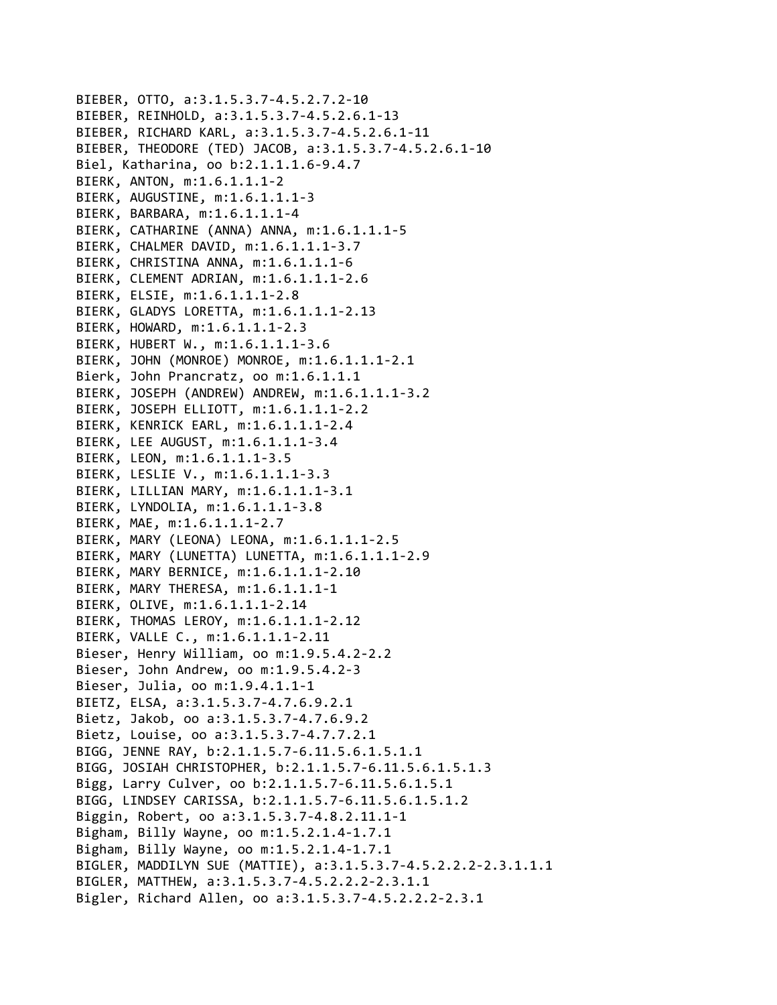```
BIEBER, OTTO, a:3.1.5.3.7‐4.5.2.7.2‐10
BIEBER, REINHOLD, a:3.1.5.3.7‐4.5.2.6.1‐13
BIEBER, RICHARD KARL, a:3.1.5.3.7‐4.5.2.6.1‐11
BIEBER, THEODORE (TED) JACOB, a:3.1.5.3.7‐4.5.2.6.1‐10
Biel, Katharina, oo b:2.1.1.1.6‐9.4.7
BIERK, ANTON, m:1.6.1.1.1‐2
BIERK, AUGUSTINE, m:1.6.1.1.1‐3
BIERK, BARBARA, m:1.6.1.1.1‐4
BIERK, CATHARINE (ANNA) ANNA, m:1.6.1.1.1‐5
BIERK, CHALMER DAVID, m:1.6.1.1.1‐3.7
BIERK, CHRISTINA ANNA, m:1.6.1.1.1‐6
BIERK, CLEMENT ADRIAN, m:1.6.1.1.1‐2.6
BIERK, ELSIE, m:1.6.1.1.1‐2.8
BIERK, GLADYS LORETTA, m:1.6.1.1.1‐2.13
BIERK, HOWARD, m:1.6.1.1.1‐2.3
BIERK, HUBERT W., m:1.6.1.1.1‐3.6
BIERK, JOHN (MONROE) MONROE, m:1.6.1.1.1‐2.1
Bierk, John Prancratz, oo m:1.6.1.1.1
BIERK, JOSEPH (ANDREW) ANDREW, m:1.6.1.1.1‐3.2
BIERK, JOSEPH ELLIOTT, m:1.6.1.1.1‐2.2
BIERK, KENRICK EARL, m:1.6.1.1.1‐2.4
BIERK, LEE AUGUST, m:1.6.1.1.1‐3.4
BIERK, LEON, m:1.6.1.1.1‐3.5
BIERK, LESLIE V., m:1.6.1.1.1‐3.3
BIERK, LILLIAN MARY, m:1.6.1.1.1‐3.1
BIERK, LYNDOLIA, m:1.6.1.1.1‐3.8
BIERK, MAE, m:1.6.1.1.1‐2.7
BIERK, MARY (LEONA) LEONA, m:1.6.1.1.1‐2.5
BIERK, MARY (LUNETTA) LUNETTA, m:1.6.1.1.1‐2.9
BIERK, MARY BERNICE, m:1.6.1.1.1‐2.10
BIERK, MARY THERESA, m:1.6.1.1.1‐1
BIERK, OLIVE, m:1.6.1.1.1‐2.14
BIERK, THOMAS LEROY, m:1.6.1.1.1‐2.12
BIERK, VALLE C., m:1.6.1.1.1‐2.11
Bieser, Henry William, oo m:1.9.5.4.2‐2.2
Bieser, John Andrew, oo m:1.9.5.4.2‐3
Bieser, Julia, oo m:1.9.4.1.1‐1
BIETZ, ELSA, a:3.1.5.3.7‐4.7.6.9.2.1
Bietz, Jakob, oo a:3.1.5.3.7‐4.7.6.9.2
Bietz, Louise, oo a:3.1.5.3.7‐4.7.7.2.1
BIGG, JENNE RAY, b:2.1.1.5.7‐6.11.5.6.1.5.1.1
BIGG, JOSIAH CHRISTOPHER, b:2.1.1.5.7‐6.11.5.6.1.5.1.3
Bigg, Larry Culver, oo b:2.1.1.5.7‐6.11.5.6.1.5.1
BIGG, LINDSEY CARISSA, b:2.1.1.5.7‐6.11.5.6.1.5.1.2
Biggin, Robert, oo a:3.1.5.3.7‐4.8.2.11.1‐1
Bigham, Billy Wayne, oo m:1.5.2.1.4‐1.7.1
Bigham, Billy Wayne, oo m:1.5.2.1.4‐1.7.1
BIGLER, MADDILYN SUE (MATTIE), a:3.1.5.3.7‐4.5.2.2.2‐2.3.1.1.1
BIGLER, MATTHEW, a:3.1.5.3.7‐4.5.2.2.2‐2.3.1.1
Bigler, Richard Allen, oo a:3.1.5.3.7‐4.5.2.2.2‐2.3.1
```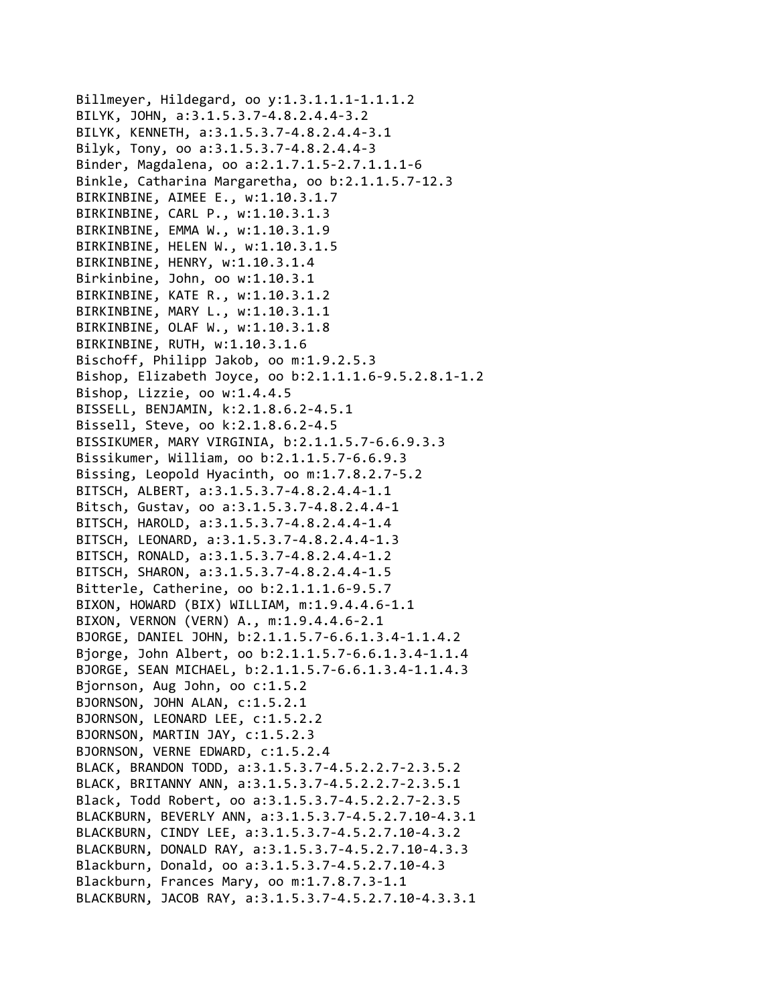Billmeyer, Hildegard, oo y:1.3.1.1.1‐1.1.1.2 BILYK, JOHN, a:3.1.5.3.7‐4.8.2.4.4‐3.2 BILYK, KENNETH, a:3.1.5.3.7‐4.8.2.4.4‐3.1 Bilyk, Tony, oo a:3.1.5.3.7‐4.8.2.4.4‐3 Binder, Magdalena, oo a:2.1.7.1.5‐2.7.1.1.1‐6 Binkle, Catharina Margaretha, oo b:2.1.1.5.7‐12.3 BIRKINBINE, AIMEE E., w:1.10.3.1.7 BIRKINBINE, CARL P., w:1.10.3.1.3 BIRKINBINE, EMMA W., w:1.10.3.1.9 BIRKINBINE, HELEN W., w:1.10.3.1.5 BIRKINBINE, HENRY, w:1.10.3.1.4 Birkinbine, John, oo w:1.10.3.1 BIRKINBINE, KATE R., w:1.10.3.1.2 BIRKINBINE, MARY L., w:1.10.3.1.1 BIRKINBINE, OLAF W., w:1.10.3.1.8 BIRKINBINE, RUTH, w:1.10.3.1.6 Bischoff, Philipp Jakob, oo m:1.9.2.5.3 Bishop, Elizabeth Joyce, oo b:2.1.1.1.6‐9.5.2.8.1‐1.2 Bishop, Lizzie, oo w:1.4.4.5 BISSELL, BENJAMIN, k:2.1.8.6.2‐4.5.1 Bissell, Steve, oo k:2.1.8.6.2‐4.5 BISSIKUMER, MARY VIRGINIA, b:2.1.1.5.7‐6.6.9.3.3 Bissikumer, William, oo b:2.1.1.5.7‐6.6.9.3 Bissing, Leopold Hyacinth, oo m:1.7.8.2.7‐5.2 BITSCH, ALBERT, a:3.1.5.3.7‐4.8.2.4.4‐1.1 Bitsch, Gustav, oo a:3.1.5.3.7‐4.8.2.4.4‐1 BITSCH, HAROLD, a:3.1.5.3.7‐4.8.2.4.4‐1.4 BITSCH, LEONARD, a:3.1.5.3.7‐4.8.2.4.4‐1.3 BITSCH, RONALD, a:3.1.5.3.7‐4.8.2.4.4‐1.2 BITSCH, SHARON, a:3.1.5.3.7‐4.8.2.4.4‐1.5 Bitterle, Catherine, oo b:2.1.1.1.6‐9.5.7 BIXON, HOWARD (BIX) WILLIAM, m:1.9.4.4.6‐1.1 BIXON, VERNON (VERN) A., m:1.9.4.4.6‐2.1 BJORGE, DANIEL JOHN, b:2.1.1.5.7‐6.6.1.3.4‐1.1.4.2 Bjorge, John Albert, oo b:2.1.1.5.7‐6.6.1.3.4‐1.1.4 BJORGE, SEAN MICHAEL, b:2.1.1.5.7‐6.6.1.3.4‐1.1.4.3 Bjornson, Aug John, oo c:1.5.2 BJORNSON, JOHN ALAN, c:1.5.2.1 BJORNSON, LEONARD LEE, c:1.5.2.2 BJORNSON, MARTIN JAY, c:1.5.2.3 BJORNSON, VERNE EDWARD, c:1.5.2.4 BLACK, BRANDON TODD, a:3.1.5.3.7‐4.5.2.2.7‐2.3.5.2 BLACK, BRITANNY ANN, a:3.1.5.3.7‐4.5.2.2.7‐2.3.5.1 Black, Todd Robert, oo a:3.1.5.3.7‐4.5.2.2.7‐2.3.5 BLACKBURN, BEVERLY ANN, a:3.1.5.3.7‐4.5.2.7.10‐4.3.1 BLACKBURN, CINDY LEE, a:3.1.5.3.7‐4.5.2.7.10‐4.3.2 BLACKBURN, DONALD RAY, a:3.1.5.3.7‐4.5.2.7.10‐4.3.3 Blackburn, Donald, oo a:3.1.5.3.7‐4.5.2.7.10‐4.3 Blackburn, Frances Mary, oo m:1.7.8.7.3‐1.1 BLACKBURN, JACOB RAY, a:3.1.5.3.7‐4.5.2.7.10‐4.3.3.1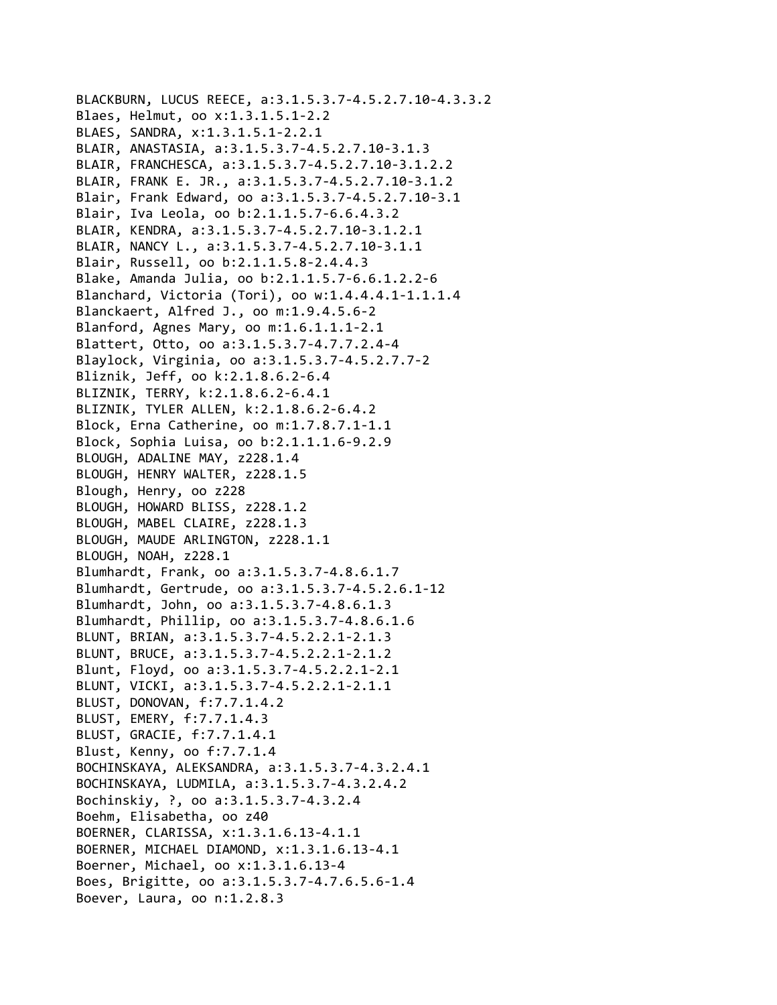```
BLACKBURN, LUCUS REECE, a:3.1.5.3.7‐4.5.2.7.10‐4.3.3.2
Blaes, Helmut, oo x:1.3.1.5.1‐2.2
BLAES, SANDRA, x:1.3.1.5.1‐2.2.1
BLAIR, ANASTASIA, a:3.1.5.3.7‐4.5.2.7.10‐3.1.3
BLAIR, FRANCHESCA, a:3.1.5.3.7‐4.5.2.7.10‐3.1.2.2
BLAIR, FRANK E. JR., a:3.1.5.3.7‐4.5.2.7.10‐3.1.2
Blair, Frank Edward, oo a:3.1.5.3.7‐4.5.2.7.10‐3.1
Blair, Iva Leola, oo b:2.1.1.5.7‐6.6.4.3.2
BLAIR, KENDRA, a:3.1.5.3.7‐4.5.2.7.10‐3.1.2.1
BLAIR, NANCY L., a:3.1.5.3.7‐4.5.2.7.10‐3.1.1
Blair, Russell, oo b:2.1.1.5.8‐2.4.4.3
Blake, Amanda Julia, oo b:2.1.1.5.7‐6.6.1.2.2‐6
Blanchard, Victoria (Tori), oo w:1.4.4.4.1‐1.1.1.4
Blanckaert, Alfred J., oo m:1.9.4.5.6‐2
Blanford, Agnes Mary, oo m:1.6.1.1.1‐2.1
Blattert, Otto, oo a:3.1.5.3.7‐4.7.7.2.4‐4
Blaylock, Virginia, oo a:3.1.5.3.7‐4.5.2.7.7‐2
Bliznik, Jeff, oo k:2.1.8.6.2‐6.4
BLIZNIK, TERRY, k:2.1.8.6.2‐6.4.1
BLIZNIK, TYLER ALLEN, k:2.1.8.6.2‐6.4.2
Block, Erna Catherine, oo m:1.7.8.7.1‐1.1
Block, Sophia Luisa, oo b:2.1.1.1.6‐9.2.9
BLOUGH, ADALINE MAY, z228.1.4
BLOUGH, HENRY WALTER, z228.1.5
Blough, Henry, oo z228
BLOUGH, HOWARD BLISS, z228.1.2
BLOUGH, MABEL CLAIRE, z228.1.3
BLOUGH, MAUDE ARLINGTON, z228.1.1
BLOUGH, NOAH, z228.1
Blumhardt, Frank, oo a:3.1.5.3.7‐4.8.6.1.7
Blumhardt, Gertrude, oo a:3.1.5.3.7‐4.5.2.6.1‐12
Blumhardt, John, oo a:3.1.5.3.7‐4.8.6.1.3
Blumhardt, Phillip, oo a:3.1.5.3.7‐4.8.6.1.6
BLUNT, BRIAN, a:3.1.5.3.7‐4.5.2.2.1‐2.1.3
BLUNT, BRUCE, a:3.1.5.3.7‐4.5.2.2.1‐2.1.2
Blunt, Floyd, oo a:3.1.5.3.7‐4.5.2.2.1‐2.1
BLUNT, VICKI, a:3.1.5.3.7‐4.5.2.2.1‐2.1.1
BLUST, DONOVAN, f:7.7.1.4.2
BLUST, EMERY, f:7.7.1.4.3
BLUST, GRACIE, f:7.7.1.4.1
Blust, Kenny, oo f:7.7.1.4
BOCHINSKAYA, ALEKSANDRA, a:3.1.5.3.7‐4.3.2.4.1
BOCHINSKAYA, LUDMILA, a:3.1.5.3.7‐4.3.2.4.2
Bochinskiy, ?, oo a:3.1.5.3.7‐4.3.2.4
Boehm, Elisabetha, oo z40
BOERNER, CLARISSA, x:1.3.1.6.13‐4.1.1
BOERNER, MICHAEL DIAMOND, x:1.3.1.6.13‐4.1
Boerner, Michael, oo x:1.3.1.6.13‐4
Boes, Brigitte, oo a:3.1.5.3.7‐4.7.6.5.6‐1.4
Boever, Laura, oo n:1.2.8.3
```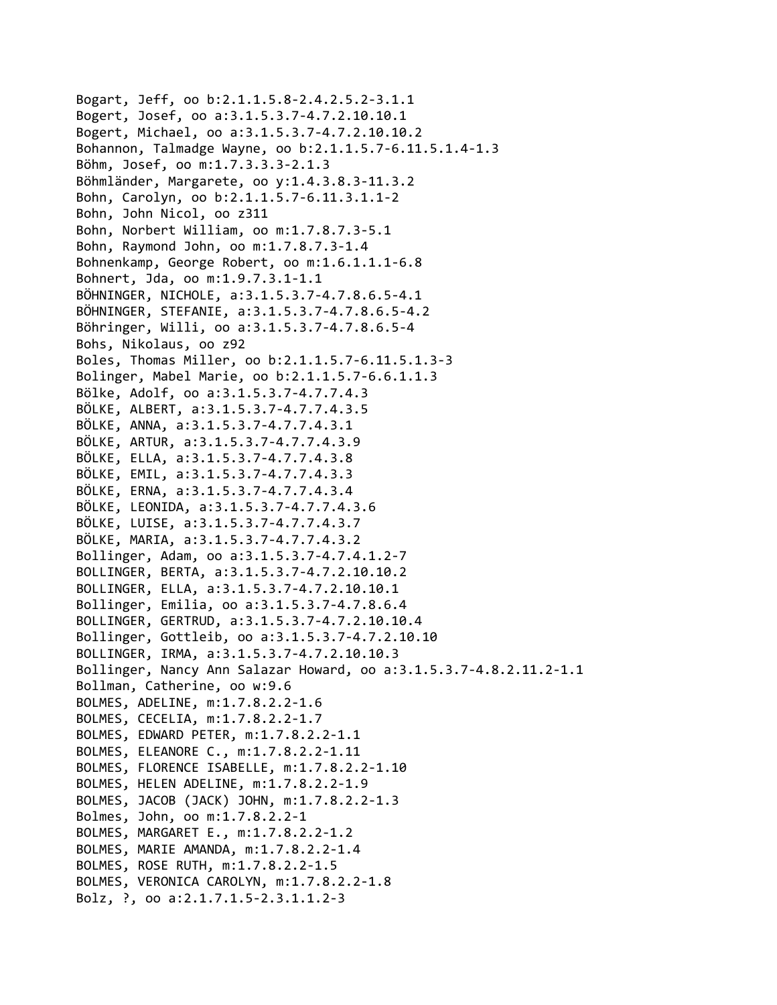```
Bogart, Jeff, oo b:2.1.1.5.8‐2.4.2.5.2‐3.1.1
Bogert, Josef, oo a:3.1.5.3.7‐4.7.2.10.10.1
Bogert, Michael, oo a:3.1.5.3.7‐4.7.2.10.10.2
Bohannon, Talmadge Wayne, oo b:2.1.1.5.7‐6.11.5.1.4‐1.3
Böhm, Josef, oo m:1.7.3.3.3‐2.1.3
Böhmländer, Margarete, oo y:1.4.3.8.3‐11.3.2
Bohn, Carolyn, oo b:2.1.1.5.7‐6.11.3.1.1‐2
Bohn, John Nicol, oo z311
Bohn, Norbert William, oo m:1.7.8.7.3‐5.1
Bohn, Raymond John, oo m:1.7.8.7.3‐1.4
Bohnenkamp, George Robert, oo m:1.6.1.1.1‐6.8
Bohnert, Jda, oo m:1.9.7.3.1‐1.1
BÖHNINGER, NICHOLE, a:3.1.5.3.7‐4.7.8.6.5‐4.1
BÖHNINGER, STEFANIE, a:3.1.5.3.7‐4.7.8.6.5‐4.2
Böhringer, Willi, oo a:3.1.5.3.7‐4.7.8.6.5‐4
Bohs, Nikolaus, oo z92
Boles, Thomas Miller, oo b:2.1.1.5.7‐6.11.5.1.3‐3
Bolinger, Mabel Marie, oo b:2.1.1.5.7‐6.6.1.1.3
Bölke, Adolf, oo a:3.1.5.3.7‐4.7.7.4.3
BÖLKE, ALBERT, a:3.1.5.3.7‐4.7.7.4.3.5
BÖLKE, ANNA, a:3.1.5.3.7‐4.7.7.4.3.1
BÖLKE, ARTUR, a:3.1.5.3.7‐4.7.7.4.3.9
BÖLKE, ELLA, a:3.1.5.3.7‐4.7.7.4.3.8
BÖLKE, EMIL, a:3.1.5.3.7‐4.7.7.4.3.3
BÖLKE, ERNA, a:3.1.5.3.7‐4.7.7.4.3.4
BÖLKE, LEONIDA, a:3.1.5.3.7‐4.7.7.4.3.6
BÖLKE, LUISE, a:3.1.5.3.7‐4.7.7.4.3.7
BÖLKE, MARIA, a:3.1.5.3.7‐4.7.7.4.3.2
Bollinger, Adam, oo a:3.1.5.3.7‐4.7.4.1.2‐7
BOLLINGER, BERTA, a:3.1.5.3.7‐4.7.2.10.10.2
BOLLINGER, ELLA, a:3.1.5.3.7‐4.7.2.10.10.1
Bollinger, Emilia, oo a:3.1.5.3.7‐4.7.8.6.4
BOLLINGER, GERTRUD, a:3.1.5.3.7‐4.7.2.10.10.4
Bollinger, Gottleib, oo a:3.1.5.3.7‐4.7.2.10.10
BOLLINGER, IRMA, a:3.1.5.3.7‐4.7.2.10.10.3
Bollinger, Nancy Ann Salazar Howard, oo a:3.1.5.3.7‐4.8.2.11.2‐1.1
Bollman, Catherine, oo w:9.6
BOLMES, ADELINE, m:1.7.8.2.2‐1.6
BOLMES, CECELIA, m:1.7.8.2.2‐1.7
BOLMES, EDWARD PETER, m:1.7.8.2.2‐1.1
BOLMES, ELEANORE C., m:1.7.8.2.2‐1.11
BOLMES, FLORENCE ISABELLE, m:1.7.8.2.2‐1.10
BOLMES, HELEN ADELINE, m:1.7.8.2.2‐1.9
BOLMES, JACOB (JACK) JOHN, m:1.7.8.2.2‐1.3
Bolmes, John, oo m:1.7.8.2.2‐1
BOLMES, MARGARET E., m:1.7.8.2.2‐1.2
BOLMES, MARIE AMANDA, m:1.7.8.2.2‐1.4
BOLMES, ROSE RUTH, m:1.7.8.2.2‐1.5
BOLMES, VERONICA CAROLYN, m:1.7.8.2.2‐1.8
Bolz, ?, oo a:2.1.7.1.5‐2.3.1.1.2‐3
```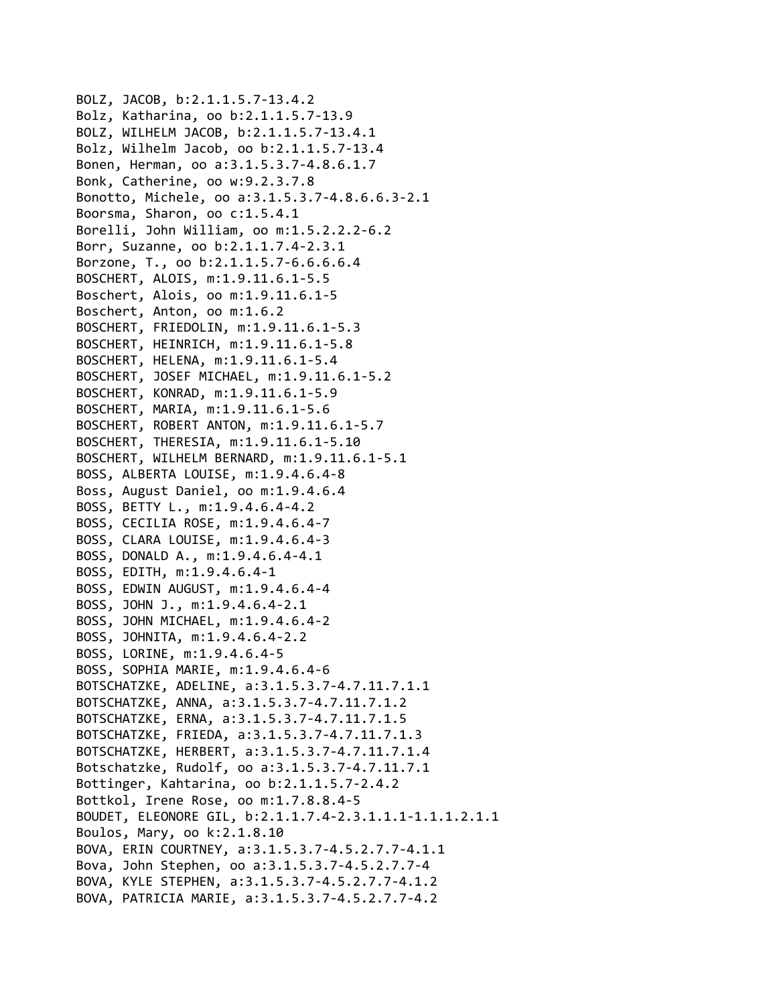BOLZ, JACOB, b:2.1.1.5.7‐13.4.2 Bolz, Katharina, oo b:2.1.1.5.7‐13.9 BOLZ, WILHELM JACOB, b:2.1.1.5.7‐13.4.1 Bolz, Wilhelm Jacob, oo b:2.1.1.5.7‐13.4 Bonen, Herman, oo a:3.1.5.3.7‐4.8.6.1.7 Bonk, Catherine, oo w:9.2.3.7.8 Bonotto, Michele, oo a:3.1.5.3.7‐4.8.6.6.3‐2.1 Boorsma, Sharon, oo c:1.5.4.1 Borelli, John William, oo m:1.5.2.2.2‐6.2 Borr, Suzanne, oo b:2.1.1.7.4‐2.3.1 Borzone, T., oo b:2.1.1.5.7‐6.6.6.6.4 BOSCHERT, ALOIS, m:1.9.11.6.1‐5.5 Boschert, Alois, oo m:1.9.11.6.1‐5 Boschert, Anton, oo m:1.6.2 BOSCHERT, FRIEDOLIN, m:1.9.11.6.1‐5.3 BOSCHERT, HEINRICH, m:1.9.11.6.1‐5.8 BOSCHERT, HELENA, m:1.9.11.6.1‐5.4 BOSCHERT, JOSEF MICHAEL, m:1.9.11.6.1‐5.2 BOSCHERT, KONRAD, m:1.9.11.6.1‐5.9 BOSCHERT, MARIA, m:1.9.11.6.1‐5.6 BOSCHERT, ROBERT ANTON, m:1.9.11.6.1‐5.7 BOSCHERT, THERESIA, m:1.9.11.6.1‐5.10 BOSCHERT, WILHELM BERNARD, m:1.9.11.6.1‐5.1 BOSS, ALBERTA LOUISE, m:1.9.4.6.4‐8 Boss, August Daniel, oo m:1.9.4.6.4 BOSS, BETTY L., m:1.9.4.6.4‐4.2 BOSS, CECILIA ROSE, m:1.9.4.6.4‐7 BOSS, CLARA LOUISE, m:1.9.4.6.4‐3 BOSS, DONALD A., m:1.9.4.6.4‐4.1 BOSS, EDITH, m:1.9.4.6.4‐1 BOSS, EDWIN AUGUST, m:1.9.4.6.4‐4 BOSS, JOHN J., m:1.9.4.6.4‐2.1 BOSS, JOHN MICHAEL, m:1.9.4.6.4‐2 BOSS, JOHNITA, m:1.9.4.6.4‐2.2 BOSS, LORINE, m:1.9.4.6.4‐5 BOSS, SOPHIA MARIE, m:1.9.4.6.4‐6 BOTSCHATZKE, ADELINE, a:3.1.5.3.7‐4.7.11.7.1.1 BOTSCHATZKE, ANNA, a:3.1.5.3.7‐4.7.11.7.1.2 BOTSCHATZKE, ERNA, a:3.1.5.3.7‐4.7.11.7.1.5 BOTSCHATZKE, FRIEDA, a:3.1.5.3.7‐4.7.11.7.1.3 BOTSCHATZKE, HERBERT, a:3.1.5.3.7‐4.7.11.7.1.4 Botschatzke, Rudolf, oo a:3.1.5.3.7‐4.7.11.7.1 Bottinger, Kahtarina, oo b:2.1.1.5.7‐2.4.2 Bottkol, Irene Rose, oo m:1.7.8.8.4‐5 BOUDET, ELEONORE GIL, b:2.1.1.7.4‐2.3.1.1.1‐1.1.1.2.1.1 Boulos, Mary, oo k:2.1.8.10 BOVA, ERIN COURTNEY, a:3.1.5.3.7‐4.5.2.7.7‐4.1.1 Bova, John Stephen, oo a:3.1.5.3.7‐4.5.2.7.7‐4 BOVA, KYLE STEPHEN, a:3.1.5.3.7‐4.5.2.7.7‐4.1.2 BOVA, PATRICIA MARIE, a:3.1.5.3.7‐4.5.2.7.7‐4.2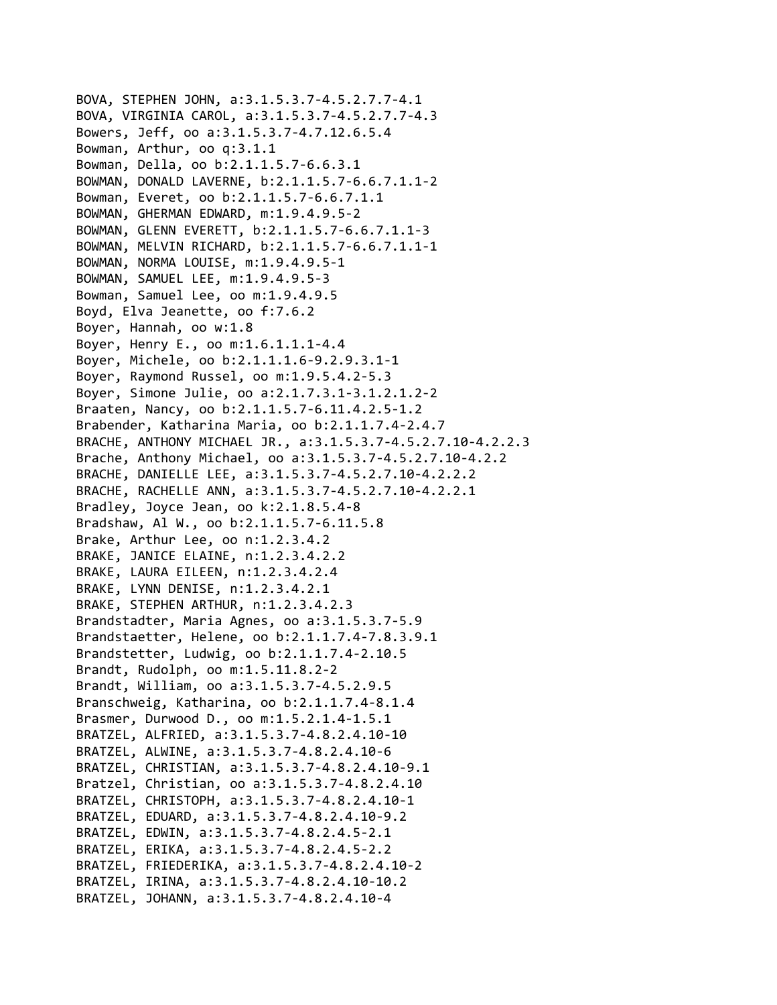```
BOVA, STEPHEN JOHN, a:3.1.5.3.7‐4.5.2.7.7‐4.1
BOVA, VIRGINIA CAROL, a:3.1.5.3.7‐4.5.2.7.7‐4.3
Bowers, Jeff, oo a:3.1.5.3.7‐4.7.12.6.5.4
Bowman, Arthur, oo q:3.1.1
Bowman, Della, oo b:2.1.1.5.7‐6.6.3.1
BOWMAN, DONALD LAVERNE, b:2.1.1.5.7‐6.6.7.1.1‐2
Bowman, Everet, oo b:2.1.1.5.7‐6.6.7.1.1
BOWMAN, GHERMAN EDWARD, m:1.9.4.9.5‐2
BOWMAN, GLENN EVERETT, b:2.1.1.5.7‐6.6.7.1.1‐3
BOWMAN, MELVIN RICHARD, b:2.1.1.5.7‐6.6.7.1.1‐1
BOWMAN, NORMA LOUISE, m:1.9.4.9.5‐1
BOWMAN, SAMUEL LEE, m:1.9.4.9.5‐3
Bowman, Samuel Lee, oo m:1.9.4.9.5
Boyd, Elva Jeanette, oo f:7.6.2
Boyer, Hannah, oo w:1.8
Boyer, Henry E., oo m:1.6.1.1.1‐4.4
Boyer, Michele, oo b:2.1.1.1.6‐9.2.9.3.1‐1
Boyer, Raymond Russel, oo m:1.9.5.4.2‐5.3
Boyer, Simone Julie, oo a:2.1.7.3.1‐3.1.2.1.2‐2
Braaten, Nancy, oo b:2.1.1.5.7‐6.11.4.2.5‐1.2
Brabender, Katharina Maria, oo b:2.1.1.7.4‐2.4.7
BRACHE, ANTHONY MICHAEL JR., a:3.1.5.3.7‐4.5.2.7.10‐4.2.2.3
Brache, Anthony Michael, oo a:3.1.5.3.7‐4.5.2.7.10‐4.2.2
BRACHE, DANIELLE LEE, a:3.1.5.3.7‐4.5.2.7.10‐4.2.2.2
BRACHE, RACHELLE ANN, a:3.1.5.3.7‐4.5.2.7.10‐4.2.2.1
Bradley, Joyce Jean, oo k:2.1.8.5.4‐8
Bradshaw, Al W., oo b:2.1.1.5.7‐6.11.5.8
Brake, Arthur Lee, oo n:1.2.3.4.2
BRAKE, JANICE ELAINE, n:1.2.3.4.2.2
BRAKE, LAURA EILEEN, n:1.2.3.4.2.4
BRAKE, LYNN DENISE, n:1.2.3.4.2.1
BRAKE, STEPHEN ARTHUR, n:1.2.3.4.2.3
Brandstadter, Maria Agnes, oo a:3.1.5.3.7‐5.9
Brandstaetter, Helene, oo b:2.1.1.7.4‐7.8.3.9.1
Brandstetter, Ludwig, oo b:2.1.1.7.4‐2.10.5
Brandt, Rudolph, oo m:1.5.11.8.2‐2
Brandt, William, oo a:3.1.5.3.7‐4.5.2.9.5
Branschweig, Katharina, oo b:2.1.1.7.4‐8.1.4
Brasmer, Durwood D., oo m:1.5.2.1.4‐1.5.1
BRATZEL, ALFRIED, a:3.1.5.3.7‐4.8.2.4.10‐10
BRATZEL, ALWINE, a:3.1.5.3.7‐4.8.2.4.10‐6
BRATZEL, CHRISTIAN, a:3.1.5.3.7‐4.8.2.4.10‐9.1
Bratzel, Christian, oo a:3.1.5.3.7‐4.8.2.4.10
BRATZEL, CHRISTOPH, a:3.1.5.3.7‐4.8.2.4.10‐1
BRATZEL, EDUARD, a:3.1.5.3.7‐4.8.2.4.10‐9.2
BRATZEL, EDWIN, a:3.1.5.3.7‐4.8.2.4.5‐2.1
BRATZEL, ERIKA, a:3.1.5.3.7‐4.8.2.4.5‐2.2
BRATZEL, FRIEDERIKA, a:3.1.5.3.7‐4.8.2.4.10‐2
BRATZEL, IRINA, a:3.1.5.3.7‐4.8.2.4.10‐10.2
BRATZEL, JOHANN, a:3.1.5.3.7‐4.8.2.4.10‐4
```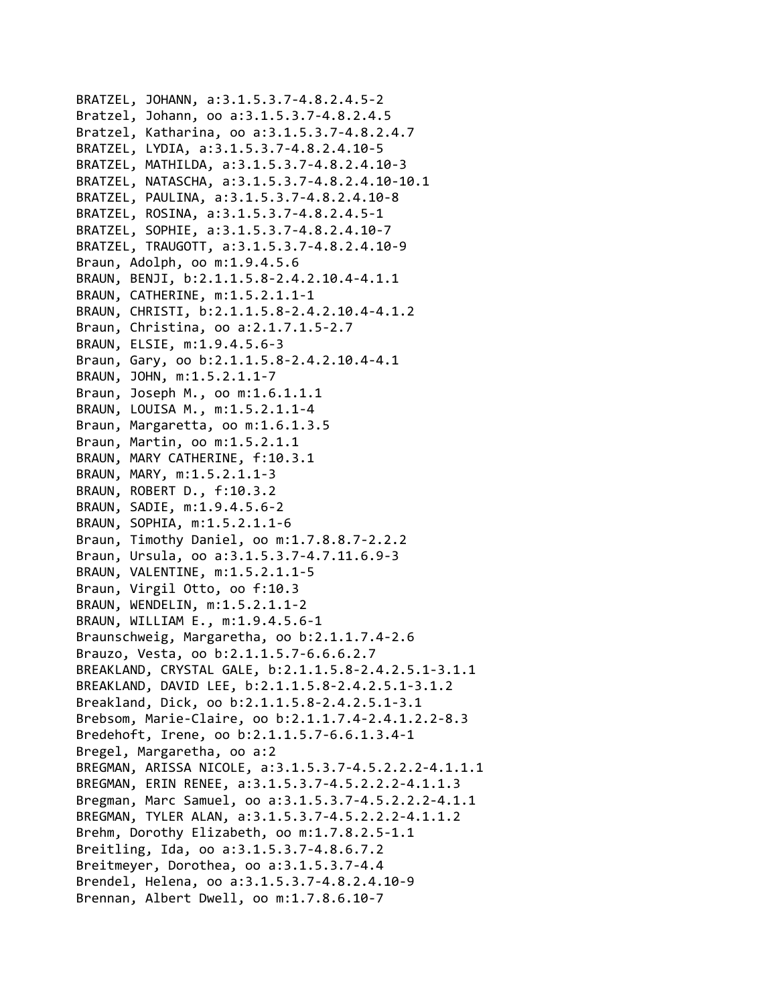```
BRATZEL, JOHANN, a:3.1.5.3.7‐4.8.2.4.5‐2
Bratzel, Johann, oo a:3.1.5.3.7‐4.8.2.4.5
Bratzel, Katharina, oo a:3.1.5.3.7‐4.8.2.4.7
BRATZEL, LYDIA, a:3.1.5.3.7‐4.8.2.4.10‐5
BRATZEL, MATHILDA, a:3.1.5.3.7‐4.8.2.4.10‐3
BRATZEL, NATASCHA, a:3.1.5.3.7‐4.8.2.4.10‐10.1
BRATZEL, PAULINA, a:3.1.5.3.7‐4.8.2.4.10‐8
BRATZEL, ROSINA, a:3.1.5.3.7‐4.8.2.4.5‐1
BRATZEL, SOPHIE, a:3.1.5.3.7‐4.8.2.4.10‐7
BRATZEL, TRAUGOTT, a:3.1.5.3.7‐4.8.2.4.10‐9
Braun, Adolph, oo m:1.9.4.5.6
BRAUN, BENJI, b:2.1.1.5.8‐2.4.2.10.4‐4.1.1
BRAUN, CATHERINE, m:1.5.2.1.1‐1
BRAUN, CHRISTI, b:2.1.1.5.8‐2.4.2.10.4‐4.1.2
Braun, Christina, oo a:2.1.7.1.5‐2.7
BRAUN, ELSIE, m:1.9.4.5.6‐3
Braun, Gary, oo b:2.1.1.5.8‐2.4.2.10.4‐4.1
BRAUN, JOHN, m:1.5.2.1.1‐7
Braun, Joseph M., oo m:1.6.1.1.1
BRAUN, LOUISA M., m:1.5.2.1.1‐4
Braun, Margaretta, oo m:1.6.1.3.5
Braun, Martin, oo m:1.5.2.1.1
BRAUN, MARY CATHERINE, f:10.3.1
BRAUN, MARY, m:1.5.2.1.1‐3
BRAUN, ROBERT D., f:10.3.2
BRAUN, SADIE, m:1.9.4.5.6‐2
BRAUN, SOPHIA, m:1.5.2.1.1‐6
Braun, Timothy Daniel, oo m:1.7.8.8.7‐2.2.2
Braun, Ursula, oo a:3.1.5.3.7‐4.7.11.6.9‐3
BRAUN, VALENTINE, m:1.5.2.1.1‐5
Braun, Virgil Otto, oo f:10.3
BRAUN, WENDELIN, m:1.5.2.1.1‐2
BRAUN, WILLIAM E., m:1.9.4.5.6‐1
Braunschweig, Margaretha, oo b:2.1.1.7.4‐2.6
Brauzo, Vesta, oo b:2.1.1.5.7‐6.6.6.2.7
BREAKLAND, CRYSTAL GALE, b:2.1.1.5.8‐2.4.2.5.1‐3.1.1
BREAKLAND, DAVID LEE, b:2.1.1.5.8‐2.4.2.5.1‐3.1.2
Breakland, Dick, oo b:2.1.1.5.8‐2.4.2.5.1‐3.1
Brebsom, Marie‐Claire, oo b:2.1.1.7.4‐2.4.1.2.2‐8.3
Bredehoft, Irene, oo b:2.1.1.5.7‐6.6.1.3.4‐1
Bregel, Margaretha, oo a:2
BREGMAN, ARISSA NICOLE, a:3.1.5.3.7‐4.5.2.2.2‐4.1.1.1
BREGMAN, ERIN RENEE, a:3.1.5.3.7‐4.5.2.2.2‐4.1.1.3
Bregman, Marc Samuel, oo a:3.1.5.3.7‐4.5.2.2.2‐4.1.1
BREGMAN, TYLER ALAN, a:3.1.5.3.7‐4.5.2.2.2‐4.1.1.2
Brehm, Dorothy Elizabeth, oo m:1.7.8.2.5‐1.1
Breitling, Ida, oo a:3.1.5.3.7‐4.8.6.7.2
Breitmeyer, Dorothea, oo a:3.1.5.3.7‐4.4
Brendel, Helena, oo a:3.1.5.3.7‐4.8.2.4.10‐9
Brennan, Albert Dwell, oo m:1.7.8.6.10‐7
```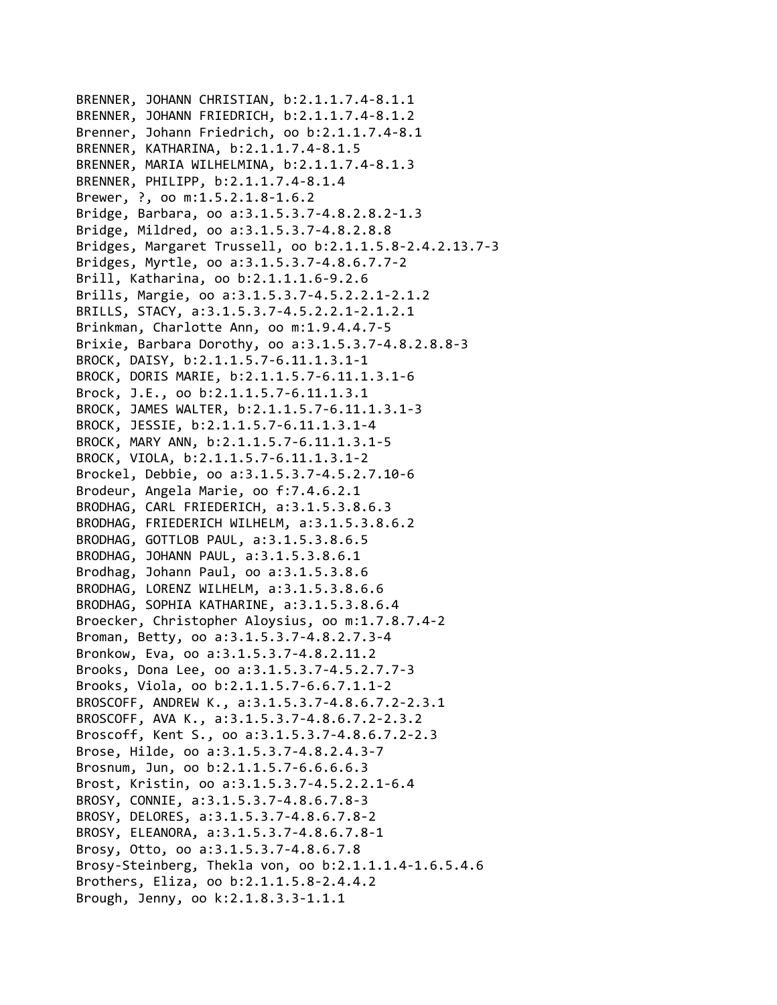```
BRENNER, JOHANN CHRISTIAN, b:2.1.1.7.4‐8.1.1
BRENNER, JOHANN FRIEDRICH, b:2.1.1.7.4‐8.1.2
Brenner, Johann Friedrich, oo b:2.1.1.7.4‐8.1
BRENNER, KATHARINA, b:2.1.1.7.4‐8.1.5
BRENNER, MARIA WILHELMINA, b:2.1.1.7.4‐8.1.3
BRENNER, PHILIPP, b:2.1.1.7.4‐8.1.4
Brewer, ?, oo m:1.5.2.1.8‐1.6.2
Bridge, Barbara, oo a:3.1.5.3.7‐4.8.2.8.2‐1.3
Bridge, Mildred, oo a:3.1.5.3.7‐4.8.2.8.8
Bridges, Margaret Trussell, oo b:2.1.1.5.8‐2.4.2.13.7‐3
Bridges, Myrtle, oo a:3.1.5.3.7‐4.8.6.7.7‐2
Brill, Katharina, oo b:2.1.1.1.6‐9.2.6
Brills, Margie, oo a:3.1.5.3.7‐4.5.2.2.1‐2.1.2
BRILLS, STACY, a:3.1.5.3.7‐4.5.2.2.1‐2.1.2.1
Brinkman, Charlotte Ann, oo m:1.9.4.4.7‐5
Brixie, Barbara Dorothy, oo a:3.1.5.3.7‐4.8.2.8.8‐3
BROCK, DAISY, b:2.1.1.5.7‐6.11.1.3.1‐1
BROCK, DORIS MARIE, b:2.1.1.5.7‐6.11.1.3.1‐6
Brock, J.E., oo b:2.1.1.5.7‐6.11.1.3.1
BROCK, JAMES WALTER, b:2.1.1.5.7‐6.11.1.3.1‐3
BROCK, JESSIE, b:2.1.1.5.7‐6.11.1.3.1‐4
BROCK, MARY ANN, b:2.1.1.5.7‐6.11.1.3.1‐5
BROCK, VIOLA, b:2.1.1.5.7‐6.11.1.3.1‐2
Brockel, Debbie, oo a:3.1.5.3.7‐4.5.2.7.10‐6
Brodeur, Angela Marie, oo f:7.4.6.2.1
BRODHAG, CARL FRIEDERICH, a:3.1.5.3.8.6.3
BRODHAG, FRIEDERICH WILHELM, a:3.1.5.3.8.6.2
BRODHAG, GOTTLOB PAUL, a:3.1.5.3.8.6.5
BRODHAG, JOHANN PAUL, a:3.1.5.3.8.6.1
Brodhag, Johann Paul, oo a:3.1.5.3.8.6
BRODHAG, LORENZ WILHELM, a:3.1.5.3.8.6.6
BRODHAG, SOPHIA KATHARINE, a:3.1.5.3.8.6.4
Broecker, Christopher Aloysius, oo m:1.7.8.7.4‐2
Broman, Betty, oo a:3.1.5.3.7‐4.8.2.7.3‐4
Bronkow, Eva, oo a:3.1.5.3.7‐4.8.2.11.2
Brooks, Dona Lee, oo a:3.1.5.3.7‐4.5.2.7.7‐3
Brooks, Viola, oo b:2.1.1.5.7‐6.6.7.1.1‐2
BROSCOFF, ANDREW K., a:3.1.5.3.7‐4.8.6.7.2‐2.3.1
BROSCOFF, AVA K., a:3.1.5.3.7‐4.8.6.7.2‐2.3.2
Broscoff, Kent S., oo a:3.1.5.3.7‐4.8.6.7.2‐2.3
Brose, Hilde, oo a:3.1.5.3.7‐4.8.2.4.3‐7
Brosnum, Jun, oo b:2.1.1.5.7‐6.6.6.6.3
Brost, Kristin, oo a:3.1.5.3.7‐4.5.2.2.1‐6.4
BROSY, CONNIE, a:3.1.5.3.7‐4.8.6.7.8‐3
BROSY, DELORES, a:3.1.5.3.7‐4.8.6.7.8‐2
BROSY, ELEANORA, a:3.1.5.3.7‐4.8.6.7.8‐1
Brosy, Otto, oo a:3.1.5.3.7‐4.8.6.7.8
Brosy‐Steinberg, Thekla von, oo b:2.1.1.1.4‐1.6.5.4.6
Brothers, Eliza, oo b:2.1.1.5.8‐2.4.4.2
Brough, Jenny, oo k:2.1.8.3.3‐1.1.1
```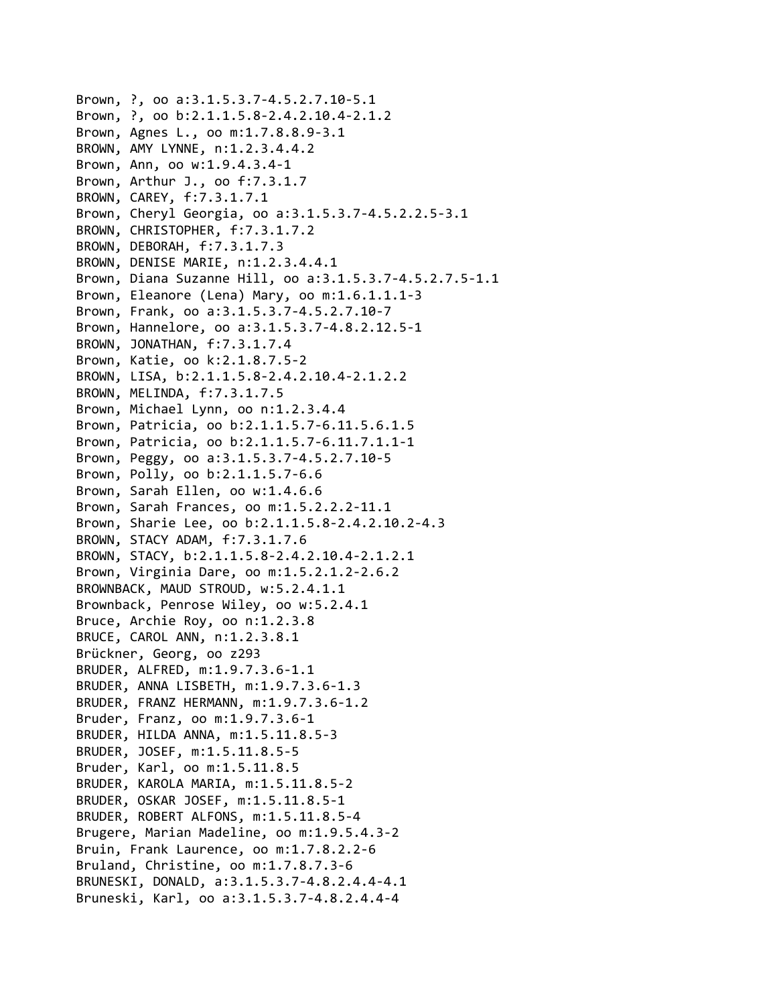```
Brown, ?, oo a:3.1.5.3.7‐4.5.2.7.10‐5.1
Brown, ?, oo b:2.1.1.5.8‐2.4.2.10.4‐2.1.2
Brown, Agnes L., oo m:1.7.8.8.9‐3.1
BROWN, AMY LYNNE, n:1.2.3.4.4.2
Brown, Ann, oo w:1.9.4.3.4‐1
Brown, Arthur J., oo f:7.3.1.7
BROWN, CAREY, f:7.3.1.7.1
Brown, Cheryl Georgia, oo a:3.1.5.3.7‐4.5.2.2.5‐3.1
BROWN, CHRISTOPHER, f:7.3.1.7.2
BROWN, DEBORAH, f:7.3.1.7.3
BROWN, DENISE MARIE, n:1.2.3.4.4.1
Brown, Diana Suzanne Hill, oo a:3.1.5.3.7‐4.5.2.7.5‐1.1
Brown, Eleanore (Lena) Mary, oo m:1.6.1.1.1‐3
Brown, Frank, oo a:3.1.5.3.7‐4.5.2.7.10‐7
Brown, Hannelore, oo a:3.1.5.3.7‐4.8.2.12.5‐1
BROWN, JONATHAN, f:7.3.1.7.4
Brown, Katie, oo k:2.1.8.7.5‐2
BROWN, LISA, b:2.1.1.5.8‐2.4.2.10.4‐2.1.2.2
BROWN, MELINDA, f:7.3.1.7.5
Brown, Michael Lynn, oo n:1.2.3.4.4
Brown, Patricia, oo b:2.1.1.5.7‐6.11.5.6.1.5
Brown, Patricia, oo b:2.1.1.5.7‐6.11.7.1.1‐1
Brown, Peggy, oo a:3.1.5.3.7‐4.5.2.7.10‐5
Brown, Polly, oo b:2.1.1.5.7‐6.6
Brown, Sarah Ellen, oo w:1.4.6.6
Brown, Sarah Frances, oo m:1.5.2.2.2‐11.1
Brown, Sharie Lee, oo b:2.1.1.5.8‐2.4.2.10.2‐4.3
BROWN, STACY ADAM, f:7.3.1.7.6
BROWN, STACY, b:2.1.1.5.8‐2.4.2.10.4‐2.1.2.1
Brown, Virginia Dare, oo m:1.5.2.1.2‐2.6.2
BROWNBACK, MAUD STROUD, w:5.2.4.1.1
Brownback, Penrose Wiley, oo w:5.2.4.1
Bruce, Archie Roy, oo n:1.2.3.8
BRUCE, CAROL ANN, n:1.2.3.8.1
Brückner, Georg, oo z293
BRUDER, ALFRED, m:1.9.7.3.6‐1.1
BRUDER, ANNA LISBETH, m:1.9.7.3.6‐1.3
BRUDER, FRANZ HERMANN, m:1.9.7.3.6‐1.2
Bruder, Franz, oo m:1.9.7.3.6‐1
BRUDER, HILDA ANNA, m:1.5.11.8.5‐3
BRUDER, JOSEF, m:1.5.11.8.5‐5
Bruder, Karl, oo m:1.5.11.8.5
BRUDER, KAROLA MARIA, m:1.5.11.8.5‐2
BRUDER, OSKAR JOSEF, m:1.5.11.8.5‐1
BRUDER, ROBERT ALFONS, m:1.5.11.8.5‐4
Brugere, Marian Madeline, oo m:1.9.5.4.3‐2
Bruin, Frank Laurence, oo m:1.7.8.2.2‐6
Bruland, Christine, oo m:1.7.8.7.3‐6
BRUNESKI, DONALD, a:3.1.5.3.7‐4.8.2.4.4‐4.1
Bruneski, Karl, oo a:3.1.5.3.7‐4.8.2.4.4‐4
```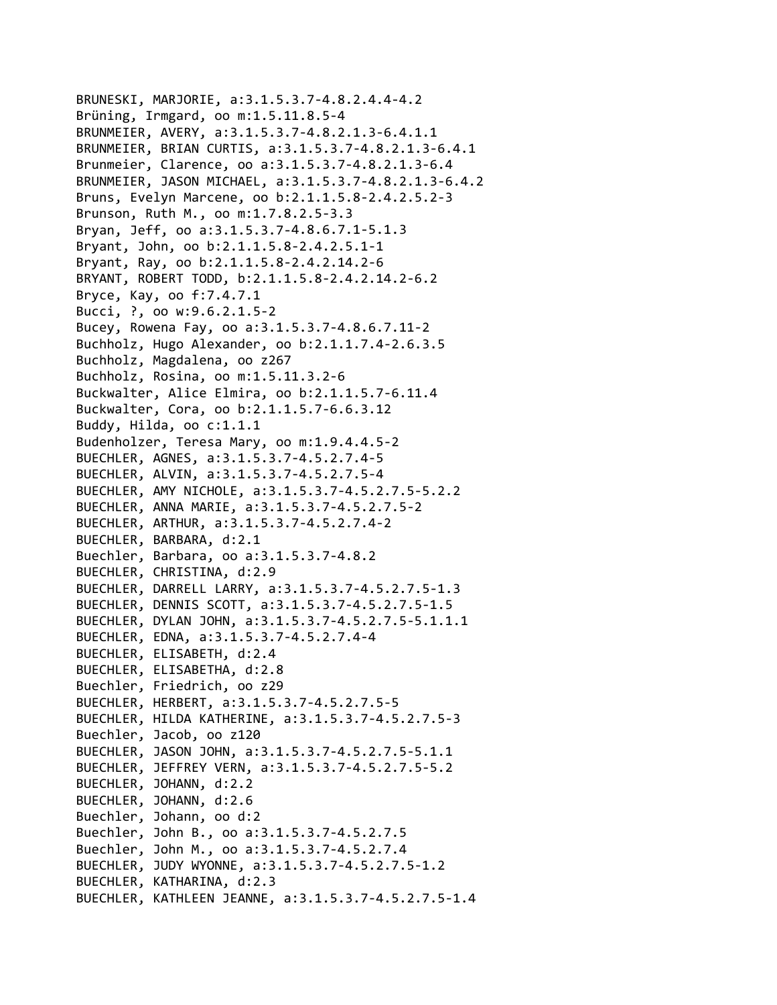```
BRUNESKI, MARJORIE, a:3.1.5.3.7‐4.8.2.4.4‐4.2
Brüning, Irmgard, oo m:1.5.11.8.5‐4
BRUNMEIER, AVERY, a:3.1.5.3.7‐4.8.2.1.3‐6.4.1.1
BRUNMEIER, BRIAN CURTIS, a:3.1.5.3.7‐4.8.2.1.3‐6.4.1
Brunmeier, Clarence, oo a:3.1.5.3.7‐4.8.2.1.3‐6.4
BRUNMEIER, JASON MICHAEL, a:3.1.5.3.7‐4.8.2.1.3‐6.4.2
Bruns, Evelyn Marcene, oo b:2.1.1.5.8‐2.4.2.5.2‐3
Brunson, Ruth M., oo m:1.7.8.2.5‐3.3
Bryan, Jeff, oo a:3.1.5.3.7‐4.8.6.7.1‐5.1.3
Bryant, John, oo b:2.1.1.5.8‐2.4.2.5.1‐1
Bryant, Ray, oo b:2.1.1.5.8‐2.4.2.14.2‐6
BRYANT, ROBERT TODD, b:2.1.1.5.8‐2.4.2.14.2‐6.2
Bryce, Kay, oo f:7.4.7.1
Bucci, ?, oo w:9.6.2.1.5‐2
Bucey, Rowena Fay, oo a:3.1.5.3.7‐4.8.6.7.11‐2
Buchholz, Hugo Alexander, oo b:2.1.1.7.4‐2.6.3.5
Buchholz, Magdalena, oo z267
Buchholz, Rosina, oo m:1.5.11.3.2‐6
Buckwalter, Alice Elmira, oo b:2.1.1.5.7‐6.11.4
Buckwalter, Cora, oo b:2.1.1.5.7‐6.6.3.12
Buddy, Hilda, oo c:1.1.1
Budenholzer, Teresa Mary, oo m:1.9.4.4.5‐2
BUECHLER, AGNES, a:3.1.5.3.7‐4.5.2.7.4‐5
BUECHLER, ALVIN, a:3.1.5.3.7‐4.5.2.7.5‐4
BUECHLER, AMY NICHOLE, a:3.1.5.3.7‐4.5.2.7.5‐5.2.2
BUECHLER, ANNA MARIE, a:3.1.5.3.7‐4.5.2.7.5‐2
BUECHLER, ARTHUR, a:3.1.5.3.7‐4.5.2.7.4‐2
BUECHLER, BARBARA, d:2.1
Buechler, Barbara, oo a:3.1.5.3.7‐4.8.2
BUECHLER, CHRISTINA, d:2.9
BUECHLER, DARRELL LARRY, a:3.1.5.3.7‐4.5.2.7.5‐1.3
BUECHLER, DENNIS SCOTT, a:3.1.5.3.7‐4.5.2.7.5‐1.5
BUECHLER, DYLAN JOHN, a:3.1.5.3.7‐4.5.2.7.5‐5.1.1.1
BUECHLER, EDNA, a:3.1.5.3.7‐4.5.2.7.4‐4
BUECHLER, ELISABETH, d:2.4
BUECHLER, ELISABETHA, d:2.8
Buechler, Friedrich, oo z29
BUECHLER, HERBERT, a:3.1.5.3.7‐4.5.2.7.5‐5
BUECHLER, HILDA KATHERINE, a:3.1.5.3.7‐4.5.2.7.5‐3
Buechler, Jacob, oo z120
BUECHLER, JASON JOHN, a:3.1.5.3.7‐4.5.2.7.5‐5.1.1
BUECHLER, JEFFREY VERN, a:3.1.5.3.7‐4.5.2.7.5‐5.2
BUECHLER, JOHANN, d:2.2
BUECHLER, JOHANN, d:2.6
Buechler, Johann, oo d:2
Buechler, John B., oo a:3.1.5.3.7‐4.5.2.7.5
Buechler, John M., oo a:3.1.5.3.7‐4.5.2.7.4
BUECHLER, JUDY WYONNE, a:3.1.5.3.7‐4.5.2.7.5‐1.2
BUECHLER, KATHARINA, d:2.3
BUECHLER, KATHLEEN JEANNE, a:3.1.5.3.7‐4.5.2.7.5‐1.4
```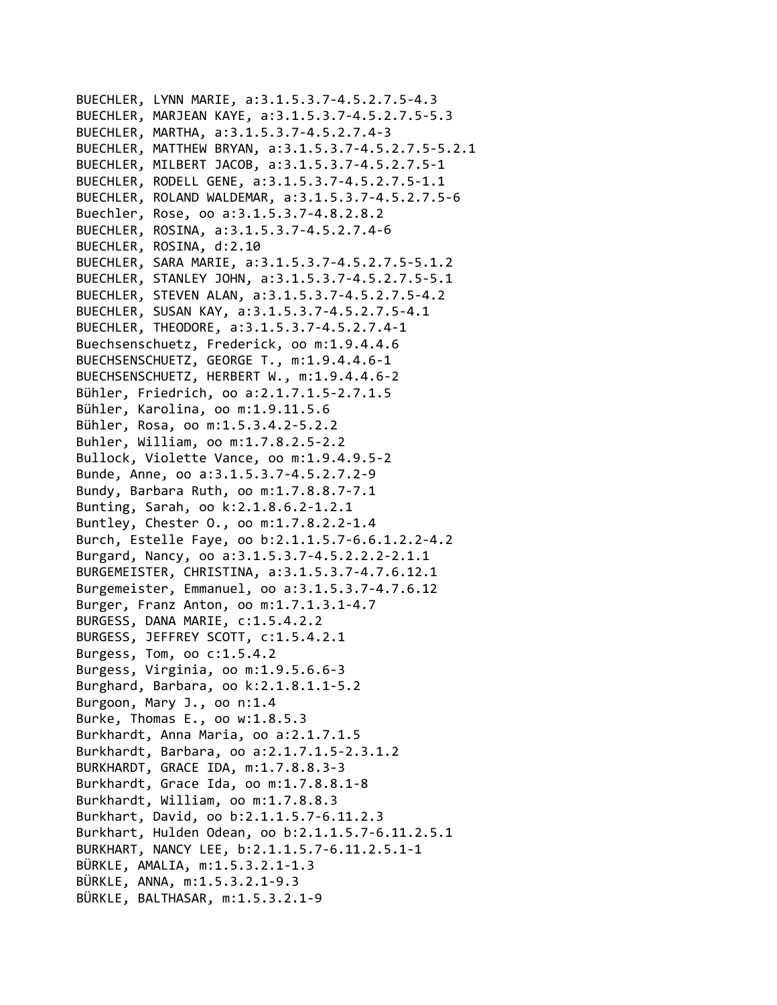```
BUECHLER, LYNN MARIE, a:3.1.5.3.7‐4.5.2.7.5‐4.3
BUECHLER, MARJEAN KAYE, a:3.1.5.3.7‐4.5.2.7.5‐5.3
BUECHLER, MARTHA, a:3.1.5.3.7‐4.5.2.7.4‐3
BUECHLER, MATTHEW BRYAN, a:3.1.5.3.7‐4.5.2.7.5‐5.2.1
BUECHLER, MILBERT JACOB, a:3.1.5.3.7‐4.5.2.7.5‐1
BUECHLER, RODELL GENE, a:3.1.5.3.7‐4.5.2.7.5‐1.1
BUECHLER, ROLAND WALDEMAR, a:3.1.5.3.7‐4.5.2.7.5‐6
Buechler, Rose, oo a:3.1.5.3.7‐4.8.2.8.2
BUECHLER, ROSINA, a:3.1.5.3.7‐4.5.2.7.4‐6
BUECHLER, ROSINA, d:2.10
BUECHLER, SARA MARIE, a:3.1.5.3.7‐4.5.2.7.5‐5.1.2
BUECHLER, STANLEY JOHN, a:3.1.5.3.7‐4.5.2.7.5‐5.1
BUECHLER, STEVEN ALAN, a:3.1.5.3.7‐4.5.2.7.5‐4.2
BUECHLER, SUSAN KAY, a:3.1.5.3.7‐4.5.2.7.5‐4.1
BUECHLER, THEODORE, a:3.1.5.3.7‐4.5.2.7.4‐1
Buechsenschuetz, Frederick, oo m:1.9.4.4.6
BUECHSENSCHUETZ, GEORGE T., m:1.9.4.4.6‐1
BUECHSENSCHUETZ, HERBERT W., m:1.9.4.4.6‐2
Bühler, Friedrich, oo a:2.1.7.1.5‐2.7.1.5
Bühler, Karolina, oo m:1.9.11.5.6
Bühler, Rosa, oo m:1.5.3.4.2‐5.2.2
Buhler, William, oo m:1.7.8.2.5‐2.2
Bullock, Violette Vance, oo m:1.9.4.9.5‐2
Bunde, Anne, oo a:3.1.5.3.7‐4.5.2.7.2‐9
Bundy, Barbara Ruth, oo m:1.7.8.8.7‐7.1
Bunting, Sarah, oo k:2.1.8.6.2‐1.2.1
Buntley, Chester O., oo m:1.7.8.2.2‐1.4
Burch, Estelle Faye, oo b:2.1.1.5.7‐6.6.1.2.2‐4.2
Burgard, Nancy, oo a:3.1.5.3.7‐4.5.2.2.2‐2.1.1
BURGEMEISTER, CHRISTINA, a:3.1.5.3.7‐4.7.6.12.1
Burgemeister, Emmanuel, oo a:3.1.5.3.7‐4.7.6.12
Burger, Franz Anton, oo m:1.7.1.3.1‐4.7
BURGESS, DANA MARIE, c:1.5.4.2.2
BURGESS, JEFFREY SCOTT, c:1.5.4.2.1
Burgess, Tom, oo c:1.5.4.2
Burgess, Virginia, oo m:1.9.5.6.6‐3
Burghard, Barbara, oo k:2.1.8.1.1‐5.2
Burgoon, Mary J., oo n:1.4
Burke, Thomas E., oo w:1.8.5.3
Burkhardt, Anna Maria, oo a:2.1.7.1.5
Burkhardt, Barbara, oo a:2.1.7.1.5‐2.3.1.2
BURKHARDT, GRACE IDA, m:1.7.8.8.3‐3
Burkhardt, Grace Ida, oo m:1.7.8.8.1‐8
Burkhardt, William, oo m:1.7.8.8.3
Burkhart, David, oo b:2.1.1.5.7‐6.11.2.3
Burkhart, Hulden Odean, oo b:2.1.1.5.7‐6.11.2.5.1
BURKHART, NANCY LEE, b:2.1.1.5.7‐6.11.2.5.1‐1
BÜRKLE, AMALIA, m:1.5.3.2.1‐1.3
BÜRKLE, ANNA, m:1.5.3.2.1‐9.3
BÜRKLE, BALTHASAR, m:1.5.3.2.1‐9
```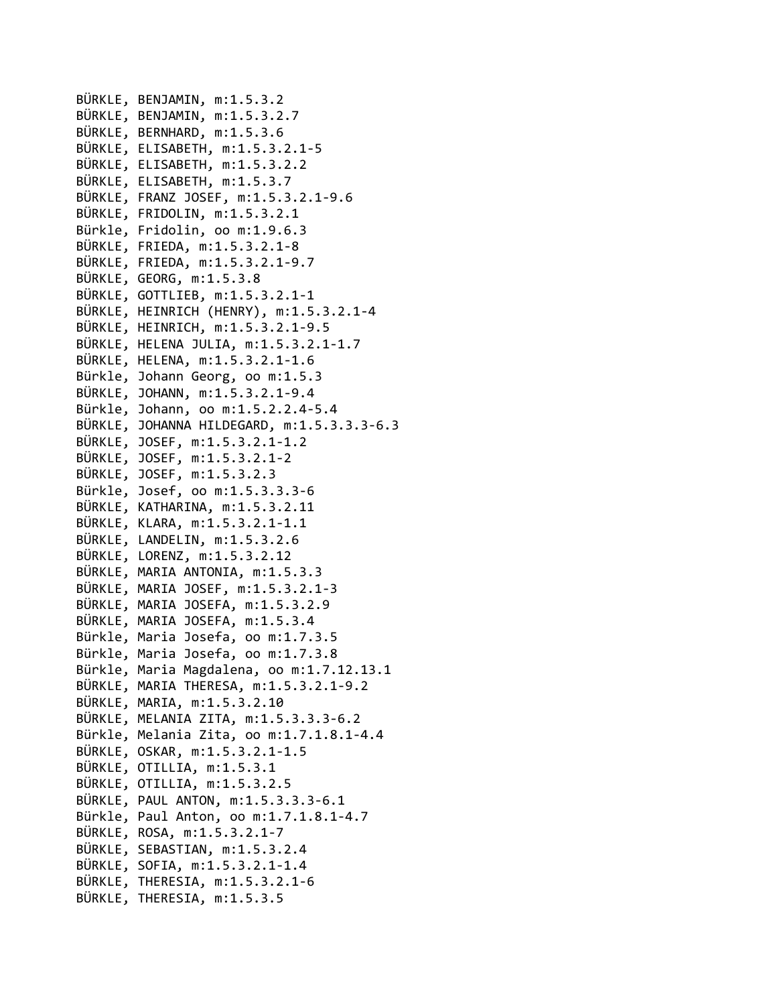```
BÜRKLE, BENJAMIN, m:1.5.3.2
BÜRKLE, BENJAMIN, m:1.5.3.2.7
BÜRKLE, BERNHARD, m:1.5.3.6
BÜRKLE, ELISABETH, m:1.5.3.2.1‐5
BÜRKLE, ELISABETH, m:1.5.3.2.2
BÜRKLE, ELISABETH, m:1.5.3.7
BÜRKLE, FRANZ JOSEF, m:1.5.3.2.1‐9.6
BÜRKLE, FRIDOLIN, m:1.5.3.2.1
Bürkle, Fridolin, oo m:1.9.6.3
BÜRKLE, FRIEDA, m:1.5.3.2.1‐8
BÜRKLE, FRIEDA, m:1.5.3.2.1‐9.7
BÜRKLE, GEORG, m:1.5.3.8
BÜRKLE, GOTTLIEB, m:1.5.3.2.1‐1
BÜRKLE, HEINRICH (HENRY), m:1.5.3.2.1‐4
BÜRKLE, HEINRICH, m:1.5.3.2.1‐9.5
BÜRKLE, HELENA JULIA, m:1.5.3.2.1‐1.7
BÜRKLE, HELENA, m:1.5.3.2.1‐1.6
Bürkle, Johann Georg, oo m:1.5.3
BÜRKLE, JOHANN, m:1.5.3.2.1‐9.4
Bürkle, Johann, oo m:1.5.2.2.4‐5.4
BÜRKLE, JOHANNA HILDEGARD, m:1.5.3.3.3‐6.3
BÜRKLE, JOSEF, m:1.5.3.2.1‐1.2
BÜRKLE, JOSEF, m:1.5.3.2.1‐2
BÜRKLE, JOSEF, m:1.5.3.2.3
Bürkle, Josef, oo m:1.5.3.3.3‐6
BÜRKLE, KATHARINA, m:1.5.3.2.11
BÜRKLE, KLARA, m:1.5.3.2.1‐1.1
BÜRKLE, LANDELIN, m:1.5.3.2.6
BÜRKLE, LORENZ, m:1.5.3.2.12
BÜRKLE, MARIA ANTONIA, m:1.5.3.3
BÜRKLE, MARIA JOSEF, m:1.5.3.2.1‐3
BÜRKLE, MARIA JOSEFA, m:1.5.3.2.9
BÜRKLE, MARIA JOSEFA, m:1.5.3.4
Bürkle, Maria Josefa, oo m:1.7.3.5
Bürkle, Maria Josefa, oo m:1.7.3.8
Bürkle, Maria Magdalena, oo m:1.7.12.13.1
BÜRKLE, MARIA THERESA, m:1.5.3.2.1‐9.2
BÜRKLE, MARIA, m:1.5.3.2.10
BÜRKLE, MELANIA ZITA, m:1.5.3.3.3‐6.2
Bürkle, Melania Zita, oo m:1.7.1.8.1‐4.4
BÜRKLE, OSKAR, m:1.5.3.2.1‐1.5
BÜRKLE, OTILLIA, m:1.5.3.1
BÜRKLE, OTILLIA, m:1.5.3.2.5
BÜRKLE, PAUL ANTON, m:1.5.3.3.3‐6.1
Bürkle, Paul Anton, oo m:1.7.1.8.1‐4.7
BÜRKLE, ROSA, m:1.5.3.2.1‐7
BÜRKLE, SEBASTIAN, m:1.5.3.2.4
BÜRKLE, SOFIA, m:1.5.3.2.1‐1.4
BÜRKLE, THERESIA, m:1.5.3.2.1‐6
BÜRKLE, THERESIA, m:1.5.3.5
```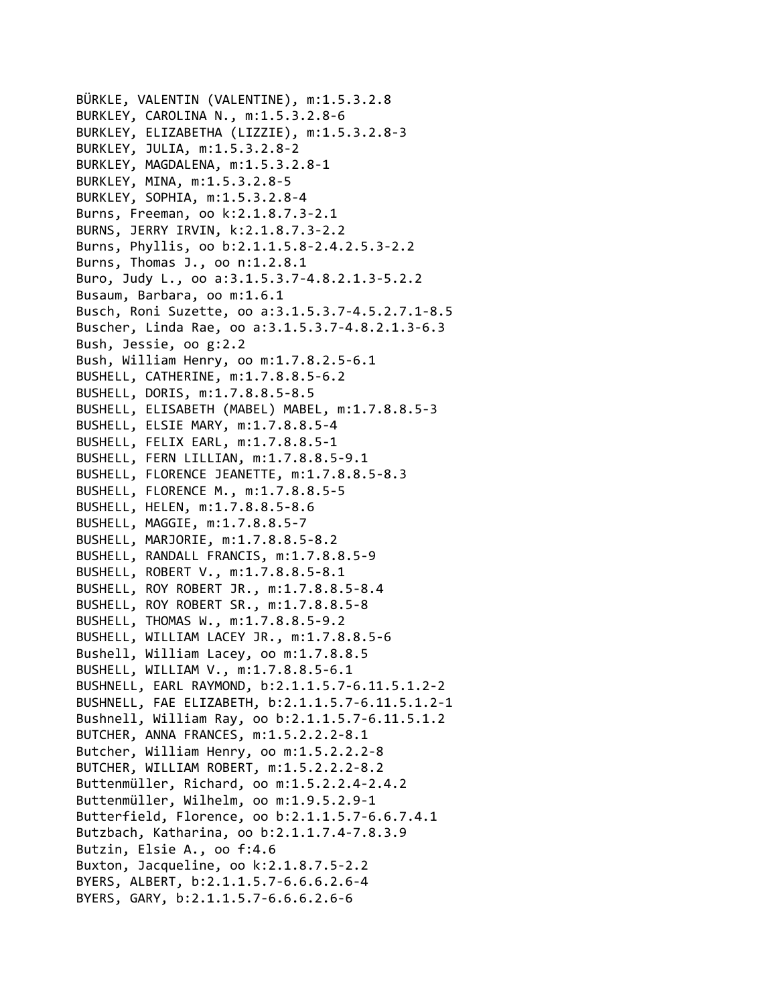```
BÜRKLE, VALENTIN (VALENTINE), m:1.5.3.2.8
BURKLEY, CAROLINA N., m:1.5.3.2.8‐6
BURKLEY, ELIZABETHA (LIZZIE), m:1.5.3.2.8‐3
BURKLEY, JULIA, m:1.5.3.2.8‐2
BURKLEY, MAGDALENA, m:1.5.3.2.8‐1
BURKLEY, MINA, m:1.5.3.2.8‐5
BURKLEY, SOPHIA, m:1.5.3.2.8‐4
Burns, Freeman, oo k:2.1.8.7.3‐2.1
BURNS, JERRY IRVIN, k:2.1.8.7.3‐2.2
Burns, Phyllis, oo b:2.1.1.5.8‐2.4.2.5.3‐2.2
Burns, Thomas J., oo n:1.2.8.1
Buro, Judy L., oo a:3.1.5.3.7‐4.8.2.1.3‐5.2.2
Busaum, Barbara, oo m:1.6.1
Busch, Roni Suzette, oo a:3.1.5.3.7‐4.5.2.7.1‐8.5
Buscher, Linda Rae, oo a:3.1.5.3.7‐4.8.2.1.3‐6.3
Bush, Jessie, oo g:2.2
Bush, William Henry, oo m:1.7.8.2.5‐6.1
BUSHELL, CATHERINE, m:1.7.8.8.5‐6.2
BUSHELL, DORIS, m:1.7.8.8.5‐8.5
BUSHELL, ELISABETH (MABEL) MABEL, m:1.7.8.8.5‐3
BUSHELL, ELSIE MARY, m:1.7.8.8.5‐4
BUSHELL, FELIX EARL, m:1.7.8.8.5‐1
BUSHELL, FERN LILLIAN, m:1.7.8.8.5‐9.1
BUSHELL, FLORENCE JEANETTE, m:1.7.8.8.5‐8.3
BUSHELL, FLORENCE M., m:1.7.8.8.5‐5
BUSHELL, HELEN, m:1.7.8.8.5‐8.6
BUSHELL, MAGGIE, m:1.7.8.8.5‐7
BUSHELL, MARJORIE, m:1.7.8.8.5‐8.2
BUSHELL, RANDALL FRANCIS, m:1.7.8.8.5‐9
BUSHELL, ROBERT V., m:1.7.8.8.5‐8.1
BUSHELL, ROY ROBERT JR., m:1.7.8.8.5‐8.4
BUSHELL, ROY ROBERT SR., m:1.7.8.8.5‐8
BUSHELL, THOMAS W., m:1.7.8.8.5‐9.2
BUSHELL, WILLIAM LACEY JR., m:1.7.8.8.5‐6
Bushell, William Lacey, oo m:1.7.8.8.5
BUSHELL, WILLIAM V., m:1.7.8.8.5‐6.1
BUSHNELL, EARL RAYMOND, b:2.1.1.5.7‐6.11.5.1.2‐2
BUSHNELL, FAE ELIZABETH, b:2.1.1.5.7‐6.11.5.1.2‐1
Bushnell, William Ray, oo b:2.1.1.5.7‐6.11.5.1.2
BUTCHER, ANNA FRANCES, m:1.5.2.2.2‐8.1
Butcher, William Henry, oo m:1.5.2.2.2‐8
BUTCHER, WILLIAM ROBERT, m:1.5.2.2.2‐8.2
Buttenmüller, Richard, oo m:1.5.2.2.4‐2.4.2
Buttenmüller, Wilhelm, oo m:1.9.5.2.9‐1
Butterfield, Florence, oo b:2.1.1.5.7‐6.6.7.4.1
Butzbach, Katharina, oo b:2.1.1.7.4‐7.8.3.9
Butzin, Elsie A., oo f:4.6
Buxton, Jacqueline, oo k:2.1.8.7.5‐2.2
BYERS, ALBERT, b:2.1.1.5.7‐6.6.6.2.6‐4
BYERS, GARY, b:2.1.1.5.7‐6.6.6.2.6‐6
```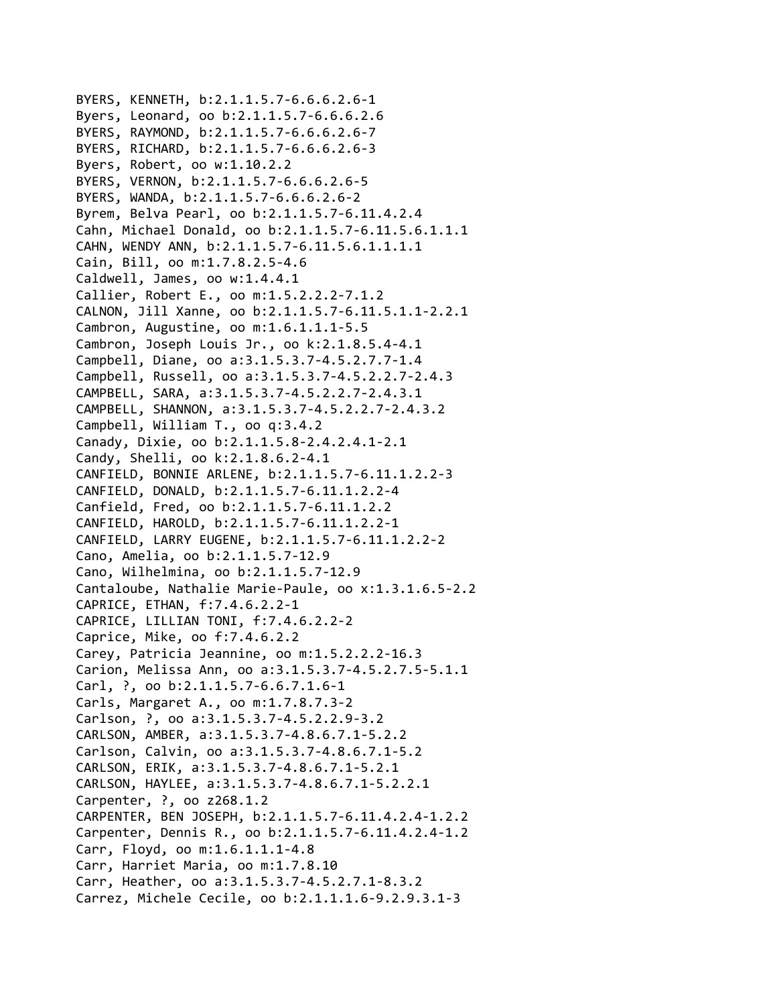BYERS, KENNETH, b:2.1.1.5.7‐6.6.6.2.6‐1 Byers, Leonard, oo b:2.1.1.5.7‐6.6.6.2.6 BYERS, RAYMOND, b:2.1.1.5.7‐6.6.6.2.6‐7 BYERS, RICHARD, b:2.1.1.5.7‐6.6.6.2.6‐3 Byers, Robert, oo w:1.10.2.2 BYERS, VERNON, b:2.1.1.5.7‐6.6.6.2.6‐5 BYERS, WANDA, b:2.1.1.5.7‐6.6.6.2.6‐2 Byrem, Belva Pearl, oo b:2.1.1.5.7‐6.11.4.2.4 Cahn, Michael Donald, oo b:2.1.1.5.7‐6.11.5.6.1.1.1 CAHN, WENDY ANN, b:2.1.1.5.7‐6.11.5.6.1.1.1.1 Cain, Bill, oo m:1.7.8.2.5‐4.6 Caldwell, James, oo w:1.4.4.1 Callier, Robert E., oo m:1.5.2.2.2‐7.1.2 CALNON, Jill Xanne, oo b:2.1.1.5.7‐6.11.5.1.1‐2.2.1 Cambron, Augustine, oo m:1.6.1.1.1‐5.5 Cambron, Joseph Louis Jr., oo k:2.1.8.5.4‐4.1 Campbell, Diane, oo a:3.1.5.3.7‐4.5.2.7.7‐1.4 Campbell, Russell, oo a:3.1.5.3.7‐4.5.2.2.7‐2.4.3 CAMPBELL, SARA, a:3.1.5.3.7‐4.5.2.2.7‐2.4.3.1 CAMPBELL, SHANNON, a:3.1.5.3.7‐4.5.2.2.7‐2.4.3.2 Campbell, William T., oo q:3.4.2 Canady, Dixie, oo b:2.1.1.5.8‐2.4.2.4.1‐2.1 Candy, Shelli, oo k:2.1.8.6.2‐4.1 CANFIELD, BONNIE ARLENE, b:2.1.1.5.7‐6.11.1.2.2‐3 CANFIELD, DONALD, b:2.1.1.5.7‐6.11.1.2.2‐4 Canfield, Fred, oo b:2.1.1.5.7‐6.11.1.2.2 CANFIELD, HAROLD, b:2.1.1.5.7‐6.11.1.2.2‐1 CANFIELD, LARRY EUGENE, b:2.1.1.5.7‐6.11.1.2.2‐2 Cano, Amelia, oo b:2.1.1.5.7‐12.9 Cano, Wilhelmina, oo b:2.1.1.5.7‐12.9 Cantaloube, Nathalie Marie‐Paule, oo x:1.3.1.6.5‐2.2 CAPRICE, ETHAN, f:7.4.6.2.2‐1 CAPRICE, LILLIAN TONI, f:7.4.6.2.2‐2 Caprice, Mike, oo f:7.4.6.2.2 Carey, Patricia Jeannine, oo m:1.5.2.2.2‐16.3 Carion, Melissa Ann, oo a:3.1.5.3.7‐4.5.2.7.5‐5.1.1 Carl, ?, oo b:2.1.1.5.7‐6.6.7.1.6‐1 Carls, Margaret A., oo m:1.7.8.7.3‐2 Carlson, ?, oo a:3.1.5.3.7‐4.5.2.2.9‐3.2 CARLSON, AMBER, a:3.1.5.3.7‐4.8.6.7.1‐5.2.2 Carlson, Calvin, oo a:3.1.5.3.7‐4.8.6.7.1‐5.2 CARLSON, ERIK, a:3.1.5.3.7‐4.8.6.7.1‐5.2.1 CARLSON, HAYLEE, a:3.1.5.3.7‐4.8.6.7.1‐5.2.2.1 Carpenter, ?, oo z268.1.2 CARPENTER, BEN JOSEPH, b:2.1.1.5.7‐6.11.4.2.4‐1.2.2 Carpenter, Dennis R., oo b:2.1.1.5.7‐6.11.4.2.4‐1.2 Carr, Floyd, oo m:1.6.1.1.1‐4.8 Carr, Harriet Maria, oo m:1.7.8.10 Carr, Heather, oo a:3.1.5.3.7‐4.5.2.7.1‐8.3.2 Carrez, Michele Cecile, oo b:2.1.1.1.6‐9.2.9.3.1‐3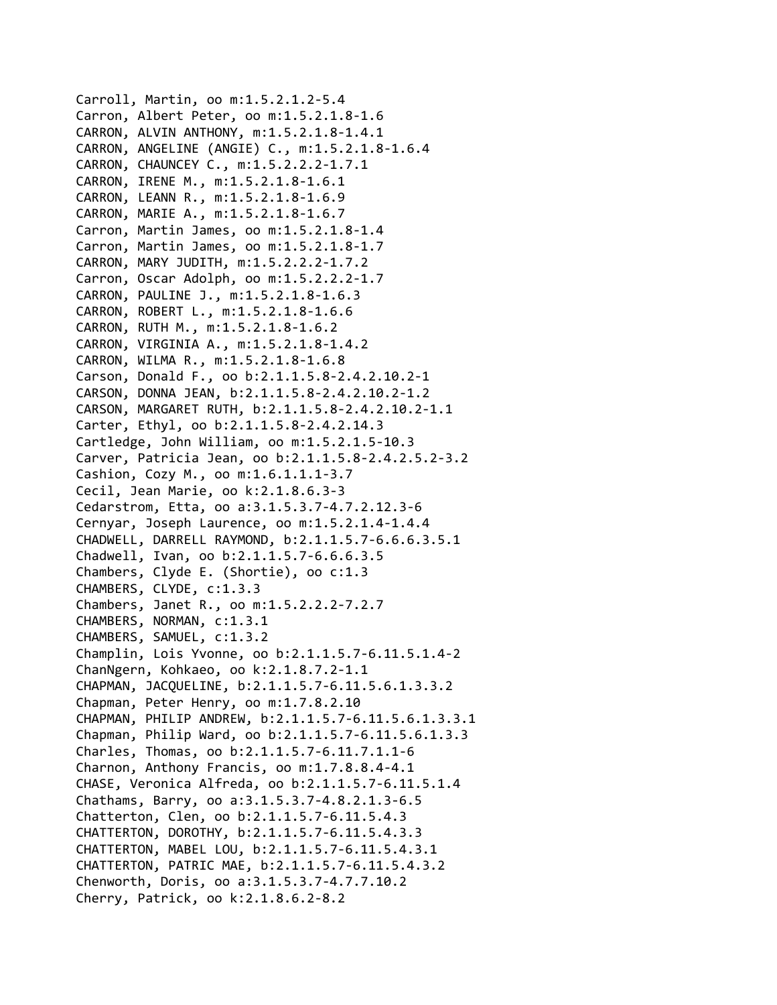Carroll, Martin, oo m:1.5.2.1.2‐5.4 Carron, Albert Peter, oo m:1.5.2.1.8‐1.6 CARRON, ALVIN ANTHONY, m:1.5.2.1.8‐1.4.1 CARRON, ANGELINE (ANGIE) C., m:1.5.2.1.8‐1.6.4 CARRON, CHAUNCEY C., m:1.5.2.2.2‐1.7.1 CARRON, IRENE M., m:1.5.2.1.8‐1.6.1 CARRON, LEANN R., m:1.5.2.1.8‐1.6.9 CARRON, MARIE A., m:1.5.2.1.8‐1.6.7 Carron, Martin James, oo m:1.5.2.1.8‐1.4 Carron, Martin James, oo m:1.5.2.1.8‐1.7 CARRON, MARY JUDITH, m:1.5.2.2.2‐1.7.2 Carron, Oscar Adolph, oo m:1.5.2.2.2‐1.7 CARRON, PAULINE J., m:1.5.2.1.8‐1.6.3 CARRON, ROBERT L., m:1.5.2.1.8‐1.6.6 CARRON, RUTH M., m:1.5.2.1.8‐1.6.2 CARRON, VIRGINIA A., m:1.5.2.1.8‐1.4.2 CARRON, WILMA R., m:1.5.2.1.8‐1.6.8 Carson, Donald F., oo b:2.1.1.5.8‐2.4.2.10.2‐1 CARSON, DONNA JEAN, b:2.1.1.5.8‐2.4.2.10.2‐1.2 CARSON, MARGARET RUTH, b:2.1.1.5.8‐2.4.2.10.2‐1.1 Carter, Ethyl, oo b:2.1.1.5.8‐2.4.2.14.3 Cartledge, John William, oo m:1.5.2.1.5‐10.3 Carver, Patricia Jean, oo b:2.1.1.5.8‐2.4.2.5.2‐3.2 Cashion, Cozy M., oo m:1.6.1.1.1‐3.7 Cecil, Jean Marie, oo k:2.1.8.6.3‐3 Cedarstrom, Etta, oo a:3.1.5.3.7‐4.7.2.12.3‐6 Cernyar, Joseph Laurence, oo m:1.5.2.1.4‐1.4.4 CHADWELL, DARRELL RAYMOND, b:2.1.1.5.7‐6.6.6.3.5.1 Chadwell, Ivan, oo b:2.1.1.5.7‐6.6.6.3.5 Chambers, Clyde E. (Shortie), oo c:1.3 CHAMBERS, CLYDE, c:1.3.3 Chambers, Janet R., oo m:1.5.2.2.2‐7.2.7 CHAMBERS, NORMAN, c:1.3.1 CHAMBERS, SAMUEL, c:1.3.2 Champlin, Lois Yvonne, oo b:2.1.1.5.7‐6.11.5.1.4‐2 ChanNgern, Kohkaeo, oo k:2.1.8.7.2‐1.1 CHAPMAN, JACQUELINE, b:2.1.1.5.7‐6.11.5.6.1.3.3.2 Chapman, Peter Henry, oo m:1.7.8.2.10 CHAPMAN, PHILIP ANDREW, b:2.1.1.5.7‐6.11.5.6.1.3.3.1 Chapman, Philip Ward, oo b:2.1.1.5.7‐6.11.5.6.1.3.3 Charles, Thomas, oo b:2.1.1.5.7‐6.11.7.1.1‐6 Charnon, Anthony Francis, oo m:1.7.8.8.4‐4.1 CHASE, Veronica Alfreda, oo b:2.1.1.5.7‐6.11.5.1.4 Chathams, Barry, oo a:3.1.5.3.7‐4.8.2.1.3‐6.5 Chatterton, Clen, oo b:2.1.1.5.7‐6.11.5.4.3 CHATTERTON, DOROTHY, b:2.1.1.5.7‐6.11.5.4.3.3 CHATTERTON, MABEL LOU, b:2.1.1.5.7‐6.11.5.4.3.1 CHATTERTON, PATRIC MAE, b:2.1.1.5.7‐6.11.5.4.3.2 Chenworth, Doris, oo a:3.1.5.3.7‐4.7.7.10.2 Cherry, Patrick, oo k:2.1.8.6.2‐8.2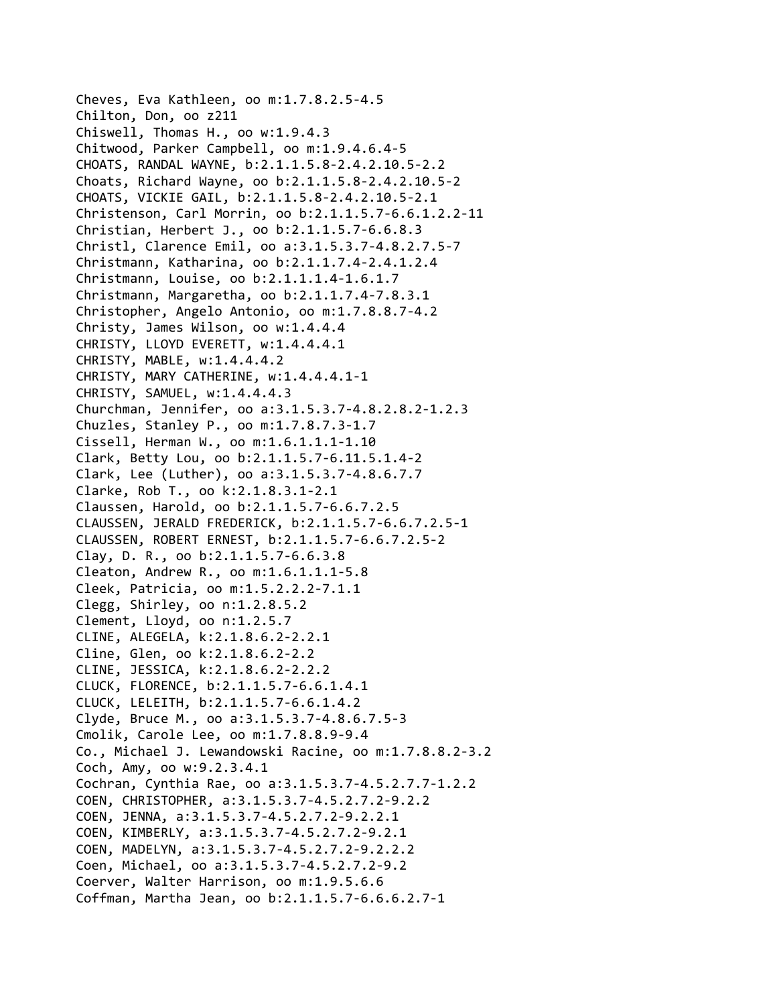Cheves, Eva Kathleen, oo m:1.7.8.2.5‐4.5 Chilton, Don, oo z211 Chiswell, Thomas H., oo w:1.9.4.3 Chitwood, Parker Campbell, oo m:1.9.4.6.4‐5 CHOATS, RANDAL WAYNE, b:2.1.1.5.8‐2.4.2.10.5‐2.2 Choats, Richard Wayne, oo b:2.1.1.5.8‐2.4.2.10.5‐2 CHOATS, VICKIE GAIL, b:2.1.1.5.8‐2.4.2.10.5‐2.1 Christenson, Carl Morrin, oo b:2.1.1.5.7‐6.6.1.2.2‐11 Christian, Herbert J., oo b:2.1.1.5.7‐6.6.8.3 Christl, Clarence Emil, oo a:3.1.5.3.7‐4.8.2.7.5‐7 Christmann, Katharina, oo b:2.1.1.7.4‐2.4.1.2.4 Christmann, Louise, oo b:2.1.1.1.4‐1.6.1.7 Christmann, Margaretha, oo b:2.1.1.7.4‐7.8.3.1 Christopher, Angelo Antonio, oo m:1.7.8.8.7‐4.2 Christy, James Wilson, oo w:1.4.4.4 CHRISTY, LLOYD EVERETT, w:1.4.4.4.1 CHRISTY, MABLE, w:1.4.4.4.2 CHRISTY, MARY CATHERINE, w:1.4.4.4.1‐1 CHRISTY, SAMUEL, w:1.4.4.4.3 Churchman, Jennifer, oo a:3.1.5.3.7‐4.8.2.8.2‐1.2.3 Chuzles, Stanley P., oo m:1.7.8.7.3‐1.7 Cissell, Herman W., oo m:1.6.1.1.1‐1.10 Clark, Betty Lou, oo b:2.1.1.5.7‐6.11.5.1.4‐2 Clark, Lee (Luther), oo a:3.1.5.3.7‐4.8.6.7.7 Clarke, Rob T., oo k:2.1.8.3.1‐2.1 Claussen, Harold, oo b:2.1.1.5.7‐6.6.7.2.5 CLAUSSEN, JERALD FREDERICK, b:2.1.1.5.7‐6.6.7.2.5‐1 CLAUSSEN, ROBERT ERNEST, b:2.1.1.5.7‐6.6.7.2.5‐2 Clay, D. R., oo b:2.1.1.5.7‐6.6.3.8 Cleaton, Andrew R., oo m:1.6.1.1.1‐5.8 Cleek, Patricia, oo m:1.5.2.2.2‐7.1.1 Clegg, Shirley, oo n:1.2.8.5.2 Clement, Lloyd, oo n:1.2.5.7 CLINE, ALEGELA, k:2.1.8.6.2‐2.2.1 Cline, Glen, oo k:2.1.8.6.2‐2.2 CLINE, JESSICA, k:2.1.8.6.2‐2.2.2 CLUCK, FLORENCE, b:2.1.1.5.7‐6.6.1.4.1 CLUCK, LELEITH, b:2.1.1.5.7‐6.6.1.4.2 Clyde, Bruce M., oo a:3.1.5.3.7‐4.8.6.7.5‐3 Cmolik, Carole Lee, oo m:1.7.8.8.9‐9.4 Co., Michael J. Lewandowski Racine, oo m:1.7.8.8.2‐3.2 Coch, Amy, oo w:9.2.3.4.1 Cochran, Cynthia Rae, oo a:3.1.5.3.7‐4.5.2.7.7‐1.2.2 COEN, CHRISTOPHER, a:3.1.5.3.7‐4.5.2.7.2‐9.2.2 COEN, JENNA, a:3.1.5.3.7‐4.5.2.7.2‐9.2.2.1 COEN, KIMBERLY, a:3.1.5.3.7‐4.5.2.7.2‐9.2.1 COEN, MADELYN, a:3.1.5.3.7‐4.5.2.7.2‐9.2.2.2 Coen, Michael, oo a:3.1.5.3.7‐4.5.2.7.2‐9.2 Coerver, Walter Harrison, oo m:1.9.5.6.6 Coffman, Martha Jean, oo b:2.1.1.5.7‐6.6.6.2.7‐1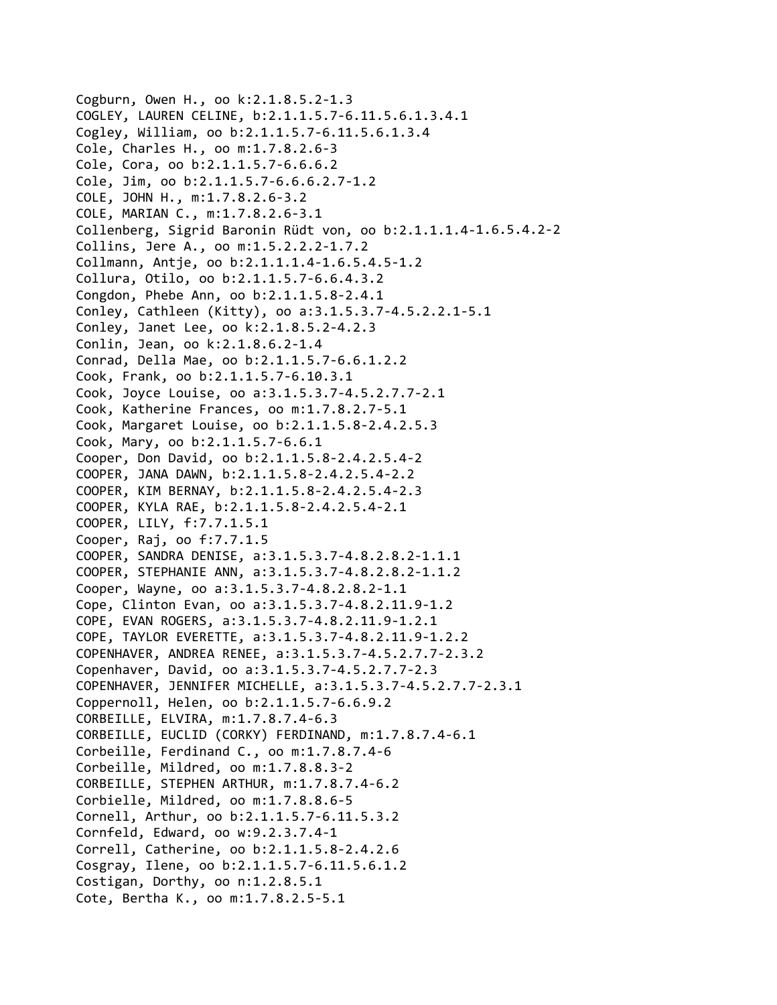Cogburn, Owen H., oo k:2.1.8.5.2‐1.3 COGLEY, LAUREN CELINE, b:2.1.1.5.7‐6.11.5.6.1.3.4.1 Cogley, William, oo b:2.1.1.5.7‐6.11.5.6.1.3.4 Cole, Charles H., oo m:1.7.8.2.6‐3 Cole, Cora, oo b:2.1.1.5.7‐6.6.6.2 Cole, Jim, oo b:2.1.1.5.7‐6.6.6.2.7‐1.2 COLE, JOHN H., m:1.7.8.2.6‐3.2 COLE, MARIAN C., m:1.7.8.2.6‐3.1 Collenberg, Sigrid Baronin Rüdt von, oo b:2.1.1.1.4‐1.6.5.4.2‐2 Collins, Jere A., oo m:1.5.2.2.2‐1.7.2 Collmann, Antje, oo b:2.1.1.1.4‐1.6.5.4.5‐1.2 Collura, Otilo, oo b:2.1.1.5.7‐6.6.4.3.2 Congdon, Phebe Ann, oo b:2.1.1.5.8‐2.4.1 Conley, Cathleen (Kitty), oo a:3.1.5.3.7‐4.5.2.2.1‐5.1 Conley, Janet Lee, oo k:2.1.8.5.2‐4.2.3 Conlin, Jean, oo k:2.1.8.6.2‐1.4 Conrad, Della Mae, oo b:2.1.1.5.7‐6.6.1.2.2 Cook, Frank, oo b:2.1.1.5.7‐6.10.3.1 Cook, Joyce Louise, oo a:3.1.5.3.7‐4.5.2.7.7‐2.1 Cook, Katherine Frances, oo m:1.7.8.2.7‐5.1 Cook, Margaret Louise, oo b:2.1.1.5.8‐2.4.2.5.3 Cook, Mary, oo b:2.1.1.5.7‐6.6.1 Cooper, Don David, oo b:2.1.1.5.8‐2.4.2.5.4‐2 COOPER, JANA DAWN, b:2.1.1.5.8‐2.4.2.5.4‐2.2 COOPER, KIM BERNAY, b:2.1.1.5.8‐2.4.2.5.4‐2.3 COOPER, KYLA RAE, b:2.1.1.5.8‐2.4.2.5.4‐2.1 COOPER, LILY, f:7.7.1.5.1 Cooper, Raj, oo f:7.7.1.5 COOPER, SANDRA DENISE, a:3.1.5.3.7‐4.8.2.8.2‐1.1.1 COOPER, STEPHANIE ANN, a:3.1.5.3.7‐4.8.2.8.2‐1.1.2 Cooper, Wayne, oo a:3.1.5.3.7‐4.8.2.8.2‐1.1 Cope, Clinton Evan, oo a:3.1.5.3.7‐4.8.2.11.9‐1.2 COPE, EVAN ROGERS, a:3.1.5.3.7‐4.8.2.11.9‐1.2.1 COPE, TAYLOR EVERETTE, a:3.1.5.3.7‐4.8.2.11.9‐1.2.2 COPENHAVER, ANDREA RENEE, a:3.1.5.3.7‐4.5.2.7.7‐2.3.2 Copenhaver, David, oo a:3.1.5.3.7‐4.5.2.7.7‐2.3 COPENHAVER, JENNIFER MICHELLE, a:3.1.5.3.7‐4.5.2.7.7‐2.3.1 Coppernoll, Helen, oo b:2.1.1.5.7‐6.6.9.2 CORBEILLE, ELVIRA, m:1.7.8.7.4‐6.3 CORBEILLE, EUCLID (CORKY) FERDINAND, m:1.7.8.7.4‐6.1 Corbeille, Ferdinand C., oo m:1.7.8.7.4‐6 Corbeille, Mildred, oo m:1.7.8.8.3‐2 CORBEILLE, STEPHEN ARTHUR, m:1.7.8.7.4‐6.2 Corbielle, Mildred, oo m:1.7.8.8.6‐5 Cornell, Arthur, oo b:2.1.1.5.7‐6.11.5.3.2 Cornfeld, Edward, oo w:9.2.3.7.4‐1 Correll, Catherine, oo b:2.1.1.5.8‐2.4.2.6 Cosgray, Ilene, oo b:2.1.1.5.7‐6.11.5.6.1.2 Costigan, Dorthy, oo n:1.2.8.5.1 Cote, Bertha K., oo m:1.7.8.2.5‐5.1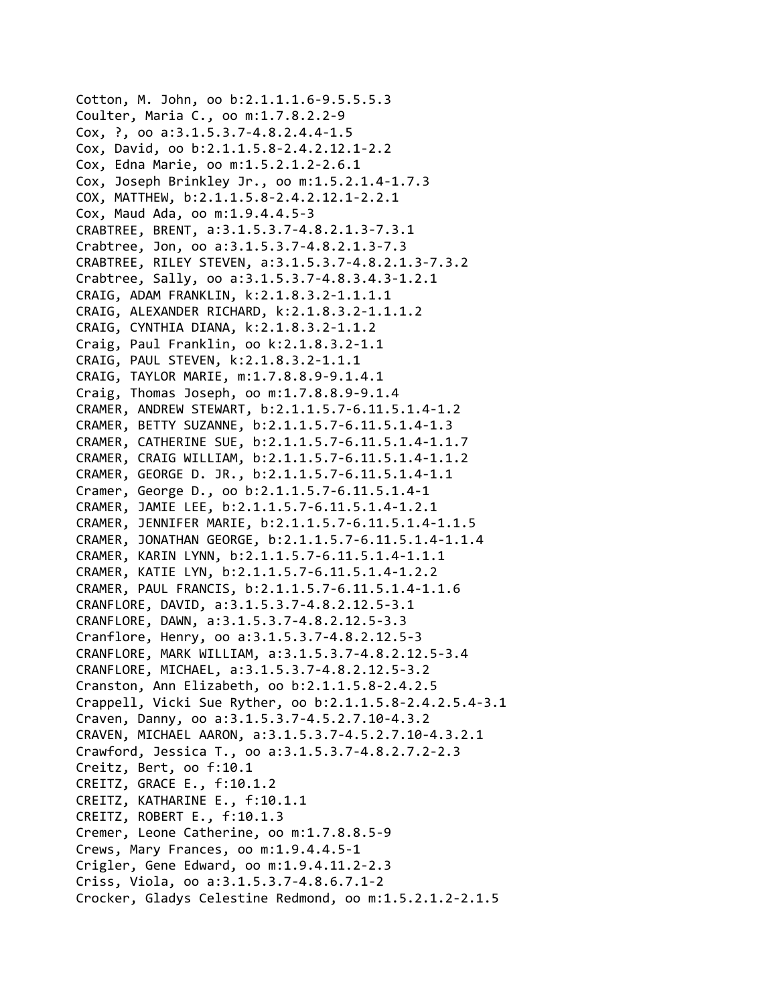Cotton, M. John, oo b:2.1.1.1.6‐9.5.5.5.3 Coulter, Maria C., oo m:1.7.8.2.2‐9 Cox, ?, oo a:3.1.5.3.7‐4.8.2.4.4‐1.5 Cox, David, oo b:2.1.1.5.8‐2.4.2.12.1‐2.2 Cox, Edna Marie, oo m:1.5.2.1.2‐2.6.1 Cox, Joseph Brinkley Jr., oo m:1.5.2.1.4‐1.7.3 COX, MATTHEW, b:2.1.1.5.8‐2.4.2.12.1‐2.2.1 Cox, Maud Ada, oo m:1.9.4.4.5‐3 CRABTREE, BRENT, a:3.1.5.3.7‐4.8.2.1.3‐7.3.1 Crabtree, Jon, oo a:3.1.5.3.7‐4.8.2.1.3‐7.3 CRABTREE, RILEY STEVEN, a:3.1.5.3.7‐4.8.2.1.3‐7.3.2 Crabtree, Sally, oo a:3.1.5.3.7‐4.8.3.4.3‐1.2.1 CRAIG, ADAM FRANKLIN, k:2.1.8.3.2‐1.1.1.1 CRAIG, ALEXANDER RICHARD, k:2.1.8.3.2‐1.1.1.2 CRAIG, CYNTHIA DIANA, k:2.1.8.3.2‐1.1.2 Craig, Paul Franklin, oo k:2.1.8.3.2‐1.1 CRAIG, PAUL STEVEN, k:2.1.8.3.2‐1.1.1 CRAIG, TAYLOR MARIE, m:1.7.8.8.9‐9.1.4.1 Craig, Thomas Joseph, oo m:1.7.8.8.9‐9.1.4 CRAMER, ANDREW STEWART, b:2.1.1.5.7‐6.11.5.1.4‐1.2 CRAMER, BETTY SUZANNE, b:2.1.1.5.7‐6.11.5.1.4‐1.3 CRAMER, CATHERINE SUE, b:2.1.1.5.7‐6.11.5.1.4‐1.1.7 CRAMER, CRAIG WILLIAM, b:2.1.1.5.7‐6.11.5.1.4‐1.1.2 CRAMER, GEORGE D. JR., b:2.1.1.5.7‐6.11.5.1.4‐1.1 Cramer, George D., oo b:2.1.1.5.7‐6.11.5.1.4‐1 CRAMER, JAMIE LEE, b:2.1.1.5.7‐6.11.5.1.4‐1.2.1 CRAMER, JENNIFER MARIE, b:2.1.1.5.7‐6.11.5.1.4‐1.1.5 CRAMER, JONATHAN GEORGE, b:2.1.1.5.7‐6.11.5.1.4‐1.1.4 CRAMER, KARIN LYNN, b:2.1.1.5.7‐6.11.5.1.4‐1.1.1 CRAMER, KATIE LYN, b:2.1.1.5.7‐6.11.5.1.4‐1.2.2 CRAMER, PAUL FRANCIS, b:2.1.1.5.7‐6.11.5.1.4‐1.1.6 CRANFLORE, DAVID, a:3.1.5.3.7‐4.8.2.12.5‐3.1 CRANFLORE, DAWN, a:3.1.5.3.7‐4.8.2.12.5‐3.3 Cranflore, Henry, oo a:3.1.5.3.7‐4.8.2.12.5‐3 CRANFLORE, MARK WILLIAM, a:3.1.5.3.7‐4.8.2.12.5‐3.4 CRANFLORE, MICHAEL, a:3.1.5.3.7‐4.8.2.12.5‐3.2 Cranston, Ann Elizabeth, oo b:2.1.1.5.8‐2.4.2.5 Crappell, Vicki Sue Ryther, oo b:2.1.1.5.8‐2.4.2.5.4‐3.1 Craven, Danny, oo a:3.1.5.3.7‐4.5.2.7.10‐4.3.2 CRAVEN, MICHAEL AARON, a:3.1.5.3.7‐4.5.2.7.10‐4.3.2.1 Crawford, Jessica T., oo a:3.1.5.3.7‐4.8.2.7.2‐2.3 Creitz, Bert, oo f:10.1 CREITZ, GRACE E., f:10.1.2 CREITZ, KATHARINE E., f:10.1.1 CREITZ, ROBERT E., f:10.1.3 Cremer, Leone Catherine, oo m:1.7.8.8.5‐9 Crews, Mary Frances, oo m:1.9.4.4.5‐1 Crigler, Gene Edward, oo m:1.9.4.11.2‐2.3 Criss, Viola, oo a:3.1.5.3.7‐4.8.6.7.1‐2 Crocker, Gladys Celestine Redmond, oo m:1.5.2.1.2‐2.1.5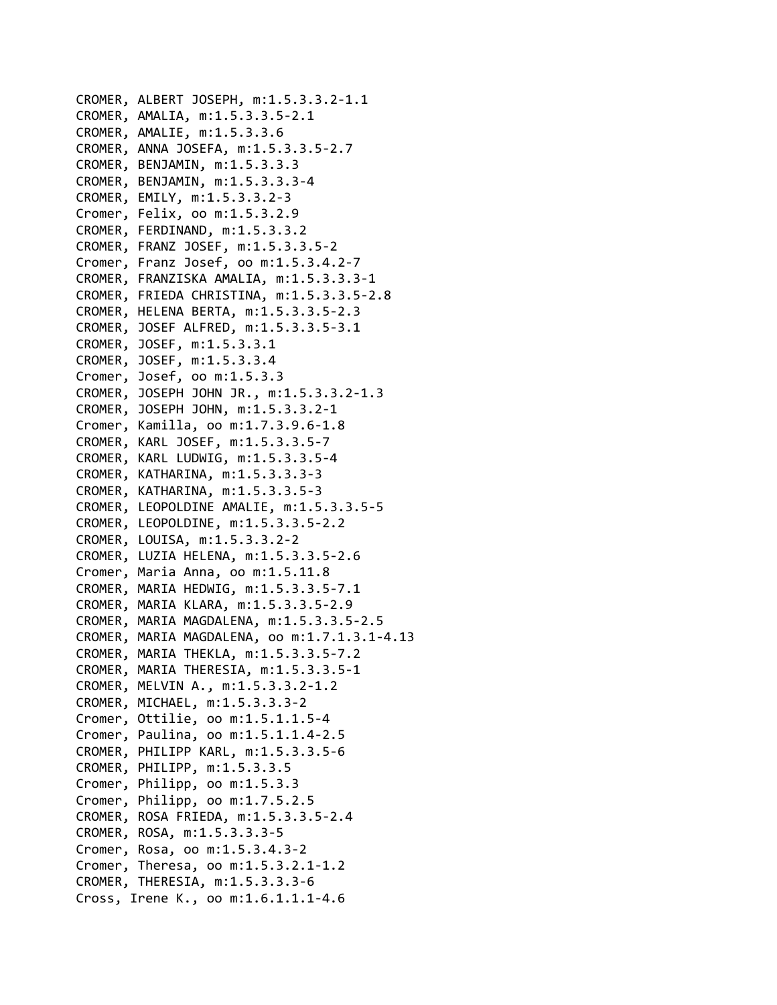```
CROMER, ALBERT JOSEPH, m:1.5.3.3.2‐1.1
CROMER, AMALIA, m:1.5.3.3.5‐2.1
CROMER, AMALIE, m:1.5.3.3.6
CROMER, ANNA JOSEFA, m:1.5.3.3.5‐2.7
CROMER, BENJAMIN, m:1.5.3.3.3
CROMER, BENJAMIN, m:1.5.3.3.3‐4
CROMER, EMILY, m:1.5.3.3.2‐3
Cromer, Felix, oo m:1.5.3.2.9
CROMER, FERDINAND, m:1.5.3.3.2
CROMER, FRANZ JOSEF, m:1.5.3.3.5‐2
Cromer, Franz Josef, oo m:1.5.3.4.2‐7
CROMER, FRANZISKA AMALIA, m:1.5.3.3.3‐1
CROMER, FRIEDA CHRISTINA, m:1.5.3.3.5‐2.8
CROMER, HELENA BERTA, m:1.5.3.3.5‐2.3
CROMER, JOSEF ALFRED, m:1.5.3.3.5‐3.1
CROMER, JOSEF, m:1.5.3.3.1
CROMER, JOSEF, m:1.5.3.3.4
Cromer, Josef, oo m:1.5.3.3
CROMER, JOSEPH JOHN JR., m:1.5.3.3.2‐1.3
CROMER, JOSEPH JOHN, m:1.5.3.3.2‐1
Cromer, Kamilla, oo m:1.7.3.9.6‐1.8
CROMER, KARL JOSEF, m:1.5.3.3.5‐7
CROMER, KARL LUDWIG, m:1.5.3.3.5‐4
CROMER, KATHARINA, m:1.5.3.3.3‐3
CROMER, KATHARINA, m:1.5.3.3.5‐3
CROMER, LEOPOLDINE AMALIE, m:1.5.3.3.5‐5
CROMER, LEOPOLDINE, m:1.5.3.3.5‐2.2
CROMER, LOUISA, m:1.5.3.3.2‐2
CROMER, LUZIA HELENA, m:1.5.3.3.5‐2.6
Cromer, Maria Anna, oo m:1.5.11.8
CROMER, MARIA HEDWIG, m:1.5.3.3.5‐7.1
CROMER, MARIA KLARA, m:1.5.3.3.5‐2.9
CROMER, MARIA MAGDALENA, m:1.5.3.3.5‐2.5
CROMER, MARIA MAGDALENA, oo m:1.7.1.3.1‐4.13
CROMER, MARIA THEKLA, m:1.5.3.3.5‐7.2
CROMER, MARIA THERESIA, m:1.5.3.3.5‐1
CROMER, MELVIN A., m:1.5.3.3.2‐1.2
CROMER, MICHAEL, m:1.5.3.3.3‐2
Cromer, Ottilie, oo m:1.5.1.1.5‐4
Cromer, Paulina, oo m:1.5.1.1.4‐2.5
CROMER, PHILIPP KARL, m:1.5.3.3.5‐6
CROMER, PHILIPP, m:1.5.3.3.5
Cromer, Philipp, oo m:1.5.3.3
Cromer, Philipp, oo m:1.7.5.2.5
CROMER, ROSA FRIEDA, m:1.5.3.3.5‐2.4
CROMER, ROSA, m:1.5.3.3.3‐5
Cromer, Rosa, oo m:1.5.3.4.3‐2
Cromer, Theresa, oo m:1.5.3.2.1‐1.2
CROMER, THERESIA, m:1.5.3.3.3‐6
Cross, Irene K., oo m:1.6.1.1.1‐4.6
```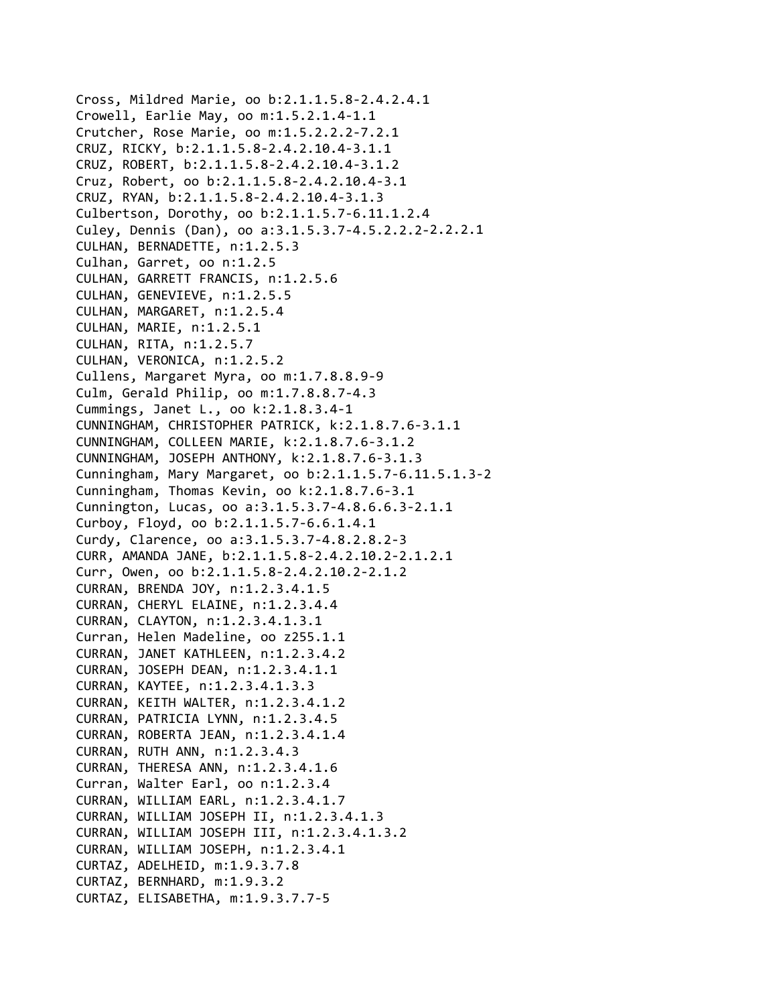Cross, Mildred Marie, oo b:2.1.1.5.8‐2.4.2.4.1 Crowell, Earlie May, oo m:1.5.2.1.4‐1.1 Crutcher, Rose Marie, oo m:1.5.2.2.2‐7.2.1 CRUZ, RICKY, b:2.1.1.5.8‐2.4.2.10.4‐3.1.1 CRUZ, ROBERT, b:2.1.1.5.8‐2.4.2.10.4‐3.1.2 Cruz, Robert, oo b:2.1.1.5.8‐2.4.2.10.4‐3.1 CRUZ, RYAN, b:2.1.1.5.8‐2.4.2.10.4‐3.1.3 Culbertson, Dorothy, oo b:2.1.1.5.7‐6.11.1.2.4 Culey, Dennis (Dan), oo a:3.1.5.3.7‐4.5.2.2.2‐2.2.2.1 CULHAN, BERNADETTE, n:1.2.5.3 Culhan, Garret, oo n:1.2.5 CULHAN, GARRETT FRANCIS, n:1.2.5.6 CULHAN, GENEVIEVE, n:1.2.5.5 CULHAN, MARGARET, n:1.2.5.4 CULHAN, MARIE, n:1.2.5.1 CULHAN, RITA, n:1.2.5.7 CULHAN, VERONICA, n:1.2.5.2 Cullens, Margaret Myra, oo m:1.7.8.8.9‐9 Culm, Gerald Philip, oo m:1.7.8.8.7‐4.3 Cummings, Janet L., oo k:2.1.8.3.4‐1 CUNNINGHAM, CHRISTOPHER PATRICK, k:2.1.8.7.6‐3.1.1 CUNNINGHAM, COLLEEN MARIE, k:2.1.8.7.6‐3.1.2 CUNNINGHAM, JOSEPH ANTHONY, k:2.1.8.7.6‐3.1.3 Cunningham, Mary Margaret, oo b:2.1.1.5.7‐6.11.5.1.3‐2 Cunningham, Thomas Kevin, oo k:2.1.8.7.6‐3.1 Cunnington, Lucas, oo a:3.1.5.3.7‐4.8.6.6.3‐2.1.1 Curboy, Floyd, oo b:2.1.1.5.7‐6.6.1.4.1 Curdy, Clarence, oo a:3.1.5.3.7‐4.8.2.8.2‐3 CURR, AMANDA JANE, b:2.1.1.5.8‐2.4.2.10.2‐2.1.2.1 Curr, Owen, oo b:2.1.1.5.8‐2.4.2.10.2‐2.1.2 CURRAN, BRENDA JOY, n:1.2.3.4.1.5 CURRAN, CHERYL ELAINE, n:1.2.3.4.4 CURRAN, CLAYTON, n:1.2.3.4.1.3.1 Curran, Helen Madeline, oo z255.1.1 CURRAN, JANET KATHLEEN, n:1.2.3.4.2 CURRAN, JOSEPH DEAN, n:1.2.3.4.1.1 CURRAN, KAYTEE, n:1.2.3.4.1.3.3 CURRAN, KEITH WALTER, n:1.2.3.4.1.2 CURRAN, PATRICIA LYNN, n:1.2.3.4.5 CURRAN, ROBERTA JEAN, n:1.2.3.4.1.4 CURRAN, RUTH ANN, n:1.2.3.4.3 CURRAN, THERESA ANN, n:1.2.3.4.1.6 Curran, Walter Earl, oo n:1.2.3.4 CURRAN, WILLIAM EARL, n:1.2.3.4.1.7 CURRAN, WILLIAM JOSEPH II, n:1.2.3.4.1.3 CURRAN, WILLIAM JOSEPH III, n:1.2.3.4.1.3.2 CURRAN, WILLIAM JOSEPH, n:1.2.3.4.1 CURTAZ, ADELHEID, m:1.9.3.7.8 CURTAZ, BERNHARD, m:1.9.3.2 CURTAZ, ELISABETHA, m:1.9.3.7.7‐5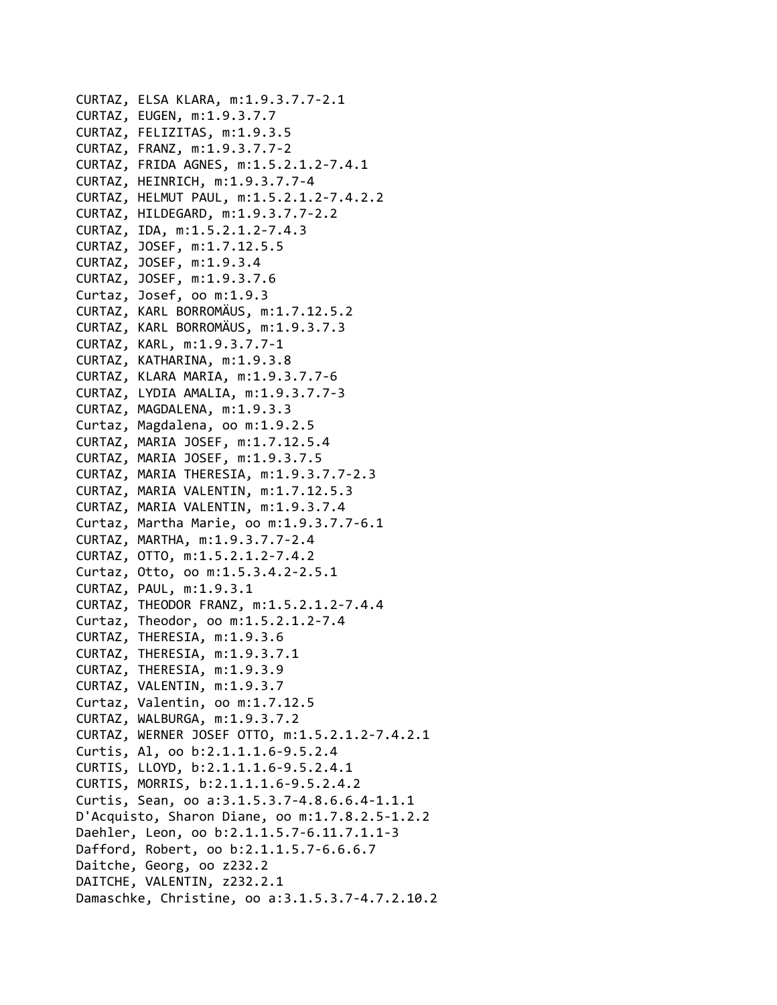```
CURTAZ, ELSA KLARA, m:1.9.3.7.7‐2.1
CURTAZ, EUGEN, m:1.9.3.7.7
CURTAZ, FELIZITAS, m:1.9.3.5
CURTAZ, FRANZ, m:1.9.3.7.7‐2
CURTAZ, FRIDA AGNES, m:1.5.2.1.2‐7.4.1
CURTAZ, HEINRICH, m:1.9.3.7.7‐4
CURTAZ, HELMUT PAUL, m:1.5.2.1.2‐7.4.2.2
CURTAZ, HILDEGARD, m:1.9.3.7.7‐2.2
CURTAZ, IDA, m:1.5.2.1.2‐7.4.3
CURTAZ, JOSEF, m:1.7.12.5.5
CURTAZ, JOSEF, m:1.9.3.4
CURTAZ, JOSEF, m:1.9.3.7.6
Curtaz, Josef, oo m:1.9.3
CURTAZ, KARL BORROMÄUS, m:1.7.12.5.2
CURTAZ, KARL BORROMÄUS, m:1.9.3.7.3
CURTAZ, KARL, m:1.9.3.7.7‐1
CURTAZ, KATHARINA, m:1.9.3.8
CURTAZ, KLARA MARIA, m:1.9.3.7.7‐6
CURTAZ, LYDIA AMALIA, m:1.9.3.7.7‐3
CURTAZ, MAGDALENA, m:1.9.3.3
Curtaz, Magdalena, oo m:1.9.2.5
CURTAZ, MARIA JOSEF, m:1.7.12.5.4
CURTAZ, MARIA JOSEF, m:1.9.3.7.5
CURTAZ, MARIA THERESIA, m:1.9.3.7.7‐2.3
CURTAZ, MARIA VALENTIN, m:1.7.12.5.3
CURTAZ, MARIA VALENTIN, m:1.9.3.7.4
Curtaz, Martha Marie, oo m:1.9.3.7.7‐6.1
CURTAZ, MARTHA, m:1.9.3.7.7‐2.4
CURTAZ, OTTO, m:1.5.2.1.2‐7.4.2
Curtaz, Otto, oo m:1.5.3.4.2‐2.5.1
CURTAZ, PAUL, m:1.9.3.1
CURTAZ, THEODOR FRANZ, m:1.5.2.1.2‐7.4.4
Curtaz, Theodor, oo m:1.5.2.1.2‐7.4
CURTAZ, THERESIA, m:1.9.3.6
CURTAZ, THERESIA, m:1.9.3.7.1
CURTAZ, THERESIA, m:1.9.3.9
CURTAZ, VALENTIN, m:1.9.3.7
Curtaz, Valentin, oo m:1.7.12.5
CURTAZ, WALBURGA, m:1.9.3.7.2
CURTAZ, WERNER JOSEF OTTO, m:1.5.2.1.2‐7.4.2.1
Curtis, Al, oo b:2.1.1.1.6‐9.5.2.4
CURTIS, LLOYD, b:2.1.1.1.6‐9.5.2.4.1
CURTIS, MORRIS, b:2.1.1.1.6‐9.5.2.4.2
Curtis, Sean, oo a:3.1.5.3.7‐4.8.6.6.4‐1.1.1
D'Acquisto, Sharon Diane, oo m:1.7.8.2.5‐1.2.2
Daehler, Leon, oo b:2.1.1.5.7‐6.11.7.1.1‐3
Dafford, Robert, oo b:2.1.1.5.7‐6.6.6.7
Daitche, Georg, oo z232.2
DAITCHE, VALENTIN, z232.2.1
Damaschke, Christine, oo a:3.1.5.3.7‐4.7.2.10.2
```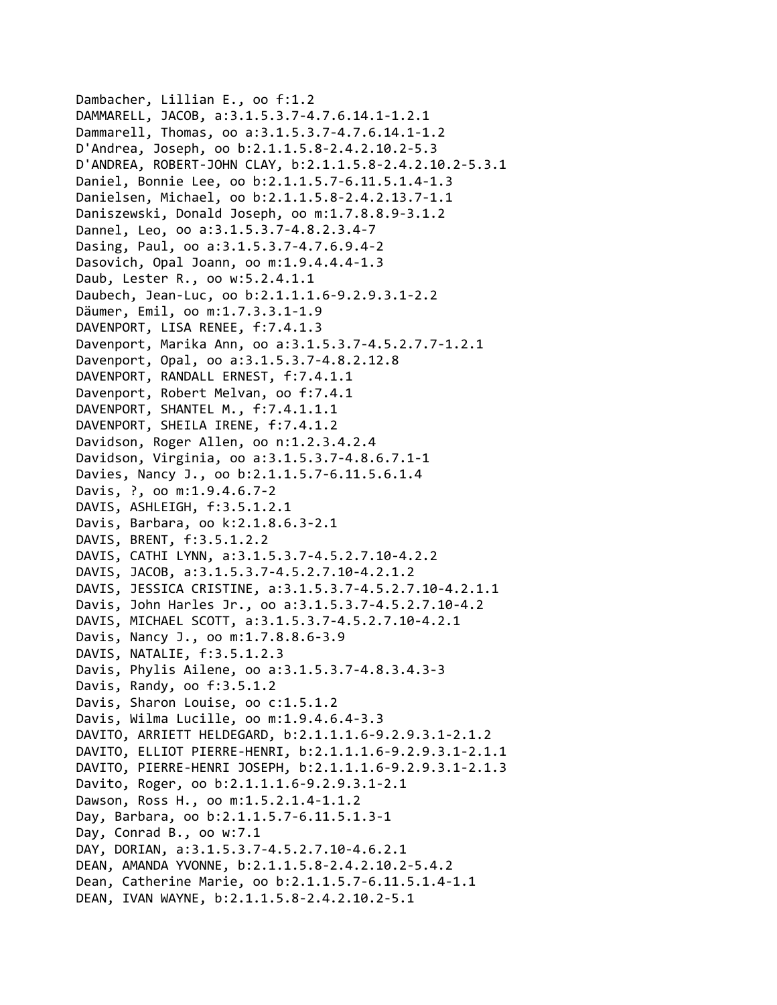```
Dambacher, Lillian E., oo f:1.2
DAMMARELL, JACOB, a:3.1.5.3.7‐4.7.6.14.1‐1.2.1
Dammarell, Thomas, oo a:3.1.5.3.7‐4.7.6.14.1‐1.2
D'Andrea, Joseph, oo b:2.1.1.5.8‐2.4.2.10.2‐5.3
D'ANDREA, ROBERT‐JOHN CLAY, b:2.1.1.5.8‐2.4.2.10.2‐5.3.1
Daniel, Bonnie Lee, oo b:2.1.1.5.7‐6.11.5.1.4‐1.3
Danielsen, Michael, oo b:2.1.1.5.8‐2.4.2.13.7‐1.1
Daniszewski, Donald Joseph, oo m:1.7.8.8.9‐3.1.2
Dannel, Leo, oo a:3.1.5.3.7‐4.8.2.3.4‐7
Dasing, Paul, oo a:3.1.5.3.7‐4.7.6.9.4‐2
Dasovich, Opal Joann, oo m:1.9.4.4.4‐1.3
Daub, Lester R., oo w:5.2.4.1.1
Daubech, Jean‐Luc, oo b:2.1.1.1.6‐9.2.9.3.1‐2.2
Däumer, Emil, oo m:1.7.3.3.1‐1.9
DAVENPORT, LISA RENEE, f:7.4.1.3
Davenport, Marika Ann, oo a:3.1.5.3.7‐4.5.2.7.7‐1.2.1
Davenport, Opal, oo a:3.1.5.3.7‐4.8.2.12.8
DAVENPORT, RANDALL ERNEST, f:7.4.1.1
Davenport, Robert Melvan, oo f:7.4.1
DAVENPORT, SHANTEL M., f:7.4.1.1.1
DAVENPORT, SHEILA IRENE, f:7.4.1.2
Davidson, Roger Allen, oo n:1.2.3.4.2.4
Davidson, Virginia, oo a:3.1.5.3.7‐4.8.6.7.1‐1
Davies, Nancy J., oo b:2.1.1.5.7‐6.11.5.6.1.4
Davis, ?, oo m:1.9.4.6.7‐2
DAVIS, ASHLEIGH, f:3.5.1.2.1
Davis, Barbara, oo k:2.1.8.6.3‐2.1
DAVIS, BRENT, f:3.5.1.2.2
DAVIS, CATHI LYNN, a:3.1.5.3.7‐4.5.2.7.10‐4.2.2
DAVIS, JACOB, a:3.1.5.3.7‐4.5.2.7.10‐4.2.1.2
DAVIS, JESSICA CRISTINE, a:3.1.5.3.7‐4.5.2.7.10‐4.2.1.1
Davis, John Harles Jr., oo a:3.1.5.3.7‐4.5.2.7.10‐4.2
DAVIS, MICHAEL SCOTT, a:3.1.5.3.7‐4.5.2.7.10‐4.2.1
Davis, Nancy J., oo m:1.7.8.8.6‐3.9
DAVIS, NATALIE, f:3.5.1.2.3
Davis, Phylis Ailene, oo a:3.1.5.3.7‐4.8.3.4.3‐3
Davis, Randy, oo f:3.5.1.2
Davis, Sharon Louise, oo c:1.5.1.2
Davis, Wilma Lucille, oo m:1.9.4.6.4‐3.3
DAVITO, ARRIETT HELDEGARD, b:2.1.1.1.6‐9.2.9.3.1‐2.1.2
DAVITO, ELLIOT PIERRE‐HENRI, b:2.1.1.1.6‐9.2.9.3.1‐2.1.1
DAVITO, PIERRE‐HENRI JOSEPH, b:2.1.1.1.6‐9.2.9.3.1‐2.1.3
Davito, Roger, oo b:2.1.1.1.6‐9.2.9.3.1‐2.1
Dawson, Ross H., oo m:1.5.2.1.4‐1.1.2
Day, Barbara, oo b:2.1.1.5.7‐6.11.5.1.3‐1
Day, Conrad B., oo w:7.1
DAY, DORIAN, a:3.1.5.3.7‐4.5.2.7.10‐4.6.2.1
DEAN, AMANDA YVONNE, b:2.1.1.5.8‐2.4.2.10.2‐5.4.2
Dean, Catherine Marie, oo b:2.1.1.5.7‐6.11.5.1.4‐1.1
DEAN, IVAN WAYNE, b:2.1.1.5.8‐2.4.2.10.2‐5.1
```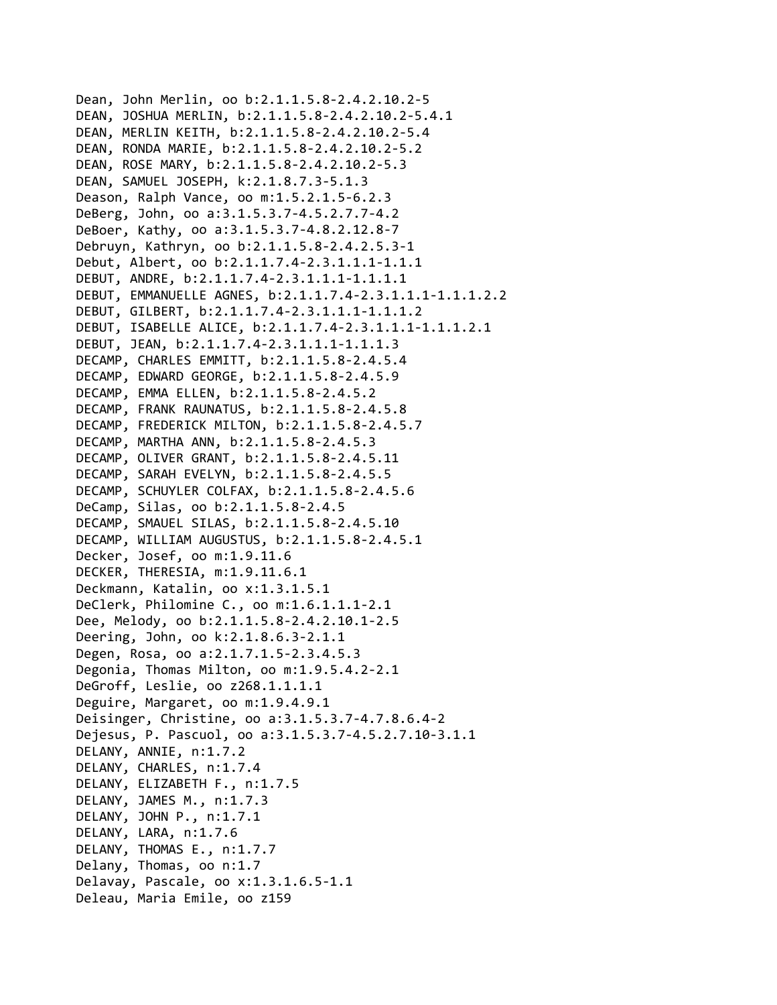Dean, John Merlin, oo b:2.1.1.5.8‐2.4.2.10.2‐5 DEAN, JOSHUA MERLIN, b:2.1.1.5.8‐2.4.2.10.2‐5.4.1 DEAN, MERLIN KEITH, b:2.1.1.5.8‐2.4.2.10.2‐5.4 DEAN, RONDA MARIE, b:2.1.1.5.8‐2.4.2.10.2‐5.2 DEAN, ROSE MARY, b:2.1.1.5.8‐2.4.2.10.2‐5.3 DEAN, SAMUEL JOSEPH, k:2.1.8.7.3‐5.1.3 Deason, Ralph Vance, oo m:1.5.2.1.5‐6.2.3 DeBerg, John, oo a:3.1.5.3.7‐4.5.2.7.7‐4.2 DeBoer, Kathy, oo a:3.1.5.3.7‐4.8.2.12.8‐7 Debruyn, Kathryn, oo b:2.1.1.5.8‐2.4.2.5.3‐1 Debut, Albert, oo b:2.1.1.7.4‐2.3.1.1.1‐1.1.1 DEBUT, ANDRE, b:2.1.1.7.4‐2.3.1.1.1‐1.1.1.1 DEBUT, EMMANUELLE AGNES, b:2.1.1.7.4‐2.3.1.1.1‐1.1.1.2.2 DEBUT, GILBERT, b:2.1.1.7.4‐2.3.1.1.1‐1.1.1.2 DEBUT, ISABELLE ALICE, b:2.1.1.7.4‐2.3.1.1.1‐1.1.1.2.1 DEBUT, JEAN, b:2.1.1.7.4‐2.3.1.1.1‐1.1.1.3 DECAMP, CHARLES EMMITT, b:2.1.1.5.8‐2.4.5.4 DECAMP, EDWARD GEORGE, b:2.1.1.5.8‐2.4.5.9 DECAMP, EMMA ELLEN, b:2.1.1.5.8‐2.4.5.2 DECAMP, FRANK RAUNATUS, b:2.1.1.5.8‐2.4.5.8 DECAMP, FREDERICK MILTON, b:2.1.1.5.8‐2.4.5.7 DECAMP, MARTHA ANN, b:2.1.1.5.8‐2.4.5.3 DECAMP, OLIVER GRANT, b:2.1.1.5.8‐2.4.5.11 DECAMP, SARAH EVELYN, b:2.1.1.5.8‐2.4.5.5 DECAMP, SCHUYLER COLFAX, b:2.1.1.5.8‐2.4.5.6 DeCamp, Silas, oo b:2.1.1.5.8‐2.4.5 DECAMP, SMAUEL SILAS, b:2.1.1.5.8‐2.4.5.10 DECAMP, WILLIAM AUGUSTUS, b:2.1.1.5.8‐2.4.5.1 Decker, Josef, oo m:1.9.11.6 DECKER, THERESIA, m:1.9.11.6.1 Deckmann, Katalin, oo x:1.3.1.5.1 DeClerk, Philomine C., oo m:1.6.1.1.1‐2.1 Dee, Melody, oo b:2.1.1.5.8‐2.4.2.10.1‐2.5 Deering, John, oo k:2.1.8.6.3‐2.1.1 Degen, Rosa, oo a:2.1.7.1.5‐2.3.4.5.3 Degonia, Thomas Milton, oo m:1.9.5.4.2‐2.1 DeGroff, Leslie, oo z268.1.1.1.1 Deguire, Margaret, oo m:1.9.4.9.1 Deisinger, Christine, oo a:3.1.5.3.7‐4.7.8.6.4‐2 Dejesus, P. Pascuol, oo a:3.1.5.3.7‐4.5.2.7.10‐3.1.1 DELANY, ANNIE, n:1.7.2 DELANY, CHARLES, n:1.7.4 DELANY, ELIZABETH F., n:1.7.5 DELANY, JAMES M., n:1.7.3 DELANY, JOHN P., n:1.7.1 DELANY, LARA, n:1.7.6 DELANY, THOMAS E., n:1.7.7 Delany, Thomas, oo n:1.7 Delavay, Pascale, oo x:1.3.1.6.5‐1.1 Deleau, Maria Emile, oo z159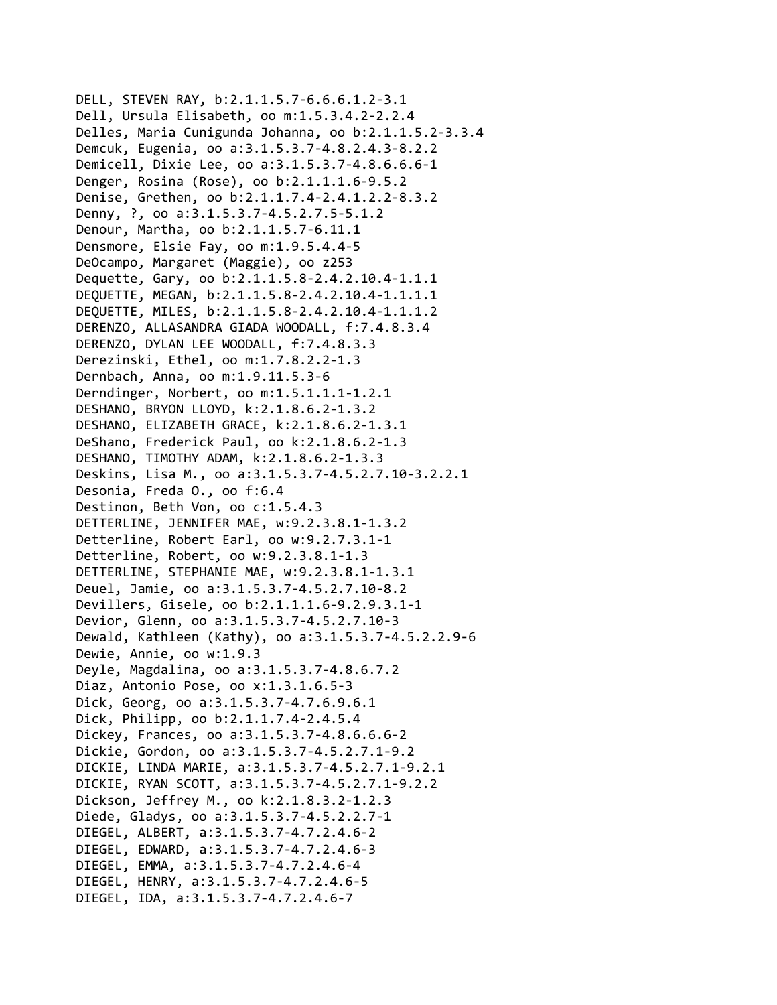```
DELL, STEVEN RAY, b:2.1.1.5.7‐6.6.6.1.2‐3.1
Dell, Ursula Elisabeth, oo m:1.5.3.4.2‐2.2.4
Delles, Maria Cunigunda Johanna, oo b:2.1.1.5.2‐3.3.4
Demcuk, Eugenia, oo a:3.1.5.3.7‐4.8.2.4.3‐8.2.2
Demicell, Dixie Lee, oo a:3.1.5.3.7‐4.8.6.6.6‐1
Denger, Rosina (Rose), oo b:2.1.1.1.6‐9.5.2
Denise, Grethen, oo b:2.1.1.7.4‐2.4.1.2.2‐8.3.2
Denny, ?, oo a:3.1.5.3.7‐4.5.2.7.5‐5.1.2
Denour, Martha, oo b:2.1.1.5.7‐6.11.1
Densmore, Elsie Fay, oo m:1.9.5.4.4‐5
DeOcampo, Margaret (Maggie), oo z253
Dequette, Gary, oo b:2.1.1.5.8‐2.4.2.10.4‐1.1.1
DEQUETTE, MEGAN, b:2.1.1.5.8‐2.4.2.10.4‐1.1.1.1
DEQUETTE, MILES, b:2.1.1.5.8‐2.4.2.10.4‐1.1.1.2
DERENZO, ALLASANDRA GIADA WOODALL, f:7.4.8.3.4
DERENZO, DYLAN LEE WOODALL, f:7.4.8.3.3
Derezinski, Ethel, oo m:1.7.8.2.2‐1.3
Dernbach, Anna, oo m:1.9.11.5.3‐6
Derndinger, Norbert, oo m:1.5.1.1.1‐1.2.1
DESHANO, BRYON LLOYD, k:2.1.8.6.2‐1.3.2
DESHANO, ELIZABETH GRACE, k:2.1.8.6.2‐1.3.1
DeShano, Frederick Paul, oo k:2.1.8.6.2‐1.3
DESHANO, TIMOTHY ADAM, k:2.1.8.6.2‐1.3.3
Deskins, Lisa M., oo a:3.1.5.3.7‐4.5.2.7.10‐3.2.2.1
Desonia, Freda O., oo f:6.4
Destinon, Beth Von, oo c:1.5.4.3
DETTERLINE, JENNIFER MAE, w:9.2.3.8.1‐1.3.2
Detterline, Robert Earl, oo w:9.2.7.3.1‐1
Detterline, Robert, oo w:9.2.3.8.1‐1.3
DETTERLINE, STEPHANIE MAE, w:9.2.3.8.1‐1.3.1
Deuel, Jamie, oo a:3.1.5.3.7‐4.5.2.7.10‐8.2
Devillers, Gisele, oo b:2.1.1.1.6‐9.2.9.3.1‐1
Devior, Glenn, oo a:3.1.5.3.7‐4.5.2.7.10‐3
Dewald, Kathleen (Kathy), oo a:3.1.5.3.7‐4.5.2.2.9‐6
Dewie, Annie, oo w:1.9.3
Deyle, Magdalina, oo a:3.1.5.3.7‐4.8.6.7.2
Diaz, Antonio Pose, oo x:1.3.1.6.5‐3
Dick, Georg, oo a:3.1.5.3.7‐4.7.6.9.6.1
Dick, Philipp, oo b:2.1.1.7.4‐2.4.5.4
Dickey, Frances, oo a:3.1.5.3.7‐4.8.6.6.6‐2
Dickie, Gordon, oo a:3.1.5.3.7‐4.5.2.7.1‐9.2
DICKIE, LINDA MARIE, a:3.1.5.3.7‐4.5.2.7.1‐9.2.1
DICKIE, RYAN SCOTT, a:3.1.5.3.7‐4.5.2.7.1‐9.2.2
Dickson, Jeffrey M., oo k:2.1.8.3.2‐1.2.3
Diede, Gladys, oo a:3.1.5.3.7‐4.5.2.2.7‐1
DIEGEL, ALBERT, a:3.1.5.3.7‐4.7.2.4.6‐2
DIEGEL, EDWARD, a:3.1.5.3.7‐4.7.2.4.6‐3
DIEGEL, EMMA, a:3.1.5.3.7‐4.7.2.4.6‐4
DIEGEL, HENRY, a:3.1.5.3.7‐4.7.2.4.6‐5
DIEGEL, IDA, a:3.1.5.3.7‐4.7.2.4.6‐7
```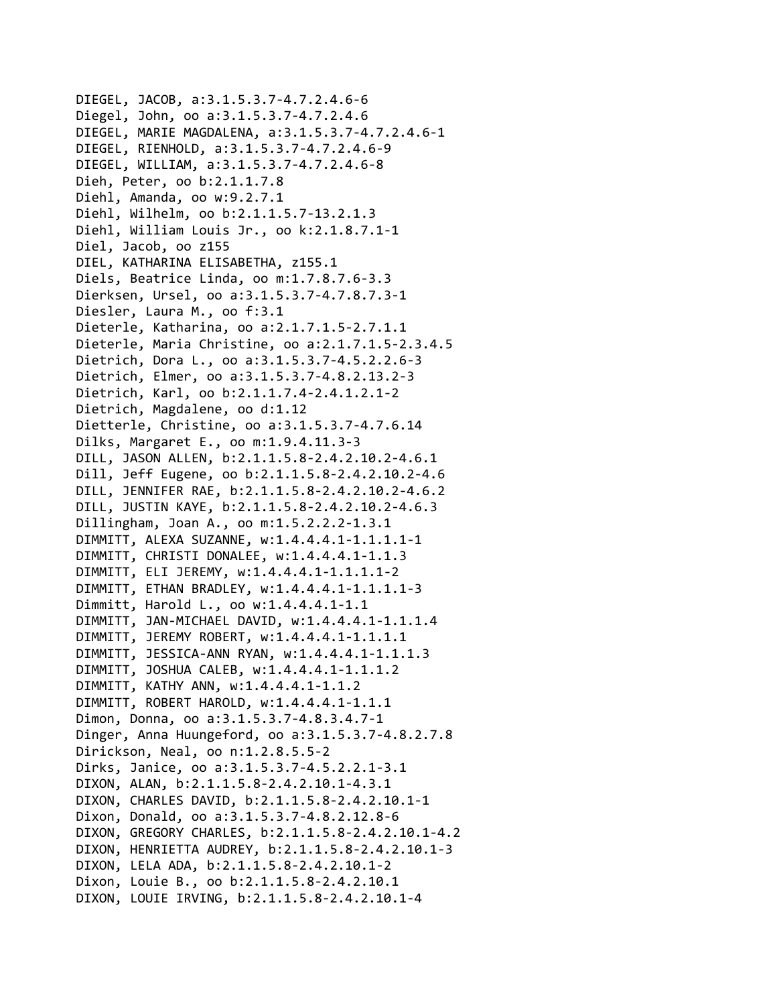DIEGEL, JACOB, a:3.1.5.3.7‐4.7.2.4.6‐6 Diegel, John, oo a:3.1.5.3.7‐4.7.2.4.6 DIEGEL, MARIE MAGDALENA, a:3.1.5.3.7‐4.7.2.4.6‐1 DIEGEL, RIENHOLD, a:3.1.5.3.7‐4.7.2.4.6‐9 DIEGEL, WILLIAM, a:3.1.5.3.7‐4.7.2.4.6‐8 Dieh, Peter, oo b:2.1.1.7.8 Diehl, Amanda, oo w:9.2.7.1 Diehl, Wilhelm, oo b:2.1.1.5.7‐13.2.1.3 Diehl, William Louis Jr., oo k:2.1.8.7.1‐1 Diel, Jacob, oo z155 DIEL, KATHARINA ELISABETHA, z155.1 Diels, Beatrice Linda, oo m:1.7.8.7.6‐3.3 Dierksen, Ursel, oo a:3.1.5.3.7‐4.7.8.7.3‐1 Diesler, Laura M., oo f:3.1 Dieterle, Katharina, oo a:2.1.7.1.5‐2.7.1.1 Dieterle, Maria Christine, oo a:2.1.7.1.5‐2.3.4.5 Dietrich, Dora L., oo a:3.1.5.3.7‐4.5.2.2.6‐3 Dietrich, Elmer, oo a:3.1.5.3.7‐4.8.2.13.2‐3 Dietrich, Karl, oo b:2.1.1.7.4‐2.4.1.2.1‐2 Dietrich, Magdalene, oo d:1.12 Dietterle, Christine, oo a:3.1.5.3.7‐4.7.6.14 Dilks, Margaret E., oo m:1.9.4.11.3‐3 DILL, JASON ALLEN, b:2.1.1.5.8‐2.4.2.10.2‐4.6.1 Dill, Jeff Eugene, oo b:2.1.1.5.8‐2.4.2.10.2‐4.6 DILL, JENNIFER RAE, b:2.1.1.5.8‐2.4.2.10.2‐4.6.2 DILL, JUSTIN KAYE, b:2.1.1.5.8‐2.4.2.10.2‐4.6.3 Dillingham, Joan A., oo m:1.5.2.2.2‐1.3.1 DIMMITT, ALEXA SUZANNE, w:1.4.4.4.1‐1.1.1.1‐1 DIMMITT, CHRISTI DONALEE, w:1.4.4.4.1‐1.1.3 DIMMITT, ELI JEREMY, w:1.4.4.4.1‐1.1.1.1‐2 DIMMITT, ETHAN BRADLEY, w:1.4.4.4.1‐1.1.1.1‐3 Dimmitt, Harold L., oo w:1.4.4.4.1‐1.1 DIMMITT, JAN‐MICHAEL DAVID, w:1.4.4.4.1‐1.1.1.4 DIMMITT, JEREMY ROBERT, w:1.4.4.4.1‐1.1.1.1 DIMMITT, JESSICA‐ANN RYAN, w:1.4.4.4.1‐1.1.1.3 DIMMITT, JOSHUA CALEB, w:1.4.4.4.1‐1.1.1.2 DIMMITT, KATHY ANN, w:1.4.4.4.1‐1.1.2 DIMMITT, ROBERT HAROLD, w:1.4.4.4.1‐1.1.1 Dimon, Donna, oo a:3.1.5.3.7‐4.8.3.4.7‐1 Dinger, Anna Huungeford, oo a:3.1.5.3.7‐4.8.2.7.8 Dirickson, Neal, oo n:1.2.8.5.5‐2 Dirks, Janice, oo a:3.1.5.3.7‐4.5.2.2.1‐3.1 DIXON, ALAN, b:2.1.1.5.8‐2.4.2.10.1‐4.3.1 DIXON, CHARLES DAVID, b:2.1.1.5.8‐2.4.2.10.1‐1 Dixon, Donald, oo a:3.1.5.3.7‐4.8.2.12.8‐6 DIXON, GREGORY CHARLES, b:2.1.1.5.8‐2.4.2.10.1‐4.2 DIXON, HENRIETTA AUDREY, b:2.1.1.5.8‐2.4.2.10.1‐3 DIXON, LELA ADA, b:2.1.1.5.8‐2.4.2.10.1‐2 Dixon, Louie B., oo b:2.1.1.5.8‐2.4.2.10.1 DIXON, LOUIE IRVING, b:2.1.1.5.8‐2.4.2.10.1‐4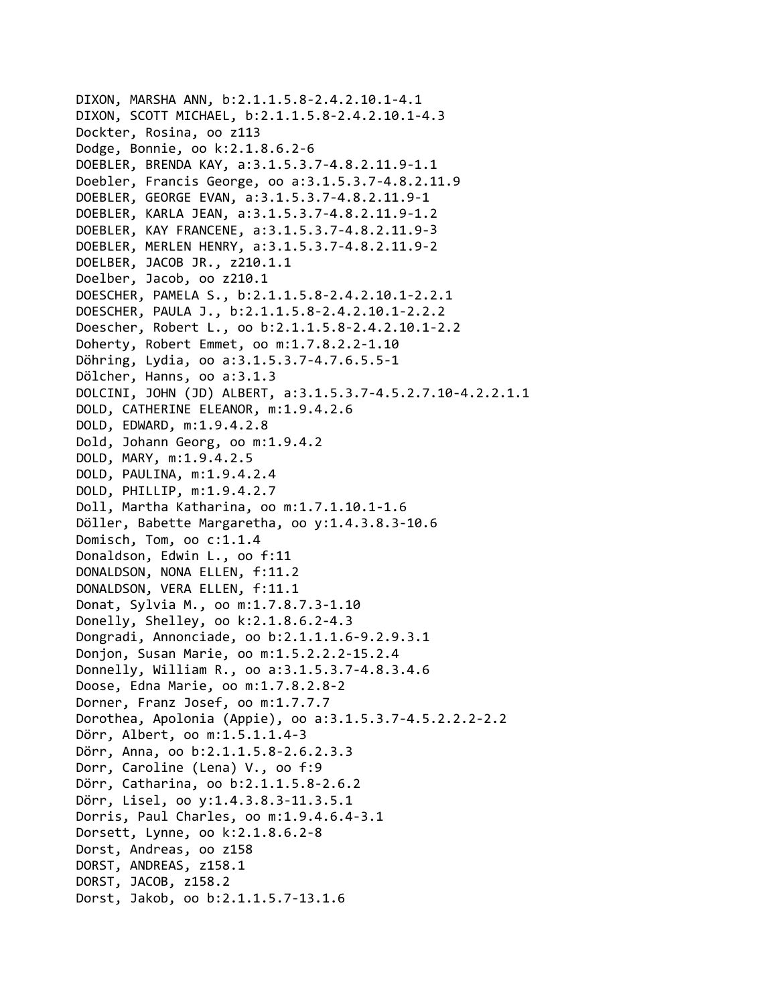```
DIXON, MARSHA ANN, b:2.1.1.5.8-2.4.2.10.1-4.1
DIXON, SCOTT MICHAEL, b:2.1.1.5.8-2.4.2.10.1-4.3
Dockter, Rosina, oo z113
Dodge, Bonnie, oo k:2.1.8.6.2-6
DOEBLER, BRENDA KAY, a:3.1.5.3.7-4.8.2.11.9-1.1
Doebler, Francis George, oo a:3.1.5.3.7-4.8.2.11.9
DOEBLER, GEORGE EVAN, a:3.1.5.3.7-4.8.2.11.9-1
DOEBLER, KARLA JEAN, a:3.1.5.3.7-4.8.2.11.9-1.2
DOEBLER, KAY FRANCENE, a:3.1.5.3.7-4.8.2.11.9-3
DOEBLER, MERLEN HENRY, a:3.1.5.3.7-4.8.2.11.9-2
DOELBER, JACOB JR., z210.1.1
Doelber, Jacob, oo z210.1
DOESCHER, PAMELA S., b:2.1.1.5.8-2.4.2.10.1-2.2.1
DOESCHER, PAULA J., b:2.1.1.5.8-2.4.2.10.1-2.2.2
Doescher, Robert L., oo b:2.1.1.5.8-2.4.2.10.1-2.2
Doherty, Robert Emmet, oo m:1.7.8.2.2-1.10
Döhring, Lydia, oo a:3.1.5.3.7-4.7.6.5.5-1
Dölcher, Hanns, oo a:3.1.3
DOLCINI, JOHN (JD) ALBERT, a:3.1.5.3.7-4.5.2.7.10-4.2.2.1.1
DOLD, CATHERINE ELEANOR, m:1.9.4.2.6
DOLD, EDWARD, m:1.9.4.2.8
Dold, Johann Georg, oo m:1.9.4.2
DOLD, MARY, m:1.9.4.2.5
DOLD, PAULINA, m:1.9.4.2.4
DOLD, PHILLIP, m:1.9.4.2.7
Doll, Martha Katharina, oo m:1.7.1.10.1-1.6
Döller, Babette Margaretha, oo y:1.4.3.8.3-10.6
Domisch, Tom, oo c:1.1.4
Donaldson, Edwin L., oo f:11
DONALDSON, NONA ELLEN, f:11.2
DONALDSON, VERA ELLEN, f:11.1
Donat, Sylvia M., oo m:1.7.8.7.3-1.10
Donelly, Shelley, oo k:2.1.8.6.2-4.3
Dongradi, Annonciade, oo b:2.1.1.1.6-9.2.9.3.1
Donjon, Susan Marie, oo m:1.5.2.2.2-15.2.4
Donnelly, William R., oo a:3.1.5.3.7-4.8.3.4.6
Doose, Edna Marie, oo m:1.7.8.2.8-2
Dorner, Franz Josef, oo m:1.7.7.7
Dorothea, Apolonia (Appie), oo a:3.1.5.3.7-4.5.2.2.2-2.2
Dörr, Albert, oo m:1.5.1.1.4-3
Dörr, Anna, oo b:2.1.1.5.8-2.6.2.3.3
Dorr, Caroline (Lena) V., oo f:9
Dörr, Catharina, oo b:2.1.1.5.8-2.6.2
Dörr, Lisel, oo y:1.4.3.8.3-11.3.5.1
Dorris, Paul Charles, oo m:1.9.4.6.4-3.1
Dorsett, Lynne, oo k:2.1.8.6.2-8
Dorst, Andreas, oo z158
DORST, ANDREAS, z158.1
DORST, JACOB, z158.2
Dorst, Jakob, oo b:2.1.1.5.7-13.1.6
```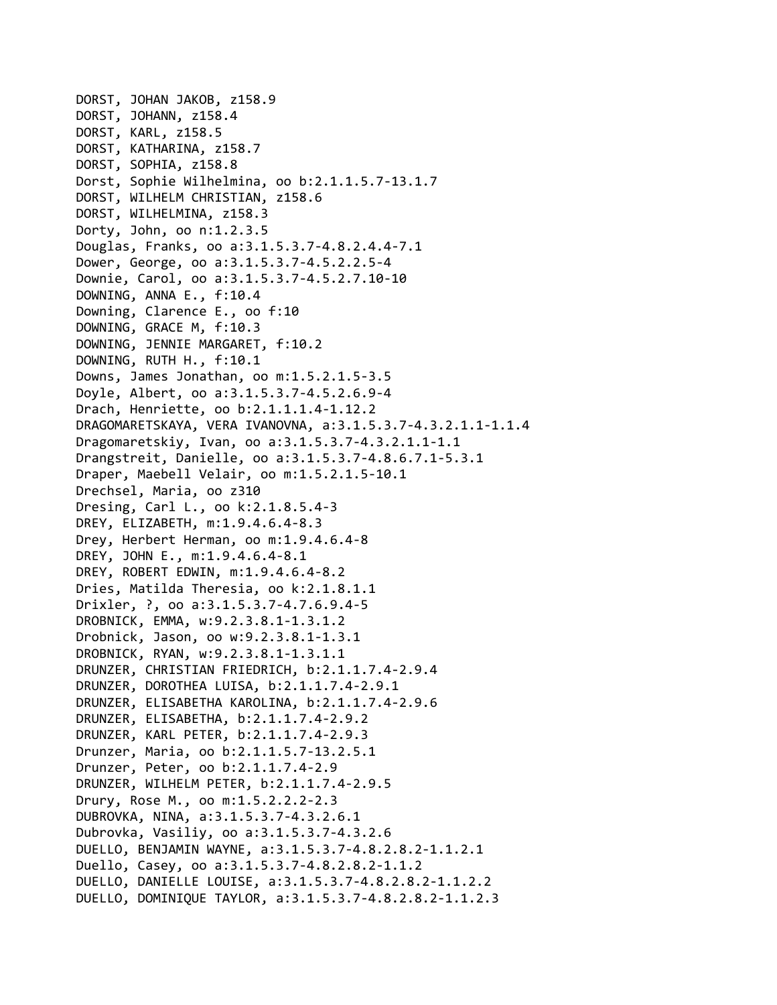DORST, JOHAN JAKOB, z158.9 DORST, JOHANN, z158.4 DORST, KARL, z158.5 DORST, KATHARINA, z158.7 DORST, SOPHIA, z158.8 Dorst, Sophie Wilhelmina, oo b:2.1.1.5.7‐13.1.7 DORST, WILHELM CHRISTIAN, z158.6 DORST, WILHELMINA, z158.3 Dorty, John, oo n:1.2.3.5 Douglas, Franks, oo a:3.1.5.3.7‐4.8.2.4.4‐7.1 Dower, George, oo a:3.1.5.3.7‐4.5.2.2.5‐4 Downie, Carol, oo a:3.1.5.3.7‐4.5.2.7.10‐10 DOWNING, ANNA E., f:10.4 Downing, Clarence E., oo f:10 DOWNING, GRACE M, f:10.3 DOWNING, JENNIE MARGARET, f:10.2 DOWNING, RUTH H., f:10.1 Downs, James Jonathan, oo m:1.5.2.1.5‐3.5 Doyle, Albert, oo a:3.1.5.3.7‐4.5.2.6.9‐4 Drach, Henriette, oo b:2.1.1.1.4‐1.12.2 DRAGOMARETSKAYA, VERA IVANOVNA, a:3.1.5.3.7‐4.3.2.1.1‐1.1.4 Dragomaretskiy, Ivan, oo a:3.1.5.3.7‐4.3.2.1.1‐1.1 Drangstreit, Danielle, oo a:3.1.5.3.7‐4.8.6.7.1‐5.3.1 Draper, Maebell Velair, oo m:1.5.2.1.5‐10.1 Drechsel, Maria, oo z310 Dresing, Carl L., oo k:2.1.8.5.4‐3 DREY, ELIZABETH, m:1.9.4.6.4‐8.3 Drey, Herbert Herman, oo m:1.9.4.6.4‐8 DREY, JOHN E., m:1.9.4.6.4‐8.1 DREY, ROBERT EDWIN, m:1.9.4.6.4‐8.2 Dries, Matilda Theresia, oo k:2.1.8.1.1 Drixler, ?, oo a:3.1.5.3.7‐4.7.6.9.4‐5 DROBNICK, EMMA, w:9.2.3.8.1‐1.3.1.2 Drobnick, Jason, oo w:9.2.3.8.1‐1.3.1 DROBNICK, RYAN, w:9.2.3.8.1‐1.3.1.1 DRUNZER, CHRISTIAN FRIEDRICH, b:2.1.1.7.4‐2.9.4 DRUNZER, DOROTHEA LUISA, b:2.1.1.7.4‐2.9.1 DRUNZER, ELISABETHA KAROLINA, b:2.1.1.7.4‐2.9.6 DRUNZER, ELISABETHA, b:2.1.1.7.4‐2.9.2 DRUNZER, KARL PETER, b:2.1.1.7.4‐2.9.3 Drunzer, Maria, oo b:2.1.1.5.7‐13.2.5.1 Drunzer, Peter, oo b:2.1.1.7.4‐2.9 DRUNZER, WILHELM PETER, b:2.1.1.7.4‐2.9.5 Drury, Rose M., oo m:1.5.2.2.2‐2.3 DUBROVKA, NINA, a:3.1.5.3.7‐4.3.2.6.1 Dubrovka, Vasiliy, oo a:3.1.5.3.7‐4.3.2.6 DUELLO, BENJAMIN WAYNE, a:3.1.5.3.7‐4.8.2.8.2‐1.1.2.1 Duello, Casey, oo a:3.1.5.3.7‐4.8.2.8.2‐1.1.2 DUELLO, DANIELLE LOUISE, a:3.1.5.3.7‐4.8.2.8.2‐1.1.2.2 DUELLO, DOMINIQUE TAYLOR, a:3.1.5.3.7‐4.8.2.8.2‐1.1.2.3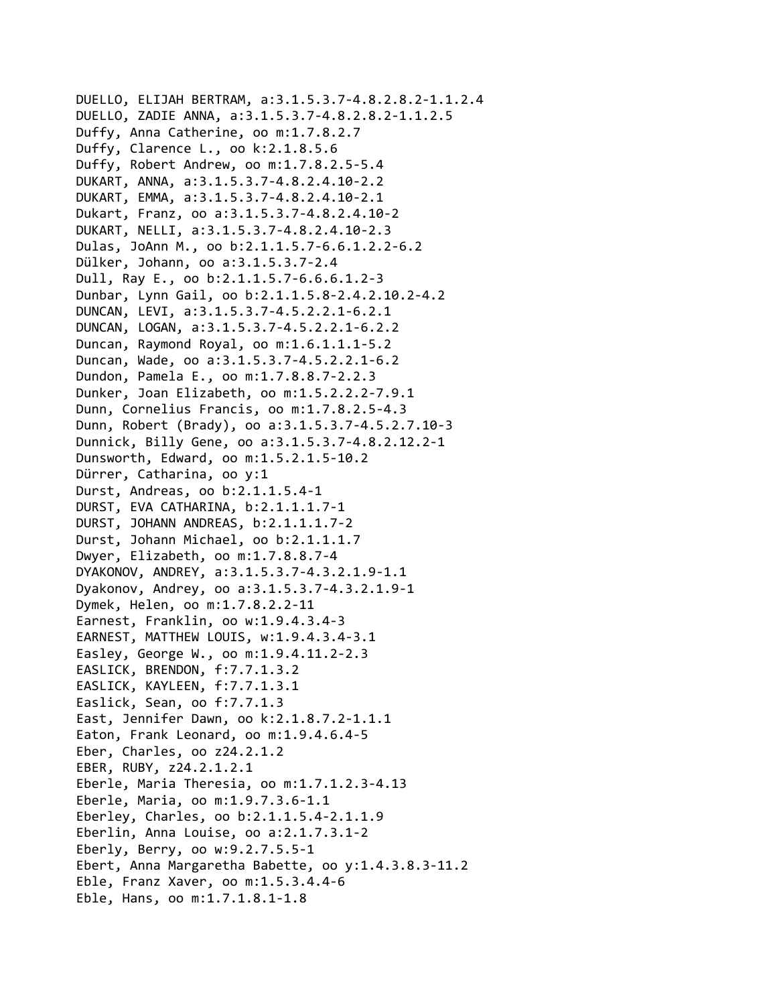```
DUELLO, ELIJAH BERTRAM, a:3.1.5.3.7‐4.8.2.8.2‐1.1.2.4
DUELLO, ZADIE ANNA, a:3.1.5.3.7‐4.8.2.8.2‐1.1.2.5
Duffy, Anna Catherine, oo m:1.7.8.2.7
Duffy, Clarence L., oo k:2.1.8.5.6
Duffy, Robert Andrew, oo m:1.7.8.2.5‐5.4
DUKART, ANNA, a:3.1.5.3.7‐4.8.2.4.10‐2.2
DUKART, EMMA, a:3.1.5.3.7‐4.8.2.4.10‐2.1
Dukart, Franz, oo a:3.1.5.3.7‐4.8.2.4.10‐2
DUKART, NELLI, a:3.1.5.3.7‐4.8.2.4.10‐2.3
Dulas, JoAnn M., oo b:2.1.1.5.7‐6.6.1.2.2‐6.2
Dülker, Johann, oo a:3.1.5.3.7‐2.4
Dull, Ray E., oo b:2.1.1.5.7‐6.6.6.1.2‐3
Dunbar, Lynn Gail, oo b:2.1.1.5.8‐2.4.2.10.2‐4.2
DUNCAN, LEVI, a:3.1.5.3.7‐4.5.2.2.1‐6.2.1
DUNCAN, LOGAN, a:3.1.5.3.7‐4.5.2.2.1‐6.2.2
Duncan, Raymond Royal, oo m:1.6.1.1.1‐5.2
Duncan, Wade, oo a:3.1.5.3.7‐4.5.2.2.1‐6.2
Dundon, Pamela E., oo m:1.7.8.8.7‐2.2.3
Dunker, Joan Elizabeth, oo m:1.5.2.2.2‐7.9.1
Dunn, Cornelius Francis, oo m:1.7.8.2.5‐4.3
Dunn, Robert (Brady), oo a:3.1.5.3.7‐4.5.2.7.10‐3
Dunnick, Billy Gene, oo a:3.1.5.3.7‐4.8.2.12.2‐1
Dunsworth, Edward, oo m:1.5.2.1.5‐10.2
Dürrer, Catharina, oo y:1
Durst, Andreas, oo b:2.1.1.5.4‐1
DURST, EVA CATHARINA, b:2.1.1.1.7‐1
DURST, JOHANN ANDREAS, b:2.1.1.1.7‐2
Durst, Johann Michael, oo b:2.1.1.1.7
Dwyer, Elizabeth, oo m:1.7.8.8.7‐4
DYAKONOV, ANDREY, a:3.1.5.3.7‐4.3.2.1.9‐1.1
Dyakonov, Andrey, oo a:3.1.5.3.7‐4.3.2.1.9‐1
Dymek, Helen, oo m:1.7.8.2.2‐11
Earnest, Franklin, oo w:1.9.4.3.4‐3
EARNEST, MATTHEW LOUIS, w:1.9.4.3.4‐3.1
Easley, George W., oo m:1.9.4.11.2‐2.3
EASLICK, BRENDON, f:7.7.1.3.2
EASLICK, KAYLEEN, f:7.7.1.3.1
Easlick, Sean, oo f:7.7.1.3
East, Jennifer Dawn, oo k:2.1.8.7.2‐1.1.1
Eaton, Frank Leonard, oo m:1.9.4.6.4‐5
Eber, Charles, oo z24.2.1.2
EBER, RUBY, z24.2.1.2.1
Eberle, Maria Theresia, oo m:1.7.1.2.3‐4.13
Eberle, Maria, oo m:1.9.7.3.6‐1.1
Eberley, Charles, oo b:2.1.1.5.4‐2.1.1.9
Eberlin, Anna Louise, oo a:2.1.7.3.1‐2
Eberly, Berry, oo w:9.2.7.5.5‐1
Ebert, Anna Margaretha Babette, oo y:1.4.3.8.3‐11.2
Eble, Franz Xaver, oo m:1.5.3.4.4‐6
Eble, Hans, oo m:1.7.1.8.1‐1.8
```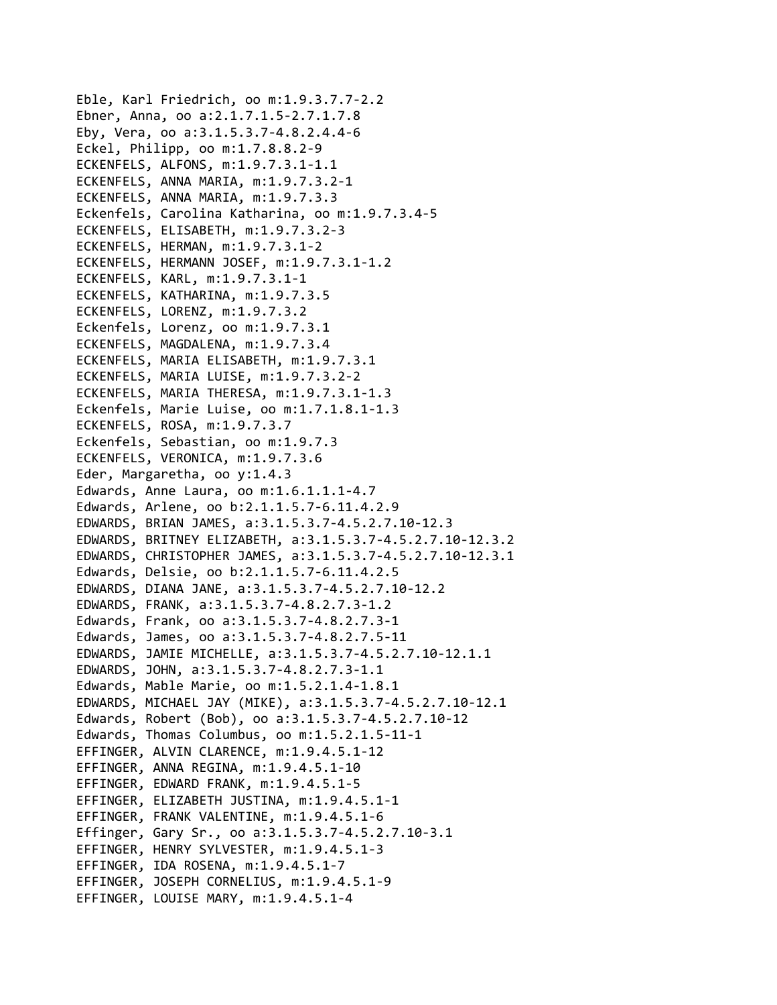Eble, Karl Friedrich, oo m:1.9.3.7.7‐2.2 Ebner, Anna, oo a:2.1.7.1.5‐2.7.1.7.8 Eby, Vera, oo a:3.1.5.3.7‐4.8.2.4.4‐6 Eckel, Philipp, oo m:1.7.8.8.2‐9 ECKENFELS, ALFONS, m:1.9.7.3.1‐1.1 ECKENFELS, ANNA MARIA, m:1.9.7.3.2‐1 ECKENFELS, ANNA MARIA, m:1.9.7.3.3 Eckenfels, Carolina Katharina, oo m:1.9.7.3.4‐5 ECKENFELS, ELISABETH, m:1.9.7.3.2‐3 ECKENFELS, HERMAN, m:1.9.7.3.1‐2 ECKENFELS, HERMANN JOSEF, m:1.9.7.3.1‐1.2 ECKENFELS, KARL, m:1.9.7.3.1‐1 ECKENFELS, KATHARINA, m:1.9.7.3.5 ECKENFELS, LORENZ, m:1.9.7.3.2 Eckenfels, Lorenz, oo m:1.9.7.3.1 ECKENFELS, MAGDALENA, m:1.9.7.3.4 ECKENFELS, MARIA ELISABETH, m:1.9.7.3.1 ECKENFELS, MARIA LUISE, m:1.9.7.3.2‐2 ECKENFELS, MARIA THERESA, m:1.9.7.3.1‐1.3 Eckenfels, Marie Luise, oo m:1.7.1.8.1‐1.3 ECKENFELS, ROSA, m:1.9.7.3.7 Eckenfels, Sebastian, oo m:1.9.7.3 ECKENFELS, VERONICA, m:1.9.7.3.6 Eder, Margaretha, oo y:1.4.3 Edwards, Anne Laura, oo m:1.6.1.1.1‐4.7 Edwards, Arlene, oo b:2.1.1.5.7‐6.11.4.2.9 EDWARDS, BRIAN JAMES, a:3.1.5.3.7‐4.5.2.7.10‐12.3 EDWARDS, BRITNEY ELIZABETH, a:3.1.5.3.7‐4.5.2.7.10‐12.3.2 EDWARDS, CHRISTOPHER JAMES, a:3.1.5.3.7‐4.5.2.7.10‐12.3.1 Edwards, Delsie, oo b:2.1.1.5.7‐6.11.4.2.5 EDWARDS, DIANA JANE, a:3.1.5.3.7‐4.5.2.7.10‐12.2 EDWARDS, FRANK, a:3.1.5.3.7‐4.8.2.7.3‐1.2 Edwards, Frank, oo a:3.1.5.3.7‐4.8.2.7.3‐1 Edwards, James, oo a:3.1.5.3.7‐4.8.2.7.5‐11 EDWARDS, JAMIE MICHELLE, a:3.1.5.3.7‐4.5.2.7.10‐12.1.1 EDWARDS, JOHN, a:3.1.5.3.7‐4.8.2.7.3‐1.1 Edwards, Mable Marie, oo m:1.5.2.1.4‐1.8.1 EDWARDS, MICHAEL JAY (MIKE), a:3.1.5.3.7‐4.5.2.7.10‐12.1 Edwards, Robert (Bob), oo a:3.1.5.3.7‐4.5.2.7.10‐12 Edwards, Thomas Columbus, oo m:1.5.2.1.5‐11‐1 EFFINGER, ALVIN CLARENCE, m:1.9.4.5.1‐12 EFFINGER, ANNA REGINA, m:1.9.4.5.1‐10 EFFINGER, EDWARD FRANK, m:1.9.4.5.1‐5 EFFINGER, ELIZABETH JUSTINA, m:1.9.4.5.1‐1 EFFINGER, FRANK VALENTINE, m:1.9.4.5.1‐6 Effinger, Gary Sr., oo a:3.1.5.3.7‐4.5.2.7.10‐3.1 EFFINGER, HENRY SYLVESTER, m:1.9.4.5.1‐3 EFFINGER, IDA ROSENA, m:1.9.4.5.1‐7 EFFINGER, JOSEPH CORNELIUS, m:1.9.4.5.1‐9 EFFINGER, LOUISE MARY, m:1.9.4.5.1‐4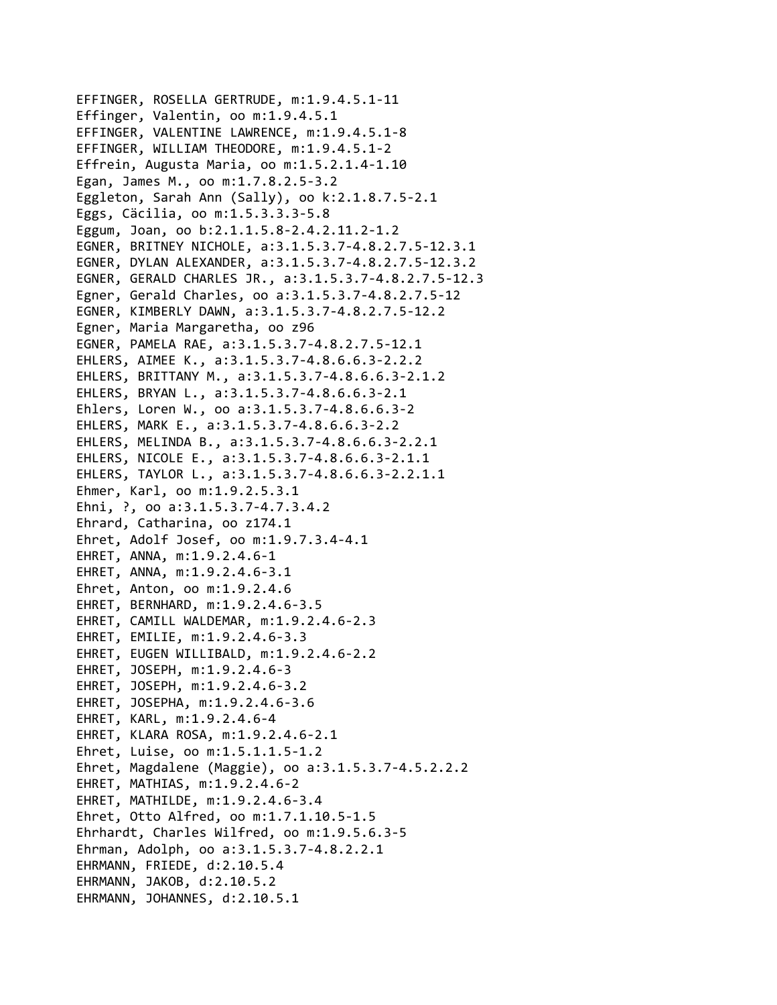```
EFFINGER, ROSELLA GERTRUDE, m:1.9.4.5.1‐11
Effinger, Valentin, oo m:1.9.4.5.1
EFFINGER, VALENTINE LAWRENCE, m:1.9.4.5.1‐8
EFFINGER, WILLIAM THEODORE, m:1.9.4.5.1‐2
Effrein, Augusta Maria, oo m:1.5.2.1.4‐1.10
Egan, James M., oo m:1.7.8.2.5‐3.2
Eggleton, Sarah Ann (Sally), oo k:2.1.8.7.5‐2.1
Eggs, Cäcilia, oo m:1.5.3.3.3‐5.8
Eggum, Joan, oo b:2.1.1.5.8‐2.4.2.11.2‐1.2
EGNER, BRITNEY NICHOLE, a:3.1.5.3.7‐4.8.2.7.5‐12.3.1
EGNER, DYLAN ALEXANDER, a:3.1.5.3.7‐4.8.2.7.5‐12.3.2
EGNER, GERALD CHARLES JR., a:3.1.5.3.7‐4.8.2.7.5‐12.3
Egner, Gerald Charles, oo a:3.1.5.3.7‐4.8.2.7.5‐12
EGNER, KIMBERLY DAWN, a:3.1.5.3.7‐4.8.2.7.5‐12.2
Egner, Maria Margaretha, oo z96
EGNER, PAMELA RAE, a:3.1.5.3.7‐4.8.2.7.5‐12.1
EHLERS, AIMEE K., a:3.1.5.3.7‐4.8.6.6.3‐2.2.2
EHLERS, BRITTANY M., a:3.1.5.3.7‐4.8.6.6.3‐2.1.2
EHLERS, BRYAN L., a:3.1.5.3.7‐4.8.6.6.3‐2.1
Ehlers, Loren W., oo a:3.1.5.3.7‐4.8.6.6.3‐2
EHLERS, MARK E., a:3.1.5.3.7‐4.8.6.6.3‐2.2
EHLERS, MELINDA B., a:3.1.5.3.7‐4.8.6.6.3‐2.2.1
EHLERS, NICOLE E., a:3.1.5.3.7‐4.8.6.6.3‐2.1.1
EHLERS, TAYLOR L., a:3.1.5.3.7‐4.8.6.6.3‐2.2.1.1
Ehmer, Karl, oo m:1.9.2.5.3.1
Ehni, ?, oo a:3.1.5.3.7‐4.7.3.4.2
Ehrard, Catharina, oo z174.1
Ehret, Adolf Josef, oo m:1.9.7.3.4‐4.1
EHRET, ANNA, m:1.9.2.4.6‐1
EHRET, ANNA, m:1.9.2.4.6‐3.1
Ehret, Anton, oo m:1.9.2.4.6
EHRET, BERNHARD, m:1.9.2.4.6‐3.5
EHRET, CAMILL WALDEMAR, m:1.9.2.4.6‐2.3
EHRET, EMILIE, m:1.9.2.4.6‐3.3
EHRET, EUGEN WILLIBALD, m:1.9.2.4.6‐2.2
EHRET, JOSEPH, m:1.9.2.4.6‐3
EHRET, JOSEPH, m:1.9.2.4.6‐3.2
EHRET, JOSEPHA, m:1.9.2.4.6‐3.6
EHRET, KARL, m:1.9.2.4.6‐4
EHRET, KLARA ROSA, m:1.9.2.4.6‐2.1
Ehret, Luise, oo m:1.5.1.1.5‐1.2
Ehret, Magdalene (Maggie), oo a:3.1.5.3.7‐4.5.2.2.2
EHRET, MATHIAS, m:1.9.2.4.6‐2
EHRET, MATHILDE, m:1.9.2.4.6‐3.4
Ehret, Otto Alfred, oo m:1.7.1.10.5‐1.5
Ehrhardt, Charles Wilfred, oo m:1.9.5.6.3‐5
Ehrman, Adolph, oo a:3.1.5.3.7‐4.8.2.2.1
EHRMANN, FRIEDE, d:2.10.5.4
EHRMANN, JAKOB, d:2.10.5.2
EHRMANN, JOHANNES, d:2.10.5.1
```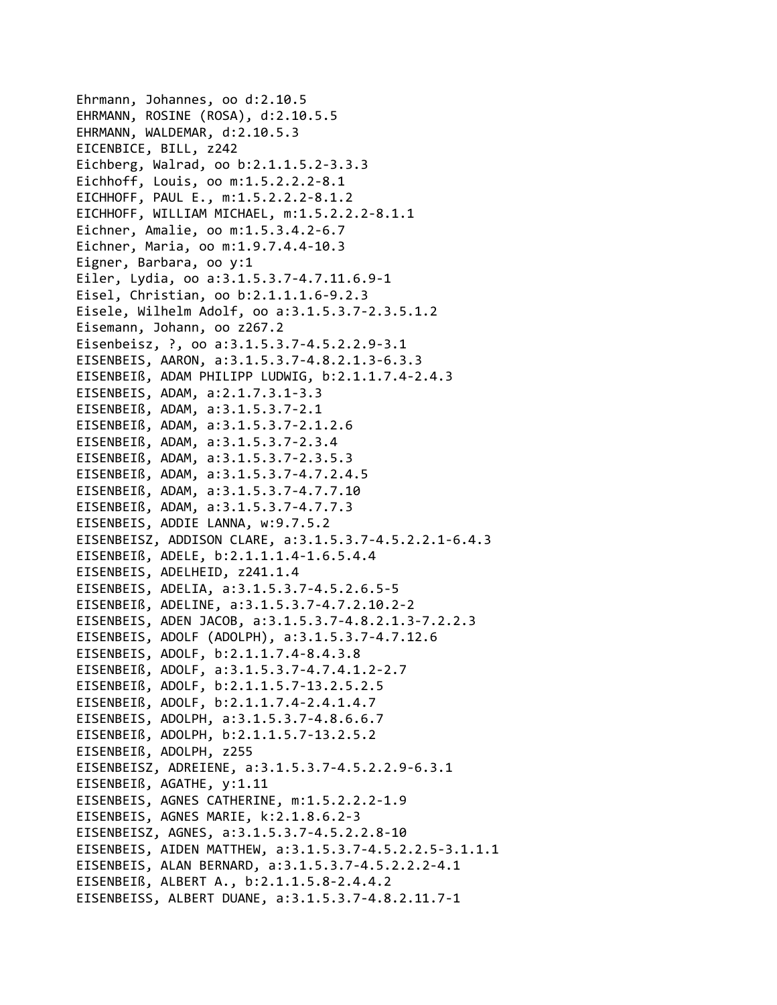```
Ehrmann, Johannes, oo d:2.10.5
EHRMANN, ROSINE (ROSA), d:2.10.5.5
EHRMANN, WALDEMAR, d:2.10.5.3
EICENBICE, BILL, z242
Eichberg, Walrad, oo b:2.1.1.5.2‐3.3.3
Eichhoff, Louis, oo m:1.5.2.2.2‐8.1
EICHHOFF, PAUL E., m:1.5.2.2.2‐8.1.2
EICHHOFF, WILLIAM MICHAEL, m:1.5.2.2.2‐8.1.1
Eichner, Amalie, oo m:1.5.3.4.2‐6.7
Eichner, Maria, oo m:1.9.7.4.4‐10.3
Eigner, Barbara, oo y:1
Eiler, Lydia, oo a:3.1.5.3.7‐4.7.11.6.9‐1
Eisel, Christian, oo b:2.1.1.1.6‐9.2.3
Eisele, Wilhelm Adolf, oo a:3.1.5.3.7‐2.3.5.1.2
Eisemann, Johann, oo z267.2
Eisenbeisz, ?, oo a:3.1.5.3.7‐4.5.2.2.9‐3.1
EISENBEIS, AARON, a:3.1.5.3.7‐4.8.2.1.3‐6.3.3
EISENBEIß, ADAM PHILIPP LUDWIG, b:2.1.1.7.4‐2.4.3
EISENBEIS, ADAM, a:2.1.7.3.1‐3.3
EISENBEIß, ADAM, a:3.1.5.3.7‐2.1
EISENBEIß, ADAM, a:3.1.5.3.7‐2.1.2.6
EISENBEIß, ADAM, a:3.1.5.3.7‐2.3.4
EISENBEIß, ADAM, a:3.1.5.3.7‐2.3.5.3
EISENBEIß, ADAM, a:3.1.5.3.7‐4.7.2.4.5
EISENBEIß, ADAM, a:3.1.5.3.7‐4.7.7.10
EISENBEIß, ADAM, a:3.1.5.3.7‐4.7.7.3
EISENBEIS, ADDIE LANNA, w:9.7.5.2
EISENBEISZ, ADDISON CLARE, a:3.1.5.3.7‐4.5.2.2.1‐6.4.3
EISENBEIß, ADELE, b:2.1.1.1.4‐1.6.5.4.4
EISENBEIS, ADELHEID, z241.1.4
EISENBEIS, ADELIA, a:3.1.5.3.7‐4.5.2.6.5‐5
EISENBEIß, ADELINE, a:3.1.5.3.7‐4.7.2.10.2‐2
EISENBEIS, ADEN JACOB, a:3.1.5.3.7‐4.8.2.1.3‐7.2.2.3
EISENBEIS, ADOLF (ADOLPH), a:3.1.5.3.7‐4.7.12.6
EISENBEIS, ADOLF, b:2.1.1.7.4‐8.4.3.8
EISENBEIß, ADOLF, a:3.1.5.3.7‐4.7.4.1.2‐2.7
EISENBEIß, ADOLF, b:2.1.1.5.7‐13.2.5.2.5
EISENBEIß, ADOLF, b:2.1.1.7.4‐2.4.1.4.7
EISENBEIS, ADOLPH, a:3.1.5.3.7‐4.8.6.6.7
EISENBEIß, ADOLPH, b:2.1.1.5.7‐13.2.5.2
EISENBEIß, ADOLPH, z255
EISENBEISZ, ADREIENE, a:3.1.5.3.7‐4.5.2.2.9‐6.3.1
EISENBEIß, AGATHE, y:1.11
EISENBEIS, AGNES CATHERINE, m:1.5.2.2.2‐1.9
EISENBEIS, AGNES MARIE, k:2.1.8.6.2‐3
EISENBEISZ, AGNES, a:3.1.5.3.7‐4.5.2.2.8‐10
EISENBEIS, AIDEN MATTHEW, a:3.1.5.3.7‐4.5.2.2.5‐3.1.1.1
EISENBEIS, ALAN BERNARD, a:3.1.5.3.7‐4.5.2.2.2‐4.1
EISENBEIß, ALBERT A., b:2.1.1.5.8‐2.4.4.2
EISENBEISS, ALBERT DUANE, a:3.1.5.3.7‐4.8.2.11.7‐1
```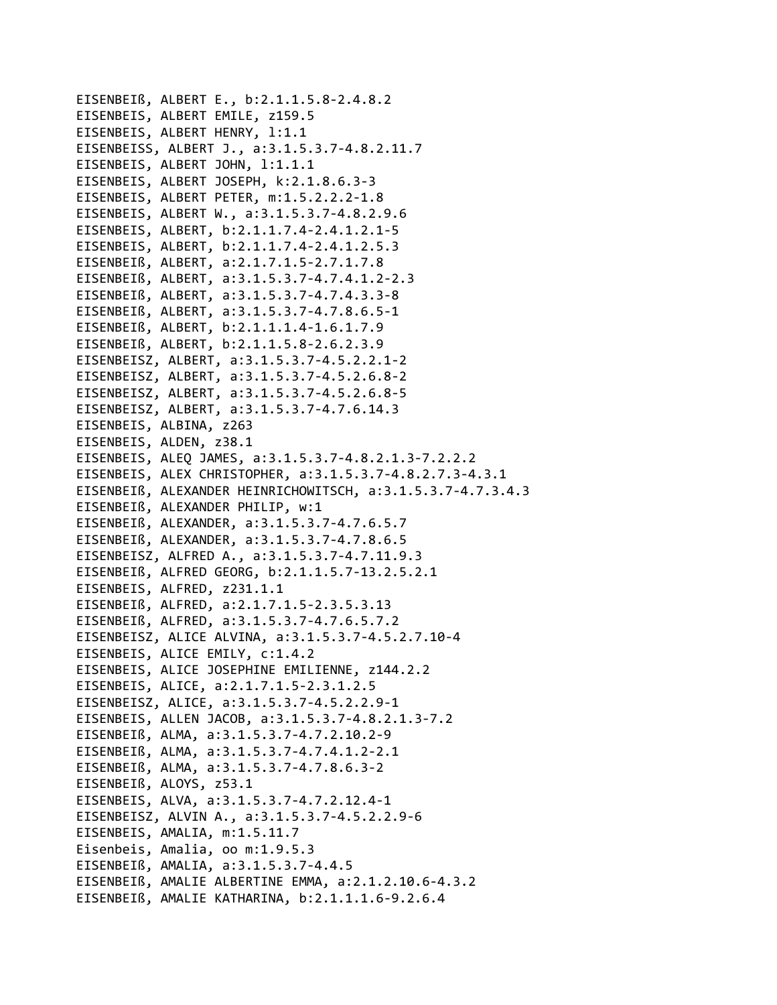```
EISENBEIß, ALBERT E., b:2.1.1.5.8-2.4.8.2
EISENBEIS, ALBERT EMILE, z159.5
EISENBEIS, ALBERT HENRY, 1:1.1
EISENBEISS, ALBERT J., a:3.1.5.3.7-4.8.2.11.7
EISENBEIS, ALBERT JOHN, 1:1.1.1
EISENBEIS, ALBERT JOSEPH, k:2.1.8.6.3-3
EISENBEIS, ALBERT PETER, m:1.5.2.2.2-1.8
EISENBEIS, ALBERT W., a:3.1.5.3.7-4.8.2.9.6
EISENBEIS, ALBERT, b:2.1.1.7.4-2.4.1.2.1-5
EISENBEIS, ALBERT, b:2.1.1.7.4-2.4.1.2.5.3
EISENBEIß, ALBERT, a:2.1.7.1.5-2.7.1.7.8
EISENBEIß, ALBERT, a:3.1.5.3.7-4.7.4.1.2-2.3
EISENBEIß, ALBERT, a:3.1.5.3.7-4.7.4.3.3-8
EISENBEIß, ALBERT, a:3.1.5.3.7-4.7.8.6.5-1
EISENBEIß, ALBERT, b:2.1.1.1.4-1.6.1.7.9
EISENBEIß, ALBERT, b:2.1.1.5.8-2.6.2.3.9
EISENBEISZ, ALBERT, a:3.1.5.3.7-4.5.2.2.1-2
EISENBEISZ, ALBERT, a:3.1.5.3.7-4.5.2.6.8-2
EISENBEISZ, ALBERT, a:3.1.5.3.7-4.5.2.6.8-5
EISENBEISZ, ALBERT, a:3.1.5.3.7-4.7.6.14.3
EISENBEIS, ALBINA, z263
EISENBEIS, ALDEN, z38.1
EISENBEIS, ALEO JAMES, a:3.1.5.3.7-4.8.2.1.3-7.2.2.2
EISENBEIS, ALEX CHRISTOPHER, a:3.1.5.3.7-4.8.2.7.3-4.3.1
EISENBEIß, ALEXANDER HEINRICHOWITSCH, a:3.1.5.3.7-4.7.3.4.3
EISENBEIß, ALEXANDER PHILIP, w:1
EISENBEIß, ALEXANDER, a:3.1.5.3.7-4.7.6.5.7
EISENBEIß, ALEXANDER, a:3.1.5.3.7-4.7.8.6.5
EISENBEISZ, ALFRED A., a:3.1.5.3.7-4.7.11.9.3
EISENBEIß, ALFRED GEORG, b:2.1.1.5.7-13.2.5.2.1
EISENBEIS, ALFRED, z231.1.1
EISENBEIß, ALFRED, a:2.1.7.1.5-2.3.5.3.13
EISENBEIß, ALFRED, a:3.1.5.3.7-4.7.6.5.7.2
EISENBEISZ, ALICE ALVINA, a:3.1.5.3.7-4.5.2.7.10-4
EISENBEIS, ALICE EMILY, c:1.4.2
EISENBEIS, ALICE JOSEPHINE EMILIENNE, z144.2.2
EISENBEIS, ALICE, a:2.1.7.1.5-2.3.1.2.5
EISENBEISZ, ALICE, a:3.1.5.3.7-4.5.2.2.9-1
EISENBEIS, ALLEN JACOB, a:3.1.5.3.7-4.8.2.1.3-7.2
EISENBEIß, ALMA, a:3.1.5.3.7-4.7.2.10.2-9
EISENBEIß, ALMA, a:3.1.5.3.7-4.7.4.1.2-2.1
EISENBEIß, ALMA, a:3.1.5.3.7-4.7.8.6.3-2
EISENBEIß, ALOYS, z53.1
EISENBEIS, ALVA, a:3.1.5.3.7-4.7.2.12.4-1
EISENBEISZ, ALVIN A., a:3.1.5.3.7-4.5.2.2.9-6
EISENBEIS, AMALIA, m:1.5.11.7
Eisenbeis, Amalia, oo m:1.9.5.3
EISENBEIß, AMALIA, a:3.1.5.3.7-4.4.5
EISENBEIß, AMALIE ALBERTINE EMMA, a:2.1.2.10.6-4.3.2
EISENBEIß, AMALIE KATHARINA, b:2.1.1.1.6-9.2.6.4
```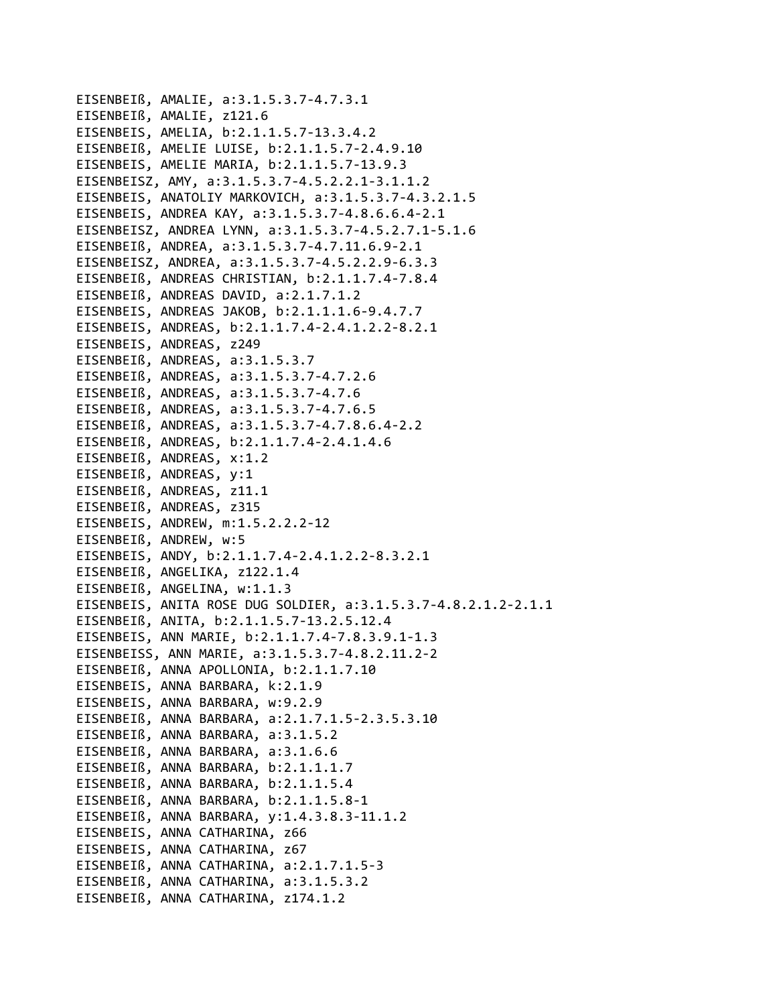```
EISENBEIß, AMALIE, a:3.1.5.3.7-4.7.3.1
EISENBEIß, AMALIE, z121.6
EISENBEIS, AMELIA, b:2.1.1.5.7-13.3.4.2
EISENBEIß, AMELIE LUISE, b:2.1.1.5.7-2.4.9.10
EISENBEIS, AMELIE MARIA, b:2.1.1.5.7-13.9.3
EISENBEISZ, AMY, a:3.1.5.3.7-4.5.2.2.1-3.1.1.2
EISENBEIS, ANATOLIY MARKOVICH, a:3.1.5.3.7-4.3.2.1.5
EISENBEIS, ANDREA KAY, a:3.1.5.3.7-4.8.6.6.4-2.1
EISENBEISZ, ANDREA LYNN, a:3.1.5.3.7-4.5.2.7.1-5.1.6
EISENBEIß, ANDREA, a:3.1.5.3.7-4.7.11.6.9-2.1
EISENBEISZ, ANDREA, a:3.1.5.3.7-4.5.2.2.9-6.3.3
EISENBEIß, ANDREAS CHRISTIAN, b:2.1.1.7.4-7.8.4
EISENBEIß, ANDREAS DAVID, a:2.1.7.1.2
EISENBEIS, ANDREAS JAKOB, b:2.1.1.1.6-9.4.7.7
EISENBEIS, ANDREAS, b:2.1.1.7.4-2.4.1.2.2-8.2.1
EISENBEIS, ANDREAS, z249
EISENBEIß, ANDREAS, a:3.1.5.3.7
EISENBEIß, ANDREAS, a:3.1.5.3.7-4.7.2.6
EISENBEIß, ANDREAS, a:3.1.5.3.7-4.7.6
EISENBEIß, ANDREAS, a:3.1.5.3.7-4.7.6.5
EISENBEIß, ANDREAS, a:3.1.5.3.7-4.7.8.6.4-2.2
EISENBEIß, ANDREAS, b:2.1.1.7.4-2.4.1.4.6
EISENBEIß, ANDREAS, x:1.2
EISENBEIß, ANDREAS, y:1
EISENBEIß, ANDREAS, z11.1
EISENBEIß, ANDREAS, z315
EISENBEIS, ANDREW, m:1.5.2.2.2-12
EISENBEIß, ANDREW, w:5
EISENBEIS, ANDY, b:2.1.1.7.4-2.4.1.2.2-8.3.2.1
EISENBEIß, ANGELIKA, z122.1.4
EISENBEIß, ANGELINA, w:1.1.3
EISENBEIS, ANITA ROSE DUG SOLDIER, a:3.1.5.3.7-4.8.2.1.2-2.1.1
EISENBEIß, ANITA, b:2.1.1.5.7-13.2.5.12.4
EISENBEIS, ANN MARIE, b:2.1.1.7.4-7.8.3.9.1-1.3
EISENBEISS, ANN MARIE, a:3.1.5.3.7-4.8.2.11.2-2
EISENBEIß, ANNA APOLLONIA, b:2.1.1.7.10
EISENBEIS, ANNA BARBARA, k:2.1.9
EISENBEIS, ANNA BARBARA, w:9.2.9
EISENBEIß, ANNA BARBARA, a:2.1.7.1.5-2.3.5.3.10
EISENBEIß, ANNA BARBARA, a:3.1.5.2
EISENBEIß, ANNA BARBARA, a:3.1.6.6
EISENBEIß, ANNA BARBARA, b:2.1.1.1.7
EISENBEIß, ANNA BARBARA, b:2.1.1.5.4
EISENBEIß, ANNA BARBARA, b:2.1.1.5.8-1
EISENBEIß, ANNA BARBARA, y:1.4.3.8.3-11.1.2
EISENBEIS, ANNA CATHARINA, z66
EISENBEIS, ANNA CATHARINA, z67
EISENBEIß, ANNA CATHARINA, a:2.1.7.1.5-3
EISENBEIß, ANNA CATHARINA, a:3.1.5.3.2
EISENBEIß, ANNA CATHARINA, z174.1.2
```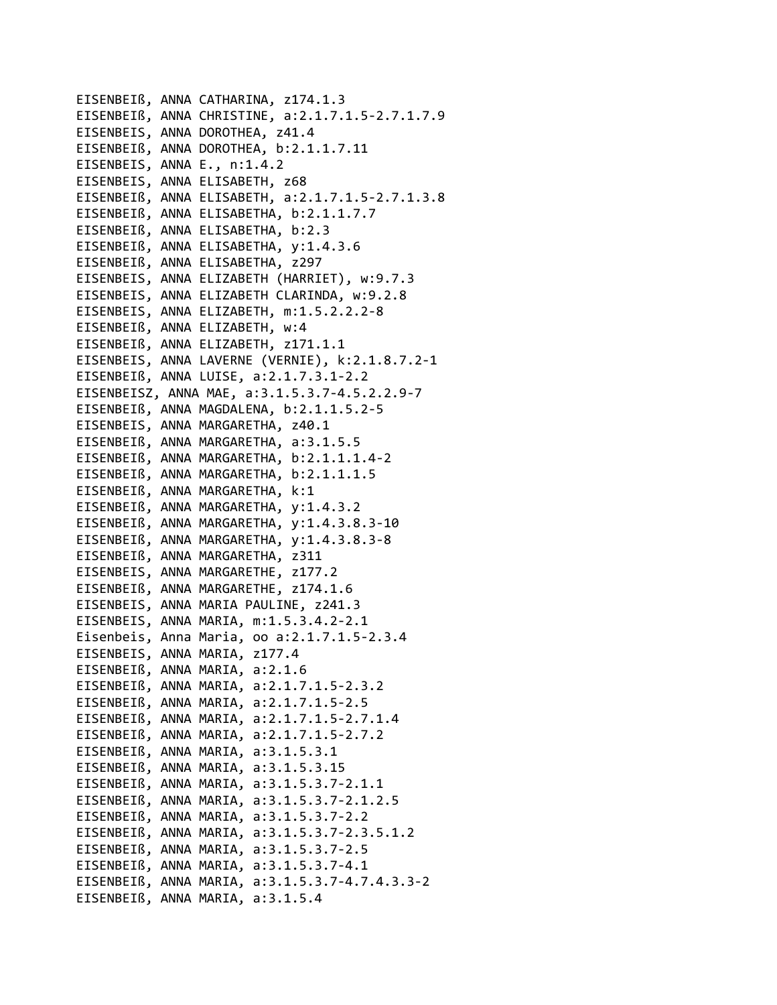EISENBEIß, ANNA CATHARINA, z174.1.3 EISENBEIß, ANNA CHRISTINE, a:2.1.7.1.5-2.7.1.7.9 EISENBEIS, ANNA DOROTHEA, z41.4 EISENBEIß, ANNA DOROTHEA, b:2.1.1.7.11 EISENBEIS, ANNA E., n:1.4.2 EISENBEIS, ANNA ELISABETH, z68 EISENBEIß, ANNA ELISABETH, a:2.1.7.1.5-2.7.1.3.8 EISENBEIß, ANNA ELISABETHA, b:2.1.1.7.7 EISENBEIß, ANNA ELISABETHA, b:2.3 EISENBEIß, ANNA ELISABETHA, y:1.4.3.6 EISENBEIß, ANNA ELISABETHA, z297 EISENBEIS, ANNA ELIZABETH (HARRIET), w:9.7.3 EISENBEIS, ANNA ELIZABETH CLARINDA, w:9.2.8 EISENBEIS, ANNA ELIZABETH, m:1.5.2.2.2-8 EISENBEIß, ANNA ELIZABETH, w:4 EISENBEIß, ANNA ELIZABETH, z171.1.1 EISENBEIS, ANNA LAVERNE (VERNIE), k:2.1.8.7.2-1 EISENBEIß, ANNA LUISE, a:2.1.7.3.1-2.2 EISENBEISZ, ANNA MAE, a:3.1.5.3.7-4.5.2.2.9-7 EISENBEIß, ANNA MAGDALENA, b:2.1.1.5.2-5 EISENBEIS, ANNA MARGARETHA, z40.1 EISENBEIß, ANNA MARGARETHA, a:3.1.5.5 EISENBEIß, ANNA MARGARETHA, b:2.1.1.1.4-2 EISENBEIß, ANNA MARGARETHA, b:2.1.1.1.5 EISENBEIß, ANNA MARGARETHA, k:1 EISENBEIß, ANNA MARGARETHA, y:1.4.3.2 EISENBEIß, ANNA MARGARETHA, y:1.4.3.8.3-10 EISENBEIß, ANNA MARGARETHA, y:1.4.3.8.3-8 EISENBEIß, ANNA MARGARETHA, z311 EISENBEIS, ANNA MARGARETHE, z177.2 EISENBEIß, ANNA MARGARETHE, z174.1.6 EISENBEIS, ANNA MARIA PAULINE, z241.3 EISENBEIS, ANNA MARIA, m:1.5.3.4.2-2.1 Eisenbeis, Anna Maria, oo a:2.1.7.1.5-2.3.4 EISENBEIS, ANNA MARIA, z177.4 EISENBEIß, ANNA MARIA, a:2.1.6 EISENBEIß, ANNA MARIA, a:2.1.7.1.5-2.3.2 EISENBEIß, ANNA MARIA, a:2.1.7.1.5-2.5 EISENBEIß, ANNA MARIA, a:2.1.7.1.5-2.7.1.4 EISENBEIß, ANNA MARIA, a:2.1.7.1.5-2.7.2 EISENBEIß, ANNA MARIA, a:3.1.5.3.1 EISENBEIß, ANNA MARIA, a:3.1.5.3.15 EISENBEIß, ANNA MARIA, a:3.1.5.3.7-2.1.1 EISENBEIß, ANNA MARIA, a:3.1.5.3.7-2.1.2.5 EISENBEIß, ANNA MARIA, a:3.1.5.3.7-2.2 EISENBEIß, ANNA MARIA, a:3.1.5.3.7-2.3.5.1.2 EISENBEIß, ANNA MARIA, a:3.1.5.3.7-2.5 EISENBEIß, ANNA MARIA, a:3.1.5.3.7-4.1 EISENBEIß, ANNA MARIA, a:3.1.5.3.7-4.7.4.3.3-2 EISENBEIß, ANNA MARIA, a:3.1.5.4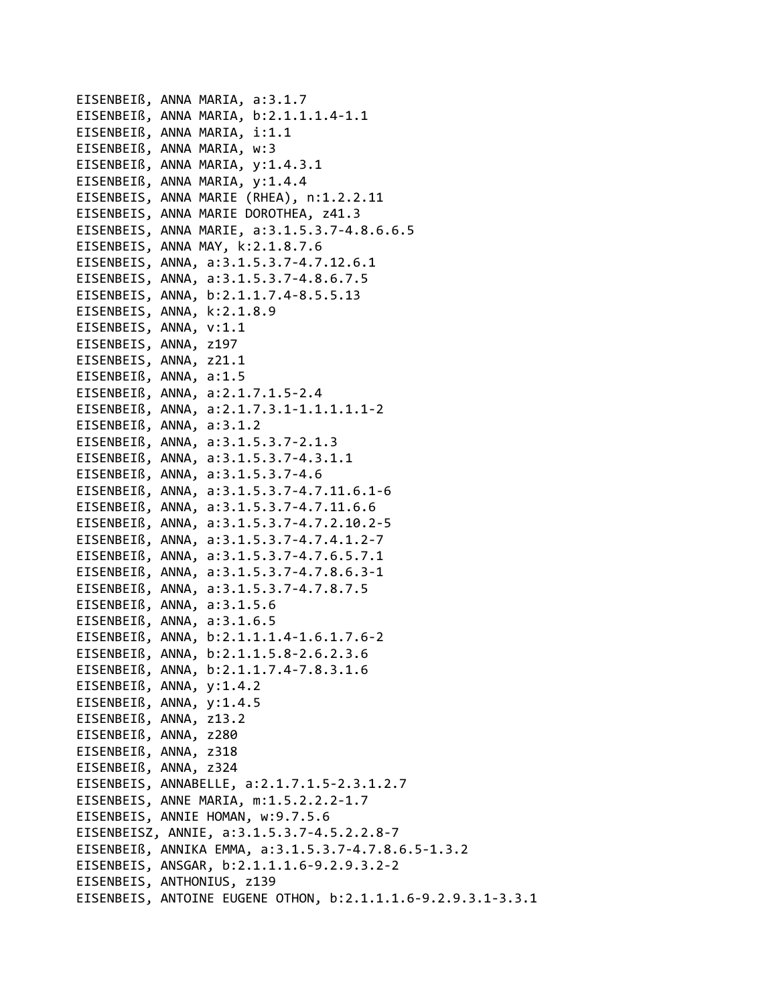EISENBEIß, ANNA MARIA, a:3.1.7 EISENBEIß, ANNA MARIA, b:2.1.1.1.4-1.1 EISENBEIß, ANNA MARIA, i:1.1 EISENBEIß, ANNA MARIA, w:3 EISENBEIß, ANNA MARIA, y:1.4.3.1 EISENBEIß, ANNA MARIA, y:1.4.4 EISENBEIS, ANNA MARIE (RHEA), n:1.2.2.11 EISENBEIS, ANNA MARIE DOROTHEA, z41.3 EISENBEIS, ANNA MARIE, a:3.1.5.3.7-4.8.6.6.5 EISENBEIS, ANNA MAY, k:2.1.8.7.6 EISENBEIS, ANNA, a:3.1.5.3.7-4.7.12.6.1 EISENBEIS, ANNA, a:3.1.5.3.7-4.8.6.7.5 EISENBEIS, ANNA, b:2.1.1.7.4-8.5.5.13 EISENBEIS, ANNA, k:2.1.8.9 EISENBEIS, ANNA, v:1.1 EISENBEIS, ANNA, z197 EISENBEIS, ANNA, z21.1 EISENBEIß, ANNA, a:1.5 EISENBEIß, ANNA, a:2.1.7.1.5-2.4 EISENBEIß, ANNA, a:2.1.7.3.1-1.1.1.1.1-2 EISENBEIß, ANNA, a:3.1.2 EISENBEIß, ANNA, a:3.1.5.3.7-2.1.3 EISENBEIß, ANNA, a:3.1.5.3.7-4.3.1.1 EISENBEIß, ANNA, a:3.1.5.3.7-4.6 EISENBEIß, ANNA, a:3.1.5.3.7-4.7.11.6.1-6 EISENBEIß, ANNA, a:3.1.5.3.7-4.7.11.6.6 EISENBEIß, ANNA, a:3.1.5.3.7-4.7.2.10.2-5 EISENBEIß, ANNA, a:3.1.5.3.7-4.7.4.1.2-7 EISENBEIß, ANNA, a:3.1.5.3.7-4.7.6.5.7.1 EISENBEIß, ANNA, a:3.1.5.3.7-4.7.8.6.3-1 EISENBEIß, ANNA, a:3.1.5.3.7-4.7.8.7.5 EISENBEIß, ANNA, a:3.1.5.6 EISENBEIß, ANNA, a:3.1.6.5 EISENBEIß, ANNA, b:2.1.1.1.4-1.6.1.7.6-2 EISENBEIß, ANNA, b:2.1.1.5.8-2.6.2.3.6 EISENBEIß, ANNA, b:2.1.1.7.4-7.8.3.1.6 EISENBEIß, ANNA, y:1.4.2 EISENBEIß, ANNA, y:1.4.5 EISENBEIß, ANNA, z13.2 EISENBEIß, ANNA, z280 EISENBEIß, ANNA, z318 EISENBEIß, ANNA, z324 EISENBEIS, ANNABELLE, a:2.1.7.1.5-2.3.1.2.7 EISENBEIS, ANNE MARIA, m:1.5.2.2.2-1.7 EISENBEIS, ANNIE HOMAN, w:9.7.5.6 EISENBEISZ, ANNIE, a:3.1.5.3.7-4.5.2.2.8-7 EISENBEIß, ANNIKA EMMA, a:3.1.5.3.7-4.7.8.6.5-1.3.2 EISENBEIS, ANSGAR, b:2.1.1.1.6-9.2.9.3.2-2 EISENBEIS, ANTHONIUS, z139 EISENBEIS, ANTOINE EUGENE OTHON, b:2.1.1.1.6-9.2.9.3.1-3.3.1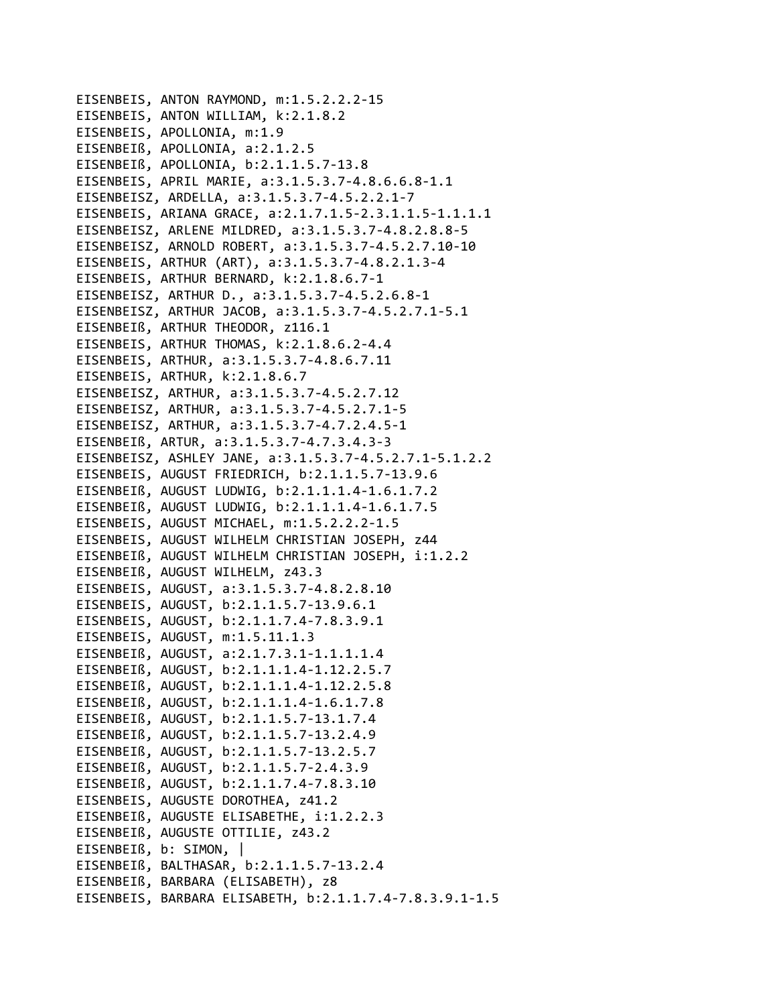EISENBEIS, ANTON RAYMOND, m:1.5.2.2.2-15 EISENBEIS, ANTON WILLIAM, k:2.1.8.2 EISENBEIS, APOLLONIA, m:1.9 EISENBEIß, APOLLONIA, a:2.1.2.5 EISENBEIß, APOLLONIA, b:2.1.1.5.7-13.8 EISENBEIS, APRIL MARIE, a:3.1.5.3.7-4.8.6.6.8-1.1 EISENBEISZ, ARDELLA, a:3.1.5.3.7-4.5.2.2.1-7 EISENBEIS, ARIANA GRACE, a:2.1.7.1.5-2.3.1.1.5-1.1.1.1.1 EISENBEISZ, ARLENE MILDRED, a:3.1.5.3.7-4.8.2.8.8-5 EISENBEISZ, ARNOLD ROBERT, a:3.1.5.3.7-4.5.2.7.10-10 EISENBEIS, ARTHUR (ART), a:3.1.5.3.7-4.8.2.1.3-4 EISENBEIS, ARTHUR BERNARD, k:2.1.8.6.7-1 EISENBEISZ, ARTHUR D., a:3.1.5.3.7-4.5.2.6.8-1 EISENBEISZ, ARTHUR JACOB, a:3.1.5.3.7-4.5.2.7.1-5.1 EISENBEIß, ARTHUR THEODOR, z116.1 EISENBEIS, ARTHUR THOMAS, k:2.1.8.6.2-4.4 EISENBEIS, ARTHUR, a:3.1.5.3.7-4.8.6.7.11 EISENBEIS, ARTHUR, k:2.1.8.6.7 EISENBEISZ, ARTHUR, a:3.1.5.3.7-4.5.2.7.12 EISENBEISZ, ARTHUR, a:3.1.5.3.7-4.5.2.7.1-5 EISENBEISZ, ARTHUR, a:3.1.5.3.7-4.7.2.4.5-1 EISENBEIß, ARTUR, a:3.1.5.3.7-4.7.3.4.3-3 EISENBEISZ, ASHLEY JANE, a:3.1.5.3.7-4.5.2.7.1-5.1.2.2 EISENBEIS, AUGUST FRIEDRICH, b:2.1.1.5.7-13.9.6 EISENBEIß, AUGUST LUDWIG, b:2.1.1.1.4-1.6.1.7.2 EISENBEIß, AUGUST LUDWIG, b:2.1.1.1.4-1.6.1.7.5 EISENBEIS, AUGUST MICHAEL, m:1.5.2.2.2-1.5 EISENBEIS, AUGUST WILHELM CHRISTIAN JOSEPH, z44 EISENBEIß, AUGUST WILHELM CHRISTIAN JOSEPH, i:1.2.2 EISENBEIß, AUGUST WILHELM, z43.3 EISENBEIS, AUGUST, a:3.1.5.3.7-4.8.2.8.10 EISENBEIS, AUGUST, b:2.1.1.5.7-13.9.6.1 EISENBEIS, AUGUST, b:2.1.1.7.4-7.8.3.9.1 EISENBEIS, AUGUST, m:1.5.11.1.3 EISENBEIß, AUGUST, a:2.1.7.3.1-1.1.1.1.4 EISENBEIß, AUGUST, b:2.1.1.1.4-1.12.2.5.7 EISENBEIß, AUGUST, b:2.1.1.1.4-1.12.2.5.8 EISENBEIß, AUGUST, b:2.1.1.1.4-1.6.1.7.8 EISENBEIß, AUGUST, b:2.1.1.5.7-13.1.7.4 EISENBEIß, AUGUST, b:2.1.1.5.7-13.2.4.9 EISENBEIß, AUGUST, b:2.1.1.5.7-13.2.5.7 EISENBEIß, AUGUST, b:2.1.1.5.7-2.4.3.9 EISENBEIß, AUGUST, b:2.1.1.7.4-7.8.3.10 EISENBEIS, AUGUSTE DOROTHEA, z41.2 EISENBEIß, AUGUSTE ELISABETHE, i:1.2.2.3 EISENBEIß, AUGUSTE OTTILIE, z43.2 EISENBEIß, b: SIMON, | EISENBEIß, BALTHASAR, b:2.1.1.5.7-13.2.4 EISENBEIß, BARBARA (ELISABETH), z8 EISENBEIS, BARBARA ELISABETH, b:2.1.1.7.4-7.8.3.9.1-1.5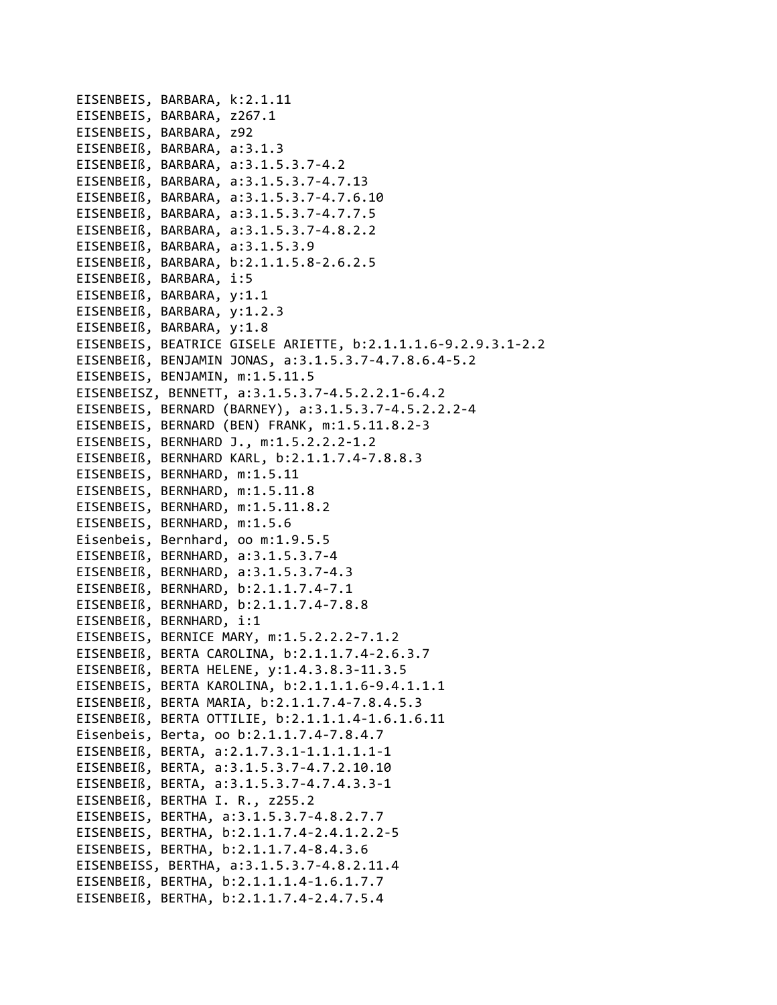EISENBEIS, BARBARA, k:2.1.11 EISENBEIS, BARBARA, z267.1 EISENBEIS, BARBARA, z92 EISENBEIß, BARBARA, a:3.1.3 EISENBEIß, BARBARA, a:3.1.5.3.7‐4.2 EISENBEIß, BARBARA, a:3.1.5.3.7‐4.7.13 EISENBEIß, BARBARA, a:3.1.5.3.7‐4.7.6.10 EISENBEIß, BARBARA, a:3.1.5.3.7‐4.7.7.5 EISENBEIß, BARBARA, a:3.1.5.3.7‐4.8.2.2 EISENBEIß, BARBARA, a:3.1.5.3.9 EISENBEIß, BARBARA, b:2.1.1.5.8‐2.6.2.5 EISENBEIß, BARBARA, i:5 EISENBEIß, BARBARA, y:1.1 EISENBEIß, BARBARA, y:1.2.3 EISENBEIß, BARBARA, y:1.8 EISENBEIS, BEATRICE GISELE ARIETTE, b:2.1.1.1.6‐9.2.9.3.1‐2.2 EISENBEIß, BENJAMIN JONAS, a:3.1.5.3.7‐4.7.8.6.4‐5.2 EISENBEIS, BENJAMIN, m:1.5.11.5 EISENBEISZ, BENNETT, a:3.1.5.3.7‐4.5.2.2.1‐6.4.2 EISENBEIS, BERNARD (BARNEY), a:3.1.5.3.7‐4.5.2.2.2‐4 EISENBEIS, BERNARD (BEN) FRANK, m:1.5.11.8.2‐3 EISENBEIS, BERNHARD J., m:1.5.2.2.2‐1.2 EISENBEIß, BERNHARD KARL, b:2.1.1.7.4‐7.8.8.3 EISENBEIS, BERNHARD, m:1.5.11 EISENBEIS, BERNHARD, m:1.5.11.8 EISENBEIS, BERNHARD, m:1.5.11.8.2 EISENBEIS, BERNHARD, m:1.5.6 Eisenbeis, Bernhard, oo m:1.9.5.5 EISENBEIß, BERNHARD, a:3.1.5.3.7‐4 EISENBEIß, BERNHARD, a:3.1.5.3.7‐4.3 EISENBEIß, BERNHARD, b:2.1.1.7.4‐7.1 EISENBEIß, BERNHARD, b:2.1.1.7.4‐7.8.8 EISENBEIß, BERNHARD, i:1 EISENBEIS, BERNICE MARY, m:1.5.2.2.2‐7.1.2 EISENBEIß, BERTA CAROLINA, b:2.1.1.7.4‐2.6.3.7 EISENBEIß, BERTA HELENE, y:1.4.3.8.3‐11.3.5 EISENBEIS, BERTA KAROLINA, b:2.1.1.1.6‐9.4.1.1.1 EISENBEIß, BERTA MARIA, b:2.1.1.7.4‐7.8.4.5.3 EISENBEIß, BERTA OTTILIE, b:2.1.1.1.4‐1.6.1.6.11 Eisenbeis, Berta, oo b:2.1.1.7.4‐7.8.4.7 EISENBEIß, BERTA, a:2.1.7.3.1‐1.1.1.1.1‐1 EISENBEIß, BERTA, a:3.1.5.3.7‐4.7.2.10.10 EISENBEIß, BERTA, a:3.1.5.3.7‐4.7.4.3.3‐1 EISENBEIß, BERTHA I. R., z255.2 EISENBEIS, BERTHA, a:3.1.5.3.7‐4.8.2.7.7 EISENBEIS, BERTHA, b:2.1.1.7.4‐2.4.1.2.2‐5 EISENBEIS, BERTHA, b:2.1.1.7.4‐8.4.3.6 EISENBEISS, BERTHA, a:3.1.5.3.7‐4.8.2.11.4 EISENBEIß, BERTHA, b:2.1.1.1.4‐1.6.1.7.7 EISENBEIß, BERTHA, b:2.1.1.7.4‐2.4.7.5.4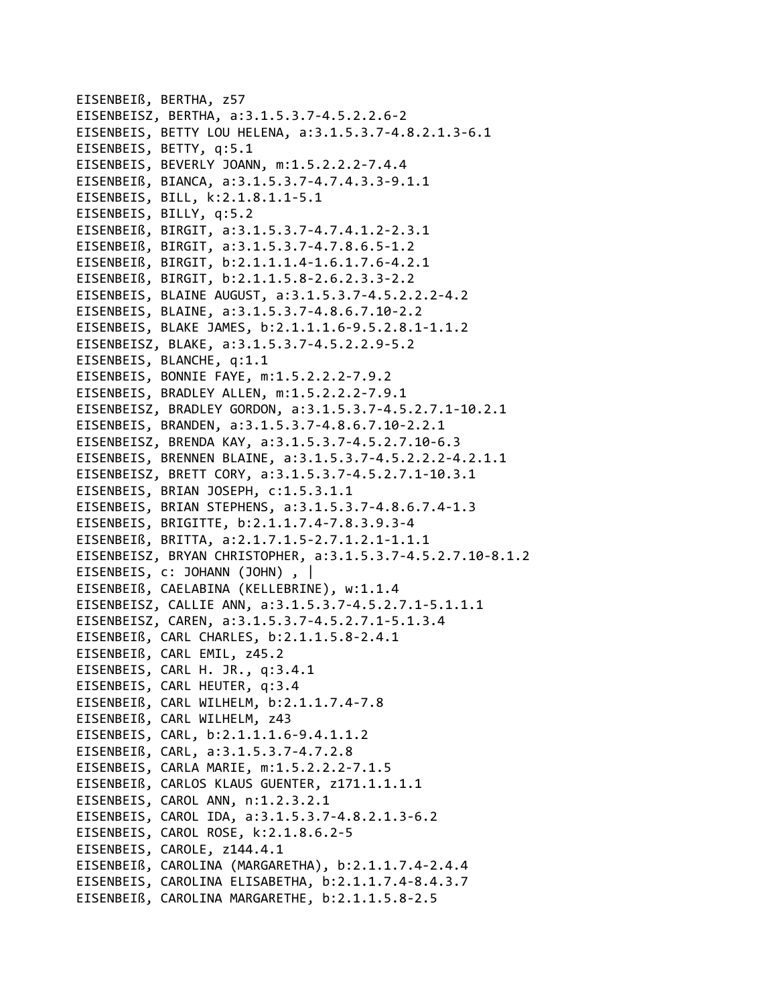EISENBEIß, BERTHA, z57 EISENBEISZ, BERTHA, a:3.1.5.3.7-4.5.2.2.6-2 EISENBEIS, BETTY LOU HELENA, a:3.1.5.3.7-4.8.2.1.3-6.1 EISENBEIS, BETTY, q:5.1 EISENBEIS, BEVERLY JOANN, m:1.5.2.2.2-7.4.4 EISENBEIß, BIANCA, a:3.1.5.3.7-4.7.4.3.3-9.1.1 EISENBEIS, BILL, k:2.1.8.1.1-5.1 EISENBEIS, BILLY, q:5.2 EISENBEIß, BIRGIT, a:3.1.5.3.7-4.7.4.1.2-2.3.1 EISENBEIß, BIRGIT, a:3.1.5.3.7-4.7.8.6.5-1.2 EISENBEIß, BIRGIT, b:2.1.1.1.4-1.6.1.7.6-4.2.1 EISENBEIß, BIRGIT, b:2.1.1.5.8-2.6.2.3.3-2.2 EISENBEIS, BLAINE AUGUST, a:3.1.5.3.7-4.5.2.2.2-4.2 EISENBEIS, BLAINE, a:3.1.5.3.7-4.8.6.7.10-2.2 EISENBEIS, BLAKE JAMES, b:2.1.1.1.6-9.5.2.8.1-1.1.2 EISENBEISZ, BLAKE, a:3.1.5.3.7-4.5.2.2.9-5.2 EISENBEIS, BLANCHE, g:1.1 EISENBEIS, BONNIE FAYE, m:1.5.2.2.2-7.9.2 EISENBEIS, BRADLEY ALLEN, m:1.5.2.2.2-7.9.1 EISENBEISZ, BRADLEY GORDON, a:3.1.5.3.7-4.5.2.7.1-10.2.1 EISENBEIS, BRANDEN, a:3.1.5.3.7-4.8.6.7.10-2.2.1 EISENBEISZ, BRENDA KAY, a:3.1.5.3.7-4.5.2.7.10-6.3 EISENBEIS, BRENNEN BLAINE, a:3.1.5.3.7-4.5.2.2.2-4.2.1.1 EISENBEISZ, BRETT CORY, a:3.1.5.3.7-4.5.2.7.1-10.3.1 EISENBEIS, BRIAN JOSEPH, c:1.5.3.1.1 EISENBEIS, BRIAN STEPHENS, a:3.1.5.3.7-4.8.6.7.4-1.3 EISENBEIS, BRIGITTE, b:2.1.1.7.4-7.8.3.9.3-4 EISENBEIß, BRITTA, a:2.1.7.1.5-2.7.1.2.1-1.1.1 EISENBEISZ, BRYAN CHRISTOPHER, a:3.1.5.3.7-4.5.2.7.10-8.1.2 EISENBEIS, c: JOHANN (JOHN), | EISENBEIß, CAELABINA (KELLEBRINE), w:1.1.4 EISENBEISZ, CALLIE ANN, a:3.1.5.3.7-4.5.2.7.1-5.1.1.1 EISENBEISZ, CAREN, a:3.1.5.3.7-4.5.2.7.1-5.1.3.4 EISENBEIß, CARL CHARLES, b:2.1.1.5.8-2.4.1 EISENBEIß, CARL EMIL, z45.2 EISENBEIS, CARL H. JR., q:3.4.1 EISENBEIS, CARL HEUTER, q:3.4 EISENBEIß, CARL WILHELM, b:2.1.1.7.4-7.8 EISENBEIß, CARL WILHELM, z43 EISENBEIS, CARL, b:2.1.1.1.6-9.4.1.1.2 EISENBEIß, CARL, a:3.1.5.3.7-4.7.2.8 EISENBEIS, CARLA MARIE, m:1.5.2.2.2-7.1.5 EISENBEIß, CARLOS KLAUS GUENTER, z171.1.1.1.1.1 EISENBEIS, CAROL ANN, n:1.2.3.2.1 EISENBEIS, CAROL IDA, a:3.1.5.3.7-4.8.2.1.3-6.2 EISENBEIS, CAROL ROSE, k:2.1.8.6.2-5 EISENBEIS, CAROLE, z144.4.1 EISENBEIß, CAROLINA (MARGARETHA), b:2.1.1.7.4-2.4.4 EISENBEIS, CAROLINA ELISABETHA, b:2.1.1.7.4-8.4.3.7 EISENBEIß, CAROLINA MARGARETHE, b:2.1.1.5.8-2.5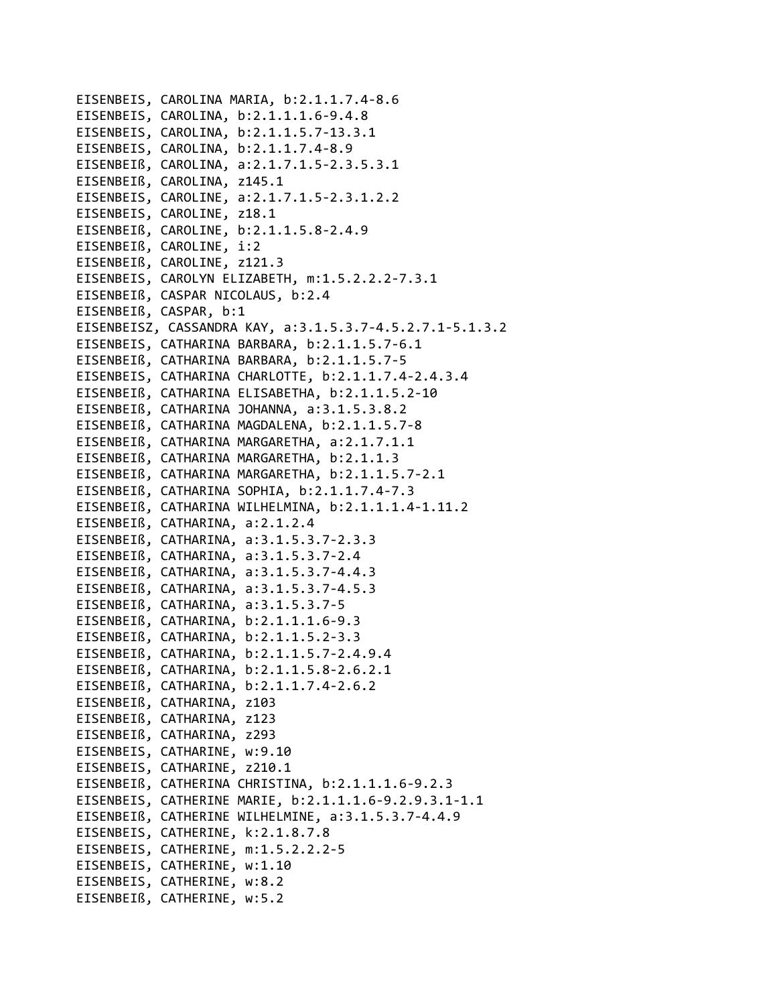EISENBEIS, CAROLINA MARIA, b:2.1.1.7.4‐8.6 EISENBEIS, CAROLINA, b:2.1.1.1.6‐9.4.8 EISENBEIS, CAROLINA, b:2.1.1.5.7‐13.3.1 EISENBEIS, CAROLINA, b:2.1.1.7.4‐8.9 EISENBEIß, CAROLINA, a:2.1.7.1.5‐2.3.5.3.1 EISENBEIß, CAROLINA, z145.1 EISENBEIS, CAROLINE, a:2.1.7.1.5‐2.3.1.2.2 EISENBEIS, CAROLINE, z18.1 EISENBEIß, CAROLINE, b:2.1.1.5.8‐2.4.9 EISENBEIß, CAROLINE, i:2 EISENBEIß, CAROLINE, z121.3 EISENBEIS, CAROLYN ELIZABETH, m:1.5.2.2.2‐7.3.1 EISENBEIß, CASPAR NICOLAUS, b:2.4 EISENBEIß, CASPAR, b:1 EISENBEISZ, CASSANDRA KAY, a:3.1.5.3.7‐4.5.2.7.1‐5.1.3.2 EISENBEIS, CATHARINA BARBARA, b:2.1.1.5.7‐6.1 EISENBEIß, CATHARINA BARBARA, b:2.1.1.5.7‐5 EISENBEIS, CATHARINA CHARLOTTE, b:2.1.1.7.4‐2.4.3.4 EISENBEIß, CATHARINA ELISABETHA, b:2.1.1.5.2‐10 EISENBEIß, CATHARINA JOHANNA, a:3.1.5.3.8.2 EISENBEIß, CATHARINA MAGDALENA, b:2.1.1.5.7‐8 EISENBEIß, CATHARINA MARGARETHA, a:2.1.7.1.1 EISENBEIß, CATHARINA MARGARETHA, b:2.1.1.3 EISENBEIß, CATHARINA MARGARETHA, b:2.1.1.5.7‐2.1 EISENBEIß, CATHARINA SOPHIA, b:2.1.1.7.4‐7.3 EISENBEIß, CATHARINA WILHELMINA, b:2.1.1.1.4‐1.11.2 EISENBEIß, CATHARINA, a:2.1.2.4 EISENBEIß, CATHARINA, a:3.1.5.3.7‐2.3.3 EISENBEIß, CATHARINA, a:3.1.5.3.7‐2.4 EISENBEIß, CATHARINA, a:3.1.5.3.7‐4.4.3 EISENBEIß, CATHARINA, a:3.1.5.3.7‐4.5.3 EISENBEIß, CATHARINA, a:3.1.5.3.7‐5 EISENBEIß, CATHARINA, b:2.1.1.1.6‐9.3 EISENBEIß, CATHARINA, b:2.1.1.5.2‐3.3 EISENBEIß, CATHARINA, b:2.1.1.5.7‐2.4.9.4 EISENBEIß, CATHARINA, b:2.1.1.5.8‐2.6.2.1 EISENBEIß, CATHARINA, b:2.1.1.7.4‐2.6.2 EISENBEIß, CATHARINA, z103 EISENBEIß, CATHARINA, z123 EISENBEIß, CATHARINA, z293 EISENBEIS, CATHARINE, w:9.10 EISENBEIS, CATHARINE, z210.1 EISENBEIß, CATHERINA CHRISTINA, b:2.1.1.1.6‐9.2.3 EISENBEIS, CATHERINE MARIE, b:2.1.1.1.6‐9.2.9.3.1‐1.1 EISENBEIß, CATHERINE WILHELMINE, a:3.1.5.3.7‐4.4.9 EISENBEIS, CATHERINE, k:2.1.8.7.8 EISENBEIS, CATHERINE, m:1.5.2.2.2‐5 EISENBEIS, CATHERINE, w:1.10 EISENBEIS, CATHERINE, w:8.2 EISENBEIß, CATHERINE, w:5.2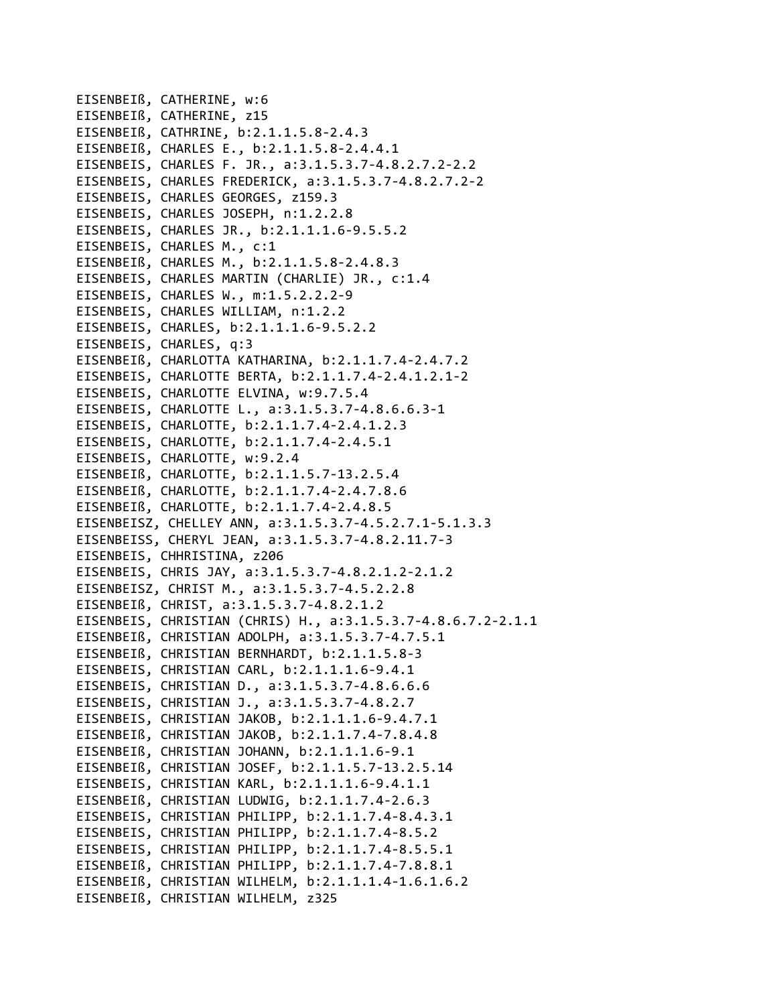EISENBEIß, CATHERINE, w:6 EISENBEIß, CATHERINE, z15 EISENBEIß, CATHRINE, b:2.1.1.5.8‐2.4.3 EISENBEIß, CHARLES E., b:2.1.1.5.8‐2.4.4.1 EISENBEIS, CHARLES F. JR., a:3.1.5.3.7‐4.8.2.7.2‐2.2 EISENBEIS, CHARLES FREDERICK, a:3.1.5.3.7‐4.8.2.7.2‐2 EISENBEIS, CHARLES GEORGES, z159.3 EISENBEIS, CHARLES JOSEPH, n:1.2.2.8 EISENBEIS, CHARLES JR., b:2.1.1.1.6‐9.5.5.2 EISENBEIS, CHARLES M., c:1 EISENBEIß, CHARLES M., b:2.1.1.5.8‐2.4.8.3 EISENBEIS, CHARLES MARTIN (CHARLIE) JR., c:1.4 EISENBEIS, CHARLES W., m:1.5.2.2.2‐9 EISENBEIS, CHARLES WILLIAM, n:1.2.2 EISENBEIS, CHARLES, b:2.1.1.1.6‐9.5.2.2 EISENBEIS, CHARLES, q:3 EISENBEIß, CHARLOTTA KATHARINA, b:2.1.1.7.4‐2.4.7.2 EISENBEIS, CHARLOTTE BERTA, b:2.1.1.7.4‐2.4.1.2.1‐2 EISENBEIS, CHARLOTTE ELVINA, w:9.7.5.4 EISENBEIS, CHARLOTTE L., a:3.1.5.3.7‐4.8.6.6.3‐1 EISENBEIS, CHARLOTTE, b:2.1.1.7.4‐2.4.1.2.3 EISENBEIS, CHARLOTTE, b:2.1.1.7.4‐2.4.5.1 EISENBEIS, CHARLOTTE, w:9.2.4 EISENBEIß, CHARLOTTE, b:2.1.1.5.7‐13.2.5.4 EISENBEIß, CHARLOTTE, b:2.1.1.7.4‐2.4.7.8.6 EISENBEIß, CHARLOTTE, b:2.1.1.7.4‐2.4.8.5 EISENBEISZ, CHELLEY ANN, a:3.1.5.3.7‐4.5.2.7.1‐5.1.3.3 EISENBEISS, CHERYL JEAN, a:3.1.5.3.7‐4.8.2.11.7‐3 EISENBEIS, CHHRISTINA, z206 EISENBEIS, CHRIS JAY, a:3.1.5.3.7‐4.8.2.1.2‐2.1.2 EISENBEISZ, CHRIST M., a:3.1.5.3.7‐4.5.2.2.8 EISENBEIß, CHRIST, a:3.1.5.3.7‐4.8.2.1.2 EISENBEIS, CHRISTIAN (CHRIS) H., a:3.1.5.3.7‐4.8.6.7.2‐2.1.1 EISENBEIß, CHRISTIAN ADOLPH, a:3.1.5.3.7‐4.7.5.1 EISENBEIß, CHRISTIAN BERNHARDT, b:2.1.1.5.8‐3 EISENBEIS, CHRISTIAN CARL, b:2.1.1.1.6‐9.4.1 EISENBEIS, CHRISTIAN D., a:3.1.5.3.7‐4.8.6.6.6 EISENBEIS, CHRISTIAN J., a:3.1.5.3.7‐4.8.2.7 EISENBEIS, CHRISTIAN JAKOB, b:2.1.1.1.6‐9.4.7.1 EISENBEIß, CHRISTIAN JAKOB, b:2.1.1.7.4‐7.8.4.8 EISENBEIß, CHRISTIAN JOHANN, b:2.1.1.1.6‐9.1 EISENBEIß, CHRISTIAN JOSEF, b:2.1.1.5.7‐13.2.5.14 EISENBEIS, CHRISTIAN KARL, b:2.1.1.1.6‐9.4.1.1 EISENBEIß, CHRISTIAN LUDWIG, b:2.1.1.7.4‐2.6.3 EISENBEIS, CHRISTIAN PHILIPP, b:2.1.1.7.4‐8.4.3.1 EISENBEIS, CHRISTIAN PHILIPP, b:2.1.1.7.4‐8.5.2 EISENBEIS, CHRISTIAN PHILIPP, b:2.1.1.7.4‐8.5.5.1 EISENBEIß, CHRISTIAN PHILIPP, b:2.1.1.7.4‐7.8.8.1 EISENBEIß, CHRISTIAN WILHELM, b:2.1.1.1.4‐1.6.1.6.2 EISENBEIß, CHRISTIAN WILHELM, z325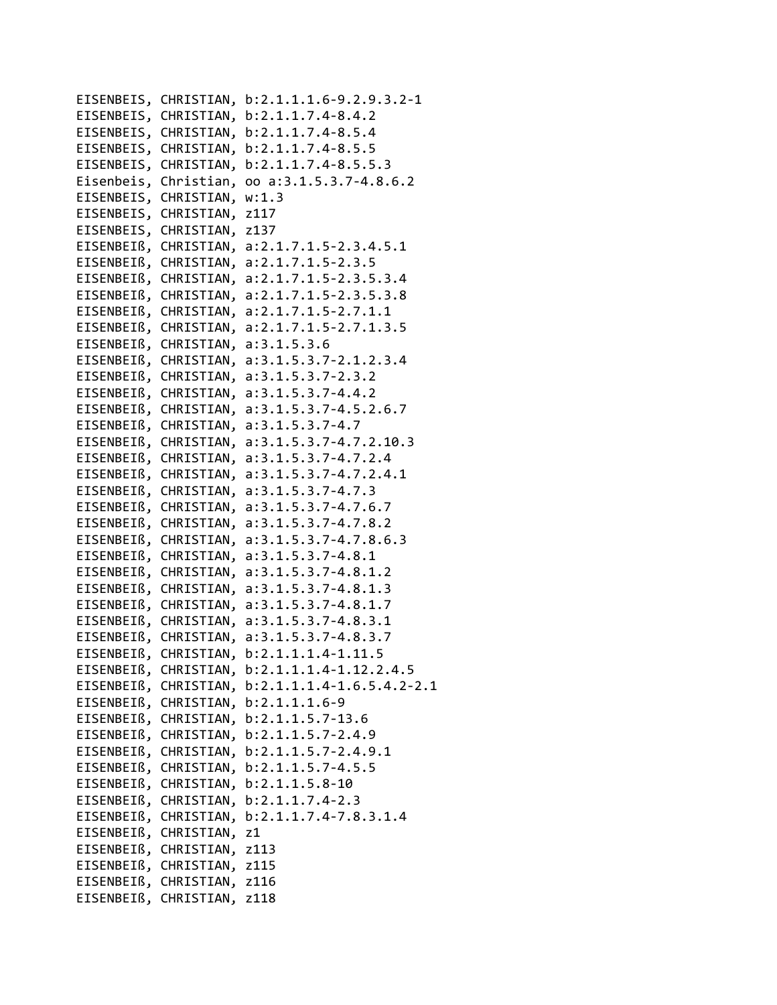EISENBEIS, CHRISTIAN, b:2.1.1.1.6-9.2.9.3.2-1 EISENBEIS, CHRISTIAN, b:2.1.1.7.4-8.4.2 EISENBEIS, CHRISTIAN, b:2.1.1.7.4-8.5.4 EISENBEIS, CHRISTIAN, b:2.1.1.7.4-8.5.5 EISENBEIS, CHRISTIAN, b:2.1.1.7.4-8.5.5.3 Eisenbeis, Christian, oo a:3.1.5.3.7-4.8.6.2 EISENBEIS, CHRISTIAN, w:1.3 EISENBEIS, CHRISTIAN, z117 EISENBEIS, CHRISTIAN, z137 EISENBEIß, CHRISTIAN, a:2.1.7.1.5-2.3.4.5.1 EISENBEIß, CHRISTIAN, a:2.1.7.1.5-2.3.5 EISENBEIß, CHRISTIAN, a:2.1.7.1.5-2.3.5.3.4 EISENBEIß, CHRISTIAN, a:2.1.7.1.5-2.3.5.3.8 EISENBEIß, CHRISTIAN, a:2.1.7.1.5-2.7.1.1 EISENBEIß, CHRISTIAN, a:2.1.7.1.5-2.7.1.3.5 EISENBEIß, CHRISTIAN, a:3.1.5.3.6 EISENBEIß, CHRISTIAN, a:3.1.5.3.7-2.1.2.3.4 EISENBEIß, CHRISTIAN, a:3.1.5.3.7-2.3.2 EISENBEIß, CHRISTIAN, a:3.1.5.3.7-4.4.2 EISENBEIß, CHRISTIAN, a:3.1.5.3.7-4.5.2.6.7 EISENBEIß, CHRISTIAN, a:3.1.5.3.7-4.7 EISENBEIß, CHRISTIAN, a:3.1.5.3.7-4.7.2.10.3 EISENBEIß, CHRISTIAN, a:3.1.5.3.7-4.7.2.4 EISENBEIß, CHRISTIAN, a:3.1.5.3.7-4.7.2.4.1 EISENBEIß, CHRISTIAN, a:3.1.5.3.7-4.7.3 EISENBEIß, CHRISTIAN, a:3.1.5.3.7-4.7.6.7 EISENBEIß, CHRISTIAN, a:3.1.5.3.7-4.7.8.2 EISENBEIß, CHRISTIAN, a:3.1.5.3.7-4.7.8.6.3 EISENBEIß, CHRISTIAN, a:3.1.5.3.7-4.8.1 EISENBEIß, CHRISTIAN, a:3.1.5.3.7-4.8.1.2 EISENBEIß, CHRISTIAN, a:3.1.5.3.7-4.8.1.3 EISENBEIß, CHRISTIAN, a:3.1.5.3.7-4.8.1.7 EISENBEIß, CHRISTIAN, a:3.1.5.3.7-4.8.3.1 EISENBEIß, CHRISTIAN, a:3.1.5.3.7-4.8.3.7 EISENBEIß, CHRISTIAN, b:2.1.1.1.4-1.11.5 EISENBEIß, CHRISTIAN, b:2.1.1.1.4-1.12.2.4.5 EISENBEIß, CHRISTIAN, b:2.1.1.1.4-1.6.5.4.2-2.1 EISENBEIß, CHRISTIAN, b:2.1.1.1.6-9 EISENBEIß, CHRISTIAN, b:2.1.1.5.7-13.6 EISENBEIß, CHRISTIAN, b:2.1.1.5.7-2.4.9 EISENBEIß, CHRISTIAN, b:2.1.1.5.7-2.4.9.1 EISENBEIß, CHRISTIAN, b:2.1.1.5.7-4.5.5 EISENBEIß, CHRISTIAN, b:2.1.1.5.8-10 EISENBEIß, CHRISTIAN, b:2.1.1.7.4-2.3 EISENBEIß, CHRISTIAN, b:2.1.1.7.4-7.8.3.1.4 EISENBEIß, CHRISTIAN, z1 EISENBEIß, CHRISTIAN, z113 EISENBEIß, CHRISTIAN, z115 EISENBEIß, CHRISTIAN, z116 EISENBEIß, CHRISTIAN, z118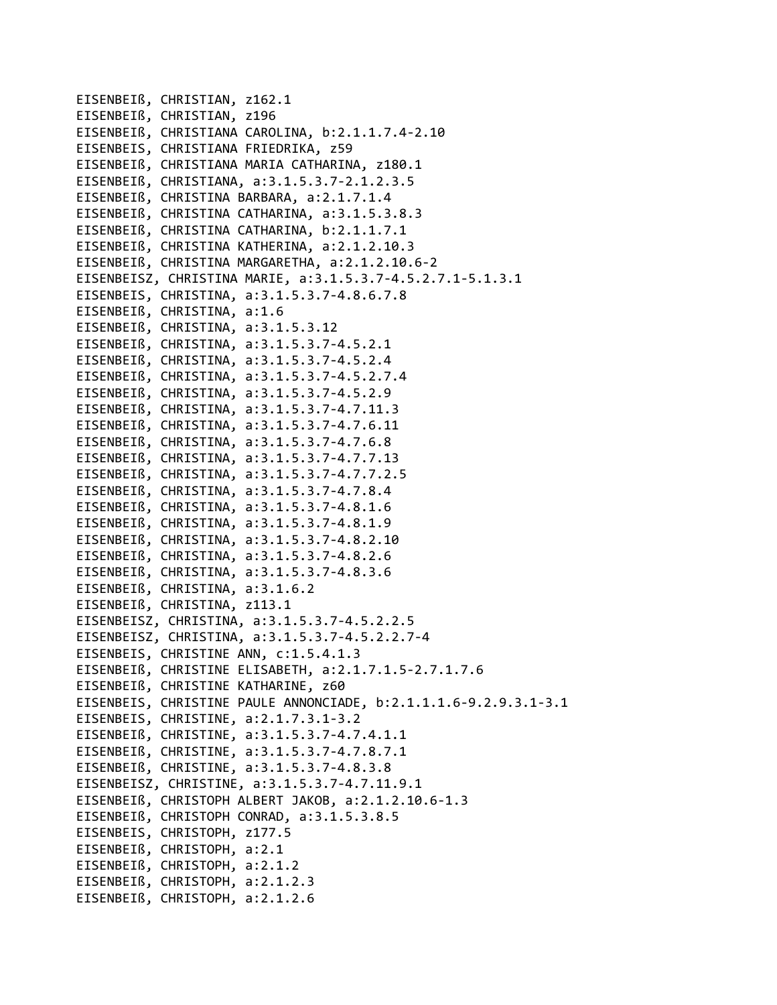EISENBEIß, CHRISTIAN, z162.1 EISENBEIß, CHRISTIAN, z196 EISENBEIß, CHRISTIANA CAROLINA, b:2.1.1.7.4‐2.10 EISENBEIS, CHRISTIANA FRIEDRIKA, z59 EISENBEIß, CHRISTIANA MARIA CATHARINA, z180.1 EISENBEIß, CHRISTIANA, a:3.1.5.3.7‐2.1.2.3.5 EISENBEIß, CHRISTINA BARBARA, a:2.1.7.1.4 EISENBEIß, CHRISTINA CATHARINA, a:3.1.5.3.8.3 EISENBEIß, CHRISTINA CATHARINA, b:2.1.1.7.1 EISENBEIß, CHRISTINA KATHERINA, a:2.1.2.10.3 EISENBEIß, CHRISTINA MARGARETHA, a:2.1.2.10.6‐2 EISENBEISZ, CHRISTINA MARIE, a:3.1.5.3.7‐4.5.2.7.1‐5.1.3.1 EISENBEIS, CHRISTINA, a:3.1.5.3.7‐4.8.6.7.8 EISENBEIß, CHRISTINA, a:1.6 EISENBEIß, CHRISTINA, a:3.1.5.3.12 EISENBEIß, CHRISTINA, a:3.1.5.3.7‐4.5.2.1 EISENBEIß, CHRISTINA, a:3.1.5.3.7‐4.5.2.4 EISENBEIß, CHRISTINA, a:3.1.5.3.7‐4.5.2.7.4 EISENBEIß, CHRISTINA, a:3.1.5.3.7‐4.5.2.9 EISENBEIß, CHRISTINA, a:3.1.5.3.7‐4.7.11.3 EISENBEIß, CHRISTINA, a:3.1.5.3.7‐4.7.6.11 EISENBEIß, CHRISTINA, a:3.1.5.3.7‐4.7.6.8 EISENBEIß, CHRISTINA, a:3.1.5.3.7‐4.7.7.13 EISENBEIß, CHRISTINA, a:3.1.5.3.7‐4.7.7.2.5 EISENBEIß, CHRISTINA, a:3.1.5.3.7‐4.7.8.4 EISENBEIß, CHRISTINA, a:3.1.5.3.7‐4.8.1.6 EISENBEIß, CHRISTINA, a:3.1.5.3.7‐4.8.1.9 EISENBEIß, CHRISTINA, a:3.1.5.3.7‐4.8.2.10 EISENBEIß, CHRISTINA, a:3.1.5.3.7‐4.8.2.6 EISENBEIß, CHRISTINA, a:3.1.5.3.7‐4.8.3.6 EISENBEIß, CHRISTINA, a:3.1.6.2 EISENBEIß, CHRISTINA, z113.1 EISENBEISZ, CHRISTINA, a:3.1.5.3.7‐4.5.2.2.5 EISENBEISZ, CHRISTINA, a:3.1.5.3.7‐4.5.2.2.7‐4 EISENBEIS, CHRISTINE ANN, c:1.5.4.1.3 EISENBEIß, CHRISTINE ELISABETH, a:2.1.7.1.5‐2.7.1.7.6 EISENBEIß, CHRISTINE KATHARINE, z60 EISENBEIS, CHRISTINE PAULE ANNONCIADE, b:2.1.1.1.6‐9.2.9.3.1‐3.1 EISENBEIS, CHRISTINE, a:2.1.7.3.1‐3.2 EISENBEIß, CHRISTINE, a:3.1.5.3.7‐4.7.4.1.1 EISENBEIß, CHRISTINE, a:3.1.5.3.7‐4.7.8.7.1 EISENBEIß, CHRISTINE, a:3.1.5.3.7‐4.8.3.8 EISENBEISZ, CHRISTINE, a:3.1.5.3.7‐4.7.11.9.1 EISENBEIß, CHRISTOPH ALBERT JAKOB, a:2.1.2.10.6‐1.3 EISENBEIß, CHRISTOPH CONRAD, a:3.1.5.3.8.5 EISENBEIS, CHRISTOPH, z177.5 EISENBEIß, CHRISTOPH, a:2.1 EISENBEIß, CHRISTOPH, a:2.1.2 EISENBEIß, CHRISTOPH, a:2.1.2.3 EISENBEIß, CHRISTOPH, a:2.1.2.6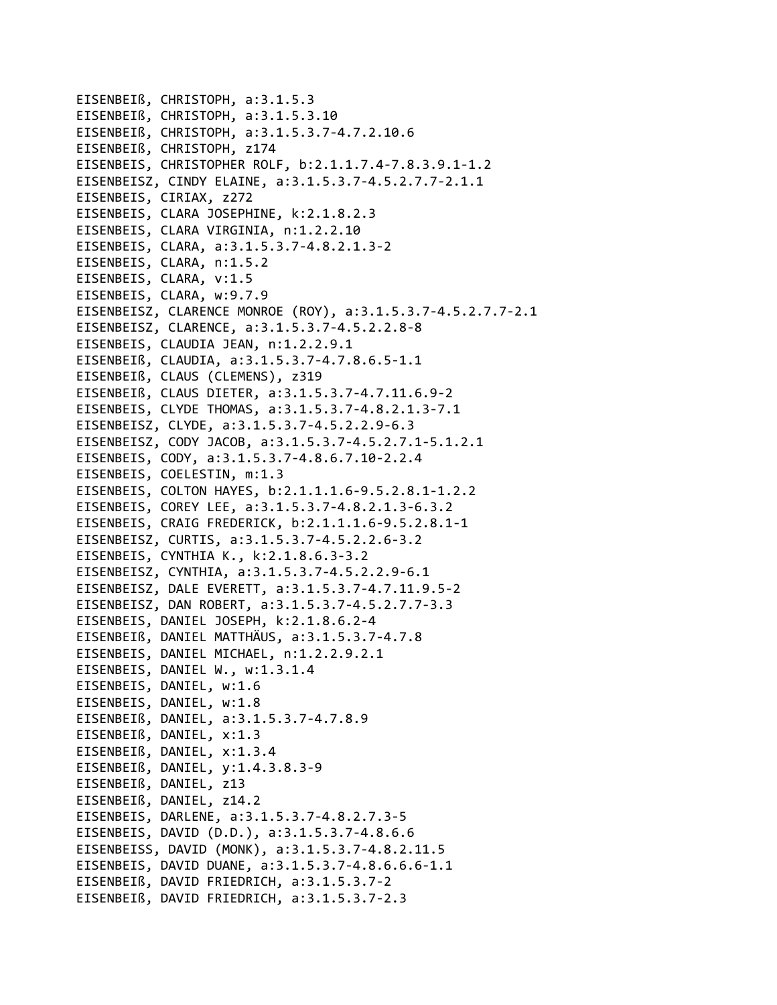EISENBEIß, CHRISTOPH, a:3.1.5.3 EISENBEIß, CHRISTOPH, a:3.1.5.3.10 EISENBEIß, CHRISTOPH, a:3.1.5.3.7-4.7.2.10.6 EISENBEIß, CHRISTOPH, z174 EISENBEIS, CHRISTOPHER ROLF, b:2.1.1.7.4-7.8.3.9.1-1.2 EISENBEISZ, CINDY ELAINE, a:3.1.5.3.7-4.5.2.7.7-2.1.1 EISENBEIS, CIRIAX, z272 EISENBEIS, CLARA JOSEPHINE, k:2.1.8.2.3 EISENBEIS, CLARA VIRGINIA, n:1.2.2.10 EISENBEIS, CLARA, a:3.1.5.3.7-4.8.2.1.3-2 EISENBEIS, CLARA, n:1.5.2 EISENBEIS, CLARA, v:1.5 EISENBEIS, CLARA, w:9.7.9 EISENBEISZ, CLARENCE MONROE (ROY), a:3.1.5.3.7-4.5.2.7.7-2.1 EISENBEISZ, CLARENCE, a:3.1.5.3.7-4.5.2.2.8-8 EISENBEIS, CLAUDIA JEAN, n:1.2.2.9.1 EISENBEIß, CLAUDIA, a:3.1.5.3.7-4.7.8.6.5-1.1 EISENBEIß, CLAUS (CLEMENS), z319 EISENBEIß, CLAUS DIETER, a:3.1.5.3.7-4.7.11.6.9-2 EISENBEIS, CLYDE THOMAS, a:3.1.5.3.7-4.8.2.1.3-7.1 EISENBEISZ, CLYDE, a:3.1.5.3.7-4.5.2.2.9-6.3 EISENBEISZ, CODY JACOB, a:3.1.5.3.7-4.5.2.7.1-5.1.2.1 EISENBEIS, CODY, a:3.1.5.3.7-4.8.6.7.10-2.2.4 EISENBEIS, COELESTIN, m:1.3 EISENBEIS, COLTON HAYES, b:2.1.1.1.6-9.5.2.8.1-1.2.2 EISENBEIS, COREY LEE, a:3.1.5.3.7-4.8.2.1.3-6.3.2 EISENBEIS, CRAIG FREDERICK, b:2.1.1.1.6-9.5.2.8.1-1 EISENBEISZ, CURTIS, a:3.1.5.3.7-4.5.2.2.6-3.2 EISENBEIS, CYNTHIA K., k:2.1.8.6.3-3.2 EISENBEISZ, CYNTHIA, a:3.1.5.3.7-4.5.2.2.9-6.1 EISENBEISZ, DALE EVERETT, a:3.1.5.3.7-4.7.11.9.5-2 EISENBEISZ, DAN ROBERT, a:3.1.5.3.7-4.5.2.7.7-3.3 EISENBEIS, DANIEL JOSEPH, k:2.1.8.6.2-4 EISENBEIß, DANIEL MATTHÄUS, a:3.1.5.3.7-4.7.8 EISENBEIS, DANIEL MICHAEL, n:1.2.2.9.2.1 EISENBEIS, DANIEL W., w:1.3.1.4 EISENBEIS, DANIEL, w:1.6 EISENBEIS, DANIEL, w:1.8 EISENBEIß, DANIEL, a:3.1.5.3.7-4.7.8.9 EISENBEIß, DANIEL, x:1.3 EISENBEIß, DANIEL, x:1.3.4 EISENBEIß, DANIEL, y:1.4.3.8.3-9 EISENBEIß, DANIEL, z13 EISENBEIß, DANIEL, z14.2 EISENBEIS, DARLENE, a:3.1.5.3.7-4.8.2.7.3-5 EISENBEIS, DAVID (D.D.), a:3.1.5.3.7-4.8.6.6 EISENBEISS, DAVID (MONK), a:3.1.5.3.7-4.8.2.11.5 EISENBEIS, DAVID DUANE, a:3.1.5.3.7-4.8.6.6.6-1.1 EISENBEIß, DAVID FRIEDRICH, a:3.1.5.3.7-2 EISENBEIß, DAVID FRIEDRICH, a:3.1.5.3.7-2.3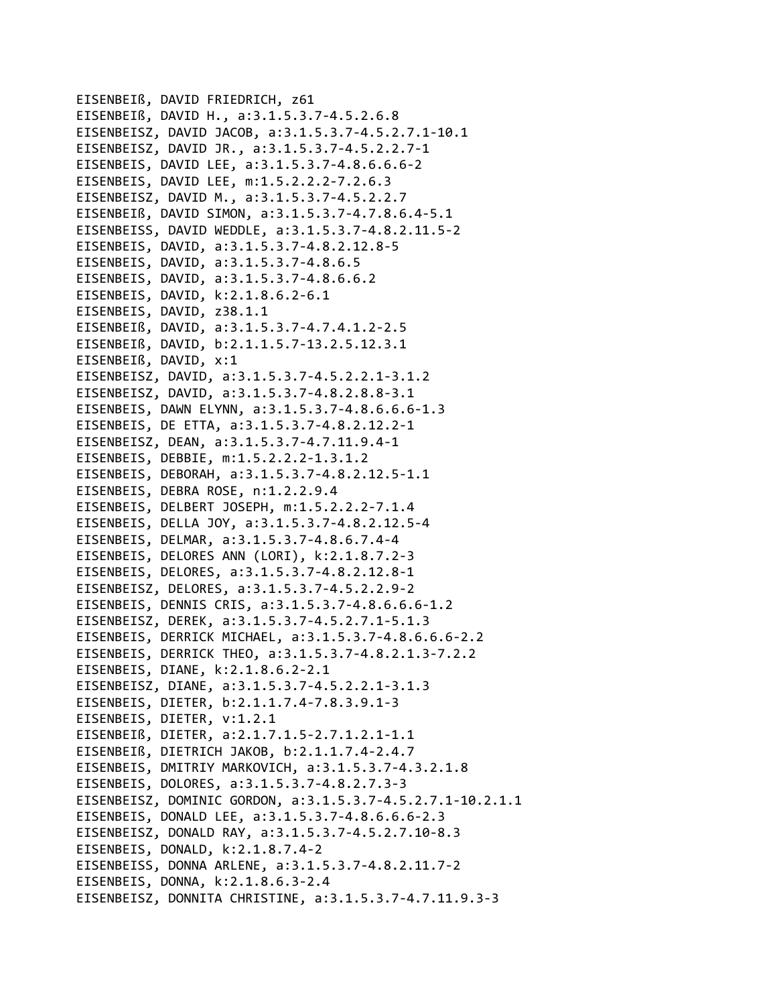EISENBEIß, DAVID FRIEDRICH, z61 EISENBEIß, DAVID H., a:3.1.5.3.7-4.5.2.6.8 EISENBEISZ, DAVID JACOB, a:3.1.5.3.7-4.5.2.7.1-10.1 EISENBEISZ, DAVID JR., a:3.1.5.3.7-4.5.2.2.7-1 EISENBEIS, DAVID LEE, a:3.1.5.3.7-4.8.6.6.6-2 EISENBEIS, DAVID LEE, m:1.5.2.2.2-7.2.6.3 EISENBEISZ, DAVID M., a:3.1.5.3.7-4.5.2.2.7 EISENBEIß, DAVID SIMON, a:3.1.5.3.7-4.7.8.6.4-5.1 EISENBEISS, DAVID WEDDLE, a:3.1.5.3.7-4.8.2.11.5-2 EISENBEIS, DAVID, a:3.1.5.3.7-4.8.2.12.8-5 EISENBEIS, DAVID, a:3.1.5.3.7-4.8.6.5 EISENBEIS, DAVID, a:3.1.5.3.7-4.8.6.6.2 EISENBEIS, DAVID, k:2.1.8.6.2-6.1 EISENBEIS, DAVID, z38.1.1 EISENBEIß, DAVID, a:3.1.5.3.7-4.7.4.1.2-2.5 EISENBEIß, DAVID, b:2.1.1.5.7-13.2.5.12.3.1 EISENBEIß, DAVID, x:1 EISENBEISZ, DAVID, a:3.1.5.3.7-4.5.2.2.1-3.1.2 EISENBEISZ, DAVID, a:3.1.5.3.7-4.8.2.8.8-3.1 EISENBEIS, DAWN ELYNN, a:3.1.5.3.7-4.8.6.6.6-1.3 EISENBEIS, DE ETTA, a:3.1.5.3.7-4.8.2.12.2-1 EISENBEISZ, DEAN, a:3.1.5.3.7-4.7.11.9.4-1 EISENBEIS, DEBBIE, m:1.5.2.2.2-1.3.1.2 EISENBEIS, DEBORAH, a:3.1.5.3.7-4.8.2.12.5-1.1 EISENBEIS, DEBRA ROSE, n:1.2.2.9.4 EISENBEIS, DELBERT JOSEPH, m:1.5.2.2.2-7.1.4 EISENBEIS, DELLA JOY, a:3.1.5.3.7-4.8.2.12.5-4 EISENBEIS, DELMAR, a:3.1.5.3.7-4.8.6.7.4-4 EISENBEIS, DELORES ANN (LORI), k:2.1.8.7.2-3 EISENBEIS, DELORES, a:3.1.5.3.7-4.8.2.12.8-1 EISENBEISZ, DELORES, a:3.1.5.3.7-4.5.2.2.9-2 EISENBEIS, DENNIS CRIS, a:3.1.5.3.7-4.8.6.6.6-1.2 EISENBEISZ, DEREK, a:3.1.5.3.7-4.5.2.7.1-5.1.3 EISENBEIS, DERRICK MICHAEL, a:3.1.5.3.7-4.8.6.6.6-2.2 EISENBEIS, DERRICK THEO, a:3.1.5.3.7-4.8.2.1.3-7.2.2 EISENBEIS, DIANE, k:2.1.8.6.2-2.1 EISENBEISZ, DIANE, a:3.1.5.3.7-4.5.2.2.1-3.1.3 EISENBEIS, DIETER, b:2.1.1.7.4-7.8.3.9.1-3 EISENBEIS, DIETER, v:1.2.1 EISENBEIß, DIETER, a:2.1.7.1.5-2.7.1.2.1-1.1 EISENBEIß, DIETRICH JAKOB, b:2.1.1.7.4-2.4.7 EISENBEIS, DMITRIY MARKOVICH, a:3.1.5.3.7-4.3.2.1.8 EISENBEIS, DOLORES, a:3.1.5.3.7-4.8.2.7.3-3 EISENBEISZ, DOMINIC GORDON, a:3.1.5.3.7-4.5.2.7.1-10.2.1.1 EISENBEIS, DONALD LEE, a:3.1.5.3.7-4.8.6.6.6-2.3 EISENBEISZ, DONALD RAY, a:3.1.5.3.7-4.5.2.7.10-8.3 EISENBEIS, DONALD, k:2.1.8.7.4-2 EISENBEISS, DONNA ARLENE, a:3.1.5.3.7-4.8.2.11.7-2 EISENBEIS, DONNA, k:2.1.8.6.3-2.4 EISENBEISZ, DONNITA CHRISTINE, a:3.1.5.3.7-4.7.11.9.3-3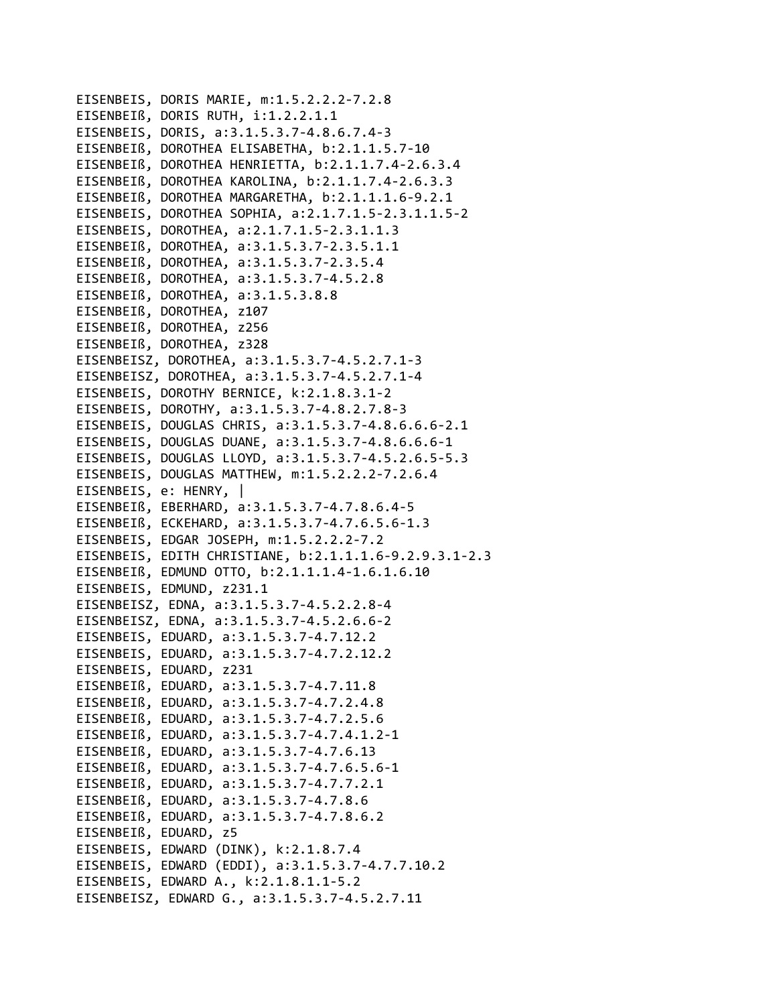```
EISENBEIS, DORIS MARIE, m:1.5.2.2.2-7.2.8
EISENBEIß, DORIS RUTH, i:1.2.2.1.1
EISENBEIS, DORIS, a:3.1.5.3.7-4.8.6.7.4-3
EISENBEIß, DOROTHEA ELISABETHA, b:2.1.1.5.7-10
EISENBEIß, DOROTHEA HENRIETTA, b:2.1.1.7.4-2.6.3.4
EISENBEIß, DOROTHEA KAROLINA, b:2.1.1.7.4-2.6.3.3
EISENBEIß, DOROTHEA MARGARETHA, b:2.1.1.1.6-9.2.1
EISENBEIS, DOROTHEA SOPHIA, a:2.1.7.1.5-2.3.1.1.5-2
EISENBEIS, DOROTHEA, a:2.1.7.1.5-2.3.1.1.3
EISENBEIß, DOROTHEA, a:3.1.5.3.7-2.3.5.1.1
EISENBEIß, DOROTHEA, a:3.1.5.3.7-2.3.5.4
EISENBEIß, DOROTHEA, a:3.1.5.3.7-4.5.2.8
EISENBEIß, DOROTHEA, a:3.1.5.3.8.8
EISENBEIß, DOROTHEA, z107
EISENBEIß, DOROTHEA, z256
EISENBEIß, DOROTHEA, z328
EISENBEISZ, DOROTHEA, a:3.1.5.3.7-4.5.2.7.1-3
EISENBEISZ, DOROTHEA, a:3.1.5.3.7-4.5.2.7.1-4
EISENBEIS, DOROTHY BERNICE, k:2.1.8.3.1-2
EISENBEIS, DOROTHY, a:3.1.5.3.7-4.8.2.7.8-3
EISENBEIS, DOUGLAS CHRIS, a:3.1.5.3.7-4.8.6.6.6-2.1
EISENBEIS, DOUGLAS DUANE, a:3.1.5.3.7-4.8.6.6.6-1
EISENBEIS, DOUGLAS LLOYD, a:3.1.5.3.7-4.5.2.6.5-5.3
EISENBEIS, DOUGLAS MATTHEW, m:1.5.2.2.2-7.2.6.4
EISENBEIS, e: HENRY, |
EISENBEIß, EBERHARD, a:3.1.5.3.7-4.7.8.6.4-5
EISENBEIß, ECKEHARD, a:3.1.5.3.7-4.7.6.5.6-1.3
EISENBEIS, EDGAR JOSEPH, m:1.5.2.2.2-7.2
EISENBEIS, EDITH CHRISTIANE, b:2.1.1.1.6-9.2.9.3.1-2.3
EISENBEIß, EDMUND OTTO, b:2.1.1.1.4-1.6.1.6.10
EISENBEIS, EDMUND, z231.1
EISENBEISZ, EDNA, a:3.1.5.3.7-4.5.2.2.8-4
EISENBEISZ, EDNA, a:3.1.5.3.7-4.5.2.6.6-2
EISENBEIS, EDUARD, a:3.1.5.3.7-4.7.12.2
EISENBEIS, EDUARD, a:3.1.5.3.7-4.7.2.12.2
EISENBEIS, EDUARD, z231
EISENBEIß, EDUARD, a:3.1.5.3.7-4.7.11.8
EISENBEIß, EDUARD, a:3.1.5.3.7-4.7.2.4.8
EISENBEIß, EDUARD, a:3.1.5.3.7-4.7.2.5.6
EISENBEIß, EDUARD, a:3.1.5.3.7-4.7.4.1.2-1
EISENBEIß, EDUARD, a:3.1.5.3.7-4.7.6.13
EISENBEIß, EDUARD, a:3.1.5.3.7-4.7.6.5.6-1
EISENBEIß, EDUARD, a:3.1.5.3.7-4.7.7.2.1
EISENBEIß, EDUARD, a:3.1.5.3.7-4.7.8.6
EISENBEIß, EDUARD, a:3.1.5.3.7-4.7.8.6.2
EISENBEIß, EDUARD, z5
EISENBEIS, EDWARD (DINK), k:2.1.8.7.4
EISENBEIS, EDWARD (EDDI), a:3.1.5.3.7-4.7.7.10.2
EISENBEIS, EDWARD A., k:2.1.8.1.1-5.2
EISENBEISZ, EDWARD G., a:3.1.5.3.7-4.5.2.7.11
```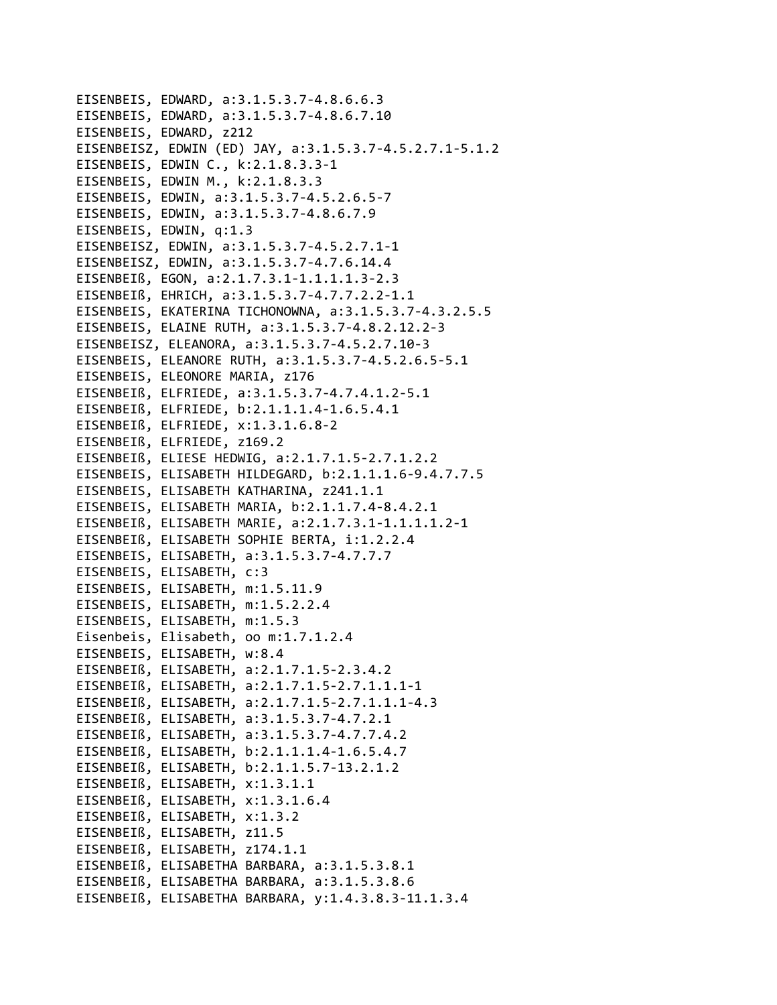```
EISENBEIS, EDWARD, a:3.1.5.3.7-4.8.6.6.3
EISENBEIS, EDWARD, a:3.1.5.3.7-4.8.6.7.10
EISENBEIS, EDWARD, z212
EISENBEISZ, EDWIN (ED) JAY, a:3.1.5.3.7-4.5.2.7.1-5.1.2
EISENBEIS, EDWIN C., k:2.1.8.3.3-1
EISENBEIS, EDWIN M., k:2.1.8.3.3
EISENBEIS, EDWIN, a:3.1.5.3.7-4.5.2.6.5-7
EISENBEIS, EDWIN, a:3.1.5.3.7-4.8.6.7.9
EISENBEIS, EDWIN, q:1.3
EISENBEISZ, EDWIN, a:3.1.5.3.7-4.5.2.7.1-1
EISENBEISZ, EDWIN, a:3.1.5.3.7-4.7.6.14.4
EISENBEIß, EGON, a:2.1.7.3.1-1.1.1.1.3-2.3
EISENBEIß, EHRICH, a:3.1.5.3.7-4.7.7.2.2-1.1
EISENBEIS, EKATERINA TICHONOWNA, a:3.1.5.3.7-4.3.2.5.5
EISENBEIS, ELAINE RUTH, a:3.1.5.3.7-4.8.2.12.2-3
EISENBEISZ, ELEANORA, a:3.1.5.3.7-4.5.2.7.10-3
EISENBEIS, ELEANORE RUTH, a:3.1.5.3.7-4.5.2.6.5-5.1
EISENBEIS, ELEONORE MARIA, z176
EISENBEIß, ELFRIEDE, a:3.1.5.3.7-4.7.4.1.2-5.1
EISENBEIß, ELFRIEDE, b:2.1.1.1.4-1.6.5.4.1
EISENBEIß, ELFRIEDE, x:1.3.1.6.8-2
EISENBEIß, ELFRIEDE, z169.2
EISENBEIß, ELIESE HEDWIG, a:2.1.7.1.5-2.7.1.2.2
EISENBEIS, ELISABETH HILDEGARD, b:2.1.1.1.6-9.4.7.7.5
EISENBEIS, ELISABETH KATHARINA, z241.1.1
EISENBEIS, ELISABETH MARIA, b:2.1.1.7.4-8.4.2.1
EISENBEIß, ELISABETH MARIE, a:2.1.7.3.1-1.1.1.1.2-1
EISENBEIß, ELISABETH SOPHIE BERTA, i:1.2.2.4
EISENBEIS, ELISABETH, a:3.1.5.3.7-4.7.7.7
EISENBEIS, ELISABETH, c:3
EISENBEIS, ELISABETH, m:1.5.11.9
EISENBEIS, ELISABETH, m:1.5.2.2.4
EISENBEIS, ELISABETH, m:1.5.3
Eisenbeis, Elisabeth, oo m:1.7.1.2.4
EISENBEIS, ELISABETH, w:8.4
EISENBEIß, ELISABETH, a:2.1.7.1.5-2.3.4.2
EISENBEIß, ELISABETH, a:2.1.7.1.5-2.7.1.1.1-1
EISENBEIß, ELISABETH, a:2.1.7.1.5-2.7.1.1.1-4.3
EISENBEIß, ELISABETH, a:3.1.5.3.7-4.7.2.1
EISENBEIß, ELISABETH, a:3.1.5.3.7-4.7.7.4.2
EISENBEIß, ELISABETH, b:2.1.1.1.4-1.6.5.4.7
EISENBEIß, ELISABETH, b:2.1.1.5.7-13.2.1.2
EISENBEIß, ELISABETH, x:1.3.1.1
EISENBEIß, ELISABETH, x:1.3.1.6.4
EISENBEIß, ELISABETH, x:1.3.2
EISENBEIß, ELISABETH, z11.5
EISENBEIß, ELISABETH, z174.1.1
EISENBEIß, ELISABETHA BARBARA, a:3.1.5.3.8.1
EISENBEIß, ELISABETHA BARBARA, a:3.1.5.3.8.6
EISENBEIß, ELISABETHA BARBARA, v:1.4.3.8.3-11.1.3.4
```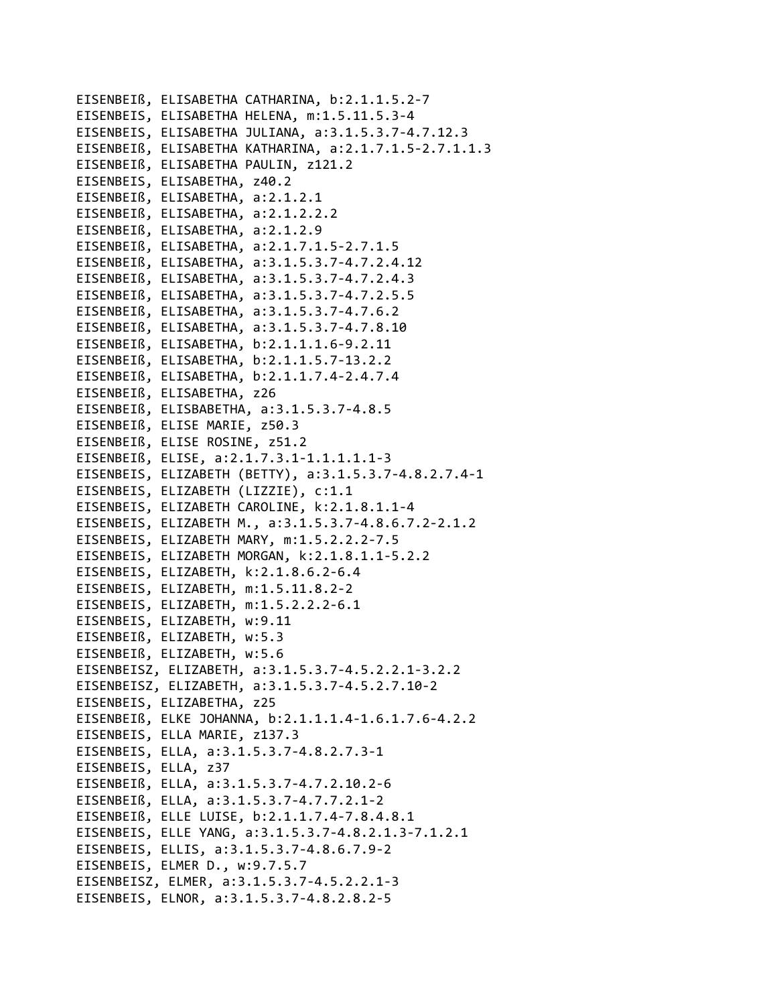```
EISENBEIß, ELISABETHA CATHARINA, b:2.1.1.5.2‐7
EISENBEIS, ELISABETHA HELENA, m:1.5.11.5.3‐4
EISENBEIS, ELISABETHA JULIANA, a:3.1.5.3.7‐4.7.12.3
EISENBEIß, ELISABETHA KATHARINA, a:2.1.7.1.5‐2.7.1.1.3
EISENBEIß, ELISABETHA PAULIN, z121.2
EISENBEIS, ELISABETHA, z40.2
EISENBEIß, ELISABETHA, a:2.1.2.1
EISENBEIß, ELISABETHA, a:2.1.2.2.2
EISENBEIß, ELISABETHA, a:2.1.2.9
EISENBEIß, ELISABETHA, a:2.1.7.1.5‐2.7.1.5
EISENBEIß, ELISABETHA, a:3.1.5.3.7‐4.7.2.4.12
EISENBEIß, ELISABETHA, a:3.1.5.3.7‐4.7.2.4.3
EISENBEIß, ELISABETHA, a:3.1.5.3.7‐4.7.2.5.5
EISENBEIß, ELISABETHA, a:3.1.5.3.7‐4.7.6.2
EISENBEIß, ELISABETHA, a:3.1.5.3.7‐4.7.8.10
EISENBEIß, ELISABETHA, b:2.1.1.1.6‐9.2.11
EISENBEIß, ELISABETHA, b:2.1.1.5.7‐13.2.2
EISENBEIß, ELISABETHA, b:2.1.1.7.4‐2.4.7.4
EISENBEIß, ELISABETHA, z26
EISENBEIß, ELISBABETHA, a:3.1.5.3.7‐4.8.5
EISENBEIß, ELISE MARIE, z50.3
EISENBEIß, ELISE ROSINE, z51.2
EISENBEIß, ELISE, a:2.1.7.3.1‐1.1.1.1.1‐3
EISENBEIS, ELIZABETH (BETTY), a:3.1.5.3.7‐4.8.2.7.4‐1
EISENBEIS, ELIZABETH (LIZZIE), c:1.1
EISENBEIS, ELIZABETH CAROLINE, k:2.1.8.1.1‐4
EISENBEIS, ELIZABETH M., a:3.1.5.3.7‐4.8.6.7.2‐2.1.2
EISENBEIS, ELIZABETH MARY, m:1.5.2.2.2‐7.5
EISENBEIS, ELIZABETH MORGAN, k:2.1.8.1.1‐5.2.2
EISENBEIS, ELIZABETH, k:2.1.8.6.2‐6.4
EISENBEIS, ELIZABETH, m:1.5.11.8.2‐2
EISENBEIS, ELIZABETH, m:1.5.2.2.2‐6.1
EISENBEIS, ELIZABETH, w:9.11
EISENBEIß, ELIZABETH, w:5.3
EISENBEIß, ELIZABETH, w:5.6
EISENBEISZ, ELIZABETH, a:3.1.5.3.7‐4.5.2.2.1‐3.2.2
EISENBEISZ, ELIZABETH, a:3.1.5.3.7‐4.5.2.7.10‐2
EISENBEIS, ELIZABETHA, z25
EISENBEIß, ELKE JOHANNA, b:2.1.1.1.4‐1.6.1.7.6‐4.2.2
EISENBEIS, ELLA MARIE, z137.3
EISENBEIS, ELLA, a:3.1.5.3.7‐4.8.2.7.3‐1
EISENBEIS, ELLA, z37
EISENBEIß, ELLA, a:3.1.5.3.7‐4.7.2.10.2‐6
EISENBEIß, ELLA, a:3.1.5.3.7‐4.7.7.2.1‐2
EISENBEIß, ELLE LUISE, b:2.1.1.7.4‐7.8.4.8.1
EISENBEIS, ELLE YANG, a:3.1.5.3.7‐4.8.2.1.3‐7.1.2.1
EISENBEIS, ELLIS, a:3.1.5.3.7‐4.8.6.7.9‐2
EISENBEIS, ELMER D., w:9.7.5.7
EISENBEISZ, ELMER, a:3.1.5.3.7‐4.5.2.2.1‐3
EISENBEIS, ELNOR, a:3.1.5.3.7‐4.8.2.8.2‐5
```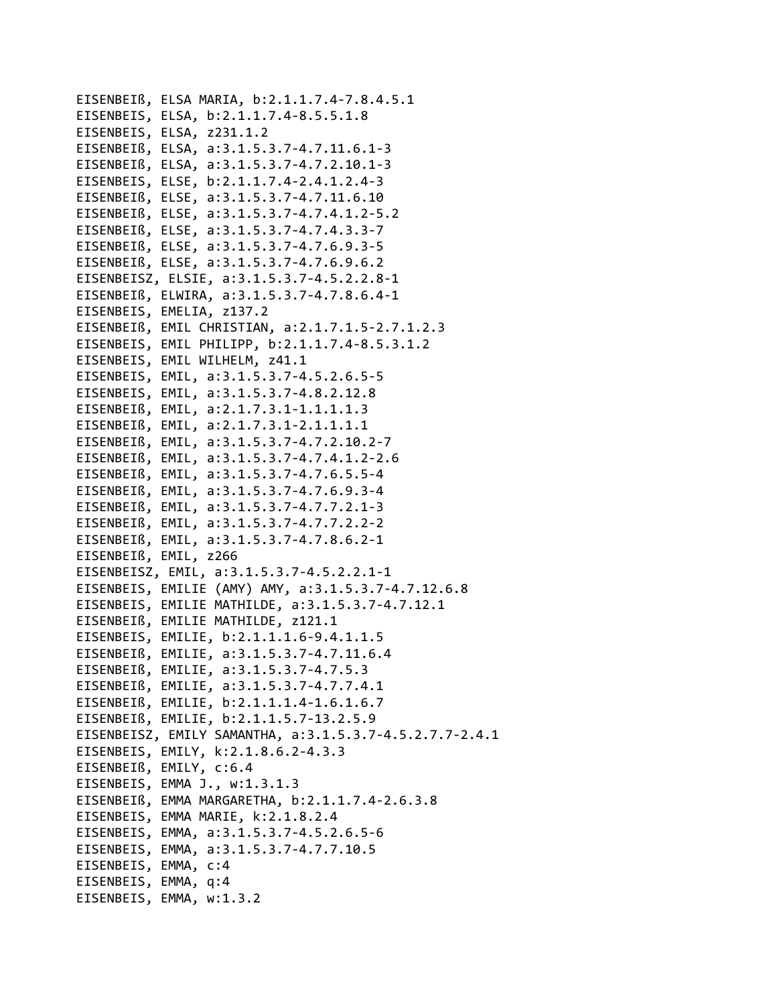```
EISENBEIß, ELSA MARIA, b:2.1.1.7.4‐7.8.4.5.1
EISENBEIS, ELSA, b:2.1.1.7.4‐8.5.5.1.8
EISENBEIS, ELSA, z231.1.2
EISENBEIß, ELSA, a:3.1.5.3.7‐4.7.11.6.1‐3
EISENBEIß, ELSA, a:3.1.5.3.7‐4.7.2.10.1‐3
EISENBEIS, ELSE, b:2.1.1.7.4‐2.4.1.2.4‐3
EISENBEIß, ELSE, a:3.1.5.3.7‐4.7.11.6.10
EISENBEIß, ELSE, a:3.1.5.3.7‐4.7.4.1.2‐5.2
EISENBEIß, ELSE, a:3.1.5.3.7‐4.7.4.3.3‐7
EISENBEIß, ELSE, a:3.1.5.3.7‐4.7.6.9.3‐5
EISENBEIß, ELSE, a:3.1.5.3.7‐4.7.6.9.6.2
EISENBEISZ, ELSIE, a:3.1.5.3.7‐4.5.2.2.8‐1
EISENBEIß, ELWIRA, a:3.1.5.3.7‐4.7.8.6.4‐1
EISENBEIS, EMELIA, z137.2
EISENBEIß, EMIL CHRISTIAN, a:2.1.7.1.5‐2.7.1.2.3
EISENBEIS, EMIL PHILIPP, b:2.1.1.7.4‐8.5.3.1.2
EISENBEIS, EMIL WILHELM, z41.1
EISENBEIS, EMIL, a:3.1.5.3.7‐4.5.2.6.5‐5
EISENBEIS, EMIL, a:3.1.5.3.7‐4.8.2.12.8
EISENBEIß, EMIL, a:2.1.7.3.1‐1.1.1.1.3
EISENBEIß, EMIL, a:2.1.7.3.1‐2.1.1.1.1
EISENBEIß, EMIL, a:3.1.5.3.7‐4.7.2.10.2‐7
EISENBEIß, EMIL, a:3.1.5.3.7‐4.7.4.1.2‐2.6
EISENBEIß, EMIL, a:3.1.5.3.7‐4.7.6.5.5‐4
EISENBEIß, EMIL, a:3.1.5.3.7‐4.7.6.9.3‐4
EISENBEIß, EMIL, a:3.1.5.3.7‐4.7.7.2.1‐3
EISENBEIß, EMIL, a:3.1.5.3.7‐4.7.7.2.2‐2
EISENBEIß, EMIL, a:3.1.5.3.7‐4.7.8.6.2‐1
EISENBEIß, EMIL, z266
EISENBEISZ, EMIL, a:3.1.5.3.7‐4.5.2.2.1‐1
EISENBEIS, EMILIE (AMY) AMY, a:3.1.5.3.7‐4.7.12.6.8
EISENBEIS, EMILIE MATHILDE, a:3.1.5.3.7‐4.7.12.1
EISENBEIß, EMILIE MATHILDE, z121.1
EISENBEIS, EMILIE, b:2.1.1.1.6‐9.4.1.1.5
EISENBEIß, EMILIE, a:3.1.5.3.7‐4.7.11.6.4
EISENBEIß, EMILIE, a:3.1.5.3.7‐4.7.5.3
EISENBEIß, EMILIE, a:3.1.5.3.7‐4.7.7.4.1
EISENBEIß, EMILIE, b:2.1.1.1.4‐1.6.1.6.7
EISENBEIß, EMILIE, b:2.1.1.5.7‐13.2.5.9
EISENBEISZ, EMILY SAMANTHA, a:3.1.5.3.7‐4.5.2.7.7‐2.4.1
EISENBEIS, EMILY, k:2.1.8.6.2‐4.3.3
EISENBEIß, EMILY, c:6.4
EISENBEIS, EMMA J., w:1.3.1.3
EISENBEIß, EMMA MARGARETHA, b:2.1.1.7.4‐2.6.3.8
EISENBEIS, EMMA MARIE, k:2.1.8.2.4
EISENBEIS, EMMA, a:3.1.5.3.7‐4.5.2.6.5‐6
EISENBEIS, EMMA, a:3.1.5.3.7‐4.7.7.10.5
EISENBEIS, EMMA, c:4
EISENBEIS, EMMA, q:4
EISENBEIS, EMMA, w:1.3.2
```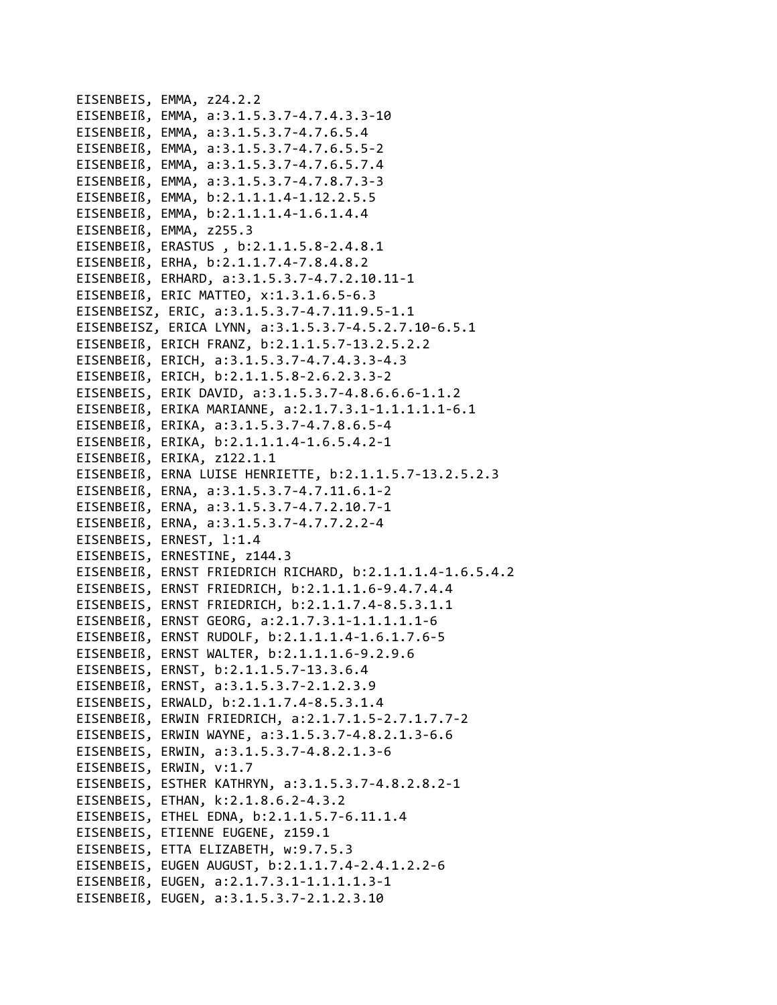EISENBEIS, EMMA, z24.2.2 EISENBEIß, EMMA, a:3.1.5.3.7‐4.7.4.3.3‐10 EISENBEIß, EMMA, a:3.1.5.3.7‐4.7.6.5.4 EISENBEIß, EMMA, a:3.1.5.3.7‐4.7.6.5.5‐2 EISENBEIß, EMMA, a:3.1.5.3.7‐4.7.6.5.7.4 EISENBEIß, EMMA, a:3.1.5.3.7‐4.7.8.7.3‐3 EISENBEIß, EMMA, b:2.1.1.1.4‐1.12.2.5.5 EISENBEIß, EMMA, b:2.1.1.1.4‐1.6.1.4.4 EISENBEIß, EMMA, z255.3 EISENBEIß, ERASTUS , b:2.1.1.5.8‐2.4.8.1 EISENBEIß, ERHA, b:2.1.1.7.4‐7.8.4.8.2 EISENBEIß, ERHARD, a:3.1.5.3.7‐4.7.2.10.11‐1 EISENBEIß, ERIC MATTEO, x:1.3.1.6.5‐6.3 EISENBEISZ, ERIC, a:3.1.5.3.7‐4.7.11.9.5‐1.1 EISENBEISZ, ERICA LYNN, a:3.1.5.3.7‐4.5.2.7.10‐6.5.1 EISENBEIß, ERICH FRANZ, b:2.1.1.5.7‐13.2.5.2.2 EISENBEIß, ERICH, a:3.1.5.3.7‐4.7.4.3.3‐4.3 EISENBEIß, ERICH, b:2.1.1.5.8‐2.6.2.3.3‐2 EISENBEIS, ERIK DAVID, a:3.1.5.3.7‐4.8.6.6.6‐1.1.2 EISENBEIß, ERIKA MARIANNE, a:2.1.7.3.1‐1.1.1.1.1‐6.1 EISENBEIß, ERIKA, a:3.1.5.3.7‐4.7.8.6.5‐4 EISENBEIß, ERIKA, b:2.1.1.1.4‐1.6.5.4.2‐1 EISENBEIß, ERIKA, z122.1.1 EISENBEIß, ERNA LUISE HENRIETTE, b:2.1.1.5.7‐13.2.5.2.3 EISENBEIß, ERNA, a:3.1.5.3.7‐4.7.11.6.1‐2 EISENBEIß, ERNA, a:3.1.5.3.7‐4.7.2.10.7‐1 EISENBEIß, ERNA, a:3.1.5.3.7‐4.7.7.2.2‐4 EISENBEIS, ERNEST, l:1.4 EISENBEIS, ERNESTINE, z144.3 EISENBEIß, ERNST FRIEDRICH RICHARD, b:2.1.1.1.4‐1.6.5.4.2 EISENBEIS, ERNST FRIEDRICH, b:2.1.1.1.6‐9.4.7.4.4 EISENBEIS, ERNST FRIEDRICH, b:2.1.1.7.4‐8.5.3.1.1 EISENBEIß, ERNST GEORG, a:2.1.7.3.1‐1.1.1.1.1‐6 EISENBEIß, ERNST RUDOLF, b:2.1.1.1.4‐1.6.1.7.6‐5 EISENBEIß, ERNST WALTER, b:2.1.1.1.6‐9.2.9.6 EISENBEIS, ERNST, b:2.1.1.5.7‐13.3.6.4 EISENBEIß, ERNST, a:3.1.5.3.7‐2.1.2.3.9 EISENBEIS, ERWALD, b:2.1.1.7.4‐8.5.3.1.4 EISENBEIß, ERWIN FRIEDRICH, a:2.1.7.1.5‐2.7.1.7.7‐2 EISENBEIS, ERWIN WAYNE, a:3.1.5.3.7‐4.8.2.1.3‐6.6 EISENBEIS, ERWIN, a:3.1.5.3.7‐4.8.2.1.3‐6 EISENBEIS, ERWIN, v:1.7 EISENBEIS, ESTHER KATHRYN, a:3.1.5.3.7‐4.8.2.8.2‐1 EISENBEIS, ETHAN, k:2.1.8.6.2‐4.3.2 EISENBEIS, ETHEL EDNA, b:2.1.1.5.7‐6.11.1.4 EISENBEIS, ETIENNE EUGENE, z159.1 EISENBEIS, ETTA ELIZABETH, w:9.7.5.3 EISENBEIS, EUGEN AUGUST, b:2.1.1.7.4‐2.4.1.2.2‐6 EISENBEIß, EUGEN, a:2.1.7.3.1‐1.1.1.1.3‐1 EISENBEIß, EUGEN, a:3.1.5.3.7‐2.1.2.3.10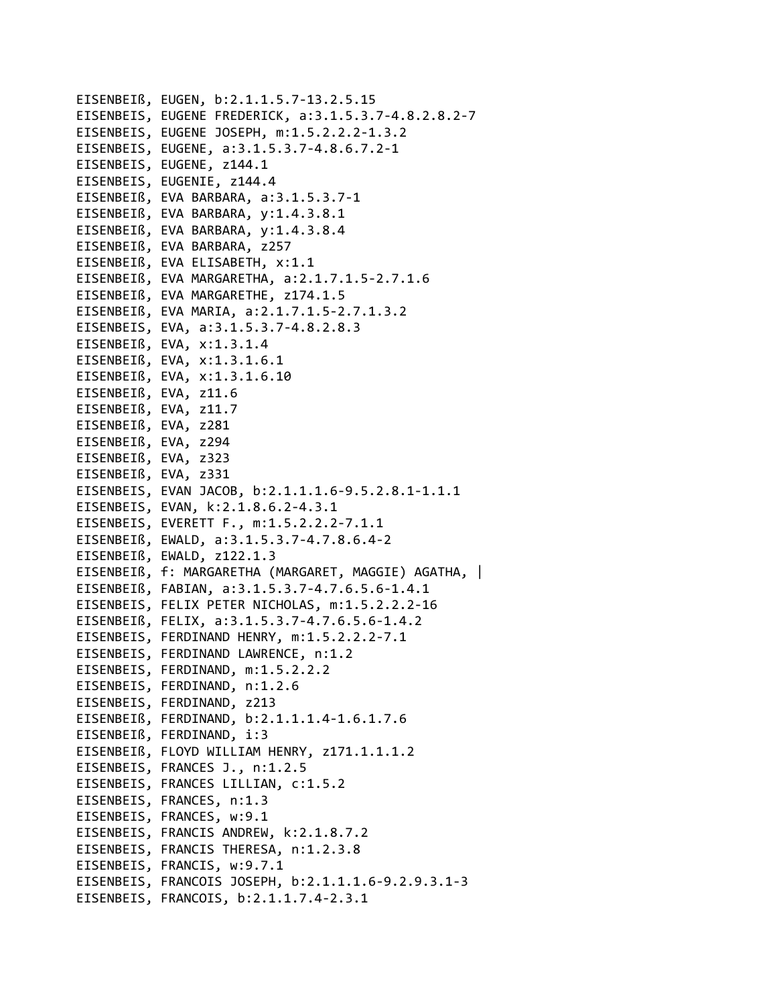EISENBEIß, EUGEN, b:2.1.1.5.7‐13.2.5.15 EISENBEIS, EUGENE FREDERICK, a:3.1.5.3.7‐4.8.2.8.2‐7 EISENBEIS, EUGENE JOSEPH, m:1.5.2.2.2‐1.3.2 EISENBEIS, EUGENE, a:3.1.5.3.7‐4.8.6.7.2‐1 EISENBEIS, EUGENE, z144.1 EISENBEIS, EUGENIE, z144.4 EISENBEIß, EVA BARBARA, a:3.1.5.3.7‐1 EISENBEIß, EVA BARBARA, y:1.4.3.8.1 EISENBEIß, EVA BARBARA, y:1.4.3.8.4 EISENBEIß, EVA BARBARA, z257 EISENBEIß, EVA ELISABETH, x:1.1 EISENBEIß, EVA MARGARETHA, a:2.1.7.1.5‐2.7.1.6 EISENBEIß, EVA MARGARETHE, z174.1.5 EISENBEIß, EVA MARIA, a:2.1.7.1.5‐2.7.1.3.2 EISENBEIS, EVA, a:3.1.5.3.7‐4.8.2.8.3 EISENBEIß, EVA, x:1.3.1.4 EISENBEIß, EVA, x:1.3.1.6.1 EISENBEIß, EVA, x:1.3.1.6.10 EISENBEIß, EVA, z11.6 EISENBEIß, EVA, z11.7 EISENBEIß, EVA, z281 EISENBEIß, EVA, z294 EISENBEIß, EVA, z323 EISENBEIß, EVA, z331 EISENBEIS, EVAN JACOB, b:2.1.1.1.6‐9.5.2.8.1‐1.1.1 EISENBEIS, EVAN, k:2.1.8.6.2‐4.3.1 EISENBEIS, EVERETT F., m:1.5.2.2.2‐7.1.1 EISENBEIß, EWALD, a:3.1.5.3.7‐4.7.8.6.4‐2 EISENBEIß, EWALD, z122.1.3 EISENBEIß, f: MARGARETHA (MARGARET, MAGGIE) AGATHA, | EISENBEIß, FABIAN, a:3.1.5.3.7‐4.7.6.5.6‐1.4.1 EISENBEIS, FELIX PETER NICHOLAS, m:1.5.2.2.2‐16 EISENBEIß, FELIX, a:3.1.5.3.7‐4.7.6.5.6‐1.4.2 EISENBEIS, FERDINAND HENRY, m:1.5.2.2.2‐7.1 EISENBEIS, FERDINAND LAWRENCE, n:1.2 EISENBEIS, FERDINAND, m:1.5.2.2.2 EISENBEIS, FERDINAND, n:1.2.6 EISENBEIS, FERDINAND, z213 EISENBEIß, FERDINAND, b:2.1.1.1.4‐1.6.1.7.6 EISENBEIß, FERDINAND, i:3 EISENBEIß, FLOYD WILLIAM HENRY, z171.1.1.1.2 EISENBEIS, FRANCES J., n:1.2.5 EISENBEIS, FRANCES LILLIAN, c:1.5.2 EISENBEIS, FRANCES, n:1.3 EISENBEIS, FRANCES, w:9.1 EISENBEIS, FRANCIS ANDREW, k:2.1.8.7.2 EISENBEIS, FRANCIS THERESA, n:1.2.3.8 EISENBEIS, FRANCIS, w:9.7.1 EISENBEIS, FRANCOIS JOSEPH, b:2.1.1.1.6‐9.2.9.3.1‐3 EISENBEIS, FRANCOIS, b:2.1.1.7.4‐2.3.1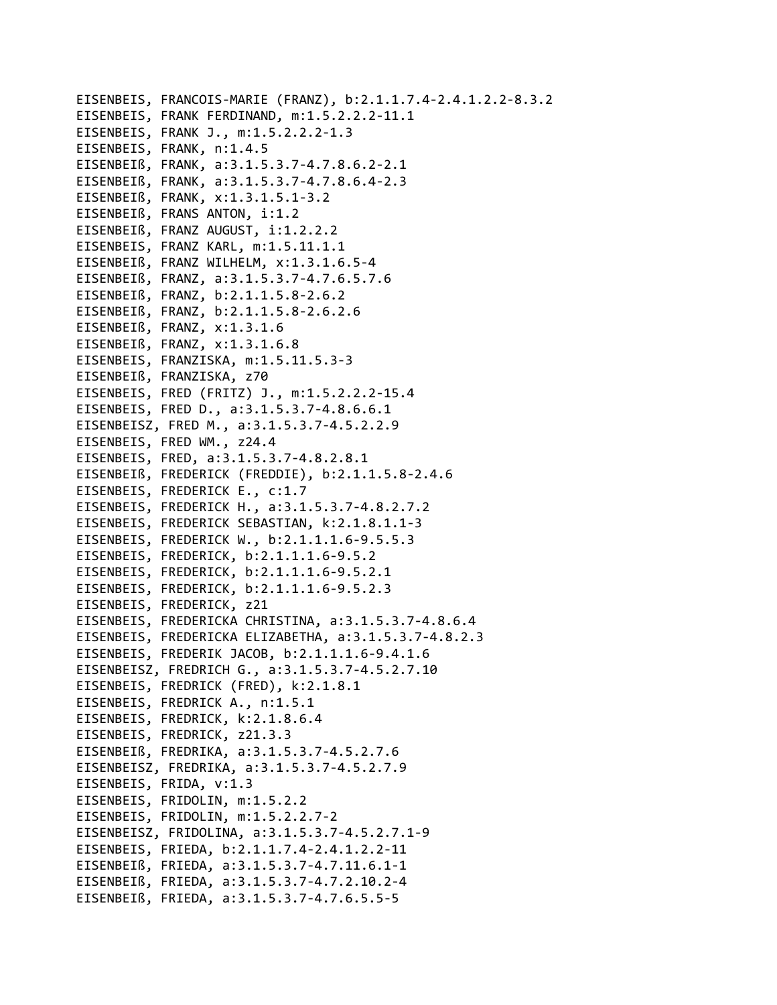EISENBEIS, FRANCOIS‐MARIE (FRANZ), b:2.1.1.7.4‐2.4.1.2.2‐8.3.2 EISENBEIS, FRANK FERDINAND, m:1.5.2.2.2‐11.1 EISENBEIS, FRANK J., m:1.5.2.2.2‐1.3 EISENBEIS, FRANK, n:1.4.5 EISENBEIß, FRANK, a:3.1.5.3.7‐4.7.8.6.2‐2.1 EISENBEIß, FRANK, a:3.1.5.3.7‐4.7.8.6.4‐2.3 EISENBEIß, FRANK, x:1.3.1.5.1‐3.2 EISENBEIß, FRANS ANTON, i:1.2 EISENBEIß, FRANZ AUGUST, i:1.2.2.2 EISENBEIS, FRANZ KARL, m:1.5.11.1.1 EISENBEIß, FRANZ WILHELM, x:1.3.1.6.5‐4 EISENBEIß, FRANZ, a:3.1.5.3.7‐4.7.6.5.7.6 EISENBEIß, FRANZ, b:2.1.1.5.8‐2.6.2 EISENBEIß, FRANZ, b:2.1.1.5.8‐2.6.2.6 EISENBEIß, FRANZ, x:1.3.1.6 EISENBEIß, FRANZ, x:1.3.1.6.8 EISENBEIS, FRANZISKA, m:1.5.11.5.3‐3 EISENBEIß, FRANZISKA, z70 EISENBEIS, FRED (FRITZ) J., m:1.5.2.2.2‐15.4 EISENBEIS, FRED D., a:3.1.5.3.7‐4.8.6.6.1 EISENBEISZ, FRED M., a:3.1.5.3.7‐4.5.2.2.9 EISENBEIS, FRED WM., z24.4 EISENBEIS, FRED, a:3.1.5.3.7‐4.8.2.8.1 EISENBEIß, FREDERICK (FREDDIE), b:2.1.1.5.8‐2.4.6 EISENBEIS, FREDERICK E., c:1.7 EISENBEIS, FREDERICK H., a:3.1.5.3.7‐4.8.2.7.2 EISENBEIS, FREDERICK SEBASTIAN, k:2.1.8.1.1‐3 EISENBEIS, FREDERICK W., b:2.1.1.1.6‐9.5.5.3 EISENBEIS, FREDERICK, b:2.1.1.1.6‐9.5.2 EISENBEIS, FREDERICK, b:2.1.1.1.6‐9.5.2.1 EISENBEIS, FREDERICK, b:2.1.1.1.6‐9.5.2.3 EISENBEIS, FREDERICK, z21 EISENBEIS, FREDERICKA CHRISTINA, a:3.1.5.3.7‐4.8.6.4 EISENBEIS, FREDERICKA ELIZABETHA, a:3.1.5.3.7‐4.8.2.3 EISENBEIS, FREDERIK JACOB, b:2.1.1.1.6‐9.4.1.6 EISENBEISZ, FREDRICH G., a:3.1.5.3.7‐4.5.2.7.10 EISENBEIS, FREDRICK (FRED), k:2.1.8.1 EISENBEIS, FREDRICK A., n:1.5.1 EISENBEIS, FREDRICK, k:2.1.8.6.4 EISENBEIS, FREDRICK, z21.3.3 EISENBEIß, FREDRIKA, a:3.1.5.3.7‐4.5.2.7.6 EISENBEISZ, FREDRIKA, a:3.1.5.3.7‐4.5.2.7.9 EISENBEIS, FRIDA, v:1.3 EISENBEIS, FRIDOLIN, m:1.5.2.2 EISENBEIS, FRIDOLIN, m:1.5.2.2.7‐2 EISENBEISZ, FRIDOLINA, a:3.1.5.3.7‐4.5.2.7.1‐9 EISENBEIS, FRIEDA, b:2.1.1.7.4‐2.4.1.2.2‐11 EISENBEIß, FRIEDA, a:3.1.5.3.7‐4.7.11.6.1‐1 EISENBEIß, FRIEDA, a:3.1.5.3.7‐4.7.2.10.2‐4 EISENBEIß, FRIEDA, a:3.1.5.3.7‐4.7.6.5.5‐5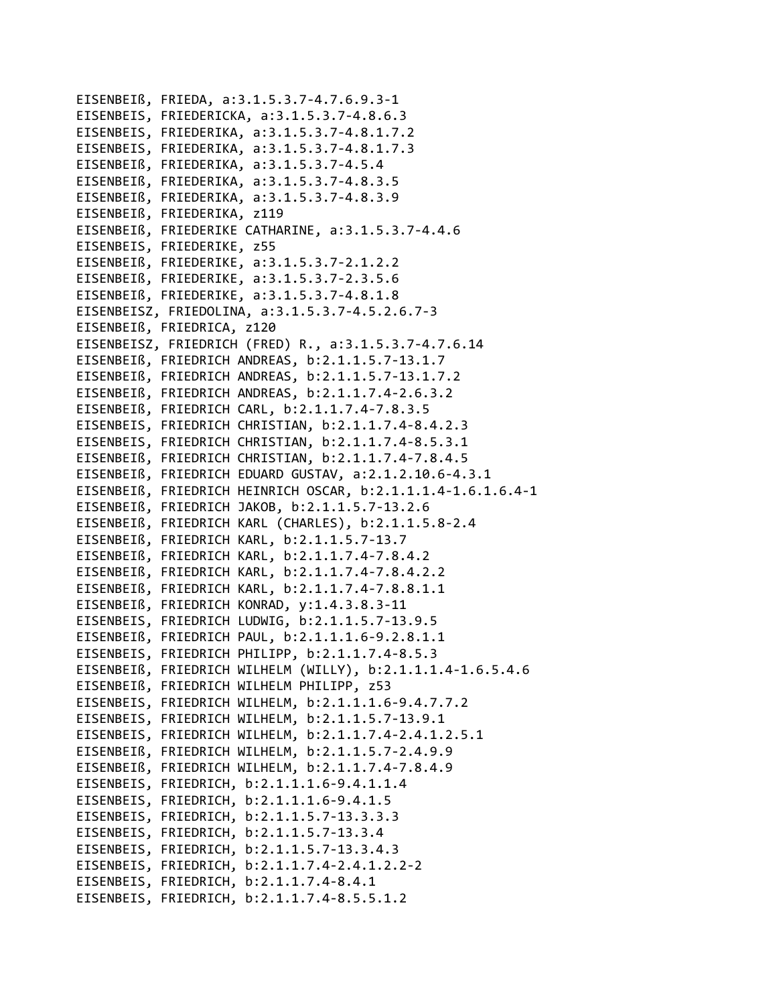```
EISENBEIß, FRIEDA, a:3.1.5.3.7-4.7.6.9.3-1
EISENBEIS, FRIEDERICKA, a:3.1.5.3.7-4.8.6.3
EISENBEIS, FRIEDERIKA, a:3.1.5.3.7-4.8.1.7.2
EISENBEIS, FRIEDERIKA, a:3.1.5.3.7-4.8.1.7.3
EISENBEIß, FRIEDERIKA, a:3.1.5.3.7-4.5.4
EISENBEIß, FRIEDERIKA, a:3.1.5.3.7-4.8.3.5
EISENBEIß, FRIEDERIKA, a:3.1.5.3.7-4.8.3.9
EISENBEIß, FRIEDERIKA, z119
EISENBEIß, FRIEDERIKE CATHARINE, a:3.1.5.3.7-4.4.6
EISENBEIS, FRIEDERIKE, z55
EISENBEIß, FRIEDERIKE, a:3.1.5.3.7-2.1.2.2
EISENBEIß, FRIEDERIKE, a:3.1.5.3.7-2.3.5.6
EISENBEIß, FRIEDERIKE, a:3.1.5.3.7-4.8.1.8
EISENBEISZ, FRIEDOLINA, a:3.1.5.3.7-4.5.2.6.7-3
EISENBEIß, FRIEDRICA, z120
EISENBEISZ, FRIEDRICH (FRED) R., a:3.1.5.3.7-4.7.6.14
EISENBEIß, FRIEDRICH ANDREAS, b:2.1.1.5.7-13.1.7
EISENBEIß, FRIEDRICH ANDREAS, b:2.1.1.5.7-13.1.7.2
EISENBEIß, FRIEDRICH ANDREAS, b:2.1.1.7.4-2.6.3.2
EISENBEIß, FRIEDRICH CARL, b:2.1.1.7.4-7.8.3.5
EISENBEIS, FRIEDRICH CHRISTIAN, b:2.1.1.7.4-8.4.2.3
EISENBEIS, FRIEDRICH CHRISTIAN, b:2.1.1.7.4-8.5.3.1
EISENBEIß, FRIEDRICH CHRISTIAN, b:2.1.1.7.4-7.8.4.5
EISENBEIß, FRIEDRICH EDUARD GUSTAV, a:2.1.2.10.6-4.3.1
EISENBEIß, FRIEDRICH HEINRICH OSCAR, b:2.1.1.1.4-1.6.1.6.4-1
EISENBEIß, FRIEDRICH JAKOB, b:2.1.1.5.7-13.2.6
EISENBEIß, FRIEDRICH KARL (CHARLES), b:2.1.1.5.8-2.4
EISENBEIß, FRIEDRICH KARL, b:2.1.1.5.7-13.7
EISENBEIß, FRIEDRICH KARL, b:2.1.1.7.4-7.8.4.2
EISENBEIß, FRIEDRICH KARL, b:2.1.1.7.4-7.8.4.2.2
EISENBEIß, FRIEDRICH KARL, b:2.1.1.7.4-7.8.8.1.1
EISENBEIß, FRIEDRICH KONRAD, y:1.4.3.8.3-11
EISENBEIS, FRIEDRICH LUDWIG, b:2.1.1.5.7-13.9.5
EISENBEIß, FRIEDRICH PAUL, b:2.1.1.1.6-9.2.8.1.1
EISENBEIS, FRIEDRICH PHILIPP, b:2.1.1.7.4-8.5.3
EISENBEIß, FRIEDRICH WILHELM (WILLY), b:2.1.1.1.4-1.6.5.4.6
EISENBEIß, FRIEDRICH WILHELM PHILIPP, z53
EISENBEIS, FRIEDRICH WILHELM, b:2.1.1.1.6-9.4.7.7.2
EISENBEIS, FRIEDRICH WILHELM, b:2.1.1.5.7-13.9.1
EISENBEIS, FRIEDRICH WILHELM, b:2.1.1.7.4-2.4.1.2.5.1
EISENBEIß, FRIEDRICH WILHELM, b:2.1.1.5.7-2.4.9.9
EISENBEIß, FRIEDRICH WILHELM, b:2.1.1.7.4-7.8.4.9
EISENBEIS, FRIEDRICH, b:2.1.1.1.6-9.4.1.1.4
EISENBEIS, FRIEDRICH, b:2.1.1.1.6-9.4.1.5
EISENBEIS, FRIEDRICH, b:2.1.1.5.7-13.3.3.3
EISENBEIS, FRIEDRICH, b:2.1.1.5.7-13.3.4
EISENBEIS, FRIEDRICH, b:2.1.1.5.7-13.3.4.3
EISENBEIS, FRIEDRICH, b:2.1.1.7.4-2.4.1.2.2-2
EISENBEIS, FRIEDRICH, b:2.1.1.7.4-8.4.1
EISENBEIS, FRIEDRICH, b:2.1.1.7.4-8.5.5.1.2
```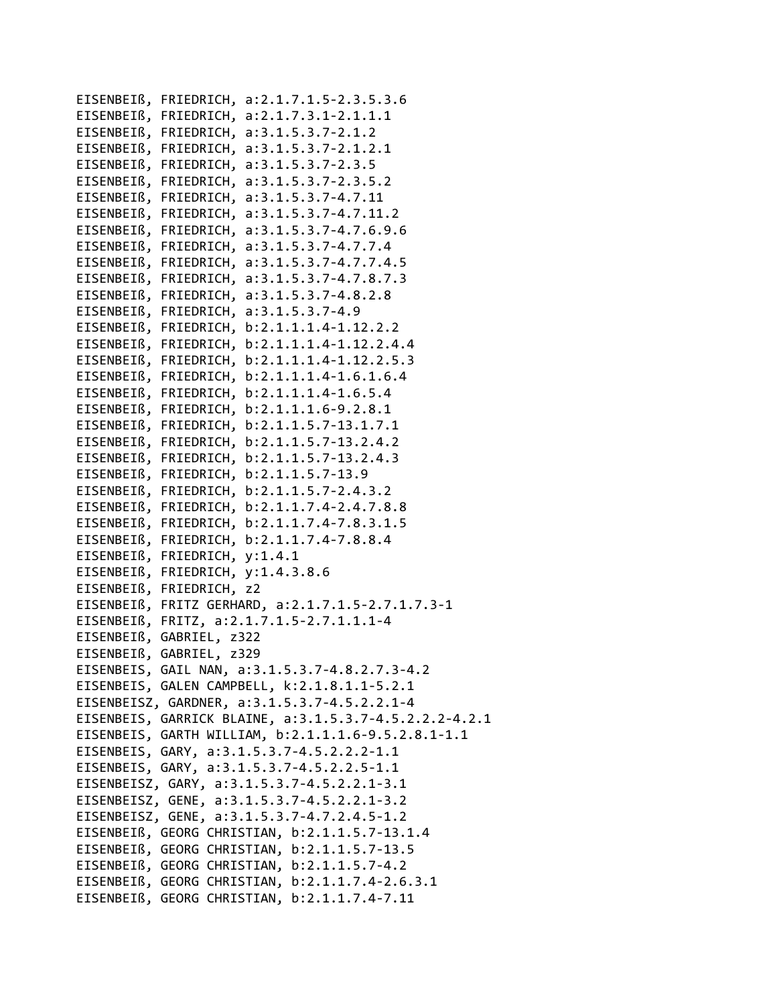EISENBEIß, FRIEDRICH, a:2.1.7.1.5‐2.3.5.3.6 EISENBEIß, FRIEDRICH, a:2.1.7.3.1‐2.1.1.1 EISENBEIß, FRIEDRICH, a:3.1.5.3.7‐2.1.2 EISENBEIß, FRIEDRICH, a:3.1.5.3.7‐2.1.2.1 EISENBEIß, FRIEDRICH, a:3.1.5.3.7‐2.3.5 EISENBEIß, FRIEDRICH, a:3.1.5.3.7‐2.3.5.2 EISENBEIß, FRIEDRICH, a:3.1.5.3.7‐4.7.11 EISENBEIß, FRIEDRICH, a:3.1.5.3.7‐4.7.11.2 EISENBEIß, FRIEDRICH, a:3.1.5.3.7‐4.7.6.9.6 EISENBEIß, FRIEDRICH, a:3.1.5.3.7‐4.7.7.4 EISENBEIß, FRIEDRICH, a:3.1.5.3.7‐4.7.7.4.5 EISENBEIß, FRIEDRICH, a:3.1.5.3.7‐4.7.8.7.3 EISENBEIß, FRIEDRICH, a:3.1.5.3.7‐4.8.2.8 EISENBEIß, FRIEDRICH, a:3.1.5.3.7‐4.9 EISENBEIß, FRIEDRICH, b:2.1.1.1.4‐1.12.2.2 EISENBEIß, FRIEDRICH, b:2.1.1.1.4‐1.12.2.4.4 EISENBEIß, FRIEDRICH, b:2.1.1.1.4‐1.12.2.5.3 EISENBEIß, FRIEDRICH, b:2.1.1.1.4‐1.6.1.6.4 EISENBEIß, FRIEDRICH, b:2.1.1.1.4‐1.6.5.4 EISENBEIß, FRIEDRICH, b:2.1.1.1.6‐9.2.8.1 EISENBEIß, FRIEDRICH, b:2.1.1.5.7‐13.1.7.1 EISENBEIß, FRIEDRICH, b:2.1.1.5.7‐13.2.4.2 EISENBEIß, FRIEDRICH, b:2.1.1.5.7‐13.2.4.3 EISENBEIß, FRIEDRICH, b:2.1.1.5.7‐13.9 EISENBEIß, FRIEDRICH, b:2.1.1.5.7‐2.4.3.2 EISENBEIß, FRIEDRICH, b:2.1.1.7.4‐2.4.7.8.8 EISENBEIß, FRIEDRICH, b:2.1.1.7.4‐7.8.3.1.5 EISENBEIß, FRIEDRICH, b:2.1.1.7.4‐7.8.8.4 EISENBEIß, FRIEDRICH, y:1.4.1 EISENBEIß, FRIEDRICH, y:1.4.3.8.6 EISENBEIß, FRIEDRICH, z2 EISENBEIß, FRITZ GERHARD, a:2.1.7.1.5‐2.7.1.7.3‐1 EISENBEIß, FRITZ, a:2.1.7.1.5‐2.7.1.1.1‐4 EISENBEIß, GABRIEL, z322 EISENBEIß, GABRIEL, z329 EISENBEIS, GAIL NAN, a:3.1.5.3.7‐4.8.2.7.3‐4.2 EISENBEIS, GALEN CAMPBELL, k:2.1.8.1.1‐5.2.1 EISENBEISZ, GARDNER, a:3.1.5.3.7‐4.5.2.2.1‐4 EISENBEIS, GARRICK BLAINE, a:3.1.5.3.7‐4.5.2.2.2‐4.2.1 EISENBEIS, GARTH WILLIAM, b:2.1.1.1.6‐9.5.2.8.1‐1.1 EISENBEIS, GARY, a:3.1.5.3.7‐4.5.2.2.2‐1.1 EISENBEIS, GARY, a:3.1.5.3.7‐4.5.2.2.5‐1.1 EISENBEISZ, GARY, a:3.1.5.3.7‐4.5.2.2.1‐3.1 EISENBEISZ, GENE, a:3.1.5.3.7‐4.5.2.2.1‐3.2 EISENBEISZ, GENE, a:3.1.5.3.7‐4.7.2.4.5‐1.2 EISENBEIß, GEORG CHRISTIAN, b:2.1.1.5.7‐13.1.4 EISENBEIß, GEORG CHRISTIAN, b:2.1.1.5.7‐13.5 EISENBEIß, GEORG CHRISTIAN, b:2.1.1.5.7‐4.2 EISENBEIß, GEORG CHRISTIAN, b:2.1.1.7.4‐2.6.3.1 EISENBEIß, GEORG CHRISTIAN, b:2.1.1.7.4‐7.11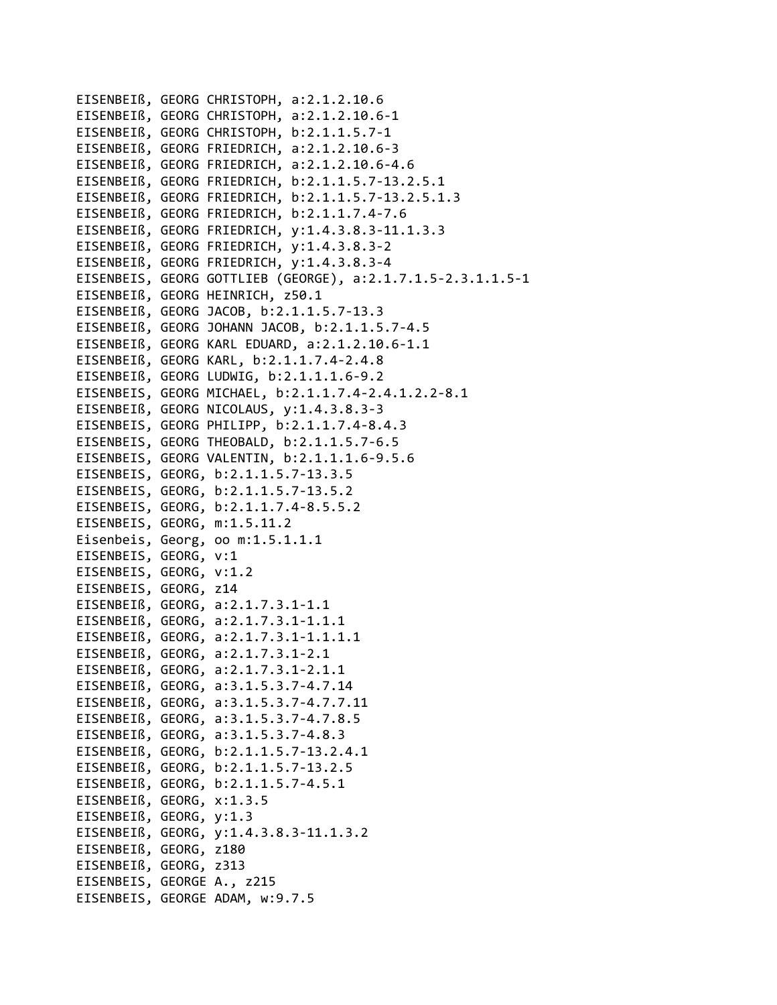```
EISENBEIß, GEORG CHRISTOPH, a:2.1.2.10.6
EISENBEIß, GEORG CHRISTOPH, a:2.1.2.10.6‐1
EISENBEIß, GEORG CHRISTOPH, b:2.1.1.5.7‐1
EISENBEIß, GEORG FRIEDRICH, a:2.1.2.10.6‐3
EISENBEIß, GEORG FRIEDRICH, a:2.1.2.10.6‐4.6
EISENBEIß, GEORG FRIEDRICH, b:2.1.1.5.7‐13.2.5.1
EISENBEIß, GEORG FRIEDRICH, b:2.1.1.5.7‐13.2.5.1.3
EISENBEIß, GEORG FRIEDRICH, b:2.1.1.7.4‐7.6
EISENBEIß, GEORG FRIEDRICH, y:1.4.3.8.3‐11.1.3.3
EISENBEIß, GEORG FRIEDRICH, y:1.4.3.8.3‐2
EISENBEIß, GEORG FRIEDRICH, y:1.4.3.8.3‐4
EISENBEIS, GEORG GOTTLIEB (GEORGE), a:2.1.7.1.5‐2.3.1.1.5‐1
EISENBEIß, GEORG HEINRICH, z50.1
EISENBEIß, GEORG JACOB, b:2.1.1.5.7‐13.3
EISENBEIß, GEORG JOHANN JACOB, b:2.1.1.5.7‐4.5
EISENBEIß, GEORG KARL EDUARD, a:2.1.2.10.6‐1.1
EISENBEIß, GEORG KARL, b:2.1.1.7.4‐2.4.8
EISENBEIß, GEORG LUDWIG, b:2.1.1.1.6‐9.2
EISENBEIS, GEORG MICHAEL, b:2.1.1.7.4‐2.4.1.2.2‐8.1
EISENBEIß, GEORG NICOLAUS, y:1.4.3.8.3‐3
EISENBEIS, GEORG PHILIPP, b:2.1.1.7.4‐8.4.3
EISENBEIS, GEORG THEOBALD, b:2.1.1.5.7‐6.5
EISENBEIS, GEORG VALENTIN, b:2.1.1.1.6‐9.5.6
EISENBEIS, GEORG, b:2.1.1.5.7‐13.3.5
EISENBEIS, GEORG, b:2.1.1.5.7‐13.5.2
EISENBEIS, GEORG, b:2.1.1.7.4‐8.5.5.2
EISENBEIS, GEORG, m:1.5.11.2
Eisenbeis, Georg, oo m:1.5.1.1.1
EISENBEIS, GEORG, v:1
EISENBEIS, GEORG, v:1.2
EISENBEIS, GEORG, z14
EISENBEIß, GEORG, a:2.1.7.3.1‐1.1
EISENBEIß, GEORG, a:2.1.7.3.1‐1.1.1
EISENBEIß, GEORG, a:2.1.7.3.1‐1.1.1.1
EISENBEIß, GEORG, a:2.1.7.3.1‐2.1
EISENBEIß, GEORG, a:2.1.7.3.1‐2.1.1
EISENBEIß, GEORG, a:3.1.5.3.7‐4.7.14
EISENBEIß, GEORG, a:3.1.5.3.7‐4.7.7.11
EISENBEIß, GEORG, a:3.1.5.3.7‐4.7.8.5
EISENBEIß, GEORG, a:3.1.5.3.7‐4.8.3
EISENBEIß, GEORG, b:2.1.1.5.7‐13.2.4.1
EISENBEIß, GEORG, b:2.1.1.5.7‐13.2.5
EISENBEIß, GEORG, b:2.1.1.5.7‐4.5.1
EISENBEIß, GEORG, x:1.3.5
EISENBEIß, GEORG, y:1.3
EISENBEIß, GEORG, y:1.4.3.8.3‐11.1.3.2
EISENBEIß, GEORG, z180
EISENBEIß, GEORG, z313
EISENBEIS, GEORGE A., z215
EISENBEIS, GEORGE ADAM, w:9.7.5
```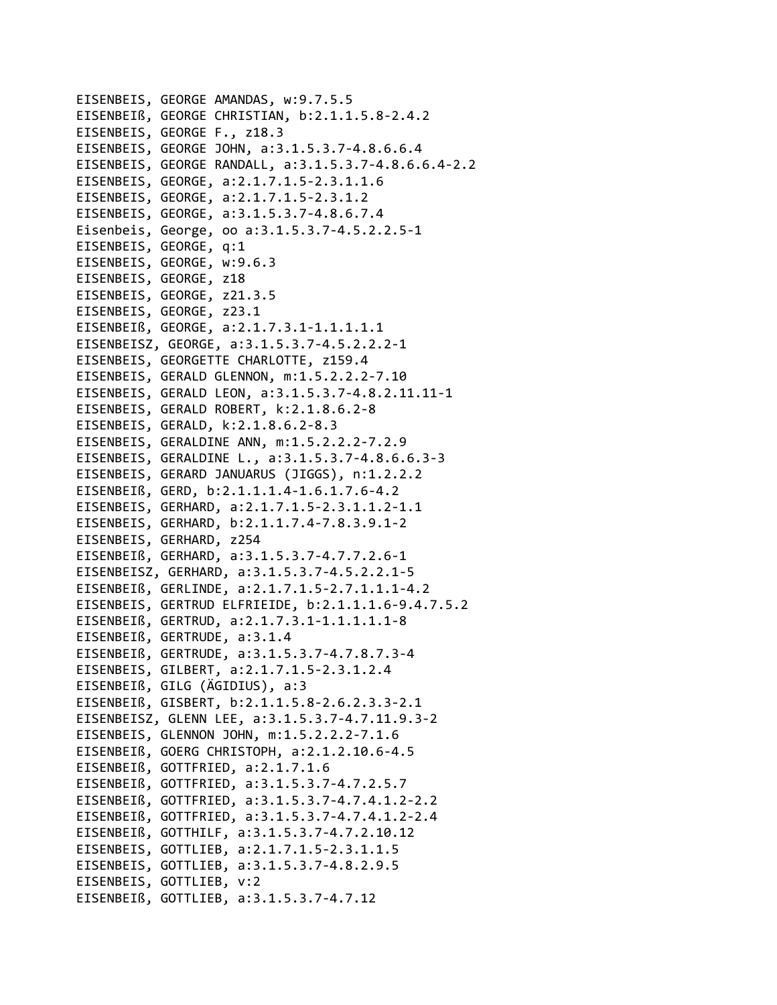```
EISENBEIS, GEORGE AMANDAS, w:9.7.5.5
EISENBEIß, GEORGE CHRISTIAN, b:2.1.1.5.8-2.4.2
EISENBEIS, GEORGE F., z18.3
EISENBEIS, GEORGE JOHN, a:3.1.5.3.7-4.8.6.6.4
EISENBEIS, GEORGE RANDALL, a:3.1.5.3.7-4.8.6.6.4-2.2
EISENBEIS, GEORGE, a:2.1.7.1.5-2.3.1.1.6
EISENBEIS, GEORGE, a:2.1.7.1.5-2.3.1.2
EISENBEIS, GEORGE, a:3.1.5.3.7-4.8.6.7.4
Eisenbeis, George, oo a:3.1.5.3.7-4.5.2.2.5-1
EISENBEIS, GEORGE, q:1
EISENBEIS, GEORGE, w:9.6.3
EISENBEIS, GEORGE, z18
EISENBEIS, GEORGE, z21.3.5
EISENBEIS, GEORGE, z23.1
EISENBEIß, GEORGE, a:2.1.7.3.1-1.1.1.1.1
EISENBEISZ, GEORGE, a:3.1.5.3.7-4.5.2.2.2-1
EISENBEIS, GEORGETTE CHARLOTTE, z159.4
EISENBEIS, GERALD GLENNON, m:1.5.2.2.2-7.10
EISENBEIS, GERALD LEON, a:3.1.5.3.7-4.8.2.11.11-1
EISENBEIS, GERALD ROBERT, k:2.1.8.6.2-8
EISENBEIS, GERALD, k:2.1.8.6.2-8.3
EISENBEIS, GERALDINE ANN, m:1.5.2.2.2-7.2.9
EISENBEIS, GERALDINE L., a:3.1.5.3.7-4.8.6.6.3-3
EISENBEIS, GERARD JANUARUS (JIGGS), n:1.2.2.2
EISENBEIß, GERD, b:2.1.1.1.4-1.6.1.7.6-4.2
EISENBEIS, GERHARD, a:2.1.7.1.5-2.3.1.1.2-1.1
EISENBEIS, GERHARD, b:2.1.1.7.4-7.8.3.9.1-2
EISENBEIS, GERHARD, z254
EISENBEIß, GERHARD, a:3.1.5.3.7-4.7.7.2.6-1
EISENBEISZ, GERHARD, a:3.1.5.3.7-4.5.2.2.1-5
EISENBEIß, GERLINDE, a:2.1.7.1.5-2.7.1.1.1-4.2
EISENBEIS, GERTRUD ELFRIEIDE, b:2.1.1.1.6-9.4.7.5.2
EISENBEIß, GERTRUD, a:2.1.7.3.1-1.1.1.1.1.1-8
EISENBEIß, GERTRUDE, a:3.1.4
EISENBEIß, GERTRUDE, a:3.1.5.3.7-4.7.8.7.3-4
EISENBEIS, GILBERT, a:2.1.7.1.5-2.3.1.2.4
EISENBEIß, GILG (ÄGIDIUS), a:3
EISENBEIß, GISBERT, b:2.1.1.5.8-2.6.2.3.3-2.1
EISENBEISZ, GLENN LEE, a:3.1.5.3.7-4.7.11.9.3-2
EISENBEIS, GLENNON JOHN, m:1.5.2.2.2-7.1.6
EISENBEIß, GOERG CHRISTOPH, a:2.1.2.10.6-4.5
EISENBEIß, GOTTFRIED, a:2.1.7.1.6
EISENBEIß, GOTTFRIED, a:3.1.5.3.7-4.7.2.5.7
EISENBEIß, GOTTFRIED, a:3.1.5.3.7-4.7.4.1.2-2.2
EISENBEIß, GOTTFRIED, a:3.1.5.3.7-4.7.4.1.2-2.4
EISENBEIß, GOTTHILF, a:3.1.5.3.7-4.7.2.10.12
EISENBEIS, GOTTLIEB, a:2.1.7.1.5-2.3.1.1.5
EISENBEIS, GOTTLIEB, a:3.1.5.3.7-4.8.2.9.5
EISENBEIS, GOTTLIEB, v:2
EISENBEIß, GOTTLIEB, a:3.1.5.3.7-4.7.12
```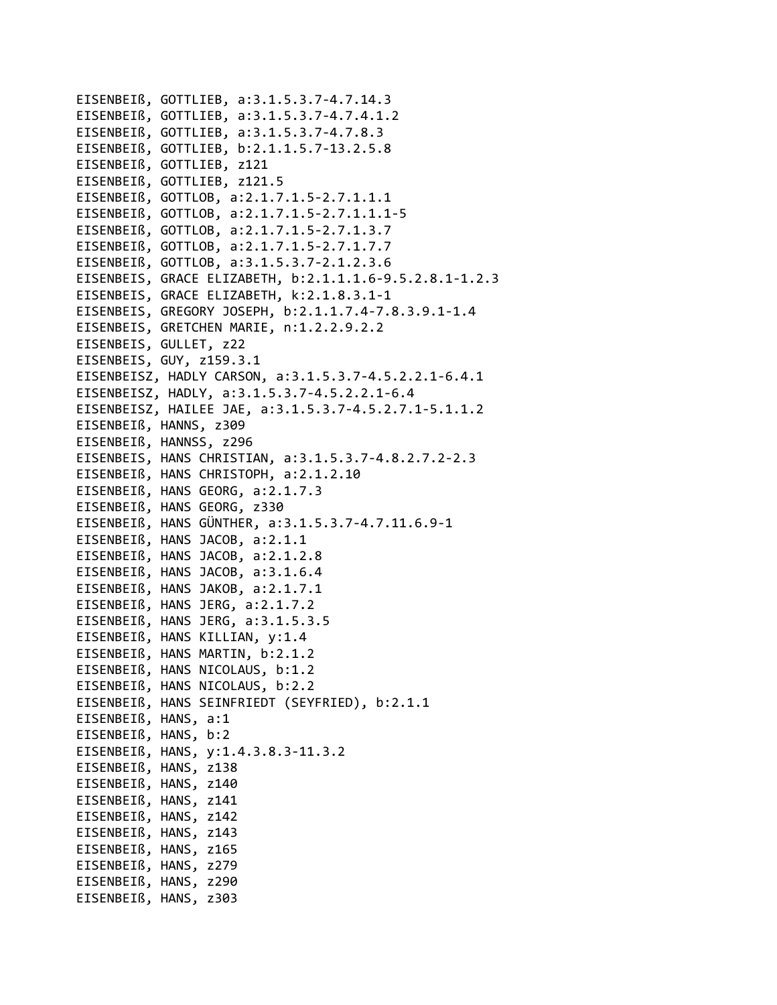```
EISENBEIß, GOTTLIEB, a:3.1.5.3.7‐4.7.14.3
EISENBEIß, GOTTLIEB, a:3.1.5.3.7‐4.7.4.1.2
EISENBEIß, GOTTLIEB, a:3.1.5.3.7‐4.7.8.3
EISENBEIß, GOTTLIEB, b:2.1.1.5.7‐13.2.5.8
EISENBEIß, GOTTLIEB, z121
EISENBEIß, GOTTLIEB, z121.5
EISENBEIß, GOTTLOB, a:2.1.7.1.5‐2.7.1.1.1
EISENBEIß, GOTTLOB, a:2.1.7.1.5‐2.7.1.1.1‐5
EISENBEIß, GOTTLOB, a:2.1.7.1.5‐2.7.1.3.7
EISENBEIß, GOTTLOB, a:2.1.7.1.5‐2.7.1.7.7
EISENBEIß, GOTTLOB, a:3.1.5.3.7‐2.1.2.3.6
EISENBEIS, GRACE ELIZABETH, b:2.1.1.1.6‐9.5.2.8.1‐1.2.3
EISENBEIS, GRACE ELIZABETH, k:2.1.8.3.1‐1
EISENBEIS, GREGORY JOSEPH, b:2.1.1.7.4‐7.8.3.9.1‐1.4
EISENBEIS, GRETCHEN MARIE, n:1.2.2.9.2.2
EISENBEIS, GULLET, z22
EISENBEIS, GUY, z159.3.1
EISENBEISZ, HADLY CARSON, a:3.1.5.3.7‐4.5.2.2.1‐6.4.1
EISENBEISZ, HADLY, a:3.1.5.3.7‐4.5.2.2.1‐6.4
EISENBEISZ, HAILEE JAE, a:3.1.5.3.7‐4.5.2.7.1‐5.1.1.2
EISENBEIß, HANNS, z309
EISENBEIß, HANNSS, z296
EISENBEIS, HANS CHRISTIAN, a:3.1.5.3.7‐4.8.2.7.2‐2.3
EISENBEIß, HANS CHRISTOPH, a:2.1.2.10
EISENBEIß, HANS GEORG, a:2.1.7.3
EISENBEIß, HANS GEORG, z330
EISENBEIß, HANS GÜNTHER, a:3.1.5.3.7‐4.7.11.6.9‐1
EISENBEIß, HANS JACOB, a:2.1.1
EISENBEIß, HANS JACOB, a:2.1.2.8
EISENBEIß, HANS JACOB, a:3.1.6.4
EISENBEIß, HANS JAKOB, a:2.1.7.1
EISENBEIß, HANS JERG, a:2.1.7.2
EISENBEIß, HANS JERG, a:3.1.5.3.5
EISENBEIß, HANS KILLIAN, y:1.4
EISENBEIß, HANS MARTIN, b:2.1.2
EISENBEIß, HANS NICOLAUS, b:1.2
EISENBEIß, HANS NICOLAUS, b:2.2
EISENBEIß, HANS SEINFRIEDT (SEYFRIED), b:2.1.1
EISENBEIß, HANS, a:1
EISENBEIß, HANS, b:2
EISENBEIß, HANS, y:1.4.3.8.3‐11.3.2
EISENBEIß, HANS, z138
EISENBEIß, HANS, z140
EISENBEIß, HANS, z141
EISENBEIß, HANS, z142
EISENBEIß, HANS, z143
EISENBEIß, HANS, z165
EISENBEIß, HANS, z279
EISENBEIß, HANS, z290
EISENBEIß, HANS, z303
```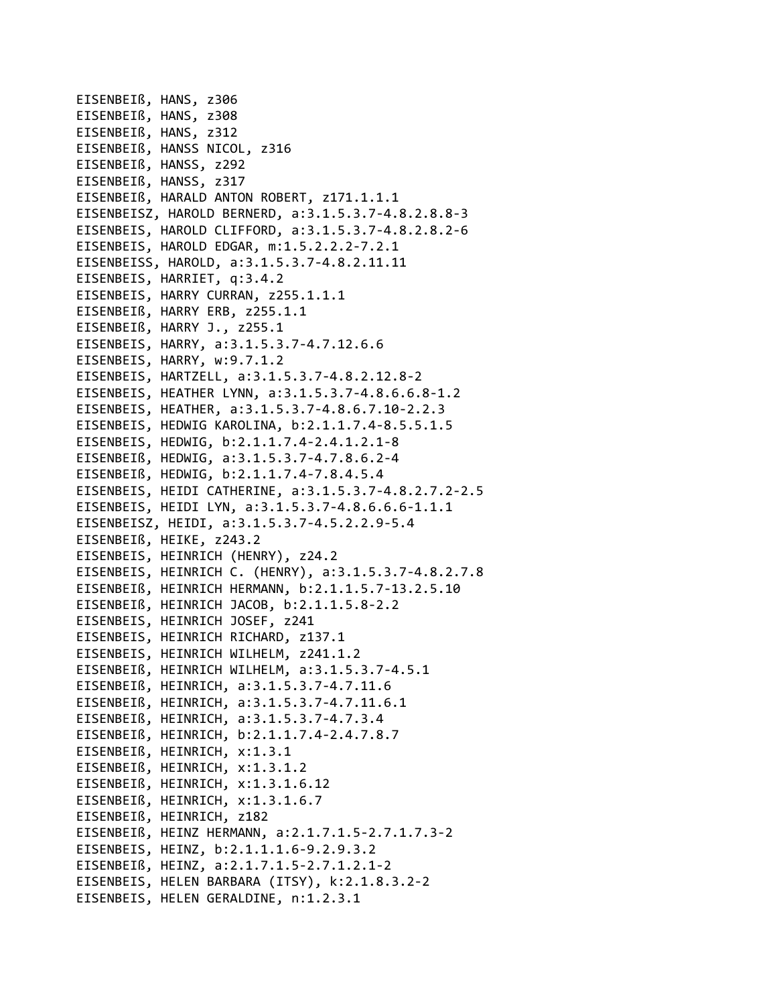EISENBEIß, HANS, z306 EISENBEIß, HANS, z308 EISENBEIß, HANS, z312 EISENBEIß, HANSS NICOL, z316 EISENBEIß, HANSS, z292 EISENBEIß, HANSS, z317 EISENBEIß, HARALD ANTON ROBERT, z171.1.1.1 EISENBEISZ, HAROLD BERNERD, a:3.1.5.3.7‐4.8.2.8.8‐3 EISENBEIS, HAROLD CLIFFORD, a:3.1.5.3.7‐4.8.2.8.2‐6 EISENBEIS, HAROLD EDGAR, m:1.5.2.2.2‐7.2.1 EISENBEISS, HAROLD, a:3.1.5.3.7‐4.8.2.11.11 EISENBEIS, HARRIET, q:3.4.2 EISENBEIS, HARRY CURRAN, z255.1.1.1 EISENBEIß, HARRY ERB, z255.1.1 EISENBEIß, HARRY J., z255.1 EISENBEIS, HARRY, a:3.1.5.3.7‐4.7.12.6.6 EISENBEIS, HARRY, w:9.7.1.2 EISENBEIS, HARTZELL, a:3.1.5.3.7‐4.8.2.12.8‐2 EISENBEIS, HEATHER LYNN, a:3.1.5.3.7‐4.8.6.6.8‐1.2 EISENBEIS, HEATHER, a:3.1.5.3.7‐4.8.6.7.10‐2.2.3 EISENBEIS, HEDWIG KAROLINA, b:2.1.1.7.4‐8.5.5.1.5 EISENBEIS, HEDWIG, b:2.1.1.7.4‐2.4.1.2.1‐8 EISENBEIß, HEDWIG, a:3.1.5.3.7‐4.7.8.6.2‐4 EISENBEIß, HEDWIG, b:2.1.1.7.4‐7.8.4.5.4 EISENBEIS, HEIDI CATHERINE, a:3.1.5.3.7‐4.8.2.7.2‐2.5 EISENBEIS, HEIDI LYN, a:3.1.5.3.7‐4.8.6.6.6‐1.1.1 EISENBEISZ, HEIDI, a:3.1.5.3.7‐4.5.2.2.9‐5.4 EISENBEIß, HEIKE, z243.2 EISENBEIS, HEINRICH (HENRY), z24.2 EISENBEIS, HEINRICH C. (HENRY), a:3.1.5.3.7‐4.8.2.7.8 EISENBEIß, HEINRICH HERMANN, b:2.1.1.5.7‐13.2.5.10 EISENBEIß, HEINRICH JACOB, b:2.1.1.5.8‐2.2 EISENBEIS, HEINRICH JOSEF, z241 EISENBEIS, HEINRICH RICHARD, z137.1 EISENBEIS, HEINRICH WILHELM, z241.1.2 EISENBEIß, HEINRICH WILHELM, a:3.1.5.3.7‐4.5.1 EISENBEIß, HEINRICH, a:3.1.5.3.7‐4.7.11.6 EISENBEIß, HEINRICH, a:3.1.5.3.7‐4.7.11.6.1 EISENBEIß, HEINRICH, a:3.1.5.3.7‐4.7.3.4 EISENBEIß, HEINRICH, b:2.1.1.7.4‐2.4.7.8.7 EISENBEIß, HEINRICH, x:1.3.1 EISENBEIß, HEINRICH, x:1.3.1.2 EISENBEIß, HEINRICH, x:1.3.1.6.12 EISENBEIß, HEINRICH, x:1.3.1.6.7 EISENBEIß, HEINRICH, z182 EISENBEIß, HEINZ HERMANN, a:2.1.7.1.5‐2.7.1.7.3‐2 EISENBEIS, HEINZ, b:2.1.1.1.6‐9.2.9.3.2 EISENBEIß, HEINZ, a:2.1.7.1.5‐2.7.1.2.1‐2 EISENBEIS, HELEN BARBARA (ITSY), k:2.1.8.3.2‐2 EISENBEIS, HELEN GERALDINE, n:1.2.3.1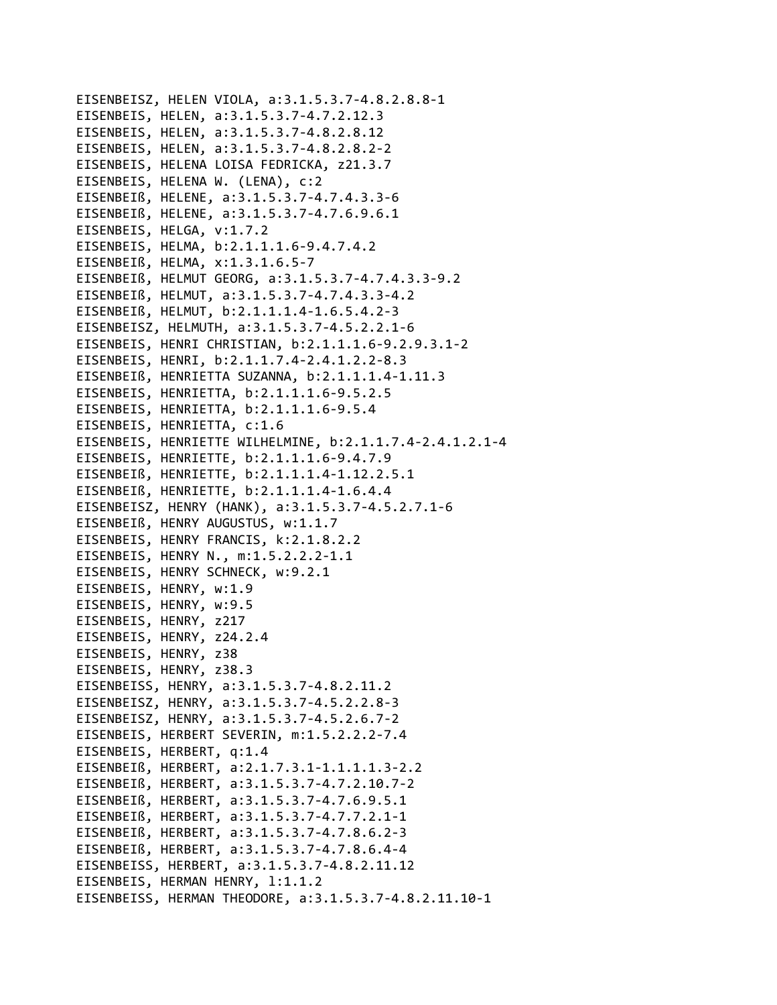```
EISENBEISZ, HELEN VIOLA, a:3.1.5.3.7-4.8.2.8.8-1
EISENBEIS, HELEN, a:3.1.5.3.7-4.7.2.12.3
EISENBEIS, HELEN, a:3.1.5.3.7-4.8.2.8.12
EISENBEIS, HELEN, a:3.1.5.3.7-4.8.2.8.2-2
EISENBEIS, HELENA LOISA FEDRICKA, z21.3.7
EISENBEIS, HELENA W. (LENA), c:2
EISENBEIß, HELENE, a:3.1.5.3.7-4.7.4.3.3-6
EISENBEIß, HELENE, a:3.1.5.3.7-4.7.6.9.6.1
EISENBEIS, HELGA, v:1.7.2
EISENBEIS, HELMA, b:2.1.1.1.6-9.4.7.4.2
EISENBEIß, HELMA, x:1.3.1.6.5-7
EISENBEIß, HELMUT GEORG, a:3.1.5.3.7-4.7.4.3.3-9.2
EISENBEIß, HELMUT, a:3.1.5.3.7-4.7.4.3.3-4.2
EISENBEIß, HELMUT, b:2.1.1.1.4-1.6.5.4.2-3
EISENBEISZ, HELMUTH, a:3.1.5.3.7-4.5.2.2.1-6
EISENBEIS, HENRI CHRISTIAN, b:2.1.1.1.6-9.2.9.3.1-2
EISENBEIS, HENRI, b:2.1.1.7.4-2.4.1.2.2-8.3
EISENBEIß, HENRIETTA SUZANNA, b:2.1.1.1.4-1.11.3
EISENBEIS, HENRIETTA, b:2.1.1.1.6-9.5.2.5
EISENBEIS, HENRIETTA, b:2.1.1.1.6-9.5.4
EISENBEIS, HENRIETTA, c:1.6
EISENBEIS, HENRIETTE WILHELMINE, b:2.1.1.7.4-2.4.1.2.1-4
EISENBEIS, HENRIETTE, b:2.1.1.1.6-9.4.7.9
EISENBEIß, HENRIETTE, b:2.1.1.1.4-1.12.2.5.1
EISENBEIß, HENRIETTE, b:2.1.1.1.4-1.6.4.4
EISENBEISZ, HENRY (HANK), a:3.1.5.3.7-4.5.2.7.1-6
EISENBEIß, HENRY AUGUSTUS, w:1.1.7
EISENBEIS, HENRY FRANCIS, k:2.1.8.2.2
EISENBEIS, HENRY N., m:1.5.2.2.2-1.1
EISENBEIS, HENRY SCHNECK, w:9.2.1
EISENBEIS, HENRY, w:1.9
EISENBEIS, HENRY, w:9.5
EISENBEIS, HENRY, z217
EISENBEIS, HENRY, z24.2.4
EISENBEIS, HENRY, z38
EISENBEIS, HENRY, z38.3
EISENBEISS, HENRY, a:3.1.5.3.7-4.8.2.11.2
EISENBEISZ, HENRY, a:3.1.5.3.7-4.5.2.2.8-3
EISENBEISZ, HENRY, a:3.1.5.3.7-4.5.2.6.7-2
EISENBEIS, HERBERT SEVERIN, m:1.5.2.2.2-7.4
EISENBEIS, HERBERT, q:1.4
EISENBEIß, HERBERT, a:2.1.7.3.1-1.1.1.1.3-2.2
EISENBEIß, HERBERT, a:3.1.5.3.7-4.7.2.10.7-2
EISENBEIß, HERBERT, a:3.1.5.3.7-4.7.6.9.5.1
EISENBEIß, HERBERT, a:3.1.5.3.7-4.7.7.2.1-1
EISENBEIß, HERBERT, a:3.1.5.3.7-4.7.8.6.2-3
EISENBEIß, HERBERT, a:3.1.5.3.7-4.7.8.6.4-4
EISENBEISS, HERBERT, a:3.1.5.3.7-4.8.2.11.12
EISENBEIS, HERMAN HENRY, 1:1.1.2
EISENBEISS, HERMAN THEODORE, a:3.1.5.3.7-4.8.2.11.10-1
```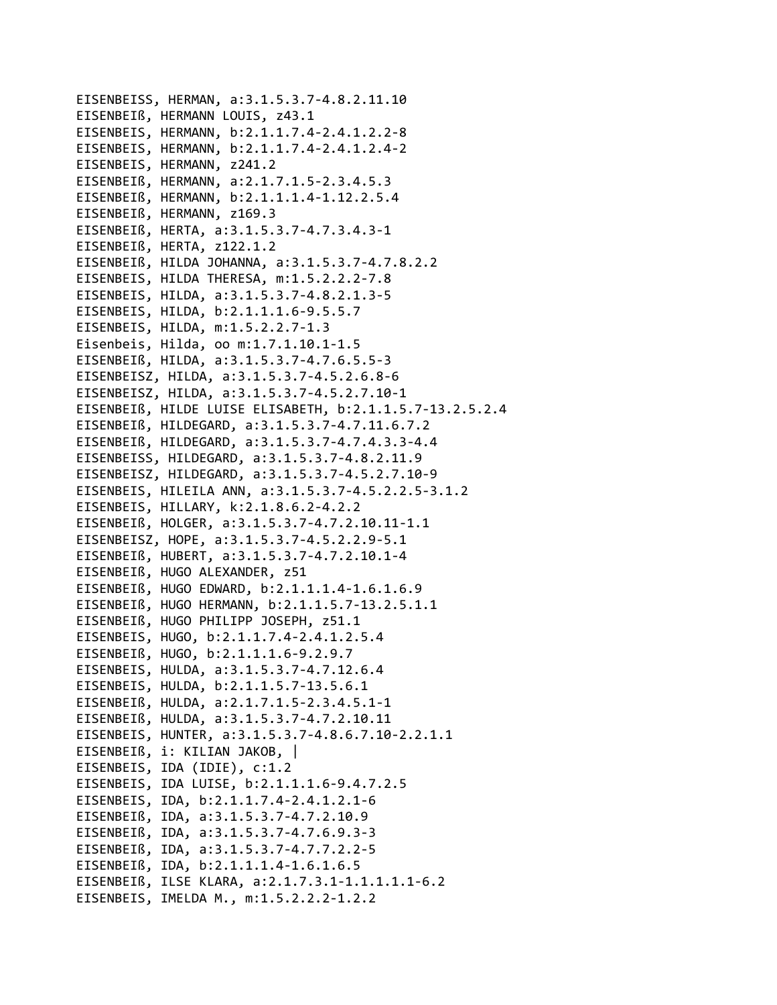EISENBEISS, HERMAN, a:3.1.5.3.7-4.8.2.11.10 EISENBEIß, HERMANN LOUIS, z43.1 EISENBEIS, HERMANN, b:2.1.1.7.4-2.4.1.2.2-8 EISENBEIS, HERMANN, b:2.1.1.7.4-2.4.1.2.4-2 EISENBEIS, HERMANN, z241.2 EISENBEIß, HERMANN, a:2.1.7.1.5-2.3.4.5.3 EISENBEIß, HERMANN, b:2.1.1.1.4-1.12.2.5.4 EISENBEIß, HERMANN, z169.3 EISENBEIß, HERTA, a:3.1.5.3.7-4.7.3.4.3-1 EISENBEIß, HERTA, z122.1.2 EISENBEIß, HILDA JOHANNA, a:3.1.5.3.7-4.7.8.2.2 EISENBEIS, HILDA THERESA, m:1.5.2.2.2-7.8 EISENBEIS, HILDA, a:3.1.5.3.7-4.8.2.1.3-5 EISENBEIS, HILDA, b:2.1.1.1.6-9.5.5.7 EISENBEIS, HILDA, m:1.5.2.2.7-1.3 Eisenbeis, Hilda, oo m:1.7.1.10.1-1.5 EISENBEIß, HILDA, a:3.1.5.3.7-4.7.6.5.5-3 EISENBEISZ, HILDA, a:3.1.5.3.7-4.5.2.6.8-6 EISENBEISZ, HILDA, a:3.1.5.3.7-4.5.2.7.10-1 EISENBEIß, HILDE LUISE ELISABETH, b:2.1.1.5.7-13.2.5.2.4 EISENBEIß, HILDEGARD, a:3.1.5.3.7-4.7.11.6.7.2 EISENBEIß, HILDEGARD, a:3.1.5.3.7-4.7.4.3.3-4.4 EISENBEISS, HILDEGARD, a:3.1.5.3.7-4.8.2.11.9 EISENBEISZ, HILDEGARD, a:3.1.5.3.7-4.5.2.7.10-9 EISENBEIS, HILEILA ANN, a:3.1.5.3.7-4.5.2.2.5-3.1.2 EISENBEIS, HILLARY, k:2.1.8.6.2-4.2.2 EISENBEIß, HOLGER, a:3.1.5.3.7-4.7.2.10.11-1.1 EISENBEISZ, HOPE, a:3.1.5.3.7-4.5.2.2.9-5.1 EISENBEIß, HUBERT, a:3.1.5.3.7-4.7.2.10.1-4 EISENBEIß, HUGO ALEXANDER, z51 EISENBEIß, HUGO EDWARD, b:2.1.1.1.4-1.6.1.6.9 EISENBEIß, HUGO HERMANN, b:2.1.1.5.7-13.2.5.1.1 EISENBEIß, HUGO PHILIPP JOSEPH, z51.1 EISENBEIS, HUGO, b:2.1.1.7.4-2.4.1.2.5.4 EISENBEIß, HUGO, b:2.1.1.1.6-9.2.9.7 EISENBEIS, HULDA, a:3.1.5.3.7-4.7.12.6.4 EISENBEIS, HULDA, b:2.1.1.5.7-13.5.6.1 EISENBEIß, HULDA, a:2.1.7.1.5-2.3.4.5.1-1 EISENBEIß, HULDA, a:3.1.5.3.7-4.7.2.10.11 EISENBEIS, HUNTER, a:3.1.5.3.7-4.8.6.7.10-2.2.1.1 EISENBEIß, i: KILIAN JAKOB, | EISENBEIS, IDA (IDIE), c:1.2 EISENBEIS, IDA LUISE, b:2.1.1.1.6-9.4.7.2.5 EISENBEIS, IDA, b:2.1.1.7.4-2.4.1.2.1-6 EISENBEIß, IDA, a:3.1.5.3.7-4.7.2.10.9 EISENBEIß, IDA, a:3.1.5.3.7-4.7.6.9.3-3 EISENBEIß, IDA, a:3.1.5.3.7-4.7.7.2.2-5 EISENBEIß, IDA, b:2.1.1.1.4-1.6.1.6.5 EISENBEIß, ILSE KLARA, a:2.1.7.3.1-1.1.1.1.1.1-6.2 EISENBEIS, IMELDA M., m:1.5.2.2.2-1.2.2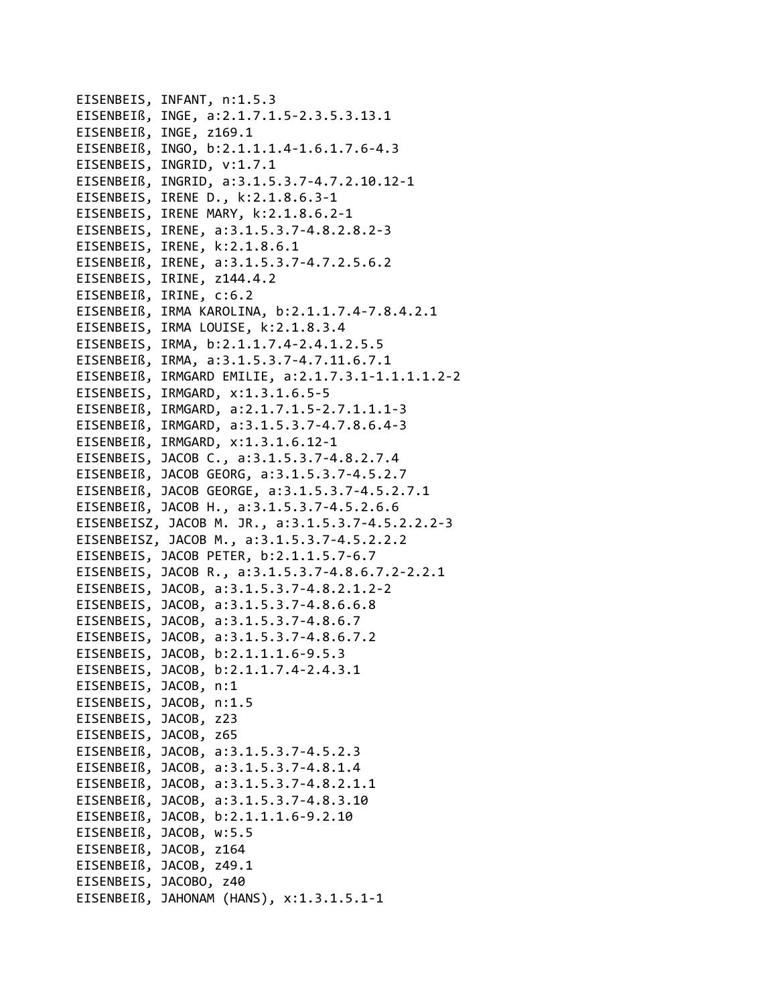EISENBEIS, INFANT, n:1.5.3 EISENBEIß, INGE, a:2.1.7.1.5-2.3.5.3.13.1 EISENBEIß, INGE, z169.1 EISENBEIß, INGO, b:2.1.1.1.4-1.6.1.7.6-4.3 EISENBEIS, INGRID, v:1.7.1 EISENBEIß, INGRID, a:3.1.5.3.7-4.7.2.10.12-1 EISENBEIS, IRENE D., k:2.1.8.6.3-1 EISENBEIS, IRENE MARY, k:2.1.8.6.2-1 EISENBEIS, IRENE, a:3.1.5.3.7-4.8.2.8.2-3 EISENBEIS, IRENE, k:2.1.8.6.1 EISENBEIß, IRENE, a:3.1.5.3.7-4.7.2.5.6.2 EISENBEIS, IRINE, z144.4.2 EISENBEIß, IRINE, c:6.2 EISENBEIß, IRMA KAROLINA, b:2.1.1.7.4-7.8.4.2.1 EISENBEIS, IRMA LOUISE, k:2.1.8.3.4 EISENBEIS, IRMA, b:2.1.1.7.4-2.4.1.2.5.5 EISENBEIß, IRMA, a:3.1.5.3.7-4.7.11.6.7.1 EISENBEIß, IRMGARD EMILIE, a:2.1.7.3.1-1.1.1.1.2-2 EISENBEIS, IRMGARD, x:1.3.1.6.5-5 EISENBEIß, IRMGARD, a:2.1.7.1.5-2.7.1.1.1-3 EISENBEIß, IRMGARD, a:3.1.5.3.7-4.7.8.6.4-3 EISENBEIß, IRMGARD, x:1.3.1.6.12-1 EISENBEIS, JACOB C., a:3.1.5.3.7-4.8.2.7.4 EISENBEIß, JACOB GEORG, a:3.1.5.3.7-4.5.2.7 EISENBEIß, JACOB GEORGE, a:3.1.5.3.7-4.5.2.7.1 EISENBEIß, JACOB H., a:3.1.5.3.7-4.5.2.6.6 EISENBEISZ, JACOB M. JR., a:3.1.5.3.7-4.5.2.2.2-3 EISENBEISZ, JACOB M., a:3.1.5.3.7-4.5.2.2.2 EISENBEIS, JACOB PETER, b:2.1.1.5.7-6.7 EISENBEIS, JACOB R., a:3.1.5.3.7-4.8.6.7.2-2.2.1 EISENBEIS, JACOB, a:3.1.5.3.7-4.8.2.1.2-2 EISENBEIS, JACOB, a:3.1.5.3.7-4.8.6.6.8 EISENBEIS, JACOB, a:3.1.5.3.7-4.8.6.7 EISENBEIS, JACOB, a:3.1.5.3.7-4.8.6.7.2 EISENBEIS, JACOB, b:2.1.1.1.6-9.5.3 EISENBEIS, JACOB, b:2.1.1.7.4-2.4.3.1 EISENBEIS, JACOB, n:1 EISENBEIS, JACOB, n:1.5 EISENBEIS, JACOB, z23 EISENBEIS, JACOB, z65 EISENBEIß, JACOB, a:3.1.5.3.7-4.5.2.3 EISENBEIß, JACOB, a:3.1.5.3.7-4.8.1.4 EISENBEIß, JACOB, a:3.1.5.3.7-4.8.2.1.1 EISENBEIß, JACOB, a:3.1.5.3.7-4.8.3.10 EISENBEIß, JACOB, b:2.1.1.1.6-9.2.10 EISENBEIß, JACOB, w:5.5 EISENBEIß, JACOB, z164 EISENBEIß, JACOB, z49.1 EISENBEIS, JACOBO, z40 EISENBEIß, JAHONAM (HANS), x:1.3.1.5.1-1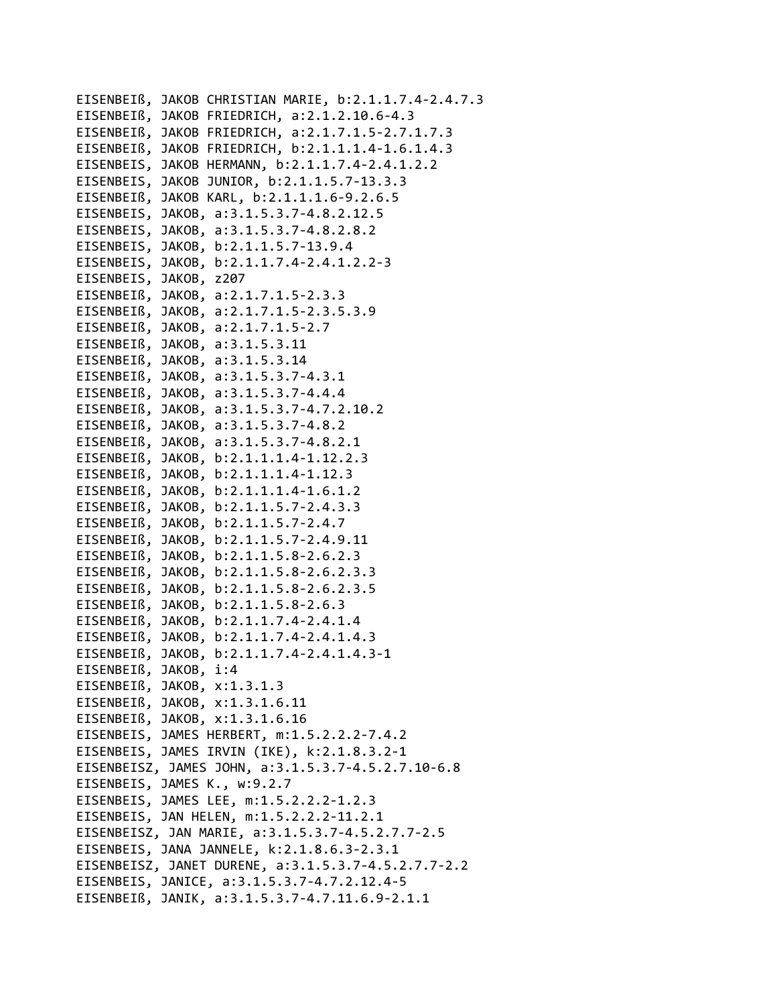EISENBEIß, JAKOB CHRISTIAN MARIE, b:2.1.1.7.4‐2.4.7.3 EISENBEIß, JAKOB FRIEDRICH, a:2.1.2.10.6‐4.3 EISENBEIß, JAKOB FRIEDRICH, a:2.1.7.1.5‐2.7.1.7.3 EISENBEIß, JAKOB FRIEDRICH, b:2.1.1.1.4‐1.6.1.4.3 EISENBEIS, JAKOB HERMANN, b:2.1.1.7.4‐2.4.1.2.2 EISENBEIS, JAKOB JUNIOR, b:2.1.1.5.7‐13.3.3 EISENBEIß, JAKOB KARL, b:2.1.1.1.6‐9.2.6.5 EISENBEIS, JAKOB, a:3.1.5.3.7‐4.8.2.12.5 EISENBEIS, JAKOB, a:3.1.5.3.7‐4.8.2.8.2 EISENBEIS, JAKOB, b:2.1.1.5.7‐13.9.4 EISENBEIS, JAKOB, b:2.1.1.7.4‐2.4.1.2.2‐3 EISENBEIS, JAKOB, z207 EISENBEIß, JAKOB, a:2.1.7.1.5‐2.3.3 EISENBEIß, JAKOB, a:2.1.7.1.5‐2.3.5.3.9 EISENBEIß, JAKOB, a:2.1.7.1.5‐2.7 EISENBEIß, JAKOB, a:3.1.5.3.11 EISENBEIß, JAKOB, a:3.1.5.3.14 EISENBEIß, JAKOB, a:3.1.5.3.7‐4.3.1 EISENBEIß, JAKOB, a:3.1.5.3.7‐4.4.4 EISENBEIß, JAKOB, a:3.1.5.3.7‐4.7.2.10.2 EISENBEIß, JAKOB, a:3.1.5.3.7‐4.8.2 EISENBEIß, JAKOB, a:3.1.5.3.7‐4.8.2.1 EISENBEIß, JAKOB, b:2.1.1.1.4‐1.12.2.3 EISENBEIß, JAKOB, b:2.1.1.1.4‐1.12.3 EISENBEIß, JAKOB, b:2.1.1.1.4‐1.6.1.2 EISENBEIß, JAKOB, b:2.1.1.5.7‐2.4.3.3 EISENBEIß, JAKOB, b:2.1.1.5.7‐2.4.7 EISENBEIß, JAKOB, b:2.1.1.5.7‐2.4.9.11 EISENBEIß, JAKOB, b:2.1.1.5.8‐2.6.2.3 EISENBEIß, JAKOB, b:2.1.1.5.8‐2.6.2.3.3 EISENBEIß, JAKOB, b:2.1.1.5.8‐2.6.2.3.5 EISENBEIß, JAKOB, b:2.1.1.5.8‐2.6.3 EISENBEIß, JAKOB, b:2.1.1.7.4‐2.4.1.4 EISENBEIß, JAKOB, b:2.1.1.7.4‐2.4.1.4.3 EISENBEIß, JAKOB, b:2.1.1.7.4‐2.4.1.4.3‐1 EISENBEIß, JAKOB, i:4 EISENBEIß, JAKOB, x:1.3.1.3 EISENBEIß, JAKOB, x:1.3.1.6.11 EISENBEIß, JAKOB, x:1.3.1.6.16 EISENBEIS, JAMES HERBERT, m:1.5.2.2.2‐7.4.2 EISENBEIS, JAMES IRVIN (IKE), k:2.1.8.3.2‐1 EISENBEISZ, JAMES JOHN, a:3.1.5.3.7‐4.5.2.7.10‐6.8 EISENBEIS, JAMES K., w:9.2.7 EISENBEIS, JAMES LEE, m:1.5.2.2.2‐1.2.3 EISENBEIS, JAN HELEN, m:1.5.2.2.2‐11.2.1 EISENBEISZ, JAN MARIE, a:3.1.5.3.7‐4.5.2.7.7‐2.5 EISENBEIS, JANA JANNELE, k:2.1.8.6.3‐2.3.1 EISENBEISZ, JANET DURENE, a:3.1.5.3.7‐4.5.2.7.7‐2.2 EISENBEIS, JANICE, a:3.1.5.3.7‐4.7.2.12.4‐5 EISENBEIß, JANIK, a:3.1.5.3.7‐4.7.11.6.9‐2.1.1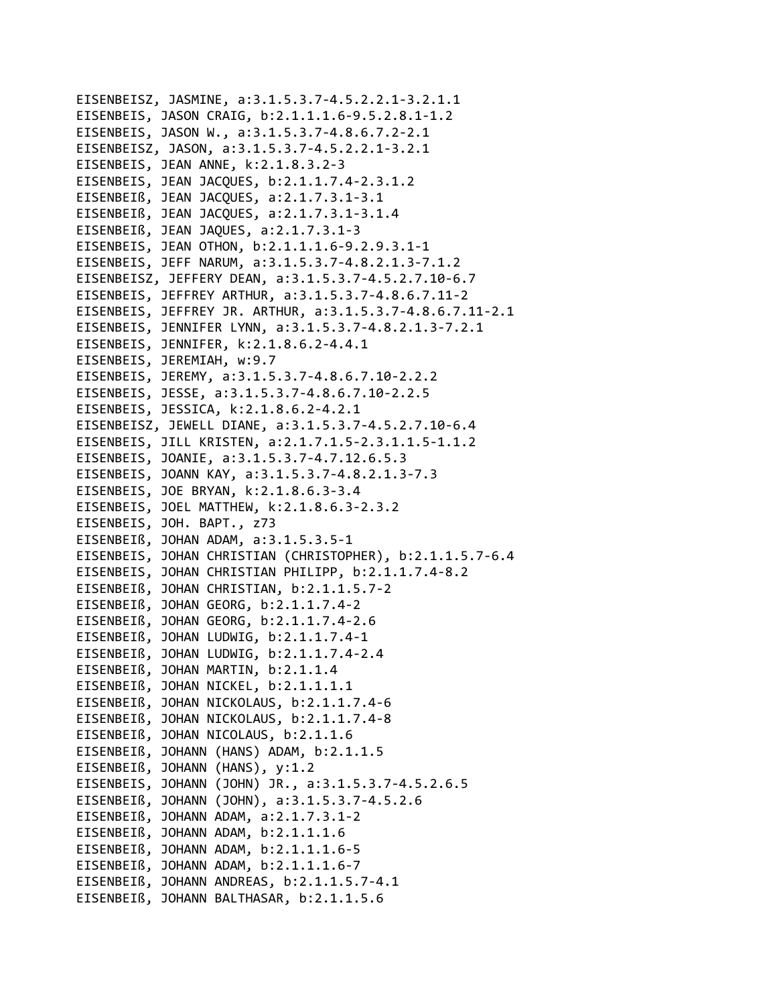```
EISENBEISZ, JASMINE, a:3.1.5.3.7‐4.5.2.2.1‐3.2.1.1
EISENBEIS, JASON CRAIG, b:2.1.1.1.6‐9.5.2.8.1‐1.2
EISENBEIS, JASON W., a:3.1.5.3.7‐4.8.6.7.2‐2.1
EISENBEISZ, JASON, a:3.1.5.3.7‐4.5.2.2.1‐3.2.1
EISENBEIS, JEAN ANNE, k:2.1.8.3.2‐3
EISENBEIS, JEAN JACQUES, b:2.1.1.7.4‐2.3.1.2
EISENBEIß, JEAN JACQUES, a:2.1.7.3.1‐3.1
EISENBEIß, JEAN JACQUES, a:2.1.7.3.1‐3.1.4
EISENBEIß, JEAN JAQUES, a:2.1.7.3.1‐3
EISENBEIS, JEAN OTHON, b:2.1.1.1.6‐9.2.9.3.1‐1
EISENBEIS, JEFF NARUM, a:3.1.5.3.7‐4.8.2.1.3‐7.1.2
EISENBEISZ, JEFFERY DEAN, a:3.1.5.3.7‐4.5.2.7.10‐6.7
EISENBEIS, JEFFREY ARTHUR, a:3.1.5.3.7‐4.8.6.7.11‐2
EISENBEIS, JEFFREY JR. ARTHUR, a:3.1.5.3.7‐4.8.6.7.11‐2.1
EISENBEIS, JENNIFER LYNN, a:3.1.5.3.7‐4.8.2.1.3‐7.2.1
EISENBEIS, JENNIFER, k:2.1.8.6.2‐4.4.1
EISENBEIS, JEREMIAH, w:9.7
EISENBEIS, JEREMY, a:3.1.5.3.7‐4.8.6.7.10‐2.2.2
EISENBEIS, JESSE, a:3.1.5.3.7‐4.8.6.7.10‐2.2.5
EISENBEIS, JESSICA, k:2.1.8.6.2‐4.2.1
EISENBEISZ, JEWELL DIANE, a:3.1.5.3.7‐4.5.2.7.10‐6.4
EISENBEIS, JILL KRISTEN, a:2.1.7.1.5‐2.3.1.1.5‐1.1.2
EISENBEIS, JOANIE, a:3.1.5.3.7‐4.7.12.6.5.3
EISENBEIS, JOANN KAY, a:3.1.5.3.7‐4.8.2.1.3‐7.3
EISENBEIS, JOE BRYAN, k:2.1.8.6.3‐3.4
EISENBEIS, JOEL MATTHEW, k:2.1.8.6.3‐2.3.2
EISENBEIS, JOH. BAPT., z73
EISENBEIß, JOHAN ADAM, a:3.1.5.3.5‐1
EISENBEIS, JOHAN CHRISTIAN (CHRISTOPHER), b:2.1.1.5.7‐6.4
EISENBEIS, JOHAN CHRISTIAN PHILIPP, b:2.1.1.7.4‐8.2
EISENBEIß, JOHAN CHRISTIAN, b:2.1.1.5.7‐2
EISENBEIß, JOHAN GEORG, b:2.1.1.7.4‐2
EISENBEIß, JOHAN GEORG, b:2.1.1.7.4‐2.6
EISENBEIß, JOHAN LUDWIG, b:2.1.1.7.4‐1
EISENBEIß, JOHAN LUDWIG, b:2.1.1.7.4‐2.4
EISENBEIß, JOHAN MARTIN, b:2.1.1.4
EISENBEIß, JOHAN NICKEL, b:2.1.1.1.1
EISENBEIß, JOHAN NICKOLAUS, b:2.1.1.7.4‐6
EISENBEIß, JOHAN NICKOLAUS, b:2.1.1.7.4‐8
EISENBEIß, JOHAN NICOLAUS, b:2.1.1.6
EISENBEIß, JOHANN (HANS) ADAM, b:2.1.1.5
EISENBEIß, JOHANN (HANS), y:1.2
EISENBEIS, JOHANN (JOHN) JR., a:3.1.5.3.7‐4.5.2.6.5
EISENBEIß, JOHANN (JOHN), a:3.1.5.3.7‐4.5.2.6
EISENBEIß, JOHANN ADAM, a:2.1.7.3.1‐2
EISENBEIß, JOHANN ADAM, b:2.1.1.1.6
EISENBEIß, JOHANN ADAM, b:2.1.1.1.6‐5
EISENBEIß, JOHANN ADAM, b:2.1.1.1.6‐7
EISENBEIß, JOHANN ANDREAS, b:2.1.1.5.7‐4.1
EISENBEIß, JOHANN BALTHASAR, b:2.1.1.5.6
```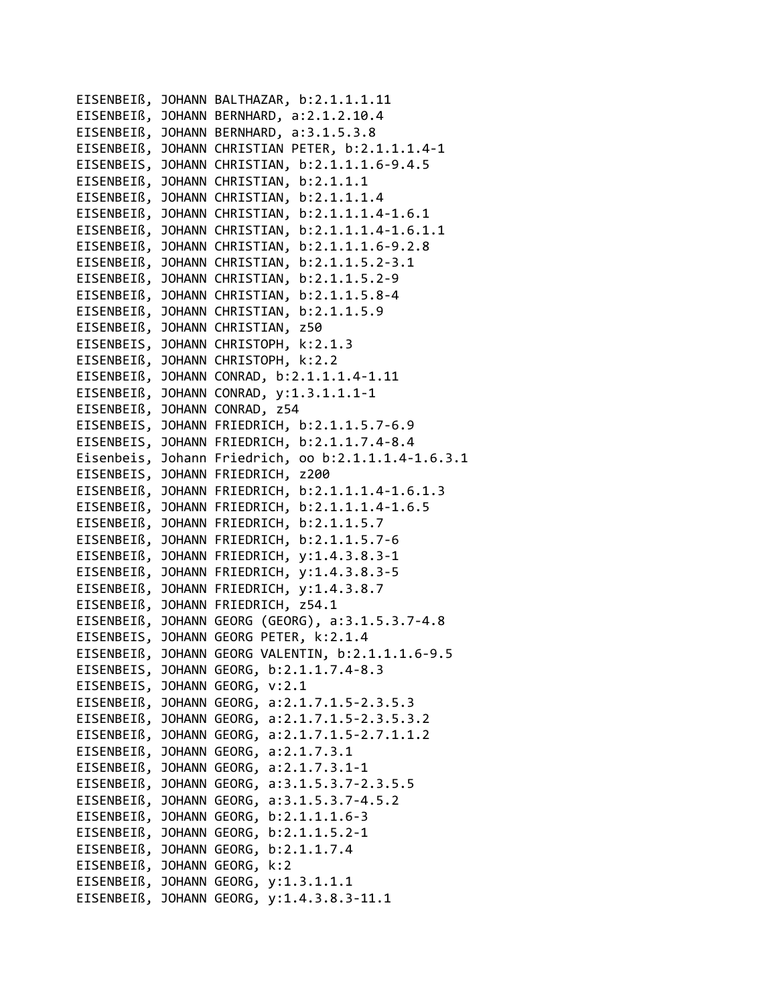```
EISENBEIß, JOHANN BALTHAZAR, b:2.1.1.1.11
EISENBEIß, JOHANN BERNHARD, a:2.1.2.10.4
EISENBEIß, JOHANN BERNHARD, a:3.1.5.3.8
EISENBEIß, JOHANN CHRISTIAN PETER, b:2.1.1.1.4‐1
EISENBEIS, JOHANN CHRISTIAN, b:2.1.1.1.6‐9.4.5
EISENBEIß, JOHANN CHRISTIAN, b:2.1.1.1
EISENBEIß, JOHANN CHRISTIAN, b:2.1.1.1.4
EISENBEIß, JOHANN CHRISTIAN, b:2.1.1.1.4‐1.6.1
EISENBEIß, JOHANN CHRISTIAN, b:2.1.1.1.4‐1.6.1.1
EISENBEIß, JOHANN CHRISTIAN, b:2.1.1.1.6‐9.2.8
EISENBEIß, JOHANN CHRISTIAN, b:2.1.1.5.2‐3.1
EISENBEIß, JOHANN CHRISTIAN, b:2.1.1.5.2‐9
EISENBEIß, JOHANN CHRISTIAN, b:2.1.1.5.8‐4
EISENBEIß, JOHANN CHRISTIAN, b:2.1.1.5.9
EISENBEIß, JOHANN CHRISTIAN, z50
EISENBEIS, JOHANN CHRISTOPH, k:2.1.3
EISENBEIß, JOHANN CHRISTOPH, k:2.2
EISENBEIß, JOHANN CONRAD, b:2.1.1.1.4‐1.11
EISENBEIß, JOHANN CONRAD, y:1.3.1.1.1‐1
EISENBEIß, JOHANN CONRAD, z54
EISENBEIS, JOHANN FRIEDRICH, b:2.1.1.5.7‐6.9
EISENBEIS, JOHANN FRIEDRICH, b:2.1.1.7.4‐8.4
Eisenbeis, Johann Friedrich, oo b:2.1.1.1.4‐1.6.3.1
EISENBEIS, JOHANN FRIEDRICH, z200
EISENBEIß, JOHANN FRIEDRICH, b:2.1.1.1.4‐1.6.1.3
EISENBEIß, JOHANN FRIEDRICH, b:2.1.1.1.4‐1.6.5
EISENBEIß, JOHANN FRIEDRICH, b:2.1.1.5.7
EISENBEIß, JOHANN FRIEDRICH, b:2.1.1.5.7‐6
EISENBEIß, JOHANN FRIEDRICH, y:1.4.3.8.3‐1
EISENBEIß, JOHANN FRIEDRICH, y:1.4.3.8.3‐5
EISENBEIß, JOHANN FRIEDRICH, y:1.4.3.8.7
EISENBEIß, JOHANN FRIEDRICH, z54.1
EISENBEIß, JOHANN GEORG (GEORG), a:3.1.5.3.7‐4.8
EISENBEIS, JOHANN GEORG PETER, k:2.1.4
EISENBEIß, JOHANN GEORG VALENTIN, b:2.1.1.1.6‐9.5
EISENBEIS, JOHANN GEORG, b:2.1.1.7.4‐8.3
EISENBEIS, JOHANN GEORG, v:2.1
EISENBEIß, JOHANN GEORG, a:2.1.7.1.5‐2.3.5.3
EISENBEIß, JOHANN GEORG, a:2.1.7.1.5‐2.3.5.3.2
EISENBEIß, JOHANN GEORG, a:2.1.7.1.5‐2.7.1.1.2
EISENBEIß, JOHANN GEORG, a:2.1.7.3.1
EISENBEIß, JOHANN GEORG, a:2.1.7.3.1‐1
EISENBEIß, JOHANN GEORG, a:3.1.5.3.7‐2.3.5.5
EISENBEIß, JOHANN GEORG, a:3.1.5.3.7‐4.5.2
EISENBEIß, JOHANN GEORG, b:2.1.1.1.6‐3
EISENBEIß, JOHANN GEORG, b:2.1.1.5.2‐1
EISENBEIß, JOHANN GEORG, b:2.1.1.7.4
EISENBEIß, JOHANN GEORG, k:2
EISENBEIß, JOHANN GEORG, y:1.3.1.1.1
EISENBEIß, JOHANN GEORG, y:1.4.3.8.3‐11.1
```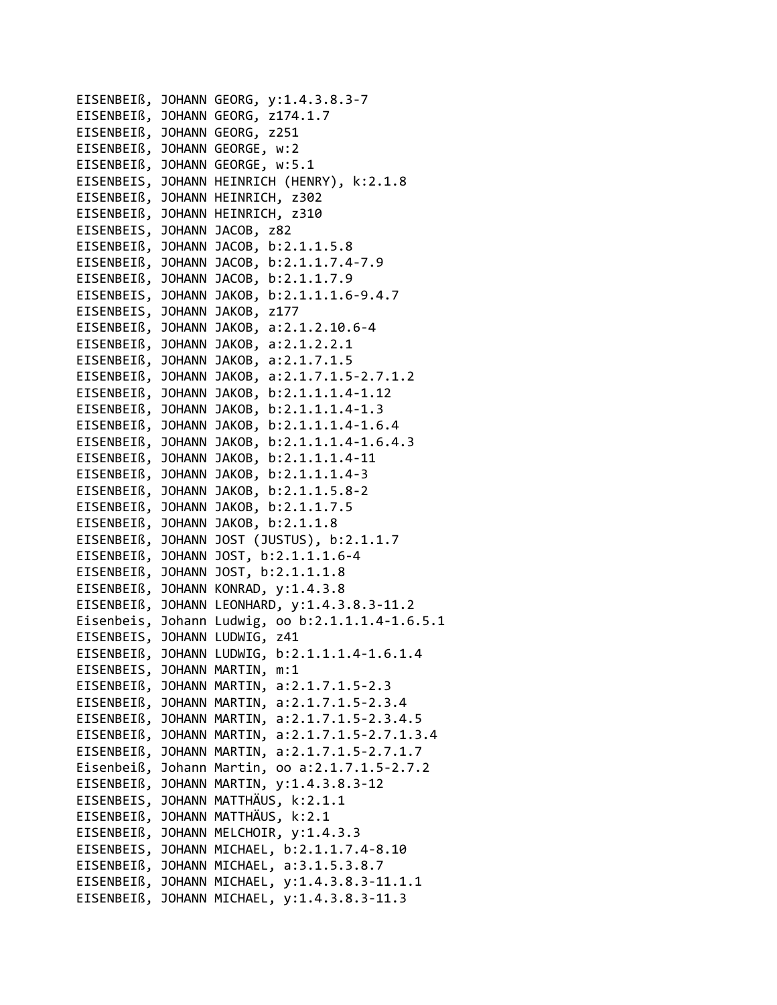EISENBEIß, JOHANN GEORG, y:1.4.3.8.3‐7 EISENBEIß, JOHANN GEORG, z174.1.7 EISENBEIß, JOHANN GEORG, z251 EISENBEIß, JOHANN GEORGE, w:2 EISENBEIß, JOHANN GEORGE, w:5.1 EISENBEIS, JOHANN HEINRICH (HENRY), k:2.1.8 EISENBEIß, JOHANN HEINRICH, z302 EISENBEIß, JOHANN HEINRICH, z310 EISENBEIS, JOHANN JACOB, z82 EISENBEIß, JOHANN JACOB, b:2.1.1.5.8 EISENBEIß, JOHANN JACOB, b:2.1.1.7.4‐7.9 EISENBEIß, JOHANN JACOB, b:2.1.1.7.9 EISENBEIS, JOHANN JAKOB, b:2.1.1.1.6‐9.4.7 EISENBEIS, JOHANN JAKOB, z177 EISENBEIß, JOHANN JAKOB, a:2.1.2.10.6‐4 EISENBEIß, JOHANN JAKOB, a:2.1.2.2.1 EISENBEIß, JOHANN JAKOB, a:2.1.7.1.5 EISENBEIß, JOHANN JAKOB, a:2.1.7.1.5‐2.7.1.2 EISENBEIß, JOHANN JAKOB, b:2.1.1.1.4‐1.12 EISENBEIß, JOHANN JAKOB, b:2.1.1.1.4‐1.3 EISENBEIß, JOHANN JAKOB, b:2.1.1.1.4‐1.6.4 EISENBEIß, JOHANN JAKOB, b:2.1.1.1.4‐1.6.4.3 EISENBEIß, JOHANN JAKOB, b:2.1.1.1.4‐11 EISENBEIß, JOHANN JAKOB, b:2.1.1.1.4‐3 EISENBEIß, JOHANN JAKOB, b:2.1.1.5.8‐2 EISENBEIß, JOHANN JAKOB, b:2.1.1.7.5 EISENBEIß, JOHANN JAKOB, b:2.1.1.8 EISENBEIß, JOHANN JOST (JUSTUS), b:2.1.1.7 EISENBEIß, JOHANN JOST, b:2.1.1.1.6‐4 EISENBEIß, JOHANN JOST, b:2.1.1.1.8 EISENBEIß, JOHANN KONRAD, y:1.4.3.8 EISENBEIß, JOHANN LEONHARD, y:1.4.3.8.3‐11.2 Eisenbeis, Johann Ludwig, oo b:2.1.1.1.4‐1.6.5.1 EISENBEIS, JOHANN LUDWIG, z41 EISENBEIß, JOHANN LUDWIG, b:2.1.1.1.4‐1.6.1.4 EISENBEIS, JOHANN MARTIN, m:1 EISENBEIß, JOHANN MARTIN, a:2.1.7.1.5‐2.3 EISENBEIß, JOHANN MARTIN, a:2.1.7.1.5‐2.3.4 EISENBEIß, JOHANN MARTIN, a:2.1.7.1.5‐2.3.4.5 EISENBEIß, JOHANN MARTIN, a:2.1.7.1.5‐2.7.1.3.4 EISENBEIß, JOHANN MARTIN, a:2.1.7.1.5‐2.7.1.7 Eisenbeiß, Johann Martin, oo a:2.1.7.1.5‐2.7.2 EISENBEIß, JOHANN MARTIN, y:1.4.3.8.3‐12 EISENBEIS, JOHANN MATTHÄUS, k:2.1.1 EISENBEIß, JOHANN MATTHÄUS, k:2.1 EISENBEIß, JOHANN MELCHOIR, y:1.4.3.3 EISENBEIS, JOHANN MICHAEL, b:2.1.1.7.4‐8.10 EISENBEIß, JOHANN MICHAEL, a:3.1.5.3.8.7 EISENBEIß, JOHANN MICHAEL, y:1.4.3.8.3‐11.1.1 EISENBEIß, JOHANN MICHAEL, y:1.4.3.8.3‐11.3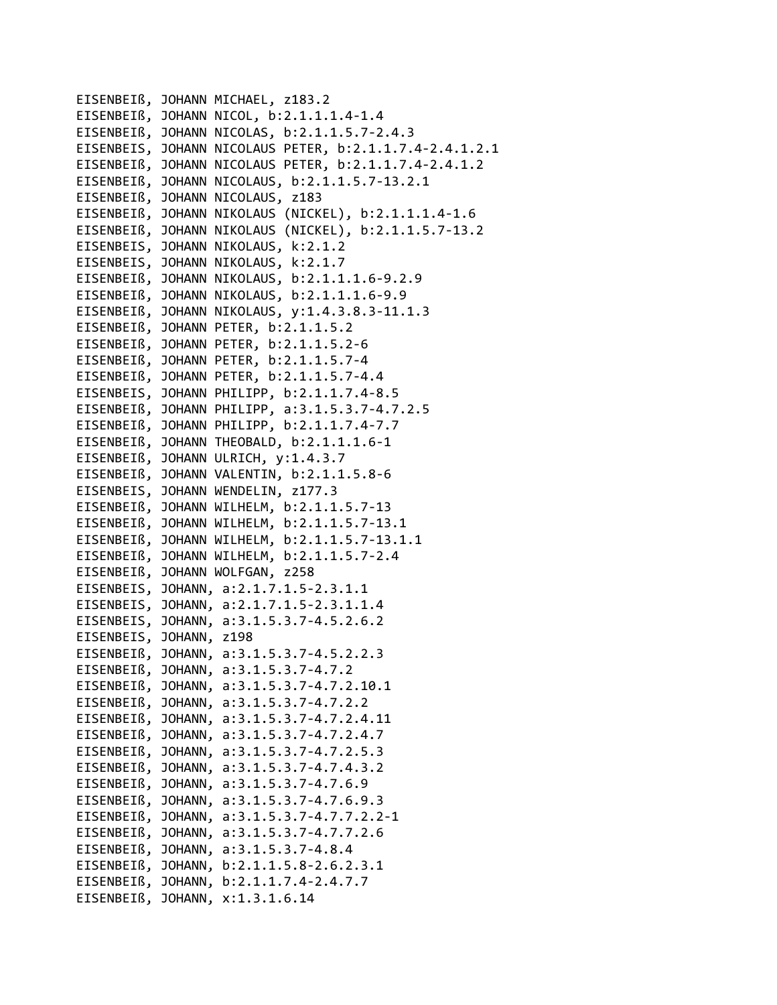EISENBEIß, JOHANN MICHAEL, z183.2 EISENBEIß, JOHANN NICOL, b:2.1.1.1.4‐1.4 EISENBEIß, JOHANN NICOLAS, b:2.1.1.5.7‐2.4.3 EISENBEIS, JOHANN NICOLAUS PETER, b:2.1.1.7.4‐2.4.1.2.1 EISENBEIß, JOHANN NICOLAUS PETER, b:2.1.1.7.4‐2.4.1.2 EISENBEIß, JOHANN NICOLAUS, b:2.1.1.5.7‐13.2.1 EISENBEIß, JOHANN NICOLAUS, z183 EISENBEIß, JOHANN NIKOLAUS (NICKEL), b:2.1.1.1.4‐1.6 EISENBEIß, JOHANN NIKOLAUS (NICKEL), b:2.1.1.5.7‐13.2 EISENBEIS, JOHANN NIKOLAUS, k:2.1.2 EISENBEIS, JOHANN NIKOLAUS, k:2.1.7 EISENBEIß, JOHANN NIKOLAUS, b:2.1.1.1.6‐9.2.9 EISENBEIß, JOHANN NIKOLAUS, b:2.1.1.1.6‐9.9 EISENBEIß, JOHANN NIKOLAUS, y:1.4.3.8.3‐11.1.3 EISENBEIß, JOHANN PETER, b:2.1.1.5.2 EISENBEIß, JOHANN PETER, b:2.1.1.5.2‐6 EISENBEIß, JOHANN PETER, b:2.1.1.5.7‐4 EISENBEIß, JOHANN PETER, b:2.1.1.5.7‐4.4 EISENBEIS, JOHANN PHILIPP, b:2.1.1.7.4‐8.5 EISENBEIß, JOHANN PHILIPP, a:3.1.5.3.7‐4.7.2.5 EISENBEIß, JOHANN PHILIPP, b:2.1.1.7.4‐7.7 EISENBEIß, JOHANN THEOBALD, b:2.1.1.1.6‐1 EISENBEIß, JOHANN ULRICH, y:1.4.3.7 EISENBEIß, JOHANN VALENTIN, b:2.1.1.5.8‐6 EISENBEIS, JOHANN WENDELIN, z177.3 EISENBEIß, JOHANN WILHELM, b:2.1.1.5.7‐13 EISENBEIß, JOHANN WILHELM, b:2.1.1.5.7‐13.1 EISENBEIß, JOHANN WILHELM, b:2.1.1.5.7‐13.1.1 EISENBEIß, JOHANN WILHELM, b:2.1.1.5.7‐2.4 EISENBEIß, JOHANN WOLFGAN, z258 EISENBEIS, JOHANN, a:2.1.7.1.5‐2.3.1.1 EISENBEIS, JOHANN, a:2.1.7.1.5‐2.3.1.1.4 EISENBEIS, JOHANN, a:3.1.5.3.7‐4.5.2.6.2 EISENBEIS, JOHANN, z198 EISENBEIß, JOHANN, a:3.1.5.3.7‐4.5.2.2.3 EISENBEIß, JOHANN, a:3.1.5.3.7‐4.7.2 EISENBEIß, JOHANN, a:3.1.5.3.7‐4.7.2.10.1 EISENBEIß, JOHANN, a:3.1.5.3.7‐4.7.2.2 EISENBEIß, JOHANN, a:3.1.5.3.7‐4.7.2.4.11 EISENBEIß, JOHANN, a:3.1.5.3.7‐4.7.2.4.7 EISENBEIß, JOHANN, a:3.1.5.3.7‐4.7.2.5.3 EISENBEIß, JOHANN, a:3.1.5.3.7‐4.7.4.3.2 EISENBEIß, JOHANN, a:3.1.5.3.7‐4.7.6.9 EISENBEIß, JOHANN, a:3.1.5.3.7‐4.7.6.9.3 EISENBEIß, JOHANN, a:3.1.5.3.7‐4.7.7.2.2‐1 EISENBEIß, JOHANN, a:3.1.5.3.7‐4.7.7.2.6 EISENBEIß, JOHANN, a:3.1.5.3.7‐4.8.4 EISENBEIß, JOHANN, b:2.1.1.5.8‐2.6.2.3.1 EISENBEIß, JOHANN, b:2.1.1.7.4‐2.4.7.7 EISENBEIß, JOHANN, x:1.3.1.6.14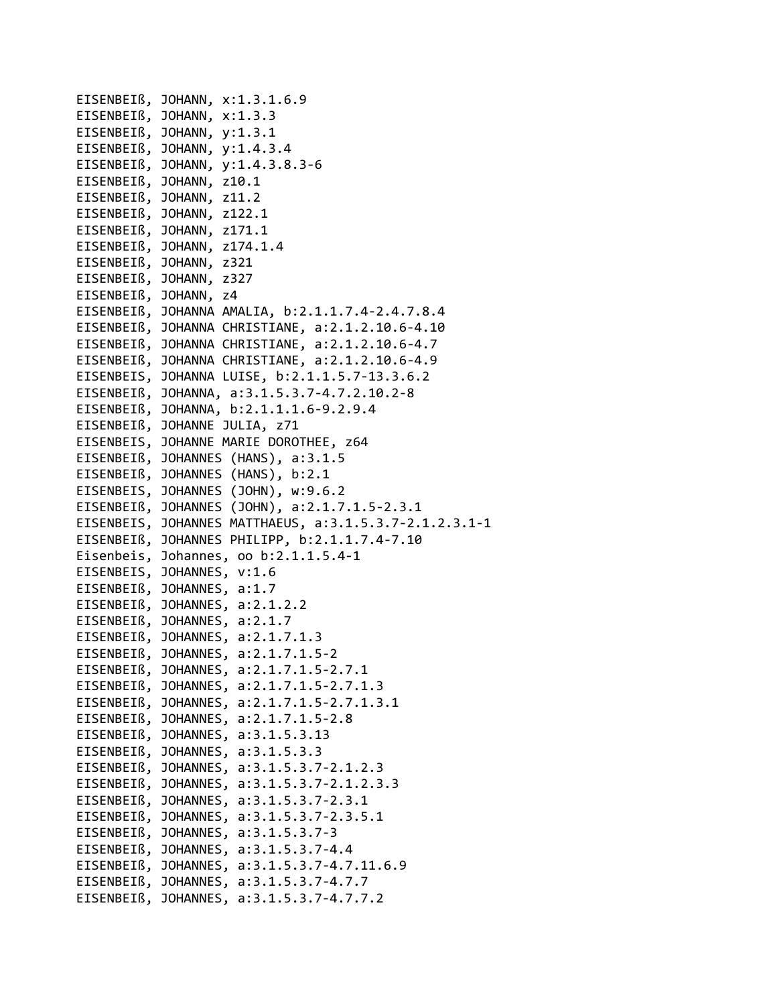|            | EISENBEIß, JOHANN, x:1.3.1.6.9                         |
|------------|--------------------------------------------------------|
| EISENBEIß, | JOHANN, x:1.3.3                                        |
| EISENBEIß, | JOHANN, y:1.3.1                                        |
| EISENBEIß, | JOHANN, y:1.4.3.4                                      |
| EISENBEIß, | JOHANN, y:1.4.3.8.3-6                                  |
| EISENBEIß, | JOHANN, z10.1                                          |
| EISENBEIß, | JOHANN, z11.2                                          |
| EISENBEIß, | JOHANN, z122.1                                         |
| EISENBEIß, | JOHANN, z171.1                                         |
|            | EISENBEIß, JOHANN, z174.1.4                            |
|            | EISENBEIß, JOHANN, z321                                |
|            | EISENBEIß, JOHANN, z327                                |
|            | EISENBEIß, JOHANN, z4                                  |
|            | EISENBEIß, JOHANNA AMALIA, b:2.1.1.7.4-2.4.7.8.4       |
|            | EISENBEIß, JOHANNA CHRISTIANE, a:2.1.2.10.6-4.10       |
|            | EISENBEIß, JOHANNA CHRISTIANE, a:2.1.2.10.6-4.7        |
|            | EISENBEIß, JOHANNA CHRISTIANE, a:2.1.2.10.6-4.9        |
|            | EISENBEIS, JOHANNA LUISE, b:2.1.1.5.7-13.3.6.2         |
| EISENBEIß, | JOHANNA, a:3.1.5.3.7-4.7.2.10.2-8                      |
| EISENBEIß, | JOHANNA, b:2.1.1.1.6-9.2.9.4                           |
| EISENBEIß, | JOHANNE JULIA, z71                                     |
| EISENBEIS, | JOHANNE MARIE DOROTHEE, z64                            |
| EISENBEIß, | JOHANNES (HANS), a:3.1.5                               |
|            | EISENBEIß, JOHANNES (HANS), b:2.1                      |
|            | EISENBEIS, JOHANNES (JOHN), w:9.6.2                    |
|            | EISENBEIß, JOHANNES (JOHN), a:2.1.7.1.5-2.3.1          |
|            | EISENBEIS, JOHANNES MATTHAEUS, a:3.1.5.3.7-2.1.2.3.1-1 |
|            | EISENBEIß, JOHANNES PHILIPP, b:2.1.1.7.4-7.10          |
| Eisenbeis, | Johannes, oo b:2.1.1.5.4-1                             |
| EISENBEIS, | JOHANNES, v:1.6                                        |
|            | EISENBEIß, JOHANNES, a:1.7                             |
|            | EISENBEIß, JOHANNES, a:2.1.2.2                         |
|            | EISENBEIß, JOHANNES, a:2.1.7                           |
|            | EISENBEIß, JOHANNES, a:2.1.7.1.3                       |
|            | EISENBEIß, JOHANNES, a:2.1.7.1.5-2                     |
|            | EISENBEIß, JOHANNES, a:2.1.7.1.5-2.7.1                 |
|            | EISENBEIß, JOHANNES, a:2.1.7.1.5-2.7.1.3               |
|            | EISENBEIß, JOHANNES, a:2.1.7.1.5-2.7.1.3.1             |
|            | EISENBEIß, JOHANNES, a:2.1.7.1.5-2.8                   |
| EISENBEIß, | JOHANNES, a:3.1.5.3.13                                 |
| EISENBEIß, | JOHANNES, a:3.1.5.3.3                                  |
| EISENBEIß, | JOHANNES, a:3.1.5.3.7-2.1.2.3                          |
| EISENBEIß, | JOHANNES, a:3.1.5.3.7-2.1.2.3.3                        |
| EISENBEIß, | JOHANNES, a:3.1.5.3.7-2.3.1                            |
| EISENBEIß, | JOHANNES, a:3.1.5.3.7-2.3.5.1                          |
| EISENBEIß, | JOHANNES, a:3.1.5.3.7-3                                |
|            | EISENBEIß, JOHANNES, a:3.1.5.3.7-4.4                   |
|            | EISENBEIß, JOHANNES, a:3.1.5.3.7-4.7.11.6.9            |
|            | EISENBEIß, JOHANNES, a:3.1.5.3.7-4.7.7                 |
|            | EISENBEIß, JOHANNES, a:3.1.5.3.7-4.7.7.2               |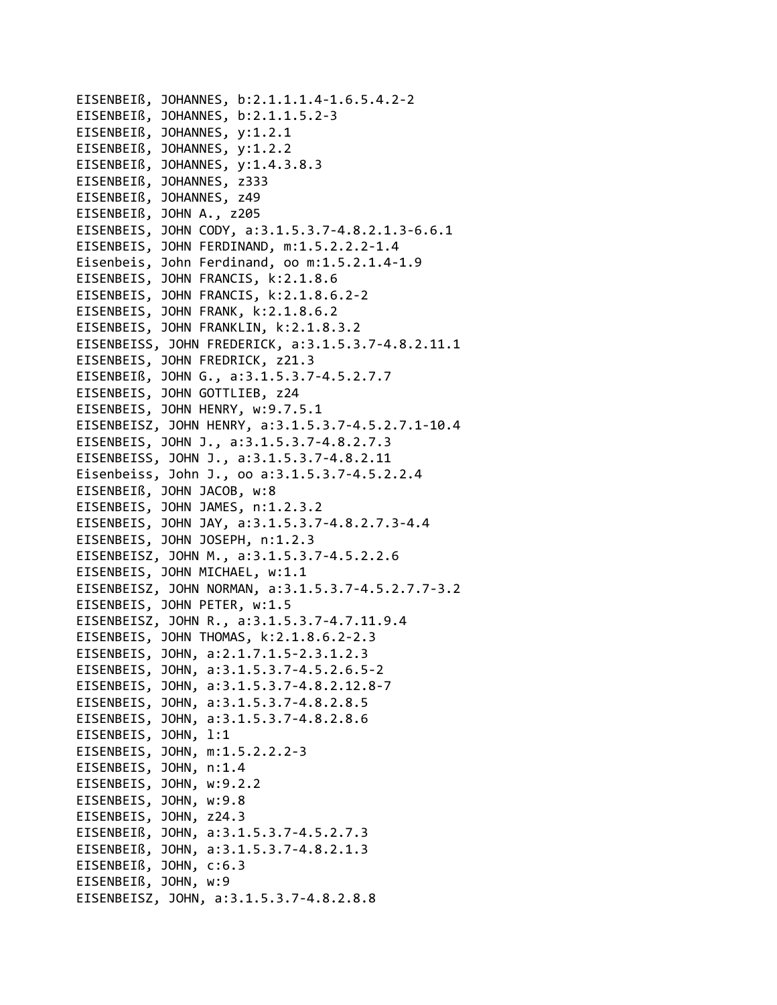EISENBEIß, JOHANNES, b:2.1.1.1.4‐1.6.5.4.2‐2 EISENBEIß, JOHANNES, b:2.1.1.5.2‐3 EISENBEIß, JOHANNES, y:1.2.1 EISENBEIß, JOHANNES, y:1.2.2 EISENBEIß, JOHANNES, y:1.4.3.8.3 EISENBEIß, JOHANNES, z333 EISENBEIß, JOHANNES, z49 EISENBEIß, JOHN A., z205 EISENBEIS, JOHN CODY, a:3.1.5.3.7‐4.8.2.1.3‐6.6.1 EISENBEIS, JOHN FERDINAND, m:1.5.2.2.2‐1.4 Eisenbeis, John Ferdinand, oo m:1.5.2.1.4‐1.9 EISENBEIS, JOHN FRANCIS, k:2.1.8.6 EISENBEIS, JOHN FRANCIS, k:2.1.8.6.2‐2 EISENBEIS, JOHN FRANK, k:2.1.8.6.2 EISENBEIS, JOHN FRANKLIN, k:2.1.8.3.2 EISENBEISS, JOHN FREDERICK, a:3.1.5.3.7‐4.8.2.11.1 EISENBEIS, JOHN FREDRICK, z21.3 EISENBEIß, JOHN G., a:3.1.5.3.7‐4.5.2.7.7 EISENBEIS, JOHN GOTTLIEB, z24 EISENBEIS, JOHN HENRY, w:9.7.5.1 EISENBEISZ, JOHN HENRY, a:3.1.5.3.7‐4.5.2.7.1‐10.4 EISENBEIS, JOHN J., a:3.1.5.3.7‐4.8.2.7.3 EISENBEISS, JOHN J., a:3.1.5.3.7‐4.8.2.11 Eisenbeiss, John J., oo a:3.1.5.3.7‐4.5.2.2.4 EISENBEIß, JOHN JACOB, w:8 EISENBEIS, JOHN JAMES, n:1.2.3.2 EISENBEIS, JOHN JAY, a:3.1.5.3.7‐4.8.2.7.3‐4.4 EISENBEIS, JOHN JOSEPH, n:1.2.3 EISENBEISZ, JOHN M., a:3.1.5.3.7‐4.5.2.2.6 EISENBEIS, JOHN MICHAEL, w:1.1 EISENBEISZ, JOHN NORMAN, a:3.1.5.3.7‐4.5.2.7.7‐3.2 EISENBEIS, JOHN PETER, w:1.5 EISENBEISZ, JOHN R., a:3.1.5.3.7‐4.7.11.9.4 EISENBEIS, JOHN THOMAS, k:2.1.8.6.2‐2.3 EISENBEIS, JOHN, a:2.1.7.1.5‐2.3.1.2.3 EISENBEIS, JOHN, a:3.1.5.3.7‐4.5.2.6.5‐2 EISENBEIS, JOHN, a:3.1.5.3.7‐4.8.2.12.8‐7 EISENBEIS, JOHN, a:3.1.5.3.7‐4.8.2.8.5 EISENBEIS, JOHN, a:3.1.5.3.7‐4.8.2.8.6 EISENBEIS, JOHN, l:1 EISENBEIS, JOHN, m:1.5.2.2.2‐3 EISENBEIS, JOHN, n:1.4 EISENBEIS, JOHN, w:9.2.2 EISENBEIS, JOHN, w:9.8 EISENBEIS, JOHN, z24.3 EISENBEIß, JOHN, a:3.1.5.3.7‐4.5.2.7.3 EISENBEIß, JOHN, a:3.1.5.3.7‐4.8.2.1.3 EISENBEIß, JOHN, c:6.3 EISENBEIß, JOHN, w:9 EISENBEISZ, JOHN, a:3.1.5.3.7‐4.8.2.8.8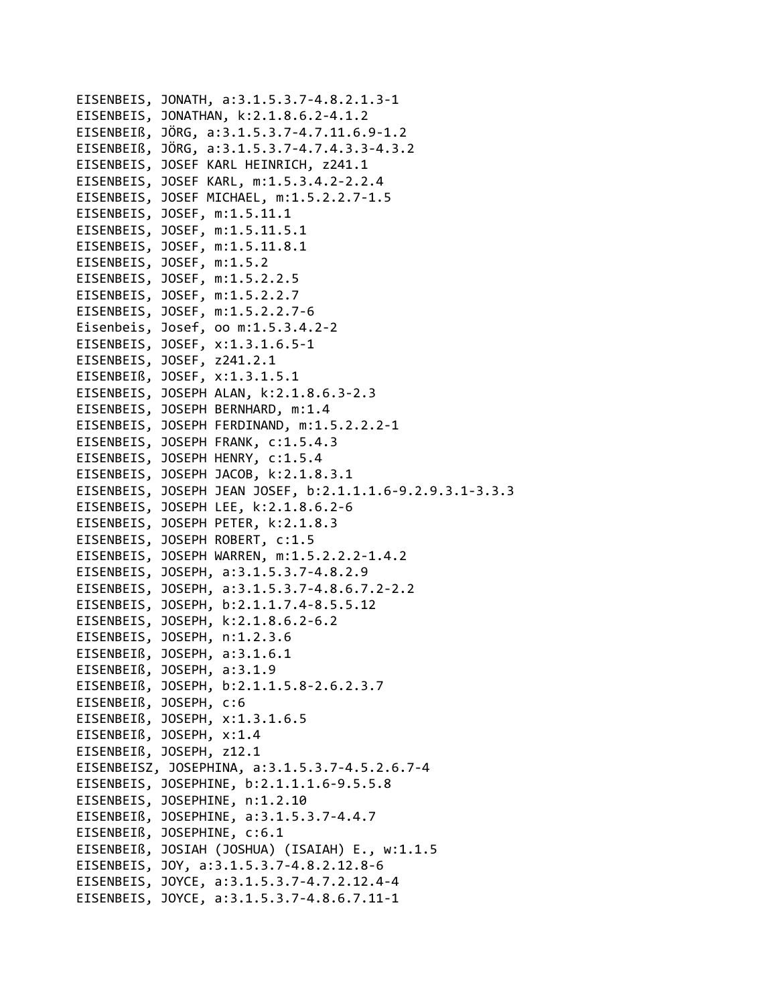```
EISENBEIS, JONATH, a:3.1.5.3.7‐4.8.2.1.3‐1
EISENBEIS, JONATHAN, k:2.1.8.6.2‐4.1.2
EISENBEIß, JÖRG, a:3.1.5.3.7‐4.7.11.6.9‐1.2
EISENBEIß, JÖRG, a:3.1.5.3.7‐4.7.4.3.3‐4.3.2
EISENBEIS, JOSEF KARL HEINRICH, z241.1
EISENBEIS, JOSEF KARL, m:1.5.3.4.2‐2.2.4
EISENBEIS, JOSEF MICHAEL, m:1.5.2.2.7‐1.5
EISENBEIS, JOSEF, m:1.5.11.1
EISENBEIS, JOSEF, m:1.5.11.5.1
EISENBEIS, JOSEF, m:1.5.11.8.1
EISENBEIS, JOSEF, m:1.5.2
EISENBEIS, JOSEF, m:1.5.2.2.5
EISENBEIS, JOSEF, m:1.5.2.2.7
EISENBEIS, JOSEF, m:1.5.2.2.7‐6
Eisenbeis, Josef, oo m:1.5.3.4.2‐2
EISENBEIS, JOSEF, x:1.3.1.6.5‐1
EISENBEIS, JOSEF, z241.2.1
EISENBEIß, JOSEF, x:1.3.1.5.1
EISENBEIS, JOSEPH ALAN, k:2.1.8.6.3‐2.3
EISENBEIS, JOSEPH BERNHARD, m:1.4
EISENBEIS, JOSEPH FERDINAND, m:1.5.2.2.2‐1
EISENBEIS, JOSEPH FRANK, c:1.5.4.3
EISENBEIS, JOSEPH HENRY, c:1.5.4
EISENBEIS, JOSEPH JACOB, k:2.1.8.3.1
EISENBEIS, JOSEPH JEAN JOSEF, b:2.1.1.1.6‐9.2.9.3.1‐3.3.3
EISENBEIS, JOSEPH LEE, k:2.1.8.6.2‐6
EISENBEIS, JOSEPH PETER, k:2.1.8.3
EISENBEIS, JOSEPH ROBERT, c:1.5
EISENBEIS, JOSEPH WARREN, m:1.5.2.2.2‐1.4.2
EISENBEIS, JOSEPH, a:3.1.5.3.7‐4.8.2.9
EISENBEIS, JOSEPH, a:3.1.5.3.7‐4.8.6.7.2‐2.2
EISENBEIS, JOSEPH, b:2.1.1.7.4‐8.5.5.12
EISENBEIS, JOSEPH, k:2.1.8.6.2‐6.2
EISENBEIS, JOSEPH, n:1.2.3.6
EISENBEIß, JOSEPH, a:3.1.6.1
EISENBEIß, JOSEPH, a:3.1.9
EISENBEIß, JOSEPH, b:2.1.1.5.8‐2.6.2.3.7
EISENBEIß, JOSEPH, c:6
EISENBEIß, JOSEPH, x:1.3.1.6.5
EISENBEIß, JOSEPH, x:1.4
EISENBEIß, JOSEPH, z12.1
EISENBEISZ, JOSEPHINA, a:3.1.5.3.7‐4.5.2.6.7‐4
EISENBEIS, JOSEPHINE, b:2.1.1.1.6‐9.5.5.8
EISENBEIS, JOSEPHINE, n:1.2.10
EISENBEIß, JOSEPHINE, a:3.1.5.3.7‐4.4.7
EISENBEIß, JOSEPHINE, c:6.1
EISENBEIß, JOSIAH (JOSHUA) (ISAIAH) E., w:1.1.5
EISENBEIS, JOY, a:3.1.5.3.7‐4.8.2.12.8‐6
EISENBEIS, JOYCE, a:3.1.5.3.7‐4.7.2.12.4‐4
EISENBEIS, JOYCE, a:3.1.5.3.7‐4.8.6.7.11‐1
```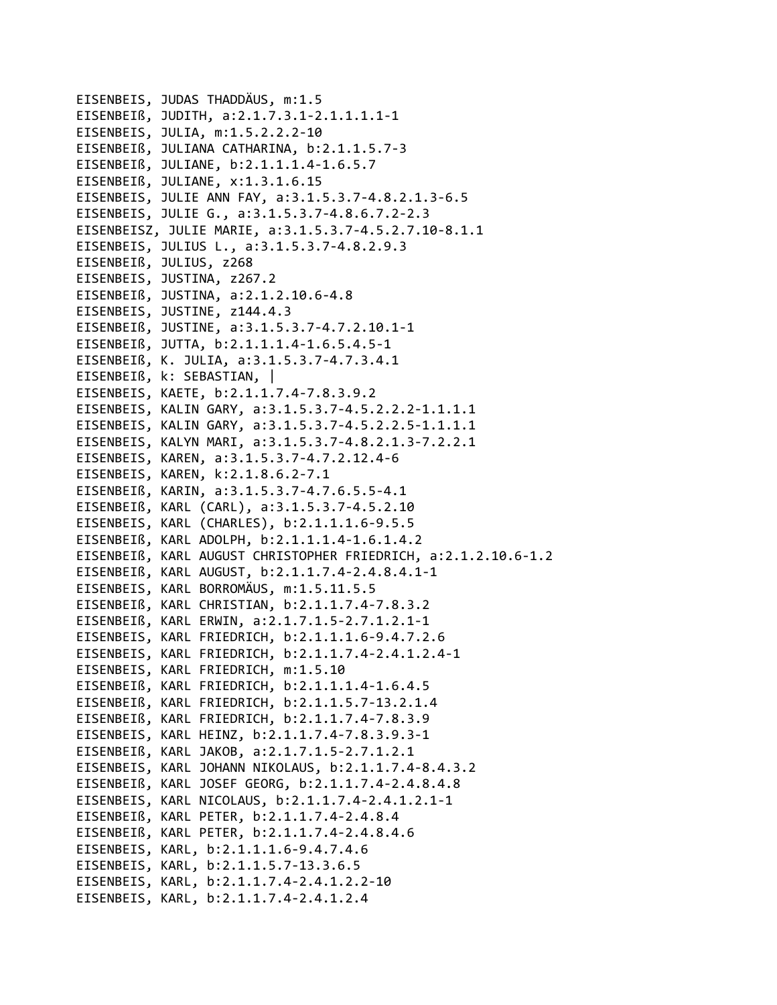```
EISENBEIS, JUDAS THADDÄUS, m:1.5
EISENBEIß, JUDITH, a:2.1.7.3.1-2.1.1.1.1-1
EISENBEIS, JULIA, m:1.5.2.2.2-10
EISENBEIß, JULIANA CATHARINA, b:2.1.1.5.7-3
EISENBEIß, JULIANE, b:2.1.1.1.4-1.6.5.7
EISENBEIß, JULIANE, x:1.3.1.6.15
EISENBEIS, JULIE ANN FAY, a:3.1.5.3.7-4.8.2.1.3-6.5
EISENBEIS, JULIE G., a:3.1.5.3.7-4.8.6.7.2-2.3
EISENBEISZ, JULIE MARIE, a:3.1.5.3.7-4.5.2.7.10-8.1.1
EISENBEIS, JULIUS L., a:3.1.5.3.7-4.8.2.9.3
EISENBEIß, JULIUS, z268
EISENBEIS, JUSTINA, z267.2
EISENBEIß, JUSTINA, a:2.1.2.10.6-4.8
EISENBEIS, JUSTINE, z144.4.3
EISENBEIß, JUSTINE, a:3.1.5.3.7-4.7.2.10.1-1
EISENBEIß, JUTTA, b:2.1.1.1.4-1.6.5.4.5-1
EISENBEIß, K. JULIA, a:3.1.5.3.7-4.7.3.4.1
EISENBEIß, k: SEBASTIAN, |
EISENBEIS, KAETE, b:2.1.1.7.4-7.8.3.9.2
EISENBEIS, KALIN GARY, a:3.1.5.3.7-4.5.2.2.2-1.1.1.1
EISENBEIS, KALIN GARY, a:3.1.5.3.7-4.5.2.2.5-1.1.1.1
EISENBEIS, KALYN MARI, a:3.1.5.3.7-4.8.2.1.3-7.2.2.1
EISENBEIS, KAREN, a:3.1.5.3.7-4.7.2.12.4-6
EISENBEIS, KAREN, k:2.1.8.6.2-7.1
EISENBEIß, KARIN, a:3.1.5.3.7-4.7.6.5.5-4.1
EISENBEIß, KARL (CARL), a:3.1.5.3.7-4.5.2.10
EISENBEIS, KARL (CHARLES), b:2.1.1.1.6-9.5.5
EISENBEIß, KARL ADOLPH, b:2.1.1.1.4-1.6.1.4.2
EISENBEIß, KARL AUGUST CHRISTOPHER FRIEDRICH, a:2.1.2.10.6-1.2
EISENBEIß, KARL AUGUST, b:2.1.1.7.4-2.4.8.4.1-1
EISENBEIS, KARL BORROMÄUS, m:1.5.11.5.5
EISENBEIß, KARL CHRISTIAN, b:2.1.1.7.4-7.8.3.2
EISENBEIß, KARL ERWIN, a:2.1.7.1.5-2.7.1.2.1-1
EISENBEIS, KARL FRIEDRICH, b:2.1.1.1.6-9.4.7.2.6
EISENBEIS, KARL FRIEDRICH, b:2.1.1.7.4-2.4.1.2.4-1
EISENBEIS, KARL FRIEDRICH, m:1.5.10
EISENBEIß, KARL FRIEDRICH, b:2.1.1.1.4-1.6.4.5
EISENBEIß, KARL FRIEDRICH, b:2.1.1.5.7-13.2.1.4
EISENBEIß, KARL FRIEDRICH, b:2.1.1.7.4-7.8.3.9
EISENBEIS, KARL HEINZ, b:2.1.1.7.4-7.8.3.9.3-1
EISENBEIß, KARL JAKOB, a:2.1.7.1.5-2.7.1.2.1
EISENBEIS, KARL JOHANN NIKOLAUS, b:2.1.1.7.4-8.4.3.2
EISENBEIß, KARL JOSEF GEORG, b:2.1.1.7.4-2.4.8.4.8
EISENBEIS, KARL NICOLAUS, b:2.1.1.7.4-2.4.1.2.1-1
EISENBEIß, KARL PETER, b:2.1.1.7.4-2.4.8.4
EISENBEIß, KARL PETER, b:2.1.1.7.4-2.4.8.4.6
EISENBEIS, KARL, b:2.1.1.1.6-9.4.7.4.6
EISENBEIS, KARL, b:2.1.1.5.7-13.3.6.5
EISENBEIS, KARL, b:2.1.1.7.4-2.4.1.2.2-10
EISENBEIS, KARL, b:2.1.1.7.4-2.4.1.2.4
```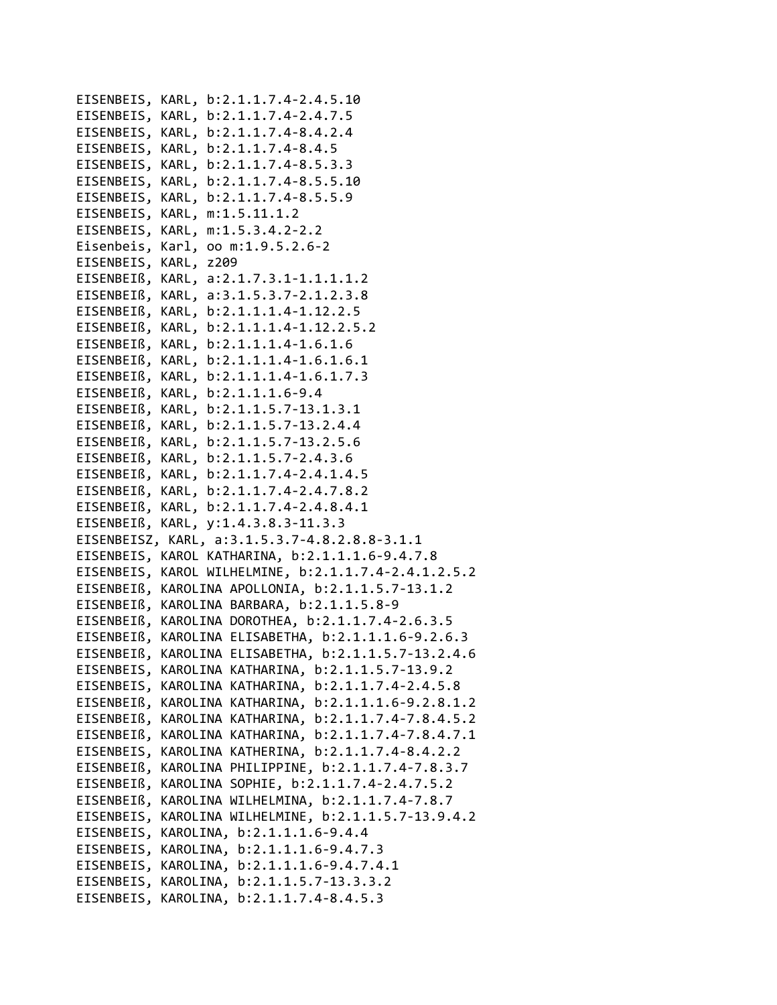```
EISENBEIS, KARL, b:2.1.1.7.4-2.4.5.10
EISENBEIS, KARL, b:2.1.1.7.4-2.4.7.5
EISENBEIS, KARL, b:2.1.1.7.4-8.4.2.4
EISENBEIS, KARL, b:2.1.1.7.4-8.4.5
EISENBEIS, KARL, b:2.1.1.7.4-8.5.3.3
EISENBEIS, KARL, b:2.1.1.7.4-8.5.5.10
EISENBEIS, KARL, b:2.1.1.7.4-8.5.5.9
EISENBEIS, KARL, m:1.5.11.1.2
EISENBEIS, KARL, m:1.5.3.4.2-2.2
Eisenbeis, Karl, oo m:1.9.5.2.6-2
EISENBEIS, KARL, z209
EISENBEIß, KARL, a:2.1.7.3.1-1.1.1.1.2
EISENBEIß, KARL, a:3.1.5.3.7-2.1.2.3.8
EISENBEIß, KARL, b:2.1.1.1.4-1.12.2.5
EISENBEIß, KARL, b:2.1.1.1.4-1.12.2.5.2
EISENBEIß, KARL, b:2.1.1.1.4-1.6.1.6
EISENBEIß, KARL, b:2.1.1.1.4-1.6.1.6.1
EISENBEIß, KARL, b:2.1.1.1.4-1.6.1.7.3
EISENBEIß, KARL, b:2.1.1.1.6-9.4
EISENBEIß, KARL, b:2.1.1.5.7-13.1.3.1
EISENBEIß, KARL, b:2.1.1.5.7-13.2.4.4
EISENBEIß, KARL, b:2.1.1.5.7-13.2.5.6
EISENBEIß, KARL, b:2.1.1.5.7-2.4.3.6
EISENBEIß, KARL, b:2.1.1.7.4-2.4.1.4.5
EISENBEIß, KARL, b:2.1.1.7.4-2.4.7.8.2
EISENBEIß, KARL, b:2.1.1.7.4-2.4.8.4.1
EISENBEIß, KARL, y:1.4.3.8.3-11.3.3
EISENBEISZ, KARL, a:3.1.5.3.7-4.8.2.8.8-3.1.1
EISENBEIS, KAROL KATHARINA, b:2.1.1.1.6-9.4.7.8
EISENBEIS, KAROL WILHELMINE, b:2.1.1.7.4-2.4.1.2.5.2
EISENBEIß, KAROLINA APOLLONIA, b:2.1.1.5.7-13.1.2
EISENBEIß, KAROLINA BARBARA, b:2.1.1.5.8-9
EISENBEIß, KAROLINA DOROTHEA, b:2.1.1.7.4-2.6.3.5
EISENBEIß, KAROLINA ELISABETHA, b:2.1.1.1.6-9.2.6.3
EISENBEIß, KAROLINA ELISABETHA, b:2.1.1.5.7-13.2.4.6
EISENBEIS, KAROLINA KATHARINA, b:2.1.1.5.7-13.9.2
EISENBEIS, KAROLINA KATHARINA, b:2.1.1.7.4-2.4.5.8
EISENBEIß, KAROLINA KATHARINA, b:2.1.1.1.6-9.2.8.1.2
EISENBEIß, KAROLINA KATHARINA, b:2.1.1.7.4-7.8.4.5.2
EISENBEIß, KAROLINA KATHARINA, b:2.1.1.7.4-7.8.4.7.1
EISENBEIS, KAROLINA KATHERINA, b:2.1.1.7.4-8.4.2.2
EISENBEIß, KAROLINA PHILIPPINE, b:2.1.1.7.4-7.8.3.7
EISENBEIß, KAROLINA SOPHIE, b:2.1.1.7.4-2.4.7.5.2
EISENBEIß, KAROLINA WILHELMINA, b:2.1.1.7.4-7.8.7
EISENBEIS, KAROLINA WILHELMINE, b:2.1.1.5.7-13.9.4.2
EISENBEIS, KAROLINA, b:2.1.1.1.6-9.4.4
EISENBEIS, KAROLINA, b:2.1.1.1.6-9.4.7.3
EISENBEIS, KAROLINA, b:2.1.1.1.6-9.4.7.4.1
EISENBEIS, KAROLINA, b:2.1.1.5.7-13.3.3.2
EISENBEIS, KAROLINA, b:2.1.1.7.4-8.4.5.3
```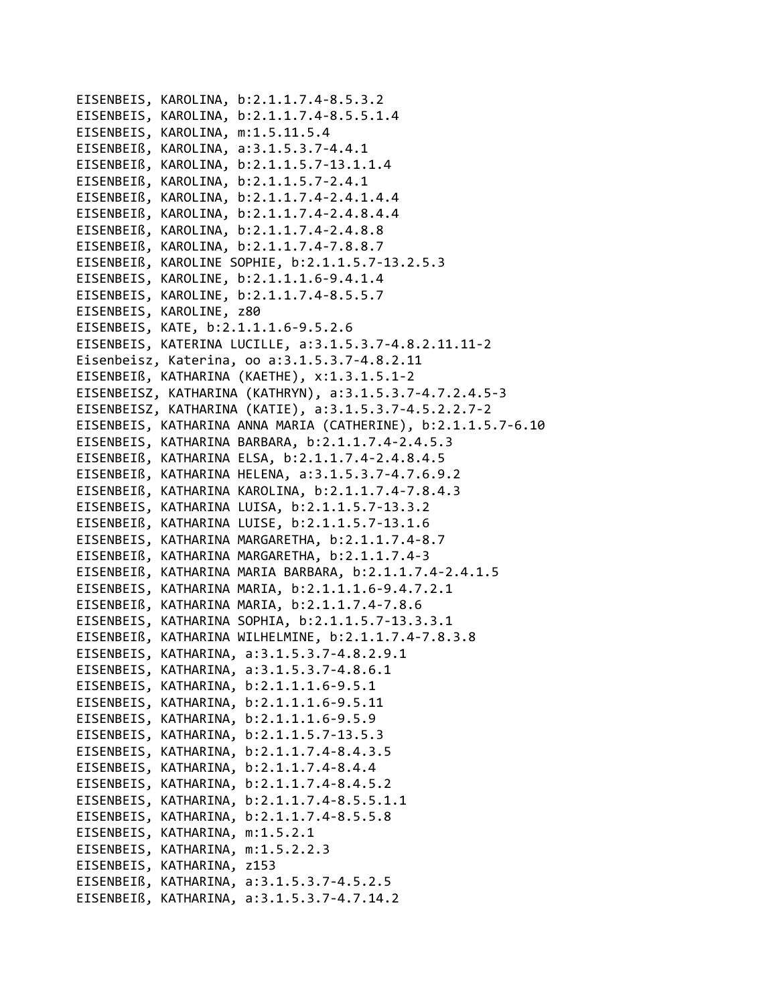```
EISENBEIS, KAROLINA, b:2.1.1.7.4‐8.5.3.2
EISENBEIS, KAROLINA, b:2.1.1.7.4‐8.5.5.1.4
EISENBEIS, KAROLINA, m:1.5.11.5.4
EISENBEIß, KAROLINA, a:3.1.5.3.7‐4.4.1
EISENBEIß, KAROLINA, b:2.1.1.5.7‐13.1.1.4
EISENBEIß, KAROLINA, b:2.1.1.5.7‐2.4.1
EISENBEIß, KAROLINA, b:2.1.1.7.4‐2.4.1.4.4
EISENBEIß, KAROLINA, b:2.1.1.7.4‐2.4.8.4.4
EISENBEIß, KAROLINA, b:2.1.1.7.4‐2.4.8.8
EISENBEIß, KAROLINA, b:2.1.1.7.4‐7.8.8.7
EISENBEIß, KAROLINE SOPHIE, b:2.1.1.5.7‐13.2.5.3
EISENBEIS, KAROLINE, b:2.1.1.1.6‐9.4.1.4
EISENBEIS, KAROLINE, b:2.1.1.7.4‐8.5.5.7
EISENBEIS, KAROLINE, z80
EISENBEIS, KATE, b:2.1.1.1.6‐9.5.2.6
EISENBEIS, KATERINA LUCILLE, a:3.1.5.3.7‐4.8.2.11.11‐2
Eisenbeisz, Katerina, oo a:3.1.5.3.7‐4.8.2.11
EISENBEIß, KATHARINA (KAETHE), x:1.3.1.5.1‐2
EISENBEISZ, KATHARINA (KATHRYN), a:3.1.5.3.7‐4.7.2.4.5‐3
EISENBEISZ, KATHARINA (KATIE), a:3.1.5.3.7‐4.5.2.2.7‐2
EISENBEIS, KATHARINA ANNA MARIA (CATHERINE), b:2.1.1.5.7‐6.10
EISENBEIS, KATHARINA BARBARA, b:2.1.1.7.4‐2.4.5.3
EISENBEIß, KATHARINA ELSA, b:2.1.1.7.4‐2.4.8.4.5
EISENBEIß, KATHARINA HELENA, a:3.1.5.3.7‐4.7.6.9.2
EISENBEIß, KATHARINA KAROLINA, b:2.1.1.7.4‐7.8.4.3
EISENBEIS, KATHARINA LUISA, b:2.1.1.5.7‐13.3.2
EISENBEIß, KATHARINA LUISE, b:2.1.1.5.7‐13.1.6
EISENBEIS, KATHARINA MARGARETHA, b:2.1.1.7.4‐8.7
EISENBEIß, KATHARINA MARGARETHA, b:2.1.1.7.4‐3
EISENBEIß, KATHARINA MARIA BARBARA, b:2.1.1.7.4‐2.4.1.5
EISENBEIS, KATHARINA MARIA, b:2.1.1.1.6‐9.4.7.2.1
EISENBEIß, KATHARINA MARIA, b:2.1.1.7.4‐7.8.6
EISENBEIS, KATHARINA SOPHIA, b:2.1.1.5.7‐13.3.3.1
EISENBEIß, KATHARINA WILHELMINE, b:2.1.1.7.4‐7.8.3.8
EISENBEIS, KATHARINA, a:3.1.5.3.7‐4.8.2.9.1
EISENBEIS, KATHARINA, a:3.1.5.3.7‐4.8.6.1
EISENBEIS, KATHARINA, b:2.1.1.1.6‐9.5.1
EISENBEIS, KATHARINA, b:2.1.1.1.6‐9.5.11
EISENBEIS, KATHARINA, b:2.1.1.1.6‐9.5.9
EISENBEIS, KATHARINA, b:2.1.1.5.7‐13.5.3
EISENBEIS, KATHARINA, b:2.1.1.7.4‐8.4.3.5
EISENBEIS, KATHARINA, b:2.1.1.7.4‐8.4.4
EISENBEIS, KATHARINA, b:2.1.1.7.4‐8.4.5.2
EISENBEIS, KATHARINA, b:2.1.1.7.4‐8.5.5.1.1
EISENBEIS, KATHARINA, b:2.1.1.7.4‐8.5.5.8
EISENBEIS, KATHARINA, m:1.5.2.1
EISENBEIS, KATHARINA, m:1.5.2.2.3
EISENBEIS, KATHARINA, z153
EISENBEIß, KATHARINA, a:3.1.5.3.7‐4.5.2.5
EISENBEIß, KATHARINA, a:3.1.5.3.7‐4.7.14.2
```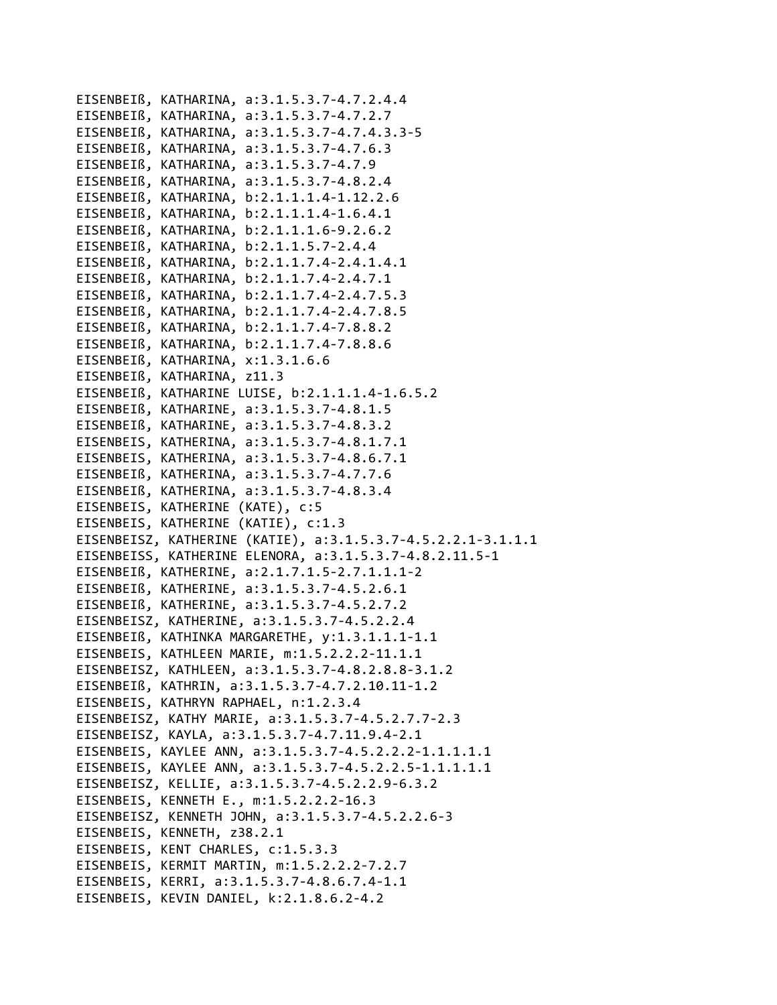```
EISENBEIß, KATHARINA, a:3.1.5.3.7‐4.7.2.4.4
EISENBEIß, KATHARINA, a:3.1.5.3.7‐4.7.2.7
EISENBEIß, KATHARINA, a:3.1.5.3.7‐4.7.4.3.3‐5
EISENBEIß, KATHARINA, a:3.1.5.3.7‐4.7.6.3
EISENBEIß, KATHARINA, a:3.1.5.3.7‐4.7.9
EISENBEIß, KATHARINA, a:3.1.5.3.7‐4.8.2.4
EISENBEIß, KATHARINA, b:2.1.1.1.4‐1.12.2.6
EISENBEIß, KATHARINA, b:2.1.1.1.4‐1.6.4.1
EISENBEIß, KATHARINA, b:2.1.1.1.6‐9.2.6.2
EISENBEIß, KATHARINA, b:2.1.1.5.7‐2.4.4
EISENBEIß, KATHARINA, b:2.1.1.7.4‐2.4.1.4.1
EISENBEIß, KATHARINA, b:2.1.1.7.4‐2.4.7.1
EISENBEIß, KATHARINA, b:2.1.1.7.4‐2.4.7.5.3
EISENBEIß, KATHARINA, b:2.1.1.7.4‐2.4.7.8.5
EISENBEIß, KATHARINA, b:2.1.1.7.4‐7.8.8.2
EISENBEIß, KATHARINA, b:2.1.1.7.4‐7.8.8.6
EISENBEIß, KATHARINA, x:1.3.1.6.6
EISENBEIß, KATHARINA, z11.3
EISENBEIß, KATHARINE LUISE, b:2.1.1.1.4‐1.6.5.2
EISENBEIß, KATHARINE, a:3.1.5.3.7‐4.8.1.5
EISENBEIß, KATHARINE, a:3.1.5.3.7‐4.8.3.2
EISENBEIS, KATHERINA, a:3.1.5.3.7‐4.8.1.7.1
EISENBEIS, KATHERINA, a:3.1.5.3.7‐4.8.6.7.1
EISENBEIß, KATHERINA, a:3.1.5.3.7‐4.7.7.6
EISENBEIß, KATHERINA, a:3.1.5.3.7‐4.8.3.4
EISENBEIS, KATHERINE (KATE), c:5
EISENBEIS, KATHERINE (KATIE), c:1.3
EISENBEISZ, KATHERINE (KATIE), a:3.1.5.3.7‐4.5.2.2.1‐3.1.1.1
EISENBEISS, KATHERINE ELENORA, a:3.1.5.3.7‐4.8.2.11.5‐1
EISENBEIß, KATHERINE, a:2.1.7.1.5‐2.7.1.1.1‐2
EISENBEIß, KATHERINE, a:3.1.5.3.7‐4.5.2.6.1
EISENBEIß, KATHERINE, a:3.1.5.3.7‐4.5.2.7.2
EISENBEISZ, KATHERINE, a:3.1.5.3.7‐4.5.2.2.4
EISENBEIß, KATHINKA MARGARETHE, y:1.3.1.1.1‐1.1
EISENBEIS, KATHLEEN MARIE, m:1.5.2.2.2‐11.1.1
EISENBEISZ, KATHLEEN, a:3.1.5.3.7‐4.8.2.8.8‐3.1.2
EISENBEIß, KATHRIN, a:3.1.5.3.7‐4.7.2.10.11‐1.2
EISENBEIS, KATHRYN RAPHAEL, n:1.2.3.4
EISENBEISZ, KATHY MARIE, a:3.1.5.3.7‐4.5.2.7.7‐2.3
EISENBEISZ, KAYLA, a:3.1.5.3.7‐4.7.11.9.4‐2.1
EISENBEIS, KAYLEE ANN, a:3.1.5.3.7‐4.5.2.2.2‐1.1.1.1.1
EISENBEIS, KAYLEE ANN, a:3.1.5.3.7‐4.5.2.2.5‐1.1.1.1.1
EISENBEISZ, KELLIE, a:3.1.5.3.7‐4.5.2.2.9‐6.3.2
EISENBEIS, KENNETH E., m:1.5.2.2.2‐16.3
EISENBEISZ, KENNETH JOHN, a:3.1.5.3.7‐4.5.2.2.6‐3
EISENBEIS, KENNETH, z38.2.1
EISENBEIS, KENT CHARLES, c:1.5.3.3
EISENBEIS, KERMIT MARTIN, m:1.5.2.2.2‐7.2.7
EISENBEIS, KERRI, a:3.1.5.3.7‐4.8.6.7.4‐1.1
EISENBEIS, KEVIN DANIEL, k:2.1.8.6.2‐4.2
```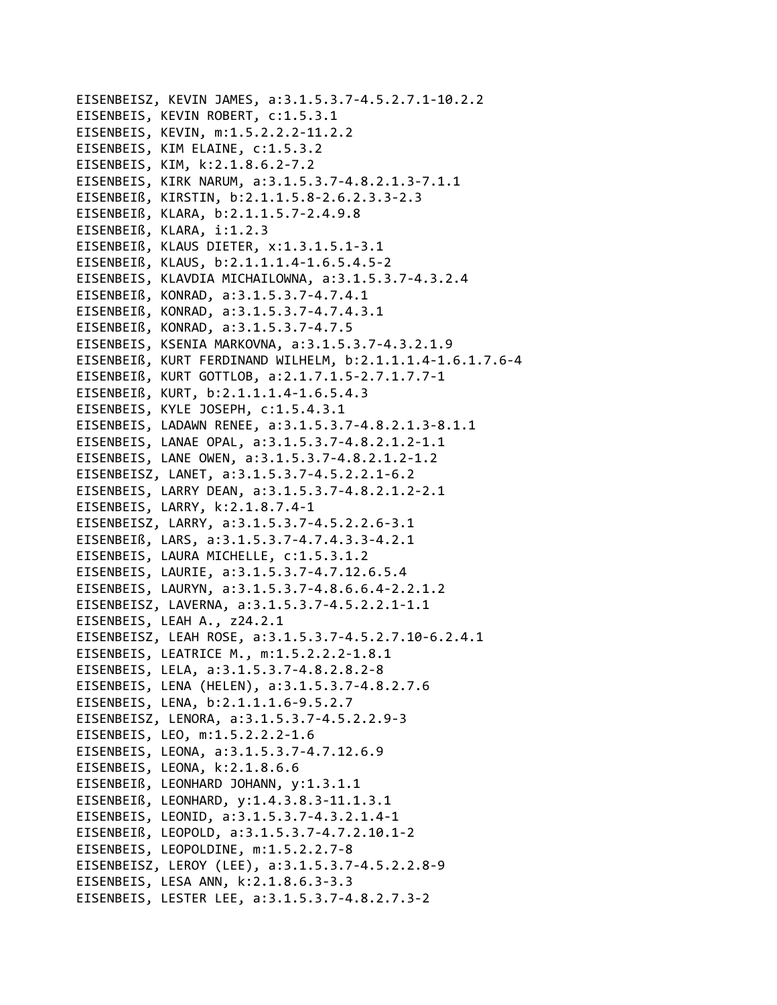EISENBEISZ, KEVIN JAMES, a:3.1.5.3.7-4.5.2.7.1-10.2.2 EISENBEIS, KEVIN ROBERT, c:1.5.3.1 EISENBEIS, KEVIN, m:1.5.2.2.2-11.2.2 EISENBEIS, KIM ELAINE, c:1.5.3.2 EISENBEIS, KIM, k:2.1.8.6.2-7.2 EISENBEIS, KIRK NARUM, a:3.1.5.3.7-4.8.2.1.3-7.1.1 EISENBEIß, KIRSTIN, b:2.1.1.5.8-2.6.2.3.3-2.3 EISENBEIß, KLARA, b:2.1.1.5.7-2.4.9.8 EISENBEIß, KLARA, i:1.2.3 EISENBEIß, KLAUS DIETER, x:1.3.1.5.1-3.1 EISENBEIß, KLAUS, b:2.1.1.1.4-1.6.5.4.5-2 EISENBEIS, KLAVDIA MICHAILOWNA, a:3.1.5.3.7-4.3.2.4 EISENBEIß, KONRAD, a:3.1.5.3.7-4.7.4.1 EISENBEIß, KONRAD, a:3.1.5.3.7-4.7.4.3.1 EISENBEIß, KONRAD, a:3.1.5.3.7-4.7.5 EISENBEIS, KSENIA MARKOVNA, a:3.1.5.3.7-4.3.2.1.9 EISENBEIß, KURT FERDINAND WILHELM, b:2.1.1.1.4-1.6.1.7.6-4 EISENBEIß, KURT GOTTLOB, a:2.1.7.1.5-2.7.1.7.7-1 EISENBEIß, KURT, b:2.1.1.1.4-1.6.5.4.3 EISENBEIS, KYLE JOSEPH, c:1.5.4.3.1 EISENBEIS, LADAWN RENEE, a:3.1.5.3.7-4.8.2.1.3-8.1.1 EISENBEIS, LANAE OPAL, a:3.1.5.3.7-4.8.2.1.2-1.1 EISENBEIS, LANE OWEN, a:3.1.5.3.7-4.8.2.1.2-1.2 EISENBEISZ, LANET, a:3.1.5.3.7-4.5.2.2.1-6.2 EISENBEIS, LARRY DEAN, a:3.1.5.3.7-4.8.2.1.2-2.1 EISENBEIS, LARRY, k:2.1.8.7.4-1 EISENBEISZ, LARRY, a:3.1.5.3.7-4.5.2.2.6-3.1 EISENBEIß, LARS, a:3.1.5.3.7-4.7.4.3.3-4.2.1 EISENBEIS, LAURA MICHELLE, c:1.5.3.1.2 EISENBEIS, LAURIE, a:3.1.5.3.7-4.7.12.6.5.4 EISENBEIS, LAURYN, a:3.1.5.3.7-4.8.6.6.4-2.2.1.2 EISENBEISZ, LAVERNA, a:3.1.5.3.7-4.5.2.2.1-1.1 EISENBEIS, LEAH A., z24.2.1 EISENBEISZ, LEAH ROSE, a:3.1.5.3.7-4.5.2.7.10-6.2.4.1 EISENBEIS, LEATRICE M., m:1.5.2.2.2-1.8.1 EISENBEIS, LELA, a:3.1.5.3.7-4.8.2.8.2-8 EISENBEIS, LENA (HELEN), a:3.1.5.3.7-4.8.2.7.6 EISENBEIS, LENA, b:2.1.1.1.6-9.5.2.7 EISENBEISZ, LENORA, a:3.1.5.3.7-4.5.2.2.9-3 EISENBEIS, LEO, m:1.5.2.2.2-1.6 EISENBEIS, LEONA, a:3.1.5.3.7-4.7.12.6.9 EISENBEIS, LEONA, k:2.1.8.6.6 EISENBEIß, LEONHARD JOHANN, v:1.3.1.1 EISENBEIß, LEONHARD, y:1.4.3.8.3-11.1.3.1 EISENBEIS, LEONID, a:3.1.5.3.7-4.3.2.1.4-1 EISENBEIß, LEOPOLD, a:3.1.5.3.7-4.7.2.10.1-2 EISENBEIS, LEOPOLDINE, m:1.5.2.2.7-8 EISENBEISZ, LEROY (LEE), a:3.1.5.3.7-4.5.2.2.8-9 EISENBEIS, LESA ANN, k:2.1.8.6.3-3.3 EISENBEIS, LESTER LEE, a:3.1.5.3.7-4.8.2.7.3-2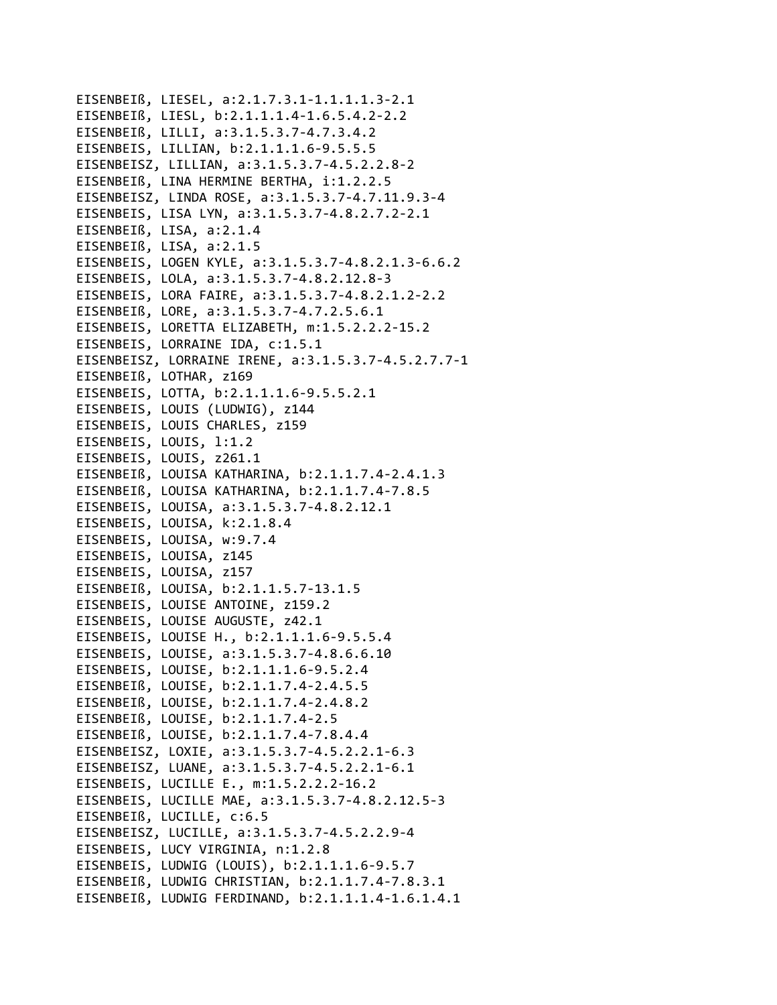EISENBEIß, LIESEL, a:2.1.7.3.1-1.1.1.1.3-2.1 EISENBEIß, LIESL, b:2.1.1.1.4-1.6.5.4.2-2.2 EISENBEIß, LILLI, a:3.1.5.3.7-4.7.3.4.2 EISENBEIS, LILLIAN, b:2.1.1.1.6-9.5.5.5 EISENBEISZ, LILLIAN, a:3.1.5.3.7-4.5.2.2.8-2 EISENBEIß, LINA HERMINE BERTHA, i:1.2.2.5 EISENBEISZ, LINDA ROSE, a:3.1.5.3.7-4.7.11.9.3-4 EISENBEIS, LISA LYN, a:3.1.5.3.7-4.8.2.7.2-2.1 EISENBEIß, LISA, a:2.1.4 EISENBEIß, LISA, a:2.1.5 EISENBEIS, LOGEN KYLE, a:3.1.5.3.7-4.8.2.1.3-6.6.2 EISENBEIS, LOLA, a:3.1.5.3.7-4.8.2.12.8-3 EISENBEIS, LORA FAIRE, a:3.1.5.3.7-4.8.2.1.2-2.2 EISENBEIß, LORE, a:3.1.5.3.7-4.7.2.5.6.1 EISENBEIS, LORETTA ELIZABETH, m:1.5.2.2.2-15.2 EISENBEIS, LORRAINE IDA, c:1.5.1 EISENBEISZ, LORRAINE IRENE, a:3.1.5.3.7-4.5.2.7.7-1 EISENBEIß, LOTHAR, z169 EISENBEIS, LOTTA, b:2.1.1.1.6-9.5.5.2.1 EISENBEIS, LOUIS (LUDWIG), z144 EISENBEIS, LOUIS CHARLES, z159 EISENBEIS, LOUIS, 1:1.2 EISENBEIS, LOUIS, z261.1 EISENBEIß, LOUISA KATHARINA, b:2.1.1.7.4-2.4.1.3 EISENBEIß, LOUISA KATHARINA, b:2.1.1.7.4-7.8.5 EISENBEIS, LOUISA, a:3.1.5.3.7-4.8.2.12.1 EISENBEIS, LOUISA, k:2.1.8.4 EISENBEIS, LOUISA, w:9.7.4 EISENBEIS, LOUISA, z145 EISENBEIS, LOUISA, z157 EISENBEIß, LOUISA, b:2.1.1.5.7-13.1.5 EISENBEIS, LOUISE ANTOINE, z159.2 EISENBEIS, LOUISE AUGUSTE, z42.1 EISENBEIS, LOUISE H., b:2.1.1.1.6-9.5.5.4 EISENBEIS, LOUISE, a:3.1.5.3.7-4.8.6.6.10 EISENBEIS, LOUISE, b:2.1.1.1.6-9.5.2.4 EISENBEIß, LOUISE, b:2.1.1.7.4-2.4.5.5 EISENBEIß, LOUISE, b:2.1.1.7.4-2.4.8.2 EISENBEIß, LOUISE, b:2.1.1.7.4-2.5 EISENBEIß, LOUISE, b:2.1.1.7.4-7.8.4.4 EISENBEISZ, LOXIE, a:3.1.5.3.7-4.5.2.2.1-6.3 EISENBEISZ, LUANE, a:3.1.5.3.7-4.5.2.2.1-6.1 EISENBEIS, LUCILLE E., m:1.5.2.2.2-16.2 EISENBEIS, LUCILLE MAE, a:3.1.5.3.7-4.8.2.12.5-3 EISENBEIß, LUCILLE, c:6.5 EISENBEISZ, LUCILLE, a:3.1.5.3.7-4.5.2.2.9-4 EISENBEIS, LUCY VIRGINIA, n:1.2.8 EISENBEIS, LUDWIG (LOUIS), b:2.1.1.1.6-9.5.7 EISENBEIß, LUDWIG CHRISTIAN, b:2.1.1.7.4-7.8.3.1 EISENBEIß, LUDWIG FERDINAND, b:2.1.1.1.4-1.6.1.4.1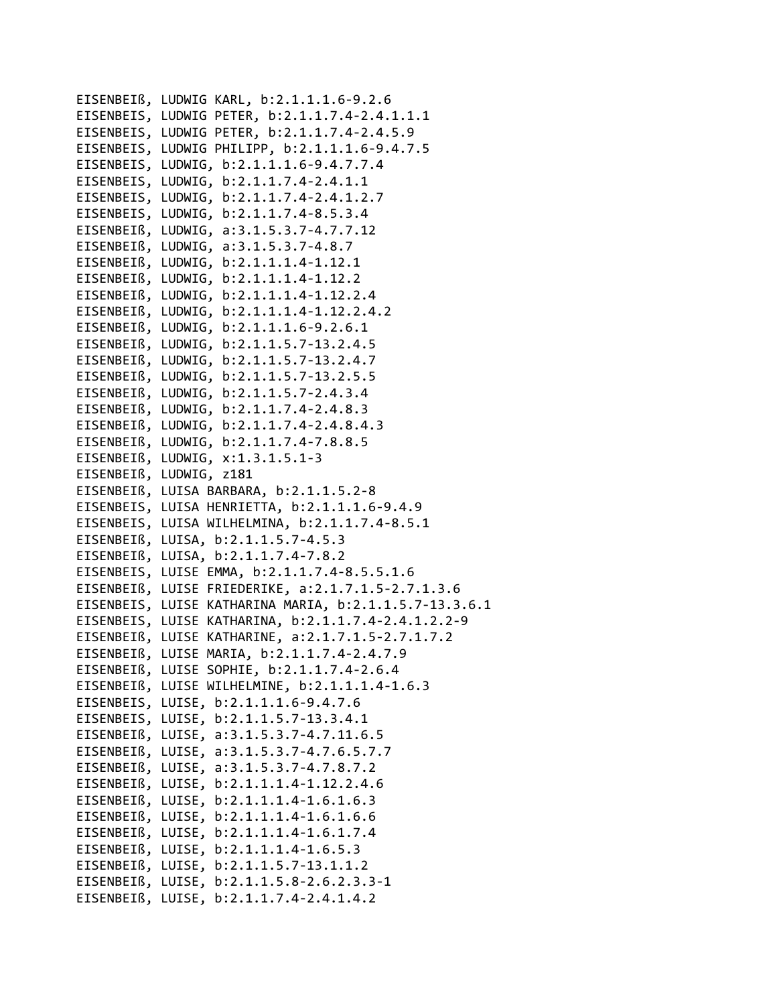EISENBEIß, LUDWIG KARL, b:2.1.1.1.6‐9.2.6 EISENBEIS, LUDWIG PETER, b:2.1.1.7.4‐2.4.1.1.1 EISENBEIS, LUDWIG PETER, b:2.1.1.7.4‐2.4.5.9 EISENBEIS, LUDWIG PHILIPP, b:2.1.1.1.6‐9.4.7.5 EISENBEIS, LUDWIG, b:2.1.1.1.6‐9.4.7.7.4 EISENBEIS, LUDWIG, b:2.1.1.7.4‐2.4.1.1 EISENBEIS, LUDWIG, b:2.1.1.7.4‐2.4.1.2.7 EISENBEIS, LUDWIG, b:2.1.1.7.4‐8.5.3.4 EISENBEIß, LUDWIG, a:3.1.5.3.7‐4.7.7.12 EISENBEIß, LUDWIG, a:3.1.5.3.7‐4.8.7 EISENBEIß, LUDWIG, b:2.1.1.1.4‐1.12.1 EISENBEIß, LUDWIG, b:2.1.1.1.4‐1.12.2 EISENBEIß, LUDWIG, b:2.1.1.1.4‐1.12.2.4 EISENBEIß, LUDWIG, b:2.1.1.1.4‐1.12.2.4.2 EISENBEIß, LUDWIG, b:2.1.1.1.6‐9.2.6.1 EISENBEIß, LUDWIG, b:2.1.1.5.7‐13.2.4.5 EISENBEIß, LUDWIG, b:2.1.1.5.7‐13.2.4.7 EISENBEIß, LUDWIG, b:2.1.1.5.7‐13.2.5.5 EISENBEIß, LUDWIG, b:2.1.1.5.7‐2.4.3.4 EISENBEIß, LUDWIG, b:2.1.1.7.4‐2.4.8.3 EISENBEIß, LUDWIG, b:2.1.1.7.4‐2.4.8.4.3 EISENBEIß, LUDWIG, b:2.1.1.7.4‐7.8.8.5 EISENBEIß, LUDWIG, x:1.3.1.5.1‐3 EISENBEIß, LUDWIG, z181 EISENBEIß, LUISA BARBARA, b:2.1.1.5.2‐8 EISENBEIS, LUISA HENRIETTA, b:2.1.1.1.6‐9.4.9 EISENBEIS, LUISA WILHELMINA, b:2.1.1.7.4‐8.5.1 EISENBEIß, LUISA, b:2.1.1.5.7‐4.5.3 EISENBEIß, LUISA, b:2.1.1.7.4‐7.8.2 EISENBEIS, LUISE EMMA, b:2.1.1.7.4‐8.5.5.1.6 EISENBEIß, LUISE FRIEDERIKE, a:2.1.7.1.5‐2.7.1.3.6 EISENBEIS, LUISE KATHARINA MARIA, b:2.1.1.5.7‐13.3.6.1 EISENBEIS, LUISE KATHARINA, b:2.1.1.7.4‐2.4.1.2.2‐9 EISENBEIß, LUISE KATHARINE, a:2.1.7.1.5‐2.7.1.7.2 EISENBEIß, LUISE MARIA, b:2.1.1.7.4‐2.4.7.9 EISENBEIß, LUISE SOPHIE, b:2.1.1.7.4‐2.6.4 EISENBEIß, LUISE WILHELMINE, b:2.1.1.1.4‐1.6.3 EISENBEIS, LUISE, b:2.1.1.1.6‐9.4.7.6 EISENBEIS, LUISE, b:2.1.1.5.7‐13.3.4.1 EISENBEIß, LUISE, a:3.1.5.3.7‐4.7.11.6.5 EISENBEIß, LUISE, a:3.1.5.3.7‐4.7.6.5.7.7 EISENBEIß, LUISE, a:3.1.5.3.7‐4.7.8.7.2 EISENBEIß, LUISE, b:2.1.1.1.4‐1.12.2.4.6 EISENBEIß, LUISE, b:2.1.1.1.4‐1.6.1.6.3 EISENBEIß, LUISE, b:2.1.1.1.4‐1.6.1.6.6 EISENBEIß, LUISE, b:2.1.1.1.4‐1.6.1.7.4 EISENBEIß, LUISE, b:2.1.1.1.4‐1.6.5.3 EISENBEIß, LUISE, b:2.1.1.5.7‐13.1.1.2 EISENBEIß, LUISE, b:2.1.1.5.8‐2.6.2.3.3‐1 EISENBEIß, LUISE, b:2.1.1.7.4‐2.4.1.4.2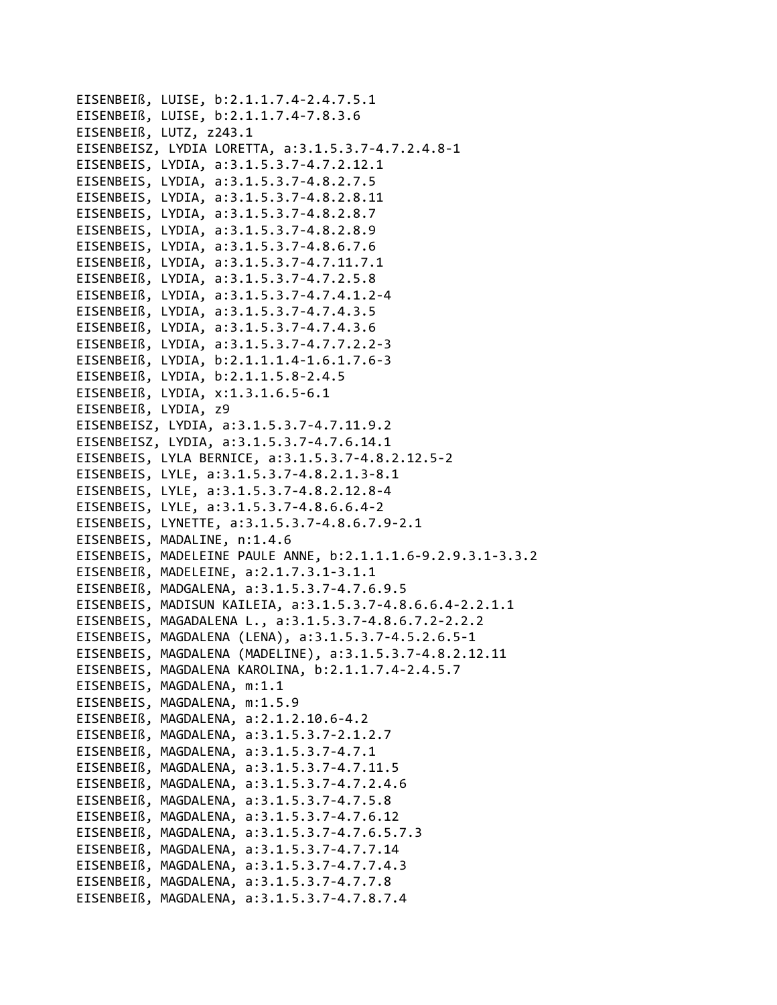```
EISENBEIß, LUISE, b:2.1.1.7.4-2.4.7.5.1
EISENBEIß, LUISE, b:2.1.1.7.4-7.8.3.6
EISENBEIß, LUTZ, z243.1
EISENBEISZ, LYDIA LORETTA, a:3.1.5.3.7-4.7.2.4.8-1
EISENBEIS, LYDIA, a:3.1.5.3.7-4.7.2.12.1
EISENBEIS, LYDIA, a:3.1.5.3.7-4.8.2.7.5
EISENBEIS, LYDIA, a:3.1.5.3.7-4.8.2.8.11
EISENBEIS, LYDIA, a:3.1.5.3.7-4.8.2.8.7
EISENBEIS, LYDIA, a:3.1.5.3.7-4.8.2.8.9
EISENBEIS, LYDIA, a:3.1.5.3.7-4.8.6.7.6
EISENBEIß, LYDIA, a:3.1.5.3.7-4.7.11.7.1
EISENBEIß, LYDIA, a:3.1.5.3.7-4.7.2.5.8
EISENBEIß, LYDIA, a:3.1.5.3.7-4.7.4.1.2-4
EISENBEIß, LYDIA, a:3.1.5.3.7-4.7.4.3.5
EISENBEIß, LYDIA, a:3.1.5.3.7-4.7.4.3.6
EISENBEIß, LYDIA, a:3.1.5.3.7-4.7.7.2.2-3
EISENBEIß, LYDIA, b:2.1.1.1.4-1.6.1.7.6-3
EISENBEIß, LYDIA, b:2.1.1.5.8-2.4.5
EISENBEIß, LYDIA, x:1.3.1.6.5-6.1
EISENBEIß, LYDIA, z9
EISENBEISZ, LYDIA, a:3.1.5.3.7-4.7.11.9.2
EISENBEISZ, LYDIA, a:3.1.5.3.7-4.7.6.14.1
EISENBEIS, LYLA BERNICE, a:3.1.5.3.7-4.8.2.12.5-2
EISENBEIS, LYLE, a:3.1.5.3.7-4.8.2.1.3-8.1
EISENBEIS, LYLE, a:3.1.5.3.7-4.8.2.12.8-4
EISENBEIS, LYLE, a:3.1.5.3.7-4.8.6.6.4-2
EISENBEIS, LYNETTE, a:3.1.5.3.7-4.8.6.7.9-2.1
EISENBEIS, MADALINE, n:1.4.6
EISENBEIS, MADELEINE PAULE ANNE, b:2.1.1.1.6-9.2.9.3.1-3.3.2
EISENBEIß, MADELEINE, a:2.1.7.3.1-3.1.1
EISENBEIß, MADGALENA, a:3.1.5.3.7-4.7.6.9.5
EISENBEIS, MADISUN KAILEIA, a:3.1.5.3.7-4.8.6.6.4-2.2.1.1
EISENBEIS, MAGADALENA L., a:3.1.5.3.7-4.8.6.7.2-2.2.2
EISENBEIS, MAGDALENA (LENA), a:3.1.5.3.7-4.5.2.6.5-1
EISENBEIS, MAGDALENA (MADELINE), a:3.1.5.3.7-4.8.2.12.11
EISENBEIS, MAGDALENA KAROLINA, b:2.1.1.7.4-2.4.5.7
EISENBEIS, MAGDALENA, m:1.1
EISENBEIS, MAGDALENA, m:1.5.9
EISENBEIß, MAGDALENA, a:2.1.2.10.6-4.2
EISENBEIß, MAGDALENA, a:3.1.5.3.7-2.1.2.7
EISENBEIß, MAGDALENA, a:3.1.5.3.7-4.7.1
EISENBEIß, MAGDALENA, a:3.1.5.3.7-4.7.11.5
EISENBEIß, MAGDALENA, a:3.1.5.3.7-4.7.2.4.6
EISENBEIß, MAGDALENA, a:3.1.5.3.7-4.7.5.8
EISENBEIß, MAGDALENA, a:3.1.5.3.7-4.7.6.12
EISENBEIß, MAGDALENA, a:3.1.5.3.7-4.7.6.5.7.3
EISENBEIß, MAGDALENA, a:3.1.5.3.7-4.7.7.14
EISENBEIß, MAGDALENA, a:3.1.5.3.7-4.7.7.4.3
EISENBEIß, MAGDALENA, a:3.1.5.3.7-4.7.7.8
EISENBEIß, MAGDALENA, a:3.1.5.3.7-4.7.8.7.4
```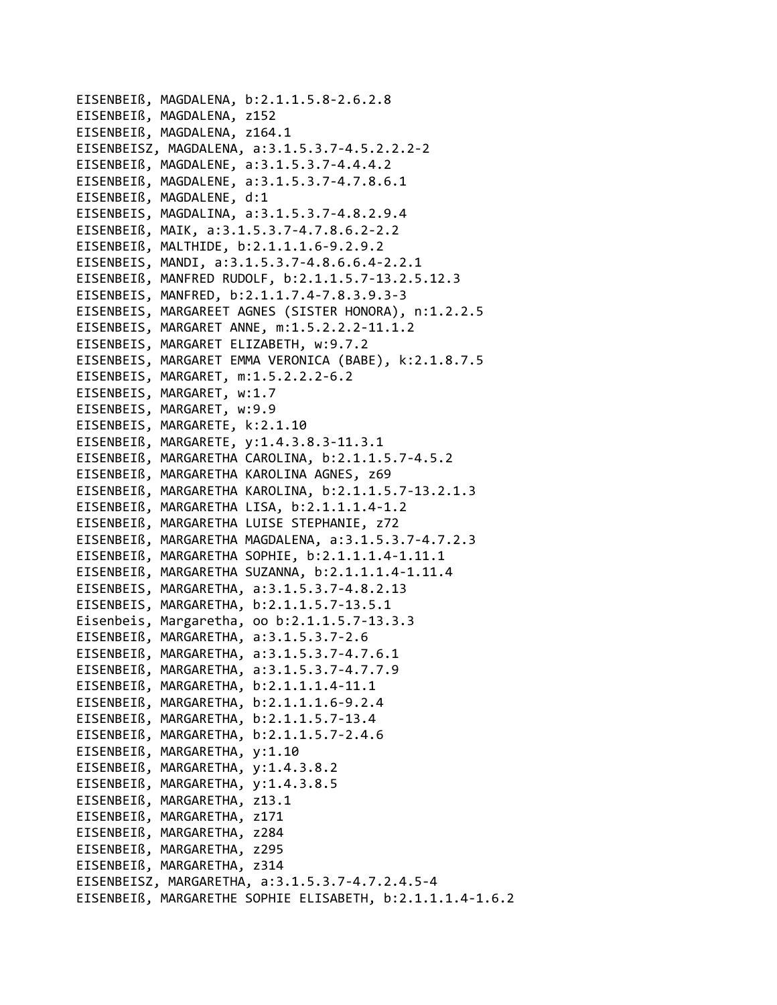```
EISENBEIß, MAGDALENA, b:2.1.1.5.8‐2.6.2.8
EISENBEIß, MAGDALENA, z152
EISENBEIß, MAGDALENA, z164.1
EISENBEISZ, MAGDALENA, a:3.1.5.3.7‐4.5.2.2.2‐2
EISENBEIß, MAGDALENE, a:3.1.5.3.7‐4.4.4.2
EISENBEIß, MAGDALENE, a:3.1.5.3.7‐4.7.8.6.1
EISENBEIß, MAGDALENE, d:1
EISENBEIS, MAGDALINA, a:3.1.5.3.7‐4.8.2.9.4
EISENBEIß, MAIK, a:3.1.5.3.7‐4.7.8.6.2‐2.2
EISENBEIß, MALTHIDE, b:2.1.1.1.6‐9.2.9.2
EISENBEIS, MANDI, a:3.1.5.3.7‐4.8.6.6.4‐2.2.1
EISENBEIß, MANFRED RUDOLF, b:2.1.1.5.7‐13.2.5.12.3
EISENBEIS, MANFRED, b:2.1.1.7.4‐7.8.3.9.3‐3
EISENBEIS, MARGAREET AGNES (SISTER HONORA), n:1.2.2.5
EISENBEIS, MARGARET ANNE, m:1.5.2.2.2‐11.1.2
EISENBEIS, MARGARET ELIZABETH, w:9.7.2
EISENBEIS, MARGARET EMMA VERONICA (BABE), k:2.1.8.7.5
EISENBEIS, MARGARET, m:1.5.2.2.2‐6.2
EISENBEIS, MARGARET, w:1.7
EISENBEIS, MARGARET, w:9.9
EISENBEIS, MARGARETE, k:2.1.10
EISENBEIß, MARGARETE, y:1.4.3.8.3‐11.3.1
EISENBEIß, MARGARETHA CAROLINA, b:2.1.1.5.7‐4.5.2
EISENBEIß, MARGARETHA KAROLINA AGNES, z69
EISENBEIß, MARGARETHA KAROLINA, b:2.1.1.5.7‐13.2.1.3
EISENBEIß, MARGARETHA LISA, b:2.1.1.1.4‐1.2
EISENBEIß, MARGARETHA LUISE STEPHANIE, z72
EISENBEIß, MARGARETHA MAGDALENA, a:3.1.5.3.7‐4.7.2.3
EISENBEIß, MARGARETHA SOPHIE, b:2.1.1.1.4‐1.11.1
EISENBEIß, MARGARETHA SUZANNA, b:2.1.1.1.4‐1.11.4
EISENBEIS, MARGARETHA, a:3.1.5.3.7‐4.8.2.13
EISENBEIS, MARGARETHA, b:2.1.1.5.7‐13.5.1
Eisenbeis, Margaretha, oo b:2.1.1.5.7‐13.3.3
EISENBEIß, MARGARETHA, a:3.1.5.3.7‐2.6
EISENBEIß, MARGARETHA, a:3.1.5.3.7‐4.7.6.1
EISENBEIß, MARGARETHA, a:3.1.5.3.7‐4.7.7.9
EISENBEIß, MARGARETHA, b:2.1.1.1.4‐11.1
EISENBEIß, MARGARETHA, b:2.1.1.1.6‐9.2.4
EISENBEIß, MARGARETHA, b:2.1.1.5.7‐13.4
EISENBEIß, MARGARETHA, b:2.1.1.5.7‐2.4.6
EISENBEIß, MARGARETHA, y:1.10
EISENBEIß, MARGARETHA, y:1.4.3.8.2
EISENBEIß, MARGARETHA, y:1.4.3.8.5
EISENBEIß, MARGARETHA, z13.1
EISENBEIß, MARGARETHA, z171
EISENBEIß, MARGARETHA, z284
EISENBEIß, MARGARETHA, z295
EISENBEIß, MARGARETHA, z314
EISENBEISZ, MARGARETHA, a:3.1.5.3.7‐4.7.2.4.5‐4
EISENBEIß, MARGARETHE SOPHIE ELISABETH, b:2.1.1.1.4‐1.6.2
```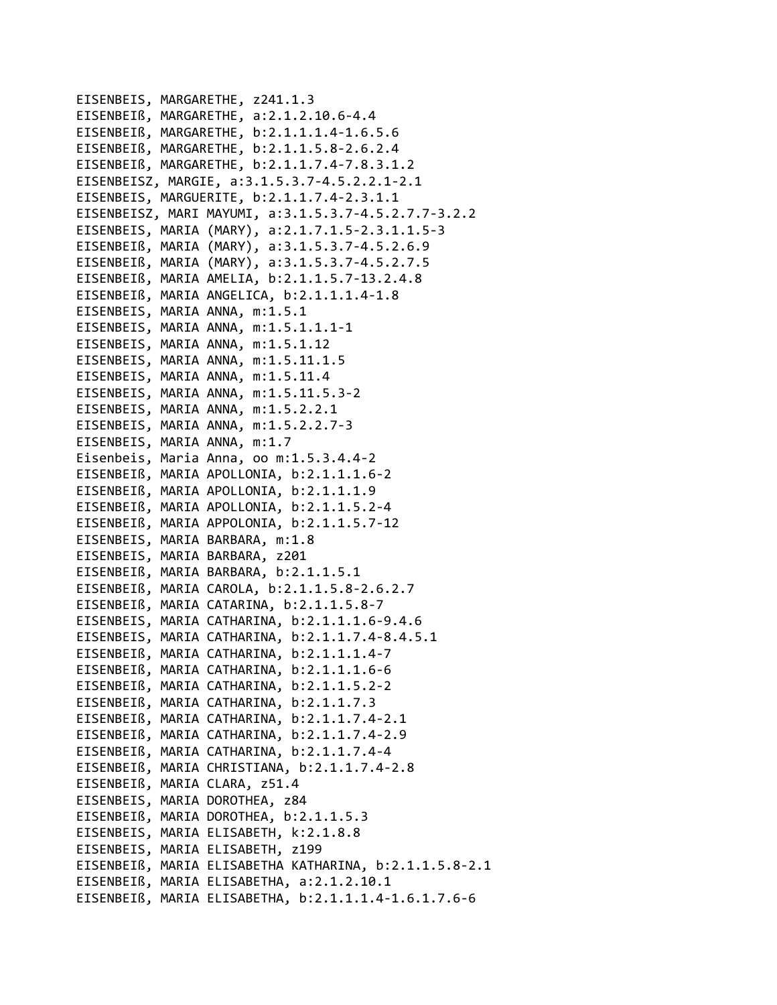```
EISENBEIS, MARGARETHE, z241.1.3
EISENBEIß, MARGARETHE, a:2.1.2.10.6‐4.4
EISENBEIß, MARGARETHE, b:2.1.1.1.4‐1.6.5.6
EISENBEIß, MARGARETHE, b:2.1.1.5.8‐2.6.2.4
EISENBEIß, MARGARETHE, b:2.1.1.7.4‐7.8.3.1.2
EISENBEISZ, MARGIE, a:3.1.5.3.7‐4.5.2.2.1‐2.1
EISENBEIS, MARGUERITE, b:2.1.1.7.4‐2.3.1.1
EISENBEISZ, MARI MAYUMI, a:3.1.5.3.7‐4.5.2.7.7‐3.2.2
EISENBEIS, MARIA (MARY), a:2.1.7.1.5‐2.3.1.1.5‐3
EISENBEIß, MARIA (MARY), a:3.1.5.3.7‐4.5.2.6.9
EISENBEIß, MARIA (MARY), a:3.1.5.3.7‐4.5.2.7.5
EISENBEIß, MARIA AMELIA, b:2.1.1.5.7‐13.2.4.8
EISENBEIß, MARIA ANGELICA, b:2.1.1.1.4‐1.8
EISENBEIS, MARIA ANNA, m:1.5.1
EISENBEIS, MARIA ANNA, m:1.5.1.1.1‐1
EISENBEIS, MARIA ANNA, m:1.5.1.12
EISENBEIS, MARIA ANNA, m:1.5.11.1.5
EISENBEIS, MARIA ANNA, m:1.5.11.4
EISENBEIS, MARIA ANNA, m:1.5.11.5.3‐2
EISENBEIS, MARIA ANNA, m:1.5.2.2.1
EISENBEIS, MARIA ANNA, m:1.5.2.2.7‐3
EISENBEIS, MARIA ANNA, m:1.7
Eisenbeis, Maria Anna, oo m:1.5.3.4.4‐2
EISENBEIß, MARIA APOLLONIA, b:2.1.1.1.6‐2
EISENBEIß, MARIA APOLLONIA, b:2.1.1.1.9
EISENBEIß, MARIA APOLLONIA, b:2.1.1.5.2‐4
EISENBEIß, MARIA APPOLONIA, b:2.1.1.5.7‐12
EISENBEIS, MARIA BARBARA, m:1.8
EISENBEIS, MARIA BARBARA, z201
EISENBEIß, MARIA BARBARA, b:2.1.1.5.1
EISENBEIß, MARIA CAROLA, b:2.1.1.5.8‐2.6.2.7
EISENBEIß, MARIA CATARINA, b:2.1.1.5.8‐7
EISENBEIS, MARIA CATHARINA, b:2.1.1.1.6‐9.4.6
EISENBEIS, MARIA CATHARINA, b:2.1.1.7.4‐8.4.5.1
EISENBEIß, MARIA CATHARINA, b:2.1.1.1.4‐7
EISENBEIß, MARIA CATHARINA, b:2.1.1.1.6‐6
EISENBEIß, MARIA CATHARINA, b:2.1.1.5.2‐2
EISENBEIß, MARIA CATHARINA, b:2.1.1.7.3
EISENBEIß, MARIA CATHARINA, b:2.1.1.7.4‐2.1
EISENBEIß, MARIA CATHARINA, b:2.1.1.7.4‐2.9
EISENBEIß, MARIA CATHARINA, b:2.1.1.7.4‐4
EISENBEIß, MARIA CHRISTIANA, b:2.1.1.7.4‐2.8
EISENBEIß, MARIA CLARA, z51.4
EISENBEIS, MARIA DOROTHEA, z84
EISENBEIß, MARIA DOROTHEA, b:2.1.1.5.3
EISENBEIS, MARIA ELISABETH, k:2.1.8.8
EISENBEIS, MARIA ELISABETH, z199
EISENBEIß, MARIA ELISABETHA KATHARINA, b:2.1.1.5.8‐2.1
EISENBEIß, MARIA ELISABETHA, a:2.1.2.10.1
EISENBEIß, MARIA ELISABETHA, b:2.1.1.1.4‐1.6.1.7.6‐6
```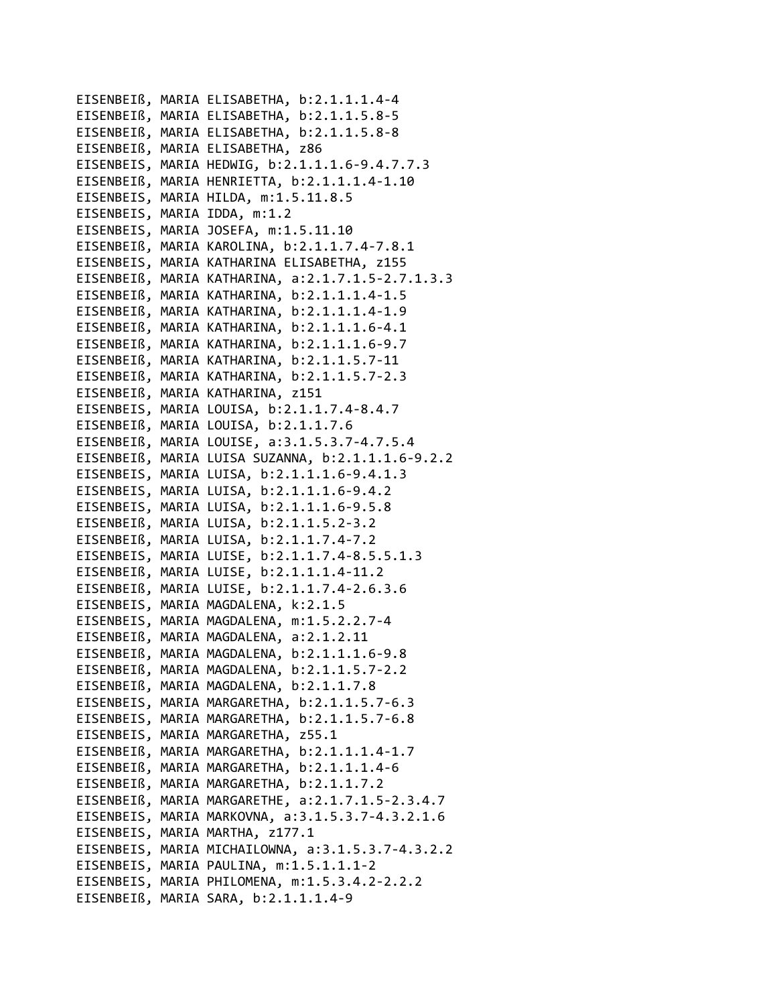```
EISENBEIß, MARIA ELISABETHA, b:2.1.1.1.4‐4
EISENBEIß, MARIA ELISABETHA, b:2.1.1.5.8‐5
EISENBEIß, MARIA ELISABETHA, b:2.1.1.5.8‐8
EISENBEIß, MARIA ELISABETHA, z86
EISENBEIS, MARIA HEDWIG, b:2.1.1.1.6‐9.4.7.7.3
EISENBEIß, MARIA HENRIETTA, b:2.1.1.1.4‐1.10
EISENBEIS, MARIA HILDA, m:1.5.11.8.5
EISENBEIS, MARIA IDDA, m:1.2
EISENBEIS, MARIA JOSEFA, m:1.5.11.10
EISENBEIß, MARIA KAROLINA, b:2.1.1.7.4‐7.8.1
EISENBEIS, MARIA KATHARINA ELISABETHA, z155
EISENBEIß, MARIA KATHARINA, a:2.1.7.1.5‐2.7.1.3.3
EISENBEIß, MARIA KATHARINA, b:2.1.1.1.4‐1.5
EISENBEIß, MARIA KATHARINA, b:2.1.1.1.4‐1.9
EISENBEIß, MARIA KATHARINA, b:2.1.1.1.6‐4.1
EISENBEIß, MARIA KATHARINA, b:2.1.1.1.6‐9.7
EISENBEIß, MARIA KATHARINA, b:2.1.1.5.7‐11
EISENBEIß, MARIA KATHARINA, b:2.1.1.5.7‐2.3
EISENBEIß, MARIA KATHARINA, z151
EISENBEIS, MARIA LOUISA, b:2.1.1.7.4‐8.4.7
EISENBEIß, MARIA LOUISA, b:2.1.1.7.6
EISENBEIß, MARIA LOUISE, a:3.1.5.3.7‐4.7.5.4
EISENBEIß, MARIA LUISA SUZANNA, b:2.1.1.1.6‐9.2.2
EISENBEIS, MARIA LUISA, b:2.1.1.1.6‐9.4.1.3
EISENBEIS, MARIA LUISA, b:2.1.1.1.6‐9.4.2
EISENBEIS, MARIA LUISA, b:2.1.1.1.6‐9.5.8
EISENBEIß, MARIA LUISA, b:2.1.1.5.2‐3.2
EISENBEIß, MARIA LUISA, b:2.1.1.7.4‐7.2
EISENBEIS, MARIA LUISE, b:2.1.1.7.4‐8.5.5.1.3
EISENBEIß, MARIA LUISE, b:2.1.1.1.4‐11.2
EISENBEIß, MARIA LUISE, b:2.1.1.7.4‐2.6.3.6
EISENBEIS, MARIA MAGDALENA, k:2.1.5
EISENBEIS, MARIA MAGDALENA, m:1.5.2.2.7‐4
EISENBEIß, MARIA MAGDALENA, a:2.1.2.11
EISENBEIß, MARIA MAGDALENA, b:2.1.1.1.6‐9.8
EISENBEIß, MARIA MAGDALENA, b:2.1.1.5.7‐2.2
EISENBEIß, MARIA MAGDALENA, b:2.1.1.7.8
EISENBEIS, MARIA MARGARETHA, b:2.1.1.5.7‐6.3
EISENBEIS, MARIA MARGARETHA, b:2.1.1.5.7‐6.8
EISENBEIS, MARIA MARGARETHA, z55.1
EISENBEIß, MARIA MARGARETHA, b:2.1.1.1.4‐1.7
EISENBEIß, MARIA MARGARETHA, b:2.1.1.1.4‐6
EISENBEIß, MARIA MARGARETHA, b:2.1.1.7.2
EISENBEIß, MARIA MARGARETHE, a:2.1.7.1.5‐2.3.4.7
EISENBEIS, MARIA MARKOVNA, a:3.1.5.3.7‐4.3.2.1.6
EISENBEIS, MARIA MARTHA, z177.1
EISENBEIS, MARIA MICHAILOWNA, a:3.1.5.3.7‐4.3.2.2
EISENBEIS, MARIA PAULINA, m:1.5.1.1.1‐2
EISENBEIS, MARIA PHILOMENA, m:1.5.3.4.2‐2.2.2
EISENBEIß, MARIA SARA, b:2.1.1.1.4‐9
```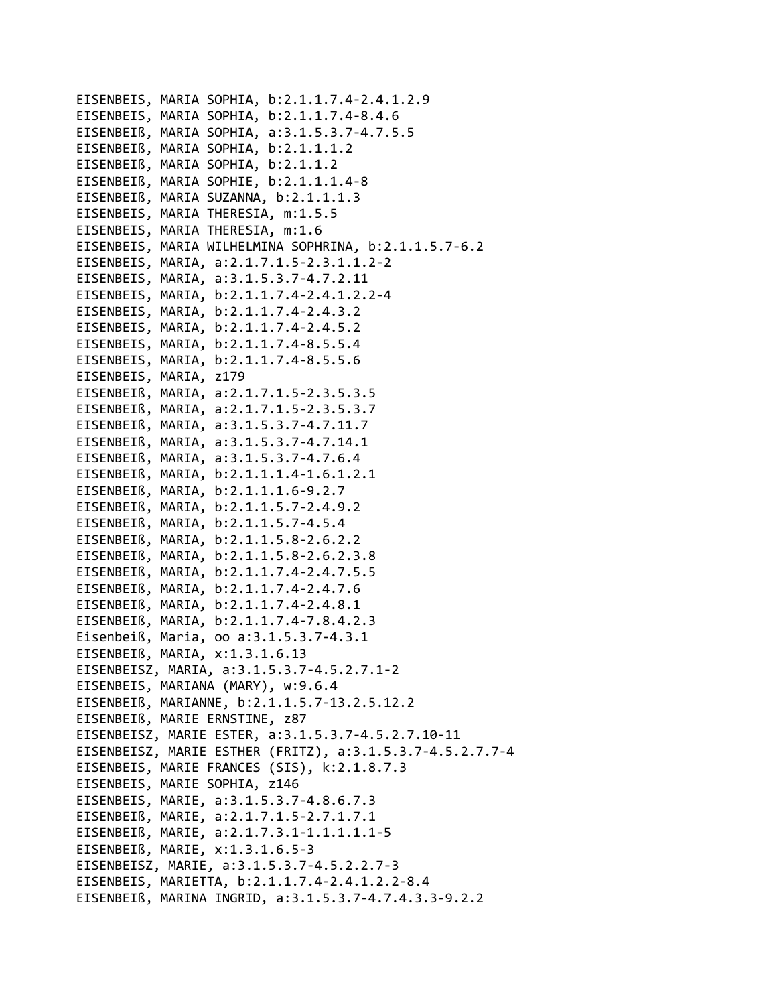```
EISENBEIS, MARIA SOPHIA, b:2.1.1.7.4‐2.4.1.2.9
EISENBEIS, MARIA SOPHIA, b:2.1.1.7.4‐8.4.6
EISENBEIß, MARIA SOPHIA, a:3.1.5.3.7‐4.7.5.5
EISENBEIß, MARIA SOPHIA, b:2.1.1.1.2
EISENBEIß, MARIA SOPHIA, b:2.1.1.2
EISENBEIß, MARIA SOPHIE, b:2.1.1.1.4‐8
EISENBEIß, MARIA SUZANNA, b:2.1.1.1.3
EISENBEIS, MARIA THERESIA, m:1.5.5
EISENBEIS, MARIA THERESIA, m:1.6
EISENBEIS, MARIA WILHELMINA SOPHRINA, b:2.1.1.5.7‐6.2
EISENBEIS, MARIA, a:2.1.7.1.5‐2.3.1.1.2‐2
EISENBEIS, MARIA, a:3.1.5.3.7‐4.7.2.11
EISENBEIS, MARIA, b:2.1.1.7.4‐2.4.1.2.2‐4
EISENBEIS, MARIA, b:2.1.1.7.4‐2.4.3.2
EISENBEIS, MARIA, b:2.1.1.7.4‐2.4.5.2
EISENBEIS, MARIA, b:2.1.1.7.4‐8.5.5.4
EISENBEIS, MARIA, b:2.1.1.7.4‐8.5.5.6
EISENBEIS, MARIA, z179
EISENBEIß, MARIA, a:2.1.7.1.5‐2.3.5.3.5
EISENBEIß, MARIA, a:2.1.7.1.5‐2.3.5.3.7
EISENBEIß, MARIA, a:3.1.5.3.7‐4.7.11.7
EISENBEIß, MARIA, a:3.1.5.3.7‐4.7.14.1
EISENBEIß, MARIA, a:3.1.5.3.7‐4.7.6.4
EISENBEIß, MARIA, b:2.1.1.1.4‐1.6.1.2.1
EISENBEIß, MARIA, b:2.1.1.1.6‐9.2.7
EISENBEIß, MARIA, b:2.1.1.5.7‐2.4.9.2
EISENBEIß, MARIA, b:2.1.1.5.7‐4.5.4
EISENBEIß, MARIA, b:2.1.1.5.8‐2.6.2.2
EISENBEIß, MARIA, b:2.1.1.5.8‐2.6.2.3.8
EISENBEIß, MARIA, b:2.1.1.7.4‐2.4.7.5.5
EISENBEIß, MARIA, b:2.1.1.7.4‐2.4.7.6
EISENBEIß, MARIA, b:2.1.1.7.4‐2.4.8.1
EISENBEIß, MARIA, b:2.1.1.7.4‐7.8.4.2.3
Eisenbeiß, Maria, oo a:3.1.5.3.7‐4.3.1
EISENBEIß, MARIA, x:1.3.1.6.13
EISENBEISZ, MARIA, a:3.1.5.3.7‐4.5.2.7.1‐2
EISENBEIS, MARIANA (MARY), w:9.6.4
EISENBEIß, MARIANNE, b:2.1.1.5.7‐13.2.5.12.2
EISENBEIß, MARIE ERNSTINE, z87
EISENBEISZ, MARIE ESTER, a:3.1.5.3.7‐4.5.2.7.10‐11
EISENBEISZ, MARIE ESTHER (FRITZ), a:3.1.5.3.7‐4.5.2.7.7‐4
EISENBEIS, MARIE FRANCES (SIS), k:2.1.8.7.3
EISENBEIS, MARIE SOPHIA, z146
EISENBEIS, MARIE, a:3.1.5.3.7‐4.8.6.7.3
EISENBEIß, MARIE, a:2.1.7.1.5‐2.7.1.7.1
EISENBEIß, MARIE, a:2.1.7.3.1‐1.1.1.1.1‐5
EISENBEIß, MARIE, x:1.3.1.6.5‐3
EISENBEISZ, MARIE, a:3.1.5.3.7‐4.5.2.2.7‐3
EISENBEIS, MARIETTA, b:2.1.1.7.4‐2.4.1.2.2‐8.4
EISENBEIß, MARINA INGRID, a:3.1.5.3.7‐4.7.4.3.3‐9.2.2
```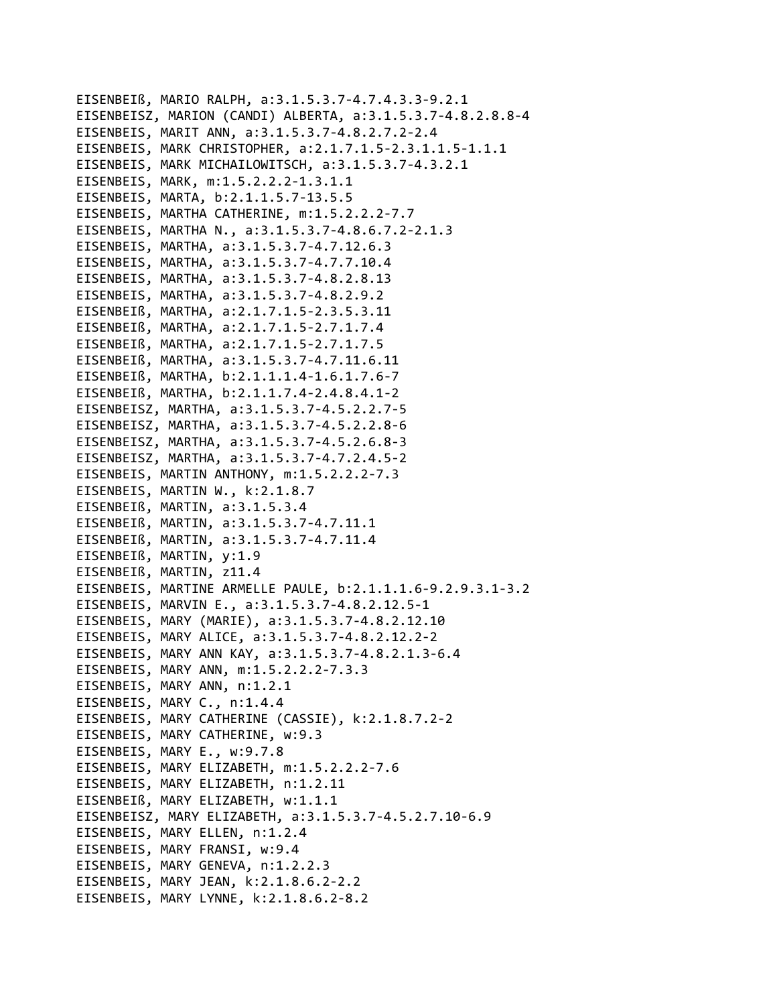```
EISENBEIß, MARIO RALPH, a:3.1.5.3.7-4.7.4.3.3-9.2.1
EISENBEISZ, MARION (CANDI) ALBERTA, a:3.1.5.3.7-4.8.2.8.8-4
EISENBEIS, MARIT ANN, a:3.1.5.3.7-4.8.2.7.2-2.4
EISENBEIS, MARK CHRISTOPHER, a:2.1.7.1.5-2.3.1.1.5-1.1.1
EISENBEIS, MARK MICHAILOWITSCH, a:3.1.5.3.7-4.3.2.1
EISENBEIS, MARK, m:1.5.2.2.2-1.3.1.1
EISENBEIS, MARTA, b:2.1.1.5.7-13.5.5
EISENBEIS, MARTHA CATHERINE, m:1.5.2.2.2-7.7
EISENBEIS, MARTHA N., a:3.1.5.3.7-4.8.6.7.2-2.1.3
EISENBEIS, MARTHA, a:3.1.5.3.7-4.7.12.6.3
EISENBEIS, MARTHA, a:3.1.5.3.7-4.7.7.10.4
EISENBEIS, MARTHA, a:3.1.5.3.7-4.8.2.8.13
EISENBEIS, MARTHA, a:3.1.5.3.7-4.8.2.9.2
EISENBEIß, MARTHA, a:2.1.7.1.5-2.3.5.3.11
EISENBEIß, MARTHA, a:2.1.7.1.5-2.7.1.7.4
EISENBEIß, MARTHA, a:2.1.7.1.5-2.7.1.7.5
EISENBEIß, MARTHA, a:3.1.5.3.7-4.7.11.6.11
EISENBEIß, MARTHA, b:2.1.1.1.4-1.6.1.7.6-7
EISENBEIß, MARTHA, b:2.1.1.7.4-2.4.8.4.1-2
EISENBEISZ, MARTHA, a:3.1.5.3.7-4.5.2.2.7-5
EISENBEISZ, MARTHA, a:3.1.5.3.7-4.5.2.2.8-6
EISENBEISZ, MARTHA, a:3.1.5.3.7-4.5.2.6.8-3
EISENBEISZ, MARTHA, a:3.1.5.3.7-4.7.2.4.5-2
EISENBEIS, MARTIN ANTHONY, m:1.5.2.2.2-7.3
EISENBEIS, MARTIN W., k:2.1.8.7
EISENBEIß, MARTIN, a:3.1.5.3.4
EISENBEIß, MARTIN, a:3.1.5.3.7-4.7.11.1
EISENBEIß, MARTIN, a:3.1.5.3.7-4.7.11.4
EISENBEIß, MARTIN, y:1.9
EISENBEIß, MARTIN, z11.4
EISENBEIS, MARTINE ARMELLE PAULE, b:2.1.1.1.6-9.2.9.3.1-3.2
EISENBEIS, MARVIN E., a:3.1.5.3.7-4.8.2.12.5-1
EISENBEIS, MARY (MARIE), a:3.1.5.3.7-4.8.2.12.10
EISENBEIS, MARY ALICE, a:3.1.5.3.7-4.8.2.12.2-2
EISENBEIS, MARY ANN KAY, a:3.1.5.3.7-4.8.2.1.3-6.4
EISENBEIS, MARY ANN, m:1.5.2.2.2-7.3.3
EISENBEIS, MARY ANN, n:1.2.1
EISENBEIS, MARY C., n:1.4.4
EISENBEIS, MARY CATHERINE (CASSIE), k:2.1.8.7.2-2
EISENBEIS, MARY CATHERINE, w:9.3
EISENBEIS, MARY E., w:9.7.8
EISENBEIS, MARY ELIZABETH, m:1.5.2.2.2-7.6
EISENBEIS, MARY ELIZABETH, n:1.2.11
EISENBEIß, MARY ELIZABETH, w:1.1.1
EISENBEISZ, MARY ELIZABETH, a:3.1.5.3.7-4.5.2.7.10-6.9
EISENBEIS, MARY ELLEN, n:1.2.4
EISENBEIS, MARY FRANSI, w:9.4
EISENBEIS, MARY GENEVA, n:1.2.2.3
EISENBEIS, MARY JEAN, k:2.1.8.6.2-2.2
EISENBEIS, MARY LYNNE, k:2.1.8.6.2-8.2
```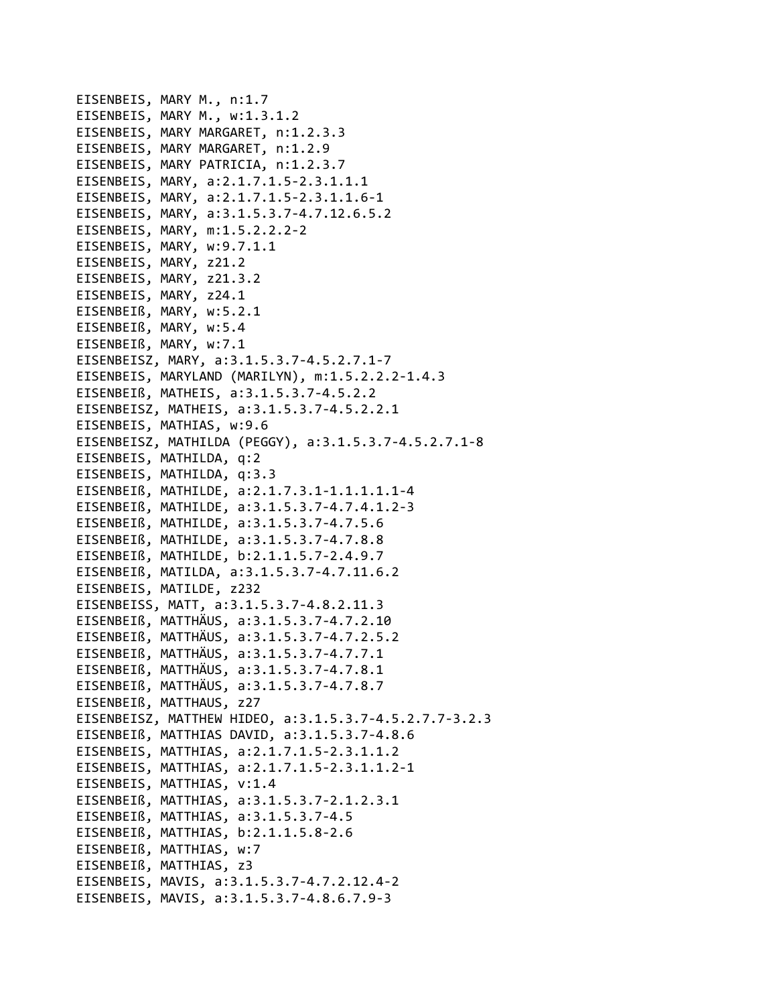EISENBEIS, MARY M., n:1.7 EISENBEIS, MARY M., w:1.3.1.2 EISENBEIS, MARY MARGARET, n:1.2.3.3 EISENBEIS, MARY MARGARET, n:1.2.9 EISENBEIS, MARY PATRICIA, n:1.2.3.7 EISENBEIS, MARY, a:2.1.7.1.5‐2.3.1.1.1 EISENBEIS, MARY, a:2.1.7.1.5‐2.3.1.1.6‐1 EISENBEIS, MARY, a:3.1.5.3.7‐4.7.12.6.5.2 EISENBEIS, MARY, m:1.5.2.2.2‐2 EISENBEIS, MARY, w:9.7.1.1 EISENBEIS, MARY, z21.2 EISENBEIS, MARY, z21.3.2 EISENBEIS, MARY, z24.1 EISENBEIß, MARY, w:5.2.1 EISENBEIß, MARY, w:5.4 EISENBEIß, MARY, w:7.1 EISENBEISZ, MARY, a:3.1.5.3.7‐4.5.2.7.1‐7 EISENBEIS, MARYLAND (MARILYN), m:1.5.2.2.2‐1.4.3 EISENBEIß, MATHEIS, a:3.1.5.3.7‐4.5.2.2 EISENBEISZ, MATHEIS, a:3.1.5.3.7‐4.5.2.2.1 EISENBEIS, MATHIAS, w:9.6 EISENBEISZ, MATHILDA (PEGGY), a:3.1.5.3.7‐4.5.2.7.1‐8 EISENBEIS, MATHILDA, q:2 EISENBEIS, MATHILDA, q:3.3 EISENBEIß, MATHILDE, a:2.1.7.3.1‐1.1.1.1.1‐4 EISENBEIß, MATHILDE, a:3.1.5.3.7‐4.7.4.1.2‐3 EISENBEIß, MATHILDE, a:3.1.5.3.7‐4.7.5.6 EISENBEIß, MATHILDE, a:3.1.5.3.7‐4.7.8.8 EISENBEIß, MATHILDE, b:2.1.1.5.7‐2.4.9.7 EISENBEIß, MATILDA, a:3.1.5.3.7‐4.7.11.6.2 EISENBEIS, MATILDE, z232 EISENBEISS, MATT, a:3.1.5.3.7‐4.8.2.11.3 EISENBEIß, MATTHÄUS, a:3.1.5.3.7‐4.7.2.10 EISENBEIß, MATTHÄUS, a:3.1.5.3.7‐4.7.2.5.2 EISENBEIß, MATTHÄUS, a:3.1.5.3.7‐4.7.7.1 EISENBEIß, MATTHÄUS, a:3.1.5.3.7‐4.7.8.1 EISENBEIß, MATTHÄUS, a:3.1.5.3.7‐4.7.8.7 EISENBEIß, MATTHAUS, z27 EISENBEISZ, MATTHEW HIDEO, a:3.1.5.3.7‐4.5.2.7.7‐3.2.3 EISENBEIß, MATTHIAS DAVID, a:3.1.5.3.7‐4.8.6 EISENBEIS, MATTHIAS, a:2.1.7.1.5‐2.3.1.1.2 EISENBEIS, MATTHIAS, a:2.1.7.1.5‐2.3.1.1.2‐1 EISENBEIS, MATTHIAS, v:1.4 EISENBEIß, MATTHIAS, a:3.1.5.3.7‐2.1.2.3.1 EISENBEIß, MATTHIAS, a:3.1.5.3.7‐4.5 EISENBEIß, MATTHIAS, b:2.1.1.5.8‐2.6 EISENBEIß, MATTHIAS, w:7 EISENBEIß, MATTHIAS, z3 EISENBEIS, MAVIS, a:3.1.5.3.7‐4.7.2.12.4‐2 EISENBEIS, MAVIS, a:3.1.5.3.7‐4.8.6.7.9‐3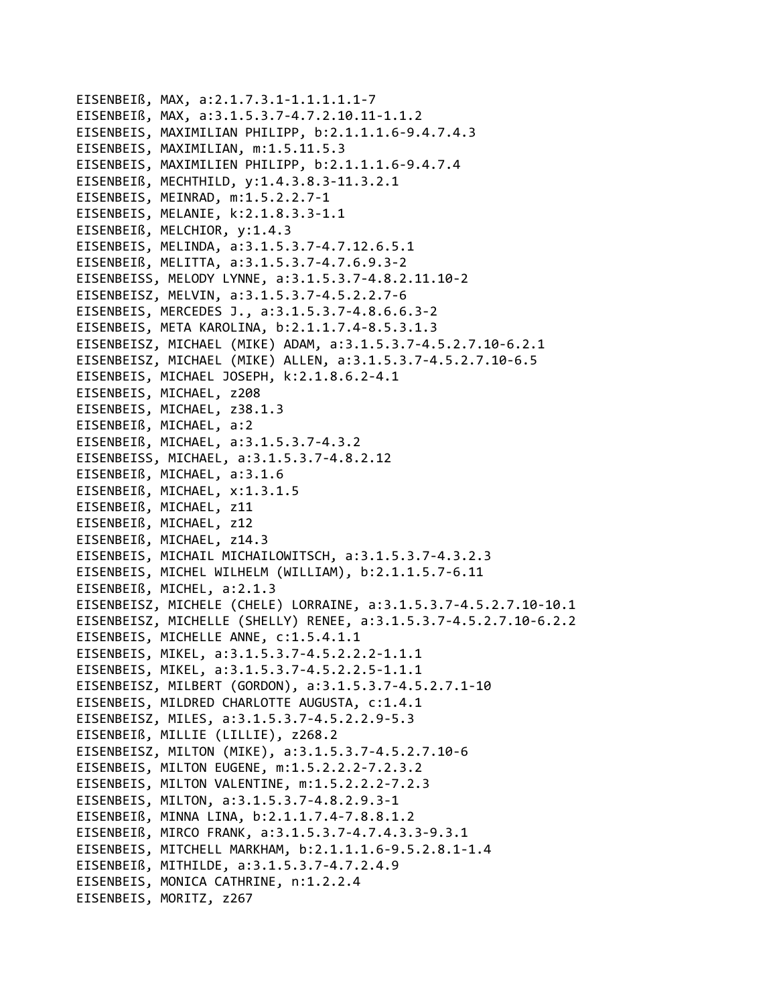```
EISENBEIß, MAX, a:2.1.7.3.1-1.1.1.1.1-7
EISENBEIß, MAX, a:3.1.5.3.7-4.7.2.10.11-1.1.2
EISENBEIS, MAXIMILIAN PHILIPP, b:2.1.1.1.6-9.4.7.4.3
EISENBEIS, MAXIMILIAN, m:1.5.11.5.3
EISENBEIS, MAXIMILIEN PHILIPP, b:2.1.1.1.6-9.4.7.4
EISENBEIß, MECHTHILD, y:1.4.3.8.3-11.3.2.1
EISENBEIS, MEINRAD, m:1.5.2.2.7-1
EISENBEIS, MELANIE, k:2.1.8.3.3-1.1
EISENBEIß, MELCHIOR, y:1.4.3
EISENBEIS, MELINDA, a:3.1.5.3.7-4.7.12.6.5.1
EISENBEIß, MELITTA, a:3.1.5.3.7-4.7.6.9.3-2
EISENBEISS, MELODY LYNNE, a:3.1.5.3.7-4.8.2.11.10-2
EISENBEISZ, MELVIN, a:3.1.5.3.7-4.5.2.2.7-6
EISENBEIS, MERCEDES J., a:3.1.5.3.7-4.8.6.6.3-2
EISENBEIS, META KAROLINA, b:2.1.1.7.4-8.5.3.1.3
EISENBEISZ, MICHAEL (MIKE) ADAM, a:3.1.5.3.7-4.5.2.7.10-6.2.1
EISENBEISZ, MICHAEL (MIKE) ALLEN, a:3.1.5.3.7-4.5.2.7.10-6.5
EISENBEIS, MICHAEL JOSEPH, k:2.1.8.6.2-4.1
EISENBEIS, MICHAEL, z208
EISENBEIS, MICHAEL, z38.1.3
EISENBEIß, MICHAEL, a:2
EISENBEIß, MICHAEL, a:3.1.5.3.7-4.3.2
EISENBEISS, MICHAEL, a:3.1.5.3.7-4.8.2.12
EISENBEIß, MICHAEL, a:3.1.6
EISENBEIß, MICHAEL, x:1.3.1.5
EISENBEIß, MICHAEL, z11
EISENBEIß, MICHAEL, z12
EISENBEIß, MICHAEL, z14.3
EISENBEIS, MICHAIL MICHAILOWITSCH, a:3.1.5.3.7-4.3.2.3
EISENBEIS, MICHEL WILHELM (WILLIAM), b:2.1.1.5.7-6.11
EISENBEIß, MICHEL, a:2.1.3
EISENBEISZ, MICHELE (CHELE) LORRAINE, a:3.1.5.3.7-4.5.2.7.10-10.1
EISENBEISZ, MICHELLE (SHELLY) RENEE, a:3.1.5.3.7-4.5.2.7.10-6.2.2
EISENBEIS, MICHELLE ANNE, c:1.5.4.1.1
EISENBEIS, MIKEL, a:3.1.5.3.7-4.5.2.2.2-1.1.1
EISENBEIS, MIKEL, a:3.1.5.3.7-4.5.2.2.5-1.1.1
EISENBEISZ, MILBERT (GORDON), a:3.1.5.3.7-4.5.2.7.1-10
EISENBEIS, MILDRED CHARLOTTE AUGUSTA, c:1.4.1
EISENBEISZ, MILES, a:3.1.5.3.7-4.5.2.2.9-5.3
EISENBEIß, MILLIE (LILLIE), z268.2
EISENBEISZ, MILTON (MIKE), a:3.1.5.3.7-4.5.2.7.10-6
EISENBEIS, MILTON EUGENE, m:1.5.2.2.2-7.2.3.2
EISENBEIS, MILTON VALENTINE, m:1.5.2.2.2-7.2.3
EISENBEIS, MILTON, a:3.1.5.3.7-4.8.2.9.3-1
EISENBEIß, MINNA LINA, b:2.1.1.7.4-7.8.8.1.2
EISENBEIß, MIRCO FRANK, a:3.1.5.3.7-4.7.4.3.3-9.3.1
EISENBEIS, MITCHELL MARKHAM, b:2.1.1.1.6-9.5.2.8.1-1.4
EISENBEIß, MITHILDE, a:3.1.5.3.7-4.7.2.4.9
EISENBEIS, MONICA CATHRINE, n:1.2.2.4
EISENBEIS, MORITZ, z267
```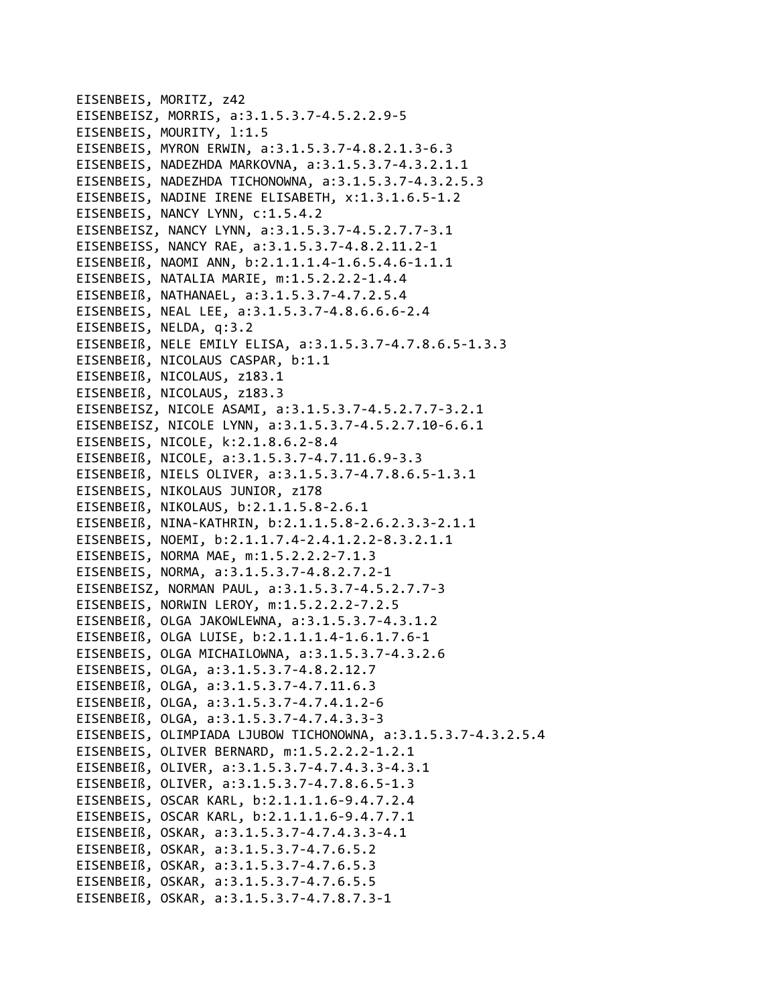EISENBEIS, MORITZ, z42 EISENBEISZ, MORRIS, a:3.1.5.3.7-4.5.2.2.9-5 EISENBEIS, MOURITY, 1:1.5 EISENBEIS, MYRON ERWIN, a:3.1.5.3.7-4.8.2.1.3-6.3 EISENBEIS, NADEZHDA MARKOVNA, a:3.1.5.3.7-4.3.2.1.1 EISENBEIS, NADEZHDA TICHONOWNA, a:3.1.5.3.7-4.3.2.5.3 EISENBEIS, NADINE IRENE ELISABETH, x:1.3.1.6.5-1.2 EISENBEIS, NANCY LYNN, c:1.5.4.2 EISENBEISZ, NANCY LYNN, a:3.1.5.3.7-4.5.2.7.7-3.1 EISENBEISS, NANCY RAE, a:3.1.5.3.7-4.8.2.11.2-1 EISENBEIß, NAOMI ANN, b:2.1.1.1.4-1.6.5.4.6-1.1.1 EISENBEIS, NATALIA MARIE, m:1.5.2.2.2-1.4.4 EISENBEIß, NATHANAEL, a:3.1.5.3.7-4.7.2.5.4 EISENBEIS, NEAL LEE, a:3.1.5.3.7-4.8.6.6.6-2.4 EISENBEIS, NELDA, q:3.2 EISENBEIß, NELE EMILY ELISA, a:3.1.5.3.7-4.7.8.6.5-1.3.3 EISENBEIß, NICOLAUS CASPAR, b:1.1 EISENBEIß, NICOLAUS, z183.1 EISENBEIß, NICOLAUS, z183.3 EISENBEISZ, NICOLE ASAMI, a:3.1.5.3.7-4.5.2.7.7-3.2.1 EISENBEISZ, NICOLE LYNN, a:3.1.5.3.7-4.5.2.7.10-6.6.1 EISENBEIS, NICOLE, k:2.1.8.6.2-8.4 EISENBEIß, NICOLE, a:3.1.5.3.7-4.7.11.6.9-3.3 EISENBEIß, NIELS OLIVER, a:3.1.5.3.7-4.7.8.6.5-1.3.1 EISENBEIS, NIKOLAUS JUNIOR, z178 EISENBEIß, NIKOLAUS, b:2.1.1.5.8-2.6.1 EISENBEIß, NINA-KATHRIN, b:2.1.1.5.8-2.6.2.3.3-2.1.1 EISENBEIS, NOEMI, b:2.1.1.7.4-2.4.1.2.2-8.3.2.1.1 EISENBEIS, NORMA MAE, m:1.5.2.2.2-7.1.3 EISENBEIS, NORMA, a:3.1.5.3.7-4.8.2.7.2-1 EISENBEISZ, NORMAN PAUL, a:3.1.5.3.7-4.5.2.7.7-3 EISENBEIS, NORWIN LEROY, m:1.5.2.2.2-7.2.5 EISENBEIß, OLGA JAKOWLEWNA, a:3.1.5.3.7-4.3.1.2 EISENBEIß, OLGA LUISE, b:2.1.1.1.4-1.6.1.7.6-1 EISENBEIS, OLGA MICHAILOWNA, a:3.1.5.3.7-4.3.2.6 EISENBEIS, OLGA, a:3.1.5.3.7-4.8.2.12.7 EISENBEIß, OLGA, a:3.1.5.3.7-4.7.11.6.3 EISENBEIß, OLGA, a:3.1.5.3.7-4.7.4.1.2-6 EISENBEIß, OLGA, a:3.1.5.3.7-4.7.4.3.3-3 EISENBEIS, OLIMPIADA LJUBOW TICHONOWNA, a:3.1.5.3.7-4.3.2.5.4 EISENBEIS, OLIVER BERNARD, m:1.5.2.2.2-1.2.1 EISENBEIß, OLIVER, a:3.1.5.3.7-4.7.4.3.3-4.3.1 EISENBEIß, OLIVER, a:3.1.5.3.7-4.7.8.6.5-1.3 EISENBEIS, OSCAR KARL, b:2.1.1.1.6-9.4.7.2.4 EISENBEIS, OSCAR KARL, b:2.1.1.1.6-9.4.7.7.1 EISENBEIß, OSKAR, a:3.1.5.3.7-4.7.4.3.3-4.1 EISENBEIß, OSKAR, a:3.1.5.3.7-4.7.6.5.2 EISENBEIß, OSKAR, a:3.1.5.3.7-4.7.6.5.3 EISENBEIß, OSKAR, a:3.1.5.3.7-4.7.6.5.5 EISENBEIß, OSKAR, a:3.1.5.3.7-4.7.8.7.3-1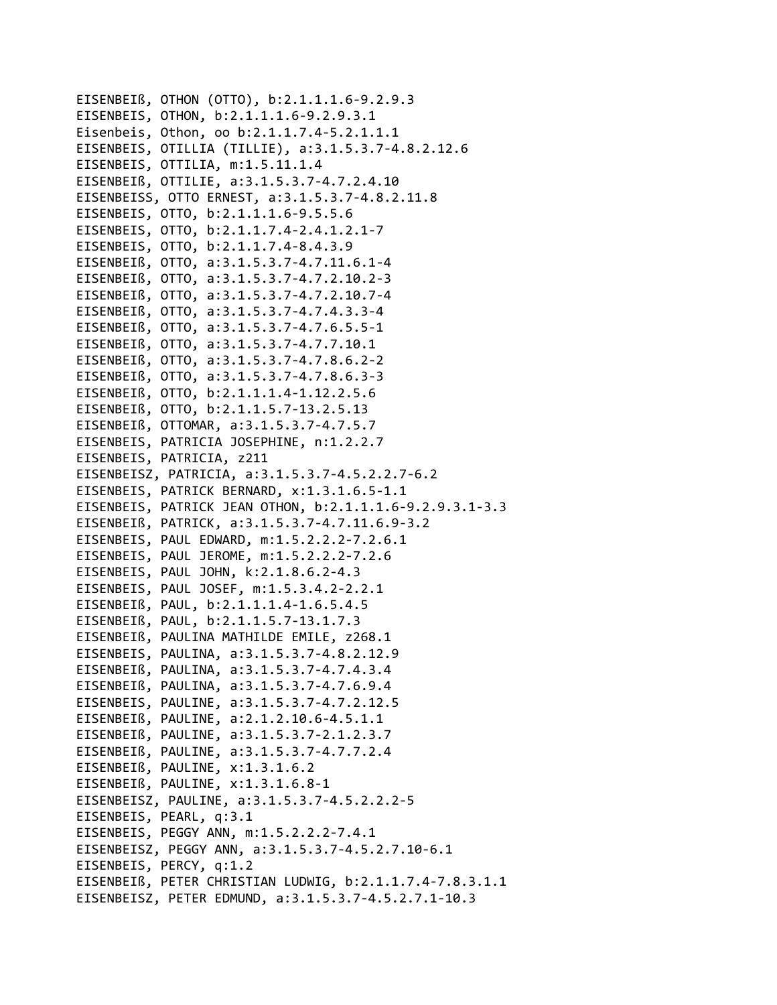```
EISENBEIß, OTHON (OTTO), b:2.1.1.1.6-9.2.9.3
EISENBEIS, OTHON, b:2.1.1.1.6-9.2.9.3.1
Eisenbeis, Othon, oo b:2.1.1.7.4-5.2.1.1.1
EISENBEIS, OTILLIA (TILLIE), a:3.1.5.3.7-4.8.2.12.6
EISENBEIS, OTTILIA, m:1.5.11.1.4
EISENBEIß, OTTILIE, a:3.1.5.3.7-4.7.2.4.10
EISENBEISS, OTTO ERNEST, a:3.1.5.3.7-4.8.2.11.8
EISENBEIS, OTTO, b:2.1.1.1.6-9.5.5.6
EISENBEIS, OTTO, b:2.1.1.7.4-2.4.1.2.1-7
EISENBEIS, OTTO, b:2.1.1.7.4-8.4.3.9
EISENBEIß, OTTO, a:3.1.5.3.7-4.7.11.6.1-4
EISENBEIß, OTTO, a:3.1.5.3.7-4.7.2.10.2-3
EISENBEIß, OTTO, a:3.1.5.3.7-4.7.2.10.7-4
EISENBEIß, OTTO, a:3.1.5.3.7-4.7.4.3.3-4
EISENBEIß, OTTO, a:3.1.5.3.7-4.7.6.5.5-1
EISENBEIß, OTTO, a:3.1.5.3.7-4.7.7.10.1
EISENBEIß, OTTO, a:3.1.5.3.7-4.7.8.6.2-2
EISENBEIß, OTTO, a:3.1.5.3.7-4.7.8.6.3-3
EISENBEIß, OTTO, b:2.1.1.1.4-1.12.2.5.6
EISENBEIß, OTTO, b:2.1.1.5.7-13.2.5.13
EISENBEIß, OTTOMAR, a:3.1.5.3.7-4.7.5.7
EISENBEIS, PATRICIA JOSEPHINE, n:1.2.2.7
EISENBEIS, PATRICIA, z211
EISENBEISZ, PATRICIA, a:3.1.5.3.7-4.5.2.2.7-6.2
EISENBEIS, PATRICK BERNARD, x:1.3.1.6.5-1.1
EISENBEIS, PATRICK JEAN OTHON, b:2.1.1.1.6-9.2.9.3.1-3.3
EISENBEIß, PATRICK, a:3.1.5.3.7-4.7.11.6.9-3.2
EISENBEIS, PAUL EDWARD, m:1.5.2.2.2-7.2.6.1
EISENBEIS, PAUL JEROME, m:1.5.2.2.2-7.2.6
EISENBEIS, PAUL JOHN, k:2.1.8.6.2-4.3
EISENBEIS, PAUL JOSEF, m:1.5.3.4.2-2.2.1
EISENBEIß, PAUL, b:2.1.1.1.4-1.6.5.4.5
EISENBEIß, PAUL, b:2.1.1.5.7-13.1.7.3
EISENBEIß, PAULINA MATHILDE EMILE, z268.1
EISENBEIS, PAULINA, a:3.1.5.3.7-4.8.2.12.9
EISENBEIß, PAULINA, a:3.1.5.3.7-4.7.4.3.4
EISENBEIß, PAULINA, a:3.1.5.3.7-4.7.6.9.4
EISENBEIS, PAULINE, a:3.1.5.3.7-4.7.2.12.5
EISENBEIß, PAULINE, a:2.1.2.10.6-4.5.1.1
EISENBEIß, PAULINE, a:3.1.5.3.7-2.1.2.3.7
EISENBEIß, PAULINE, a:3.1.5.3.7-4.7.7.2.4
EISENBEIß, PAULINE, x:1.3.1.6.2
EISENBEIß, PAULINE, x:1.3.1.6.8-1
EISENBEISZ, PAULINE, a:3.1.5.3.7-4.5.2.2.2-5
EISENBEIS, PEARL, q:3.1
EISENBEIS, PEGGY ANN, m:1.5.2.2.2-7.4.1
EISENBEISZ, PEGGY ANN, a:3.1.5.3.7-4.5.2.7.10-6.1
EISENBEIS, PERCY, q:1.2
EISENBEIß, PETER CHRISTIAN LUDWIG, b:2.1.1.7.4-7.8.3.1.1
EISENBEISZ, PETER EDMUND, a:3.1.5.3.7-4.5.2.7.1-10.3
```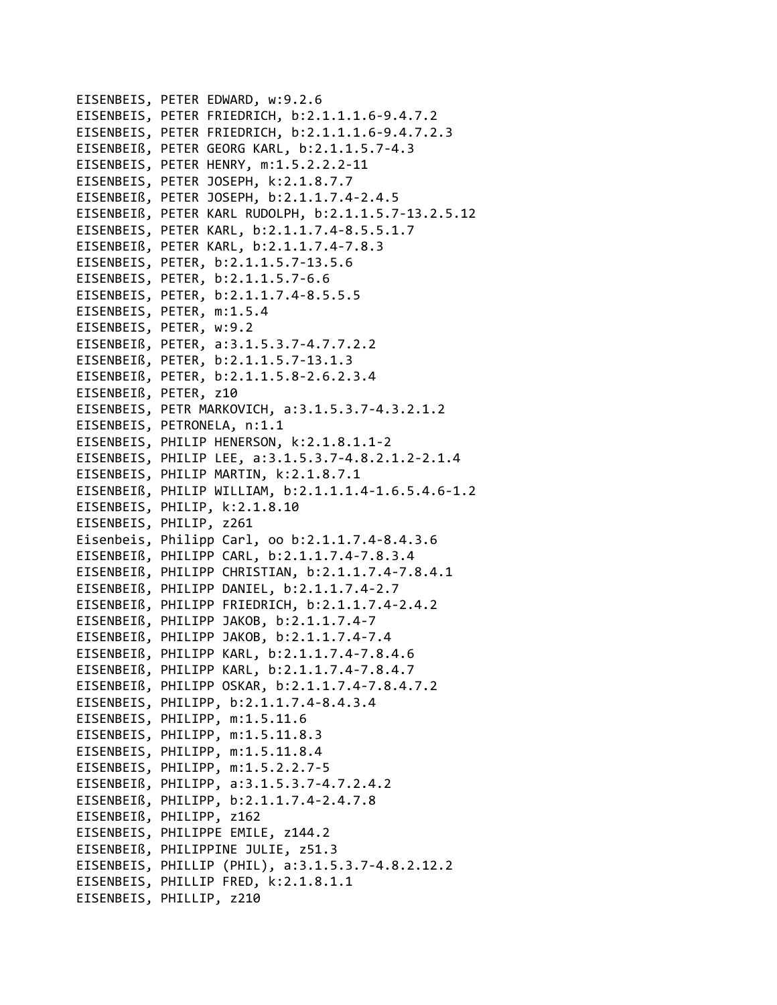```
EISENBEIS, PETER EDWARD, w:9.2.6
EISENBEIS, PETER FRIEDRICH, b:2.1.1.1.6‐9.4.7.2
EISENBEIS, PETER FRIEDRICH, b:2.1.1.1.6‐9.4.7.2.3
EISENBEIß, PETER GEORG KARL, b:2.1.1.5.7‐4.3
EISENBEIS, PETER HENRY, m:1.5.2.2.2‐11
EISENBEIS, PETER JOSEPH, k:2.1.8.7.7
EISENBEIß, PETER JOSEPH, b:2.1.1.7.4‐2.4.5
EISENBEIß, PETER KARL RUDOLPH, b:2.1.1.5.7‐13.2.5.12
EISENBEIS, PETER KARL, b:2.1.1.7.4‐8.5.5.1.7
EISENBEIß, PETER KARL, b:2.1.1.7.4‐7.8.3
EISENBEIS, PETER, b:2.1.1.5.7‐13.5.6
EISENBEIS, PETER, b:2.1.1.5.7‐6.6
EISENBEIS, PETER, b:2.1.1.7.4‐8.5.5.5
EISENBEIS, PETER, m:1.5.4
EISENBEIS, PETER, w:9.2
EISENBEIß, PETER, a:3.1.5.3.7‐4.7.7.2.2
EISENBEIß, PETER, b:2.1.1.5.7‐13.1.3
EISENBEIß, PETER, b:2.1.1.5.8‐2.6.2.3.4
EISENBEIß, PETER, z10
EISENBEIS, PETR MARKOVICH, a:3.1.5.3.7‐4.3.2.1.2
EISENBEIS, PETRONELA, n:1.1
EISENBEIS, PHILIP HENERSON, k:2.1.8.1.1‐2
EISENBEIS, PHILIP LEE, a:3.1.5.3.7‐4.8.2.1.2‐2.1.4
EISENBEIS, PHILIP MARTIN, k:2.1.8.7.1
EISENBEIß, PHILIP WILLIAM, b:2.1.1.1.4‐1.6.5.4.6‐1.2
EISENBEIS, PHILIP, k:2.1.8.10
EISENBEIS, PHILIP, z261
Eisenbeis, Philipp Carl, oo b:2.1.1.7.4‐8.4.3.6
EISENBEIß, PHILIPP CARL, b:2.1.1.7.4‐7.8.3.4
EISENBEIß, PHILIPP CHRISTIAN, b:2.1.1.7.4‐7.8.4.1
EISENBEIß, PHILIPP DANIEL, b:2.1.1.7.4‐2.7
EISENBEIß, PHILIPP FRIEDRICH, b:2.1.1.7.4‐2.4.2
EISENBEIß, PHILIPP JAKOB, b:2.1.1.7.4‐7
EISENBEIß, PHILIPP JAKOB, b:2.1.1.7.4‐7.4
EISENBEIß, PHILIPP KARL, b:2.1.1.7.4‐7.8.4.6
EISENBEIß, PHILIPP KARL, b:2.1.1.7.4‐7.8.4.7
EISENBEIß, PHILIPP OSKAR, b:2.1.1.7.4‐7.8.4.7.2
EISENBEIS, PHILIPP, b:2.1.1.7.4‐8.4.3.4
EISENBEIS, PHILIPP, m:1.5.11.6
EISENBEIS, PHILIPP, m:1.5.11.8.3
EISENBEIS, PHILIPP, m:1.5.11.8.4
EISENBEIS, PHILIPP, m:1.5.2.2.7‐5
EISENBEIß, PHILIPP, a:3.1.5.3.7‐4.7.2.4.2
EISENBEIß, PHILIPP, b:2.1.1.7.4‐2.4.7.8
EISENBEIß, PHILIPP, z162
EISENBEIS, PHILIPPE EMILE, z144.2
EISENBEIß, PHILIPPINE JULIE, z51.3
EISENBEIS, PHILLIP (PHIL), a:3.1.5.3.7‐4.8.2.12.2
EISENBEIS, PHILLIP FRED, k:2.1.8.1.1
EISENBEIS, PHILLIP, z210
```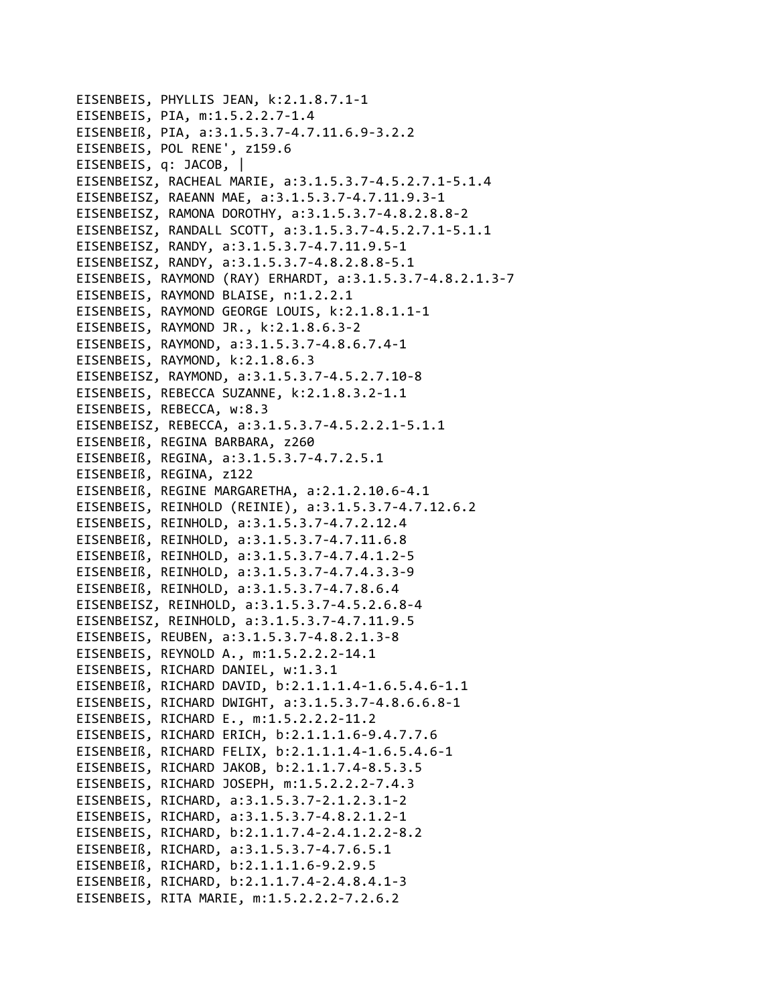```
EISENBEIS, PHYLLIS JEAN, k:2.1.8.7.1-1
EISENBEIS, PIA, m:1.5.2.2.7-1.4
EISENBEIß, PIA, a:3.1.5.3.7-4.7.11.6.9-3.2.2
EISENBEIS, POL RENE', z159.6
EISENBEIS, q: JACOB, |
EISENBEISZ, RACHEAL MARIE, a:3.1.5.3.7-4.5.2.7.1-5.1.4
EISENBEISZ, RAEANN MAE, a:3.1.5.3.7-4.7.11.9.3-1
EISENBEISZ, RAMONA DOROTHY, a:3.1.5.3.7-4.8.2.8.8-2
EISENBEISZ, RANDALL SCOTT, a:3.1.5.3.7-4.5.2.7.1-5.1.1
EISENBEISZ, RANDY, a:3.1.5.3.7-4.7.11.9.5-1
EISENBEISZ, RANDY, a:3.1.5.3.7-4.8.2.8.8-5.1
EISENBEIS, RAYMOND (RAY) ERHARDT, a:3.1.5.3.7-4.8.2.1.3-7
EISENBEIS, RAYMOND BLAISE, n:1.2.2.1
EISENBEIS, RAYMOND GEORGE LOUIS, k:2.1.8.1.1-1
EISENBEIS, RAYMOND JR., k:2.1.8.6.3-2
EISENBEIS, RAYMOND, a:3.1.5.3.7-4.8.6.7.4-1
EISENBEIS, RAYMOND, k:2.1.8.6.3
EISENBEISZ, RAYMOND, a:3.1.5.3.7-4.5.2.7.10-8
EISENBEIS, REBECCA SUZANNE, k:2.1.8.3.2-1.1
EISENBEIS, REBECCA, w:8.3
EISENBEISZ, REBECCA, a:3.1.5.3.7-4.5.2.2.1-5.1.1
EISENBEIß, REGINA BARBARA, z260
EISENBEIß, REGINA, a:3.1.5.3.7-4.7.2.5.1
EISENBEIß, REGINA, z122
EISENBEIß, REGINE MARGARETHA, a:2.1.2.10.6-4.1
EISENBEIS, REINHOLD (REINIE), a:3.1.5.3.7-4.7.12.6.2
EISENBEIS, REINHOLD, a:3.1.5.3.7-4.7.2.12.4
EISENBEIß, REINHOLD, a:3.1.5.3.7-4.7.11.6.8
EISENBEIß, REINHOLD, a:3.1.5.3.7-4.7.4.1.2-5
EISENBEIß, REINHOLD, a:3.1.5.3.7-4.7.4.3.3-9
EISENBEIß, REINHOLD, a:3.1.5.3.7-4.7.8.6.4
EISENBEISZ, REINHOLD, a:3.1.5.3.7-4.5.2.6.8-4
EISENBEISZ, REINHOLD, a:3.1.5.3.7-4.7.11.9.5
EISENBEIS, REUBEN, a:3.1.5.3.7-4.8.2.1.3-8
EISENBEIS, REYNOLD A., m:1.5.2.2.2-14.1
EISENBEIS, RICHARD DANIEL, w:1.3.1
EISENBEIß, RICHARD DAVID, b:2.1.1.1.4-1.6.5.4.6-1.1
EISENBEIS, RICHARD DWIGHT, a:3.1.5.3.7-4.8.6.6.8-1
EISENBEIS, RICHARD E., m:1.5.2.2.2-11.2
EISENBEIS, RICHARD ERICH, b:2.1.1.1.6-9.4.7.7.6
EISENBEIß, RICHARD FELIX, b:2.1.1.1.4-1.6.5.4.6-1
EISENBEIS, RICHARD JAKOB, b:2.1.1.7.4-8.5.3.5
EISENBEIS, RICHARD JOSEPH, m:1.5.2.2.2-7.4.3
EISENBEIS, RICHARD, a:3.1.5.3.7-2.1.2.3.1-2
EISENBEIS, RICHARD, a:3.1.5.3.7-4.8.2.1.2-1
EISENBEIS, RICHARD, b:2.1.1.7.4-2.4.1.2.2-8.2
EISENBEIß, RICHARD, a:3.1.5.3.7-4.7.6.5.1
EISENBEIß, RICHARD, b:2.1.1.1.6-9.2.9.5
EISENBEIß, RICHARD, b:2.1.1.7.4-2.4.8.4.1-3
EISENBEIS, RITA MARIE, m:1.5.2.2.2-7.2.6.2
```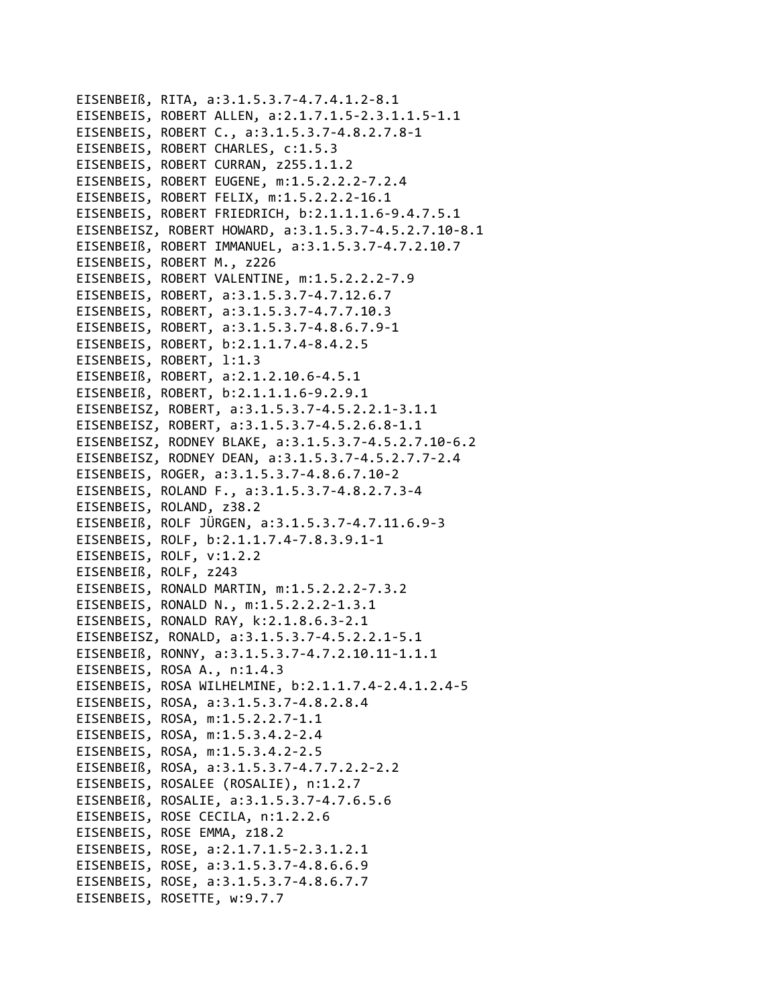EISENBEIß, RITA, a:3.1.5.3.7-4.7.4.1.2-8.1 EISENBEIS, ROBERT ALLEN, a:2.1.7.1.5-2.3.1.1.5-1.1 EISENBEIS, ROBERT C., a:3.1.5.3.7-4.8.2.7.8-1 EISENBEIS, ROBERT CHARLES, c:1.5.3 EISENBEIS, ROBERT CURRAN, z255.1.1.2 EISENBEIS, ROBERT EUGENE, m:1.5.2.2.2-7.2.4 EISENBEIS, ROBERT FELIX, m:1.5.2.2.2-16.1 EISENBEIS, ROBERT FRIEDRICH, b:2.1.1.1.6-9.4.7.5.1 EISENBEISZ, ROBERT HOWARD, a:3.1.5.3.7-4.5.2.7.10-8.1 EISENBEIß, ROBERT IMMANUEL, a:3.1.5.3.7-4.7.2.10.7 EISENBEIS, ROBERT M., z226 EISENBEIS, ROBERT VALENTINE, m:1.5.2.2.2-7.9 EISENBEIS, ROBERT, a:3.1.5.3.7-4.7.12.6.7 EISENBEIS, ROBERT, a:3.1.5.3.7-4.7.7.10.3 EISENBEIS, ROBERT, a:3.1.5.3.7-4.8.6.7.9-1 EISENBEIS, ROBERT, b:2.1.1.7.4-8.4.2.5 EISENBEIS, ROBERT, 1:1.3 EISENBEIß, ROBERT, a:2.1.2.10.6-4.5.1 EISENBEIß, ROBERT, b:2.1.1.1.6-9.2.9.1 EISENBEISZ, ROBERT, a:3.1.5.3.7-4.5.2.2.1-3.1.1 EISENBEISZ, ROBERT, a:3.1.5.3.7-4.5.2.6.8-1.1 EISENBEISZ, RODNEY BLAKE, a:3.1.5.3.7-4.5.2.7.10-6.2 EISENBEISZ, RODNEY DEAN, a:3.1.5.3.7-4.5.2.7.7-2.4 EISENBEIS, ROGER, a:3.1.5.3.7-4.8.6.7.10-2 EISENBEIS, ROLAND F., a:3.1.5.3.7-4.8.2.7.3-4 EISENBEIS, ROLAND, z38.2 EISENBEIß, ROLF JÜRGEN, a:3.1.5.3.7-4.7.11.6.9-3 EISENBEIS, ROLF, b:2.1.1.7.4-7.8.3.9.1-1 EISENBEIS, ROLF, v:1.2.2 EISENBEIß, ROLF, z243 EISENBEIS, RONALD MARTIN, m:1.5.2.2.2-7.3.2 EISENBEIS, RONALD N., m:1.5.2.2.2-1.3.1 EISENBEIS, RONALD RAY, k:2.1.8.6.3-2.1 EISENBEISZ, RONALD, a:3.1.5.3.7-4.5.2.2.1-5.1 EISENBEIß, RONNY, a:3.1.5.3.7-4.7.2.10.11-1.1.1 EISENBEIS, ROSA A., n:1.4.3 EISENBEIS, ROSA WILHELMINE, b:2.1.1.7.4-2.4.1.2.4-5 EISENBEIS, ROSA, a:3.1.5.3.7-4.8.2.8.4 EISENBEIS, ROSA, m:1.5.2.2.7-1.1 EISENBEIS, ROSA, m:1.5.3.4.2-2.4 EISENBEIS, ROSA, m:1.5.3.4.2-2.5 EISENBEIß, ROSA, a:3.1.5.3.7-4.7.7.2.2-2.2 EISENBEIS, ROSALEE (ROSALIE), n:1.2.7 EISENBEIß, ROSALIE, a:3.1.5.3.7-4.7.6.5.6 EISENBEIS, ROSE CECILA, n:1.2.2.6 EISENBEIS, ROSE EMMA, z18.2 EISENBEIS, ROSE, a:2.1.7.1.5-2.3.1.2.1 EISENBEIS, ROSE, a:3.1.5.3.7-4.8.6.6.9 EISENBEIS, ROSE, a:3.1.5.3.7-4.8.6.7.7 EISENBEIS, ROSETTE, w:9.7.7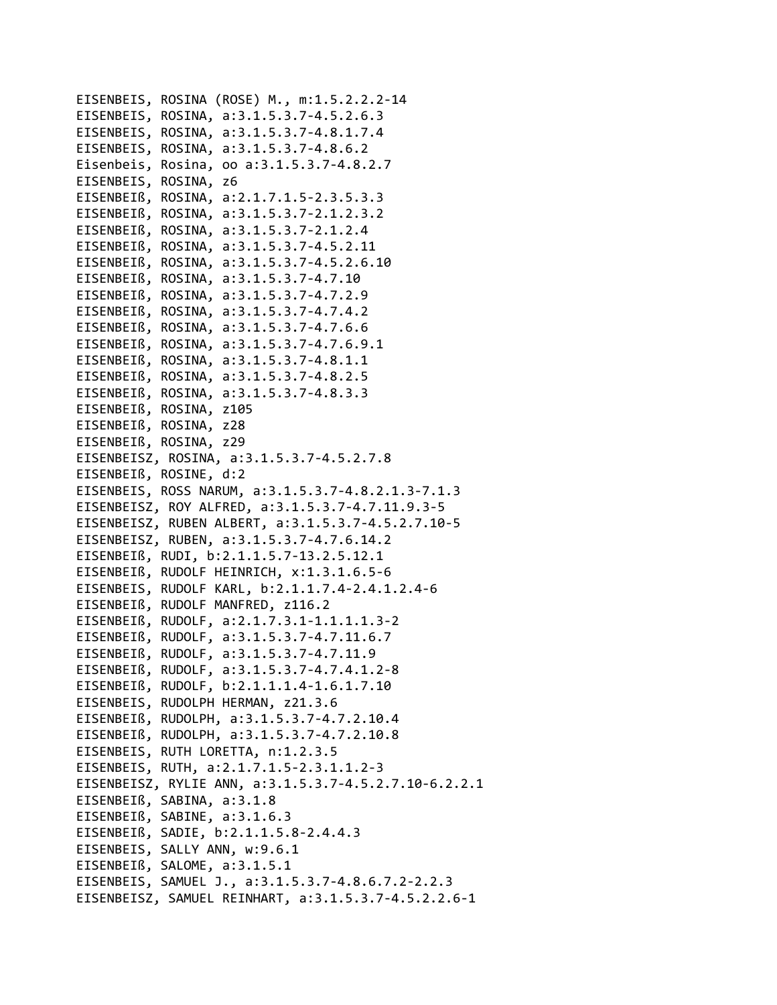EISENBEIS, ROSINA (ROSE) M., m:1.5.2.2.2-14 EISENBEIS, ROSINA, a:3.1.5.3.7-4.5.2.6.3 EISENBEIS, ROSINA, a:3.1.5.3.7-4.8.1.7.4 EISENBEIS, ROSINA, a:3.1.5.3.7-4.8.6.2 Eisenbeis, Rosina, oo a:3.1.5.3.7-4.8.2.7 EISENBEIS, ROSINA, z6 EISENBEIß, ROSINA, a:2.1.7.1.5-2.3.5.3.3 EISENBEIß, ROSINA, a:3.1.5.3.7-2.1.2.3.2 EISENBEIß, ROSINA, a:3.1.5.3.7-2.1.2.4 EISENBEIß, ROSINA, a:3.1.5.3.7-4.5.2.11 EISENBEIß, ROSINA, a:3.1.5.3.7-4.5.2.6.10 EISENBEIß, ROSINA, a:3.1.5.3.7-4.7.10 EISENBEIß, ROSINA, a:3.1.5.3.7-4.7.2.9 EISENBEIß, ROSINA, a:3.1.5.3.7-4.7.4.2 EISENBEIß, ROSINA, a:3.1.5.3.7-4.7.6.6 EISENBEIß, ROSINA, a:3.1.5.3.7-4.7.6.9.1 EISENBEIß, ROSINA, a:3.1.5.3.7-4.8.1.1 EISENBEIß, ROSINA, a:3.1.5.3.7-4.8.2.5 EISENBEIß, ROSINA, a:3.1.5.3.7-4.8.3.3 EISENBEIß, ROSINA, z105 EISENBEIß, ROSINA, z28 EISENBEIß, ROSINA, z29 EISENBEISZ, ROSINA, a:3.1.5.3.7-4.5.2.7.8 EISENBEIß, ROSINE, d:2 EISENBEIS, ROSS NARUM, a:3.1.5.3.7-4.8.2.1.3-7.1.3 EISENBEISZ, ROY ALFRED, a:3.1.5.3.7-4.7.11.9.3-5 EISENBEISZ, RUBEN ALBERT, a:3.1.5.3.7-4.5.2.7.10-5 EISENBEISZ, RUBEN, a:3.1.5.3.7-4.7.6.14.2 EISENBEIß, RUDI, b:2.1.1.5.7-13.2.5.12.1 EISENBEIß, RUDOLF HEINRICH, x:1.3.1.6.5-6 EISENBEIS, RUDOLF KARL, b:2.1.1.7.4-2.4.1.2.4-6 EISENBEIß, RUDOLF MANFRED, z116.2 EISENBEIß, RUDOLF, a:2.1.7.3.1-1.1.1.1.3-2 EISENBEIß, RUDOLF, a:3.1.5.3.7-4.7.11.6.7 EISENBEIß, RUDOLF, a:3.1.5.3.7-4.7.11.9 EISENBEIß, RUDOLF, a:3.1.5.3.7-4.7.4.1.2-8 EISENBEIß, RUDOLF, b:2.1.1.1.4-1.6.1.7.10 EISENBEIS, RUDOLPH HERMAN, z21.3.6 EISENBEIß, RUDOLPH, a:3.1.5.3.7-4.7.2.10.4 EISENBEIß, RUDOLPH, a:3.1.5.3.7-4.7.2.10.8 EISENBEIS, RUTH LORETTA, n:1.2.3.5 EISENBEIS, RUTH, a:2.1.7.1.5-2.3.1.1.2-3 EISENBEISZ, RYLIE ANN, a:3.1.5.3.7-4.5.2.7.10-6.2.2.1 EISENBEIß, SABINA, a:3.1.8 EISENBEIß, SABINE, a:3.1.6.3 EISENBEIß, SADIE, b:2.1.1.5.8-2.4.4.3 EISENBEIS, SALLY ANN, w:9.6.1 EISENBEIß, SALOME, a:3.1.5.1 EISENBEIS, SAMUEL J., a:3.1.5.3.7-4.8.6.7.2-2.2.3 EISENBEISZ, SAMUEL REINHART, a:3.1.5.3.7-4.5.2.2.6-1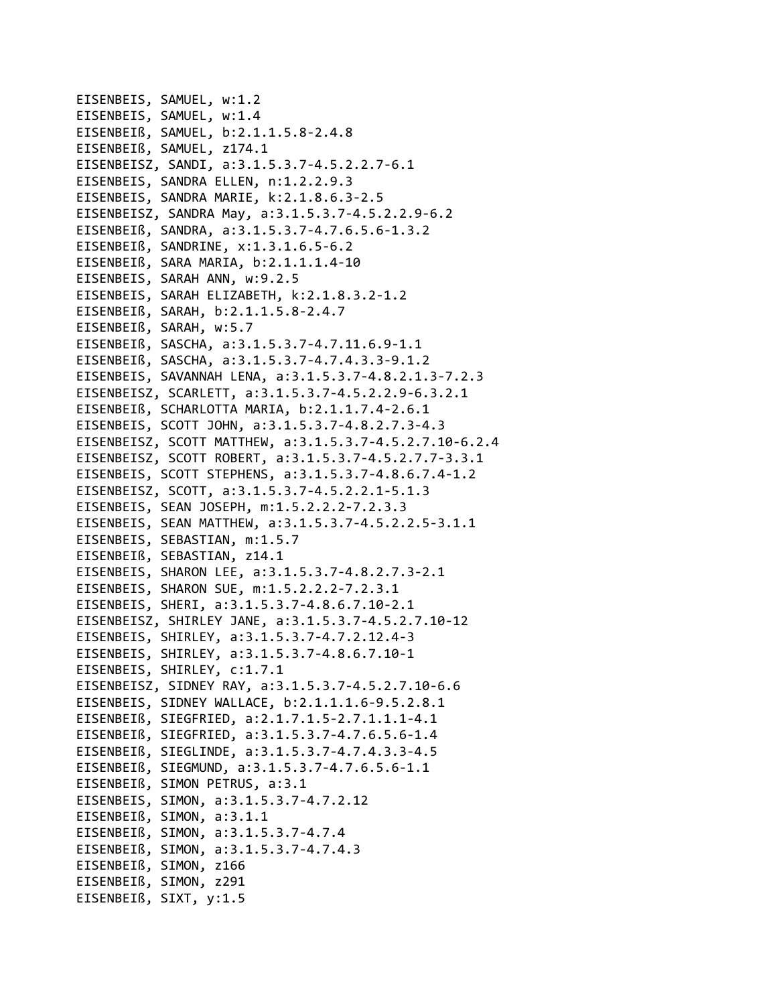EISENBEIS, SAMUEL, w:1.2 EISENBEIS, SAMUEL, w:1.4 EISENBEIß, SAMUEL, b:2.1.1.5.8‐2.4.8 EISENBEIß, SAMUEL, z174.1 EISENBEISZ, SANDI, a:3.1.5.3.7‐4.5.2.2.7‐6.1 EISENBEIS, SANDRA ELLEN, n:1.2.2.9.3 EISENBEIS, SANDRA MARIE, k:2.1.8.6.3‐2.5 EISENBEISZ, SANDRA May, a:3.1.5.3.7‐4.5.2.2.9‐6.2 EISENBEIß, SANDRA, a:3.1.5.3.7‐4.7.6.5.6‐1.3.2 EISENBEIß, SANDRINE, x:1.3.1.6.5‐6.2 EISENBEIß, SARA MARIA, b:2.1.1.1.4‐10 EISENBEIS, SARAH ANN, w:9.2.5 EISENBEIS, SARAH ELIZABETH, k:2.1.8.3.2‐1.2 EISENBEIß, SARAH, b:2.1.1.5.8‐2.4.7 EISENBEIß, SARAH, w:5.7 EISENBEIß, SASCHA, a:3.1.5.3.7‐4.7.11.6.9‐1.1 EISENBEIß, SASCHA, a:3.1.5.3.7‐4.7.4.3.3‐9.1.2 EISENBEIS, SAVANNAH LENA, a:3.1.5.3.7‐4.8.2.1.3‐7.2.3 EISENBEISZ, SCARLETT, a:3.1.5.3.7‐4.5.2.2.9‐6.3.2.1 EISENBEIß, SCHARLOTTA MARIA, b:2.1.1.7.4‐2.6.1 EISENBEIS, SCOTT JOHN, a:3.1.5.3.7‐4.8.2.7.3‐4.3 EISENBEISZ, SCOTT MATTHEW, a:3.1.5.3.7‐4.5.2.7.10‐6.2.4 EISENBEISZ, SCOTT ROBERT, a:3.1.5.3.7‐4.5.2.7.7‐3.3.1 EISENBEIS, SCOTT STEPHENS, a:3.1.5.3.7‐4.8.6.7.4‐1.2 EISENBEISZ, SCOTT, a:3.1.5.3.7‐4.5.2.2.1‐5.1.3 EISENBEIS, SEAN JOSEPH, m:1.5.2.2.2‐7.2.3.3 EISENBEIS, SEAN MATTHEW, a:3.1.5.3.7‐4.5.2.2.5‐3.1.1 EISENBEIS, SEBASTIAN, m:1.5.7 EISENBEIß, SEBASTIAN, z14.1 EISENBEIS, SHARON LEE, a:3.1.5.3.7‐4.8.2.7.3‐2.1 EISENBEIS, SHARON SUE, m:1.5.2.2.2‐7.2.3.1 EISENBEIS, SHERI, a:3.1.5.3.7‐4.8.6.7.10‐2.1 EISENBEISZ, SHIRLEY JANE, a:3.1.5.3.7‐4.5.2.7.10‐12 EISENBEIS, SHIRLEY, a:3.1.5.3.7‐4.7.2.12.4‐3 EISENBEIS, SHIRLEY, a:3.1.5.3.7‐4.8.6.7.10‐1 EISENBEIS, SHIRLEY, c:1.7.1 EISENBEISZ, SIDNEY RAY, a:3.1.5.3.7‐4.5.2.7.10‐6.6 EISENBEIS, SIDNEY WALLACE, b:2.1.1.1.6‐9.5.2.8.1 EISENBEIß, SIEGFRIED, a:2.1.7.1.5‐2.7.1.1.1‐4.1 EISENBEIß, SIEGFRIED, a:3.1.5.3.7‐4.7.6.5.6‐1.4 EISENBEIß, SIEGLINDE, a:3.1.5.3.7‐4.7.4.3.3‐4.5 EISENBEIß, SIEGMUND, a:3.1.5.3.7‐4.7.6.5.6‐1.1 EISENBEIß, SIMON PETRUS, a:3.1 EISENBEIS, SIMON, a:3.1.5.3.7‐4.7.2.12 EISENBEIß, SIMON, a:3.1.1 EISENBEIß, SIMON, a:3.1.5.3.7‐4.7.4 EISENBEIß, SIMON, a:3.1.5.3.7‐4.7.4.3 EISENBEIß, SIMON, z166 EISENBEIß, SIMON, z291 EISENBEIß, SIXT, y:1.5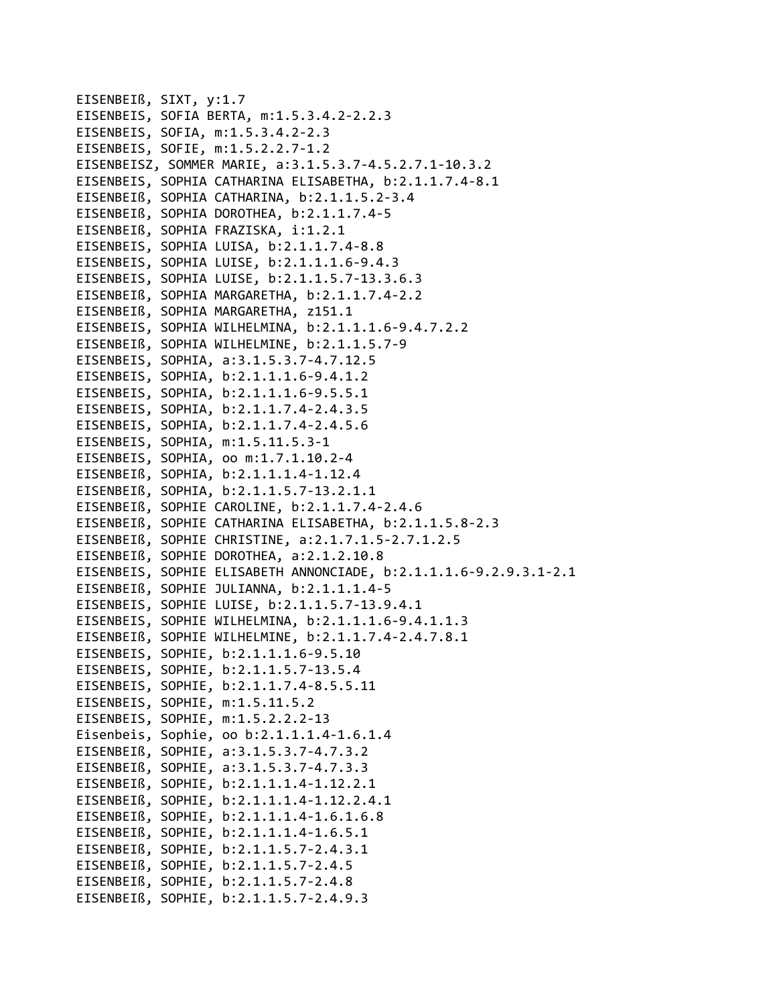```
EISENBEIß, SIXT, y:1.7
EISENBEIS, SOFIA BERTA, m:1.5.3.4.2‐2.2.3
EISENBEIS, SOFIA, m:1.5.3.4.2‐2.3
EISENBEIS, SOFIE, m:1.5.2.2.7‐1.2
EISENBEISZ, SOMMER MARIE, a:3.1.5.3.7‐4.5.2.7.1‐10.3.2
EISENBEIS, SOPHIA CATHARINA ELISABETHA, b:2.1.1.7.4‐8.1
EISENBEIß, SOPHIA CATHARINA, b:2.1.1.5.2‐3.4
EISENBEIß, SOPHIA DOROTHEA, b:2.1.1.7.4‐5
EISENBEIß, SOPHIA FRAZISKA, i:1.2.1
EISENBEIS, SOPHIA LUISA, b:2.1.1.7.4‐8.8
EISENBEIS, SOPHIA LUISE, b:2.1.1.1.6‐9.4.3
EISENBEIS, SOPHIA LUISE, b:2.1.1.5.7‐13.3.6.3
EISENBEIß, SOPHIA MARGARETHA, b:2.1.1.7.4‐2.2
EISENBEIß, SOPHIA MARGARETHA, z151.1
EISENBEIS, SOPHIA WILHELMINA, b:2.1.1.1.6‐9.4.7.2.2
EISENBEIß, SOPHIA WILHELMINE, b:2.1.1.5.7‐9
EISENBEIS, SOPHIA, a:3.1.5.3.7‐4.7.12.5
EISENBEIS, SOPHIA, b:2.1.1.1.6‐9.4.1.2
EISENBEIS, SOPHIA, b:2.1.1.1.6‐9.5.5.1
EISENBEIS, SOPHIA, b:2.1.1.7.4‐2.4.3.5
EISENBEIS, SOPHIA, b:2.1.1.7.4‐2.4.5.6
EISENBEIS, SOPHIA, m:1.5.11.5.3‐1
EISENBEIS, SOPHIA, oo m:1.7.1.10.2‐4
EISENBEIß, SOPHIA, b:2.1.1.1.4‐1.12.4
EISENBEIß, SOPHIA, b:2.1.1.5.7‐13.2.1.1
EISENBEIß, SOPHIE CAROLINE, b:2.1.1.7.4‐2.4.6
EISENBEIß, SOPHIE CATHARINA ELISABETHA, b:2.1.1.5.8‐2.3
EISENBEIß, SOPHIE CHRISTINE, a:2.1.7.1.5‐2.7.1.2.5
EISENBEIß, SOPHIE DOROTHEA, a:2.1.2.10.8
EISENBEIS, SOPHIE ELISABETH ANNONCIADE, b:2.1.1.1.6‐9.2.9.3.1‐2.1
EISENBEIß, SOPHIE JULIANNA, b:2.1.1.1.4‐5
EISENBEIS, SOPHIE LUISE, b:2.1.1.5.7‐13.9.4.1
EISENBEIS, SOPHIE WILHELMINA, b:2.1.1.1.6‐9.4.1.1.3
EISENBEIß, SOPHIE WILHELMINE, b:2.1.1.7.4‐2.4.7.8.1
EISENBEIS, SOPHIE, b:2.1.1.1.6‐9.5.10
EISENBEIS, SOPHIE, b:2.1.1.5.7‐13.5.4
EISENBEIS, SOPHIE, b:2.1.1.7.4‐8.5.5.11
EISENBEIS, SOPHIE, m:1.5.11.5.2
EISENBEIS, SOPHIE, m:1.5.2.2.2‐13
Eisenbeis, Sophie, oo b:2.1.1.1.4‐1.6.1.4
EISENBEIß, SOPHIE, a:3.1.5.3.7‐4.7.3.2
EISENBEIß, SOPHIE, a:3.1.5.3.7‐4.7.3.3
EISENBEIß, SOPHIE, b:2.1.1.1.4‐1.12.2.1
EISENBEIß, SOPHIE, b:2.1.1.1.4‐1.12.2.4.1
EISENBEIß, SOPHIE, b:2.1.1.1.4‐1.6.1.6.8
EISENBEIß, SOPHIE, b:2.1.1.1.4‐1.6.5.1
EISENBEIß, SOPHIE, b:2.1.1.5.7‐2.4.3.1
EISENBEIß, SOPHIE, b:2.1.1.5.7‐2.4.5
EISENBEIß, SOPHIE, b:2.1.1.5.7‐2.4.8
EISENBEIß, SOPHIE, b:2.1.1.5.7‐2.4.9.3
```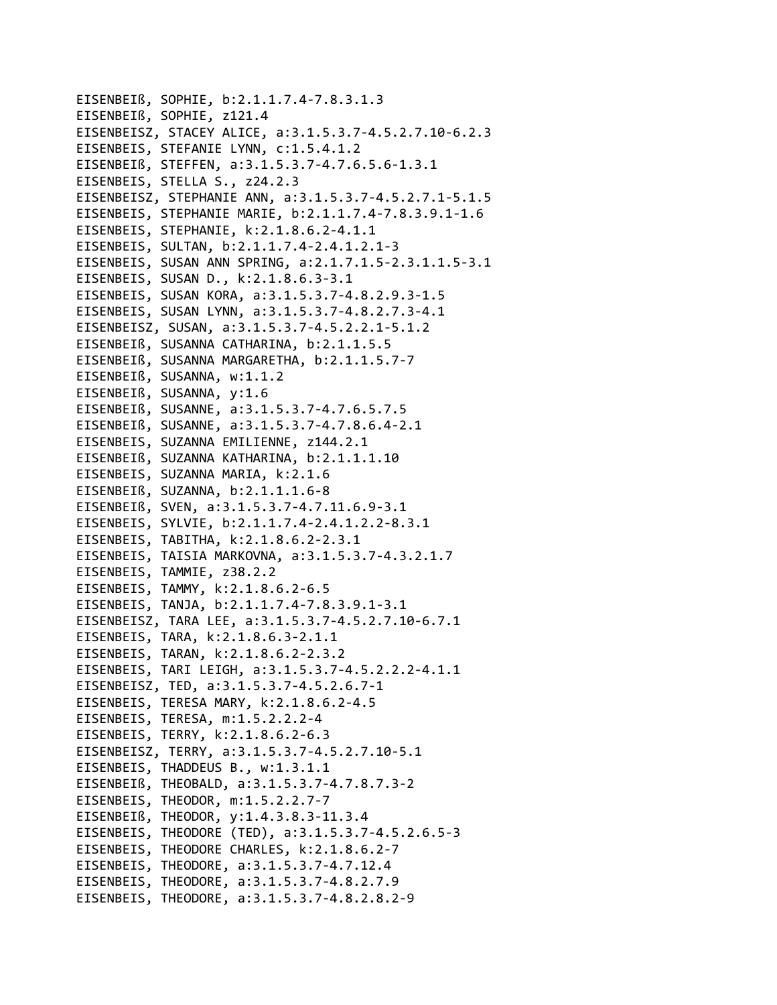```
EISENBEIß, SOPHIE, b:2.1.1.7.4-7.8.3.1.3
EISENBEIß, SOPHIE, z121.4
EISENBEISZ, STACEY ALICE, a:3.1.5.3.7-4.5.2.7.10-6.2.3
EISENBEIS, STEFANIE LYNN, c:1.5.4.1.2
EISENBEIß, STEFFEN, a:3.1.5.3.7-4.7.6.5.6-1.3.1
EISENBEIS, STELLA S., z24.2.3
EISENBEISZ, STEPHANIE ANN, a:3.1.5.3.7-4.5.2.7.1-5.1.5
EISENBEIS, STEPHANIE MARIE, b:2.1.1.7.4-7.8.3.9.1-1.6
EISENBEIS, STEPHANIE, k:2.1.8.6.2-4.1.1
EISENBEIS, SULTAN, b:2.1.1.7.4-2.4.1.2.1-3
EISENBEIS, SUSAN ANN SPRING, a:2.1.7.1.5-2.3.1.1.5-3.1
EISENBEIS, SUSAN D., k:2.1.8.6.3-3.1
EISENBEIS, SUSAN KORA, a:3.1.5.3.7-4.8.2.9.3-1.5
EISENBEIS, SUSAN LYNN, a:3.1.5.3.7-4.8.2.7.3-4.1
EISENBEISZ, SUSAN, a:3.1.5.3.7-4.5.2.2.1-5.1.2
EISENBEIß, SUSANNA CATHARINA, b:2.1.1.5.5
EISENBEIß, SUSANNA MARGARETHA, b:2.1.1.5.7-7
EISENBEIß, SUSANNA, w:1.1.2
EISENBEIß, SUSANNA, y:1.6
EISENBEIß, SUSANNE, a:3.1.5.3.7-4.7.6.5.7.5
EISENBEIß, SUSANNE, a:3.1.5.3.7-4.7.8.6.4-2.1
EISENBEIS, SUZANNA EMILIENNE, z144.2.1
EISENBEIß, SUZANNA KATHARINA, b:2.1.1.1.10
EISENBEIS, SUZANNA MARIA, k:2.1.6
EISENBEIß, SUZANNA, b:2.1.1.1.6-8
EISENBEIß, SVEN, a:3.1.5.3.7-4.7.11.6.9-3.1
EISENBEIS, SYLVIE, b:2.1.1.7.4-2.4.1.2.2-8.3.1
EISENBEIS, TABITHA, k:2.1.8.6.2-2.3.1
EISENBEIS, TAISIA MARKOVNA, a:3.1.5.3.7-4.3.2.1.7
EISENBEIS, TAMMIE, z38.2.2
EISENBEIS, TAMMY, k:2.1.8.6.2-6.5
EISENBEIS, TANJA, b:2.1.1.7.4-7.8.3.9.1-3.1
EISENBEISZ, TARA LEE, a:3.1.5.3.7-4.5.2.7.10-6.7.1
EISENBEIS, TARA, k:2.1.8.6.3-2.1.1
EISENBEIS, TARAN, k:2.1.8.6.2-2.3.2
EISENBEIS, TARI LEIGH, a:3.1.5.3.7-4.5.2.2.2-4.1.1
EISENBEISZ, TED, a:3.1.5.3.7-4.5.2.6.7-1
EISENBEIS, TERESA MARY, k:2.1.8.6.2-4.5
EISENBEIS, TERESA, m:1.5.2.2.2-4
EISENBEIS, TERRY, k:2.1.8.6.2-6.3
EISENBEISZ, TERRY, a:3.1.5.3.7-4.5.2.7.10-5.1
EISENBEIS, THADDEUS B., w:1.3.1.1
EISENBEIß, THEOBALD, a:3.1.5.3.7-4.7.8.7.3-2
EISENBEIS, THEODOR, m:1.5.2.2.7-7
EISENBEIß, THEODOR, y:1.4.3.8.3-11.3.4
EISENBEIS, THEODORE (TED), a:3.1.5.3.7-4.5.2.6.5-3
EISENBEIS, THEODORE CHARLES, k:2.1.8.6.2-7
EISENBEIS, THEODORE, a:3.1.5.3.7-4.7.12.4
EISENBEIS, THEODORE, a:3.1.5.3.7-4.8.2.7.9
EISENBEIS, THEODORE, a:3.1.5.3.7-4.8.2.8.2-9
```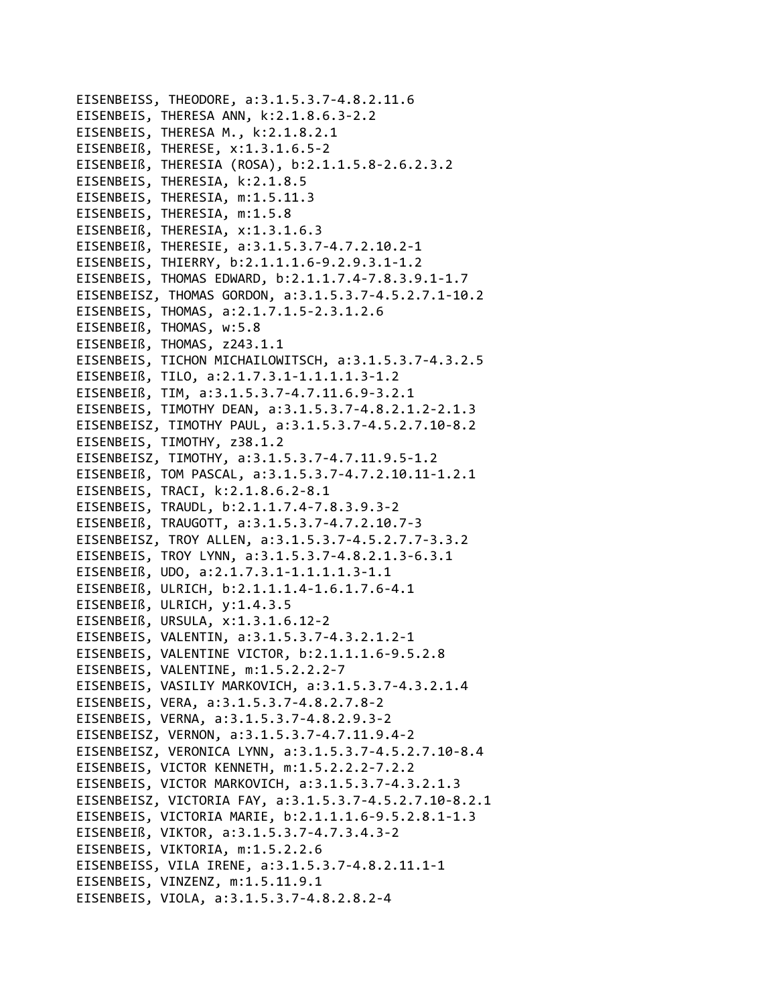EISENBEISS, THEODORE, a:3.1.5.3.7-4.8.2.11.6 EISENBEIS, THERESA ANN, k:2.1.8.6.3-2.2 EISENBEIS, THERESA M., k:2.1.8.2.1 EISENBEIß, THERESE, x:1.3.1.6.5-2 EISENBEIß, THERESIA (ROSA), b:2.1.1.5.8-2.6.2.3.2 EISENBEIS, THERESIA, k:2.1.8.5 EISENBEIS, THERESIA, m:1.5.11.3 EISENBEIS, THERESIA, m:1.5.8 EISENBEIß, THERESIA, x:1.3.1.6.3 EISENBEIß, THERESIE, a:3.1.5.3.7-4.7.2.10.2-1 EISENBEIS, THIERRY, b:2.1.1.1.6-9.2.9.3.1-1.2 EISENBEIS, THOMAS EDWARD, b:2.1.1.7.4-7.8.3.9.1-1.7 EISENBEISZ, THOMAS GORDON, a:3.1.5.3.7-4.5.2.7.1-10.2 EISENBEIS, THOMAS, a:2.1.7.1.5-2.3.1.2.6 EISENBEIß, THOMAS, w:5.8 EISENBEIß, THOMAS, z243.1.1 EISENBEIS, TICHON MICHAILOWITSCH, a:3.1.5.3.7-4.3.2.5 EISENBEIß, TILO, a:2.1.7.3.1-1.1.1.1.3-1.2 EISENBEIß, TIM, a:3.1.5.3.7-4.7.11.6.9-3.2.1 EISENBEIS, TIMOTHY DEAN, a:3.1.5.3.7-4.8.2.1.2-2.1.3 EISENBEISZ, TIMOTHY PAUL, a:3.1.5.3.7-4.5.2.7.10-8.2 EISENBEIS, TIMOTHY, z38.1.2 EISENBEISZ, TIMOTHY, a:3.1.5.3.7-4.7.11.9.5-1.2 EISENBEIß, TOM PASCAL, a:3.1.5.3.7-4.7.2.10.11-1.2.1 EISENBEIS, TRACI, k:2.1.8.6.2-8.1 EISENBEIS, TRAUDL, b:2.1.1.7.4-7.8.3.9.3-2 EISENBEIß, TRAUGOTT, a:3.1.5.3.7-4.7.2.10.7-3 EISENBEISZ, TROY ALLEN, a:3.1.5.3.7-4.5.2.7.7-3.3.2 EISENBEIS, TROY LYNN, a:3.1.5.3.7-4.8.2.1.3-6.3.1 EISENBEIß, UDO, a:2.1.7.3.1-1.1.1.1.3-1.1 EISENBEIß, ULRICH, b:2.1.1.1.4-1.6.1.7.6-4.1 EISENBEIß, ULRICH, y:1.4.3.5 EISENBEIß, URSULA, x:1.3.1.6.12-2 EISENBEIS, VALENTIN, a:3.1.5.3.7-4.3.2.1.2-1 EISENBEIS, VALENTINE VICTOR, b:2.1.1.1.6-9.5.2.8 EISENBEIS, VALENTINE, m:1.5.2.2.2-7 EISENBEIS, VASILIY MARKOVICH, a:3.1.5.3.7-4.3.2.1.4 EISENBEIS, VERA, a:3.1.5.3.7-4.8.2.7.8-2 EISENBEIS, VERNA, a:3.1.5.3.7-4.8.2.9.3-2 EISENBEISZ, VERNON, a:3.1.5.3.7-4.7.11.9.4-2 EISENBEISZ, VERONICA LYNN, a:3.1.5.3.7-4.5.2.7.10-8.4 EISENBEIS, VICTOR KENNETH, m:1.5.2.2.2-7.2.2 EISENBEIS, VICTOR MARKOVICH, a:3.1.5.3.7-4.3.2.1.3 EISENBEISZ, VICTORIA FAY, a:3.1.5.3.7-4.5.2.7.10-8.2.1 EISENBEIS, VICTORIA MARIE, b:2.1.1.1.6-9.5.2.8.1-1.3 EISENBEIß, VIKTOR, a:3.1.5.3.7-4.7.3.4.3-2 EISENBEIS, VIKTORIA, m:1.5.2.2.6 EISENBEISS, VILA IRENE, a:3.1.5.3.7-4.8.2.11.1-1 EISENBEIS, VINZENZ, m:1.5.11.9.1 EISENBEIS, VIOLA, a:3.1.5.3.7-4.8.2.8.2-4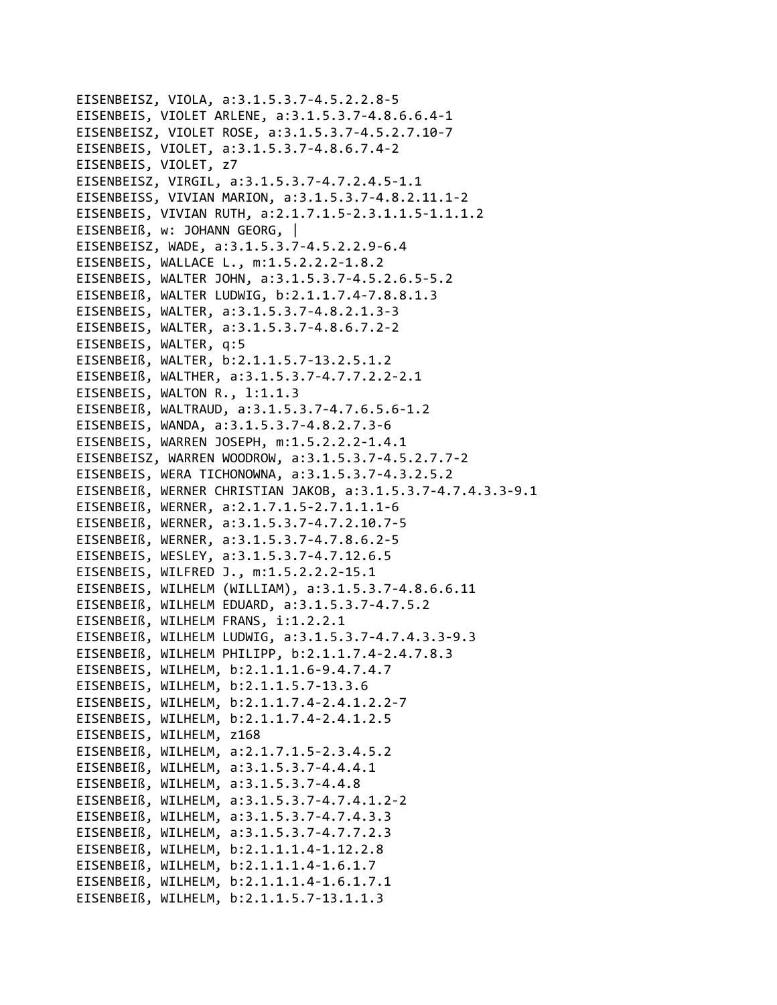EISENBEISZ, VIOLA, a:3.1.5.3.7-4.5.2.2.8-5 EISENBEIS, VIOLET ARLENE, a:3.1.5.3.7-4.8.6.6.4-1 EISENBEISZ, VIOLET ROSE, a:3.1.5.3.7-4.5.2.7.10-7 EISENBEIS, VIOLET, a:3.1.5.3.7-4.8.6.7.4-2 EISENBEIS, VIOLET, z7 EISENBEISZ, VIRGIL, a:3.1.5.3.7-4.7.2.4.5-1.1 EISENBEISS, VIVIAN MARION, a:3.1.5.3.7-4.8.2.11.1-2 EISENBEIS, VIVIAN RUTH, a:2.1.7.1.5-2.3.1.1.5-1.1.1.2 EISENBEIß, w: JOHANN GEORG, | EISENBEISZ, WADE, a:3.1.5.3.7-4.5.2.2.9-6.4 EISENBEIS, WALLACE L., m:1.5.2.2.2-1.8.2 EISENBEIS, WALTER JOHN, a:3.1.5.3.7-4.5.2.6.5-5.2 EISENBEIß, WALTER LUDWIG, b:2.1.1.7.4-7.8.8.1.3 EISENBEIS, WALTER, a:3.1.5.3.7-4.8.2.1.3-3 EISENBEIS, WALTER, a:3.1.5.3.7-4.8.6.7.2-2 EISENBEIS, WALTER, q:5 EISENBEIß, WALTER, b:2.1.1.5.7-13.2.5.1.2 EISENBEIß, WALTHER, a:3.1.5.3.7-4.7.7.2.2-2.1 EISENBEIS, WALTON R., 1:1.1.3 EISENBEIß, WALTRAUD, a:3.1.5.3.7-4.7.6.5.6-1.2 EISENBEIS, WANDA, a:3.1.5.3.7-4.8.2.7.3-6 EISENBEIS, WARREN JOSEPH, m:1.5.2.2.2-1.4.1 EISENBEISZ, WARREN WOODROW, a:3.1.5.3.7-4.5.2.7.7-2 EISENBEIS, WERA TICHONOWNA, a:3.1.5.3.7-4.3.2.5.2 EISENBEIß, WERNER CHRISTIAN JAKOB, a:3.1.5.3.7-4.7.4.3.3-9.1 EISENBEIß, WERNER, a:2.1.7.1.5-2.7.1.1.1-6 EISENBEIß, WERNER, a:3.1.5.3.7-4.7.2.10.7-5 EISENBEIß, WERNER, a:3.1.5.3.7-4.7.8.6.2-5 EISENBEIS, WESLEY, a:3.1.5.3.7-4.7.12.6.5 EISENBEIS, WILFRED J., m:1.5.2.2.2-15.1 EISENBEIS, WILHELM (WILLIAM), a:3.1.5.3.7-4.8.6.6.11 EISENBEIß, WILHELM EDUARD, a:3.1.5.3.7-4.7.5.2 EISENBEIß, WILHELM FRANS, i:1.2.2.1 EISENBEIß, WILHELM LUDWIG, a:3.1.5.3.7-4.7.4.3.3-9.3 EISENBEIß, WILHELM PHILIPP, b:2.1.1.7.4-2.4.7.8.3 EISENBEIS, WILHELM, b:2.1.1.1.6-9.4.7.4.7 EISENBEIS, WILHELM, b:2.1.1.5.7-13.3.6 EISENBEIS, WILHELM, b:2.1.1.7.4-2.4.1.2.2-7 EISENBEIS, WILHELM, b:2.1.1.7.4-2.4.1.2.5 EISENBEIS, WILHELM, z168 EISENBEIß, WILHELM, a:2.1.7.1.5-2.3.4.5.2 EISENBEIß, WILHELM, a:3.1.5.3.7-4.4.4.1 EISENBEIß, WILHELM, a:3.1.5.3.7-4.4.8 EISENBEIß, WILHELM, a:3.1.5.3.7-4.7.4.1.2-2 EISENBEIß, WILHELM, a:3.1.5.3.7-4.7.4.3.3 EISENBEIß, WILHELM, a:3.1.5.3.7-4.7.7.2.3 EISENBEIß, WILHELM, b:2.1.1.1.4-1.12.2.8 EISENBEIß, WILHELM, b:2.1.1.1.4-1.6.1.7 EISENBEIß, WILHELM, b:2.1.1.1.4-1.6.1.7.1 EISENBEIß, WILHELM, b:2.1.1.5.7-13.1.1.3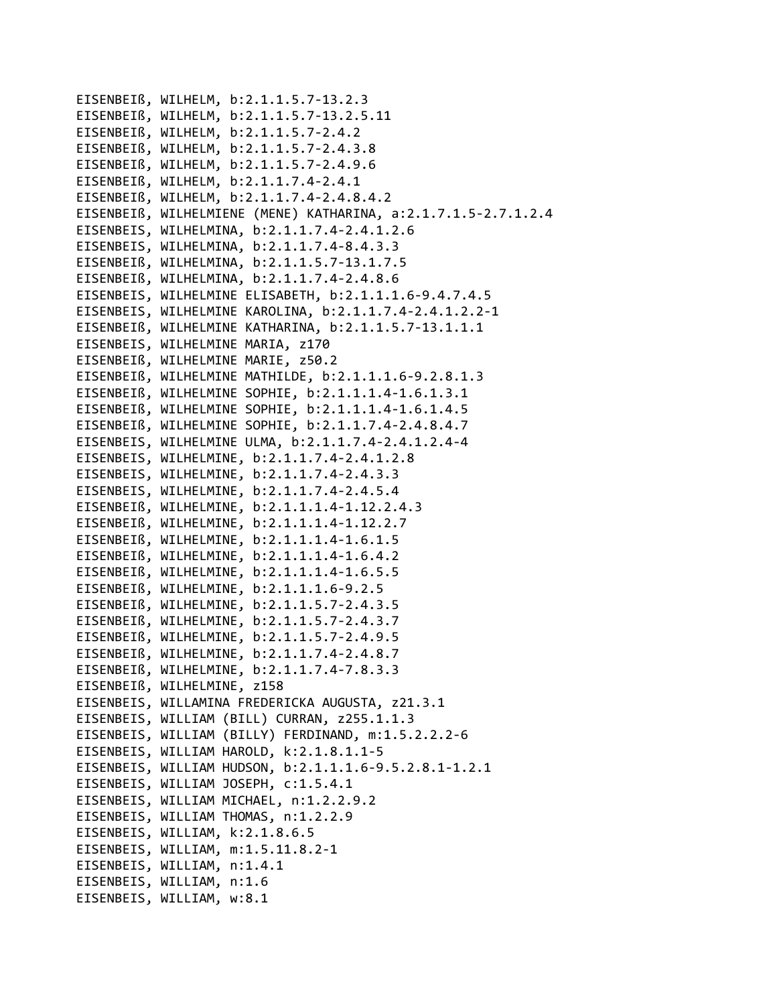```
EISENBEIß, WILHELM, b:2.1.1.5.7‐13.2.3
EISENBEIß, WILHELM, b:2.1.1.5.7‐13.2.5.11
EISENBEIß, WILHELM, b:2.1.1.5.7‐2.4.2
EISENBEIß, WILHELM, b:2.1.1.5.7‐2.4.3.8
EISENBEIß, WILHELM, b:2.1.1.5.7‐2.4.9.6
EISENBEIß, WILHELM, b:2.1.1.7.4‐2.4.1
EISENBEIß, WILHELM, b:2.1.1.7.4‐2.4.8.4.2
EISENBEIß, WILHELMIENE (MENE) KATHARINA, a:2.1.7.1.5‐2.7.1.2.4
EISENBEIS, WILHELMINA, b:2.1.1.7.4‐2.4.1.2.6
EISENBEIS, WILHELMINA, b:2.1.1.7.4‐8.4.3.3
EISENBEIß, WILHELMINA, b:2.1.1.5.7‐13.1.7.5
EISENBEIß, WILHELMINA, b:2.1.1.7.4‐2.4.8.6
EISENBEIS, WILHELMINE ELISABETH, b:2.1.1.1.6‐9.4.7.4.5
EISENBEIS, WILHELMINE KAROLINA, b:2.1.1.7.4‐2.4.1.2.2‐1
EISENBEIß, WILHELMINE KATHARINA, b:2.1.1.5.7‐13.1.1.1
EISENBEIS, WILHELMINE MARIA, z170
EISENBEIß, WILHELMINE MARIE, z50.2
EISENBEIß, WILHELMINE MATHILDE, b:2.1.1.1.6‐9.2.8.1.3
EISENBEIß, WILHELMINE SOPHIE, b:2.1.1.1.4‐1.6.1.3.1
EISENBEIß, WILHELMINE SOPHIE, b:2.1.1.1.4‐1.6.1.4.5
EISENBEIß, WILHELMINE SOPHIE, b:2.1.1.7.4‐2.4.8.4.7
EISENBEIS, WILHELMINE ULMA, b:2.1.1.7.4‐2.4.1.2.4‐4
EISENBEIS, WILHELMINE, b:2.1.1.7.4‐2.4.1.2.8
EISENBEIS, WILHELMINE, b:2.1.1.7.4‐2.4.3.3
EISENBEIS, WILHELMINE, b:2.1.1.7.4‐2.4.5.4
EISENBEIß, WILHELMINE, b:2.1.1.1.4‐1.12.2.4.3
EISENBEIß, WILHELMINE, b:2.1.1.1.4‐1.12.2.7
EISENBEIß, WILHELMINE, b:2.1.1.1.4‐1.6.1.5
EISENBEIß, WILHELMINE, b:2.1.1.1.4‐1.6.4.2
EISENBEIß, WILHELMINE, b:2.1.1.1.4‐1.6.5.5
EISENBEIß, WILHELMINE, b:2.1.1.1.6‐9.2.5
EISENBEIß, WILHELMINE, b:2.1.1.5.7‐2.4.3.5
EISENBEIß, WILHELMINE, b:2.1.1.5.7‐2.4.3.7
EISENBEIß, WILHELMINE, b:2.1.1.5.7‐2.4.9.5
EISENBEIß, WILHELMINE, b:2.1.1.7.4‐2.4.8.7
EISENBEIß, WILHELMINE, b:2.1.1.7.4‐7.8.3.3
EISENBEIß, WILHELMINE, z158
EISENBEIS, WILLAMINA FREDERICKA AUGUSTA, z21.3.1
EISENBEIS, WILLIAM (BILL) CURRAN, z255.1.1.3
EISENBEIS, WILLIAM (BILLY) FERDINAND, m:1.5.2.2.2‐6
EISENBEIS, WILLIAM HAROLD, k:2.1.8.1.1‐5
EISENBEIS, WILLIAM HUDSON, b:2.1.1.1.6‐9.5.2.8.1‐1.2.1
EISENBEIS, WILLIAM JOSEPH, c:1.5.4.1
EISENBEIS, WILLIAM MICHAEL, n:1.2.2.9.2
EISENBEIS, WILLIAM THOMAS, n:1.2.2.9
EISENBEIS, WILLIAM, k:2.1.8.6.5
EISENBEIS, WILLIAM, m:1.5.11.8.2‐1
EISENBEIS, WILLIAM, n:1.4.1
EISENBEIS, WILLIAM, n:1.6
EISENBEIS, WILLIAM, w:8.1
```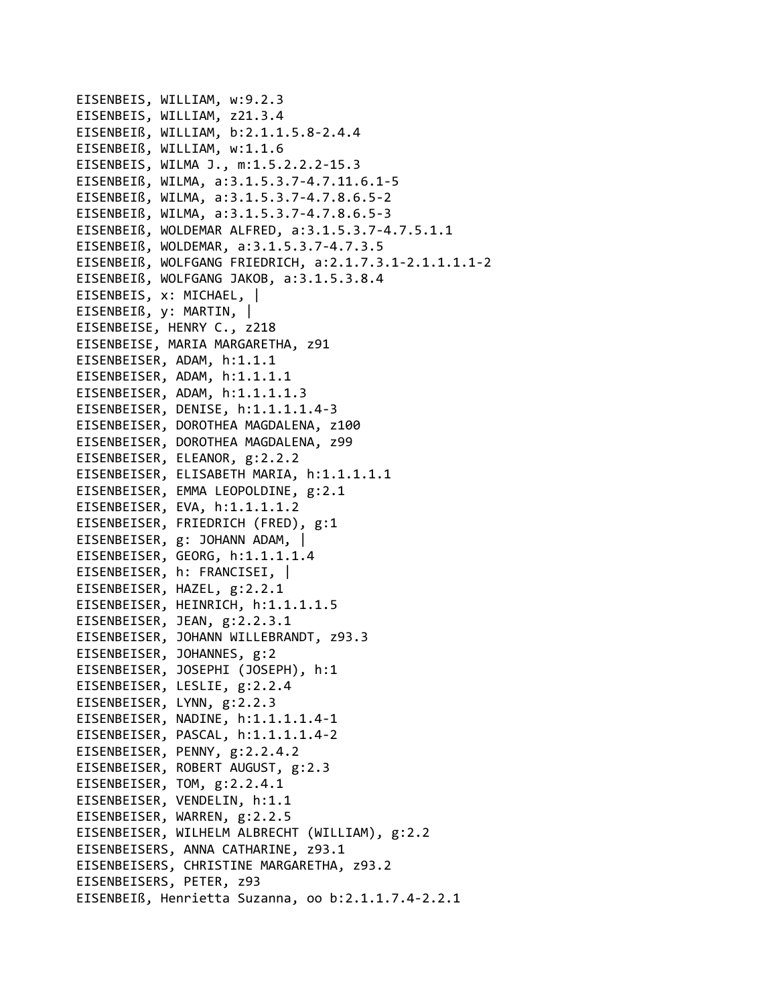EISENBEIS, WILLIAM, w:9.2.3 EISENBEIS, WILLIAM, z21.3.4 EISENBEIß, WILLIAM, b:2.1.1.5.8‐2.4.4 EISENBEIß, WILLIAM, w:1.1.6 EISENBEIS, WILMA J., m:1.5.2.2.2‐15.3 EISENBEIß, WILMA, a:3.1.5.3.7‐4.7.11.6.1‐5 EISENBEIß, WILMA, a:3.1.5.3.7‐4.7.8.6.5‐2 EISENBEIß, WILMA, a:3.1.5.3.7‐4.7.8.6.5‐3 EISENBEIß, WOLDEMAR ALFRED, a:3.1.5.3.7‐4.7.5.1.1 EISENBEIß, WOLDEMAR, a:3.1.5.3.7‐4.7.3.5 EISENBEIß, WOLFGANG FRIEDRICH, a:2.1.7.3.1‐2.1.1.1.1‐2 EISENBEIß, WOLFGANG JAKOB, a:3.1.5.3.8.4 EISENBEIS, x: MICHAEL, | EISENBEIß, y: MARTIN, | EISENBEISE, HENRY C., z218 EISENBEISE, MARIA MARGARETHA, z91 EISENBEISER, ADAM, h:1.1.1 EISENBEISER, ADAM, h:1.1.1.1 EISENBEISER, ADAM, h:1.1.1.1.3 EISENBEISER, DENISE, h:1.1.1.1.4‐3 EISENBEISER, DOROTHEA MAGDALENA, z100 EISENBEISER, DOROTHEA MAGDALENA, z99 EISENBEISER, ELEANOR, g:2.2.2 EISENBEISER, ELISABETH MARIA, h:1.1.1.1.1 EISENBEISER, EMMA LEOPOLDINE, g:2.1 EISENBEISER, EVA, h:1.1.1.1.2 EISENBEISER, FRIEDRICH (FRED), g:1 EISENBEISER, g: JOHANN ADAM, | EISENBEISER, GEORG, h:1.1.1.1.4 EISENBEISER, h: FRANCISEI, | EISENBEISER, HAZEL, g:2.2.1 EISENBEISER, HEINRICH, h:1.1.1.1.5 EISENBEISER, JEAN, g:2.2.3.1 EISENBEISER, JOHANN WILLEBRANDT, z93.3 EISENBEISER, JOHANNES, g:2 EISENBEISER, JOSEPHI (JOSEPH), h:1 EISENBEISER, LESLIE, g:2.2.4 EISENBEISER, LYNN, g:2.2.3 EISENBEISER, NADINE, h:1.1.1.1.4‐1 EISENBEISER, PASCAL, h:1.1.1.1.4‐2 EISENBEISER, PENNY, g:2.2.4.2 EISENBEISER, ROBERT AUGUST, g:2.3 EISENBEISER, TOM, g:2.2.4.1 EISENBEISER, VENDELIN, h:1.1 EISENBEISER, WARREN, g:2.2.5 EISENBEISER, WILHELM ALBRECHT (WILLIAM), g:2.2 EISENBEISERS, ANNA CATHARINE, z93.1 EISENBEISERS, CHRISTINE MARGARETHA, z93.2 EISENBEISERS, PETER, z93 EISENBEIß, Henrietta Suzanna, oo b:2.1.1.7.4‐2.2.1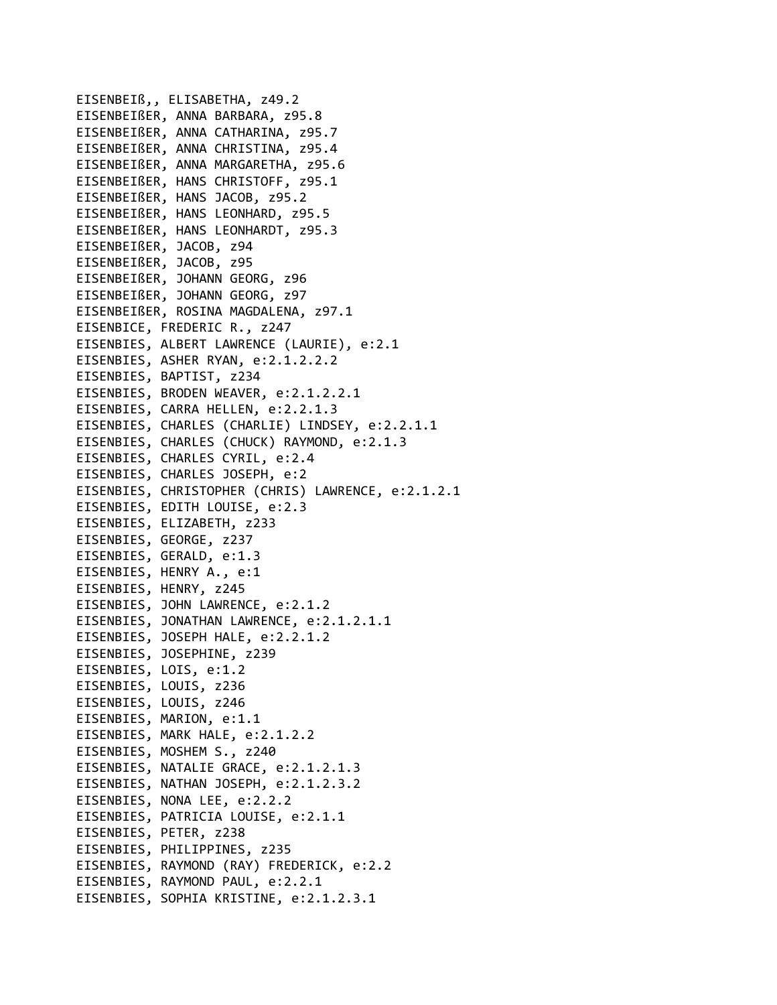EISENBEIß,, ELISABETHA, z49.2 EISENBEIßER, ANNA BARBARA, z95.8 EISENBEIßER, ANNA CATHARINA, z95.7 EISENBEIßER, ANNA CHRISTINA, z95.4 EISENBEIßER, ANNA MARGARETHA, z95.6 EISENBEIßER, HANS CHRISTOFF, z95.1 EISENBEIßER, HANS JACOB, z95.2 EISENBEIßER, HANS LEONHARD, z95.5 EISENBEIßER, HANS LEONHARDT, z95.3 EISENBEIßER, JACOB, z94 EISENBEIßER, JACOB, z95 EISENBEIßER, JOHANN GEORG, z96 EISENBEIßER, JOHANN GEORG, z97 EISENBEIßER, ROSINA MAGDALENA, z97.1 EISENBICE, FREDERIC R., z247 EISENBIES, ALBERT LAWRENCE (LAURIE), e:2.1 EISENBIES, ASHER RYAN, e:2.1.2.2.2 EISENBIES, BAPTIST, z234 EISENBIES, BRODEN WEAVER, e:2.1.2.2.1 EISENBIES, CARRA HELLEN, e:2.2.1.3 EISENBIES, CHARLES (CHARLIE) LINDSEY, e:2.2.1.1 EISENBIES, CHARLES (CHUCK) RAYMOND, e:2.1.3 EISENBIES, CHARLES CYRIL, e:2.4 EISENBIES, CHARLES JOSEPH, e:2 EISENBIES, CHRISTOPHER (CHRIS) LAWRENCE, e:2.1.2.1 EISENBIES, EDITH LOUISE, e:2.3 EISENBIES, ELIZABETH, z233 EISENBIES, GEORGE, z237 EISENBIES, GERALD, e:1.3 EISENBIES, HENRY A., e:1 EISENBIES, HENRY, z245 EISENBIES, JOHN LAWRENCE, e:2.1.2 EISENBIES, JONATHAN LAWRENCE, e:2.1.2.1.1 EISENBIES, JOSEPH HALE, e:2.2.1.2 EISENBIES, JOSEPHINE, z239 EISENBIES, LOIS, e:1.2 EISENBIES, LOUIS, z236 EISENBIES, LOUIS, z246 EISENBIES, MARION, e:1.1 EISENBIES, MARK HALE, e:2.1.2.2 EISENBIES, MOSHEM S., z240 EISENBIES, NATALIE GRACE, e:2.1.2.1.3 EISENBIES, NATHAN JOSEPH, e:2.1.2.3.2 EISENBIES, NONA LEE, e:2.2.2 EISENBIES, PATRICIA LOUISE, e:2.1.1 EISENBIES, PETER, z238 EISENBIES, PHILIPPINES, z235 EISENBIES, RAYMOND (RAY) FREDERICK, e:2.2 EISENBIES, RAYMOND PAUL, e:2.2.1 EISENBIES, SOPHIA KRISTINE, e:2.1.2.3.1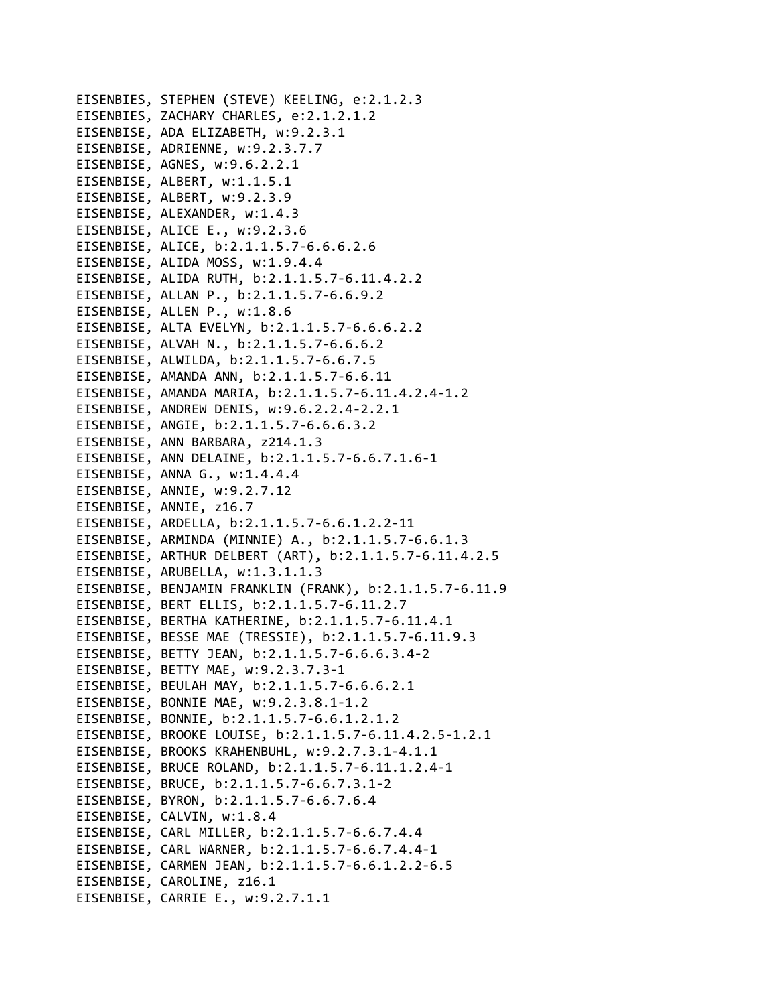EISENBIES, STEPHEN (STEVE) KEELING, e:2.1.2.3 EISENBIES, ZACHARY CHARLES, e:2.1.2.1.2 EISENBISE, ADA ELIZABETH, w:9.2.3.1 EISENBISE, ADRIENNE, w:9.2.3.7.7 EISENBISE, AGNES, w:9.6.2.2.1 EISENBISE, ALBERT, w:1.1.5.1 EISENBISE, ALBERT, w:9.2.3.9 EISENBISE, ALEXANDER, w:1.4.3 EISENBISE, ALICE E., w:9.2.3.6 EISENBISE, ALICE, b:2.1.1.5.7‐6.6.6.2.6 EISENBISE, ALIDA MOSS, w:1.9.4.4 EISENBISE, ALIDA RUTH, b:2.1.1.5.7‐6.11.4.2.2 EISENBISE, ALLAN P., b:2.1.1.5.7‐6.6.9.2 EISENBISE, ALLEN P., w:1.8.6 EISENBISE, ALTA EVELYN, b:2.1.1.5.7‐6.6.6.2.2 EISENBISE, ALVAH N., b:2.1.1.5.7‐6.6.6.2 EISENBISE, ALWILDA, b:2.1.1.5.7‐6.6.7.5 EISENBISE, AMANDA ANN, b:2.1.1.5.7‐6.6.11 EISENBISE, AMANDA MARIA, b:2.1.1.5.7‐6.11.4.2.4‐1.2 EISENBISE, ANDREW DENIS, w:9.6.2.2.4‐2.2.1 EISENBISE, ANGIE, b:2.1.1.5.7‐6.6.6.3.2 EISENBISE, ANN BARBARA, z214.1.3 EISENBISE, ANN DELAINE, b:2.1.1.5.7‐6.6.7.1.6‐1 EISENBISE, ANNA G., w:1.4.4.4 EISENBISE, ANNIE, w:9.2.7.12 EISENBISE, ANNIE, z16.7 EISENBISE, ARDELLA, b:2.1.1.5.7‐6.6.1.2.2‐11 EISENBISE, ARMINDA (MINNIE) A., b:2.1.1.5.7‐6.6.1.3 EISENBISE, ARTHUR DELBERT (ART), b:2.1.1.5.7‐6.11.4.2.5 EISENBISE, ARUBELLA, w:1.3.1.1.3 EISENBISE, BENJAMIN FRANKLIN (FRANK), b:2.1.1.5.7‐6.11.9 EISENBISE, BERT ELLIS, b:2.1.1.5.7‐6.11.2.7 EISENBISE, BERTHA KATHERINE, b:2.1.1.5.7‐6.11.4.1 EISENBISE, BESSE MAE (TRESSIE), b:2.1.1.5.7‐6.11.9.3 EISENBISE, BETTY JEAN, b:2.1.1.5.7‐6.6.6.3.4‐2 EISENBISE, BETTY MAE, w:9.2.3.7.3‐1 EISENBISE, BEULAH MAY, b:2.1.1.5.7‐6.6.6.2.1 EISENBISE, BONNIE MAE, w:9.2.3.8.1‐1.2 EISENBISE, BONNIE, b:2.1.1.5.7‐6.6.1.2.1.2 EISENBISE, BROOKE LOUISE, b:2.1.1.5.7‐6.11.4.2.5‐1.2.1 EISENBISE, BROOKS KRAHENBUHL, w:9.2.7.3.1‐4.1.1 EISENBISE, BRUCE ROLAND, b:2.1.1.5.7‐6.11.1.2.4‐1 EISENBISE, BRUCE, b:2.1.1.5.7‐6.6.7.3.1‐2 EISENBISE, BYRON, b:2.1.1.5.7‐6.6.7.6.4 EISENBISE, CALVIN, w:1.8.4 EISENBISE, CARL MILLER, b:2.1.1.5.7‐6.6.7.4.4 EISENBISE, CARL WARNER, b:2.1.1.5.7‐6.6.7.4.4‐1 EISENBISE, CARMEN JEAN, b:2.1.1.5.7‐6.6.1.2.2‐6.5 EISENBISE, CAROLINE, z16.1 EISENBISE, CARRIE E., w:9.2.7.1.1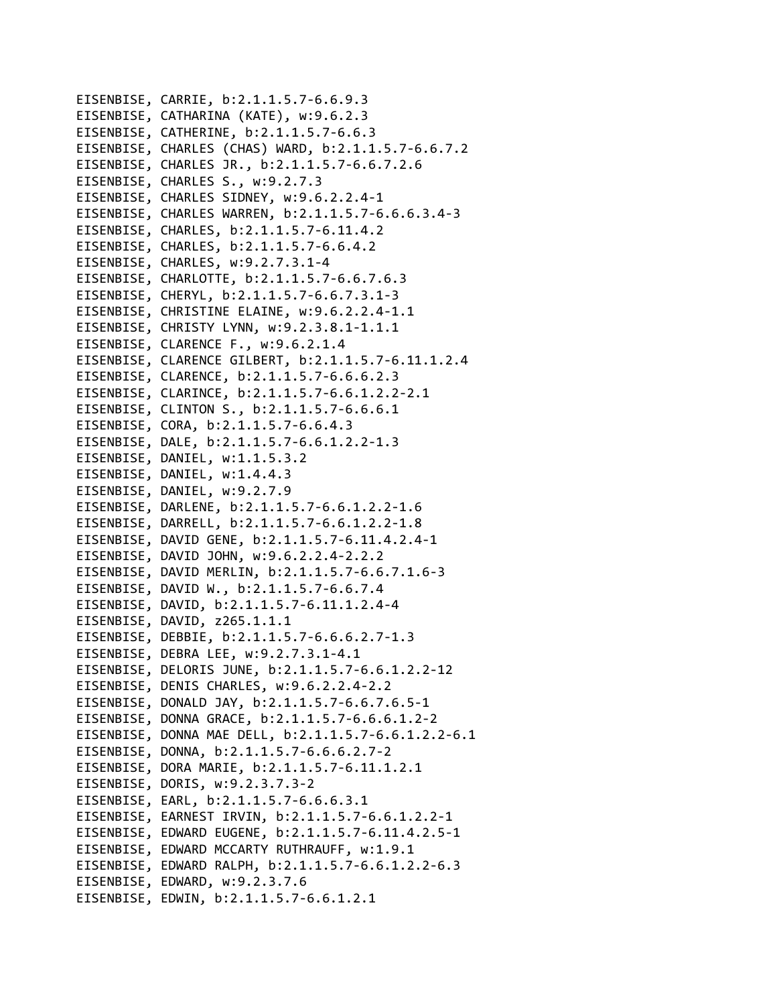EISENBISE, CARRIE, b:2.1.1.5.7‐6.6.9.3 EISENBISE, CATHARINA (KATE), w:9.6.2.3 EISENBISE, CATHERINE, b:2.1.1.5.7‐6.6.3 EISENBISE, CHARLES (CHAS) WARD, b:2.1.1.5.7‐6.6.7.2 EISENBISE, CHARLES JR., b:2.1.1.5.7‐6.6.7.2.6 EISENBISE, CHARLES S., w:9.2.7.3 EISENBISE, CHARLES SIDNEY, w:9.6.2.2.4‐1 EISENBISE, CHARLES WARREN, b:2.1.1.5.7‐6.6.6.3.4‐3 EISENBISE, CHARLES, b:2.1.1.5.7‐6.11.4.2 EISENBISE, CHARLES, b:2.1.1.5.7‐6.6.4.2 EISENBISE, CHARLES, w:9.2.7.3.1‐4 EISENBISE, CHARLOTTE, b:2.1.1.5.7‐6.6.7.6.3 EISENBISE, CHERYL, b:2.1.1.5.7‐6.6.7.3.1‐3 EISENBISE, CHRISTINE ELAINE, w:9.6.2.2.4‐1.1 EISENBISE, CHRISTY LYNN, w:9.2.3.8.1‐1.1.1 EISENBISE, CLARENCE F., w:9.6.2.1.4 EISENBISE, CLARENCE GILBERT, b:2.1.1.5.7‐6.11.1.2.4 EISENBISE, CLARENCE, b:2.1.1.5.7‐6.6.6.2.3 EISENBISE, CLARINCE, b:2.1.1.5.7‐6.6.1.2.2‐2.1 EISENBISE, CLINTON S., b:2.1.1.5.7‐6.6.6.1 EISENBISE, CORA, b:2.1.1.5.7‐6.6.4.3 EISENBISE, DALE, b:2.1.1.5.7‐6.6.1.2.2‐1.3 EISENBISE, DANIEL, w:1.1.5.3.2 EISENBISE, DANIEL, w:1.4.4.3 EISENBISE, DANIEL, w:9.2.7.9 EISENBISE, DARLENE, b:2.1.1.5.7‐6.6.1.2.2‐1.6 EISENBISE, DARRELL, b:2.1.1.5.7‐6.6.1.2.2‐1.8 EISENBISE, DAVID GENE, b:2.1.1.5.7‐6.11.4.2.4‐1 EISENBISE, DAVID JOHN, w:9.6.2.2.4‐2.2.2 EISENBISE, DAVID MERLIN, b:2.1.1.5.7‐6.6.7.1.6‐3 EISENBISE, DAVID W., b:2.1.1.5.7‐6.6.7.4 EISENBISE, DAVID, b:2.1.1.5.7‐6.11.1.2.4‐4 EISENBISE, DAVID, z265.1.1.1 EISENBISE, DEBBIE, b:2.1.1.5.7‐6.6.6.2.7‐1.3 EISENBISE, DEBRA LEE, w:9.2.7.3.1‐4.1 EISENBISE, DELORIS JUNE, b:2.1.1.5.7‐6.6.1.2.2‐12 EISENBISE, DENIS CHARLES, w:9.6.2.2.4‐2.2 EISENBISE, DONALD JAY, b:2.1.1.5.7‐6.6.7.6.5‐1 EISENBISE, DONNA GRACE, b:2.1.1.5.7‐6.6.6.1.2‐2 EISENBISE, DONNA MAE DELL, b:2.1.1.5.7‐6.6.1.2.2‐6.1 EISENBISE, DONNA, b:2.1.1.5.7‐6.6.6.2.7‐2 EISENBISE, DORA MARIE, b:2.1.1.5.7‐6.11.1.2.1 EISENBISE, DORIS, w:9.2.3.7.3‐2 EISENBISE, EARL, b:2.1.1.5.7‐6.6.6.3.1 EISENBISE, EARNEST IRVIN, b:2.1.1.5.7‐6.6.1.2.2‐1 EISENBISE, EDWARD EUGENE, b:2.1.1.5.7‐6.11.4.2.5‐1 EISENBISE, EDWARD MCCARTY RUTHRAUFF, w:1.9.1 EISENBISE, EDWARD RALPH, b:2.1.1.5.7‐6.6.1.2.2‐6.3 EISENBISE, EDWARD, w:9.2.3.7.6 EISENBISE, EDWIN, b:2.1.1.5.7‐6.6.1.2.1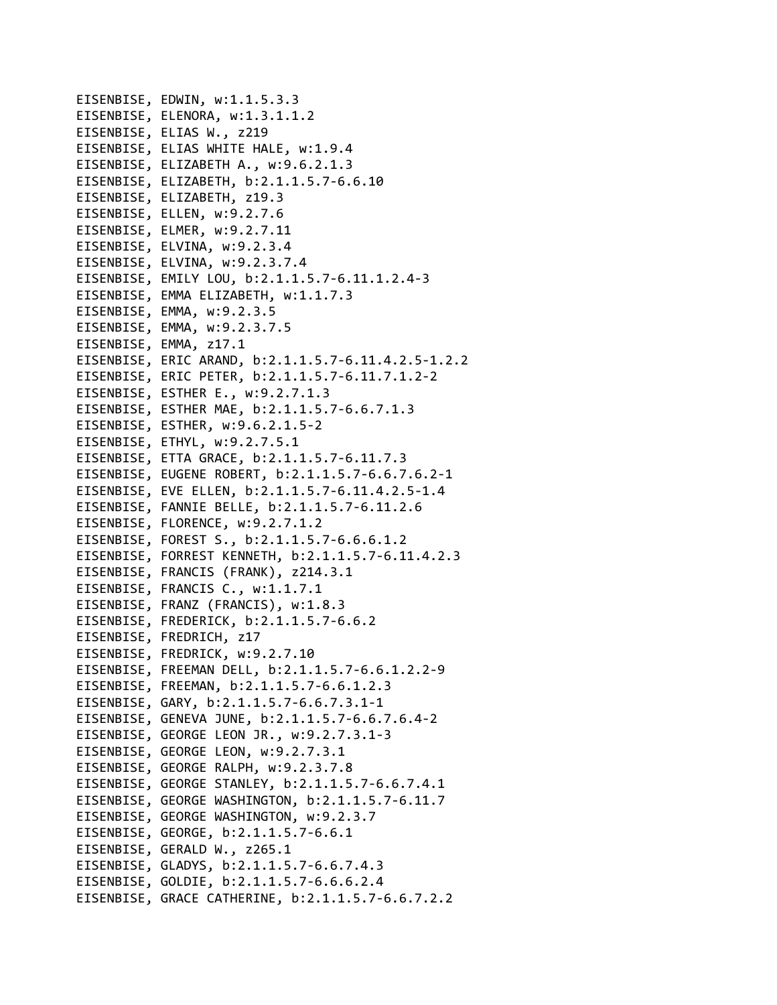EISENBISE, EDWIN, w:1.1.5.3.3 EISENBISE, ELENORA, w:1.3.1.1.2 EISENBISE, ELIAS W., z219 EISENBISE, ELIAS WHITE HALE, w:1.9.4 EISENBISE, ELIZABETH A., w:9.6.2.1.3 EISENBISE, ELIZABETH, b:2.1.1.5.7‐6.6.10 EISENBISE, ELIZABETH, z19.3 EISENBISE, ELLEN, w:9.2.7.6 EISENBISE, ELMER, w:9.2.7.11 EISENBISE, ELVINA, w:9.2.3.4 EISENBISE, ELVINA, w:9.2.3.7.4 EISENBISE, EMILY LOU, b:2.1.1.5.7‐6.11.1.2.4‐3 EISENBISE, EMMA ELIZABETH, w:1.1.7.3 EISENBISE, EMMA, w:9.2.3.5 EISENBISE, EMMA, w:9.2.3.7.5 EISENBISE, EMMA, z17.1 EISENBISE, ERIC ARAND, b:2.1.1.5.7‐6.11.4.2.5‐1.2.2 EISENBISE, ERIC PETER, b:2.1.1.5.7‐6.11.7.1.2‐2 EISENBISE, ESTHER E., w:9.2.7.1.3 EISENBISE, ESTHER MAE, b:2.1.1.5.7‐6.6.7.1.3 EISENBISE, ESTHER, w:9.6.2.1.5‐2 EISENBISE, ETHYL, w:9.2.7.5.1 EISENBISE, ETTA GRACE, b:2.1.1.5.7‐6.11.7.3 EISENBISE, EUGENE ROBERT, b:2.1.1.5.7‐6.6.7.6.2‐1 EISENBISE, EVE ELLEN, b:2.1.1.5.7‐6.11.4.2.5‐1.4 EISENBISE, FANNIE BELLE, b:2.1.1.5.7‐6.11.2.6 EISENBISE, FLORENCE, w:9.2.7.1.2 EISENBISE, FOREST S., b:2.1.1.5.7‐6.6.6.1.2 EISENBISE, FORREST KENNETH, b:2.1.1.5.7‐6.11.4.2.3 EISENBISE, FRANCIS (FRANK), z214.3.1 EISENBISE, FRANCIS C., w:1.1.7.1 EISENBISE, FRANZ (FRANCIS), w:1.8.3 EISENBISE, FREDERICK, b:2.1.1.5.7‐6.6.2 EISENBISE, FREDRICH, z17 EISENBISE, FREDRICK, w:9.2.7.10 EISENBISE, FREEMAN DELL, b:2.1.1.5.7‐6.6.1.2.2‐9 EISENBISE, FREEMAN, b:2.1.1.5.7‐6.6.1.2.3 EISENBISE, GARY, b:2.1.1.5.7‐6.6.7.3.1‐1 EISENBISE, GENEVA JUNE, b:2.1.1.5.7‐6.6.7.6.4‐2 EISENBISE, GEORGE LEON JR., w:9.2.7.3.1‐3 EISENBISE, GEORGE LEON, w:9.2.7.3.1 EISENBISE, GEORGE RALPH, w:9.2.3.7.8 EISENBISE, GEORGE STANLEY, b:2.1.1.5.7‐6.6.7.4.1 EISENBISE, GEORGE WASHINGTON, b:2.1.1.5.7‐6.11.7 EISENBISE, GEORGE WASHINGTON, w:9.2.3.7 EISENBISE, GEORGE, b:2.1.1.5.7‐6.6.1 EISENBISE, GERALD W., z265.1 EISENBISE, GLADYS, b:2.1.1.5.7‐6.6.7.4.3 EISENBISE, GOLDIE, b:2.1.1.5.7‐6.6.6.2.4 EISENBISE, GRACE CATHERINE, b:2.1.1.5.7‐6.6.7.2.2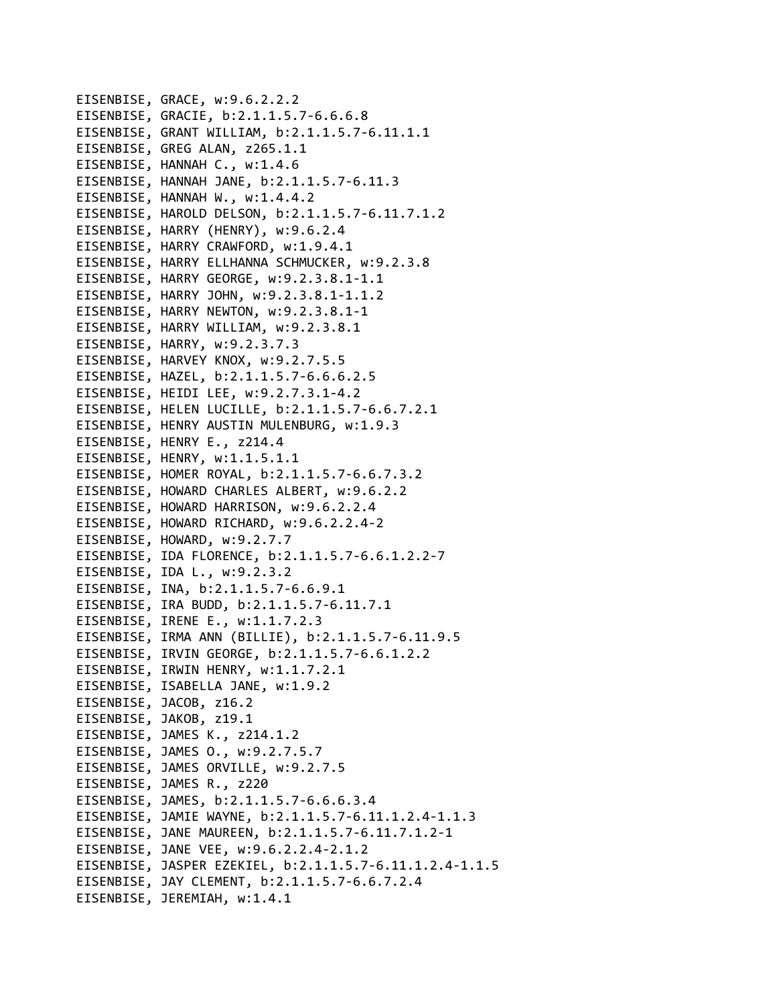EISENBISE, GRACE, w:9.6.2.2.2 EISENBISE, GRACIE, b:2.1.1.5.7‐6.6.6.8 EISENBISE, GRANT WILLIAM, b:2.1.1.5.7‐6.11.1.1 EISENBISE, GREG ALAN, z265.1.1 EISENBISE, HANNAH C., w:1.4.6 EISENBISE, HANNAH JANE, b:2.1.1.5.7‐6.11.3 EISENBISE, HANNAH W., w:1.4.4.2 EISENBISE, HAROLD DELSON, b:2.1.1.5.7‐6.11.7.1.2 EISENBISE, HARRY (HENRY), w:9.6.2.4 EISENBISE, HARRY CRAWFORD, w:1.9.4.1 EISENBISE, HARRY ELLHANNA SCHMUCKER, w:9.2.3.8 EISENBISE, HARRY GEORGE, w:9.2.3.8.1‐1.1 EISENBISE, HARRY JOHN, w:9.2.3.8.1‐1.1.2 EISENBISE, HARRY NEWTON, w:9.2.3.8.1‐1 EISENBISE, HARRY WILLIAM, w:9.2.3.8.1 EISENBISE, HARRY, w:9.2.3.7.3 EISENBISE, HARVEY KNOX, w:9.2.7.5.5 EISENBISE, HAZEL, b:2.1.1.5.7‐6.6.6.2.5 EISENBISE, HEIDI LEE, w:9.2.7.3.1‐4.2 EISENBISE, HELEN LUCILLE, b:2.1.1.5.7‐6.6.7.2.1 EISENBISE, HENRY AUSTIN MULENBURG, w:1.9.3 EISENBISE, HENRY E., z214.4 EISENBISE, HENRY, w:1.1.5.1.1 EISENBISE, HOMER ROYAL, b:2.1.1.5.7‐6.6.7.3.2 EISENBISE, HOWARD CHARLES ALBERT, w:9.6.2.2 EISENBISE, HOWARD HARRISON, w:9.6.2.2.4 EISENBISE, HOWARD RICHARD, w:9.6.2.2.4‐2 EISENBISE, HOWARD, w:9.2.7.7 EISENBISE, IDA FLORENCE, b:2.1.1.5.7‐6.6.1.2.2‐7 EISENBISE, IDA L., w:9.2.3.2 EISENBISE, INA, b:2.1.1.5.7‐6.6.9.1 EISENBISE, IRA BUDD, b:2.1.1.5.7‐6.11.7.1 EISENBISE, IRENE E., w:1.1.7.2.3 EISENBISE, IRMA ANN (BILLIE), b:2.1.1.5.7‐6.11.9.5 EISENBISE, IRVIN GEORGE, b:2.1.1.5.7‐6.6.1.2.2 EISENBISE, IRWIN HENRY, w:1.1.7.2.1 EISENBISE, ISABELLA JANE, w:1.9.2 EISENBISE, JACOB, z16.2 EISENBISE, JAKOB, z19.1 EISENBISE, JAMES K., z214.1.2 EISENBISE, JAMES O., w:9.2.7.5.7 EISENBISE, JAMES ORVILLE, w:9.2.7.5 EISENBISE, JAMES R., z220 EISENBISE, JAMES, b:2.1.1.5.7‐6.6.6.3.4 EISENBISE, JAMIE WAYNE, b:2.1.1.5.7‐6.11.1.2.4‐1.1.3 EISENBISE, JANE MAUREEN, b:2.1.1.5.7‐6.11.7.1.2‐1 EISENBISE, JANE VEE, w:9.6.2.2.4‐2.1.2 EISENBISE, JASPER EZEKIEL, b:2.1.1.5.7‐6.11.1.2.4‐1.1.5 EISENBISE, JAY CLEMENT, b:2.1.1.5.7‐6.6.7.2.4 EISENBISE, JEREMIAH, w:1.4.1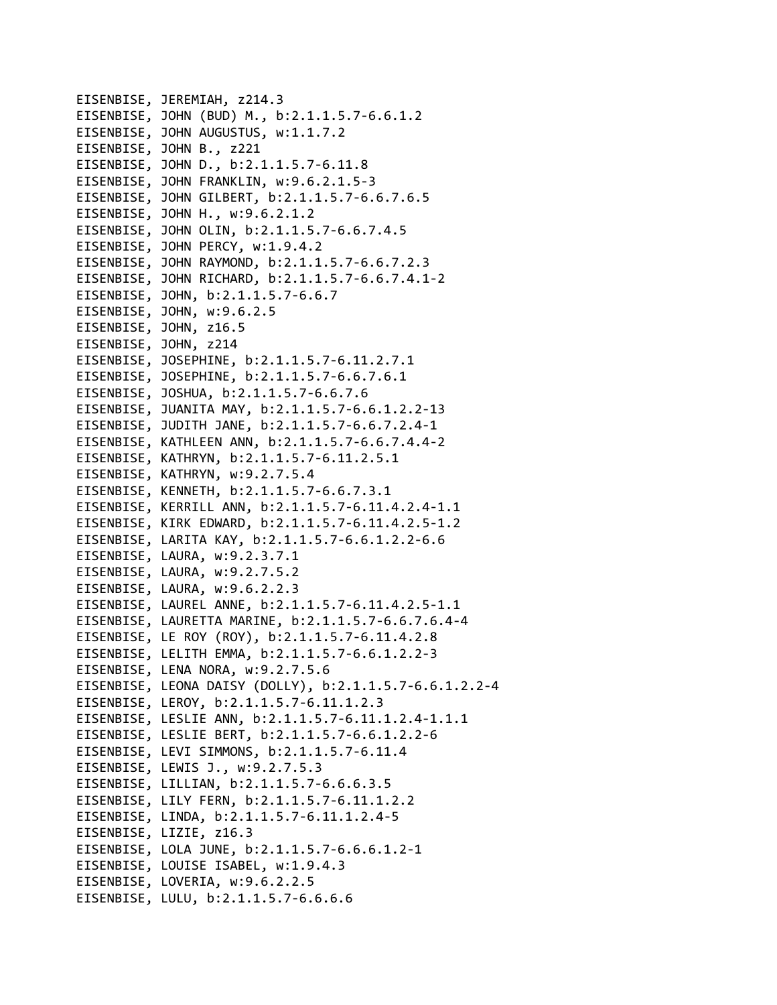EISENBISE, JEREMIAH, z214.3 EISENBISE, JOHN (BUD) M., b:2.1.1.5.7‐6.6.1.2 EISENBISE, JOHN AUGUSTUS, w:1.1.7.2 EISENBISE, JOHN B., z221 EISENBISE, JOHN D., b:2.1.1.5.7‐6.11.8 EISENBISE, JOHN FRANKLIN, w:9.6.2.1.5‐3 EISENBISE, JOHN GILBERT, b:2.1.1.5.7‐6.6.7.6.5 EISENBISE, JOHN H., w:9.6.2.1.2 EISENBISE, JOHN OLIN, b:2.1.1.5.7‐6.6.7.4.5 EISENBISE, JOHN PERCY, w:1.9.4.2 EISENBISE, JOHN RAYMOND, b:2.1.1.5.7‐6.6.7.2.3 EISENBISE, JOHN RICHARD, b:2.1.1.5.7‐6.6.7.4.1‐2 EISENBISE, JOHN, b:2.1.1.5.7‐6.6.7 EISENBISE, JOHN, w:9.6.2.5 EISENBISE, JOHN, z16.5 EISENBISE, JOHN, z214 EISENBISE, JOSEPHINE, b:2.1.1.5.7‐6.11.2.7.1 EISENBISE, JOSEPHINE, b:2.1.1.5.7‐6.6.7.6.1 EISENBISE, JOSHUA, b:2.1.1.5.7‐6.6.7.6 EISENBISE, JUANITA MAY, b:2.1.1.5.7‐6.6.1.2.2‐13 EISENBISE, JUDITH JANE, b:2.1.1.5.7‐6.6.7.2.4‐1 EISENBISE, KATHLEEN ANN, b:2.1.1.5.7‐6.6.7.4.4‐2 EISENBISE, KATHRYN, b:2.1.1.5.7‐6.11.2.5.1 EISENBISE, KATHRYN, w:9.2.7.5.4 EISENBISE, KENNETH, b:2.1.1.5.7‐6.6.7.3.1 EISENBISE, KERRILL ANN, b:2.1.1.5.7‐6.11.4.2.4‐1.1 EISENBISE, KIRK EDWARD, b:2.1.1.5.7‐6.11.4.2.5‐1.2 EISENBISE, LARITA KAY, b:2.1.1.5.7‐6.6.1.2.2‐6.6 EISENBISE, LAURA, w:9.2.3.7.1 EISENBISE, LAURA, w:9.2.7.5.2 EISENBISE, LAURA, w:9.6.2.2.3 EISENBISE, LAUREL ANNE, b:2.1.1.5.7‐6.11.4.2.5‐1.1 EISENBISE, LAURETTA MARINE, b:2.1.1.5.7‐6.6.7.6.4‐4 EISENBISE, LE ROY (ROY), b:2.1.1.5.7‐6.11.4.2.8 EISENBISE, LELITH EMMA, b:2.1.1.5.7‐6.6.1.2.2‐3 EISENBISE, LENA NORA, w:9.2.7.5.6 EISENBISE, LEONA DAISY (DOLLY), b:2.1.1.5.7‐6.6.1.2.2‐4 EISENBISE, LEROY, b:2.1.1.5.7‐6.11.1.2.3 EISENBISE, LESLIE ANN, b:2.1.1.5.7‐6.11.1.2.4‐1.1.1 EISENBISE, LESLIE BERT, b:2.1.1.5.7‐6.6.1.2.2‐6 EISENBISE, LEVI SIMMONS, b:2.1.1.5.7‐6.11.4 EISENBISE, LEWIS J., w:9.2.7.5.3 EISENBISE, LILLIAN, b:2.1.1.5.7‐6.6.6.3.5 EISENBISE, LILY FERN, b:2.1.1.5.7‐6.11.1.2.2 EISENBISE, LINDA, b:2.1.1.5.7‐6.11.1.2.4‐5 EISENBISE, LIZIE, z16.3 EISENBISE, LOLA JUNE, b:2.1.1.5.7‐6.6.6.1.2‐1 EISENBISE, LOUISE ISABEL, w:1.9.4.3 EISENBISE, LOVERIA, w:9.6.2.2.5 EISENBISE, LULU, b:2.1.1.5.7‐6.6.6.6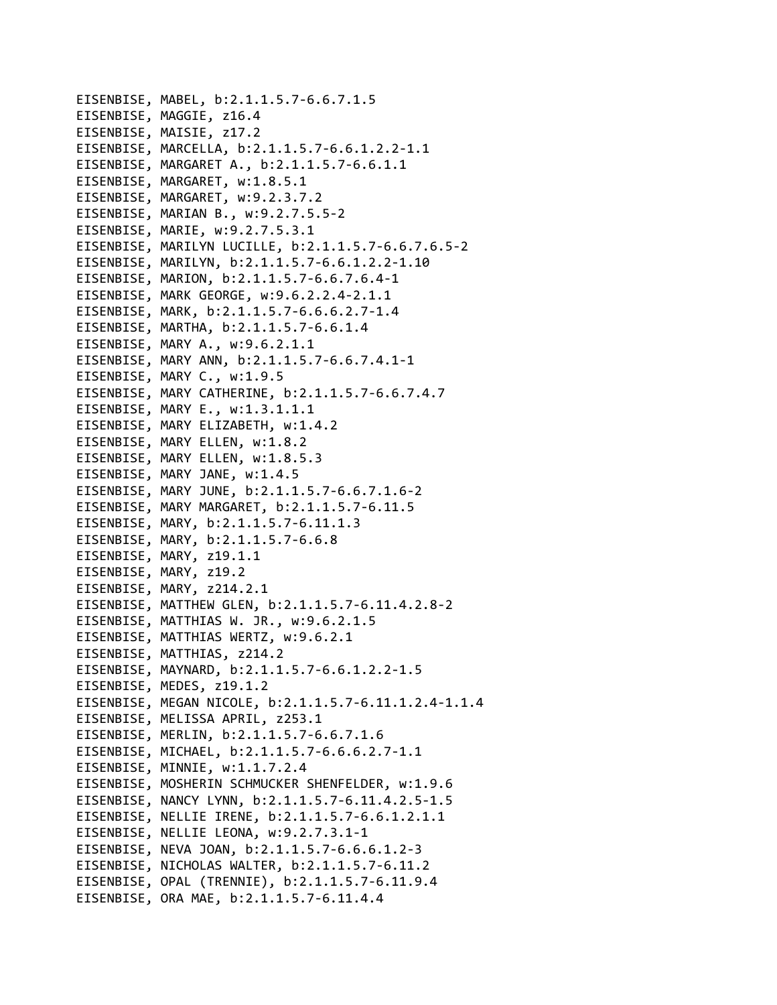```
EISENBISE, MABEL, b:2.1.1.5.7‐6.6.7.1.5
EISENBISE, MAGGIE, z16.4
EISENBISE, MAISIE, z17.2
EISENBISE, MARCELLA, b:2.1.1.5.7‐6.6.1.2.2‐1.1
EISENBISE, MARGARET A., b:2.1.1.5.7‐6.6.1.1
EISENBISE, MARGARET, w:1.8.5.1
EISENBISE, MARGARET, w:9.2.3.7.2
EISENBISE, MARIAN B., w:9.2.7.5.5‐2
EISENBISE, MARIE, w:9.2.7.5.3.1
EISENBISE, MARILYN LUCILLE, b:2.1.1.5.7‐6.6.7.6.5‐2
EISENBISE, MARILYN, b:2.1.1.5.7‐6.6.1.2.2‐1.10
EISENBISE, MARION, b:2.1.1.5.7‐6.6.7.6.4‐1
EISENBISE, MARK GEORGE, w:9.6.2.2.4‐2.1.1
EISENBISE, MARK, b:2.1.1.5.7‐6.6.6.2.7‐1.4
EISENBISE, MARTHA, b:2.1.1.5.7‐6.6.1.4
EISENBISE, MARY A., w:9.6.2.1.1
EISENBISE, MARY ANN, b:2.1.1.5.7‐6.6.7.4.1‐1
EISENBISE, MARY C., w:1.9.5
EISENBISE, MARY CATHERINE, b:2.1.1.5.7‐6.6.7.4.7
EISENBISE, MARY E., w:1.3.1.1.1
EISENBISE, MARY ELIZABETH, w:1.4.2
EISENBISE, MARY ELLEN, w:1.8.2
EISENBISE, MARY ELLEN, w:1.8.5.3
EISENBISE, MARY JANE, w:1.4.5
EISENBISE, MARY JUNE, b:2.1.1.5.7‐6.6.7.1.6‐2
EISENBISE, MARY MARGARET, b:2.1.1.5.7‐6.11.5
EISENBISE, MARY, b:2.1.1.5.7‐6.11.1.3
EISENBISE, MARY, b:2.1.1.5.7‐6.6.8
EISENBISE, MARY, z19.1.1
EISENBISE, MARY, z19.2
EISENBISE, MARY, z214.2.1
EISENBISE, MATTHEW GLEN, b:2.1.1.5.7‐6.11.4.2.8‐2
EISENBISE, MATTHIAS W. JR., w:9.6.2.1.5
EISENBISE, MATTHIAS WERTZ, w:9.6.2.1
EISENBISE, MATTHIAS, z214.2
EISENBISE, MAYNARD, b:2.1.1.5.7‐6.6.1.2.2‐1.5
EISENBISE, MEDES, z19.1.2
EISENBISE, MEGAN NICOLE, b:2.1.1.5.7‐6.11.1.2.4‐1.1.4
EISENBISE, MELISSA APRIL, z253.1
EISENBISE, MERLIN, b:2.1.1.5.7‐6.6.7.1.6
EISENBISE, MICHAEL, b:2.1.1.5.7‐6.6.6.2.7‐1.1
EISENBISE, MINNIE, w:1.1.7.2.4
EISENBISE, MOSHERIN SCHMUCKER SHENFELDER, w:1.9.6
EISENBISE, NANCY LYNN, b:2.1.1.5.7‐6.11.4.2.5‐1.5
EISENBISE, NELLIE IRENE, b:2.1.1.5.7‐6.6.1.2.1.1
EISENBISE, NELLIE LEONA, w:9.2.7.3.1‐1
EISENBISE, NEVA JOAN, b:2.1.1.5.7‐6.6.6.1.2‐3
EISENBISE, NICHOLAS WALTER, b:2.1.1.5.7‐6.11.2
EISENBISE, OPAL (TRENNIE), b:2.1.1.5.7‐6.11.9.4
EISENBISE, ORA MAE, b:2.1.1.5.7‐6.11.4.4
```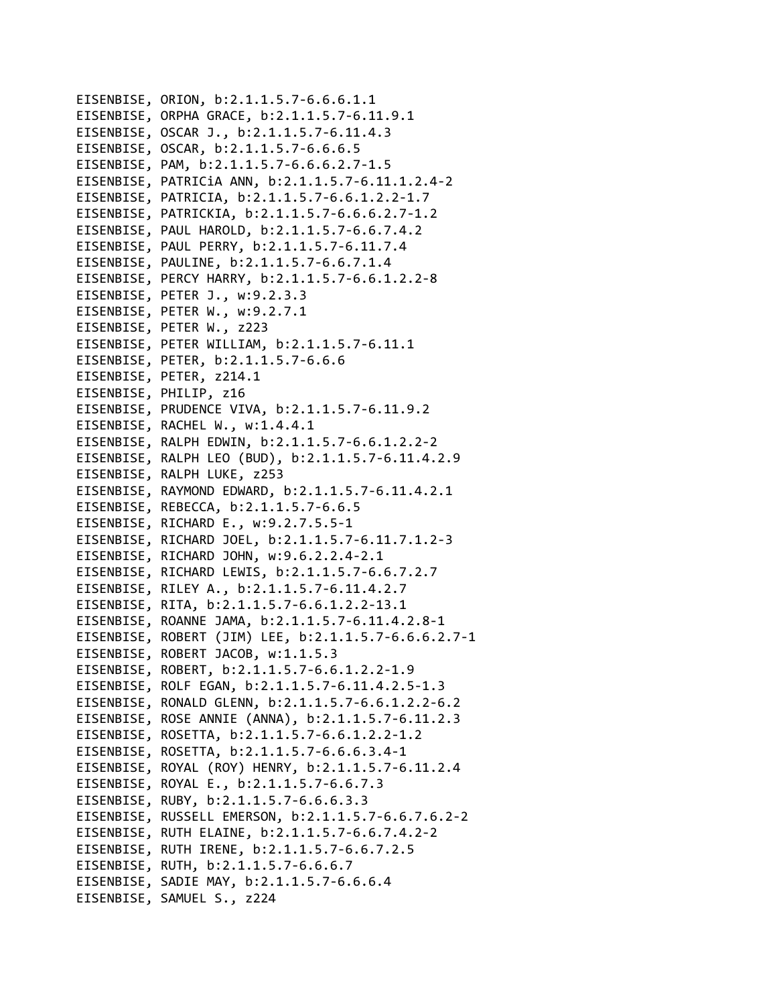EISENBISE, ORION, b:2.1.1.5.7‐6.6.6.1.1 EISENBISE, ORPHA GRACE, b:2.1.1.5.7‐6.11.9.1 EISENBISE, OSCAR J., b:2.1.1.5.7‐6.11.4.3 EISENBISE, OSCAR, b:2.1.1.5.7‐6.6.6.5 EISENBISE, PAM, b:2.1.1.5.7‐6.6.6.2.7‐1.5 EISENBISE, PATRICiA ANN, b:2.1.1.5.7‐6.11.1.2.4‐2 EISENBISE, PATRICIA, b:2.1.1.5.7‐6.6.1.2.2‐1.7 EISENBISE, PATRICKIA, b:2.1.1.5.7‐6.6.6.2.7‐1.2 EISENBISE, PAUL HAROLD, b:2.1.1.5.7‐6.6.7.4.2 EISENBISE, PAUL PERRY, b:2.1.1.5.7‐6.11.7.4 EISENBISE, PAULINE, b:2.1.1.5.7‐6.6.7.1.4 EISENBISE, PERCY HARRY, b:2.1.1.5.7‐6.6.1.2.2‐8 EISENBISE, PETER J., w:9.2.3.3 EISENBISE, PETER W., w:9.2.7.1 EISENBISE, PETER W., z223 EISENBISE, PETER WILLIAM, b:2.1.1.5.7‐6.11.1 EISENBISE, PETER, b:2.1.1.5.7‐6.6.6 EISENBISE, PETER, z214.1 EISENBISE, PHILIP, z16 EISENBISE, PRUDENCE VIVA, b:2.1.1.5.7‐6.11.9.2 EISENBISE, RACHEL W., w:1.4.4.1 EISENBISE, RALPH EDWIN, b:2.1.1.5.7‐6.6.1.2.2‐2 EISENBISE, RALPH LEO (BUD), b:2.1.1.5.7‐6.11.4.2.9 EISENBISE, RALPH LUKE, z253 EISENBISE, RAYMOND EDWARD, b:2.1.1.5.7‐6.11.4.2.1 EISENBISE, REBECCA, b:2.1.1.5.7‐6.6.5 EISENBISE, RICHARD E., w:9.2.7.5.5‐1 EISENBISE, RICHARD JOEL, b:2.1.1.5.7‐6.11.7.1.2‐3 EISENBISE, RICHARD JOHN, w:9.6.2.2.4‐2.1 EISENBISE, RICHARD LEWIS, b:2.1.1.5.7‐6.6.7.2.7 EISENBISE, RILEY A., b:2.1.1.5.7‐6.11.4.2.7 EISENBISE, RITA, b:2.1.1.5.7‐6.6.1.2.2‐13.1 EISENBISE, ROANNE JAMA, b:2.1.1.5.7‐6.11.4.2.8‐1 EISENBISE, ROBERT (JIM) LEE, b:2.1.1.5.7‐6.6.6.2.7‐1 EISENBISE, ROBERT JACOB, w:1.1.5.3 EISENBISE, ROBERT, b:2.1.1.5.7‐6.6.1.2.2‐1.9 EISENBISE, ROLF EGAN, b:2.1.1.5.7‐6.11.4.2.5‐1.3 EISENBISE, RONALD GLENN, b:2.1.1.5.7‐6.6.1.2.2‐6.2 EISENBISE, ROSE ANNIE (ANNA), b:2.1.1.5.7‐6.11.2.3 EISENBISE, ROSETTA, b:2.1.1.5.7‐6.6.1.2.2‐1.2 EISENBISE, ROSETTA, b:2.1.1.5.7‐6.6.6.3.4‐1 EISENBISE, ROYAL (ROY) HENRY, b:2.1.1.5.7‐6.11.2.4 EISENBISE, ROYAL E., b:2.1.1.5.7‐6.6.7.3 EISENBISE, RUBY, b:2.1.1.5.7‐6.6.6.3.3 EISENBISE, RUSSELL EMERSON, b:2.1.1.5.7‐6.6.7.6.2‐2 EISENBISE, RUTH ELAINE, b:2.1.1.5.7‐6.6.7.4.2‐2 EISENBISE, RUTH IRENE, b:2.1.1.5.7‐6.6.7.2.5 EISENBISE, RUTH, b:2.1.1.5.7‐6.6.6.7 EISENBISE, SADIE MAY, b:2.1.1.5.7‐6.6.6.4 EISENBISE, SAMUEL S., z224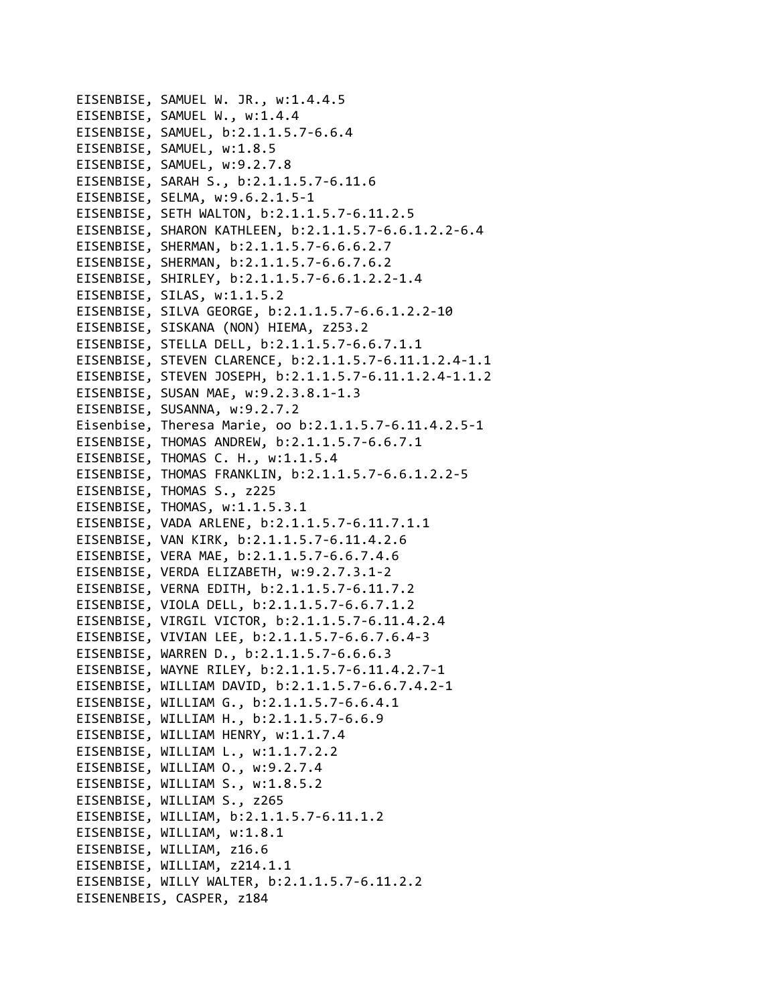EISENBISE, SAMUEL W. JR., w:1.4.4.5 EISENBISE, SAMUEL W., w:1.4.4 EISENBISE, SAMUEL, b:2.1.1.5.7‐6.6.4 EISENBISE, SAMUEL, w:1.8.5 EISENBISE, SAMUEL, w:9.2.7.8 EISENBISE, SARAH S., b:2.1.1.5.7‐6.11.6 EISENBISE, SELMA, w:9.6.2.1.5‐1 EISENBISE, SETH WALTON, b:2.1.1.5.7‐6.11.2.5 EISENBISE, SHARON KATHLEEN, b:2.1.1.5.7‐6.6.1.2.2‐6.4 EISENBISE, SHERMAN, b:2.1.1.5.7‐6.6.6.2.7 EISENBISE, SHERMAN, b:2.1.1.5.7‐6.6.7.6.2 EISENBISE, SHIRLEY, b:2.1.1.5.7‐6.6.1.2.2‐1.4 EISENBISE, SILAS, w:1.1.5.2 EISENBISE, SILVA GEORGE, b:2.1.1.5.7‐6.6.1.2.2‐10 EISENBISE, SISKANA (NON) HIEMA, z253.2 EISENBISE, STELLA DELL, b:2.1.1.5.7‐6.6.7.1.1 EISENBISE, STEVEN CLARENCE, b:2.1.1.5.7‐6.11.1.2.4‐1.1 EISENBISE, STEVEN JOSEPH, b:2.1.1.5.7‐6.11.1.2.4‐1.1.2 EISENBISE, SUSAN MAE, w:9.2.3.8.1‐1.3 EISENBISE, SUSANNA, w:9.2.7.2 Eisenbise, Theresa Marie, oo b:2.1.1.5.7‐6.11.4.2.5‐1 EISENBISE, THOMAS ANDREW, b:2.1.1.5.7‐6.6.7.1 EISENBISE, THOMAS C. H., w:1.1.5.4 EISENBISE, THOMAS FRANKLIN, b:2.1.1.5.7‐6.6.1.2.2‐5 EISENBISE, THOMAS S., z225 EISENBISE, THOMAS, w:1.1.5.3.1 EISENBISE, VADA ARLENE, b:2.1.1.5.7‐6.11.7.1.1 EISENBISE, VAN KIRK, b:2.1.1.5.7‐6.11.4.2.6 EISENBISE, VERA MAE, b:2.1.1.5.7‐6.6.7.4.6 EISENBISE, VERDA ELIZABETH, w:9.2.7.3.1‐2 EISENBISE, VERNA EDITH, b:2.1.1.5.7‐6.11.7.2 EISENBISE, VIOLA DELL, b:2.1.1.5.7‐6.6.7.1.2 EISENBISE, VIRGIL VICTOR, b:2.1.1.5.7‐6.11.4.2.4 EISENBISE, VIVIAN LEE, b:2.1.1.5.7‐6.6.7.6.4‐3 EISENBISE, WARREN D., b:2.1.1.5.7‐6.6.6.3 EISENBISE, WAYNE RILEY, b:2.1.1.5.7‐6.11.4.2.7‐1 EISENBISE, WILLIAM DAVID, b:2.1.1.5.7‐6.6.7.4.2‐1 EISENBISE, WILLIAM G., b:2.1.1.5.7‐6.6.4.1 EISENBISE, WILLIAM H., b:2.1.1.5.7‐6.6.9 EISENBISE, WILLIAM HENRY, w:1.1.7.4 EISENBISE, WILLIAM L., w:1.1.7.2.2 EISENBISE, WILLIAM O., w:9.2.7.4 EISENBISE, WILLIAM S., w:1.8.5.2 EISENBISE, WILLIAM S., z265 EISENBISE, WILLIAM, b:2.1.1.5.7‐6.11.1.2 EISENBISE, WILLIAM, w:1.8.1 EISENBISE, WILLIAM, z16.6 EISENBISE, WILLIAM, z214.1.1 EISENBISE, WILLY WALTER, b:2.1.1.5.7‐6.11.2.2 EISENENBEIS, CASPER, z184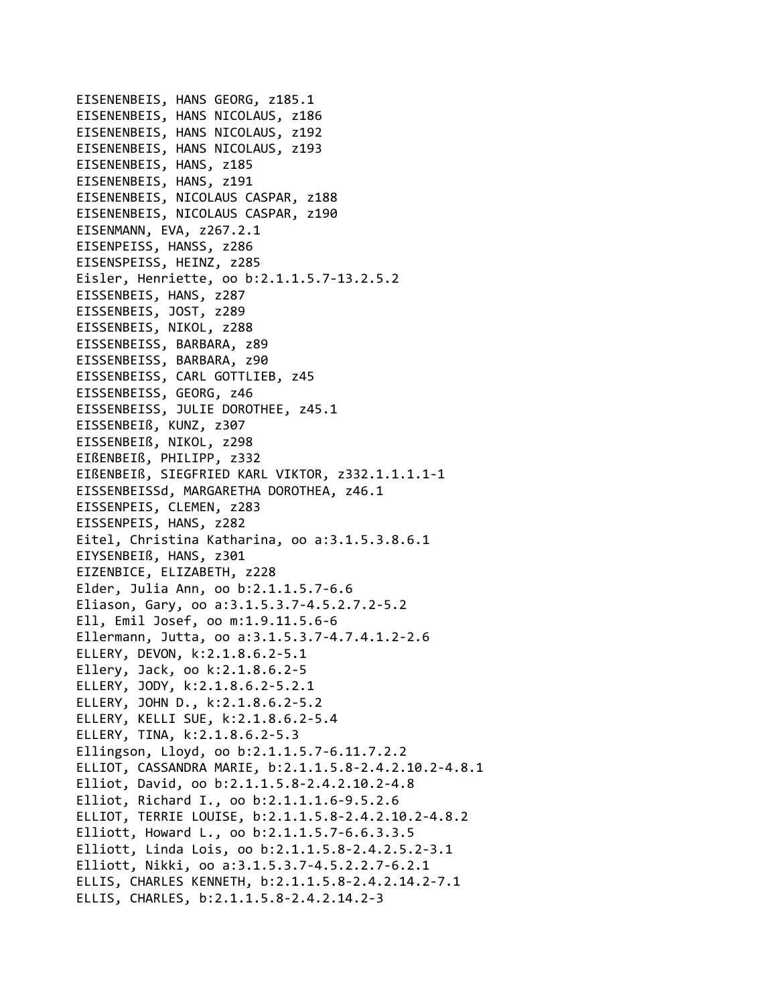EISENENBEIS, HANS GEORG, z185.1 EISENENBEIS, HANS NICOLAUS, z186 EISENENBEIS, HANS NICOLAUS, z192 EISENENBEIS, HANS NICOLAUS, z193 EISENENBEIS, HANS, z185 EISENENBEIS, HANS, z191 EISENENBEIS, NICOLAUS CASPAR, z188 EISENENBEIS, NICOLAUS CASPAR, z190 EISENMANN, EVA, z267.2.1 EISENPEISS, HANSS, z286 EISENSPEISS, HEINZ, z285 Eisler, Henriette, oo b:2.1.1.5.7‐13.2.5.2 EISSENBEIS, HANS, z287 EISSENBEIS, JOST, z289 EISSENBEIS, NIKOL, z288 EISSENBEISS, BARBARA, z89 EISSENBEISS, BARBARA, z90 EISSENBEISS, CARL GOTTLIEB, z45 EISSENBEISS, GEORG, z46 EISSENBEISS, JULIE DOROTHEE, z45.1 EISSENBEIß, KUNZ, z307 EISSENBEIß, NIKOL, z298 EIßENBEIß, PHILIPP, z332 EIßENBEIß, SIEGFRIED KARL VIKTOR, z332.1.1.1.1‐1 EISSENBEISSd, MARGARETHA DOROTHEA, z46.1 EISSENPEIS, CLEMEN, z283 EISSENPEIS, HANS, z282 Eitel, Christina Katharina, oo a:3.1.5.3.8.6.1 EIYSENBEIß, HANS, z301 EIZENBICE, ELIZABETH, z228 Elder, Julia Ann, oo b:2.1.1.5.7‐6.6 Eliason, Gary, oo a:3.1.5.3.7‐4.5.2.7.2‐5.2 Ell, Emil Josef, oo m:1.9.11.5.6‐6 Ellermann, Jutta, oo a:3.1.5.3.7‐4.7.4.1.2‐2.6 ELLERY, DEVON, k:2.1.8.6.2‐5.1 Ellery, Jack, oo k:2.1.8.6.2‐5 ELLERY, JODY, k:2.1.8.6.2‐5.2.1 ELLERY, JOHN D., k:2.1.8.6.2‐5.2 ELLERY, KELLI SUE, k:2.1.8.6.2‐5.4 ELLERY, TINA, k:2.1.8.6.2‐5.3 Ellingson, Lloyd, oo b:2.1.1.5.7‐6.11.7.2.2 ELLIOT, CASSANDRA MARIE, b:2.1.1.5.8‐2.4.2.10.2‐4.8.1 Elliot, David, oo b:2.1.1.5.8‐2.4.2.10.2‐4.8 Elliot, Richard I., oo b:2.1.1.1.6‐9.5.2.6 ELLIOT, TERRIE LOUISE, b:2.1.1.5.8‐2.4.2.10.2‐4.8.2 Elliott, Howard L., oo b:2.1.1.5.7‐6.6.3.3.5 Elliott, Linda Lois, oo b:2.1.1.5.8‐2.4.2.5.2‐3.1 Elliott, Nikki, oo a:3.1.5.3.7‐4.5.2.2.7‐6.2.1 ELLIS, CHARLES KENNETH, b:2.1.1.5.8‐2.4.2.14.2‐7.1 ELLIS, CHARLES, b:2.1.1.5.8‐2.4.2.14.2‐3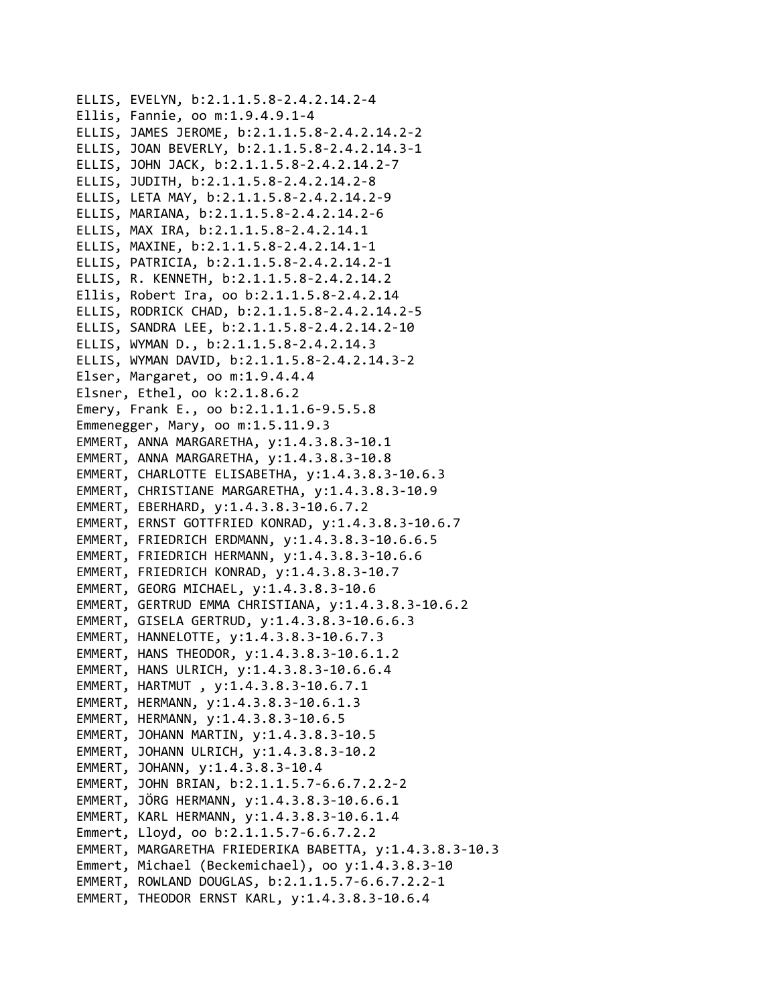```
ELLIS, EVELYN, b:2.1.1.5.8‐2.4.2.14.2‐4
Ellis, Fannie, oo m:1.9.4.9.1‐4
ELLIS, JAMES JEROME, b:2.1.1.5.8‐2.4.2.14.2‐2
ELLIS, JOAN BEVERLY, b:2.1.1.5.8‐2.4.2.14.3‐1
ELLIS, JOHN JACK, b:2.1.1.5.8‐2.4.2.14.2‐7
ELLIS, JUDITH, b:2.1.1.5.8‐2.4.2.14.2‐8
ELLIS, LETA MAY, b:2.1.1.5.8‐2.4.2.14.2‐9
ELLIS, MARIANA, b:2.1.1.5.8‐2.4.2.14.2‐6
ELLIS, MAX IRA, b:2.1.1.5.8‐2.4.2.14.1
ELLIS, MAXINE, b:2.1.1.5.8‐2.4.2.14.1‐1
ELLIS, PATRICIA, b:2.1.1.5.8‐2.4.2.14.2‐1
ELLIS, R. KENNETH, b:2.1.1.5.8‐2.4.2.14.2
Ellis, Robert Ira, oo b:2.1.1.5.8‐2.4.2.14
ELLIS, RODRICK CHAD, b:2.1.1.5.8‐2.4.2.14.2‐5
ELLIS, SANDRA LEE, b:2.1.1.5.8‐2.4.2.14.2‐10
ELLIS, WYMAN D., b:2.1.1.5.8‐2.4.2.14.3
ELLIS, WYMAN DAVID, b:2.1.1.5.8‐2.4.2.14.3‐2
Elser, Margaret, oo m:1.9.4.4.4
Elsner, Ethel, oo k:2.1.8.6.2
Emery, Frank E., oo b:2.1.1.1.6‐9.5.5.8
Emmenegger, Mary, oo m:1.5.11.9.3
EMMERT, ANNA MARGARETHA, y:1.4.3.8.3‐10.1
EMMERT, ANNA MARGARETHA, y:1.4.3.8.3‐10.8
EMMERT, CHARLOTTE ELISABETHA, y:1.4.3.8.3‐10.6.3
EMMERT, CHRISTIANE MARGARETHA, y:1.4.3.8.3‐10.9
EMMERT, EBERHARD, y:1.4.3.8.3‐10.6.7.2
EMMERT, ERNST GOTTFRIED KONRAD, y:1.4.3.8.3‐10.6.7
EMMERT, FRIEDRICH ERDMANN, y:1.4.3.8.3‐10.6.6.5
EMMERT, FRIEDRICH HERMANN, y:1.4.3.8.3‐10.6.6
EMMERT, FRIEDRICH KONRAD, y:1.4.3.8.3‐10.7
EMMERT, GEORG MICHAEL, y:1.4.3.8.3‐10.6
EMMERT, GERTRUD EMMA CHRISTIANA, y:1.4.3.8.3‐10.6.2
EMMERT, GISELA GERTRUD, y:1.4.3.8.3‐10.6.6.3
EMMERT, HANNELOTTE, y:1.4.3.8.3‐10.6.7.3
EMMERT, HANS THEODOR, y:1.4.3.8.3‐10.6.1.2
EMMERT, HANS ULRICH, y:1.4.3.8.3‐10.6.6.4
EMMERT, HARTMUT , y:1.4.3.8.3‐10.6.7.1
EMMERT, HERMANN, y:1.4.3.8.3‐10.6.1.3
EMMERT, HERMANN, y:1.4.3.8.3‐10.6.5
EMMERT, JOHANN MARTIN, y:1.4.3.8.3‐10.5
EMMERT, JOHANN ULRICH, y:1.4.3.8.3‐10.2
EMMERT, JOHANN, y:1.4.3.8.3‐10.4
EMMERT, JOHN BRIAN, b:2.1.1.5.7‐6.6.7.2.2‐2
EMMERT, JÖRG HERMANN, y:1.4.3.8.3‐10.6.6.1
EMMERT, KARL HERMANN, y:1.4.3.8.3‐10.6.1.4
Emmert, Lloyd, oo b:2.1.1.5.7‐6.6.7.2.2
EMMERT, MARGARETHA FRIEDERIKA BABETTA, y:1.4.3.8.3‐10.3
Emmert, Michael (Beckemichael), oo y:1.4.3.8.3‐10
EMMERT, ROWLAND DOUGLAS, b:2.1.1.5.7‐6.6.7.2.2‐1
EMMERT, THEODOR ERNST KARL, y:1.4.3.8.3‐10.6.4
```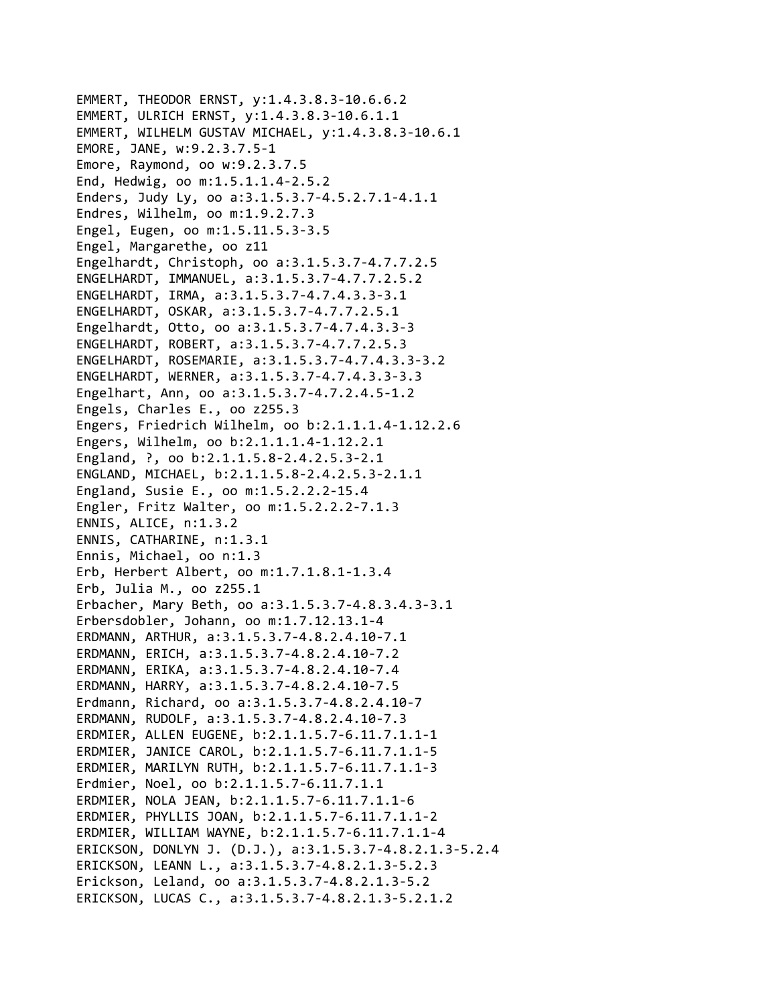```
EMMERT, THEODOR ERNST, y:1.4.3.8.3‐10.6.6.2
EMMERT, ULRICH ERNST, y:1.4.3.8.3‐10.6.1.1
EMMERT, WILHELM GUSTAV MICHAEL, y:1.4.3.8.3‐10.6.1
EMORE, JANE, w:9.2.3.7.5‐1
Emore, Raymond, oo w:9.2.3.7.5
End, Hedwig, oo m:1.5.1.1.4‐2.5.2
Enders, Judy Ly, oo a:3.1.5.3.7‐4.5.2.7.1‐4.1.1
Endres, Wilhelm, oo m:1.9.2.7.3
Engel, Eugen, oo m:1.5.11.5.3‐3.5
Engel, Margarethe, oo z11
Engelhardt, Christoph, oo a:3.1.5.3.7‐4.7.7.2.5
ENGELHARDT, IMMANUEL, a:3.1.5.3.7‐4.7.7.2.5.2
ENGELHARDT, IRMA, a:3.1.5.3.7‐4.7.4.3.3‐3.1
ENGELHARDT, OSKAR, a:3.1.5.3.7‐4.7.7.2.5.1
Engelhardt, Otto, oo a:3.1.5.3.7‐4.7.4.3.3‐3
ENGELHARDT, ROBERT, a:3.1.5.3.7‐4.7.7.2.5.3
ENGELHARDT, ROSEMARIE, a:3.1.5.3.7‐4.7.4.3.3‐3.2
ENGELHARDT, WERNER, a:3.1.5.3.7‐4.7.4.3.3‐3.3
Engelhart, Ann, oo a:3.1.5.3.7‐4.7.2.4.5‐1.2
Engels, Charles E., oo z255.3
Engers, Friedrich Wilhelm, oo b:2.1.1.1.4‐1.12.2.6
Engers, Wilhelm, oo b:2.1.1.1.4‐1.12.2.1
England, ?, oo b:2.1.1.5.8‐2.4.2.5.3‐2.1
ENGLAND, MICHAEL, b:2.1.1.5.8‐2.4.2.5.3‐2.1.1
England, Susie E., oo m:1.5.2.2.2‐15.4
Engler, Fritz Walter, oo m:1.5.2.2.2‐7.1.3
ENNIS, ALICE, n:1.3.2
ENNIS, CATHARINE, n:1.3.1
Ennis, Michael, oo n:1.3
Erb, Herbert Albert, oo m:1.7.1.8.1‐1.3.4
Erb, Julia M., oo z255.1
Erbacher, Mary Beth, oo a:3.1.5.3.7‐4.8.3.4.3‐3.1
Erbersdobler, Johann, oo m:1.7.12.13.1‐4
ERDMANN, ARTHUR, a:3.1.5.3.7‐4.8.2.4.10‐7.1
ERDMANN, ERICH, a:3.1.5.3.7‐4.8.2.4.10‐7.2
ERDMANN, ERIKA, a:3.1.5.3.7‐4.8.2.4.10‐7.4
ERDMANN, HARRY, a:3.1.5.3.7‐4.8.2.4.10‐7.5
Erdmann, Richard, oo a:3.1.5.3.7‐4.8.2.4.10‐7
ERDMANN, RUDOLF, a:3.1.5.3.7‐4.8.2.4.10‐7.3
ERDMIER, ALLEN EUGENE, b:2.1.1.5.7‐6.11.7.1.1‐1
ERDMIER, JANICE CAROL, b:2.1.1.5.7‐6.11.7.1.1‐5
ERDMIER, MARILYN RUTH, b:2.1.1.5.7‐6.11.7.1.1‐3
Erdmier, Noel, oo b:2.1.1.5.7‐6.11.7.1.1
ERDMIER, NOLA JEAN, b:2.1.1.5.7‐6.11.7.1.1‐6
ERDMIER, PHYLLIS JOAN, b:2.1.1.5.7‐6.11.7.1.1‐2
ERDMIER, WILLIAM WAYNE, b:2.1.1.5.7‐6.11.7.1.1‐4
ERICKSON, DONLYN J. (D.J.), a:3.1.5.3.7‐4.8.2.1.3‐5.2.4
ERICKSON, LEANN L., a:3.1.5.3.7‐4.8.2.1.3‐5.2.3
Erickson, Leland, oo a:3.1.5.3.7‐4.8.2.1.3‐5.2
ERICKSON, LUCAS C., a:3.1.5.3.7‐4.8.2.1.3‐5.2.1.2
```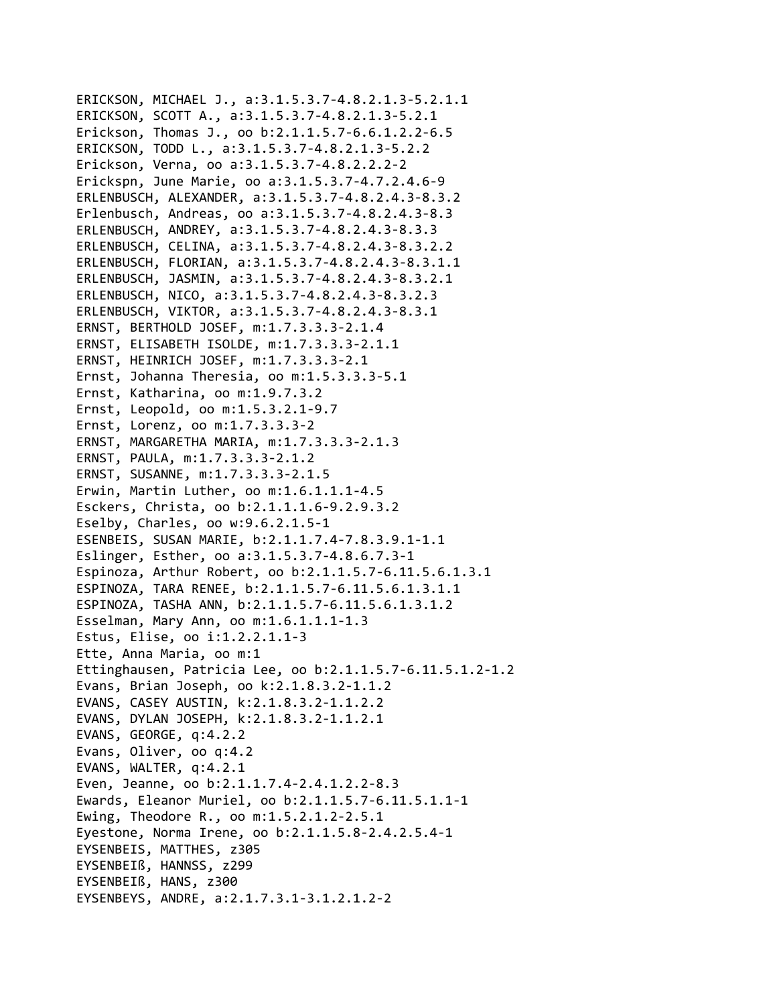```
ERICKSON, MICHAEL J., a:3.1.5.3.7‐4.8.2.1.3‐5.2.1.1
ERICKSON, SCOTT A., a:3.1.5.3.7‐4.8.2.1.3‐5.2.1
Erickson, Thomas J., oo b:2.1.1.5.7‐6.6.1.2.2‐6.5
ERICKSON, TODD L., a:3.1.5.3.7‐4.8.2.1.3‐5.2.2
Erickson, Verna, oo a:3.1.5.3.7‐4.8.2.2.2‐2
Erickspn, June Marie, oo a:3.1.5.3.7‐4.7.2.4.6‐9
ERLENBUSCH, ALEXANDER, a:3.1.5.3.7‐4.8.2.4.3‐8.3.2
Erlenbusch, Andreas, oo a:3.1.5.3.7‐4.8.2.4.3‐8.3
ERLENBUSCH, ANDREY, a:3.1.5.3.7‐4.8.2.4.3‐8.3.3
ERLENBUSCH, CELINA, a:3.1.5.3.7‐4.8.2.4.3‐8.3.2.2
ERLENBUSCH, FLORIAN, a:3.1.5.3.7‐4.8.2.4.3‐8.3.1.1
ERLENBUSCH, JASMIN, a:3.1.5.3.7‐4.8.2.4.3‐8.3.2.1
ERLENBUSCH, NICO, a:3.1.5.3.7‐4.8.2.4.3‐8.3.2.3
ERLENBUSCH, VIKTOR, a:3.1.5.3.7‐4.8.2.4.3‐8.3.1
ERNST, BERTHOLD JOSEF, m:1.7.3.3.3‐2.1.4
ERNST, ELISABETH ISOLDE, m:1.7.3.3.3‐2.1.1
ERNST, HEINRICH JOSEF, m:1.7.3.3.3‐2.1
Ernst, Johanna Theresia, oo m:1.5.3.3.3‐5.1
Ernst, Katharina, oo m:1.9.7.3.2
Ernst, Leopold, oo m:1.5.3.2.1‐9.7
Ernst, Lorenz, oo m:1.7.3.3.3‐2
ERNST, MARGARETHA MARIA, m:1.7.3.3.3‐2.1.3
ERNST, PAULA, m:1.7.3.3.3‐2.1.2
ERNST, SUSANNE, m:1.7.3.3.3‐2.1.5
Erwin, Martin Luther, oo m:1.6.1.1.1‐4.5
Esckers, Christa, oo b:2.1.1.1.6‐9.2.9.3.2
Eselby, Charles, oo w:9.6.2.1.5‐1
ESENBEIS, SUSAN MARIE, b:2.1.1.7.4‐7.8.3.9.1‐1.1
Eslinger, Esther, oo a:3.1.5.3.7‐4.8.6.7.3‐1
Espinoza, Arthur Robert, oo b:2.1.1.5.7‐6.11.5.6.1.3.1
ESPINOZA, TARA RENEE, b:2.1.1.5.7‐6.11.5.6.1.3.1.1
ESPINOZA, TASHA ANN, b:2.1.1.5.7‐6.11.5.6.1.3.1.2
Esselman, Mary Ann, oo m:1.6.1.1.1‐1.3
Estus, Elise, oo i:1.2.2.1.1‐3
Ette, Anna Maria, oo m:1
Ettinghausen, Patricia Lee, oo b:2.1.1.5.7‐6.11.5.1.2‐1.2
Evans, Brian Joseph, oo k:2.1.8.3.2‐1.1.2
EVANS, CASEY AUSTIN, k:2.1.8.3.2‐1.1.2.2
EVANS, DYLAN JOSEPH, k:2.1.8.3.2‐1.1.2.1
EVANS, GEORGE, q:4.2.2
Evans, Oliver, oo q:4.2
EVANS, WALTER, q:4.2.1
Even, Jeanne, oo b:2.1.1.7.4‐2.4.1.2.2‐8.3
Ewards, Eleanor Muriel, oo b:2.1.1.5.7‐6.11.5.1.1‐1
Ewing, Theodore R., oo m:1.5.2.1.2‐2.5.1
Eyestone, Norma Irene, oo b:2.1.1.5.8‐2.4.2.5.4‐1
EYSENBEIS, MATTHES, z305
EYSENBEIß, HANNSS, z299
EYSENBEIß, HANS, z300
EYSENBEYS, ANDRE, a:2.1.7.3.1‐3.1.2.1.2‐2
```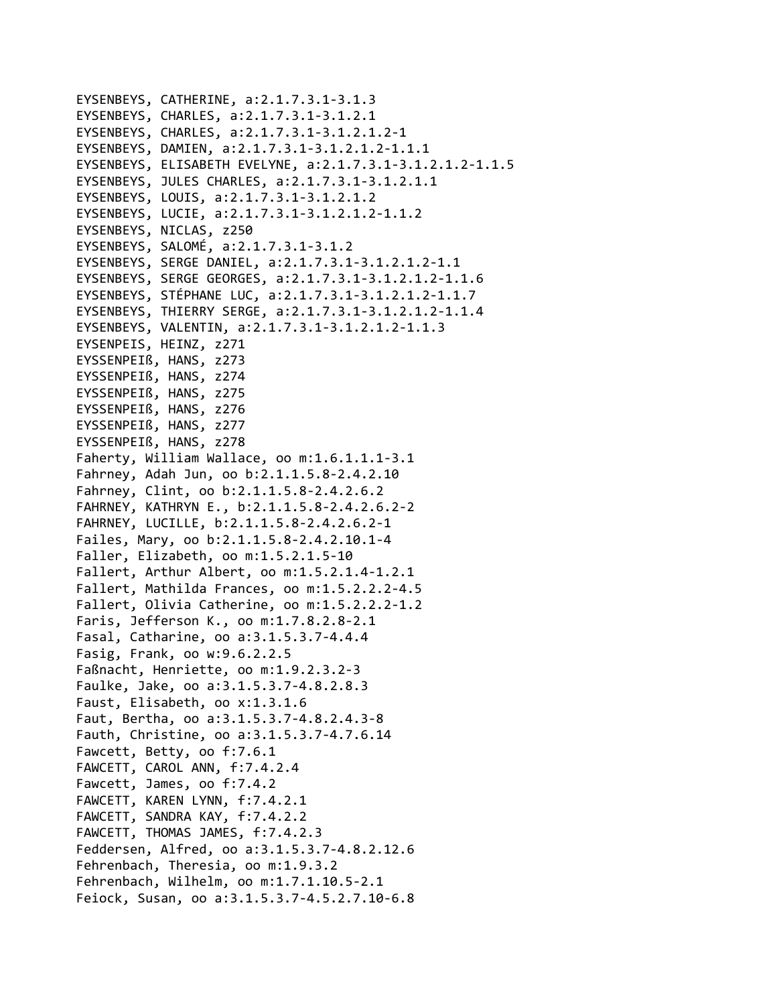```
EYSENBEYS, CATHERINE, a:2.1.7.3.1‐3.1.3
EYSENBEYS, CHARLES, a:2.1.7.3.1‐3.1.2.1
EYSENBEYS, CHARLES, a:2.1.7.3.1‐3.1.2.1.2‐1
EYSENBEYS, DAMIEN, a:2.1.7.3.1‐3.1.2.1.2‐1.1.1
EYSENBEYS, ELISABETH EVELYNE, a:2.1.7.3.1‐3.1.2.1.2‐1.1.5
EYSENBEYS, JULES CHARLES, a:2.1.7.3.1‐3.1.2.1.1
EYSENBEYS, LOUIS, a:2.1.7.3.1‐3.1.2.1.2
EYSENBEYS, LUCIE, a:2.1.7.3.1‐3.1.2.1.2‐1.1.2
EYSENBEYS, NICLAS, z250
EYSENBEYS, SALOMÉ, a:2.1.7.3.1‐3.1.2
EYSENBEYS, SERGE DANIEL, a:2.1.7.3.1‐3.1.2.1.2‐1.1
EYSENBEYS, SERGE GEORGES, a:2.1.7.3.1‐3.1.2.1.2‐1.1.6
EYSENBEYS, STÉPHANE LUC, a:2.1.7.3.1‐3.1.2.1.2‐1.1.7
EYSENBEYS, THIERRY SERGE, a:2.1.7.3.1‐3.1.2.1.2‐1.1.4
EYSENBEYS, VALENTIN, a:2.1.7.3.1‐3.1.2.1.2‐1.1.3
EYSENPEIS, HEINZ, z271
EYSSENPEIß, HANS, z273
EYSSENPEIß, HANS, z274
EYSSENPEIß, HANS, z275
EYSSENPEIß, HANS, z276
EYSSENPEIß, HANS, z277
EYSSENPEIß, HANS, z278
Faherty, William Wallace, oo m:1.6.1.1.1‐3.1
Fahrney, Adah Jun, oo b:2.1.1.5.8‐2.4.2.10
Fahrney, Clint, oo b:2.1.1.5.8‐2.4.2.6.2
FAHRNEY, KATHRYN E., b:2.1.1.5.8‐2.4.2.6.2‐2
FAHRNEY, LUCILLE, b:2.1.1.5.8‐2.4.2.6.2‐1
Failes, Mary, oo b:2.1.1.5.8‐2.4.2.10.1‐4
Faller, Elizabeth, oo m:1.5.2.1.5‐10
Fallert, Arthur Albert, oo m:1.5.2.1.4‐1.2.1
Fallert, Mathilda Frances, oo m:1.5.2.2.2‐4.5
Fallert, Olivia Catherine, oo m:1.5.2.2.2‐1.2
Faris, Jefferson K., oo m:1.7.8.2.8‐2.1
Fasal, Catharine, oo a:3.1.5.3.7‐4.4.4
Fasig, Frank, oo w:9.6.2.2.5
Faßnacht, Henriette, oo m:1.9.2.3.2‐3
Faulke, Jake, oo a:3.1.5.3.7‐4.8.2.8.3
Faust, Elisabeth, oo x:1.3.1.6
Faut, Bertha, oo a:3.1.5.3.7‐4.8.2.4.3‐8
Fauth, Christine, oo a:3.1.5.3.7‐4.7.6.14
Fawcett, Betty, oo f:7.6.1
FAWCETT, CAROL ANN, f:7.4.2.4
Fawcett, James, oo f:7.4.2
FAWCETT, KAREN LYNN, f:7.4.2.1
FAWCETT, SANDRA KAY, f:7.4.2.2
FAWCETT, THOMAS JAMES, f:7.4.2.3
Feddersen, Alfred, oo a:3.1.5.3.7‐4.8.2.12.6
Fehrenbach, Theresia, oo m:1.9.3.2
Fehrenbach, Wilhelm, oo m:1.7.1.10.5‐2.1
Feiock, Susan, oo a:3.1.5.3.7‐4.5.2.7.10‐6.8
```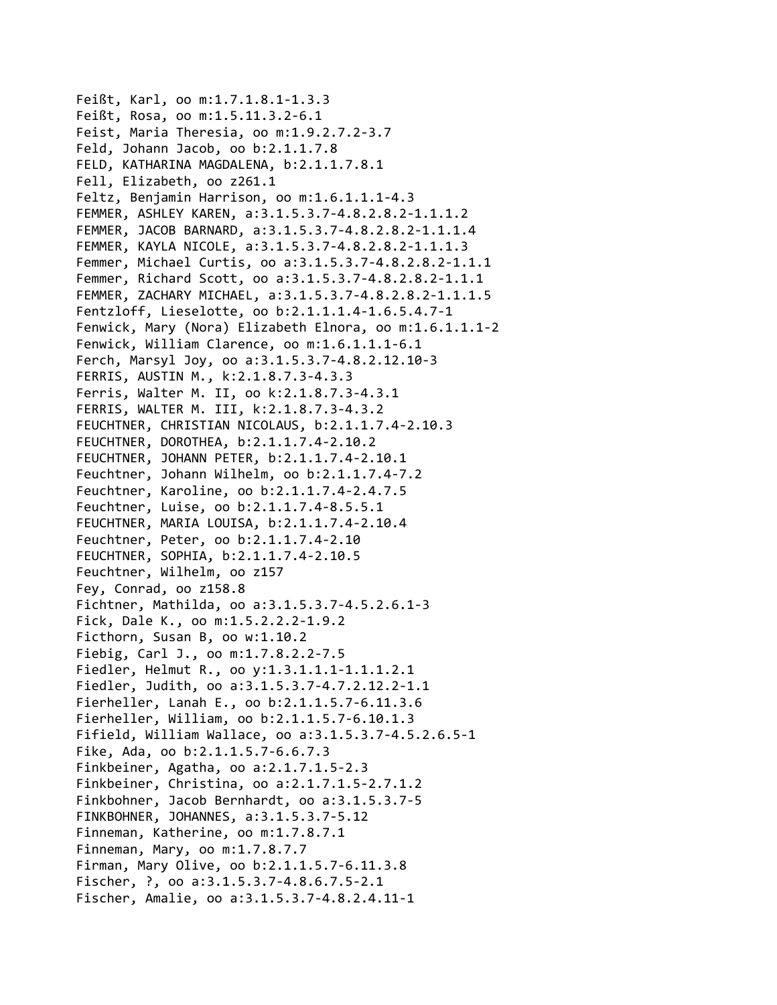Feißt, Karl, oo m:1.7.1.8.1‐1.3.3 Feißt, Rosa, oo m:1.5.11.3.2‐6.1 Feist, Maria Theresia, oo m:1.9.2.7.2‐3.7 Feld, Johann Jacob, oo b:2.1.1.7.8 FELD, KATHARINA MAGDALENA, b:2.1.1.7.8.1 Fell, Elizabeth, oo z261.1 Feltz, Benjamin Harrison, oo m:1.6.1.1.1‐4.3 FEMMER, ASHLEY KAREN, a:3.1.5.3.7‐4.8.2.8.2‐1.1.1.2 FEMMER, JACOB BARNARD, a:3.1.5.3.7‐4.8.2.8.2‐1.1.1.4 FEMMER, KAYLA NICOLE, a:3.1.5.3.7‐4.8.2.8.2‐1.1.1.3 Femmer, Michael Curtis, oo a:3.1.5.3.7‐4.8.2.8.2‐1.1.1 Femmer, Richard Scott, oo a:3.1.5.3.7‐4.8.2.8.2‐1.1.1 FEMMER, ZACHARY MICHAEL, a:3.1.5.3.7‐4.8.2.8.2‐1.1.1.5 Fentzloff, Lieselotte, oo b:2.1.1.1.4‐1.6.5.4.7‐1 Fenwick, Mary (Nora) Elizabeth Elnora, oo m:1.6.1.1.1‐2 Fenwick, William Clarence, oo m:1.6.1.1.1‐6.1 Ferch, Marsyl Joy, oo a:3.1.5.3.7‐4.8.2.12.10‐3 FERRIS, AUSTIN M., k:2.1.8.7.3‐4.3.3 Ferris, Walter M. II, oo k:2.1.8.7.3‐4.3.1 FERRIS, WALTER M. III, k:2.1.8.7.3‐4.3.2 FEUCHTNER, CHRISTIAN NICOLAUS, b:2.1.1.7.4‐2.10.3 FEUCHTNER, DOROTHEA, b:2.1.1.7.4‐2.10.2 FEUCHTNER, JOHANN PETER, b:2.1.1.7.4‐2.10.1 Feuchtner, Johann Wilhelm, oo b:2.1.1.7.4‐7.2 Feuchtner, Karoline, oo b:2.1.1.7.4‐2.4.7.5 Feuchtner, Luise, oo b:2.1.1.7.4‐8.5.5.1 FEUCHTNER, MARIA LOUISA, b:2.1.1.7.4‐2.10.4 Feuchtner, Peter, oo b:2.1.1.7.4‐2.10 FEUCHTNER, SOPHIA, b:2.1.1.7.4‐2.10.5 Feuchtner, Wilhelm, oo z157 Fey, Conrad, oo z158.8 Fichtner, Mathilda, oo a:3.1.5.3.7‐4.5.2.6.1‐3 Fick, Dale K., oo m:1.5.2.2.2‐1.9.2 Ficthorn, Susan B, oo w:1.10.2 Fiebig, Carl J., oo m:1.7.8.2.2‐7.5 Fiedler, Helmut R., oo y:1.3.1.1.1‐1.1.1.2.1 Fiedler, Judith, oo a:3.1.5.3.7‐4.7.2.12.2‐1.1 Fierheller, Lanah E., oo b:2.1.1.5.7‐6.11.3.6 Fierheller, William, oo b:2.1.1.5.7‐6.10.1.3 Fifield, William Wallace, oo a:3.1.5.3.7‐4.5.2.6.5‐1 Fike, Ada, oo b:2.1.1.5.7‐6.6.7.3 Finkbeiner, Agatha, oo a:2.1.7.1.5‐2.3 Finkbeiner, Christina, oo a:2.1.7.1.5‐2.7.1.2 Finkbohner, Jacob Bernhardt, oo a:3.1.5.3.7‐5 FINKBOHNER, JOHANNES, a:3.1.5.3.7‐5.12 Finneman, Katherine, oo m:1.7.8.7.1 Finneman, Mary, oo m:1.7.8.7.7 Firman, Mary Olive, oo b:2.1.1.5.7‐6.11.3.8 Fischer, ?, oo a:3.1.5.3.7‐4.8.6.7.5‐2.1 Fischer, Amalie, oo a:3.1.5.3.7‐4.8.2.4.11‐1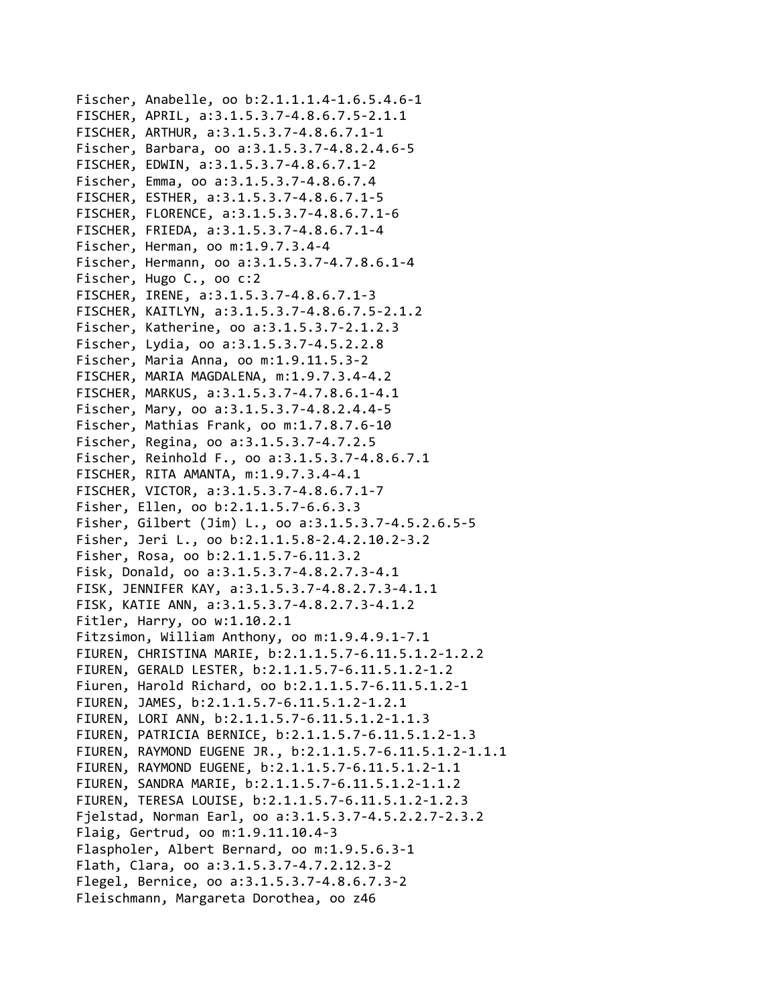```
Fischer, Anabelle, oo b:2.1.1.1.4‐1.6.5.4.6‐1
FISCHER, APRIL, a:3.1.5.3.7‐4.8.6.7.5‐2.1.1
FISCHER, ARTHUR, a:3.1.5.3.7‐4.8.6.7.1‐1
Fischer, Barbara, oo a:3.1.5.3.7‐4.8.2.4.6‐5
FISCHER, EDWIN, a:3.1.5.3.7‐4.8.6.7.1‐2
Fischer, Emma, oo a:3.1.5.3.7‐4.8.6.7.4
FISCHER, ESTHER, a:3.1.5.3.7‐4.8.6.7.1‐5
FISCHER, FLORENCE, a:3.1.5.3.7‐4.8.6.7.1‐6
FISCHER, FRIEDA, a:3.1.5.3.7‐4.8.6.7.1‐4
Fischer, Herman, oo m:1.9.7.3.4‐4
Fischer, Hermann, oo a:3.1.5.3.7‐4.7.8.6.1‐4
Fischer, Hugo C., oo c:2
FISCHER, IRENE, a:3.1.5.3.7‐4.8.6.7.1‐3
FISCHER, KAITLYN, a:3.1.5.3.7‐4.8.6.7.5‐2.1.2
Fischer, Katherine, oo a:3.1.5.3.7‐2.1.2.3
Fischer, Lydia, oo a:3.1.5.3.7‐4.5.2.2.8
Fischer, Maria Anna, oo m:1.9.11.5.3‐2
FISCHER, MARIA MAGDALENA, m:1.9.7.3.4‐4.2
FISCHER, MARKUS, a:3.1.5.3.7‐4.7.8.6.1‐4.1
Fischer, Mary, oo a:3.1.5.3.7‐4.8.2.4.4‐5
Fischer, Mathias Frank, oo m:1.7.8.7.6‐10
Fischer, Regina, oo a:3.1.5.3.7‐4.7.2.5
Fischer, Reinhold F., oo a:3.1.5.3.7‐4.8.6.7.1
FISCHER, RITA AMANTA, m:1.9.7.3.4‐4.1
FISCHER, VICTOR, a:3.1.5.3.7‐4.8.6.7.1‐7
Fisher, Ellen, oo b:2.1.1.5.7‐6.6.3.3
Fisher, Gilbert (Jim) L., oo a:3.1.5.3.7‐4.5.2.6.5‐5
Fisher, Jeri L., oo b:2.1.1.5.8‐2.4.2.10.2‐3.2
Fisher, Rosa, oo b:2.1.1.5.7‐6.11.3.2
Fisk, Donald, oo a:3.1.5.3.7‐4.8.2.7.3‐4.1
FISK, JENNIFER KAY, a:3.1.5.3.7‐4.8.2.7.3‐4.1.1
FISK, KATIE ANN, a:3.1.5.3.7‐4.8.2.7.3‐4.1.2
Fitler, Harry, oo w:1.10.2.1
Fitzsimon, William Anthony, oo m:1.9.4.9.1‐7.1
FIUREN, CHRISTINA MARIE, b:2.1.1.5.7‐6.11.5.1.2‐1.2.2
FIUREN, GERALD LESTER, b:2.1.1.5.7‐6.11.5.1.2‐1.2
Fiuren, Harold Richard, oo b:2.1.1.5.7‐6.11.5.1.2‐1
FIUREN, JAMES, b:2.1.1.5.7‐6.11.5.1.2‐1.2.1
FIUREN, LORI ANN, b:2.1.1.5.7‐6.11.5.1.2‐1.1.3
FIUREN, PATRICIA BERNICE, b:2.1.1.5.7‐6.11.5.1.2‐1.3
FIUREN, RAYMOND EUGENE JR., b:2.1.1.5.7‐6.11.5.1.2‐1.1.1
FIUREN, RAYMOND EUGENE, b:2.1.1.5.7‐6.11.5.1.2‐1.1
FIUREN, SANDRA MARIE, b:2.1.1.5.7‐6.11.5.1.2‐1.1.2
FIUREN, TERESA LOUISE, b:2.1.1.5.7‐6.11.5.1.2‐1.2.3
Fjelstad, Norman Earl, oo a:3.1.5.3.7‐4.5.2.2.7‐2.3.2
Flaig, Gertrud, oo m:1.9.11.10.4‐3
Flaspholer, Albert Bernard, oo m:1.9.5.6.3‐1
Flath, Clara, oo a:3.1.5.3.7‐4.7.2.12.3‐2
Flegel, Bernice, oo a:3.1.5.3.7‐4.8.6.7.3‐2
Fleischmann, Margareta Dorothea, oo z46
```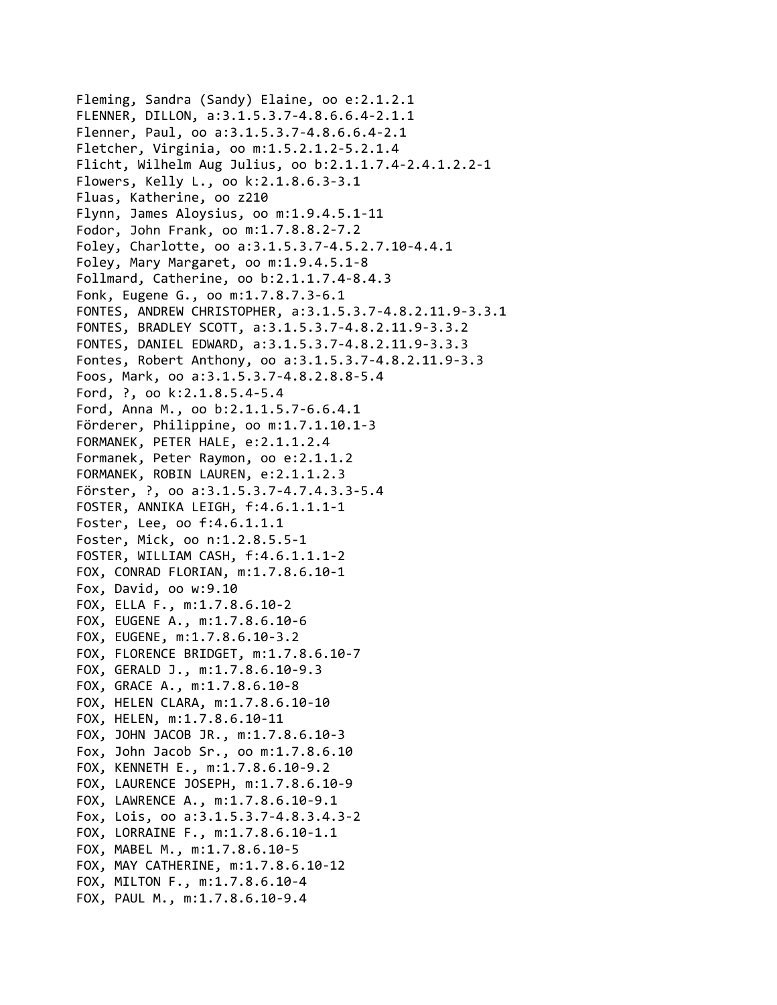Fleming, Sandra (Sandy) Elaine, oo e:2.1.2.1 FLENNER, DILLON, a:3.1.5.3.7‐4.8.6.6.4‐2.1.1 Flenner, Paul, oo a:3.1.5.3.7‐4.8.6.6.4‐2.1 Fletcher, Virginia, oo m:1.5.2.1.2‐5.2.1.4 Flicht, Wilhelm Aug Julius, oo b:2.1.1.7.4‐2.4.1.2.2‐1 Flowers, Kelly L., oo k:2.1.8.6.3‐3.1 Fluas, Katherine, oo z210 Flynn, James Aloysius, oo m:1.9.4.5.1‐11 Fodor, John Frank, oo m:1.7.8.8.2‐7.2 Foley, Charlotte, oo a:3.1.5.3.7‐4.5.2.7.10‐4.4.1 Foley, Mary Margaret, oo m:1.9.4.5.1‐8 Follmard, Catherine, oo b:2.1.1.7.4‐8.4.3 Fonk, Eugene G., oo m:1.7.8.7.3‐6.1 FONTES, ANDREW CHRISTOPHER, a:3.1.5.3.7‐4.8.2.11.9‐3.3.1 FONTES, BRADLEY SCOTT, a:3.1.5.3.7‐4.8.2.11.9‐3.3.2 FONTES, DANIEL EDWARD, a:3.1.5.3.7‐4.8.2.11.9‐3.3.3 Fontes, Robert Anthony, oo a:3.1.5.3.7‐4.8.2.11.9‐3.3 Foos, Mark, oo a:3.1.5.3.7‐4.8.2.8.8‐5.4 Ford, ?, oo k:2.1.8.5.4‐5.4 Ford, Anna M., oo b:2.1.1.5.7‐6.6.4.1 Förderer, Philippine, oo m:1.7.1.10.1‐3 FORMANEK, PETER HALE, e:2.1.1.2.4 Formanek, Peter Raymon, oo e:2.1.1.2 FORMANEK, ROBIN LAUREN, e:2.1.1.2.3 Förster, ?, oo a:3.1.5.3.7‐4.7.4.3.3‐5.4 FOSTER, ANNIKA LEIGH, f:4.6.1.1.1‐1 Foster, Lee, oo f:4.6.1.1.1 Foster, Mick, oo n:1.2.8.5.5‐1 FOSTER, WILLIAM CASH, f:4.6.1.1.1‐2 FOX, CONRAD FLORIAN, m:1.7.8.6.10‐1 Fox, David, oo w:9.10 FOX, ELLA F., m:1.7.8.6.10‐2 FOX, EUGENE A., m:1.7.8.6.10‐6 FOX, EUGENE, m:1.7.8.6.10‐3.2 FOX, FLORENCE BRIDGET, m:1.7.8.6.10‐7 FOX, GERALD J., m:1.7.8.6.10‐9.3 FOX, GRACE A., m:1.7.8.6.10‐8 FOX, HELEN CLARA, m:1.7.8.6.10‐10 FOX, HELEN, m:1.7.8.6.10‐11 FOX, JOHN JACOB JR., m:1.7.8.6.10‐3 Fox, John Jacob Sr., oo m:1.7.8.6.10 FOX, KENNETH E., m:1.7.8.6.10‐9.2 FOX, LAURENCE JOSEPH, m:1.7.8.6.10‐9 FOX, LAWRENCE A., m:1.7.8.6.10‐9.1 Fox, Lois, oo a:3.1.5.3.7‐4.8.3.4.3‐2 FOX, LORRAINE F., m:1.7.8.6.10‐1.1 FOX, MABEL M., m:1.7.8.6.10‐5 FOX, MAY CATHERINE, m:1.7.8.6.10‐12 FOX, MILTON F., m:1.7.8.6.10‐4 FOX, PAUL M., m:1.7.8.6.10‐9.4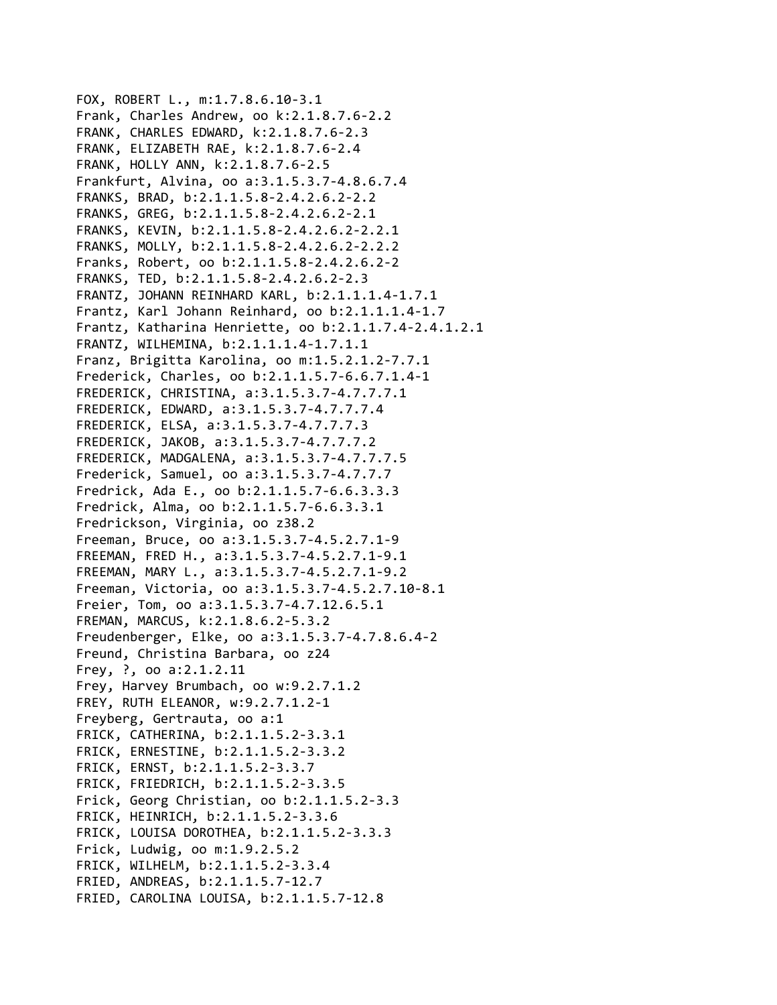```
FOX, ROBERT L., m:1.7.8.6.10‐3.1
Frank, Charles Andrew, oo k:2.1.8.7.6‐2.2
FRANK, CHARLES EDWARD, k:2.1.8.7.6‐2.3
FRANK, ELIZABETH RAE, k:2.1.8.7.6‐2.4
FRANK, HOLLY ANN, k:2.1.8.7.6‐2.5
Frankfurt, Alvina, oo a:3.1.5.3.7‐4.8.6.7.4
FRANKS, BRAD, b:2.1.1.5.8‐2.4.2.6.2‐2.2
FRANKS, GREG, b:2.1.1.5.8‐2.4.2.6.2‐2.1
FRANKS, KEVIN, b:2.1.1.5.8‐2.4.2.6.2‐2.2.1
FRANKS, MOLLY, b:2.1.1.5.8‐2.4.2.6.2‐2.2.2
Franks, Robert, oo b:2.1.1.5.8‐2.4.2.6.2‐2
FRANKS, TED, b:2.1.1.5.8‐2.4.2.6.2‐2.3
FRANTZ, JOHANN REINHARD KARL, b:2.1.1.1.4‐1.7.1
Frantz, Karl Johann Reinhard, oo b:2.1.1.1.4‐1.7
Frantz, Katharina Henriette, oo b:2.1.1.7.4‐2.4.1.2.1
FRANTZ, WILHEMINA, b:2.1.1.1.4‐1.7.1.1
Franz, Brigitta Karolina, oo m:1.5.2.1.2‐7.7.1
Frederick, Charles, oo b:2.1.1.5.7‐6.6.7.1.4‐1
FREDERICK, CHRISTINA, a:3.1.5.3.7‐4.7.7.7.1
FREDERICK, EDWARD, a:3.1.5.3.7‐4.7.7.7.4
FREDERICK, ELSA, a:3.1.5.3.7‐4.7.7.7.3
FREDERICK, JAKOB, a:3.1.5.3.7‐4.7.7.7.2
FREDERICK, MADGALENA, a:3.1.5.3.7‐4.7.7.7.5
Frederick, Samuel, oo a:3.1.5.3.7‐4.7.7.7
Fredrick, Ada E., oo b:2.1.1.5.7‐6.6.3.3.3
Fredrick, Alma, oo b:2.1.1.5.7‐6.6.3.3.1
Fredrickson, Virginia, oo z38.2
Freeman, Bruce, oo a:3.1.5.3.7‐4.5.2.7.1‐9
FREEMAN, FRED H., a:3.1.5.3.7‐4.5.2.7.1‐9.1
FREEMAN, MARY L., a:3.1.5.3.7‐4.5.2.7.1‐9.2
Freeman, Victoria, oo a:3.1.5.3.7‐4.5.2.7.10‐8.1
Freier, Tom, oo a:3.1.5.3.7‐4.7.12.6.5.1
FREMAN, MARCUS, k:2.1.8.6.2‐5.3.2
Freudenberger, Elke, oo a:3.1.5.3.7‐4.7.8.6.4‐2
Freund, Christina Barbara, oo z24
Frey, ?, oo a:2.1.2.11
Frey, Harvey Brumbach, oo w:9.2.7.1.2
FREY, RUTH ELEANOR, w:9.2.7.1.2‐1
Freyberg, Gertrauta, oo a:1
FRICK, CATHERINA, b:2.1.1.5.2‐3.3.1
FRICK, ERNESTINE, b:2.1.1.5.2‐3.3.2
FRICK, ERNST, b:2.1.1.5.2‐3.3.7
FRICK, FRIEDRICH, b:2.1.1.5.2‐3.3.5
Frick, Georg Christian, oo b:2.1.1.5.2‐3.3
FRICK, HEINRICH, b:2.1.1.5.2‐3.3.6
FRICK, LOUISA DOROTHEA, b:2.1.1.5.2‐3.3.3
Frick, Ludwig, oo m:1.9.2.5.2
FRICK, WILHELM, b:2.1.1.5.2‐3.3.4
FRIED, ANDREAS, b:2.1.1.5.7‐12.7
FRIED, CAROLINA LOUISA, b:2.1.1.5.7‐12.8
```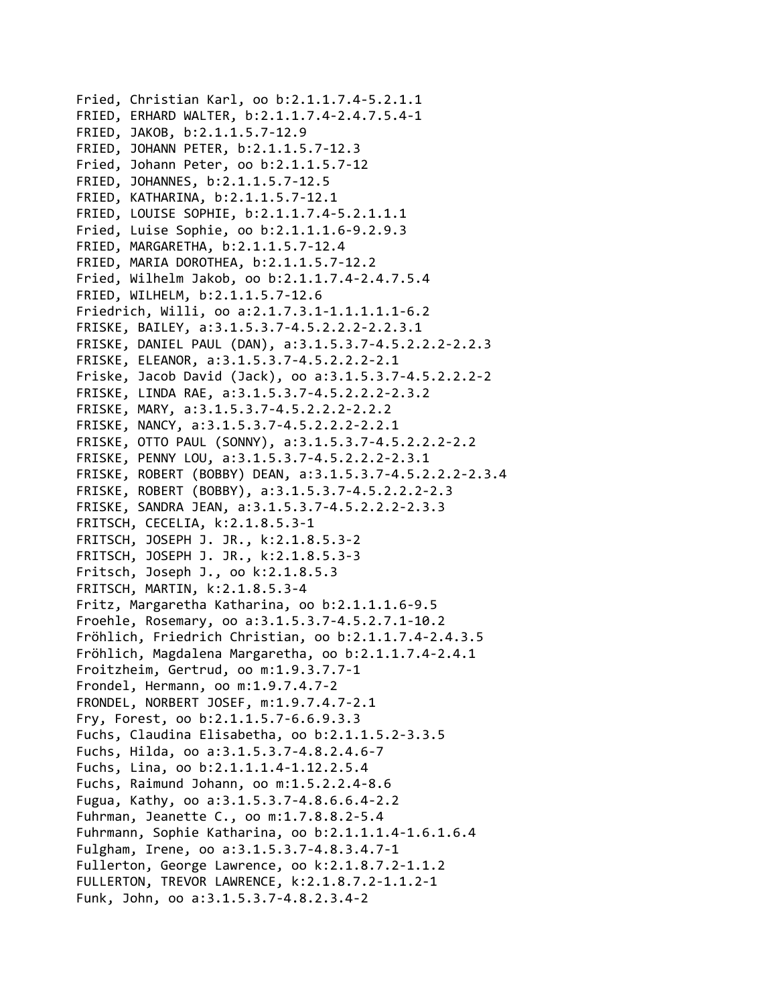Fried, Christian Karl, oo b:2.1.1.7.4‐5.2.1.1 FRIED, ERHARD WALTER, b:2.1.1.7.4‐2.4.7.5.4‐1 FRIED, JAKOB, b:2.1.1.5.7‐12.9 FRIED, JOHANN PETER, b:2.1.1.5.7‐12.3 Fried, Johann Peter, oo b:2.1.1.5.7‐12 FRIED, JOHANNES, b:2.1.1.5.7‐12.5 FRIED, KATHARINA, b:2.1.1.5.7‐12.1 FRIED, LOUISE SOPHIE, b:2.1.1.7.4‐5.2.1.1.1 Fried, Luise Sophie, oo b:2.1.1.1.6‐9.2.9.3 FRIED, MARGARETHA, b:2.1.1.5.7‐12.4 FRIED, MARIA DOROTHEA, b:2.1.1.5.7‐12.2 Fried, Wilhelm Jakob, oo b:2.1.1.7.4‐2.4.7.5.4 FRIED, WILHELM, b:2.1.1.5.7‐12.6 Friedrich, Willi, oo a:2.1.7.3.1‐1.1.1.1.1‐6.2 FRISKE, BAILEY, a:3.1.5.3.7‐4.5.2.2.2‐2.2.3.1 FRISKE, DANIEL PAUL (DAN), a:3.1.5.3.7‐4.5.2.2.2‐2.2.3 FRISKE, ELEANOR, a:3.1.5.3.7‐4.5.2.2.2‐2.1 Friske, Jacob David (Jack), oo a:3.1.5.3.7‐4.5.2.2.2‐2 FRISKE, LINDA RAE, a:3.1.5.3.7‐4.5.2.2.2‐2.3.2 FRISKE, MARY, a:3.1.5.3.7‐4.5.2.2.2‐2.2.2 FRISKE, NANCY, a:3.1.5.3.7‐4.5.2.2.2‐2.2.1 FRISKE, OTTO PAUL (SONNY), a:3.1.5.3.7‐4.5.2.2.2‐2.2 FRISKE, PENNY LOU, a:3.1.5.3.7‐4.5.2.2.2‐2.3.1 FRISKE, ROBERT (BOBBY) DEAN, a:3.1.5.3.7‐4.5.2.2.2‐2.3.4 FRISKE, ROBERT (BOBBY), a:3.1.5.3.7‐4.5.2.2.2‐2.3 FRISKE, SANDRA JEAN, a:3.1.5.3.7‐4.5.2.2.2‐2.3.3 FRITSCH, CECELIA, k:2.1.8.5.3‐1 FRITSCH, JOSEPH J. JR., k:2.1.8.5.3‐2 FRITSCH, JOSEPH J. JR., k:2.1.8.5.3‐3 Fritsch, Joseph J., oo k:2.1.8.5.3 FRITSCH, MARTIN, k:2.1.8.5.3‐4 Fritz, Margaretha Katharina, oo b:2.1.1.1.6‐9.5 Froehle, Rosemary, oo a:3.1.5.3.7‐4.5.2.7.1‐10.2 Fröhlich, Friedrich Christian, oo b:2.1.1.7.4‐2.4.3.5 Fröhlich, Magdalena Margaretha, oo b:2.1.1.7.4‐2.4.1 Froitzheim, Gertrud, oo m:1.9.3.7.7‐1 Frondel, Hermann, oo m:1.9.7.4.7‐2 FRONDEL, NORBERT JOSEF, m:1.9.7.4.7‐2.1 Fry, Forest, oo b:2.1.1.5.7‐6.6.9.3.3 Fuchs, Claudina Elisabetha, oo b:2.1.1.5.2‐3.3.5 Fuchs, Hilda, oo a:3.1.5.3.7‐4.8.2.4.6‐7 Fuchs, Lina, oo b:2.1.1.1.4‐1.12.2.5.4 Fuchs, Raimund Johann, oo m:1.5.2.2.4‐8.6 Fugua, Kathy, oo a:3.1.5.3.7‐4.8.6.6.4‐2.2 Fuhrman, Jeanette C., oo m:1.7.8.8.2‐5.4 Fuhrmann, Sophie Katharina, oo b:2.1.1.1.4‐1.6.1.6.4 Fulgham, Irene, oo a:3.1.5.3.7‐4.8.3.4.7‐1 Fullerton, George Lawrence, oo k:2.1.8.7.2‐1.1.2 FULLERTON, TREVOR LAWRENCE, k:2.1.8.7.2‐1.1.2‐1 Funk, John, oo a:3.1.5.3.7‐4.8.2.3.4‐2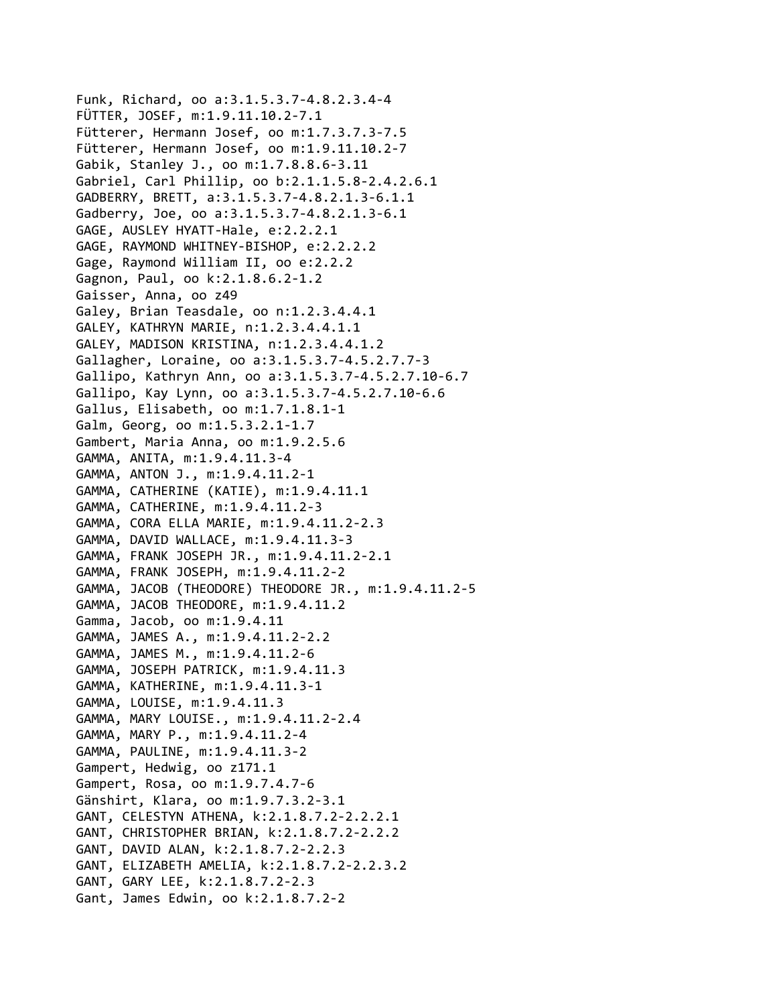Funk, Richard, oo a:3.1.5.3.7‐4.8.2.3.4‐4 FÜTTER, JOSEF, m:1.9.11.10.2‐7.1 Fütterer, Hermann Josef, oo m:1.7.3.7.3‐7.5 Fütterer, Hermann Josef, oo m:1.9.11.10.2‐7 Gabik, Stanley J., oo m:1.7.8.8.6‐3.11 Gabriel, Carl Phillip, oo b:2.1.1.5.8‐2.4.2.6.1 GADBERRY, BRETT, a:3.1.5.3.7‐4.8.2.1.3‐6.1.1 Gadberry, Joe, oo a:3.1.5.3.7‐4.8.2.1.3‐6.1 GAGE, AUSLEY HYATT‐Hale, e:2.2.2.1 GAGE, RAYMOND WHITNEY‐BISHOP, e:2.2.2.2 Gage, Raymond William II, oo e:2.2.2 Gagnon, Paul, oo k:2.1.8.6.2‐1.2 Gaisser, Anna, oo z49 Galey, Brian Teasdale, oo n:1.2.3.4.4.1 GALEY, KATHRYN MARIE, n:1.2.3.4.4.1.1 GALEY, MADISON KRISTINA, n:1.2.3.4.4.1.2 Gallagher, Loraine, oo a:3.1.5.3.7‐4.5.2.7.7‐3 Gallipo, Kathryn Ann, oo a:3.1.5.3.7‐4.5.2.7.10‐6.7 Gallipo, Kay Lynn, oo a:3.1.5.3.7‐4.5.2.7.10‐6.6 Gallus, Elisabeth, oo m:1.7.1.8.1‐1 Galm, Georg, oo m:1.5.3.2.1‐1.7 Gambert, Maria Anna, oo m:1.9.2.5.6 GAMMA, ANITA, m:1.9.4.11.3‐4 GAMMA, ANTON J., m:1.9.4.11.2‐1 GAMMA, CATHERINE (KATIE), m:1.9.4.11.1 GAMMA, CATHERINE, m:1.9.4.11.2‐3 GAMMA, CORA ELLA MARIE, m:1.9.4.11.2‐2.3 GAMMA, DAVID WALLACE, m:1.9.4.11.3‐3 GAMMA, FRANK JOSEPH JR., m:1.9.4.11.2‐2.1 GAMMA, FRANK JOSEPH, m:1.9.4.11.2‐2 GAMMA, JACOB (THEODORE) THEODORE JR., m:1.9.4.11.2‐5 GAMMA, JACOB THEODORE, m:1.9.4.11.2 Gamma, Jacob, oo m:1.9.4.11 GAMMA, JAMES A., m:1.9.4.11.2‐2.2 GAMMA, JAMES M., m:1.9.4.11.2‐6 GAMMA, JOSEPH PATRICK, m:1.9.4.11.3 GAMMA, KATHERINE, m:1.9.4.11.3‐1 GAMMA, LOUISE, m:1.9.4.11.3 GAMMA, MARY LOUISE., m:1.9.4.11.2‐2.4 GAMMA, MARY P., m:1.9.4.11.2‐4 GAMMA, PAULINE, m:1.9.4.11.3‐2 Gampert, Hedwig, oo z171.1 Gampert, Rosa, oo m:1.9.7.4.7‐6 Gänshirt, Klara, oo m:1.9.7.3.2‐3.1 GANT, CELESTYN ATHENA, k:2.1.8.7.2‐2.2.2.1 GANT, CHRISTOPHER BRIAN, k:2.1.8.7.2‐2.2.2 GANT, DAVID ALAN, k:2.1.8.7.2‐2.2.3 GANT, ELIZABETH AMELIA, k:2.1.8.7.2‐2.2.3.2 GANT, GARY LEE, k:2.1.8.7.2‐2.3 Gant, James Edwin, oo k:2.1.8.7.2‐2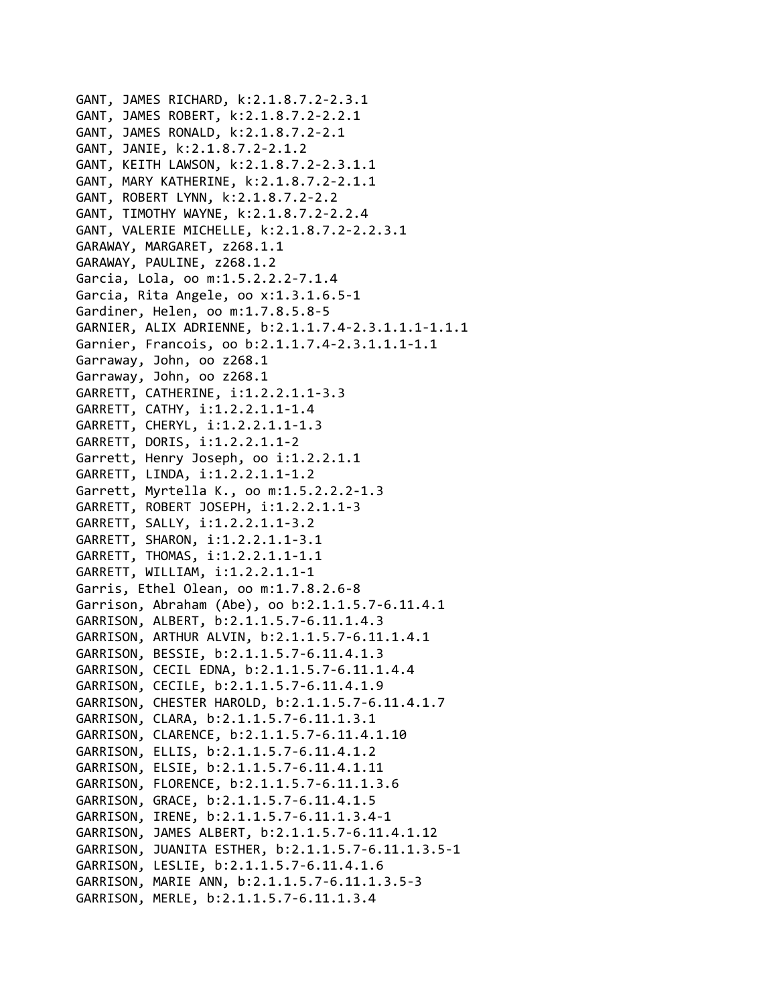GANT, JAMES RICHARD, k:2.1.8.7.2‐2.3.1 GANT, JAMES ROBERT, k:2.1.8.7.2‐2.2.1 GANT, JAMES RONALD, k:2.1.8.7.2‐2.1 GANT, JANIE, k:2.1.8.7.2‐2.1.2 GANT, KEITH LAWSON, k:2.1.8.7.2‐2.3.1.1 GANT, MARY KATHERINE, k:2.1.8.7.2‐2.1.1 GANT, ROBERT LYNN, k:2.1.8.7.2‐2.2 GANT, TIMOTHY WAYNE, k:2.1.8.7.2‐2.2.4 GANT, VALERIE MICHELLE, k:2.1.8.7.2‐2.2.3.1 GARAWAY, MARGARET, z268.1.1 GARAWAY, PAULINE, z268.1.2 Garcia, Lola, oo m:1.5.2.2.2‐7.1.4 Garcia, Rita Angele, oo x:1.3.1.6.5‐1 Gardiner, Helen, oo m:1.7.8.5.8‐5 GARNIER, ALIX ADRIENNE, b:2.1.1.7.4‐2.3.1.1.1‐1.1.1 Garnier, Francois, oo b:2.1.1.7.4‐2.3.1.1.1‐1.1 Garraway, John, oo z268.1 Garraway, John, oo z268.1 GARRETT, CATHERINE, i:1.2.2.1.1‐3.3 GARRETT, CATHY, i:1.2.2.1.1‐1.4 GARRETT, CHERYL, i:1.2.2.1.1‐1.3 GARRETT, DORIS, i:1.2.2.1.1‐2 Garrett, Henry Joseph, oo i:1.2.2.1.1 GARRETT, LINDA, i:1.2.2.1.1‐1.2 Garrett, Myrtella K., oo m:1.5.2.2.2‐1.3 GARRETT, ROBERT JOSEPH, i:1.2.2.1.1‐3 GARRETT, SALLY, i:1.2.2.1.1‐3.2 GARRETT, SHARON, i:1.2.2.1.1‐3.1 GARRETT, THOMAS, i:1.2.2.1.1‐1.1 GARRETT, WILLIAM, i:1.2.2.1.1‐1 Garris, Ethel Olean, oo m:1.7.8.2.6‐8 Garrison, Abraham (Abe), oo b:2.1.1.5.7‐6.11.4.1 GARRISON, ALBERT, b:2.1.1.5.7‐6.11.1.4.3 GARRISON, ARTHUR ALVIN, b:2.1.1.5.7‐6.11.1.4.1 GARRISON, BESSIE, b:2.1.1.5.7‐6.11.4.1.3 GARRISON, CECIL EDNA, b:2.1.1.5.7‐6.11.1.4.4 GARRISON, CECILE, b:2.1.1.5.7‐6.11.4.1.9 GARRISON, CHESTER HAROLD, b:2.1.1.5.7‐6.11.4.1.7 GARRISON, CLARA, b:2.1.1.5.7‐6.11.1.3.1 GARRISON, CLARENCE, b:2.1.1.5.7‐6.11.4.1.10 GARRISON, ELLIS, b:2.1.1.5.7‐6.11.4.1.2 GARRISON, ELSIE, b:2.1.1.5.7‐6.11.4.1.11 GARRISON, FLORENCE, b:2.1.1.5.7‐6.11.1.3.6 GARRISON, GRACE, b:2.1.1.5.7‐6.11.4.1.5 GARRISON, IRENE, b:2.1.1.5.7‐6.11.1.3.4‐1 GARRISON, JAMES ALBERT, b:2.1.1.5.7‐6.11.4.1.12 GARRISON, JUANITA ESTHER, b:2.1.1.5.7‐6.11.1.3.5‐1 GARRISON, LESLIE, b:2.1.1.5.7‐6.11.4.1.6 GARRISON, MARIE ANN, b:2.1.1.5.7‐6.11.1.3.5‐3 GARRISON, MERLE, b:2.1.1.5.7‐6.11.1.3.4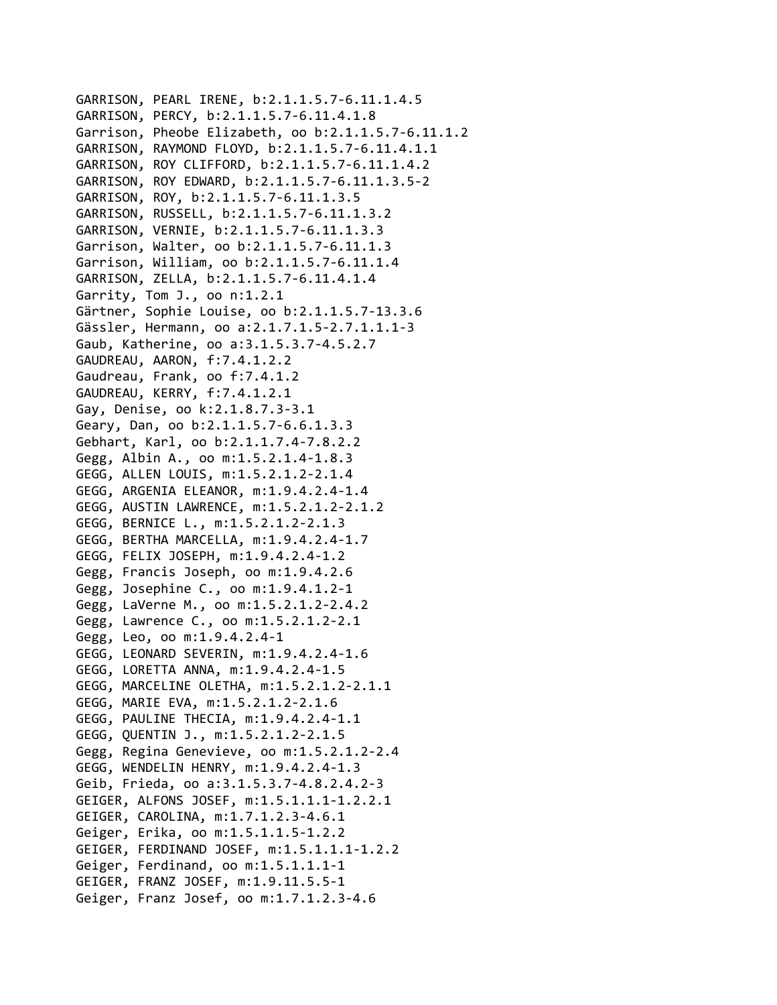```
GARRISON, PEARL IRENE, b:2.1.1.5.7‐6.11.1.4.5
GARRISON, PERCY, b:2.1.1.5.7‐6.11.4.1.8
Garrison, Pheobe Elizabeth, oo b:2.1.1.5.7‐6.11.1.2
GARRISON, RAYMOND FLOYD, b:2.1.1.5.7‐6.11.4.1.1
GARRISON, ROY CLIFFORD, b:2.1.1.5.7‐6.11.1.4.2
GARRISON, ROY EDWARD, b:2.1.1.5.7‐6.11.1.3.5‐2
GARRISON, ROY, b:2.1.1.5.7‐6.11.1.3.5
GARRISON, RUSSELL, b:2.1.1.5.7‐6.11.1.3.2
GARRISON, VERNIE, b:2.1.1.5.7‐6.11.1.3.3
Garrison, Walter, oo b:2.1.1.5.7‐6.11.1.3
Garrison, William, oo b:2.1.1.5.7‐6.11.1.4
GARRISON, ZELLA, b:2.1.1.5.7‐6.11.4.1.4
Garrity, Tom J., oo n:1.2.1
Gärtner, Sophie Louise, oo b:2.1.1.5.7‐13.3.6
Gässler, Hermann, oo a:2.1.7.1.5‐2.7.1.1.1‐3
Gaub, Katherine, oo a:3.1.5.3.7‐4.5.2.7
GAUDREAU, AARON, f:7.4.1.2.2
Gaudreau, Frank, oo f:7.4.1.2
GAUDREAU, KERRY, f:7.4.1.2.1
Gay, Denise, oo k:2.1.8.7.3‐3.1
Geary, Dan, oo b:2.1.1.5.7‐6.6.1.3.3
Gebhart, Karl, oo b:2.1.1.7.4‐7.8.2.2
Gegg, Albin A., oo m:1.5.2.1.4‐1.8.3
GEGG, ALLEN LOUIS, m:1.5.2.1.2‐2.1.4
GEGG, ARGENIA ELEANOR, m:1.9.4.2.4‐1.4
GEGG, AUSTIN LAWRENCE, m:1.5.2.1.2‐2.1.2
GEGG, BERNICE L., m:1.5.2.1.2‐2.1.3
GEGG, BERTHA MARCELLA, m:1.9.4.2.4‐1.7
GEGG, FELIX JOSEPH, m:1.9.4.2.4‐1.2
Gegg, Francis Joseph, oo m:1.9.4.2.6
Gegg, Josephine C., oo m:1.9.4.1.2‐1
Gegg, LaVerne M., oo m:1.5.2.1.2‐2.4.2
Gegg, Lawrence C., oo m:1.5.2.1.2‐2.1
Gegg, Leo, oo m:1.9.4.2.4‐1
GEGG, LEONARD SEVERIN, m:1.9.4.2.4‐1.6
GEGG, LORETTA ANNA, m:1.9.4.2.4‐1.5
GEGG, MARCELINE OLETHA, m:1.5.2.1.2‐2.1.1
GEGG, MARIE EVA, m:1.5.2.1.2‐2.1.6
GEGG, PAULINE THECIA, m:1.9.4.2.4‐1.1
GEGG, QUENTIN J., m:1.5.2.1.2‐2.1.5
Gegg, Regina Genevieve, oo m:1.5.2.1.2‐2.4
GEGG, WENDELIN HENRY, m:1.9.4.2.4‐1.3
Geib, Frieda, oo a:3.1.5.3.7‐4.8.2.4.2‐3
GEIGER, ALFONS JOSEF, m:1.5.1.1.1‐1.2.2.1
GEIGER, CAROLINA, m:1.7.1.2.3‐4.6.1
Geiger, Erika, oo m:1.5.1.1.5‐1.2.2
GEIGER, FERDINAND JOSEF, m:1.5.1.1.1‐1.2.2
Geiger, Ferdinand, oo m:1.5.1.1.1‐1
GEIGER, FRANZ JOSEF, m:1.9.11.5.5‐1
Geiger, Franz Josef, oo m:1.7.1.2.3‐4.6
```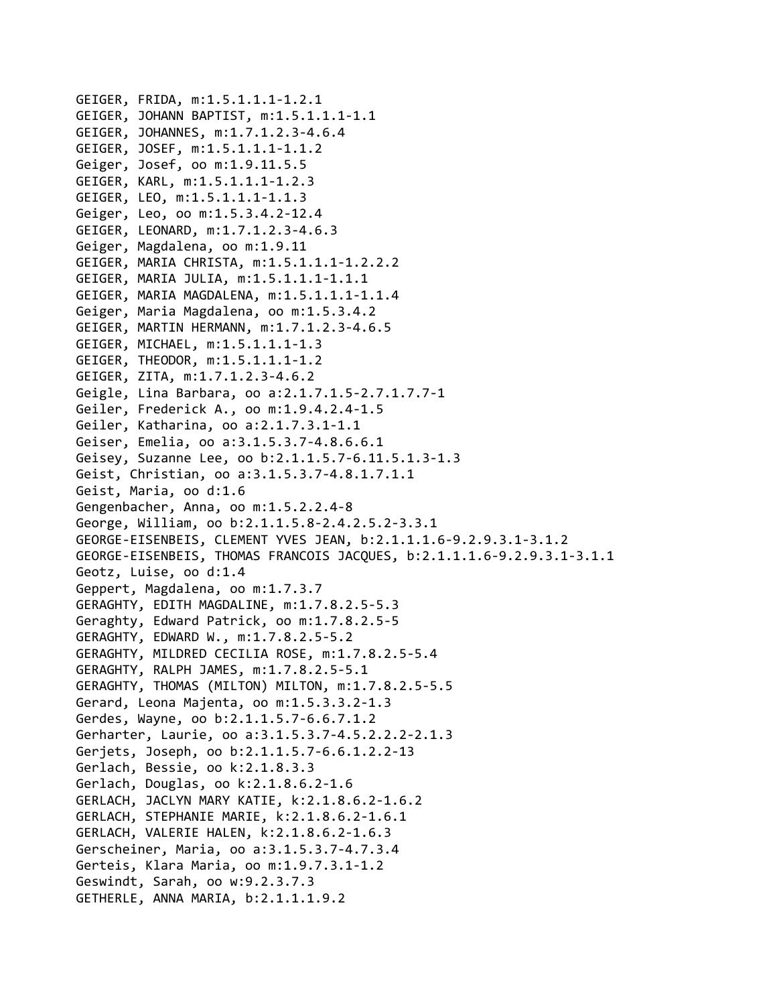```
GEIGER, FRIDA, m:1.5.1.1.1‐1.2.1
GEIGER, JOHANN BAPTIST, m:1.5.1.1.1‐1.1
GEIGER, JOHANNES, m:1.7.1.2.3‐4.6.4
GEIGER, JOSEF, m:1.5.1.1.1‐1.1.2
Geiger, Josef, oo m:1.9.11.5.5
GEIGER, KARL, m:1.5.1.1.1‐1.2.3
GEIGER, LEO, m:1.5.1.1.1‐1.1.3
Geiger, Leo, oo m:1.5.3.4.2‐12.4
GEIGER, LEONARD, m:1.7.1.2.3‐4.6.3
Geiger, Magdalena, oo m:1.9.11
GEIGER, MARIA CHRISTA, m:1.5.1.1.1‐1.2.2.2
GEIGER, MARIA JULIA, m:1.5.1.1.1‐1.1.1
GEIGER, MARIA MAGDALENA, m:1.5.1.1.1‐1.1.4
Geiger, Maria Magdalena, oo m:1.5.3.4.2
GEIGER, MARTIN HERMANN, m:1.7.1.2.3‐4.6.5
GEIGER, MICHAEL, m:1.5.1.1.1‐1.3
GEIGER, THEODOR, m:1.5.1.1.1‐1.2
GEIGER, ZITA, m:1.7.1.2.3‐4.6.2
Geigle, Lina Barbara, oo a:2.1.7.1.5‐2.7.1.7.7‐1
Geiler, Frederick A., oo m:1.9.4.2.4‐1.5
Geiler, Katharina, oo a:2.1.7.3.1‐1.1
Geiser, Emelia, oo a:3.1.5.3.7‐4.8.6.6.1
Geisey, Suzanne Lee, oo b:2.1.1.5.7‐6.11.5.1.3‐1.3
Geist, Christian, oo a:3.1.5.3.7‐4.8.1.7.1.1
Geist, Maria, oo d:1.6
Gengenbacher, Anna, oo m:1.5.2.2.4‐8
George, William, oo b:2.1.1.5.8‐2.4.2.5.2‐3.3.1
GEORGE‐EISENBEIS, CLEMENT YVES JEAN, b:2.1.1.1.6‐9.2.9.3.1‐3.1.2
GEORGE‐EISENBEIS, THOMAS FRANCOIS JACQUES, b:2.1.1.1.6‐9.2.9.3.1‐3.1.1
Geotz, Luise, oo d:1.4
Geppert, Magdalena, oo m:1.7.3.7
GERAGHTY, EDITH MAGDALINE, m:1.7.8.2.5‐5.3
Geraghty, Edward Patrick, oo m:1.7.8.2.5‐5
GERAGHTY, EDWARD W., m:1.7.8.2.5‐5.2
GERAGHTY, MILDRED CECILIA ROSE, m:1.7.8.2.5‐5.4
GERAGHTY, RALPH JAMES, m:1.7.8.2.5‐5.1
GERAGHTY, THOMAS (MILTON) MILTON, m:1.7.8.2.5‐5.5
Gerard, Leona Majenta, oo m:1.5.3.3.2‐1.3
Gerdes, Wayne, oo b:2.1.1.5.7‐6.6.7.1.2
Gerharter, Laurie, oo a:3.1.5.3.7‐4.5.2.2.2‐2.1.3
Gerjets, Joseph, oo b:2.1.1.5.7‐6.6.1.2.2‐13
Gerlach, Bessie, oo k:2.1.8.3.3
Gerlach, Douglas, oo k:2.1.8.6.2‐1.6
GERLACH, JACLYN MARY KATIE, k:2.1.8.6.2‐1.6.2
GERLACH, STEPHANIE MARIE, k:2.1.8.6.2‐1.6.1
GERLACH, VALERIE HALEN, k:2.1.8.6.2‐1.6.3
Gerscheiner, Maria, oo a:3.1.5.3.7‐4.7.3.4
Gerteis, Klara Maria, oo m:1.9.7.3.1‐1.2
Geswindt, Sarah, oo w:9.2.3.7.3
GETHERLE, ANNA MARIA, b:2.1.1.1.9.2
```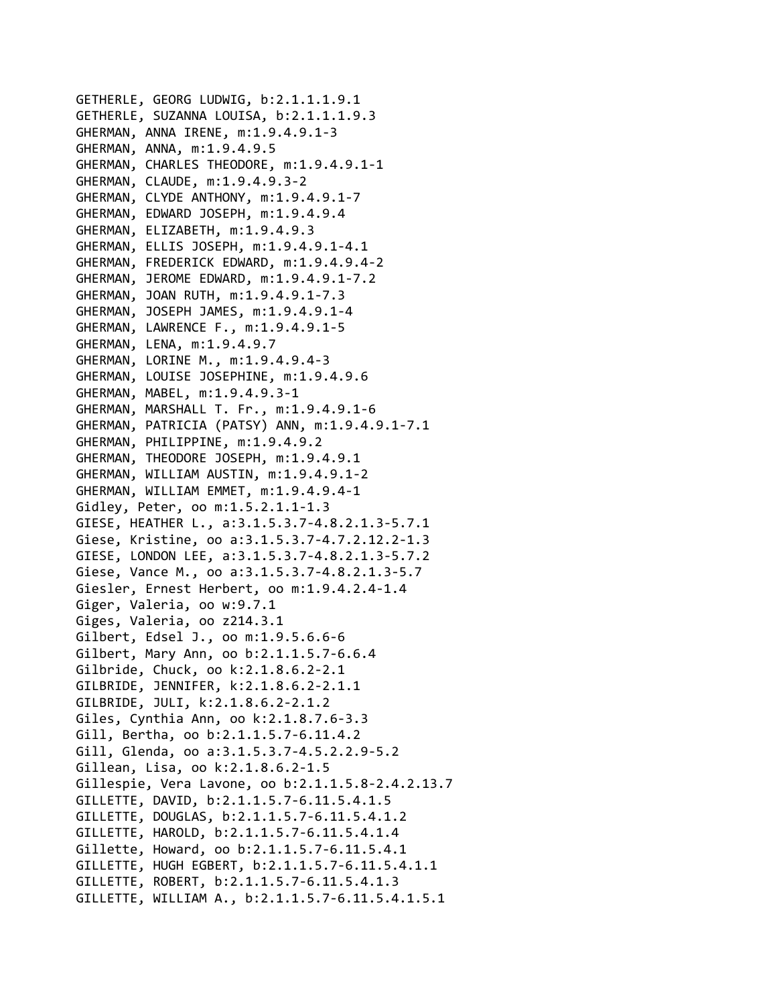GETHERLE, GEORG LUDWIG, b:2.1.1.1.9.1 GETHERLE, SUZANNA LOUISA, b:2.1.1.1.9.3 GHERMAN, ANNA IRENE, m:1.9.4.9.1‐3 GHERMAN, ANNA, m:1.9.4.9.5 GHERMAN, CHARLES THEODORE, m:1.9.4.9.1‐1 GHERMAN, CLAUDE, m:1.9.4.9.3‐2 GHERMAN, CLYDE ANTHONY, m:1.9.4.9.1‐7 GHERMAN, EDWARD JOSEPH, m:1.9.4.9.4 GHERMAN, ELIZABETH, m:1.9.4.9.3 GHERMAN, ELLIS JOSEPH, m:1.9.4.9.1‐4.1 GHERMAN, FREDERICK EDWARD, m:1.9.4.9.4‐2 GHERMAN, JEROME EDWARD, m:1.9.4.9.1‐7.2 GHERMAN, JOAN RUTH, m:1.9.4.9.1‐7.3 GHERMAN, JOSEPH JAMES, m:1.9.4.9.1‐4 GHERMAN, LAWRENCE F., m:1.9.4.9.1‐5 GHERMAN, LENA, m:1.9.4.9.7 GHERMAN, LORINE M., m:1.9.4.9.4‐3 GHERMAN, LOUISE JOSEPHINE, m:1.9.4.9.6 GHERMAN, MABEL, m:1.9.4.9.3‐1 GHERMAN, MARSHALL T. Fr., m:1.9.4.9.1‐6 GHERMAN, PATRICIA (PATSY) ANN, m:1.9.4.9.1‐7.1 GHERMAN, PHILIPPINE, m:1.9.4.9.2 GHERMAN, THEODORE JOSEPH, m:1.9.4.9.1 GHERMAN, WILLIAM AUSTIN, m:1.9.4.9.1‐2 GHERMAN, WILLIAM EMMET, m:1.9.4.9.4‐1 Gidley, Peter, oo m:1.5.2.1.1‐1.3 GIESE, HEATHER L., a:3.1.5.3.7‐4.8.2.1.3‐5.7.1 Giese, Kristine, oo a:3.1.5.3.7‐4.7.2.12.2‐1.3 GIESE, LONDON LEE, a:3.1.5.3.7‐4.8.2.1.3‐5.7.2 Giese, Vance M., oo a:3.1.5.3.7‐4.8.2.1.3‐5.7 Giesler, Ernest Herbert, oo m:1.9.4.2.4‐1.4 Giger, Valeria, oo w:9.7.1 Giges, Valeria, oo z214.3.1 Gilbert, Edsel J., oo m:1.9.5.6.6‐6 Gilbert, Mary Ann, oo b:2.1.1.5.7‐6.6.4 Gilbride, Chuck, oo k:2.1.8.6.2‐2.1 GILBRIDE, JENNIFER, k:2.1.8.6.2‐2.1.1 GILBRIDE, JULI, k:2.1.8.6.2‐2.1.2 Giles, Cynthia Ann, oo k:2.1.8.7.6‐3.3 Gill, Bertha, oo b:2.1.1.5.7‐6.11.4.2 Gill, Glenda, oo a:3.1.5.3.7‐4.5.2.2.9‐5.2 Gillean, Lisa, oo k:2.1.8.6.2‐1.5 Gillespie, Vera Lavone, oo b:2.1.1.5.8‐2.4.2.13.7 GILLETTE, DAVID, b:2.1.1.5.7‐6.11.5.4.1.5 GILLETTE, DOUGLAS, b:2.1.1.5.7‐6.11.5.4.1.2 GILLETTE, HAROLD, b:2.1.1.5.7‐6.11.5.4.1.4 Gillette, Howard, oo b:2.1.1.5.7‐6.11.5.4.1 GILLETTE, HUGH EGBERT, b:2.1.1.5.7‐6.11.5.4.1.1 GILLETTE, ROBERT, b:2.1.1.5.7‐6.11.5.4.1.3 GILLETTE, WILLIAM A., b:2.1.1.5.7‐6.11.5.4.1.5.1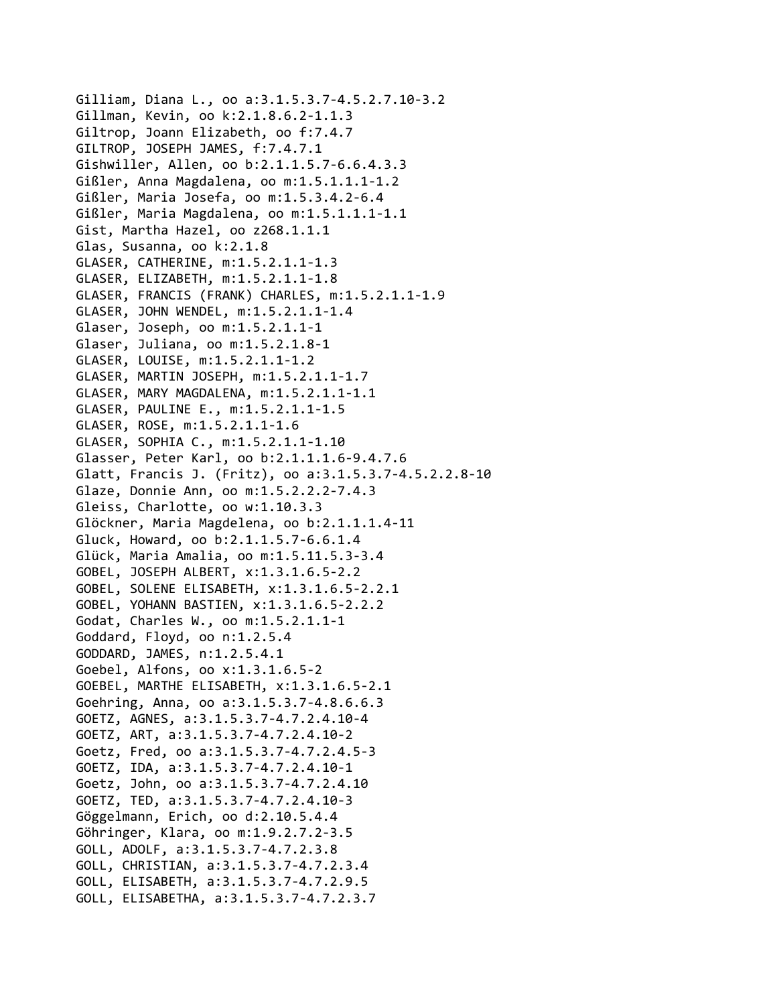Gilliam, Diana L., oo a:3.1.5.3.7‐4.5.2.7.10‐3.2 Gillman, Kevin, oo k:2.1.8.6.2‐1.1.3 Giltrop, Joann Elizabeth, oo f:7.4.7 GILTROP, JOSEPH JAMES, f:7.4.7.1 Gishwiller, Allen, oo b:2.1.1.5.7‐6.6.4.3.3 Gißler, Anna Magdalena, oo m:1.5.1.1.1‐1.2 Gißler, Maria Josefa, oo m:1.5.3.4.2‐6.4 Gißler, Maria Magdalena, oo m:1.5.1.1.1‐1.1 Gist, Martha Hazel, oo z268.1.1.1 Glas, Susanna, oo k:2.1.8 GLASER, CATHERINE, m:1.5.2.1.1‐1.3 GLASER, ELIZABETH, m:1.5.2.1.1‐1.8 GLASER, FRANCIS (FRANK) CHARLES, m:1.5.2.1.1‐1.9 GLASER, JOHN WENDEL, m:1.5.2.1.1‐1.4 Glaser, Joseph, oo m:1.5.2.1.1‐1 Glaser, Juliana, oo m:1.5.2.1.8‐1 GLASER, LOUISE, m:1.5.2.1.1‐1.2 GLASER, MARTIN JOSEPH, m:1.5.2.1.1‐1.7 GLASER, MARY MAGDALENA, m:1.5.2.1.1‐1.1 GLASER, PAULINE E., m:1.5.2.1.1‐1.5 GLASER, ROSE, m:1.5.2.1.1‐1.6 GLASER, SOPHIA C., m:1.5.2.1.1‐1.10 Glasser, Peter Karl, oo b:2.1.1.1.6‐9.4.7.6 Glatt, Francis J. (Fritz), oo a:3.1.5.3.7‐4.5.2.2.8‐10 Glaze, Donnie Ann, oo m:1.5.2.2.2‐7.4.3 Gleiss, Charlotte, oo w:1.10.3.3 Glöckner, Maria Magdelena, oo b:2.1.1.1.4‐11 Gluck, Howard, oo b:2.1.1.5.7‐6.6.1.4 Glück, Maria Amalia, oo m:1.5.11.5.3‐3.4 GOBEL, JOSEPH ALBERT, x:1.3.1.6.5‐2.2 GOBEL, SOLENE ELISABETH, x:1.3.1.6.5‐2.2.1 GOBEL, YOHANN BASTIEN, x:1.3.1.6.5‐2.2.2 Godat, Charles W., oo m:1.5.2.1.1‐1 Goddard, Floyd, oo n:1.2.5.4 GODDARD, JAMES, n:1.2.5.4.1 Goebel, Alfons, oo x:1.3.1.6.5‐2 GOEBEL, MARTHE ELISABETH, x:1.3.1.6.5‐2.1 Goehring, Anna, oo a:3.1.5.3.7‐4.8.6.6.3 GOETZ, AGNES, a:3.1.5.3.7‐4.7.2.4.10‐4 GOETZ, ART, a:3.1.5.3.7‐4.7.2.4.10‐2 Goetz, Fred, oo a:3.1.5.3.7‐4.7.2.4.5‐3 GOETZ, IDA, a:3.1.5.3.7‐4.7.2.4.10‐1 Goetz, John, oo a:3.1.5.3.7‐4.7.2.4.10 GOETZ, TED, a:3.1.5.3.7‐4.7.2.4.10‐3 Göggelmann, Erich, oo d:2.10.5.4.4 Göhringer, Klara, oo m:1.9.2.7.2‐3.5 GOLL, ADOLF, a:3.1.5.3.7‐4.7.2.3.8 GOLL, CHRISTIAN, a:3.1.5.3.7‐4.7.2.3.4 GOLL, ELISABETH, a:3.1.5.3.7‐4.7.2.9.5 GOLL, ELISABETHA, a:3.1.5.3.7‐4.7.2.3.7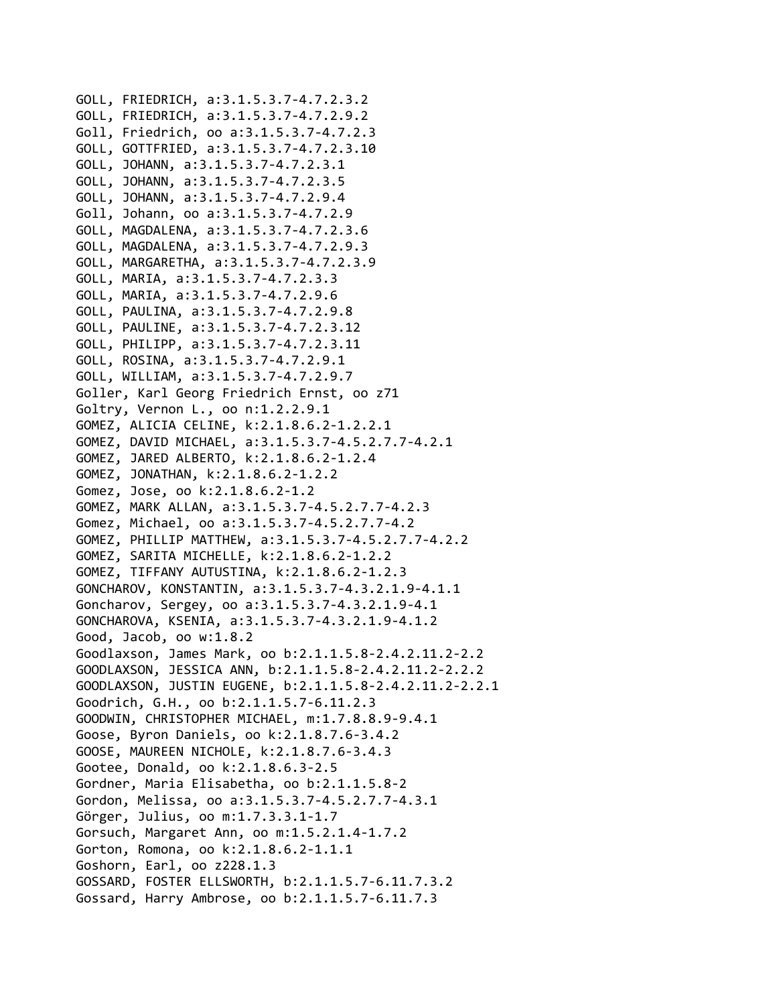```
GOLL, FRIEDRICH, a:3.1.5.3.7‐4.7.2.3.2
GOLL, FRIEDRICH, a:3.1.5.3.7‐4.7.2.9.2
Goll, Friedrich, oo a:3.1.5.3.7‐4.7.2.3
GOLL, GOTTFRIED, a:3.1.5.3.7‐4.7.2.3.10
GOLL, JOHANN, a:3.1.5.3.7‐4.7.2.3.1
GOLL, JOHANN, a:3.1.5.3.7‐4.7.2.3.5
GOLL, JOHANN, a:3.1.5.3.7‐4.7.2.9.4
Goll, Johann, oo a:3.1.5.3.7‐4.7.2.9
GOLL, MAGDALENA, a:3.1.5.3.7‐4.7.2.3.6
GOLL, MAGDALENA, a:3.1.5.3.7‐4.7.2.9.3
GOLL, MARGARETHA, a:3.1.5.3.7‐4.7.2.3.9
GOLL, MARIA, a:3.1.5.3.7‐4.7.2.3.3
GOLL, MARIA, a:3.1.5.3.7‐4.7.2.9.6
GOLL, PAULINA, a:3.1.5.3.7‐4.7.2.9.8
GOLL, PAULINE, a:3.1.5.3.7‐4.7.2.3.12
GOLL, PHILIPP, a:3.1.5.3.7‐4.7.2.3.11
GOLL, ROSINA, a:3.1.5.3.7‐4.7.2.9.1
GOLL, WILLIAM, a:3.1.5.3.7‐4.7.2.9.7
Goller, Karl Georg Friedrich Ernst, oo z71
Goltry, Vernon L., oo n:1.2.2.9.1
GOMEZ, ALICIA CELINE, k:2.1.8.6.2‐1.2.2.1
GOMEZ, DAVID MICHAEL, a:3.1.5.3.7‐4.5.2.7.7‐4.2.1
GOMEZ, JARED ALBERTO, k:2.1.8.6.2‐1.2.4
GOMEZ, JONATHAN, k:2.1.8.6.2‐1.2.2
Gomez, Jose, oo k:2.1.8.6.2‐1.2
GOMEZ, MARK ALLAN, a:3.1.5.3.7‐4.5.2.7.7‐4.2.3
Gomez, Michael, oo a:3.1.5.3.7‐4.5.2.7.7‐4.2
GOMEZ, PHILLIP MATTHEW, a:3.1.5.3.7‐4.5.2.7.7‐4.2.2
GOMEZ, SARITA MICHELLE, k:2.1.8.6.2‐1.2.2
GOMEZ, TIFFANY AUTUSTINA, k:2.1.8.6.2‐1.2.3
GONCHAROV, KONSTANTIN, a:3.1.5.3.7‐4.3.2.1.9‐4.1.1
Goncharov, Sergey, oo a:3.1.5.3.7‐4.3.2.1.9‐4.1
GONCHAROVA, KSENIA, a:3.1.5.3.7‐4.3.2.1.9‐4.1.2
Good, Jacob, oo w:1.8.2
Goodlaxson, James Mark, oo b:2.1.1.5.8‐2.4.2.11.2‐2.2
GOODLAXSON, JESSICA ANN, b:2.1.1.5.8‐2.4.2.11.2‐2.2.2
GOODLAXSON, JUSTIN EUGENE, b:2.1.1.5.8‐2.4.2.11.2‐2.2.1
Goodrich, G.H., oo b:2.1.1.5.7‐6.11.2.3
GOODWIN, CHRISTOPHER MICHAEL, m:1.7.8.8.9‐9.4.1
Goose, Byron Daniels, oo k:2.1.8.7.6‐3.4.2
GOOSE, MAUREEN NICHOLE, k:2.1.8.7.6‐3.4.3
Gootee, Donald, oo k:2.1.8.6.3‐2.5
Gordner, Maria Elisabetha, oo b:2.1.1.5.8‐2
Gordon, Melissa, oo a:3.1.5.3.7‐4.5.2.7.7‐4.3.1
Görger, Julius, oo m:1.7.3.3.1‐1.7
Gorsuch, Margaret Ann, oo m:1.5.2.1.4‐1.7.2
Gorton, Romona, oo k:2.1.8.6.2‐1.1.1
Goshorn, Earl, oo z228.1.3
GOSSARD, FOSTER ELLSWORTH, b:2.1.1.5.7‐6.11.7.3.2
Gossard, Harry Ambrose, oo b:2.1.1.5.7‐6.11.7.3
```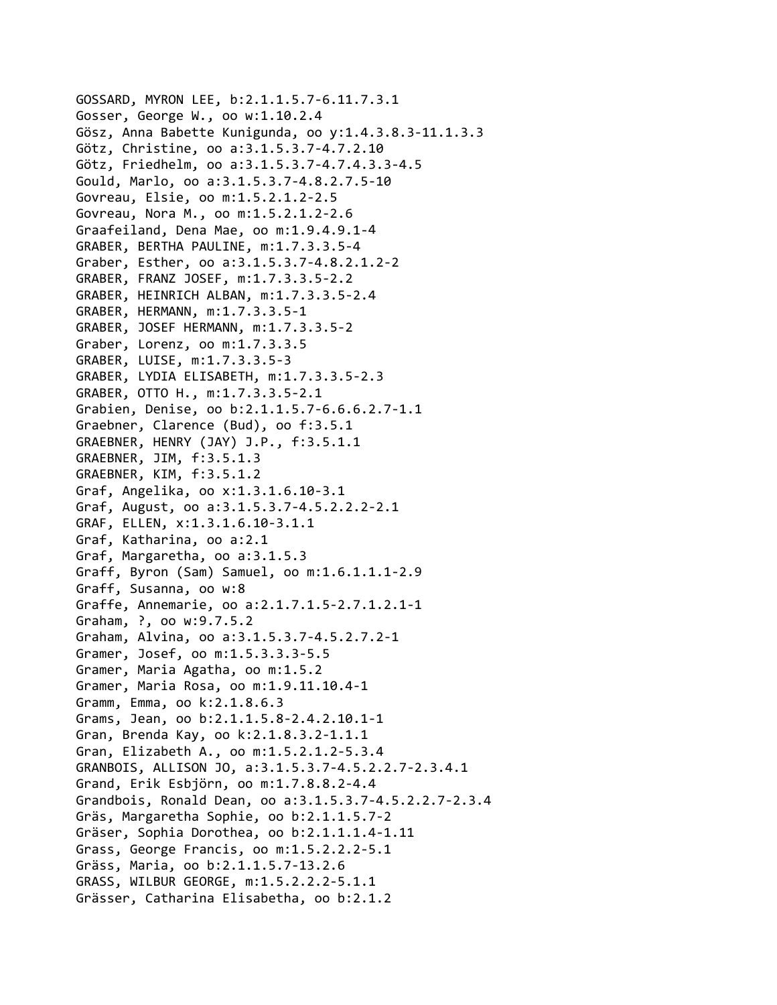GOSSARD, MYRON LEE, b:2.1.1.5.7‐6.11.7.3.1 Gosser, George W., oo w:1.10.2.4 Gösz, Anna Babette Kunigunda, oo y:1.4.3.8.3‐11.1.3.3 Götz, Christine, oo a:3.1.5.3.7‐4.7.2.10 Götz, Friedhelm, oo a:3.1.5.3.7‐4.7.4.3.3‐4.5 Gould, Marlo, oo a:3.1.5.3.7‐4.8.2.7.5‐10 Govreau, Elsie, oo m:1.5.2.1.2‐2.5 Govreau, Nora M., oo m:1.5.2.1.2‐2.6 Graafeiland, Dena Mae, oo m:1.9.4.9.1‐4 GRABER, BERTHA PAULINE, m:1.7.3.3.5‐4 Graber, Esther, oo a:3.1.5.3.7‐4.8.2.1.2‐2 GRABER, FRANZ JOSEF, m:1.7.3.3.5‐2.2 GRABER, HEINRICH ALBAN, m:1.7.3.3.5‐2.4 GRABER, HERMANN, m:1.7.3.3.5‐1 GRABER, JOSEF HERMANN, m:1.7.3.3.5‐2 Graber, Lorenz, oo m:1.7.3.3.5 GRABER, LUISE, m:1.7.3.3.5‐3 GRABER, LYDIA ELISABETH, m:1.7.3.3.5‐2.3 GRABER, OTTO H., m:1.7.3.3.5‐2.1 Grabien, Denise, oo b:2.1.1.5.7‐6.6.6.2.7‐1.1 Graebner, Clarence (Bud), oo f:3.5.1 GRAEBNER, HENRY (JAY) J.P., f:3.5.1.1 GRAEBNER, JIM, f:3.5.1.3 GRAEBNER, KIM, f:3.5.1.2 Graf, Angelika, oo x:1.3.1.6.10‐3.1 Graf, August, oo a:3.1.5.3.7‐4.5.2.2.2‐2.1 GRAF, ELLEN, x:1.3.1.6.10‐3.1.1 Graf, Katharina, oo a:2.1 Graf, Margaretha, oo a:3.1.5.3 Graff, Byron (Sam) Samuel, oo m:1.6.1.1.1‐2.9 Graff, Susanna, oo w:8 Graffe, Annemarie, oo a:2.1.7.1.5‐2.7.1.2.1‐1 Graham, ?, oo w:9.7.5.2 Graham, Alvina, oo a:3.1.5.3.7‐4.5.2.7.2‐1 Gramer, Josef, oo m:1.5.3.3.3‐5.5 Gramer, Maria Agatha, oo m:1.5.2 Gramer, Maria Rosa, oo m:1.9.11.10.4‐1 Gramm, Emma, oo k:2.1.8.6.3 Grams, Jean, oo b:2.1.1.5.8‐2.4.2.10.1‐1 Gran, Brenda Kay, oo k:2.1.8.3.2‐1.1.1 Gran, Elizabeth A., oo m:1.5.2.1.2‐5.3.4 GRANBOIS, ALLISON JO, a:3.1.5.3.7‐4.5.2.2.7‐2.3.4.1 Grand, Erik Esbjörn, oo m:1.7.8.8.2‐4.4 Grandbois, Ronald Dean, oo a:3.1.5.3.7‐4.5.2.2.7‐2.3.4 Gräs, Margaretha Sophie, oo b:2.1.1.5.7‐2 Gräser, Sophia Dorothea, oo b:2.1.1.1.4‐1.11 Grass, George Francis, oo m:1.5.2.2.2‐5.1 Gräss, Maria, oo b:2.1.1.5.7‐13.2.6 GRASS, WILBUR GEORGE, m:1.5.2.2.2‐5.1.1 Grässer, Catharina Elisabetha, oo b:2.1.2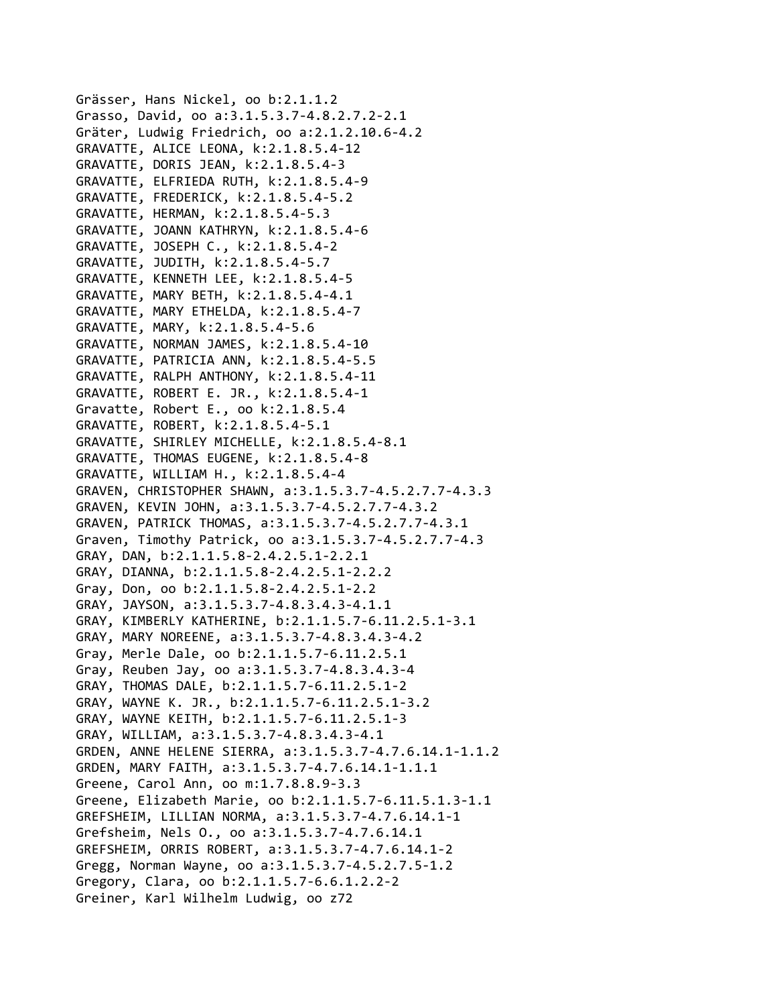Grässer, Hans Nickel, oo b:2.1.1.2 Grasso, David, oo a:3.1.5.3.7‐4.8.2.7.2‐2.1 Gräter, Ludwig Friedrich, oo a:2.1.2.10.6‐4.2 GRAVATTE, ALICE LEONA, k:2.1.8.5.4‐12 GRAVATTE, DORIS JEAN, k:2.1.8.5.4‐3 GRAVATTE, ELFRIEDA RUTH, k:2.1.8.5.4‐9 GRAVATTE, FREDERICK, k:2.1.8.5.4‐5.2 GRAVATTE, HERMAN, k:2.1.8.5.4‐5.3 GRAVATTE, JOANN KATHRYN, k:2.1.8.5.4‐6 GRAVATTE, JOSEPH C., k:2.1.8.5.4‐2 GRAVATTE, JUDITH, k:2.1.8.5.4‐5.7 GRAVATTE, KENNETH LEE, k:2.1.8.5.4‐5 GRAVATTE, MARY BETH, k:2.1.8.5.4‐4.1 GRAVATTE, MARY ETHELDA, k:2.1.8.5.4‐7 GRAVATTE, MARY, k:2.1.8.5.4‐5.6 GRAVATTE, NORMAN JAMES, k:2.1.8.5.4‐10 GRAVATTE, PATRICIA ANN, k:2.1.8.5.4‐5.5 GRAVATTE, RALPH ANTHONY, k:2.1.8.5.4‐11 GRAVATTE, ROBERT E. JR., k:2.1.8.5.4‐1 Gravatte, Robert E., oo k:2.1.8.5.4 GRAVATTE, ROBERT, k:2.1.8.5.4‐5.1 GRAVATTE, SHIRLEY MICHELLE, k:2.1.8.5.4‐8.1 GRAVATTE, THOMAS EUGENE, k:2.1.8.5.4‐8 GRAVATTE, WILLIAM H., k:2.1.8.5.4‐4 GRAVEN, CHRISTOPHER SHAWN, a:3.1.5.3.7‐4.5.2.7.7‐4.3.3 GRAVEN, KEVIN JOHN, a:3.1.5.3.7‐4.5.2.7.7‐4.3.2 GRAVEN, PATRICK THOMAS, a:3.1.5.3.7‐4.5.2.7.7‐4.3.1 Graven, Timothy Patrick, oo a:3.1.5.3.7‐4.5.2.7.7‐4.3 GRAY, DAN, b:2.1.1.5.8‐2.4.2.5.1‐2.2.1 GRAY, DIANNA, b:2.1.1.5.8‐2.4.2.5.1‐2.2.2 Gray, Don, oo b:2.1.1.5.8‐2.4.2.5.1‐2.2 GRAY, JAYSON, a:3.1.5.3.7‐4.8.3.4.3‐4.1.1 GRAY, KIMBERLY KATHERINE, b:2.1.1.5.7‐6.11.2.5.1‐3.1 GRAY, MARY NOREENE, a:3.1.5.3.7‐4.8.3.4.3‐4.2 Gray, Merle Dale, oo b:2.1.1.5.7‐6.11.2.5.1 Gray, Reuben Jay, oo a:3.1.5.3.7‐4.8.3.4.3‐4 GRAY, THOMAS DALE, b:2.1.1.5.7‐6.11.2.5.1‐2 GRAY, WAYNE K. JR., b:2.1.1.5.7‐6.11.2.5.1‐3.2 GRAY, WAYNE KEITH, b:2.1.1.5.7‐6.11.2.5.1‐3 GRAY, WILLIAM, a:3.1.5.3.7‐4.8.3.4.3‐4.1 GRDEN, ANNE HELENE SIERRA, a:3.1.5.3.7‐4.7.6.14.1‐1.1.2 GRDEN, MARY FAITH, a:3.1.5.3.7‐4.7.6.14.1‐1.1.1 Greene, Carol Ann, oo m:1.7.8.8.9‐3.3 Greene, Elizabeth Marie, oo b:2.1.1.5.7‐6.11.5.1.3‐1.1 GREFSHEIM, LILLIAN NORMA, a:3.1.5.3.7‐4.7.6.14.1‐1 Grefsheim, Nels O., oo a:3.1.5.3.7‐4.7.6.14.1 GREFSHEIM, ORRIS ROBERT, a:3.1.5.3.7‐4.7.6.14.1‐2 Gregg, Norman Wayne, oo a:3.1.5.3.7‐4.5.2.7.5‐1.2 Gregory, Clara, oo b:2.1.1.5.7‐6.6.1.2.2‐2 Greiner, Karl Wilhelm Ludwig, oo z72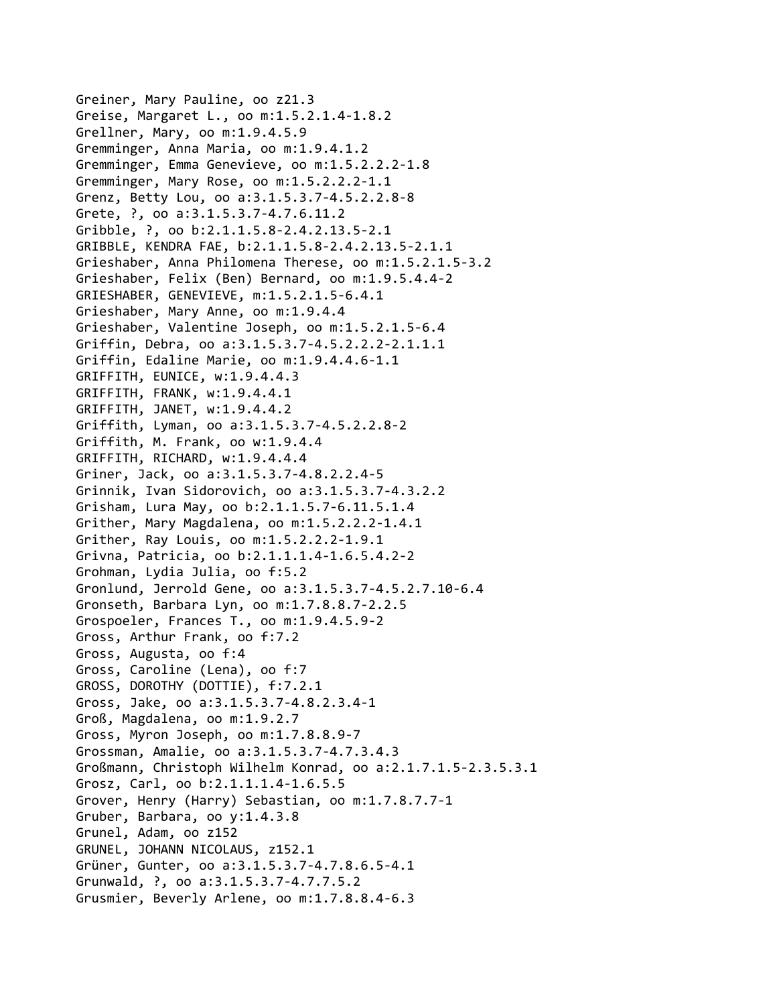```
Greiner, Mary Pauline, oo z21.3
Greise, Margaret L., oo m:1.5.2.1.4‐1.8.2
Grellner, Mary, oo m:1.9.4.5.9
Gremminger, Anna Maria, oo m:1.9.4.1.2
Gremminger, Emma Genevieve, oo m:1.5.2.2.2‐1.8
Gremminger, Mary Rose, oo m:1.5.2.2.2‐1.1
Grenz, Betty Lou, oo a:3.1.5.3.7‐4.5.2.2.8‐8
Grete, ?, oo a:3.1.5.3.7‐4.7.6.11.2
Gribble, ?, oo b:2.1.1.5.8‐2.4.2.13.5‐2.1
GRIBBLE, KENDRA FAE, b:2.1.1.5.8‐2.4.2.13.5‐2.1.1
Grieshaber, Anna Philomena Therese, oo m:1.5.2.1.5‐3.2
Grieshaber, Felix (Ben) Bernard, oo m:1.9.5.4.4‐2
GRIESHABER, GENEVIEVE, m:1.5.2.1.5‐6.4.1
Grieshaber, Mary Anne, oo m:1.9.4.4
Grieshaber, Valentine Joseph, oo m:1.5.2.1.5‐6.4
Griffin, Debra, oo a:3.1.5.3.7‐4.5.2.2.2‐2.1.1.1
Griffin, Edaline Marie, oo m:1.9.4.4.6‐1.1
GRIFFITH, EUNICE, w:1.9.4.4.3
GRIFFITH, FRANK, w:1.9.4.4.1
GRIFFITH, JANET, w:1.9.4.4.2
Griffith, Lyman, oo a:3.1.5.3.7‐4.5.2.2.8‐2
Griffith, M. Frank, oo w:1.9.4.4
GRIFFITH, RICHARD, w:1.9.4.4.4
Griner, Jack, oo a:3.1.5.3.7‐4.8.2.2.4‐5
Grinnik, Ivan Sidorovich, oo a:3.1.5.3.7‐4.3.2.2
Grisham, Lura May, oo b:2.1.1.5.7‐6.11.5.1.4
Grither, Mary Magdalena, oo m:1.5.2.2.2‐1.4.1
Grither, Ray Louis, oo m:1.5.2.2.2‐1.9.1
Grivna, Patricia, oo b:2.1.1.1.4‐1.6.5.4.2‐2
Grohman, Lydia Julia, oo f:5.2
Gronlund, Jerrold Gene, oo a:3.1.5.3.7‐4.5.2.7.10‐6.4
Gronseth, Barbara Lyn, oo m:1.7.8.8.7‐2.2.5
Grospoeler, Frances T., oo m:1.9.4.5.9‐2
Gross, Arthur Frank, oo f:7.2
Gross, Augusta, oo f:4
Gross, Caroline (Lena), oo f:7
GROSS, DOROTHY (DOTTIE), f:7.2.1
Gross, Jake, oo a:3.1.5.3.7‐4.8.2.3.4‐1
Groß, Magdalena, oo m:1.9.2.7
Gross, Myron Joseph, oo m:1.7.8.8.9‐7
Grossman, Amalie, oo a:3.1.5.3.7‐4.7.3.4.3
Großmann, Christoph Wilhelm Konrad, oo a:2.1.7.1.5‐2.3.5.3.1
Grosz, Carl, oo b:2.1.1.1.4‐1.6.5.5
Grover, Henry (Harry) Sebastian, oo m:1.7.8.7.7‐1
Gruber, Barbara, oo y:1.4.3.8
Grunel, Adam, oo z152
GRUNEL, JOHANN NICOLAUS, z152.1
Grüner, Gunter, oo a:3.1.5.3.7‐4.7.8.6.5‐4.1
Grunwald, ?, oo a:3.1.5.3.7‐4.7.7.5.2
Grusmier, Beverly Arlene, oo m:1.7.8.8.4‐6.3
```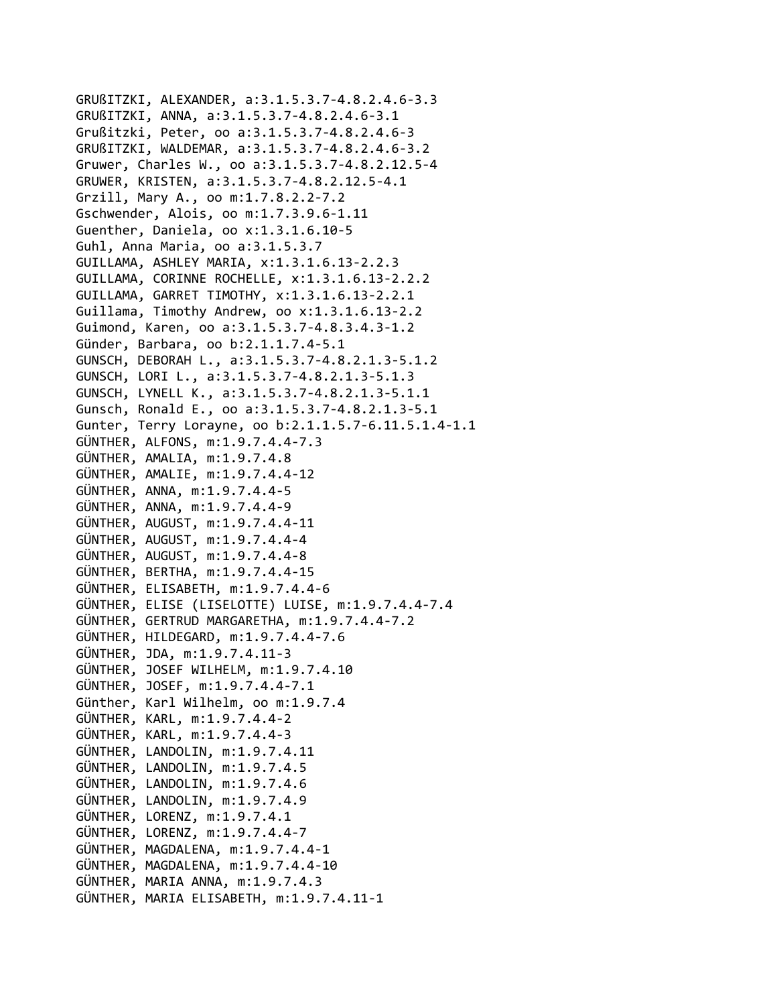GRUßITZKI, ALEXANDER, a:3.1.5.3.7‐4.8.2.4.6‐3.3 GRUßITZKI, ANNA, a:3.1.5.3.7‐4.8.2.4.6‐3.1 Grußitzki, Peter, oo a:3.1.5.3.7‐4.8.2.4.6‐3 GRUßITZKI, WALDEMAR, a:3.1.5.3.7‐4.8.2.4.6‐3.2 Gruwer, Charles W., oo a:3.1.5.3.7‐4.8.2.12.5‐4 GRUWER, KRISTEN, a:3.1.5.3.7‐4.8.2.12.5‐4.1 Grzill, Mary A., oo m:1.7.8.2.2‐7.2 Gschwender, Alois, oo m:1.7.3.9.6‐1.11 Guenther, Daniela, oo x:1.3.1.6.10‐5 Guhl, Anna Maria, oo a:3.1.5.3.7 GUILLAMA, ASHLEY MARIA, x:1.3.1.6.13‐2.2.3 GUILLAMA, CORINNE ROCHELLE, x:1.3.1.6.13‐2.2.2 GUILLAMA, GARRET TIMOTHY, x:1.3.1.6.13‐2.2.1 Guillama, Timothy Andrew, oo x:1.3.1.6.13‐2.2 Guimond, Karen, oo a:3.1.5.3.7‐4.8.3.4.3‐1.2 Günder, Barbara, oo b:2.1.1.7.4‐5.1 GUNSCH, DEBORAH L., a:3.1.5.3.7‐4.8.2.1.3‐5.1.2 GUNSCH, LORI L., a:3.1.5.3.7‐4.8.2.1.3‐5.1.3 GUNSCH, LYNELL K., a:3.1.5.3.7‐4.8.2.1.3‐5.1.1 Gunsch, Ronald E., oo a:3.1.5.3.7‐4.8.2.1.3‐5.1 Gunter, Terry Lorayne, oo b:2.1.1.5.7‐6.11.5.1.4‐1.1 GÜNTHER, ALFONS, m:1.9.7.4.4‐7.3 GÜNTHER, AMALIA, m:1.9.7.4.8 GÜNTHER, AMALIE, m:1.9.7.4.4‐12 GÜNTHER, ANNA, m:1.9.7.4.4‐5 GÜNTHER, ANNA, m:1.9.7.4.4‐9 GÜNTHER, AUGUST, m:1.9.7.4.4‐11 GÜNTHER, AUGUST, m:1.9.7.4.4‐4 GÜNTHER, AUGUST, m:1.9.7.4.4‐8 GÜNTHER, BERTHA, m:1.9.7.4.4‐15 GÜNTHER, ELISABETH, m:1.9.7.4.4‐6 GÜNTHER, ELISE (LISELOTTE) LUISE, m:1.9.7.4.4‐7.4 GÜNTHER, GERTRUD MARGARETHA, m:1.9.7.4.4‐7.2 GÜNTHER, HILDEGARD, m:1.9.7.4.4‐7.6 GÜNTHER, JDA, m:1.9.7.4.11‐3 GÜNTHER, JOSEF WILHELM, m:1.9.7.4.10 GÜNTHER, JOSEF, m:1.9.7.4.4‐7.1 Günther, Karl Wilhelm, oo m:1.9.7.4 GÜNTHER, KARL, m:1.9.7.4.4‐2 GÜNTHER, KARL, m:1.9.7.4.4‐3 GÜNTHER, LANDOLIN, m:1.9.7.4.11 GÜNTHER, LANDOLIN, m:1.9.7.4.5 GÜNTHER, LANDOLIN, m:1.9.7.4.6 GÜNTHER, LANDOLIN, m:1.9.7.4.9 GÜNTHER, LORENZ, m:1.9.7.4.1 GÜNTHER, LORENZ, m:1.9.7.4.4‐7 GÜNTHER, MAGDALENA, m:1.9.7.4.4‐1 GÜNTHER, MAGDALENA, m:1.9.7.4.4‐10 GÜNTHER, MARIA ANNA, m:1.9.7.4.3 GÜNTHER, MARIA ELISABETH, m:1.9.7.4.11‐1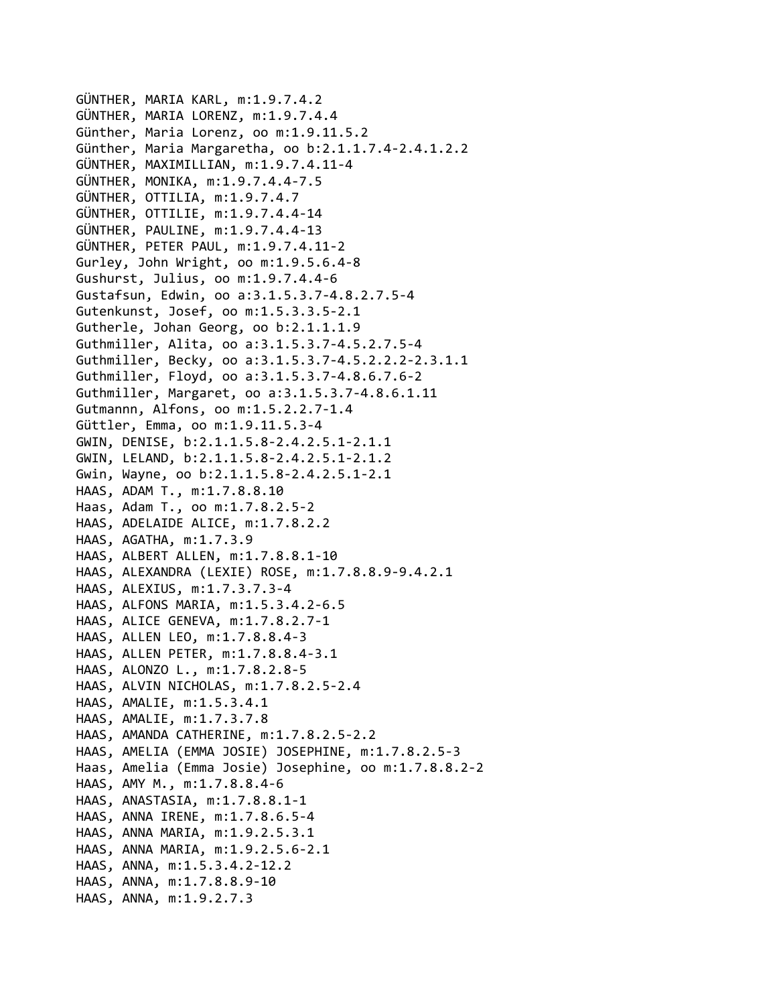GÜNTHER, MARIA KARL, m:1.9.7.4.2 GÜNTHER, MARIA LORENZ, m:1.9.7.4.4 Günther, Maria Lorenz, oo m:1.9.11.5.2 Günther, Maria Margaretha, oo b:2.1.1.7.4‐2.4.1.2.2 GÜNTHER, MAXIMILLIAN, m:1.9.7.4.11‐4 GÜNTHER, MONIKA, m:1.9.7.4.4‐7.5 GÜNTHER, OTTILIA, m:1.9.7.4.7 GÜNTHER, OTTILIE, m:1.9.7.4.4‐14 GÜNTHER, PAULINE, m:1.9.7.4.4‐13 GÜNTHER, PETER PAUL, m:1.9.7.4.11‐2 Gurley, John Wright, oo m:1.9.5.6.4‐8 Gushurst, Julius, oo m:1.9.7.4.4‐6 Gustafsun, Edwin, oo a:3.1.5.3.7‐4.8.2.7.5‐4 Gutenkunst, Josef, oo m:1.5.3.3.5‐2.1 Gutherle, Johan Georg, oo b:2.1.1.1.9 Guthmiller, Alita, oo a:3.1.5.3.7‐4.5.2.7.5‐4 Guthmiller, Becky, oo a:3.1.5.3.7‐4.5.2.2.2‐2.3.1.1 Guthmiller, Floyd, oo a:3.1.5.3.7‐4.8.6.7.6‐2 Guthmiller, Margaret, oo a:3.1.5.3.7‐4.8.6.1.11 Gutmannn, Alfons, oo m:1.5.2.2.7‐1.4 Güttler, Emma, oo m:1.9.11.5.3‐4 GWIN, DENISE, b:2.1.1.5.8‐2.4.2.5.1‐2.1.1 GWIN, LELAND, b:2.1.1.5.8‐2.4.2.5.1‐2.1.2 Gwin, Wayne, oo b:2.1.1.5.8‐2.4.2.5.1‐2.1 HAAS, ADAM T., m:1.7.8.8.10 Haas, Adam T., oo m:1.7.8.2.5‐2 HAAS, ADELAIDE ALICE, m:1.7.8.2.2 HAAS, AGATHA, m:1.7.3.9 HAAS, ALBERT ALLEN, m:1.7.8.8.1‐10 HAAS, ALEXANDRA (LEXIE) ROSE, m:1.7.8.8.9‐9.4.2.1 HAAS, ALEXIUS, m:1.7.3.7.3‐4 HAAS, ALFONS MARIA, m:1.5.3.4.2‐6.5 HAAS, ALICE GENEVA, m:1.7.8.2.7‐1 HAAS, ALLEN LEO, m:1.7.8.8.4‐3 HAAS, ALLEN PETER, m:1.7.8.8.4‐3.1 HAAS, ALONZO L., m:1.7.8.2.8‐5 HAAS, ALVIN NICHOLAS, m:1.7.8.2.5‐2.4 HAAS, AMALIE, m:1.5.3.4.1 HAAS, AMALIE, m:1.7.3.7.8 HAAS, AMANDA CATHERINE, m:1.7.8.2.5‐2.2 HAAS, AMELIA (EMMA JOSIE) JOSEPHINE, m:1.7.8.2.5‐3 Haas, Amelia (Emma Josie) Josephine, oo m:1.7.8.8.2‐2 HAAS, AMY M., m:1.7.8.8.4‐6 HAAS, ANASTASIA, m:1.7.8.8.1‐1 HAAS, ANNA IRENE, m:1.7.8.6.5‐4 HAAS, ANNA MARIA, m:1.9.2.5.3.1 HAAS, ANNA MARIA, m:1.9.2.5.6‐2.1 HAAS, ANNA, m:1.5.3.4.2‐12.2 HAAS, ANNA, m:1.7.8.8.9‐10 HAAS, ANNA, m:1.9.2.7.3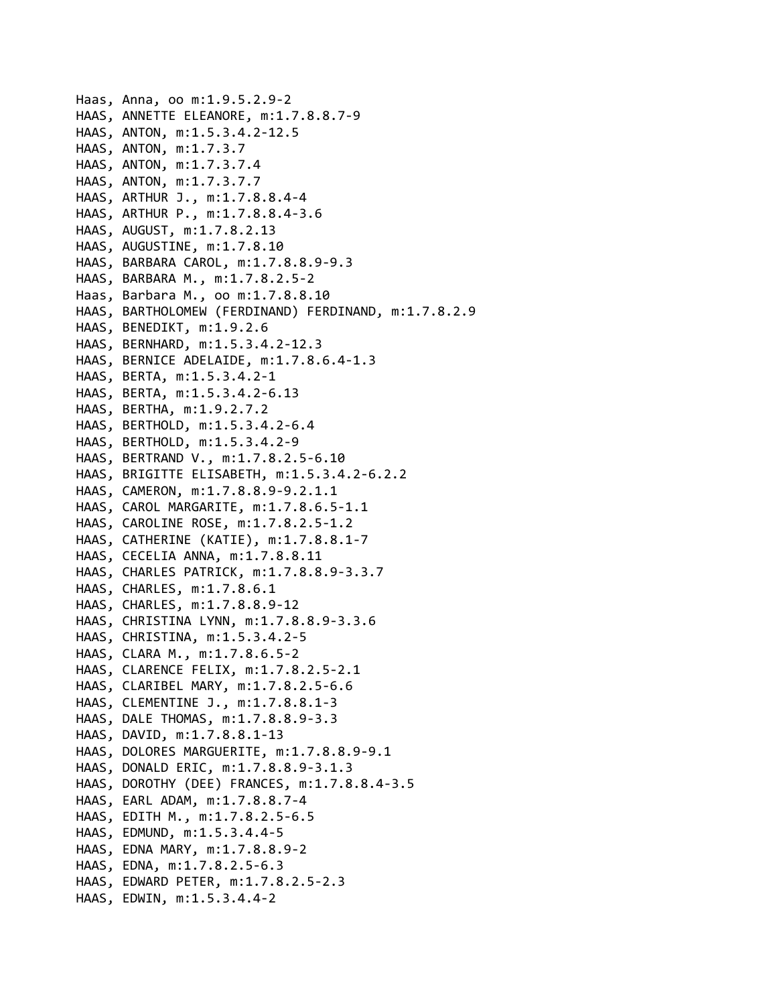```
Haas, Anna, oo m:1.9.5.2.9‐2
HAAS, ANNETTE ELEANORE, m:1.7.8.8.7‐9
HAAS, ANTON, m:1.5.3.4.2‐12.5
HAAS, ANTON, m:1.7.3.7
HAAS, ANTON, m:1.7.3.7.4
HAAS, ANTON, m:1.7.3.7.7
HAAS, ARTHUR J., m:1.7.8.8.4‐4
HAAS, ARTHUR P., m:1.7.8.8.4‐3.6
HAAS, AUGUST, m:1.7.8.2.13
HAAS, AUGUSTINE, m:1.7.8.10
HAAS, BARBARA CAROL, m:1.7.8.8.9‐9.3
HAAS, BARBARA M., m:1.7.8.2.5‐2
Haas, Barbara M., oo m:1.7.8.8.10
HAAS, BARTHOLOMEW (FERDINAND) FERDINAND, m:1.7.8.2.9
HAAS, BENEDIKT, m:1.9.2.6
HAAS, BERNHARD, m:1.5.3.4.2‐12.3
HAAS, BERNICE ADELAIDE, m:1.7.8.6.4‐1.3
HAAS, BERTA, m:1.5.3.4.2‐1
HAAS, BERTA, m:1.5.3.4.2‐6.13
HAAS, BERTHA, m:1.9.2.7.2
HAAS, BERTHOLD, m:1.5.3.4.2‐6.4
HAAS, BERTHOLD, m:1.5.3.4.2‐9
HAAS, BERTRAND V., m:1.7.8.2.5‐6.10
HAAS, BRIGITTE ELISABETH, m:1.5.3.4.2‐6.2.2
HAAS, CAMERON, m:1.7.8.8.9‐9.2.1.1
HAAS, CAROL MARGARITE, m:1.7.8.6.5‐1.1
HAAS, CAROLINE ROSE, m:1.7.8.2.5‐1.2
HAAS, CATHERINE (KATIE), m:1.7.8.8.1‐7
HAAS, CECELIA ANNA, m:1.7.8.8.11
HAAS, CHARLES PATRICK, m:1.7.8.8.9‐3.3.7
HAAS, CHARLES, m:1.7.8.6.1
HAAS, CHARLES, m:1.7.8.8.9‐12
HAAS, CHRISTINA LYNN, m:1.7.8.8.9‐3.3.6
HAAS, CHRISTINA, m:1.5.3.4.2‐5
HAAS, CLARA M., m:1.7.8.6.5‐2
HAAS, CLARENCE FELIX, m:1.7.8.2.5‐2.1
HAAS, CLARIBEL MARY, m:1.7.8.2.5‐6.6
HAAS, CLEMENTINE J., m:1.7.8.8.1‐3
HAAS, DALE THOMAS, m:1.7.8.8.9‐3.3
HAAS, DAVID, m:1.7.8.8.1‐13
HAAS, DOLORES MARGUERITE, m:1.7.8.8.9‐9.1
HAAS, DONALD ERIC, m:1.7.8.8.9‐3.1.3
HAAS, DOROTHY (DEE) FRANCES, m:1.7.8.8.4‐3.5
HAAS, EARL ADAM, m:1.7.8.8.7‐4
HAAS, EDITH M., m:1.7.8.2.5‐6.5
HAAS, EDMUND, m:1.5.3.4.4‐5
HAAS, EDNA MARY, m:1.7.8.8.9‐2
HAAS, EDNA, m:1.7.8.2.5‐6.3
HAAS, EDWARD PETER, m:1.7.8.2.5‐2.3
HAAS, EDWIN, m:1.5.3.4.4‐2
```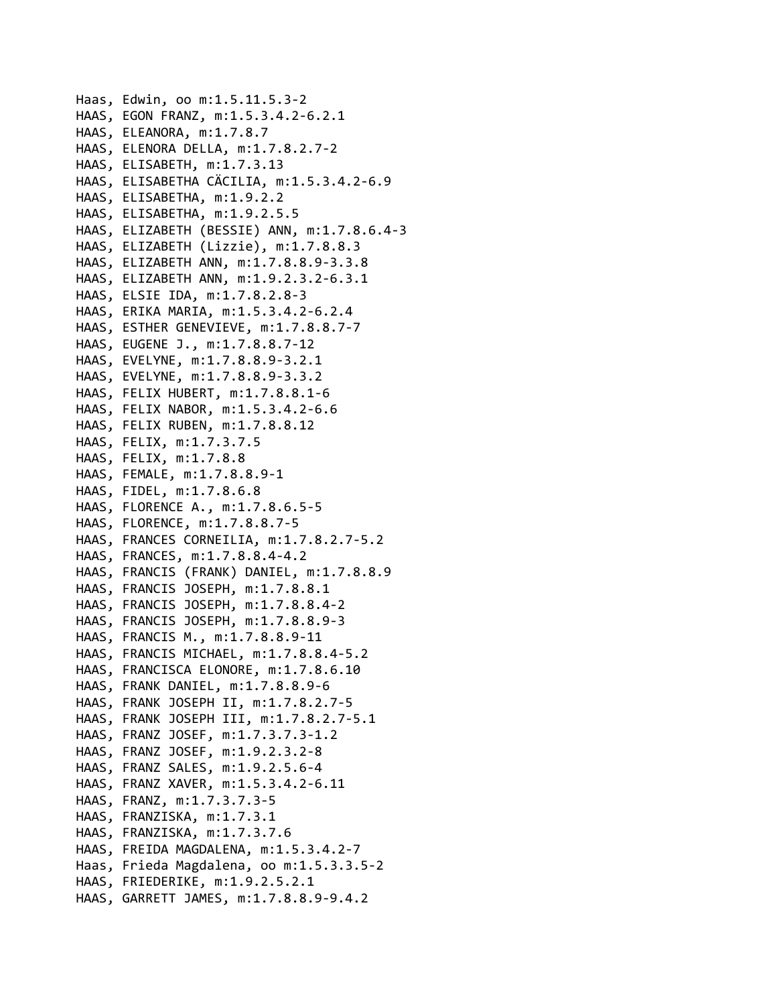```
Haas, Edwin, oo m:1.5.11.5.3‐2
HAAS, EGON FRANZ, m:1.5.3.4.2‐6.2.1
HAAS, ELEANORA, m:1.7.8.7
HAAS, ELENORA DELLA, m:1.7.8.2.7‐2
HAAS, ELISABETH, m:1.7.3.13
HAAS, ELISABETHA CÄCILIA, m:1.5.3.4.2‐6.9
HAAS, ELISABETHA, m:1.9.2.2
HAAS, ELISABETHA, m:1.9.2.5.5
HAAS, ELIZABETH (BESSIE) ANN, m:1.7.8.6.4‐3
HAAS, ELIZABETH (Lizzie), m:1.7.8.8.3
HAAS, ELIZABETH ANN, m:1.7.8.8.9‐3.3.8
HAAS, ELIZABETH ANN, m:1.9.2.3.2‐6.3.1
HAAS, ELSIE IDA, m:1.7.8.2.8‐3
HAAS, ERIKA MARIA, m:1.5.3.4.2‐6.2.4
HAAS, ESTHER GENEVIEVE, m:1.7.8.8.7‐7
HAAS, EUGENE J., m:1.7.8.8.7‐12
HAAS, EVELYNE, m:1.7.8.8.9‐3.2.1
HAAS, EVELYNE, m:1.7.8.8.9‐3.3.2
HAAS, FELIX HUBERT, m:1.7.8.8.1‐6
HAAS, FELIX NABOR, m:1.5.3.4.2‐6.6
HAAS, FELIX RUBEN, m:1.7.8.8.12
HAAS, FELIX, m:1.7.3.7.5
HAAS, FELIX, m:1.7.8.8
HAAS, FEMALE, m:1.7.8.8.9‐1
HAAS, FIDEL, m:1.7.8.6.8
HAAS, FLORENCE A., m:1.7.8.6.5‐5
HAAS, FLORENCE, m:1.7.8.8.7‐5
HAAS, FRANCES CORNEILIA, m:1.7.8.2.7‐5.2
HAAS, FRANCES, m:1.7.8.8.4‐4.2
HAAS, FRANCIS (FRANK) DANIEL, m:1.7.8.8.9
HAAS, FRANCIS JOSEPH, m:1.7.8.8.1
HAAS, FRANCIS JOSEPH, m:1.7.8.8.4‐2
HAAS, FRANCIS JOSEPH, m:1.7.8.8.9‐3
HAAS, FRANCIS M., m:1.7.8.8.9‐11
HAAS, FRANCIS MICHAEL, m:1.7.8.8.4‐5.2
HAAS, FRANCISCA ELONORE, m:1.7.8.6.10
HAAS, FRANK DANIEL, m:1.7.8.8.9‐6
HAAS, FRANK JOSEPH II, m:1.7.8.2.7‐5
HAAS, FRANK JOSEPH III, m:1.7.8.2.7‐5.1
HAAS, FRANZ JOSEF, m:1.7.3.7.3‐1.2
HAAS, FRANZ JOSEF, m:1.9.2.3.2‐8
HAAS, FRANZ SALES, m:1.9.2.5.6‐4
HAAS, FRANZ XAVER, m:1.5.3.4.2‐6.11
HAAS, FRANZ, m:1.7.3.7.3‐5
HAAS, FRANZISKA, m:1.7.3.1
HAAS, FRANZISKA, m:1.7.3.7.6
HAAS, FREIDA MAGDALENA, m:1.5.3.4.2‐7
Haas, Frieda Magdalena, oo m:1.5.3.3.5‐2
HAAS, FRIEDERIKE, m:1.9.2.5.2.1
HAAS, GARRETT JAMES, m:1.7.8.8.9‐9.4.2
```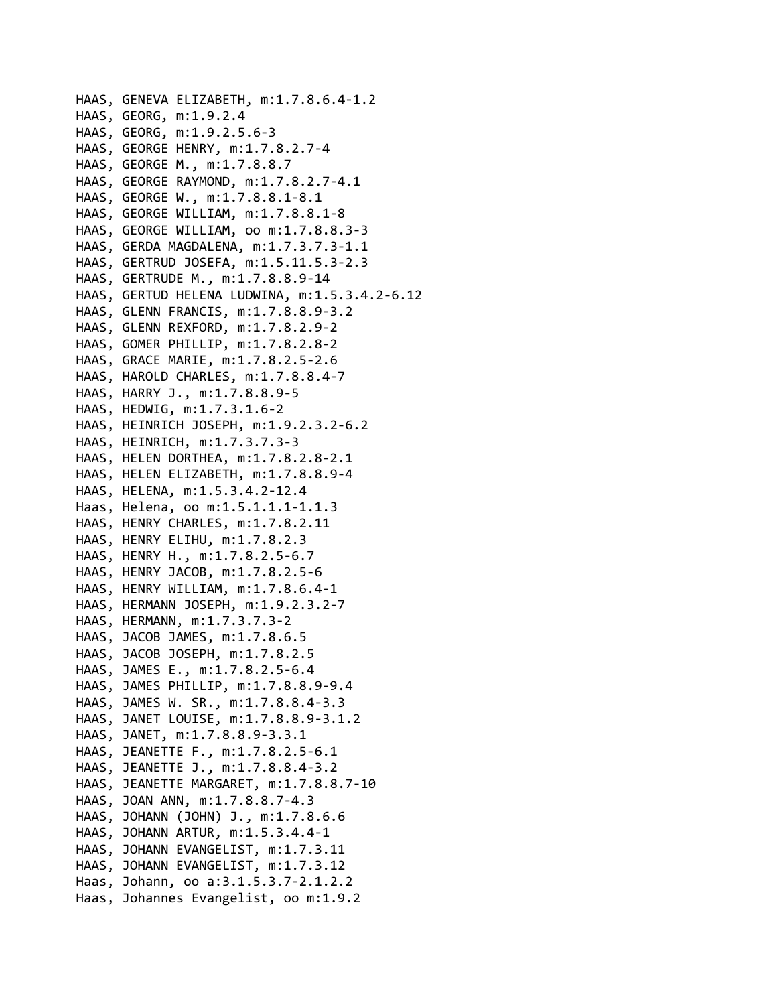```
HAAS, GENEVA ELIZABETH, m:1.7.8.6.4‐1.2
HAAS, GEORG, m:1.9.2.4
HAAS, GEORG, m:1.9.2.5.6‐3
HAAS, GEORGE HENRY, m:1.7.8.2.7‐4
HAAS, GEORGE M., m:1.7.8.8.7
HAAS, GEORGE RAYMOND, m:1.7.8.2.7‐4.1
HAAS, GEORGE W., m:1.7.8.8.1‐8.1
HAAS, GEORGE WILLIAM, m:1.7.8.8.1‐8
HAAS, GEORGE WILLIAM, oo m:1.7.8.8.3‐3
HAAS, GERDA MAGDALENA, m:1.7.3.7.3‐1.1
HAAS, GERTRUD JOSEFA, m:1.5.11.5.3‐2.3
HAAS, GERTRUDE M., m:1.7.8.8.9‐14
HAAS, GERTUD HELENA LUDWINA, m:1.5.3.4.2‐6.12
HAAS, GLENN FRANCIS, m:1.7.8.8.9‐3.2
HAAS, GLENN REXFORD, m:1.7.8.2.9‐2
HAAS, GOMER PHILLIP, m:1.7.8.2.8‐2
HAAS, GRACE MARIE, m:1.7.8.2.5‐2.6
HAAS, HAROLD CHARLES, m:1.7.8.8.4‐7
HAAS, HARRY J., m:1.7.8.8.9‐5
HAAS, HEDWIG, m:1.7.3.1.6‐2
HAAS, HEINRICH JOSEPH, m:1.9.2.3.2‐6.2
HAAS, HEINRICH, m:1.7.3.7.3‐3
HAAS, HELEN DORTHEA, m:1.7.8.2.8‐2.1
HAAS, HELEN ELIZABETH, m:1.7.8.8.9‐4
HAAS, HELENA, m:1.5.3.4.2‐12.4
Haas, Helena, oo m:1.5.1.1.1‐1.1.3
HAAS, HENRY CHARLES, m:1.7.8.2.11
HAAS, HENRY ELIHU, m:1.7.8.2.3
HAAS, HENRY H., m:1.7.8.2.5‐6.7
HAAS, HENRY JACOB, m:1.7.8.2.5‐6
HAAS, HENRY WILLIAM, m:1.7.8.6.4‐1
HAAS, HERMANN JOSEPH, m:1.9.2.3.2‐7
HAAS, HERMANN, m:1.7.3.7.3‐2
HAAS, JACOB JAMES, m:1.7.8.6.5
HAAS, JACOB JOSEPH, m:1.7.8.2.5
HAAS, JAMES E., m:1.7.8.2.5‐6.4
HAAS, JAMES PHILLIP, m:1.7.8.8.9‐9.4
HAAS, JAMES W. SR., m:1.7.8.8.4‐3.3
HAAS, JANET LOUISE, m:1.7.8.8.9‐3.1.2
HAAS, JANET, m:1.7.8.8.9‐3.3.1
HAAS, JEANETTE F., m:1.7.8.2.5‐6.1
HAAS, JEANETTE J., m:1.7.8.8.4‐3.2
HAAS, JEANETTE MARGARET, m:1.7.8.8.7‐10
HAAS, JOAN ANN, m:1.7.8.8.7‐4.3
HAAS, JOHANN (JOHN) J., m:1.7.8.6.6
HAAS, JOHANN ARTUR, m:1.5.3.4.4‐1
HAAS, JOHANN EVANGELIST, m:1.7.3.11
HAAS, JOHANN EVANGELIST, m:1.7.3.12
Haas, Johann, oo a:3.1.5.3.7‐2.1.2.2
Haas, Johannes Evangelist, oo m:1.9.2
```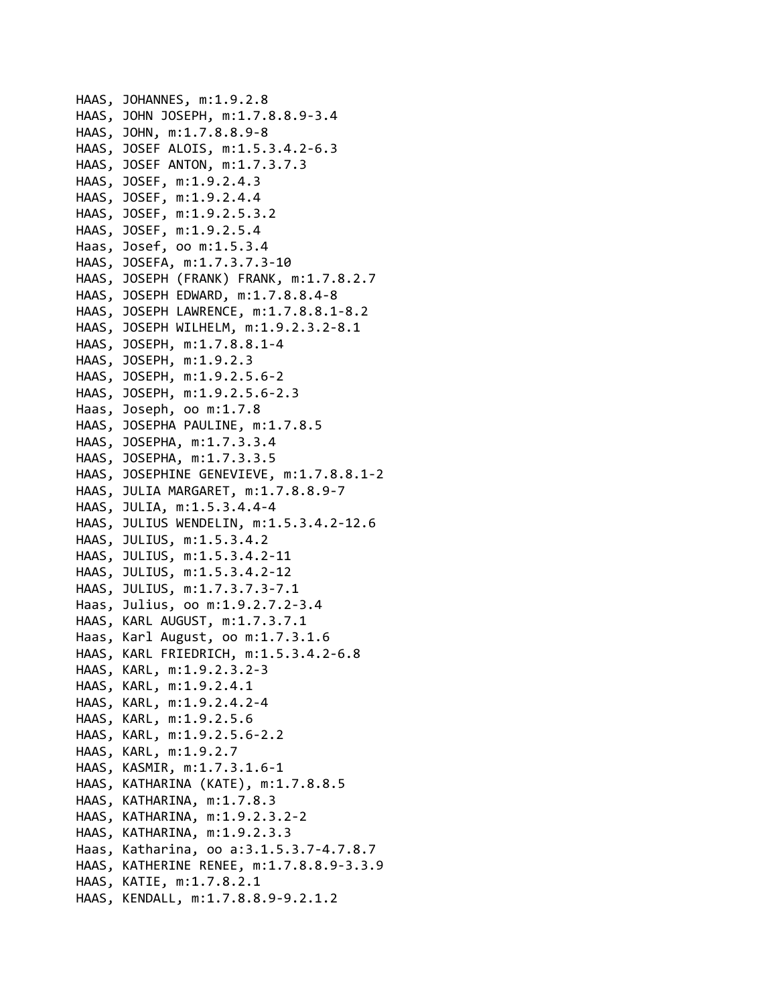```
HAAS, JOHANNES, m:1.9.2.8
HAAS, JOHN JOSEPH, m:1.7.8.8.9‐3.4
HAAS, JOHN, m:1.7.8.8.9‐8
HAAS, JOSEF ALOIS, m:1.5.3.4.2‐6.3
HAAS, JOSEF ANTON, m:1.7.3.7.3
HAAS, JOSEF, m:1.9.2.4.3
HAAS, JOSEF, m:1.9.2.4.4
HAAS, JOSEF, m:1.9.2.5.3.2
HAAS, JOSEF, m:1.9.2.5.4
Haas, Josef, oo m:1.5.3.4
HAAS, JOSEFA, m:1.7.3.7.3‐10
HAAS, JOSEPH (FRANK) FRANK, m:1.7.8.2.7
HAAS, JOSEPH EDWARD, m:1.7.8.8.4‐8
HAAS, JOSEPH LAWRENCE, m:1.7.8.8.1‐8.2
HAAS, JOSEPH WILHELM, m:1.9.2.3.2‐8.1
HAAS, JOSEPH, m:1.7.8.8.1‐4
HAAS, JOSEPH, m:1.9.2.3
HAAS, JOSEPH, m:1.9.2.5.6‐2
HAAS, JOSEPH, m:1.9.2.5.6‐2.3
Haas, Joseph, oo m:1.7.8
HAAS, JOSEPHA PAULINE, m:1.7.8.5
HAAS, JOSEPHA, m:1.7.3.3.4
HAAS, JOSEPHA, m:1.7.3.3.5
HAAS, JOSEPHINE GENEVIEVE, m:1.7.8.8.1‐2
HAAS, JULIA MARGARET, m:1.7.8.8.9‐7
HAAS, JULIA, m:1.5.3.4.4‐4
HAAS, JULIUS WENDELIN, m:1.5.3.4.2‐12.6
HAAS, JULIUS, m:1.5.3.4.2
HAAS, JULIUS, m:1.5.3.4.2‐11
HAAS, JULIUS, m:1.5.3.4.2‐12
HAAS, JULIUS, m:1.7.3.7.3‐7.1
Haas, Julius, oo m:1.9.2.7.2‐3.4
HAAS, KARL AUGUST, m:1.7.3.7.1
Haas, Karl August, oo m:1.7.3.1.6
HAAS, KARL FRIEDRICH, m:1.5.3.4.2‐6.8
HAAS, KARL, m:1.9.2.3.2‐3
HAAS, KARL, m:1.9.2.4.1
HAAS, KARL, m:1.9.2.4.2‐4
HAAS, KARL, m:1.9.2.5.6
HAAS, KARL, m:1.9.2.5.6‐2.2
HAAS, KARL, m:1.9.2.7
HAAS, KASMIR, m:1.7.3.1.6‐1
HAAS, KATHARINA (KATE), m:1.7.8.8.5
HAAS, KATHARINA, m:1.7.8.3
HAAS, KATHARINA, m:1.9.2.3.2‐2
HAAS, KATHARINA, m:1.9.2.3.3
Haas, Katharina, oo a:3.1.5.3.7‐4.7.8.7
HAAS, KATHERINE RENEE, m:1.7.8.8.9‐3.3.9
HAAS, KATIE, m:1.7.8.2.1
HAAS, KENDALL, m:1.7.8.8.9‐9.2.1.2
```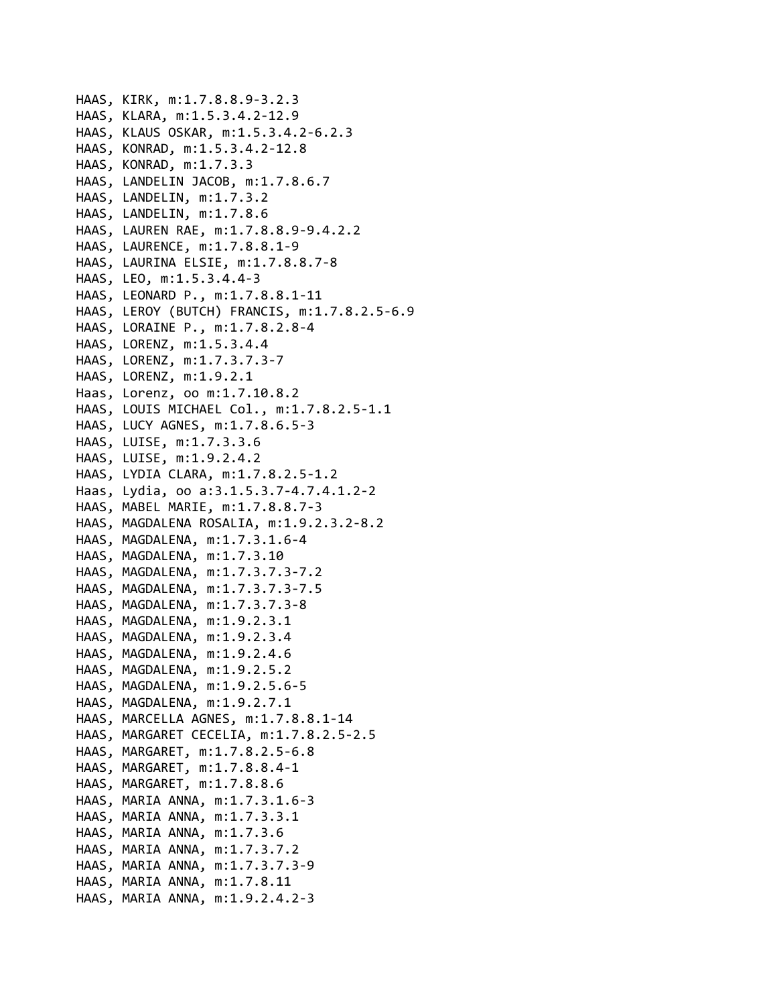```
HAAS, KIRK, m:1.7.8.8.9‐3.2.3
HAAS, KLARA, m:1.5.3.4.2‐12.9
HAAS, KLAUS OSKAR, m:1.5.3.4.2‐6.2.3
HAAS, KONRAD, m:1.5.3.4.2‐12.8
HAAS, KONRAD, m:1.7.3.3
HAAS, LANDELIN JACOB, m:1.7.8.6.7
HAAS, LANDELIN, m:1.7.3.2
HAAS, LANDELIN, m:1.7.8.6
HAAS, LAUREN RAE, m:1.7.8.8.9‐9.4.2.2
HAAS, LAURENCE, m:1.7.8.8.1‐9
HAAS, LAURINA ELSIE, m:1.7.8.8.7‐8
HAAS, LEO, m:1.5.3.4.4‐3
HAAS, LEONARD P., m:1.7.8.8.1‐11
HAAS, LEROY (BUTCH) FRANCIS, m:1.7.8.2.5‐6.9
HAAS, LORAINE P., m:1.7.8.2.8‐4
HAAS, LORENZ, m:1.5.3.4.4
HAAS, LORENZ, m:1.7.3.7.3‐7
HAAS, LORENZ, m:1.9.2.1
Haas, Lorenz, oo m:1.7.10.8.2
HAAS, LOUIS MICHAEL Col., m:1.7.8.2.5‐1.1
HAAS, LUCY AGNES, m:1.7.8.6.5‐3
HAAS, LUISE, m:1.7.3.3.6
HAAS, LUISE, m:1.9.2.4.2
HAAS, LYDIA CLARA, m:1.7.8.2.5‐1.2
Haas, Lydia, oo a:3.1.5.3.7‐4.7.4.1.2‐2
HAAS, MABEL MARIE, m:1.7.8.8.7‐3
HAAS, MAGDALENA ROSALIA, m:1.9.2.3.2‐8.2
HAAS, MAGDALENA, m:1.7.3.1.6‐4
HAAS, MAGDALENA, m:1.7.3.10
HAAS, MAGDALENA, m:1.7.3.7.3‐7.2
HAAS, MAGDALENA, m:1.7.3.7.3‐7.5
HAAS, MAGDALENA, m:1.7.3.7.3‐8
HAAS, MAGDALENA, m:1.9.2.3.1
HAAS, MAGDALENA, m:1.9.2.3.4
HAAS, MAGDALENA, m:1.9.2.4.6
HAAS, MAGDALENA, m:1.9.2.5.2
HAAS, MAGDALENA, m:1.9.2.5.6‐5
HAAS, MAGDALENA, m:1.9.2.7.1
HAAS, MARCELLA AGNES, m:1.7.8.8.1‐14
HAAS, MARGARET CECELIA, m:1.7.8.2.5‐2.5
HAAS, MARGARET, m:1.7.8.2.5‐6.8
HAAS, MARGARET, m:1.7.8.8.4‐1
HAAS, MARGARET, m:1.7.8.8.6
HAAS, MARIA ANNA, m:1.7.3.1.6‐3
HAAS, MARIA ANNA, m:1.7.3.3.1
HAAS, MARIA ANNA, m:1.7.3.6
HAAS, MARIA ANNA, m:1.7.3.7.2
HAAS, MARIA ANNA, m:1.7.3.7.3‐9
HAAS, MARIA ANNA, m:1.7.8.11
HAAS, MARIA ANNA, m:1.9.2.4.2‐3
```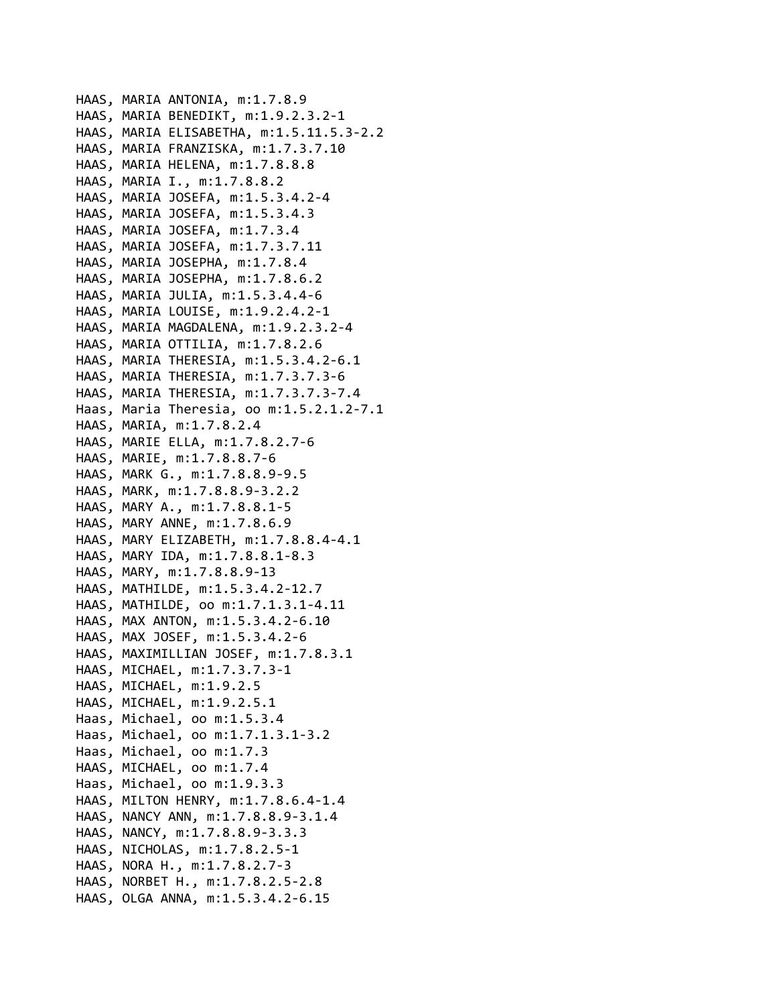```
HAAS, MARIA ANTONIA, m:1.7.8.9
HAAS, MARIA BENEDIKT, m:1.9.2.3.2‐1
HAAS, MARIA ELISABETHA, m:1.5.11.5.3‐2.2
HAAS, MARIA FRANZISKA, m:1.7.3.7.10
HAAS, MARIA HELENA, m:1.7.8.8.8
HAAS, MARIA I., m:1.7.8.8.2
HAAS, MARIA JOSEFA, m:1.5.3.4.2‐4
HAAS, MARIA JOSEFA, m:1.5.3.4.3
HAAS, MARIA JOSEFA, m:1.7.3.4
HAAS, MARIA JOSEFA, m:1.7.3.7.11
HAAS, MARIA JOSEPHA, m:1.7.8.4
HAAS, MARIA JOSEPHA, m:1.7.8.6.2
HAAS, MARIA JULIA, m:1.5.3.4.4‐6
HAAS, MARIA LOUISE, m:1.9.2.4.2‐1
HAAS, MARIA MAGDALENA, m:1.9.2.3.2‐4
HAAS, MARIA OTTILIA, m:1.7.8.2.6
HAAS, MARIA THERESIA, m:1.5.3.4.2‐6.1
HAAS, MARIA THERESIA, m:1.7.3.7.3‐6
HAAS, MARIA THERESIA, m:1.7.3.7.3‐7.4
Haas, Maria Theresia, oo m:1.5.2.1.2‐7.1
HAAS, MARIA, m:1.7.8.2.4
HAAS, MARIE ELLA, m:1.7.8.2.7‐6
HAAS, MARIE, m:1.7.8.8.7‐6
HAAS, MARK G., m:1.7.8.8.9‐9.5
HAAS, MARK, m:1.7.8.8.9‐3.2.2
HAAS, MARY A., m:1.7.8.8.1‐5
HAAS, MARY ANNE, m:1.7.8.6.9
HAAS, MARY ELIZABETH, m:1.7.8.8.4‐4.1
HAAS, MARY IDA, m:1.7.8.8.1‐8.3
HAAS, MARY, m:1.7.8.8.9‐13
HAAS, MATHILDE, m:1.5.3.4.2‐12.7
HAAS, MATHILDE, oo m:1.7.1.3.1‐4.11
HAAS, MAX ANTON, m:1.5.3.4.2‐6.10
HAAS, MAX JOSEF, m:1.5.3.4.2‐6
HAAS, MAXIMILLIAN JOSEF, m:1.7.8.3.1
HAAS, MICHAEL, m:1.7.3.7.3‐1
HAAS, MICHAEL, m:1.9.2.5
HAAS, MICHAEL, m:1.9.2.5.1
Haas, Michael, oo m:1.5.3.4
Haas, Michael, oo m:1.7.1.3.1‐3.2
Haas, Michael, oo m:1.7.3
HAAS, MICHAEL, oo m:1.7.4
Haas, Michael, oo m:1.9.3.3
HAAS, MILTON HENRY, m:1.7.8.6.4‐1.4
HAAS, NANCY ANN, m:1.7.8.8.9‐3.1.4
HAAS, NANCY, m:1.7.8.8.9‐3.3.3
HAAS, NICHOLAS, m:1.7.8.2.5‐1
HAAS, NORA H., m:1.7.8.2.7‐3
HAAS, NORBET H., m:1.7.8.2.5‐2.8
HAAS, OLGA ANNA, m:1.5.3.4.2‐6.15
```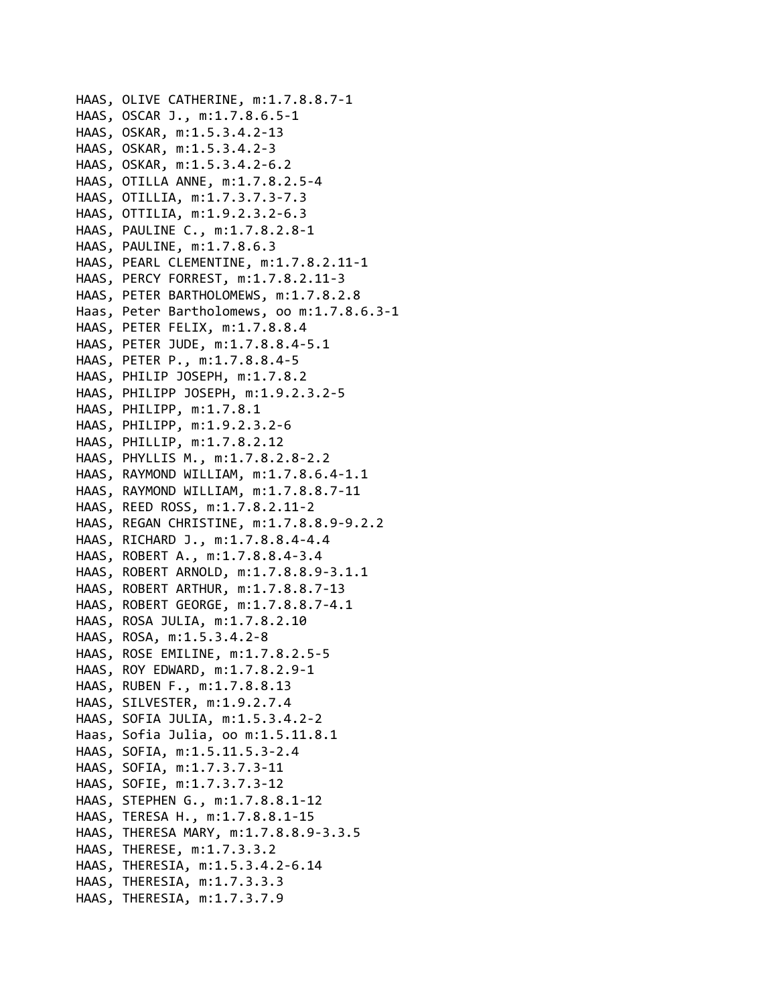```
HAAS, OLIVE CATHERINE, m:1.7.8.8.7‐1
HAAS, OSCAR J., m:1.7.8.6.5‐1
HAAS, OSKAR, m:1.5.3.4.2‐13
HAAS, OSKAR, m:1.5.3.4.2‐3
HAAS, OSKAR, m:1.5.3.4.2‐6.2
HAAS, OTILLA ANNE, m:1.7.8.2.5‐4
HAAS, OTILLIA, m:1.7.3.7.3‐7.3
HAAS, OTTILIA, m:1.9.2.3.2‐6.3
HAAS, PAULINE C., m:1.7.8.2.8‐1
HAAS, PAULINE, m:1.7.8.6.3
HAAS, PEARL CLEMENTINE, m:1.7.8.2.11‐1
HAAS, PERCY FORREST, m:1.7.8.2.11‐3
HAAS, PETER BARTHOLOMEWS, m:1.7.8.2.8
Haas, Peter Bartholomews, oo m:1.7.8.6.3‐1
HAAS, PETER FELIX, m:1.7.8.8.4
HAAS, PETER JUDE, m:1.7.8.8.4‐5.1
HAAS, PETER P., m:1.7.8.8.4‐5
HAAS, PHILIP JOSEPH, m:1.7.8.2
HAAS, PHILIPP JOSEPH, m:1.9.2.3.2‐5
HAAS, PHILIPP, m:1.7.8.1
HAAS, PHILIPP, m:1.9.2.3.2‐6
HAAS, PHILLIP, m:1.7.8.2.12
HAAS, PHYLLIS M., m:1.7.8.2.8‐2.2
HAAS, RAYMOND WILLIAM, m:1.7.8.6.4‐1.1
HAAS, RAYMOND WILLIAM, m:1.7.8.8.7‐11
HAAS, REED ROSS, m:1.7.8.2.11‐2
HAAS, REGAN CHRISTINE, m:1.7.8.8.9‐9.2.2
HAAS, RICHARD J., m:1.7.8.8.4‐4.4
HAAS, ROBERT A., m:1.7.8.8.4‐3.4
HAAS, ROBERT ARNOLD, m:1.7.8.8.9‐3.1.1
HAAS, ROBERT ARTHUR, m:1.7.8.8.7‐13
HAAS, ROBERT GEORGE, m:1.7.8.8.7‐4.1
HAAS, ROSA JULIA, m:1.7.8.2.10
HAAS, ROSA, m:1.5.3.4.2‐8
HAAS, ROSE EMILINE, m:1.7.8.2.5‐5
HAAS, ROY EDWARD, m:1.7.8.2.9‐1
HAAS, RUBEN F., m:1.7.8.8.13
HAAS, SILVESTER, m:1.9.2.7.4
HAAS, SOFIA JULIA, m:1.5.3.4.2‐2
Haas, Sofia Julia, oo m:1.5.11.8.1
HAAS, SOFIA, m:1.5.11.5.3‐2.4
HAAS, SOFIA, m:1.7.3.7.3‐11
HAAS, SOFIE, m:1.7.3.7.3‐12
HAAS, STEPHEN G., m:1.7.8.8.1‐12
HAAS, TERESA H., m:1.7.8.8.1‐15
HAAS, THERESA MARY, m:1.7.8.8.9‐3.3.5
HAAS, THERESE, m:1.7.3.3.2
HAAS, THERESIA, m:1.5.3.4.2‐6.14
HAAS, THERESIA, m:1.7.3.3.3
HAAS, THERESIA, m:1.7.3.7.9
```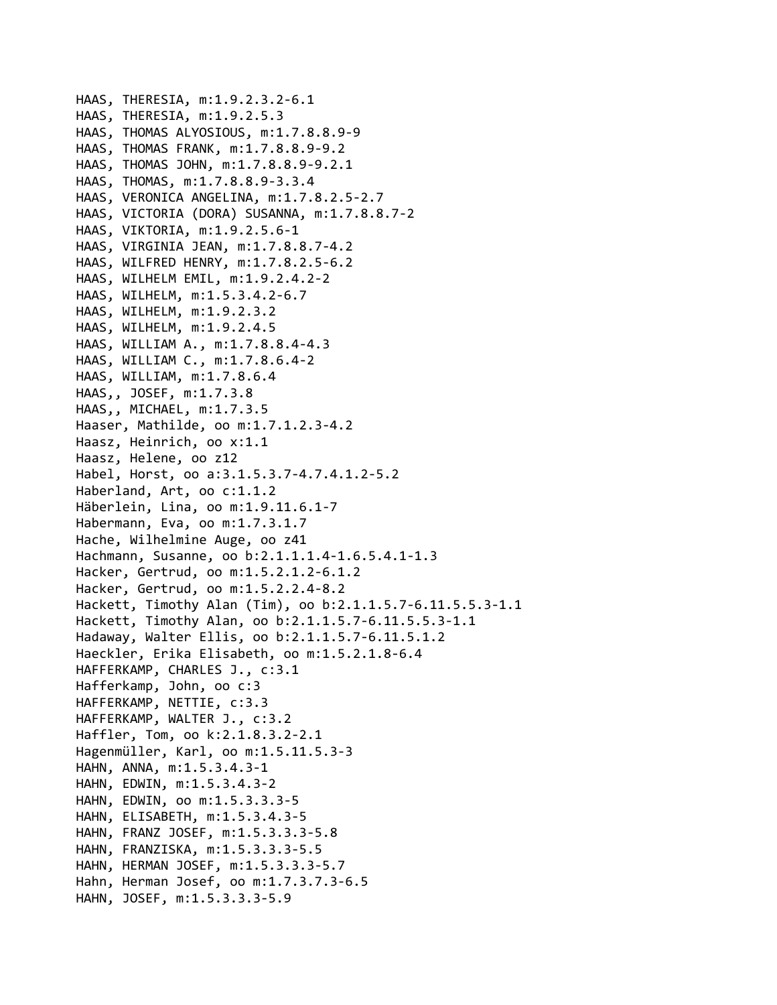HAAS, THERESIA, m:1.9.2.3.2‐6.1 HAAS, THERESIA, m:1.9.2.5.3 HAAS, THOMAS ALYOSIOUS, m:1.7.8.8.9‐9 HAAS, THOMAS FRANK, m:1.7.8.8.9‐9.2 HAAS, THOMAS JOHN, m:1.7.8.8.9‐9.2.1 HAAS, THOMAS, m:1.7.8.8.9‐3.3.4 HAAS, VERONICA ANGELINA, m:1.7.8.2.5‐2.7 HAAS, VICTORIA (DORA) SUSANNA, m:1.7.8.8.7‐2 HAAS, VIKTORIA, m:1.9.2.5.6‐1 HAAS, VIRGINIA JEAN, m:1.7.8.8.7‐4.2 HAAS, WILFRED HENRY, m:1.7.8.2.5‐6.2 HAAS, WILHELM EMIL, m:1.9.2.4.2‐2 HAAS, WILHELM, m:1.5.3.4.2‐6.7 HAAS, WILHELM, m:1.9.2.3.2 HAAS, WILHELM, m:1.9.2.4.5 HAAS, WILLIAM A., m:1.7.8.8.4‐4.3 HAAS, WILLIAM C., m:1.7.8.6.4‐2 HAAS, WILLIAM, m:1.7.8.6.4 HAAS,, JOSEF, m:1.7.3.8 HAAS,, MICHAEL, m:1.7.3.5 Haaser, Mathilde, oo m:1.7.1.2.3‐4.2 Haasz, Heinrich, oo x:1.1 Haasz, Helene, oo z12 Habel, Horst, oo a:3.1.5.3.7‐4.7.4.1.2‐5.2 Haberland, Art, oo c:1.1.2 Häberlein, Lina, oo m:1.9.11.6.1‐7 Habermann, Eva, oo m:1.7.3.1.7 Hache, Wilhelmine Auge, oo z41 Hachmann, Susanne, oo b:2.1.1.1.4‐1.6.5.4.1‐1.3 Hacker, Gertrud, oo m:1.5.2.1.2‐6.1.2 Hacker, Gertrud, oo m:1.5.2.2.4‐8.2 Hackett, Timothy Alan (Tim), oo b:2.1.1.5.7‐6.11.5.5.3‐1.1 Hackett, Timothy Alan, oo b:2.1.1.5.7‐6.11.5.5.3‐1.1 Hadaway, Walter Ellis, oo b:2.1.1.5.7‐6.11.5.1.2 Haeckler, Erika Elisabeth, oo m:1.5.2.1.8‐6.4 HAFFERKAMP, CHARLES J., c:3.1 Hafferkamp, John, oo c:3 HAFFERKAMP, NETTIE, c:3.3 HAFFERKAMP, WALTER J., c:3.2 Haffler, Tom, oo k:2.1.8.3.2‐2.1 Hagenmüller, Karl, oo m:1.5.11.5.3‐3 HAHN, ANNA, m:1.5.3.4.3‐1 HAHN, EDWIN, m:1.5.3.4.3‐2 HAHN, EDWIN, oo m:1.5.3.3.3‐5 HAHN, ELISABETH, m:1.5.3.4.3‐5 HAHN, FRANZ JOSEF, m:1.5.3.3.3‐5.8 HAHN, FRANZISKA, m:1.5.3.3.3‐5.5 HAHN, HERMAN JOSEF, m:1.5.3.3.3‐5.7 Hahn, Herman Josef, oo m:1.7.3.7.3‐6.5 HAHN, JOSEF, m:1.5.3.3.3‐5.9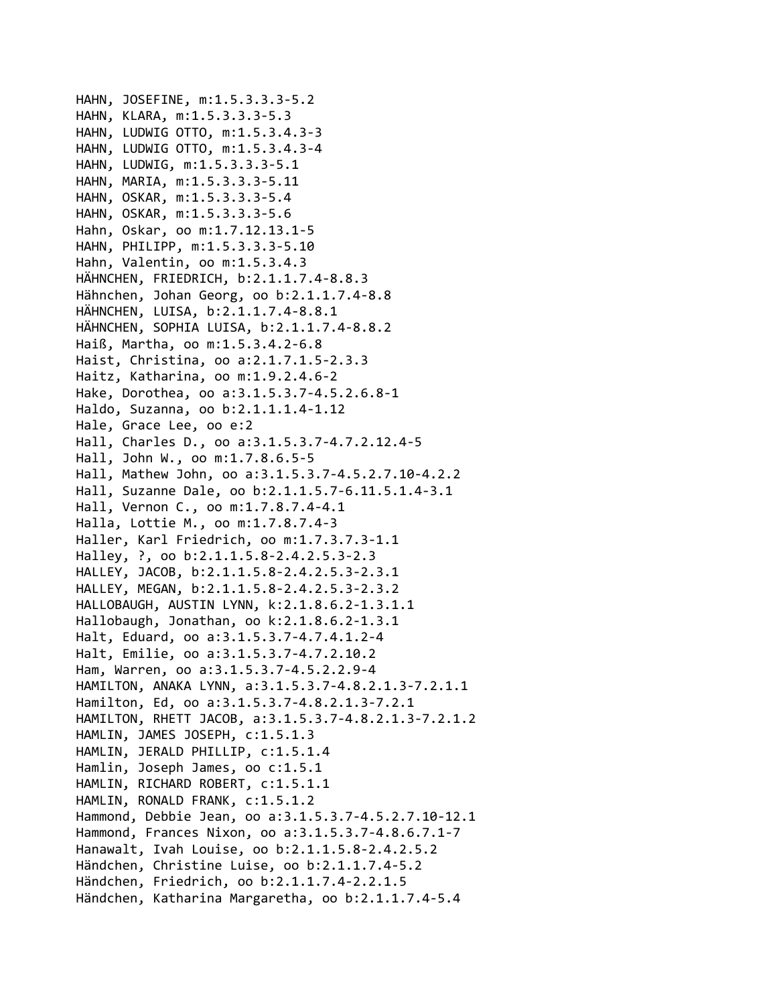```
HAHN, JOSEFINE, m:1.5.3.3.3‐5.2
HAHN, KLARA, m:1.5.3.3.3‐5.3
HAHN, LUDWIG OTTO, m:1.5.3.4.3‐3
HAHN, LUDWIG OTTO, m:1.5.3.4.3‐4
HAHN, LUDWIG, m:1.5.3.3.3‐5.1
HAHN, MARIA, m:1.5.3.3.3‐5.11
HAHN, OSKAR, m:1.5.3.3.3‐5.4
HAHN, OSKAR, m:1.5.3.3.3‐5.6
Hahn, Oskar, oo m:1.7.12.13.1‐5
HAHN, PHILIPP, m:1.5.3.3.3‐5.10
Hahn, Valentin, oo m:1.5.3.4.3
HÄHNCHEN, FRIEDRICH, b:2.1.1.7.4‐8.8.3
Hähnchen, Johan Georg, oo b:2.1.1.7.4‐8.8
HÄHNCHEN, LUISA, b:2.1.1.7.4‐8.8.1
HÄHNCHEN, SOPHIA LUISA, b:2.1.1.7.4‐8.8.2
Haiß, Martha, oo m:1.5.3.4.2‐6.8
Haist, Christina, oo a:2.1.7.1.5‐2.3.3
Haitz, Katharina, oo m:1.9.2.4.6‐2
Hake, Dorothea, oo a:3.1.5.3.7‐4.5.2.6.8‐1
Haldo, Suzanna, oo b:2.1.1.1.4‐1.12
Hale, Grace Lee, oo e:2
Hall, Charles D., oo a:3.1.5.3.7‐4.7.2.12.4‐5
Hall, John W., oo m:1.7.8.6.5‐5
Hall, Mathew John, oo a:3.1.5.3.7‐4.5.2.7.10‐4.2.2
Hall, Suzanne Dale, oo b:2.1.1.5.7‐6.11.5.1.4‐3.1
Hall, Vernon C., oo m:1.7.8.7.4‐4.1
Halla, Lottie M., oo m:1.7.8.7.4‐3
Haller, Karl Friedrich, oo m:1.7.3.7.3‐1.1
Halley, ?, oo b:2.1.1.5.8‐2.4.2.5.3‐2.3
HALLEY, JACOB, b:2.1.1.5.8‐2.4.2.5.3‐2.3.1
HALLEY, MEGAN, b:2.1.1.5.8‐2.4.2.5.3‐2.3.2
HALLOBAUGH, AUSTIN LYNN, k:2.1.8.6.2‐1.3.1.1
Hallobaugh, Jonathan, oo k:2.1.8.6.2‐1.3.1
Halt, Eduard, oo a:3.1.5.3.7‐4.7.4.1.2‐4
Halt, Emilie, oo a:3.1.5.3.7‐4.7.2.10.2
Ham, Warren, oo a:3.1.5.3.7‐4.5.2.2.9‐4
HAMILTON, ANAKA LYNN, a:3.1.5.3.7‐4.8.2.1.3‐7.2.1.1
Hamilton, Ed, oo a:3.1.5.3.7‐4.8.2.1.3‐7.2.1
HAMILTON, RHETT JACOB, a:3.1.5.3.7‐4.8.2.1.3‐7.2.1.2
HAMLIN, JAMES JOSEPH, c:1.5.1.3
HAMLIN, JERALD PHILLIP, c:1.5.1.4
Hamlin, Joseph James, oo c:1.5.1
HAMLIN, RICHARD ROBERT, c:1.5.1.1
HAMLIN, RONALD FRANK, c:1.5.1.2
Hammond, Debbie Jean, oo a:3.1.5.3.7‐4.5.2.7.10‐12.1
Hammond, Frances Nixon, oo a:3.1.5.3.7‐4.8.6.7.1‐7
Hanawalt, Ivah Louise, oo b:2.1.1.5.8‐2.4.2.5.2
Händchen, Christine Luise, oo b:2.1.1.7.4‐5.2
Händchen, Friedrich, oo b:2.1.1.7.4‐2.2.1.5
Händchen, Katharina Margaretha, oo b:2.1.1.7.4‐5.4
```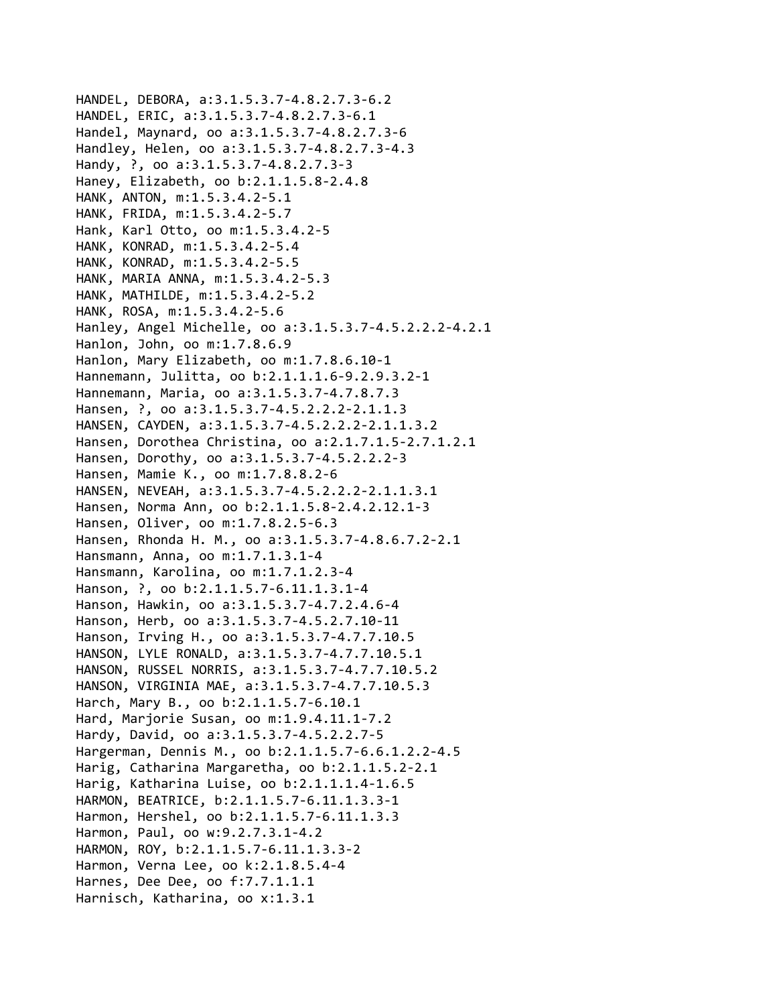```
HANDEL, DEBORA, a:3.1.5.3.7‐4.8.2.7.3‐6.2
HANDEL, ERIC, a:3.1.5.3.7‐4.8.2.7.3‐6.1
Handel, Maynard, oo a:3.1.5.3.7‐4.8.2.7.3‐6
Handley, Helen, oo a:3.1.5.3.7‐4.8.2.7.3‐4.3
Handy, ?, oo a:3.1.5.3.7‐4.8.2.7.3‐3
Haney, Elizabeth, oo b:2.1.1.5.8‐2.4.8
HANK, ANTON, m:1.5.3.4.2‐5.1
HANK, FRIDA, m:1.5.3.4.2‐5.7
Hank, Karl Otto, oo m:1.5.3.4.2‐5
HANK, KONRAD, m:1.5.3.4.2‐5.4
HANK, KONRAD, m:1.5.3.4.2‐5.5
HANK, MARIA ANNA, m:1.5.3.4.2‐5.3
HANK, MATHILDE, m:1.5.3.4.2‐5.2
HANK, ROSA, m:1.5.3.4.2‐5.6
Hanley, Angel Michelle, oo a:3.1.5.3.7‐4.5.2.2.2‐4.2.1
Hanlon, John, oo m:1.7.8.6.9
Hanlon, Mary Elizabeth, oo m:1.7.8.6.10‐1
Hannemann, Julitta, oo b:2.1.1.1.6‐9.2.9.3.2‐1
Hannemann, Maria, oo a:3.1.5.3.7‐4.7.8.7.3
Hansen, ?, oo a:3.1.5.3.7-4.5.2.2.2-2.1.1.3
HANSEN, CAYDEN, a:3.1.5.3.7‐4.5.2.2.2‐2.1.1.3.2
Hansen, Dorothea Christina, oo a:2.1.7.1.5‐2.7.1.2.1
Hansen, Dorothy, oo a:3.1.5.3.7‐4.5.2.2.2‐3
Hansen, Mamie K., oo m:1.7.8.8.2‐6
HANSEN, NEVEAH, a:3.1.5.3.7‐4.5.2.2.2‐2.1.1.3.1
Hansen, Norma Ann, oo b:2.1.1.5.8‐2.4.2.12.1‐3
Hansen, Oliver, oo m:1.7.8.2.5‐6.3
Hansen, Rhonda H. M., oo a:3.1.5.3.7‐4.8.6.7.2‐2.1
Hansmann, Anna, oo m:1.7.1.3.1‐4
Hansmann, Karolina, oo m:1.7.1.2.3‐4
Hanson, ?, oo b:2.1.1.5.7‐6.11.1.3.1‐4
Hanson, Hawkin, oo a:3.1.5.3.7‐4.7.2.4.6‐4
Hanson, Herb, oo a:3.1.5.3.7‐4.5.2.7.10‐11
Hanson, Irving H., oo a:3.1.5.3.7‐4.7.7.10.5
HANSON, LYLE RONALD, a:3.1.5.3.7‐4.7.7.10.5.1
HANSON, RUSSEL NORRIS, a:3.1.5.3.7‐4.7.7.10.5.2
HANSON, VIRGINIA MAE, a:3.1.5.3.7‐4.7.7.10.5.3
Harch, Mary B., oo b:2.1.1.5.7‐6.10.1
Hard, Marjorie Susan, oo m:1.9.4.11.1‐7.2
Hardy, David, oo a:3.1.5.3.7‐4.5.2.2.7‐5
Hargerman, Dennis M., oo b:2.1.1.5.7‐6.6.1.2.2‐4.5
Harig, Catharina Margaretha, oo b:2.1.1.5.2‐2.1
Harig, Katharina Luise, oo b:2.1.1.1.4‐1.6.5
HARMON, BEATRICE, b:2.1.1.5.7‐6.11.1.3.3‐1
Harmon, Hershel, oo b:2.1.1.5.7‐6.11.1.3.3
Harmon, Paul, oo w:9.2.7.3.1‐4.2
HARMON, ROY, b:2.1.1.5.7‐6.11.1.3.3‐2
Harmon, Verna Lee, oo k:2.1.8.5.4‐4
Harnes, Dee Dee, oo f:7.7.1.1.1
Harnisch, Katharina, oo x:1.3.1
```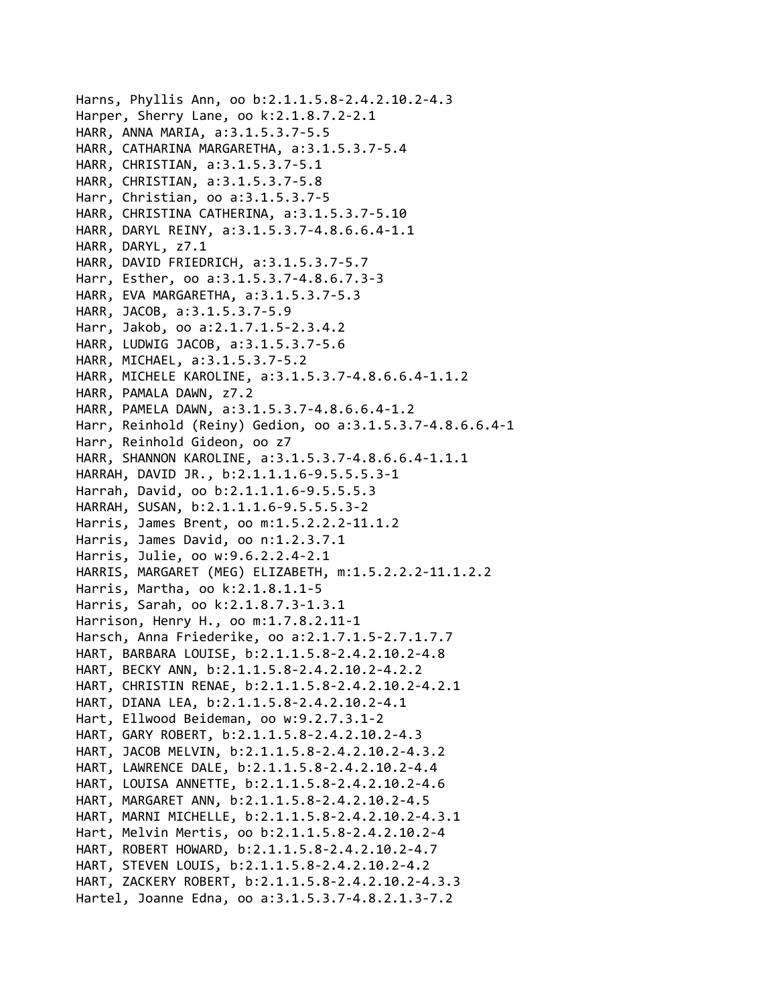```
Harns, Phyllis Ann, oo b:2.1.1.5.8‐2.4.2.10.2‐4.3
Harper, Sherry Lane, oo k:2.1.8.7.2‐2.1
HARR, ANNA MARIA, a:3.1.5.3.7‐5.5
HARR, CATHARINA MARGARETHA, a:3.1.5.3.7‐5.4
HARR, CHRISTIAN, a:3.1.5.3.7‐5.1
HARR, CHRISTIAN, a:3.1.5.3.7‐5.8
Harr, Christian, oo a:3.1.5.3.7‐5
HARR, CHRISTINA CATHERINA, a:3.1.5.3.7‐5.10
HARR, DARYL REINY, a:3.1.5.3.7‐4.8.6.6.4‐1.1
HARR, DARYL, z7.1
HARR, DAVID FRIEDRICH, a:3.1.5.3.7‐5.7
Harr, Esther, oo a:3.1.5.3.7‐4.8.6.7.3‐3
HARR, EVA MARGARETHA, a:3.1.5.3.7‐5.3
HARR, JACOB, a:3.1.5.3.7‐5.9
Harr, Jakob, oo a:2.1.7.1.5‐2.3.4.2
HARR, LUDWIG JACOB, a:3.1.5.3.7‐5.6
HARR, MICHAEL, a:3.1.5.3.7‐5.2
HARR, MICHELE KAROLINE, a:3.1.5.3.7‐4.8.6.6.4‐1.1.2
HARR, PAMALA DAWN, z7.2
HARR, PAMELA DAWN, a:3.1.5.3.7‐4.8.6.6.4‐1.2
Harr, Reinhold (Reiny) Gedion, oo a:3.1.5.3.7‐4.8.6.6.4‐1
Harr, Reinhold Gideon, oo z7
HARR, SHANNON KAROLINE, a:3.1.5.3.7‐4.8.6.6.4‐1.1.1
HARRAH, DAVID JR., b:2.1.1.1.6‐9.5.5.5.3‐1
Harrah, David, oo b:2.1.1.1.6‐9.5.5.5.3
HARRAH, SUSAN, b:2.1.1.1.6‐9.5.5.5.3‐2
Harris, James Brent, oo m:1.5.2.2.2‐11.1.2
Harris, James David, oo n:1.2.3.7.1
Harris, Julie, oo w:9.6.2.2.4‐2.1
HARRIS, MARGARET (MEG) ELIZABETH, m:1.5.2.2.2‐11.1.2.2
Harris, Martha, oo k:2.1.8.1.1‐5
Harris, Sarah, oo k:2.1.8.7.3‐1.3.1
Harrison, Henry H., oo m:1.7.8.2.11‐1
Harsch, Anna Friederike, oo a:2.1.7.1.5‐2.7.1.7.7
HART, BARBARA LOUISE, b:2.1.1.5.8‐2.4.2.10.2‐4.8
HART, BECKY ANN, b:2.1.1.5.8‐2.4.2.10.2‐4.2.2
HART, CHRISTIN RENAE, b:2.1.1.5.8‐2.4.2.10.2‐4.2.1
HART, DIANA LEA, b:2.1.1.5.8‐2.4.2.10.2‐4.1
Hart, Ellwood Beideman, oo w:9.2.7.3.1‐2
HART, GARY ROBERT, b:2.1.1.5.8‐2.4.2.10.2‐4.3
HART, JACOB MELVIN, b:2.1.1.5.8‐2.4.2.10.2‐4.3.2
HART, LAWRENCE DALE, b:2.1.1.5.8‐2.4.2.10.2‐4.4
HART, LOUISA ANNETTE, b:2.1.1.5.8‐2.4.2.10.2‐4.6
HART, MARGARET ANN, b:2.1.1.5.8‐2.4.2.10.2‐4.5
HART, MARNI MICHELLE, b:2.1.1.5.8‐2.4.2.10.2‐4.3.1
Hart, Melvin Mertis, oo b:2.1.1.5.8‐2.4.2.10.2‐4
HART, ROBERT HOWARD, b:2.1.1.5.8‐2.4.2.10.2‐4.7
HART, STEVEN LOUIS, b:2.1.1.5.8‐2.4.2.10.2‐4.2
HART, ZACKERY ROBERT, b:2.1.1.5.8‐2.4.2.10.2‐4.3.3
Hartel, Joanne Edna, oo a:3.1.5.3.7‐4.8.2.1.3‐7.2
```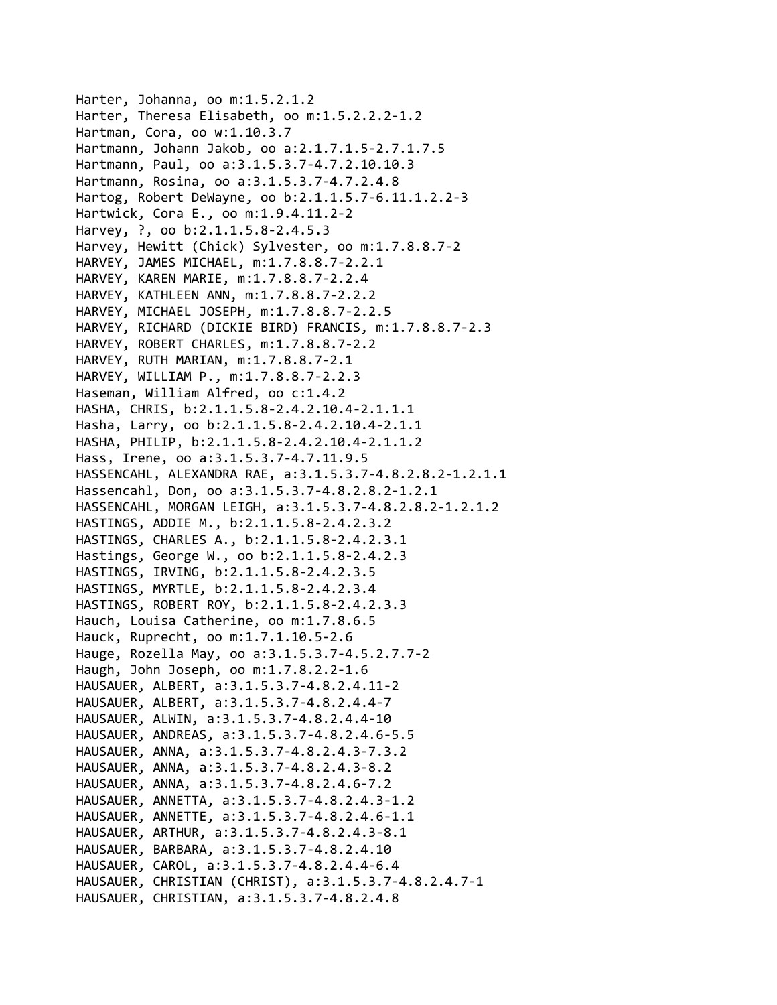Harter, Johanna, oo m:1.5.2.1.2 Harter, Theresa Elisabeth, oo m:1.5.2.2.2‐1.2 Hartman, Cora, oo w:1.10.3.7 Hartmann, Johann Jakob, oo a:2.1.7.1.5‐2.7.1.7.5 Hartmann, Paul, oo a:3.1.5.3.7‐4.7.2.10.10.3 Hartmann, Rosina, oo a:3.1.5.3.7‐4.7.2.4.8 Hartog, Robert DeWayne, oo b:2.1.1.5.7‐6.11.1.2.2‐3 Hartwick, Cora E., oo m:1.9.4.11.2‐2 Harvey, ?, oo b:2.1.1.5.8‐2.4.5.3 Harvey, Hewitt (Chick) Sylvester, oo m:1.7.8.8.7‐2 HARVEY, JAMES MICHAEL, m:1.7.8.8.7‐2.2.1 HARVEY, KAREN MARIE, m:1.7.8.8.7‐2.2.4 HARVEY, KATHLEEN ANN, m:1.7.8.8.7‐2.2.2 HARVEY, MICHAEL JOSEPH, m:1.7.8.8.7‐2.2.5 HARVEY, RICHARD (DICKIE BIRD) FRANCIS, m:1.7.8.8.7‐2.3 HARVEY, ROBERT CHARLES, m:1.7.8.8.7‐2.2 HARVEY, RUTH MARIAN, m:1.7.8.8.7‐2.1 HARVEY, WILLIAM P., m:1.7.8.8.7‐2.2.3 Haseman, William Alfred, oo c:1.4.2 HASHA, CHRIS, b:2.1.1.5.8‐2.4.2.10.4‐2.1.1.1 Hasha, Larry, oo b:2.1.1.5.8‐2.4.2.10.4‐2.1.1 HASHA, PHILIP, b:2.1.1.5.8‐2.4.2.10.4‐2.1.1.2 Hass, Irene, oo a:3.1.5.3.7‐4.7.11.9.5 HASSENCAHL, ALEXANDRA RAE, a:3.1.5.3.7‐4.8.2.8.2‐1.2.1.1 Hassencahl, Don, oo a:3.1.5.3.7‐4.8.2.8.2‐1.2.1 HASSENCAHL, MORGAN LEIGH, a:3.1.5.3.7‐4.8.2.8.2‐1.2.1.2 HASTINGS, ADDIE M., b:2.1.1.5.8‐2.4.2.3.2 HASTINGS, CHARLES A., b:2.1.1.5.8‐2.4.2.3.1 Hastings, George W., oo b:2.1.1.5.8‐2.4.2.3 HASTINGS, IRVING, b:2.1.1.5.8‐2.4.2.3.5 HASTINGS, MYRTLE, b:2.1.1.5.8‐2.4.2.3.4 HASTINGS, ROBERT ROY, b:2.1.1.5.8‐2.4.2.3.3 Hauch, Louisa Catherine, oo m:1.7.8.6.5 Hauck, Ruprecht, oo m:1.7.1.10.5‐2.6 Hauge, Rozella May, oo a:3.1.5.3.7‐4.5.2.7.7‐2 Haugh, John Joseph, oo m:1.7.8.2.2‐1.6 HAUSAUER, ALBERT, a:3.1.5.3.7‐4.8.2.4.11‐2 HAUSAUER, ALBERT, a:3.1.5.3.7‐4.8.2.4.4‐7 HAUSAUER, ALWIN, a:3.1.5.3.7‐4.8.2.4.4‐10 HAUSAUER, ANDREAS, a:3.1.5.3.7‐4.8.2.4.6‐5.5 HAUSAUER, ANNA, a:3.1.5.3.7‐4.8.2.4.3‐7.3.2 HAUSAUER, ANNA, a:3.1.5.3.7‐4.8.2.4.3‐8.2 HAUSAUER, ANNA, a:3.1.5.3.7‐4.8.2.4.6‐7.2 HAUSAUER, ANNETTA, a:3.1.5.3.7‐4.8.2.4.3‐1.2 HAUSAUER, ANNETTE, a:3.1.5.3.7‐4.8.2.4.6‐1.1 HAUSAUER, ARTHUR, a:3.1.5.3.7‐4.8.2.4.3‐8.1 HAUSAUER, BARBARA, a:3.1.5.3.7‐4.8.2.4.10 HAUSAUER, CAROL, a:3.1.5.3.7‐4.8.2.4.4‐6.4 HAUSAUER, CHRISTIAN (CHRIST), a:3.1.5.3.7‐4.8.2.4.7‐1 HAUSAUER, CHRISTIAN, a:3.1.5.3.7‐4.8.2.4.8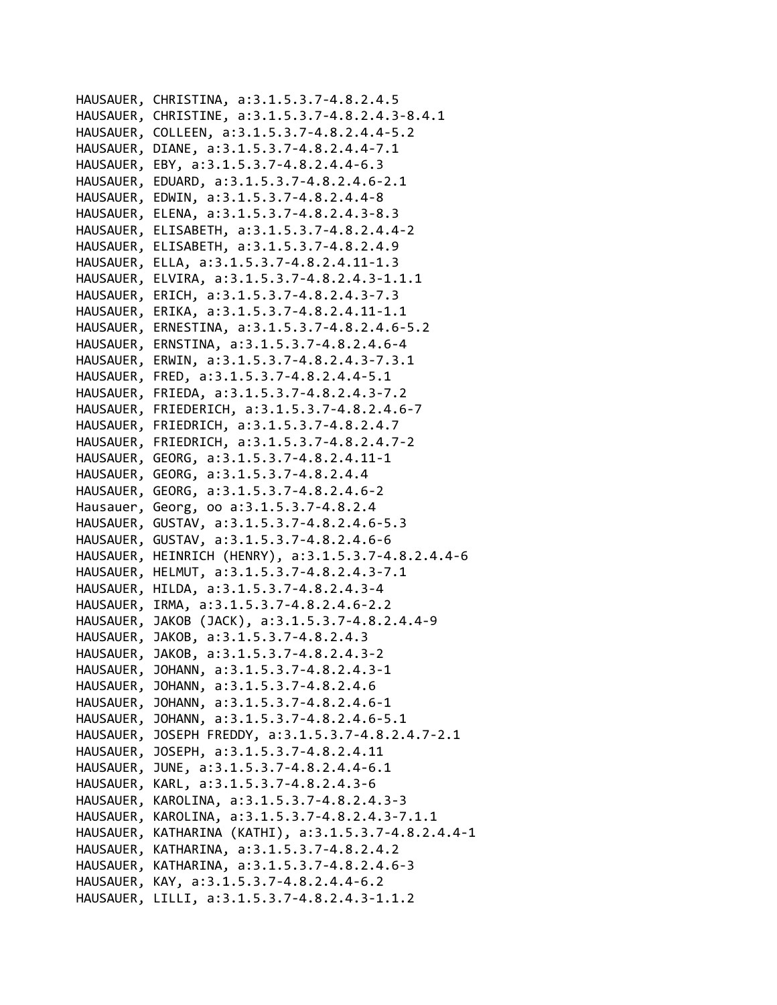HAUSAUER, CHRISTINA, a:3.1.5.3.7‐4.8.2.4.5 HAUSAUER, CHRISTINE, a:3.1.5.3.7‐4.8.2.4.3‐8.4.1 HAUSAUER, COLLEEN, a:3.1.5.3.7‐4.8.2.4.4‐5.2 HAUSAUER, DIANE, a:3.1.5.3.7‐4.8.2.4.4‐7.1 HAUSAUER, EBY, a:3.1.5.3.7‐4.8.2.4.4‐6.3 HAUSAUER, EDUARD, a:3.1.5.3.7‐4.8.2.4.6‐2.1 HAUSAUER, EDWIN, a:3.1.5.3.7‐4.8.2.4.4‐8 HAUSAUER, ELENA, a:3.1.5.3.7‐4.8.2.4.3‐8.3 HAUSAUER, ELISABETH, a:3.1.5.3.7‐4.8.2.4.4‐2 HAUSAUER, ELISABETH, a:3.1.5.3.7‐4.8.2.4.9 HAUSAUER, ELLA, a:3.1.5.3.7‐4.8.2.4.11‐1.3 HAUSAUER, ELVIRA, a:3.1.5.3.7‐4.8.2.4.3‐1.1.1 HAUSAUER, ERICH, a:3.1.5.3.7‐4.8.2.4.3‐7.3 HAUSAUER, ERIKA, a:3.1.5.3.7‐4.8.2.4.11‐1.1 HAUSAUER, ERNESTINA, a:3.1.5.3.7‐4.8.2.4.6‐5.2 HAUSAUER, ERNSTINA, a:3.1.5.3.7‐4.8.2.4.6‐4 HAUSAUER, ERWIN, a:3.1.5.3.7‐4.8.2.4.3‐7.3.1 HAUSAUER, FRED, a:3.1.5.3.7‐4.8.2.4.4‐5.1 HAUSAUER, FRIEDA, a:3.1.5.3.7‐4.8.2.4.3‐7.2 HAUSAUER, FRIEDERICH, a:3.1.5.3.7‐4.8.2.4.6‐7 HAUSAUER, FRIEDRICH, a:3.1.5.3.7‐4.8.2.4.7 HAUSAUER, FRIEDRICH, a:3.1.5.3.7‐4.8.2.4.7‐2 HAUSAUER, GEORG, a:3.1.5.3.7‐4.8.2.4.11‐1 HAUSAUER, GEORG, a:3.1.5.3.7‐4.8.2.4.4 HAUSAUER, GEORG, a:3.1.5.3.7‐4.8.2.4.6‐2 Hausauer, Georg, oo a:3.1.5.3.7‐4.8.2.4 HAUSAUER, GUSTAV, a:3.1.5.3.7‐4.8.2.4.6‐5.3 HAUSAUER, GUSTAV, a:3.1.5.3.7‐4.8.2.4.6‐6 HAUSAUER, HEINRICH (HENRY), a:3.1.5.3.7‐4.8.2.4.4‐6 HAUSAUER, HELMUT, a:3.1.5.3.7‐4.8.2.4.3‐7.1 HAUSAUER, HILDA, a:3.1.5.3.7‐4.8.2.4.3‐4 HAUSAUER, IRMA, a:3.1.5.3.7‐4.8.2.4.6‐2.2 HAUSAUER, JAKOB (JACK), a:3.1.5.3.7‐4.8.2.4.4‐9 HAUSAUER, JAKOB, a:3.1.5.3.7‐4.8.2.4.3 HAUSAUER, JAKOB, a:3.1.5.3.7‐4.8.2.4.3‐2 HAUSAUER, JOHANN, a:3.1.5.3.7‐4.8.2.4.3‐1 HAUSAUER, JOHANN, a:3.1.5.3.7‐4.8.2.4.6 HAUSAUER, JOHANN, a:3.1.5.3.7‐4.8.2.4.6‐1 HAUSAUER, JOHANN, a:3.1.5.3.7‐4.8.2.4.6‐5.1 HAUSAUER, JOSEPH FREDDY, a:3.1.5.3.7‐4.8.2.4.7‐2.1 HAUSAUER, JOSEPH, a:3.1.5.3.7‐4.8.2.4.11 HAUSAUER, JUNE, a:3.1.5.3.7‐4.8.2.4.4‐6.1 HAUSAUER, KARL, a:3.1.5.3.7‐4.8.2.4.3‐6 HAUSAUER, KAROLINA, a:3.1.5.3.7‐4.8.2.4.3‐3 HAUSAUER, KAROLINA, a:3.1.5.3.7‐4.8.2.4.3‐7.1.1 HAUSAUER, KATHARINA (KATHI), a:3.1.5.3.7‐4.8.2.4.4‐1 HAUSAUER, KATHARINA, a:3.1.5.3.7‐4.8.2.4.2 HAUSAUER, KATHARINA, a:3.1.5.3.7‐4.8.2.4.6‐3 HAUSAUER, KAY, a:3.1.5.3.7‐4.8.2.4.4‐6.2 HAUSAUER, LILLI, a:3.1.5.3.7‐4.8.2.4.3‐1.1.2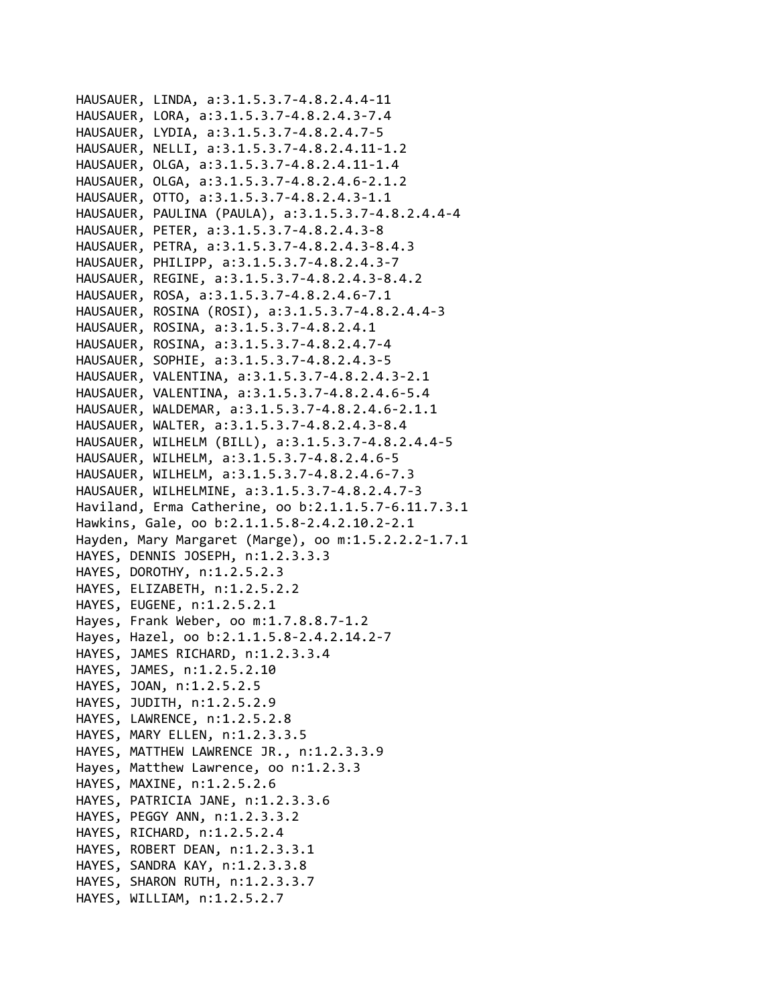```
HAUSAUER, LINDA, a:3.1.5.3.7‐4.8.2.4.4‐11
HAUSAUER, LORA, a:3.1.5.3.7‐4.8.2.4.3‐7.4
HAUSAUER, LYDIA, a:3.1.5.3.7‐4.8.2.4.7‐5
HAUSAUER, NELLI, a:3.1.5.3.7‐4.8.2.4.11‐1.2
HAUSAUER, OLGA, a:3.1.5.3.7‐4.8.2.4.11‐1.4
HAUSAUER, OLGA, a:3.1.5.3.7‐4.8.2.4.6‐2.1.2
HAUSAUER, OTTO, a:3.1.5.3.7‐4.8.2.4.3‐1.1
HAUSAUER, PAULINA (PAULA), a:3.1.5.3.7‐4.8.2.4.4‐4
HAUSAUER, PETER, a:3.1.5.3.7‐4.8.2.4.3‐8
HAUSAUER, PETRA, a:3.1.5.3.7‐4.8.2.4.3‐8.4.3
HAUSAUER, PHILIPP, a:3.1.5.3.7‐4.8.2.4.3‐7
HAUSAUER, REGINE, a:3.1.5.3.7‐4.8.2.4.3‐8.4.2
HAUSAUER, ROSA, a:3.1.5.3.7‐4.8.2.4.6‐7.1
HAUSAUER, ROSINA (ROSI), a:3.1.5.3.7‐4.8.2.4.4‐3
HAUSAUER, ROSINA, a:3.1.5.3.7‐4.8.2.4.1
HAUSAUER, ROSINA, a:3.1.5.3.7‐4.8.2.4.7‐4
HAUSAUER, SOPHIE, a:3.1.5.3.7‐4.8.2.4.3‐5
HAUSAUER, VALENTINA, a:3.1.5.3.7‐4.8.2.4.3‐2.1
HAUSAUER, VALENTINA, a:3.1.5.3.7‐4.8.2.4.6‐5.4
HAUSAUER, WALDEMAR, a:3.1.5.3.7‐4.8.2.4.6‐2.1.1
HAUSAUER, WALTER, a:3.1.5.3.7‐4.8.2.4.3‐8.4
HAUSAUER, WILHELM (BILL), a:3.1.5.3.7‐4.8.2.4.4‐5
HAUSAUER, WILHELM, a:3.1.5.3.7‐4.8.2.4.6‐5
HAUSAUER, WILHELM, a:3.1.5.3.7‐4.8.2.4.6‐7.3
HAUSAUER, WILHELMINE, a:3.1.5.3.7‐4.8.2.4.7‐3
Haviland, Erma Catherine, oo b:2.1.1.5.7‐6.11.7.3.1
Hawkins, Gale, oo b:2.1.1.5.8‐2.4.2.10.2‐2.1
Hayden, Mary Margaret (Marge), oo m:1.5.2.2.2‐1.7.1
HAYES, DENNIS JOSEPH, n:1.2.3.3.3
HAYES, DOROTHY, n:1.2.5.2.3
HAYES, ELIZABETH, n:1.2.5.2.2
HAYES, EUGENE, n:1.2.5.2.1
Hayes, Frank Weber, oo m:1.7.8.8.7‐1.2
Hayes, Hazel, oo b:2.1.1.5.8‐2.4.2.14.2‐7
HAYES, JAMES RICHARD, n:1.2.3.3.4
HAYES, JAMES, n:1.2.5.2.10
HAYES, JOAN, n:1.2.5.2.5
HAYES, JUDITH, n:1.2.5.2.9
HAYES, LAWRENCE, n:1.2.5.2.8
HAYES, MARY ELLEN, n:1.2.3.3.5
HAYES, MATTHEW LAWRENCE JR., n:1.2.3.3.9
Hayes, Matthew Lawrence, oo n:1.2.3.3
HAYES, MAXINE, n:1.2.5.2.6
HAYES, PATRICIA JANE, n:1.2.3.3.6
HAYES, PEGGY ANN, n:1.2.3.3.2
HAYES, RICHARD, n:1.2.5.2.4
HAYES, ROBERT DEAN, n:1.2.3.3.1
HAYES, SANDRA KAY, n:1.2.3.3.8
HAYES, SHARON RUTH, n:1.2.3.3.7
HAYES, WILLIAM, n:1.2.5.2.7
```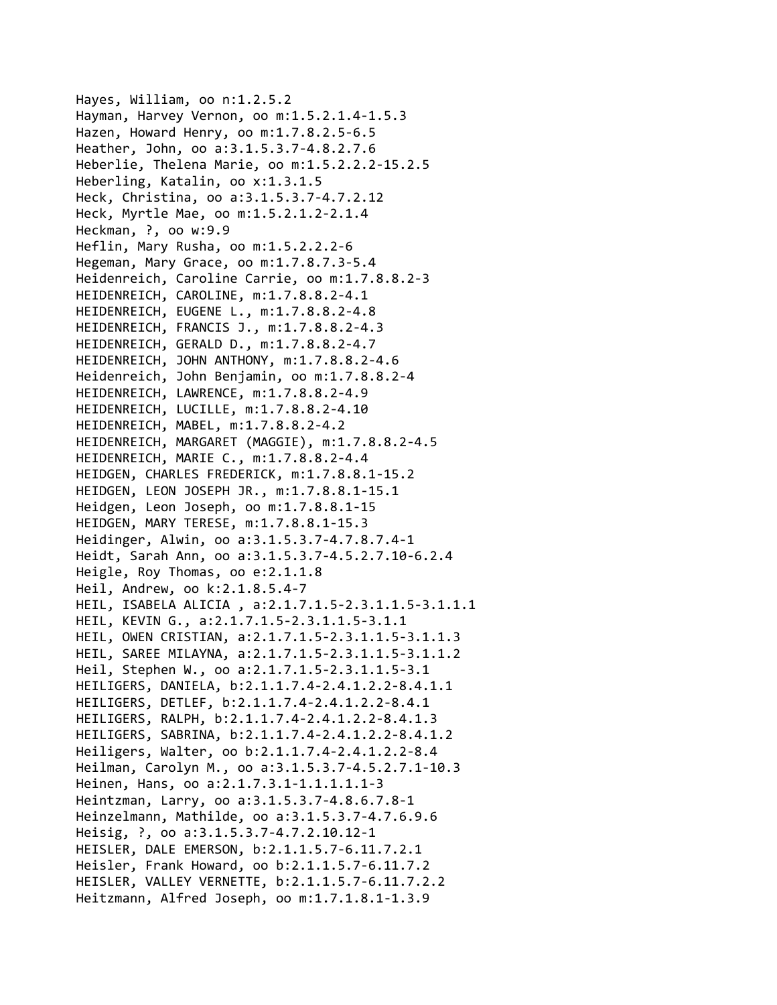Hayes, William, oo n:1.2.5.2 Hayman, Harvey Vernon, oo m:1.5.2.1.4‐1.5.3 Hazen, Howard Henry, oo m:1.7.8.2.5‐6.5 Heather, John, oo a:3.1.5.3.7‐4.8.2.7.6 Heberlie, Thelena Marie, oo m:1.5.2.2.2‐15.2.5 Heberling, Katalin, oo x:1.3.1.5 Heck, Christina, oo a:3.1.5.3.7‐4.7.2.12 Heck, Myrtle Mae, oo m:1.5.2.1.2‐2.1.4 Heckman, ?, oo w:9.9 Heflin, Mary Rusha, oo m:1.5.2.2.2‐6 Hegeman, Mary Grace, oo m:1.7.8.7.3‐5.4 Heidenreich, Caroline Carrie, oo m:1.7.8.8.2‐3 HEIDENREICH, CAROLINE, m:1.7.8.8.2‐4.1 HEIDENREICH, EUGENE L., m:1.7.8.8.2‐4.8 HEIDENREICH, FRANCIS J., m:1.7.8.8.2‐4.3 HEIDENREICH, GERALD D., m:1.7.8.8.2‐4.7 HEIDENREICH, JOHN ANTHONY, m:1.7.8.8.2‐4.6 Heidenreich, John Benjamin, oo m:1.7.8.8.2‐4 HEIDENREICH, LAWRENCE, m:1.7.8.8.2‐4.9 HEIDENREICH, LUCILLE, m:1.7.8.8.2‐4.10 HEIDENREICH, MABEL, m:1.7.8.8.2‐4.2 HEIDENREICH, MARGARET (MAGGIE), m:1.7.8.8.2‐4.5 HEIDENREICH, MARIE C., m:1.7.8.8.2‐4.4 HEIDGEN, CHARLES FREDERICK, m:1.7.8.8.1‐15.2 HEIDGEN, LEON JOSEPH JR., m:1.7.8.8.1‐15.1 Heidgen, Leon Joseph, oo m:1.7.8.8.1‐15 HEIDGEN, MARY TERESE, m:1.7.8.8.1‐15.3 Heidinger, Alwin, oo a:3.1.5.3.7‐4.7.8.7.4‐1 Heidt, Sarah Ann, oo a:3.1.5.3.7‐4.5.2.7.10‐6.2.4 Heigle, Roy Thomas, oo e:2.1.1.8 Heil, Andrew, oo k:2.1.8.5.4‐7 HEIL, ISABELA ALICIA , a:2.1.7.1.5‐2.3.1.1.5‐3.1.1.1 HEIL, KEVIN G., a:2.1.7.1.5‐2.3.1.1.5‐3.1.1 HEIL, OWEN CRISTIAN, a:2.1.7.1.5‐2.3.1.1.5‐3.1.1.3 HEIL, SAREE MILAYNA, a:2.1.7.1.5‐2.3.1.1.5‐3.1.1.2 Heil, Stephen W., oo a:2.1.7.1.5‐2.3.1.1.5‐3.1 HEILIGERS, DANIELA, b:2.1.1.7.4‐2.4.1.2.2‐8.4.1.1 HEILIGERS, DETLEF, b:2.1.1.7.4‐2.4.1.2.2‐8.4.1 HEILIGERS, RALPH, b:2.1.1.7.4‐2.4.1.2.2‐8.4.1.3 HEILIGERS, SABRINA, b:2.1.1.7.4‐2.4.1.2.2‐8.4.1.2 Heiligers, Walter, oo b:2.1.1.7.4‐2.4.1.2.2‐8.4 Heilman, Carolyn M., oo a:3.1.5.3.7‐4.5.2.7.1‐10.3 Heinen, Hans, oo a:2.1.7.3.1‐1.1.1.1.1‐3 Heintzman, Larry, oo a:3.1.5.3.7‐4.8.6.7.8‐1 Heinzelmann, Mathilde, oo a:3.1.5.3.7‐4.7.6.9.6 Heisig, ?, oo a:3.1.5.3.7‐4.7.2.10.12‐1 HEISLER, DALE EMERSON, b:2.1.1.5.7‐6.11.7.2.1 Heisler, Frank Howard, oo b:2.1.1.5.7‐6.11.7.2 HEISLER, VALLEY VERNETTE, b:2.1.1.5.7‐6.11.7.2.2 Heitzmann, Alfred Joseph, oo m:1.7.1.8.1‐1.3.9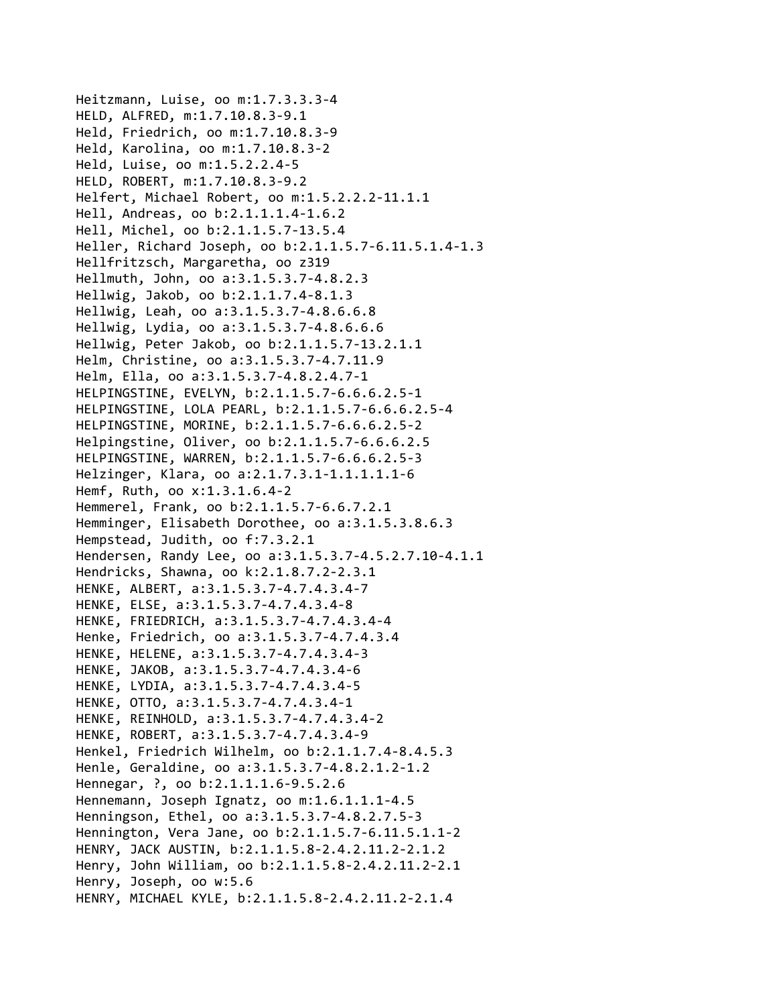Heitzmann, Luise, oo m:1.7.3.3.3‐4 HELD, ALFRED, m:1.7.10.8.3‐9.1 Held, Friedrich, oo m:1.7.10.8.3‐9 Held, Karolina, oo m:1.7.10.8.3‐2 Held, Luise, oo m:1.5.2.2.4‐5 HELD, ROBERT, m:1.7.10.8.3‐9.2 Helfert, Michael Robert, oo m:1.5.2.2.2‐11.1.1 Hell, Andreas, oo b:2.1.1.1.4‐1.6.2 Hell, Michel, oo b:2.1.1.5.7‐13.5.4 Heller, Richard Joseph, oo b:2.1.1.5.7‐6.11.5.1.4‐1.3 Hellfritzsch, Margaretha, oo z319 Hellmuth, John, oo a:3.1.5.3.7‐4.8.2.3 Hellwig, Jakob, oo b:2.1.1.7.4‐8.1.3 Hellwig, Leah, oo a:3.1.5.3.7‐4.8.6.6.8 Hellwig, Lydia, oo a:3.1.5.3.7‐4.8.6.6.6 Hellwig, Peter Jakob, oo b:2.1.1.5.7‐13.2.1.1 Helm, Christine, oo a:3.1.5.3.7‐4.7.11.9 Helm, Ella, oo a:3.1.5.3.7‐4.8.2.4.7‐1 HELPINGSTINE, EVELYN, b:2.1.1.5.7‐6.6.6.2.5‐1 HELPINGSTINE, LOLA PEARL, b:2.1.1.5.7‐6.6.6.2.5‐4 HELPINGSTINE, MORINE, b:2.1.1.5.7‐6.6.6.2.5‐2 Helpingstine, Oliver, oo b:2.1.1.5.7‐6.6.6.2.5 HELPINGSTINE, WARREN, b:2.1.1.5.7‐6.6.6.2.5‐3 Helzinger, Klara, oo a:2.1.7.3.1‐1.1.1.1.1‐6 Hemf, Ruth, oo x:1.3.1.6.4‐2 Hemmerel, Frank, oo b:2.1.1.5.7‐6.6.7.2.1 Hemminger, Elisabeth Dorothee, oo a:3.1.5.3.8.6.3 Hempstead, Judith, oo f:7.3.2.1 Hendersen, Randy Lee, oo a:3.1.5.3.7‐4.5.2.7.10‐4.1.1 Hendricks, Shawna, oo k:2.1.8.7.2‐2.3.1 HENKE, ALBERT, a:3.1.5.3.7‐4.7.4.3.4‐7 HENKE, ELSE, a:3.1.5.3.7‐4.7.4.3.4‐8 HENKE, FRIEDRICH, a:3.1.5.3.7‐4.7.4.3.4‐4 Henke, Friedrich, oo a:3.1.5.3.7‐4.7.4.3.4 HENKE, HELENE, a:3.1.5.3.7‐4.7.4.3.4‐3 HENKE, JAKOB, a:3.1.5.3.7‐4.7.4.3.4‐6 HENKE, LYDIA, a:3.1.5.3.7‐4.7.4.3.4‐5 HENKE, OTTO, a:3.1.5.3.7‐4.7.4.3.4‐1 HENKE, REINHOLD, a:3.1.5.3.7‐4.7.4.3.4‐2 HENKE, ROBERT, a:3.1.5.3.7‐4.7.4.3.4‐9 Henkel, Friedrich Wilhelm, oo b:2.1.1.7.4‐8.4.5.3 Henle, Geraldine, oo a:3.1.5.3.7‐4.8.2.1.2‐1.2 Hennegar, ?, oo b:2.1.1.1.6‐9.5.2.6 Hennemann, Joseph Ignatz, oo m:1.6.1.1.1‐4.5 Henningson, Ethel, oo a:3.1.5.3.7‐4.8.2.7.5‐3 Hennington, Vera Jane, oo b:2.1.1.5.7‐6.11.5.1.1‐2 HENRY, JACK AUSTIN, b:2.1.1.5.8‐2.4.2.11.2‐2.1.2 Henry, John William, oo b:2.1.1.5.8‐2.4.2.11.2‐2.1 Henry, Joseph, oo w:5.6 HENRY, MICHAEL KYLE, b:2.1.1.5.8‐2.4.2.11.2‐2.1.4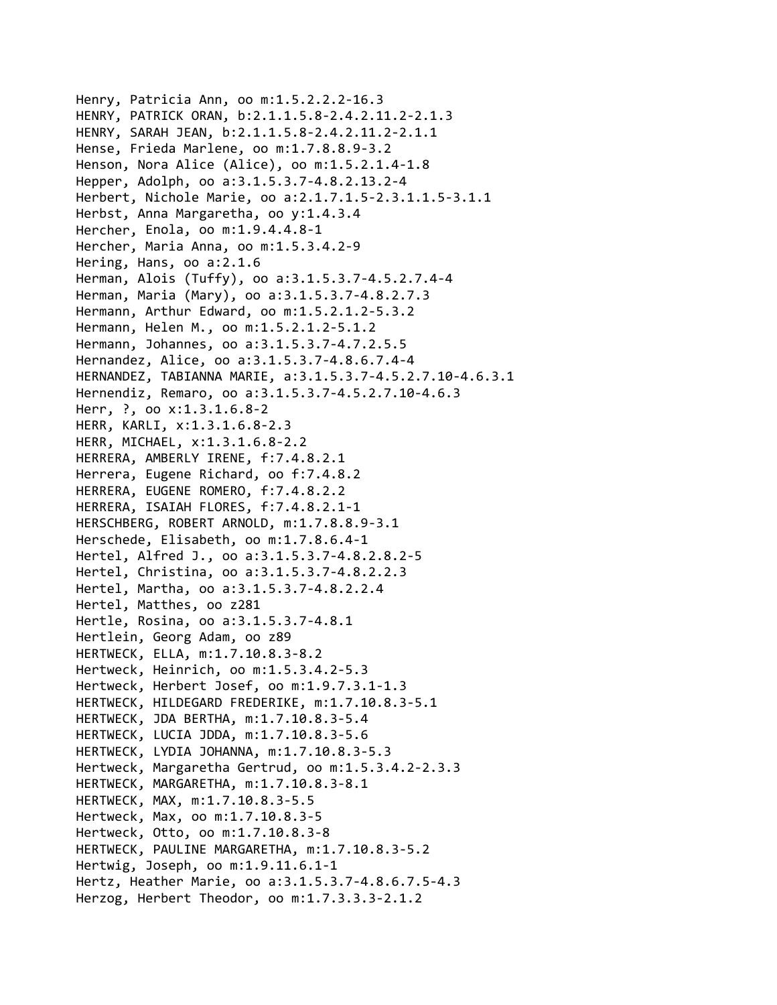Henry, Patricia Ann, oo m:1.5.2.2.2‐16.3 HENRY, PATRICK ORAN, b:2.1.1.5.8‐2.4.2.11.2‐2.1.3 HENRY, SARAH JEAN, b:2.1.1.5.8‐2.4.2.11.2‐2.1.1 Hense, Frieda Marlene, oo m:1.7.8.8.9‐3.2 Henson, Nora Alice (Alice), oo m:1.5.2.1.4‐1.8 Hepper, Adolph, oo a:3.1.5.3.7‐4.8.2.13.2‐4 Herbert, Nichole Marie, oo a:2.1.7.1.5‐2.3.1.1.5‐3.1.1 Herbst, Anna Margaretha, oo y:1.4.3.4 Hercher, Enola, oo m:1.9.4.4.8‐1 Hercher, Maria Anna, oo m:1.5.3.4.2‐9 Hering, Hans, oo a:2.1.6 Herman, Alois (Tuffy), oo a:3.1.5.3.7‐4.5.2.7.4‐4 Herman, Maria (Mary), oo a:3.1.5.3.7‐4.8.2.7.3 Hermann, Arthur Edward, oo m:1.5.2.1.2‐5.3.2 Hermann, Helen M., oo m:1.5.2.1.2‐5.1.2 Hermann, Johannes, oo a:3.1.5.3.7‐4.7.2.5.5 Hernandez, Alice, oo a:3.1.5.3.7‐4.8.6.7.4‐4 HERNANDEZ, TABIANNA MARIE, a:3.1.5.3.7‐4.5.2.7.10‐4.6.3.1 Hernendiz, Remaro, oo a:3.1.5.3.7‐4.5.2.7.10‐4.6.3 Herr, ?, oo x:1.3.1.6.8‐2 HERR, KARLI, x:1.3.1.6.8‐2.3 HERR, MICHAEL, x:1.3.1.6.8‐2.2 HERRERA, AMBERLY IRENE, f:7.4.8.2.1 Herrera, Eugene Richard, oo f:7.4.8.2 HERRERA, EUGENE ROMERO, f:7.4.8.2.2 HERRERA, ISAIAH FLORES, f:7.4.8.2.1‐1 HERSCHBERG, ROBERT ARNOLD, m:1.7.8.8.9‐3.1 Herschede, Elisabeth, oo m:1.7.8.6.4‐1 Hertel, Alfred J., oo a:3.1.5.3.7‐4.8.2.8.2‐5 Hertel, Christina, oo a:3.1.5.3.7‐4.8.2.2.3 Hertel, Martha, oo a:3.1.5.3.7‐4.8.2.2.4 Hertel, Matthes, oo z281 Hertle, Rosina, oo a:3.1.5.3.7‐4.8.1 Hertlein, Georg Adam, oo z89 HERTWECK, ELLA, m:1.7.10.8.3‐8.2 Hertweck, Heinrich, oo m:1.5.3.4.2‐5.3 Hertweck, Herbert Josef, oo m:1.9.7.3.1‐1.3 HERTWECK, HILDEGARD FREDERIKE, m:1.7.10.8.3‐5.1 HERTWECK, JDA BERTHA, m:1.7.10.8.3‐5.4 HERTWECK, LUCIA JDDA, m:1.7.10.8.3‐5.6 HERTWECK, LYDIA JOHANNA, m:1.7.10.8.3‐5.3 Hertweck, Margaretha Gertrud, oo m:1.5.3.4.2‐2.3.3 HERTWECK, MARGARETHA, m:1.7.10.8.3‐8.1 HERTWECK, MAX, m:1.7.10.8.3‐5.5 Hertweck, Max, oo m:1.7.10.8.3‐5 Hertweck, Otto, oo m:1.7.10.8.3‐8 HERTWECK, PAULINE MARGARETHA, m:1.7.10.8.3‐5.2 Hertwig, Joseph, oo m:1.9.11.6.1‐1 Hertz, Heather Marie, oo a:3.1.5.3.7‐4.8.6.7.5‐4.3 Herzog, Herbert Theodor, oo m:1.7.3.3.3‐2.1.2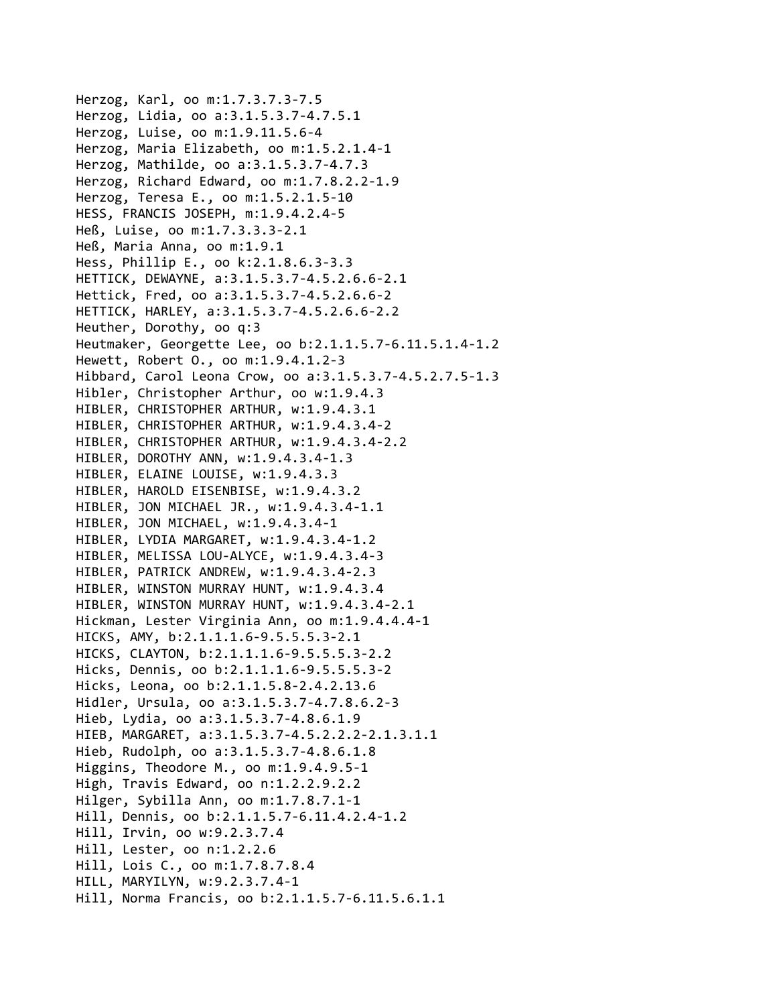Herzog, Karl, oo m:1.7.3.7.3‐7.5 Herzog, Lidia, oo a:3.1.5.3.7‐4.7.5.1 Herzog, Luise, oo m:1.9.11.5.6‐4 Herzog, Maria Elizabeth, oo m:1.5.2.1.4‐1 Herzog, Mathilde, oo a:3.1.5.3.7‐4.7.3 Herzog, Richard Edward, oo m:1.7.8.2.2‐1.9 Herzog, Teresa E., oo m:1.5.2.1.5‐10 HESS, FRANCIS JOSEPH, m:1.9.4.2.4‐5 Heß, Luise, oo m:1.7.3.3.3‐2.1 Heß, Maria Anna, oo m:1.9.1 Hess, Phillip E., oo k:2.1.8.6.3‐3.3 HETTICK, DEWAYNE, a:3.1.5.3.7‐4.5.2.6.6‐2.1 Hettick, Fred, oo a:3.1.5.3.7‐4.5.2.6.6‐2 HETTICK, HARLEY, a:3.1.5.3.7‐4.5.2.6.6‐2.2 Heuther, Dorothy, oo q:3 Heutmaker, Georgette Lee, oo b:2.1.1.5.7‐6.11.5.1.4‐1.2 Hewett, Robert O., oo m:1.9.4.1.2‐3 Hibbard, Carol Leona Crow, oo a:3.1.5.3.7‐4.5.2.7.5‐1.3 Hibler, Christopher Arthur, oo w:1.9.4.3 HIBLER, CHRISTOPHER ARTHUR, w:1.9.4.3.1 HIBLER, CHRISTOPHER ARTHUR, w:1.9.4.3.4‐2 HIBLER, CHRISTOPHER ARTHUR, w:1.9.4.3.4‐2.2 HIBLER, DOROTHY ANN, w:1.9.4.3.4‐1.3 HIBLER, ELAINE LOUISE, w:1.9.4.3.3 HIBLER, HAROLD EISENBISE, w:1.9.4.3.2 HIBLER, JON MICHAEL JR., w:1.9.4.3.4‐1.1 HIBLER, JON MICHAEL, w:1.9.4.3.4‐1 HIBLER, LYDIA MARGARET, w:1.9.4.3.4‐1.2 HIBLER, MELISSA LOU‐ALYCE, w:1.9.4.3.4‐3 HIBLER, PATRICK ANDREW, w:1.9.4.3.4‐2.3 HIBLER, WINSTON MURRAY HUNT, w:1.9.4.3.4 HIBLER, WINSTON MURRAY HUNT, w:1.9.4.3.4‐2.1 Hickman, Lester Virginia Ann, oo m:1.9.4.4.4‐1 HICKS, AMY, b:2.1.1.1.6‐9.5.5.5.3‐2.1 HICKS, CLAYTON, b:2.1.1.1.6‐9.5.5.5.3‐2.2 Hicks, Dennis, oo b:2.1.1.1.6‐9.5.5.5.3‐2 Hicks, Leona, oo b:2.1.1.5.8‐2.4.2.13.6 Hidler, Ursula, oo a:3.1.5.3.7‐4.7.8.6.2‐3 Hieb, Lydia, oo a:3.1.5.3.7‐4.8.6.1.9 HIEB, MARGARET, a:3.1.5.3.7‐4.5.2.2.2‐2.1.3.1.1 Hieb, Rudolph, oo a:3.1.5.3.7‐4.8.6.1.8 Higgins, Theodore M., oo m:1.9.4.9.5‐1 High, Travis Edward, oo n:1.2.2.9.2.2 Hilger, Sybilla Ann, oo m:1.7.8.7.1‐1 Hill, Dennis, oo b:2.1.1.5.7‐6.11.4.2.4‐1.2 Hill, Irvin, oo w:9.2.3.7.4 Hill, Lester, oo n:1.2.2.6 Hill, Lois C., oo m:1.7.8.7.8.4 HILL, MARYILYN, w:9.2.3.7.4‐1 Hill, Norma Francis, oo b:2.1.1.5.7‐6.11.5.6.1.1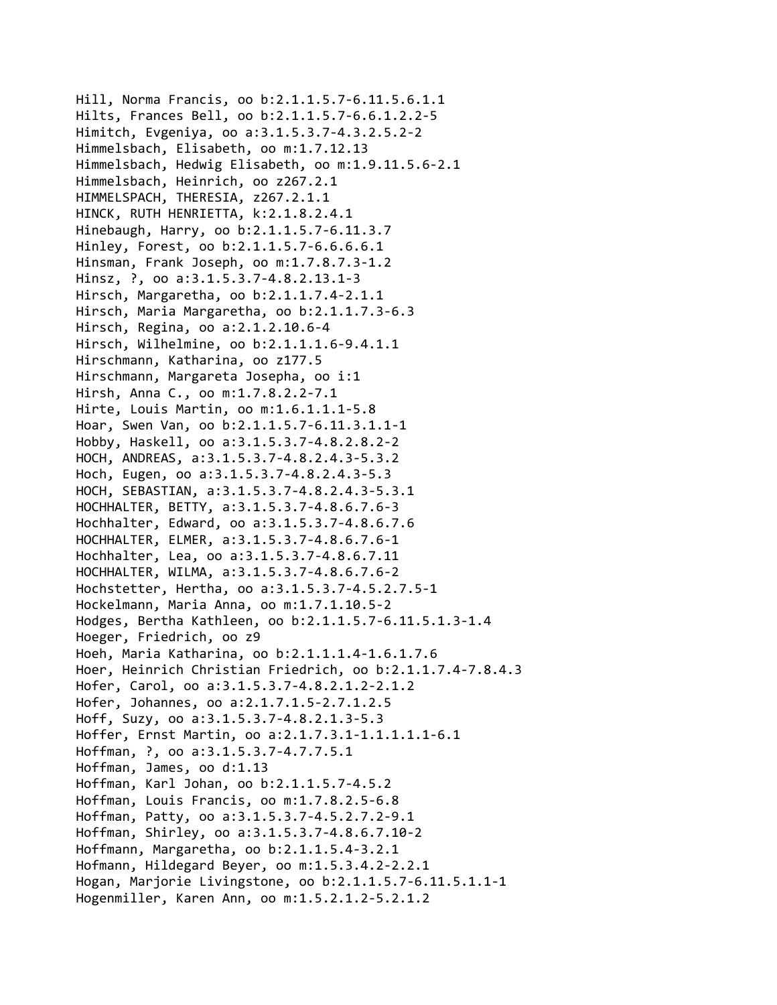Hill, Norma Francis, oo b:2.1.1.5.7‐6.11.5.6.1.1 Hilts, Frances Bell, oo b:2.1.1.5.7‐6.6.1.2.2‐5 Himitch, Evgeniya, oo a:3.1.5.3.7‐4.3.2.5.2‐2 Himmelsbach, Elisabeth, oo m:1.7.12.13 Himmelsbach, Hedwig Elisabeth, oo m:1.9.11.5.6‐2.1 Himmelsbach, Heinrich, oo z267.2.1 HIMMELSPACH, THERESIA, z267.2.1.1 HINCK, RUTH HENRIETTA, k:2.1.8.2.4.1 Hinebaugh, Harry, oo b:2.1.1.5.7‐6.11.3.7 Hinley, Forest, oo b:2.1.1.5.7‐6.6.6.6.1 Hinsman, Frank Joseph, oo m:1.7.8.7.3‐1.2 Hinsz, ?, oo a:3.1.5.3.7‐4.8.2.13.1‐3 Hirsch, Margaretha, oo b:2.1.1.7.4‐2.1.1 Hirsch, Maria Margaretha, oo b:2.1.1.7.3‐6.3 Hirsch, Regina, oo a:2.1.2.10.6‐4 Hirsch, Wilhelmine, oo b:2.1.1.1.6‐9.4.1.1 Hirschmann, Katharina, oo z177.5 Hirschmann, Margareta Josepha, oo i:1 Hirsh, Anna C., oo m:1.7.8.2.2‐7.1 Hirte, Louis Martin, oo m:1.6.1.1.1‐5.8 Hoar, Swen Van, oo b:2.1.1.5.7‐6.11.3.1.1‐1 Hobby, Haskell, oo a:3.1.5.3.7‐4.8.2.8.2‐2 HOCH, ANDREAS, a:3.1.5.3.7‐4.8.2.4.3‐5.3.2 Hoch, Eugen, oo a:3.1.5.3.7‐4.8.2.4.3‐5.3 HOCH, SEBASTIAN, a:3.1.5.3.7‐4.8.2.4.3‐5.3.1 HOCHHALTER, BETTY, a:3.1.5.3.7‐4.8.6.7.6‐3 Hochhalter, Edward, oo a:3.1.5.3.7‐4.8.6.7.6 HOCHHALTER, ELMER, a:3.1.5.3.7‐4.8.6.7.6‐1 Hochhalter, Lea, oo a:3.1.5.3.7‐4.8.6.7.11 HOCHHALTER, WILMA, a:3.1.5.3.7‐4.8.6.7.6‐2 Hochstetter, Hertha, oo a:3.1.5.3.7‐4.5.2.7.5‐1 Hockelmann, Maria Anna, oo m:1.7.1.10.5‐2 Hodges, Bertha Kathleen, oo b:2.1.1.5.7‐6.11.5.1.3‐1.4 Hoeger, Friedrich, oo z9 Hoeh, Maria Katharina, oo b:2.1.1.1.4‐1.6.1.7.6 Hoer, Heinrich Christian Friedrich, oo b:2.1.1.7.4‐7.8.4.3 Hofer, Carol, oo a:3.1.5.3.7‐4.8.2.1.2‐2.1.2 Hofer, Johannes, oo a:2.1.7.1.5‐2.7.1.2.5 Hoff, Suzy, oo a:3.1.5.3.7‐4.8.2.1.3‐5.3 Hoffer, Ernst Martin, oo a:2.1.7.3.1‐1.1.1.1.1‐6.1 Hoffman, ?, oo a:3.1.5.3.7‐4.7.7.5.1 Hoffman, James, oo d:1.13 Hoffman, Karl Johan, oo b:2.1.1.5.7‐4.5.2 Hoffman, Louis Francis, oo m:1.7.8.2.5‐6.8 Hoffman, Patty, oo a:3.1.5.3.7‐4.5.2.7.2‐9.1 Hoffman, Shirley, oo a:3.1.5.3.7‐4.8.6.7.10‐2 Hoffmann, Margaretha, oo b:2.1.1.5.4‐3.2.1 Hofmann, Hildegard Beyer, oo m:1.5.3.4.2‐2.2.1 Hogan, Marjorie Livingstone, oo b:2.1.1.5.7‐6.11.5.1.1‐1 Hogenmiller, Karen Ann, oo m:1.5.2.1.2‐5.2.1.2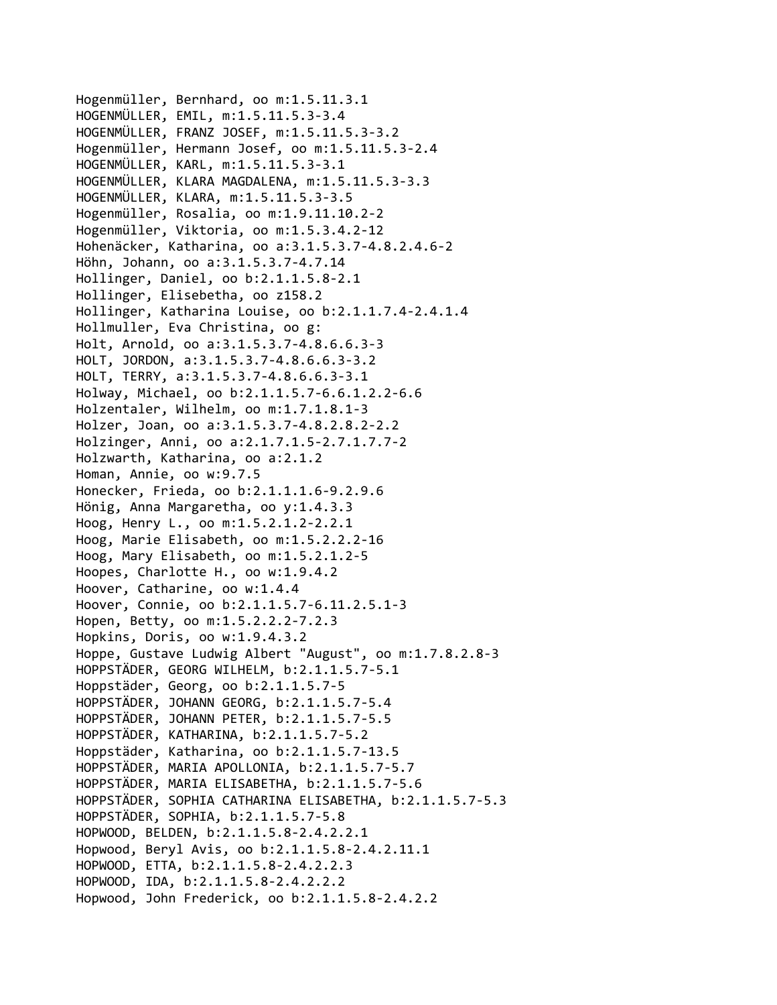Hogenmüller, Bernhard, oo m:1.5.11.3.1 HOGENMÜLLER, EMIL, m:1.5.11.5.3‐3.4 HOGENMÜLLER, FRANZ JOSEF, m:1.5.11.5.3‐3.2 Hogenmüller, Hermann Josef, oo m:1.5.11.5.3‐2.4 HOGENMÜLLER, KARL, m:1.5.11.5.3‐3.1 HOGENMÜLLER, KLARA MAGDALENA, m:1.5.11.5.3‐3.3 HOGENMÜLLER, KLARA, m:1.5.11.5.3‐3.5 Hogenmüller, Rosalia, oo m:1.9.11.10.2‐2 Hogenmüller, Viktoria, oo m:1.5.3.4.2‐12 Hohenäcker, Katharina, oo a:3.1.5.3.7‐4.8.2.4.6‐2 Höhn, Johann, oo a:3.1.5.3.7‐4.7.14 Hollinger, Daniel, oo b:2.1.1.5.8‐2.1 Hollinger, Elisebetha, oo z158.2 Hollinger, Katharina Louise, oo b:2.1.1.7.4‐2.4.1.4 Hollmuller, Eva Christina, oo g: Holt, Arnold, oo a:3.1.5.3.7‐4.8.6.6.3‐3 HOLT, JORDON, a:3.1.5.3.7‐4.8.6.6.3‐3.2 HOLT, TERRY, a:3.1.5.3.7‐4.8.6.6.3‐3.1 Holway, Michael, oo b:2.1.1.5.7‐6.6.1.2.2‐6.6 Holzentaler, Wilhelm, oo m:1.7.1.8.1‐3 Holzer, Joan, oo a:3.1.5.3.7‐4.8.2.8.2‐2.2 Holzinger, Anni, oo a:2.1.7.1.5‐2.7.1.7.7‐2 Holzwarth, Katharina, oo a:2.1.2 Homan, Annie, oo w:9.7.5 Honecker, Frieda, oo b:2.1.1.1.6‐9.2.9.6 Hönig, Anna Margaretha, oo y:1.4.3.3 Hoog, Henry L., oo m:1.5.2.1.2‐2.2.1 Hoog, Marie Elisabeth, oo m:1.5.2.2.2‐16 Hoog, Mary Elisabeth, oo m:1.5.2.1.2‐5 Hoopes, Charlotte H., oo w:1.9.4.2 Hoover, Catharine, oo w:1.4.4 Hoover, Connie, oo b:2.1.1.5.7‐6.11.2.5.1‐3 Hopen, Betty, oo m:1.5.2.2.2‐7.2.3 Hopkins, Doris, oo w:1.9.4.3.2 Hoppe, Gustave Ludwig Albert "August", oo m:1.7.8.2.8‐3 HOPPSTÄDER, GEORG WILHELM, b:2.1.1.5.7‐5.1 Hoppstäder, Georg, oo b:2.1.1.5.7‐5 HOPPSTÄDER, JOHANN GEORG, b:2.1.1.5.7‐5.4 HOPPSTÄDER, JOHANN PETER, b:2.1.1.5.7‐5.5 HOPPSTÄDER, KATHARINA, b:2.1.1.5.7‐5.2 Hoppstäder, Katharina, oo b:2.1.1.5.7‐13.5 HOPPSTÄDER, MARIA APOLLONIA, b:2.1.1.5.7‐5.7 HOPPSTÄDER, MARIA ELISABETHA, b:2.1.1.5.7‐5.6 HOPPSTÄDER, SOPHIA CATHARINA ELISABETHA, b:2.1.1.5.7‐5.3 HOPPSTÄDER, SOPHIA, b:2.1.1.5.7‐5.8 HOPWOOD, BELDEN, b:2.1.1.5.8‐2.4.2.2.1 Hopwood, Beryl Avis, oo b:2.1.1.5.8‐2.4.2.11.1 HOPWOOD, ETTA, b:2.1.1.5.8‐2.4.2.2.3 HOPWOOD, IDA, b:2.1.1.5.8‐2.4.2.2.2 Hopwood, John Frederick, oo b:2.1.1.5.8‐2.4.2.2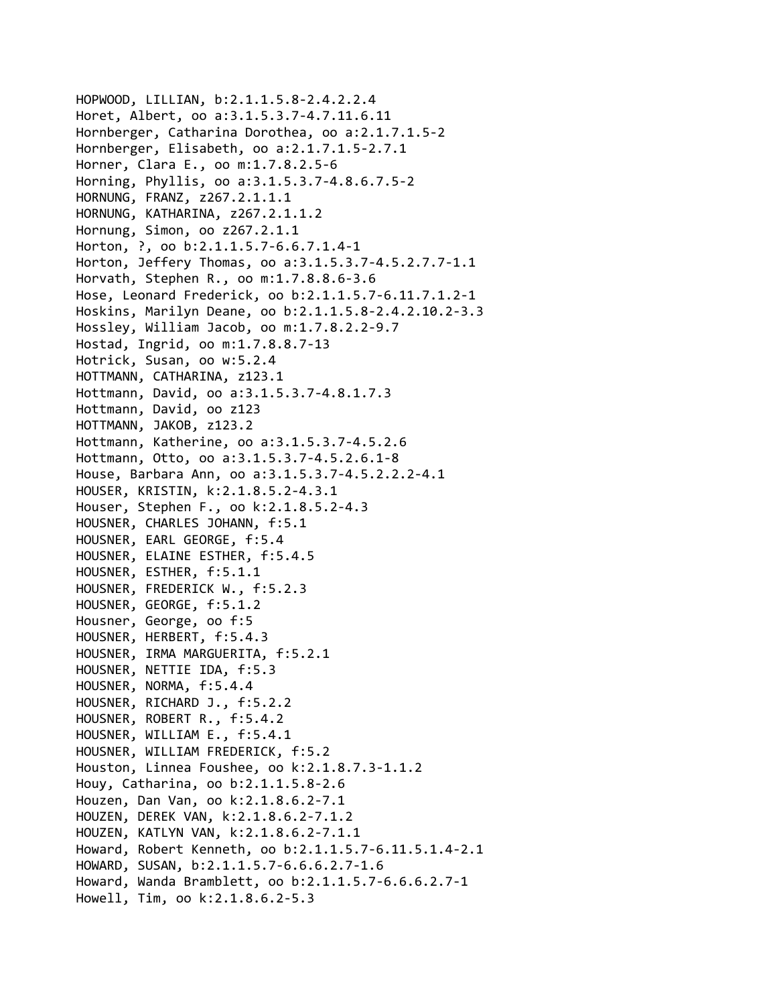```
HOPWOOD, LILLIAN, b:2.1.1.5.8‐2.4.2.2.4
Horet, Albert, oo a:3.1.5.3.7‐4.7.11.6.11
Hornberger, Catharina Dorothea, oo a:2.1.7.1.5‐2
Hornberger, Elisabeth, oo a:2.1.7.1.5‐2.7.1
Horner, Clara E., oo m:1.7.8.2.5‐6
Horning, Phyllis, oo a:3.1.5.3.7‐4.8.6.7.5‐2
HORNUNG, FRANZ, z267.2.1.1.1
HORNUNG, KATHARINA, z267.2.1.1.2
Hornung, Simon, oo z267.2.1.1
Horton, ?, oo b:2.1.1.5.7‐6.6.7.1.4‐1
Horton, Jeffery Thomas, oo a:3.1.5.3.7‐4.5.2.7.7‐1.1
Horvath, Stephen R., oo m:1.7.8.8.6‐3.6
Hose, Leonard Frederick, oo b:2.1.1.5.7‐6.11.7.1.2‐1
Hoskins, Marilyn Deane, oo b:2.1.1.5.8‐2.4.2.10.2‐3.3
Hossley, William Jacob, oo m:1.7.8.2.2‐9.7
Hostad, Ingrid, oo m:1.7.8.8.7‐13
Hotrick, Susan, oo w:5.2.4
HOTTMANN, CATHARINA, z123.1
Hottmann, David, oo a:3.1.5.3.7‐4.8.1.7.3
Hottmann, David, oo z123
HOTTMANN, JAKOB, z123.2
Hottmann, Katherine, oo a:3.1.5.3.7‐4.5.2.6
Hottmann, Otto, oo a:3.1.5.3.7‐4.5.2.6.1‐8
House, Barbara Ann, oo a:3.1.5.3.7‐4.5.2.2.2‐4.1
HOUSER, KRISTIN, k:2.1.8.5.2‐4.3.1
Houser, Stephen F., oo k:2.1.8.5.2‐4.3
HOUSNER, CHARLES JOHANN, f:5.1
HOUSNER, EARL GEORGE, f:5.4
HOUSNER, ELAINE ESTHER, f:5.4.5
HOUSNER, ESTHER, f:5.1.1
HOUSNER, FREDERICK W., f:5.2.3
HOUSNER, GEORGE, f:5.1.2
Housner, George, oo f:5
HOUSNER, HERBERT, f:5.4.3
HOUSNER, IRMA MARGUERITA, f:5.2.1
HOUSNER, NETTIE IDA, f:5.3
HOUSNER, NORMA, f:5.4.4
HOUSNER, RICHARD J., f:5.2.2
HOUSNER, ROBERT R., f:5.4.2
HOUSNER, WILLIAM E., f:5.4.1
HOUSNER, WILLIAM FREDERICK, f:5.2
Houston, Linnea Foushee, oo k:2.1.8.7.3‐1.1.2
Houy, Catharina, oo b:2.1.1.5.8‐2.6
Houzen, Dan Van, oo k:2.1.8.6.2‐7.1
HOUZEN, DEREK VAN, k:2.1.8.6.2‐7.1.2
HOUZEN, KATLYN VAN, k:2.1.8.6.2‐7.1.1
Howard, Robert Kenneth, oo b:2.1.1.5.7‐6.11.5.1.4‐2.1
HOWARD, SUSAN, b:2.1.1.5.7‐6.6.6.2.7‐1.6
Howard, Wanda Bramblett, oo b:2.1.1.5.7‐6.6.6.2.7‐1
Howell, Tim, oo k:2.1.8.6.2‐5.3
```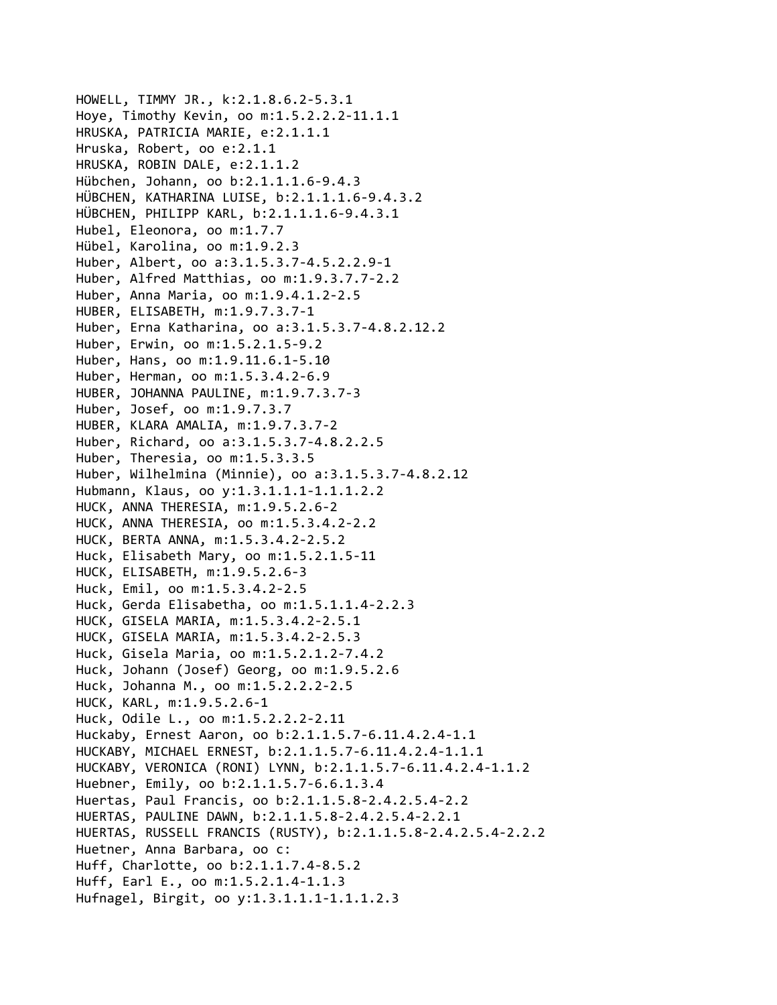HOWELL, TIMMY JR., k:2.1.8.6.2‐5.3.1 Hoye, Timothy Kevin, oo m:1.5.2.2.2‐11.1.1 HRUSKA, PATRICIA MARIE, e:2.1.1.1 Hruska, Robert, oo e:2.1.1 HRUSKA, ROBIN DALE, e:2.1.1.2 Hübchen, Johann, oo b:2.1.1.1.6‐9.4.3 HÜBCHEN, KATHARINA LUISE, b:2.1.1.1.6‐9.4.3.2 HÜBCHEN, PHILIPP KARL, b:2.1.1.1.6‐9.4.3.1 Hubel, Eleonora, oo m:1.7.7 Hübel, Karolina, oo m:1.9.2.3 Huber, Albert, oo a:3.1.5.3.7‐4.5.2.2.9‐1 Huber, Alfred Matthias, oo m:1.9.3.7.7‐2.2 Huber, Anna Maria, oo m:1.9.4.1.2‐2.5 HUBER, ELISABETH, m:1.9.7.3.7‐1 Huber, Erna Katharina, oo a:3.1.5.3.7‐4.8.2.12.2 Huber, Erwin, oo m:1.5.2.1.5‐9.2 Huber, Hans, oo m:1.9.11.6.1‐5.10 Huber, Herman, oo m:1.5.3.4.2‐6.9 HUBER, JOHANNA PAULINE, m:1.9.7.3.7‐3 Huber, Josef, oo m:1.9.7.3.7 HUBER, KLARA AMALIA, m:1.9.7.3.7‐2 Huber, Richard, oo a:3.1.5.3.7‐4.8.2.2.5 Huber, Theresia, oo m:1.5.3.3.5 Huber, Wilhelmina (Minnie), oo a:3.1.5.3.7‐4.8.2.12 Hubmann, Klaus, oo y:1.3.1.1.1‐1.1.1.2.2 HUCK, ANNA THERESIA, m:1.9.5.2.6‐2 HUCK, ANNA THERESIA, oo m:1.5.3.4.2‐2.2 HUCK, BERTA ANNA, m:1.5.3.4.2‐2.5.2 Huck, Elisabeth Mary, oo m:1.5.2.1.5‐11 HUCK, ELISABETH, m:1.9.5.2.6‐3 Huck, Emil, oo m:1.5.3.4.2‐2.5 Huck, Gerda Elisabetha, oo m:1.5.1.1.4‐2.2.3 HUCK, GISELA MARIA, m:1.5.3.4.2‐2.5.1 HUCK, GISELA MARIA, m:1.5.3.4.2‐2.5.3 Huck, Gisela Maria, oo m:1.5.2.1.2‐7.4.2 Huck, Johann (Josef) Georg, oo m:1.9.5.2.6 Huck, Johanna M., oo m:1.5.2.2.2‐2.5 HUCK, KARL, m:1.9.5.2.6‐1 Huck, Odile L., oo m:1.5.2.2.2‐2.11 Huckaby, Ernest Aaron, oo b:2.1.1.5.7‐6.11.4.2.4‐1.1 HUCKABY, MICHAEL ERNEST, b:2.1.1.5.7‐6.11.4.2.4‐1.1.1 HUCKABY, VERONICA (RONI) LYNN, b:2.1.1.5.7‐6.11.4.2.4‐1.1.2 Huebner, Emily, oo b:2.1.1.5.7‐6.6.1.3.4 Huertas, Paul Francis, oo b:2.1.1.5.8‐2.4.2.5.4‐2.2 HUERTAS, PAULINE DAWN, b:2.1.1.5.8‐2.4.2.5.4‐2.2.1 HUERTAS, RUSSELL FRANCIS (RUSTY), b:2.1.1.5.8‐2.4.2.5.4‐2.2.2 Huetner, Anna Barbara, oo c: Huff, Charlotte, oo b:2.1.1.7.4‐8.5.2 Huff, Earl E., oo m:1.5.2.1.4‐1.1.3 Hufnagel, Birgit, oo y:1.3.1.1.1‐1.1.1.2.3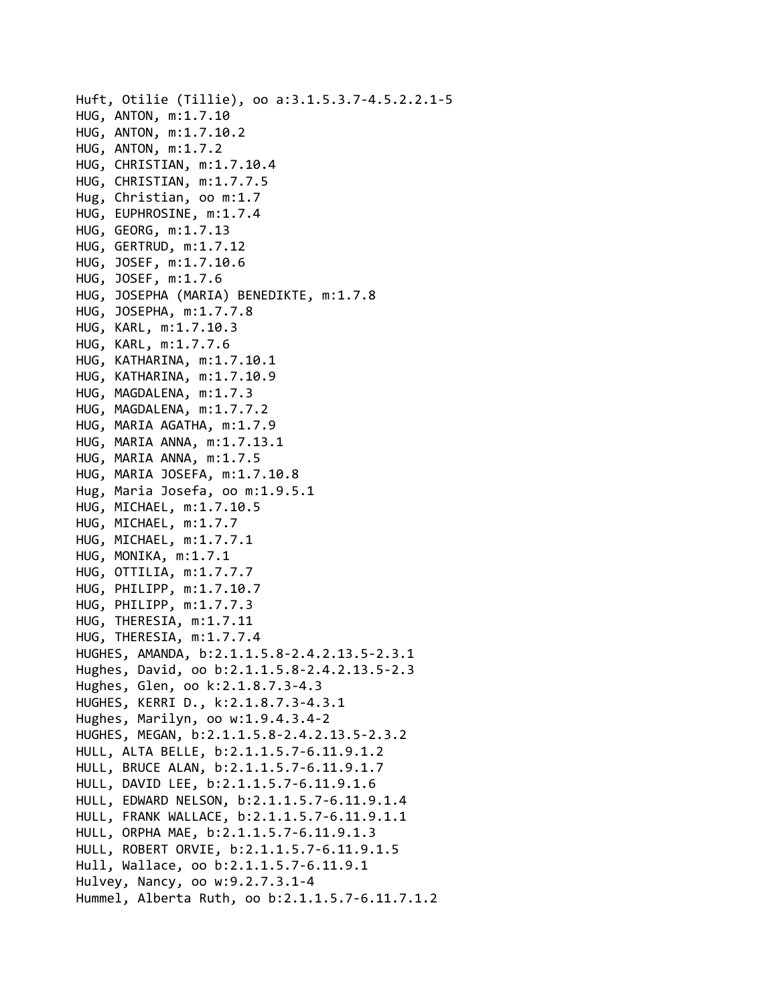```
Huft, Otilie (Tillie), oo a:3.1.5.3.7‐4.5.2.2.1‐5
HUG, ANTON, m:1.7.10
HUG, ANTON, m:1.7.10.2
HUG, ANTON, m:1.7.2
HUG, CHRISTIAN, m:1.7.10.4
HUG, CHRISTIAN, m:1.7.7.5
Hug, Christian, oo m:1.7
HUG, EUPHROSINE, m:1.7.4
HUG, GEORG, m:1.7.13
HUG, GERTRUD, m:1.7.12
HUG, JOSEF, m:1.7.10.6
HUG, JOSEF, m:1.7.6
HUG, JOSEPHA (MARIA) BENEDIKTE, m:1.7.8
HUG, JOSEPHA, m:1.7.7.8
HUG, KARL, m:1.7.10.3
HUG, KARL, m:1.7.7.6
HUG, KATHARINA, m:1.7.10.1
HUG, KATHARINA, m:1.7.10.9
HUG, MAGDALENA, m:1.7.3
HUG, MAGDALENA, m:1.7.7.2
HUG, MARIA AGATHA, m:1.7.9
HUG, MARIA ANNA, m:1.7.13.1
HUG, MARIA ANNA, m:1.7.5
HUG, MARIA JOSEFA, m:1.7.10.8
Hug, Maria Josefa, oo m:1.9.5.1
HUG, MICHAEL, m:1.7.10.5
HUG, MICHAEL, m:1.7.7
HUG, MICHAEL, m:1.7.7.1
HUG, MONIKA, m:1.7.1
HUG, OTTILIA, m:1.7.7.7
HUG, PHILIPP, m:1.7.10.7
HUG, PHILIPP, m:1.7.7.3
HUG, THERESIA, m:1.7.11
HUG, THERESIA, m:1.7.7.4
HUGHES, AMANDA, b:2.1.1.5.8‐2.4.2.13.5‐2.3.1
Hughes, David, oo b:2.1.1.5.8‐2.4.2.13.5‐2.3
Hughes, Glen, oo k:2.1.8.7.3‐4.3
HUGHES, KERRI D., k:2.1.8.7.3‐4.3.1
Hughes, Marilyn, oo w:1.9.4.3.4‐2
HUGHES, MEGAN, b:2.1.1.5.8‐2.4.2.13.5‐2.3.2
HULL, ALTA BELLE, b:2.1.1.5.7‐6.11.9.1.2
HULL, BRUCE ALAN, b:2.1.1.5.7‐6.11.9.1.7
HULL, DAVID LEE, b:2.1.1.5.7‐6.11.9.1.6
HULL, EDWARD NELSON, b:2.1.1.5.7‐6.11.9.1.4
HULL, FRANK WALLACE, b:2.1.1.5.7‐6.11.9.1.1
HULL, ORPHA MAE, b:2.1.1.5.7‐6.11.9.1.3
HULL, ROBERT ORVIE, b:2.1.1.5.7‐6.11.9.1.5
Hull, Wallace, oo b:2.1.1.5.7‐6.11.9.1
Hulvey, Nancy, oo w:9.2.7.3.1‐4
Hummel, Alberta Ruth, oo b:2.1.1.5.7‐6.11.7.1.2
```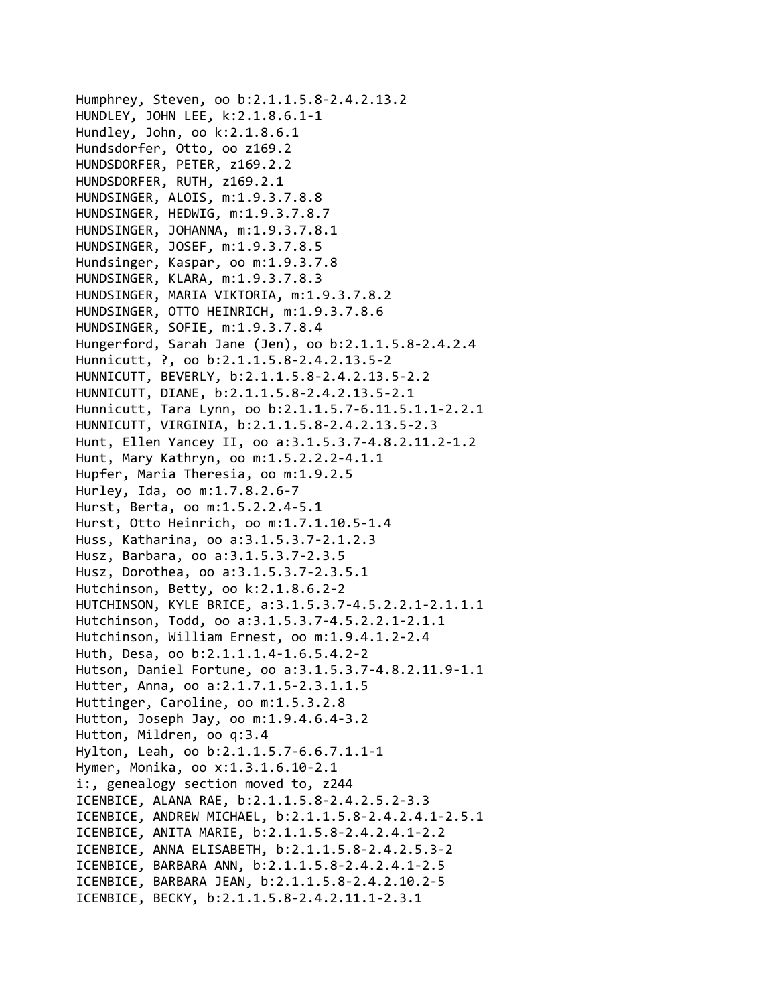Humphrey, Steven, oo b:2.1.1.5.8‐2.4.2.13.2 HUNDLEY, JOHN LEE, k:2.1.8.6.1‐1 Hundley, John, oo k:2.1.8.6.1 Hundsdorfer, Otto, oo z169.2 HUNDSDORFER, PETER, z169.2.2 HUNDSDORFER, RUTH, z169.2.1 HUNDSINGER, ALOIS, m:1.9.3.7.8.8 HUNDSINGER, HEDWIG, m:1.9.3.7.8.7 HUNDSINGER, JOHANNA, m:1.9.3.7.8.1 HUNDSINGER, JOSEF, m:1.9.3.7.8.5 Hundsinger, Kaspar, oo m:1.9.3.7.8 HUNDSINGER, KLARA, m:1.9.3.7.8.3 HUNDSINGER, MARIA VIKTORIA, m:1.9.3.7.8.2 HUNDSINGER, OTTO HEINRICH, m:1.9.3.7.8.6 HUNDSINGER, SOFIE, m:1.9.3.7.8.4 Hungerford, Sarah Jane (Jen), oo b:2.1.1.5.8‐2.4.2.4 Hunnicutt, ?, oo b:2.1.1.5.8‐2.4.2.13.5‐2 HUNNICUTT, BEVERLY, b:2.1.1.5.8‐2.4.2.13.5‐2.2 HUNNICUTT, DIANE, b:2.1.1.5.8‐2.4.2.13.5‐2.1 Hunnicutt, Tara Lynn, oo b:2.1.1.5.7‐6.11.5.1.1‐2.2.1 HUNNICUTT, VIRGINIA, b:2.1.1.5.8‐2.4.2.13.5‐2.3 Hunt, Ellen Yancey II, oo a:3.1.5.3.7‐4.8.2.11.2‐1.2 Hunt, Mary Kathryn, oo m:1.5.2.2.2‐4.1.1 Hupfer, Maria Theresia, oo m:1.9.2.5 Hurley, Ida, oo m:1.7.8.2.6‐7 Hurst, Berta, oo m:1.5.2.2.4‐5.1 Hurst, Otto Heinrich, oo m:1.7.1.10.5‐1.4 Huss, Katharina, oo a:3.1.5.3.7‐2.1.2.3 Husz, Barbara, oo a:3.1.5.3.7‐2.3.5 Husz, Dorothea, oo a:3.1.5.3.7‐2.3.5.1 Hutchinson, Betty, oo k:2.1.8.6.2‐2 HUTCHINSON, KYLE BRICE, a:3.1.5.3.7‐4.5.2.2.1‐2.1.1.1 Hutchinson, Todd, oo a:3.1.5.3.7‐4.5.2.2.1‐2.1.1 Hutchinson, William Ernest, oo m:1.9.4.1.2‐2.4 Huth, Desa, oo b:2.1.1.1.4‐1.6.5.4.2‐2 Hutson, Daniel Fortune, oo a:3.1.5.3.7‐4.8.2.11.9‐1.1 Hutter, Anna, oo a:2.1.7.1.5‐2.3.1.1.5 Huttinger, Caroline, oo m:1.5.3.2.8 Hutton, Joseph Jay, oo m:1.9.4.6.4‐3.2 Hutton, Mildren, oo q:3.4 Hylton, Leah, oo b:2.1.1.5.7‐6.6.7.1.1‐1 Hymer, Monika, oo x:1.3.1.6.10‐2.1 i:, genealogy section moved to, z244 ICENBICE, ALANA RAE, b:2.1.1.5.8‐2.4.2.5.2‐3.3 ICENBICE, ANDREW MICHAEL, b:2.1.1.5.8‐2.4.2.4.1‐2.5.1 ICENBICE, ANITA MARIE, b:2.1.1.5.8‐2.4.2.4.1‐2.2 ICENBICE, ANNA ELISABETH, b:2.1.1.5.8‐2.4.2.5.3‐2 ICENBICE, BARBARA ANN, b:2.1.1.5.8‐2.4.2.4.1‐2.5 ICENBICE, BARBARA JEAN, b:2.1.1.5.8‐2.4.2.10.2‐5 ICENBICE, BECKY, b:2.1.1.5.8‐2.4.2.11.1‐2.3.1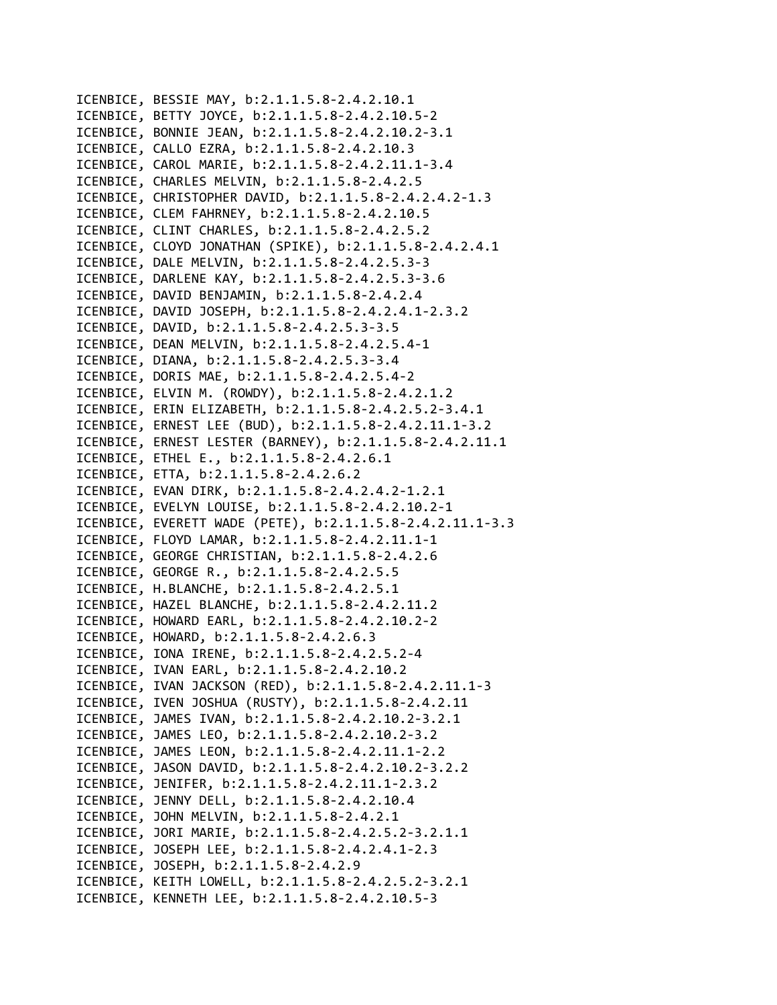ICENBICE, BESSIE MAY, b:2.1.1.5.8‐2.4.2.10.1 ICENBICE, BETTY JOYCE, b:2.1.1.5.8‐2.4.2.10.5‐2 ICENBICE, BONNIE JEAN, b:2.1.1.5.8‐2.4.2.10.2‐3.1 ICENBICE, CALLO EZRA, b:2.1.1.5.8‐2.4.2.10.3 ICENBICE, CAROL MARIE, b:2.1.1.5.8‐2.4.2.11.1‐3.4 ICENBICE, CHARLES MELVIN, b:2.1.1.5.8‐2.4.2.5 ICENBICE, CHRISTOPHER DAVID, b:2.1.1.5.8‐2.4.2.4.2‐1.3 ICENBICE, CLEM FAHRNEY, b:2.1.1.5.8‐2.4.2.10.5 ICENBICE, CLINT CHARLES, b:2.1.1.5.8‐2.4.2.5.2 ICENBICE, CLOYD JONATHAN (SPIKE), b:2.1.1.5.8‐2.4.2.4.1 ICENBICE, DALE MELVIN, b:2.1.1.5.8‐2.4.2.5.3‐3 ICENBICE, DARLENE KAY, b:2.1.1.5.8‐2.4.2.5.3‐3.6 ICENBICE, DAVID BENJAMIN, b:2.1.1.5.8‐2.4.2.4 ICENBICE, DAVID JOSEPH, b:2.1.1.5.8‐2.4.2.4.1‐2.3.2 ICENBICE, DAVID, b:2.1.1.5.8‐2.4.2.5.3‐3.5 ICENBICE, DEAN MELVIN, b:2.1.1.5.8‐2.4.2.5.4‐1 ICENBICE, DIANA, b:2.1.1.5.8‐2.4.2.5.3‐3.4 ICENBICE, DORIS MAE, b:2.1.1.5.8‐2.4.2.5.4‐2 ICENBICE, ELVIN M. (ROWDY), b:2.1.1.5.8‐2.4.2.1.2 ICENBICE, ERIN ELIZABETH, b:2.1.1.5.8‐2.4.2.5.2‐3.4.1 ICENBICE, ERNEST LEE (BUD), b:2.1.1.5.8‐2.4.2.11.1‐3.2 ICENBICE, ERNEST LESTER (BARNEY), b:2.1.1.5.8‐2.4.2.11.1 ICENBICE, ETHEL E., b:2.1.1.5.8‐2.4.2.6.1 ICENBICE, ETTA, b:2.1.1.5.8‐2.4.2.6.2 ICENBICE, EVAN DIRK, b:2.1.1.5.8‐2.4.2.4.2‐1.2.1 ICENBICE, EVELYN LOUISE, b:2.1.1.5.8‐2.4.2.10.2‐1 ICENBICE, EVERETT WADE (PETE), b:2.1.1.5.8‐2.4.2.11.1‐3.3 ICENBICE, FLOYD LAMAR, b:2.1.1.5.8‐2.4.2.11.1‐1 ICENBICE, GEORGE CHRISTIAN, b:2.1.1.5.8‐2.4.2.6 ICENBICE, GEORGE R., b:2.1.1.5.8‐2.4.2.5.5 ICENBICE, H.BLANCHE, b:2.1.1.5.8‐2.4.2.5.1 ICENBICE, HAZEL BLANCHE, b:2.1.1.5.8‐2.4.2.11.2 ICENBICE, HOWARD EARL, b:2.1.1.5.8‐2.4.2.10.2‐2 ICENBICE, HOWARD, b:2.1.1.5.8‐2.4.2.6.3 ICENBICE, IONA IRENE, b:2.1.1.5.8‐2.4.2.5.2‐4 ICENBICE, IVAN EARL, b:2.1.1.5.8‐2.4.2.10.2 ICENBICE, IVAN JACKSON (RED), b:2.1.1.5.8‐2.4.2.11.1‐3 ICENBICE, IVEN JOSHUA (RUSTY), b:2.1.1.5.8‐2.4.2.11 ICENBICE, JAMES IVAN, b:2.1.1.5.8‐2.4.2.10.2‐3.2.1 ICENBICE, JAMES LEO, b:2.1.1.5.8‐2.4.2.10.2‐3.2 ICENBICE, JAMES LEON, b:2.1.1.5.8‐2.4.2.11.1‐2.2 ICENBICE, JASON DAVID, b:2.1.1.5.8‐2.4.2.10.2‐3.2.2 ICENBICE, JENIFER, b:2.1.1.5.8‐2.4.2.11.1‐2.3.2 ICENBICE, JENNY DELL, b:2.1.1.5.8‐2.4.2.10.4 ICENBICE, JOHN MELVIN, b:2.1.1.5.8‐2.4.2.1 ICENBICE, JORI MARIE, b:2.1.1.5.8‐2.4.2.5.2‐3.2.1.1 ICENBICE, JOSEPH LEE, b:2.1.1.5.8‐2.4.2.4.1‐2.3 ICENBICE, JOSEPH, b:2.1.1.5.8‐2.4.2.9 ICENBICE, KEITH LOWELL, b:2.1.1.5.8‐2.4.2.5.2‐3.2.1 ICENBICE, KENNETH LEE, b:2.1.1.5.8‐2.4.2.10.5‐3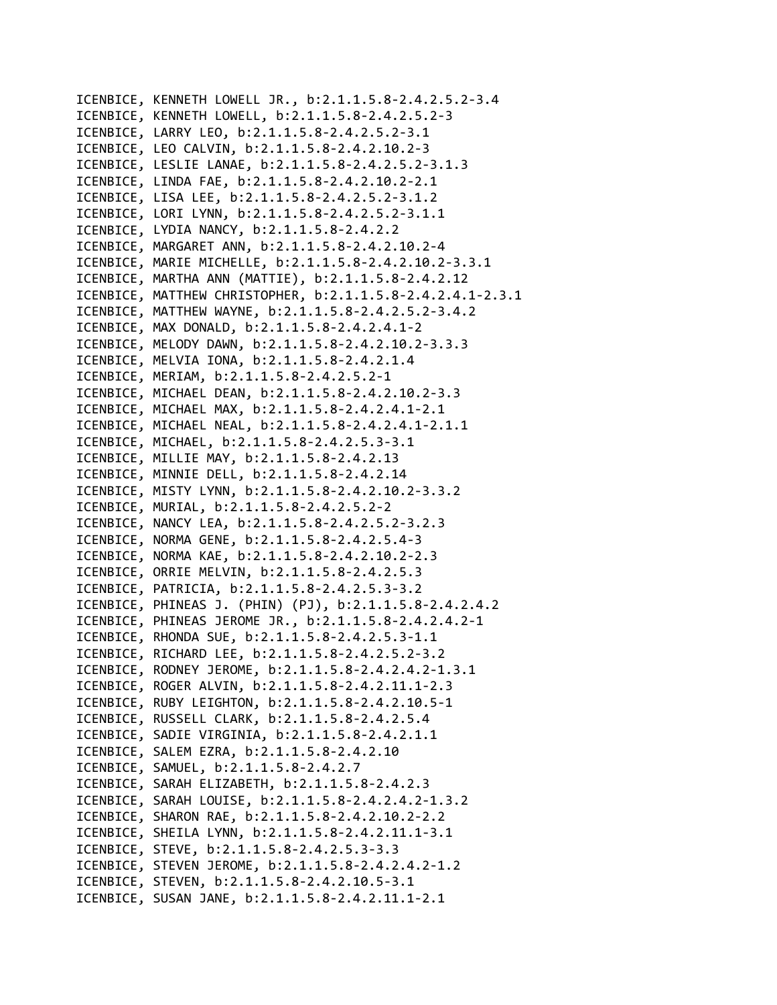ICENBICE, KENNETH LOWELL JR., b:2.1.1.5.8‐2.4.2.5.2‐3.4 ICENBICE, KENNETH LOWELL, b:2.1.1.5.8‐2.4.2.5.2‐3 ICENBICE, LARRY LEO, b:2.1.1.5.8‐2.4.2.5.2‐3.1 ICENBICE, LEO CALVIN, b:2.1.1.5.8‐2.4.2.10.2‐3 ICENBICE, LESLIE LANAE, b:2.1.1.5.8‐2.4.2.5.2‐3.1.3 ICENBICE, LINDA FAE, b:2.1.1.5.8‐2.4.2.10.2‐2.1 ICENBICE, LISA LEE, b:2.1.1.5.8‐2.4.2.5.2‐3.1.2 ICENBICE, LORI LYNN, b:2.1.1.5.8‐2.4.2.5.2‐3.1.1 ICENBICE, LYDIA NANCY, b:2.1.1.5.8‐2.4.2.2 ICENBICE, MARGARET ANN, b:2.1.1.5.8‐2.4.2.10.2‐4 ICENBICE, MARIE MICHELLE, b:2.1.1.5.8‐2.4.2.10.2‐3.3.1 ICENBICE, MARTHA ANN (MATTIE), b:2.1.1.5.8‐2.4.2.12 ICENBICE, MATTHEW CHRISTOPHER, b:2.1.1.5.8‐2.4.2.4.1‐2.3.1 ICENBICE, MATTHEW WAYNE, b:2.1.1.5.8‐2.4.2.5.2‐3.4.2 ICENBICE, MAX DONALD, b:2.1.1.5.8‐2.4.2.4.1‐2 ICENBICE, MELODY DAWN, b:2.1.1.5.8‐2.4.2.10.2‐3.3.3 ICENBICE, MELVIA IONA, b:2.1.1.5.8‐2.4.2.1.4 ICENBICE, MERIAM, b:2.1.1.5.8‐2.4.2.5.2‐1 ICENBICE, MICHAEL DEAN, b:2.1.1.5.8‐2.4.2.10.2‐3.3 ICENBICE, MICHAEL MAX, b:2.1.1.5.8‐2.4.2.4.1‐2.1 ICENBICE, MICHAEL NEAL, b:2.1.1.5.8‐2.4.2.4.1‐2.1.1 ICENBICE, MICHAEL, b:2.1.1.5.8‐2.4.2.5.3‐3.1 ICENBICE, MILLIE MAY, b:2.1.1.5.8‐2.4.2.13 ICENBICE, MINNIE DELL, b:2.1.1.5.8‐2.4.2.14 ICENBICE, MISTY LYNN, b:2.1.1.5.8‐2.4.2.10.2‐3.3.2 ICENBICE, MURIAL, b:2.1.1.5.8‐2.4.2.5.2‐2 ICENBICE, NANCY LEA, b:2.1.1.5.8‐2.4.2.5.2‐3.2.3 ICENBICE, NORMA GENE, b:2.1.1.5.8‐2.4.2.5.4‐3 ICENBICE, NORMA KAE, b:2.1.1.5.8‐2.4.2.10.2‐2.3 ICENBICE, ORRIE MELVIN, b:2.1.1.5.8‐2.4.2.5.3 ICENBICE, PATRICIA, b:2.1.1.5.8‐2.4.2.5.3‐3.2 ICENBICE, PHINEAS J. (PHIN) (PJ), b:2.1.1.5.8‐2.4.2.4.2 ICENBICE, PHINEAS JEROME JR., b:2.1.1.5.8‐2.4.2.4.2‐1 ICENBICE, RHONDA SUE, b:2.1.1.5.8‐2.4.2.5.3‐1.1 ICENBICE, RICHARD LEE, b:2.1.1.5.8‐2.4.2.5.2‐3.2 ICENBICE, RODNEY JEROME, b:2.1.1.5.8‐2.4.2.4.2‐1.3.1 ICENBICE, ROGER ALVIN, b:2.1.1.5.8‐2.4.2.11.1‐2.3 ICENBICE, RUBY LEIGHTON, b:2.1.1.5.8‐2.4.2.10.5‐1 ICENBICE, RUSSELL CLARK, b:2.1.1.5.8‐2.4.2.5.4 ICENBICE, SADIE VIRGINIA, b:2.1.1.5.8‐2.4.2.1.1 ICENBICE, SALEM EZRA, b:2.1.1.5.8‐2.4.2.10 ICENBICE, SAMUEL, b:2.1.1.5.8‐2.4.2.7 ICENBICE, SARAH ELIZABETH, b:2.1.1.5.8‐2.4.2.3 ICENBICE, SARAH LOUISE, b:2.1.1.5.8‐2.4.2.4.2‐1.3.2 ICENBICE, SHARON RAE, b:2.1.1.5.8‐2.4.2.10.2‐2.2 ICENBICE, SHEILA LYNN, b:2.1.1.5.8‐2.4.2.11.1‐3.1 ICENBICE, STEVE, b:2.1.1.5.8‐2.4.2.5.3‐3.3 ICENBICE, STEVEN JEROME, b:2.1.1.5.8‐2.4.2.4.2‐1.2 ICENBICE, STEVEN, b:2.1.1.5.8‐2.4.2.10.5‐3.1 ICENBICE, SUSAN JANE, b:2.1.1.5.8‐2.4.2.11.1‐2.1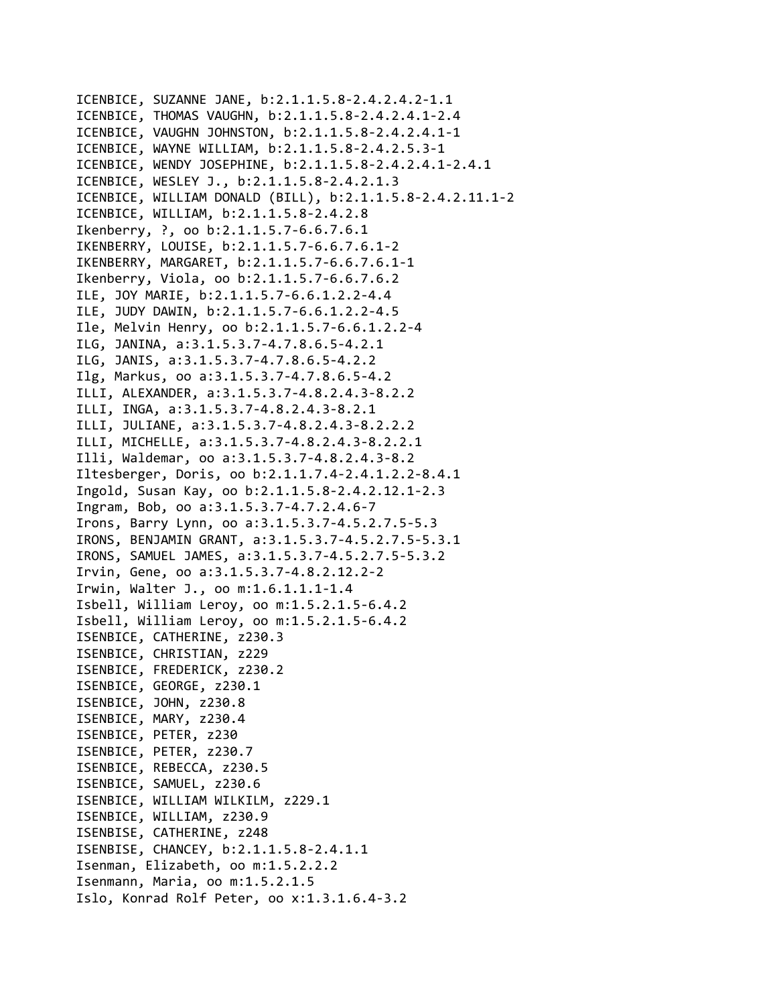ICENBICE, SUZANNE JANE, b:2.1.1.5.8‐2.4.2.4.2‐1.1 ICENBICE, THOMAS VAUGHN, b:2.1.1.5.8‐2.4.2.4.1‐2.4 ICENBICE, VAUGHN JOHNSTON, b:2.1.1.5.8‐2.4.2.4.1‐1 ICENBICE, WAYNE WILLIAM, b:2.1.1.5.8‐2.4.2.5.3‐1 ICENBICE, WENDY JOSEPHINE, b:2.1.1.5.8‐2.4.2.4.1‐2.4.1 ICENBICE, WESLEY J., b:2.1.1.5.8‐2.4.2.1.3 ICENBICE, WILLIAM DONALD (BILL), b:2.1.1.5.8‐2.4.2.11.1‐2 ICENBICE, WILLIAM, b:2.1.1.5.8‐2.4.2.8 Ikenberry, ?, oo b:2.1.1.5.7‐6.6.7.6.1 IKENBERRY, LOUISE, b:2.1.1.5.7‐6.6.7.6.1‐2 IKENBERRY, MARGARET, b:2.1.1.5.7‐6.6.7.6.1‐1 Ikenberry, Viola, oo b:2.1.1.5.7‐6.6.7.6.2 ILE, JOY MARIE, b:2.1.1.5.7‐6.6.1.2.2‐4.4 ILE, JUDY DAWIN, b:2.1.1.5.7‐6.6.1.2.2‐4.5 Ile, Melvin Henry, oo b:2.1.1.5.7‐6.6.1.2.2‐4 ILG, JANINA, a:3.1.5.3.7‐4.7.8.6.5‐4.2.1 ILG, JANIS, a:3.1.5.3.7‐4.7.8.6.5‐4.2.2 Ilg, Markus, oo a:3.1.5.3.7‐4.7.8.6.5‐4.2 ILLI, ALEXANDER, a:3.1.5.3.7‐4.8.2.4.3‐8.2.2 ILLI, INGA, a:3.1.5.3.7‐4.8.2.4.3‐8.2.1 ILLI, JULIANE, a:3.1.5.3.7‐4.8.2.4.3‐8.2.2.2 ILLI, MICHELLE, a:3.1.5.3.7‐4.8.2.4.3‐8.2.2.1 Illi, Waldemar, oo a:3.1.5.3.7‐4.8.2.4.3‐8.2 Iltesberger, Doris, oo b:2.1.1.7.4‐2.4.1.2.2‐8.4.1 Ingold, Susan Kay, oo b:2.1.1.5.8‐2.4.2.12.1‐2.3 Ingram, Bob, oo a:3.1.5.3.7‐4.7.2.4.6‐7 Irons, Barry Lynn, oo a:3.1.5.3.7‐4.5.2.7.5‐5.3 IRONS, BENJAMIN GRANT, a:3.1.5.3.7‐4.5.2.7.5‐5.3.1 IRONS, SAMUEL JAMES, a:3.1.5.3.7‐4.5.2.7.5‐5.3.2 Irvin, Gene, oo a:3.1.5.3.7‐4.8.2.12.2‐2 Irwin, Walter J., oo m:1.6.1.1.1‐1.4 Isbell, William Leroy, oo m:1.5.2.1.5‐6.4.2 Isbell, William Leroy, oo m:1.5.2.1.5‐6.4.2 ISENBICE, CATHERINE, z230.3 ISENBICE, CHRISTIAN, z229 ISENBICE, FREDERICK, z230.2 ISENBICE, GEORGE, z230.1 ISENBICE, JOHN, z230.8 ISENBICE, MARY, z230.4 ISENBICE, PETER, z230 ISENBICE, PETER, z230.7 ISENBICE, REBECCA, z230.5 ISENBICE, SAMUEL, z230.6 ISENBICE, WILLIAM WILKILM, z229.1 ISENBICE, WILLIAM, z230.9 ISENBISE, CATHERINE, z248 ISENBISE, CHANCEY, b:2.1.1.5.8‐2.4.1.1 Isenman, Elizabeth, oo m:1.5.2.2.2 Isenmann, Maria, oo m:1.5.2.1.5 Islo, Konrad Rolf Peter, oo x:1.3.1.6.4‐3.2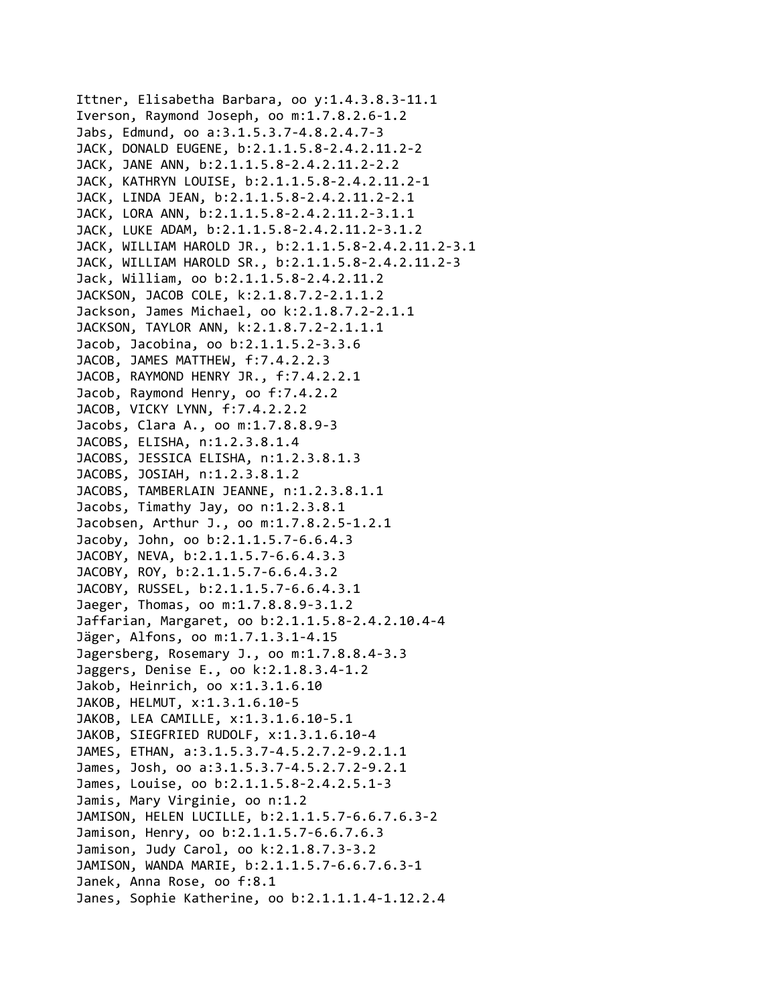Ittner, Elisabetha Barbara, oo y:1.4.3.8.3‐11.1 Iverson, Raymond Joseph, oo m:1.7.8.2.6‐1.2 Jabs, Edmund, oo a:3.1.5.3.7‐4.8.2.4.7‐3 JACK, DONALD EUGENE, b:2.1.1.5.8‐2.4.2.11.2‐2 JACK, JANE ANN, b:2.1.1.5.8‐2.4.2.11.2‐2.2 JACK, KATHRYN LOUISE, b:2.1.1.5.8‐2.4.2.11.2‐1 JACK, LINDA JEAN, b:2.1.1.5.8‐2.4.2.11.2‐2.1 JACK, LORA ANN, b:2.1.1.5.8‐2.4.2.11.2‐3.1.1 JACK, LUKE ADAM, b:2.1.1.5.8‐2.4.2.11.2‐3.1.2 JACK, WILLIAM HAROLD JR., b:2.1.1.5.8‐2.4.2.11.2‐3.1 JACK, WILLIAM HAROLD SR., b:2.1.1.5.8‐2.4.2.11.2‐3 Jack, William, oo b:2.1.1.5.8‐2.4.2.11.2 JACKSON, JACOB COLE, k:2.1.8.7.2‐2.1.1.2 Jackson, James Michael, oo k:2.1.8.7.2‐2.1.1 JACKSON, TAYLOR ANN, k:2.1.8.7.2‐2.1.1.1 Jacob, Jacobina, oo b:2.1.1.5.2‐3.3.6 JACOB, JAMES MATTHEW, f:7.4.2.2.3 JACOB, RAYMOND HENRY JR., f:7.4.2.2.1 Jacob, Raymond Henry, oo f:7.4.2.2 JACOB, VICKY LYNN, f:7.4.2.2.2 Jacobs, Clara A., oo m:1.7.8.8.9‐3 JACOBS, ELISHA, n:1.2.3.8.1.4 JACOBS, JESSICA ELISHA, n:1.2.3.8.1.3 JACOBS, JOSIAH, n:1.2.3.8.1.2 JACOBS, TAMBERLAIN JEANNE, n:1.2.3.8.1.1 Jacobs, Timathy Jay, oo n:1.2.3.8.1 Jacobsen, Arthur J., oo m:1.7.8.2.5‐1.2.1 Jacoby, John, oo b:2.1.1.5.7‐6.6.4.3 JACOBY, NEVA, b:2.1.1.5.7‐6.6.4.3.3 JACOBY, ROY, b:2.1.1.5.7‐6.6.4.3.2 JACOBY, RUSSEL, b:2.1.1.5.7‐6.6.4.3.1 Jaeger, Thomas, oo m:1.7.8.8.9‐3.1.2 Jaffarian, Margaret, oo b:2.1.1.5.8‐2.4.2.10.4‐4 Jäger, Alfons, oo m:1.7.1.3.1‐4.15 Jagersberg, Rosemary J., oo m:1.7.8.8.4‐3.3 Jaggers, Denise E., oo k:2.1.8.3.4‐1.2 Jakob, Heinrich, oo x:1.3.1.6.10 JAKOB, HELMUT, x:1.3.1.6.10‐5 JAKOB, LEA CAMILLE, x:1.3.1.6.10‐5.1 JAKOB, SIEGFRIED RUDOLF, x:1.3.1.6.10‐4 JAMES, ETHAN, a:3.1.5.3.7‐4.5.2.7.2‐9.2.1.1 James, Josh, oo a:3.1.5.3.7‐4.5.2.7.2‐9.2.1 James, Louise, oo b:2.1.1.5.8‐2.4.2.5.1‐3 Jamis, Mary Virginie, oo n:1.2 JAMISON, HELEN LUCILLE, b:2.1.1.5.7‐6.6.7.6.3‐2 Jamison, Henry, oo b:2.1.1.5.7‐6.6.7.6.3 Jamison, Judy Carol, oo k:2.1.8.7.3‐3.2 JAMISON, WANDA MARIE, b:2.1.1.5.7‐6.6.7.6.3‐1 Janek, Anna Rose, oo f:8.1 Janes, Sophie Katherine, oo b:2.1.1.1.4‐1.12.2.4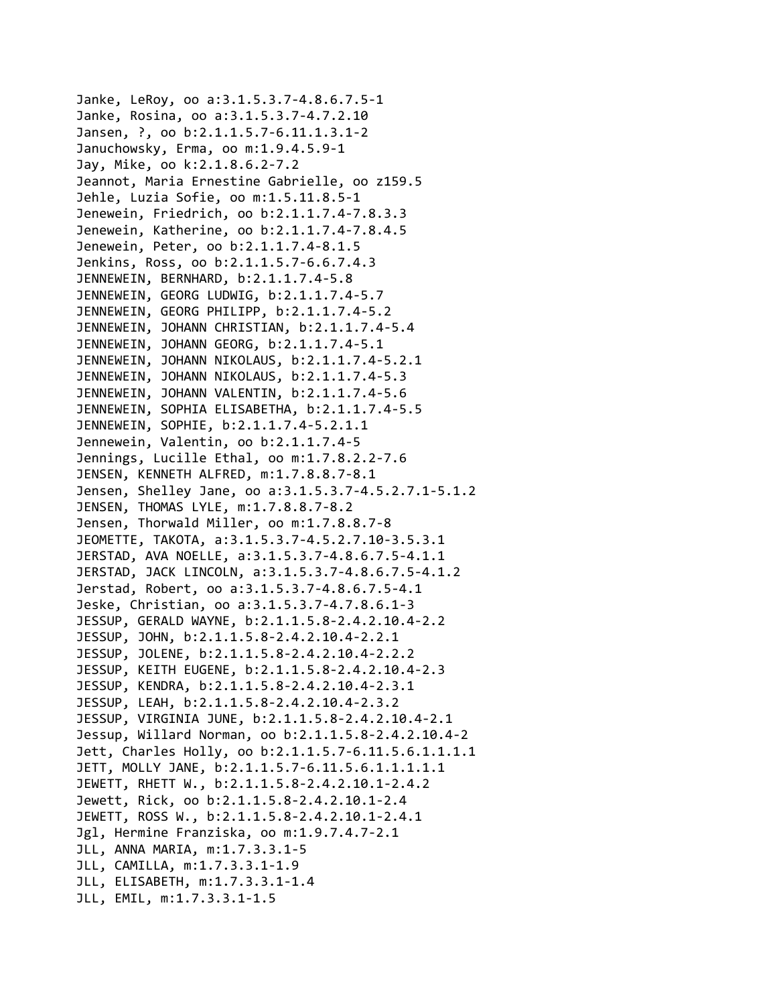Janke, LeRoy, oo a:3.1.5.3.7‐4.8.6.7.5‐1 Janke, Rosina, oo a:3.1.5.3.7‐4.7.2.10 Jansen, ?, oo b:2.1.1.5.7‐6.11.1.3.1‐2 Januchowsky, Erma, oo m:1.9.4.5.9‐1 Jay, Mike, oo k:2.1.8.6.2‐7.2 Jeannot, Maria Ernestine Gabrielle, oo z159.5 Jehle, Luzia Sofie, oo m:1.5.11.8.5‐1 Jenewein, Friedrich, oo b:2.1.1.7.4‐7.8.3.3 Jenewein, Katherine, oo b:2.1.1.7.4‐7.8.4.5 Jenewein, Peter, oo b:2.1.1.7.4‐8.1.5 Jenkins, Ross, oo b:2.1.1.5.7‐6.6.7.4.3 JENNEWEIN, BERNHARD, b:2.1.1.7.4‐5.8 JENNEWEIN, GEORG LUDWIG, b:2.1.1.7.4‐5.7 JENNEWEIN, GEORG PHILIPP, b:2.1.1.7.4‐5.2 JENNEWEIN, JOHANN CHRISTIAN, b:2.1.1.7.4‐5.4 JENNEWEIN, JOHANN GEORG, b:2.1.1.7.4‐5.1 JENNEWEIN, JOHANN NIKOLAUS, b:2.1.1.7.4‐5.2.1 JENNEWEIN, JOHANN NIKOLAUS, b:2.1.1.7.4‐5.3 JENNEWEIN, JOHANN VALENTIN, b:2.1.1.7.4‐5.6 JENNEWEIN, SOPHIA ELISABETHA, b:2.1.1.7.4‐5.5 JENNEWEIN, SOPHIE, b:2.1.1.7.4‐5.2.1.1 Jennewein, Valentin, oo b:2.1.1.7.4‐5 Jennings, Lucille Ethal, oo m:1.7.8.2.2‐7.6 JENSEN, KENNETH ALFRED, m:1.7.8.8.7‐8.1 Jensen, Shelley Jane, oo a:3.1.5.3.7‐4.5.2.7.1‐5.1.2 JENSEN, THOMAS LYLE, m:1.7.8.8.7‐8.2 Jensen, Thorwald Miller, oo m:1.7.8.8.7‐8 JEOMETTE, TAKOTA, a:3.1.5.3.7‐4.5.2.7.10‐3.5.3.1 JERSTAD, AVA NOELLE, a:3.1.5.3.7‐4.8.6.7.5‐4.1.1 JERSTAD, JACK LINCOLN, a:3.1.5.3.7‐4.8.6.7.5‐4.1.2 Jerstad, Robert, oo a:3.1.5.3.7‐4.8.6.7.5‐4.1 Jeske, Christian, oo a:3.1.5.3.7‐4.7.8.6.1‐3 JESSUP, GERALD WAYNE, b:2.1.1.5.8‐2.4.2.10.4‐2.2 JESSUP, JOHN, b:2.1.1.5.8‐2.4.2.10.4‐2.2.1 JESSUP, JOLENE, b:2.1.1.5.8‐2.4.2.10.4‐2.2.2 JESSUP, KEITH EUGENE, b:2.1.1.5.8‐2.4.2.10.4‐2.3 JESSUP, KENDRA, b:2.1.1.5.8‐2.4.2.10.4‐2.3.1 JESSUP, LEAH, b:2.1.1.5.8‐2.4.2.10.4‐2.3.2 JESSUP, VIRGINIA JUNE, b:2.1.1.5.8‐2.4.2.10.4‐2.1 Jessup, Willard Norman, oo b:2.1.1.5.8‐2.4.2.10.4‐2 Jett, Charles Holly, oo b:2.1.1.5.7‐6.11.5.6.1.1.1.1 JETT, MOLLY JANE, b:2.1.1.5.7‐6.11.5.6.1.1.1.1.1 JEWETT, RHETT W., b:2.1.1.5.8‐2.4.2.10.1‐2.4.2 Jewett, Rick, oo b:2.1.1.5.8‐2.4.2.10.1‐2.4 JEWETT, ROSS W., b:2.1.1.5.8‐2.4.2.10.1‐2.4.1 Jgl, Hermine Franziska, oo m:1.9.7.4.7‐2.1 JLL, ANNA MARIA, m:1.7.3.3.1‐5 JLL, CAMILLA, m:1.7.3.3.1‐1.9 JLL, ELISABETH, m:1.7.3.3.1‐1.4 JLL, EMIL, m:1.7.3.3.1‐1.5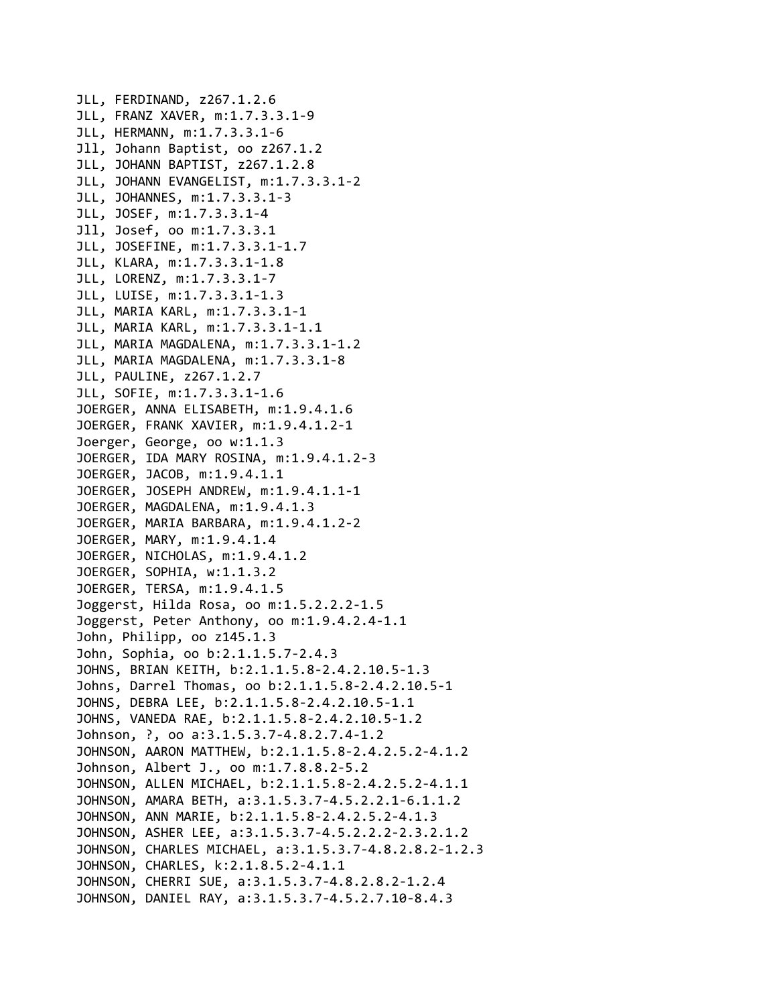```
JLL, FERDINAND, z267.1.2.6
JLL, FRANZ XAVER, m:1.7.3.3.1‐9
JLL, HERMANN, m:1.7.3.3.1‐6
Jll, Johann Baptist, oo z267.1.2
JLL, JOHANN BAPTIST, z267.1.2.8
JLL, JOHANN EVANGELIST, m:1.7.3.3.1‐2
JLL, JOHANNES, m:1.7.3.3.1‐3
JLL, JOSEF, m:1.7.3.3.1‐4
Jll, Josef, oo m:1.7.3.3.1
JLL, JOSEFINE, m:1.7.3.3.1‐1.7
JLL, KLARA, m:1.7.3.3.1‐1.8
JLL, LORENZ, m:1.7.3.3.1‐7
JLL, LUISE, m:1.7.3.3.1‐1.3
JLL, MARIA KARL, m:1.7.3.3.1‐1
JLL, MARIA KARL, m:1.7.3.3.1‐1.1
JLL, MARIA MAGDALENA, m:1.7.3.3.1‐1.2
JLL, MARIA MAGDALENA, m:1.7.3.3.1‐8
JLL, PAULINE, z267.1.2.7
JLL, SOFIE, m:1.7.3.3.1‐1.6
JOERGER, ANNA ELISABETH, m:1.9.4.1.6
JOERGER, FRANK XAVIER, m:1.9.4.1.2‐1
Joerger, George, oo w:1.1.3
JOERGER, IDA MARY ROSINA, m:1.9.4.1.2‐3
JOERGER, JACOB, m:1.9.4.1.1
JOERGER, JOSEPH ANDREW, m:1.9.4.1.1‐1
JOERGER, MAGDALENA, m:1.9.4.1.3
JOERGER, MARIA BARBARA, m:1.9.4.1.2‐2
JOERGER, MARY, m:1.9.4.1.4
JOERGER, NICHOLAS, m:1.9.4.1.2
JOERGER, SOPHIA, w:1.1.3.2
JOERGER, TERSA, m:1.9.4.1.5
Joggerst, Hilda Rosa, oo m:1.5.2.2.2‐1.5
Joggerst, Peter Anthony, oo m:1.9.4.2.4‐1.1
John, Philipp, oo z145.1.3
John, Sophia, oo b:2.1.1.5.7‐2.4.3
JOHNS, BRIAN KEITH, b:2.1.1.5.8‐2.4.2.10.5‐1.3
Johns, Darrel Thomas, oo b:2.1.1.5.8‐2.4.2.10.5‐1
JOHNS, DEBRA LEE, b:2.1.1.5.8‐2.4.2.10.5‐1.1
JOHNS, VANEDA RAE, b:2.1.1.5.8‐2.4.2.10.5‐1.2
Johnson, ?, oo a:3.1.5.3.7‐4.8.2.7.4‐1.2
JOHNSON, AARON MATTHEW, b:2.1.1.5.8‐2.4.2.5.2‐4.1.2
Johnson, Albert J., oo m:1.7.8.8.2‐5.2
JOHNSON, ALLEN MICHAEL, b:2.1.1.5.8‐2.4.2.5.2‐4.1.1
JOHNSON, AMARA BETH, a:3.1.5.3.7‐4.5.2.2.1‐6.1.1.2
JOHNSON, ANN MARIE, b:2.1.1.5.8‐2.4.2.5.2‐4.1.3
JOHNSON, ASHER LEE, a:3.1.5.3.7‐4.5.2.2.2‐2.3.2.1.2
JOHNSON, CHARLES MICHAEL, a:3.1.5.3.7‐4.8.2.8.2‐1.2.3
JOHNSON, CHARLES, k:2.1.8.5.2‐4.1.1
JOHNSON, CHERRI SUE, a:3.1.5.3.7‐4.8.2.8.2‐1.2.4
JOHNSON, DANIEL RAY, a:3.1.5.3.7‐4.5.2.7.10‐8.4.3
```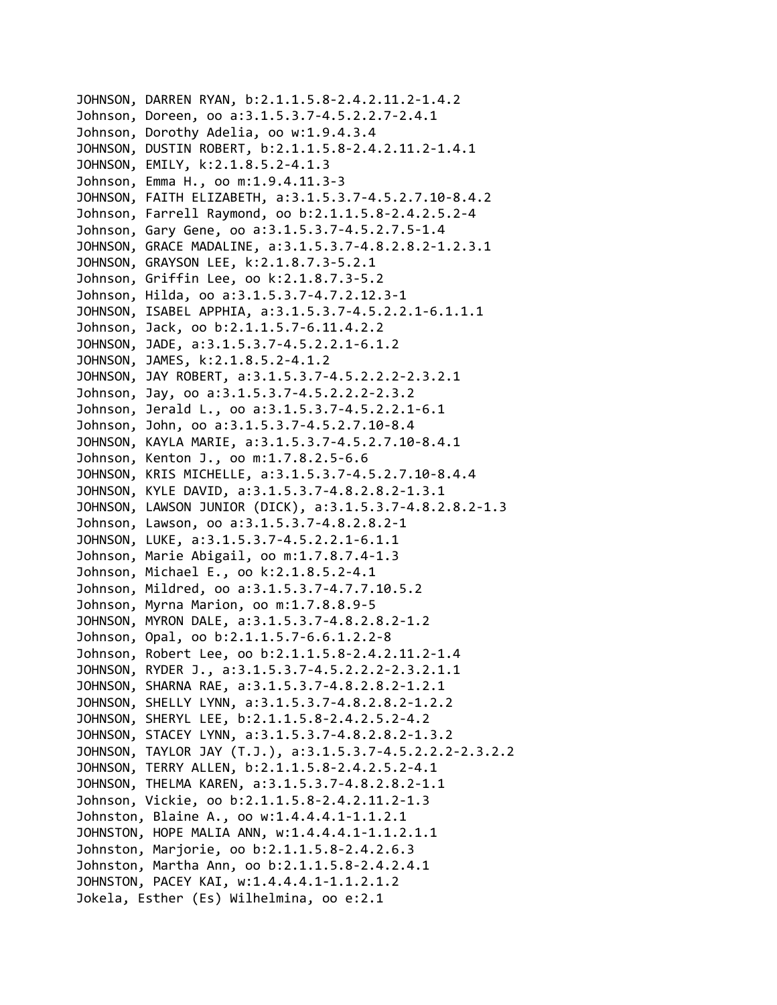```
JOHNSON, DARREN RYAN, b:2.1.1.5.8‐2.4.2.11.2‐1.4.2
Johnson, Doreen, oo a:3.1.5.3.7‐4.5.2.2.7‐2.4.1
Johnson, Dorothy Adelia, oo w:1.9.4.3.4
JOHNSON, DUSTIN ROBERT, b:2.1.1.5.8‐2.4.2.11.2‐1.4.1
JOHNSON, EMILY, k:2.1.8.5.2‐4.1.3
Johnson, Emma H., oo m:1.9.4.11.3‐3
JOHNSON, FAITH ELIZABETH, a:3.1.5.3.7‐4.5.2.7.10‐8.4.2
Johnson, Farrell Raymond, oo b:2.1.1.5.8‐2.4.2.5.2‐4
Johnson, Gary Gene, oo a:3.1.5.3.7‐4.5.2.7.5‐1.4
JOHNSON, GRACE MADALINE, a:3.1.5.3.7‐4.8.2.8.2‐1.2.3.1
JOHNSON, GRAYSON LEE, k:2.1.8.7.3‐5.2.1
Johnson, Griffin Lee, oo k:2.1.8.7.3‐5.2
Johnson, Hilda, oo a:3.1.5.3.7‐4.7.2.12.3‐1
JOHNSON, ISABEL APPHIA, a:3.1.5.3.7‐4.5.2.2.1‐6.1.1.1
Johnson, Jack, oo b:2.1.1.5.7‐6.11.4.2.2
JOHNSON, JADE, a:3.1.5.3.7‐4.5.2.2.1‐6.1.2
JOHNSON, JAMES, k:2.1.8.5.2‐4.1.2
JOHNSON, JAY ROBERT, a:3.1.5.3.7‐4.5.2.2.2‐2.3.2.1
Johnson, Jay, oo a:3.1.5.3.7‐4.5.2.2.2‐2.3.2
Johnson, Jerald L., oo a:3.1.5.3.7‐4.5.2.2.1‐6.1
Johnson, John, oo a:3.1.5.3.7‐4.5.2.7.10‐8.4
JOHNSON, KAYLA MARIE, a:3.1.5.3.7‐4.5.2.7.10‐8.4.1
Johnson, Kenton J., oo m:1.7.8.2.5‐6.6
JOHNSON, KRIS MICHELLE, a:3.1.5.3.7‐4.5.2.7.10‐8.4.4
JOHNSON, KYLE DAVID, a:3.1.5.3.7‐4.8.2.8.2‐1.3.1
JOHNSON, LAWSON JUNIOR (DICK), a:3.1.5.3.7‐4.8.2.8.2‐1.3
Johnson, Lawson, oo a:3.1.5.3.7‐4.8.2.8.2‐1
JOHNSON, LUKE, a:3.1.5.3.7‐4.5.2.2.1‐6.1.1
Johnson, Marie Abigail, oo m:1.7.8.7.4‐1.3
Johnson, Michael E., oo k:2.1.8.5.2‐4.1
Johnson, Mildred, oo a:3.1.5.3.7‐4.7.7.10.5.2
Johnson, Myrna Marion, oo m:1.7.8.8.9‐5
JOHNSON, MYRON DALE, a:3.1.5.3.7‐4.8.2.8.2‐1.2
Johnson, Opal, oo b:2.1.1.5.7‐6.6.1.2.2‐8
Johnson, Robert Lee, oo b:2.1.1.5.8‐2.4.2.11.2‐1.4
JOHNSON, RYDER J., a:3.1.5.3.7‐4.5.2.2.2‐2.3.2.1.1
JOHNSON, SHARNA RAE, a:3.1.5.3.7‐4.8.2.8.2‐1.2.1
JOHNSON, SHELLY LYNN, a:3.1.5.3.7‐4.8.2.8.2‐1.2.2
JOHNSON, SHERYL LEE, b:2.1.1.5.8‐2.4.2.5.2‐4.2
JOHNSON, STACEY LYNN, a:3.1.5.3.7‐4.8.2.8.2‐1.3.2
JOHNSON, TAYLOR JAY (T.J.), a:3.1.5.3.7‐4.5.2.2.2‐2.3.2.2
JOHNSON, TERRY ALLEN, b:2.1.1.5.8‐2.4.2.5.2‐4.1
JOHNSON, THELMA KAREN, a:3.1.5.3.7‐4.8.2.8.2‐1.1
Johnson, Vickie, oo b:2.1.1.5.8‐2.4.2.11.2‐1.3
Johnston, Blaine A., oo w:1.4.4.4.1‐1.1.2.1
JOHNSTON, HOPE MALIA ANN, w:1.4.4.4.1‐1.1.2.1.1
Johnston, Marjorie, oo b:2.1.1.5.8‐2.4.2.6.3
Johnston, Martha Ann, oo b:2.1.1.5.8‐2.4.2.4.1
JOHNSTON, PACEY KAI, w:1.4.4.4.1‐1.1.2.1.2
Jokela, Esther (Es) Wilhelmina, oo e:2.1
```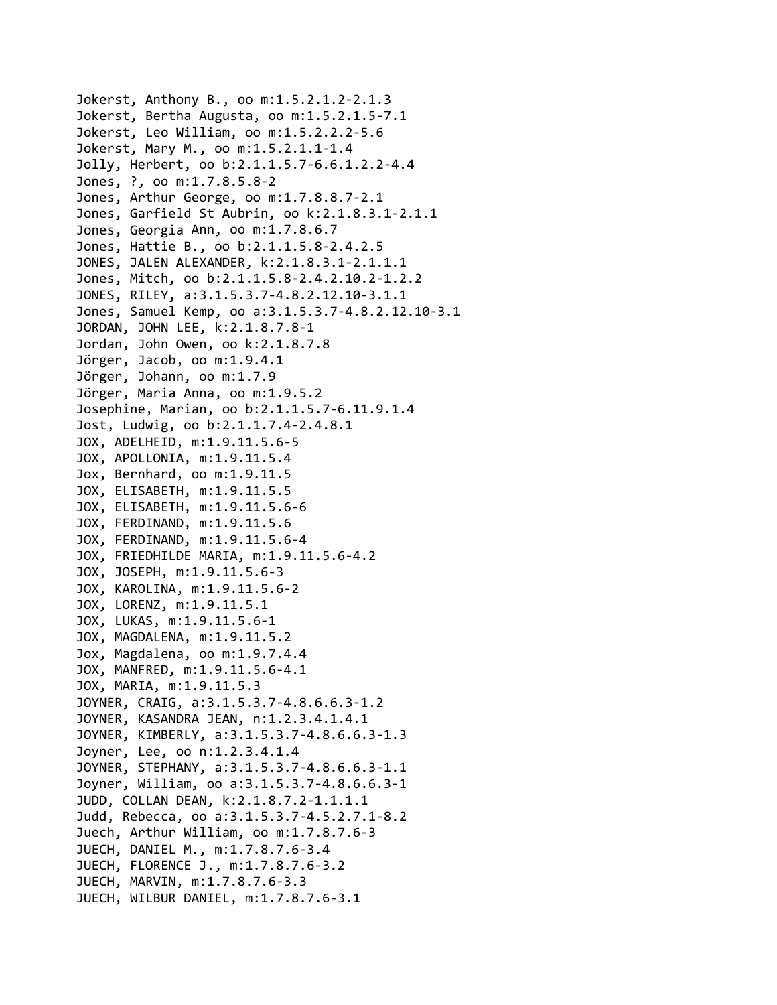```
Jokerst, Anthony B., oo m:1.5.2.1.2‐2.1.3
Jokerst, Bertha Augusta, oo m:1.5.2.1.5‐7.1
Jokerst, Leo William, oo m:1.5.2.2.2‐5.6
Jokerst, Mary M., oo m:1.5.2.1.1‐1.4
Jolly, Herbert, oo b:2.1.1.5.7‐6.6.1.2.2‐4.4
Jones, ?, oo m:1.7.8.5.8‐2
Jones, Arthur George, oo m:1.7.8.8.7‐2.1
Jones, Garfield St Aubrin, oo k:2.1.8.3.1‐2.1.1
Jones, Georgia Ann, oo m:1.7.8.6.7
Jones, Hattie B., oo b:2.1.1.5.8‐2.4.2.5
JONES, JALEN ALEXANDER, k:2.1.8.3.1‐2.1.1.1
Jones, Mitch, oo b:2.1.1.5.8‐2.4.2.10.2‐1.2.2
JONES, RILEY, a:3.1.5.3.7‐4.8.2.12.10‐3.1.1
Jones, Samuel Kemp, oo a:3.1.5.3.7‐4.8.2.12.10‐3.1
JORDAN, JOHN LEE, k:2.1.8.7.8‐1
Jordan, John Owen, oo k:2.1.8.7.8
Jörger, Jacob, oo m:1.9.4.1
Jörger, Johann, oo m:1.7.9
Jörger, Maria Anna, oo m:1.9.5.2
Josephine, Marian, oo b:2.1.1.5.7‐6.11.9.1.4
Jost, Ludwig, oo b:2.1.1.7.4‐2.4.8.1
JOX, ADELHEID, m:1.9.11.5.6‐5
JOX, APOLLONIA, m:1.9.11.5.4
Jox, Bernhard, oo m:1.9.11.5
JOX, ELISABETH, m:1.9.11.5.5
JOX, ELISABETH, m:1.9.11.5.6‐6
JOX, FERDINAND, m:1.9.11.5.6
JOX, FERDINAND, m:1.9.11.5.6‐4
JOX, FRIEDHILDE MARIA, m:1.9.11.5.6‐4.2
JOX, JOSEPH, m:1.9.11.5.6‐3
JOX, KAROLINA, m:1.9.11.5.6‐2
JOX, LORENZ, m:1.9.11.5.1
JOX, LUKAS, m:1.9.11.5.6‐1
JOX, MAGDALENA, m:1.9.11.5.2
Jox, Magdalena, oo m:1.9.7.4.4
JOX, MANFRED, m:1.9.11.5.6‐4.1
JOX, MARIA, m:1.9.11.5.3
JOYNER, CRAIG, a:3.1.5.3.7‐4.8.6.6.3‐1.2
JOYNER, KASANDRA JEAN, n:1.2.3.4.1.4.1
JOYNER, KIMBERLY, a:3.1.5.3.7‐4.8.6.6.3‐1.3
Joyner, Lee, oo n:1.2.3.4.1.4
JOYNER, STEPHANY, a:3.1.5.3.7‐4.8.6.6.3‐1.1
Joyner, William, oo a:3.1.5.3.7‐4.8.6.6.3‐1
JUDD, COLLAN DEAN, k:2.1.8.7.2‐1.1.1.1
Judd, Rebecca, oo a:3.1.5.3.7‐4.5.2.7.1‐8.2
Juech, Arthur William, oo m:1.7.8.7.6‐3
JUECH, DANIEL M., m:1.7.8.7.6‐3.4
JUECH, FLORENCE J., m:1.7.8.7.6‐3.2
JUECH, MARVIN, m:1.7.8.7.6‐3.3
JUECH, WILBUR DANIEL, m:1.7.8.7.6‐3.1
```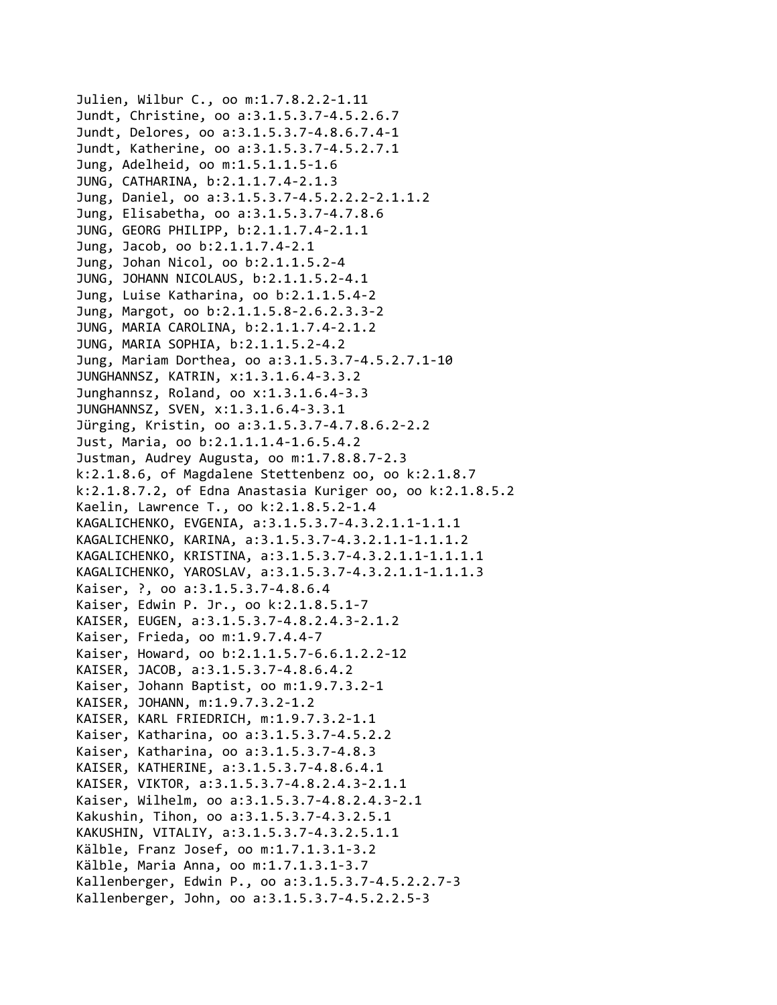Julien, Wilbur C., oo m:1.7.8.2.2‐1.11 Jundt, Christine, oo a:3.1.5.3.7‐4.5.2.6.7 Jundt, Delores, oo a:3.1.5.3.7‐4.8.6.7.4‐1 Jundt, Katherine, oo a:3.1.5.3.7‐4.5.2.7.1 Jung, Adelheid, oo m:1.5.1.1.5‐1.6 JUNG, CATHARINA, b:2.1.1.7.4‐2.1.3 Jung, Daniel, oo a:3.1.5.3.7‐4.5.2.2.2‐2.1.1.2 Jung, Elisabetha, oo a:3.1.5.3.7‐4.7.8.6 JUNG, GEORG PHILIPP, b:2.1.1.7.4‐2.1.1 Jung, Jacob, oo b:2.1.1.7.4‐2.1 Jung, Johan Nicol, oo b:2.1.1.5.2‐4 JUNG, JOHANN NICOLAUS, b:2.1.1.5.2‐4.1 Jung, Luise Katharina, oo b:2.1.1.5.4‐2 Jung, Margot, oo b:2.1.1.5.8‐2.6.2.3.3‐2 JUNG, MARIA CAROLINA, b:2.1.1.7.4‐2.1.2 JUNG, MARIA SOPHIA, b:2.1.1.5.2‐4.2 Jung, Mariam Dorthea, oo a:3.1.5.3.7‐4.5.2.7.1‐10 JUNGHANNSZ, KATRIN, x:1.3.1.6.4‐3.3.2 Junghannsz, Roland, oo x:1.3.1.6.4‐3.3 JUNGHANNSZ, SVEN, x:1.3.1.6.4‐3.3.1 Jürging, Kristin, oo a:3.1.5.3.7‐4.7.8.6.2‐2.2 Just, Maria, oo b:2.1.1.1.4‐1.6.5.4.2 Justman, Audrey Augusta, oo m:1.7.8.8.7‐2.3 k:2.1.8.6, of Magdalene Stettenbenz oo, oo k:2.1.8.7 k:2.1.8.7.2, of Edna Anastasia Kuriger oo, oo k:2.1.8.5.2 Kaelin, Lawrence T., oo k:2.1.8.5.2‐1.4 KAGALICHENKO, EVGENIA, a:3.1.5.3.7‐4.3.2.1.1‐1.1.1 KAGALICHENKO, KARINA, a:3.1.5.3.7‐4.3.2.1.1‐1.1.1.2 KAGALICHENKO, KRISTINA, a:3.1.5.3.7‐4.3.2.1.1‐1.1.1.1 KAGALICHENKO, YAROSLAV, a:3.1.5.3.7‐4.3.2.1.1‐1.1.1.3 Kaiser, ?, oo a:3.1.5.3.7‐4.8.6.4 Kaiser, Edwin P. Jr., oo k:2.1.8.5.1‐7 KAISER, EUGEN, a:3.1.5.3.7‐4.8.2.4.3‐2.1.2 Kaiser, Frieda, oo m:1.9.7.4.4‐7 Kaiser, Howard, oo b:2.1.1.5.7‐6.6.1.2.2‐12 KAISER, JACOB, a:3.1.5.3.7‐4.8.6.4.2 Kaiser, Johann Baptist, oo m:1.9.7.3.2‐1 KAISER, JOHANN, m:1.9.7.3.2‐1.2 KAISER, KARL FRIEDRICH, m:1.9.7.3.2‐1.1 Kaiser, Katharina, oo a:3.1.5.3.7‐4.5.2.2 Kaiser, Katharina, oo a:3.1.5.3.7‐4.8.3 KAISER, KATHERINE, a:3.1.5.3.7‐4.8.6.4.1 KAISER, VIKTOR, a:3.1.5.3.7‐4.8.2.4.3‐2.1.1 Kaiser, Wilhelm, oo a:3.1.5.3.7‐4.8.2.4.3‐2.1 Kakushin, Tihon, oo a:3.1.5.3.7‐4.3.2.5.1 KAKUSHIN, VITALIY, a:3.1.5.3.7‐4.3.2.5.1.1 Kälble, Franz Josef, oo m:1.7.1.3.1‐3.2 Kälble, Maria Anna, oo m:1.7.1.3.1‐3.7 Kallenberger, Edwin P., oo a:3.1.5.3.7‐4.5.2.2.7‐3 Kallenberger, John, oo a:3.1.5.3.7‐4.5.2.2.5‐3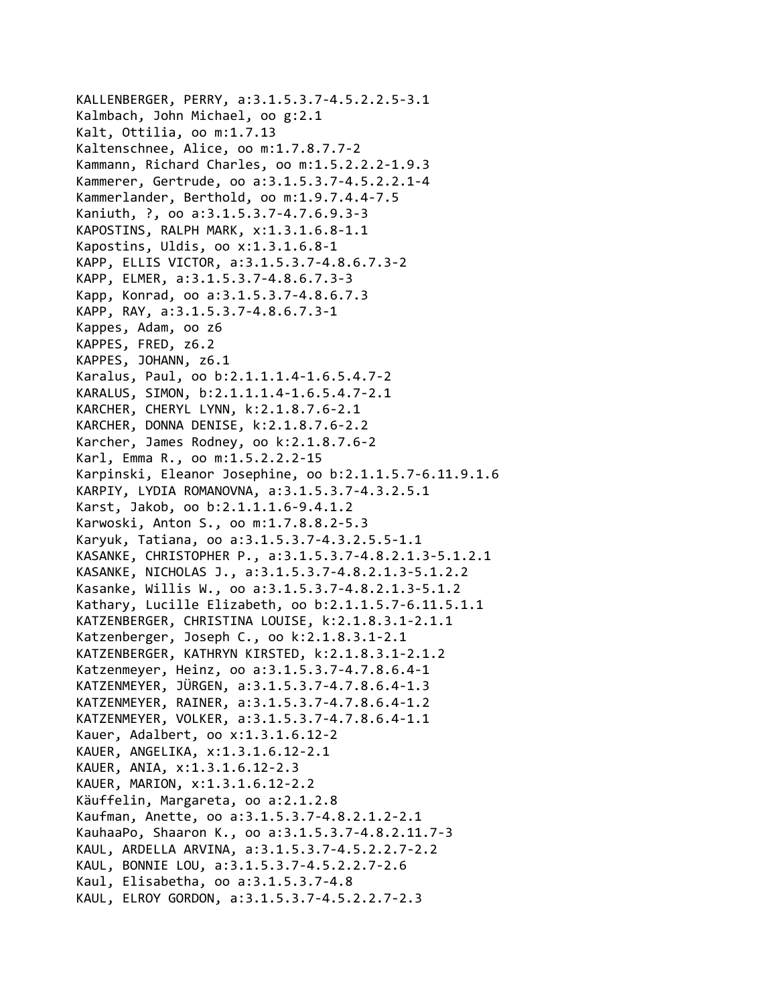```
KALLENBERGER, PERRY, a:3.1.5.3.7‐4.5.2.2.5‐3.1
Kalmbach, John Michael, oo g:2.1
Kalt, Ottilia, oo m:1.7.13
Kaltenschnee, Alice, oo m:1.7.8.7.7‐2
Kammann, Richard Charles, oo m:1.5.2.2.2‐1.9.3
Kammerer, Gertrude, oo a:3.1.5.3.7‐4.5.2.2.1‐4
Kammerlander, Berthold, oo m:1.9.7.4.4‐7.5
Kaniuth, ?, oo a:3.1.5.3.7‐4.7.6.9.3‐3
KAPOSTINS, RALPH MARK, x:1.3.1.6.8‐1.1
Kapostins, Uldis, oo x:1.3.1.6.8‐1
KAPP, ELLIS VICTOR, a:3.1.5.3.7‐4.8.6.7.3‐2
KAPP, ELMER, a:3.1.5.3.7‐4.8.6.7.3‐3
Kapp, Konrad, oo a:3.1.5.3.7‐4.8.6.7.3
KAPP, RAY, a:3.1.5.3.7‐4.8.6.7.3‐1
Kappes, Adam, oo z6
KAPPES, FRED, z6.2
KAPPES, JOHANN, z6.1
Karalus, Paul, oo b:2.1.1.1.4‐1.6.5.4.7‐2
KARALUS, SIMON, b:2.1.1.1.4‐1.6.5.4.7‐2.1
KARCHER, CHERYL LYNN, k:2.1.8.7.6‐2.1
KARCHER, DONNA DENISE, k:2.1.8.7.6‐2.2
Karcher, James Rodney, oo k:2.1.8.7.6‐2
Karl, Emma R., oo m:1.5.2.2.2‐15
Karpinski, Eleanor Josephine, oo b:2.1.1.5.7‐6.11.9.1.6
KARPIY, LYDIA ROMANOVNA, a:3.1.5.3.7‐4.3.2.5.1
Karst, Jakob, oo b:2.1.1.1.6‐9.4.1.2
Karwoski, Anton S., oo m:1.7.8.8.2‐5.3
Karyuk, Tatiana, oo a:3.1.5.3.7‐4.3.2.5.5‐1.1
KASANKE, CHRISTOPHER P., a:3.1.5.3.7‐4.8.2.1.3‐5.1.2.1
KASANKE, NICHOLAS J., a:3.1.5.3.7‐4.8.2.1.3‐5.1.2.2
Kasanke, Willis W., oo a:3.1.5.3.7‐4.8.2.1.3‐5.1.2
Kathary, Lucille Elizabeth, oo b:2.1.1.5.7‐6.11.5.1.1
KATZENBERGER, CHRISTINA LOUISE, k:2.1.8.3.1‐2.1.1
Katzenberger, Joseph C., oo k:2.1.8.3.1‐2.1
KATZENBERGER, KATHRYN KIRSTED, k:2.1.8.3.1‐2.1.2
Katzenmeyer, Heinz, oo a:3.1.5.3.7‐4.7.8.6.4‐1
KATZENMEYER, JÜRGEN, a:3.1.5.3.7‐4.7.8.6.4‐1.3
KATZENMEYER, RAINER, a:3.1.5.3.7‐4.7.8.6.4‐1.2
KATZENMEYER, VOLKER, a:3.1.5.3.7‐4.7.8.6.4‐1.1
Kauer, Adalbert, oo x:1.3.1.6.12‐2
KAUER, ANGELIKA, x:1.3.1.6.12‐2.1
KAUER, ANIA, x:1.3.1.6.12‐2.3
KAUER, MARION, x:1.3.1.6.12‐2.2
Käuffelin, Margareta, oo a:2.1.2.8
Kaufman, Anette, oo a:3.1.5.3.7‐4.8.2.1.2‐2.1
KauhaaPo, Shaaron K., oo a:3.1.5.3.7‐4.8.2.11.7‐3
KAUL, ARDELLA ARVINA, a:3.1.5.3.7‐4.5.2.2.7‐2.2
KAUL, BONNIE LOU, a:3.1.5.3.7‐4.5.2.2.7‐2.6
Kaul, Elisabetha, oo a:3.1.5.3.7‐4.8
KAUL, ELROY GORDON, a:3.1.5.3.7‐4.5.2.2.7‐2.3
```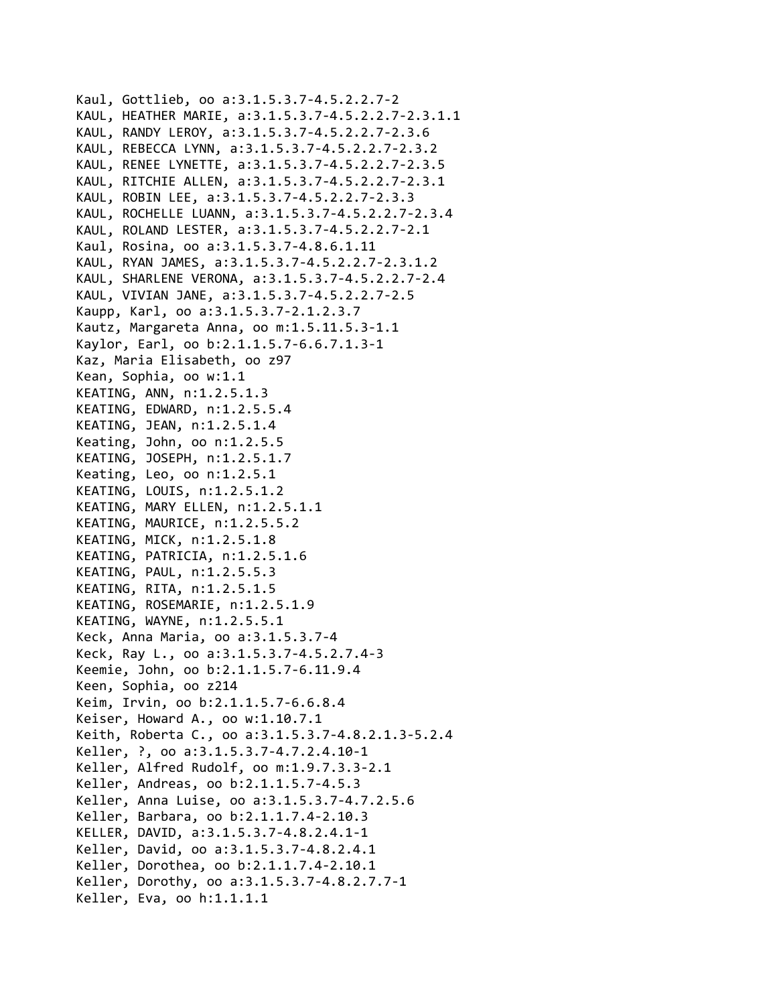```
Kaul, Gottlieb, oo a:3.1.5.3.7‐4.5.2.2.7‐2
KAUL, HEATHER MARIE, a:3.1.5.3.7‐4.5.2.2.7‐2.3.1.1
KAUL, RANDY LEROY, a:3.1.5.3.7‐4.5.2.2.7‐2.3.6
KAUL, REBECCA LYNN, a:3.1.5.3.7‐4.5.2.2.7‐2.3.2
KAUL, RENEE LYNETTE, a:3.1.5.3.7‐4.5.2.2.7‐2.3.5
KAUL, RITCHIE ALLEN, a:3.1.5.3.7‐4.5.2.2.7‐2.3.1
KAUL, ROBIN LEE, a:3.1.5.3.7‐4.5.2.2.7‐2.3.3
KAUL, ROCHELLE LUANN, a:3.1.5.3.7‐4.5.2.2.7‐2.3.4
KAUL, ROLAND LESTER, a:3.1.5.3.7‐4.5.2.2.7‐2.1
Kaul, Rosina, oo a:3.1.5.3.7‐4.8.6.1.11
KAUL, RYAN JAMES, a:3.1.5.3.7‐4.5.2.2.7‐2.3.1.2
KAUL, SHARLENE VERONA, a:3.1.5.3.7‐4.5.2.2.7‐2.4
KAUL, VIVIAN JANE, a:3.1.5.3.7‐4.5.2.2.7‐2.5
Kaupp, Karl, oo a:3.1.5.3.7‐2.1.2.3.7
Kautz, Margareta Anna, oo m:1.5.11.5.3‐1.1
Kaylor, Earl, oo b:2.1.1.5.7‐6.6.7.1.3‐1
Kaz, Maria Elisabeth, oo z97
Kean, Sophia, oo w:1.1
KEATING, ANN, n:1.2.5.1.3
KEATING, EDWARD, n:1.2.5.5.4
KEATING, JEAN, n:1.2.5.1.4
Keating, John, oo n:1.2.5.5
KEATING, JOSEPH, n:1.2.5.1.7
Keating, Leo, oo n:1.2.5.1
KEATING, LOUIS, n:1.2.5.1.2
KEATING, MARY ELLEN, n:1.2.5.1.1
KEATING, MAURICE, n:1.2.5.5.2
KEATING, MICK, n:1.2.5.1.8
KEATING, PATRICIA, n:1.2.5.1.6
KEATING, PAUL, n:1.2.5.5.3
KEATING, RITA, n:1.2.5.1.5
KEATING, ROSEMARIE, n:1.2.5.1.9
KEATING, WAYNE, n:1.2.5.5.1
Keck, Anna Maria, oo a:3.1.5.3.7‐4
Keck, Ray L., oo a:3.1.5.3.7‐4.5.2.7.4‐3
Keemie, John, oo b:2.1.1.5.7‐6.11.9.4
Keen, Sophia, oo z214
Keim, Irvin, oo b:2.1.1.5.7‐6.6.8.4
Keiser, Howard A., oo w:1.10.7.1
Keith, Roberta C., oo a:3.1.5.3.7‐4.8.2.1.3‐5.2.4
Keller, ?, oo a:3.1.5.3.7‐4.7.2.4.10‐1
Keller, Alfred Rudolf, oo m:1.9.7.3.3‐2.1
Keller, Andreas, oo b:2.1.1.5.7‐4.5.3
Keller, Anna Luise, oo a:3.1.5.3.7‐4.7.2.5.6
Keller, Barbara, oo b:2.1.1.7.4‐2.10.3
KELLER, DAVID, a:3.1.5.3.7‐4.8.2.4.1‐1
Keller, David, oo a:3.1.5.3.7‐4.8.2.4.1
Keller, Dorothea, oo b:2.1.1.7.4‐2.10.1
Keller, Dorothy, oo a:3.1.5.3.7‐4.8.2.7.7‐1
Keller, Eva, oo h:1.1.1.1
```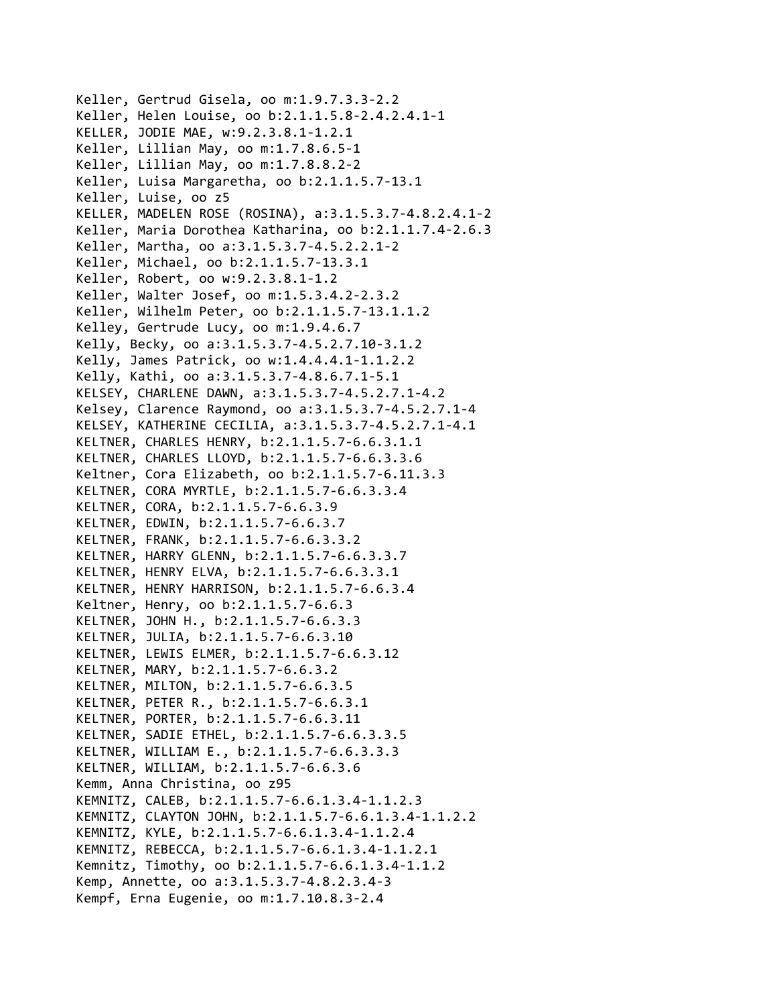Keller, Gertrud Gisela, oo m:1.9.7.3.3‐2.2 Keller, Helen Louise, oo b:2.1.1.5.8‐2.4.2.4.1‐1 KELLER, JODIE MAE, w:9.2.3.8.1‐1.2.1 Keller, Lillian May, oo m:1.7.8.6.5‐1 Keller, Lillian May, oo m:1.7.8.8.2‐2 Keller, Luisa Margaretha, oo b:2.1.1.5.7‐13.1 Keller, Luise, oo z5 KELLER, MADELEN ROSE (ROSINA), a:3.1.5.3.7‐4.8.2.4.1‐2 Keller, Maria Dorothea Katharina, oo b:2.1.1.7.4‐2.6.3 Keller, Martha, oo a:3.1.5.3.7‐4.5.2.2.1‐2 Keller, Michael, oo b:2.1.1.5.7‐13.3.1 Keller, Robert, oo w:9.2.3.8.1‐1.2 Keller, Walter Josef, oo m:1.5.3.4.2‐2.3.2 Keller, Wilhelm Peter, oo b:2.1.1.5.7‐13.1.1.2 Kelley, Gertrude Lucy, oo m:1.9.4.6.7 Kelly, Becky, oo a:3.1.5.3.7‐4.5.2.7.10‐3.1.2 Kelly, James Patrick, oo w:1.4.4.4.1‐1.1.2.2 Kelly, Kathi, oo a:3.1.5.3.7‐4.8.6.7.1‐5.1 KELSEY, CHARLENE DAWN, a:3.1.5.3.7‐4.5.2.7.1‐4.2 Kelsey, Clarence Raymond, oo a:3.1.5.3.7‐4.5.2.7.1‐4 KELSEY, KATHERINE CECILIA, a:3.1.5.3.7‐4.5.2.7.1‐4.1 KELTNER, CHARLES HENRY, b:2.1.1.5.7‐6.6.3.1.1 KELTNER, CHARLES LLOYD, b:2.1.1.5.7‐6.6.3.3.6 Keltner, Cora Elizabeth, oo b:2.1.1.5.7‐6.11.3.3 KELTNER, CORA MYRTLE, b:2.1.1.5.7‐6.6.3.3.4 KELTNER, CORA, b:2.1.1.5.7‐6.6.3.9 KELTNER, EDWIN, b:2.1.1.5.7‐6.6.3.7 KELTNER, FRANK, b:2.1.1.5.7‐6.6.3.3.2 KELTNER, HARRY GLENN, b:2.1.1.5.7‐6.6.3.3.7 KELTNER, HENRY ELVA, b:2.1.1.5.7‐6.6.3.3.1 KELTNER, HENRY HARRISON, b:2.1.1.5.7‐6.6.3.4 Keltner, Henry, oo b:2.1.1.5.7‐6.6.3 KELTNER, JOHN H., b:2.1.1.5.7‐6.6.3.3 KELTNER, JULIA, b:2.1.1.5.7‐6.6.3.10 KELTNER, LEWIS ELMER, b:2.1.1.5.7‐6.6.3.12 KELTNER, MARY, b:2.1.1.5.7‐6.6.3.2 KELTNER, MILTON, b:2.1.1.5.7‐6.6.3.5 KELTNER, PETER R., b:2.1.1.5.7‐6.6.3.1 KELTNER, PORTER, b:2.1.1.5.7‐6.6.3.11 KELTNER, SADIE ETHEL, b:2.1.1.5.7‐6.6.3.3.5 KELTNER, WILLIAM E., b:2.1.1.5.7‐6.6.3.3.3 KELTNER, WILLIAM, b:2.1.1.5.7‐6.6.3.6 Kemm, Anna Christina, oo z95 KEMNITZ, CALEB, b:2.1.1.5.7‐6.6.1.3.4‐1.1.2.3 KEMNITZ, CLAYTON JOHN, b:2.1.1.5.7‐6.6.1.3.4‐1.1.2.2 KEMNITZ, KYLE, b:2.1.1.5.7‐6.6.1.3.4‐1.1.2.4 KEMNITZ, REBECCA, b:2.1.1.5.7‐6.6.1.3.4‐1.1.2.1 Kemnitz, Timothy, oo b:2.1.1.5.7‐6.6.1.3.4‐1.1.2 Kemp, Annette, oo a:3.1.5.3.7‐4.8.2.3.4‐3 Kempf, Erna Eugenie, oo m:1.7.10.8.3‐2.4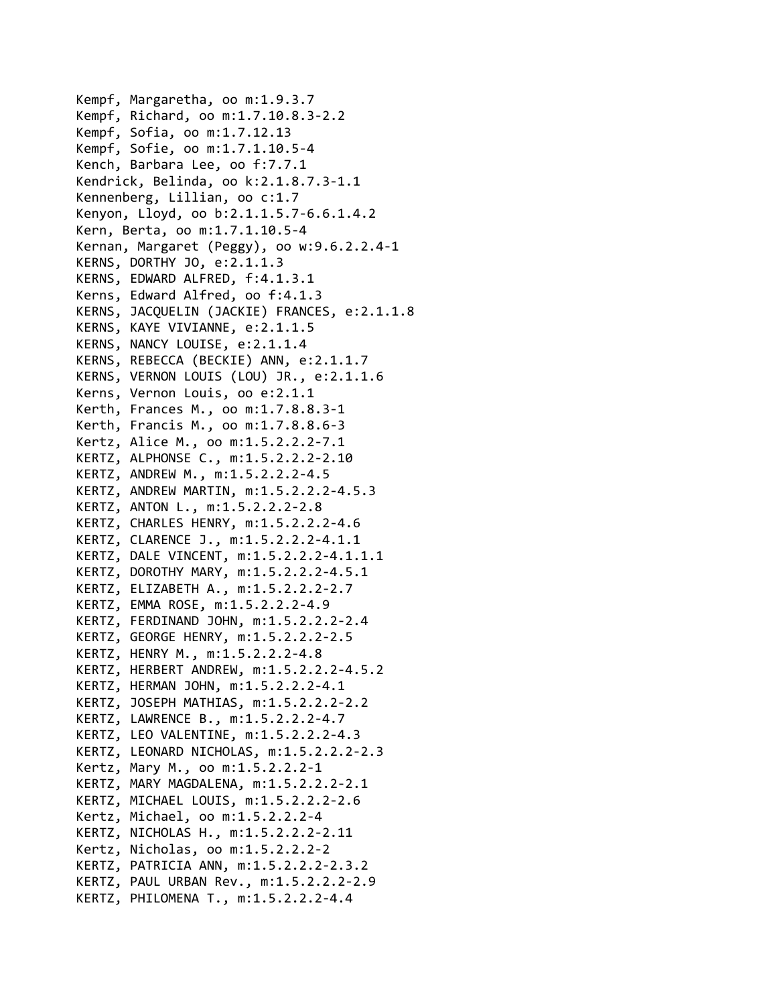Kempf, Margaretha, oo m:1.9.3.7 Kempf, Richard, oo m:1.7.10.8.3‐2.2 Kempf, Sofia, oo m:1.7.12.13 Kempf, Sofie, oo m:1.7.1.10.5‐4 Kench, Barbara Lee, oo f:7.7.1 Kendrick, Belinda, oo k:2.1.8.7.3‐1.1 Kennenberg, Lillian, oo c:1.7 Kenyon, Lloyd, oo b:2.1.1.5.7‐6.6.1.4.2 Kern, Berta, oo m:1.7.1.10.5‐4 Kernan, Margaret (Peggy), oo w:9.6.2.2.4‐1 KERNS, DORTHY JO, e:2.1.1.3 KERNS, EDWARD ALFRED, f:4.1.3.1 Kerns, Edward Alfred, oo f:4.1.3 KERNS, JACQUELIN (JACKIE) FRANCES, e:2.1.1.8 KERNS, KAYE VIVIANNE, e:2.1.1.5 KERNS, NANCY LOUISE, e:2.1.1.4 KERNS, REBECCA (BECKIE) ANN, e:2.1.1.7 KERNS, VERNON LOUIS (LOU) JR., e:2.1.1.6 Kerns, Vernon Louis, oo e:2.1.1 Kerth, Frances M., oo m:1.7.8.8.3‐1 Kerth, Francis M., oo m:1.7.8.8.6‐3 Kertz, Alice M., oo m:1.5.2.2.2‐7.1 KERTZ, ALPHONSE C., m:1.5.2.2.2‐2.10 KERTZ, ANDREW M., m:1.5.2.2.2‐4.5 KERTZ, ANDREW MARTIN, m:1.5.2.2.2‐4.5.3 KERTZ, ANTON L., m:1.5.2.2.2‐2.8 KERTZ, CHARLES HENRY, m:1.5.2.2.2‐4.6 KERTZ, CLARENCE J., m:1.5.2.2.2‐4.1.1 KERTZ, DALE VINCENT, m:1.5.2.2.2‐4.1.1.1 KERTZ, DOROTHY MARY, m:1.5.2.2.2‐4.5.1 KERTZ, ELIZABETH A., m:1.5.2.2.2‐2.7 KERTZ, EMMA ROSE, m:1.5.2.2.2‐4.9 KERTZ, FERDINAND JOHN, m:1.5.2.2.2‐2.4 KERTZ, GEORGE HENRY, m:1.5.2.2.2‐2.5 KERTZ, HENRY M., m:1.5.2.2.2‐4.8 KERTZ, HERBERT ANDREW, m:1.5.2.2.2‐4.5.2 KERTZ, HERMAN JOHN, m:1.5.2.2.2‐4.1 KERTZ, JOSEPH MATHIAS, m:1.5.2.2.2‐2.2 KERTZ, LAWRENCE B., m:1.5.2.2.2‐4.7 KERTZ, LEO VALENTINE, m:1.5.2.2.2‐4.3 KERTZ, LEONARD NICHOLAS, m:1.5.2.2.2‐2.3 Kertz, Mary M., oo m:1.5.2.2.2‐1 KERTZ, MARY MAGDALENA, m:1.5.2.2.2‐2.1 KERTZ, MICHAEL LOUIS, m:1.5.2.2.2‐2.6 Kertz, Michael, oo m:1.5.2.2.2‐4 KERTZ, NICHOLAS H., m:1.5.2.2.2‐2.11 Kertz, Nicholas, oo m:1.5.2.2.2‐2 KERTZ, PATRICIA ANN, m:1.5.2.2.2‐2.3.2 KERTZ, PAUL URBAN Rev., m:1.5.2.2.2‐2.9 KERTZ, PHILOMENA T., m:1.5.2.2.2‐4.4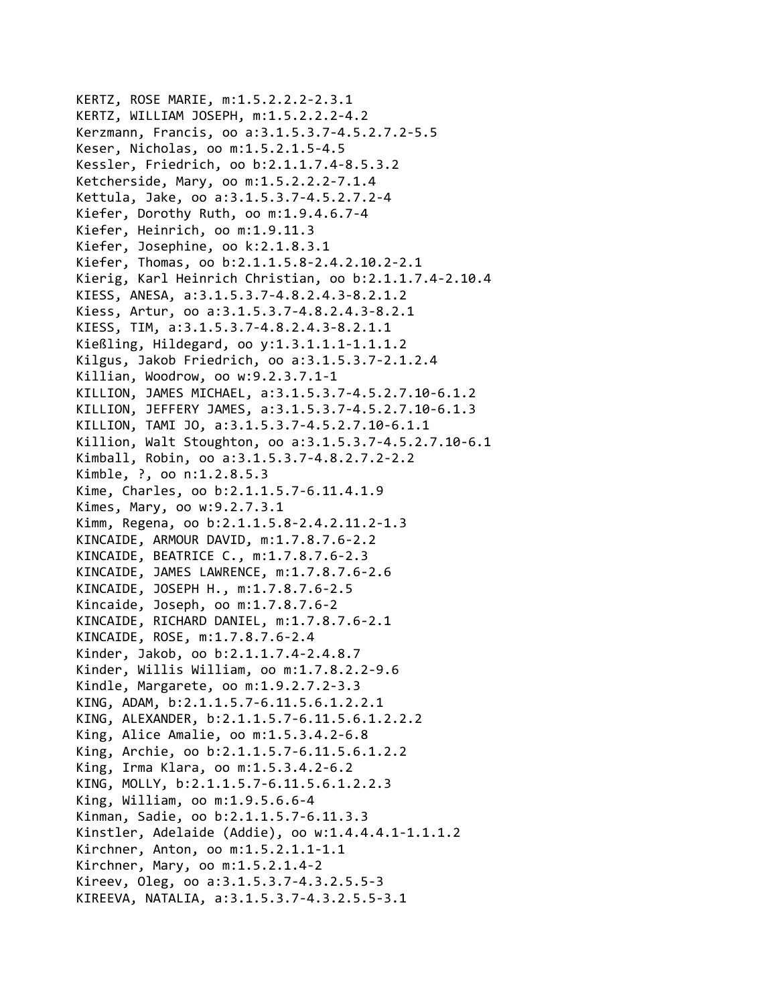KERTZ, ROSE MARIE, m:1.5.2.2.2‐2.3.1 KERTZ, WILLIAM JOSEPH, m:1.5.2.2.2‐4.2 Kerzmann, Francis, oo a:3.1.5.3.7‐4.5.2.7.2‐5.5 Keser, Nicholas, oo m:1.5.2.1.5‐4.5 Kessler, Friedrich, oo b:2.1.1.7.4‐8.5.3.2 Ketcherside, Mary, oo m:1.5.2.2.2‐7.1.4 Kettula, Jake, oo a:3.1.5.3.7‐4.5.2.7.2‐4 Kiefer, Dorothy Ruth, oo m:1.9.4.6.7‐4 Kiefer, Heinrich, oo m:1.9.11.3 Kiefer, Josephine, oo k:2.1.8.3.1 Kiefer, Thomas, oo b:2.1.1.5.8‐2.4.2.10.2‐2.1 Kierig, Karl Heinrich Christian, oo b:2.1.1.7.4‐2.10.4 KIESS, ANESA, a:3.1.5.3.7‐4.8.2.4.3‐8.2.1.2 Kiess, Artur, oo a:3.1.5.3.7‐4.8.2.4.3‐8.2.1 KIESS, TIM, a:3.1.5.3.7‐4.8.2.4.3‐8.2.1.1 Kießling, Hildegard, oo y:1.3.1.1.1‐1.1.1.2 Kilgus, Jakob Friedrich, oo a:3.1.5.3.7‐2.1.2.4 Killian, Woodrow, oo w:9.2.3.7.1‐1 KILLION, JAMES MICHAEL, a:3.1.5.3.7‐4.5.2.7.10‐6.1.2 KILLION, JEFFERY JAMES, a:3.1.5.3.7‐4.5.2.7.10‐6.1.3 KILLION, TAMI JO, a:3.1.5.3.7‐4.5.2.7.10‐6.1.1 Killion, Walt Stoughton, oo a:3.1.5.3.7‐4.5.2.7.10‐6.1 Kimball, Robin, oo a:3.1.5.3.7‐4.8.2.7.2‐2.2 Kimble, ?, oo n:1.2.8.5.3 Kime, Charles, oo b:2.1.1.5.7‐6.11.4.1.9 Kimes, Mary, oo w:9.2.7.3.1 Kimm, Regena, oo b:2.1.1.5.8‐2.4.2.11.2‐1.3 KINCAIDE, ARMOUR DAVID, m:1.7.8.7.6‐2.2 KINCAIDE, BEATRICE C., m:1.7.8.7.6‐2.3 KINCAIDE, JAMES LAWRENCE, m:1.7.8.7.6‐2.6 KINCAIDE, JOSEPH H., m:1.7.8.7.6‐2.5 Kincaide, Joseph, oo m:1.7.8.7.6‐2 KINCAIDE, RICHARD DANIEL, m:1.7.8.7.6‐2.1 KINCAIDE, ROSE, m:1.7.8.7.6‐2.4 Kinder, Jakob, oo b:2.1.1.7.4‐2.4.8.7 Kinder, Willis William, oo m:1.7.8.2.2‐9.6 Kindle, Margarete, oo m:1.9.2.7.2‐3.3 KING, ADAM, b:2.1.1.5.7‐6.11.5.6.1.2.2.1 KING, ALEXANDER, b:2.1.1.5.7‐6.11.5.6.1.2.2.2 King, Alice Amalie, oo m:1.5.3.4.2‐6.8 King, Archie, oo b:2.1.1.5.7‐6.11.5.6.1.2.2 King, Irma Klara, oo m:1.5.3.4.2‐6.2 KING, MOLLY, b:2.1.1.5.7‐6.11.5.6.1.2.2.3 King, William, oo m:1.9.5.6.6‐4 Kinman, Sadie, oo b:2.1.1.5.7‐6.11.3.3 Kinstler, Adelaide (Addie), oo w:1.4.4.4.1‐1.1.1.2 Kirchner, Anton, oo m:1.5.2.1.1‐1.1 Kirchner, Mary, oo m:1.5.2.1.4‐2 Kireev, Oleg, oo a:3.1.5.3.7‐4.3.2.5.5‐3 KIREEVA, NATALIA, a:3.1.5.3.7‐4.3.2.5.5‐3.1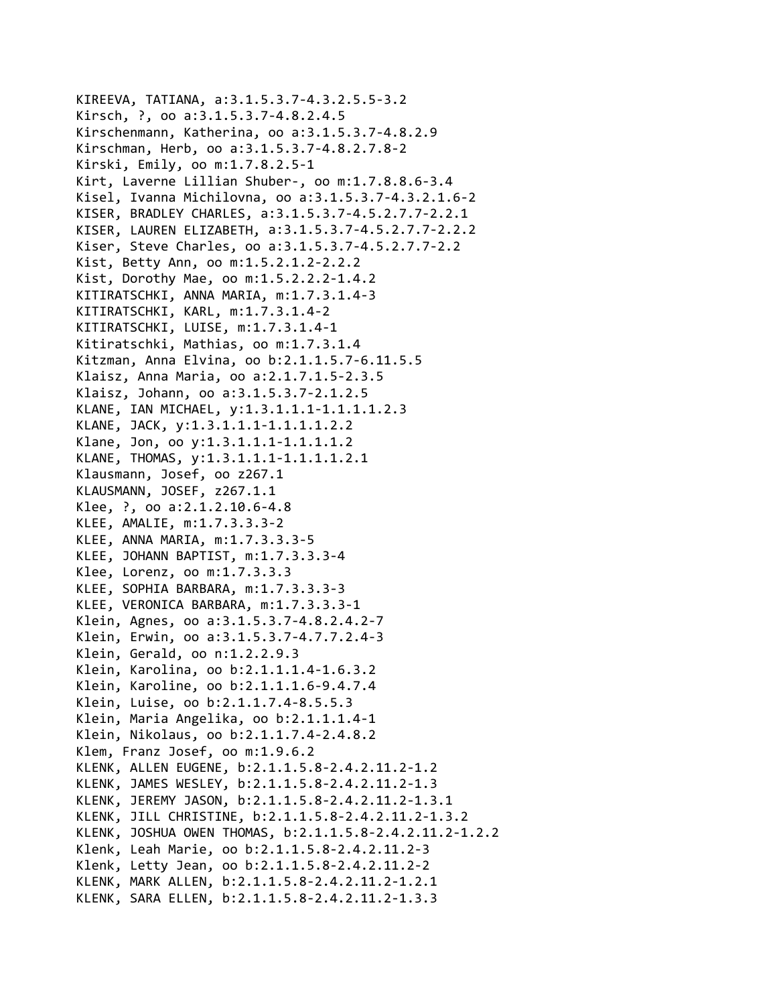```
KIREEVA, TATIANA, a:3.1.5.3.7‐4.3.2.5.5‐3.2
Kirsch, ?, oo a:3.1.5.3.7‐4.8.2.4.5
Kirschenmann, Katherina, oo a:3.1.5.3.7‐4.8.2.9
Kirschman, Herb, oo a:3.1.5.3.7‐4.8.2.7.8‐2
Kirski, Emily, oo m:1.7.8.2.5‐1
Kirt, Laverne Lillian Shuber‐, oo m:1.7.8.8.6‐3.4
Kisel, Ivanna Michilovna, oo a:3.1.5.3.7‐4.3.2.1.6‐2
KISER, BRADLEY CHARLES, a:3.1.5.3.7‐4.5.2.7.7‐2.2.1
KISER, LAUREN ELIZABETH, a:3.1.5.3.7‐4.5.2.7.7‐2.2.2
Kiser, Steve Charles, oo a:3.1.5.3.7‐4.5.2.7.7‐2.2
Kist, Betty Ann, oo m:1.5.2.1.2‐2.2.2
Kist, Dorothy Mae, oo m:1.5.2.2.2‐1.4.2
KITIRATSCHKI, ANNA MARIA, m:1.7.3.1.4‐3
KITIRATSCHKI, KARL, m:1.7.3.1.4‐2
KITIRATSCHKI, LUISE, m:1.7.3.1.4‐1
Kitiratschki, Mathias, oo m:1.7.3.1.4
Kitzman, Anna Elvina, oo b:2.1.1.5.7‐6.11.5.5
Klaisz, Anna Maria, oo a:2.1.7.1.5‐2.3.5
Klaisz, Johann, oo a:3.1.5.3.7‐2.1.2.5
KLANE, IAN MICHAEL, y:1.3.1.1.1‐1.1.1.1.2.3
KLANE, JACK, y:1.3.1.1.1‐1.1.1.1.2.2
Klane, Jon, oo y:1.3.1.1.1‐1.1.1.1.2
KLANE, THOMAS, y:1.3.1.1.1‐1.1.1.1.2.1
Klausmann, Josef, oo z267.1
KLAUSMANN, JOSEF, z267.1.1
Klee, ?, oo a:2.1.2.10.6‐4.8
KLEE, AMALIE, m:1.7.3.3.3‐2
KLEE, ANNA MARIA, m:1.7.3.3.3‐5
KLEE, JOHANN BAPTIST, m:1.7.3.3.3‐4
Klee, Lorenz, oo m:1.7.3.3.3
KLEE, SOPHIA BARBARA, m:1.7.3.3.3‐3
KLEE, VERONICA BARBARA, m:1.7.3.3.3‐1
Klein, Agnes, oo a:3.1.5.3.7‐4.8.2.4.2‐7
Klein, Erwin, oo a:3.1.5.3.7‐4.7.7.2.4‐3
Klein, Gerald, oo n:1.2.2.9.3
Klein, Karolina, oo b:2.1.1.1.4‐1.6.3.2
Klein, Karoline, oo b:2.1.1.1.6‐9.4.7.4
Klein, Luise, oo b:2.1.1.7.4‐8.5.5.3
Klein, Maria Angelika, oo b:2.1.1.1.4‐1
Klein, Nikolaus, oo b:2.1.1.7.4‐2.4.8.2
Klem, Franz Josef, oo m:1.9.6.2
KLENK, ALLEN EUGENE, b:2.1.1.5.8‐2.4.2.11.2‐1.2
KLENK, JAMES WESLEY, b:2.1.1.5.8‐2.4.2.11.2‐1.3
KLENK, JEREMY JASON, b:2.1.1.5.8‐2.4.2.11.2‐1.3.1
KLENK, JILL CHRISTINE, b:2.1.1.5.8‐2.4.2.11.2‐1.3.2
KLENK, JOSHUA OWEN THOMAS, b:2.1.1.5.8‐2.4.2.11.2‐1.2.2
Klenk, Leah Marie, oo b:2.1.1.5.8‐2.4.2.11.2‐3
Klenk, Letty Jean, oo b:2.1.1.5.8‐2.4.2.11.2‐2
KLENK, MARK ALLEN, b:2.1.1.5.8‐2.4.2.11.2‐1.2.1
KLENK, SARA ELLEN, b:2.1.1.5.8‐2.4.2.11.2‐1.3.3
```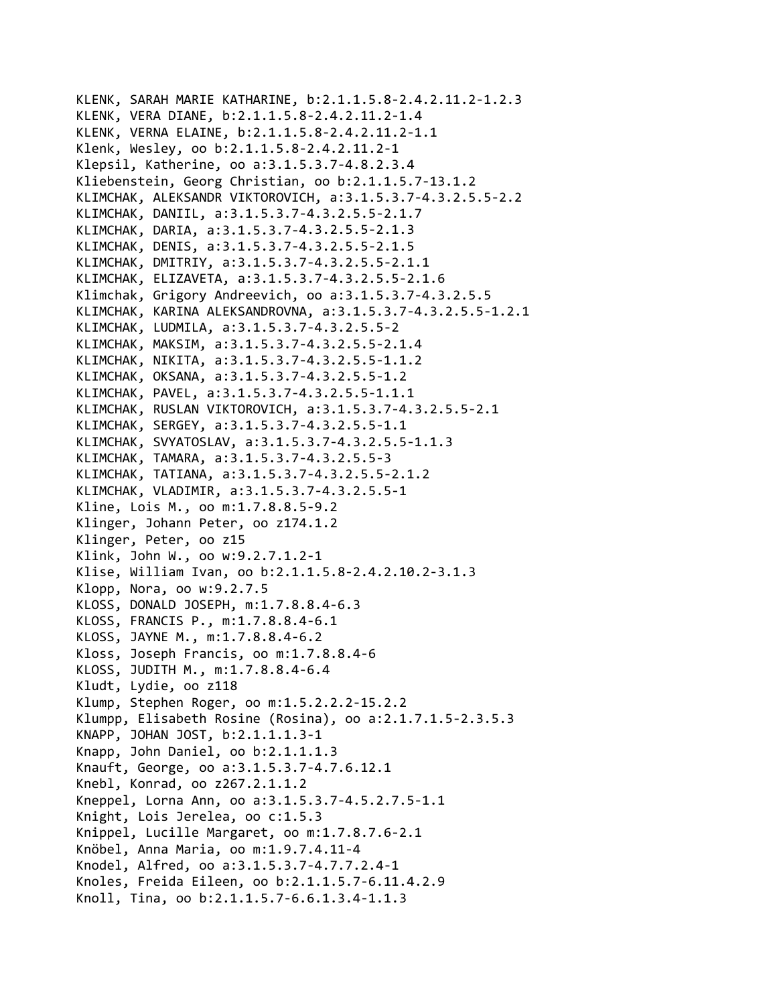```
KLENK, SARAH MARIE KATHARINE, b:2.1.1.5.8‐2.4.2.11.2‐1.2.3
KLENK, VERA DIANE, b:2.1.1.5.8‐2.4.2.11.2‐1.4
KLENK, VERNA ELAINE, b:2.1.1.5.8‐2.4.2.11.2‐1.1
Klenk, Wesley, oo b:2.1.1.5.8‐2.4.2.11.2‐1
Klepsil, Katherine, oo a:3.1.5.3.7‐4.8.2.3.4
Kliebenstein, Georg Christian, oo b:2.1.1.5.7‐13.1.2
KLIMCHAK, ALEKSANDR VIKTOROVICH, a:3.1.5.3.7‐4.3.2.5.5‐2.2
KLIMCHAK, DANIIL, a:3.1.5.3.7‐4.3.2.5.5‐2.1.7
KLIMCHAK, DARIA, a:3.1.5.3.7‐4.3.2.5.5‐2.1.3
KLIMCHAK, DENIS, a:3.1.5.3.7‐4.3.2.5.5‐2.1.5
KLIMCHAK, DMITRIY, a:3.1.5.3.7‐4.3.2.5.5‐2.1.1
KLIMCHAK, ELIZAVETA, a:3.1.5.3.7‐4.3.2.5.5‐2.1.6
Klimchak, Grigory Andreevich, oo a:3.1.5.3.7‐4.3.2.5.5
KLIMCHAK, KARINA ALEKSANDROVNA, a:3.1.5.3.7‐4.3.2.5.5‐1.2.1
KLIMCHAK, LUDMILA, a:3.1.5.3.7‐4.3.2.5.5‐2
KLIMCHAK, MAKSIM, a:3.1.5.3.7‐4.3.2.5.5‐2.1.4
KLIMCHAK, NIKITA, a:3.1.5.3.7‐4.3.2.5.5‐1.1.2
KLIMCHAK, OKSANA, a:3.1.5.3.7‐4.3.2.5.5‐1.2
KLIMCHAK, PAVEL, a:3.1.5.3.7‐4.3.2.5.5‐1.1.1
KLIMCHAK, RUSLAN VIKTOROVICH, a:3.1.5.3.7‐4.3.2.5.5‐2.1
KLIMCHAK, SERGEY, a:3.1.5.3.7‐4.3.2.5.5‐1.1
KLIMCHAK, SVYATOSLAV, a:3.1.5.3.7‐4.3.2.5.5‐1.1.3
KLIMCHAK, TAMARA, a:3.1.5.3.7‐4.3.2.5.5‐3
KLIMCHAK, TATIANA, a:3.1.5.3.7‐4.3.2.5.5‐2.1.2
KLIMCHAK, VLADIMIR, a:3.1.5.3.7‐4.3.2.5.5‐1
Kline, Lois M., oo m:1.7.8.8.5‐9.2
Klinger, Johann Peter, oo z174.1.2
Klinger, Peter, oo z15
Klink, John W., oo w:9.2.7.1.2‐1
Klise, William Ivan, oo b:2.1.1.5.8‐2.4.2.10.2‐3.1.3
Klopp, Nora, oo w:9.2.7.5
KLOSS, DONALD JOSEPH, m:1.7.8.8.4‐6.3
KLOSS, FRANCIS P., m:1.7.8.8.4‐6.1
KLOSS, JAYNE M., m:1.7.8.8.4‐6.2
Kloss, Joseph Francis, oo m:1.7.8.8.4‐6
KLOSS, JUDITH M., m:1.7.8.8.4‐6.4
Kludt, Lydie, oo z118
Klump, Stephen Roger, oo m:1.5.2.2.2‐15.2.2
Klumpp, Elisabeth Rosine (Rosina), oo a:2.1.7.1.5‐2.3.5.3
KNAPP, JOHAN JOST, b:2.1.1.1.3‐1
Knapp, John Daniel, oo b:2.1.1.1.3
Knauft, George, oo a:3.1.5.3.7‐4.7.6.12.1
Knebl, Konrad, oo z267.2.1.1.2
Kneppel, Lorna Ann, oo a:3.1.5.3.7‐4.5.2.7.5‐1.1
Knight, Lois Jerelea, oo c:1.5.3
Knippel, Lucille Margaret, oo m:1.7.8.7.6‐2.1
Knöbel, Anna Maria, oo m:1.9.7.4.11‐4
Knodel, Alfred, oo a:3.1.5.3.7‐4.7.7.2.4‐1
Knoles, Freida Eileen, oo b:2.1.1.5.7‐6.11.4.2.9
Knoll, Tina, oo b:2.1.1.5.7‐6.6.1.3.4‐1.1.3
```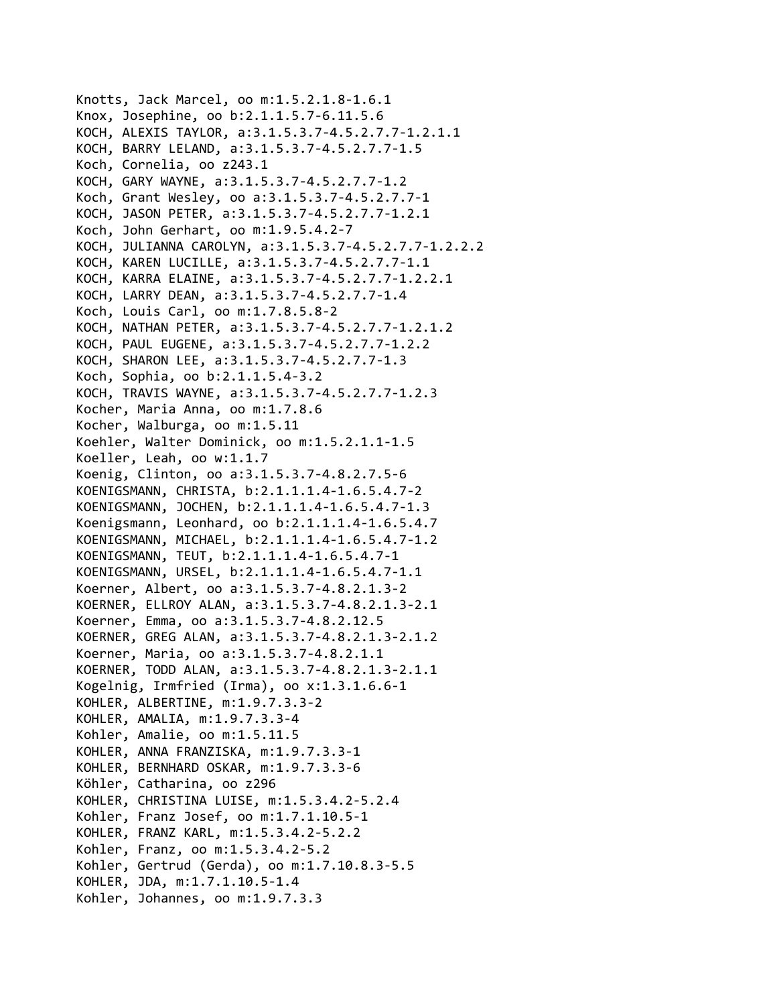```
Knotts, Jack Marcel, oo m:1.5.2.1.8‐1.6.1
Knox, Josephine, oo b:2.1.1.5.7‐6.11.5.6
KOCH, ALEXIS TAYLOR, a:3.1.5.3.7‐4.5.2.7.7‐1.2.1.1
KOCH, BARRY LELAND, a:3.1.5.3.7‐4.5.2.7.7‐1.5
Koch, Cornelia, oo z243.1
KOCH, GARY WAYNE, a:3.1.5.3.7‐4.5.2.7.7‐1.2
Koch, Grant Wesley, oo a:3.1.5.3.7‐4.5.2.7.7‐1
KOCH, JASON PETER, a:3.1.5.3.7‐4.5.2.7.7‐1.2.1
Koch, John Gerhart, oo m:1.9.5.4.2‐7
KOCH, JULIANNA CAROLYN, a:3.1.5.3.7‐4.5.2.7.7‐1.2.2.2
KOCH, KAREN LUCILLE, a:3.1.5.3.7‐4.5.2.7.7‐1.1
KOCH, KARRA ELAINE, a:3.1.5.3.7‐4.5.2.7.7‐1.2.2.1
KOCH, LARRY DEAN, a:3.1.5.3.7‐4.5.2.7.7‐1.4
Koch, Louis Carl, oo m:1.7.8.5.8‐2
KOCH, NATHAN PETER, a:3.1.5.3.7‐4.5.2.7.7‐1.2.1.2
KOCH, PAUL EUGENE, a:3.1.5.3.7‐4.5.2.7.7‐1.2.2
KOCH, SHARON LEE, a:3.1.5.3.7‐4.5.2.7.7‐1.3
Koch, Sophia, oo b:2.1.1.5.4‐3.2
KOCH, TRAVIS WAYNE, a:3.1.5.3.7‐4.5.2.7.7‐1.2.3
Kocher, Maria Anna, oo m:1.7.8.6
Kocher, Walburga, oo m:1.5.11
Koehler, Walter Dominick, oo m:1.5.2.1.1‐1.5
Koeller, Leah, oo w:1.1.7
Koenig, Clinton, oo a:3.1.5.3.7‐4.8.2.7.5‐6
KOENIGSMANN, CHRISTA, b:2.1.1.1.4‐1.6.5.4.7‐2
KOENIGSMANN, JOCHEN, b:2.1.1.1.4‐1.6.5.4.7‐1.3
Koenigsmann, Leonhard, oo b:2.1.1.1.4‐1.6.5.4.7
KOENIGSMANN, MICHAEL, b:2.1.1.1.4‐1.6.5.4.7‐1.2
KOENIGSMANN, TEUT, b:2.1.1.1.4‐1.6.5.4.7‐1
KOENIGSMANN, URSEL, b:2.1.1.1.4‐1.6.5.4.7‐1.1
Koerner, Albert, oo a:3.1.5.3.7‐4.8.2.1.3‐2
KOERNER, ELLROY ALAN, a:3.1.5.3.7‐4.8.2.1.3‐2.1
Koerner, Emma, oo a:3.1.5.3.7‐4.8.2.12.5
KOERNER, GREG ALAN, a:3.1.5.3.7‐4.8.2.1.3‐2.1.2
Koerner, Maria, oo a:3.1.5.3.7‐4.8.2.1.1
KOERNER, TODD ALAN, a:3.1.5.3.7‐4.8.2.1.3‐2.1.1
Kogelnig, Irmfried (Irma), oo x:1.3.1.6.6‐1
KOHLER, ALBERTINE, m:1.9.7.3.3‐2
KOHLER, AMALIA, m:1.9.7.3.3‐4
Kohler, Amalie, oo m:1.5.11.5
KOHLER, ANNA FRANZISKA, m:1.9.7.3.3‐1
KOHLER, BERNHARD OSKAR, m:1.9.7.3.3‐6
Köhler, Catharina, oo z296
KOHLER, CHRISTINA LUISE, m:1.5.3.4.2‐5.2.4
Kohler, Franz Josef, oo m:1.7.1.10.5‐1
KOHLER, FRANZ KARL, m:1.5.3.4.2‐5.2.2
Kohler, Franz, oo m:1.5.3.4.2‐5.2
Kohler, Gertrud (Gerda), oo m:1.7.10.8.3‐5.5
KOHLER, JDA, m:1.7.1.10.5‐1.4
Kohler, Johannes, oo m:1.9.7.3.3
```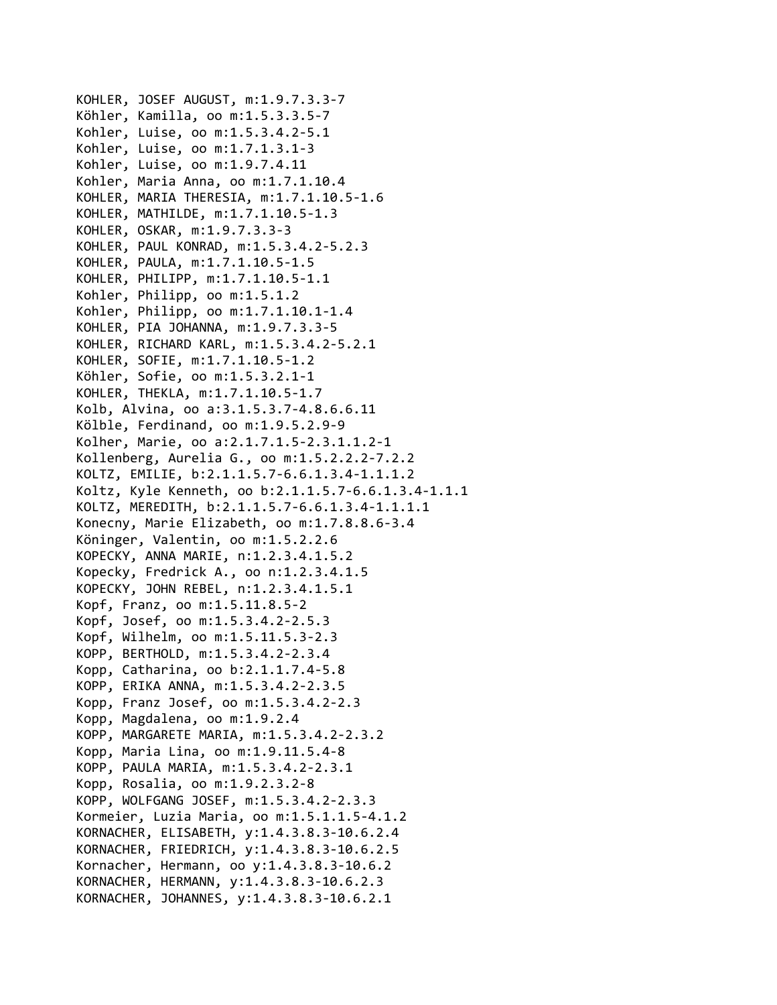KOHLER, JOSEF AUGUST, m:1.9.7.3.3‐7 Köhler, Kamilla, oo m:1.5.3.3.5‐7 Kohler, Luise, oo m:1.5.3.4.2‐5.1 Kohler, Luise, oo m:1.7.1.3.1‐3 Kohler, Luise, oo m:1.9.7.4.11 Kohler, Maria Anna, oo m:1.7.1.10.4 KOHLER, MARIA THERESIA, m:1.7.1.10.5‐1.6 KOHLER, MATHILDE, m:1.7.1.10.5‐1.3 KOHLER, OSKAR, m:1.9.7.3.3‐3 KOHLER, PAUL KONRAD, m:1.5.3.4.2‐5.2.3 KOHLER, PAULA, m:1.7.1.10.5‐1.5 KOHLER, PHILIPP, m:1.7.1.10.5‐1.1 Kohler, Philipp, oo m:1.5.1.2 Kohler, Philipp, oo m:1.7.1.10.1‐1.4 KOHLER, PIA JOHANNA, m:1.9.7.3.3‐5 KOHLER, RICHARD KARL, m:1.5.3.4.2‐5.2.1 KOHLER, SOFIE, m:1.7.1.10.5‐1.2 Köhler, Sofie, oo m:1.5.3.2.1‐1 KOHLER, THEKLA, m:1.7.1.10.5‐1.7 Kolb, Alvina, oo a:3.1.5.3.7‐4.8.6.6.11 Kölble, Ferdinand, oo m:1.9.5.2.9‐9 Kolher, Marie, oo a:2.1.7.1.5‐2.3.1.1.2‐1 Kollenberg, Aurelia G., oo m:1.5.2.2.2‐7.2.2 KOLTZ, EMILIE, b:2.1.1.5.7‐6.6.1.3.4‐1.1.1.2 Koltz, Kyle Kenneth, oo b:2.1.1.5.7‐6.6.1.3.4‐1.1.1 KOLTZ, MEREDITH, b:2.1.1.5.7‐6.6.1.3.4‐1.1.1.1 Konecny, Marie Elizabeth, oo m:1.7.8.8.6‐3.4 Köninger, Valentin, oo m:1.5.2.2.6 KOPECKY, ANNA MARIE, n:1.2.3.4.1.5.2 Kopecky, Fredrick A., oo n:1.2.3.4.1.5 KOPECKY, JOHN REBEL, n:1.2.3.4.1.5.1 Kopf, Franz, oo m:1.5.11.8.5‐2 Kopf, Josef, oo m:1.5.3.4.2‐2.5.3 Kopf, Wilhelm, oo m:1.5.11.5.3‐2.3 KOPP, BERTHOLD, m:1.5.3.4.2‐2.3.4 Kopp, Catharina, oo b:2.1.1.7.4‐5.8 KOPP, ERIKA ANNA, m:1.5.3.4.2‐2.3.5 Kopp, Franz Josef, oo m:1.5.3.4.2‐2.3 Kopp, Magdalena, oo m:1.9.2.4 KOPP, MARGARETE MARIA, m:1.5.3.4.2‐2.3.2 Kopp, Maria Lina, oo m:1.9.11.5.4‐8 KOPP, PAULA MARIA, m:1.5.3.4.2‐2.3.1 Kopp, Rosalia, oo m:1.9.2.3.2‐8 KOPP, WOLFGANG JOSEF, m:1.5.3.4.2‐2.3.3 Kormeier, Luzia Maria, oo m:1.5.1.1.5‐4.1.2 KORNACHER, ELISABETH, y:1.4.3.8.3‐10.6.2.4 KORNACHER, FRIEDRICH, y:1.4.3.8.3‐10.6.2.5 Kornacher, Hermann, oo y:1.4.3.8.3‐10.6.2 KORNACHER, HERMANN, y:1.4.3.8.3‐10.6.2.3 KORNACHER, JOHANNES, y:1.4.3.8.3‐10.6.2.1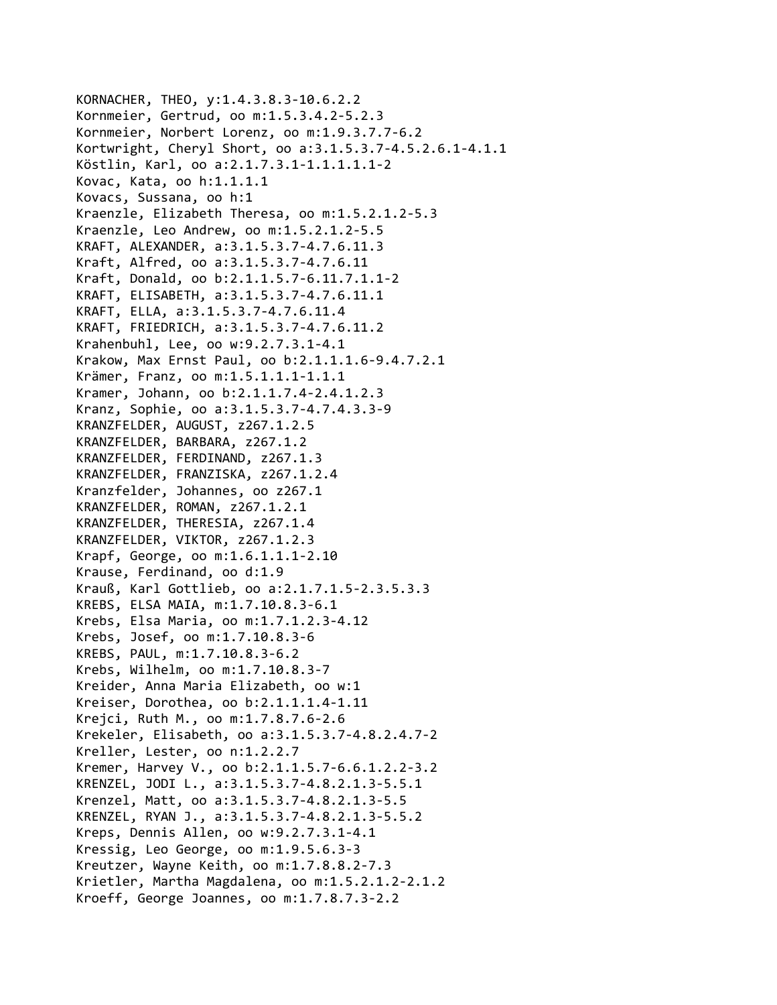```
KORNACHER, THEO, y:1.4.3.8.3‐10.6.2.2
Kornmeier, Gertrud, oo m:1.5.3.4.2‐5.2.3
Kornmeier, Norbert Lorenz, oo m:1.9.3.7.7‐6.2
Kortwright, Cheryl Short, oo a:3.1.5.3.7‐4.5.2.6.1‐4.1.1
Köstlin, Karl, oo a:2.1.7.3.1‐1.1.1.1.1‐2
Kovac, Kata, oo h:1.1.1.1
Kovacs, Sussana, oo h:1
Kraenzle, Elizabeth Theresa, oo m:1.5.2.1.2‐5.3
Kraenzle, Leo Andrew, oo m:1.5.2.1.2‐5.5
KRAFT, ALEXANDER, a:3.1.5.3.7‐4.7.6.11.3
Kraft, Alfred, oo a:3.1.5.3.7‐4.7.6.11
Kraft, Donald, oo b:2.1.1.5.7‐6.11.7.1.1‐2
KRAFT, ELISABETH, a:3.1.5.3.7‐4.7.6.11.1
KRAFT, ELLA, a:3.1.5.3.7‐4.7.6.11.4
KRAFT, FRIEDRICH, a:3.1.5.3.7‐4.7.6.11.2
Krahenbuhl, Lee, oo w:9.2.7.3.1‐4.1
Krakow, Max Ernst Paul, oo b:2.1.1.1.6‐9.4.7.2.1
Krämer, Franz, oo m:1.5.1.1.1‐1.1.1
Kramer, Johann, oo b:2.1.1.7.4‐2.4.1.2.3
Kranz, Sophie, oo a:3.1.5.3.7‐4.7.4.3.3‐9
KRANZFELDER, AUGUST, z267.1.2.5
KRANZFELDER, BARBARA, z267.1.2
KRANZFELDER, FERDINAND, z267.1.3
KRANZFELDER, FRANZISKA, z267.1.2.4
Kranzfelder, Johannes, oo z267.1
KRANZFELDER, ROMAN, z267.1.2.1
KRANZFELDER, THERESIA, z267.1.4
KRANZFELDER, VIKTOR, z267.1.2.3
Krapf, George, oo m:1.6.1.1.1‐2.10
Krause, Ferdinand, oo d:1.9
Krauß, Karl Gottlieb, oo a:2.1.7.1.5‐2.3.5.3.3
KREBS, ELSA MAIA, m:1.7.10.8.3‐6.1
Krebs, Elsa Maria, oo m:1.7.1.2.3‐4.12
Krebs, Josef, oo m:1.7.10.8.3‐6
KREBS, PAUL, m:1.7.10.8.3‐6.2
Krebs, Wilhelm, oo m:1.7.10.8.3‐7
Kreider, Anna Maria Elizabeth, oo w:1
Kreiser, Dorothea, oo b:2.1.1.1.4‐1.11
Krejci, Ruth M., oo m:1.7.8.7.6‐2.6
Krekeler, Elisabeth, oo a:3.1.5.3.7‐4.8.2.4.7‐2
Kreller, Lester, oo n:1.2.2.7
Kremer, Harvey V., oo b:2.1.1.5.7‐6.6.1.2.2‐3.2
KRENZEL, JODI L., a:3.1.5.3.7‐4.8.2.1.3‐5.5.1
Krenzel, Matt, oo a:3.1.5.3.7‐4.8.2.1.3‐5.5
KRENZEL, RYAN J., a:3.1.5.3.7‐4.8.2.1.3‐5.5.2
Kreps, Dennis Allen, oo w:9.2.7.3.1‐4.1
Kressig, Leo George, oo m:1.9.5.6.3‐3
Kreutzer, Wayne Keith, oo m:1.7.8.8.2‐7.3
Krietler, Martha Magdalena, oo m:1.5.2.1.2‐2.1.2
Kroeff, George Joannes, oo m:1.7.8.7.3‐2.2
```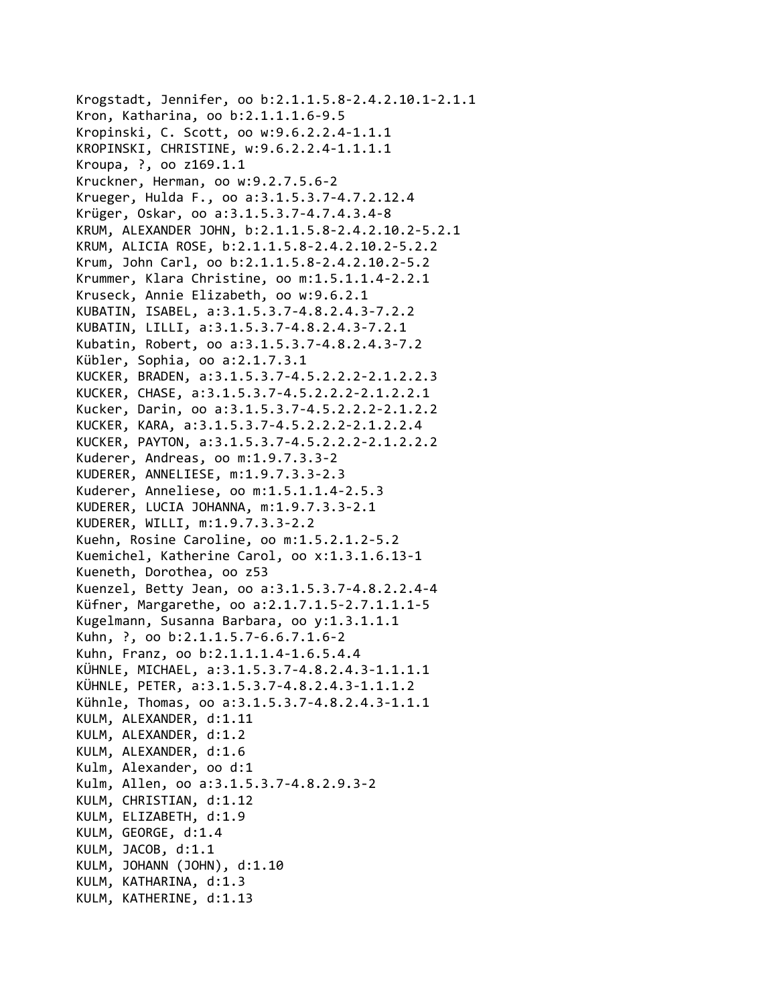```
Krogstadt, Jennifer, oo b:2.1.1.5.8‐2.4.2.10.1‐2.1.1
Kron, Katharina, oo b:2.1.1.1.6‐9.5
Kropinski, C. Scott, oo w:9.6.2.2.4‐1.1.1
KROPINSKI, CHRISTINE, w:9.6.2.2.4‐1.1.1.1
Kroupa, ?, oo z169.1.1
Kruckner, Herman, oo w:9.2.7.5.6‐2
Krueger, Hulda F., oo a:3.1.5.3.7‐4.7.2.12.4
Krüger, Oskar, oo a:3.1.5.3.7‐4.7.4.3.4‐8
KRUM, ALEXANDER JOHN, b:2.1.1.5.8‐2.4.2.10.2‐5.2.1
KRUM, ALICIA ROSE, b:2.1.1.5.8‐2.4.2.10.2‐5.2.2
Krum, John Carl, oo b:2.1.1.5.8‐2.4.2.10.2‐5.2
Krummer, Klara Christine, oo m:1.5.1.1.4‐2.2.1
Kruseck, Annie Elizabeth, oo w:9.6.2.1
KUBATIN, ISABEL, a:3.1.5.3.7‐4.8.2.4.3‐7.2.2
KUBATIN, LILLI, a:3.1.5.3.7‐4.8.2.4.3‐7.2.1
Kubatin, Robert, oo a:3.1.5.3.7‐4.8.2.4.3‐7.2
Kübler, Sophia, oo a:2.1.7.3.1
KUCKER, BRADEN, a:3.1.5.3.7‐4.5.2.2.2‐2.1.2.2.3
KUCKER, CHASE, a:3.1.5.3.7‐4.5.2.2.2‐2.1.2.2.1
Kucker, Darin, oo a:3.1.5.3.7‐4.5.2.2.2‐2.1.2.2
KUCKER, KARA, a:3.1.5.3.7‐4.5.2.2.2‐2.1.2.2.4
KUCKER, PAYTON, a:3.1.5.3.7‐4.5.2.2.2‐2.1.2.2.2
Kuderer, Andreas, oo m:1.9.7.3.3‐2
KUDERER, ANNELIESE, m:1.9.7.3.3‐2.3
Kuderer, Anneliese, oo m:1.5.1.1.4‐2.5.3
KUDERER, LUCIA JOHANNA, m:1.9.7.3.3‐2.1
KUDERER, WILLI, m:1.9.7.3.3‐2.2
Kuehn, Rosine Caroline, oo m:1.5.2.1.2‐5.2
Kuemichel, Katherine Carol, oo x:1.3.1.6.13‐1
Kueneth, Dorothea, oo z53
Kuenzel, Betty Jean, oo a:3.1.5.3.7‐4.8.2.2.4‐4
Küfner, Margarethe, oo a:2.1.7.1.5‐2.7.1.1.1‐5
Kugelmann, Susanna Barbara, oo y:1.3.1.1.1
Kuhn, ?, oo b:2.1.1.5.7‐6.6.7.1.6‐2
Kuhn, Franz, oo b:2.1.1.1.4‐1.6.5.4.4
KÜHNLE, MICHAEL, a:3.1.5.3.7‐4.8.2.4.3‐1.1.1.1
KÜHNLE, PETER, a:3.1.5.3.7‐4.8.2.4.3‐1.1.1.2
Kühnle, Thomas, oo a:3.1.5.3.7‐4.8.2.4.3‐1.1.1
KULM, ALEXANDER, d:1.11
KULM, ALEXANDER, d:1.2
KULM, ALEXANDER, d:1.6
Kulm, Alexander, oo d:1
Kulm, Allen, oo a:3.1.5.3.7‐4.8.2.9.3‐2
KULM, CHRISTIAN, d:1.12
KULM, ELIZABETH, d:1.9
KULM, GEORGE, d:1.4
KULM, JACOB, d:1.1
KULM, JOHANN (JOHN), d:1.10
KULM, KATHARINA, d:1.3
KULM, KATHERINE, d:1.13
```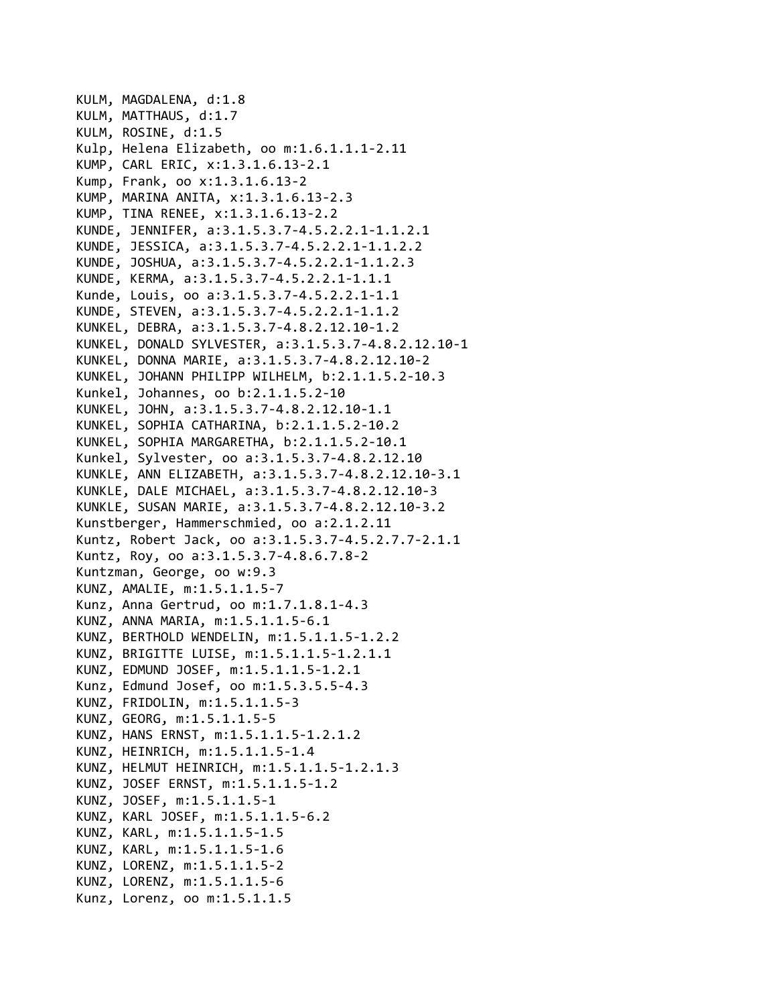```
KULM, MAGDALENA, d:1.8
KULM, MATTHAUS, d:1.7
KULM, ROSINE, d:1.5
Kulp, Helena Elizabeth, oo m:1.6.1.1.1‐2.11
KUMP, CARL ERIC, x:1.3.1.6.13‐2.1
Kump, Frank, oo x:1.3.1.6.13‐2
KUMP, MARINA ANITA, x:1.3.1.6.13‐2.3
KUMP, TINA RENEE, x:1.3.1.6.13‐2.2
KUNDE, JENNIFER, a:3.1.5.3.7‐4.5.2.2.1‐1.1.2.1
KUNDE, JESSICA, a:3.1.5.3.7‐4.5.2.2.1‐1.1.2.2
KUNDE, JOSHUA, a:3.1.5.3.7‐4.5.2.2.1‐1.1.2.3
KUNDE, KERMA, a:3.1.5.3.7‐4.5.2.2.1‐1.1.1
Kunde, Louis, oo a:3.1.5.3.7‐4.5.2.2.1‐1.1
KUNDE, STEVEN, a:3.1.5.3.7‐4.5.2.2.1‐1.1.2
KUNKEL, DEBRA, a:3.1.5.3.7‐4.8.2.12.10‐1.2
KUNKEL, DONALD SYLVESTER, a:3.1.5.3.7‐4.8.2.12.10‐1
KUNKEL, DONNA MARIE, a:3.1.5.3.7‐4.8.2.12.10‐2
KUNKEL, JOHANN PHILIPP WILHELM, b:2.1.1.5.2‐10.3
Kunkel, Johannes, oo b:2.1.1.5.2‐10
KUNKEL, JOHN, a:3.1.5.3.7‐4.8.2.12.10‐1.1
KUNKEL, SOPHIA CATHARINA, b:2.1.1.5.2‐10.2
KUNKEL, SOPHIA MARGARETHA, b:2.1.1.5.2‐10.1
Kunkel, Sylvester, oo a:3.1.5.3.7‐4.8.2.12.10
KUNKLE, ANN ELIZABETH, a:3.1.5.3.7‐4.8.2.12.10‐3.1
KUNKLE, DALE MICHAEL, a:3.1.5.3.7‐4.8.2.12.10‐3
KUNKLE, SUSAN MARIE, a:3.1.5.3.7‐4.8.2.12.10‐3.2
Kunstberger, Hammerschmied, oo a:2.1.2.11
Kuntz, Robert Jack, oo a:3.1.5.3.7‐4.5.2.7.7‐2.1.1
Kuntz, Roy, oo a:3.1.5.3.7‐4.8.6.7.8‐2
Kuntzman, George, oo w:9.3
KUNZ, AMALIE, m:1.5.1.1.5‐7
Kunz, Anna Gertrud, oo m:1.7.1.8.1‐4.3
KUNZ, ANNA MARIA, m:1.5.1.1.5‐6.1
KUNZ, BERTHOLD WENDELIN, m:1.5.1.1.5‐1.2.2
KUNZ, BRIGITTE LUISE, m:1.5.1.1.5‐1.2.1.1
KUNZ, EDMUND JOSEF, m:1.5.1.1.5‐1.2.1
Kunz, Edmund Josef, oo m:1.5.3.5.5‐4.3
KUNZ, FRIDOLIN, m:1.5.1.1.5‐3
KUNZ, GEORG, m:1.5.1.1.5‐5
KUNZ, HANS ERNST, m:1.5.1.1.5‐1.2.1.2
KUNZ, HEINRICH, m:1.5.1.1.5‐1.4
KUNZ, HELMUT HEINRICH, m:1.5.1.1.5‐1.2.1.3
KUNZ, JOSEF ERNST, m:1.5.1.1.5‐1.2
KUNZ, JOSEF, m:1.5.1.1.5‐1
KUNZ, KARL JOSEF, m:1.5.1.1.5‐6.2
KUNZ, KARL, m:1.5.1.1.5‐1.5
KUNZ, KARL, m:1.5.1.1.5‐1.6
KUNZ, LORENZ, m:1.5.1.1.5‐2
KUNZ, LORENZ, m:1.5.1.1.5‐6
Kunz, Lorenz, oo m:1.5.1.1.5
```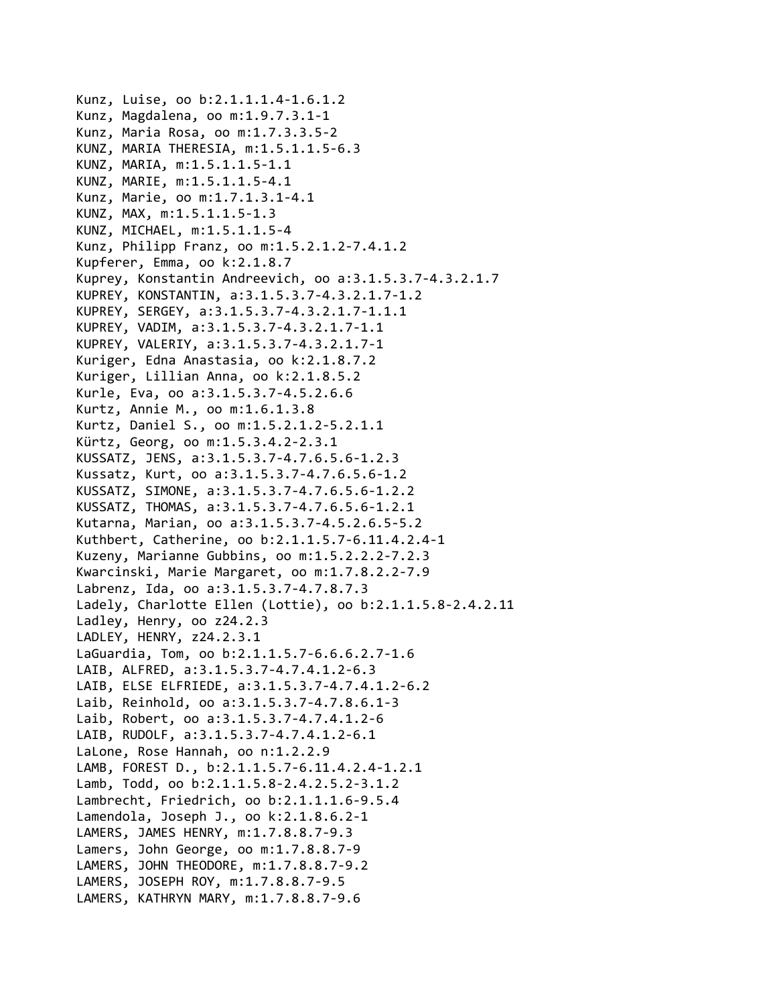```
Kunz, Luise, oo b:2.1.1.1.4‐1.6.1.2
Kunz, Magdalena, oo m:1.9.7.3.1‐1
Kunz, Maria Rosa, oo m:1.7.3.3.5‐2
KUNZ, MARIA THERESIA, m:1.5.1.1.5‐6.3
KUNZ, MARIA, m:1.5.1.1.5‐1.1
KUNZ, MARIE, m:1.5.1.1.5‐4.1
Kunz, Marie, oo m:1.7.1.3.1‐4.1
KUNZ, MAX, m:1.5.1.1.5‐1.3
KUNZ, MICHAEL, m:1.5.1.1.5‐4
Kunz, Philipp Franz, oo m:1.5.2.1.2‐7.4.1.2
Kupferer, Emma, oo k:2.1.8.7
Kuprey, Konstantin Andreevich, oo a:3.1.5.3.7‐4.3.2.1.7
KUPREY, KONSTANTIN, a:3.1.5.3.7‐4.3.2.1.7‐1.2
KUPREY, SERGEY, a:3.1.5.3.7‐4.3.2.1.7‐1.1.1
KUPREY, VADIM, a:3.1.5.3.7‐4.3.2.1.7‐1.1
KUPREY, VALERIY, a:3.1.5.3.7‐4.3.2.1.7‐1
Kuriger, Edna Anastasia, oo k:2.1.8.7.2
Kuriger, Lillian Anna, oo k:2.1.8.5.2
Kurle, Eva, oo a:3.1.5.3.7‐4.5.2.6.6
Kurtz, Annie M., oo m:1.6.1.3.8
Kurtz, Daniel S., oo m:1.5.2.1.2‐5.2.1.1
Kürtz, Georg, oo m:1.5.3.4.2‐2.3.1
KUSSATZ, JENS, a:3.1.5.3.7‐4.7.6.5.6‐1.2.3
Kussatz, Kurt, oo a:3.1.5.3.7‐4.7.6.5.6‐1.2
KUSSATZ, SIMONE, a:3.1.5.3.7‐4.7.6.5.6‐1.2.2
KUSSATZ, THOMAS, a:3.1.5.3.7‐4.7.6.5.6‐1.2.1
Kutarna, Marian, oo a:3.1.5.3.7‐4.5.2.6.5‐5.2
Kuthbert, Catherine, oo b:2.1.1.5.7‐6.11.4.2.4‐1
Kuzeny, Marianne Gubbins, oo m:1.5.2.2.2‐7.2.3
Kwarcinski, Marie Margaret, oo m:1.7.8.2.2‐7.9
Labrenz, Ida, oo a:3.1.5.3.7‐4.7.8.7.3
Ladely, Charlotte Ellen (Lottie), oo b:2.1.1.5.8‐2.4.2.11
Ladley, Henry, oo z24.2.3
LADLEY, HENRY, z24.2.3.1
LaGuardia, Tom, oo b:2.1.1.5.7‐6.6.6.2.7‐1.6
LAIB, ALFRED, a:3.1.5.3.7‐4.7.4.1.2‐6.3
LAIB, ELSE ELFRIEDE, a:3.1.5.3.7‐4.7.4.1.2‐6.2
Laib, Reinhold, oo a:3.1.5.3.7‐4.7.8.6.1‐3
Laib, Robert, oo a:3.1.5.3.7‐4.7.4.1.2‐6
LAIB, RUDOLF, a:3.1.5.3.7‐4.7.4.1.2‐6.1
LaLone, Rose Hannah, oo n:1.2.2.9
LAMB, FOREST D., b:2.1.1.5.7‐6.11.4.2.4‐1.2.1
Lamb, Todd, oo b:2.1.1.5.8‐2.4.2.5.2‐3.1.2
Lambrecht, Friedrich, oo b:2.1.1.1.6‐9.5.4
Lamendola, Joseph J., oo k:2.1.8.6.2‐1
LAMERS, JAMES HENRY, m:1.7.8.8.7‐9.3
Lamers, John George, oo m:1.7.8.8.7‐9
LAMERS, JOHN THEODORE, m:1.7.8.8.7‐9.2
LAMERS, JOSEPH ROY, m:1.7.8.8.7‐9.5
LAMERS, KATHRYN MARY, m:1.7.8.8.7‐9.6
```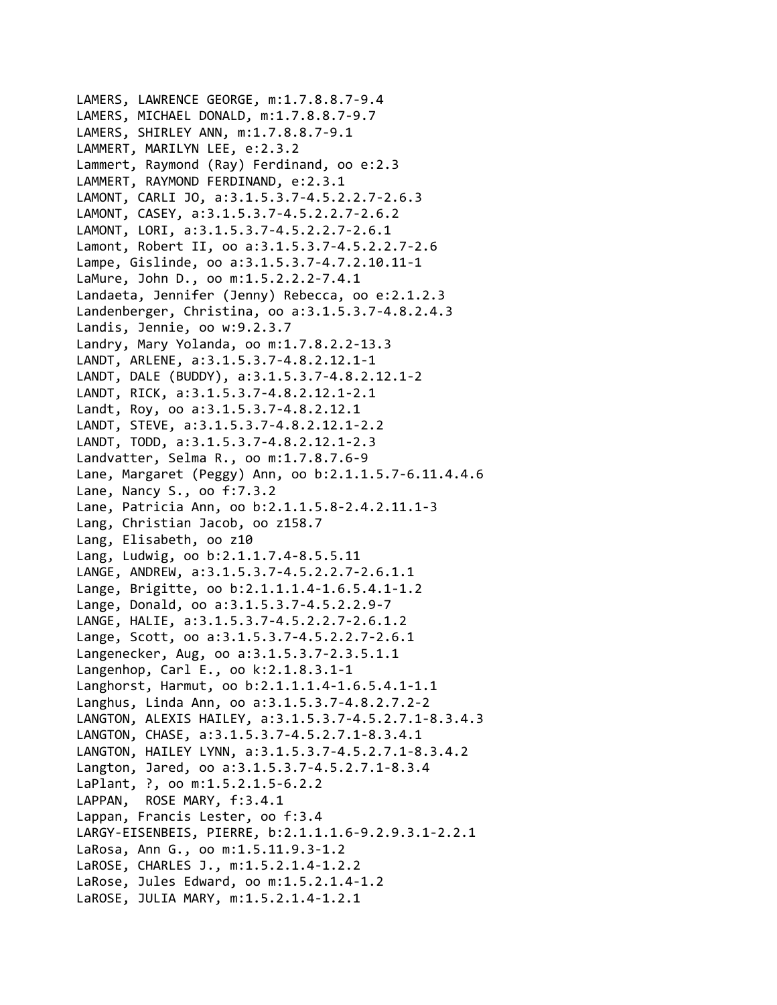```
LAMERS, LAWRENCE GEORGE, m:1.7.8.8.7‐9.4
LAMERS, MICHAEL DONALD, m:1.7.8.8.7‐9.7
LAMERS, SHIRLEY ANN, m:1.7.8.8.7‐9.1
LAMMERT, MARILYN LEE, e:2.3.2
Lammert, Raymond (Ray) Ferdinand, oo e:2.3
LAMMERT, RAYMOND FERDINAND, e:2.3.1
LAMONT, CARLI JO, a:3.1.5.3.7‐4.5.2.2.7‐2.6.3
LAMONT, CASEY, a:3.1.5.3.7‐4.5.2.2.7‐2.6.2
LAMONT, LORI, a:3.1.5.3.7‐4.5.2.2.7‐2.6.1
Lamont, Robert II, oo a:3.1.5.3.7‐4.5.2.2.7‐2.6
Lampe, Gislinde, oo a:3.1.5.3.7‐4.7.2.10.11‐1
LaMure, John D., oo m:1.5.2.2.2‐7.4.1
Landaeta, Jennifer (Jenny) Rebecca, oo e:2.1.2.3
Landenberger, Christina, oo a:3.1.5.3.7‐4.8.2.4.3
Landis, Jennie, oo w:9.2.3.7
Landry, Mary Yolanda, oo m:1.7.8.2.2‐13.3
LANDT, ARLENE, a:3.1.5.3.7‐4.8.2.12.1‐1
LANDT, DALE (BUDDY), a:3.1.5.3.7‐4.8.2.12.1‐2
LANDT, RICK, a:3.1.5.3.7‐4.8.2.12.1‐2.1
Landt, Roy, oo a:3.1.5.3.7‐4.8.2.12.1
LANDT, STEVE, a:3.1.5.3.7‐4.8.2.12.1‐2.2
LANDT, TODD, a:3.1.5.3.7‐4.8.2.12.1‐2.3
Landvatter, Selma R., oo m:1.7.8.7.6‐9
Lane, Margaret (Peggy) Ann, oo b:2.1.1.5.7‐6.11.4.4.6
Lane, Nancy S., oo f:7.3.2
Lane, Patricia Ann, oo b:2.1.1.5.8‐2.4.2.11.1‐3
Lang, Christian Jacob, oo z158.7
Lang, Elisabeth, oo z10
Lang, Ludwig, oo b:2.1.1.7.4‐8.5.5.11
LANGE, ANDREW, a:3.1.5.3.7‐4.5.2.2.7‐2.6.1.1
Lange, Brigitte, oo b:2.1.1.1.4‐1.6.5.4.1‐1.2
Lange, Donald, oo a:3.1.5.3.7‐4.5.2.2.9‐7
LANGE, HALIE, a:3.1.5.3.7‐4.5.2.2.7‐2.6.1.2
Lange, Scott, oo a:3.1.5.3.7‐4.5.2.2.7‐2.6.1
Langenecker, Aug, oo a:3.1.5.3.7‐2.3.5.1.1
Langenhop, Carl E., oo k:2.1.8.3.1‐1
Langhorst, Harmut, oo b:2.1.1.1.4‐1.6.5.4.1‐1.1
Langhus, Linda Ann, oo a:3.1.5.3.7‐4.8.2.7.2‐2
LANGTON, ALEXIS HAILEY, a:3.1.5.3.7‐4.5.2.7.1‐8.3.4.3
LANGTON, CHASE, a:3.1.5.3.7‐4.5.2.7.1‐8.3.4.1
LANGTON, HAILEY LYNN, a:3.1.5.3.7‐4.5.2.7.1‐8.3.4.2
Langton, Jared, oo a:3.1.5.3.7‐4.5.2.7.1‐8.3.4
LaPlant, ?, oo m:1.5.2.1.5‐6.2.2
LAPPAN,  ROSE MARY, f:3.4.1
Lappan, Francis Lester, oo f:3.4
LARGY‐EISENBEIS, PIERRE, b:2.1.1.1.6‐9.2.9.3.1‐2.2.1
LaRosa, Ann G., oo m:1.5.11.9.3‐1.2
LaROSE, CHARLES J., m:1.5.2.1.4‐1.2.2
LaRose, Jules Edward, oo m:1.5.2.1.4‐1.2
LaROSE, JULIA MARY, m:1.5.2.1.4‐1.2.1
```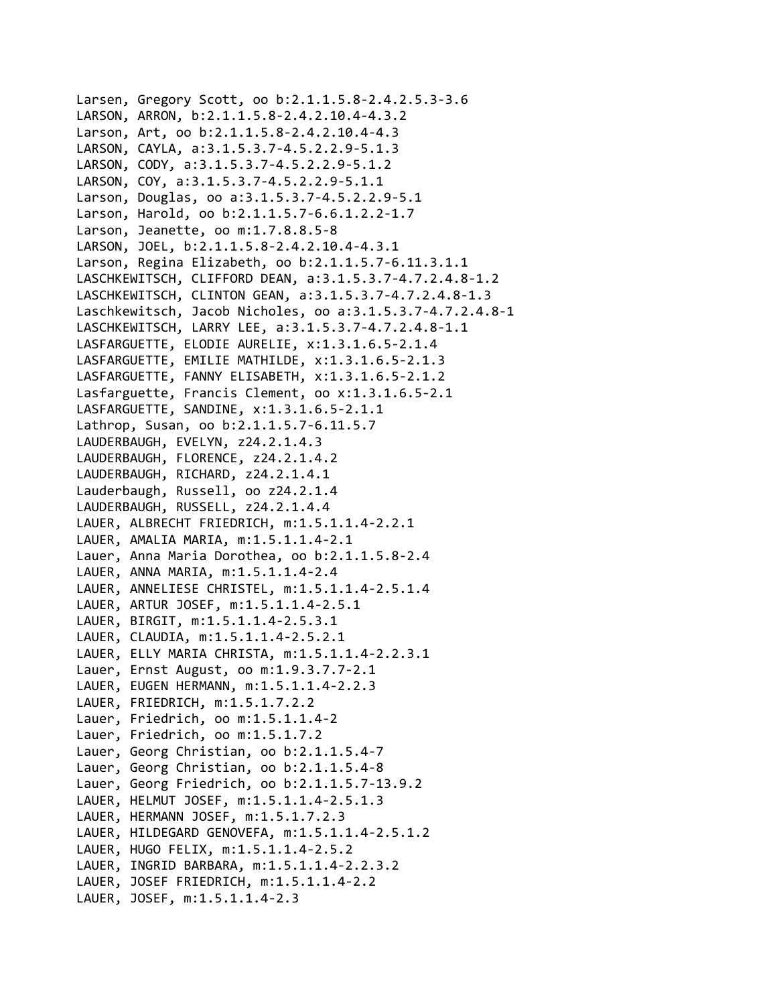```
Larsen, Gregory Scott, oo b:2.1.1.5.8‐2.4.2.5.3‐3.6
LARSON, ARRON, b:2.1.1.5.8‐2.4.2.10.4‐4.3.2
Larson, Art, oo b:2.1.1.5.8‐2.4.2.10.4‐4.3
LARSON, CAYLA, a:3.1.5.3.7‐4.5.2.2.9‐5.1.3
LARSON, CODY, a:3.1.5.3.7‐4.5.2.2.9‐5.1.2
LARSON, COY, a:3.1.5.3.7‐4.5.2.2.9‐5.1.1
Larson, Douglas, oo a:3.1.5.3.7‐4.5.2.2.9‐5.1
Larson, Harold, oo b:2.1.1.5.7‐6.6.1.2.2‐1.7
Larson, Jeanette, oo m:1.7.8.8.5‐8
LARSON, JOEL, b:2.1.1.5.8‐2.4.2.10.4‐4.3.1
Larson, Regina Elizabeth, oo b:2.1.1.5.7‐6.11.3.1.1
LASCHKEWITSCH, CLIFFORD DEAN, a:3.1.5.3.7‐4.7.2.4.8‐1.2
LASCHKEWITSCH, CLINTON GEAN, a:3.1.5.3.7‐4.7.2.4.8‐1.3
Laschkewitsch, Jacob Nicholes, oo a:3.1.5.3.7‐4.7.2.4.8‐1
LASCHKEWITSCH, LARRY LEE, a:3.1.5.3.7‐4.7.2.4.8‐1.1
LASFARGUETTE, ELODIE AURELIE, x:1.3.1.6.5‐2.1.4
LASFARGUETTE, EMILIE MATHILDE, x:1.3.1.6.5‐2.1.3
LASFARGUETTE, FANNY ELISABETH, x:1.3.1.6.5‐2.1.2
Lasfarguette, Francis Clement, oo x:1.3.1.6.5‐2.1
LASFARGUETTE, SANDINE, x:1.3.1.6.5‐2.1.1
Lathrop, Susan, oo b:2.1.1.5.7‐6.11.5.7
LAUDERBAUGH, EVELYN, z24.2.1.4.3
LAUDERBAUGH, FLORENCE, z24.2.1.4.2
LAUDERBAUGH, RICHARD, z24.2.1.4.1
Lauderbaugh, Russell, oo z24.2.1.4
LAUDERBAUGH, RUSSELL, z24.2.1.4.4
LAUER, ALBRECHT FRIEDRICH, m:1.5.1.1.4‐2.2.1
LAUER, AMALIA MARIA, m:1.5.1.1.4‐2.1
Lauer, Anna Maria Dorothea, oo b:2.1.1.5.8‐2.4
LAUER, ANNA MARIA, m:1.5.1.1.4‐2.4
LAUER, ANNELIESE CHRISTEL, m:1.5.1.1.4‐2.5.1.4
LAUER, ARTUR JOSEF, m:1.5.1.1.4‐2.5.1
LAUER, BIRGIT, m:1.5.1.1.4‐2.5.3.1
LAUER, CLAUDIA, m:1.5.1.1.4‐2.5.2.1
LAUER, ELLY MARIA CHRISTA, m:1.5.1.1.4‐2.2.3.1
Lauer, Ernst August, oo m:1.9.3.7.7‐2.1
LAUER, EUGEN HERMANN, m:1.5.1.1.4‐2.2.3
LAUER, FRIEDRICH, m:1.5.1.7.2.2
Lauer, Friedrich, oo m:1.5.1.1.4‐2
Lauer, Friedrich, oo m:1.5.1.7.2
Lauer, Georg Christian, oo b:2.1.1.5.4‐7
Lauer, Georg Christian, oo b:2.1.1.5.4‐8
Lauer, Georg Friedrich, oo b:2.1.1.5.7‐13.9.2
LAUER, HELMUT JOSEF, m:1.5.1.1.4‐2.5.1.3
LAUER, HERMANN JOSEF, m:1.5.1.7.2.3
LAUER, HILDEGARD GENOVEFA, m:1.5.1.1.4‐2.5.1.2
LAUER, HUGO FELIX, m:1.5.1.1.4‐2.5.2
LAUER, INGRID BARBARA, m:1.5.1.1.4‐2.2.3.2
LAUER, JOSEF FRIEDRICH, m:1.5.1.1.4‐2.2
LAUER, JOSEF, m:1.5.1.1.4‐2.3
```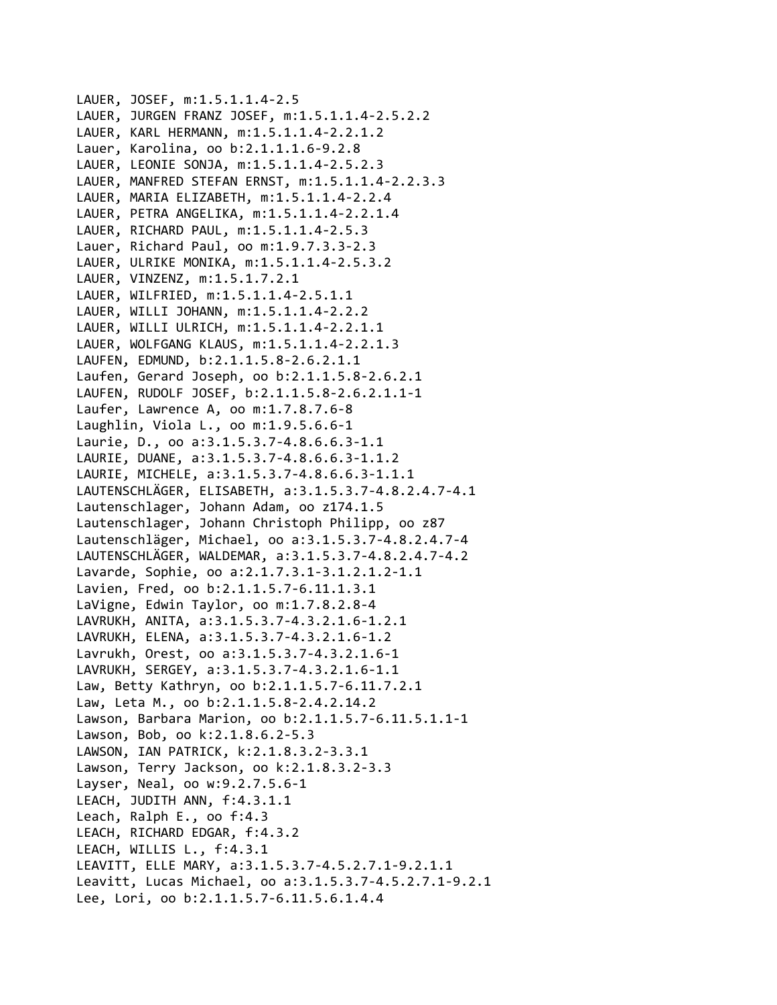```
LAUER, JOSEF, m:1.5.1.1.4‐2.5
LAUER, JURGEN FRANZ JOSEF, m:1.5.1.1.4‐2.5.2.2
LAUER, KARL HERMANN, m:1.5.1.1.4‐2.2.1.2
Lauer, Karolina, oo b:2.1.1.1.6‐9.2.8
LAUER, LEONIE SONJA, m:1.5.1.1.4‐2.5.2.3
LAUER, MANFRED STEFAN ERNST, m:1.5.1.1.4‐2.2.3.3
LAUER, MARIA ELIZABETH, m:1.5.1.1.4‐2.2.4
LAUER, PETRA ANGELIKA, m:1.5.1.1.4‐2.2.1.4
LAUER, RICHARD PAUL, m:1.5.1.1.4‐2.5.3
Lauer, Richard Paul, oo m:1.9.7.3.3‐2.3
LAUER, ULRIKE MONIKA, m:1.5.1.1.4‐2.5.3.2
LAUER, VINZENZ, m:1.5.1.7.2.1
LAUER, WILFRIED, m:1.5.1.1.4‐2.5.1.1
LAUER, WILLI JOHANN, m:1.5.1.1.4‐2.2.2
LAUER, WILLI ULRICH, m:1.5.1.1.4‐2.2.1.1
LAUER, WOLFGANG KLAUS, m:1.5.1.1.4‐2.2.1.3
LAUFEN, EDMUND, b:2.1.1.5.8‐2.6.2.1.1
Laufen, Gerard Joseph, oo b:2.1.1.5.8‐2.6.2.1
LAUFEN, RUDOLF JOSEF, b:2.1.1.5.8‐2.6.2.1.1‐1
Laufer, Lawrence A, oo m:1.7.8.7.6‐8
Laughlin, Viola L., oo m:1.9.5.6.6‐1
Laurie, D., oo a:3.1.5.3.7‐4.8.6.6.3‐1.1
LAURIE, DUANE, a:3.1.5.3.7‐4.8.6.6.3‐1.1.2
LAURIE, MICHELE, a:3.1.5.3.7‐4.8.6.6.3‐1.1.1
LAUTENSCHLÄGER, ELISABETH, a:3.1.5.3.7‐4.8.2.4.7‐4.1
Lautenschlager, Johann Adam, oo z174.1.5
Lautenschlager, Johann Christoph Philipp, oo z87
Lautenschläger, Michael, oo a:3.1.5.3.7‐4.8.2.4.7‐4
LAUTENSCHLÄGER, WALDEMAR, a:3.1.5.3.7‐4.8.2.4.7‐4.2
Lavarde, Sophie, oo a:2.1.7.3.1‐3.1.2.1.2‐1.1
Lavien, Fred, oo b:2.1.1.5.7‐6.11.1.3.1
LaVigne, Edwin Taylor, oo m:1.7.8.2.8‐4
LAVRUKH, ANITA, a:3.1.5.3.7‐4.3.2.1.6‐1.2.1
LAVRUKH, ELENA, a:3.1.5.3.7‐4.3.2.1.6‐1.2
Lavrukh, Orest, oo a:3.1.5.3.7‐4.3.2.1.6‐1
LAVRUKH, SERGEY, a:3.1.5.3.7‐4.3.2.1.6‐1.1
Law, Betty Kathryn, oo b:2.1.1.5.7‐6.11.7.2.1
Law, Leta M., oo b:2.1.1.5.8‐2.4.2.14.2
Lawson, Barbara Marion, oo b:2.1.1.5.7‐6.11.5.1.1‐1
Lawson, Bob, oo k:2.1.8.6.2‐5.3
LAWSON, IAN PATRICK, k:2.1.8.3.2‐3.3.1
Lawson, Terry Jackson, oo k:2.1.8.3.2‐3.3
Layser, Neal, oo w:9.2.7.5.6‐1
LEACH, JUDITH ANN, f:4.3.1.1
Leach, Ralph E., oo f:4.3
LEACH, RICHARD EDGAR, f:4.3.2
LEACH, WILLIS L., f:4.3.1
LEAVITT, ELLE MARY, a:3.1.5.3.7‐4.5.2.7.1‐9.2.1.1
Leavitt, Lucas Michael, oo a:3.1.5.3.7‐4.5.2.7.1‐9.2.1
Lee, Lori, oo b:2.1.1.5.7‐6.11.5.6.1.4.4
```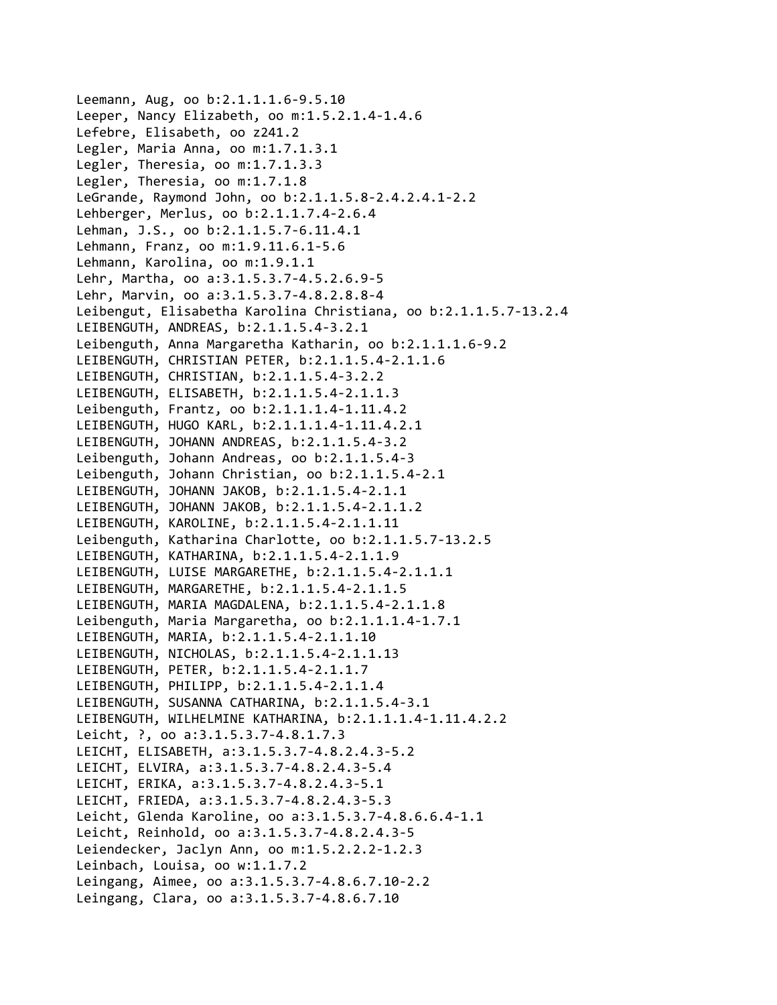Leemann, Aug, oo b:2.1.1.1.6‐9.5.10 Leeper, Nancy Elizabeth, oo m:1.5.2.1.4‐1.4.6 Lefebre, Elisabeth, oo z241.2 Legler, Maria Anna, oo m:1.7.1.3.1 Legler, Theresia, oo m:1.7.1.3.3 Legler, Theresia, oo m:1.7.1.8 LeGrande, Raymond John, oo b:2.1.1.5.8‐2.4.2.4.1‐2.2 Lehberger, Merlus, oo b:2.1.1.7.4‐2.6.4 Lehman, J.S., oo b:2.1.1.5.7‐6.11.4.1 Lehmann, Franz, oo m:1.9.11.6.1‐5.6 Lehmann, Karolina, oo m:1.9.1.1 Lehr, Martha, oo a:3.1.5.3.7‐4.5.2.6.9‐5 Lehr, Marvin, oo a:3.1.5.3.7‐4.8.2.8.8‐4 Leibengut, Elisabetha Karolina Christiana, oo b:2.1.1.5.7‐13.2.4 LEIBENGUTH, ANDREAS, b:2.1.1.5.4‐3.2.1 Leibenguth, Anna Margaretha Katharin, oo b:2.1.1.1.6‐9.2 LEIBENGUTH, CHRISTIAN PETER, b:2.1.1.5.4‐2.1.1.6 LEIBENGUTH, CHRISTIAN, b:2.1.1.5.4‐3.2.2 LEIBENGUTH, ELISABETH, b:2.1.1.5.4‐2.1.1.3 Leibenguth, Frantz, oo b:2.1.1.1.4‐1.11.4.2 LEIBENGUTH, HUGO KARL, b:2.1.1.1.4‐1.11.4.2.1 LEIBENGUTH, JOHANN ANDREAS, b:2.1.1.5.4‐3.2 Leibenguth, Johann Andreas, oo b:2.1.1.5.4‐3 Leibenguth, Johann Christian, oo b:2.1.1.5.4‐2.1 LEIBENGUTH, JOHANN JAKOB, b:2.1.1.5.4‐2.1.1 LEIBENGUTH, JOHANN JAKOB, b:2.1.1.5.4‐2.1.1.2 LEIBENGUTH, KAROLINE, b:2.1.1.5.4‐2.1.1.11 Leibenguth, Katharina Charlotte, oo b:2.1.1.5.7‐13.2.5 LEIBENGUTH, KATHARINA, b:2.1.1.5.4‐2.1.1.9 LEIBENGUTH, LUISE MARGARETHE, b:2.1.1.5.4‐2.1.1.1 LEIBENGUTH, MARGARETHE, b:2.1.1.5.4‐2.1.1.5 LEIBENGUTH, MARIA MAGDALENA, b:2.1.1.5.4‐2.1.1.8 Leibenguth, Maria Margaretha, oo b:2.1.1.1.4‐1.7.1 LEIBENGUTH, MARIA, b:2.1.1.5.4‐2.1.1.10 LEIBENGUTH, NICHOLAS, b:2.1.1.5.4‐2.1.1.13 LEIBENGUTH, PETER, b:2.1.1.5.4‐2.1.1.7 LEIBENGUTH, PHILIPP, b:2.1.1.5.4‐2.1.1.4 LEIBENGUTH, SUSANNA CATHARINA, b:2.1.1.5.4‐3.1 LEIBENGUTH, WILHELMINE KATHARINA, b:2.1.1.1.4‐1.11.4.2.2 Leicht, ?, oo a:3.1.5.3.7‐4.8.1.7.3 LEICHT, ELISABETH, a:3.1.5.3.7‐4.8.2.4.3‐5.2 LEICHT, ELVIRA, a:3.1.5.3.7‐4.8.2.4.3‐5.4 LEICHT, ERIKA, a:3.1.5.3.7‐4.8.2.4.3‐5.1 LEICHT, FRIEDA, a:3.1.5.3.7‐4.8.2.4.3‐5.3 Leicht, Glenda Karoline, oo a:3.1.5.3.7‐4.8.6.6.4‐1.1 Leicht, Reinhold, oo a:3.1.5.3.7‐4.8.2.4.3‐5 Leiendecker, Jaclyn Ann, oo m:1.5.2.2.2‐1.2.3 Leinbach, Louisa, oo w:1.1.7.2 Leingang, Aimee, oo a:3.1.5.3.7‐4.8.6.7.10‐2.2 Leingang, Clara, oo a:3.1.5.3.7‐4.8.6.7.10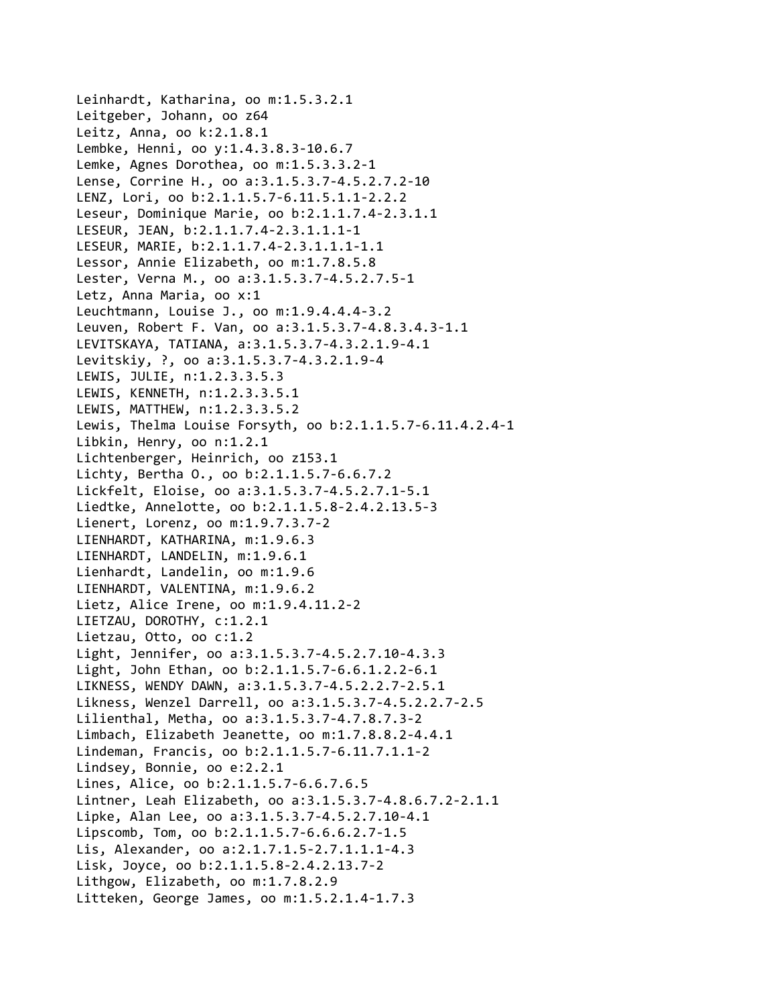```
Leinhardt, Katharina, oo m:1.5.3.2.1
Leitgeber, Johann, oo z64
Leitz, Anna, oo k:2.1.8.1
Lembke, Henni, oo y:1.4.3.8.3‐10.6.7
Lemke, Agnes Dorothea, oo m:1.5.3.3.2‐1
Lense, Corrine H., oo a:3.1.5.3.7‐4.5.2.7.2‐10
LENZ, Lori, oo b:2.1.1.5.7‐6.11.5.1.1‐2.2.2
Leseur, Dominique Marie, oo b:2.1.1.7.4‐2.3.1.1
LESEUR, JEAN, b:2.1.1.7.4‐2.3.1.1.1‐1
LESEUR, MARIE, b:2.1.1.7.4‐2.3.1.1.1‐1.1
Lessor, Annie Elizabeth, oo m:1.7.8.5.8
Lester, Verna M., oo a:3.1.5.3.7‐4.5.2.7.5‐1
Letz, Anna Maria, oo x:1
Leuchtmann, Louise J., oo m:1.9.4.4.4‐3.2
Leuven, Robert F. Van, oo a:3.1.5.3.7‐4.8.3.4.3‐1.1
LEVITSKAYA, TATIANA, a:3.1.5.3.7‐4.3.2.1.9‐4.1
Levitskiy, ?, oo a:3.1.5.3.7‐4.3.2.1.9‐4
LEWIS, JULIE, n:1.2.3.3.5.3
LEWIS, KENNETH, n:1.2.3.3.5.1
LEWIS, MATTHEW, n:1.2.3.3.5.2
Lewis, Thelma Louise Forsyth, oo b:2.1.1.5.7‐6.11.4.2.4‐1
Libkin, Henry, oo n:1.2.1
Lichtenberger, Heinrich, oo z153.1
Lichty, Bertha O., oo b:2.1.1.5.7‐6.6.7.2
Lickfelt, Eloise, oo a:3.1.5.3.7‐4.5.2.7.1‐5.1
Liedtke, Annelotte, oo b:2.1.1.5.8‐2.4.2.13.5‐3
Lienert, Lorenz, oo m:1.9.7.3.7‐2
LIENHARDT, KATHARINA, m:1.9.6.3
LIENHARDT, LANDELIN, m:1.9.6.1
Lienhardt, Landelin, oo m:1.9.6
LIENHARDT, VALENTINA, m:1.9.6.2
Lietz, Alice Irene, oo m:1.9.4.11.2‐2
LIETZAU, DOROTHY, c:1.2.1
Lietzau, Otto, oo c:1.2
Light, Jennifer, oo a:3.1.5.3.7‐4.5.2.7.10‐4.3.3
Light, John Ethan, oo b:2.1.1.5.7‐6.6.1.2.2‐6.1
LIKNESS, WENDY DAWN, a:3.1.5.3.7‐4.5.2.2.7‐2.5.1
Likness, Wenzel Darrell, oo a:3.1.5.3.7‐4.5.2.2.7‐2.5
Lilienthal, Metha, oo a:3.1.5.3.7‐4.7.8.7.3‐2
Limbach, Elizabeth Jeanette, oo m:1.7.8.8.2‐4.4.1
Lindeman, Francis, oo b:2.1.1.5.7‐6.11.7.1.1‐2
Lindsey, Bonnie, oo e:2.2.1
Lines, Alice, oo b:2.1.1.5.7‐6.6.7.6.5
Lintner, Leah Elizabeth, oo a:3.1.5.3.7‐4.8.6.7.2‐2.1.1
Lipke, Alan Lee, oo a:3.1.5.3.7‐4.5.2.7.10‐4.1
Lipscomb, Tom, oo b:2.1.1.5.7‐6.6.6.2.7‐1.5
Lis, Alexander, oo a:2.1.7.1.5‐2.7.1.1.1‐4.3
Lisk, Joyce, oo b:2.1.1.5.8‐2.4.2.13.7‐2
Lithgow, Elizabeth, oo m:1.7.8.2.9
Litteken, George James, oo m:1.5.2.1.4‐1.7.3
```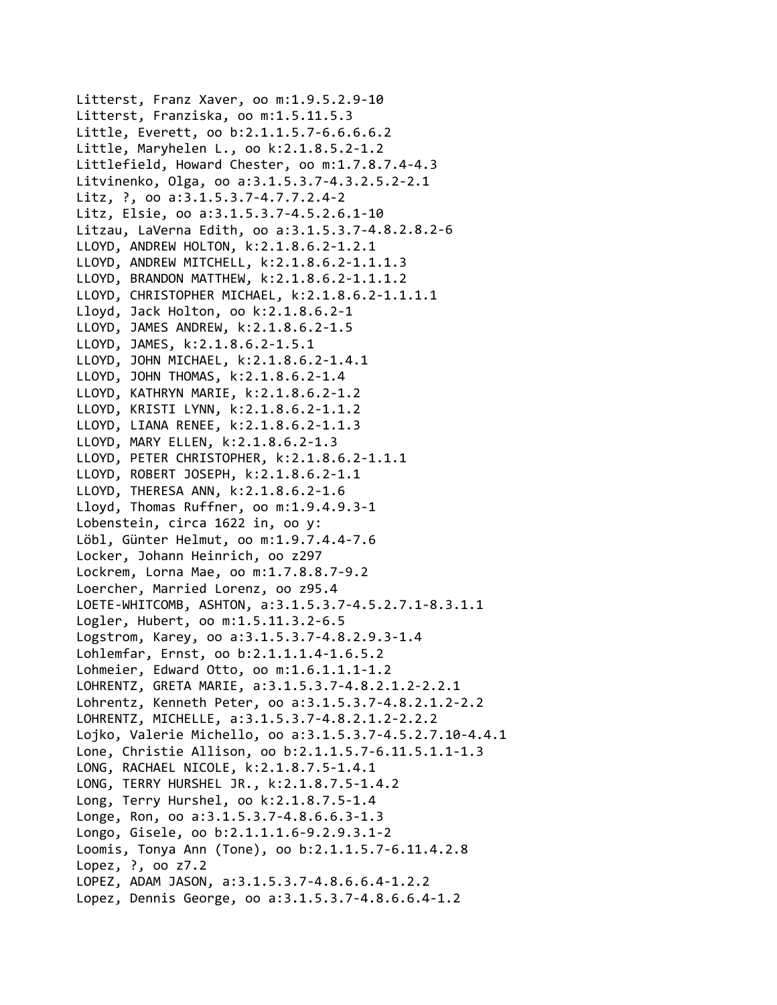Litterst, Franz Xaver, oo m:1.9.5.2.9‐10 Litterst, Franziska, oo m:1.5.11.5.3 Little, Everett, oo b:2.1.1.5.7‐6.6.6.6.2 Little, Maryhelen L., oo k:2.1.8.5.2‐1.2 Littlefield, Howard Chester, oo m:1.7.8.7.4‐4.3 Litvinenko, Olga, oo a:3.1.5.3.7‐4.3.2.5.2‐2.1 Litz, ?, oo a:3.1.5.3.7‐4.7.7.2.4‐2 Litz, Elsie, oo a:3.1.5.3.7‐4.5.2.6.1‐10 Litzau, LaVerna Edith, oo a:3.1.5.3.7‐4.8.2.8.2‐6 LLOYD, ANDREW HOLTON, k:2.1.8.6.2‐1.2.1 LLOYD, ANDREW MITCHELL, k:2.1.8.6.2‐1.1.1.3 LLOYD, BRANDON MATTHEW, k:2.1.8.6.2‐1.1.1.2 LLOYD, CHRISTOPHER MICHAEL, k:2.1.8.6.2‐1.1.1.1 Lloyd, Jack Holton, oo k:2.1.8.6.2‐1 LLOYD, JAMES ANDREW, k:2.1.8.6.2‐1.5 LLOYD, JAMES, k:2.1.8.6.2‐1.5.1 LLOYD, JOHN MICHAEL, k:2.1.8.6.2‐1.4.1 LLOYD, JOHN THOMAS, k:2.1.8.6.2‐1.4 LLOYD, KATHRYN MARIE, k:2.1.8.6.2‐1.2 LLOYD, KRISTI LYNN, k:2.1.8.6.2‐1.1.2 LLOYD, LIANA RENEE, k:2.1.8.6.2‐1.1.3 LLOYD, MARY ELLEN, k:2.1.8.6.2‐1.3 LLOYD, PETER CHRISTOPHER, k:2.1.8.6.2‐1.1.1 LLOYD, ROBERT JOSEPH, k:2.1.8.6.2‐1.1 LLOYD, THERESA ANN, k:2.1.8.6.2‐1.6 Lloyd, Thomas Ruffner, oo m:1.9.4.9.3‐1 Lobenstein, circa 1622 in, oo y: Löbl, Günter Helmut, oo m:1.9.7.4.4‐7.6 Locker, Johann Heinrich, oo z297 Lockrem, Lorna Mae, oo m:1.7.8.8.7‐9.2 Loercher, Married Lorenz, oo z95.4 LOETE‐WHITCOMB, ASHTON, a:3.1.5.3.7‐4.5.2.7.1‐8.3.1.1 Logler, Hubert, oo m:1.5.11.3.2‐6.5 Logstrom, Karey, oo a:3.1.5.3.7‐4.8.2.9.3‐1.4 Lohlemfar, Ernst, oo b:2.1.1.1.4‐1.6.5.2 Lohmeier, Edward Otto, oo m:1.6.1.1.1‐1.2 LOHRENTZ, GRETA MARIE, a:3.1.5.3.7‐4.8.2.1.2‐2.2.1 Lohrentz, Kenneth Peter, oo a:3.1.5.3.7‐4.8.2.1.2‐2.2 LOHRENTZ, MICHELLE, a:3.1.5.3.7‐4.8.2.1.2‐2.2.2 Lojko, Valerie Michello, oo a:3.1.5.3.7‐4.5.2.7.10‐4.4.1 Lone, Christie Allison, oo b:2.1.1.5.7‐6.11.5.1.1‐1.3 LONG, RACHAEL NICOLE, k:2.1.8.7.5‐1.4.1 LONG, TERRY HURSHEL JR., k:2.1.8.7.5‐1.4.2 Long, Terry Hurshel, oo k:2.1.8.7.5‐1.4 Longe, Ron, oo a:3.1.5.3.7‐4.8.6.6.3‐1.3 Longo, Gisele, oo b:2.1.1.1.6‐9.2.9.3.1‐2 Loomis, Tonya Ann (Tone), oo b:2.1.1.5.7‐6.11.4.2.8 Lopez, ?, oo z7.2 LOPEZ, ADAM JASON, a:3.1.5.3.7‐4.8.6.6.4‐1.2.2 Lopez, Dennis George, oo a:3.1.5.3.7‐4.8.6.6.4‐1.2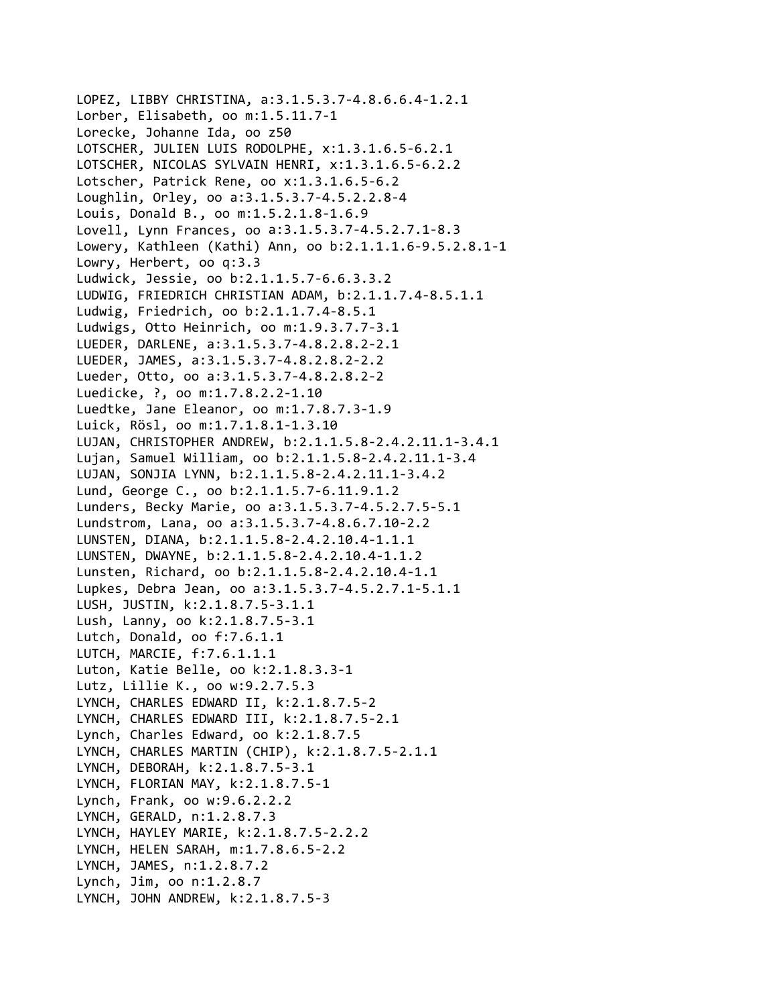LOPEZ, LIBBY CHRISTINA, a:3.1.5.3.7‐4.8.6.6.4‐1.2.1 Lorber, Elisabeth, oo m:1.5.11.7‐1 Lorecke, Johanne Ida, oo z50 LOTSCHER, JULIEN LUIS RODOLPHE, x:1.3.1.6.5‐6.2.1 LOTSCHER, NICOLAS SYLVAIN HENRI, x:1.3.1.6.5‐6.2.2 Lotscher, Patrick Rene, oo x:1.3.1.6.5‐6.2 Loughlin, Orley, oo a:3.1.5.3.7‐4.5.2.2.8‐4 Louis, Donald B., oo m:1.5.2.1.8‐1.6.9 Lovell, Lynn Frances, oo a:3.1.5.3.7‐4.5.2.7.1‐8.3 Lowery, Kathleen (Kathi) Ann, oo b:2.1.1.1.6‐9.5.2.8.1‐1 Lowry, Herbert, oo q:3.3 Ludwick, Jessie, oo b:2.1.1.5.7‐6.6.3.3.2 LUDWIG, FRIEDRICH CHRISTIAN ADAM, b:2.1.1.7.4‐8.5.1.1 Ludwig, Friedrich, oo b:2.1.1.7.4‐8.5.1 Ludwigs, Otto Heinrich, oo m:1.9.3.7.7‐3.1 LUEDER, DARLENE, a:3.1.5.3.7‐4.8.2.8.2‐2.1 LUEDER, JAMES, a:3.1.5.3.7‐4.8.2.8.2‐2.2 Lueder, Otto, oo a:3.1.5.3.7‐4.8.2.8.2‐2 Luedicke, ?, oo m:1.7.8.2.2‐1.10 Luedtke, Jane Eleanor, oo m:1.7.8.7.3‐1.9 Luick, Rösl, oo m:1.7.1.8.1‐1.3.10 LUJAN, CHRISTOPHER ANDREW, b:2.1.1.5.8‐2.4.2.11.1‐3.4.1 Lujan, Samuel William, oo b:2.1.1.5.8‐2.4.2.11.1‐3.4 LUJAN, SONJIA LYNN, b:2.1.1.5.8‐2.4.2.11.1‐3.4.2 Lund, George C., oo b:2.1.1.5.7‐6.11.9.1.2 Lunders, Becky Marie, oo a:3.1.5.3.7‐4.5.2.7.5‐5.1 Lundstrom, Lana, oo a:3.1.5.3.7‐4.8.6.7.10‐2.2 LUNSTEN, DIANA, b:2.1.1.5.8‐2.4.2.10.4‐1.1.1 LUNSTEN, DWAYNE, b:2.1.1.5.8‐2.4.2.10.4‐1.1.2 Lunsten, Richard, oo b:2.1.1.5.8‐2.4.2.10.4‐1.1 Lupkes, Debra Jean, oo a:3.1.5.3.7‐4.5.2.7.1‐5.1.1 LUSH, JUSTIN, k:2.1.8.7.5‐3.1.1 Lush, Lanny, oo k:2.1.8.7.5‐3.1 Lutch, Donald, oo f:7.6.1.1 LUTCH, MARCIE, f:7.6.1.1.1 Luton, Katie Belle, oo k:2.1.8.3.3‐1 Lutz, Lillie K., oo w:9.2.7.5.3 LYNCH, CHARLES EDWARD II, k:2.1.8.7.5‐2 LYNCH, CHARLES EDWARD III, k:2.1.8.7.5‐2.1 Lynch, Charles Edward, oo k:2.1.8.7.5 LYNCH, CHARLES MARTIN (CHIP), k:2.1.8.7.5‐2.1.1 LYNCH, DEBORAH, k:2.1.8.7.5‐3.1 LYNCH, FLORIAN MAY, k:2.1.8.7.5‐1 Lynch, Frank, oo w:9.6.2.2.2 LYNCH, GERALD, n:1.2.8.7.3 LYNCH, HAYLEY MARIE, k:2.1.8.7.5‐2.2.2 LYNCH, HELEN SARAH, m:1.7.8.6.5‐2.2 LYNCH, JAMES, n:1.2.8.7.2 Lynch, Jim, oo n:1.2.8.7 LYNCH, JOHN ANDREW, k:2.1.8.7.5‐3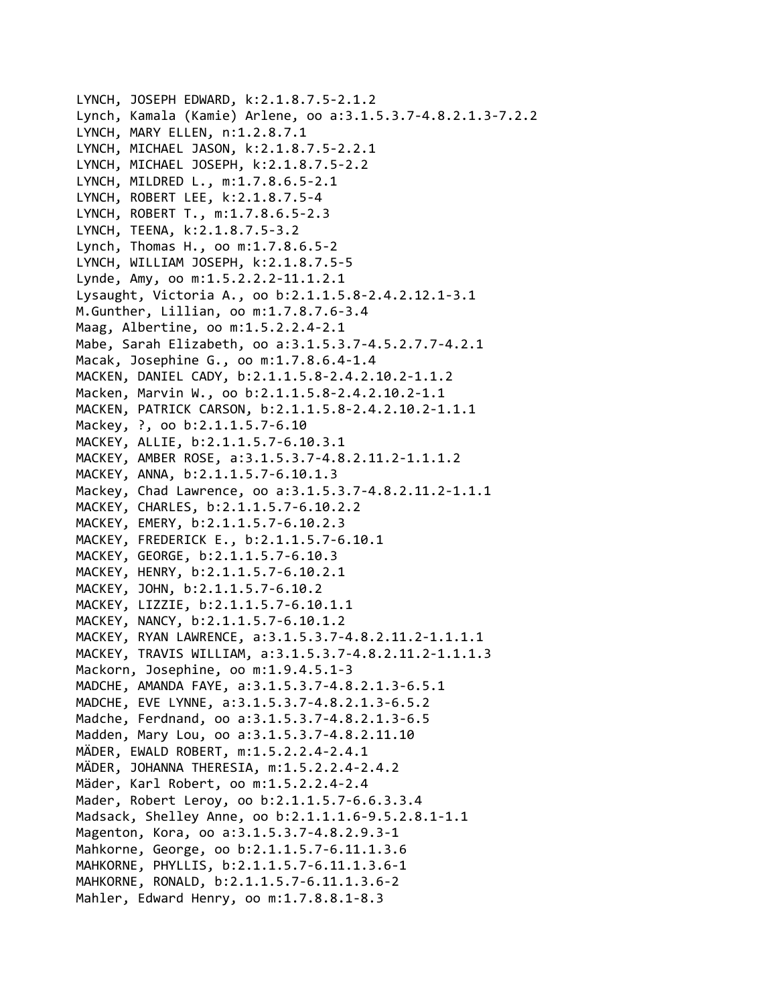```
LYNCH, JOSEPH EDWARD, k:2.1.8.7.5‐2.1.2
Lynch, Kamala (Kamie) Arlene, oo a:3.1.5.3.7‐4.8.2.1.3‐7.2.2
LYNCH, MARY ELLEN, n:1.2.8.7.1
LYNCH, MICHAEL JASON, k:2.1.8.7.5‐2.2.1
LYNCH, MICHAEL JOSEPH, k:2.1.8.7.5‐2.2
LYNCH, MILDRED L., m:1.7.8.6.5‐2.1
LYNCH, ROBERT LEE, k:2.1.8.7.5‐4
LYNCH, ROBERT T., m:1.7.8.6.5‐2.3
LYNCH, TEENA, k:2.1.8.7.5‐3.2
Lynch, Thomas H., oo m:1.7.8.6.5‐2
LYNCH, WILLIAM JOSEPH, k:2.1.8.7.5‐5
Lynde, Amy, oo m:1.5.2.2.2‐11.1.2.1
Lysaught, Victoria A., oo b:2.1.1.5.8‐2.4.2.12.1‐3.1
M.Gunther, Lillian, oo m:1.7.8.7.6‐3.4
Maag, Albertine, oo m:1.5.2.2.4‐2.1
Mabe, Sarah Elizabeth, oo a:3.1.5.3.7‐4.5.2.7.7‐4.2.1
Macak, Josephine G., oo m:1.7.8.6.4‐1.4
MACKEN, DANIEL CADY, b:2.1.1.5.8‐2.4.2.10.2‐1.1.2
Macken, Marvin W., oo b:2.1.1.5.8‐2.4.2.10.2‐1.1
MACKEN, PATRICK CARSON, b:2.1.1.5.8‐2.4.2.10.2‐1.1.1
Mackey, ?, oo b:2.1.1.5.7-6.10
MACKEY, ALLIE, b:2.1.1.5.7‐6.10.3.1
MACKEY, AMBER ROSE, a:3.1.5.3.7‐4.8.2.11.2‐1.1.1.2
MACKEY, ANNA, b:2.1.1.5.7‐6.10.1.3
Mackey, Chad Lawrence, oo a:3.1.5.3.7‐4.8.2.11.2‐1.1.1
MACKEY, CHARLES, b:2.1.1.5.7‐6.10.2.2
MACKEY, EMERY, b:2.1.1.5.7‐6.10.2.3
MACKEY, FREDERICK E., b:2.1.1.5.7‐6.10.1
MACKEY, GEORGE, b:2.1.1.5.7‐6.10.3
MACKEY, HENRY, b:2.1.1.5.7‐6.10.2.1
MACKEY, JOHN, b:2.1.1.5.7‐6.10.2
MACKEY, LIZZIE, b:2.1.1.5.7‐6.10.1.1
MACKEY, NANCY, b:2.1.1.5.7‐6.10.1.2
MACKEY, RYAN LAWRENCE, a:3.1.5.3.7‐4.8.2.11.2‐1.1.1.1
MACKEY, TRAVIS WILLIAM, a:3.1.5.3.7‐4.8.2.11.2‐1.1.1.3
Mackorn, Josephine, oo m:1.9.4.5.1‐3
MADCHE, AMANDA FAYE, a:3.1.5.3.7‐4.8.2.1.3‐6.5.1
MADCHE, EVE LYNNE, a:3.1.5.3.7‐4.8.2.1.3‐6.5.2
Madche, Ferdnand, oo a:3.1.5.3.7‐4.8.2.1.3‐6.5
Madden, Mary Lou, oo a:3.1.5.3.7‐4.8.2.11.10
MÄDER, EWALD ROBERT, m:1.5.2.2.4‐2.4.1
MÄDER, JOHANNA THERESIA, m:1.5.2.2.4‐2.4.2
Mäder, Karl Robert, oo m:1.5.2.2.4‐2.4
Mader, Robert Leroy, oo b:2.1.1.5.7‐6.6.3.3.4
Madsack, Shelley Anne, oo b:2.1.1.1.6‐9.5.2.8.1‐1.1
Magenton, Kora, oo a:3.1.5.3.7‐4.8.2.9.3‐1
Mahkorne, George, oo b:2.1.1.5.7‐6.11.1.3.6
MAHKORNE, PHYLLIS, b:2.1.1.5.7‐6.11.1.3.6‐1
MAHKORNE, RONALD, b:2.1.1.5.7‐6.11.1.3.6‐2
Mahler, Edward Henry, oo m:1.7.8.8.1‐8.3
```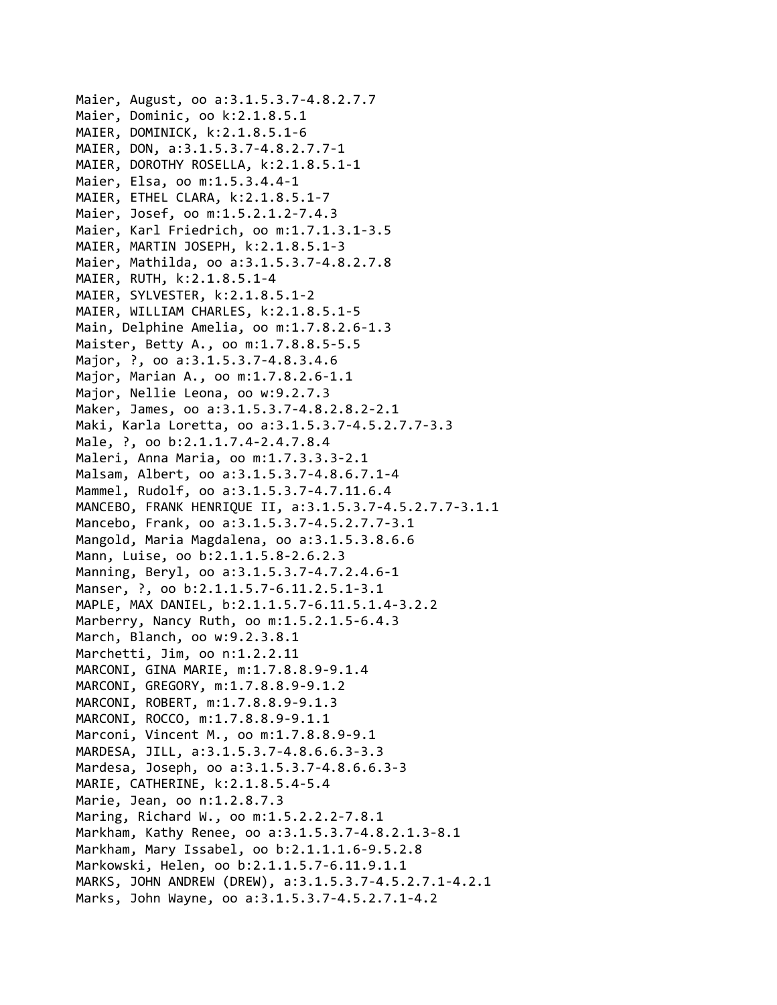```
Maier, August, oo a:3.1.5.3.7‐4.8.2.7.7
Maier, Dominic, oo k:2.1.8.5.1
MAIER, DOMINICK, k:2.1.8.5.1‐6
MAIER, DON, a:3.1.5.3.7‐4.8.2.7.7‐1
MAIER, DOROTHY ROSELLA, k:2.1.8.5.1‐1
Maier, Elsa, oo m:1.5.3.4.4‐1
MAIER, ETHEL CLARA, k:2.1.8.5.1‐7
Maier, Josef, oo m:1.5.2.1.2‐7.4.3
Maier, Karl Friedrich, oo m:1.7.1.3.1‐3.5
MAIER, MARTIN JOSEPH, k:2.1.8.5.1‐3
Maier, Mathilda, oo a:3.1.5.3.7‐4.8.2.7.8
MAIER, RUTH, k:2.1.8.5.1‐4
MAIER, SYLVESTER, k:2.1.8.5.1‐2
MAIER, WILLIAM CHARLES, k:2.1.8.5.1‐5
Main, Delphine Amelia, oo m:1.7.8.2.6‐1.3
Maister, Betty A., oo m:1.7.8.8.5‐5.5
Major, ?, oo a:3.1.5.3.7-4.8.3.4.6
Major, Marian A., oo m:1.7.8.2.6‐1.1
Major, Nellie Leona, oo w:9.2.7.3
Maker, James, oo a:3.1.5.3.7‐4.8.2.8.2‐2.1
Maki, Karla Loretta, oo a:3.1.5.3.7‐4.5.2.7.7‐3.3
Male, ?, oo b:2.1.1.7.4-2.4.7.8.4
Maleri, Anna Maria, oo m:1.7.3.3.3‐2.1
Malsam, Albert, oo a:3.1.5.3.7‐4.8.6.7.1‐4
Mammel, Rudolf, oo a:3.1.5.3.7‐4.7.11.6.4
MANCEBO, FRANK HENRIQUE II, a:3.1.5.3.7‐4.5.2.7.7‐3.1.1
Mancebo, Frank, oo a:3.1.5.3.7‐4.5.2.7.7‐3.1
Mangold, Maria Magdalena, oo a:3.1.5.3.8.6.6
Mann, Luise, oo b:2.1.1.5.8‐2.6.2.3
Manning, Beryl, oo a:3.1.5.3.7‐4.7.2.4.6‐1
Manser, ?, oo b:2.1.1.5.7-6.11.2.5.1-3.1
MAPLE, MAX DANIEL, b:2.1.1.5.7‐6.11.5.1.4‐3.2.2
Marberry, Nancy Ruth, oo m:1.5.2.1.5‐6.4.3
March, Blanch, oo w:9.2.3.8.1
Marchetti, Jim, oo n:1.2.2.11
MARCONI, GINA MARIE, m:1.7.8.8.9‐9.1.4
MARCONI, GREGORY, m:1.7.8.8.9‐9.1.2
MARCONI, ROBERT, m:1.7.8.8.9‐9.1.3
MARCONI, ROCCO, m:1.7.8.8.9‐9.1.1
Marconi, Vincent M., oo m:1.7.8.8.9‐9.1
MARDESA, JILL, a:3.1.5.3.7‐4.8.6.6.3‐3.3
Mardesa, Joseph, oo a:3.1.5.3.7‐4.8.6.6.3‐3
MARIE, CATHERINE, k:2.1.8.5.4‐5.4
Marie, Jean, oo n:1.2.8.7.3
Maring, Richard W., oo m:1.5.2.2.2-7.8.1
Markham, Kathy Renee, oo a:3.1.5.3.7‐4.8.2.1.3‐8.1
Markham, Mary Issabel, oo b:2.1.1.1.6‐9.5.2.8
Markowski, Helen, oo b:2.1.1.5.7‐6.11.9.1.1
MARKS, JOHN ANDREW (DREW), a:3.1.5.3.7‐4.5.2.7.1‐4.2.1
Marks, John Wayne, oo a:3.1.5.3.7‐4.5.2.7.1‐4.2
```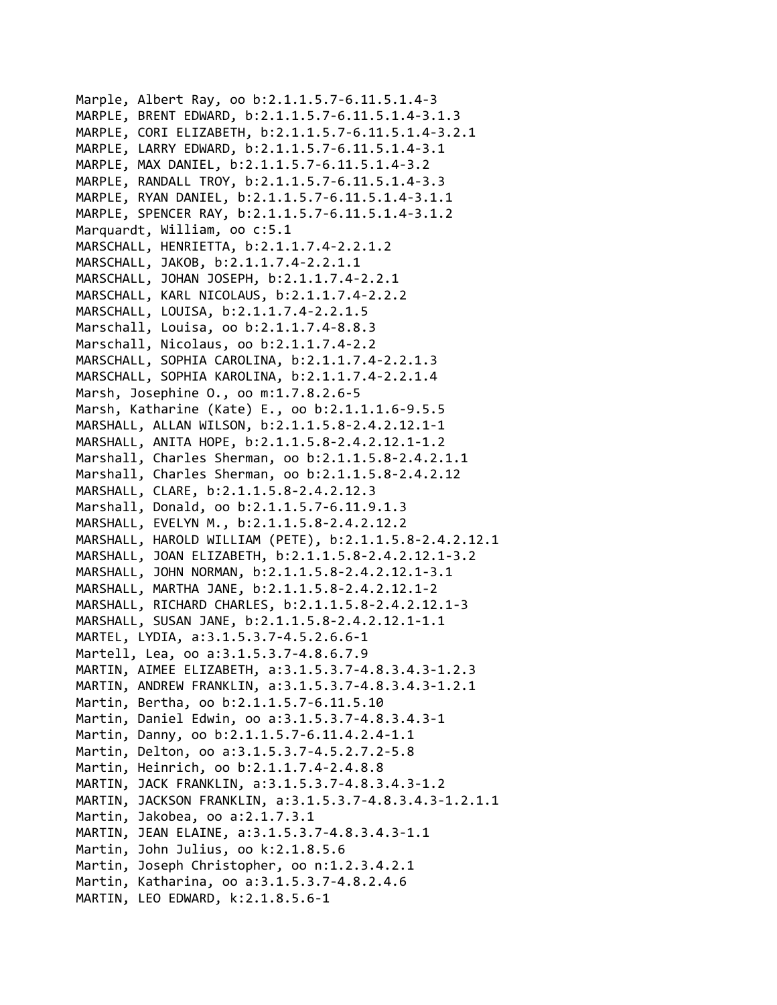Marple, Albert Ray, oo b:2.1.1.5.7‐6.11.5.1.4‐3 MARPLE, BRENT EDWARD, b:2.1.1.5.7‐6.11.5.1.4‐3.1.3 MARPLE, CORI ELIZABETH, b:2.1.1.5.7‐6.11.5.1.4‐3.2.1 MARPLE, LARRY EDWARD, b:2.1.1.5.7‐6.11.5.1.4‐3.1 MARPLE, MAX DANIEL, b:2.1.1.5.7‐6.11.5.1.4‐3.2 MARPLE, RANDALL TROY, b:2.1.1.5.7‐6.11.5.1.4‐3.3 MARPLE, RYAN DANIEL, b:2.1.1.5.7‐6.11.5.1.4‐3.1.1 MARPLE, SPENCER RAY, b:2.1.1.5.7‐6.11.5.1.4‐3.1.2 Marquardt, William, oo c:5.1 MARSCHALL, HENRIETTA, b:2.1.1.7.4‐2.2.1.2 MARSCHALL, JAKOB, b:2.1.1.7.4‐2.2.1.1 MARSCHALL, JOHAN JOSEPH, b:2.1.1.7.4‐2.2.1 MARSCHALL, KARL NICOLAUS, b:2.1.1.7.4‐2.2.2 MARSCHALL, LOUISA, b:2.1.1.7.4‐2.2.1.5 Marschall, Louisa, oo b:2.1.1.7.4‐8.8.3 Marschall, Nicolaus, oo b:2.1.1.7.4‐2.2 MARSCHALL, SOPHIA CAROLINA, b:2.1.1.7.4‐2.2.1.3 MARSCHALL, SOPHIA KAROLINA, b:2.1.1.7.4‐2.2.1.4 Marsh, Josephine O., oo m:1.7.8.2.6‐5 Marsh, Katharine (Kate) E., oo b:2.1.1.1.6‐9.5.5 MARSHALL, ALLAN WILSON, b:2.1.1.5.8‐2.4.2.12.1‐1 MARSHALL, ANITA HOPE, b:2.1.1.5.8‐2.4.2.12.1‐1.2 Marshall, Charles Sherman, oo b:2.1.1.5.8‐2.4.2.1.1 Marshall, Charles Sherman, oo b:2.1.1.5.8‐2.4.2.12 MARSHALL, CLARE, b:2.1.1.5.8‐2.4.2.12.3 Marshall, Donald, oo b:2.1.1.5.7‐6.11.9.1.3 MARSHALL, EVELYN M., b:2.1.1.5.8‐2.4.2.12.2 MARSHALL, HAROLD WILLIAM (PETE), b:2.1.1.5.8‐2.4.2.12.1 MARSHALL, JOAN ELIZABETH, b:2.1.1.5.8‐2.4.2.12.1‐3.2 MARSHALL, JOHN NORMAN, b:2.1.1.5.8‐2.4.2.12.1‐3.1 MARSHALL, MARTHA JANE, b:2.1.1.5.8‐2.4.2.12.1‐2 MARSHALL, RICHARD CHARLES, b:2.1.1.5.8‐2.4.2.12.1‐3 MARSHALL, SUSAN JANE, b:2.1.1.5.8‐2.4.2.12.1‐1.1 MARTEL, LYDIA, a:3.1.5.3.7‐4.5.2.6.6‐1 Martell, Lea, oo a:3.1.5.3.7‐4.8.6.7.9 MARTIN, AIMEE ELIZABETH, a:3.1.5.3.7‐4.8.3.4.3‐1.2.3 MARTIN, ANDREW FRANKLIN, a:3.1.5.3.7‐4.8.3.4.3‐1.2.1 Martin, Bertha, oo b:2.1.1.5.7‐6.11.5.10 Martin, Daniel Edwin, oo a:3.1.5.3.7‐4.8.3.4.3‐1 Martin, Danny, oo b:2.1.1.5.7‐6.11.4.2.4‐1.1 Martin, Delton, oo a:3.1.5.3.7‐4.5.2.7.2‐5.8 Martin, Heinrich, oo b:2.1.1.7.4‐2.4.8.8 MARTIN, JACK FRANKLIN, a:3.1.5.3.7‐4.8.3.4.3‐1.2 MARTIN, JACKSON FRANKLIN, a:3.1.5.3.7‐4.8.3.4.3‐1.2.1.1 Martin, Jakobea, oo a:2.1.7.3.1 MARTIN, JEAN ELAINE, a:3.1.5.3.7‐4.8.3.4.3‐1.1 Martin, John Julius, oo k:2.1.8.5.6 Martin, Joseph Christopher, oo n:1.2.3.4.2.1 Martin, Katharina, oo a:3.1.5.3.7‐4.8.2.4.6 MARTIN, LEO EDWARD, k:2.1.8.5.6‐1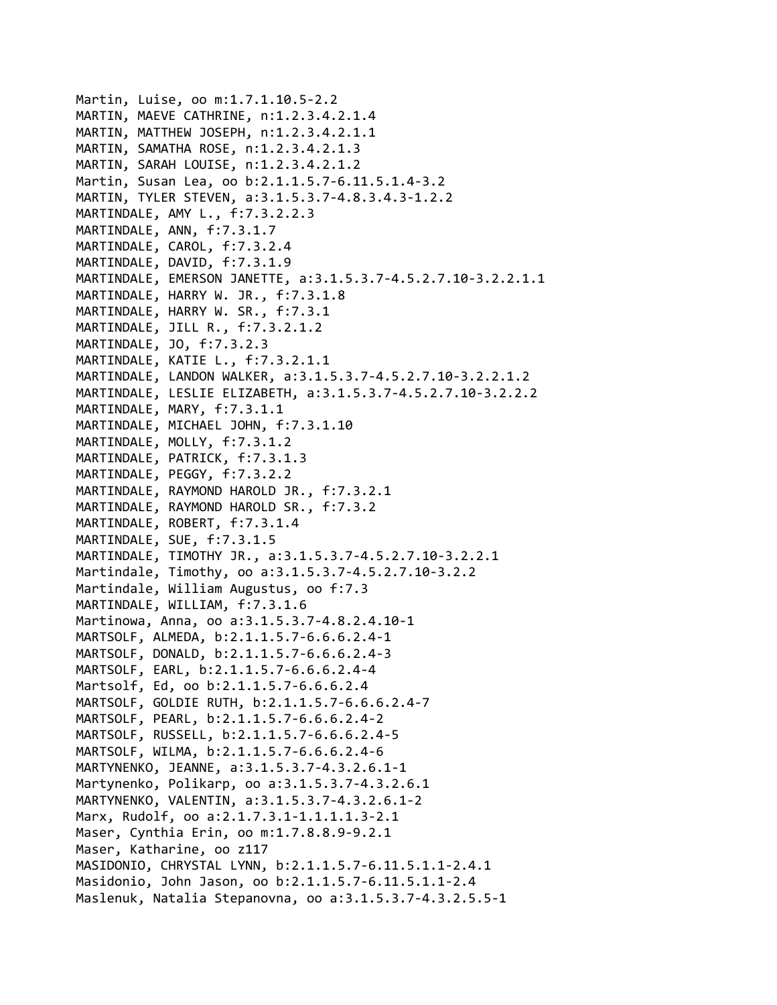```
Martin, Luise, oo m:1.7.1.10.5‐2.2
MARTIN, MAEVE CATHRINE, n:1.2.3.4.2.1.4
MARTIN, MATTHEW JOSEPH, n:1.2.3.4.2.1.1
MARTIN, SAMATHA ROSE, n:1.2.3.4.2.1.3
MARTIN, SARAH LOUISE, n:1.2.3.4.2.1.2
Martin, Susan Lea, oo b:2.1.1.5.7‐6.11.5.1.4‐3.2
MARTIN, TYLER STEVEN, a:3.1.5.3.7‐4.8.3.4.3‐1.2.2
MARTINDALE, AMY L., f:7.3.2.2.3
MARTINDALE, ANN, f:7.3.1.7
MARTINDALE, CAROL, f:7.3.2.4
MARTINDALE, DAVID, f:7.3.1.9
MARTINDALE, EMERSON JANETTE, a:3.1.5.3.7‐4.5.2.7.10‐3.2.2.1.1
MARTINDALE, HARRY W. JR., f:7.3.1.8
MARTINDALE, HARRY W. SR., f:7.3.1
MARTINDALE, JILL R., f:7.3.2.1.2
MARTINDALE, JO, f:7.3.2.3
MARTINDALE, KATIE L., f:7.3.2.1.1
MARTINDALE, LANDON WALKER, a:3.1.5.3.7‐4.5.2.7.10‐3.2.2.1.2
MARTINDALE, LESLIE ELIZABETH, a:3.1.5.3.7‐4.5.2.7.10‐3.2.2.2
MARTINDALE, MARY, f:7.3.1.1
MARTINDALE, MICHAEL JOHN, f:7.3.1.10
MARTINDALE, MOLLY, f:7.3.1.2
MARTINDALE, PATRICK, f:7.3.1.3
MARTINDALE, PEGGY, f:7.3.2.2
MARTINDALE, RAYMOND HAROLD JR., f:7.3.2.1
MARTINDALE, RAYMOND HAROLD SR., f:7.3.2
MARTINDALE, ROBERT, f:7.3.1.4
MARTINDALE, SUE, f:7.3.1.5
MARTINDALE, TIMOTHY JR., a:3.1.5.3.7‐4.5.2.7.10‐3.2.2.1
Martindale, Timothy, oo a:3.1.5.3.7‐4.5.2.7.10‐3.2.2
Martindale, William Augustus, oo f:7.3
MARTINDALE, WILLIAM, f:7.3.1.6
Martinowa, Anna, oo a:3.1.5.3.7‐4.8.2.4.10‐1
MARTSOLF, ALMEDA, b:2.1.1.5.7‐6.6.6.2.4‐1
MARTSOLF, DONALD, b:2.1.1.5.7‐6.6.6.2.4‐3
MARTSOLF, EARL, b:2.1.1.5.7‐6.6.6.2.4‐4
Martsolf, Ed, oo b:2.1.1.5.7‐6.6.6.2.4
MARTSOLF, GOLDIE RUTH, b:2.1.1.5.7‐6.6.6.2.4‐7
MARTSOLF, PEARL, b:2.1.1.5.7‐6.6.6.2.4‐2
MARTSOLF, RUSSELL, b:2.1.1.5.7‐6.6.6.2.4‐5
MARTSOLF, WILMA, b:2.1.1.5.7‐6.6.6.2.4‐6
MARTYNENKO, JEANNE, a:3.1.5.3.7‐4.3.2.6.1‐1
Martynenko, Polikarp, oo a:3.1.5.3.7‐4.3.2.6.1
MARTYNENKO, VALENTIN, a:3.1.5.3.7‐4.3.2.6.1‐2
Marx, Rudolf, oo a:2.1.7.3.1‐1.1.1.1.3‐2.1
Maser, Cynthia Erin, oo m:1.7.8.8.9‐9.2.1
Maser, Katharine, oo z117
MASIDONIO, CHRYSTAL LYNN, b:2.1.1.5.7‐6.11.5.1.1‐2.4.1
Masidonio, John Jason, oo b:2.1.1.5.7‐6.11.5.1.1‐2.4
Maslenuk, Natalia Stepanovna, oo a:3.1.5.3.7‐4.3.2.5.5‐1
```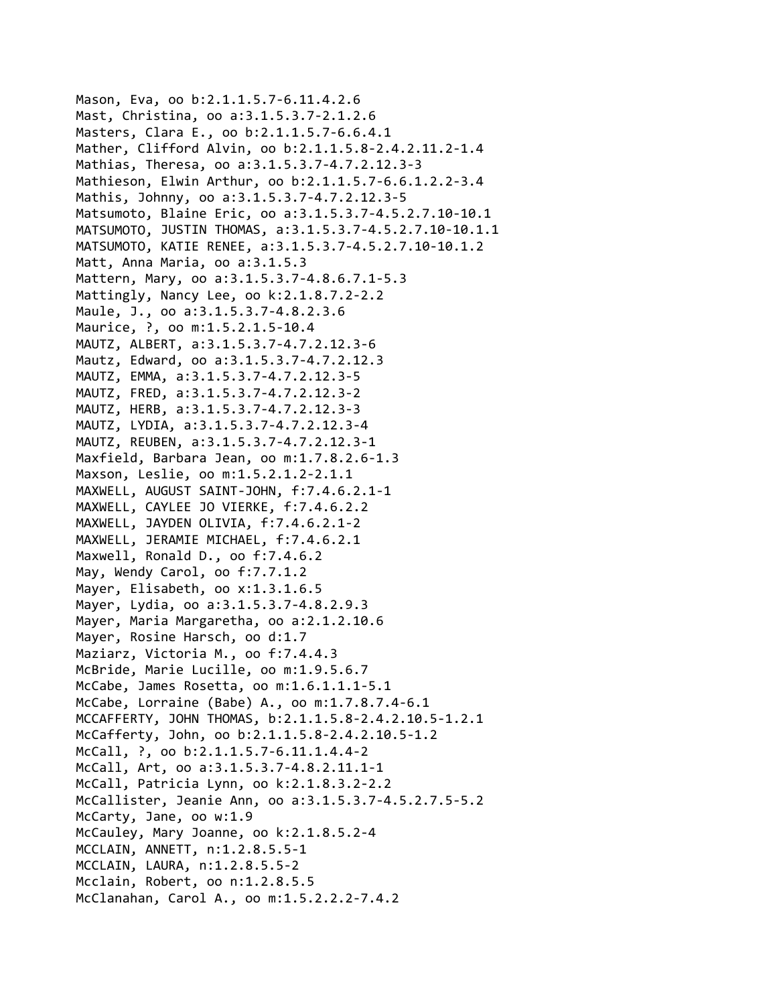Mason, Eva, oo b:2.1.1.5.7‐6.11.4.2.6 Mast, Christina, oo a:3.1.5.3.7‐2.1.2.6 Masters, Clara E., oo b:2.1.1.5.7‐6.6.4.1 Mather, Clifford Alvin, oo b:2.1.1.5.8‐2.4.2.11.2‐1.4 Mathias, Theresa, oo a:3.1.5.3.7‐4.7.2.12.3‐3 Mathieson, Elwin Arthur, oo b:2.1.1.5.7‐6.6.1.2.2‐3.4 Mathis, Johnny, oo a:3.1.5.3.7‐4.7.2.12.3‐5 Matsumoto, Blaine Eric, oo a:3.1.5.3.7‐4.5.2.7.10‐10.1 MATSUMOTO, JUSTIN THOMAS, a:3.1.5.3.7‐4.5.2.7.10‐10.1.1 MATSUMOTO, KATIE RENEE, a:3.1.5.3.7‐4.5.2.7.10‐10.1.2 Matt, Anna Maria, oo a:3.1.5.3 Mattern, Mary, oo a:3.1.5.3.7‐4.8.6.7.1‐5.3 Mattingly, Nancy Lee, oo k:2.1.8.7.2‐2.2 Maule, J., oo a:3.1.5.3.7‐4.8.2.3.6 Maurice, ?, oo m:1.5.2.1.5-10.4 MAUTZ, ALBERT, a:3.1.5.3.7‐4.7.2.12.3‐6 Mautz, Edward, oo a:3.1.5.3.7‐4.7.2.12.3 MAUTZ, EMMA, a:3.1.5.3.7‐4.7.2.12.3‐5 MAUTZ, FRED, a:3.1.5.3.7‐4.7.2.12.3‐2 MAUTZ, HERB, a:3.1.5.3.7‐4.7.2.12.3‐3 MAUTZ, LYDIA, a:3.1.5.3.7‐4.7.2.12.3‐4 MAUTZ, REUBEN, a:3.1.5.3.7‐4.7.2.12.3‐1 Maxfield, Barbara Jean, oo m:1.7.8.2.6‐1.3 Maxson, Leslie, oo m:1.5.2.1.2‐2.1.1 MAXWELL, AUGUST SAINT‐JOHN, f:7.4.6.2.1‐1 MAXWELL, CAYLEE JO VIERKE, f:7.4.6.2.2 MAXWELL, JAYDEN OLIVIA, f:7.4.6.2.1‐2 MAXWELL, JERAMIE MICHAEL, f:7.4.6.2.1 Maxwell, Ronald D., oo f:7.4.6.2 May, Wendy Carol, oo f:7.7.1.2 Mayer, Elisabeth, oo x:1.3.1.6.5 Mayer, Lydia, oo a:3.1.5.3.7‐4.8.2.9.3 Mayer, Maria Margaretha, oo a:2.1.2.10.6 Mayer, Rosine Harsch, oo d:1.7 Maziarz, Victoria M., oo f:7.4.4.3 McBride, Marie Lucille, oo m:1.9.5.6.7 McCabe, James Rosetta, oo m:1.6.1.1.1‐5.1 McCabe, Lorraine (Babe) A., oo m:1.7.8.7.4‐6.1 MCCAFFERTY, JOHN THOMAS, b:2.1.1.5.8‐2.4.2.10.5‐1.2.1 McCafferty, John, oo b:2.1.1.5.8‐2.4.2.10.5‐1.2 McCall, ?, oo b:2.1.1.5.7‐6.11.1.4.4‐2 McCall, Art, oo a:3.1.5.3.7‐4.8.2.11.1‐1 McCall, Patricia Lynn, oo k:2.1.8.3.2‐2.2 McCallister, Jeanie Ann, oo a:3.1.5.3.7‐4.5.2.7.5‐5.2 McCarty, Jane, oo w:1.9 McCauley, Mary Joanne, oo k:2.1.8.5.2‐4 MCCLAIN, ANNETT, n:1.2.8.5.5‐1 MCCLAIN, LAURA, n:1.2.8.5.5‐2 Mcclain, Robert, oo n:1.2.8.5.5 McClanahan, Carol A., oo m:1.5.2.2.2‐7.4.2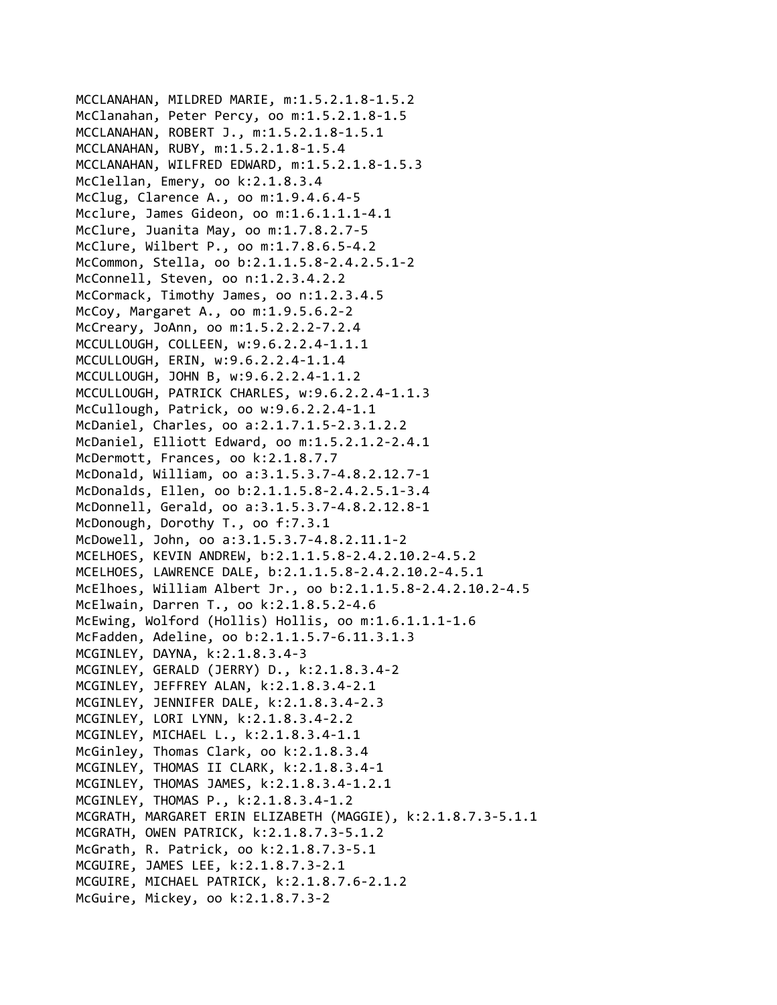MCCLANAHAN, MILDRED MARIE, m:1.5.2.1.8‐1.5.2 McClanahan, Peter Percy, oo m:1.5.2.1.8‐1.5 MCCLANAHAN, ROBERT J., m:1.5.2.1.8‐1.5.1 MCCLANAHAN, RUBY, m:1.5.2.1.8‐1.5.4 MCCLANAHAN, WILFRED EDWARD, m:1.5.2.1.8‐1.5.3 McClellan, Emery, oo k:2.1.8.3.4 McClug, Clarence A., oo m:1.9.4.6.4‐5 Mcclure, James Gideon, oo m:1.6.1.1.1‐4.1 McClure, Juanita May, oo m:1.7.8.2.7‐5 McClure, Wilbert P., oo m:1.7.8.6.5‐4.2 McCommon, Stella, oo b:2.1.1.5.8‐2.4.2.5.1‐2 McConnell, Steven, oo n:1.2.3.4.2.2 McCormack, Timothy James, oo n:1.2.3.4.5 McCoy, Margaret A., oo m:1.9.5.6.2‐2 McCreary, JoAnn, oo m:1.5.2.2.2‐7.2.4 MCCULLOUGH, COLLEEN, w:9.6.2.2.4‐1.1.1 MCCULLOUGH, ERIN, w:9.6.2.2.4‐1.1.4 MCCULLOUGH, JOHN B, w:9.6.2.2.4‐1.1.2 MCCULLOUGH, PATRICK CHARLES, w:9.6.2.2.4‐1.1.3 McCullough, Patrick, oo w:9.6.2.2.4‐1.1 McDaniel, Charles, oo a:2.1.7.1.5‐2.3.1.2.2 McDaniel, Elliott Edward, oo m:1.5.2.1.2‐2.4.1 McDermott, Frances, oo k:2.1.8.7.7 McDonald, William, oo a:3.1.5.3.7‐4.8.2.12.7‐1 McDonalds, Ellen, oo b:2.1.1.5.8‐2.4.2.5.1‐3.4 McDonnell, Gerald, oo a:3.1.5.3.7‐4.8.2.12.8‐1 McDonough, Dorothy T., oo f:7.3.1 McDowell, John, oo a:3.1.5.3.7‐4.8.2.11.1‐2 MCELHOES, KEVIN ANDREW, b:2.1.1.5.8‐2.4.2.10.2‐4.5.2 MCELHOES, LAWRENCE DALE, b:2.1.1.5.8‐2.4.2.10.2‐4.5.1 McElhoes, William Albert Jr., oo b:2.1.1.5.8‐2.4.2.10.2‐4.5 McElwain, Darren T., oo k:2.1.8.5.2‐4.6 McEwing, Wolford (Hollis) Hollis, oo m:1.6.1.1.1‐1.6 McFadden, Adeline, oo b:2.1.1.5.7‐6.11.3.1.3 MCGINLEY, DAYNA, k:2.1.8.3.4‐3 MCGINLEY, GERALD (JERRY) D., k:2.1.8.3.4‐2 MCGINLEY, JEFFREY ALAN, k:2.1.8.3.4‐2.1 MCGINLEY, JENNIFER DALE, k:2.1.8.3.4‐2.3 MCGINLEY, LORI LYNN, k:2.1.8.3.4‐2.2 MCGINLEY, MICHAEL L., k:2.1.8.3.4‐1.1 McGinley, Thomas Clark, oo k:2.1.8.3.4 MCGINLEY, THOMAS II CLARK, k:2.1.8.3.4‐1 MCGINLEY, THOMAS JAMES, k:2.1.8.3.4‐1.2.1 MCGINLEY, THOMAS P., k:2.1.8.3.4‐1.2 MCGRATH, MARGARET ERIN ELIZABETH (MAGGIE), k:2.1.8.7.3‐5.1.1 MCGRATH, OWEN PATRICK, k:2.1.8.7.3‐5.1.2 McGrath, R. Patrick, oo k:2.1.8.7.3‐5.1 MCGUIRE, JAMES LEE, k:2.1.8.7.3‐2.1 MCGUIRE, MICHAEL PATRICK, k:2.1.8.7.6‐2.1.2 McGuire, Mickey, oo k:2.1.8.7.3‐2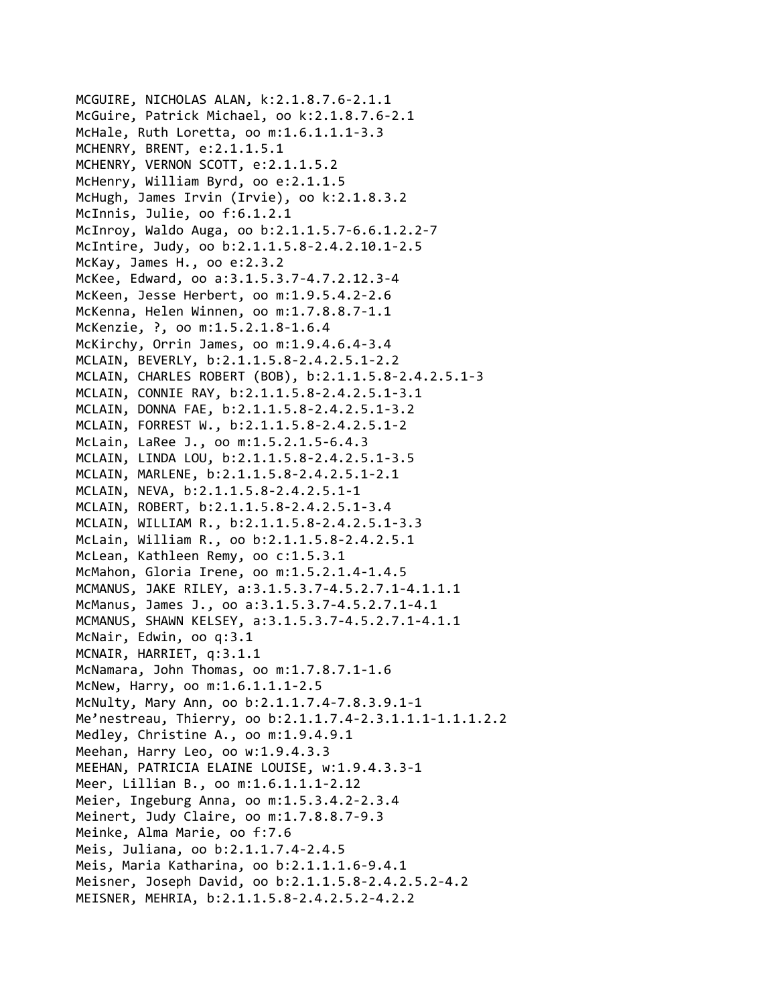MCGUIRE, NICHOLAS ALAN, k:2.1.8.7.6‐2.1.1 McGuire, Patrick Michael, oo k:2.1.8.7.6‐2.1 McHale, Ruth Loretta, oo m:1.6.1.1.1‐3.3 MCHENRY, BRENT, e:2.1.1.5.1 MCHENRY, VERNON SCOTT, e:2.1.1.5.2 McHenry, William Byrd, oo e:2.1.1.5 McHugh, James Irvin (Irvie), oo k:2.1.8.3.2 McInnis, Julie, oo f:6.1.2.1 McInroy, Waldo Auga, oo b:2.1.1.5.7‐6.6.1.2.2‐7 McIntire, Judy, oo b:2.1.1.5.8‐2.4.2.10.1‐2.5 McKay, James H., oo e:2.3.2 McKee, Edward, oo a:3.1.5.3.7‐4.7.2.12.3‐4 McKeen, Jesse Herbert, oo m:1.9.5.4.2‐2.6 McKenna, Helen Winnen, oo m:1.7.8.8.7‐1.1 McKenzie, ?, oo m:1.5.2.1.8‐1.6.4 McKirchy, Orrin James, oo m:1.9.4.6.4‐3.4 MCLAIN, BEVERLY, b:2.1.1.5.8‐2.4.2.5.1‐2.2 MCLAIN, CHARLES ROBERT (BOB), b:2.1.1.5.8‐2.4.2.5.1‐3 MCLAIN, CONNIE RAY, b:2.1.1.5.8‐2.4.2.5.1‐3.1 MCLAIN, DONNA FAE, b:2.1.1.5.8‐2.4.2.5.1‐3.2 MCLAIN, FORREST W., b:2.1.1.5.8‐2.4.2.5.1‐2 McLain, LaRee J., oo m:1.5.2.1.5‐6.4.3 MCLAIN, LINDA LOU, b:2.1.1.5.8‐2.4.2.5.1‐3.5 MCLAIN, MARLENE, b:2.1.1.5.8‐2.4.2.5.1‐2.1 MCLAIN, NEVA, b:2.1.1.5.8‐2.4.2.5.1‐1 MCLAIN, ROBERT, b:2.1.1.5.8‐2.4.2.5.1‐3.4 MCLAIN, WILLIAM R., b:2.1.1.5.8‐2.4.2.5.1‐3.3 McLain, William R., oo b:2.1.1.5.8‐2.4.2.5.1 McLean, Kathleen Remy, oo c:1.5.3.1 McMahon, Gloria Irene, oo m:1.5.2.1.4‐1.4.5 MCMANUS, JAKE RILEY, a:3.1.5.3.7‐4.5.2.7.1‐4.1.1.1 McManus, James J., oo a:3.1.5.3.7‐4.5.2.7.1‐4.1 MCMANUS, SHAWN KELSEY, a:3.1.5.3.7‐4.5.2.7.1‐4.1.1 McNair, Edwin, oo q:3.1 MCNAIR, HARRIET, q:3.1.1 McNamara, John Thomas, oo m:1.7.8.7.1‐1.6 McNew, Harry, oo m:1.6.1.1.1‐2.5 McNulty, Mary Ann, oo b:2.1.1.7.4‐7.8.3.9.1‐1 Me'nestreau, Thierry, oo b:2.1.1.7.4‐2.3.1.1.1‐1.1.1.2.2 Medley, Christine A., oo m:1.9.4.9.1 Meehan, Harry Leo, oo w:1.9.4.3.3 MEEHAN, PATRICIA ELAINE LOUISE, w:1.9.4.3.3‐1 Meer, Lillian B., oo m:1.6.1.1.1‐2.12 Meier, Ingeburg Anna, oo m:1.5.3.4.2‐2.3.4 Meinert, Judy Claire, oo m:1.7.8.8.7‐9.3 Meinke, Alma Marie, oo f:7.6 Meis, Juliana, oo b:2.1.1.7.4‐2.4.5 Meis, Maria Katharina, oo b:2.1.1.1.6‐9.4.1 Meisner, Joseph David, oo b:2.1.1.5.8‐2.4.2.5.2‐4.2 MEISNER, MEHRIA, b:2.1.1.5.8‐2.4.2.5.2‐4.2.2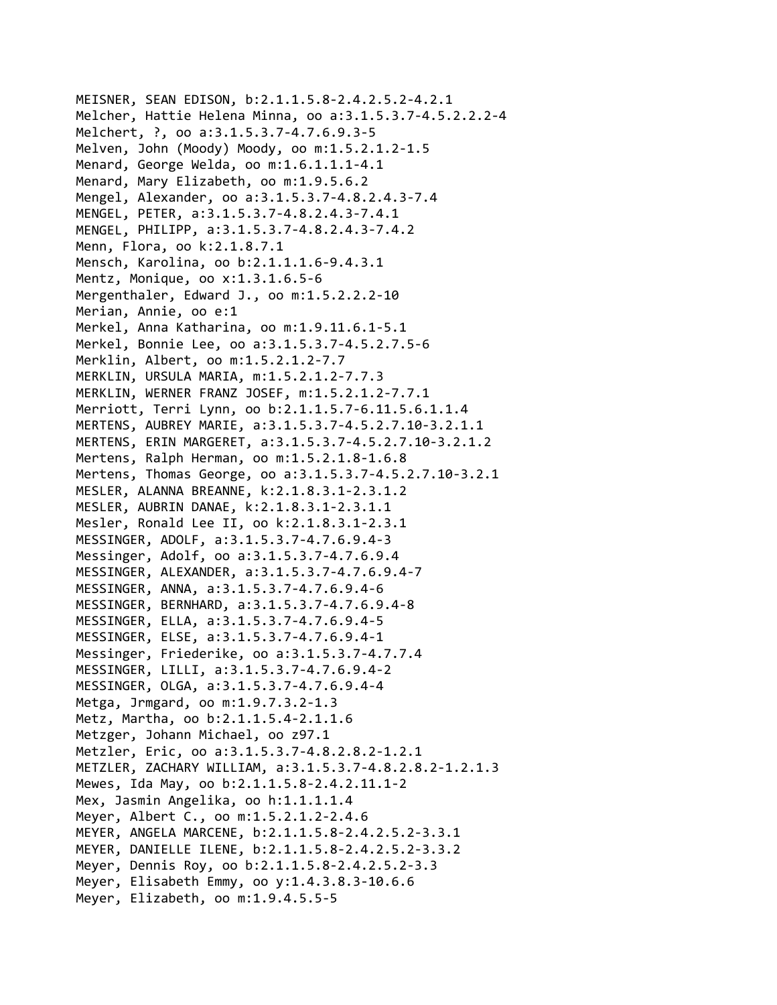```
MEISNER, SEAN EDISON, b:2.1.1.5.8‐2.4.2.5.2‐4.2.1
Melcher, Hattie Helena Minna, oo a:3.1.5.3.7‐4.5.2.2.2‐4
Melchert, ?, oo a:3.1.5.3.7‐4.7.6.9.3‐5
Melven, John (Moody) Moody, oo m:1.5.2.1.2‐1.5
Menard, George Welda, oo m:1.6.1.1.1‐4.1
Menard, Mary Elizabeth, oo m:1.9.5.6.2
Mengel, Alexander, oo a:3.1.5.3.7‐4.8.2.4.3‐7.4
MENGEL, PETER, a:3.1.5.3.7‐4.8.2.4.3‐7.4.1
MENGEL, PHILIPP, a:3.1.5.3.7‐4.8.2.4.3‐7.4.2
Menn, Flora, oo k:2.1.8.7.1
Mensch, Karolina, oo b:2.1.1.1.6‐9.4.3.1
Mentz, Monique, oo x:1.3.1.6.5‐6
Mergenthaler, Edward J., oo m:1.5.2.2.2‐10
Merian, Annie, oo e:1
Merkel, Anna Katharina, oo m:1.9.11.6.1‐5.1
Merkel, Bonnie Lee, oo a:3.1.5.3.7‐4.5.2.7.5‐6
Merklin, Albert, oo m:1.5.2.1.2‐7.7
MERKLIN, URSULA MARIA, m:1.5.2.1.2‐7.7.3
MERKLIN, WERNER FRANZ JOSEF, m:1.5.2.1.2‐7.7.1
Merriott, Terri Lynn, oo b:2.1.1.5.7‐6.11.5.6.1.1.4
MERTENS, AUBREY MARIE, a:3.1.5.3.7‐4.5.2.7.10‐3.2.1.1
MERTENS, ERIN MARGERET, a:3.1.5.3.7‐4.5.2.7.10‐3.2.1.2
Mertens, Ralph Herman, oo m:1.5.2.1.8‐1.6.8
Mertens, Thomas George, oo a:3.1.5.3.7‐4.5.2.7.10‐3.2.1
MESLER, ALANNA BREANNE, k:2.1.8.3.1‐2.3.1.2
MESLER, AUBRIN DANAE, k:2.1.8.3.1‐2.3.1.1
Mesler, Ronald Lee II, oo k:2.1.8.3.1‐2.3.1
MESSINGER, ADOLF, a:3.1.5.3.7‐4.7.6.9.4‐3
Messinger, Adolf, oo a:3.1.5.3.7‐4.7.6.9.4
MESSINGER, ALEXANDER, a:3.1.5.3.7‐4.7.6.9.4‐7
MESSINGER, ANNA, a:3.1.5.3.7‐4.7.6.9.4‐6
MESSINGER, BERNHARD, a:3.1.5.3.7‐4.7.6.9.4‐8
MESSINGER, ELLA, a:3.1.5.3.7‐4.7.6.9.4‐5
MESSINGER, ELSE, a:3.1.5.3.7‐4.7.6.9.4‐1
Messinger, Friederike, oo a:3.1.5.3.7‐4.7.7.4
MESSINGER, LILLI, a:3.1.5.3.7‐4.7.6.9.4‐2
MESSINGER, OLGA, a:3.1.5.3.7‐4.7.6.9.4‐4
Metga, Jrmgard, oo m:1.9.7.3.2‐1.3
Metz, Martha, oo b:2.1.1.5.4‐2.1.1.6
Metzger, Johann Michael, oo z97.1
Metzler, Eric, oo a:3.1.5.3.7‐4.8.2.8.2‐1.2.1
METZLER, ZACHARY WILLIAM, a:3.1.5.3.7‐4.8.2.8.2‐1.2.1.3
Mewes, Ida May, oo b:2.1.1.5.8‐2.4.2.11.1‐2
Mex, Jasmin Angelika, oo h:1.1.1.1.4
Meyer, Albert C., oo m:1.5.2.1.2‐2.4.6
MEYER, ANGELA MARCENE, b:2.1.1.5.8‐2.4.2.5.2‐3.3.1
MEYER, DANIELLE ILENE, b:2.1.1.5.8‐2.4.2.5.2‐3.3.2
Meyer, Dennis Roy, oo b:2.1.1.5.8‐2.4.2.5.2‐3.3
Meyer, Elisabeth Emmy, oo y:1.4.3.8.3‐10.6.6
Meyer, Elizabeth, oo m:1.9.4.5.5‐5
```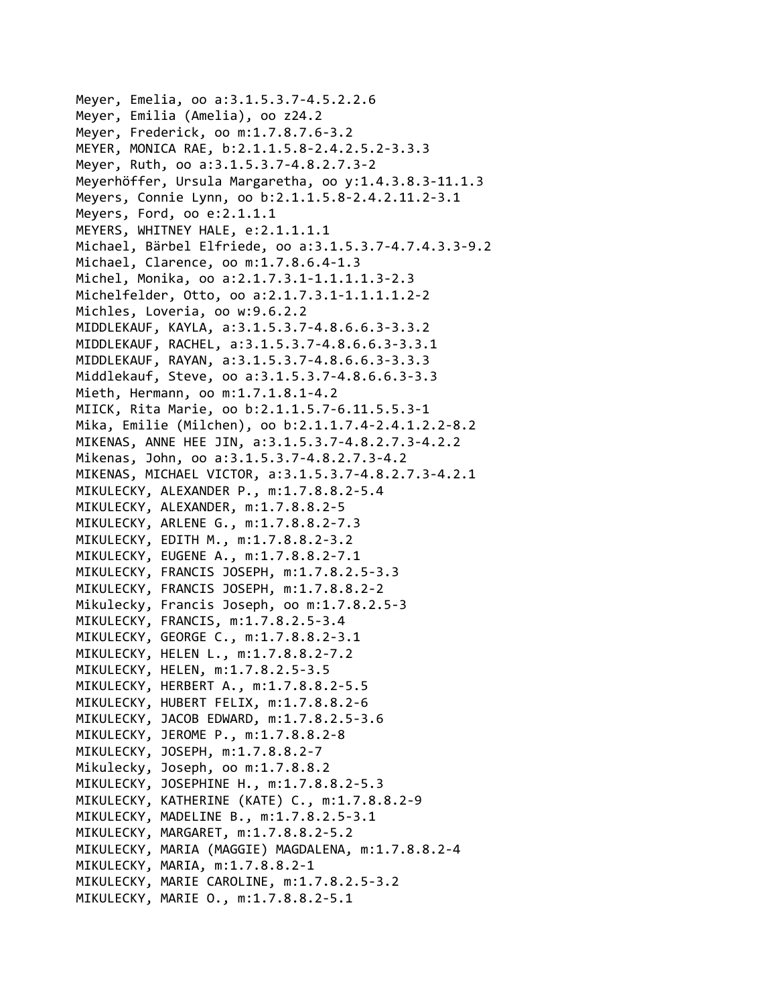Meyer, Emelia, oo a:3.1.5.3.7‐4.5.2.2.6 Meyer, Emilia (Amelia), oo z24.2 Meyer, Frederick, oo m:1.7.8.7.6‐3.2 MEYER, MONICA RAE, b:2.1.1.5.8‐2.4.2.5.2‐3.3.3 Meyer, Ruth, oo a:3.1.5.3.7‐4.8.2.7.3‐2 Meyerhöffer, Ursula Margaretha, oo y:1.4.3.8.3‐11.1.3 Meyers, Connie Lynn, oo b:2.1.1.5.8‐2.4.2.11.2‐3.1 Meyers, Ford, oo e:2.1.1.1 MEYERS, WHITNEY HALE, e:2.1.1.1.1 Michael, Bärbel Elfriede, oo a:3.1.5.3.7‐4.7.4.3.3‐9.2 Michael, Clarence, oo m:1.7.8.6.4‐1.3 Michel, Monika, oo a:2.1.7.3.1‐1.1.1.1.3‐2.3 Michelfelder, Otto, oo a:2.1.7.3.1‐1.1.1.1.2‐2 Michles, Loveria, oo w:9.6.2.2 MIDDLEKAUF, KAYLA, a:3.1.5.3.7‐4.8.6.6.3‐3.3.2 MIDDLEKAUF, RACHEL, a:3.1.5.3.7‐4.8.6.6.3‐3.3.1 MIDDLEKAUF, RAYAN, a:3.1.5.3.7‐4.8.6.6.3‐3.3.3 Middlekauf, Steve, oo a:3.1.5.3.7‐4.8.6.6.3‐3.3 Mieth, Hermann, oo m:1.7.1.8.1‐4.2 MIICK, Rita Marie, oo b:2.1.1.5.7‐6.11.5.5.3‐1 Mika, Emilie (Milchen), oo b:2.1.1.7.4‐2.4.1.2.2‐8.2 MIKENAS, ANNE HEE JIN, a:3.1.5.3.7‐4.8.2.7.3‐4.2.2 Mikenas, John, oo a:3.1.5.3.7‐4.8.2.7.3‐4.2 MIKENAS, MICHAEL VICTOR, a:3.1.5.3.7‐4.8.2.7.3‐4.2.1 MIKULECKY, ALEXANDER P., m:1.7.8.8.2‐5.4 MIKULECKY, ALEXANDER, m:1.7.8.8.2‐5 MIKULECKY, ARLENE G., m:1.7.8.8.2‐7.3 MIKULECKY, EDITH M., m:1.7.8.8.2‐3.2 MIKULECKY, EUGENE A., m:1.7.8.8.2‐7.1 MIKULECKY, FRANCIS JOSEPH, m:1.7.8.2.5‐3.3 MIKULECKY, FRANCIS JOSEPH, m:1.7.8.8.2‐2 Mikulecky, Francis Joseph, oo m:1.7.8.2.5‐3 MIKULECKY, FRANCIS, m:1.7.8.2.5‐3.4 MIKULECKY, GEORGE C., m:1.7.8.8.2‐3.1 MIKULECKY, HELEN L., m:1.7.8.8.2‐7.2 MIKULECKY, HELEN, m:1.7.8.2.5‐3.5 MIKULECKY, HERBERT A., m:1.7.8.8.2‐5.5 MIKULECKY, HUBERT FELIX, m:1.7.8.8.2‐6 MIKULECKY, JACOB EDWARD, m:1.7.8.2.5‐3.6 MIKULECKY, JEROME P., m:1.7.8.8.2‐8 MIKULECKY, JOSEPH, m:1.7.8.8.2‐7 Mikulecky, Joseph, oo m:1.7.8.8.2 MIKULECKY, JOSEPHINE H., m:1.7.8.8.2‐5.3 MIKULECKY, KATHERINE (KATE) C., m:1.7.8.8.2‐9 MIKULECKY, MADELINE B., m:1.7.8.2.5‐3.1 MIKULECKY, MARGARET, m:1.7.8.8.2‐5.2 MIKULECKY, MARIA (MAGGIE) MAGDALENA, m:1.7.8.8.2‐4 MIKULECKY, MARIA, m:1.7.8.8.2‐1 MIKULECKY, MARIE CAROLINE, m:1.7.8.2.5‐3.2 MIKULECKY, MARIE O., m:1.7.8.8.2‐5.1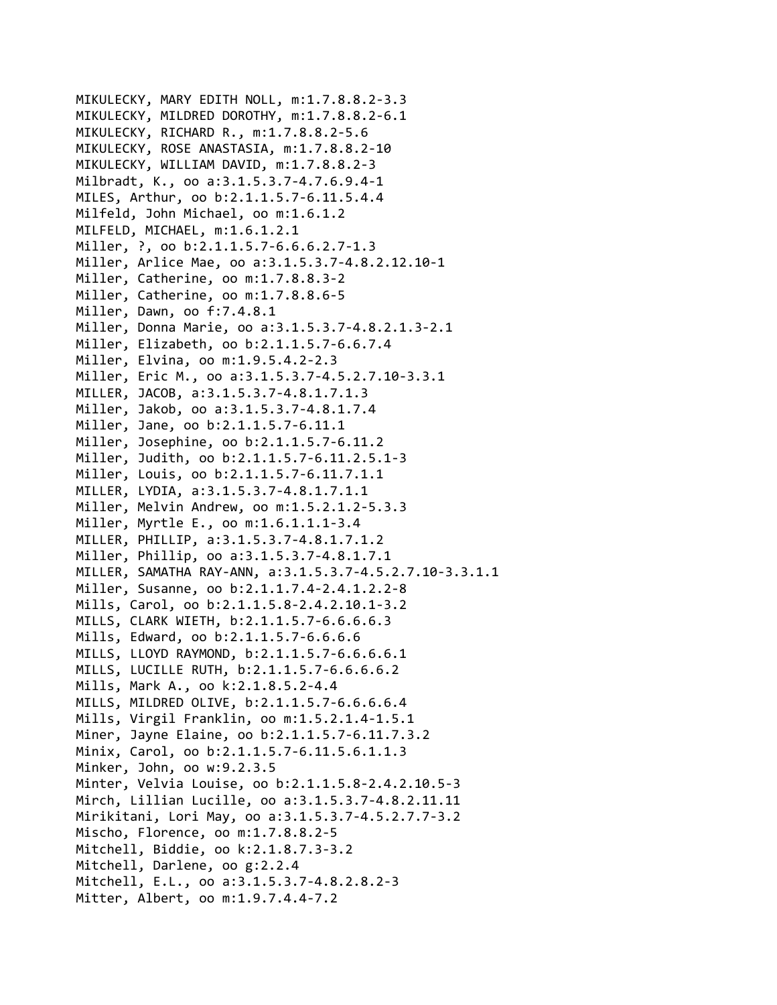```
MIKULECKY, MARY EDITH NOLL, m:1.7.8.8.2‐3.3
MIKULECKY, MILDRED DOROTHY, m:1.7.8.8.2‐6.1
MIKULECKY, RICHARD R., m:1.7.8.8.2‐5.6
MIKULECKY, ROSE ANASTASIA, m:1.7.8.8.2‐10
MIKULECKY, WILLIAM DAVID, m:1.7.8.8.2‐3
Milbradt, K., oo a:3.1.5.3.7‐4.7.6.9.4‐1
MILES, Arthur, oo b:2.1.1.5.7‐6.11.5.4.4
Milfeld, John Michael, oo m:1.6.1.2
MILFELD, MICHAEL, m:1.6.1.2.1
Miller, ?, oo b:2.1.1.5.7-6.6.6.2.7-1.3
Miller, Arlice Mae, oo a:3.1.5.3.7‐4.8.2.12.10‐1
Miller, Catherine, oo m:1.7.8.8.3‐2
Miller, Catherine, oo m:1.7.8.8.6‐5
Miller, Dawn, oo f:7.4.8.1
Miller, Donna Marie, oo a:3.1.5.3.7‐4.8.2.1.3‐2.1
Miller, Elizabeth, oo b:2.1.1.5.7‐6.6.7.4
Miller, Elvina, oo m:1.9.5.4.2‐2.3
Miller, Eric M., oo a:3.1.5.3.7‐4.5.2.7.10‐3.3.1
MILLER, JACOB, a:3.1.5.3.7‐4.8.1.7.1.3
Miller, Jakob, oo a:3.1.5.3.7‐4.8.1.7.4
Miller, Jane, oo b:2.1.1.5.7‐6.11.1
Miller, Josephine, oo b:2.1.1.5.7‐6.11.2
Miller, Judith, oo b:2.1.1.5.7‐6.11.2.5.1‐3
Miller, Louis, oo b:2.1.1.5.7‐6.11.7.1.1
MILLER, LYDIA, a:3.1.5.3.7‐4.8.1.7.1.1
Miller, Melvin Andrew, oo m:1.5.2.1.2‐5.3.3
Miller, Myrtle E., oo m:1.6.1.1.1‐3.4
MILLER, PHILLIP, a:3.1.5.3.7‐4.8.1.7.1.2
Miller, Phillip, oo a:3.1.5.3.7‐4.8.1.7.1
MILLER, SAMATHA RAY‐ANN, a:3.1.5.3.7‐4.5.2.7.10‐3.3.1.1
Miller, Susanne, oo b:2.1.1.7.4‐2.4.1.2.2‐8
Mills, Carol, oo b:2.1.1.5.8‐2.4.2.10.1‐3.2
MILLS, CLARK WIETH, b:2.1.1.5.7‐6.6.6.6.3
Mills, Edward, oo b:2.1.1.5.7‐6.6.6.6
MILLS, LLOYD RAYMOND, b:2.1.1.5.7‐6.6.6.6.1
MILLS, LUCILLE RUTH, b:2.1.1.5.7‐6.6.6.6.2
Mills, Mark A., oo k:2.1.8.5.2‐4.4
MILLS, MILDRED OLIVE, b:2.1.1.5.7‐6.6.6.6.4
Mills, Virgil Franklin, oo m:1.5.2.1.4‐1.5.1
Miner, Jayne Elaine, oo b:2.1.1.5.7‐6.11.7.3.2
Minix, Carol, oo b:2.1.1.5.7-6.11.5.6.1.1.3
Minker, John, oo w:9.2.3.5
Minter, Velvia Louise, oo b:2.1.1.5.8‐2.4.2.10.5‐3
Mirch, Lillian Lucille, oo a:3.1.5.3.7‐4.8.2.11.11
Mirikitani, Lori May, oo a:3.1.5.3.7‐4.5.2.7.7‐3.2
Mischo, Florence, oo m:1.7.8.8.2‐5
Mitchell, Biddie, oo k:2.1.8.7.3‐3.2
Mitchell, Darlene, oo g:2.2.4
Mitchell, E.L., oo a:3.1.5.3.7‐4.8.2.8.2‐3
Mitter, Albert, oo m:1.9.7.4.4‐7.2
```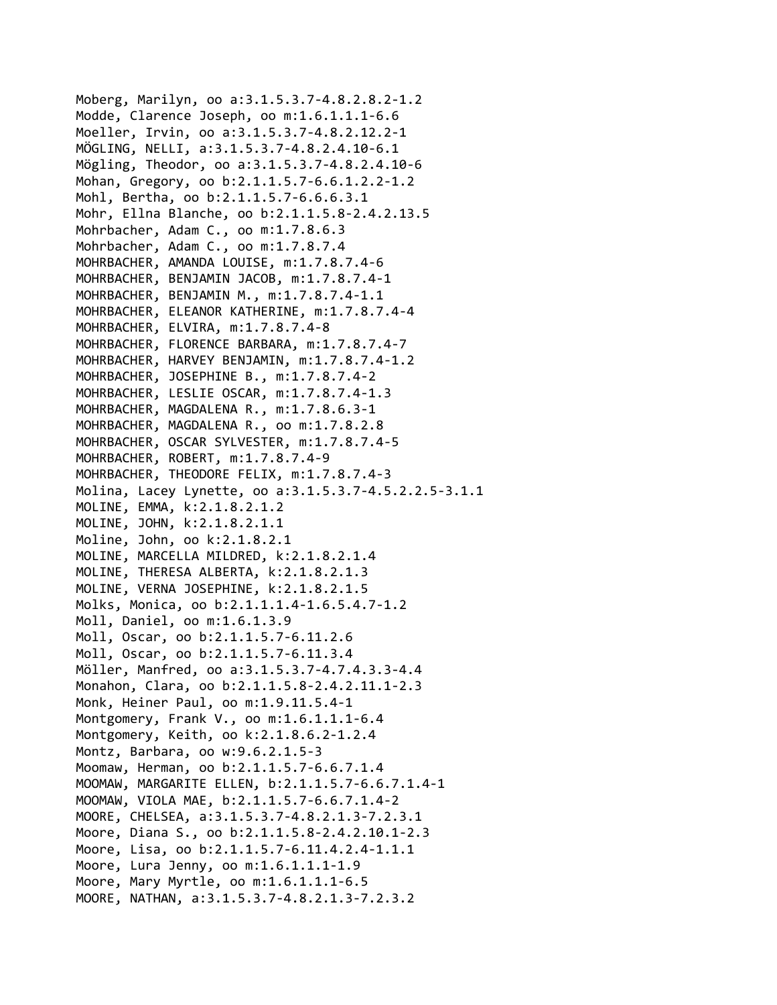```
Moberg, Marilyn, oo a:3.1.5.3.7‐4.8.2.8.2‐1.2
Modde, Clarence Joseph, oo m:1.6.1.1.1‐6.6
Moeller, Irvin, oo a:3.1.5.3.7‐4.8.2.12.2‐1
MÖGLING, NELLI, a:3.1.5.3.7‐4.8.2.4.10‐6.1
Mögling, Theodor, oo a:3.1.5.3.7‐4.8.2.4.10‐6
Mohan, Gregory, oo b:2.1.1.5.7‐6.6.1.2.2‐1.2
Mohl, Bertha, oo b:2.1.1.5.7‐6.6.6.3.1
Mohr, Ellna Blanche, oo b:2.1.1.5.8‐2.4.2.13.5
Mohrbacher, Adam C., oo m:1.7.8.6.3
Mohrbacher, Adam C., oo m:1.7.8.7.4
MOHRBACHER, AMANDA LOUISE, m:1.7.8.7.4‐6
MOHRBACHER, BENJAMIN JACOB, m:1.7.8.7.4‐1
MOHRBACHER, BENJAMIN M., m:1.7.8.7.4‐1.1
MOHRBACHER, ELEANOR KATHERINE, m:1.7.8.7.4‐4
MOHRBACHER, ELVIRA, m:1.7.8.7.4‐8
MOHRBACHER, FLORENCE BARBARA, m:1.7.8.7.4‐7
MOHRBACHER, HARVEY BENJAMIN, m:1.7.8.7.4‐1.2
MOHRBACHER, JOSEPHINE B., m:1.7.8.7.4‐2
MOHRBACHER, LESLIE OSCAR, m:1.7.8.7.4‐1.3
MOHRBACHER, MAGDALENA R., m:1.7.8.6.3‐1
MOHRBACHER, MAGDALENA R., oo m:1.7.8.2.8
MOHRBACHER, OSCAR SYLVESTER, m:1.7.8.7.4‐5
MOHRBACHER, ROBERT, m:1.7.8.7.4‐9
MOHRBACHER, THEODORE FELIX, m:1.7.8.7.4‐3
Molina, Lacey Lynette, oo a:3.1.5.3.7‐4.5.2.2.5‐3.1.1
MOLINE, EMMA, k:2.1.8.2.1.2
MOLINE, JOHN, k:2.1.8.2.1.1
Moline, John, oo k:2.1.8.2.1
MOLINE, MARCELLA MILDRED, k:2.1.8.2.1.4
MOLINE, THERESA ALBERTA, k:2.1.8.2.1.3
MOLINE, VERNA JOSEPHINE, k:2.1.8.2.1.5
Molks, Monica, oo b:2.1.1.1.4‐1.6.5.4.7‐1.2
Moll, Daniel, oo m:1.6.1.3.9
Moll, Oscar, oo b:2.1.1.5.7‐6.11.2.6
Moll, Oscar, oo b:2.1.1.5.7‐6.11.3.4
Möller, Manfred, oo a:3.1.5.3.7‐4.7.4.3.3‐4.4
Monahon, Clara, oo b:2.1.1.5.8‐2.4.2.11.1‐2.3
Monk, Heiner Paul, oo m:1.9.11.5.4‐1
Montgomery, Frank V., oo m:1.6.1.1.1‐6.4
Montgomery, Keith, oo k:2.1.8.6.2‐1.2.4
Montz, Barbara, oo w:9.6.2.1.5‐3
Moomaw, Herman, oo b:2.1.1.5.7‐6.6.7.1.4
MOOMAW, MARGARITE ELLEN, b:2.1.1.5.7‐6.6.7.1.4‐1
MOOMAW, VIOLA MAE, b:2.1.1.5.7‐6.6.7.1.4‐2
MOORE, CHELSEA, a:3.1.5.3.7‐4.8.2.1.3‐7.2.3.1
Moore, Diana S., oo b:2.1.1.5.8‐2.4.2.10.1‐2.3
Moore, Lisa, oo b:2.1.1.5.7‐6.11.4.2.4‐1.1.1
Moore, Lura Jenny, oo m:1.6.1.1.1‐1.9
Moore, Mary Myrtle, oo m:1.6.1.1.1‐6.5
MOORE, NATHAN, a:3.1.5.3.7‐4.8.2.1.3‐7.2.3.2
```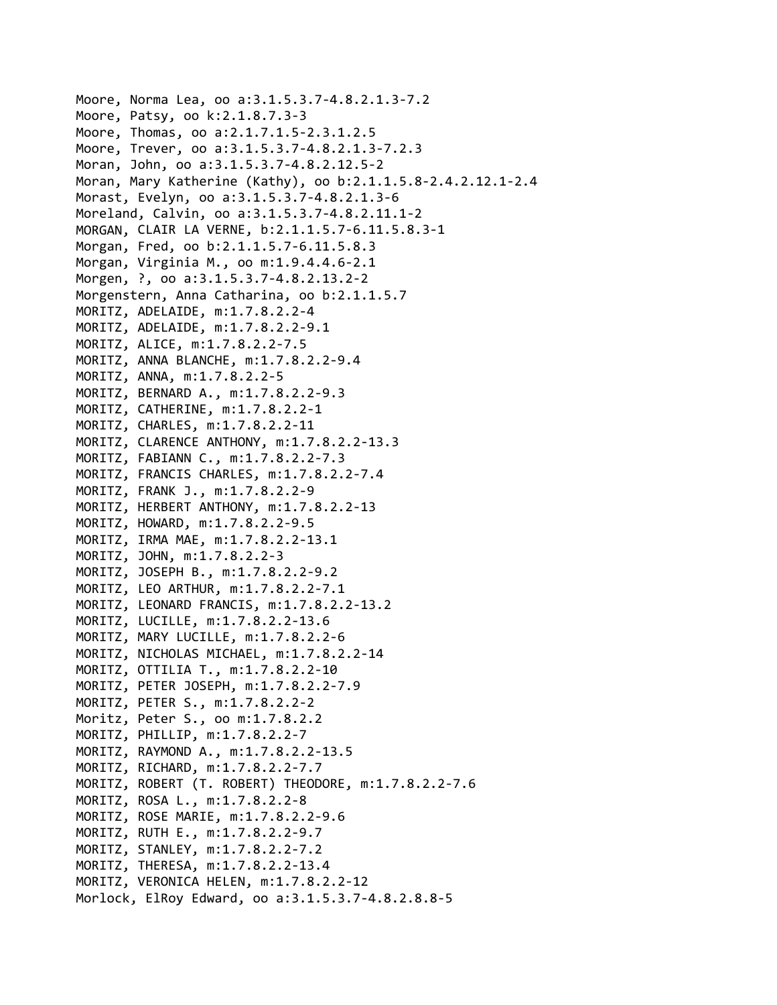```
Moore, Norma Lea, oo a:3.1.5.3.7‐4.8.2.1.3‐7.2
Moore, Patsy, oo k:2.1.8.7.3‐3
Moore, Thomas, oo a:2.1.7.1.5‐2.3.1.2.5
Moore, Trever, oo a:3.1.5.3.7‐4.8.2.1.3‐7.2.3
Moran, John, oo a:3.1.5.3.7‐4.8.2.12.5‐2
Moran, Mary Katherine (Kathy), oo b:2.1.1.5.8‐2.4.2.12.1‐2.4
Morast, Evelyn, oo a:3.1.5.3.7‐4.8.2.1.3‐6
Moreland, Calvin, oo a:3.1.5.3.7‐4.8.2.11.1‐2
MORGAN, CLAIR LA VERNE, b:2.1.1.5.7‐6.11.5.8.3‐1
Morgan, Fred, oo b:2.1.1.5.7‐6.11.5.8.3
Morgan, Virginia M., oo m:1.9.4.4.6‐2.1
Morgen, ?, oo a:3.1.5.3.7‐4.8.2.13.2‐2
Morgenstern, Anna Catharina, oo b:2.1.1.5.7
MORITZ, ADELAIDE, m:1.7.8.2.2‐4
MORITZ, ADELAIDE, m:1.7.8.2.2‐9.1
MORITZ, ALICE, m:1.7.8.2.2‐7.5
MORITZ, ANNA BLANCHE, m:1.7.8.2.2‐9.4
MORITZ, ANNA, m:1.7.8.2.2‐5
MORITZ, BERNARD A., m:1.7.8.2.2‐9.3
MORITZ, CATHERINE, m:1.7.8.2.2‐1
MORITZ, CHARLES, m:1.7.8.2.2‐11
MORITZ, CLARENCE ANTHONY, m:1.7.8.2.2‐13.3
MORITZ, FABIANN C., m:1.7.8.2.2‐7.3
MORITZ, FRANCIS CHARLES, m:1.7.8.2.2‐7.4
MORITZ, FRANK J., m:1.7.8.2.2‐9
MORITZ, HERBERT ANTHONY, m:1.7.8.2.2‐13
MORITZ, HOWARD, m:1.7.8.2.2‐9.5
MORITZ, IRMA MAE, m:1.7.8.2.2‐13.1
MORITZ, JOHN, m:1.7.8.2.2‐3
MORITZ, JOSEPH B., m:1.7.8.2.2‐9.2
MORITZ, LEO ARTHUR, m:1.7.8.2.2‐7.1
MORITZ, LEONARD FRANCIS, m:1.7.8.2.2‐13.2
MORITZ, LUCILLE, m:1.7.8.2.2‐13.6
MORITZ, MARY LUCILLE, m:1.7.8.2.2‐6
MORITZ, NICHOLAS MICHAEL, m:1.7.8.2.2‐14
MORITZ, OTTILIA T., m:1.7.8.2.2‐10
MORITZ, PETER JOSEPH, m:1.7.8.2.2‐7.9
MORITZ, PETER S., m:1.7.8.2.2‐2
Moritz, Peter S., oo m:1.7.8.2.2
MORITZ, PHILLIP, m:1.7.8.2.2‐7
MORITZ, RAYMOND A., m:1.7.8.2.2‐13.5
MORITZ, RICHARD, m:1.7.8.2.2‐7.7
MORITZ, ROBERT (T. ROBERT) THEODORE, m:1.7.8.2.2‐7.6
MORITZ, ROSA L., m:1.7.8.2.2‐8
MORITZ, ROSE MARIE, m:1.7.8.2.2‐9.6
MORITZ, RUTH E., m:1.7.8.2.2‐9.7
MORITZ, STANLEY, m:1.7.8.2.2‐7.2
MORITZ, THERESA, m:1.7.8.2.2‐13.4
MORITZ, VERONICA HELEN, m:1.7.8.2.2‐12
Morlock, ElRoy Edward, oo a:3.1.5.3.7‐4.8.2.8.8‐5
```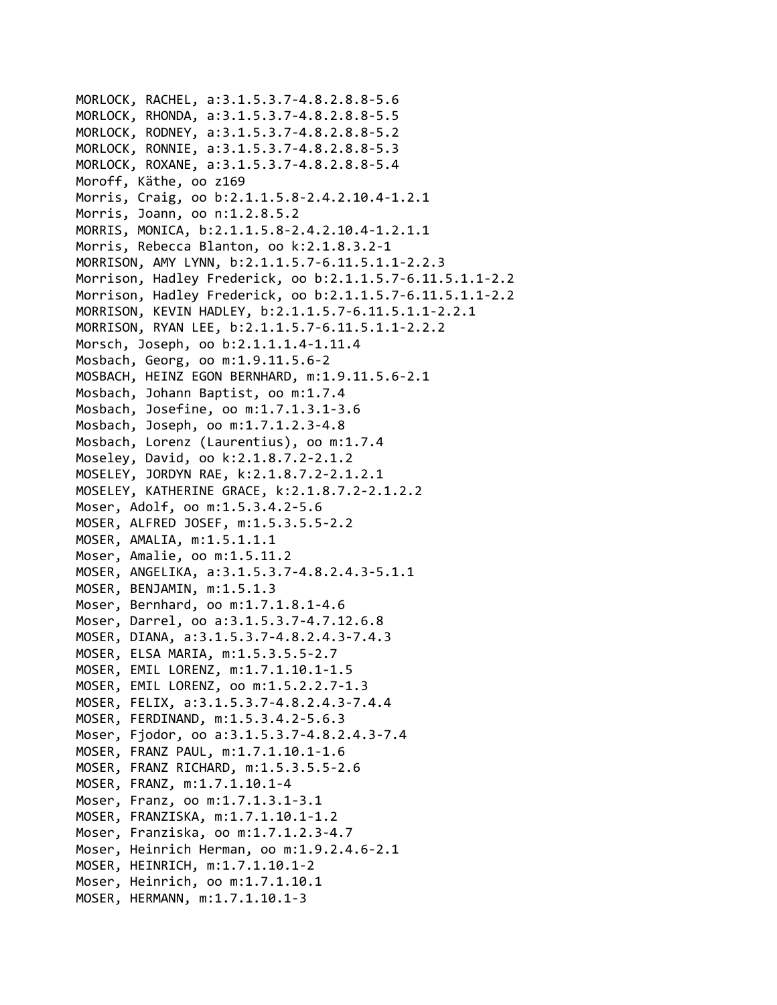```
MORLOCK, RACHEL, a:3.1.5.3.7‐4.8.2.8.8‐5.6
MORLOCK, RHONDA, a:3.1.5.3.7‐4.8.2.8.8‐5.5
MORLOCK, RODNEY, a:3.1.5.3.7‐4.8.2.8.8‐5.2
MORLOCK, RONNIE, a:3.1.5.3.7‐4.8.2.8.8‐5.3
MORLOCK, ROXANE, a:3.1.5.3.7‐4.8.2.8.8‐5.4
Moroff, Käthe, oo z169
Morris, Craig, oo b:2.1.1.5.8‐2.4.2.10.4‐1.2.1
Morris, Joann, oo n:1.2.8.5.2
MORRIS, MONICA, b:2.1.1.5.8‐2.4.2.10.4‐1.2.1.1
Morris, Rebecca Blanton, oo k:2.1.8.3.2‐1
MORRISON, AMY LYNN, b:2.1.1.5.7‐6.11.5.1.1‐2.2.3
Morrison, Hadley Frederick, oo b:2.1.1.5.7‐6.11.5.1.1‐2.2
Morrison, Hadley Frederick, oo b:2.1.1.5.7‐6.11.5.1.1‐2.2
MORRISON, KEVIN HADLEY, b:2.1.1.5.7‐6.11.5.1.1‐2.2.1
MORRISON, RYAN LEE, b:2.1.1.5.7‐6.11.5.1.1‐2.2.2
Morsch, Joseph, oo b:2.1.1.1.4‐1.11.4
Mosbach, Georg, oo m:1.9.11.5.6‐2
MOSBACH, HEINZ EGON BERNHARD, m:1.9.11.5.6‐2.1
Mosbach, Johann Baptist, oo m:1.7.4
Mosbach, Josefine, oo m:1.7.1.3.1‐3.6
Mosbach, Joseph, oo m:1.7.1.2.3‐4.8
Mosbach, Lorenz (Laurentius), oo m:1.7.4
Moseley, David, oo k:2.1.8.7.2‐2.1.2
MOSELEY, JORDYN RAE, k:2.1.8.7.2‐2.1.2.1
MOSELEY, KATHERINE GRACE, k:2.1.8.7.2‐2.1.2.2
Moser, Adolf, oo m:1.5.3.4.2‐5.6
MOSER, ALFRED JOSEF, m:1.5.3.5.5‐2.2
MOSER, AMALIA, m:1.5.1.1.1
Moser, Amalie, oo m:1.5.11.2
MOSER, ANGELIKA, a:3.1.5.3.7‐4.8.2.4.3‐5.1.1
MOSER, BENJAMIN, m:1.5.1.3
Moser, Bernhard, oo m:1.7.1.8.1‐4.6
Moser, Darrel, oo a:3.1.5.3.7‐4.7.12.6.8
MOSER, DIANA, a:3.1.5.3.7‐4.8.2.4.3‐7.4.3
MOSER, ELSA MARIA, m:1.5.3.5.5‐2.7
MOSER, EMIL LORENZ, m:1.7.1.10.1‐1.5
MOSER, EMIL LORENZ, oo m:1.5.2.2.7‐1.3
MOSER, FELIX, a:3.1.5.3.7‐4.8.2.4.3‐7.4.4
MOSER, FERDINAND, m:1.5.3.4.2‐5.6.3
Moser, Fjodor, oo a:3.1.5.3.7‐4.8.2.4.3‐7.4
MOSER, FRANZ PAUL, m:1.7.1.10.1‐1.6
MOSER, FRANZ RICHARD, m:1.5.3.5.5‐2.6
MOSER, FRANZ, m:1.7.1.10.1‐4
Moser, Franz, oo m:1.7.1.3.1‐3.1
MOSER, FRANZISKA, m:1.7.1.10.1‐1.2
Moser, Franziska, oo m:1.7.1.2.3‐4.7
Moser, Heinrich Herman, oo m:1.9.2.4.6‐2.1
MOSER, HEINRICH, m:1.7.1.10.1‐2
Moser, Heinrich, oo m:1.7.1.10.1
MOSER, HERMANN, m:1.7.1.10.1‐3
```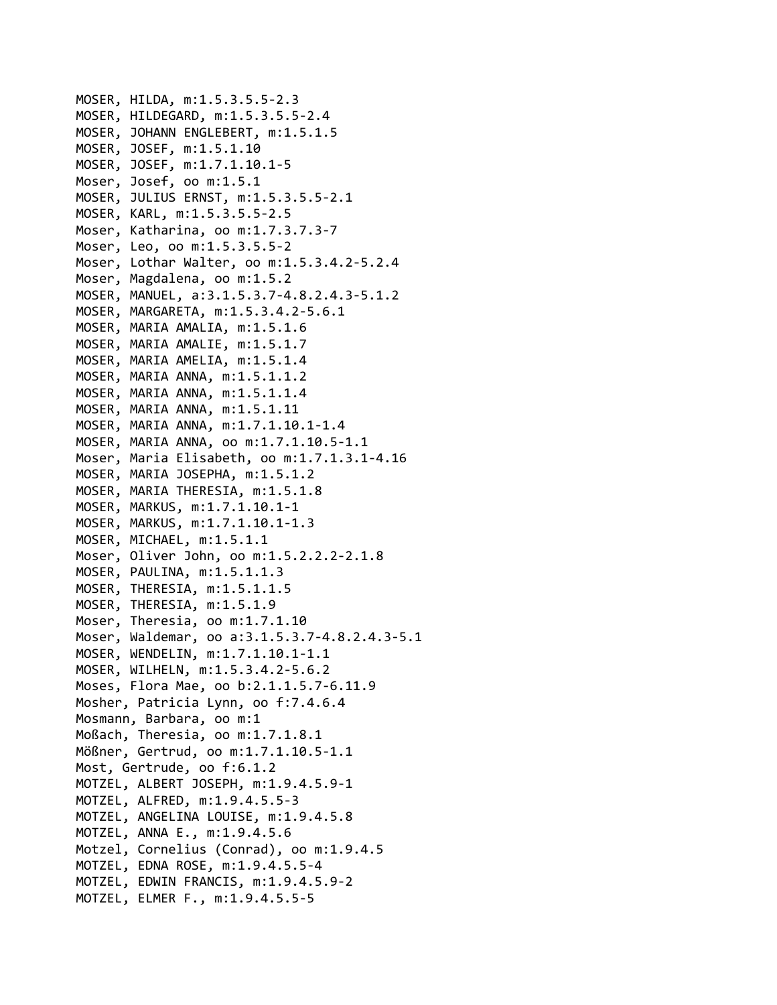```
MOSER, HILDA, m:1.5.3.5.5‐2.3
MOSER, HILDEGARD, m:1.5.3.5.5‐2.4
MOSER, JOHANN ENGLEBERT, m:1.5.1.5
MOSER, JOSEF, m:1.5.1.10
MOSER, JOSEF, m:1.7.1.10.1‐5
Moser, Josef, oo m:1.5.1
MOSER, JULIUS ERNST, m:1.5.3.5.5‐2.1
MOSER, KARL, m:1.5.3.5.5‐2.5
Moser, Katharina, oo m:1.7.3.7.3‐7
Moser, Leo, oo m:1.5.3.5.5‐2
Moser, Lothar Walter, oo m:1.5.3.4.2‐5.2.4
Moser, Magdalena, oo m:1.5.2
MOSER, MANUEL, a:3.1.5.3.7‐4.8.2.4.3‐5.1.2
MOSER, MARGARETA, m:1.5.3.4.2‐5.6.1
MOSER, MARIA AMALIA, m:1.5.1.6
MOSER, MARIA AMALIE, m:1.5.1.7
MOSER, MARIA AMELIA, m:1.5.1.4
MOSER, MARIA ANNA, m:1.5.1.1.2
MOSER, MARIA ANNA, m:1.5.1.1.4
MOSER, MARIA ANNA, m:1.5.1.11
MOSER, MARIA ANNA, m:1.7.1.10.1‐1.4
MOSER, MARIA ANNA, oo m:1.7.1.10.5‐1.1
Moser, Maria Elisabeth, oo m:1.7.1.3.1‐4.16
MOSER, MARIA JOSEPHA, m:1.5.1.2
MOSER, MARIA THERESIA, m:1.5.1.8
MOSER, MARKUS, m:1.7.1.10.1‐1
MOSER, MARKUS, m:1.7.1.10.1‐1.3
MOSER, MICHAEL, m:1.5.1.1
Moser, Oliver John, oo m:1.5.2.2.2‐2.1.8
MOSER, PAULINA, m:1.5.1.1.3
MOSER, THERESIA, m:1.5.1.1.5
MOSER, THERESIA, m:1.5.1.9
Moser, Theresia, oo m:1.7.1.10
Moser, Waldemar, oo a:3.1.5.3.7‐4.8.2.4.3‐5.1
MOSER, WENDELIN, m:1.7.1.10.1‐1.1
MOSER, WILHELN, m:1.5.3.4.2‐5.6.2
Moses, Flora Mae, oo b:2.1.1.5.7‐6.11.9
Mosher, Patricia Lynn, oo f:7.4.6.4
Mosmann, Barbara, oo m:1
Moßach, Theresia, oo m:1.7.1.8.1
Mößner, Gertrud, oo m:1.7.1.10.5‐1.1
Most, Gertrude, oo f:6.1.2
MOTZEL, ALBERT JOSEPH, m:1.9.4.5.9‐1
MOTZEL, ALFRED, m:1.9.4.5.5‐3
MOTZEL, ANGELINA LOUISE, m:1.9.4.5.8
MOTZEL, ANNA E., m:1.9.4.5.6
Motzel, Cornelius (Conrad), oo m:1.9.4.5
MOTZEL, EDNA ROSE, m:1.9.4.5.5‐4
MOTZEL, EDWIN FRANCIS, m:1.9.4.5.9‐2
MOTZEL, ELMER F., m:1.9.4.5.5‐5
```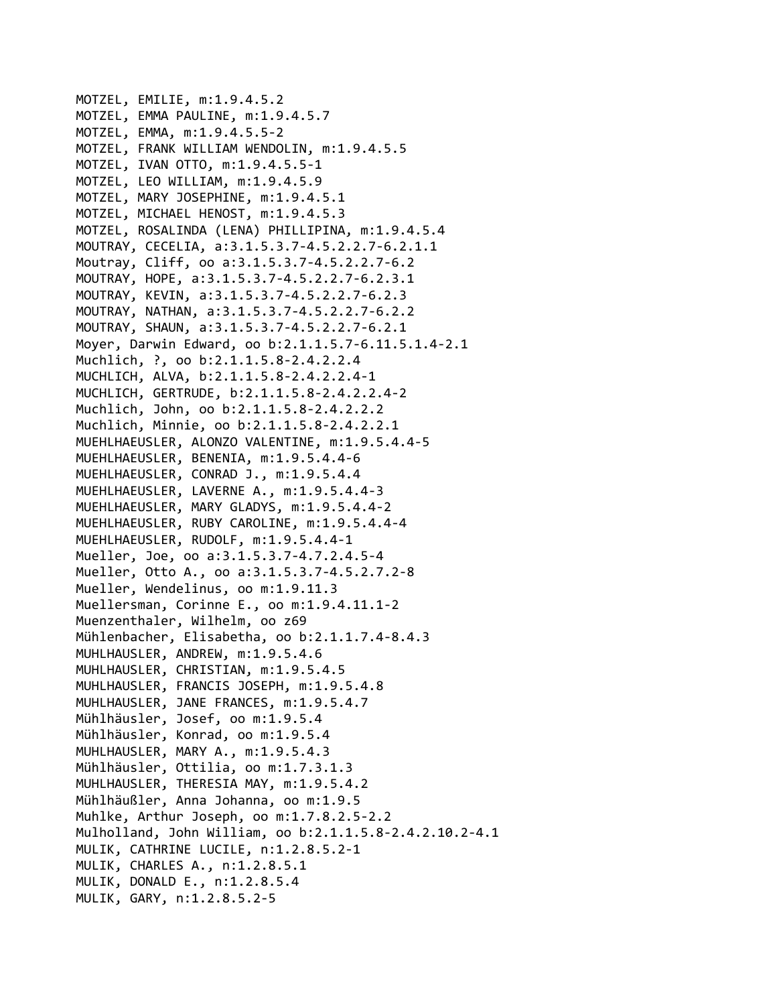MOTZEL, EMILIE, m:1.9.4.5.2 MOTZEL, EMMA PAULINE, m:1.9.4.5.7 MOTZEL, EMMA, m:1.9.4.5.5‐2 MOTZEL, FRANK WILLIAM WENDOLIN, m:1.9.4.5.5 MOTZEL, IVAN OTTO, m:1.9.4.5.5‐1 MOTZEL, LEO WILLIAM, m:1.9.4.5.9 MOTZEL, MARY JOSEPHINE, m:1.9.4.5.1 MOTZEL, MICHAEL HENOST, m:1.9.4.5.3 MOTZEL, ROSALINDA (LENA) PHILLIPINA, m:1.9.4.5.4 MOUTRAY, CECELIA, a:3.1.5.3.7‐4.5.2.2.7‐6.2.1.1 Moutray, Cliff, oo a:3.1.5.3.7‐4.5.2.2.7‐6.2 MOUTRAY, HOPE, a:3.1.5.3.7‐4.5.2.2.7‐6.2.3.1 MOUTRAY, KEVIN, a:3.1.5.3.7‐4.5.2.2.7‐6.2.3 MOUTRAY, NATHAN, a:3.1.5.3.7‐4.5.2.2.7‐6.2.2 MOUTRAY, SHAUN, a:3.1.5.3.7‐4.5.2.2.7‐6.2.1 Moyer, Darwin Edward, oo b:2.1.1.5.7‐6.11.5.1.4‐2.1 Muchlich, ?, oo b:2.1.1.5.8‐2.4.2.2.4 MUCHLICH, ALVA, b:2.1.1.5.8‐2.4.2.2.4‐1 MUCHLICH, GERTRUDE, b:2.1.1.5.8‐2.4.2.2.4‐2 Muchlich, John, oo b:2.1.1.5.8‐2.4.2.2.2 Muchlich, Minnie, oo b:2.1.1.5.8‐2.4.2.2.1 MUEHLHAEUSLER, ALONZO VALENTINE, m:1.9.5.4.4‐5 MUEHLHAEUSLER, BENENIA, m:1.9.5.4.4‐6 MUEHLHAEUSLER, CONRAD J., m:1.9.5.4.4 MUEHLHAEUSLER, LAVERNE A., m:1.9.5.4.4‐3 MUEHLHAEUSLER, MARY GLADYS, m:1.9.5.4.4‐2 MUEHLHAEUSLER, RUBY CAROLINE, m:1.9.5.4.4‐4 MUEHLHAEUSLER, RUDOLF, m:1.9.5.4.4‐1 Mueller, Joe, oo a:3.1.5.3.7‐4.7.2.4.5‐4 Mueller, Otto A., oo a:3.1.5.3.7‐4.5.2.7.2‐8 Mueller, Wendelinus, oo m:1.9.11.3 Muellersman, Corinne E., oo m:1.9.4.11.1‐2 Muenzenthaler, Wilhelm, oo z69 Mühlenbacher, Elisabetha, oo b:2.1.1.7.4‐8.4.3 MUHLHAUSLER, ANDREW, m:1.9.5.4.6 MUHLHAUSLER, CHRISTIAN, m:1.9.5.4.5 MUHLHAUSLER, FRANCIS JOSEPH, m:1.9.5.4.8 MUHLHAUSLER, JANE FRANCES, m:1.9.5.4.7 Mühlhäusler, Josef, oo m:1.9.5.4 Mühlhäusler, Konrad, oo m:1.9.5.4 MUHLHAUSLER, MARY A., m:1.9.5.4.3 Mühlhäusler, Ottilia, oo m:1.7.3.1.3 MUHLHAUSLER, THERESIA MAY, m:1.9.5.4.2 Mühlhäußler, Anna Johanna, oo m:1.9.5 Muhlke, Arthur Joseph, oo m:1.7.8.2.5‐2.2 Mulholland, John William, oo b:2.1.1.5.8‐2.4.2.10.2‐4.1 MULIK, CATHRINE LUCILE, n:1.2.8.5.2‐1 MULIK, CHARLES A., n:1.2.8.5.1 MULIK, DONALD E., n:1.2.8.5.4 MULIK, GARY, n:1.2.8.5.2‐5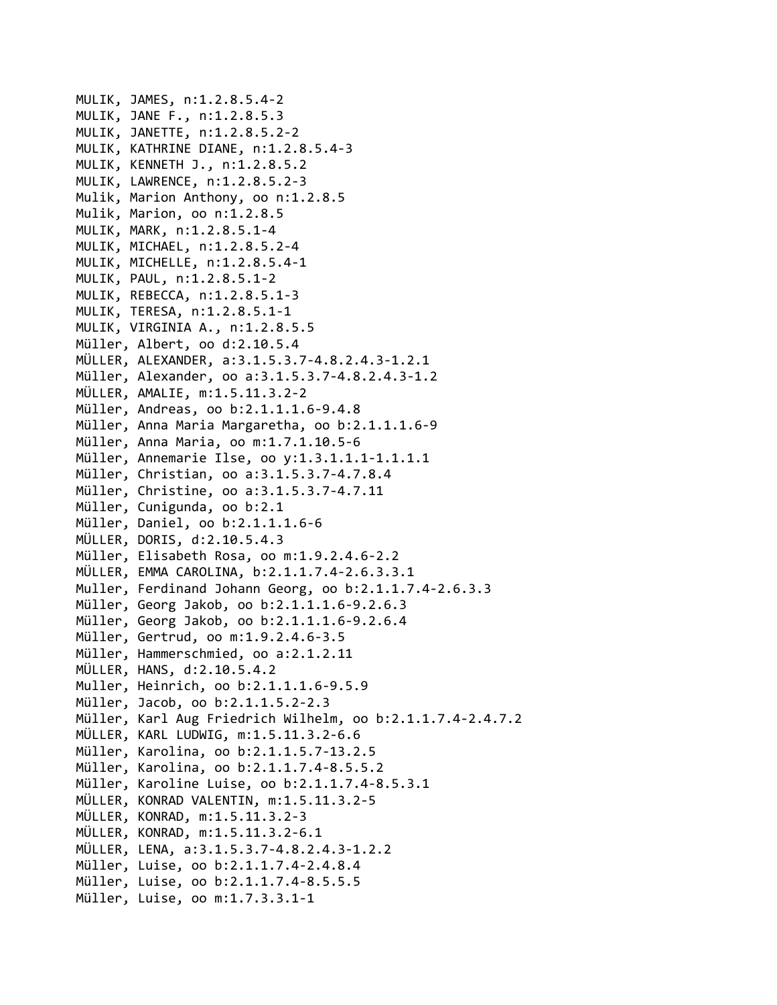```
MULIK, JAMES, n:1.2.8.5.4‐2
MULIK, JANE F., n:1.2.8.5.3
MULIK, JANETTE, n:1.2.8.5.2‐2
MULIK, KATHRINE DIANE, n:1.2.8.5.4‐3
MULIK, KENNETH J., n:1.2.8.5.2
MULIK, LAWRENCE, n:1.2.8.5.2‐3
Mulik, Marion Anthony, oo n:1.2.8.5
Mulik, Marion, oo n:1.2.8.5
MULIK, MARK, n:1.2.8.5.1‐4
MULIK, MICHAEL, n:1.2.8.5.2‐4
MULIK, MICHELLE, n:1.2.8.5.4‐1
MULIK, PAUL, n:1.2.8.5.1‐2
MULIK, REBECCA, n:1.2.8.5.1‐3
MULIK, TERESA, n:1.2.8.5.1‐1
MULIK, VIRGINIA A., n:1.2.8.5.5
Müller, Albert, oo d:2.10.5.4
MÜLLER, ALEXANDER, a:3.1.5.3.7‐4.8.2.4.3‐1.2.1
Müller, Alexander, oo a:3.1.5.3.7‐4.8.2.4.3‐1.2
MÜLLER, AMALIE, m:1.5.11.3.2‐2
Müller, Andreas, oo b:2.1.1.1.6‐9.4.8
Müller, Anna Maria Margaretha, oo b:2.1.1.1.6‐9
Müller, Anna Maria, oo m:1.7.1.10.5‐6
Müller, Annemarie Ilse, oo y:1.3.1.1.1‐1.1.1.1
Müller, Christian, oo a:3.1.5.3.7‐4.7.8.4
Müller, Christine, oo a:3.1.5.3.7‐4.7.11
Müller, Cunigunda, oo b:2.1
Müller, Daniel, oo b:2.1.1.1.6‐6
MÜLLER, DORIS, d:2.10.5.4.3
Müller, Elisabeth Rosa, oo m:1.9.2.4.6‐2.2
MÜLLER, EMMA CAROLINA, b:2.1.1.7.4‐2.6.3.3.1
Muller, Ferdinand Johann Georg, oo b:2.1.1.7.4‐2.6.3.3
Müller, Georg Jakob, oo b:2.1.1.1.6‐9.2.6.3
Müller, Georg Jakob, oo b:2.1.1.1.6‐9.2.6.4
Müller, Gertrud, oo m:1.9.2.4.6‐3.5
Müller, Hammerschmied, oo a:2.1.2.11
MÜLLER, HANS, d:2.10.5.4.2
Muller, Heinrich, oo b:2.1.1.1.6‐9.5.9
Müller, Jacob, oo b:2.1.1.5.2‐2.3
Müller, Karl Aug Friedrich Wilhelm, oo b:2.1.1.7.4‐2.4.7.2
MÜLLER, KARL LUDWIG, m:1.5.11.3.2‐6.6
Müller, Karolina, oo b:2.1.1.5.7‐13.2.5
Müller, Karolina, oo b:2.1.1.7.4‐8.5.5.2
Müller, Karoline Luise, oo b:2.1.1.7.4‐8.5.3.1
MÜLLER, KONRAD VALENTIN, m:1.5.11.3.2‐5
MÜLLER, KONRAD, m:1.5.11.3.2‐3
MÜLLER, KONRAD, m:1.5.11.3.2‐6.1
MÜLLER, LENA, a:3.1.5.3.7‐4.8.2.4.3‐1.2.2
Müller, Luise, oo b:2.1.1.7.4‐2.4.8.4
Müller, Luise, oo b:2.1.1.7.4‐8.5.5.5
Müller, Luise, oo m:1.7.3.3.1‐1
```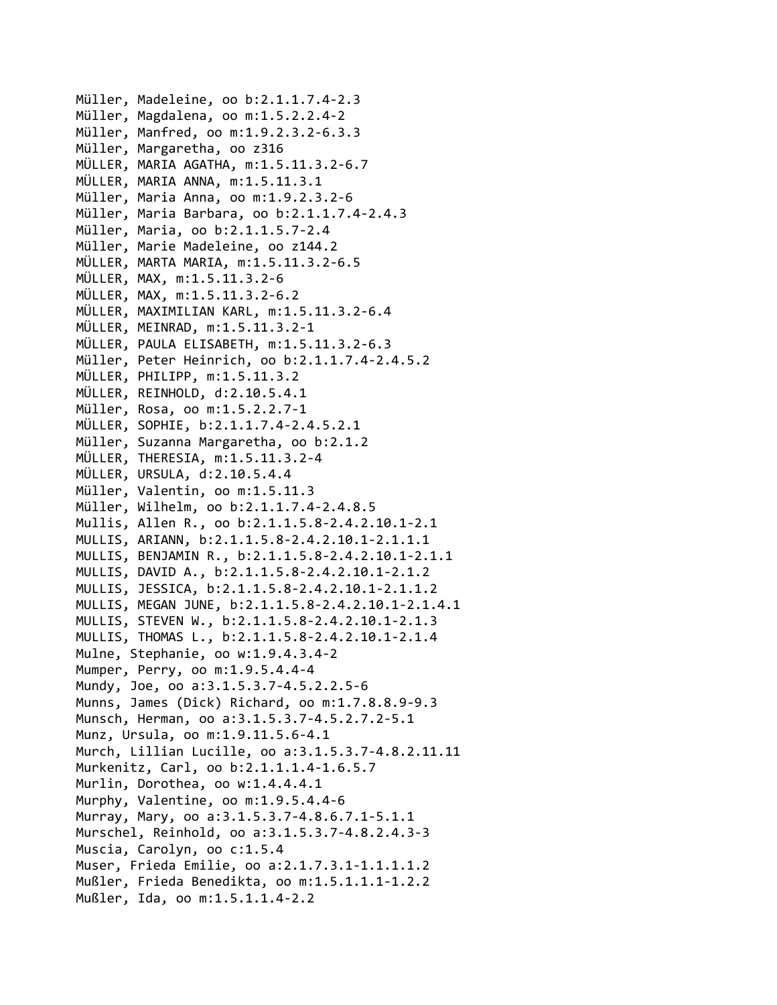Müller, Madeleine, oo b:2.1.1.7.4‐2.3 Müller, Magdalena, oo m:1.5.2.2.4‐2 Müller, Manfred, oo m:1.9.2.3.2‐6.3.3 Müller, Margaretha, oo z316 MÜLLER, MARIA AGATHA, m:1.5.11.3.2‐6.7 MÜLLER, MARIA ANNA, m:1.5.11.3.1 Müller, Maria Anna, oo m:1.9.2.3.2‐6 Müller, Maria Barbara, oo b:2.1.1.7.4‐2.4.3 Müller, Maria, oo b:2.1.1.5.7‐2.4 Müller, Marie Madeleine, oo z144.2 MÜLLER, MARTA MARIA, m:1.5.11.3.2‐6.5 MÜLLER, MAX, m:1.5.11.3.2‐6 MÜLLER, MAX, m:1.5.11.3.2‐6.2 MÜLLER, MAXIMILIAN KARL, m:1.5.11.3.2‐6.4 MÜLLER, MEINRAD, m:1.5.11.3.2‐1 MÜLLER, PAULA ELISABETH, m:1.5.11.3.2‐6.3 Müller, Peter Heinrich, oo b:2.1.1.7.4‐2.4.5.2 MÜLLER, PHILIPP, m:1.5.11.3.2 MÜLLER, REINHOLD, d:2.10.5.4.1 Müller, Rosa, oo m:1.5.2.2.7‐1 MÜLLER, SOPHIE, b:2.1.1.7.4‐2.4.5.2.1 Müller, Suzanna Margaretha, oo b:2.1.2 MÜLLER, THERESIA, m:1.5.11.3.2‐4 MÜLLER, URSULA, d:2.10.5.4.4 Müller, Valentin, oo m:1.5.11.3 Müller, Wilhelm, oo b:2.1.1.7.4‐2.4.8.5 Mullis, Allen R., oo b:2.1.1.5.8‐2.4.2.10.1‐2.1 MULLIS, ARIANN, b:2.1.1.5.8‐2.4.2.10.1‐2.1.1.1 MULLIS, BENJAMIN R., b:2.1.1.5.8‐2.4.2.10.1‐2.1.1 MULLIS, DAVID A., b:2.1.1.5.8‐2.4.2.10.1‐2.1.2 MULLIS, JESSICA, b:2.1.1.5.8‐2.4.2.10.1‐2.1.1.2 MULLIS, MEGAN JUNE, b:2.1.1.5.8‐2.4.2.10.1‐2.1.4.1 MULLIS, STEVEN W., b:2.1.1.5.8‐2.4.2.10.1‐2.1.3 MULLIS, THOMAS L., b:2.1.1.5.8‐2.4.2.10.1‐2.1.4 Mulne, Stephanie, oo w:1.9.4.3.4‐2 Mumper, Perry, oo m:1.9.5.4.4‐4 Mundy, Joe, oo a:3.1.5.3.7‐4.5.2.2.5‐6 Munns, James (Dick) Richard, oo m:1.7.8.8.9‐9.3 Munsch, Herman, oo a:3.1.5.3.7‐4.5.2.7.2‐5.1 Munz, Ursula, oo m:1.9.11.5.6‐4.1 Murch, Lillian Lucille, oo a:3.1.5.3.7‐4.8.2.11.11 Murkenitz, Carl, oo b:2.1.1.1.4‐1.6.5.7 Murlin, Dorothea, oo w:1.4.4.4.1 Murphy, Valentine, oo m:1.9.5.4.4‐6 Murray, Mary, oo a:3.1.5.3.7‐4.8.6.7.1‐5.1.1 Murschel, Reinhold, oo a:3.1.5.3.7‐4.8.2.4.3‐3 Muscia, Carolyn, oo c:1.5.4 Muser, Frieda Emilie, oo a:2.1.7.3.1‐1.1.1.1.2 Mußler, Frieda Benedikta, oo m:1.5.1.1.1‐1.2.2 Mußler, Ida, oo m:1.5.1.1.4‐2.2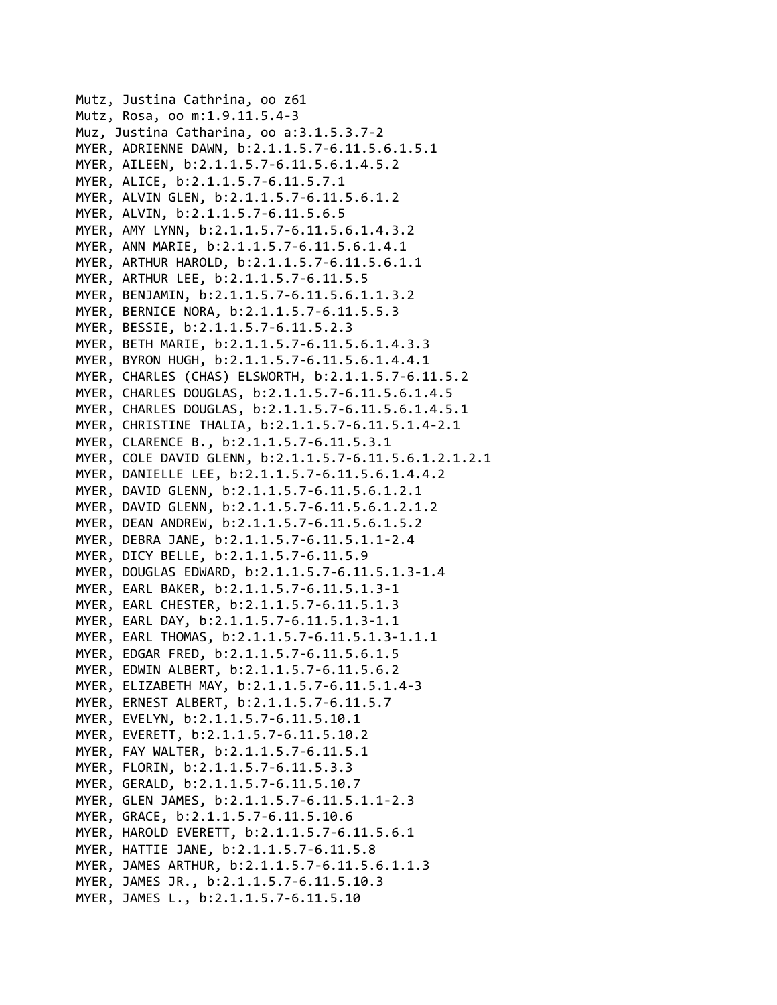```
Mutz, Justina Cathrina, oo z61
Mutz, Rosa, oo m:1.9.11.5.4‐3
Muz, Justina Catharina, oo a:3.1.5.3.7‐2
MYER, ADRIENNE DAWN, b:2.1.1.5.7‐6.11.5.6.1.5.1
MYER, AILEEN, b:2.1.1.5.7‐6.11.5.6.1.4.5.2
MYER, ALICE, b:2.1.1.5.7‐6.11.5.7.1
MYER, ALVIN GLEN, b:2.1.1.5.7‐6.11.5.6.1.2
MYER, ALVIN, b:2.1.1.5.7‐6.11.5.6.5
MYER, AMY LYNN, b:2.1.1.5.7‐6.11.5.6.1.4.3.2
MYER, ANN MARIE, b:2.1.1.5.7‐6.11.5.6.1.4.1
MYER, ARTHUR HAROLD, b:2.1.1.5.7‐6.11.5.6.1.1
MYER, ARTHUR LEE, b:2.1.1.5.7‐6.11.5.5
MYER, BENJAMIN, b:2.1.1.5.7‐6.11.5.6.1.1.3.2
MYER, BERNICE NORA, b:2.1.1.5.7‐6.11.5.5.3
MYER, BESSIE, b:2.1.1.5.7‐6.11.5.2.3
MYER, BETH MARIE, b:2.1.1.5.7‐6.11.5.6.1.4.3.3
MYER, BYRON HUGH, b:2.1.1.5.7‐6.11.5.6.1.4.4.1
MYER, CHARLES (CHAS) ELSWORTH, b:2.1.1.5.7‐6.11.5.2
MYER, CHARLES DOUGLAS, b:2.1.1.5.7‐6.11.5.6.1.4.5
MYER, CHARLES DOUGLAS, b:2.1.1.5.7‐6.11.5.6.1.4.5.1
MYER, CHRISTINE THALIA, b:2.1.1.5.7‐6.11.5.1.4‐2.1
MYER, CLARENCE B., b:2.1.1.5.7‐6.11.5.3.1
MYER, COLE DAVID GLENN, b:2.1.1.5.7‐6.11.5.6.1.2.1.2.1
MYER, DANIELLE LEE, b:2.1.1.5.7‐6.11.5.6.1.4.4.2
MYER, DAVID GLENN, b:2.1.1.5.7‐6.11.5.6.1.2.1
MYER, DAVID GLENN, b:2.1.1.5.7‐6.11.5.6.1.2.1.2
MYER, DEAN ANDREW, b:2.1.1.5.7‐6.11.5.6.1.5.2
MYER, DEBRA JANE, b:2.1.1.5.7‐6.11.5.1.1‐2.4
MYER, DICY BELLE, b:2.1.1.5.7‐6.11.5.9
MYER, DOUGLAS EDWARD, b:2.1.1.5.7‐6.11.5.1.3‐1.4
MYER, EARL BAKER, b:2.1.1.5.7‐6.11.5.1.3‐1
MYER, EARL CHESTER, b:2.1.1.5.7‐6.11.5.1.3
MYER, EARL DAY, b:2.1.1.5.7‐6.11.5.1.3‐1.1
MYER, EARL THOMAS, b:2.1.1.5.7‐6.11.5.1.3‐1.1.1
MYER, EDGAR FRED, b:2.1.1.5.7‐6.11.5.6.1.5
MYER, EDWIN ALBERT, b:2.1.1.5.7‐6.11.5.6.2
MYER, ELIZABETH MAY, b:2.1.1.5.7‐6.11.5.1.4‐3
MYER, ERNEST ALBERT, b:2.1.1.5.7‐6.11.5.7
MYER, EVELYN, b:2.1.1.5.7‐6.11.5.10.1
MYER, EVERETT, b:2.1.1.5.7‐6.11.5.10.2
MYER, FAY WALTER, b:2.1.1.5.7‐6.11.5.1
MYER, FLORIN, b:2.1.1.5.7‐6.11.5.3.3
MYER, GERALD, b:2.1.1.5.7‐6.11.5.10.7
MYER, GLEN JAMES, b:2.1.1.5.7‐6.11.5.1.1‐2.3
MYER, GRACE, b:2.1.1.5.7‐6.11.5.10.6
MYER, HAROLD EVERETT, b:2.1.1.5.7‐6.11.5.6.1
MYER, HATTIE JANE, b:2.1.1.5.7‐6.11.5.8
MYER, JAMES ARTHUR, b:2.1.1.5.7‐6.11.5.6.1.1.3
MYER, JAMES JR., b:2.1.1.5.7‐6.11.5.10.3
MYER, JAMES L., b:2.1.1.5.7‐6.11.5.10
```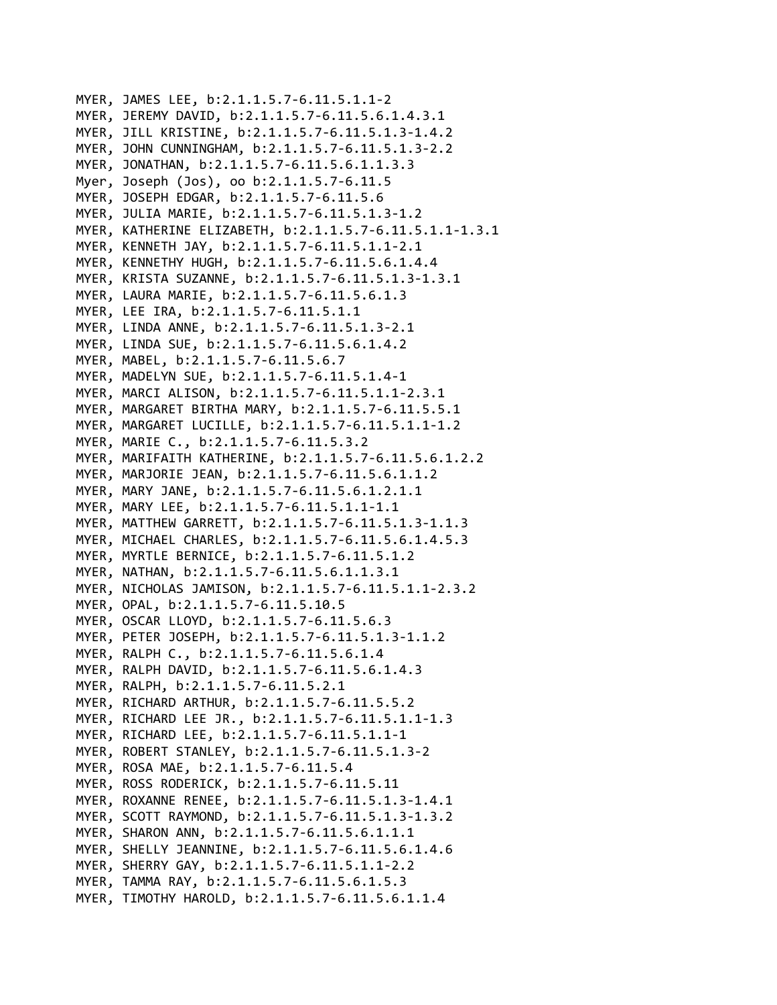MYER, JAMES LEE, b:2.1.1.5.7‐6.11.5.1.1‐2 MYER, JEREMY DAVID, b:2.1.1.5.7‐6.11.5.6.1.4.3.1 MYER, JILL KRISTINE, b:2.1.1.5.7‐6.11.5.1.3‐1.4.2 MYER, JOHN CUNNINGHAM, b:2.1.1.5.7‐6.11.5.1.3‐2.2 MYER, JONATHAN, b:2.1.1.5.7‐6.11.5.6.1.1.3.3 Myer, Joseph (Jos), oo b:2.1.1.5.7‐6.11.5 MYER, JOSEPH EDGAR, b:2.1.1.5.7‐6.11.5.6 MYER, JULIA MARIE, b:2.1.1.5.7‐6.11.5.1.3‐1.2 MYER, KATHERINE ELIZABETH, b:2.1.1.5.7‐6.11.5.1.1‐1.3.1 MYER, KENNETH JAY, b:2.1.1.5.7‐6.11.5.1.1‐2.1 MYER, KENNETHY HUGH, b:2.1.1.5.7‐6.11.5.6.1.4.4 MYER, KRISTA SUZANNE, b:2.1.1.5.7‐6.11.5.1.3‐1.3.1 MYER, LAURA MARIE, b:2.1.1.5.7‐6.11.5.6.1.3 MYER, LEE IRA, b:2.1.1.5.7‐6.11.5.1.1 MYER, LINDA ANNE, b:2.1.1.5.7‐6.11.5.1.3‐2.1 MYER, LINDA SUE, b:2.1.1.5.7‐6.11.5.6.1.4.2 MYER, MABEL, b:2.1.1.5.7‐6.11.5.6.7 MYER, MADELYN SUE, b:2.1.1.5.7‐6.11.5.1.4‐1 MYER, MARCI ALISON, b:2.1.1.5.7‐6.11.5.1.1‐2.3.1 MYER, MARGARET BIRTHA MARY, b:2.1.1.5.7‐6.11.5.5.1 MYER, MARGARET LUCILLE, b:2.1.1.5.7‐6.11.5.1.1‐1.2 MYER, MARIE C., b:2.1.1.5.7‐6.11.5.3.2 MYER, MARIFAITH KATHERINE, b:2.1.1.5.7‐6.11.5.6.1.2.2 MYER, MARJORIE JEAN, b:2.1.1.5.7‐6.11.5.6.1.1.2 MYER, MARY JANE, b:2.1.1.5.7‐6.11.5.6.1.2.1.1 MYER, MARY LEE, b:2.1.1.5.7‐6.11.5.1.1‐1.1 MYER, MATTHEW GARRETT, b:2.1.1.5.7‐6.11.5.1.3‐1.1.3 MYER, MICHAEL CHARLES, b:2.1.1.5.7‐6.11.5.6.1.4.5.3 MYER, MYRTLE BERNICE, b:2.1.1.5.7‐6.11.5.1.2 MYER, NATHAN, b:2.1.1.5.7‐6.11.5.6.1.1.3.1 MYER, NICHOLAS JAMISON, b:2.1.1.5.7‐6.11.5.1.1‐2.3.2 MYER, OPAL, b:2.1.1.5.7‐6.11.5.10.5 MYER, OSCAR LLOYD, b:2.1.1.5.7‐6.11.5.6.3 MYER, PETER JOSEPH, b:2.1.1.5.7‐6.11.5.1.3‐1.1.2 MYER, RALPH C., b:2.1.1.5.7‐6.11.5.6.1.4 MYER, RALPH DAVID, b:2.1.1.5.7‐6.11.5.6.1.4.3 MYER, RALPH, b:2.1.1.5.7‐6.11.5.2.1 MYER, RICHARD ARTHUR, b:2.1.1.5.7‐6.11.5.5.2 MYER, RICHARD LEE JR., b:2.1.1.5.7‐6.11.5.1.1‐1.3 MYER, RICHARD LEE, b:2.1.1.5.7‐6.11.5.1.1‐1 MYER, ROBERT STANLEY, b:2.1.1.5.7‐6.11.5.1.3‐2 MYER, ROSA MAE, b:2.1.1.5.7‐6.11.5.4 MYER, ROSS RODERICK, b:2.1.1.5.7‐6.11.5.11 MYER, ROXANNE RENEE, b:2.1.1.5.7‐6.11.5.1.3‐1.4.1 MYER, SCOTT RAYMOND, b:2.1.1.5.7‐6.11.5.1.3‐1.3.2 MYER, SHARON ANN, b:2.1.1.5.7‐6.11.5.6.1.1.1 MYER, SHELLY JEANNINE, b:2.1.1.5.7‐6.11.5.6.1.4.6 MYER, SHERRY GAY, b:2.1.1.5.7‐6.11.5.1.1‐2.2 MYER, TAMMA RAY, b:2.1.1.5.7‐6.11.5.6.1.5.3 MYER, TIMOTHY HAROLD, b:2.1.1.5.7‐6.11.5.6.1.1.4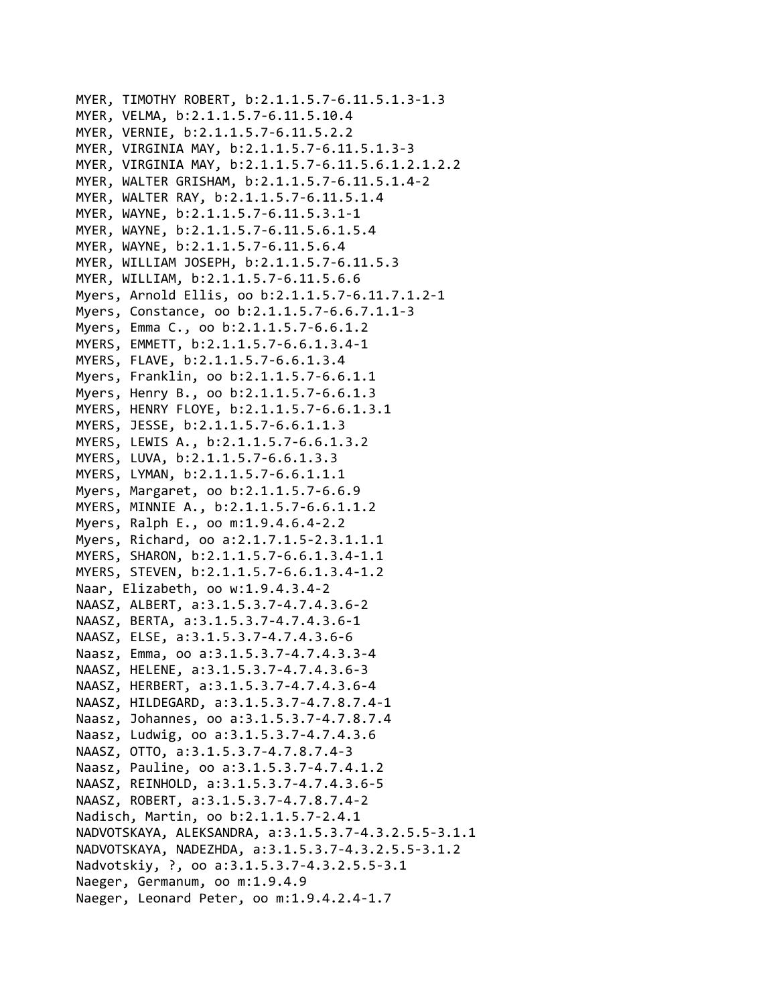```
MYER, TIMOTHY ROBERT, b:2.1.1.5.7‐6.11.5.1.3‐1.3
MYER, VELMA, b:2.1.1.5.7‐6.11.5.10.4
MYER, VERNIE, b:2.1.1.5.7‐6.11.5.2.2
MYER, VIRGINIA MAY, b:2.1.1.5.7‐6.11.5.1.3‐3
MYER, VIRGINIA MAY, b:2.1.1.5.7‐6.11.5.6.1.2.1.2.2
MYER, WALTER GRISHAM, b:2.1.1.5.7‐6.11.5.1.4‐2
MYER, WALTER RAY, b:2.1.1.5.7‐6.11.5.1.4
MYER, WAYNE, b:2.1.1.5.7‐6.11.5.3.1‐1
MYER, WAYNE, b:2.1.1.5.7‐6.11.5.6.1.5.4
MYER, WAYNE, b:2.1.1.5.7‐6.11.5.6.4
MYER, WILLIAM JOSEPH, b:2.1.1.5.7‐6.11.5.3
MYER, WILLIAM, b:2.1.1.5.7‐6.11.5.6.6
Myers, Arnold Ellis, oo b:2.1.1.5.7‐6.11.7.1.2‐1
Myers, Constance, oo b:2.1.1.5.7‐6.6.7.1.1‐3
Myers, Emma C., oo b:2.1.1.5.7‐6.6.1.2
MYERS, EMMETT, b:2.1.1.5.7‐6.6.1.3.4‐1
MYERS, FLAVE, b:2.1.1.5.7‐6.6.1.3.4
Myers, Franklin, oo b:2.1.1.5.7‐6.6.1.1
Myers, Henry B., oo b:2.1.1.5.7‐6.6.1.3
MYERS, HENRY FLOYE, b:2.1.1.5.7‐6.6.1.3.1
MYERS, JESSE, b:2.1.1.5.7‐6.6.1.1.3
MYERS, LEWIS A., b:2.1.1.5.7‐6.6.1.3.2
MYERS, LUVA, b:2.1.1.5.7‐6.6.1.3.3
MYERS, LYMAN, b:2.1.1.5.7‐6.6.1.1.1
Myers, Margaret, oo b:2.1.1.5.7‐6.6.9
MYERS, MINNIE A., b:2.1.1.5.7‐6.6.1.1.2
Myers, Ralph E., oo m:1.9.4.6.4‐2.2
Myers, Richard, oo a:2.1.7.1.5‐2.3.1.1.1
MYERS, SHARON, b:2.1.1.5.7‐6.6.1.3.4‐1.1
MYERS, STEVEN, b:2.1.1.5.7‐6.6.1.3.4‐1.2
Naar, Elizabeth, oo w:1.9.4.3.4‐2
NAASZ, ALBERT, a:3.1.5.3.7‐4.7.4.3.6‐2
NAASZ, BERTA, a:3.1.5.3.7‐4.7.4.3.6‐1
NAASZ, ELSE, a:3.1.5.3.7‐4.7.4.3.6‐6
Naasz, Emma, oo a:3.1.5.3.7‐4.7.4.3.3‐4
NAASZ, HELENE, a:3.1.5.3.7‐4.7.4.3.6‐3
NAASZ, HERBERT, a:3.1.5.3.7‐4.7.4.3.6‐4
NAASZ, HILDEGARD, a:3.1.5.3.7‐4.7.8.7.4‐1
Naasz, Johannes, oo a:3.1.5.3.7‐4.7.8.7.4
Naasz, Ludwig, oo a:3.1.5.3.7‐4.7.4.3.6
NAASZ, OTTO, a:3.1.5.3.7‐4.7.8.7.4‐3
Naasz, Pauline, oo a:3.1.5.3.7‐4.7.4.1.2
NAASZ, REINHOLD, a:3.1.5.3.7‐4.7.4.3.6‐5
NAASZ, ROBERT, a:3.1.5.3.7‐4.7.8.7.4‐2
Nadisch, Martin, oo b:2.1.1.5.7‐2.4.1
NADVOTSKAYA, ALEKSANDRA, a:3.1.5.3.7‐4.3.2.5.5‐3.1.1
NADVOTSKAYA, NADEZHDA, a:3.1.5.3.7‐4.3.2.5.5‐3.1.2
Nadvotskiy, ?, oo a:3.1.5.3.7‐4.3.2.5.5‐3.1
Naeger, Germanum, oo m:1.9.4.9
Naeger, Leonard Peter, oo m:1.9.4.2.4‐1.7
```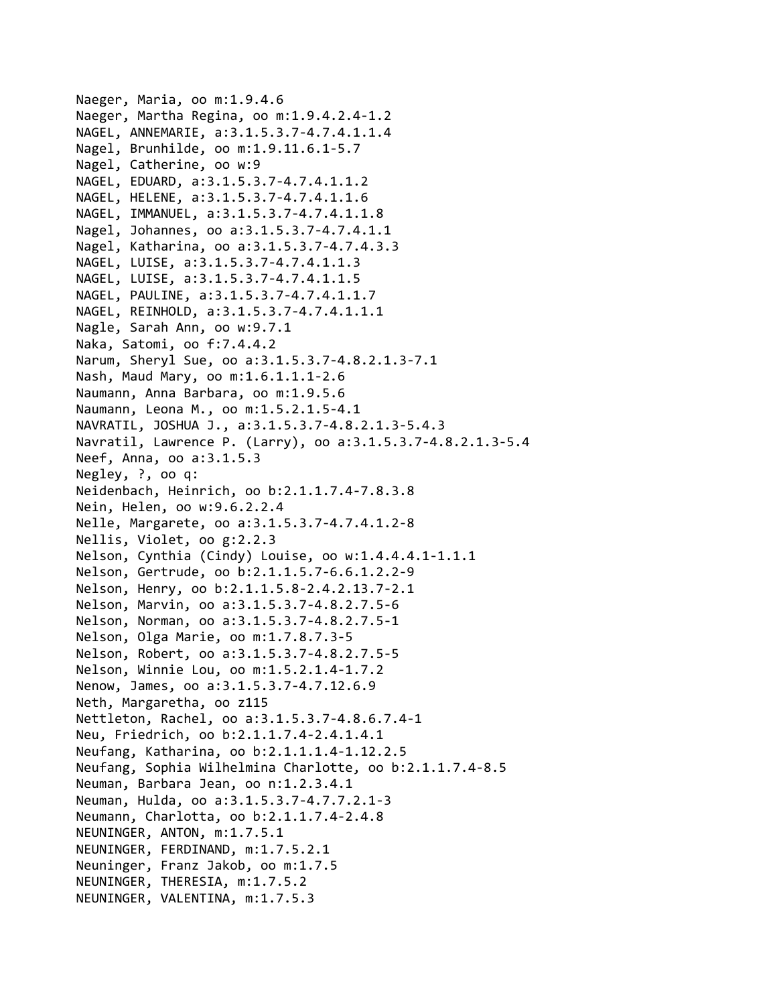```
Naeger, Maria, oo m:1.9.4.6
Naeger, Martha Regina, oo m:1.9.4.2.4‐1.2
NAGEL, ANNEMARIE, a:3.1.5.3.7‐4.7.4.1.1.4
Nagel, Brunhilde, oo m:1.9.11.6.1‐5.7
Nagel, Catherine, oo w:9
NAGEL, EDUARD, a:3.1.5.3.7‐4.7.4.1.1.2
NAGEL, HELENE, a:3.1.5.3.7‐4.7.4.1.1.6
NAGEL, IMMANUEL, a:3.1.5.3.7‐4.7.4.1.1.8
Nagel, Johannes, oo a:3.1.5.3.7‐4.7.4.1.1
Nagel, Katharina, oo a:3.1.5.3.7‐4.7.4.3.3
NAGEL, LUISE, a:3.1.5.3.7‐4.7.4.1.1.3
NAGEL, LUISE, a:3.1.5.3.7‐4.7.4.1.1.5
NAGEL, PAULINE, a:3.1.5.3.7‐4.7.4.1.1.7
NAGEL, REINHOLD, a:3.1.5.3.7‐4.7.4.1.1.1
Nagle, Sarah Ann, oo w:9.7.1
Naka, Satomi, oo f:7.4.4.2
Narum, Sheryl Sue, oo a:3.1.5.3.7‐4.8.2.1.3‐7.1
Nash, Maud Mary, oo m:1.6.1.1.1‐2.6
Naumann, Anna Barbara, oo m:1.9.5.6
Naumann, Leona M., oo m:1.5.2.1.5‐4.1
NAVRATIL, JOSHUA J., a:3.1.5.3.7‐4.8.2.1.3‐5.4.3
Navratil, Lawrence P. (Larry), oo a:3.1.5.3.7‐4.8.2.1.3‐5.4
Neef, Anna, oo a:3.1.5.3
Negley, ?, oo q:
Neidenbach, Heinrich, oo b:2.1.1.7.4‐7.8.3.8
Nein, Helen, oo w:9.6.2.2.4
Nelle, Margarete, oo a:3.1.5.3.7‐4.7.4.1.2‐8
Nellis, Violet, oo g:2.2.3
Nelson, Cynthia (Cindy) Louise, oo w:1.4.4.4.1‐1.1.1
Nelson, Gertrude, oo b:2.1.1.5.7‐6.6.1.2.2‐9
Nelson, Henry, oo b:2.1.1.5.8‐2.4.2.13.7‐2.1
Nelson, Marvin, oo a:3.1.5.3.7‐4.8.2.7.5‐6
Nelson, Norman, oo a:3.1.5.3.7‐4.8.2.7.5‐1
Nelson, Olga Marie, oo m:1.7.8.7.3‐5
Nelson, Robert, oo a:3.1.5.3.7‐4.8.2.7.5‐5
Nelson, Winnie Lou, oo m:1.5.2.1.4‐1.7.2
Nenow, James, oo a:3.1.5.3.7‐4.7.12.6.9
Neth, Margaretha, oo z115
Nettleton, Rachel, oo a:3.1.5.3.7‐4.8.6.7.4‐1
Neu, Friedrich, oo b:2.1.1.7.4‐2.4.1.4.1
Neufang, Katharina, oo b:2.1.1.1.4‐1.12.2.5
Neufang, Sophia Wilhelmina Charlotte, oo b:2.1.1.7.4‐8.5
Neuman, Barbara Jean, oo n:1.2.3.4.1
Neuman, Hulda, oo a:3.1.5.3.7‐4.7.7.2.1‐3
Neumann, Charlotta, oo b:2.1.1.7.4‐2.4.8
NEUNINGER, ANTON, m:1.7.5.1
NEUNINGER, FERDINAND, m:1.7.5.2.1
Neuninger, Franz Jakob, oo m:1.7.5
NEUNINGER, THERESIA, m:1.7.5.2
NEUNINGER, VALENTINA, m:1.7.5.3
```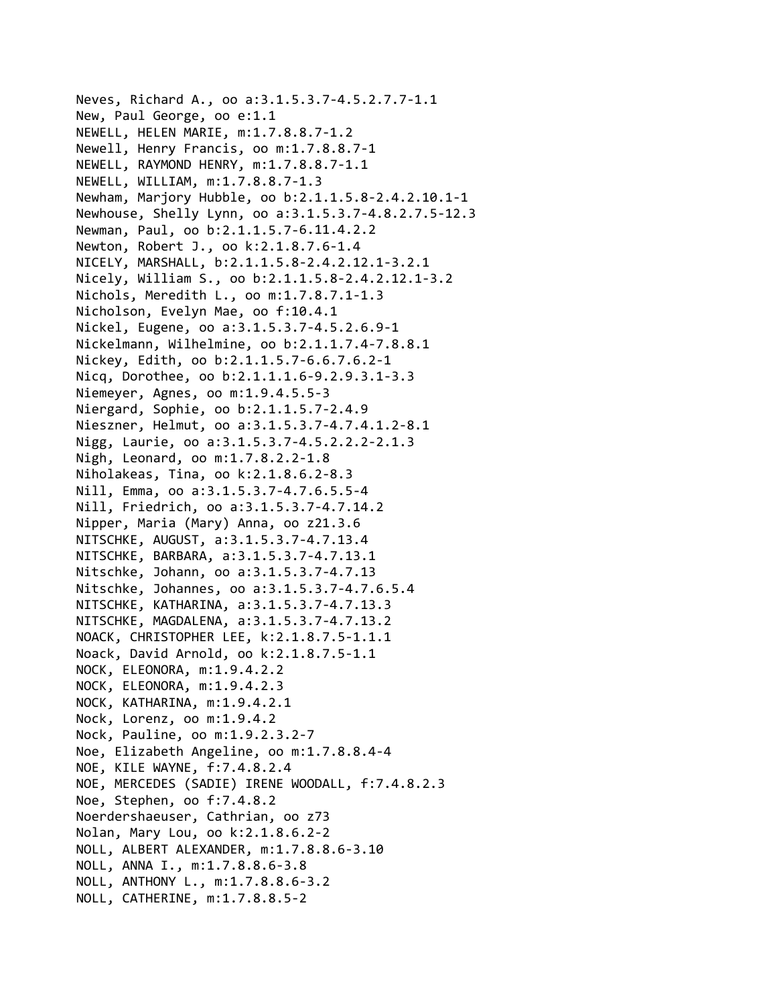Neves, Richard A., oo a:3.1.5.3.7‐4.5.2.7.7‐1.1 New, Paul George, oo e:1.1 NEWELL, HELEN MARIE, m:1.7.8.8.7‐1.2 Newell, Henry Francis, oo m:1.7.8.8.7‐1 NEWELL, RAYMOND HENRY, m:1.7.8.8.7‐1.1 NEWELL, WILLIAM, m:1.7.8.8.7‐1.3 Newham, Marjory Hubble, oo b:2.1.1.5.8‐2.4.2.10.1‐1 Newhouse, Shelly Lynn, oo a:3.1.5.3.7‐4.8.2.7.5‐12.3 Newman, Paul, oo b:2.1.1.5.7‐6.11.4.2.2 Newton, Robert J., oo k:2.1.8.7.6‐1.4 NICELY, MARSHALL, b:2.1.1.5.8‐2.4.2.12.1‐3.2.1 Nicely, William S., oo b:2.1.1.5.8‐2.4.2.12.1‐3.2 Nichols, Meredith L., oo m:1.7.8.7.1‐1.3 Nicholson, Evelyn Mae, oo f:10.4.1 Nickel, Eugene, oo a:3.1.5.3.7‐4.5.2.6.9‐1 Nickelmann, Wilhelmine, oo b:2.1.1.7.4‐7.8.8.1 Nickey, Edith, oo b:2.1.1.5.7‐6.6.7.6.2‐1 Nicq, Dorothee, oo b:2.1.1.1.6‐9.2.9.3.1‐3.3 Niemeyer, Agnes, oo m:1.9.4.5.5‐3 Niergard, Sophie, oo b:2.1.1.5.7‐2.4.9 Nieszner, Helmut, oo a:3.1.5.3.7‐4.7.4.1.2‐8.1 Nigg, Laurie, oo a:3.1.5.3.7‐4.5.2.2.2‐2.1.3 Nigh, Leonard, oo m:1.7.8.2.2‐1.8 Niholakeas, Tina, oo k:2.1.8.6.2‐8.3 Nill, Emma, oo a:3.1.5.3.7‐4.7.6.5.5‐4 Nill, Friedrich, oo a:3.1.5.3.7‐4.7.14.2 Nipper, Maria (Mary) Anna, oo z21.3.6 NITSCHKE, AUGUST, a:3.1.5.3.7‐4.7.13.4 NITSCHKE, BARBARA, a:3.1.5.3.7‐4.7.13.1 Nitschke, Johann, oo a:3.1.5.3.7‐4.7.13 Nitschke, Johannes, oo a:3.1.5.3.7‐4.7.6.5.4 NITSCHKE, KATHARINA, a:3.1.5.3.7‐4.7.13.3 NITSCHKE, MAGDALENA, a:3.1.5.3.7‐4.7.13.2 NOACK, CHRISTOPHER LEE, k:2.1.8.7.5‐1.1.1 Noack, David Arnold, oo k:2.1.8.7.5‐1.1 NOCK, ELEONORA, m:1.9.4.2.2 NOCK, ELEONORA, m:1.9.4.2.3 NOCK, KATHARINA, m:1.9.4.2.1 Nock, Lorenz, oo m:1.9.4.2 Nock, Pauline, oo m:1.9.2.3.2‐7 Noe, Elizabeth Angeline, oo m:1.7.8.8.4‐4 NOE, KILE WAYNE, f:7.4.8.2.4 NOE, MERCEDES (SADIE) IRENE WOODALL, f:7.4.8.2.3 Noe, Stephen, oo f:7.4.8.2 Noerdershaeuser, Cathrian, oo z73 Nolan, Mary Lou, oo k:2.1.8.6.2‐2 NOLL, ALBERT ALEXANDER, m:1.7.8.8.6‐3.10 NOLL, ANNA I., m:1.7.8.8.6‐3.8 NOLL, ANTHONY L., m:1.7.8.8.6‐3.2 NOLL, CATHERINE, m:1.7.8.8.5‐2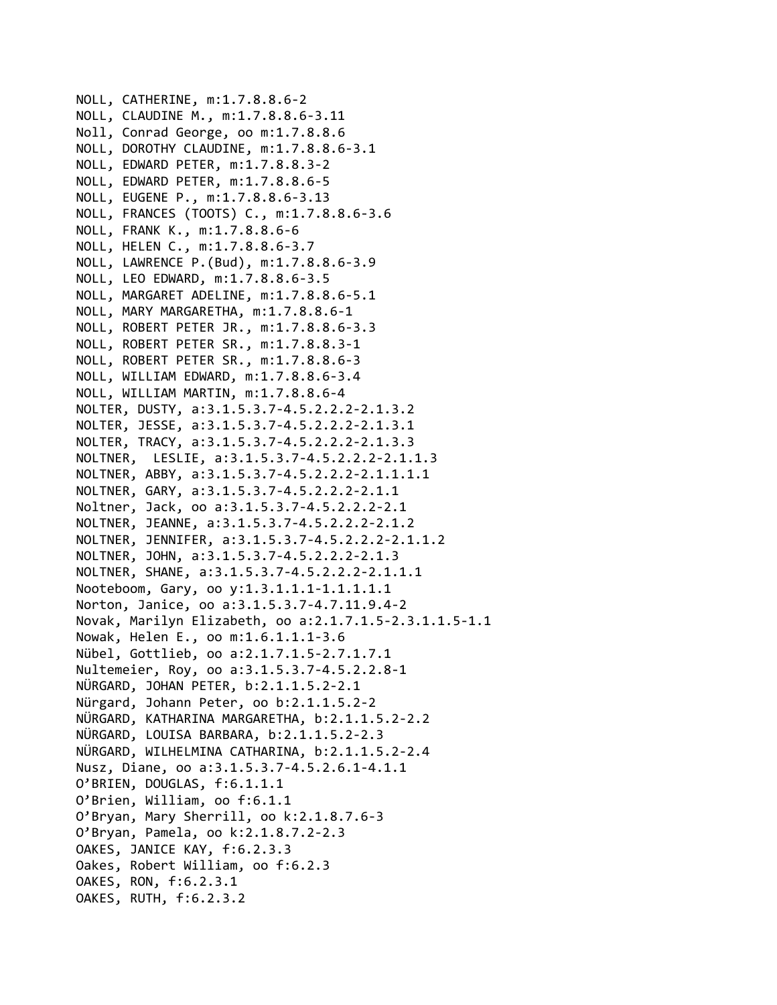NOLL, CATHERINE, m:1.7.8.8.6‐2 NOLL, CLAUDINE M., m:1.7.8.8.6‐3.11 Noll, Conrad George, oo m:1.7.8.8.6 NOLL, DOROTHY CLAUDINE, m:1.7.8.8.6‐3.1 NOLL, EDWARD PETER, m:1.7.8.8.3‐2 NOLL, EDWARD PETER, m:1.7.8.8.6‐5 NOLL, EUGENE P., m:1.7.8.8.6‐3.13 NOLL, FRANCES (TOOTS) C., m:1.7.8.8.6‐3.6 NOLL, FRANK K., m:1.7.8.8.6‐6 NOLL, HELEN C., m:1.7.8.8.6‐3.7 NOLL, LAWRENCE P.(Bud), m:1.7.8.8.6‐3.9 NOLL, LEO EDWARD, m:1.7.8.8.6‐3.5 NOLL, MARGARET ADELINE, m:1.7.8.8.6‐5.1 NOLL, MARY MARGARETHA, m:1.7.8.8.6‐1 NOLL, ROBERT PETER JR., m:1.7.8.8.6‐3.3 NOLL, ROBERT PETER SR., m:1.7.8.8.3‐1 NOLL, ROBERT PETER SR., m:1.7.8.8.6‐3 NOLL, WILLIAM EDWARD, m:1.7.8.8.6‐3.4 NOLL, WILLIAM MARTIN, m:1.7.8.8.6‐4 NOLTER, DUSTY, a:3.1.5.3.7‐4.5.2.2.2‐2.1.3.2 NOLTER, JESSE, a:3.1.5.3.7‐4.5.2.2.2‐2.1.3.1 NOLTER, TRACY, a:3.1.5.3.7‐4.5.2.2.2‐2.1.3.3 NOLTNER, LESLIE, a:3.1.5.3.7‐4.5.2.2.2‐2.1.1.3 NOLTNER, ABBY, a:3.1.5.3.7‐4.5.2.2.2‐2.1.1.1.1 NOLTNER, GARY, a:3.1.5.3.7‐4.5.2.2.2‐2.1.1 Noltner, Jack, oo a:3.1.5.3.7‐4.5.2.2.2‐2.1 NOLTNER, JEANNE, a:3.1.5.3.7‐4.5.2.2.2‐2.1.2 NOLTNER, JENNIFER, a:3.1.5.3.7‐4.5.2.2.2‐2.1.1.2 NOLTNER, JOHN, a:3.1.5.3.7‐4.5.2.2.2‐2.1.3 NOLTNER, SHANE, a:3.1.5.3.7‐4.5.2.2.2‐2.1.1.1 Nooteboom, Gary, oo y:1.3.1.1.1‐1.1.1.1.1 Norton, Janice, oo a:3.1.5.3.7‐4.7.11.9.4‐2 Novak, Marilyn Elizabeth, oo a:2.1.7.1.5‐2.3.1.1.5‐1.1 Nowak, Helen E., oo m:1.6.1.1.1‐3.6 Nübel, Gottlieb, oo a:2.1.7.1.5‐2.7.1.7.1 Nultemeier, Roy, oo a:3.1.5.3.7‐4.5.2.2.8‐1 NÜRGARD, JOHAN PETER, b:2.1.1.5.2‐2.1 Nürgard, Johann Peter, oo b:2.1.1.5.2‐2 NÜRGARD, KATHARINA MARGARETHA, b:2.1.1.5.2‐2.2 NÜRGARD, LOUISA BARBARA, b:2.1.1.5.2‐2.3 NÜRGARD, WILHELMINA CATHARINA, b:2.1.1.5.2‐2.4 Nusz, Diane, oo a:3.1.5.3.7‐4.5.2.6.1‐4.1.1 O'BRIEN, DOUGLAS, f:6.1.1.1 O'Brien, William, oo f:6.1.1 O'Bryan, Mary Sherrill, oo k:2.1.8.7.6‐3 O'Bryan, Pamela, oo k:2.1.8.7.2‐2.3 OAKES, JANICE KAY, f:6.2.3.3 Oakes, Robert William, oo f:6.2.3 OAKES, RON, f:6.2.3.1 OAKES, RUTH, f:6.2.3.2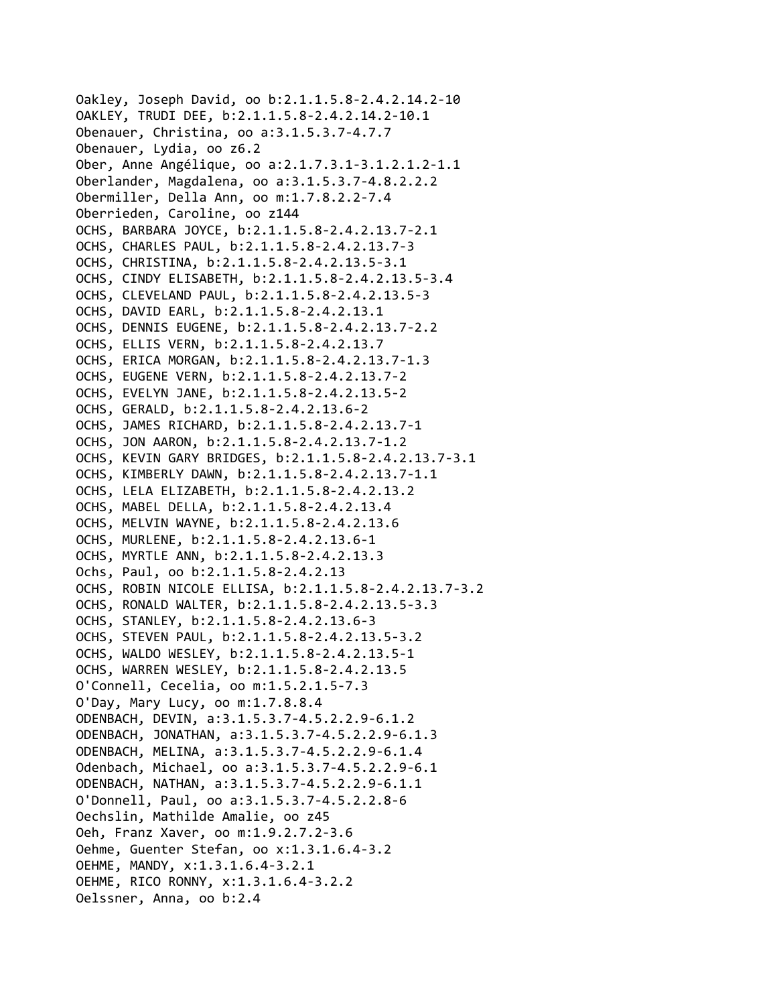```
Oakley, Joseph David, oo b:2.1.1.5.8‐2.4.2.14.2‐10
OAKLEY, TRUDI DEE, b:2.1.1.5.8‐2.4.2.14.2‐10.1
Obenauer, Christina, oo a:3.1.5.3.7‐4.7.7
Obenauer, Lydia, oo z6.2
Ober, Anne Angélique, oo a:2.1.7.3.1‐3.1.2.1.2‐1.1
Oberlander, Magdalena, oo a:3.1.5.3.7‐4.8.2.2.2
Obermiller, Della Ann, oo m:1.7.8.2.2‐7.4
Oberrieden, Caroline, oo z144
OCHS, BARBARA JOYCE, b:2.1.1.5.8‐2.4.2.13.7‐2.1
OCHS, CHARLES PAUL, b:2.1.1.5.8‐2.4.2.13.7‐3
OCHS, CHRISTINA, b:2.1.1.5.8‐2.4.2.13.5‐3.1
OCHS, CINDY ELISABETH, b:2.1.1.5.8‐2.4.2.13.5‐3.4
OCHS, CLEVELAND PAUL, b:2.1.1.5.8‐2.4.2.13.5‐3
OCHS, DAVID EARL, b:2.1.1.5.8‐2.4.2.13.1
OCHS, DENNIS EUGENE, b:2.1.1.5.8‐2.4.2.13.7‐2.2
OCHS, ELLIS VERN, b:2.1.1.5.8‐2.4.2.13.7
OCHS, ERICA MORGAN, b:2.1.1.5.8‐2.4.2.13.7‐1.3
OCHS, EUGENE VERN, b:2.1.1.5.8‐2.4.2.13.7‐2
OCHS, EVELYN JANE, b:2.1.1.5.8‐2.4.2.13.5‐2
OCHS, GERALD, b:2.1.1.5.8‐2.4.2.13.6‐2
OCHS, JAMES RICHARD, b:2.1.1.5.8‐2.4.2.13.7‐1
OCHS, JON AARON, b:2.1.1.5.8‐2.4.2.13.7‐1.2
OCHS, KEVIN GARY BRIDGES, b:2.1.1.5.8‐2.4.2.13.7‐3.1
OCHS, KIMBERLY DAWN, b:2.1.1.5.8‐2.4.2.13.7‐1.1
OCHS, LELA ELIZABETH, b:2.1.1.5.8‐2.4.2.13.2
OCHS, MABEL DELLA, b:2.1.1.5.8‐2.4.2.13.4
OCHS, MELVIN WAYNE, b:2.1.1.5.8‐2.4.2.13.6
OCHS, MURLENE, b:2.1.1.5.8‐2.4.2.13.6‐1
OCHS, MYRTLE ANN, b:2.1.1.5.8‐2.4.2.13.3
Ochs, Paul, oo b:2.1.1.5.8‐2.4.2.13
OCHS, ROBIN NICOLE ELLISA, b:2.1.1.5.8‐2.4.2.13.7‐3.2
OCHS, RONALD WALTER, b:2.1.1.5.8‐2.4.2.13.5‐3.3
OCHS, STANLEY, b:2.1.1.5.8‐2.4.2.13.6‐3
OCHS, STEVEN PAUL, b:2.1.1.5.8‐2.4.2.13.5‐3.2
OCHS, WALDO WESLEY, b:2.1.1.5.8‐2.4.2.13.5‐1
OCHS, WARREN WESLEY, b:2.1.1.5.8‐2.4.2.13.5
O'Connell, Cecelia, oo m:1.5.2.1.5‐7.3
O'Day, Mary Lucy, oo m:1.7.8.8.4
ODENBACH, DEVIN, a:3.1.5.3.7‐4.5.2.2.9‐6.1.2
ODENBACH, JONATHAN, a:3.1.5.3.7‐4.5.2.2.9‐6.1.3
ODENBACH, MELINA, a:3.1.5.3.7‐4.5.2.2.9‐6.1.4
Odenbach, Michael, oo a:3.1.5.3.7‐4.5.2.2.9‐6.1
ODENBACH, NATHAN, a:3.1.5.3.7‐4.5.2.2.9‐6.1.1
O'Donnell, Paul, oo a:3.1.5.3.7‐4.5.2.2.8‐6
Oechslin, Mathilde Amalie, oo z45
Oeh, Franz Xaver, oo m:1.9.2.7.2‐3.6
Oehme, Guenter Stefan, oo x:1.3.1.6.4‐3.2
OEHME, MANDY, x:1.3.1.6.4‐3.2.1
OEHME, RICO RONNY, x:1.3.1.6.4‐3.2.2
Oelssner, Anna, oo b:2.4
```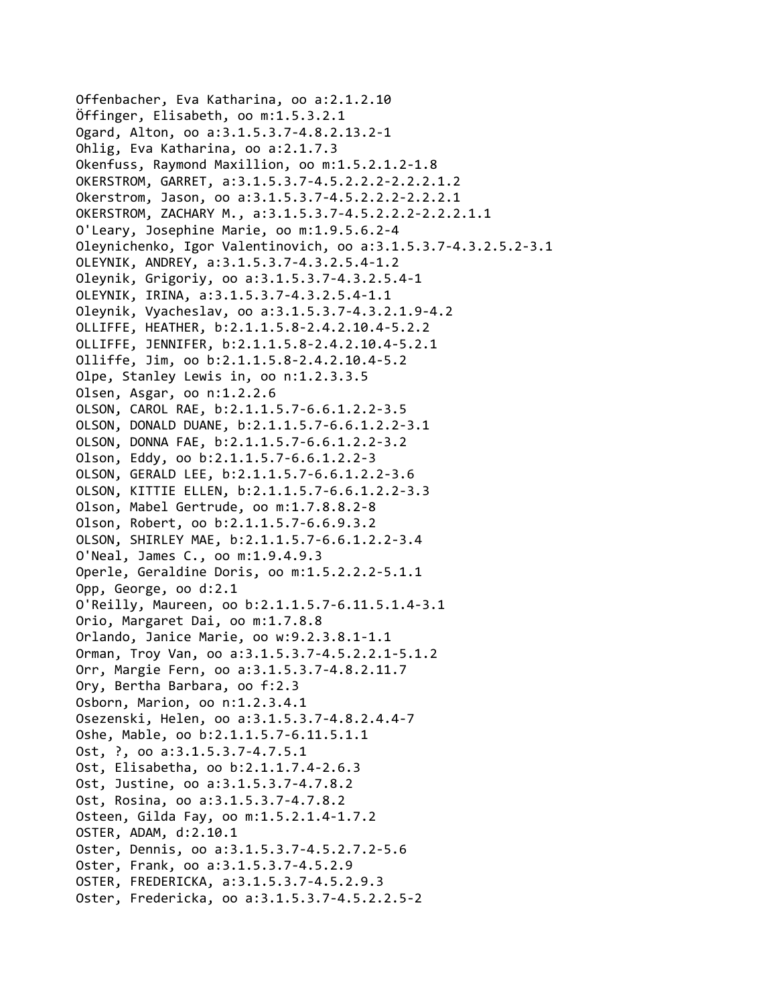Offenbacher, Eva Katharina, oo a:2.1.2.10 Öffinger, Elisabeth, oo m:1.5.3.2.1 Ogard, Alton, oo a:3.1.5.3.7‐4.8.2.13.2‐1 Ohlig, Eva Katharina, oo a:2.1.7.3 Okenfuss, Raymond Maxillion, oo m:1.5.2.1.2‐1.8 OKERSTROM, GARRET, a:3.1.5.3.7‐4.5.2.2.2‐2.2.2.1.2 Okerstrom, Jason, oo a:3.1.5.3.7‐4.5.2.2.2‐2.2.2.1 OKERSTROM, ZACHARY M., a:3.1.5.3.7‐4.5.2.2.2‐2.2.2.1.1 O'Leary, Josephine Marie, oo m:1.9.5.6.2‐4 Oleynichenko, Igor Valentinovich, oo a:3.1.5.3.7‐4.3.2.5.2‐3.1 OLEYNIK, ANDREY, a:3.1.5.3.7‐4.3.2.5.4‐1.2 Oleynik, Grigoriy, oo a:3.1.5.3.7‐4.3.2.5.4‐1 OLEYNIK, IRINA, a:3.1.5.3.7‐4.3.2.5.4‐1.1 Oleynik, Vyacheslav, oo a:3.1.5.3.7‐4.3.2.1.9‐4.2 OLLIFFE, HEATHER, b:2.1.1.5.8‐2.4.2.10.4‐5.2.2 OLLIFFE, JENNIFER, b:2.1.1.5.8‐2.4.2.10.4‐5.2.1 Olliffe, Jim, oo b:2.1.1.5.8‐2.4.2.10.4‐5.2 Olpe, Stanley Lewis in, oo n:1.2.3.3.5 Olsen, Asgar, oo n:1.2.2.6 OLSON, CAROL RAE, b:2.1.1.5.7‐6.6.1.2.2‐3.5 OLSON, DONALD DUANE, b:2.1.1.5.7‐6.6.1.2.2‐3.1 OLSON, DONNA FAE, b:2.1.1.5.7‐6.6.1.2.2‐3.2 Olson, Eddy, oo b:2.1.1.5.7‐6.6.1.2.2‐3 OLSON, GERALD LEE, b:2.1.1.5.7‐6.6.1.2.2‐3.6 OLSON, KITTIE ELLEN, b:2.1.1.5.7‐6.6.1.2.2‐3.3 Olson, Mabel Gertrude, oo m:1.7.8.8.2‐8 Olson, Robert, oo b:2.1.1.5.7‐6.6.9.3.2 OLSON, SHIRLEY MAE, b:2.1.1.5.7‐6.6.1.2.2‐3.4 O'Neal, James C., oo m:1.9.4.9.3 Operle, Geraldine Doris, oo m:1.5.2.2.2‐5.1.1 Opp, George, oo d:2.1 O'Reilly, Maureen, oo b:2.1.1.5.7‐6.11.5.1.4‐3.1 Orio, Margaret Dai, oo m:1.7.8.8 Orlando, Janice Marie, oo w:9.2.3.8.1‐1.1 Orman, Troy Van, oo a:3.1.5.3.7‐4.5.2.2.1‐5.1.2 Orr, Margie Fern, oo a:3.1.5.3.7‐4.8.2.11.7 Ory, Bertha Barbara, oo f:2.3 Osborn, Marion, oo n:1.2.3.4.1 Osezenski, Helen, oo a:3.1.5.3.7‐4.8.2.4.4‐7 Oshe, Mable, oo b:2.1.1.5.7‐6.11.5.1.1 Ost, ?, oo a:3.1.5.3.7‐4.7.5.1 Ost, Elisabetha, oo b:2.1.1.7.4‐2.6.3 Ost, Justine, oo a:3.1.5.3.7‐4.7.8.2 Ost, Rosina, oo a:3.1.5.3.7‐4.7.8.2 Osteen, Gilda Fay, oo m:1.5.2.1.4‐1.7.2 OSTER, ADAM, d:2.10.1 Oster, Dennis, oo a:3.1.5.3.7‐4.5.2.7.2‐5.6 Oster, Frank, oo a:3.1.5.3.7‐4.5.2.9 OSTER, FREDERICKA, a:3.1.5.3.7‐4.5.2.9.3 Oster, Fredericka, oo a:3.1.5.3.7‐4.5.2.2.5‐2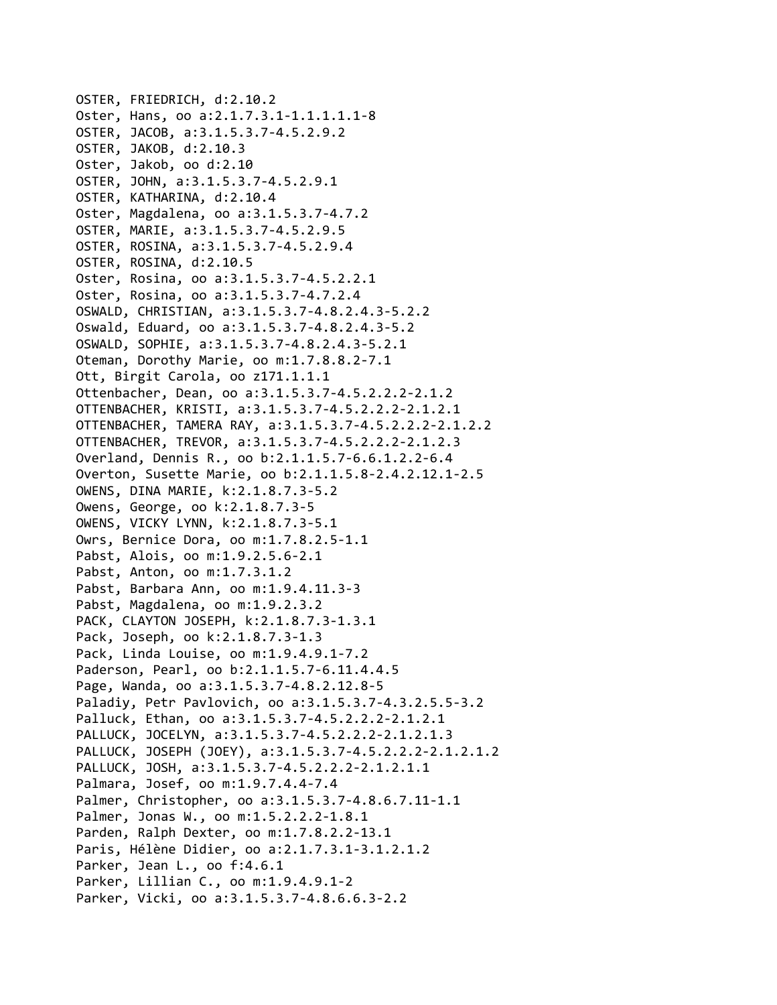```
OSTER, FRIEDRICH, d:2.10.2
Oster, Hans, oo a:2.1.7.3.1‐1.1.1.1.1‐8
OSTER, JACOB, a:3.1.5.3.7‐4.5.2.9.2
OSTER, JAKOB, d:2.10.3
Oster, Jakob, oo d:2.10
OSTER, JOHN, a:3.1.5.3.7‐4.5.2.9.1
OSTER, KATHARINA, d:2.10.4
Oster, Magdalena, oo a:3.1.5.3.7‐4.7.2
OSTER, MARIE, a:3.1.5.3.7‐4.5.2.9.5
OSTER, ROSINA, a:3.1.5.3.7‐4.5.2.9.4
OSTER, ROSINA, d:2.10.5
Oster, Rosina, oo a:3.1.5.3.7‐4.5.2.2.1
Oster, Rosina, oo a:3.1.5.3.7‐4.7.2.4
OSWALD, CHRISTIAN, a:3.1.5.3.7‐4.8.2.4.3‐5.2.2
Oswald, Eduard, oo a:3.1.5.3.7‐4.8.2.4.3‐5.2
OSWALD, SOPHIE, a:3.1.5.3.7‐4.8.2.4.3‐5.2.1
Oteman, Dorothy Marie, oo m:1.7.8.8.2‐7.1
Ott, Birgit Carola, oo z171.1.1.1
Ottenbacher, Dean, oo a:3.1.5.3.7‐4.5.2.2.2‐2.1.2
OTTENBACHER, KRISTI, a:3.1.5.3.7‐4.5.2.2.2‐2.1.2.1
OTTENBACHER, TAMERA RAY, a:3.1.5.3.7‐4.5.2.2.2‐2.1.2.2
OTTENBACHER, TREVOR, a:3.1.5.3.7‐4.5.2.2.2‐2.1.2.3
Overland, Dennis R., oo b:2.1.1.5.7‐6.6.1.2.2‐6.4
Overton, Susette Marie, oo b:2.1.1.5.8‐2.4.2.12.1‐2.5
OWENS, DINA MARIE, k:2.1.8.7.3‐5.2
Owens, George, oo k:2.1.8.7.3‐5
OWENS, VICKY LYNN, k:2.1.8.7.3‐5.1
Owrs, Bernice Dora, oo m:1.7.8.2.5‐1.1
Pabst, Alois, oo m:1.9.2.5.6‐2.1
Pabst, Anton, oo m:1.7.3.1.2
Pabst, Barbara Ann, oo m:1.9.4.11.3‐3
Pabst, Magdalena, oo m:1.9.2.3.2
PACK, CLAYTON JOSEPH, k:2.1.8.7.3‐1.3.1
Pack, Joseph, oo k:2.1.8.7.3‐1.3
Pack, Linda Louise, oo m:1.9.4.9.1‐7.2
Paderson, Pearl, oo b:2.1.1.5.7‐6.11.4.4.5
Page, Wanda, oo a:3.1.5.3.7‐4.8.2.12.8‐5
Paladiy, Petr Pavlovich, oo a:3.1.5.3.7‐4.3.2.5.5‐3.2
Palluck, Ethan, oo a:3.1.5.3.7‐4.5.2.2.2‐2.1.2.1
PALLUCK, JOCELYN, a:3.1.5.3.7‐4.5.2.2.2‐2.1.2.1.3
PALLUCK, JOSEPH (JOEY), a:3.1.5.3.7‐4.5.2.2.2‐2.1.2.1.2
PALLUCK, JOSH, a:3.1.5.3.7‐4.5.2.2.2‐2.1.2.1.1
Palmara, Josef, oo m:1.9.7.4.4‐7.4
Palmer, Christopher, oo a:3.1.5.3.7‐4.8.6.7.11‐1.1
Palmer, Jonas W., oo m:1.5.2.2.2‐1.8.1
Parden, Ralph Dexter, oo m:1.7.8.2.2‐13.1
Paris, Hélène Didier, oo a:2.1.7.3.1‐3.1.2.1.2
Parker, Jean L., oo f:4.6.1
Parker, Lillian C., oo m:1.9.4.9.1‐2
Parker, Vicki, oo a:3.1.5.3.7‐4.8.6.6.3‐2.2
```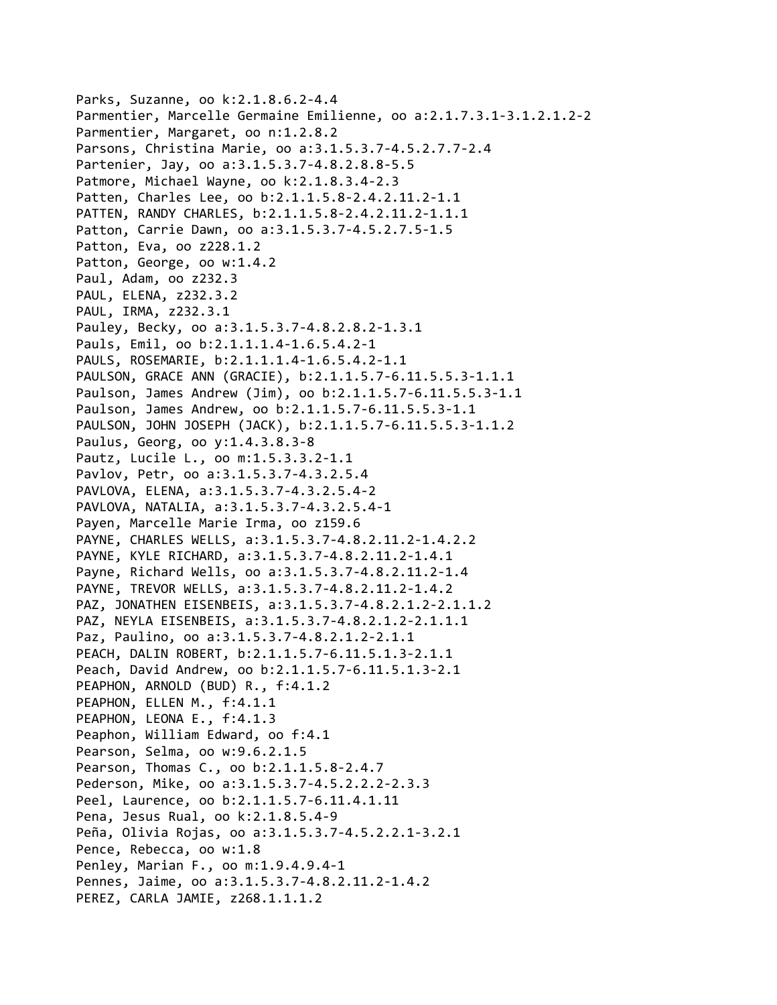```
Parks, Suzanne, oo k:2.1.8.6.2‐4.4
Parmentier, Marcelle Germaine Emilienne, oo a:2.1.7.3.1‐3.1.2.1.2‐2
Parmentier, Margaret, oo n:1.2.8.2
Parsons, Christina Marie, oo a:3.1.5.3.7‐4.5.2.7.7‐2.4
Partenier, Jay, oo a:3.1.5.3.7‐4.8.2.8.8‐5.5
Patmore, Michael Wayne, oo k:2.1.8.3.4‐2.3
Patten, Charles Lee, oo b:2.1.1.5.8‐2.4.2.11.2‐1.1
PATTEN, RANDY CHARLES, b:2.1.1.5.8‐2.4.2.11.2‐1.1.1
Patton, Carrie Dawn, oo a:3.1.5.3.7‐4.5.2.7.5‐1.5
Patton, Eva, oo z228.1.2
Patton, George, oo w:1.4.2
Paul, Adam, oo z232.3
PAUL, ELENA, z232.3.2
PAUL, IRMA, z232.3.1
Pauley, Becky, oo a:3.1.5.3.7‐4.8.2.8.2‐1.3.1
Pauls, Emil, oo b:2.1.1.1.4‐1.6.5.4.2‐1
PAULS, ROSEMARIE, b:2.1.1.1.4‐1.6.5.4.2‐1.1
PAULSON, GRACE ANN (GRACIE), b:2.1.1.5.7‐6.11.5.5.3‐1.1.1
Paulson, James Andrew (Jim), oo b:2.1.1.5.7‐6.11.5.5.3‐1.1
Paulson, James Andrew, oo b:2.1.1.5.7‐6.11.5.5.3‐1.1
PAULSON, JOHN JOSEPH (JACK), b:2.1.1.5.7‐6.11.5.5.3‐1.1.2
Paulus, Georg, oo y:1.4.3.8.3‐8
Pautz, Lucile L., oo m:1.5.3.3.2‐1.1
Pavlov, Petr, oo a:3.1.5.3.7‐4.3.2.5.4
PAVLOVA, ELENA, a:3.1.5.3.7‐4.3.2.5.4‐2
PAVLOVA, NATALIA, a:3.1.5.3.7‐4.3.2.5.4‐1
Payen, Marcelle Marie Irma, oo z159.6
PAYNE, CHARLES WELLS, a:3.1.5.3.7‐4.8.2.11.2‐1.4.2.2
PAYNE, KYLE RICHARD, a:3.1.5.3.7‐4.8.2.11.2‐1.4.1
Payne, Richard Wells, oo a:3.1.5.3.7‐4.8.2.11.2‐1.4
PAYNE, TREVOR WELLS, a:3.1.5.3.7‐4.8.2.11.2‐1.4.2
PAZ, JONATHEN EISENBEIS, a:3.1.5.3.7‐4.8.2.1.2‐2.1.1.2
PAZ, NEYLA EISENBEIS, a:3.1.5.3.7‐4.8.2.1.2‐2.1.1.1
Paz, Paulino, oo a:3.1.5.3.7‐4.8.2.1.2‐2.1.1
PEACH, DALIN ROBERT, b:2.1.1.5.7‐6.11.5.1.3‐2.1.1
Peach, David Andrew, oo b:2.1.1.5.7‐6.11.5.1.3‐2.1
PEAPHON, ARNOLD (BUD) R., f:4.1.2
PEAPHON, ELLEN M., f:4.1.1
PEAPHON, LEONA E., f:4.1.3
Peaphon, William Edward, oo f:4.1
Pearson, Selma, oo w:9.6.2.1.5
Pearson, Thomas C., oo b:2.1.1.5.8‐2.4.7
Pederson, Mike, oo a:3.1.5.3.7‐4.5.2.2.2‐2.3.3
Peel, Laurence, oo b:2.1.1.5.7‐6.11.4.1.11
Pena, Jesus Rual, oo k:2.1.8.5.4‐9
Peña, Olivia Rojas, oo a:3.1.5.3.7‐4.5.2.2.1‐3.2.1
Pence, Rebecca, oo w:1.8
Penley, Marian F., oo m:1.9.4.9.4‐1
Pennes, Jaime, oo a:3.1.5.3.7‐4.8.2.11.2‐1.4.2
PEREZ, CARLA JAMIE, z268.1.1.1.2
```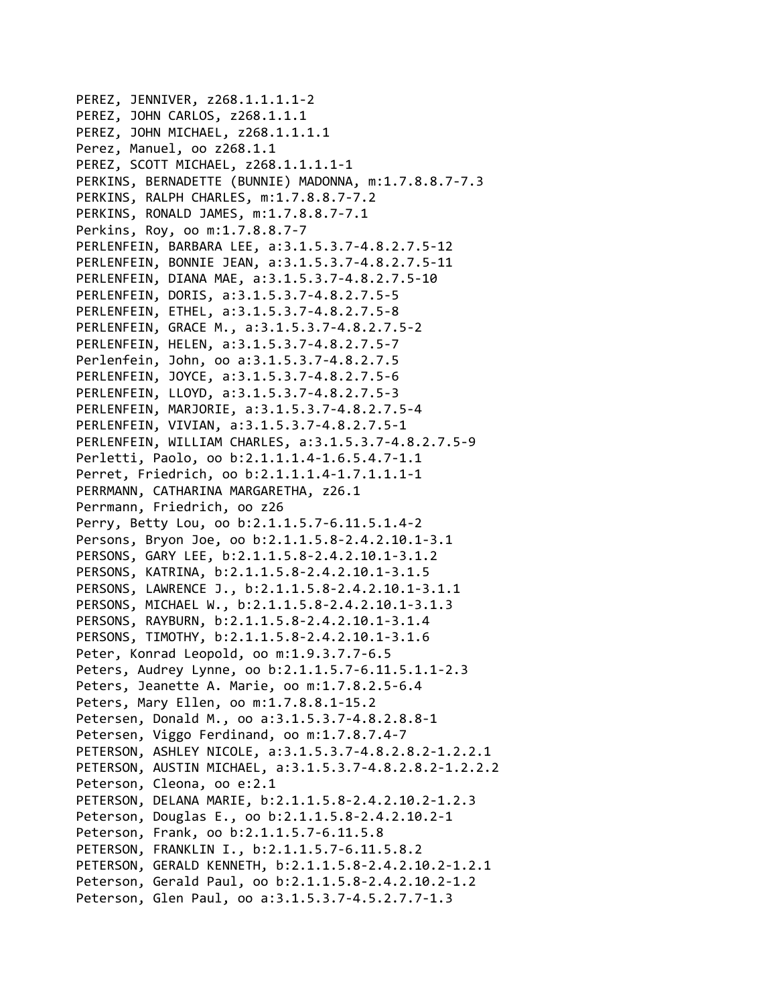PEREZ, JENNIVER, z268.1.1.1.1‐2 PEREZ, JOHN CARLOS, z268.1.1.1 PEREZ, JOHN MICHAEL, z268.1.1.1.1 Perez, Manuel, oo z268.1.1 PEREZ, SCOTT MICHAEL, z268.1.1.1.1‐1 PERKINS, BERNADETTE (BUNNIE) MADONNA, m:1.7.8.8.7‐7.3 PERKINS, RALPH CHARLES, m:1.7.8.8.7‐7.2 PERKINS, RONALD JAMES, m:1.7.8.8.7‐7.1 Perkins, Roy, oo m:1.7.8.8.7‐7 PERLENFEIN, BARBARA LEE, a:3.1.5.3.7‐4.8.2.7.5‐12 PERLENFEIN, BONNIE JEAN, a:3.1.5.3.7‐4.8.2.7.5‐11 PERLENFEIN, DIANA MAE, a:3.1.5.3.7‐4.8.2.7.5‐10 PERLENFEIN, DORIS, a:3.1.5.3.7‐4.8.2.7.5‐5 PERLENFEIN, ETHEL, a:3.1.5.3.7‐4.8.2.7.5‐8 PERLENFEIN, GRACE M., a:3.1.5.3.7‐4.8.2.7.5‐2 PERLENFEIN, HELEN, a:3.1.5.3.7‐4.8.2.7.5‐7 Perlenfein, John, oo a:3.1.5.3.7‐4.8.2.7.5 PERLENFEIN, JOYCE, a:3.1.5.3.7‐4.8.2.7.5‐6 PERLENFEIN, LLOYD, a:3.1.5.3.7‐4.8.2.7.5‐3 PERLENFEIN, MARJORIE, a:3.1.5.3.7‐4.8.2.7.5‐4 PERLENFEIN, VIVIAN, a:3.1.5.3.7‐4.8.2.7.5‐1 PERLENFEIN, WILLIAM CHARLES, a:3.1.5.3.7‐4.8.2.7.5‐9 Perletti, Paolo, oo b:2.1.1.1.4‐1.6.5.4.7‐1.1 Perret, Friedrich, oo b:2.1.1.1.4‐1.7.1.1.1‐1 PERRMANN, CATHARINA MARGARETHA, z26.1 Perrmann, Friedrich, oo z26 Perry, Betty Lou, oo b:2.1.1.5.7‐6.11.5.1.4‐2 Persons, Bryon Joe, oo b:2.1.1.5.8‐2.4.2.10.1‐3.1 PERSONS, GARY LEE, b:2.1.1.5.8‐2.4.2.10.1‐3.1.2 PERSONS, KATRINA, b:2.1.1.5.8‐2.4.2.10.1‐3.1.5 PERSONS, LAWRENCE J., b:2.1.1.5.8‐2.4.2.10.1‐3.1.1 PERSONS, MICHAEL W., b:2.1.1.5.8‐2.4.2.10.1‐3.1.3 PERSONS, RAYBURN, b:2.1.1.5.8‐2.4.2.10.1‐3.1.4 PERSONS, TIMOTHY, b:2.1.1.5.8‐2.4.2.10.1‐3.1.6 Peter, Konrad Leopold, oo m:1.9.3.7.7‐6.5 Peters, Audrey Lynne, oo b:2.1.1.5.7‐6.11.5.1.1‐2.3 Peters, Jeanette A. Marie, oo m:1.7.8.2.5‐6.4 Peters, Mary Ellen, oo m:1.7.8.8.1‐15.2 Petersen, Donald M., oo a:3.1.5.3.7‐4.8.2.8.8‐1 Petersen, Viggo Ferdinand, oo m:1.7.8.7.4‐7 PETERSON, ASHLEY NICOLE, a:3.1.5.3.7‐4.8.2.8.2‐1.2.2.1 PETERSON, AUSTIN MICHAEL, a:3.1.5.3.7‐4.8.2.8.2‐1.2.2.2 Peterson, Cleona, oo e:2.1 PETERSON, DELANA MARIE, b:2.1.1.5.8‐2.4.2.10.2‐1.2.3 Peterson, Douglas E., oo b:2.1.1.5.8‐2.4.2.10.2‐1 Peterson, Frank, oo b:2.1.1.5.7‐6.11.5.8 PETERSON, FRANKLIN I., b:2.1.1.5.7‐6.11.5.8.2 PETERSON, GERALD KENNETH, b:2.1.1.5.8‐2.4.2.10.2‐1.2.1 Peterson, Gerald Paul, oo b:2.1.1.5.8‐2.4.2.10.2‐1.2 Peterson, Glen Paul, oo a:3.1.5.3.7‐4.5.2.7.7‐1.3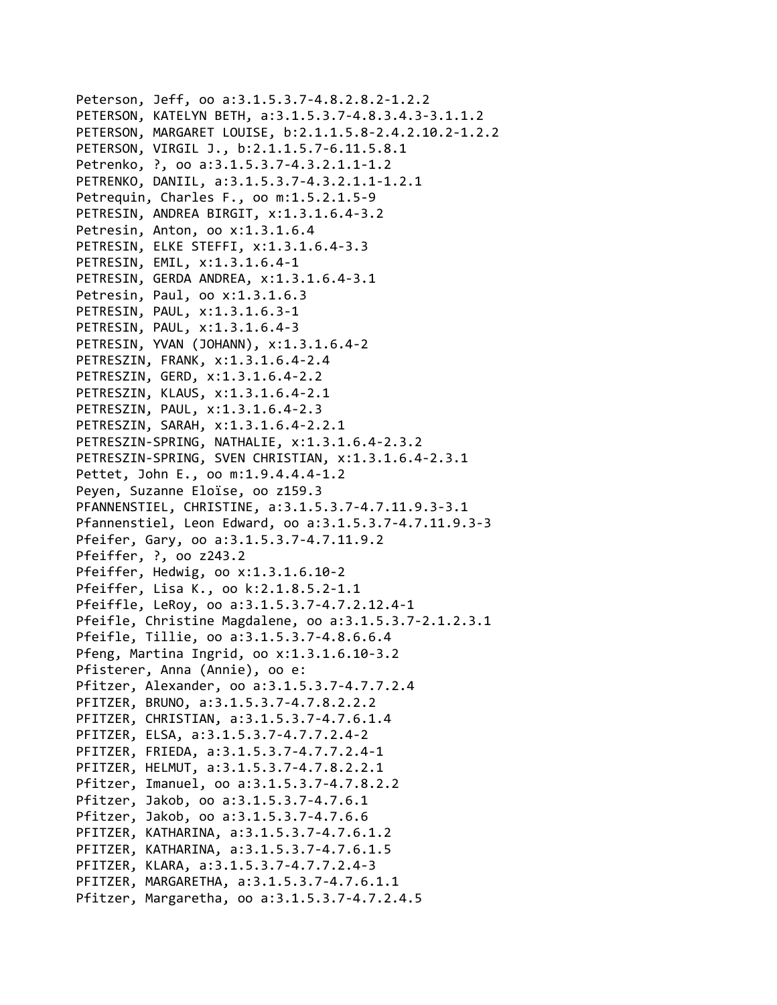Peterson, Jeff, oo a:3.1.5.3.7‐4.8.2.8.2‐1.2.2 PETERSON, KATELYN BETH, a:3.1.5.3.7‐4.8.3.4.3‐3.1.1.2 PETERSON, MARGARET LOUISE, b:2.1.1.5.8‐2.4.2.10.2‐1.2.2 PETERSON, VIRGIL J., b:2.1.1.5.7‐6.11.5.8.1 Petrenko, ?, oo a:3.1.5.3.7‐4.3.2.1.1‐1.2 PETRENKO, DANIIL, a:3.1.5.3.7‐4.3.2.1.1‐1.2.1 Petrequin, Charles F., oo m:1.5.2.1.5‐9 PETRESIN, ANDREA BIRGIT, x:1.3.1.6.4‐3.2 Petresin, Anton, oo x:1.3.1.6.4 PETRESIN, ELKE STEFFI, x:1.3.1.6.4‐3.3 PETRESIN, EMIL, x:1.3.1.6.4‐1 PETRESIN, GERDA ANDREA, x:1.3.1.6.4‐3.1 Petresin, Paul, oo x:1.3.1.6.3 PETRESIN, PAUL, x:1.3.1.6.3‐1 PETRESIN, PAUL, x:1.3.1.6.4‐3 PETRESIN, YVAN (JOHANN), x:1.3.1.6.4‐2 PETRESZIN, FRANK, x:1.3.1.6.4‐2.4 PETRESZIN, GERD, x:1.3.1.6.4‐2.2 PETRESZIN, KLAUS, x:1.3.1.6.4‐2.1 PETRESZIN, PAUL, x:1.3.1.6.4‐2.3 PETRESZIN, SARAH, x:1.3.1.6.4‐2.2.1 PETRESZIN‐SPRING, NATHALIE, x:1.3.1.6.4‐2.3.2 PETRESZIN‐SPRING, SVEN CHRISTIAN, x:1.3.1.6.4‐2.3.1 Pettet, John E., oo m:1.9.4.4.4‐1.2 Peyen, Suzanne Eloïse, oo z159.3 PFANNENSTIEL, CHRISTINE, a:3.1.5.3.7‐4.7.11.9.3‐3.1 Pfannenstiel, Leon Edward, oo a:3.1.5.3.7‐4.7.11.9.3‐3 Pfeifer, Gary, oo a:3.1.5.3.7‐4.7.11.9.2 Pfeiffer, ?, oo z243.2 Pfeiffer, Hedwig, oo x:1.3.1.6.10‐2 Pfeiffer, Lisa K., oo k:2.1.8.5.2‐1.1 Pfeiffle, LeRoy, oo a:3.1.5.3.7‐4.7.2.12.4‐1 Pfeifle, Christine Magdalene, oo a:3.1.5.3.7‐2.1.2.3.1 Pfeifle, Tillie, oo a:3.1.5.3.7‐4.8.6.6.4 Pfeng, Martina Ingrid, oo x:1.3.1.6.10‐3.2 Pfisterer, Anna (Annie), oo e: Pfitzer, Alexander, oo a:3.1.5.3.7‐4.7.7.2.4 PFITZER, BRUNO, a:3.1.5.3.7‐4.7.8.2.2.2 PFITZER, CHRISTIAN, a:3.1.5.3.7‐4.7.6.1.4 PFITZER, ELSA, a:3.1.5.3.7‐4.7.7.2.4‐2 PFITZER, FRIEDA, a:3.1.5.3.7‐4.7.7.2.4‐1 PFITZER, HELMUT, a:3.1.5.3.7‐4.7.8.2.2.1 Pfitzer, Imanuel, oo a:3.1.5.3.7‐4.7.8.2.2 Pfitzer, Jakob, oo a:3.1.5.3.7‐4.7.6.1 Pfitzer, Jakob, oo a:3.1.5.3.7‐4.7.6.6 PFITZER, KATHARINA, a:3.1.5.3.7‐4.7.6.1.2 PFITZER, KATHARINA, a:3.1.5.3.7‐4.7.6.1.5 PFITZER, KLARA, a:3.1.5.3.7‐4.7.7.2.4‐3 PFITZER, MARGARETHA, a:3.1.5.3.7‐4.7.6.1.1 Pfitzer, Margaretha, oo a:3.1.5.3.7‐4.7.2.4.5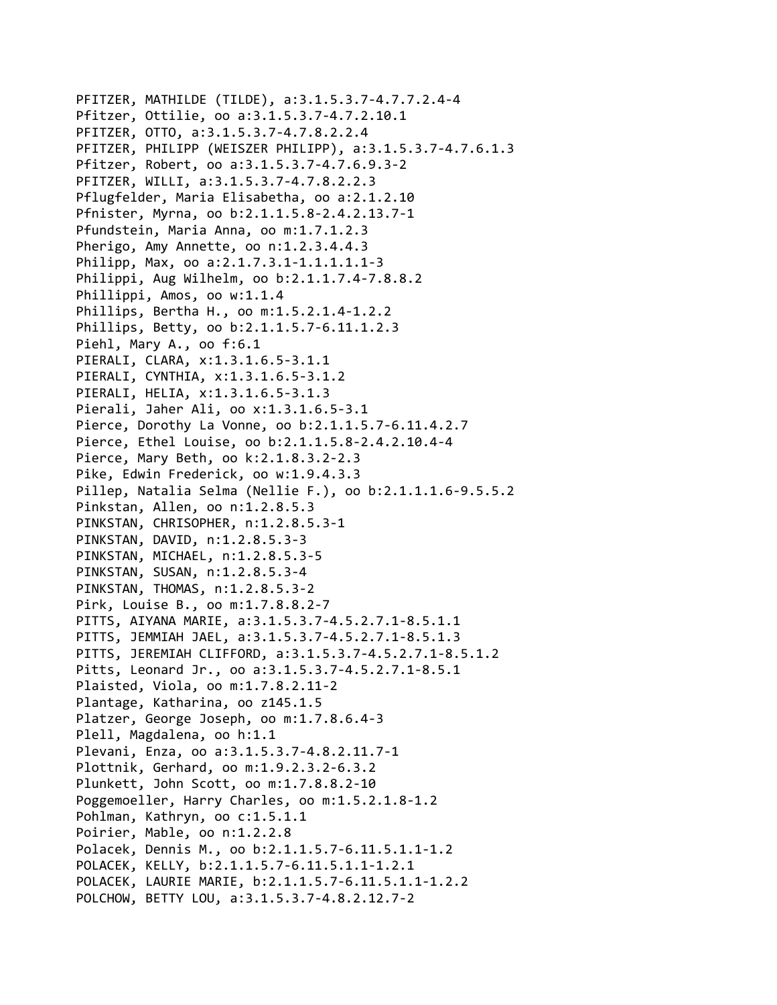```
PFITZER, MATHILDE (TILDE), a:3.1.5.3.7‐4.7.7.2.4‐4
Pfitzer, Ottilie, oo a:3.1.5.3.7‐4.7.2.10.1
PFITZER, OTTO, a:3.1.5.3.7‐4.7.8.2.2.4
PFITZER, PHILIPP (WEISZER PHILIPP), a:3.1.5.3.7‐4.7.6.1.3
Pfitzer, Robert, oo a:3.1.5.3.7‐4.7.6.9.3‐2
PFITZER, WILLI, a:3.1.5.3.7‐4.7.8.2.2.3
Pflugfelder, Maria Elisabetha, oo a:2.1.2.10
Pfnister, Myrna, oo b:2.1.1.5.8‐2.4.2.13.7‐1
Pfundstein, Maria Anna, oo m:1.7.1.2.3
Pherigo, Amy Annette, oo n:1.2.3.4.4.3
Philipp, Max, oo a:2.1.7.3.1‐1.1.1.1.1‐3
Philippi, Aug Wilhelm, oo b:2.1.1.7.4‐7.8.8.2
Phillippi, Amos, oo w:1.1.4
Phillips, Bertha H., oo m:1.5.2.1.4‐1.2.2
Phillips, Betty, oo b:2.1.1.5.7‐6.11.1.2.3
Piehl, Mary A., oo f:6.1
PIERALI, CLARA, x:1.3.1.6.5‐3.1.1
PIERALI, CYNTHIA, x:1.3.1.6.5‐3.1.2
PIERALI, HELIA, x:1.3.1.6.5‐3.1.3
Pierali, Jaher Ali, oo x:1.3.1.6.5‐3.1
Pierce, Dorothy La Vonne, oo b:2.1.1.5.7‐6.11.4.2.7
Pierce, Ethel Louise, oo b:2.1.1.5.8‐2.4.2.10.4‐4
Pierce, Mary Beth, oo k:2.1.8.3.2‐2.3
Pike, Edwin Frederick, oo w:1.9.4.3.3
Pillep, Natalia Selma (Nellie F.), oo b:2.1.1.1.6‐9.5.5.2
Pinkstan, Allen, oo n:1.2.8.5.3
PINKSTAN, CHRISOPHER, n:1.2.8.5.3‐1
PINKSTAN, DAVID, n:1.2.8.5.3‐3
PINKSTAN, MICHAEL, n:1.2.8.5.3‐5
PINKSTAN, SUSAN, n:1.2.8.5.3‐4
PINKSTAN, THOMAS, n:1.2.8.5.3‐2
Pirk, Louise B., oo m:1.7.8.8.2‐7
PITTS, AIYANA MARIE, a:3.1.5.3.7‐4.5.2.7.1‐8.5.1.1
PITTS, JEMMIAH JAEL, a:3.1.5.3.7‐4.5.2.7.1‐8.5.1.3
PITTS, JEREMIAH CLIFFORD, a:3.1.5.3.7‐4.5.2.7.1‐8.5.1.2
Pitts, Leonard Jr., oo a:3.1.5.3.7‐4.5.2.7.1‐8.5.1
Plaisted, Viola, oo m:1.7.8.2.11‐2
Plantage, Katharina, oo z145.1.5
Platzer, George Joseph, oo m:1.7.8.6.4‐3
Plell, Magdalena, oo h:1.1
Plevani, Enza, oo a:3.1.5.3.7‐4.8.2.11.7‐1
Plottnik, Gerhard, oo m:1.9.2.3.2‐6.3.2
Plunkett, John Scott, oo m:1.7.8.8.2‐10
Poggemoeller, Harry Charles, oo m:1.5.2.1.8‐1.2
Pohlman, Kathryn, oo c:1.5.1.1
Poirier, Mable, oo n:1.2.2.8
Polacek, Dennis M., oo b:2.1.1.5.7‐6.11.5.1.1‐1.2
POLACEK, KELLY, b:2.1.1.5.7‐6.11.5.1.1‐1.2.1
POLACEK, LAURIE MARIE, b:2.1.1.5.7‐6.11.5.1.1‐1.2.2
POLCHOW, BETTY LOU, a:3.1.5.3.7‐4.8.2.12.7‐2
```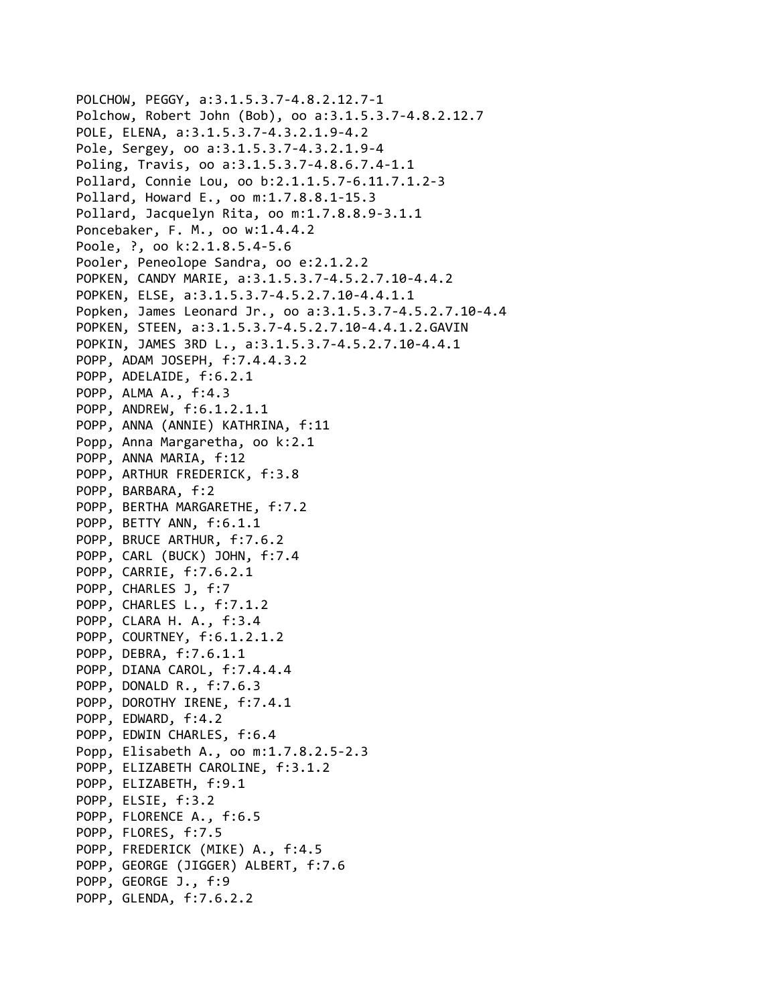```
POLCHOW, PEGGY, a:3.1.5.3.7‐4.8.2.12.7‐1
Polchow, Robert John (Bob), oo a:3.1.5.3.7‐4.8.2.12.7
POLE, ELENA, a:3.1.5.3.7‐4.3.2.1.9‐4.2
Pole, Sergey, oo a:3.1.5.3.7‐4.3.2.1.9‐4
Poling, Travis, oo a:3.1.5.3.7‐4.8.6.7.4‐1.1
Pollard, Connie Lou, oo b:2.1.1.5.7‐6.11.7.1.2‐3
Pollard, Howard E., oo m:1.7.8.8.1‐15.3
Pollard, Jacquelyn Rita, oo m:1.7.8.8.9‐3.1.1
Poncebaker, F. M., oo w:1.4.4.2
Poole, ?, oo k:2.1.8.5.4‐5.6
Pooler, Peneolope Sandra, oo e:2.1.2.2
POPKEN, CANDY MARIE, a:3.1.5.3.7‐4.5.2.7.10‐4.4.2
POPKEN, ELSE, a:3.1.5.3.7‐4.5.2.7.10‐4.4.1.1
Popken, James Leonard Jr., oo a:3.1.5.3.7‐4.5.2.7.10‐4.4
POPKEN, STEEN, a:3.1.5.3.7‐4.5.2.7.10‐4.4.1.2.GAVIN
POPKIN, JAMES 3RD L., a:3.1.5.3.7‐4.5.2.7.10‐4.4.1
POPP, ADAM JOSEPH, f:7.4.4.3.2
POPP, ADELAIDE, f:6.2.1
POPP, ALMA A., f:4.3
POPP, ANDREW, f:6.1.2.1.1
POPP, ANNA (ANNIE) KATHRINA, f:11
Popp, Anna Margaretha, oo k:2.1
POPP, ANNA MARIA, f:12
POPP, ARTHUR FREDERICK, f:3.8
POPP, BARBARA, f:2
POPP, BERTHA MARGARETHE, f:7.2
POPP, BETTY ANN, f:6.1.1
POPP, BRUCE ARTHUR, f:7.6.2
POPP, CARL (BUCK) JOHN, f:7.4
POPP, CARRIE, f:7.6.2.1
POPP, CHARLES J, f:7
POPP, CHARLES L., f:7.1.2
POPP, CLARA H. A., f:3.4
POPP, COURTNEY, f:6.1.2.1.2
POPP, DEBRA, f:7.6.1.1
POPP, DIANA CAROL, f:7.4.4.4
POPP, DONALD R., f:7.6.3
POPP, DOROTHY IRENE, f:7.4.1
POPP, EDWARD, f:4.2
POPP, EDWIN CHARLES, f:6.4
Popp, Elisabeth A., oo m:1.7.8.2.5‐2.3
POPP, ELIZABETH CAROLINE, f:3.1.2
POPP, ELIZABETH, f:9.1
POPP, ELSIE, f:3.2
POPP, FLORENCE A., f:6.5
POPP, FLORES, f:7.5
POPP, FREDERICK (MIKE) A., f:4.5
POPP, GEORGE (JIGGER) ALBERT, f:7.6
POPP, GEORGE J., f:9
POPP, GLENDA, f:7.6.2.2
```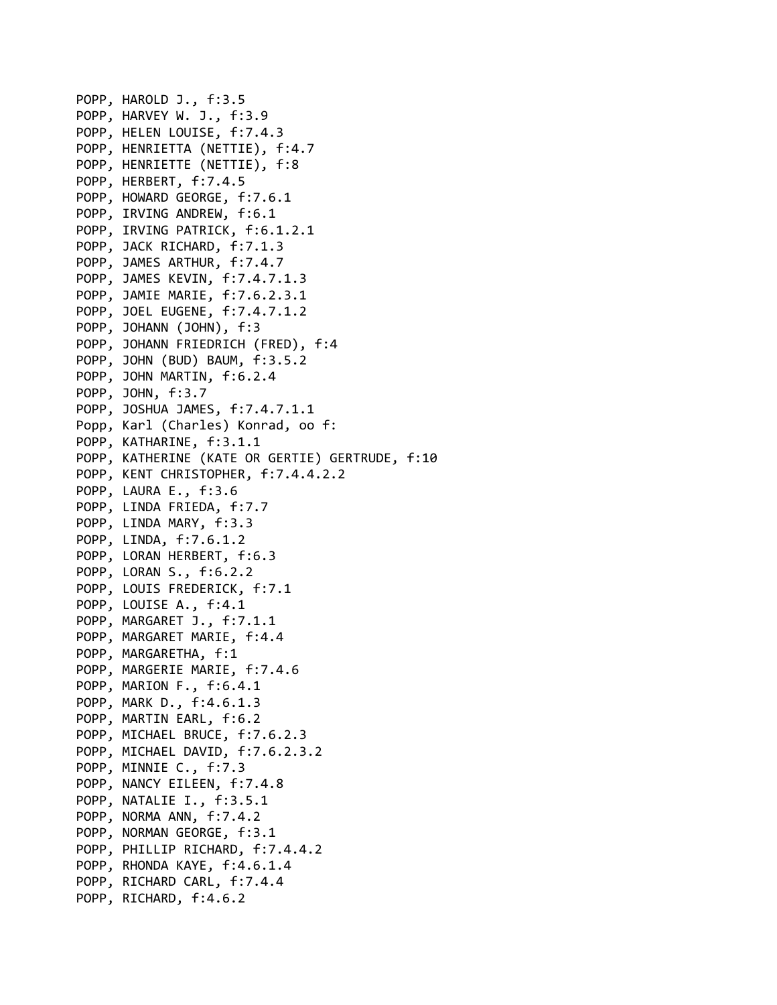POPP, HAROLD J., f:3.5 POPP, HARVEY W. J., f:3.9 POPP, HELEN LOUISE, f:7.4.3 POPP, HENRIETTA (NETTIE), f:4.7 POPP, HENRIETTE (NETTIE), f:8 POPP, HERBERT, f:7.4.5 POPP, HOWARD GEORGE, f:7.6.1 POPP, IRVING ANDREW, f:6.1 POPP, IRVING PATRICK, f:6.1.2.1 POPP, JACK RICHARD, f:7.1.3 POPP, JAMES ARTHUR, f:7.4.7 POPP, JAMES KEVIN, f:7.4.7.1.3 POPP, JAMIE MARIE, f:7.6.2.3.1 POPP, JOEL EUGENE, f:7.4.7.1.2 POPP, JOHANN (JOHN), f:3 POPP, JOHANN FRIEDRICH (FRED), f:4 POPP, JOHN (BUD) BAUM, f:3.5.2 POPP, JOHN MARTIN, f:6.2.4 POPP, JOHN, f:3.7 POPP, JOSHUA JAMES, f:7.4.7.1.1 Popp, Karl (Charles) Konrad, oo f: POPP, KATHARINE, f:3.1.1 POPP, KATHERINE (KATE OR GERTIE) GERTRUDE, f:10 POPP, KENT CHRISTOPHER, f:7.4.4.2.2 POPP, LAURA E., f:3.6 POPP, LINDA FRIEDA, f:7.7 POPP, LINDA MARY, f:3.3 POPP, LINDA, f:7.6.1.2 POPP, LORAN HERBERT, f:6.3 POPP, LORAN S., f:6.2.2 POPP, LOUIS FREDERICK, f:7.1 POPP, LOUISE A., f:4.1 POPP, MARGARET J., f:7.1.1 POPP, MARGARET MARIE, f:4.4 POPP, MARGARETHA, f:1 POPP, MARGERIE MARIE, f:7.4.6 POPP, MARION F., f:6.4.1 POPP, MARK D., f:4.6.1.3 POPP, MARTIN EARL, f:6.2 POPP, MICHAEL BRUCE, f:7.6.2.3 POPP, MICHAEL DAVID, f:7.6.2.3.2 POPP, MINNIE C., f:7.3 POPP, NANCY EILEEN, f:7.4.8 POPP, NATALIE I., f:3.5.1 POPP, NORMA ANN, f:7.4.2 POPP, NORMAN GEORGE, f:3.1 POPP, PHILLIP RICHARD, f:7.4.4.2 POPP, RHONDA KAYE, f:4.6.1.4 POPP, RICHARD CARL, f:7.4.4 POPP, RICHARD, f:4.6.2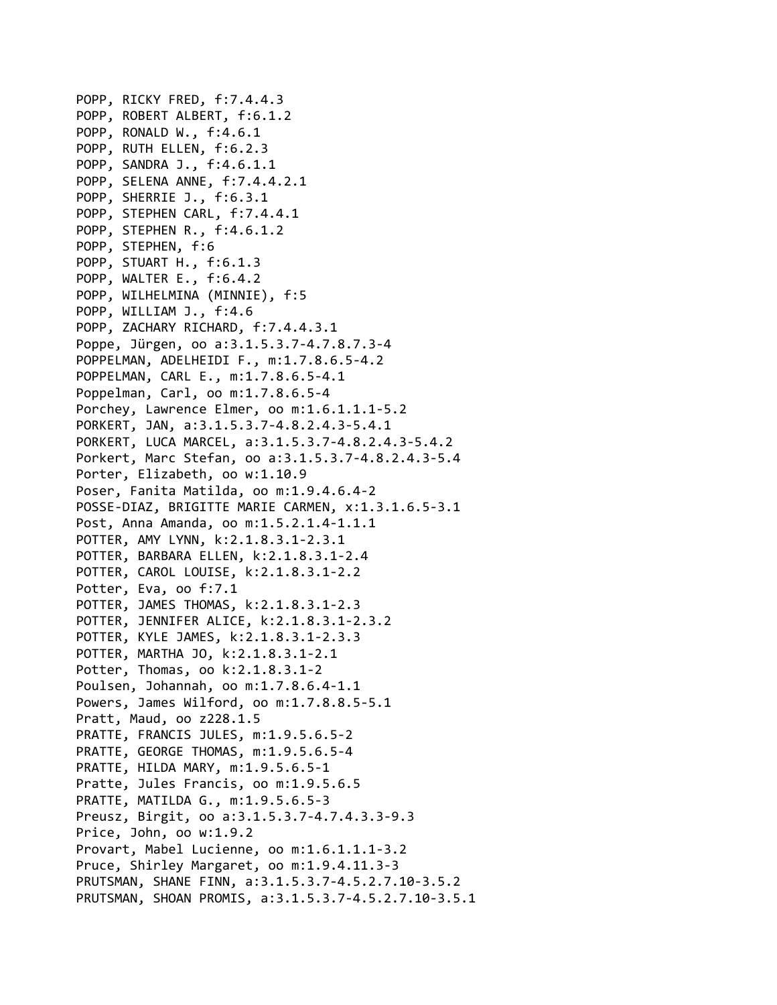POPP, RICKY FRED, f:7.4.4.3 POPP, ROBERT ALBERT, f:6.1.2 POPP, RONALD W., f:4.6.1 POPP, RUTH ELLEN, f:6.2.3 POPP, SANDRA J., f:4.6.1.1 POPP, SELENA ANNE, f:7.4.4.2.1 POPP, SHERRIE J., f:6.3.1 POPP, STEPHEN CARL, f:7.4.4.1 POPP, STEPHEN R., f:4.6.1.2 POPP, STEPHEN, f:6 POPP, STUART H., f:6.1.3 POPP, WALTER E., f:6.4.2 POPP, WILHELMINA (MINNIE), f:5 POPP, WILLIAM J., f:4.6 POPP, ZACHARY RICHARD, f:7.4.4.3.1 Poppe, Jürgen, oo a:3.1.5.3.7‐4.7.8.7.3‐4 POPPELMAN, ADELHEIDI F., m:1.7.8.6.5‐4.2 POPPELMAN, CARL E., m:1.7.8.6.5‐4.1 Poppelman, Carl, oo m:1.7.8.6.5‐4 Porchey, Lawrence Elmer, oo m:1.6.1.1.1‐5.2 PORKERT, JAN, a:3.1.5.3.7‐4.8.2.4.3‐5.4.1 PORKERT, LUCA MARCEL, a:3.1.5.3.7‐4.8.2.4.3‐5.4.2 Porkert, Marc Stefan, oo a:3.1.5.3.7‐4.8.2.4.3‐5.4 Porter, Elizabeth, oo w:1.10.9 Poser, Fanita Matilda, oo m:1.9.4.6.4‐2 POSSE‐DIAZ, BRIGITTE MARIE CARMEN, x:1.3.1.6.5‐3.1 Post, Anna Amanda, oo m:1.5.2.1.4‐1.1.1 POTTER, AMY LYNN, k:2.1.8.3.1‐2.3.1 POTTER, BARBARA ELLEN, k:2.1.8.3.1‐2.4 POTTER, CAROL LOUISE, k:2.1.8.3.1‐2.2 Potter, Eva, oo f:7.1 POTTER, JAMES THOMAS, k:2.1.8.3.1‐2.3 POTTER, JENNIFER ALICE, k:2.1.8.3.1‐2.3.2 POTTER, KYLE JAMES, k:2.1.8.3.1‐2.3.3 POTTER, MARTHA JO, k:2.1.8.3.1‐2.1 Potter, Thomas, oo k:2.1.8.3.1‐2 Poulsen, Johannah, oo m:1.7.8.6.4‐1.1 Powers, James Wilford, oo m:1.7.8.8.5‐5.1 Pratt, Maud, oo z228.1.5 PRATTE, FRANCIS JULES, m:1.9.5.6.5‐2 PRATTE, GEORGE THOMAS, m:1.9.5.6.5‐4 PRATTE, HILDA MARY, m:1.9.5.6.5‐1 Pratte, Jules Francis, oo m:1.9.5.6.5 PRATTE, MATILDA G., m:1.9.5.6.5‐3 Preusz, Birgit, oo a:3.1.5.3.7‐4.7.4.3.3‐9.3 Price, John, oo w:1.9.2 Provart, Mabel Lucienne, oo m:1.6.1.1.1‐3.2 Pruce, Shirley Margaret, oo m:1.9.4.11.3‐3 PRUTSMAN, SHANE FINN, a:3.1.5.3.7‐4.5.2.7.10‐3.5.2 PRUTSMAN, SHOAN PROMIS, a:3.1.5.3.7‐4.5.2.7.10‐3.5.1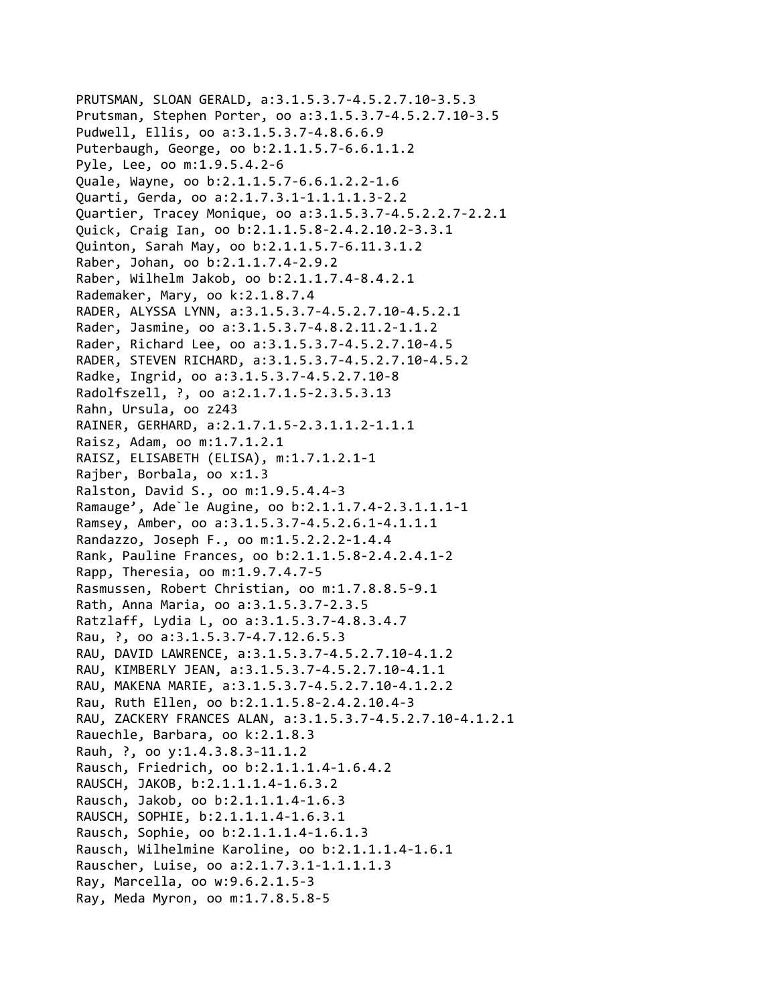```
PRUTSMAN, SLOAN GERALD, a:3.1.5.3.7‐4.5.2.7.10‐3.5.3
Prutsman, Stephen Porter, oo a:3.1.5.3.7‐4.5.2.7.10‐3.5
Pudwell, Ellis, oo a:3.1.5.3.7‐4.8.6.6.9
Puterbaugh, George, oo b:2.1.1.5.7‐6.6.1.1.2
Pyle, Lee, oo m:1.9.5.4.2‐6
Quale, Wayne, oo b:2.1.1.5.7‐6.6.1.2.2‐1.6
Quarti, Gerda, oo a:2.1.7.3.1‐1.1.1.1.3‐2.2
Quartier, Tracey Monique, oo a:3.1.5.3.7‐4.5.2.2.7‐2.2.1
Quick, Craig Ian, oo b:2.1.1.5.8‐2.4.2.10.2‐3.3.1
Quinton, Sarah May, oo b:2.1.1.5.7‐6.11.3.1.2
Raber, Johan, oo b:2.1.1.7.4‐2.9.2
Raber, Wilhelm Jakob, oo b:2.1.1.7.4‐8.4.2.1
Rademaker, Mary, oo k:2.1.8.7.4
RADER, ALYSSA LYNN, a:3.1.5.3.7‐4.5.2.7.10‐4.5.2.1
Rader, Jasmine, oo a:3.1.5.3.7‐4.8.2.11.2‐1.1.2
Rader, Richard Lee, oo a:3.1.5.3.7‐4.5.2.7.10‐4.5
RADER, STEVEN RICHARD, a:3.1.5.3.7‐4.5.2.7.10‐4.5.2
Radke, Ingrid, oo a:3.1.5.3.7‐4.5.2.7.10‐8
Radolfszell, ?, oo a:2.1.7.1.5‐2.3.5.3.13
Rahn, Ursula, oo z243
RAINER, GERHARD, a:2.1.7.1.5‐2.3.1.1.2‐1.1.1
Raisz, Adam, oo m:1.7.1.2.1
RAISZ, ELISABETH (ELISA), m:1.7.1.2.1‐1
Rajber, Borbala, oo x:1.3
Ralston, David S., oo m:1.9.5.4.4‐3
Ramauge', Ade`le Augine, oo b:2.1.1.7.4‐2.3.1.1.1‐1
Ramsey, Amber, oo a:3.1.5.3.7‐4.5.2.6.1‐4.1.1.1
Randazzo, Joseph F., oo m:1.5.2.2.2‐1.4.4
Rank, Pauline Frances, oo b:2.1.1.5.8‐2.4.2.4.1‐2
Rapp, Theresia, oo m:1.9.7.4.7‐5
Rasmussen, Robert Christian, oo m:1.7.8.8.5‐9.1
Rath, Anna Maria, oo a:3.1.5.3.7‐2.3.5
Ratzlaff, Lydia L, oo a:3.1.5.3.7‐4.8.3.4.7
Rau, ?, oo a:3.1.5.3.7‐4.7.12.6.5.3
RAU, DAVID LAWRENCE, a:3.1.5.3.7‐4.5.2.7.10‐4.1.2
RAU, KIMBERLY JEAN, a:3.1.5.3.7‐4.5.2.7.10‐4.1.1
RAU, MAKENA MARIE, a:3.1.5.3.7‐4.5.2.7.10‐4.1.2.2
Rau, Ruth Ellen, oo b:2.1.1.5.8‐2.4.2.10.4‐3
RAU, ZACKERY FRANCES ALAN, a:3.1.5.3.7‐4.5.2.7.10‐4.1.2.1
Rauechle, Barbara, oo k:2.1.8.3
Rauh, ?, oo y:1.4.3.8.3‐11.1.2
Rausch, Friedrich, oo b:2.1.1.1.4‐1.6.4.2
RAUSCH, JAKOB, b:2.1.1.1.4‐1.6.3.2
Rausch, Jakob, oo b:2.1.1.1.4‐1.6.3
RAUSCH, SOPHIE, b:2.1.1.1.4‐1.6.3.1
Rausch, Sophie, oo b:2.1.1.1.4‐1.6.1.3
Rausch, Wilhelmine Karoline, oo b:2.1.1.1.4‐1.6.1
Rauscher, Luise, oo a:2.1.7.3.1‐1.1.1.1.3
Ray, Marcella, oo w:9.6.2.1.5‐3
Ray, Meda Myron, oo m:1.7.8.5.8‐5
```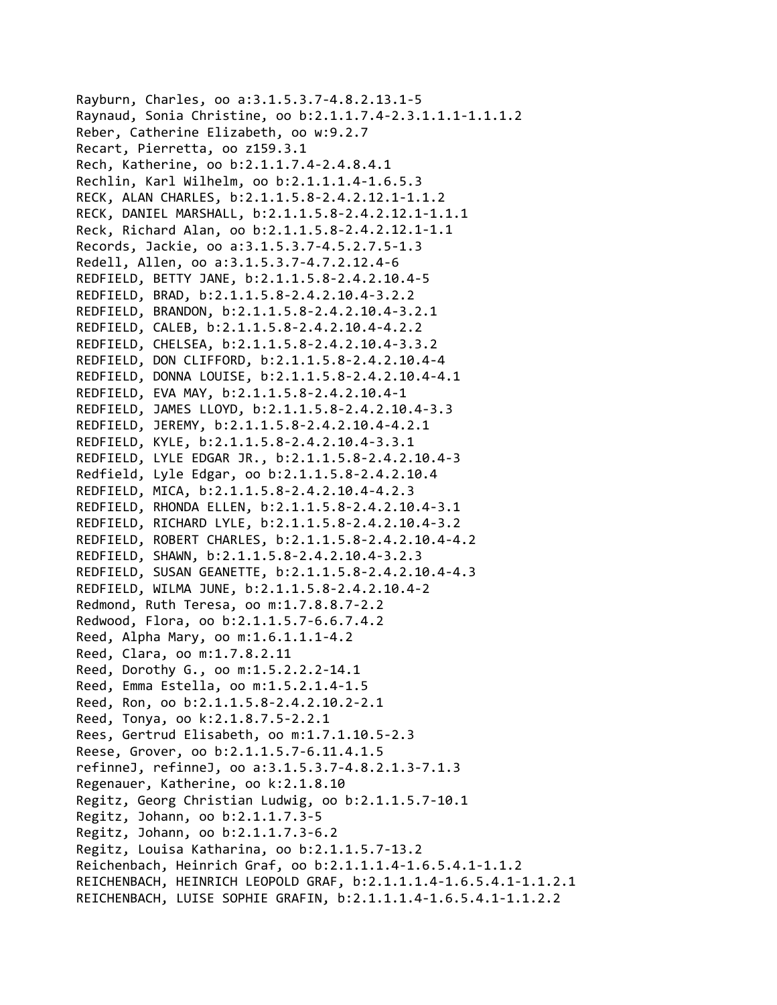Rayburn, Charles, oo a:3.1.5.3.7‐4.8.2.13.1‐5 Raynaud, Sonia Christine, oo b:2.1.1.7.4‐2.3.1.1.1‐1.1.1.2 Reber, Catherine Elizabeth, oo w:9.2.7 Recart, Pierretta, oo z159.3.1 Rech, Katherine, oo b:2.1.1.7.4‐2.4.8.4.1 Rechlin, Karl Wilhelm, oo b:2.1.1.1.4‐1.6.5.3 RECK, ALAN CHARLES, b:2.1.1.5.8‐2.4.2.12.1‐1.1.2 RECK, DANIEL MARSHALL, b:2.1.1.5.8‐2.4.2.12.1‐1.1.1 Reck, Richard Alan, oo b:2.1.1.5.8‐2.4.2.12.1‐1.1 Records, Jackie, oo a:3.1.5.3.7‐4.5.2.7.5‐1.3 Redell, Allen, oo a:3.1.5.3.7‐4.7.2.12.4‐6 REDFIELD, BETTY JANE, b:2.1.1.5.8‐2.4.2.10.4‐5 REDFIELD, BRAD, b:2.1.1.5.8‐2.4.2.10.4‐3.2.2 REDFIELD, BRANDON, b:2.1.1.5.8‐2.4.2.10.4‐3.2.1 REDFIELD, CALEB, b:2.1.1.5.8‐2.4.2.10.4‐4.2.2 REDFIELD, CHELSEA, b:2.1.1.5.8‐2.4.2.10.4‐3.3.2 REDFIELD, DON CLIFFORD, b:2.1.1.5.8‐2.4.2.10.4‐4 REDFIELD, DONNA LOUISE, b:2.1.1.5.8‐2.4.2.10.4‐4.1 REDFIELD, EVA MAY, b:2.1.1.5.8‐2.4.2.10.4‐1 REDFIELD, JAMES LLOYD, b:2.1.1.5.8‐2.4.2.10.4‐3.3 REDFIELD, JEREMY, b:2.1.1.5.8‐2.4.2.10.4‐4.2.1 REDFIELD, KYLE, b:2.1.1.5.8‐2.4.2.10.4‐3.3.1 REDFIELD, LYLE EDGAR JR., b:2.1.1.5.8‐2.4.2.10.4‐3 Redfield, Lyle Edgar, oo b:2.1.1.5.8‐2.4.2.10.4 REDFIELD, MICA, b:2.1.1.5.8‐2.4.2.10.4‐4.2.3 REDFIELD, RHONDA ELLEN, b:2.1.1.5.8‐2.4.2.10.4‐3.1 REDFIELD, RICHARD LYLE, b:2.1.1.5.8‐2.4.2.10.4‐3.2 REDFIELD, ROBERT CHARLES, b:2.1.1.5.8‐2.4.2.10.4‐4.2 REDFIELD, SHAWN, b:2.1.1.5.8‐2.4.2.10.4‐3.2.3 REDFIELD, SUSAN GEANETTE, b:2.1.1.5.8‐2.4.2.10.4‐4.3 REDFIELD, WILMA JUNE, b:2.1.1.5.8‐2.4.2.10.4‐2 Redmond, Ruth Teresa, oo m:1.7.8.8.7‐2.2 Redwood, Flora, oo b:2.1.1.5.7‐6.6.7.4.2 Reed, Alpha Mary, oo m:1.6.1.1.1‐4.2 Reed, Clara, oo m:1.7.8.2.11 Reed, Dorothy G., oo m:1.5.2.2.2‐14.1 Reed, Emma Estella, oo m:1.5.2.1.4‐1.5 Reed, Ron, oo b:2.1.1.5.8‐2.4.2.10.2‐2.1 Reed, Tonya, oo k:2.1.8.7.5‐2.2.1 Rees, Gertrud Elisabeth, oo m:1.7.1.10.5‐2.3 Reese, Grover, oo b:2.1.1.5.7‐6.11.4.1.5 refinneJ, refinneJ, oo a:3.1.5.3.7‐4.8.2.1.3‐7.1.3 Regenauer, Katherine, oo k:2.1.8.10 Regitz, Georg Christian Ludwig, oo b:2.1.1.5.7‐10.1 Regitz, Johann, oo b:2.1.1.7.3‐5 Regitz, Johann, oo b:2.1.1.7.3‐6.2 Regitz, Louisa Katharina, oo b:2.1.1.5.7‐13.2 Reichenbach, Heinrich Graf, oo b:2.1.1.1.4‐1.6.5.4.1‐1.1.2 REICHENBACH, HEINRICH LEOPOLD GRAF, b:2.1.1.1.4‐1.6.5.4.1‐1.1.2.1 REICHENBACH, LUISE SOPHIE GRAFIN, b:2.1.1.1.4‐1.6.5.4.1‐1.1.2.2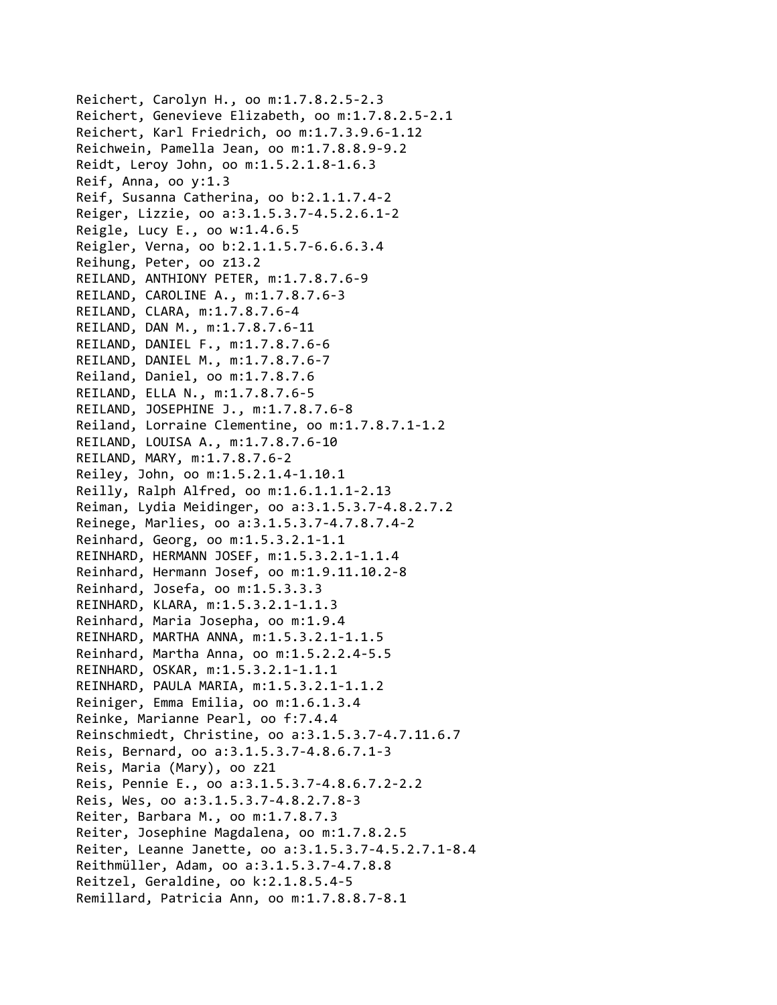Reichert, Carolyn H., oo m:1.7.8.2.5‐2.3 Reichert, Genevieve Elizabeth, oo m:1.7.8.2.5‐2.1 Reichert, Karl Friedrich, oo m:1.7.3.9.6‐1.12 Reichwein, Pamella Jean, oo m:1.7.8.8.9‐9.2 Reidt, Leroy John, oo m:1.5.2.1.8‐1.6.3 Reif, Anna, oo y:1.3 Reif, Susanna Catherina, oo b:2.1.1.7.4‐2 Reiger, Lizzie, oo a:3.1.5.3.7‐4.5.2.6.1‐2 Reigle, Lucy E., oo w:1.4.6.5 Reigler, Verna, oo b:2.1.1.5.7‐6.6.6.3.4 Reihung, Peter, oo z13.2 REILAND, ANTHIONY PETER, m:1.7.8.7.6‐9 REILAND, CAROLINE A., m:1.7.8.7.6‐3 REILAND, CLARA, m:1.7.8.7.6‐4 REILAND, DAN M., m:1.7.8.7.6‐11 REILAND, DANIEL F., m:1.7.8.7.6‐6 REILAND, DANIEL M., m:1.7.8.7.6‐7 Reiland, Daniel, oo m:1.7.8.7.6 REILAND, ELLA N., m:1.7.8.7.6‐5 REILAND, JOSEPHINE J., m:1.7.8.7.6‐8 Reiland, Lorraine Clementine, oo m:1.7.8.7.1‐1.2 REILAND, LOUISA A., m:1.7.8.7.6‐10 REILAND, MARY, m:1.7.8.7.6‐2 Reiley, John, oo m:1.5.2.1.4‐1.10.1 Reilly, Ralph Alfred, oo m:1.6.1.1.1‐2.13 Reiman, Lydia Meidinger, oo a:3.1.5.3.7‐4.8.2.7.2 Reinege, Marlies, oo a:3.1.5.3.7‐4.7.8.7.4‐2 Reinhard, Georg, oo m:1.5.3.2.1‐1.1 REINHARD, HERMANN JOSEF, m:1.5.3.2.1‐1.1.4 Reinhard, Hermann Josef, oo m:1.9.11.10.2‐8 Reinhard, Josefa, oo m:1.5.3.3.3 REINHARD, KLARA, m:1.5.3.2.1‐1.1.3 Reinhard, Maria Josepha, oo m:1.9.4 REINHARD, MARTHA ANNA, m:1.5.3.2.1‐1.1.5 Reinhard, Martha Anna, oo m:1.5.2.2.4‐5.5 REINHARD, OSKAR, m:1.5.3.2.1‐1.1.1 REINHARD, PAULA MARIA, m:1.5.3.2.1‐1.1.2 Reiniger, Emma Emilia, oo m:1.6.1.3.4 Reinke, Marianne Pearl, oo f:7.4.4 Reinschmiedt, Christine, oo a:3.1.5.3.7‐4.7.11.6.7 Reis, Bernard, oo a:3.1.5.3.7‐4.8.6.7.1‐3 Reis, Maria (Mary), oo z21 Reis, Pennie E., oo a:3.1.5.3.7‐4.8.6.7.2‐2.2 Reis, Wes, oo a:3.1.5.3.7‐4.8.2.7.8‐3 Reiter, Barbara M., oo m:1.7.8.7.3 Reiter, Josephine Magdalena, oo m:1.7.8.2.5 Reiter, Leanne Janette, oo a:3.1.5.3.7‐4.5.2.7.1‐8.4 Reithmüller, Adam, oo a:3.1.5.3.7‐4.7.8.8 Reitzel, Geraldine, oo k:2.1.8.5.4‐5 Remillard, Patricia Ann, oo m:1.7.8.8.7‐8.1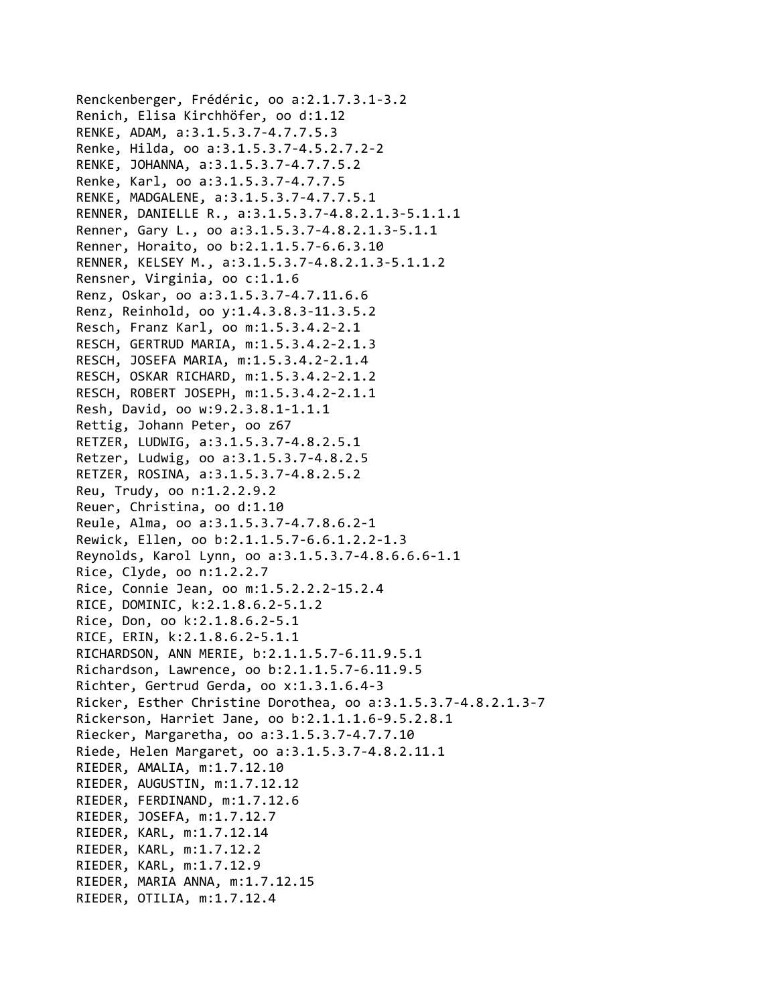```
Renckenberger, Frédéric, oo a:2.1.7.3.1‐3.2
Renich, Elisa Kirchhöfer, oo d:1.12
RENKE, ADAM, a:3.1.5.3.7‐4.7.7.5.3
Renke, Hilda, oo a:3.1.5.3.7‐4.5.2.7.2‐2
RENKE, JOHANNA, a:3.1.5.3.7‐4.7.7.5.2
Renke, Karl, oo a:3.1.5.3.7‐4.7.7.5
RENKE, MADGALENE, a:3.1.5.3.7‐4.7.7.5.1
RENNER, DANIELLE R., a:3.1.5.3.7‐4.8.2.1.3‐5.1.1.1
Renner, Gary L., oo a:3.1.5.3.7‐4.8.2.1.3‐5.1.1
Renner, Horaito, oo b:2.1.1.5.7‐6.6.3.10
RENNER, KELSEY M., a:3.1.5.3.7‐4.8.2.1.3‐5.1.1.2
Rensner, Virginia, oo c:1.1.6
Renz, Oskar, oo a:3.1.5.3.7‐4.7.11.6.6
Renz, Reinhold, oo y:1.4.3.8.3‐11.3.5.2
Resch, Franz Karl, oo m:1.5.3.4.2‐2.1
RESCH, GERTRUD MARIA, m:1.5.3.4.2‐2.1.3
RESCH, JOSEFA MARIA, m:1.5.3.4.2‐2.1.4
RESCH, OSKAR RICHARD, m:1.5.3.4.2‐2.1.2
RESCH, ROBERT JOSEPH, m:1.5.3.4.2‐2.1.1
Resh, David, oo w:9.2.3.8.1‐1.1.1
Rettig, Johann Peter, oo z67
RETZER, LUDWIG, a:3.1.5.3.7‐4.8.2.5.1
Retzer, Ludwig, oo a:3.1.5.3.7‐4.8.2.5
RETZER, ROSINA, a:3.1.5.3.7‐4.8.2.5.2
Reu, Trudy, oo n:1.2.2.9.2
Reuer, Christina, oo d:1.10
Reule, Alma, oo a:3.1.5.3.7‐4.7.8.6.2‐1
Rewick, Ellen, oo b:2.1.1.5.7‐6.6.1.2.2‐1.3
Reynolds, Karol Lynn, oo a:3.1.5.3.7‐4.8.6.6.6‐1.1
Rice, Clyde, oo n:1.2.2.7
Rice, Connie Jean, oo m:1.5.2.2.2‐15.2.4
RICE, DOMINIC, k:2.1.8.6.2‐5.1.2
Rice, Don, oo k:2.1.8.6.2‐5.1
RICE, ERIN, k:2.1.8.6.2‐5.1.1
RICHARDSON, ANN MERIE, b:2.1.1.5.7‐6.11.9.5.1
Richardson, Lawrence, oo b:2.1.1.5.7‐6.11.9.5
Richter, Gertrud Gerda, oo x:1.3.1.6.4‐3
Ricker, Esther Christine Dorothea, oo a:3.1.5.3.7‐4.8.2.1.3‐7
Rickerson, Harriet Jane, oo b:2.1.1.1.6‐9.5.2.8.1
Riecker, Margaretha, oo a:3.1.5.3.7‐4.7.7.10
Riede, Helen Margaret, oo a:3.1.5.3.7‐4.8.2.11.1
RIEDER, AMALIA, m:1.7.12.10
RIEDER, AUGUSTIN, m:1.7.12.12
RIEDER, FERDINAND, m:1.7.12.6
RIEDER, JOSEFA, m:1.7.12.7
RIEDER, KARL, m:1.7.12.14
RIEDER, KARL, m:1.7.12.2
RIEDER, KARL, m:1.7.12.9
RIEDER, MARIA ANNA, m:1.7.12.15
RIEDER, OTILIA, m:1.7.12.4
```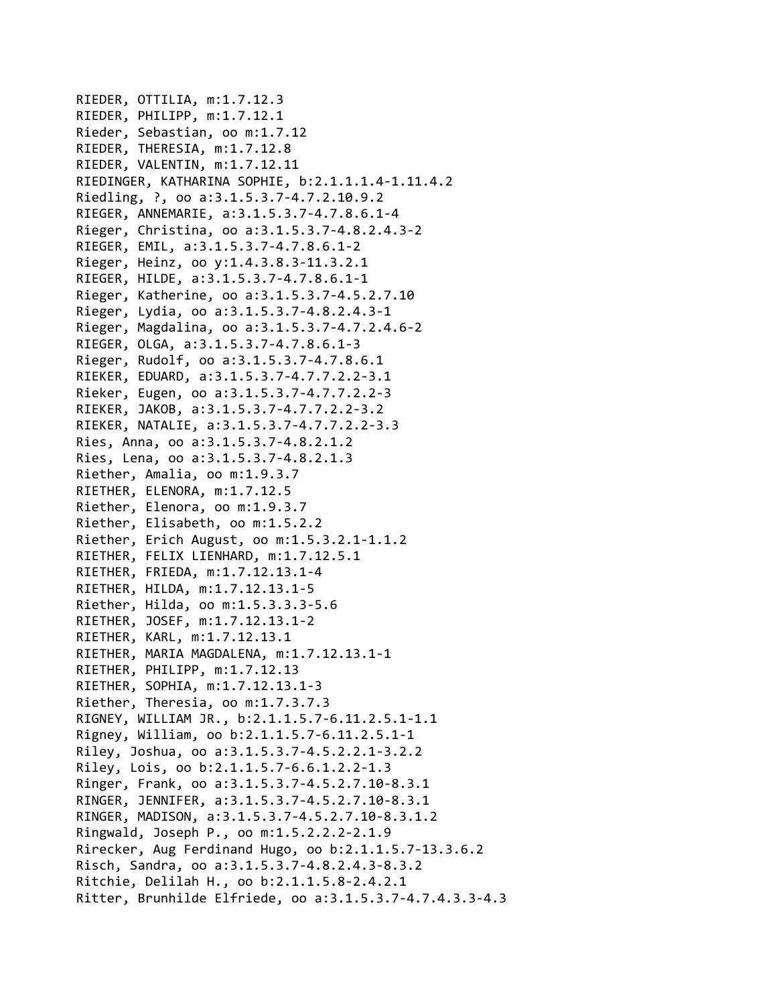```
RIEDER, OTTILIA, m:1.7.12.3
RIEDER, PHILIPP, m:1.7.12.1
Rieder, Sebastian, oo m:1.7.12
RIEDER, THERESIA, m:1.7.12.8
RIEDER, VALENTIN, m:1.7.12.11
RIEDINGER, KATHARINA SOPHIE, b:2.1.1.1.4‐1.11.4.2
Riedling, ?, oo a:3.1.5.3.7‐4.7.2.10.9.2
RIEGER, ANNEMARIE, a:3.1.5.3.7‐4.7.8.6.1‐4
Rieger, Christina, oo a:3.1.5.3.7‐4.8.2.4.3‐2
RIEGER, EMIL, a:3.1.5.3.7‐4.7.8.6.1‐2
Rieger, Heinz, oo y:1.4.3.8.3‐11.3.2.1
RIEGER, HILDE, a:3.1.5.3.7‐4.7.8.6.1‐1
Rieger, Katherine, oo a:3.1.5.3.7‐4.5.2.7.10
Rieger, Lydia, oo a:3.1.5.3.7‐4.8.2.4.3‐1
Rieger, Magdalina, oo a:3.1.5.3.7‐4.7.2.4.6‐2
RIEGER, OLGA, a:3.1.5.3.7‐4.7.8.6.1‐3
Rieger, Rudolf, oo a:3.1.5.3.7‐4.7.8.6.1
RIEKER, EDUARD, a:3.1.5.3.7‐4.7.7.2.2‐3.1
Rieker, Eugen, oo a:3.1.5.3.7‐4.7.7.2.2‐3
RIEKER, JAKOB, a:3.1.5.3.7‐4.7.7.2.2‐3.2
RIEKER, NATALIE, a:3.1.5.3.7‐4.7.7.2.2‐3.3
Ries, Anna, oo a:3.1.5.3.7‐4.8.2.1.2
Ries, Lena, oo a:3.1.5.3.7‐4.8.2.1.3
Riether, Amalia, oo m:1.9.3.7
RIETHER, ELENORA, m:1.7.12.5
Riether, Elenora, oo m:1.9.3.7
Riether, Elisabeth, oo m:1.5.2.2
Riether, Erich August, oo m:1.5.3.2.1‐1.1.2
RIETHER, FELIX LIENHARD, m:1.7.12.5.1
RIETHER, FRIEDA, m:1.7.12.13.1‐4
RIETHER, HILDA, m:1.7.12.13.1‐5
Riether, Hilda, oo m:1.5.3.3.3‐5.6
RIETHER, JOSEF, m:1.7.12.13.1‐2
RIETHER, KARL, m:1.7.12.13.1
RIETHER, MARIA MAGDALENA, m:1.7.12.13.1‐1
RIETHER, PHILIPP, m:1.7.12.13
RIETHER, SOPHIA, m:1.7.12.13.1‐3
Riether, Theresia, oo m:1.7.3.7.3
RIGNEY, WILLIAM JR., b:2.1.1.5.7‐6.11.2.5.1‐1.1
Rigney, William, oo b:2.1.1.5.7‐6.11.2.5.1‐1
Riley, Joshua, oo a:3.1.5.3.7‐4.5.2.2.1‐3.2.2
Riley, Lois, oo b:2.1.1.5.7‐6.6.1.2.2‐1.3
Ringer, Frank, oo a:3.1.5.3.7‐4.5.2.7.10‐8.3.1
RINGER, JENNIFER, a:3.1.5.3.7‐4.5.2.7.10‐8.3.1
RINGER, MADISON, a:3.1.5.3.7‐4.5.2.7.10‐8.3.1.2
Ringwald, Joseph P., oo m:1.5.2.2.2‐2.1.9
Rirecker, Aug Ferdinand Hugo, oo b:2.1.1.5.7‐13.3.6.2
Risch, Sandra, oo a:3.1.5.3.7‐4.8.2.4.3‐8.3.2
Ritchie, Delilah H., oo b:2.1.1.5.8‐2.4.2.1
Ritter, Brunhilde Elfriede, oo a:3.1.5.3.7‐4.7.4.3.3‐4.3
```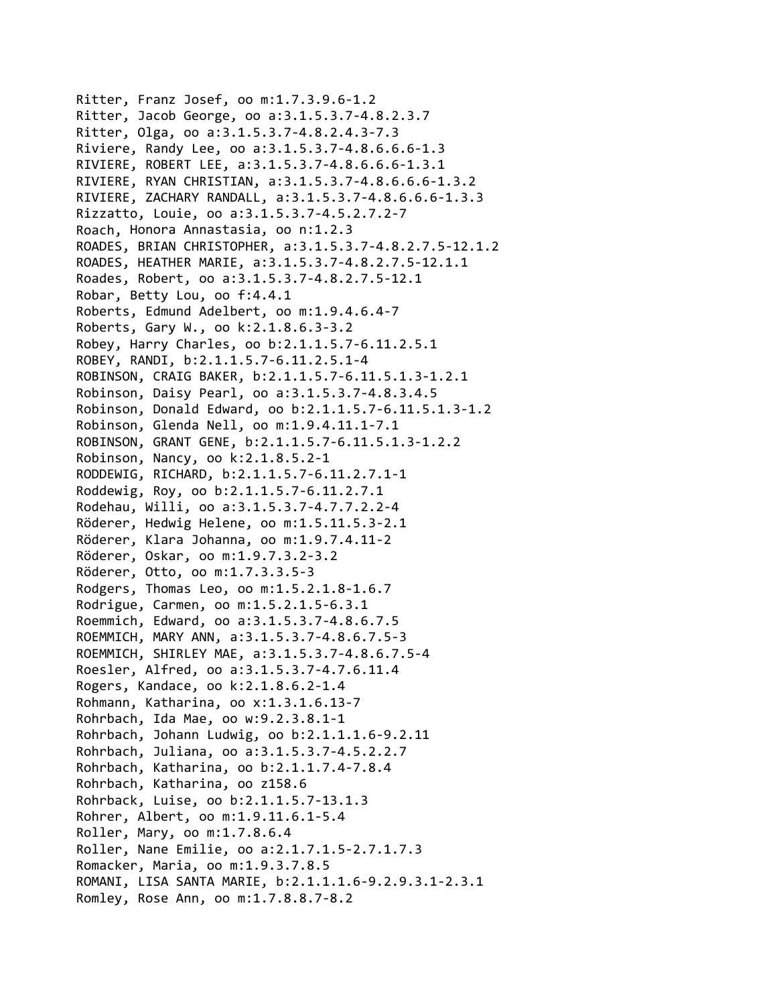```
Ritter, Franz Josef, oo m:1.7.3.9.6‐1.2
Ritter, Jacob George, oo a:3.1.5.3.7‐4.8.2.3.7
Ritter, Olga, oo a:3.1.5.3.7‐4.8.2.4.3‐7.3
Riviere, Randy Lee, oo a:3.1.5.3.7‐4.8.6.6.6‐1.3
RIVIERE, ROBERT LEE, a:3.1.5.3.7‐4.8.6.6.6‐1.3.1
RIVIERE, RYAN CHRISTIAN, a:3.1.5.3.7‐4.8.6.6.6‐1.3.2
RIVIERE, ZACHARY RANDALL, a:3.1.5.3.7‐4.8.6.6.6‐1.3.3
Rizzatto, Louie, oo a:3.1.5.3.7‐4.5.2.7.2‐7
Roach, Honora Annastasia, oo n:1.2.3
ROADES, BRIAN CHRISTOPHER, a:3.1.5.3.7‐4.8.2.7.5‐12.1.2
ROADES, HEATHER MARIE, a:3.1.5.3.7‐4.8.2.7.5‐12.1.1
Roades, Robert, oo a:3.1.5.3.7‐4.8.2.7.5‐12.1
Robar, Betty Lou, oo f:4.4.1
Roberts, Edmund Adelbert, oo m:1.9.4.6.4‐7
Roberts, Gary W., oo k:2.1.8.6.3‐3.2
Robey, Harry Charles, oo b:2.1.1.5.7‐6.11.2.5.1
ROBEY, RANDI, b:2.1.1.5.7‐6.11.2.5.1‐4
ROBINSON, CRAIG BAKER, b:2.1.1.5.7‐6.11.5.1.3‐1.2.1
Robinson, Daisy Pearl, oo a:3.1.5.3.7‐4.8.3.4.5
Robinson, Donald Edward, oo b:2.1.1.5.7‐6.11.5.1.3‐1.2
Robinson, Glenda Nell, oo m:1.9.4.11.1‐7.1
ROBINSON, GRANT GENE, b:2.1.1.5.7‐6.11.5.1.3‐1.2.2
Robinson, Nancy, oo k:2.1.8.5.2‐1
RODDEWIG, RICHARD, b:2.1.1.5.7‐6.11.2.7.1‐1
Roddewig, Roy, oo b:2.1.1.5.7‐6.11.2.7.1
Rodehau, Willi, oo a:3.1.5.3.7‐4.7.7.2.2‐4
Röderer, Hedwig Helene, oo m:1.5.11.5.3‐2.1
Röderer, Klara Johanna, oo m:1.9.7.4.11‐2
Röderer, Oskar, oo m:1.9.7.3.2‐3.2
Röderer, Otto, oo m:1.7.3.3.5‐3
Rodgers, Thomas Leo, oo m:1.5.2.1.8‐1.6.7
Rodrigue, Carmen, oo m:1.5.2.1.5‐6.3.1
Roemmich, Edward, oo a:3.1.5.3.7‐4.8.6.7.5
ROEMMICH, MARY ANN, a:3.1.5.3.7‐4.8.6.7.5‐3
ROEMMICH, SHIRLEY MAE, a:3.1.5.3.7‐4.8.6.7.5‐4
Roesler, Alfred, oo a:3.1.5.3.7‐4.7.6.11.4
Rogers, Kandace, oo k:2.1.8.6.2‐1.4
Rohmann, Katharina, oo x:1.3.1.6.13‐7
Rohrbach, Ida Mae, oo w:9.2.3.8.1‐1
Rohrbach, Johann Ludwig, oo b:2.1.1.1.6‐9.2.11
Rohrbach, Juliana, oo a:3.1.5.3.7‐4.5.2.2.7
Rohrbach, Katharina, oo b:2.1.1.7.4‐7.8.4
Rohrbach, Katharina, oo z158.6
Rohrback, Luise, oo b:2.1.1.5.7‐13.1.3
Rohrer, Albert, oo m:1.9.11.6.1‐5.4
Roller, Mary, oo m:1.7.8.6.4
Roller, Nane Emilie, oo a:2.1.7.1.5‐2.7.1.7.3
Romacker, Maria, oo m:1.9.3.7.8.5
ROMANI, LISA SANTA MARIE, b:2.1.1.1.6‐9.2.9.3.1‐2.3.1
Romley, Rose Ann, oo m:1.7.8.8.7‐8.2
```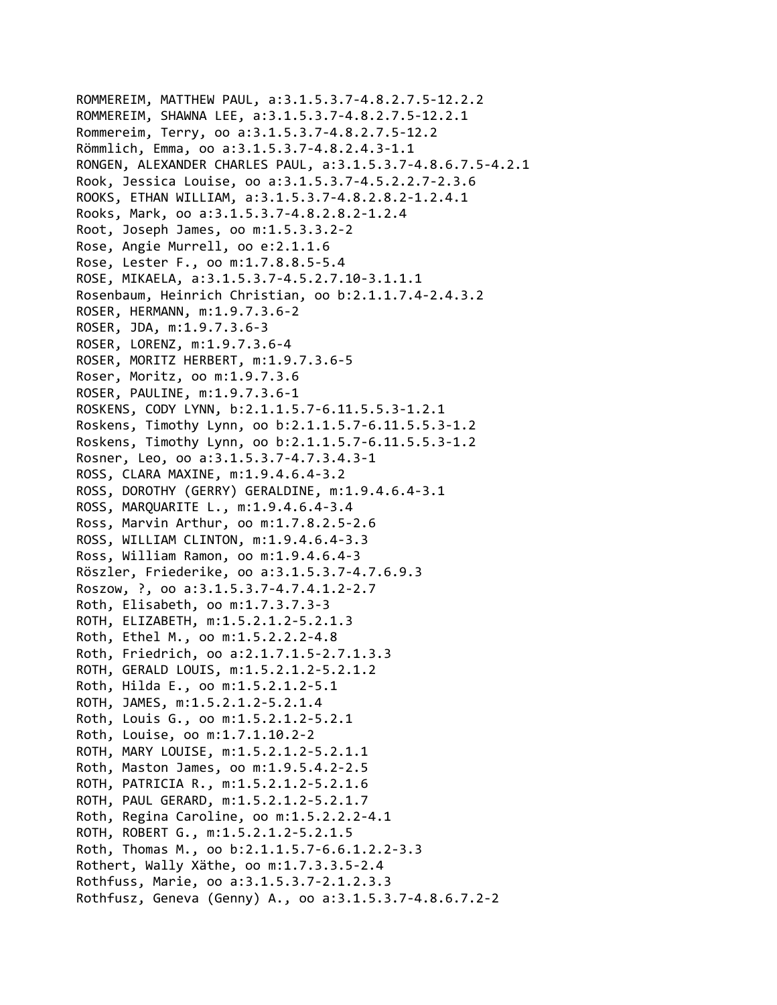```
ROMMEREIM, MATTHEW PAUL, a:3.1.5.3.7‐4.8.2.7.5‐12.2.2
ROMMEREIM, SHAWNA LEE, a:3.1.5.3.7‐4.8.2.7.5‐12.2.1
Rommereim, Terry, oo a:3.1.5.3.7‐4.8.2.7.5‐12.2
Römmlich, Emma, oo a:3.1.5.3.7‐4.8.2.4.3‐1.1
RONGEN, ALEXANDER CHARLES PAUL, a:3.1.5.3.7‐4.8.6.7.5‐4.2.1
Rook, Jessica Louise, oo a:3.1.5.3.7‐4.5.2.2.7‐2.3.6
ROOKS, ETHAN WILLIAM, a:3.1.5.3.7‐4.8.2.8.2‐1.2.4.1
Rooks, Mark, oo a:3.1.5.3.7‐4.8.2.8.2‐1.2.4
Root, Joseph James, oo m:1.5.3.3.2‐2
Rose, Angie Murrell, oo e:2.1.1.6
Rose, Lester F., oo m:1.7.8.8.5‐5.4
ROSE, MIKAELA, a:3.1.5.3.7‐4.5.2.7.10‐3.1.1.1
Rosenbaum, Heinrich Christian, oo b:2.1.1.7.4‐2.4.3.2
ROSER, HERMANN, m:1.9.7.3.6‐2
ROSER, JDA, m:1.9.7.3.6‐3
ROSER, LORENZ, m:1.9.7.3.6‐4
ROSER, MORITZ HERBERT, m:1.9.7.3.6‐5
Roser, Moritz, oo m:1.9.7.3.6
ROSER, PAULINE, m:1.9.7.3.6‐1
ROSKENS, CODY LYNN, b:2.1.1.5.7‐6.11.5.5.3‐1.2.1
Roskens, Timothy Lynn, oo b:2.1.1.5.7‐6.11.5.5.3‐1.2
Roskens, Timothy Lynn, oo b:2.1.1.5.7‐6.11.5.5.3‐1.2
Rosner, Leo, oo a:3.1.5.3.7‐4.7.3.4.3‐1
ROSS, CLARA MAXINE, m:1.9.4.6.4‐3.2
ROSS, DOROTHY (GERRY) GERALDINE, m:1.9.4.6.4‐3.1
ROSS, MARQUARITE L., m:1.9.4.6.4‐3.4
Ross, Marvin Arthur, oo m:1.7.8.2.5‐2.6
ROSS, WILLIAM CLINTON, m:1.9.4.6.4‐3.3
Ross, William Ramon, oo m:1.9.4.6.4‐3
Röszler, Friederike, oo a:3.1.5.3.7‐4.7.6.9.3
Roszow, ?, oo a:3.1.5.3.7‐4.7.4.1.2‐2.7
Roth, Elisabeth, oo m:1.7.3.7.3‐3
ROTH, ELIZABETH, m:1.5.2.1.2‐5.2.1.3
Roth, Ethel M., oo m:1.5.2.2.2‐4.8
Roth, Friedrich, oo a:2.1.7.1.5‐2.7.1.3.3
ROTH, GERALD LOUIS, m:1.5.2.1.2‐5.2.1.2
Roth, Hilda E., oo m:1.5.2.1.2‐5.1
ROTH, JAMES, m:1.5.2.1.2‐5.2.1.4
Roth, Louis G., oo m:1.5.2.1.2‐5.2.1
Roth, Louise, oo m:1.7.1.10.2‐2
ROTH, MARY LOUISE, m:1.5.2.1.2‐5.2.1.1
Roth, Maston James, oo m:1.9.5.4.2‐2.5
ROTH, PATRICIA R., m:1.5.2.1.2‐5.2.1.6
ROTH, PAUL GERARD, m:1.5.2.1.2‐5.2.1.7
Roth, Regina Caroline, oo m:1.5.2.2.2‐4.1
ROTH, ROBERT G., m:1.5.2.1.2‐5.2.1.5
Roth, Thomas M., oo b:2.1.1.5.7‐6.6.1.2.2‐3.3
Rothert, Wally Xäthe, oo m:1.7.3.3.5‐2.4
Rothfuss, Marie, oo a:3.1.5.3.7‐2.1.2.3.3
Rothfusz, Geneva (Genny) A., oo a:3.1.5.3.7‐4.8.6.7.2‐2
```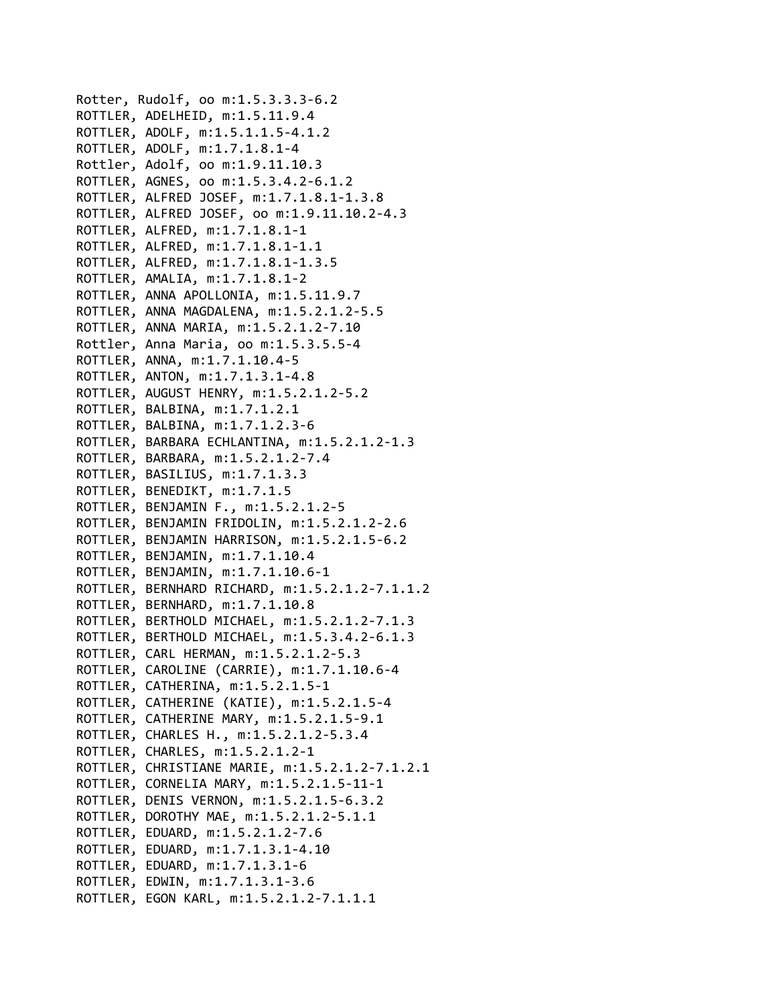```
Rotter, Rudolf, oo m:1.5.3.3.3‐6.2
ROTTLER, ADELHEID, m:1.5.11.9.4
ROTTLER, ADOLF, m:1.5.1.1.5‐4.1.2
ROTTLER, ADOLF, m:1.7.1.8.1‐4
Rottler, Adolf, oo m:1.9.11.10.3
ROTTLER, AGNES, oo m:1.5.3.4.2‐6.1.2
ROTTLER, ALFRED JOSEF, m:1.7.1.8.1‐1.3.8
ROTTLER, ALFRED JOSEF, oo m:1.9.11.10.2‐4.3
ROTTLER, ALFRED, m:1.7.1.8.1‐1
ROTTLER, ALFRED, m:1.7.1.8.1‐1.1
ROTTLER, ALFRED, m:1.7.1.8.1‐1.3.5
ROTTLER, AMALIA, m:1.7.1.8.1‐2
ROTTLER, ANNA APOLLONIA, m:1.5.11.9.7
ROTTLER, ANNA MAGDALENA, m:1.5.2.1.2‐5.5
ROTTLER, ANNA MARIA, m:1.5.2.1.2‐7.10
Rottler, Anna Maria, oo m:1.5.3.5.5‐4
ROTTLER, ANNA, m:1.7.1.10.4‐5
ROTTLER, ANTON, m:1.7.1.3.1‐4.8
ROTTLER, AUGUST HENRY, m:1.5.2.1.2‐5.2
ROTTLER, BALBINA, m:1.7.1.2.1
ROTTLER, BALBINA, m:1.7.1.2.3‐6
ROTTLER, BARBARA ECHLANTINA, m:1.5.2.1.2‐1.3
ROTTLER, BARBARA, m:1.5.2.1.2‐7.4
ROTTLER, BASILIUS, m:1.7.1.3.3
ROTTLER, BENEDIKT, m:1.7.1.5
ROTTLER, BENJAMIN F., m:1.5.2.1.2‐5
ROTTLER, BENJAMIN FRIDOLIN, m:1.5.2.1.2‐2.6
ROTTLER, BENJAMIN HARRISON, m:1.5.2.1.5‐6.2
ROTTLER, BENJAMIN, m:1.7.1.10.4
ROTTLER, BENJAMIN, m:1.7.1.10.6‐1
ROTTLER, BERNHARD RICHARD, m:1.5.2.1.2‐7.1.1.2
ROTTLER, BERNHARD, m:1.7.1.10.8
ROTTLER, BERTHOLD MICHAEL, m:1.5.2.1.2‐7.1.3
ROTTLER, BERTHOLD MICHAEL, m:1.5.3.4.2‐6.1.3
ROTTLER, CARL HERMAN, m:1.5.2.1.2‐5.3
ROTTLER, CAROLINE (CARRIE), m:1.7.1.10.6‐4
ROTTLER, CATHERINA, m:1.5.2.1.5‐1
ROTTLER, CATHERINE (KATIE), m:1.5.2.1.5‐4
ROTTLER, CATHERINE MARY, m:1.5.2.1.5‐9.1
ROTTLER, CHARLES H., m:1.5.2.1.2‐5.3.4
ROTTLER, CHARLES, m:1.5.2.1.2‐1
ROTTLER, CHRISTIANE MARIE, m:1.5.2.1.2‐7.1.2.1
ROTTLER, CORNELIA MARY, m:1.5.2.1.5‐11‐1
ROTTLER, DENIS VERNON, m:1.5.2.1.5‐6.3.2
ROTTLER, DOROTHY MAE, m:1.5.2.1.2‐5.1.1
ROTTLER, EDUARD, m:1.5.2.1.2‐7.6
ROTTLER, EDUARD, m:1.7.1.3.1‐4.10
ROTTLER, EDUARD, m:1.7.1.3.1‐6
ROTTLER, EDWIN, m:1.7.1.3.1‐3.6
ROTTLER, EGON KARL, m:1.5.2.1.2‐7.1.1.1
```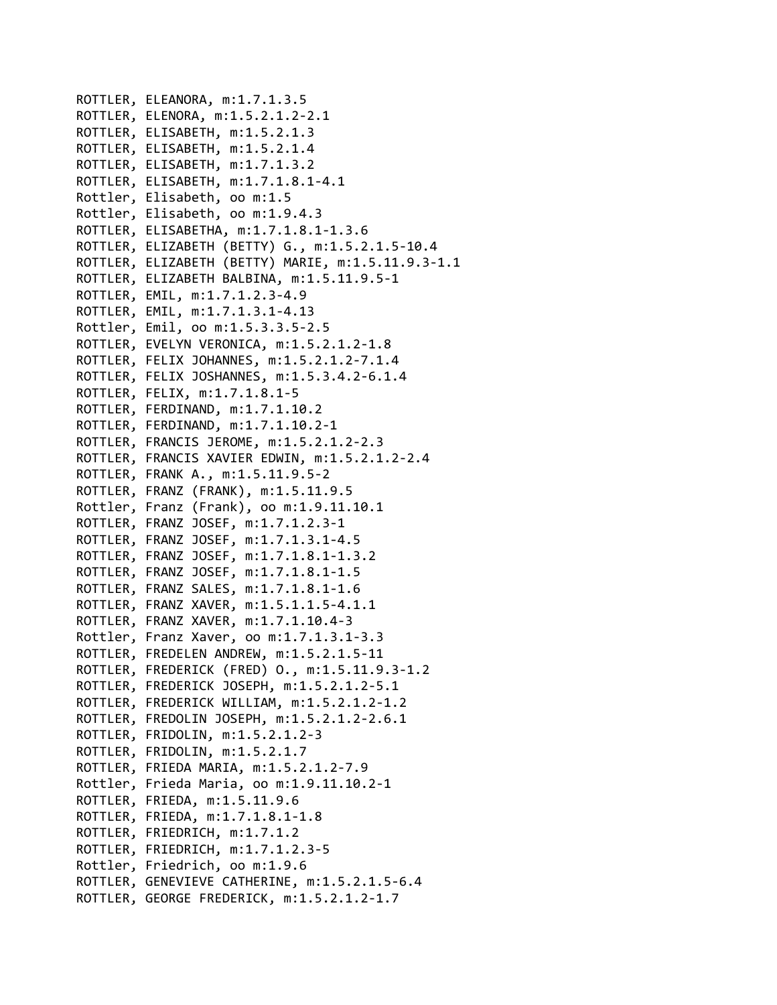ROTTLER, ELEANORA, m:1.7.1.3.5 ROTTLER, ELENORA, m:1.5.2.1.2‐2.1 ROTTLER, ELISABETH, m:1.5.2.1.3 ROTTLER, ELISABETH, m:1.5.2.1.4 ROTTLER, ELISABETH, m:1.7.1.3.2 ROTTLER, ELISABETH, m:1.7.1.8.1‐4.1 Rottler, Elisabeth, oo m:1.5 Rottler, Elisabeth, oo m:1.9.4.3 ROTTLER, ELISABETHA, m:1.7.1.8.1‐1.3.6 ROTTLER, ELIZABETH (BETTY) G., m:1.5.2.1.5‐10.4 ROTTLER, ELIZABETH (BETTY) MARIE, m:1.5.11.9.3‐1.1 ROTTLER, ELIZABETH BALBINA, m:1.5.11.9.5‐1 ROTTLER, EMIL, m:1.7.1.2.3‐4.9 ROTTLER, EMIL, m:1.7.1.3.1‐4.13 Rottler, Emil, oo m:1.5.3.3.5‐2.5 ROTTLER, EVELYN VERONICA, m:1.5.2.1.2‐1.8 ROTTLER, FELIX JOHANNES, m:1.5.2.1.2‐7.1.4 ROTTLER, FELIX JOSHANNES, m:1.5.3.4.2‐6.1.4 ROTTLER, FELIX, m:1.7.1.8.1‐5 ROTTLER, FERDINAND, m:1.7.1.10.2 ROTTLER, FERDINAND, m:1.7.1.10.2‐1 ROTTLER, FRANCIS JEROME, m:1.5.2.1.2‐2.3 ROTTLER, FRANCIS XAVIER EDWIN, m:1.5.2.1.2‐2.4 ROTTLER, FRANK A., m:1.5.11.9.5‐2 ROTTLER, FRANZ (FRANK), m:1.5.11.9.5 Rottler, Franz (Frank), oo m:1.9.11.10.1 ROTTLER, FRANZ JOSEF, m:1.7.1.2.3‐1 ROTTLER, FRANZ JOSEF, m:1.7.1.3.1‐4.5 ROTTLER, FRANZ JOSEF, m:1.7.1.8.1‐1.3.2 ROTTLER, FRANZ JOSEF, m:1.7.1.8.1‐1.5 ROTTLER, FRANZ SALES, m:1.7.1.8.1‐1.6 ROTTLER, FRANZ XAVER, m:1.5.1.1.5‐4.1.1 ROTTLER, FRANZ XAVER, m:1.7.1.10.4‐3 Rottler, Franz Xaver, oo m:1.7.1.3.1‐3.3 ROTTLER, FREDELEN ANDREW, m:1.5.2.1.5‐11 ROTTLER, FREDERICK (FRED) O., m:1.5.11.9.3‐1.2 ROTTLER, FREDERICK JOSEPH, m:1.5.2.1.2‐5.1 ROTTLER, FREDERICK WILLIAM, m:1.5.2.1.2‐1.2 ROTTLER, FREDOLIN JOSEPH, m:1.5.2.1.2‐2.6.1 ROTTLER, FRIDOLIN, m:1.5.2.1.2‐3 ROTTLER, FRIDOLIN, m:1.5.2.1.7 ROTTLER, FRIEDA MARIA, m:1.5.2.1.2‐7.9 Rottler, Frieda Maria, oo m:1.9.11.10.2‐1 ROTTLER, FRIEDA, m:1.5.11.9.6 ROTTLER, FRIEDA, m:1.7.1.8.1‐1.8 ROTTLER, FRIEDRICH, m:1.7.1.2 ROTTLER, FRIEDRICH, m:1.7.1.2.3‐5 Rottler, Friedrich, oo m:1.9.6 ROTTLER, GENEVIEVE CATHERINE, m:1.5.2.1.5‐6.4 ROTTLER, GEORGE FREDERICK, m:1.5.2.1.2‐1.7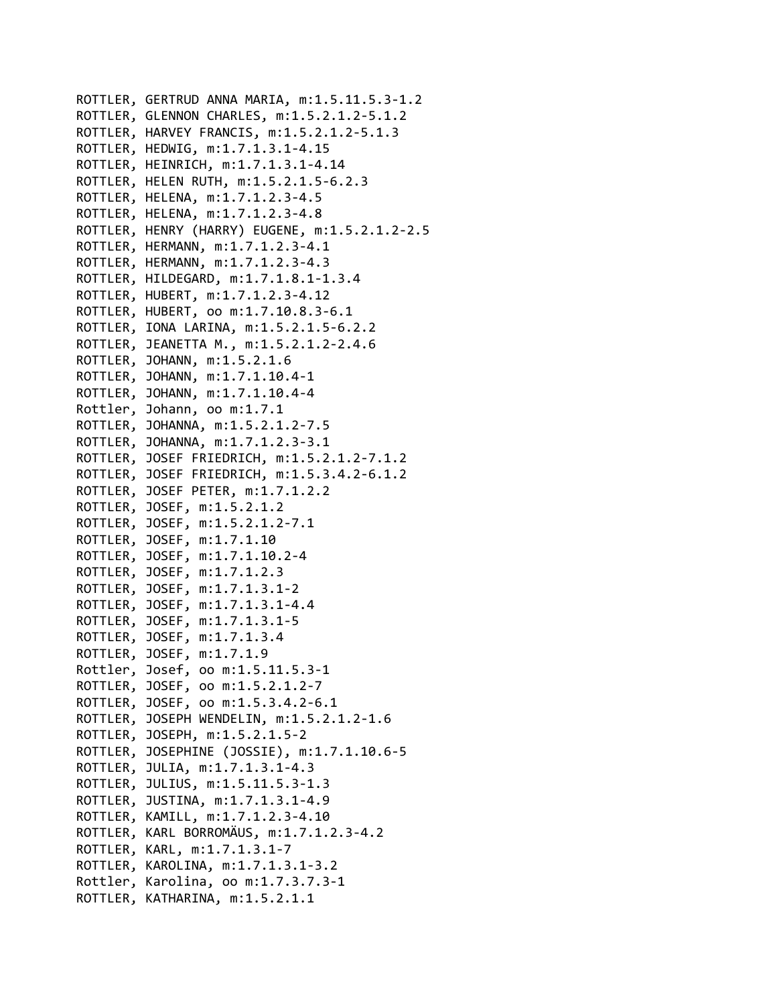```
ROTTLER, GERTRUD ANNA MARIA, m:1.5.11.5.3‐1.2
ROTTLER, GLENNON CHARLES, m:1.5.2.1.2‐5.1.2
ROTTLER, HARVEY FRANCIS, m:1.5.2.1.2‐5.1.3
ROTTLER, HEDWIG, m:1.7.1.3.1‐4.15
ROTTLER, HEINRICH, m:1.7.1.3.1‐4.14
ROTTLER, HELEN RUTH, m:1.5.2.1.5‐6.2.3
ROTTLER, HELENA, m:1.7.1.2.3‐4.5
ROTTLER, HELENA, m:1.7.1.2.3‐4.8
ROTTLER, HENRY (HARRY) EUGENE, m:1.5.2.1.2‐2.5
ROTTLER, HERMANN, m:1.7.1.2.3‐4.1
ROTTLER, HERMANN, m:1.7.1.2.3‐4.3
ROTTLER, HILDEGARD, m:1.7.1.8.1‐1.3.4
ROTTLER, HUBERT, m:1.7.1.2.3‐4.12
ROTTLER, HUBERT, oo m:1.7.10.8.3‐6.1
ROTTLER, IONA LARINA, m:1.5.2.1.5‐6.2.2
ROTTLER, JEANETTA M., m:1.5.2.1.2‐2.4.6
ROTTLER, JOHANN, m:1.5.2.1.6
ROTTLER, JOHANN, m:1.7.1.10.4‐1
ROTTLER, JOHANN, m:1.7.1.10.4‐4
Rottler, Johann, oo m:1.7.1
ROTTLER, JOHANNA, m:1.5.2.1.2‐7.5
ROTTLER, JOHANNA, m:1.7.1.2.3‐3.1
ROTTLER, JOSEF FRIEDRICH, m:1.5.2.1.2‐7.1.2
ROTTLER, JOSEF FRIEDRICH, m:1.5.3.4.2‐6.1.2
ROTTLER, JOSEF PETER, m:1.7.1.2.2
ROTTLER, JOSEF, m:1.5.2.1.2
ROTTLER, JOSEF, m:1.5.2.1.2‐7.1
ROTTLER, JOSEF, m:1.7.1.10
ROTTLER, JOSEF, m:1.7.1.10.2‐4
ROTTLER, JOSEF, m:1.7.1.2.3
ROTTLER, JOSEF, m:1.7.1.3.1‐2
ROTTLER, JOSEF, m:1.7.1.3.1‐4.4
ROTTLER, JOSEF, m:1.7.1.3.1‐5
ROTTLER, JOSEF, m:1.7.1.3.4
ROTTLER, JOSEF, m:1.7.1.9
Rottler, Josef, oo m:1.5.11.5.3‐1
ROTTLER, JOSEF, oo m:1.5.2.1.2‐7
ROTTLER, JOSEF, oo m:1.5.3.4.2‐6.1
ROTTLER, JOSEPH WENDELIN, m:1.5.2.1.2‐1.6
ROTTLER, JOSEPH, m:1.5.2.1.5‐2
ROTTLER, JOSEPHINE (JOSSIE), m:1.7.1.10.6‐5
ROTTLER, JULIA, m:1.7.1.3.1‐4.3
ROTTLER, JULIUS, m:1.5.11.5.3‐1.3
ROTTLER, JUSTINA, m:1.7.1.3.1‐4.9
ROTTLER, KAMILL, m:1.7.1.2.3‐4.10
ROTTLER, KARL BORROMÄUS, m:1.7.1.2.3‐4.2
ROTTLER, KARL, m:1.7.1.3.1‐7
ROTTLER, KAROLINA, m:1.7.1.3.1‐3.2
Rottler, Karolina, oo m:1.7.3.7.3‐1
ROTTLER, KATHARINA, m:1.5.2.1.1
```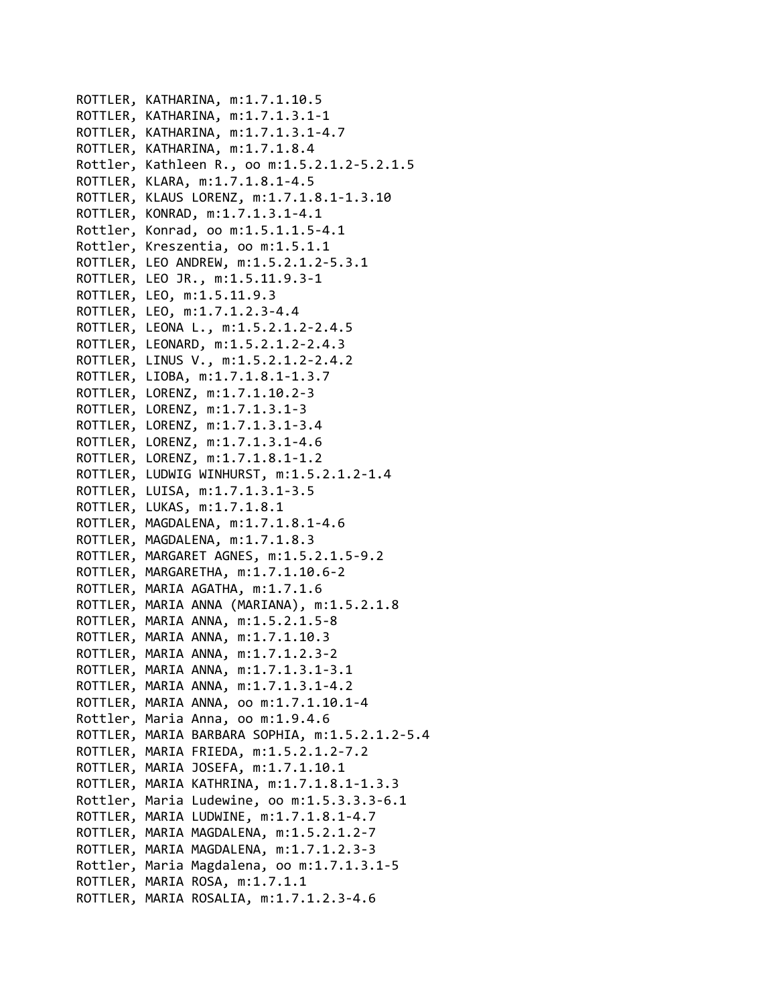ROTTLER, KATHARINA, m:1.7.1.10.5 ROTTLER, KATHARINA, m:1.7.1.3.1‐1 ROTTLER, KATHARINA, m:1.7.1.3.1‐4.7 ROTTLER, KATHARINA, m:1.7.1.8.4 Rottler, Kathleen R., oo m:1.5.2.1.2‐5.2.1.5 ROTTLER, KLARA, m:1.7.1.8.1‐4.5 ROTTLER, KLAUS LORENZ, m:1.7.1.8.1‐1.3.10 ROTTLER, KONRAD, m:1.7.1.3.1‐4.1 Rottler, Konrad, oo m:1.5.1.1.5‐4.1 Rottler, Kreszentia, oo m:1.5.1.1 ROTTLER, LEO ANDREW, m:1.5.2.1.2‐5.3.1 ROTTLER, LEO JR., m:1.5.11.9.3‐1 ROTTLER, LEO, m:1.5.11.9.3 ROTTLER, LEO, m:1.7.1.2.3‐4.4 ROTTLER, LEONA L., m:1.5.2.1.2‐2.4.5 ROTTLER, LEONARD, m:1.5.2.1.2‐2.4.3 ROTTLER, LINUS V., m:1.5.2.1.2‐2.4.2 ROTTLER, LIOBA, m:1.7.1.8.1‐1.3.7 ROTTLER, LORENZ, m:1.7.1.10.2‐3 ROTTLER, LORENZ, m:1.7.1.3.1‐3 ROTTLER, LORENZ, m:1.7.1.3.1‐3.4 ROTTLER, LORENZ, m:1.7.1.3.1‐4.6 ROTTLER, LORENZ, m:1.7.1.8.1‐1.2 ROTTLER, LUDWIG WINHURST, m:1.5.2.1.2‐1.4 ROTTLER, LUISA, m:1.7.1.3.1‐3.5 ROTTLER, LUKAS, m:1.7.1.8.1 ROTTLER, MAGDALENA, m:1.7.1.8.1‐4.6 ROTTLER, MAGDALENA, m:1.7.1.8.3 ROTTLER, MARGARET AGNES, m:1.5.2.1.5‐9.2 ROTTLER, MARGARETHA, m:1.7.1.10.6‐2 ROTTLER, MARIA AGATHA, m:1.7.1.6 ROTTLER, MARIA ANNA (MARIANA), m:1.5.2.1.8 ROTTLER, MARIA ANNA, m:1.5.2.1.5‐8 ROTTLER, MARIA ANNA, m:1.7.1.10.3 ROTTLER, MARIA ANNA, m:1.7.1.2.3‐2 ROTTLER, MARIA ANNA, m:1.7.1.3.1‐3.1 ROTTLER, MARIA ANNA, m:1.7.1.3.1‐4.2 ROTTLER, MARIA ANNA, oo m:1.7.1.10.1‐4 Rottler, Maria Anna, oo m:1.9.4.6 ROTTLER, MARIA BARBARA SOPHIA, m:1.5.2.1.2‐5.4 ROTTLER, MARIA FRIEDA, m:1.5.2.1.2‐7.2 ROTTLER, MARIA JOSEFA, m:1.7.1.10.1 ROTTLER, MARIA KATHRINA, m:1.7.1.8.1‐1.3.3 Rottler, Maria Ludewine, oo m:1.5.3.3.3‐6.1 ROTTLER, MARIA LUDWINE, m:1.7.1.8.1‐4.7 ROTTLER, MARIA MAGDALENA, m:1.5.2.1.2‐7 ROTTLER, MARIA MAGDALENA, m:1.7.1.2.3‐3 Rottler, Maria Magdalena, oo m:1.7.1.3.1‐5 ROTTLER, MARIA ROSA, m:1.7.1.1 ROTTLER, MARIA ROSALIA, m:1.7.1.2.3‐4.6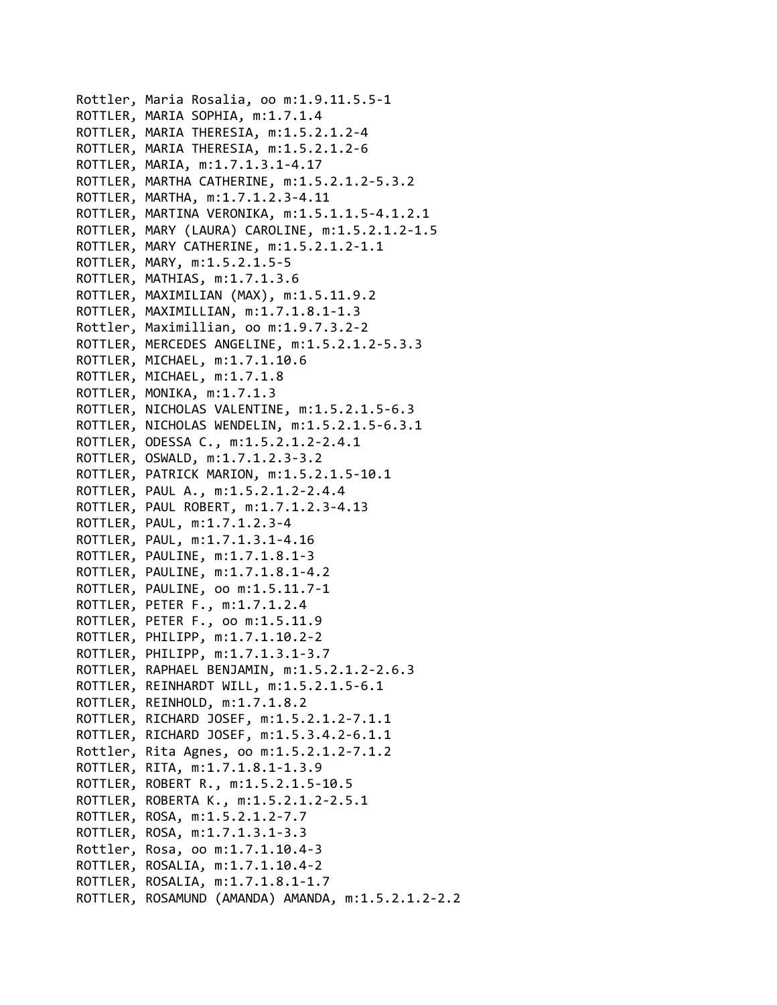```
Rottler, Maria Rosalia, oo m:1.9.11.5.5‐1
ROTTLER, MARIA SOPHIA, m:1.7.1.4
ROTTLER, MARIA THERESIA, m:1.5.2.1.2‐4
ROTTLER, MARIA THERESIA, m:1.5.2.1.2‐6
ROTTLER, MARIA, m:1.7.1.3.1‐4.17
ROTTLER, MARTHA CATHERINE, m:1.5.2.1.2‐5.3.2
ROTTLER, MARTHA, m:1.7.1.2.3‐4.11
ROTTLER, MARTINA VERONIKA, m:1.5.1.1.5‐4.1.2.1
ROTTLER, MARY (LAURA) CAROLINE, m:1.5.2.1.2‐1.5
ROTTLER, MARY CATHERINE, m:1.5.2.1.2‐1.1
ROTTLER, MARY, m:1.5.2.1.5‐5
ROTTLER, MATHIAS, m:1.7.1.3.6
ROTTLER, MAXIMILIAN (MAX), m:1.5.11.9.2
ROTTLER, MAXIMILLIAN, m:1.7.1.8.1‐1.3
Rottler, Maximillian, oo m:1.9.7.3.2‐2
ROTTLER, MERCEDES ANGELINE, m:1.5.2.1.2‐5.3.3
ROTTLER, MICHAEL, m:1.7.1.10.6
ROTTLER, MICHAEL, m:1.7.1.8
ROTTLER, MONIKA, m:1.7.1.3
ROTTLER, NICHOLAS VALENTINE, m:1.5.2.1.5‐6.3
ROTTLER, NICHOLAS WENDELIN, m:1.5.2.1.5‐6.3.1
ROTTLER, ODESSA C., m:1.5.2.1.2‐2.4.1
ROTTLER, OSWALD, m:1.7.1.2.3‐3.2
ROTTLER, PATRICK MARION, m:1.5.2.1.5‐10.1
ROTTLER, PAUL A., m:1.5.2.1.2‐2.4.4
ROTTLER, PAUL ROBERT, m:1.7.1.2.3‐4.13
ROTTLER, PAUL, m:1.7.1.2.3‐4
ROTTLER, PAUL, m:1.7.1.3.1‐4.16
ROTTLER, PAULINE, m:1.7.1.8.1‐3
ROTTLER, PAULINE, m:1.7.1.8.1‐4.2
ROTTLER, PAULINE, oo m:1.5.11.7‐1
ROTTLER, PETER F., m:1.7.1.2.4
ROTTLER, PETER F., oo m:1.5.11.9
ROTTLER, PHILIPP, m:1.7.1.10.2‐2
ROTTLER, PHILIPP, m:1.7.1.3.1‐3.7
ROTTLER, RAPHAEL BENJAMIN, m:1.5.2.1.2‐2.6.3
ROTTLER, REINHARDT WILL, m:1.5.2.1.5‐6.1
ROTTLER, REINHOLD, m:1.7.1.8.2
ROTTLER, RICHARD JOSEF, m:1.5.2.1.2‐7.1.1
ROTTLER, RICHARD JOSEF, m:1.5.3.4.2‐6.1.1
Rottler, Rita Agnes, oo m:1.5.2.1.2‐7.1.2
ROTTLER, RITA, m:1.7.1.8.1‐1.3.9
ROTTLER, ROBERT R., m:1.5.2.1.5‐10.5
ROTTLER, ROBERTA K., m:1.5.2.1.2‐2.5.1
ROTTLER, ROSA, m:1.5.2.1.2‐7.7
ROTTLER, ROSA, m:1.7.1.3.1‐3.3
Rottler, Rosa, oo m:1.7.1.10.4‐3
ROTTLER, ROSALIA, m:1.7.1.10.4‐2
ROTTLER, ROSALIA, m:1.7.1.8.1‐1.7
ROTTLER, ROSAMUND (AMANDA) AMANDA, m:1.5.2.1.2‐2.2
```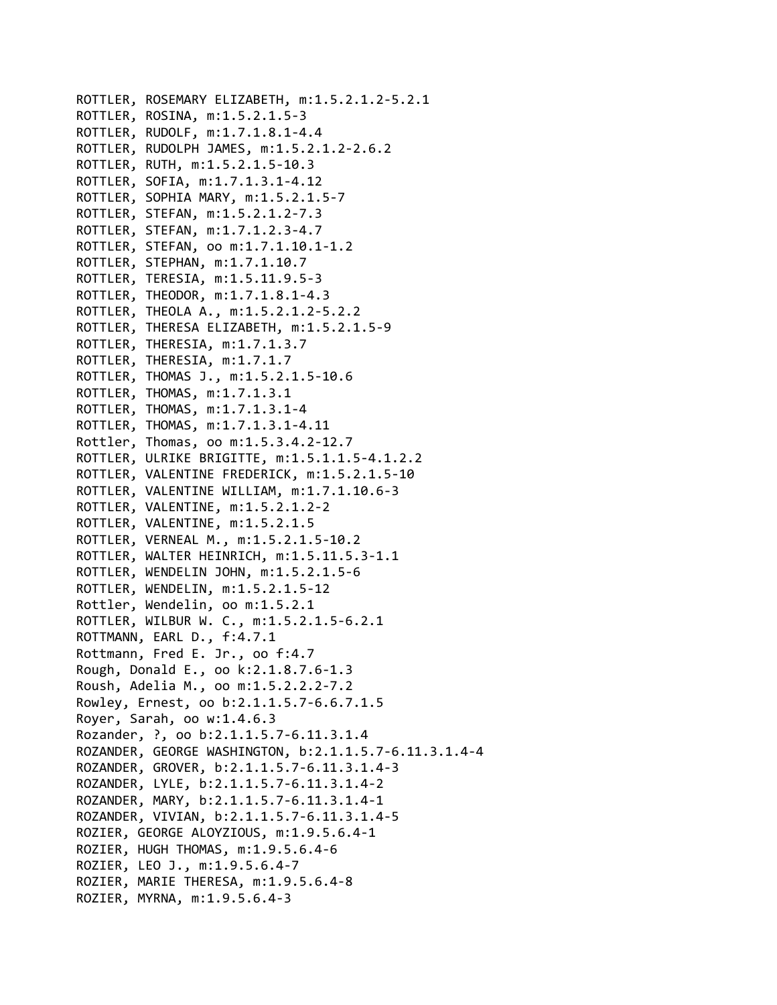```
ROTTLER, ROSEMARY ELIZABETH, m:1.5.2.1.2‐5.2.1
ROTTLER, ROSINA, m:1.5.2.1.5‐3
ROTTLER, RUDOLF, m:1.7.1.8.1‐4.4
ROTTLER, RUDOLPH JAMES, m:1.5.2.1.2‐2.6.2
ROTTLER, RUTH, m:1.5.2.1.5‐10.3
ROTTLER, SOFIA, m:1.7.1.3.1‐4.12
ROTTLER, SOPHIA MARY, m:1.5.2.1.5‐7
ROTTLER, STEFAN, m:1.5.2.1.2‐7.3
ROTTLER, STEFAN, m:1.7.1.2.3‐4.7
ROTTLER, STEFAN, oo m:1.7.1.10.1‐1.2
ROTTLER, STEPHAN, m:1.7.1.10.7
ROTTLER, TERESIA, m:1.5.11.9.5‐3
ROTTLER, THEODOR, m:1.7.1.8.1‐4.3
ROTTLER, THEOLA A., m:1.5.2.1.2‐5.2.2
ROTTLER, THERESA ELIZABETH, m:1.5.2.1.5‐9
ROTTLER, THERESIA, m:1.7.1.3.7
ROTTLER, THERESIA, m:1.7.1.7
ROTTLER, THOMAS J., m:1.5.2.1.5‐10.6
ROTTLER, THOMAS, m:1.7.1.3.1
ROTTLER, THOMAS, m:1.7.1.3.1‐4
ROTTLER, THOMAS, m:1.7.1.3.1‐4.11
Rottler, Thomas, oo m:1.5.3.4.2‐12.7
ROTTLER, ULRIKE BRIGITTE, m:1.5.1.1.5‐4.1.2.2
ROTTLER, VALENTINE FREDERICK, m:1.5.2.1.5‐10
ROTTLER, VALENTINE WILLIAM, m:1.7.1.10.6‐3
ROTTLER, VALENTINE, m:1.5.2.1.2‐2
ROTTLER, VALENTINE, m:1.5.2.1.5
ROTTLER, VERNEAL M., m:1.5.2.1.5‐10.2
ROTTLER, WALTER HEINRICH, m:1.5.11.5.3‐1.1
ROTTLER, WENDELIN JOHN, m:1.5.2.1.5‐6
ROTTLER, WENDELIN, m:1.5.2.1.5‐12
Rottler, Wendelin, oo m:1.5.2.1
ROTTLER, WILBUR W. C., m:1.5.2.1.5‐6.2.1
ROTTMANN, EARL D., f:4.7.1
Rottmann, Fred E. Jr., oo f:4.7
Rough, Donald E., oo k:2.1.8.7.6‐1.3
Roush, Adelia M., oo m:1.5.2.2.2‐7.2
Rowley, Ernest, oo b:2.1.1.5.7‐6.6.7.1.5
Royer, Sarah, oo w:1.4.6.3
Rozander, ?, oo b:2.1.1.5.7‐6.11.3.1.4
ROZANDER, GEORGE WASHINGTON, b:2.1.1.5.7‐6.11.3.1.4‐4
ROZANDER, GROVER, b:2.1.1.5.7‐6.11.3.1.4‐3
ROZANDER, LYLE, b:2.1.1.5.7‐6.11.3.1.4‐2
ROZANDER, MARY, b:2.1.1.5.7‐6.11.3.1.4‐1
ROZANDER, VIVIAN, b:2.1.1.5.7‐6.11.3.1.4‐5
ROZIER, GEORGE ALOYZIOUS, m:1.9.5.6.4‐1
ROZIER, HUGH THOMAS, m:1.9.5.6.4‐6
ROZIER, LEO J., m:1.9.5.6.4‐7
ROZIER, MARIE THERESA, m:1.9.5.6.4‐8
ROZIER, MYRNA, m:1.9.5.6.4‐3
```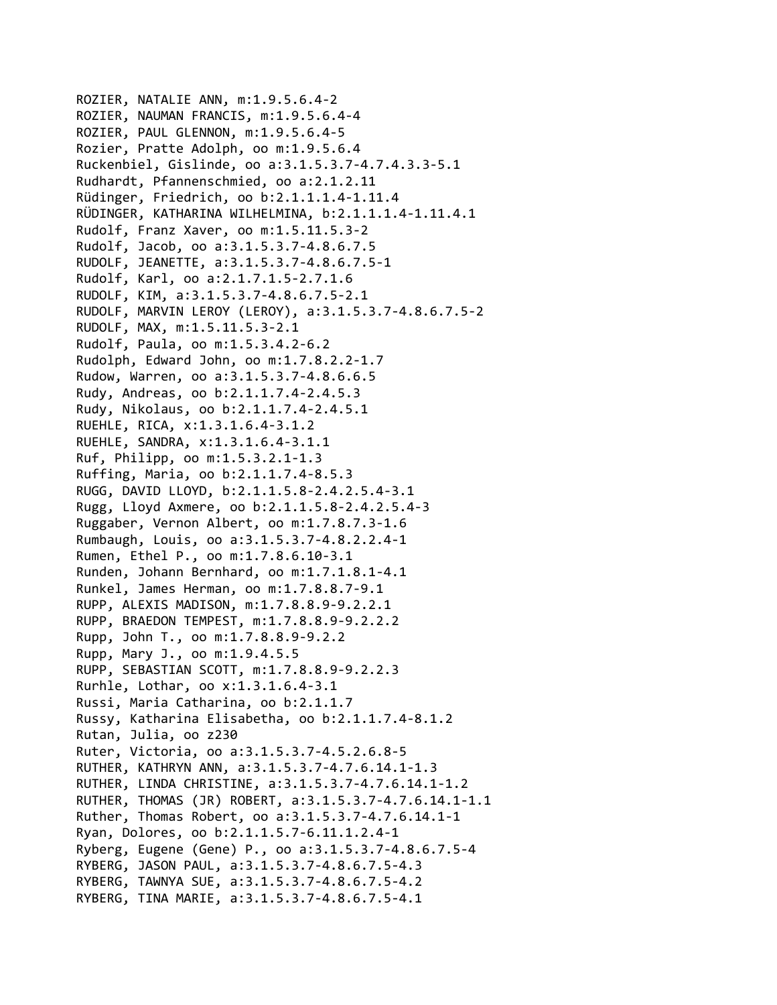ROZIER, NATALIE ANN, m:1.9.5.6.4‐2 ROZIER, NAUMAN FRANCIS, m:1.9.5.6.4‐4 ROZIER, PAUL GLENNON, m:1.9.5.6.4‐5 Rozier, Pratte Adolph, oo m:1.9.5.6.4 Ruckenbiel, Gislinde, oo a:3.1.5.3.7‐4.7.4.3.3‐5.1 Rudhardt, Pfannenschmied, oo a:2.1.2.11 Rüdinger, Friedrich, oo b:2.1.1.1.4‐1.11.4 RÜDINGER, KATHARINA WILHELMINA, b:2.1.1.1.4‐1.11.4.1 Rudolf, Franz Xaver, oo m:1.5.11.5.3‐2 Rudolf, Jacob, oo a:3.1.5.3.7‐4.8.6.7.5 RUDOLF, JEANETTE, a:3.1.5.3.7‐4.8.6.7.5‐1 Rudolf, Karl, oo a:2.1.7.1.5‐2.7.1.6 RUDOLF, KIM, a:3.1.5.3.7‐4.8.6.7.5‐2.1 RUDOLF, MARVIN LEROY (LEROY), a:3.1.5.3.7‐4.8.6.7.5‐2 RUDOLF, MAX, m:1.5.11.5.3‐2.1 Rudolf, Paula, oo m:1.5.3.4.2‐6.2 Rudolph, Edward John, oo m:1.7.8.2.2‐1.7 Rudow, Warren, oo a:3.1.5.3.7‐4.8.6.6.5 Rudy, Andreas, oo b:2.1.1.7.4‐2.4.5.3 Rudy, Nikolaus, oo b:2.1.1.7.4‐2.4.5.1 RUEHLE, RICA, x:1.3.1.6.4‐3.1.2 RUEHLE, SANDRA, x:1.3.1.6.4‐3.1.1 Ruf, Philipp, oo m:1.5.3.2.1‐1.3 Ruffing, Maria, oo b:2.1.1.7.4‐8.5.3 RUGG, DAVID LLOYD, b:2.1.1.5.8‐2.4.2.5.4‐3.1 Rugg, Lloyd Axmere, oo b:2.1.1.5.8‐2.4.2.5.4‐3 Ruggaber, Vernon Albert, oo m:1.7.8.7.3‐1.6 Rumbaugh, Louis, oo a:3.1.5.3.7‐4.8.2.2.4‐1 Rumen, Ethel P., oo m:1.7.8.6.10‐3.1 Runden, Johann Bernhard, oo m:1.7.1.8.1‐4.1 Runkel, James Herman, oo m:1.7.8.8.7‐9.1 RUPP, ALEXIS MADISON, m:1.7.8.8.9‐9.2.2.1 RUPP, BRAEDON TEMPEST, m:1.7.8.8.9‐9.2.2.2 Rupp, John T., oo m:1.7.8.8.9‐9.2.2 Rupp, Mary J., oo m:1.9.4.5.5 RUPP, SEBASTIAN SCOTT, m:1.7.8.8.9‐9.2.2.3 Rurhle, Lothar, oo x:1.3.1.6.4‐3.1 Russi, Maria Catharina, oo b:2.1.1.7 Russy, Katharina Elisabetha, oo b:2.1.1.7.4‐8.1.2 Rutan, Julia, oo z230 Ruter, Victoria, oo a:3.1.5.3.7‐4.5.2.6.8‐5 RUTHER, KATHRYN ANN, a:3.1.5.3.7‐4.7.6.14.1‐1.3 RUTHER, LINDA CHRISTINE, a:3.1.5.3.7‐4.7.6.14.1‐1.2 RUTHER, THOMAS (JR) ROBERT, a:3.1.5.3.7‐4.7.6.14.1‐1.1 Ruther, Thomas Robert, oo a:3.1.5.3.7‐4.7.6.14.1‐1 Ryan, Dolores, oo b:2.1.1.5.7‐6.11.1.2.4‐1 Ryberg, Eugene (Gene) P., oo a:3.1.5.3.7‐4.8.6.7.5‐4 RYBERG, JASON PAUL, a:3.1.5.3.7‐4.8.6.7.5‐4.3 RYBERG, TAWNYA SUE, a:3.1.5.3.7‐4.8.6.7.5‐4.2 RYBERG, TINA MARIE, a:3.1.5.3.7‐4.8.6.7.5‐4.1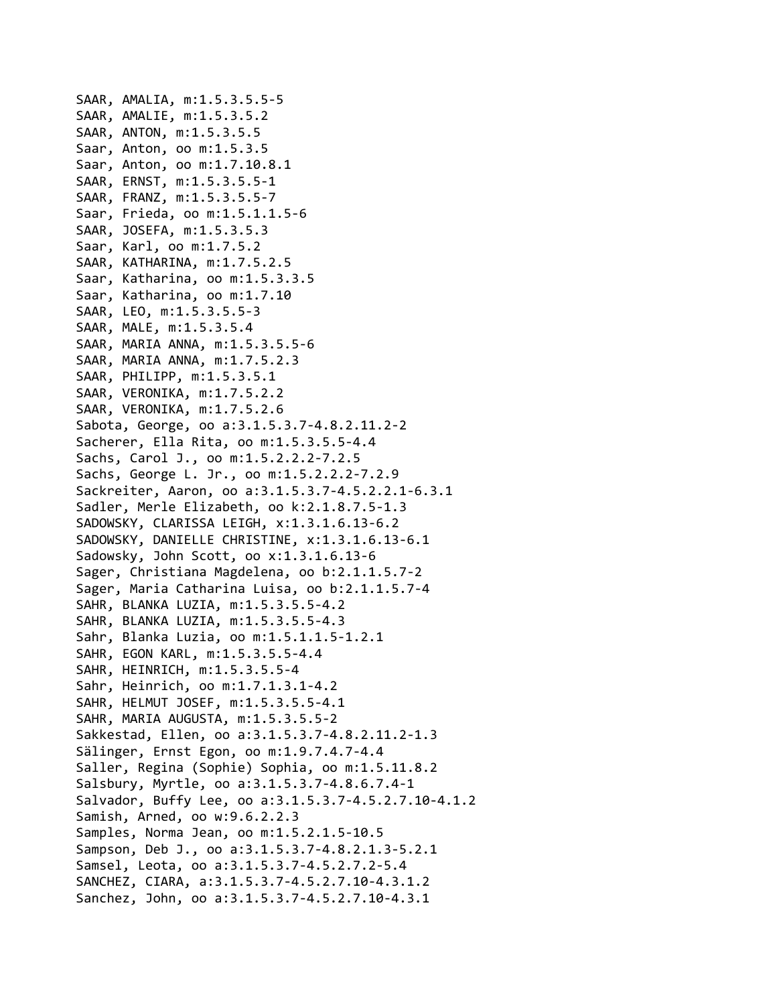SAAR, AMALIA, m:1.5.3.5.5‐5 SAAR, AMALIE, m:1.5.3.5.2 SAAR, ANTON, m:1.5.3.5.5 Saar, Anton, oo m:1.5.3.5 Saar, Anton, oo m:1.7.10.8.1 SAAR, ERNST, m:1.5.3.5.5‐1 SAAR, FRANZ, m:1.5.3.5.5‐7 Saar, Frieda, oo m:1.5.1.1.5‐6 SAAR, JOSEFA, m:1.5.3.5.3 Saar, Karl, oo m:1.7.5.2 SAAR, KATHARINA, m:1.7.5.2.5 Saar, Katharina, oo m:1.5.3.3.5 Saar, Katharina, oo m:1.7.10 SAAR, LEO, m:1.5.3.5.5‐3 SAAR, MALE, m:1.5.3.5.4 SAAR, MARIA ANNA, m:1.5.3.5.5‐6 SAAR, MARIA ANNA, m:1.7.5.2.3 SAAR, PHILIPP, m:1.5.3.5.1 SAAR, VERONIKA, m:1.7.5.2.2 SAAR, VERONIKA, m:1.7.5.2.6 Sabota, George, oo a:3.1.5.3.7‐4.8.2.11.2‐2 Sacherer, Ella Rita, oo m:1.5.3.5.5‐4.4 Sachs, Carol J., oo m:1.5.2.2.2‐7.2.5 Sachs, George L. Jr., oo m:1.5.2.2.2‐7.2.9 Sackreiter, Aaron, oo a:3.1.5.3.7‐4.5.2.2.1‐6.3.1 Sadler, Merle Elizabeth, oo k:2.1.8.7.5‐1.3 SADOWSKY, CLARISSA LEIGH, x:1.3.1.6.13‐6.2 SADOWSKY, DANIELLE CHRISTINE, x:1.3.1.6.13‐6.1 Sadowsky, John Scott, oo x:1.3.1.6.13‐6 Sager, Christiana Magdelena, oo b:2.1.1.5.7‐2 Sager, Maria Catharina Luisa, oo b:2.1.1.5.7‐4 SAHR, BLANKA LUZIA, m:1.5.3.5.5‐4.2 SAHR, BLANKA LUZIA, m:1.5.3.5.5‐4.3 Sahr, Blanka Luzia, oo m:1.5.1.1.5‐1.2.1 SAHR, EGON KARL, m:1.5.3.5.5‐4.4 SAHR, HEINRICH, m:1.5.3.5.5‐4 Sahr, Heinrich, oo m:1.7.1.3.1‐4.2 SAHR, HELMUT JOSEF, m:1.5.3.5.5‐4.1 SAHR, MARIA AUGUSTA, m:1.5.3.5.5‐2 Sakkestad, Ellen, oo a:3.1.5.3.7‐4.8.2.11.2‐1.3 Sälinger, Ernst Egon, oo m:1.9.7.4.7‐4.4 Saller, Regina (Sophie) Sophia, oo m:1.5.11.8.2 Salsbury, Myrtle, oo a:3.1.5.3.7‐4.8.6.7.4‐1 Salvador, Buffy Lee, oo a:3.1.5.3.7‐4.5.2.7.10‐4.1.2 Samish, Arned, oo w:9.6.2.2.3 Samples, Norma Jean, oo m:1.5.2.1.5‐10.5 Sampson, Deb J., oo a:3.1.5.3.7‐4.8.2.1.3‐5.2.1 Samsel, Leota, oo a:3.1.5.3.7‐4.5.2.7.2‐5.4 SANCHEZ, CIARA, a:3.1.5.3.7‐4.5.2.7.10‐4.3.1.2 Sanchez, John, oo a:3.1.5.3.7‐4.5.2.7.10‐4.3.1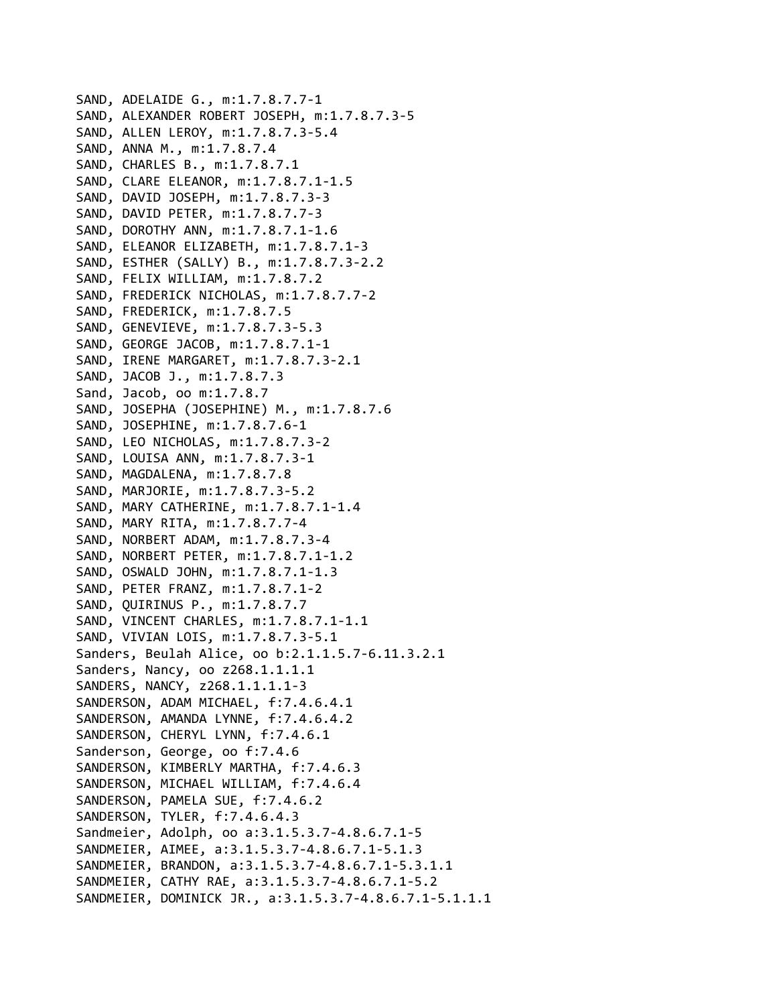SAND, ADELAIDE G., m:1.7.8.7.7‐1 SAND, ALEXANDER ROBERT JOSEPH, m:1.7.8.7.3‐5 SAND, ALLEN LEROY, m:1.7.8.7.3‐5.4 SAND, ANNA M., m:1.7.8.7.4 SAND, CHARLES B., m:1.7.8.7.1 SAND, CLARE ELEANOR, m:1.7.8.7.1‐1.5 SAND, DAVID JOSEPH, m:1.7.8.7.3‐3 SAND, DAVID PETER, m:1.7.8.7.7‐3 SAND, DOROTHY ANN, m:1.7.8.7.1‐1.6 SAND, ELEANOR ELIZABETH, m:1.7.8.7.1‐3 SAND, ESTHER (SALLY) B., m:1.7.8.7.3‐2.2 SAND, FELIX WILLIAM, m:1.7.8.7.2 SAND, FREDERICK NICHOLAS, m:1.7.8.7.7‐2 SAND, FREDERICK, m:1.7.8.7.5 SAND, GENEVIEVE, m:1.7.8.7.3‐5.3 SAND, GEORGE JACOB, m:1.7.8.7.1‐1 SAND, IRENE MARGARET, m:1.7.8.7.3‐2.1 SAND, JACOB J., m:1.7.8.7.3 Sand, Jacob, oo m:1.7.8.7 SAND, JOSEPHA (JOSEPHINE) M., m:1.7.8.7.6 SAND, JOSEPHINE, m:1.7.8.7.6‐1 SAND, LEO NICHOLAS, m:1.7.8.7.3‐2 SAND, LOUISA ANN, m:1.7.8.7.3‐1 SAND, MAGDALENA, m:1.7.8.7.8 SAND, MARJORIE, m:1.7.8.7.3‐5.2 SAND, MARY CATHERINE, m:1.7.8.7.1‐1.4 SAND, MARY RITA, m:1.7.8.7.7‐4 SAND, NORBERT ADAM, m:1.7.8.7.3‐4 SAND, NORBERT PETER, m:1.7.8.7.1‐1.2 SAND, OSWALD JOHN, m:1.7.8.7.1‐1.3 SAND, PETER FRANZ, m:1.7.8.7.1‐2 SAND, QUIRINUS P., m:1.7.8.7.7 SAND, VINCENT CHARLES, m:1.7.8.7.1‐1.1 SAND, VIVIAN LOIS, m:1.7.8.7.3‐5.1 Sanders, Beulah Alice, oo b:2.1.1.5.7‐6.11.3.2.1 Sanders, Nancy, oo z268.1.1.1.1 SANDERS, NANCY, z268.1.1.1.1‐3 SANDERSON, ADAM MICHAEL, f:7.4.6.4.1 SANDERSON, AMANDA LYNNE, f:7.4.6.4.2 SANDERSON, CHERYL LYNN, f:7.4.6.1 Sanderson, George, oo f:7.4.6 SANDERSON, KIMBERLY MARTHA, f:7.4.6.3 SANDERSON, MICHAEL WILLIAM, f:7.4.6.4 SANDERSON, PAMELA SUE, f:7.4.6.2 SANDERSON, TYLER, f:7.4.6.4.3 Sandmeier, Adolph, oo a:3.1.5.3.7‐4.8.6.7.1‐5 SANDMEIER, AIMEE, a:3.1.5.3.7‐4.8.6.7.1‐5.1.3 SANDMEIER, BRANDON, a:3.1.5.3.7‐4.8.6.7.1‐5.3.1.1 SANDMEIER, CATHY RAE, a:3.1.5.3.7‐4.8.6.7.1‐5.2 SANDMEIER, DOMINICK JR., a:3.1.5.3.7‐4.8.6.7.1‐5.1.1.1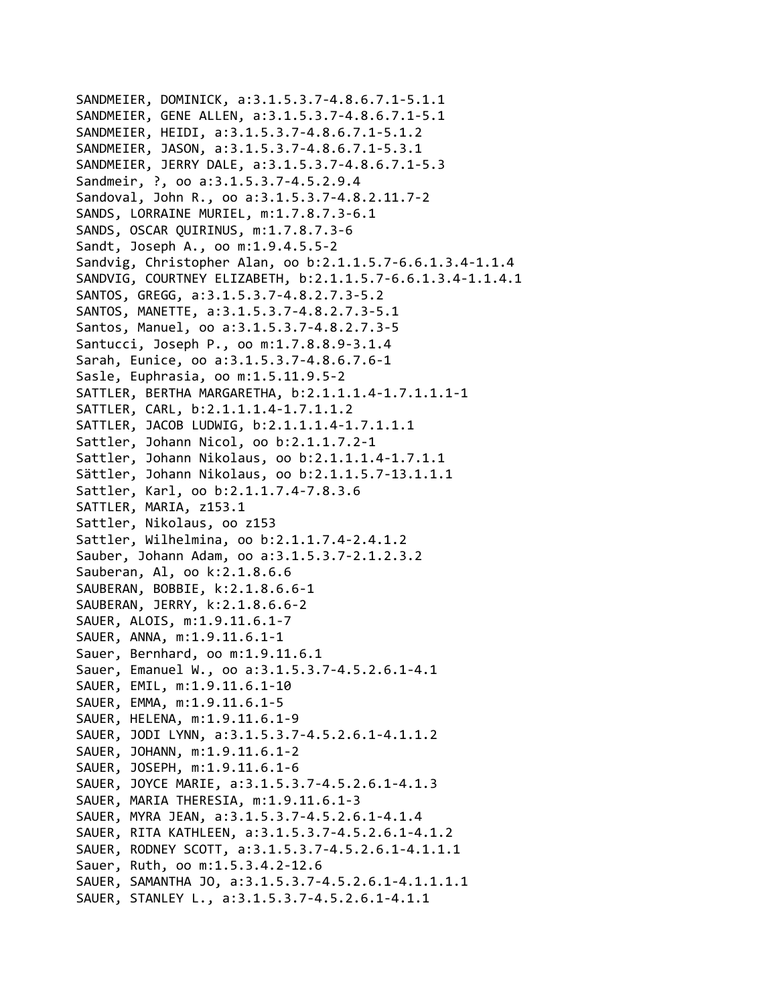```
SANDMEIER, DOMINICK, a:3.1.5.3.7‐4.8.6.7.1‐5.1.1
SANDMEIER, GENE ALLEN, a:3.1.5.3.7‐4.8.6.7.1‐5.1
SANDMEIER, HEIDI, a:3.1.5.3.7‐4.8.6.7.1‐5.1.2
SANDMEIER, JASON, a:3.1.5.3.7‐4.8.6.7.1‐5.3.1
SANDMEIER, JERRY DALE, a:3.1.5.3.7‐4.8.6.7.1‐5.3
Sandmeir, ?, oo a:3.1.5.3.7‐4.5.2.9.4
Sandoval, John R., oo a:3.1.5.3.7‐4.8.2.11.7‐2
SANDS, LORRAINE MURIEL, m:1.7.8.7.3‐6.1
SANDS, OSCAR QUIRINUS, m:1.7.8.7.3‐6
Sandt, Joseph A., oo m:1.9.4.5.5‐2
Sandvig, Christopher Alan, oo b:2.1.1.5.7‐6.6.1.3.4‐1.1.4
SANDVIG, COURTNEY ELIZABETH, b:2.1.1.5.7‐6.6.1.3.4‐1.1.4.1
SANTOS, GREGG, a:3.1.5.3.7‐4.8.2.7.3‐5.2
SANTOS, MANETTE, a:3.1.5.3.7‐4.8.2.7.3‐5.1
Santos, Manuel, oo a:3.1.5.3.7‐4.8.2.7.3‐5
Santucci, Joseph P., oo m:1.7.8.8.9‐3.1.4
Sarah, Eunice, oo a:3.1.5.3.7‐4.8.6.7.6‐1
Sasle, Euphrasia, oo m:1.5.11.9.5‐2
SATTLER, BERTHA MARGARETHA, b:2.1.1.1.4‐1.7.1.1.1‐1
SATTLER, CARL, b:2.1.1.1.4‐1.7.1.1.2
SATTLER, JACOB LUDWIG, b:2.1.1.1.4‐1.7.1.1.1
Sattler, Johann Nicol, oo b:2.1.1.7.2‐1
Sattler, Johann Nikolaus, oo b:2.1.1.1.4‐1.7.1.1
Sättler, Johann Nikolaus, oo b:2.1.1.5.7‐13.1.1.1
Sattler, Karl, oo b:2.1.1.7.4‐7.8.3.6
SATTLER, MARIA, z153.1
Sattler, Nikolaus, oo z153
Sattler, Wilhelmina, oo b:2.1.1.7.4‐2.4.1.2
Sauber, Johann Adam, oo a:3.1.5.3.7‐2.1.2.3.2
Sauberan, Al, oo k:2.1.8.6.6
SAUBERAN, BOBBIE, k:2.1.8.6.6‐1
SAUBERAN, JERRY, k:2.1.8.6.6‐2
SAUER, ALOIS, m:1.9.11.6.1‐7
SAUER, ANNA, m:1.9.11.6.1‐1
Sauer, Bernhard, oo m:1.9.11.6.1
Sauer, Emanuel W., oo a:3.1.5.3.7‐4.5.2.6.1‐4.1
SAUER, EMIL, m:1.9.11.6.1‐10
SAUER, EMMA, m:1.9.11.6.1‐5
SAUER, HELENA, m:1.9.11.6.1‐9
SAUER, JODI LYNN, a:3.1.5.3.7‐4.5.2.6.1‐4.1.1.2
SAUER, JOHANN, m:1.9.11.6.1‐2
SAUER, JOSEPH, m:1.9.11.6.1‐6
SAUER, JOYCE MARIE, a:3.1.5.3.7‐4.5.2.6.1‐4.1.3
SAUER, MARIA THERESIA, m:1.9.11.6.1‐3
SAUER, MYRA JEAN, a:3.1.5.3.7‐4.5.2.6.1‐4.1.4
SAUER, RITA KATHLEEN, a:3.1.5.3.7‐4.5.2.6.1‐4.1.2
SAUER, RODNEY SCOTT, a:3.1.5.3.7‐4.5.2.6.1‐4.1.1.1
Sauer, Ruth, oo m:1.5.3.4.2‐12.6
SAUER, SAMANTHA JO, a:3.1.5.3.7‐4.5.2.6.1‐4.1.1.1.1
SAUER, STANLEY L., a:3.1.5.3.7‐4.5.2.6.1‐4.1.1
```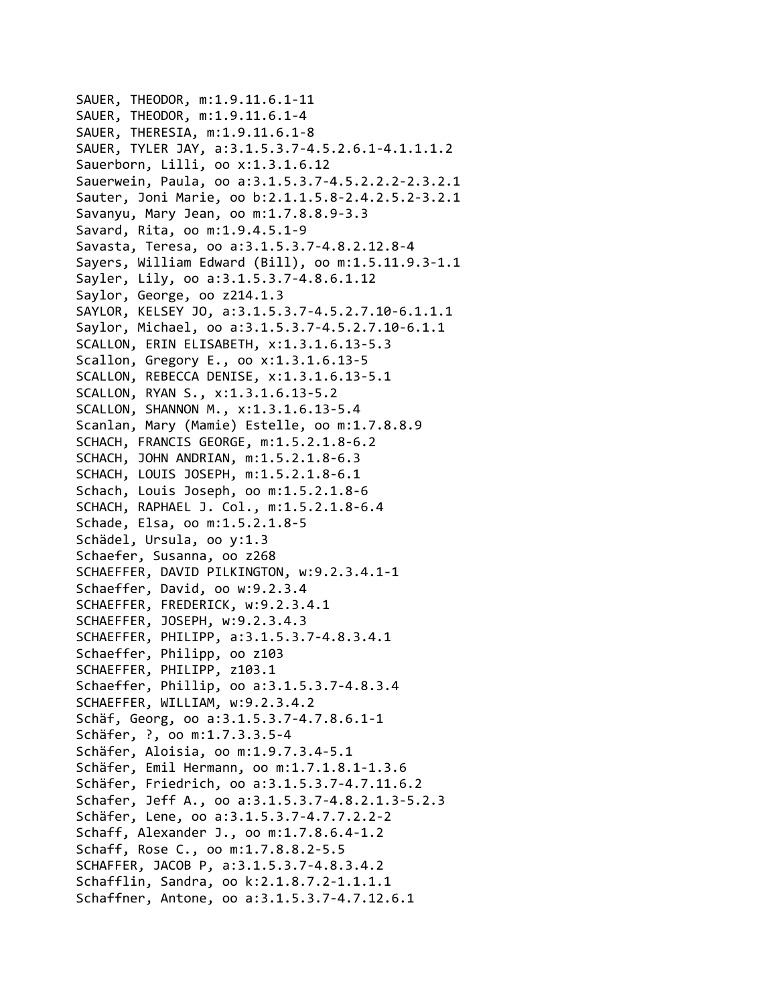```
SAUER, THEODOR, m:1.9.11.6.1‐11
SAUER, THEODOR, m:1.9.11.6.1‐4
SAUER, THERESIA, m:1.9.11.6.1‐8
SAUER, TYLER JAY, a:3.1.5.3.7‐4.5.2.6.1‐4.1.1.1.2
Sauerborn, Lilli, oo x:1.3.1.6.12
Sauerwein, Paula, oo a:3.1.5.3.7‐4.5.2.2.2‐2.3.2.1
Sauter, Joni Marie, oo b:2.1.1.5.8‐2.4.2.5.2‐3.2.1
Savanyu, Mary Jean, oo m:1.7.8.8.9‐3.3
Savard, Rita, oo m:1.9.4.5.1‐9
Savasta, Teresa, oo a:3.1.5.3.7‐4.8.2.12.8‐4
Sayers, William Edward (Bill), oo m:1.5.11.9.3‐1.1
Sayler, Lily, oo a:3.1.5.3.7‐4.8.6.1.12
Saylor, George, oo z214.1.3
SAYLOR, KELSEY JO, a:3.1.5.3.7‐4.5.2.7.10‐6.1.1.1
Saylor, Michael, oo a:3.1.5.3.7‐4.5.2.7.10‐6.1.1
SCALLON, ERIN ELISABETH, x:1.3.1.6.13‐5.3
Scallon, Gregory E., oo x:1.3.1.6.13‐5
SCALLON, REBECCA DENISE, x:1.3.1.6.13‐5.1
SCALLON, RYAN S., x:1.3.1.6.13‐5.2
SCALLON, SHANNON M., x:1.3.1.6.13‐5.4
Scanlan, Mary (Mamie) Estelle, oo m:1.7.8.8.9
SCHACH, FRANCIS GEORGE, m:1.5.2.1.8‐6.2
SCHACH, JOHN ANDRIAN, m:1.5.2.1.8‐6.3
SCHACH, LOUIS JOSEPH, m:1.5.2.1.8‐6.1
Schach, Louis Joseph, oo m:1.5.2.1.8‐6
SCHACH, RAPHAEL J. Col., m:1.5.2.1.8‐6.4
Schade, Elsa, oo m:1.5.2.1.8‐5
Schädel, Ursula, oo y:1.3
Schaefer, Susanna, oo z268
SCHAEFFER, DAVID PILKINGTON, w:9.2.3.4.1‐1
Schaeffer, David, oo w:9.2.3.4
SCHAEFFER, FREDERICK, w:9.2.3.4.1
SCHAEFFER, JOSEPH, w:9.2.3.4.3
SCHAEFFER, PHILIPP, a:3.1.5.3.7‐4.8.3.4.1
Schaeffer, Philipp, oo z103
SCHAEFFER, PHILIPP, z103.1
Schaeffer, Phillip, oo a:3.1.5.3.7‐4.8.3.4
SCHAEFFER, WILLIAM, w:9.2.3.4.2
Schäf, Georg, oo a:3.1.5.3.7‐4.7.8.6.1‐1
Schäfer, ?, oo m:1.7.3.3.5‐4
Schäfer, Aloisia, oo m:1.9.7.3.4‐5.1
Schäfer, Emil Hermann, oo m:1.7.1.8.1‐1.3.6
Schäfer, Friedrich, oo a:3.1.5.3.7‐4.7.11.6.2
Schafer, Jeff A., oo a:3.1.5.3.7‐4.8.2.1.3‐5.2.3
Schäfer, Lene, oo a:3.1.5.3.7‐4.7.7.2.2‐2
Schaff, Alexander J., oo m:1.7.8.6.4‐1.2
Schaff, Rose C., oo m:1.7.8.8.2‐5.5
SCHAFFER, JACOB P, a:3.1.5.3.7‐4.8.3.4.2
Schafflin, Sandra, oo k:2.1.8.7.2‐1.1.1.1
Schaffner, Antone, oo a:3.1.5.3.7‐4.7.12.6.1
```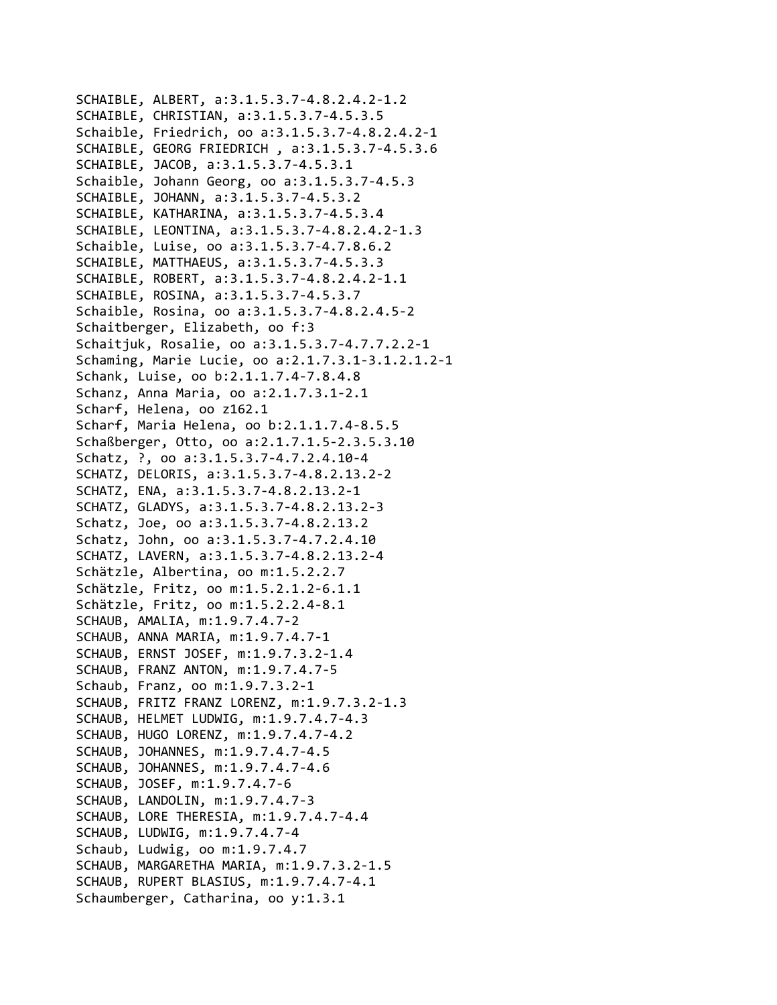SCHAIBLE, ALBERT, a:3.1.5.3.7‐4.8.2.4.2‐1.2 SCHAIBLE, CHRISTIAN, a:3.1.5.3.7‐4.5.3.5 Schaible, Friedrich, oo a:3.1.5.3.7‐4.8.2.4.2‐1 SCHAIBLE, GEORG FRIEDRICH , a:3.1.5.3.7‐4.5.3.6 SCHAIBLE, JACOB, a:3.1.5.3.7‐4.5.3.1 Schaible, Johann Georg, oo a:3.1.5.3.7‐4.5.3 SCHAIBLE, JOHANN, a:3.1.5.3.7‐4.5.3.2 SCHAIBLE, KATHARINA, a:3.1.5.3.7‐4.5.3.4 SCHAIBLE, LEONTINA, a:3.1.5.3.7‐4.8.2.4.2‐1.3 Schaible, Luise, oo a:3.1.5.3.7‐4.7.8.6.2 SCHAIBLE, MATTHAEUS, a:3.1.5.3.7‐4.5.3.3 SCHAIBLE, ROBERT, a:3.1.5.3.7‐4.8.2.4.2‐1.1 SCHAIBLE, ROSINA, a:3.1.5.3.7‐4.5.3.7 Schaible, Rosina, oo a:3.1.5.3.7‐4.8.2.4.5‐2 Schaitberger, Elizabeth, oo f:3 Schaitjuk, Rosalie, oo a:3.1.5.3.7‐4.7.7.2.2‐1 Schaming, Marie Lucie, oo a:2.1.7.3.1‐3.1.2.1.2‐1 Schank, Luise, oo b:2.1.1.7.4‐7.8.4.8 Schanz, Anna Maria, oo a:2.1.7.3.1‐2.1 Scharf, Helena, oo z162.1 Scharf, Maria Helena, oo b:2.1.1.7.4‐8.5.5 Schaßberger, Otto, oo a:2.1.7.1.5‐2.3.5.3.10 Schatz, ?, oo a:3.1.5.3.7‐4.7.2.4.10‐4 SCHATZ, DELORIS, a:3.1.5.3.7‐4.8.2.13.2‐2 SCHATZ, ENA, a:3.1.5.3.7‐4.8.2.13.2‐1 SCHATZ, GLADYS, a:3.1.5.3.7‐4.8.2.13.2‐3 Schatz, Joe, oo a:3.1.5.3.7‐4.8.2.13.2 Schatz, John, oo a:3.1.5.3.7‐4.7.2.4.10 SCHATZ, LAVERN, a:3.1.5.3.7‐4.8.2.13.2‐4 Schätzle, Albertina, oo m:1.5.2.2.7 Schätzle, Fritz, oo m:1.5.2.1.2‐6.1.1 Schätzle, Fritz, oo m:1.5.2.2.4‐8.1 SCHAUB, AMALIA, m:1.9.7.4.7‐2 SCHAUB, ANNA MARIA, m:1.9.7.4.7‐1 SCHAUB, ERNST JOSEF, m:1.9.7.3.2‐1.4 SCHAUB, FRANZ ANTON, m:1.9.7.4.7‐5 Schaub, Franz, oo m:1.9.7.3.2‐1 SCHAUB, FRITZ FRANZ LORENZ, m:1.9.7.3.2‐1.3 SCHAUB, HELMET LUDWIG, m:1.9.7.4.7‐4.3 SCHAUB, HUGO LORENZ, m:1.9.7.4.7‐4.2 SCHAUB, JOHANNES, m:1.9.7.4.7‐4.5 SCHAUB, JOHANNES, m:1.9.7.4.7‐4.6 SCHAUB, JOSEF, m:1.9.7.4.7‐6 SCHAUB, LANDOLIN, m:1.9.7.4.7‐3 SCHAUB, LORE THERESIA, m:1.9.7.4.7‐4.4 SCHAUB, LUDWIG, m:1.9.7.4.7‐4 Schaub, Ludwig, oo m:1.9.7.4.7 SCHAUB, MARGARETHA MARIA, m:1.9.7.3.2‐1.5 SCHAUB, RUPERT BLASIUS, m:1.9.7.4.7‐4.1 Schaumberger, Catharina, oo y:1.3.1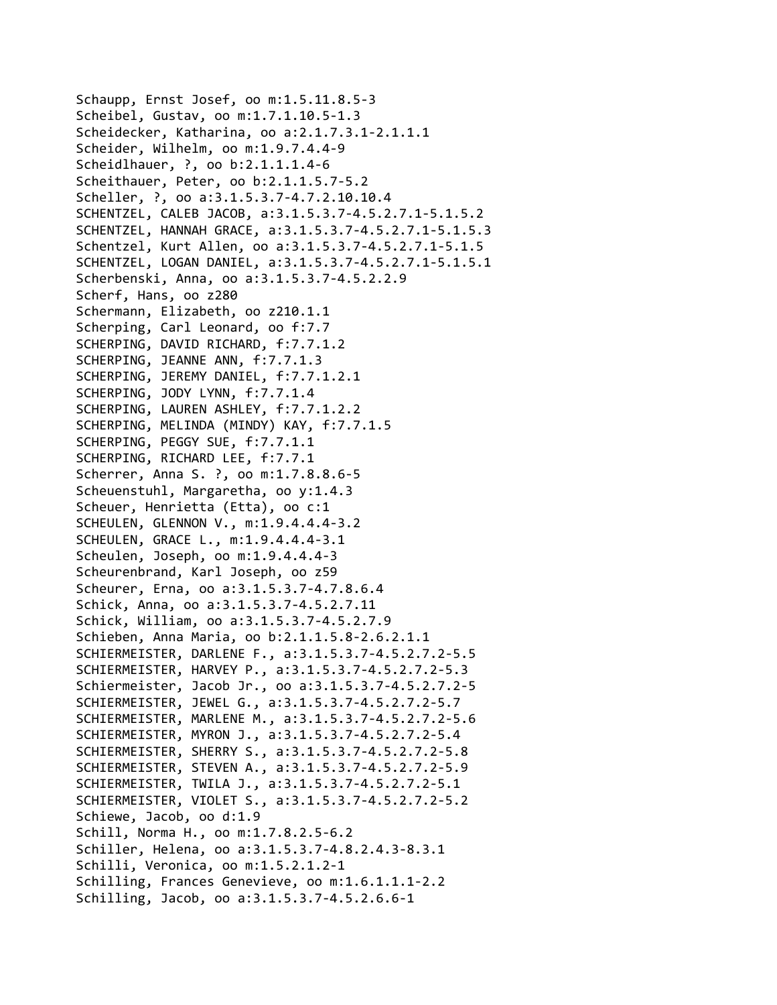Schaupp, Ernst Josef, oo m:1.5.11.8.5‐3 Scheibel, Gustav, oo m:1.7.1.10.5‐1.3 Scheidecker, Katharina, oo a:2.1.7.3.1‐2.1.1.1 Scheider, Wilhelm, oo m:1.9.7.4.4‐9 Scheidlhauer, ?, oo b:2.1.1.1.4‐6 Scheithauer, Peter, oo b:2.1.1.5.7‐5.2 Scheller, ?, oo a:3.1.5.3.7‐4.7.2.10.10.4 SCHENTZEL, CALEB JACOB, a:3.1.5.3.7‐4.5.2.7.1‐5.1.5.2 SCHENTZEL, HANNAH GRACE, a:3.1.5.3.7‐4.5.2.7.1‐5.1.5.3 Schentzel, Kurt Allen, oo a:3.1.5.3.7‐4.5.2.7.1‐5.1.5 SCHENTZEL, LOGAN DANIEL, a:3.1.5.3.7‐4.5.2.7.1‐5.1.5.1 Scherbenski, Anna, oo a:3.1.5.3.7‐4.5.2.2.9 Scherf, Hans, oo z280 Schermann, Elizabeth, oo z210.1.1 Scherping, Carl Leonard, oo f:7.7 SCHERPING, DAVID RICHARD, f:7.7.1.2 SCHERPING, JEANNE ANN, f:7.7.1.3 SCHERPING, JEREMY DANIEL, f:7.7.1.2.1 SCHERPING, JODY LYNN, f:7.7.1.4 SCHERPING, LAUREN ASHLEY, f:7.7.1.2.2 SCHERPING, MELINDA (MINDY) KAY, f:7.7.1.5 SCHERPING, PEGGY SUE, f:7.7.1.1 SCHERPING, RICHARD LEE, f:7.7.1 Scherrer, Anna S. ?, oo m:1.7.8.8.6‐5 Scheuenstuhl, Margaretha, oo y:1.4.3 Scheuer, Henrietta (Etta), oo c:1 SCHEULEN, GLENNON V., m:1.9.4.4.4‐3.2 SCHEULEN, GRACE L., m:1.9.4.4.4‐3.1 Scheulen, Joseph, oo m:1.9.4.4.4‐3 Scheurenbrand, Karl Joseph, oo z59 Scheurer, Erna, oo a:3.1.5.3.7‐4.7.8.6.4 Schick, Anna, oo a:3.1.5.3.7‐4.5.2.7.11 Schick, William, oo a:3.1.5.3.7‐4.5.2.7.9 Schieben, Anna Maria, oo b:2.1.1.5.8‐2.6.2.1.1 SCHIERMEISTER, DARLENE F., a:3.1.5.3.7‐4.5.2.7.2‐5.5 SCHIERMEISTER, HARVEY P., a:3.1.5.3.7‐4.5.2.7.2‐5.3 Schiermeister, Jacob Jr., oo a:3.1.5.3.7‐4.5.2.7.2‐5 SCHIERMEISTER, JEWEL G., a:3.1.5.3.7‐4.5.2.7.2‐5.7 SCHIERMEISTER, MARLENE M., a:3.1.5.3.7‐4.5.2.7.2‐5.6 SCHIERMEISTER, MYRON J., a:3.1.5.3.7‐4.5.2.7.2‐5.4 SCHIERMEISTER, SHERRY S., a:3.1.5.3.7‐4.5.2.7.2‐5.8 SCHIERMEISTER, STEVEN A., a:3.1.5.3.7‐4.5.2.7.2‐5.9 SCHIERMEISTER, TWILA J., a:3.1.5.3.7‐4.5.2.7.2‐5.1 SCHIERMEISTER, VIOLET S., a:3.1.5.3.7‐4.5.2.7.2‐5.2 Schiewe, Jacob, oo d:1.9 Schill, Norma H., oo m:1.7.8.2.5‐6.2 Schiller, Helena, oo a:3.1.5.3.7‐4.8.2.4.3‐8.3.1 Schilli, Veronica, oo m:1.5.2.1.2‐1 Schilling, Frances Genevieve, oo m:1.6.1.1.1‐2.2 Schilling, Jacob, oo a:3.1.5.3.7‐4.5.2.6.6‐1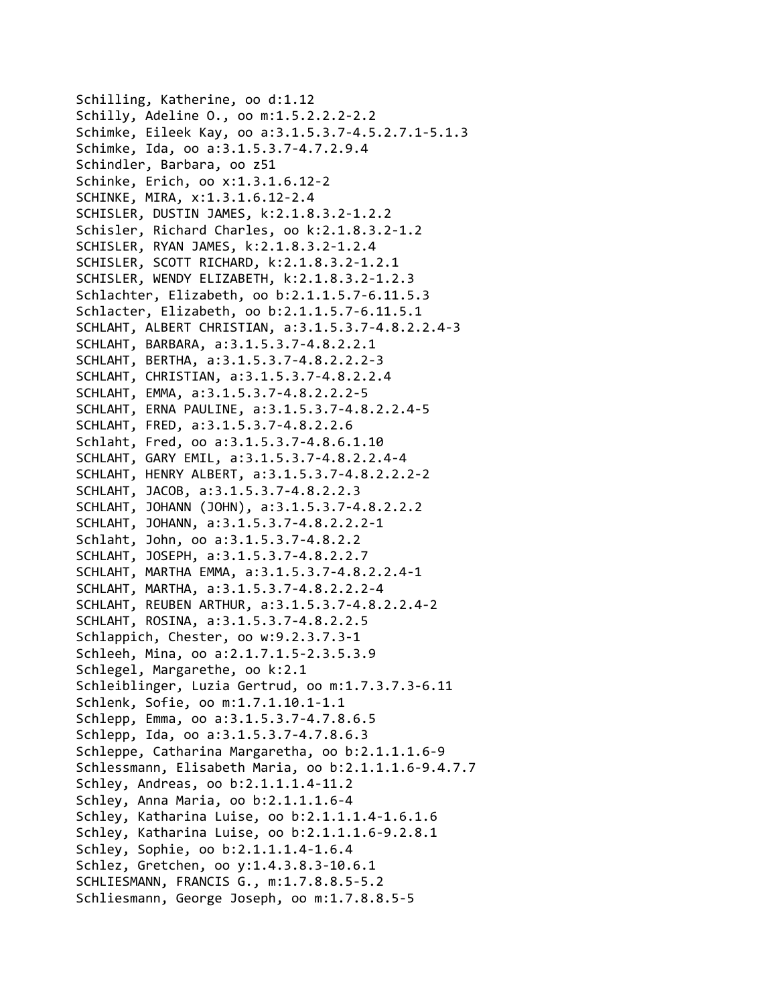Schilling, Katherine, oo d:1.12 Schilly, Adeline O., oo m:1.5.2.2.2‐2.2 Schimke, Eileek Kay, oo a:3.1.5.3.7‐4.5.2.7.1‐5.1.3 Schimke, Ida, oo a:3.1.5.3.7‐4.7.2.9.4 Schindler, Barbara, oo z51 Schinke, Erich, oo x:1.3.1.6.12‐2 SCHINKE, MIRA, x:1.3.1.6.12‐2.4 SCHISLER, DUSTIN JAMES, k:2.1.8.3.2‐1.2.2 Schisler, Richard Charles, oo k:2.1.8.3.2‐1.2 SCHISLER, RYAN JAMES, k:2.1.8.3.2‐1.2.4 SCHISLER, SCOTT RICHARD, k:2.1.8.3.2‐1.2.1 SCHISLER, WENDY ELIZABETH, k:2.1.8.3.2‐1.2.3 Schlachter, Elizabeth, oo b:2.1.1.5.7‐6.11.5.3 Schlacter, Elizabeth, oo b:2.1.1.5.7‐6.11.5.1 SCHLAHT, ALBERT CHRISTIAN, a:3.1.5.3.7‐4.8.2.2.4‐3 SCHLAHT, BARBARA, a:3.1.5.3.7‐4.8.2.2.1 SCHLAHT, BERTHA, a:3.1.5.3.7‐4.8.2.2.2‐3 SCHLAHT, CHRISTIAN, a:3.1.5.3.7‐4.8.2.2.4 SCHLAHT, EMMA, a:3.1.5.3.7‐4.8.2.2.2‐5 SCHLAHT, ERNA PAULINE, a:3.1.5.3.7‐4.8.2.2.4‐5 SCHLAHT, FRED, a:3.1.5.3.7‐4.8.2.2.6 Schlaht, Fred, oo a:3.1.5.3.7‐4.8.6.1.10 SCHLAHT, GARY EMIL, a:3.1.5.3.7‐4.8.2.2.4‐4 SCHLAHT, HENRY ALBERT, a:3.1.5.3.7‐4.8.2.2.2‐2 SCHLAHT, JACOB, a:3.1.5.3.7‐4.8.2.2.3 SCHLAHT, JOHANN (JOHN), a:3.1.5.3.7‐4.8.2.2.2 SCHLAHT, JOHANN, a:3.1.5.3.7‐4.8.2.2.2‐1 Schlaht, John, oo a:3.1.5.3.7‐4.8.2.2 SCHLAHT, JOSEPH, a:3.1.5.3.7‐4.8.2.2.7 SCHLAHT, MARTHA EMMA, a:3.1.5.3.7‐4.8.2.2.4‐1 SCHLAHT, MARTHA, a:3.1.5.3.7‐4.8.2.2.2‐4 SCHLAHT, REUBEN ARTHUR, a:3.1.5.3.7‐4.8.2.2.4‐2 SCHLAHT, ROSINA, a:3.1.5.3.7‐4.8.2.2.5 Schlappich, Chester, oo w:9.2.3.7.3‐1 Schleeh, Mina, oo a:2.1.7.1.5‐2.3.5.3.9 Schlegel, Margarethe, oo k:2.1 Schleiblinger, Luzia Gertrud, oo m:1.7.3.7.3‐6.11 Schlenk, Sofie, oo m:1.7.1.10.1‐1.1 Schlepp, Emma, oo a:3.1.5.3.7‐4.7.8.6.5 Schlepp, Ida, oo a:3.1.5.3.7‐4.7.8.6.3 Schleppe, Catharina Margaretha, oo b:2.1.1.1.6‐9 Schlessmann, Elisabeth Maria, oo b:2.1.1.1.6‐9.4.7.7 Schley, Andreas, oo b:2.1.1.1.4‐11.2 Schley, Anna Maria, oo b:2.1.1.1.6‐4 Schley, Katharina Luise, oo b:2.1.1.1.4‐1.6.1.6 Schley, Katharina Luise, oo b:2.1.1.1.6‐9.2.8.1 Schley, Sophie, oo b:2.1.1.1.4‐1.6.4 Schlez, Gretchen, oo y:1.4.3.8.3‐10.6.1 SCHLIESMANN, FRANCIS G., m:1.7.8.8.5‐5.2 Schliesmann, George Joseph, oo m:1.7.8.8.5‐5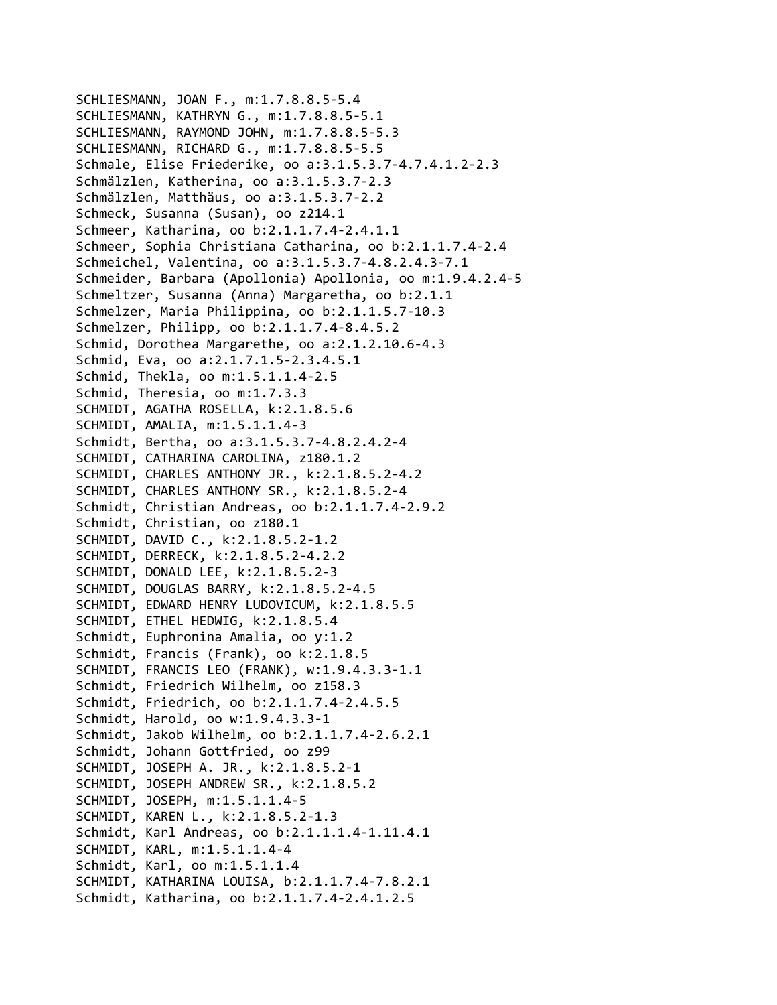SCHLIESMANN, JOAN F., m:1.7.8.8.5‐5.4 SCHLIESMANN, KATHRYN G., m:1.7.8.8.5‐5.1 SCHLIESMANN, RAYMOND JOHN, m:1.7.8.8.5‐5.3 SCHLIESMANN, RICHARD G., m:1.7.8.8.5‐5.5 Schmale, Elise Friederike, oo a:3.1.5.3.7‐4.7.4.1.2‐2.3 Schmälzlen, Katherina, oo a:3.1.5.3.7‐2.3 Schmälzlen, Matthäus, oo a:3.1.5.3.7‐2.2 Schmeck, Susanna (Susan), oo z214.1 Schmeer, Katharina, oo b:2.1.1.7.4‐2.4.1.1 Schmeer, Sophia Christiana Catharina, oo b:2.1.1.7.4‐2.4 Schmeichel, Valentina, oo a:3.1.5.3.7‐4.8.2.4.3‐7.1 Schmeider, Barbara (Apollonia) Apollonia, oo m:1.9.4.2.4‐5 Schmeltzer, Susanna (Anna) Margaretha, oo b:2.1.1 Schmelzer, Maria Philippina, oo b:2.1.1.5.7‐10.3 Schmelzer, Philipp, oo b:2.1.1.7.4‐8.4.5.2 Schmid, Dorothea Margarethe, oo a:2.1.2.10.6‐4.3 Schmid, Eva, oo a:2.1.7.1.5‐2.3.4.5.1 Schmid, Thekla, oo m:1.5.1.1.4‐2.5 Schmid, Theresia, oo m:1.7.3.3 SCHMIDT, AGATHA ROSELLA, k:2.1.8.5.6 SCHMIDT, AMALIA, m:1.5.1.1.4‐3 Schmidt, Bertha, oo a:3.1.5.3.7‐4.8.2.4.2‐4 SCHMIDT, CATHARINA CAROLINA, z180.1.2 SCHMIDT, CHARLES ANTHONY JR., k:2.1.8.5.2‐4.2 SCHMIDT, CHARLES ANTHONY SR., k:2.1.8.5.2‐4 Schmidt, Christian Andreas, oo b:2.1.1.7.4‐2.9.2 Schmidt, Christian, oo z180.1 SCHMIDT, DAVID C., k:2.1.8.5.2‐1.2 SCHMIDT, DERRECK, k:2.1.8.5.2‐4.2.2 SCHMIDT, DONALD LEE, k:2.1.8.5.2‐3 SCHMIDT, DOUGLAS BARRY, k:2.1.8.5.2‐4.5 SCHMIDT, EDWARD HENRY LUDOVICUM, k:2.1.8.5.5 SCHMIDT, ETHEL HEDWIG, k:2.1.8.5.4 Schmidt, Euphronina Amalia, oo y:1.2 Schmidt, Francis (Frank), oo k:2.1.8.5 SCHMIDT, FRANCIS LEO (FRANK), w:1.9.4.3.3‐1.1 Schmidt, Friedrich Wilhelm, oo z158.3 Schmidt, Friedrich, oo b:2.1.1.7.4‐2.4.5.5 Schmidt, Harold, oo w:1.9.4.3.3‐1 Schmidt, Jakob Wilhelm, oo b:2.1.1.7.4‐2.6.2.1 Schmidt, Johann Gottfried, oo z99 SCHMIDT, JOSEPH A. JR., k:2.1.8.5.2‐1 SCHMIDT, JOSEPH ANDREW SR., k:2.1.8.5.2 SCHMIDT, JOSEPH, m:1.5.1.1.4‐5 SCHMIDT, KAREN L., k:2.1.8.5.2‐1.3 Schmidt, Karl Andreas, oo b:2.1.1.1.4‐1.11.4.1 SCHMIDT, KARL, m:1.5.1.1.4‐4 Schmidt, Karl, oo m:1.5.1.1.4 SCHMIDT, KATHARINA LOUISA, b:2.1.1.7.4‐7.8.2.1 Schmidt, Katharina, oo b:2.1.1.7.4‐2.4.1.2.5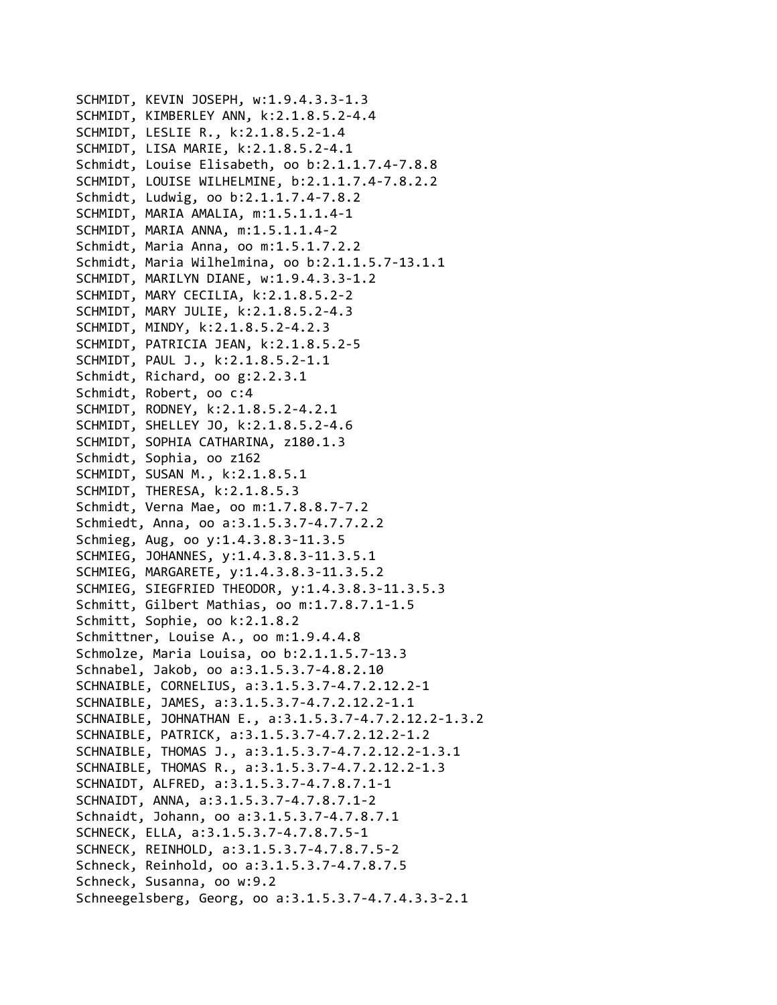```
SCHMIDT, KEVIN JOSEPH, w:1.9.4.3.3‐1.3
SCHMIDT, KIMBERLEY ANN, k:2.1.8.5.2‐4.4
SCHMIDT, LESLIE R., k:2.1.8.5.2‐1.4
SCHMIDT, LISA MARIE, k:2.1.8.5.2‐4.1
Schmidt, Louise Elisabeth, oo b:2.1.1.7.4‐7.8.8
SCHMIDT, LOUISE WILHELMINE, b:2.1.1.7.4‐7.8.2.2
Schmidt, Ludwig, oo b:2.1.1.7.4‐7.8.2
SCHMIDT, MARIA AMALIA, m:1.5.1.1.4‐1
SCHMIDT, MARIA ANNA, m:1.5.1.1.4‐2
Schmidt, Maria Anna, oo m:1.5.1.7.2.2
Schmidt, Maria Wilhelmina, oo b:2.1.1.5.7‐13.1.1
SCHMIDT, MARILYN DIANE, w:1.9.4.3.3‐1.2
SCHMIDT, MARY CECILIA, k:2.1.8.5.2‐2
SCHMIDT, MARY JULIE, k:2.1.8.5.2‐4.3
SCHMIDT, MINDY, k:2.1.8.5.2‐4.2.3
SCHMIDT, PATRICIA JEAN, k:2.1.8.5.2‐5
SCHMIDT, PAUL J., k:2.1.8.5.2‐1.1
Schmidt, Richard, oo g:2.2.3.1
Schmidt, Robert, oo c:4
SCHMIDT, RODNEY, k:2.1.8.5.2‐4.2.1
SCHMIDT, SHELLEY JO, k:2.1.8.5.2‐4.6
SCHMIDT, SOPHIA CATHARINA, z180.1.3
Schmidt, Sophia, oo z162
SCHMIDT, SUSAN M., k:2.1.8.5.1
SCHMIDT, THERESA, k:2.1.8.5.3
Schmidt, Verna Mae, oo m:1.7.8.8.7‐7.2
Schmiedt, Anna, oo a:3.1.5.3.7‐4.7.7.2.2
Schmieg, Aug, oo y:1.4.3.8.3‐11.3.5
SCHMIEG, JOHANNES, y:1.4.3.8.3‐11.3.5.1
SCHMIEG, MARGARETE, y:1.4.3.8.3‐11.3.5.2
SCHMIEG, SIEGFRIED THEODOR, y:1.4.3.8.3‐11.3.5.3
Schmitt, Gilbert Mathias, oo m:1.7.8.7.1‐1.5
Schmitt, Sophie, oo k:2.1.8.2
Schmittner, Louise A., oo m:1.9.4.4.8
Schmolze, Maria Louisa, oo b:2.1.1.5.7‐13.3
Schnabel, Jakob, oo a:3.1.5.3.7‐4.8.2.10
SCHNAIBLE, CORNELIUS, a:3.1.5.3.7‐4.7.2.12.2‐1
SCHNAIBLE, JAMES, a:3.1.5.3.7‐4.7.2.12.2‐1.1
SCHNAIBLE, JOHNATHAN E., a:3.1.5.3.7‐4.7.2.12.2‐1.3.2
SCHNAIBLE, PATRICK, a:3.1.5.3.7‐4.7.2.12.2‐1.2
SCHNAIBLE, THOMAS J., a:3.1.5.3.7‐4.7.2.12.2‐1.3.1
SCHNAIBLE, THOMAS R., a:3.1.5.3.7‐4.7.2.12.2‐1.3
SCHNAIDT, ALFRED, a:3.1.5.3.7‐4.7.8.7.1‐1
SCHNAIDT, ANNA, a:3.1.5.3.7‐4.7.8.7.1‐2
Schnaidt, Johann, oo a:3.1.5.3.7‐4.7.8.7.1
SCHNECK, ELLA, a:3.1.5.3.7‐4.7.8.7.5‐1
SCHNECK, REINHOLD, a:3.1.5.3.7‐4.7.8.7.5‐2
Schneck, Reinhold, oo a:3.1.5.3.7‐4.7.8.7.5
Schneck, Susanna, oo w:9.2
Schneegelsberg, Georg, oo a:3.1.5.3.7‐4.7.4.3.3‐2.1
```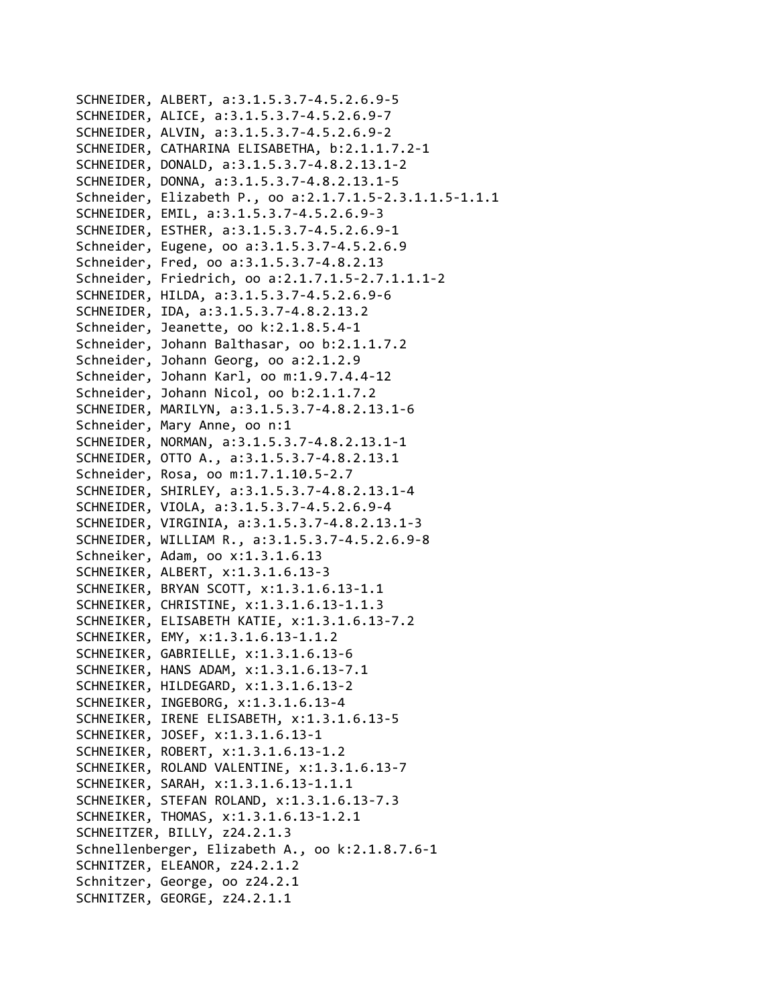SCHNEIDER, ALBERT, a:3.1.5.3.7‐4.5.2.6.9‐5 SCHNEIDER, ALICE, a:3.1.5.3.7‐4.5.2.6.9‐7 SCHNEIDER, ALVIN, a:3.1.5.3.7‐4.5.2.6.9‐2 SCHNEIDER, CATHARINA ELISABETHA, b:2.1.1.7.2‐1 SCHNEIDER, DONALD, a:3.1.5.3.7‐4.8.2.13.1‐2 SCHNEIDER, DONNA, a:3.1.5.3.7‐4.8.2.13.1‐5 Schneider, Elizabeth P., oo a:2.1.7.1.5‐2.3.1.1.5‐1.1.1 SCHNEIDER, EMIL, a:3.1.5.3.7‐4.5.2.6.9‐3 SCHNEIDER, ESTHER, a:3.1.5.3.7‐4.5.2.6.9‐1 Schneider, Eugene, oo a:3.1.5.3.7‐4.5.2.6.9 Schneider, Fred, oo a:3.1.5.3.7‐4.8.2.13 Schneider, Friedrich, oo a:2.1.7.1.5‐2.7.1.1.1‐2 SCHNEIDER, HILDA, a:3.1.5.3.7‐4.5.2.6.9‐6 SCHNEIDER, IDA, a:3.1.5.3.7‐4.8.2.13.2 Schneider, Jeanette, oo k:2.1.8.5.4‐1 Schneider, Johann Balthasar, oo b:2.1.1.7.2 Schneider, Johann Georg, oo a:2.1.2.9 Schneider, Johann Karl, oo m:1.9.7.4.4‐12 Schneider, Johann Nicol, oo b:2.1.1.7.2 SCHNEIDER, MARILYN, a:3.1.5.3.7‐4.8.2.13.1‐6 Schneider, Mary Anne, oo n:1 SCHNEIDER, NORMAN, a:3.1.5.3.7‐4.8.2.13.1‐1 SCHNEIDER, OTTO A., a:3.1.5.3.7‐4.8.2.13.1 Schneider, Rosa, oo m:1.7.1.10.5‐2.7 SCHNEIDER, SHIRLEY, a:3.1.5.3.7‐4.8.2.13.1‐4 SCHNEIDER, VIOLA, a:3.1.5.3.7‐4.5.2.6.9‐4 SCHNEIDER, VIRGINIA, a:3.1.5.3.7‐4.8.2.13.1‐3 SCHNEIDER, WILLIAM R., a:3.1.5.3.7‐4.5.2.6.9‐8 Schneiker, Adam, oo x:1.3.1.6.13 SCHNEIKER, ALBERT, x:1.3.1.6.13‐3 SCHNEIKER, BRYAN SCOTT, x:1.3.1.6.13‐1.1 SCHNEIKER, CHRISTINE, x:1.3.1.6.13‐1.1.3 SCHNEIKER, ELISABETH KATIE, x:1.3.1.6.13‐7.2 SCHNEIKER, EMY, x:1.3.1.6.13‐1.1.2 SCHNEIKER, GABRIELLE, x:1.3.1.6.13‐6 SCHNEIKER, HANS ADAM, x:1.3.1.6.13‐7.1 SCHNEIKER, HILDEGARD, x:1.3.1.6.13‐2 SCHNEIKER, INGEBORG, x:1.3.1.6.13‐4 SCHNEIKER, IRENE ELISABETH, x:1.3.1.6.13‐5 SCHNEIKER, JOSEF, x:1.3.1.6.13‐1 SCHNEIKER, ROBERT, x:1.3.1.6.13‐1.2 SCHNEIKER, ROLAND VALENTINE, x:1.3.1.6.13‐7 SCHNEIKER, SARAH, x:1.3.1.6.13‐1.1.1 SCHNEIKER, STEFAN ROLAND, x:1.3.1.6.13‐7.3 SCHNEIKER, THOMAS, x:1.3.1.6.13‐1.2.1 SCHNEITZER, BILLY, z24.2.1.3 Schnellenberger, Elizabeth A., oo k:2.1.8.7.6‐1 SCHNITZER, ELEANOR, z24.2.1.2 Schnitzer, George, oo z24.2.1 SCHNITZER, GEORGE, z24.2.1.1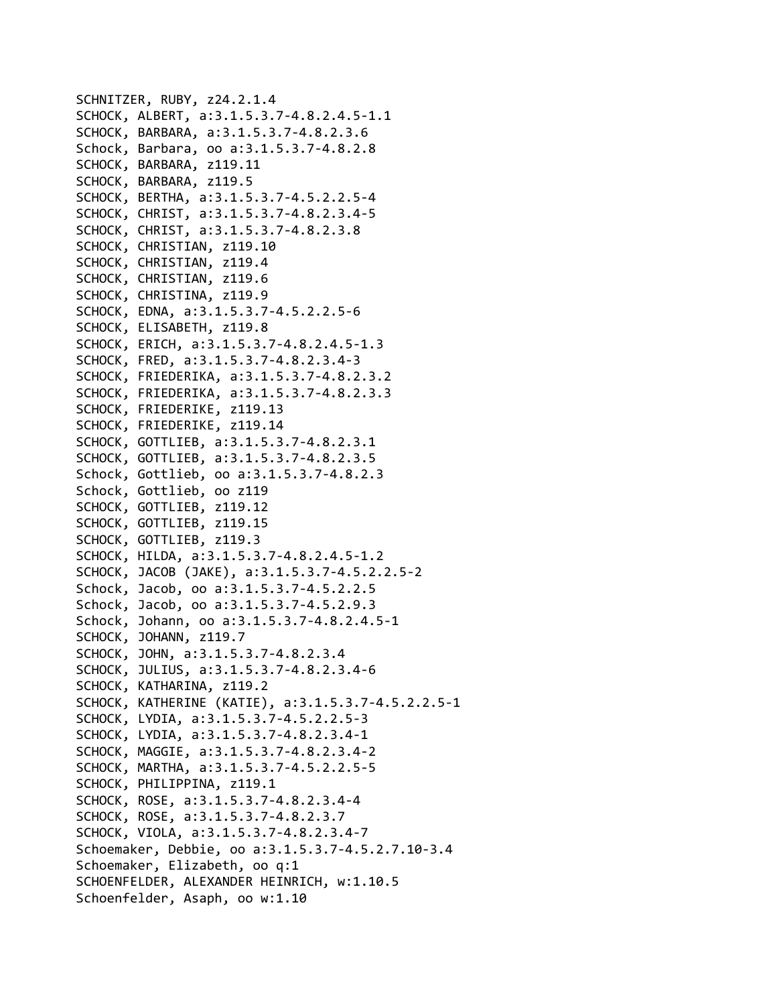```
SCHNITZER, RUBY, z24.2.1.4
SCHOCK, ALBERT, a:3.1.5.3.7‐4.8.2.4.5‐1.1
SCHOCK, BARBARA, a:3.1.5.3.7‐4.8.2.3.6
Schock, Barbara, oo a:3.1.5.3.7‐4.8.2.8
SCHOCK, BARBARA, z119.11
SCHOCK, BARBARA, z119.5
SCHOCK, BERTHA, a:3.1.5.3.7‐4.5.2.2.5‐4
SCHOCK, CHRIST, a:3.1.5.3.7‐4.8.2.3.4‐5
SCHOCK, CHRIST, a:3.1.5.3.7‐4.8.2.3.8
SCHOCK, CHRISTIAN, z119.10
SCHOCK, CHRISTIAN, z119.4
SCHOCK, CHRISTIAN, z119.6
SCHOCK, CHRISTINA, z119.9
SCHOCK, EDNA, a:3.1.5.3.7‐4.5.2.2.5‐6
SCHOCK, ELISABETH, z119.8
SCHOCK, ERICH, a:3.1.5.3.7‐4.8.2.4.5‐1.3
SCHOCK, FRED, a:3.1.5.3.7‐4.8.2.3.4‐3
SCHOCK, FRIEDERIKA, a:3.1.5.3.7‐4.8.2.3.2
SCHOCK, FRIEDERIKA, a:3.1.5.3.7‐4.8.2.3.3
SCHOCK, FRIEDERIKE, z119.13
SCHOCK, FRIEDERIKE, z119.14
SCHOCK, GOTTLIEB, a:3.1.5.3.7‐4.8.2.3.1
SCHOCK, GOTTLIEB, a:3.1.5.3.7‐4.8.2.3.5
Schock, Gottlieb, oo a:3.1.5.3.7‐4.8.2.3
Schock, Gottlieb, oo z119
SCHOCK, GOTTLIEB, z119.12
SCHOCK, GOTTLIEB, z119.15
SCHOCK, GOTTLIEB, z119.3
SCHOCK, HILDA, a:3.1.5.3.7‐4.8.2.4.5‐1.2
SCHOCK, JACOB (JAKE), a:3.1.5.3.7‐4.5.2.2.5‐2
Schock, Jacob, oo a:3.1.5.3.7‐4.5.2.2.5
Schock, Jacob, oo a:3.1.5.3.7‐4.5.2.9.3
Schock, Johann, oo a:3.1.5.3.7‐4.8.2.4.5‐1
SCHOCK, JOHANN, z119.7
SCHOCK, JOHN, a:3.1.5.3.7‐4.8.2.3.4
SCHOCK, JULIUS, a:3.1.5.3.7‐4.8.2.3.4‐6
SCHOCK, KATHARINA, z119.2
SCHOCK, KATHERINE (KATIE), a:3.1.5.3.7‐4.5.2.2.5‐1
SCHOCK, LYDIA, a:3.1.5.3.7‐4.5.2.2.5‐3
SCHOCK, LYDIA, a:3.1.5.3.7‐4.8.2.3.4‐1
SCHOCK, MAGGIE, a:3.1.5.3.7‐4.8.2.3.4‐2
SCHOCK, MARTHA, a:3.1.5.3.7‐4.5.2.2.5‐5
SCHOCK, PHILIPPINA, z119.1
SCHOCK, ROSE, a:3.1.5.3.7‐4.8.2.3.4‐4
SCHOCK, ROSE, a:3.1.5.3.7‐4.8.2.3.7
SCHOCK, VIOLA, a:3.1.5.3.7‐4.8.2.3.4‐7
Schoemaker, Debbie, oo a:3.1.5.3.7‐4.5.2.7.10‐3.4
Schoemaker, Elizabeth, oo q:1
SCHOENFELDER, ALEXANDER HEINRICH, w:1.10.5
Schoenfelder, Asaph, oo w:1.10
```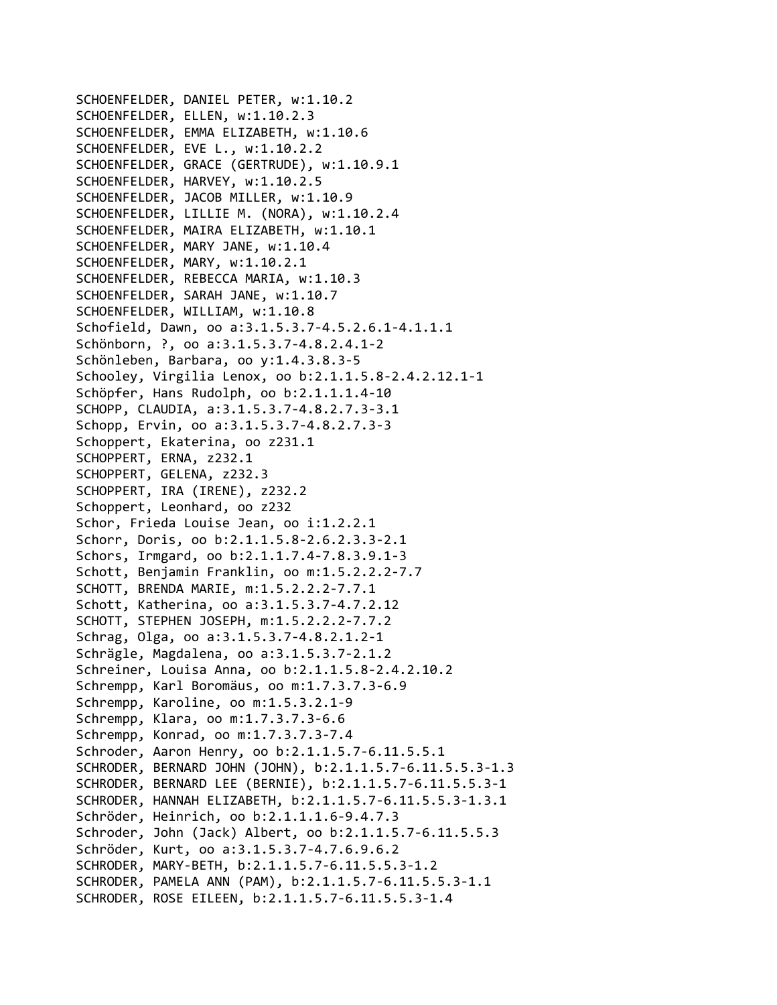SCHOENFELDER, DANIEL PETER, w:1.10.2 SCHOENFELDER, ELLEN, w:1.10.2.3 SCHOENFELDER, EMMA ELIZABETH, w:1.10.6 SCHOENFELDER, EVE L., w:1.10.2.2 SCHOENFELDER, GRACE (GERTRUDE), w:1.10.9.1 SCHOENFELDER, HARVEY, w:1.10.2.5 SCHOENFELDER, JACOB MILLER, w:1.10.9 SCHOENFELDER, LILLIE M. (NORA), w:1.10.2.4 SCHOENFELDER, MAIRA ELIZABETH, w:1.10.1 SCHOENFELDER, MARY JANE, w:1.10.4 SCHOENFELDER, MARY, w:1.10.2.1 SCHOENFELDER, REBECCA MARIA, w:1.10.3 SCHOENFELDER, SARAH JANE, w:1.10.7 SCHOENFELDER, WILLIAM, w:1.10.8 Schofield, Dawn, oo a:3.1.5.3.7‐4.5.2.6.1‐4.1.1.1 Schönborn, ?, oo a:3.1.5.3.7‐4.8.2.4.1‐2 Schönleben, Barbara, oo y:1.4.3.8.3‐5 Schooley, Virgilia Lenox, oo b:2.1.1.5.8‐2.4.2.12.1‐1 Schöpfer, Hans Rudolph, oo b:2.1.1.1.4‐10 SCHOPP, CLAUDIA, a:3.1.5.3.7‐4.8.2.7.3‐3.1 Schopp, Ervin, oo a:3.1.5.3.7‐4.8.2.7.3‐3 Schoppert, Ekaterina, oo z231.1 SCHOPPERT, ERNA, z232.1 SCHOPPERT, GELENA, z232.3 SCHOPPERT, IRA (IRENE), z232.2 Schoppert, Leonhard, oo z232 Schor, Frieda Louise Jean, oo i:1.2.2.1 Schorr, Doris, oo b:2.1.1.5.8‐2.6.2.3.3‐2.1 Schors, Irmgard, oo b:2.1.1.7.4‐7.8.3.9.1‐3 Schott, Benjamin Franklin, oo m:1.5.2.2.2‐7.7 SCHOTT, BRENDA MARIE, m:1.5.2.2.2‐7.7.1 Schott, Katherina, oo a:3.1.5.3.7‐4.7.2.12 SCHOTT, STEPHEN JOSEPH, m:1.5.2.2.2‐7.7.2 Schrag, Olga, oo a:3.1.5.3.7‐4.8.2.1.2‐1 Schrägle, Magdalena, oo a:3.1.5.3.7‐2.1.2 Schreiner, Louisa Anna, oo b:2.1.1.5.8‐2.4.2.10.2 Schrempp, Karl Boromäus, oo m:1.7.3.7.3‐6.9 Schrempp, Karoline, oo m:1.5.3.2.1‐9 Schrempp, Klara, oo m:1.7.3.7.3‐6.6 Schrempp, Konrad, oo m:1.7.3.7.3‐7.4 Schroder, Aaron Henry, oo b:2.1.1.5.7‐6.11.5.5.1 SCHRODER, BERNARD JOHN (JOHN), b:2.1.1.5.7‐6.11.5.5.3‐1.3 SCHRODER, BERNARD LEE (BERNIE), b:2.1.1.5.7‐6.11.5.5.3‐1 SCHRODER, HANNAH ELIZABETH, b:2.1.1.5.7‐6.11.5.5.3‐1.3.1 Schröder, Heinrich, oo b:2.1.1.1.6‐9.4.7.3 Schroder, John (Jack) Albert, oo b:2.1.1.5.7‐6.11.5.5.3 Schröder, Kurt, oo a:3.1.5.3.7‐4.7.6.9.6.2 SCHRODER, MARY‐BETH, b:2.1.1.5.7‐6.11.5.5.3‐1.2 SCHRODER, PAMELA ANN (PAM), b:2.1.1.5.7‐6.11.5.5.3‐1.1 SCHRODER, ROSE EILEEN, b:2.1.1.5.7‐6.11.5.5.3‐1.4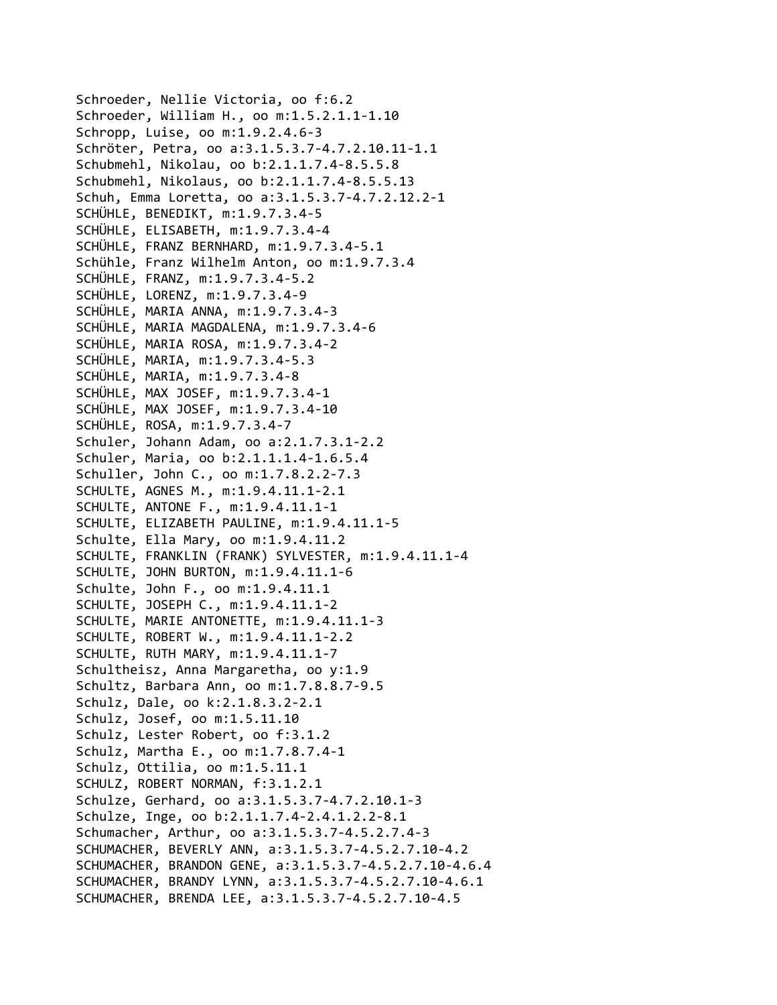Schroeder, Nellie Victoria, oo f:6.2 Schroeder, William H., oo m:1.5.2.1.1‐1.10 Schropp, Luise, oo m:1.9.2.4.6‐3 Schröter, Petra, oo a:3.1.5.3.7‐4.7.2.10.11‐1.1 Schubmehl, Nikolau, oo b:2.1.1.7.4‐8.5.5.8 Schubmehl, Nikolaus, oo b:2.1.1.7.4‐8.5.5.13 Schuh, Emma Loretta, oo a:3.1.5.3.7‐4.7.2.12.2‐1 SCHÜHLE, BENEDIKT, m:1.9.7.3.4‐5 SCHÜHLE, ELISABETH, m:1.9.7.3.4‐4 SCHÜHLE, FRANZ BERNHARD, m:1.9.7.3.4‐5.1 Schühle, Franz Wilhelm Anton, oo m:1.9.7.3.4 SCHÜHLE, FRANZ, m:1.9.7.3.4‐5.2 SCHÜHLE, LORENZ, m:1.9.7.3.4‐9 SCHÜHLE, MARIA ANNA, m:1.9.7.3.4‐3 SCHÜHLE, MARIA MAGDALENA, m:1.9.7.3.4‐6 SCHÜHLE, MARIA ROSA, m:1.9.7.3.4‐2 SCHÜHLE, MARIA, m:1.9.7.3.4‐5.3 SCHÜHLE, MARIA, m:1.9.7.3.4‐8 SCHÜHLE, MAX JOSEF, m:1.9.7.3.4‐1 SCHÜHLE, MAX JOSEF, m:1.9.7.3.4‐10 SCHÜHLE, ROSA, m:1.9.7.3.4‐7 Schuler, Johann Adam, oo a:2.1.7.3.1‐2.2 Schuler, Maria, oo b:2.1.1.1.4‐1.6.5.4 Schuller, John C., oo m:1.7.8.2.2‐7.3 SCHULTE, AGNES M., m:1.9.4.11.1‐2.1 SCHULTE, ANTONE F., m:1.9.4.11.1‐1 SCHULTE, ELIZABETH PAULINE, m:1.9.4.11.1‐5 Schulte, Ella Mary, oo m:1.9.4.11.2 SCHULTE, FRANKLIN (FRANK) SYLVESTER, m:1.9.4.11.1‐4 SCHULTE, JOHN BURTON, m:1.9.4.11.1‐6 Schulte, John F., oo m:1.9.4.11.1 SCHULTE, JOSEPH C., m:1.9.4.11.1‐2 SCHULTE, MARIE ANTONETTE, m:1.9.4.11.1‐3 SCHULTE, ROBERT W., m:1.9.4.11.1‐2.2 SCHULTE, RUTH MARY, m:1.9.4.11.1‐7 Schultheisz, Anna Margaretha, oo y:1.9 Schultz, Barbara Ann, oo m:1.7.8.8.7‐9.5 Schulz, Dale, oo k:2.1.8.3.2‐2.1 Schulz, Josef, oo m:1.5.11.10 Schulz, Lester Robert, oo f:3.1.2 Schulz, Martha E., oo m:1.7.8.7.4‐1 Schulz, Ottilia, oo m:1.5.11.1 SCHULZ, ROBERT NORMAN, f:3.1.2.1 Schulze, Gerhard, oo a:3.1.5.3.7‐4.7.2.10.1‐3 Schulze, Inge, oo b:2.1.1.7.4‐2.4.1.2.2‐8.1 Schumacher, Arthur, oo a:3.1.5.3.7‐4.5.2.7.4‐3 SCHUMACHER, BEVERLY ANN, a:3.1.5.3.7‐4.5.2.7.10‐4.2 SCHUMACHER, BRANDON GENE, a:3.1.5.3.7‐4.5.2.7.10‐4.6.4 SCHUMACHER, BRANDY LYNN, a:3.1.5.3.7‐4.5.2.7.10‐4.6.1 SCHUMACHER, BRENDA LEE, a:3.1.5.3.7‐4.5.2.7.10‐4.5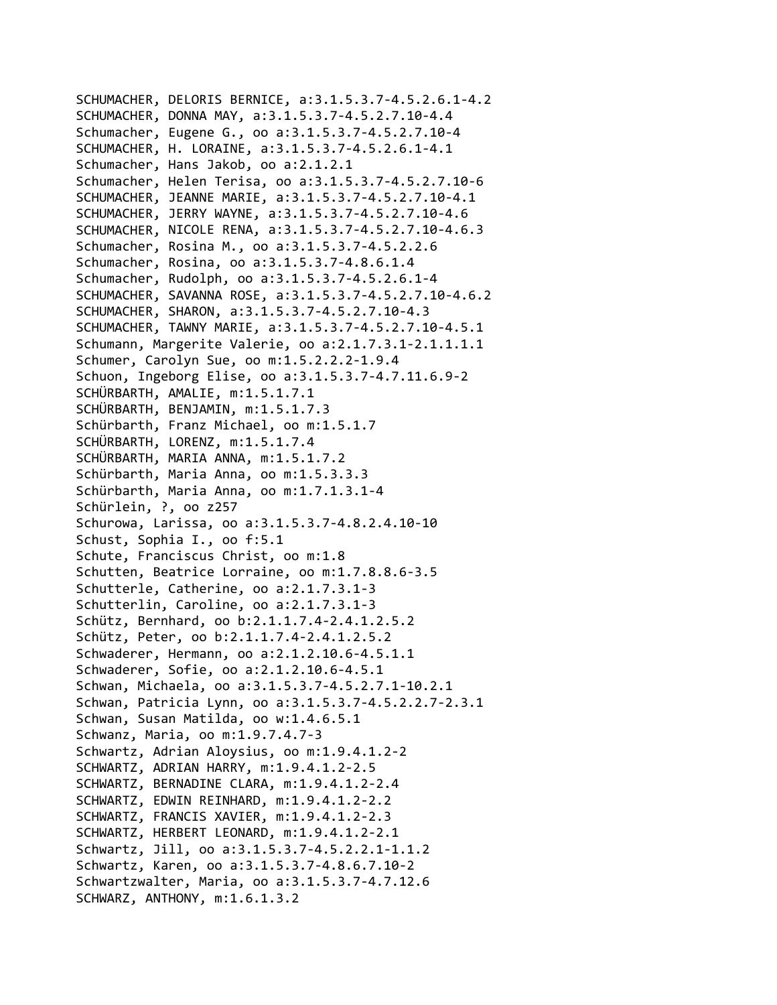```
SCHUMACHER, DELORIS BERNICE, a:3.1.5.3.7‐4.5.2.6.1‐4.2
SCHUMACHER, DONNA MAY, a:3.1.5.3.7‐4.5.2.7.10‐4.4
Schumacher, Eugene G., oo a:3.1.5.3.7‐4.5.2.7.10‐4
SCHUMACHER, H. LORAINE, a:3.1.5.3.7‐4.5.2.6.1‐4.1
Schumacher, Hans Jakob, oo a:2.1.2.1
Schumacher, Helen Terisa, oo a:3.1.5.3.7‐4.5.2.7.10‐6
SCHUMACHER, JEANNE MARIE, a:3.1.5.3.7‐4.5.2.7.10‐4.1
SCHUMACHER, JERRY WAYNE, a:3.1.5.3.7‐4.5.2.7.10‐4.6
SCHUMACHER, NICOLE RENA, a:3.1.5.3.7‐4.5.2.7.10‐4.6.3
Schumacher, Rosina M., oo a:3.1.5.3.7‐4.5.2.2.6
Schumacher, Rosina, oo a:3.1.5.3.7‐4.8.6.1.4
Schumacher, Rudolph, oo a:3.1.5.3.7‐4.5.2.6.1‐4
SCHUMACHER, SAVANNA ROSE, a:3.1.5.3.7‐4.5.2.7.10‐4.6.2
SCHUMACHER, SHARON, a:3.1.5.3.7‐4.5.2.7.10‐4.3
SCHUMACHER, TAWNY MARIE, a:3.1.5.3.7‐4.5.2.7.10‐4.5.1
Schumann, Margerite Valerie, oo a:2.1.7.3.1‐2.1.1.1.1
Schumer, Carolyn Sue, oo m:1.5.2.2.2‐1.9.4
Schuon, Ingeborg Elise, oo a:3.1.5.3.7‐4.7.11.6.9‐2
SCHÜRBARTH, AMALIE, m:1.5.1.7.1
SCHÜRBARTH, BENJAMIN, m:1.5.1.7.3
Schürbarth, Franz Michael, oo m:1.5.1.7
SCHÜRBARTH, LORENZ, m:1.5.1.7.4
SCHÜRBARTH, MARIA ANNA, m:1.5.1.7.2
Schürbarth, Maria Anna, oo m:1.5.3.3.3
Schürbarth, Maria Anna, oo m:1.7.1.3.1‐4
Schürlein, ?, oo z257
Schurowa, Larissa, oo a:3.1.5.3.7‐4.8.2.4.10‐10
Schust, Sophia I., oo f:5.1
Schute, Franciscus Christ, oo m:1.8
Schutten, Beatrice Lorraine, oo m:1.7.8.8.6‐3.5
Schutterle, Catherine, oo a:2.1.7.3.1‐3
Schutterlin, Caroline, oo a:2.1.7.3.1‐3
Schütz, Bernhard, oo b:2.1.1.7.4‐2.4.1.2.5.2
Schütz, Peter, oo b:2.1.1.7.4‐2.4.1.2.5.2
Schwaderer, Hermann, oo a:2.1.2.10.6‐4.5.1.1
Schwaderer, Sofie, oo a:2.1.2.10.6‐4.5.1
Schwan, Michaela, oo a:3.1.5.3.7‐4.5.2.7.1‐10.2.1
Schwan, Patricia Lynn, oo a:3.1.5.3.7‐4.5.2.2.7‐2.3.1
Schwan, Susan Matilda, oo w:1.4.6.5.1
Schwanz, Maria, oo m:1.9.7.4.7‐3
Schwartz, Adrian Aloysius, oo m:1.9.4.1.2‐2
SCHWARTZ, ADRIAN HARRY, m:1.9.4.1.2‐2.5
SCHWARTZ, BERNADINE CLARA, m:1.9.4.1.2‐2.4
SCHWARTZ, EDWIN REINHARD, m:1.9.4.1.2‐2.2
SCHWARTZ, FRANCIS XAVIER, m:1.9.4.1.2‐2.3
SCHWARTZ, HERBERT LEONARD, m:1.9.4.1.2‐2.1
Schwartz, Jill, oo a:3.1.5.3.7‐4.5.2.2.1‐1.1.2
Schwartz, Karen, oo a:3.1.5.3.7‐4.8.6.7.10‐2
Schwartzwalter, Maria, oo a:3.1.5.3.7‐4.7.12.6
SCHWARZ, ANTHONY, m:1.6.1.3.2
```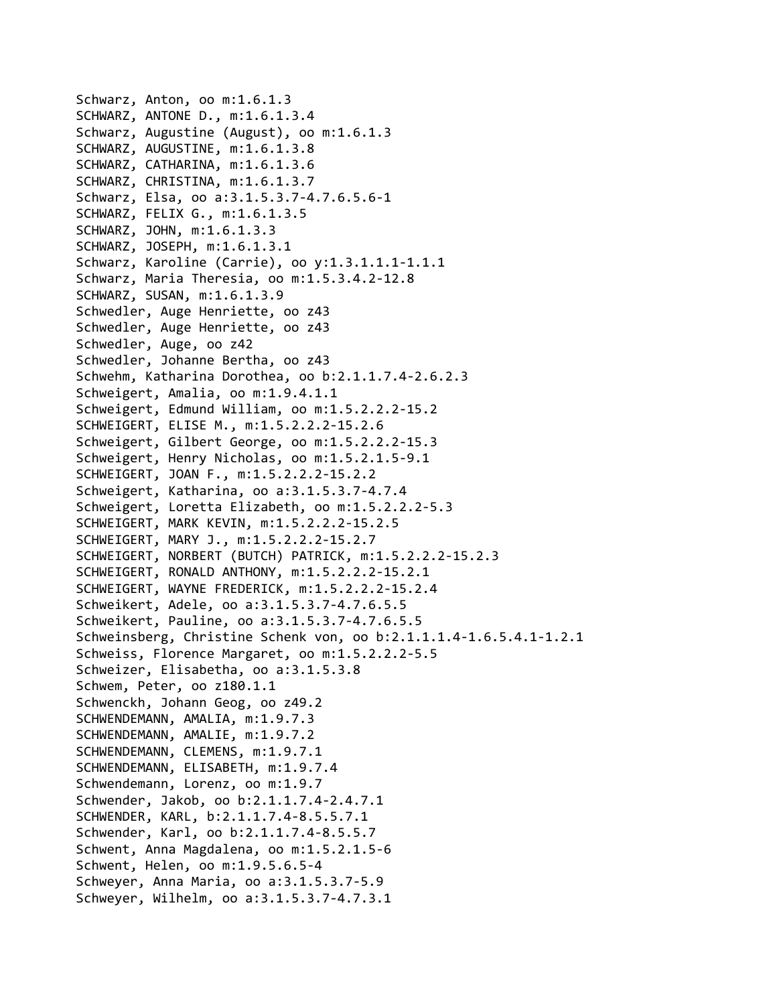```
Schwarz, Anton, oo m:1.6.1.3
SCHWARZ, ANTONE D., m:1.6.1.3.4
Schwarz, Augustine (August), oo m:1.6.1.3
SCHWARZ, AUGUSTINE, m:1.6.1.3.8
SCHWARZ, CATHARINA, m:1.6.1.3.6
SCHWARZ, CHRISTINA, m:1.6.1.3.7
Schwarz, Elsa, oo a:3.1.5.3.7‐4.7.6.5.6‐1
SCHWARZ, FELIX G., m:1.6.1.3.5
SCHWARZ, JOHN, m:1.6.1.3.3
SCHWARZ, JOSEPH, m:1.6.1.3.1
Schwarz, Karoline (Carrie), oo y:1.3.1.1.1‐1.1.1
Schwarz, Maria Theresia, oo m:1.5.3.4.2‐12.8
SCHWARZ, SUSAN, m:1.6.1.3.9
Schwedler, Auge Henriette, oo z43
Schwedler, Auge Henriette, oo z43
Schwedler, Auge, oo z42
Schwedler, Johanne Bertha, oo z43
Schwehm, Katharina Dorothea, oo b:2.1.1.7.4‐2.6.2.3
Schweigert, Amalia, oo m:1.9.4.1.1
Schweigert, Edmund William, oo m:1.5.2.2.2‐15.2
SCHWEIGERT, ELISE M., m:1.5.2.2.2‐15.2.6
Schweigert, Gilbert George, oo m:1.5.2.2.2‐15.3
Schweigert, Henry Nicholas, oo m:1.5.2.1.5‐9.1
SCHWEIGERT, JOAN F., m:1.5.2.2.2‐15.2.2
Schweigert, Katharina, oo a:3.1.5.3.7‐4.7.4
Schweigert, Loretta Elizabeth, oo m:1.5.2.2.2‐5.3
SCHWEIGERT, MARK KEVIN, m:1.5.2.2.2‐15.2.5
SCHWEIGERT, MARY J., m:1.5.2.2.2‐15.2.7
SCHWEIGERT, NORBERT (BUTCH) PATRICK, m:1.5.2.2.2‐15.2.3
SCHWEIGERT, RONALD ANTHONY, m:1.5.2.2.2‐15.2.1
SCHWEIGERT, WAYNE FREDERICK, m:1.5.2.2.2‐15.2.4
Schweikert, Adele, oo a:3.1.5.3.7‐4.7.6.5.5
Schweikert, Pauline, oo a:3.1.5.3.7‐4.7.6.5.5
Schweinsberg, Christine Schenk von, oo b:2.1.1.1.4‐1.6.5.4.1‐1.2.1
Schweiss, Florence Margaret, oo m:1.5.2.2.2‐5.5
Schweizer, Elisabetha, oo a:3.1.5.3.8
Schwem, Peter, oo z180.1.1
Schwenckh, Johann Geog, oo z49.2
SCHWENDEMANN, AMALIA, m:1.9.7.3
SCHWENDEMANN, AMALIE, m:1.9.7.2
SCHWENDEMANN, CLEMENS, m:1.9.7.1
SCHWENDEMANN, ELISABETH, m:1.9.7.4
Schwendemann, Lorenz, oo m:1.9.7
Schwender, Jakob, oo b:2.1.1.7.4‐2.4.7.1
SCHWENDER, KARL, b:2.1.1.7.4‐8.5.5.7.1
Schwender, Karl, oo b:2.1.1.7.4‐8.5.5.7
Schwent, Anna Magdalena, oo m:1.5.2.1.5‐6
Schwent, Helen, oo m:1.9.5.6.5‐4
Schweyer, Anna Maria, oo a:3.1.5.3.7‐5.9
Schweyer, Wilhelm, oo a:3.1.5.3.7‐4.7.3.1
```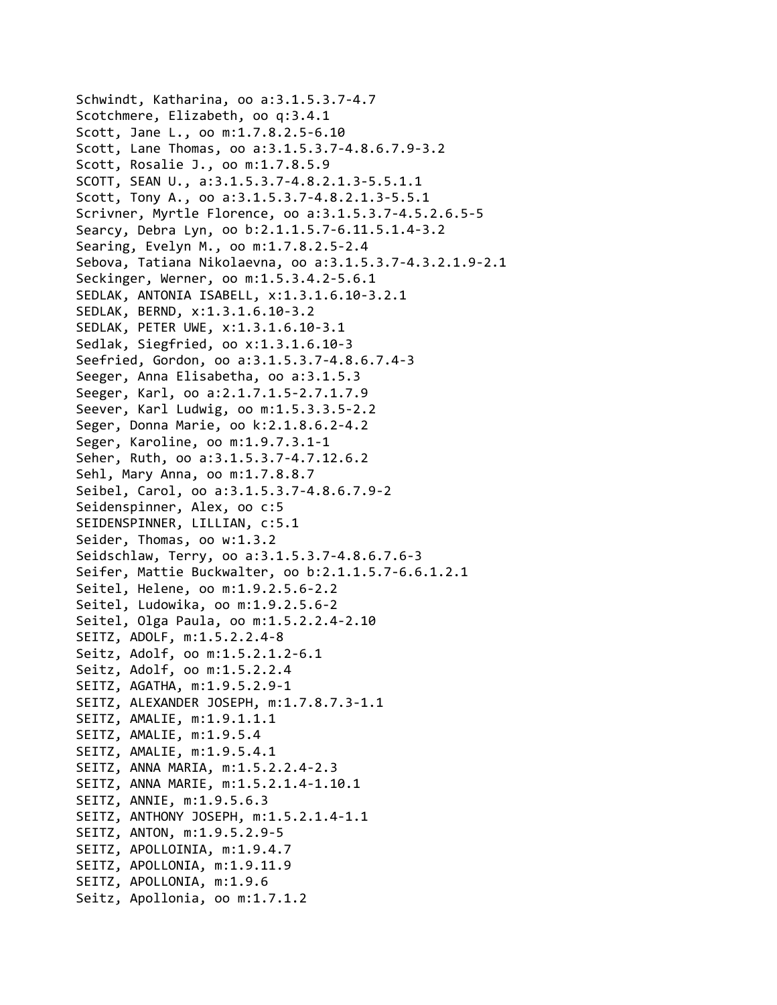Schwindt, Katharina, oo a:3.1.5.3.7‐4.7 Scotchmere, Elizabeth, oo q:3.4.1 Scott, Jane L., oo m:1.7.8.2.5‐6.10 Scott, Lane Thomas, oo a:3.1.5.3.7‐4.8.6.7.9‐3.2 Scott, Rosalie J., oo m:1.7.8.5.9 SCOTT, SEAN U., a:3.1.5.3.7‐4.8.2.1.3‐5.5.1.1 Scott, Tony A., oo a:3.1.5.3.7‐4.8.2.1.3‐5.5.1 Scrivner, Myrtle Florence, oo a:3.1.5.3.7‐4.5.2.6.5‐5 Searcy, Debra Lyn, oo b:2.1.1.5.7‐6.11.5.1.4‐3.2 Searing, Evelyn M., oo m:1.7.8.2.5‐2.4 Sebova, Tatiana Nikolaevna, oo a:3.1.5.3.7‐4.3.2.1.9‐2.1 Seckinger, Werner, oo m:1.5.3.4.2‐5.6.1 SEDLAK, ANTONIA ISABELL, x:1.3.1.6.10‐3.2.1 SEDLAK, BERND, x:1.3.1.6.10‐3.2 SEDLAK, PETER UWE, x:1.3.1.6.10‐3.1 Sedlak, Siegfried, oo x:1.3.1.6.10‐3 Seefried, Gordon, oo a:3.1.5.3.7‐4.8.6.7.4‐3 Seeger, Anna Elisabetha, oo a:3.1.5.3 Seeger, Karl, oo a:2.1.7.1.5‐2.7.1.7.9 Seever, Karl Ludwig, oo m:1.5.3.3.5‐2.2 Seger, Donna Marie, oo k:2.1.8.6.2‐4.2 Seger, Karoline, oo m:1.9.7.3.1‐1 Seher, Ruth, oo a:3.1.5.3.7‐4.7.12.6.2 Sehl, Mary Anna, oo m:1.7.8.8.7 Seibel, Carol, oo a:3.1.5.3.7‐4.8.6.7.9‐2 Seidenspinner, Alex, oo c:5 SEIDENSPINNER, LILLIAN, c:5.1 Seider, Thomas, oo w:1.3.2 Seidschlaw, Terry, oo a:3.1.5.3.7‐4.8.6.7.6‐3 Seifer, Mattie Buckwalter, oo b:2.1.1.5.7‐6.6.1.2.1 Seitel, Helene, oo m:1.9.2.5.6‐2.2 Seitel, Ludowika, oo m:1.9.2.5.6‐2 Seitel, Olga Paula, oo m:1.5.2.2.4‐2.10 SEITZ, ADOLF, m:1.5.2.2.4‐8 Seitz, Adolf, oo m:1.5.2.1.2‐6.1 Seitz, Adolf, oo m:1.5.2.2.4 SEITZ, AGATHA, m:1.9.5.2.9‐1 SEITZ, ALEXANDER JOSEPH, m:1.7.8.7.3‐1.1 SEITZ, AMALIE, m:1.9.1.1.1 SEITZ, AMALIE, m:1.9.5.4 SEITZ, AMALIE, m:1.9.5.4.1 SEITZ, ANNA MARIA, m:1.5.2.2.4‐2.3 SEITZ, ANNA MARIE, m:1.5.2.1.4‐1.10.1 SEITZ, ANNIE, m:1.9.5.6.3 SEITZ, ANTHONY JOSEPH, m:1.5.2.1.4‐1.1 SEITZ, ANTON, m:1.9.5.2.9‐5 SEITZ, APOLLOINIA, m:1.9.4.7 SEITZ, APOLLONIA, m:1.9.11.9 SEITZ, APOLLONIA, m:1.9.6 Seitz, Apollonia, oo m:1.7.1.2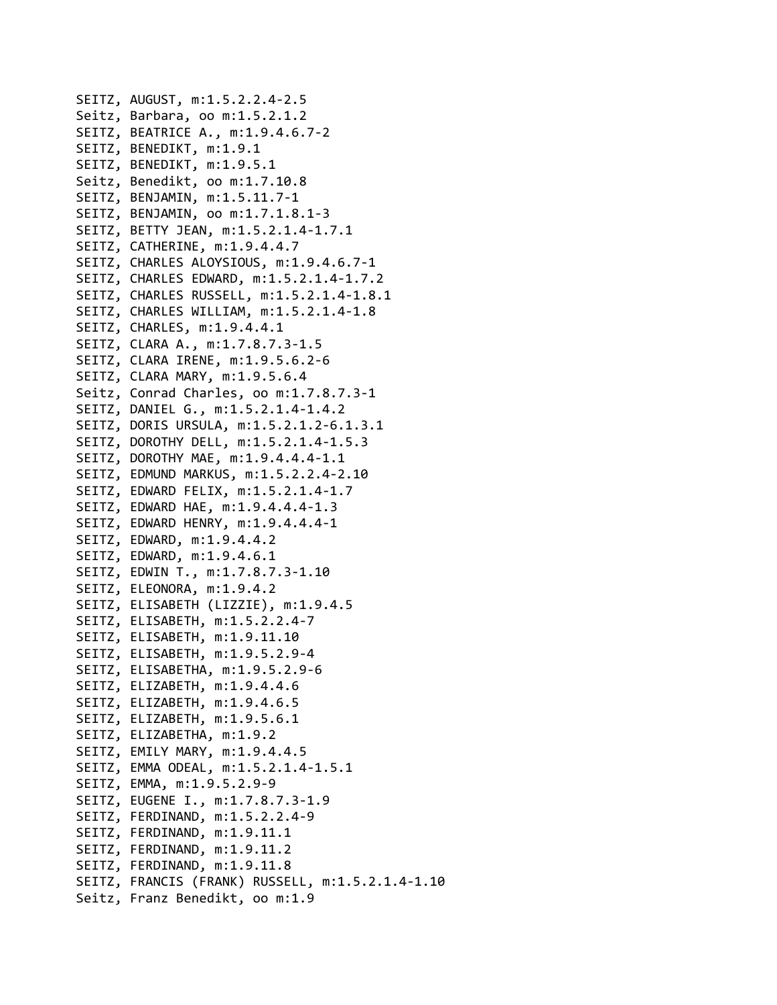```
SEITZ, AUGUST, m:1.5.2.2.4‐2.5
Seitz, Barbara, oo m:1.5.2.1.2
SEITZ, BEATRICE A., m:1.9.4.6.7‐2
SEITZ, BENEDIKT, m:1.9.1
SEITZ, BENEDIKT, m:1.9.5.1
Seitz, Benedikt, oo m:1.7.10.8
SEITZ, BENJAMIN, m:1.5.11.7‐1
SEITZ, BENJAMIN, oo m:1.7.1.8.1‐3
SEITZ, BETTY JEAN, m:1.5.2.1.4‐1.7.1
SEITZ, CATHERINE, m:1.9.4.4.7
SEITZ, CHARLES ALOYSIOUS, m:1.9.4.6.7‐1
SEITZ, CHARLES EDWARD, m:1.5.2.1.4‐1.7.2
SEITZ, CHARLES RUSSELL, m:1.5.2.1.4‐1.8.1
SEITZ, CHARLES WILLIAM, m:1.5.2.1.4‐1.8
SEITZ, CHARLES, m:1.9.4.4.1
SEITZ, CLARA A., m:1.7.8.7.3‐1.5
SEITZ, CLARA IRENE, m:1.9.5.6.2‐6
SEITZ, CLARA MARY, m:1.9.5.6.4
Seitz, Conrad Charles, oo m:1.7.8.7.3‐1
SEITZ, DANIEL G., m:1.5.2.1.4‐1.4.2
SEITZ, DORIS URSULA, m:1.5.2.1.2‐6.1.3.1
SEITZ, DOROTHY DELL, m:1.5.2.1.4‐1.5.3
SEITZ, DOROTHY MAE, m:1.9.4.4.4‐1.1
SEITZ, EDMUND MARKUS, m:1.5.2.2.4‐2.10
SEITZ, EDWARD FELIX, m:1.5.2.1.4‐1.7
SEITZ, EDWARD HAE, m:1.9.4.4.4‐1.3
SEITZ, EDWARD HENRY, m:1.9.4.4.4‐1
SEITZ, EDWARD, m:1.9.4.4.2
SEITZ, EDWARD, m:1.9.4.6.1
SEITZ, EDWIN T., m:1.7.8.7.3‐1.10
SEITZ, ELEONORA, m:1.9.4.2
SEITZ, ELISABETH (LIZZIE), m:1.9.4.5
SEITZ, ELISABETH, m:1.5.2.2.4‐7
SEITZ, ELISABETH, m:1.9.11.10
SEITZ, ELISABETH, m:1.9.5.2.9‐4
SEITZ, ELISABETHA, m:1.9.5.2.9‐6
SEITZ, ELIZABETH, m:1.9.4.4.6
SEITZ, ELIZABETH, m:1.9.4.6.5
SEITZ, ELIZABETH, m:1.9.5.6.1
SEITZ, ELIZABETHA, m:1.9.2
SEITZ, EMILY MARY, m:1.9.4.4.5
SEITZ, EMMA ODEAL, m:1.5.2.1.4‐1.5.1
SEITZ, EMMA, m:1.9.5.2.9‐9
SEITZ, EUGENE I., m:1.7.8.7.3‐1.9
SEITZ, FERDINAND, m:1.5.2.2.4‐9
SEITZ, FERDINAND, m:1.9.11.1
SEITZ, FERDINAND, m:1.9.11.2
SEITZ, FERDINAND, m:1.9.11.8
SEITZ, FRANCIS (FRANK) RUSSELL, m:1.5.2.1.4‐1.10
Seitz, Franz Benedikt, oo m:1.9
```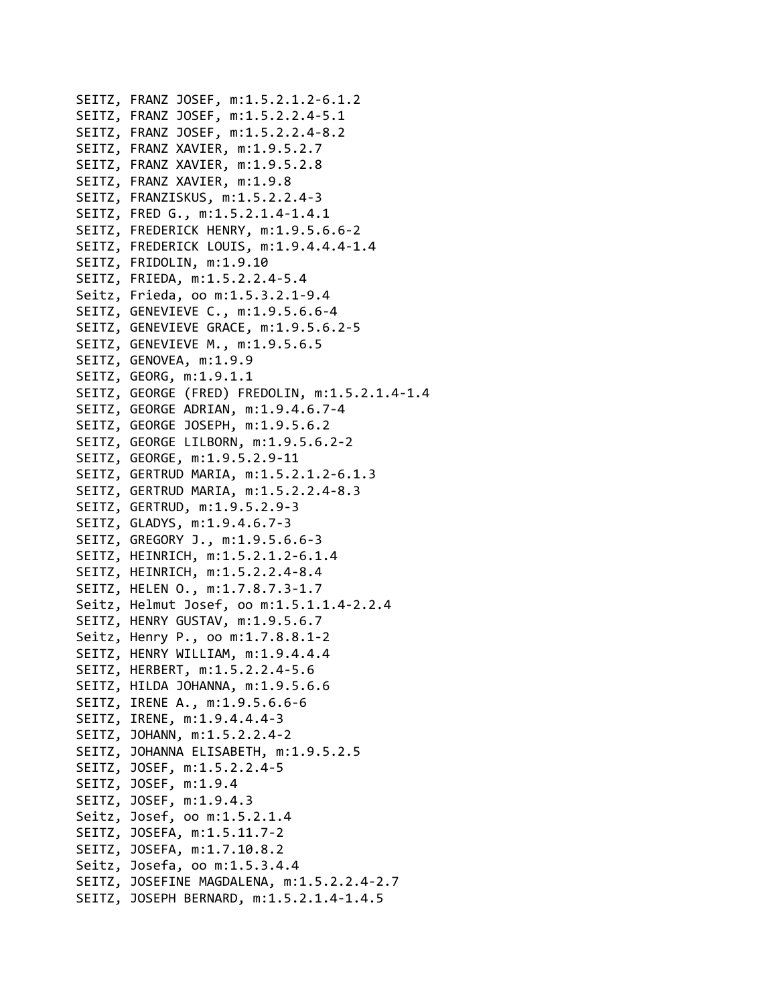```
SEITZ, FRANZ JOSEF, m:1.5.2.1.2‐6.1.2
SEITZ, FRANZ JOSEF, m:1.5.2.2.4‐5.1
SEITZ, FRANZ JOSEF, m:1.5.2.2.4‐8.2
SEITZ, FRANZ XAVIER, m:1.9.5.2.7
SEITZ, FRANZ XAVIER, m:1.9.5.2.8
SEITZ, FRANZ XAVIER, m:1.9.8
SEITZ, FRANZISKUS, m:1.5.2.2.4‐3
SEITZ, FRED G., m:1.5.2.1.4‐1.4.1
SEITZ, FREDERICK HENRY, m:1.9.5.6.6‐2
SEITZ, FREDERICK LOUIS, m:1.9.4.4.4‐1.4
SEITZ, FRIDOLIN, m:1.9.10
SEITZ, FRIEDA, m:1.5.2.2.4‐5.4
Seitz, Frieda, oo m:1.5.3.2.1‐9.4
SEITZ, GENEVIEVE C., m:1.9.5.6.6‐4
SEITZ, GENEVIEVE GRACE, m:1.9.5.6.2‐5
SEITZ, GENEVIEVE M., m:1.9.5.6.5
SEITZ, GENOVEA, m:1.9.9
SEITZ, GEORG, m:1.9.1.1
SEITZ, GEORGE (FRED) FREDOLIN, m:1.5.2.1.4‐1.4
SEITZ, GEORGE ADRIAN, m:1.9.4.6.7‐4
SEITZ, GEORGE JOSEPH, m:1.9.5.6.2
SEITZ, GEORGE LILBORN, m:1.9.5.6.2‐2
SEITZ, GEORGE, m:1.9.5.2.9‐11
SEITZ, GERTRUD MARIA, m:1.5.2.1.2‐6.1.3
SEITZ, GERTRUD MARIA, m:1.5.2.2.4‐8.3
SEITZ, GERTRUD, m:1.9.5.2.9‐3
SEITZ, GLADYS, m:1.9.4.6.7‐3
SEITZ, GREGORY J., m:1.9.5.6.6‐3
SEITZ, HEINRICH, m:1.5.2.1.2‐6.1.4
SEITZ, HEINRICH, m:1.5.2.2.4‐8.4
SEITZ, HELEN O., m:1.7.8.7.3‐1.7
Seitz, Helmut Josef, oo m:1.5.1.1.4‐2.2.4
SEITZ, HENRY GUSTAV, m:1.9.5.6.7
Seitz, Henry P., oo m:1.7.8.8.1‐2
SEITZ, HENRY WILLIAM, m:1.9.4.4.4
SEITZ, HERBERT, m:1.5.2.2.4‐5.6
SEITZ, HILDA JOHANNA, m:1.9.5.6.6
SEITZ, IRENE A., m:1.9.5.6.6‐6
SEITZ, IRENE, m:1.9.4.4.4‐3
SEITZ, JOHANN, m:1.5.2.2.4‐2
SEITZ, JOHANNA ELISABETH, m:1.9.5.2.5
SEITZ, JOSEF, m:1.5.2.2.4‐5
SEITZ, JOSEF, m:1.9.4
SEITZ, JOSEF, m:1.9.4.3
Seitz, Josef, oo m:1.5.2.1.4
SEITZ, JOSEFA, m:1.5.11.7‐2
SEITZ, JOSEFA, m:1.7.10.8.2
Seitz, Josefa, oo m:1.5.3.4.4
SEITZ, JOSEFINE MAGDALENA, m:1.5.2.2.4‐2.7
SEITZ, JOSEPH BERNARD, m:1.5.2.1.4‐1.4.5
```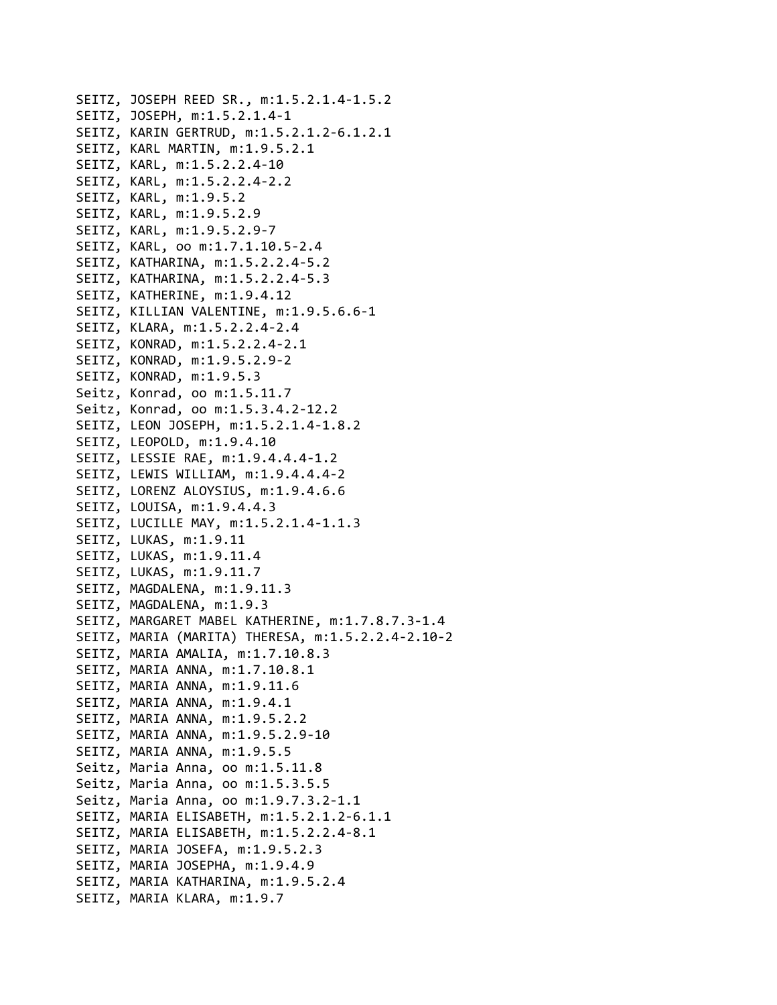```
SEITZ, JOSEPH REED SR., m:1.5.2.1.4‐1.5.2
SEITZ, JOSEPH, m:1.5.2.1.4‐1
SEITZ, KARIN GERTRUD, m:1.5.2.1.2‐6.1.2.1
SEITZ, KARL MARTIN, m:1.9.5.2.1
SEITZ, KARL, m:1.5.2.2.4‐10
SEITZ, KARL, m:1.5.2.2.4‐2.2
SEITZ, KARL, m:1.9.5.2
SEITZ, KARL, m:1.9.5.2.9
SEITZ, KARL, m:1.9.5.2.9‐7
SEITZ, KARL, oo m:1.7.1.10.5‐2.4
SEITZ, KATHARINA, m:1.5.2.2.4‐5.2
SEITZ, KATHARINA, m:1.5.2.2.4‐5.3
SEITZ, KATHERINE, m:1.9.4.12
SEITZ, KILLIAN VALENTINE, m:1.9.5.6.6‐1
SEITZ, KLARA, m:1.5.2.2.4‐2.4
SEITZ, KONRAD, m:1.5.2.2.4‐2.1
SEITZ, KONRAD, m:1.9.5.2.9‐2
SEITZ, KONRAD, m:1.9.5.3
Seitz, Konrad, oo m:1.5.11.7
Seitz, Konrad, oo m:1.5.3.4.2‐12.2
SEITZ, LEON JOSEPH, m:1.5.2.1.4‐1.8.2
SEITZ, LEOPOLD, m:1.9.4.10
SEITZ, LESSIE RAE, m:1.9.4.4.4‐1.2
SEITZ, LEWIS WILLIAM, m:1.9.4.4.4‐2
SEITZ, LORENZ ALOYSIUS, m:1.9.4.6.6
SEITZ, LOUISA, m:1.9.4.4.3
SEITZ, LUCILLE MAY, m:1.5.2.1.4‐1.1.3
SEITZ, LUKAS, m:1.9.11
SEITZ, LUKAS, m:1.9.11.4
SEITZ, LUKAS, m:1.9.11.7
SEITZ, MAGDALENA, m:1.9.11.3
SEITZ, MAGDALENA, m:1.9.3
SEITZ, MARGARET MABEL KATHERINE, m:1.7.8.7.3‐1.4
SEITZ, MARIA (MARITA) THERESA, m:1.5.2.2.4‐2.10‐2
SEITZ, MARIA AMALIA, m:1.7.10.8.3
SEITZ, MARIA ANNA, m:1.7.10.8.1
SEITZ, MARIA ANNA, m:1.9.11.6
SEITZ, MARIA ANNA, m:1.9.4.1
SEITZ, MARIA ANNA, m:1.9.5.2.2
SEITZ, MARIA ANNA, m:1.9.5.2.9‐10
SEITZ, MARIA ANNA, m:1.9.5.5
Seitz, Maria Anna, oo m:1.5.11.8
Seitz, Maria Anna, oo m:1.5.3.5.5
Seitz, Maria Anna, oo m:1.9.7.3.2‐1.1
SEITZ, MARIA ELISABETH, m:1.5.2.1.2‐6.1.1
SEITZ, MARIA ELISABETH, m:1.5.2.2.4‐8.1
SEITZ, MARIA JOSEFA, m:1.9.5.2.3
SEITZ, MARIA JOSEPHA, m:1.9.4.9
SEITZ, MARIA KATHARINA, m:1.9.5.2.4
SEITZ, MARIA KLARA, m:1.9.7
```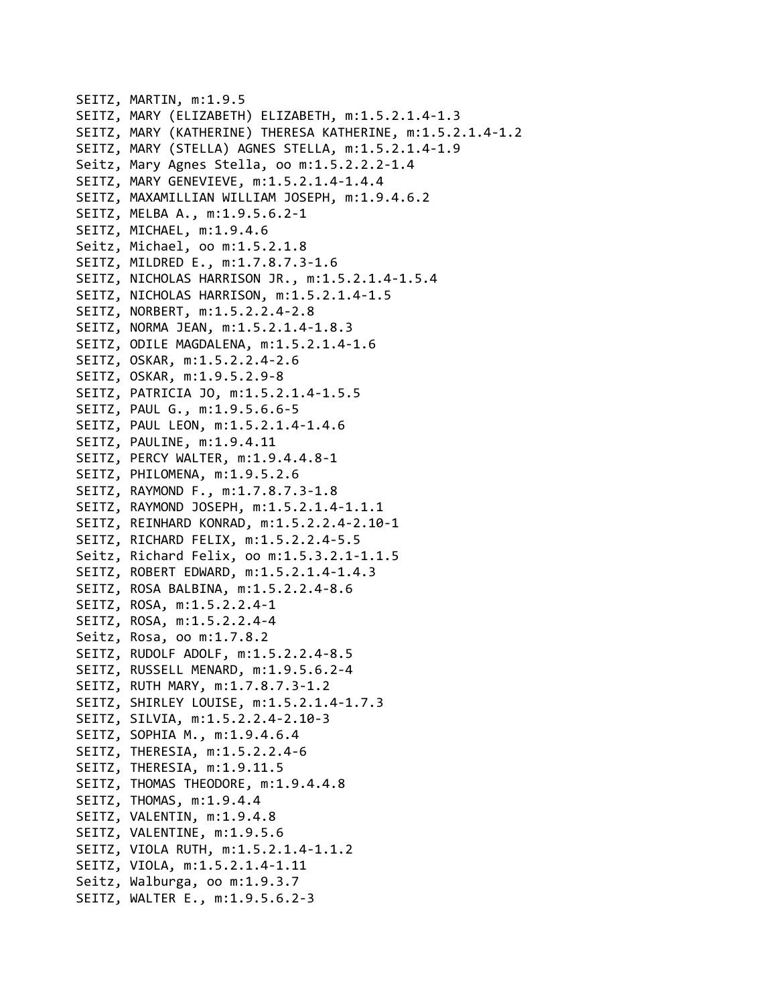```
SEITZ, MARTIN, m:1.9.5
SEITZ, MARY (ELIZABETH) ELIZABETH, m:1.5.2.1.4‐1.3
SEITZ, MARY (KATHERINE) THERESA KATHERINE, m:1.5.2.1.4‐1.2
SEITZ, MARY (STELLA) AGNES STELLA, m:1.5.2.1.4‐1.9
Seitz, Mary Agnes Stella, oo m:1.5.2.2.2‐1.4
SEITZ, MARY GENEVIEVE, m:1.5.2.1.4‐1.4.4
SEITZ, MAXAMILLIAN WILLIAM JOSEPH, m:1.9.4.6.2
SEITZ, MELBA A., m:1.9.5.6.2‐1
SEITZ, MICHAEL, m:1.9.4.6
Seitz, Michael, oo m:1.5.2.1.8
SEITZ, MILDRED E., m:1.7.8.7.3‐1.6
SEITZ, NICHOLAS HARRISON JR., m:1.5.2.1.4‐1.5.4
SEITZ, NICHOLAS HARRISON, m:1.5.2.1.4‐1.5
SEITZ, NORBERT, m:1.5.2.2.4‐2.8
SEITZ, NORMA JEAN, m:1.5.2.1.4‐1.8.3
SEITZ, ODILE MAGDALENA, m:1.5.2.1.4‐1.6
SEITZ, OSKAR, m:1.5.2.2.4‐2.6
SEITZ, OSKAR, m:1.9.5.2.9‐8
SEITZ, PATRICIA JO, m:1.5.2.1.4‐1.5.5
SEITZ, PAUL G., m:1.9.5.6.6‐5
SEITZ, PAUL LEON, m:1.5.2.1.4‐1.4.6
SEITZ, PAULINE, m:1.9.4.11
SEITZ, PERCY WALTER, m:1.9.4.4.8‐1
SEITZ, PHILOMENA, m:1.9.5.2.6
SEITZ, RAYMOND F., m:1.7.8.7.3‐1.8
SEITZ, RAYMOND JOSEPH, m:1.5.2.1.4‐1.1.1
SEITZ, REINHARD KONRAD, m:1.5.2.2.4‐2.10‐1
SEITZ, RICHARD FELIX, m:1.5.2.2.4‐5.5
Seitz, Richard Felix, oo m:1.5.3.2.1‐1.1.5
SEITZ, ROBERT EDWARD, m:1.5.2.1.4‐1.4.3
SEITZ, ROSA BALBINA, m:1.5.2.2.4‐8.6
SEITZ, ROSA, m:1.5.2.2.4‐1
SEITZ, ROSA, m:1.5.2.2.4‐4
Seitz, Rosa, oo m:1.7.8.2
SEITZ, RUDOLF ADOLF, m:1.5.2.2.4‐8.5
SEITZ, RUSSELL MENARD, m:1.9.5.6.2‐4
SEITZ, RUTH MARY, m:1.7.8.7.3‐1.2
SEITZ, SHIRLEY LOUISE, m:1.5.2.1.4‐1.7.3
SEITZ, SILVIA, m:1.5.2.2.4‐2.10‐3
SEITZ, SOPHIA M., m:1.9.4.6.4
SEITZ, THERESIA, m:1.5.2.2.4‐6
SEITZ, THERESIA, m:1.9.11.5
SEITZ, THOMAS THEODORE, m:1.9.4.4.8
SEITZ, THOMAS, m:1.9.4.4
SEITZ, VALENTIN, m:1.9.4.8
SEITZ, VALENTINE, m:1.9.5.6
SEITZ, VIOLA RUTH, m:1.5.2.1.4‐1.1.2
SEITZ, VIOLA, m:1.5.2.1.4‐1.11
Seitz, Walburga, oo m:1.9.3.7
SEITZ, WALTER E., m:1.9.5.6.2‐3
```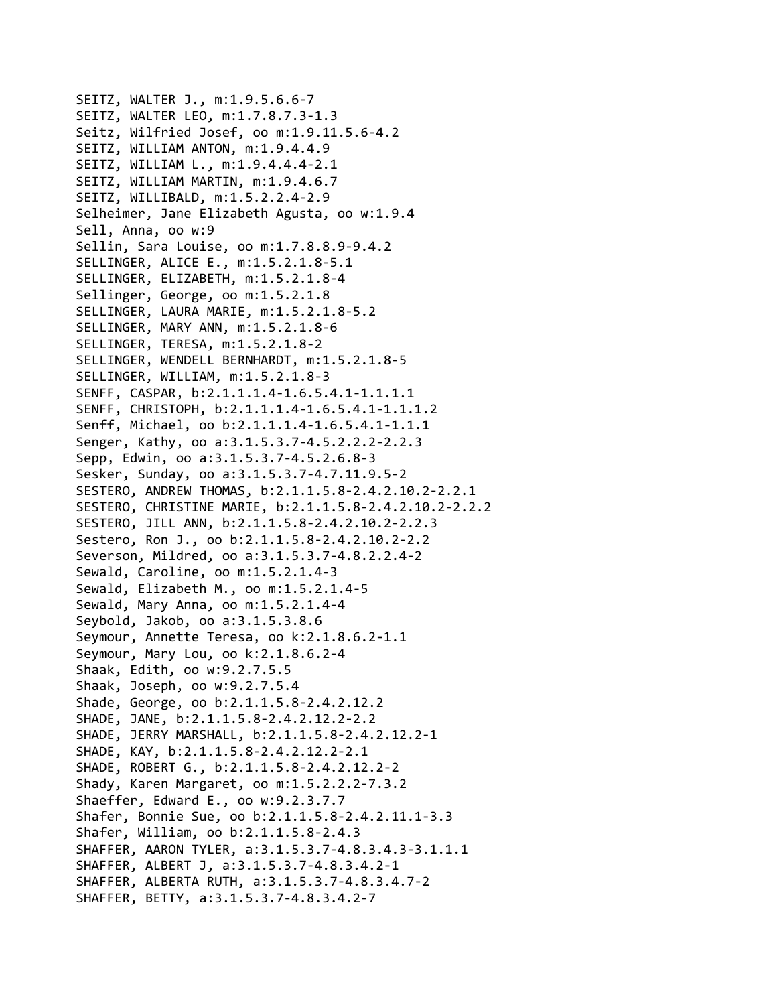SEITZ, WALTER J., m:1.9.5.6.6‐7 SEITZ, WALTER LEO, m:1.7.8.7.3‐1.3 Seitz, Wilfried Josef, oo m:1.9.11.5.6‐4.2 SEITZ, WILLIAM ANTON, m:1.9.4.4.9 SEITZ, WILLIAM L., m:1.9.4.4.4‐2.1 SEITZ, WILLIAM MARTIN, m:1.9.4.6.7 SEITZ, WILLIBALD, m:1.5.2.2.4‐2.9 Selheimer, Jane Elizabeth Agusta, oo w:1.9.4 Sell, Anna, oo w:9 Sellin, Sara Louise, oo m:1.7.8.8.9‐9.4.2 SELLINGER, ALICE E., m:1.5.2.1.8‐5.1 SELLINGER, ELIZABETH, m:1.5.2.1.8‐4 Sellinger, George, oo m:1.5.2.1.8 SELLINGER, LAURA MARIE, m:1.5.2.1.8‐5.2 SELLINGER, MARY ANN, m:1.5.2.1.8‐6 SELLINGER, TERESA, m:1.5.2.1.8‐2 SELLINGER, WENDELL BERNHARDT, m:1.5.2.1.8‐5 SELLINGER, WILLIAM, m:1.5.2.1.8‐3 SENFF, CASPAR, b:2.1.1.1.4‐1.6.5.4.1‐1.1.1.1 SENFF, CHRISTOPH, b:2.1.1.1.4‐1.6.5.4.1‐1.1.1.2 Senff, Michael, oo b:2.1.1.1.4‐1.6.5.4.1‐1.1.1 Senger, Kathy, oo a:3.1.5.3.7‐4.5.2.2.2‐2.2.3 Sepp, Edwin, oo a:3.1.5.3.7‐4.5.2.6.8‐3 Sesker, Sunday, oo a:3.1.5.3.7‐4.7.11.9.5‐2 SESTERO, ANDREW THOMAS, b:2.1.1.5.8‐2.4.2.10.2‐2.2.1 SESTERO, CHRISTINE MARIE, b:2.1.1.5.8‐2.4.2.10.2‐2.2.2 SESTERO, JILL ANN, b:2.1.1.5.8‐2.4.2.10.2‐2.2.3 Sestero, Ron J., oo b:2.1.1.5.8‐2.4.2.10.2‐2.2 Severson, Mildred, oo a:3.1.5.3.7‐4.8.2.2.4‐2 Sewald, Caroline, oo m:1.5.2.1.4‐3 Sewald, Elizabeth M., oo m:1.5.2.1.4‐5 Sewald, Mary Anna, oo m:1.5.2.1.4‐4 Seybold, Jakob, oo a:3.1.5.3.8.6 Seymour, Annette Teresa, oo k:2.1.8.6.2‐1.1 Seymour, Mary Lou, oo k:2.1.8.6.2‐4 Shaak, Edith, oo w:9.2.7.5.5 Shaak, Joseph, oo w:9.2.7.5.4 Shade, George, oo b:2.1.1.5.8‐2.4.2.12.2 SHADE, JANE, b:2.1.1.5.8‐2.4.2.12.2‐2.2 SHADE, JERRY MARSHALL, b:2.1.1.5.8‐2.4.2.12.2‐1 SHADE, KAY, b:2.1.1.5.8‐2.4.2.12.2‐2.1 SHADE, ROBERT G., b:2.1.1.5.8‐2.4.2.12.2‐2 Shady, Karen Margaret, oo m:1.5.2.2.2‐7.3.2 Shaeffer, Edward E., oo w:9.2.3.7.7 Shafer, Bonnie Sue, oo b:2.1.1.5.8‐2.4.2.11.1‐3.3 Shafer, William, oo b:2.1.1.5.8‐2.4.3 SHAFFER, AARON TYLER, a:3.1.5.3.7‐4.8.3.4.3‐3.1.1.1 SHAFFER, ALBERT J, a:3.1.5.3.7‐4.8.3.4.2‐1 SHAFFER, ALBERTA RUTH, a:3.1.5.3.7‐4.8.3.4.7‐2 SHAFFER, BETTY, a:3.1.5.3.7‐4.8.3.4.2‐7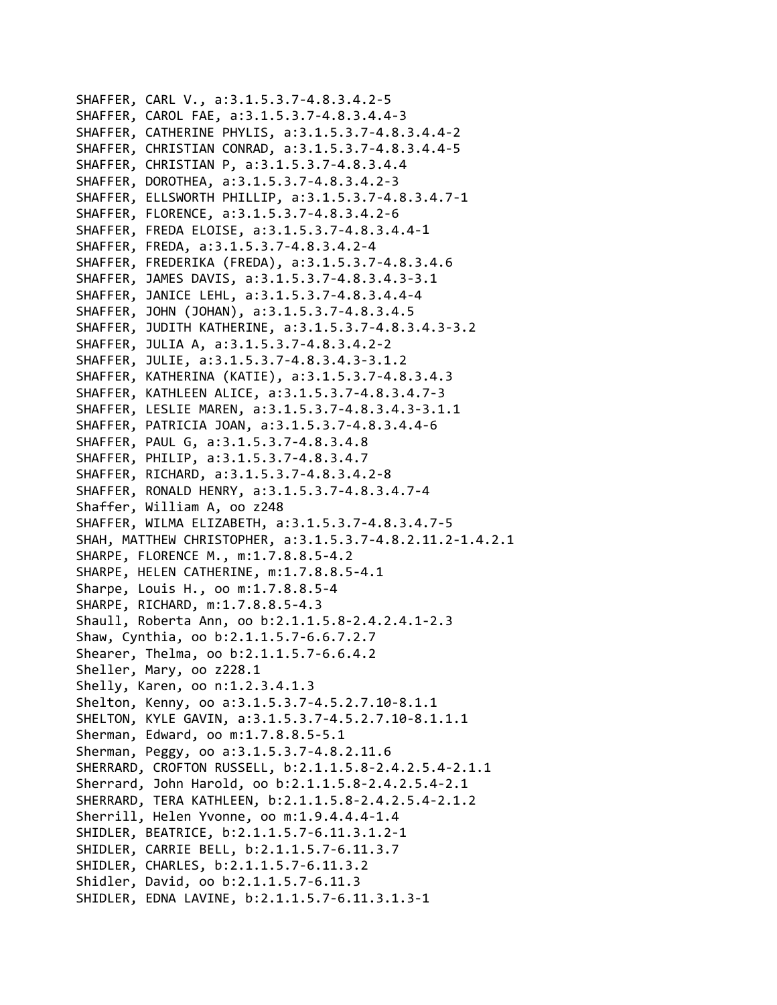SHAFFER, CARL V., a:3.1.5.3.7‐4.8.3.4.2‐5 SHAFFER, CAROL FAE, a:3.1.5.3.7‐4.8.3.4.4‐3 SHAFFER, CATHERINE PHYLIS, a:3.1.5.3.7‐4.8.3.4.4‐2 SHAFFER, CHRISTIAN CONRAD, a:3.1.5.3.7‐4.8.3.4.4‐5 SHAFFER, CHRISTIAN P, a:3.1.5.3.7‐4.8.3.4.4 SHAFFER, DOROTHEA, a:3.1.5.3.7‐4.8.3.4.2‐3 SHAFFER, ELLSWORTH PHILLIP, a:3.1.5.3.7‐4.8.3.4.7‐1 SHAFFER, FLORENCE, a:3.1.5.3.7‐4.8.3.4.2‐6 SHAFFER, FREDA ELOISE, a:3.1.5.3.7‐4.8.3.4.4‐1 SHAFFER, FREDA, a:3.1.5.3.7‐4.8.3.4.2‐4 SHAFFER, FREDERIKA (FREDA), a:3.1.5.3.7‐4.8.3.4.6 SHAFFER, JAMES DAVIS, a:3.1.5.3.7‐4.8.3.4.3‐3.1 SHAFFER, JANICE LEHL, a:3.1.5.3.7‐4.8.3.4.4‐4 SHAFFER, JOHN (JOHAN), a:3.1.5.3.7‐4.8.3.4.5 SHAFFER, JUDITH KATHERINE, a:3.1.5.3.7‐4.8.3.4.3‐3.2 SHAFFER, JULIA A, a:3.1.5.3.7‐4.8.3.4.2‐2 SHAFFER, JULIE, a:3.1.5.3.7‐4.8.3.4.3‐3.1.2 SHAFFER, KATHERINA (KATIE), a:3.1.5.3.7‐4.8.3.4.3 SHAFFER, KATHLEEN ALICE, a:3.1.5.3.7‐4.8.3.4.7‐3 SHAFFER, LESLIE MAREN, a:3.1.5.3.7‐4.8.3.4.3‐3.1.1 SHAFFER, PATRICIA JOAN, a:3.1.5.3.7‐4.8.3.4.4‐6 SHAFFER, PAUL G, a:3.1.5.3.7‐4.8.3.4.8 SHAFFER, PHILIP, a:3.1.5.3.7‐4.8.3.4.7 SHAFFER, RICHARD, a:3.1.5.3.7‐4.8.3.4.2‐8 SHAFFER, RONALD HENRY, a:3.1.5.3.7‐4.8.3.4.7‐4 Shaffer, William A, oo z248 SHAFFER, WILMA ELIZABETH, a:3.1.5.3.7‐4.8.3.4.7‐5 SHAH, MATTHEW CHRISTOPHER, a:3.1.5.3.7‐4.8.2.11.2‐1.4.2.1 SHARPE, FLORENCE M., m:1.7.8.8.5‐4.2 SHARPE, HELEN CATHERINE, m:1.7.8.8.5‐4.1 Sharpe, Louis H., oo m:1.7.8.8.5‐4 SHARPE, RICHARD, m:1.7.8.8.5‐4.3 Shaull, Roberta Ann, oo b:2.1.1.5.8‐2.4.2.4.1‐2.3 Shaw, Cynthia, oo b:2.1.1.5.7‐6.6.7.2.7 Shearer, Thelma, oo b:2.1.1.5.7‐6.6.4.2 Sheller, Mary, oo z228.1 Shelly, Karen, oo n:1.2.3.4.1.3 Shelton, Kenny, oo a:3.1.5.3.7‐4.5.2.7.10‐8.1.1 SHELTON, KYLE GAVIN, a:3.1.5.3.7‐4.5.2.7.10‐8.1.1.1 Sherman, Edward, oo m:1.7.8.8.5‐5.1 Sherman, Peggy, oo a:3.1.5.3.7‐4.8.2.11.6 SHERRARD, CROFTON RUSSELL, b:2.1.1.5.8‐2.4.2.5.4‐2.1.1 Sherrard, John Harold, oo b:2.1.1.5.8‐2.4.2.5.4‐2.1 SHERRARD, TERA KATHLEEN, b:2.1.1.5.8‐2.4.2.5.4‐2.1.2 Sherrill, Helen Yvonne, oo m:1.9.4.4.4‐1.4 SHIDLER, BEATRICE, b:2.1.1.5.7‐6.11.3.1.2‐1 SHIDLER, CARRIE BELL, b:2.1.1.5.7‐6.11.3.7 SHIDLER, CHARLES, b:2.1.1.5.7‐6.11.3.2 Shidler, David, oo b:2.1.1.5.7‐6.11.3 SHIDLER, EDNA LAVINE, b:2.1.1.5.7‐6.11.3.1.3‐1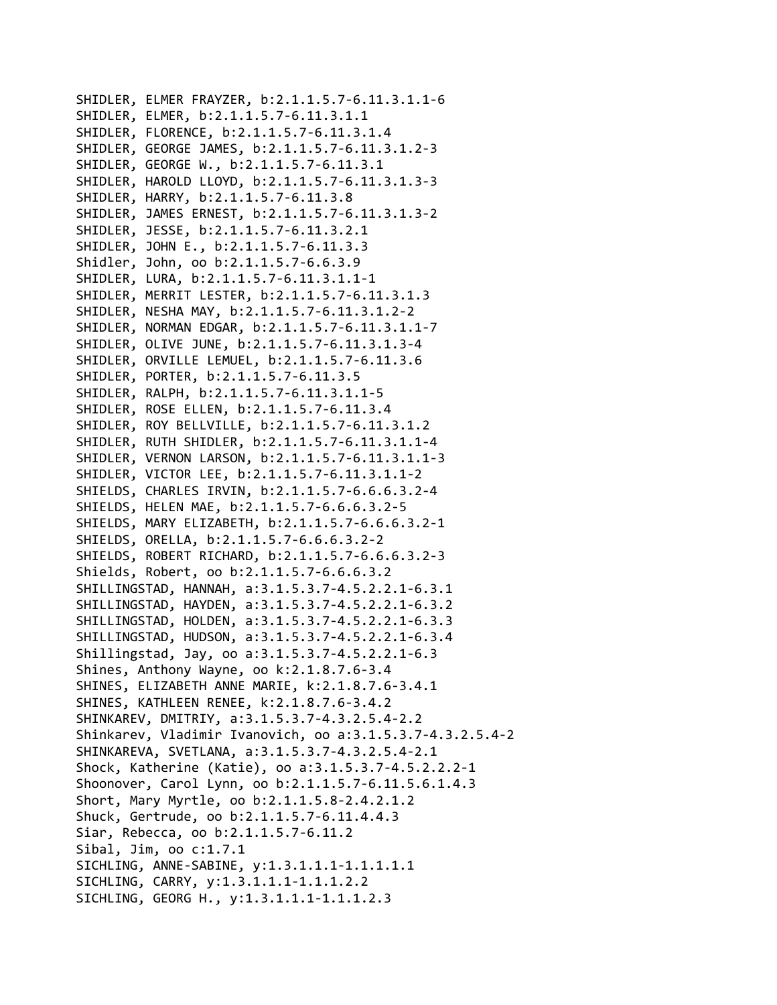SHIDLER, ELMER FRAYZER, b:2.1.1.5.7‐6.11.3.1.1‐6 SHIDLER, ELMER, b:2.1.1.5.7‐6.11.3.1.1 SHIDLER, FLORENCE, b:2.1.1.5.7‐6.11.3.1.4 SHIDLER, GEORGE JAMES, b:2.1.1.5.7‐6.11.3.1.2‐3 SHIDLER, GEORGE W., b:2.1.1.5.7‐6.11.3.1 SHIDLER, HAROLD LLOYD, b:2.1.1.5.7‐6.11.3.1.3‐3 SHIDLER, HARRY, b:2.1.1.5.7‐6.11.3.8 SHIDLER, JAMES ERNEST, b:2.1.1.5.7‐6.11.3.1.3‐2 SHIDLER, JESSE, b:2.1.1.5.7‐6.11.3.2.1 SHIDLER, JOHN E., b:2.1.1.5.7‐6.11.3.3 Shidler, John, oo b:2.1.1.5.7‐6.6.3.9 SHIDLER, LURA, b:2.1.1.5.7‐6.11.3.1.1‐1 SHIDLER, MERRIT LESTER, b:2.1.1.5.7‐6.11.3.1.3 SHIDLER, NESHA MAY, b:2.1.1.5.7‐6.11.3.1.2‐2 SHIDLER, NORMAN EDGAR, b:2.1.1.5.7‐6.11.3.1.1‐7 SHIDLER, OLIVE JUNE, b:2.1.1.5.7‐6.11.3.1.3‐4 SHIDLER, ORVILLE LEMUEL, b:2.1.1.5.7‐6.11.3.6 SHIDLER, PORTER, b:2.1.1.5.7‐6.11.3.5 SHIDLER, RALPH, b:2.1.1.5.7‐6.11.3.1.1‐5 SHIDLER, ROSE ELLEN, b:2.1.1.5.7‐6.11.3.4 SHIDLER, ROY BELLVILLE, b:2.1.1.5.7‐6.11.3.1.2 SHIDLER, RUTH SHIDLER, b:2.1.1.5.7‐6.11.3.1.1‐4 SHIDLER, VERNON LARSON, b:2.1.1.5.7‐6.11.3.1.1‐3 SHIDLER, VICTOR LEE, b:2.1.1.5.7‐6.11.3.1.1‐2 SHIELDS, CHARLES IRVIN, b:2.1.1.5.7‐6.6.6.3.2‐4 SHIELDS, HELEN MAE, b:2.1.1.5.7‐6.6.6.3.2‐5 SHIELDS, MARY ELIZABETH, b:2.1.1.5.7‐6.6.6.3.2‐1 SHIELDS, ORELLA, b:2.1.1.5.7‐6.6.6.3.2‐2 SHIELDS, ROBERT RICHARD, b:2.1.1.5.7‐6.6.6.3.2‐3 Shields, Robert, oo b:2.1.1.5.7‐6.6.6.3.2 SHILLINGSTAD, HANNAH, a:3.1.5.3.7‐4.5.2.2.1‐6.3.1 SHILLINGSTAD, HAYDEN, a:3.1.5.3.7‐4.5.2.2.1‐6.3.2 SHILLINGSTAD, HOLDEN, a:3.1.5.3.7‐4.5.2.2.1‐6.3.3 SHILLINGSTAD, HUDSON, a:3.1.5.3.7‐4.5.2.2.1‐6.3.4 Shillingstad, Jay, oo a:3.1.5.3.7‐4.5.2.2.1‐6.3 Shines, Anthony Wayne, oo k:2.1.8.7.6‐3.4 SHINES, ELIZABETH ANNE MARIE, k:2.1.8.7.6‐3.4.1 SHINES, KATHLEEN RENEE, k:2.1.8.7.6‐3.4.2 SHINKAREV, DMITRIY, a:3.1.5.3.7‐4.3.2.5.4‐2.2 Shinkarev, Vladimir Ivanovich, oo a:3.1.5.3.7‐4.3.2.5.4‐2 SHINKAREVA, SVETLANA, a:3.1.5.3.7‐4.3.2.5.4‐2.1 Shock, Katherine (Katie), oo a:3.1.5.3.7‐4.5.2.2.2‐1 Shoonover, Carol Lynn, oo b:2.1.1.5.7‐6.11.5.6.1.4.3 Short, Mary Myrtle, oo b:2.1.1.5.8‐2.4.2.1.2 Shuck, Gertrude, oo b:2.1.1.5.7‐6.11.4.4.3 Siar, Rebecca, oo b:2.1.1.5.7‐6.11.2 Sibal, Jim, oo c:1.7.1 SICHLING, ANNE‐SABINE, y:1.3.1.1.1‐1.1.1.1.1 SICHLING, CARRY, y:1.3.1.1.1‐1.1.1.2.2 SICHLING, GEORG H., y:1.3.1.1.1‐1.1.1.2.3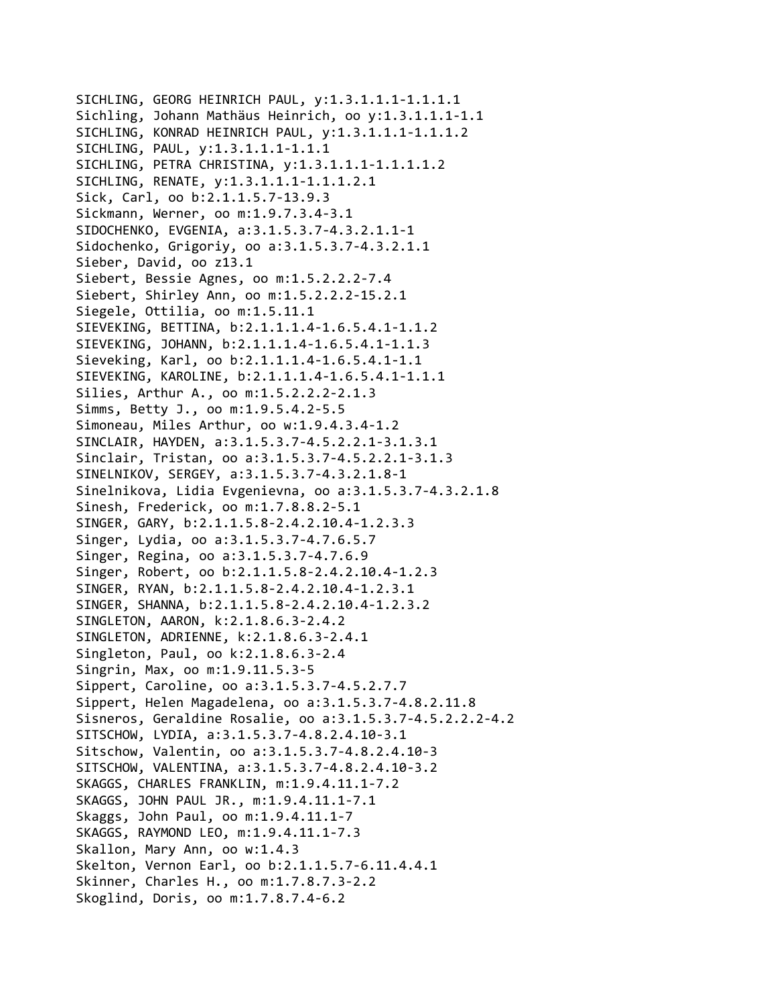SICHLING, GEORG HEINRICH PAUL, y:1.3.1.1.1-1.1.1.1.1 Sichling, Johann Mathäus Heinrich, oo y:1.3.1.1.1‐1.1 SICHLING, KONRAD HEINRICH PAUL, y:1.3.1.1.1‐1.1.1.2 SICHLING, PAUL, y:1.3.1.1.1‐1.1.1 SICHLING, PETRA CHRISTINA, y:1.3.1.1.1‐1.1.1.1.2 SICHLING, RENATE, y:1.3.1.1.1‐1.1.1.2.1 Sick, Carl, oo b:2.1.1.5.7‐13.9.3 Sickmann, Werner, oo m:1.9.7.3.4‐3.1 SIDOCHENKO, EVGENIA, a:3.1.5.3.7‐4.3.2.1.1‐1 Sidochenko, Grigoriy, oo a:3.1.5.3.7‐4.3.2.1.1 Sieber, David, oo z13.1 Siebert, Bessie Agnes, oo m:1.5.2.2.2‐7.4 Siebert, Shirley Ann, oo m:1.5.2.2.2‐15.2.1 Siegele, Ottilia, oo m:1.5.11.1 SIEVEKING, BETTINA, b:2.1.1.1.4‐1.6.5.4.1‐1.1.2 SIEVEKING, JOHANN, b:2.1.1.1.4‐1.6.5.4.1‐1.1.3 Sieveking, Karl, oo b:2.1.1.1.4‐1.6.5.4.1‐1.1 SIEVEKING, KAROLINE, b:2.1.1.1.4‐1.6.5.4.1‐1.1.1 Silies, Arthur A., oo m:1.5.2.2.2‐2.1.3 Simms, Betty J., oo m:1.9.5.4.2‐5.5 Simoneau, Miles Arthur, oo w:1.9.4.3.4‐1.2 SINCLAIR, HAYDEN, a:3.1.5.3.7‐4.5.2.2.1‐3.1.3.1 Sinclair, Tristan, oo a:3.1.5.3.7‐4.5.2.2.1‐3.1.3 SINELNIKOV, SERGEY, a:3.1.5.3.7‐4.3.2.1.8‐1 Sinelnikova, Lidia Evgenievna, oo a:3.1.5.3.7‐4.3.2.1.8 Sinesh, Frederick, oo m:1.7.8.8.2‐5.1 SINGER, GARY, b:2.1.1.5.8‐2.4.2.10.4‐1.2.3.3 Singer, Lydia, oo a:3.1.5.3.7‐4.7.6.5.7 Singer, Regina, oo a:3.1.5.3.7‐4.7.6.9 Singer, Robert, oo b:2.1.1.5.8‐2.4.2.10.4‐1.2.3 SINGER, RYAN, b:2.1.1.5.8‐2.4.2.10.4‐1.2.3.1 SINGER, SHANNA, b:2.1.1.5.8‐2.4.2.10.4‐1.2.3.2 SINGLETON, AARON, k:2.1.8.6.3‐2.4.2 SINGLETON, ADRIENNE, k:2.1.8.6.3‐2.4.1 Singleton, Paul, oo k:2.1.8.6.3‐2.4 Singrin, Max, oo m:1.9.11.5.3‐5 Sippert, Caroline, oo a:3.1.5.3.7‐4.5.2.7.7 Sippert, Helen Magadelena, oo a:3.1.5.3.7‐4.8.2.11.8 Sisneros, Geraldine Rosalie, oo a:3.1.5.3.7‐4.5.2.2.2‐4.2 SITSCHOW, LYDIA, a:3.1.5.3.7‐4.8.2.4.10‐3.1 Sitschow, Valentin, oo a:3.1.5.3.7‐4.8.2.4.10‐3 SITSCHOW, VALENTINA, a:3.1.5.3.7‐4.8.2.4.10‐3.2 SKAGGS, CHARLES FRANKLIN, m:1.9.4.11.1‐7.2 SKAGGS, JOHN PAUL JR., m:1.9.4.11.1‐7.1 Skaggs, John Paul, oo m:1.9.4.11.1‐7 SKAGGS, RAYMOND LEO, m:1.9.4.11.1‐7.3 Skallon, Mary Ann, oo w:1.4.3 Skelton, Vernon Earl, oo b:2.1.1.5.7‐6.11.4.4.1 Skinner, Charles H., oo m:1.7.8.7.3‐2.2 Skoglind, Doris, oo m:1.7.8.7.4‐6.2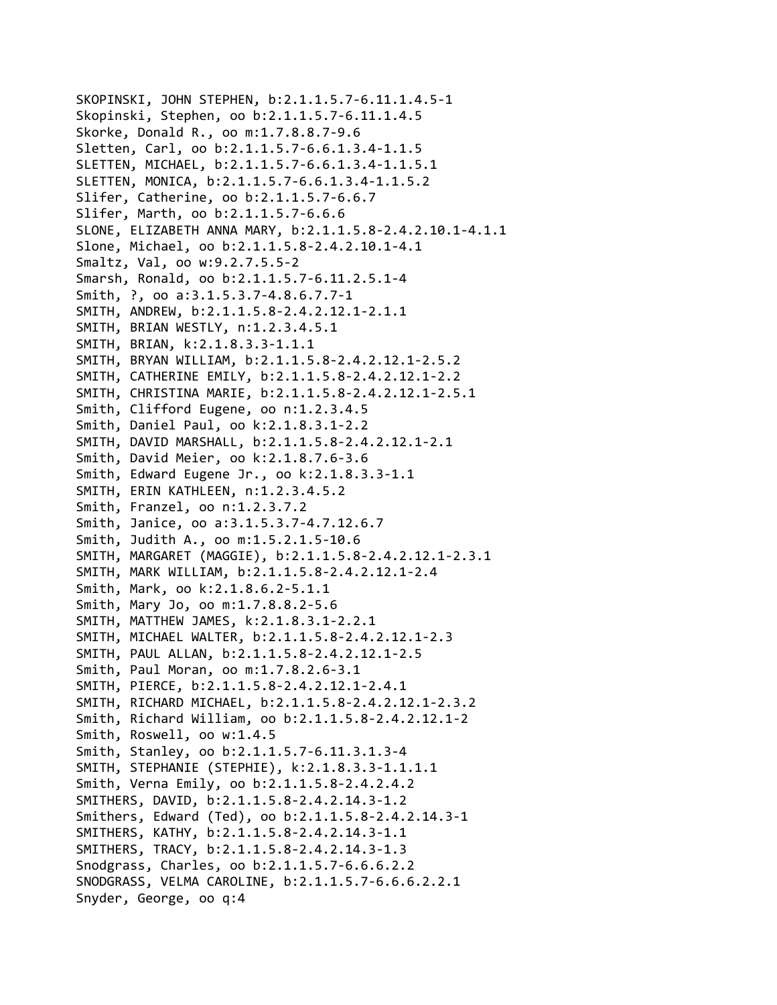```
SKOPINSKI, JOHN STEPHEN, b:2.1.1.5.7‐6.11.1.4.5‐1
Skopinski, Stephen, oo b:2.1.1.5.7‐6.11.1.4.5
Skorke, Donald R., oo m:1.7.8.8.7‐9.6
Sletten, Carl, oo b:2.1.1.5.7‐6.6.1.3.4‐1.1.5
SLETTEN, MICHAEL, b:2.1.1.5.7‐6.6.1.3.4‐1.1.5.1
SLETTEN, MONICA, b:2.1.1.5.7‐6.6.1.3.4‐1.1.5.2
Slifer, Catherine, oo b:2.1.1.5.7‐6.6.7
Slifer, Marth, oo b:2.1.1.5.7‐6.6.6
SLONE, ELIZABETH ANNA MARY, b:2.1.1.5.8‐2.4.2.10.1‐4.1.1
Slone, Michael, oo b:2.1.1.5.8‐2.4.2.10.1‐4.1
Smaltz, Val, oo w:9.2.7.5.5‐2
Smarsh, Ronald, oo b:2.1.1.5.7‐6.11.2.5.1‐4
Smith, ?, oo a:3.1.5.3.7‐4.8.6.7.7‐1
SMITH, ANDREW, b:2.1.1.5.8‐2.4.2.12.1‐2.1.1
SMITH, BRIAN WESTLY, n:1.2.3.4.5.1
SMITH, BRIAN, k:2.1.8.3.3‐1.1.1
SMITH, BRYAN WILLIAM, b:2.1.1.5.8‐2.4.2.12.1‐2.5.2
SMITH, CATHERINE EMILY, b:2.1.1.5.8‐2.4.2.12.1‐2.2
SMITH, CHRISTINA MARIE, b:2.1.1.5.8‐2.4.2.12.1‐2.5.1
Smith, Clifford Eugene, oo n:1.2.3.4.5
Smith, Daniel Paul, oo k:2.1.8.3.1‐2.2
SMITH, DAVID MARSHALL, b:2.1.1.5.8‐2.4.2.12.1‐2.1
Smith, David Meier, oo k:2.1.8.7.6‐3.6
Smith, Edward Eugene Jr., oo k:2.1.8.3.3‐1.1
SMITH, ERIN KATHLEEN, n:1.2.3.4.5.2
Smith, Franzel, oo n:1.2.3.7.2
Smith, Janice, oo a:3.1.5.3.7‐4.7.12.6.7
Smith, Judith A., oo m:1.5.2.1.5‐10.6
SMITH, MARGARET (MAGGIE), b:2.1.1.5.8‐2.4.2.12.1‐2.3.1
SMITH, MARK WILLIAM, b:2.1.1.5.8‐2.4.2.12.1‐2.4
Smith, Mark, oo k:2.1.8.6.2‐5.1.1
Smith, Mary Jo, oo m:1.7.8.8.2‐5.6
SMITH, MATTHEW JAMES, k:2.1.8.3.1‐2.2.1
SMITH, MICHAEL WALTER, b:2.1.1.5.8‐2.4.2.12.1‐2.3
SMITH, PAUL ALLAN, b:2.1.1.5.8‐2.4.2.12.1‐2.5
Smith, Paul Moran, oo m:1.7.8.2.6‐3.1
SMITH, PIERCE, b:2.1.1.5.8‐2.4.2.12.1‐2.4.1
SMITH, RICHARD MICHAEL, b:2.1.1.5.8‐2.4.2.12.1‐2.3.2
Smith, Richard William, oo b:2.1.1.5.8‐2.4.2.12.1‐2
Smith, Roswell, oo w:1.4.5
Smith, Stanley, oo b:2.1.1.5.7‐6.11.3.1.3‐4
SMITH, STEPHANIE (STEPHIE), k:2.1.8.3.3‐1.1.1.1
Smith, Verna Emily, oo b:2.1.1.5.8‐2.4.2.4.2
SMITHERS, DAVID, b:2.1.1.5.8‐2.4.2.14.3‐1.2
Smithers, Edward (Ted), oo b:2.1.1.5.8‐2.4.2.14.3‐1
SMITHERS, KATHY, b:2.1.1.5.8‐2.4.2.14.3‐1.1
SMITHERS, TRACY, b:2.1.1.5.8‐2.4.2.14.3‐1.3
Snodgrass, Charles, oo b:2.1.1.5.7‐6.6.6.2.2
SNODGRASS, VELMA CAROLINE, b:2.1.1.5.7‐6.6.6.2.2.1
Snyder, George, oo q:4
```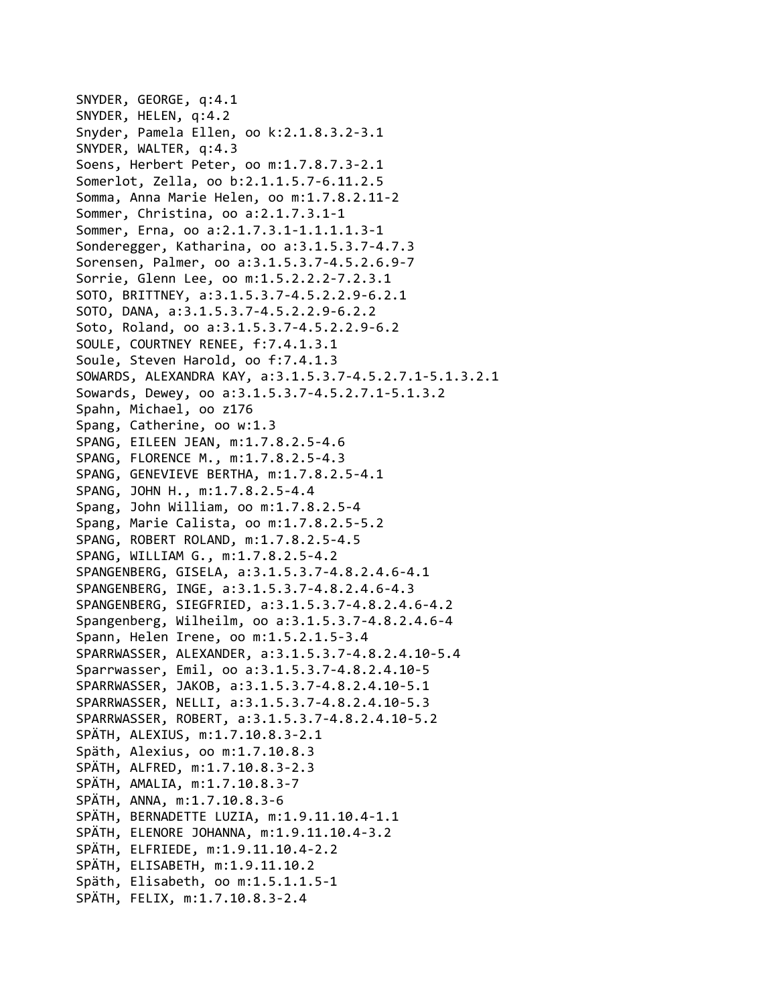```
SNYDER, GEORGE, q:4.1
SNYDER, HELEN, q:4.2
Snyder, Pamela Ellen, oo k:2.1.8.3.2‐3.1
SNYDER, WALTER, q:4.3
Soens, Herbert Peter, oo m:1.7.8.7.3‐2.1
Somerlot, Zella, oo b:2.1.1.5.7‐6.11.2.5
Somma, Anna Marie Helen, oo m:1.7.8.2.11‐2
Sommer, Christina, oo a:2.1.7.3.1‐1
Sommer, Erna, oo a:2.1.7.3.1‐1.1.1.1.3‐1
Sonderegger, Katharina, oo a:3.1.5.3.7‐4.7.3
Sorensen, Palmer, oo a:3.1.5.3.7‐4.5.2.6.9‐7
Sorrie, Glenn Lee, oo m:1.5.2.2.2‐7.2.3.1
SOTO, BRITTNEY, a:3.1.5.3.7‐4.5.2.2.9‐6.2.1
SOTO, DANA, a:3.1.5.3.7‐4.5.2.2.9‐6.2.2
Soto, Roland, oo a:3.1.5.3.7‐4.5.2.2.9‐6.2
SOULE, COURTNEY RENEE, f:7.4.1.3.1
Soule, Steven Harold, oo f:7.4.1.3
SOWARDS, ALEXANDRA KAY, a:3.1.5.3.7‐4.5.2.7.1‐5.1.3.2.1
Sowards, Dewey, oo a:3.1.5.3.7‐4.5.2.7.1‐5.1.3.2
Spahn, Michael, oo z176
Spang, Catherine, oo w:1.3
SPANG, EILEEN JEAN, m:1.7.8.2.5‐4.6
SPANG, FLORENCE M., m:1.7.8.2.5‐4.3
SPANG, GENEVIEVE BERTHA, m:1.7.8.2.5‐4.1
SPANG, JOHN H., m:1.7.8.2.5‐4.4
Spang, John William, oo m:1.7.8.2.5‐4
Spang, Marie Calista, oo m:1.7.8.2.5‐5.2
SPANG, ROBERT ROLAND, m:1.7.8.2.5‐4.5
SPANG, WILLIAM G., m:1.7.8.2.5‐4.2
SPANGENBERG, GISELA, a:3.1.5.3.7‐4.8.2.4.6‐4.1
SPANGENBERG, INGE, a:3.1.5.3.7‐4.8.2.4.6‐4.3
SPANGENBERG, SIEGFRIED, a:3.1.5.3.7‐4.8.2.4.6‐4.2
Spangenberg, Wilheilm, oo a:3.1.5.3.7‐4.8.2.4.6‐4
Spann, Helen Irene, oo m:1.5.2.1.5‐3.4
SPARRWASSER, ALEXANDER, a:3.1.5.3.7‐4.8.2.4.10‐5.4
Sparrwasser, Emil, oo a:3.1.5.3.7‐4.8.2.4.10‐5
SPARRWASSER, JAKOB, a:3.1.5.3.7‐4.8.2.4.10‐5.1
SPARRWASSER, NELLI, a:3.1.5.3.7‐4.8.2.4.10‐5.3
SPARRWASSER, ROBERT, a:3.1.5.3.7‐4.8.2.4.10‐5.2
SPÄTH, ALEXIUS, m:1.7.10.8.3‐2.1
Späth, Alexius, oo m:1.7.10.8.3
SPÄTH, ALFRED, m:1.7.10.8.3‐2.3
SPÄTH, AMALIA, m:1.7.10.8.3‐7
SPÄTH, ANNA, m:1.7.10.8.3‐6
SPÄTH, BERNADETTE LUZIA, m:1.9.11.10.4‐1.1
SPÄTH, ELENORE JOHANNA, m:1.9.11.10.4‐3.2
SPÄTH, ELFRIEDE, m:1.9.11.10.4‐2.2
SPÄTH, ELISABETH, m:1.9.11.10.2
Späth, Elisabeth, oo m:1.5.1.1.5‐1
SPÄTH, FELIX, m:1.7.10.8.3‐2.4
```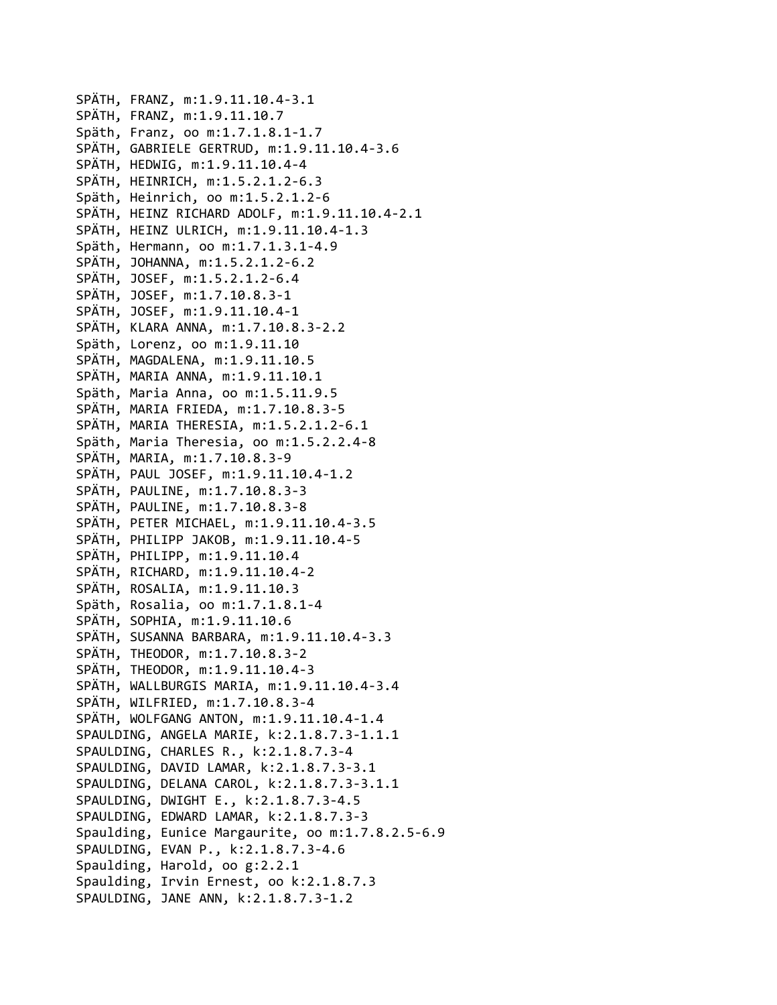SPÄTH, FRANZ, m:1.9.11.10.4‐3.1 SPÄTH, FRANZ, m:1.9.11.10.7 Späth, Franz, oo m:1.7.1.8.1‐1.7 SPÄTH, GABRIELE GERTRUD, m:1.9.11.10.4‐3.6 SPÄTH, HEDWIG, m:1.9.11.10.4‐4 SPÄTH, HEINRICH, m:1.5.2.1.2‐6.3 Späth, Heinrich, oo m:1.5.2.1.2‐6 SPÄTH, HEINZ RICHARD ADOLF, m:1.9.11.10.4‐2.1 SPÄTH, HEINZ ULRICH, m:1.9.11.10.4‐1.3 Späth, Hermann, oo m:1.7.1.3.1‐4.9 SPÄTH, JOHANNA, m:1.5.2.1.2‐6.2 SPÄTH, JOSEF, m:1.5.2.1.2‐6.4 SPÄTH, JOSEF, m:1.7.10.8.3‐1 SPÄTH, JOSEF, m:1.9.11.10.4‐1 SPÄTH, KLARA ANNA, m:1.7.10.8.3‐2.2 Späth, Lorenz, oo m:1.9.11.10 SPÄTH, MAGDALENA, m:1.9.11.10.5 SPÄTH, MARIA ANNA, m:1.9.11.10.1 Späth, Maria Anna, oo m:1.5.11.9.5 SPÄTH, MARIA FRIEDA, m:1.7.10.8.3‐5 SPÄTH, MARIA THERESIA, m:1.5.2.1.2‐6.1 Späth, Maria Theresia, oo m:1.5.2.2.4‐8 SPÄTH, MARIA, m:1.7.10.8.3‐9 SPÄTH, PAUL JOSEF, m:1.9.11.10.4‐1.2 SPÄTH, PAULINE, m:1.7.10.8.3‐3 SPÄTH, PAULINE, m:1.7.10.8.3‐8 SPÄTH, PETER MICHAEL, m:1.9.11.10.4‐3.5 SPÄTH, PHILIPP JAKOB, m:1.9.11.10.4‐5 SPÄTH, PHILIPP, m:1.9.11.10.4 SPÄTH, RICHARD, m:1.9.11.10.4‐2 SPÄTH, ROSALIA, m:1.9.11.10.3 Späth, Rosalia, oo m:1.7.1.8.1‐4 SPÄTH, SOPHIA, m:1.9.11.10.6 SPÄTH, SUSANNA BARBARA, m:1.9.11.10.4‐3.3 SPÄTH, THEODOR, m:1.7.10.8.3‐2 SPÄTH, THEODOR, m:1.9.11.10.4‐3 SPÄTH, WALLBURGIS MARIA, m:1.9.11.10.4‐3.4 SPÄTH, WILFRIED, m:1.7.10.8.3‐4 SPÄTH, WOLFGANG ANTON, m:1.9.11.10.4‐1.4 SPAULDING, ANGELA MARIE, k:2.1.8.7.3‐1.1.1 SPAULDING, CHARLES R., k:2.1.8.7.3‐4 SPAULDING, DAVID LAMAR, k:2.1.8.7.3‐3.1 SPAULDING, DELANA CAROL, k:2.1.8.7.3‐3.1.1 SPAULDING, DWIGHT E., k:2.1.8.7.3‐4.5 SPAULDING, EDWARD LAMAR, k:2.1.8.7.3‐3 Spaulding, Eunice Margaurite, oo m:1.7.8.2.5‐6.9 SPAULDING, EVAN P., k:2.1.8.7.3‐4.6 Spaulding, Harold, oo g:2.2.1 Spaulding, Irvin Ernest, oo k:2.1.8.7.3 SPAULDING, JANE ANN, k:2.1.8.7.3‐1.2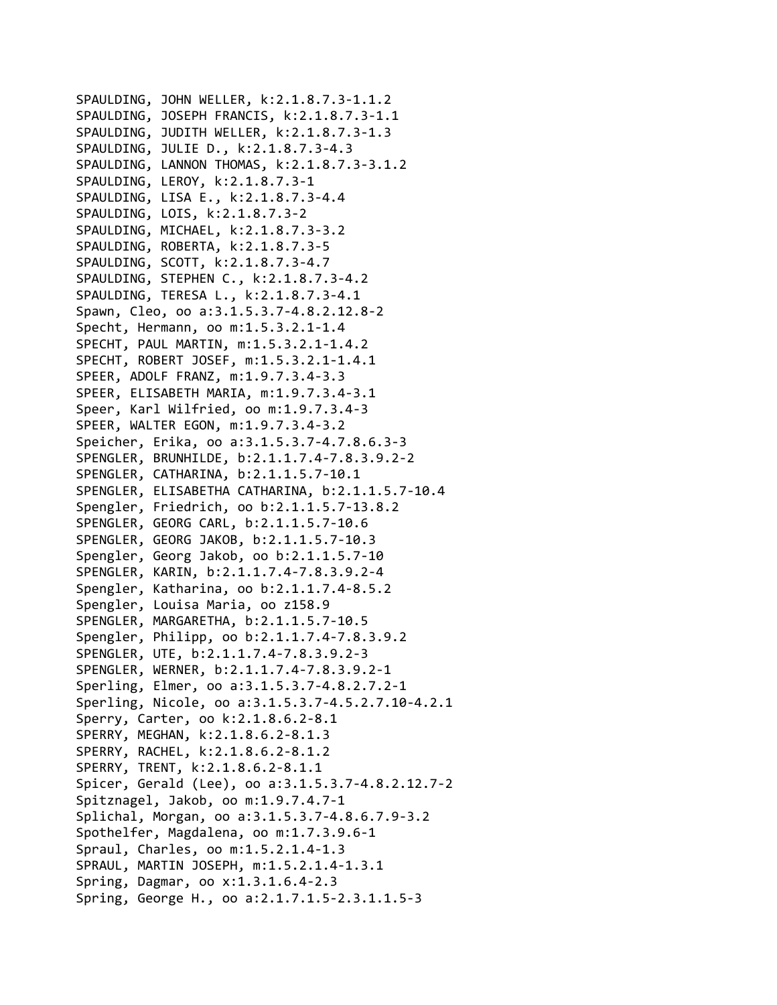SPAULDING, JOHN WELLER, k:2.1.8.7.3‐1.1.2 SPAULDING, JOSEPH FRANCIS, k:2.1.8.7.3‐1.1 SPAULDING, JUDITH WELLER, k:2.1.8.7.3‐1.3 SPAULDING, JULIE D., k:2.1.8.7.3‐4.3 SPAULDING, LANNON THOMAS, k:2.1.8.7.3‐3.1.2 SPAULDING, LEROY, k:2.1.8.7.3‐1 SPAULDING, LISA E., k:2.1.8.7.3‐4.4 SPAULDING, LOIS, k:2.1.8.7.3‐2 SPAULDING, MICHAEL, k:2.1.8.7.3‐3.2 SPAULDING, ROBERTA, k:2.1.8.7.3‐5 SPAULDING, SCOTT, k:2.1.8.7.3‐4.7 SPAULDING, STEPHEN C., k:2.1.8.7.3‐4.2 SPAULDING, TERESA L., k:2.1.8.7.3‐4.1 Spawn, Cleo, oo a:3.1.5.3.7‐4.8.2.12.8‐2 Specht, Hermann, oo m:1.5.3.2.1‐1.4 SPECHT, PAUL MARTIN, m:1.5.3.2.1‐1.4.2 SPECHT, ROBERT JOSEF, m:1.5.3.2.1‐1.4.1 SPEER, ADOLF FRANZ, m:1.9.7.3.4‐3.3 SPEER, ELISABETH MARIA, m:1.9.7.3.4‐3.1 Speer, Karl Wilfried, oo m:1.9.7.3.4‐3 SPEER, WALTER EGON, m:1.9.7.3.4‐3.2 Speicher, Erika, oo a:3.1.5.3.7‐4.7.8.6.3‐3 SPENGLER, BRUNHILDE, b:2.1.1.7.4‐7.8.3.9.2‐2 SPENGLER, CATHARINA, b:2.1.1.5.7‐10.1 SPENGLER, ELISABETHA CATHARINA, b:2.1.1.5.7‐10.4 Spengler, Friedrich, oo b:2.1.1.5.7‐13.8.2 SPENGLER, GEORG CARL, b:2.1.1.5.7‐10.6 SPENGLER, GEORG JAKOB, b:2.1.1.5.7‐10.3 Spengler, Georg Jakob, oo b:2.1.1.5.7‐10 SPENGLER, KARIN, b:2.1.1.7.4‐7.8.3.9.2‐4 Spengler, Katharina, oo b:2.1.1.7.4‐8.5.2 Spengler, Louisa Maria, oo z158.9 SPENGLER, MARGARETHA, b:2.1.1.5.7‐10.5 Spengler, Philipp, oo b:2.1.1.7.4‐7.8.3.9.2 SPENGLER, UTE, b:2.1.1.7.4‐7.8.3.9.2‐3 SPENGLER, WERNER, b:2.1.1.7.4‐7.8.3.9.2‐1 Sperling, Elmer, oo a:3.1.5.3.7‐4.8.2.7.2‐1 Sperling, Nicole, oo a:3.1.5.3.7‐4.5.2.7.10‐4.2.1 Sperry, Carter, oo k:2.1.8.6.2‐8.1 SPERRY, MEGHAN, k:2.1.8.6.2‐8.1.3 SPERRY, RACHEL, k:2.1.8.6.2‐8.1.2 SPERRY, TRENT, k:2.1.8.6.2‐8.1.1 Spicer, Gerald (Lee), oo a:3.1.5.3.7‐4.8.2.12.7‐2 Spitznagel, Jakob, oo m:1.9.7.4.7‐1 Splichal, Morgan, oo a:3.1.5.3.7‐4.8.6.7.9‐3.2 Spothelfer, Magdalena, oo m:1.7.3.9.6‐1 Spraul, Charles, oo m:1.5.2.1.4‐1.3 SPRAUL, MARTIN JOSEPH, m:1.5.2.1.4‐1.3.1 Spring, Dagmar, oo x:1.3.1.6.4‐2.3 Spring, George H., oo a:2.1.7.1.5‐2.3.1.1.5‐3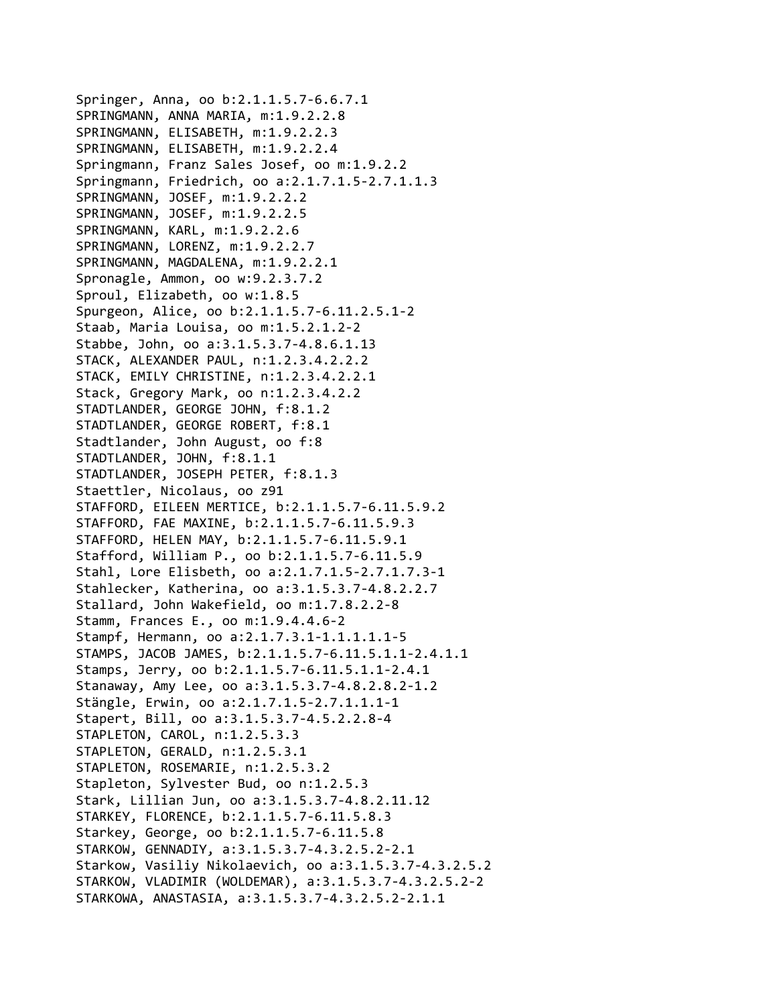Springer, Anna, oo b:2.1.1.5.7‐6.6.7.1 SPRINGMANN, ANNA MARIA, m:1.9.2.2.8 SPRINGMANN, ELISABETH, m:1.9.2.2.3 SPRINGMANN, ELISABETH, m:1.9.2.2.4 Springmann, Franz Sales Josef, oo m:1.9.2.2 Springmann, Friedrich, oo a:2.1.7.1.5‐2.7.1.1.3 SPRINGMANN, JOSEF, m:1.9.2.2.2 SPRINGMANN, JOSEF, m:1.9.2.2.5 SPRINGMANN, KARL, m:1.9.2.2.6 SPRINGMANN, LORENZ, m:1.9.2.2.7 SPRINGMANN, MAGDALENA, m:1.9.2.2.1 Spronagle, Ammon, oo w:9.2.3.7.2 Sproul, Elizabeth, oo w:1.8.5 Spurgeon, Alice, oo b:2.1.1.5.7‐6.11.2.5.1‐2 Staab, Maria Louisa, oo m:1.5.2.1.2‐2 Stabbe, John, oo a:3.1.5.3.7‐4.8.6.1.13 STACK, ALEXANDER PAUL, n:1.2.3.4.2.2.2 STACK, EMILY CHRISTINE, n:1.2.3.4.2.2.1 Stack, Gregory Mark, oo n:1.2.3.4.2.2 STADTLANDER, GEORGE JOHN, f:8.1.2 STADTLANDER, GEORGE ROBERT, f:8.1 Stadtlander, John August, oo f:8 STADTLANDER, JOHN, f:8.1.1 STADTLANDER, JOSEPH PETER, f:8.1.3 Staettler, Nicolaus, oo z91 STAFFORD, EILEEN MERTICE, b:2.1.1.5.7‐6.11.5.9.2 STAFFORD, FAE MAXINE, b:2.1.1.5.7‐6.11.5.9.3 STAFFORD, HELEN MAY, b:2.1.1.5.7‐6.11.5.9.1 Stafford, William P., oo b:2.1.1.5.7‐6.11.5.9 Stahl, Lore Elisbeth, oo a:2.1.7.1.5‐2.7.1.7.3‐1 Stahlecker, Katherina, oo a:3.1.5.3.7‐4.8.2.2.7 Stallard, John Wakefield, oo m:1.7.8.2.2‐8 Stamm, Frances E., oo m:1.9.4.4.6‐2 Stampf, Hermann, oo a:2.1.7.3.1‐1.1.1.1.1‐5 STAMPS, JACOB JAMES, b:2.1.1.5.7‐6.11.5.1.1‐2.4.1.1 Stamps, Jerry, oo b:2.1.1.5.7‐6.11.5.1.1‐2.4.1 Stanaway, Amy Lee, oo a:3.1.5.3.7‐4.8.2.8.2‐1.2 Stängle, Erwin, oo a:2.1.7.1.5‐2.7.1.1.1‐1 Stapert, Bill, oo a:3.1.5.3.7‐4.5.2.2.8‐4 STAPLETON, CAROL, n:1.2.5.3.3 STAPLETON, GERALD, n:1.2.5.3.1 STAPLETON, ROSEMARIE, n:1.2.5.3.2 Stapleton, Sylvester Bud, oo n:1.2.5.3 Stark, Lillian Jun, oo a:3.1.5.3.7‐4.8.2.11.12 STARKEY, FLORENCE, b:2.1.1.5.7‐6.11.5.8.3 Starkey, George, oo b:2.1.1.5.7‐6.11.5.8 STARKOW, GENNADIY, a:3.1.5.3.7‐4.3.2.5.2‐2.1 Starkow, Vasiliy Nikolaevich, oo a:3.1.5.3.7‐4.3.2.5.2 STARKOW, VLADIMIR (WOLDEMAR), a:3.1.5.3.7‐4.3.2.5.2‐2 STARKOWA, ANASTASIA, a:3.1.5.3.7‐4.3.2.5.2‐2.1.1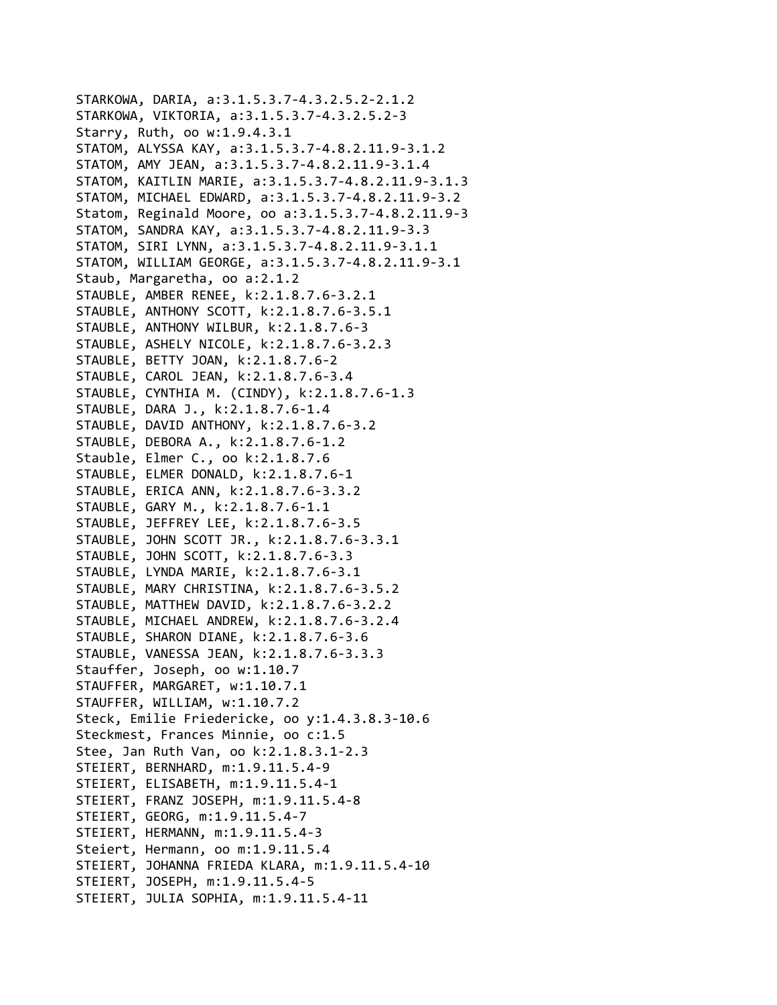```
STARKOWA, DARIA, a:3.1.5.3.7‐4.3.2.5.2‐2.1.2
STARKOWA, VIKTORIA, a:3.1.5.3.7‐4.3.2.5.2‐3
Starry, Ruth, oo w:1.9.4.3.1
STATOM, ALYSSA KAY, a:3.1.5.3.7‐4.8.2.11.9‐3.1.2
STATOM, AMY JEAN, a:3.1.5.3.7‐4.8.2.11.9‐3.1.4
STATOM, KAITLIN MARIE, a:3.1.5.3.7‐4.8.2.11.9‐3.1.3
STATOM, MICHAEL EDWARD, a:3.1.5.3.7‐4.8.2.11.9‐3.2
Statom, Reginald Moore, oo a:3.1.5.3.7‐4.8.2.11.9‐3
STATOM, SANDRA KAY, a:3.1.5.3.7‐4.8.2.11.9‐3.3
STATOM, SIRI LYNN, a:3.1.5.3.7‐4.8.2.11.9‐3.1.1
STATOM, WILLIAM GEORGE, a:3.1.5.3.7‐4.8.2.11.9‐3.1
Staub, Margaretha, oo a:2.1.2
STAUBLE, AMBER RENEE, k:2.1.8.7.6‐3.2.1
STAUBLE, ANTHONY SCOTT, k:2.1.8.7.6‐3.5.1
STAUBLE, ANTHONY WILBUR, k:2.1.8.7.6‐3
STAUBLE, ASHELY NICOLE, k:2.1.8.7.6‐3.2.3
STAUBLE, BETTY JOAN, k:2.1.8.7.6‐2
STAUBLE, CAROL JEAN, k:2.1.8.7.6‐3.4
STAUBLE, CYNTHIA M. (CINDY), k:2.1.8.7.6‐1.3
STAUBLE, DARA J., k:2.1.8.7.6‐1.4
STAUBLE, DAVID ANTHONY, k:2.1.8.7.6‐3.2
STAUBLE, DEBORA A., k:2.1.8.7.6‐1.2
Stauble, Elmer C., oo k:2.1.8.7.6
STAUBLE, ELMER DONALD, k:2.1.8.7.6‐1
STAUBLE, ERICA ANN, k:2.1.8.7.6‐3.3.2
STAUBLE, GARY M., k:2.1.8.7.6‐1.1
STAUBLE, JEFFREY LEE, k:2.1.8.7.6‐3.5
STAUBLE, JOHN SCOTT JR., k:2.1.8.7.6‐3.3.1
STAUBLE, JOHN SCOTT, k:2.1.8.7.6‐3.3
STAUBLE, LYNDA MARIE, k:2.1.8.7.6‐3.1
STAUBLE, MARY CHRISTINA, k:2.1.8.7.6‐3.5.2
STAUBLE, MATTHEW DAVID, k:2.1.8.7.6‐3.2.2
STAUBLE, MICHAEL ANDREW, k:2.1.8.7.6‐3.2.4
STAUBLE, SHARON DIANE, k:2.1.8.7.6‐3.6
STAUBLE, VANESSA JEAN, k:2.1.8.7.6‐3.3.3
Stauffer, Joseph, oo w:1.10.7
STAUFFER, MARGARET, w:1.10.7.1
STAUFFER, WILLIAM, w:1.10.7.2
Steck, Emilie Friedericke, oo y:1.4.3.8.3‐10.6
Steckmest, Frances Minnie, oo c:1.5
Stee, Jan Ruth Van, oo k:2.1.8.3.1‐2.3
STEIERT, BERNHARD, m:1.9.11.5.4‐9
STEIERT, ELISABETH, m:1.9.11.5.4‐1
STEIERT, FRANZ JOSEPH, m:1.9.11.5.4‐8
STEIERT, GEORG, m:1.9.11.5.4‐7
STEIERT, HERMANN, m:1.9.11.5.4‐3
Steiert, Hermann, oo m:1.9.11.5.4
STEIERT, JOHANNA FRIEDA KLARA, m:1.9.11.5.4‐10
STEIERT, JOSEPH, m:1.9.11.5.4‐5
STEIERT, JULIA SOPHIA, m:1.9.11.5.4‐11
```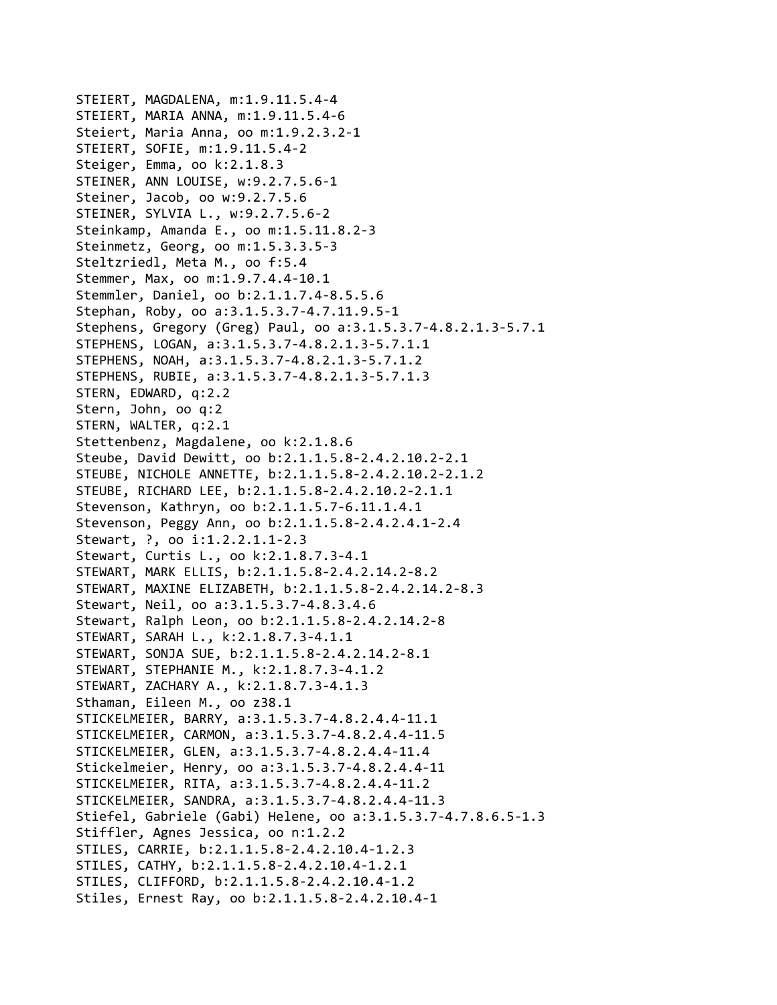STEIERT, MAGDALENA, m:1.9.11.5.4‐4 STEIERT, MARIA ANNA, m:1.9.11.5.4‐6 Steiert, Maria Anna, oo m:1.9.2.3.2‐1 STEIERT, SOFIE, m:1.9.11.5.4‐2 Steiger, Emma, oo k:2.1.8.3 STEINER, ANN LOUISE, w:9.2.7.5.6‐1 Steiner, Jacob, oo w:9.2.7.5.6 STEINER, SYLVIA L., w:9.2.7.5.6‐2 Steinkamp, Amanda E., oo m:1.5.11.8.2‐3 Steinmetz, Georg, oo m:1.5.3.3.5‐3 Steltzriedl, Meta M., oo f:5.4 Stemmer, Max, oo m:1.9.7.4.4‐10.1 Stemmler, Daniel, oo b:2.1.1.7.4‐8.5.5.6 Stephan, Roby, oo a:3.1.5.3.7‐4.7.11.9.5‐1 Stephens, Gregory (Greg) Paul, oo a:3.1.5.3.7‐4.8.2.1.3‐5.7.1 STEPHENS, LOGAN, a:3.1.5.3.7‐4.8.2.1.3‐5.7.1.1 STEPHENS, NOAH, a:3.1.5.3.7‐4.8.2.1.3‐5.7.1.2 STEPHENS, RUBIE, a:3.1.5.3.7‐4.8.2.1.3‐5.7.1.3 STERN, EDWARD, q:2.2 Stern, John, oo q:2 STERN, WALTER, q:2.1 Stettenbenz, Magdalene, oo k:2.1.8.6 Steube, David Dewitt, oo b:2.1.1.5.8‐2.4.2.10.2‐2.1 STEUBE, NICHOLE ANNETTE, b:2.1.1.5.8‐2.4.2.10.2‐2.1.2 STEUBE, RICHARD LEE, b:2.1.1.5.8‐2.4.2.10.2‐2.1.1 Stevenson, Kathryn, oo b:2.1.1.5.7‐6.11.1.4.1 Stevenson, Peggy Ann, oo b:2.1.1.5.8‐2.4.2.4.1‐2.4 Stewart, ?, oo i:1.2.2.1.1‐2.3 Stewart, Curtis L., oo k:2.1.8.7.3‐4.1 STEWART, MARK ELLIS, b:2.1.1.5.8‐2.4.2.14.2‐8.2 STEWART, MAXINE ELIZABETH, b:2.1.1.5.8‐2.4.2.14.2‐8.3 Stewart, Neil, oo a:3.1.5.3.7‐4.8.3.4.6 Stewart, Ralph Leon, oo b:2.1.1.5.8‐2.4.2.14.2‐8 STEWART, SARAH L., k:2.1.8.7.3‐4.1.1 STEWART, SONJA SUE, b:2.1.1.5.8‐2.4.2.14.2‐8.1 STEWART, STEPHANIE M., k:2.1.8.7.3‐4.1.2 STEWART, ZACHARY A., k:2.1.8.7.3‐4.1.3 Sthaman, Eileen M., oo z38.1 STICKELMEIER, BARRY, a:3.1.5.3.7‐4.8.2.4.4‐11.1 STICKELMEIER, CARMON, a:3.1.5.3.7‐4.8.2.4.4‐11.5 STICKELMEIER, GLEN, a:3.1.5.3.7‐4.8.2.4.4‐11.4 Stickelmeier, Henry, oo a:3.1.5.3.7‐4.8.2.4.4‐11 STICKELMEIER, RITA, a:3.1.5.3.7‐4.8.2.4.4‐11.2 STICKELMEIER, SANDRA, a:3.1.5.3.7‐4.8.2.4.4‐11.3 Stiefel, Gabriele (Gabi) Helene, oo a:3.1.5.3.7‐4.7.8.6.5‐1.3 Stiffler, Agnes Jessica, oo n:1.2.2 STILES, CARRIE, b:2.1.1.5.8‐2.4.2.10.4‐1.2.3 STILES, CATHY, b:2.1.1.5.8‐2.4.2.10.4‐1.2.1 STILES, CLIFFORD, b:2.1.1.5.8‐2.4.2.10.4‐1.2 Stiles, Ernest Ray, oo b:2.1.1.5.8‐2.4.2.10.4‐1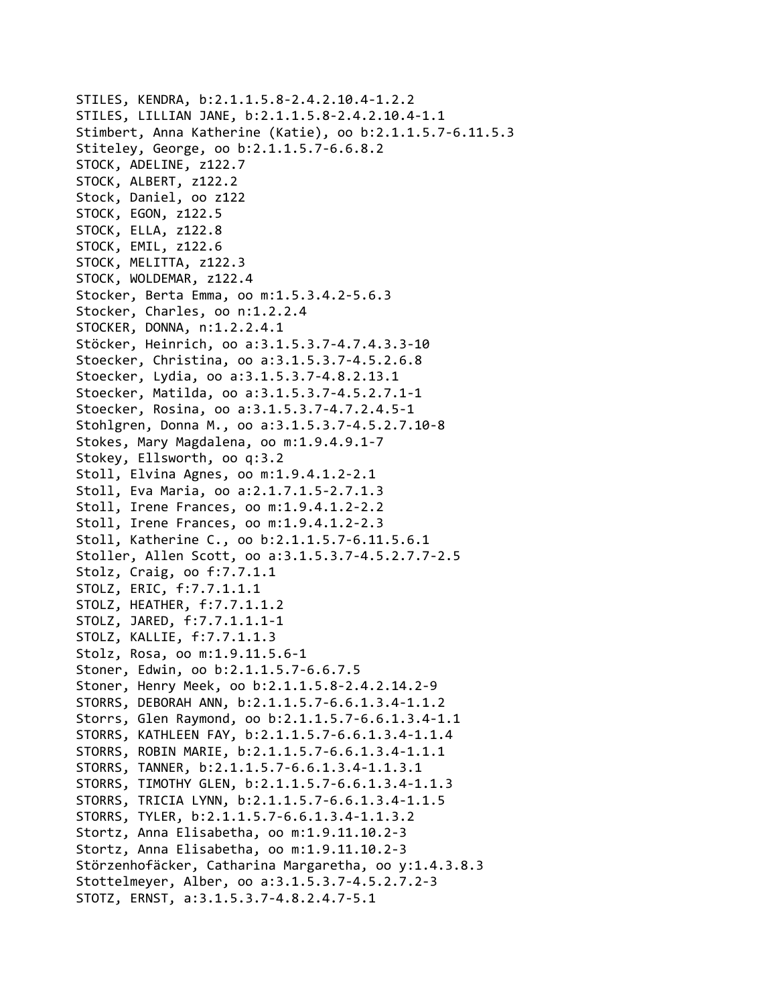```
STILES, KENDRA, b:2.1.1.5.8‐2.4.2.10.4‐1.2.2
STILES, LILLIAN JANE, b:2.1.1.5.8‐2.4.2.10.4‐1.1
Stimbert, Anna Katherine (Katie), oo b:2.1.1.5.7‐6.11.5.3
Stiteley, George, oo b:2.1.1.5.7‐6.6.8.2
STOCK, ADELINE, z122.7
STOCK, ALBERT, z122.2
Stock, Daniel, oo z122
STOCK, EGON, z122.5
STOCK, ELLA, z122.8
STOCK, EMIL, z122.6
STOCK, MELITTA, z122.3
STOCK, WOLDEMAR, z122.4
Stocker, Berta Emma, oo m:1.5.3.4.2‐5.6.3
Stocker, Charles, oo n:1.2.2.4
STOCKER, DONNA, n:1.2.2.4.1
Stöcker, Heinrich, oo a:3.1.5.3.7‐4.7.4.3.3‐10
Stoecker, Christina, oo a:3.1.5.3.7‐4.5.2.6.8
Stoecker, Lydia, oo a:3.1.5.3.7‐4.8.2.13.1
Stoecker, Matilda, oo a:3.1.5.3.7‐4.5.2.7.1‐1
Stoecker, Rosina, oo a:3.1.5.3.7‐4.7.2.4.5‐1
Stohlgren, Donna M., oo a:3.1.5.3.7‐4.5.2.7.10‐8
Stokes, Mary Magdalena, oo m:1.9.4.9.1‐7
Stokey, Ellsworth, oo q:3.2
Stoll, Elvina Agnes, oo m:1.9.4.1.2‐2.1
Stoll, Eva Maria, oo a:2.1.7.1.5‐2.7.1.3
Stoll, Irene Frances, oo m:1.9.4.1.2‐2.2
Stoll, Irene Frances, oo m:1.9.4.1.2‐2.3
Stoll, Katherine C., oo b:2.1.1.5.7‐6.11.5.6.1
Stoller, Allen Scott, oo a:3.1.5.3.7‐4.5.2.7.7‐2.5
Stolz, Craig, oo f:7.7.1.1
STOLZ, ERIC, f:7.7.1.1.1
STOLZ, HEATHER, f:7.7.1.1.2
STOLZ, JARED, f:7.7.1.1.1‐1
STOLZ, KALLIE, f:7.7.1.1.3
Stolz, Rosa, oo m:1.9.11.5.6‐1
Stoner, Edwin, oo b:2.1.1.5.7‐6.6.7.5
Stoner, Henry Meek, oo b:2.1.1.5.8‐2.4.2.14.2‐9
STORRS, DEBORAH ANN, b:2.1.1.5.7‐6.6.1.3.4‐1.1.2
Storrs, Glen Raymond, oo b:2.1.1.5.7‐6.6.1.3.4‐1.1
STORRS, KATHLEEN FAY, b:2.1.1.5.7‐6.6.1.3.4‐1.1.4
STORRS, ROBIN MARIE, b:2.1.1.5.7‐6.6.1.3.4‐1.1.1
STORRS, TANNER, b:2.1.1.5.7‐6.6.1.3.4‐1.1.3.1
STORRS, TIMOTHY GLEN, b:2.1.1.5.7‐6.6.1.3.4‐1.1.3
STORRS, TRICIA LYNN, b:2.1.1.5.7‐6.6.1.3.4‐1.1.5
STORRS, TYLER, b:2.1.1.5.7‐6.6.1.3.4‐1.1.3.2
Stortz, Anna Elisabetha, oo m:1.9.11.10.2‐3
Stortz, Anna Elisabetha, oo m:1.9.11.10.2‐3
Störzenhofäcker, Catharina Margaretha, oo y:1.4.3.8.3
Stottelmeyer, Alber, oo a:3.1.5.3.7‐4.5.2.7.2‐3
STOTZ, ERNST, a:3.1.5.3.7‐4.8.2.4.7‐5.1
```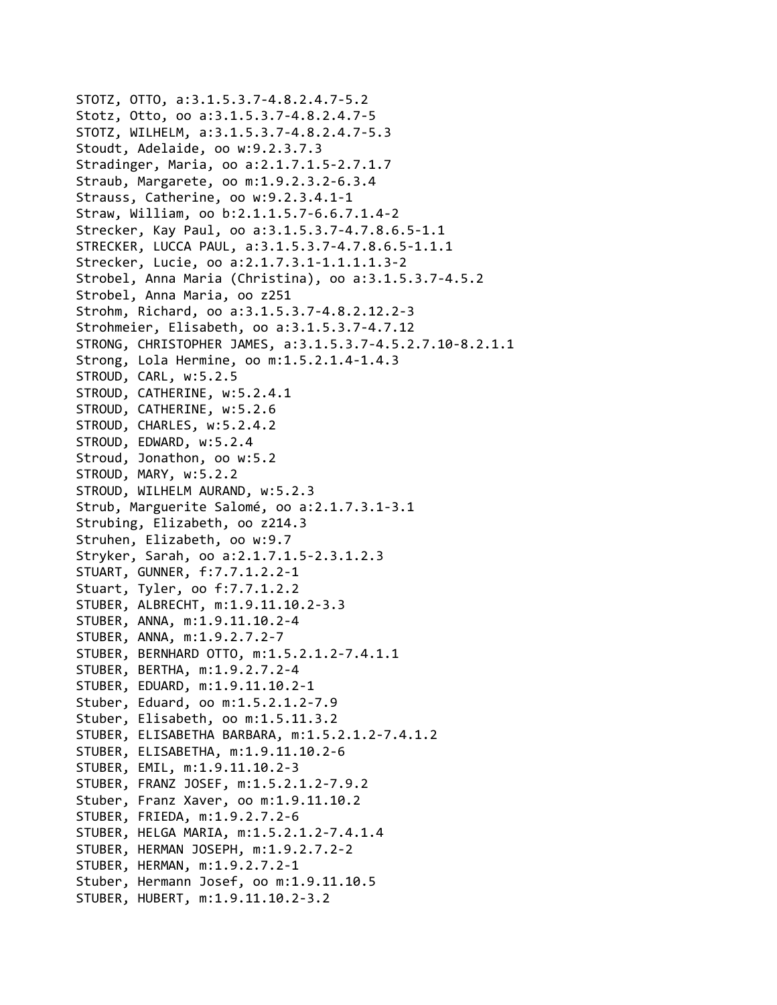```
STOTZ, OTTO, a:3.1.5.3.7‐4.8.2.4.7‐5.2
Stotz, Otto, oo a:3.1.5.3.7‐4.8.2.4.7‐5
STOTZ, WILHELM, a:3.1.5.3.7‐4.8.2.4.7‐5.3
Stoudt, Adelaide, oo w:9.2.3.7.3
Stradinger, Maria, oo a:2.1.7.1.5‐2.7.1.7
Straub, Margarete, oo m:1.9.2.3.2‐6.3.4
Strauss, Catherine, oo w:9.2.3.4.1‐1
Straw, William, oo b:2.1.1.5.7‐6.6.7.1.4‐2
Strecker, Kay Paul, oo a:3.1.5.3.7‐4.7.8.6.5‐1.1
STRECKER, LUCCA PAUL, a:3.1.5.3.7‐4.7.8.6.5‐1.1.1
Strecker, Lucie, oo a:2.1.7.3.1‐1.1.1.1.3‐2
Strobel, Anna Maria (Christina), oo a:3.1.5.3.7‐4.5.2
Strobel, Anna Maria, oo z251
Strohm, Richard, oo a:3.1.5.3.7‐4.8.2.12.2‐3
Strohmeier, Elisabeth, oo a:3.1.5.3.7‐4.7.12
STRONG, CHRISTOPHER JAMES, a:3.1.5.3.7‐4.5.2.7.10‐8.2.1.1
Strong, Lola Hermine, oo m:1.5.2.1.4‐1.4.3
STROUD, CARL, w:5.2.5
STROUD, CATHERINE, w:5.2.4.1
STROUD, CATHERINE, w:5.2.6
STROUD, CHARLES, w:5.2.4.2
STROUD, EDWARD, w:5.2.4
Stroud, Jonathon, oo w:5.2
STROUD, MARY, w:5.2.2
STROUD, WILHELM AURAND, w:5.2.3
Strub, Marguerite Salomé, oo a:2.1.7.3.1‐3.1
Strubing, Elizabeth, oo z214.3
Struhen, Elizabeth, oo w:9.7
Stryker, Sarah, oo a:2.1.7.1.5‐2.3.1.2.3
STUART, GUNNER, f:7.7.1.2.2‐1
Stuart, Tyler, oo f:7.7.1.2.2
STUBER, ALBRECHT, m:1.9.11.10.2‐3.3
STUBER, ANNA, m:1.9.11.10.2‐4
STUBER, ANNA, m:1.9.2.7.2‐7
STUBER, BERNHARD OTTO, m:1.5.2.1.2‐7.4.1.1
STUBER, BERTHA, m:1.9.2.7.2‐4
STUBER, EDUARD, m:1.9.11.10.2‐1
Stuber, Eduard, oo m:1.5.2.1.2‐7.9
Stuber, Elisabeth, oo m:1.5.11.3.2
STUBER, ELISABETHA BARBARA, m:1.5.2.1.2‐7.4.1.2
STUBER, ELISABETHA, m:1.9.11.10.2‐6
STUBER, EMIL, m:1.9.11.10.2‐3
STUBER, FRANZ JOSEF, m:1.5.2.1.2‐7.9.2
Stuber, Franz Xaver, oo m:1.9.11.10.2
STUBER, FRIEDA, m:1.9.2.7.2‐6
STUBER, HELGA MARIA, m:1.5.2.1.2‐7.4.1.4
STUBER, HERMAN JOSEPH, m:1.9.2.7.2‐2
STUBER, HERMAN, m:1.9.2.7.2‐1
Stuber, Hermann Josef, oo m:1.9.11.10.5
STUBER, HUBERT, m:1.9.11.10.2‐3.2
```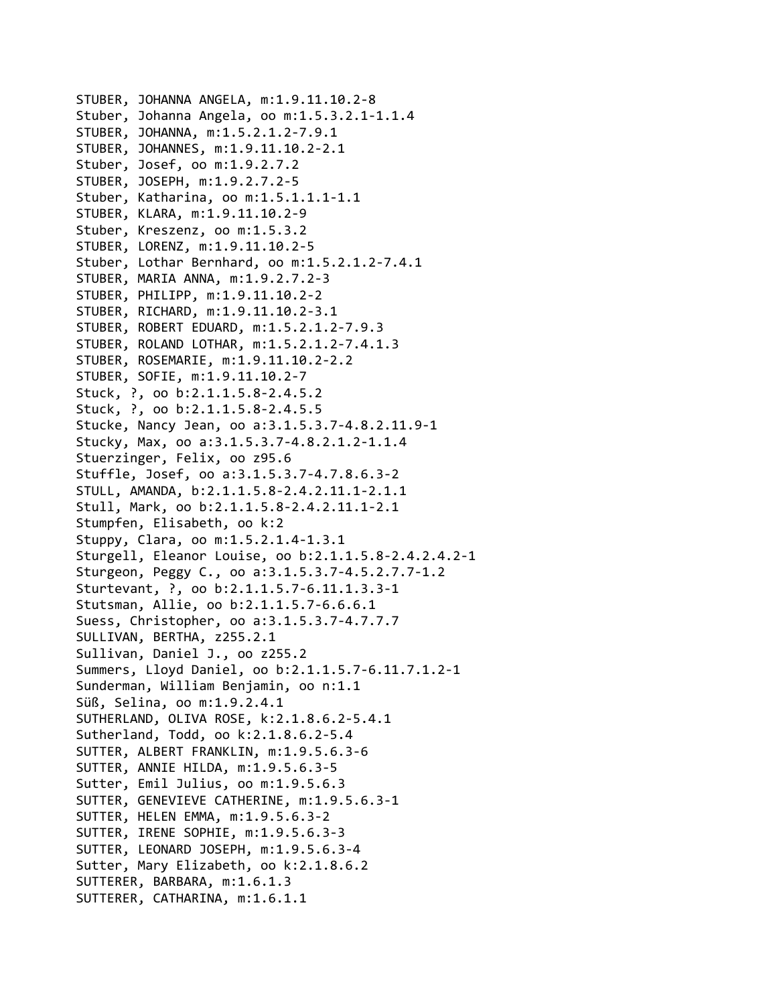STUBER, JOHANNA ANGELA, m:1.9.11.10.2‐8 Stuber, Johanna Angela, oo m:1.5.3.2.1‐1.1.4 STUBER, JOHANNA, m:1.5.2.1.2‐7.9.1 STUBER, JOHANNES, m:1.9.11.10.2‐2.1 Stuber, Josef, oo m:1.9.2.7.2 STUBER, JOSEPH, m:1.9.2.7.2‐5 Stuber, Katharina, oo m:1.5.1.1.1‐1.1 STUBER, KLARA, m:1.9.11.10.2‐9 Stuber, Kreszenz, oo m:1.5.3.2 STUBER, LORENZ, m:1.9.11.10.2‐5 Stuber, Lothar Bernhard, oo m:1.5.2.1.2‐7.4.1 STUBER, MARIA ANNA, m:1.9.2.7.2‐3 STUBER, PHILIPP, m:1.9.11.10.2‐2 STUBER, RICHARD, m:1.9.11.10.2‐3.1 STUBER, ROBERT EDUARD, m:1.5.2.1.2‐7.9.3 STUBER, ROLAND LOTHAR, m:1.5.2.1.2‐7.4.1.3 STUBER, ROSEMARIE, m:1.9.11.10.2‐2.2 STUBER, SOFIE, m:1.9.11.10.2‐7 Stuck, ?, oo b:2.1.1.5.8‐2.4.5.2 Stuck, ?, oo b:2.1.1.5.8‐2.4.5.5 Stucke, Nancy Jean, oo a:3.1.5.3.7‐4.8.2.11.9‐1 Stucky, Max, oo a:3.1.5.3.7‐4.8.2.1.2‐1.1.4 Stuerzinger, Felix, oo z95.6 Stuffle, Josef, oo a:3.1.5.3.7‐4.7.8.6.3‐2 STULL, AMANDA, b:2.1.1.5.8‐2.4.2.11.1‐2.1.1 Stull, Mark, oo b:2.1.1.5.8‐2.4.2.11.1‐2.1 Stumpfen, Elisabeth, oo k:2 Stuppy, Clara, oo m:1.5.2.1.4‐1.3.1 Sturgell, Eleanor Louise, oo b:2.1.1.5.8‐2.4.2.4.2‐1 Sturgeon, Peggy C., oo a:3.1.5.3.7‐4.5.2.7.7‐1.2 Sturtevant, ?, oo b:2.1.1.5.7‐6.11.1.3.3‐1 Stutsman, Allie, oo b:2.1.1.5.7‐6.6.6.1 Suess, Christopher, oo a:3.1.5.3.7‐4.7.7.7 SULLIVAN, BERTHA, z255.2.1 Sullivan, Daniel J., oo z255.2 Summers, Lloyd Daniel, oo b:2.1.1.5.7‐6.11.7.1.2‐1 Sunderman, William Benjamin, oo n:1.1 Süß, Selina, oo m:1.9.2.4.1 SUTHERLAND, OLIVA ROSE, k:2.1.8.6.2‐5.4.1 Sutherland, Todd, oo k:2.1.8.6.2‐5.4 SUTTER, ALBERT FRANKLIN, m:1.9.5.6.3‐6 SUTTER, ANNIE HILDA, m:1.9.5.6.3‐5 Sutter, Emil Julius, oo m:1.9.5.6.3 SUTTER, GENEVIEVE CATHERINE, m:1.9.5.6.3‐1 SUTTER, HELEN EMMA, m:1.9.5.6.3‐2 SUTTER, IRENE SOPHIE, m:1.9.5.6.3‐3 SUTTER, LEONARD JOSEPH, m:1.9.5.6.3‐4 Sutter, Mary Elizabeth, oo k:2.1.8.6.2 SUTTERER, BARBARA, m:1.6.1.3 SUTTERER, CATHARINA, m:1.6.1.1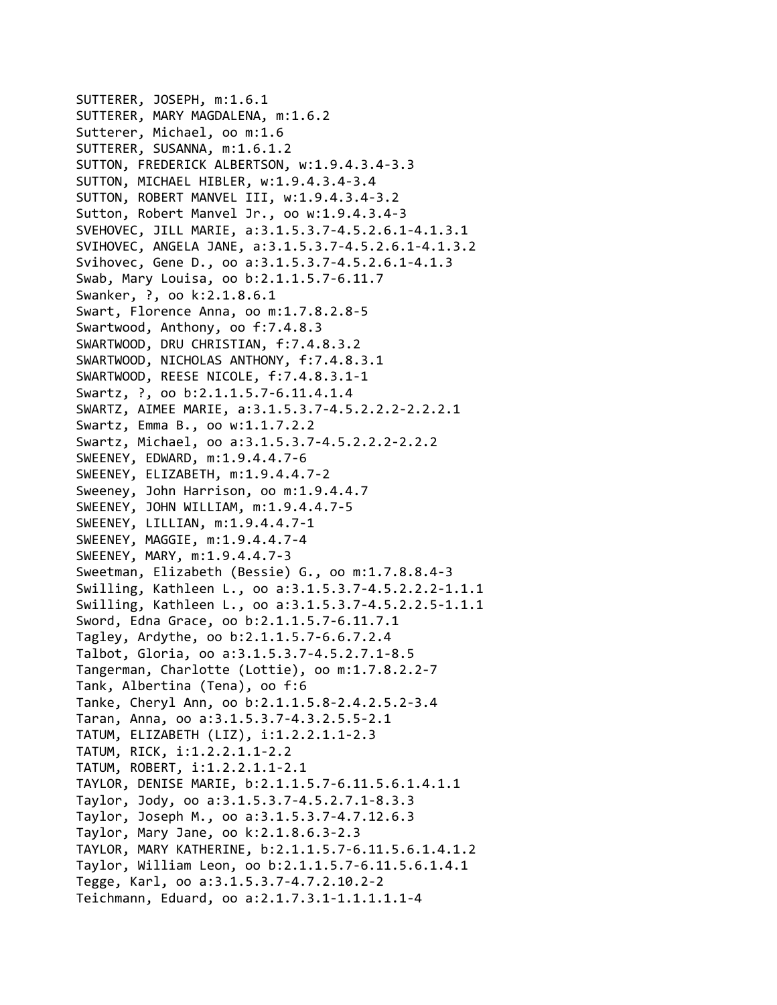SUTTERER, JOSEPH, m:1.6.1 SUTTERER, MARY MAGDALENA, m:1.6.2 Sutterer, Michael, oo m:1.6 SUTTERER, SUSANNA, m:1.6.1.2 SUTTON, FREDERICK ALBERTSON, w:1.9.4.3.4‐3.3 SUTTON, MICHAEL HIBLER, w:1.9.4.3.4‐3.4 SUTTON, ROBERT MANVEL III, w:1.9.4.3.4‐3.2 Sutton, Robert Manvel Jr., oo w:1.9.4.3.4‐3 SVEHOVEC, JILL MARIE, a:3.1.5.3.7‐4.5.2.6.1‐4.1.3.1 SVIHOVEC, ANGELA JANE, a:3.1.5.3.7‐4.5.2.6.1‐4.1.3.2 Svihovec, Gene D., oo a:3.1.5.3.7‐4.5.2.6.1‐4.1.3 Swab, Mary Louisa, oo b:2.1.1.5.7‐6.11.7 Swanker, ?, oo k:2.1.8.6.1 Swart, Florence Anna, oo m:1.7.8.2.8‐5 Swartwood, Anthony, oo f:7.4.8.3 SWARTWOOD, DRU CHRISTIAN, f:7.4.8.3.2 SWARTWOOD, NICHOLAS ANTHONY, f:7.4.8.3.1 SWARTWOOD, REESE NICOLE, f:7.4.8.3.1‐1 Swartz, ?, oo b:2.1.1.5.7‐6.11.4.1.4 SWARTZ, AIMEE MARIE, a:3.1.5.3.7‐4.5.2.2.2‐2.2.2.1 Swartz, Emma B., oo w:1.1.7.2.2 Swartz, Michael, oo a:3.1.5.3.7‐4.5.2.2.2‐2.2.2 SWEENEY, EDWARD, m:1.9.4.4.7‐6 SWEENEY, ELIZABETH, m:1.9.4.4.7‐2 Sweeney, John Harrison, oo m:1.9.4.4.7 SWEENEY, JOHN WILLIAM, m:1.9.4.4.7‐5 SWEENEY, LILLIAN, m:1.9.4.4.7‐1 SWEENEY, MAGGIE, m:1.9.4.4.7‐4 SWEENEY, MARY, m:1.9.4.4.7‐3 Sweetman, Elizabeth (Bessie) G., oo m:1.7.8.8.4‐3 Swilling, Kathleen L., oo a:3.1.5.3.7‐4.5.2.2.2‐1.1.1 Swilling, Kathleen L., oo a:3.1.5.3.7‐4.5.2.2.5‐1.1.1 Sword, Edna Grace, oo b:2.1.1.5.7‐6.11.7.1 Tagley, Ardythe, oo b:2.1.1.5.7‐6.6.7.2.4 Talbot, Gloria, oo a:3.1.5.3.7‐4.5.2.7.1‐8.5 Tangerman, Charlotte (Lottie), oo m:1.7.8.2.2‐7 Tank, Albertina (Tena), oo f:6 Tanke, Cheryl Ann, oo b:2.1.1.5.8‐2.4.2.5.2‐3.4 Taran, Anna, oo a:3.1.5.3.7‐4.3.2.5.5‐2.1 TATUM, ELIZABETH (LIZ), i:1.2.2.1.1‐2.3 TATUM, RICK, i:1.2.2.1.1‐2.2 TATUM, ROBERT, i:1.2.2.1.1‐2.1 TAYLOR, DENISE MARIE, b:2.1.1.5.7‐6.11.5.6.1.4.1.1 Taylor, Jody, oo a:3.1.5.3.7‐4.5.2.7.1‐8.3.3 Taylor, Joseph M., oo a:3.1.5.3.7‐4.7.12.6.3 Taylor, Mary Jane, oo k:2.1.8.6.3‐2.3 TAYLOR, MARY KATHERINE, b:2.1.1.5.7‐6.11.5.6.1.4.1.2 Taylor, William Leon, oo b:2.1.1.5.7‐6.11.5.6.1.4.1 Tegge, Karl, oo a:3.1.5.3.7‐4.7.2.10.2‐2 Teichmann, Eduard, oo a:2.1.7.3.1‐1.1.1.1.1‐4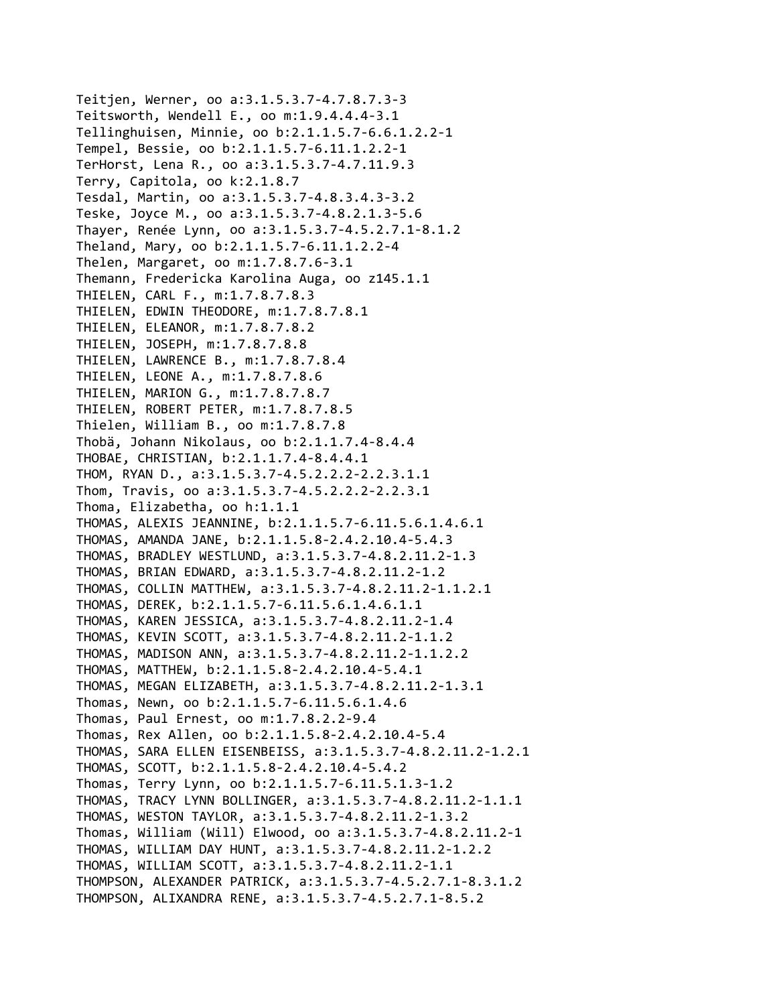Teitjen, Werner, oo a:3.1.5.3.7‐4.7.8.7.3‐3 Teitsworth, Wendell E., oo m:1.9.4.4.4‐3.1 Tellinghuisen, Minnie, oo b:2.1.1.5.7‐6.6.1.2.2‐1 Tempel, Bessie, oo b:2.1.1.5.7‐6.11.1.2.2‐1 TerHorst, Lena R., oo a:3.1.5.3.7‐4.7.11.9.3 Terry, Capitola, oo k:2.1.8.7 Tesdal, Martin, oo a:3.1.5.3.7‐4.8.3.4.3‐3.2 Teske, Joyce M., oo a:3.1.5.3.7‐4.8.2.1.3‐5.6 Thayer, Renée Lynn, oo a:3.1.5.3.7‐4.5.2.7.1‐8.1.2 Theland, Mary, oo b:2.1.1.5.7‐6.11.1.2.2‐4 Thelen, Margaret, oo m:1.7.8.7.6‐3.1 Themann, Fredericka Karolina Auga, oo z145.1.1 THIELEN, CARL F., m:1.7.8.7.8.3 THIELEN, EDWIN THEODORE, m:1.7.8.7.8.1 THIELEN, ELEANOR, m:1.7.8.7.8.2 THIELEN, JOSEPH, m:1.7.8.7.8.8 THIELEN, LAWRENCE B., m:1.7.8.7.8.4 THIELEN, LEONE A., m:1.7.8.7.8.6 THIELEN, MARION G., m:1.7.8.7.8.7 THIELEN, ROBERT PETER, m:1.7.8.7.8.5 Thielen, William B., oo m:1.7.8.7.8 Thobä, Johann Nikolaus, oo b:2.1.1.7.4‐8.4.4 THOBAE, CHRISTIAN, b:2.1.1.7.4‐8.4.4.1 THOM, RYAN D., a:3.1.5.3.7‐4.5.2.2.2‐2.2.3.1.1 Thom, Travis, oo a:3.1.5.3.7‐4.5.2.2.2‐2.2.3.1 Thoma, Elizabetha, oo h:1.1.1 THOMAS, ALEXIS JEANNINE, b:2.1.1.5.7‐6.11.5.6.1.4.6.1 THOMAS, AMANDA JANE, b:2.1.1.5.8‐2.4.2.10.4‐5.4.3 THOMAS, BRADLEY WESTLUND, a:3.1.5.3.7‐4.8.2.11.2‐1.3 THOMAS, BRIAN EDWARD, a:3.1.5.3.7‐4.8.2.11.2‐1.2 THOMAS, COLLIN MATTHEW, a:3.1.5.3.7‐4.8.2.11.2‐1.1.2.1 THOMAS, DEREK, b:2.1.1.5.7‐6.11.5.6.1.4.6.1.1 THOMAS, KAREN JESSICA, a:3.1.5.3.7‐4.8.2.11.2‐1.4 THOMAS, KEVIN SCOTT, a:3.1.5.3.7‐4.8.2.11.2‐1.1.2 THOMAS, MADISON ANN, a:3.1.5.3.7‐4.8.2.11.2‐1.1.2.2 THOMAS, MATTHEW, b:2.1.1.5.8‐2.4.2.10.4‐5.4.1 THOMAS, MEGAN ELIZABETH, a:3.1.5.3.7‐4.8.2.11.2‐1.3.1 Thomas, Newn, oo b:2.1.1.5.7‐6.11.5.6.1.4.6 Thomas, Paul Ernest, oo m:1.7.8.2.2‐9.4 Thomas, Rex Allen, oo b:2.1.1.5.8‐2.4.2.10.4‐5.4 THOMAS, SARA ELLEN EISENBEISS, a:3.1.5.3.7‐4.8.2.11.2‐1.2.1 THOMAS, SCOTT, b:2.1.1.5.8‐2.4.2.10.4‐5.4.2 Thomas, Terry Lynn, oo b:2.1.1.5.7‐6.11.5.1.3‐1.2 THOMAS, TRACY LYNN BOLLINGER, a:3.1.5.3.7‐4.8.2.11.2‐1.1.1 THOMAS, WESTON TAYLOR, a:3.1.5.3.7‐4.8.2.11.2‐1.3.2 Thomas, William (Will) Elwood, oo a:3.1.5.3.7‐4.8.2.11.2‐1 THOMAS, WILLIAM DAY HUNT, a:3.1.5.3.7‐4.8.2.11.2‐1.2.2 THOMAS, WILLIAM SCOTT, a:3.1.5.3.7‐4.8.2.11.2‐1.1 THOMPSON, ALEXANDER PATRICK, a:3.1.5.3.7‐4.5.2.7.1‐8.3.1.2 THOMPSON, ALIXANDRA RENE, a:3.1.5.3.7‐4.5.2.7.1‐8.5.2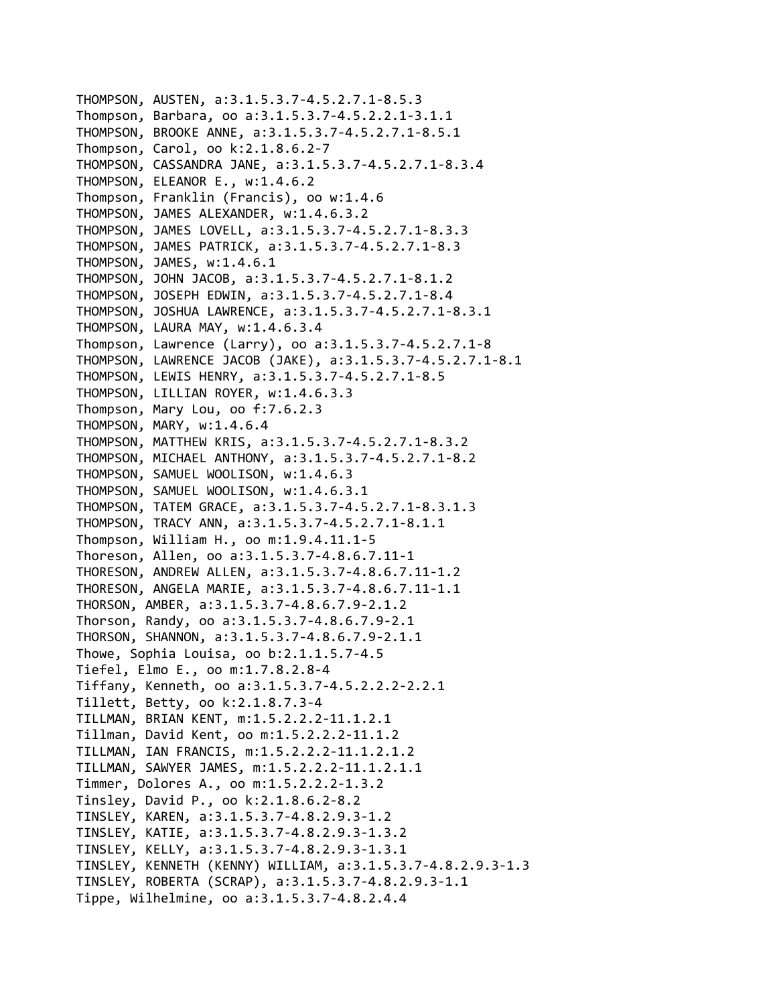```
THOMPSON, AUSTEN, a:3.1.5.3.7‐4.5.2.7.1‐8.5.3
Thompson, Barbara, oo a:3.1.5.3.7‐4.5.2.2.1‐3.1.1
THOMPSON, BROOKE ANNE, a:3.1.5.3.7‐4.5.2.7.1‐8.5.1
Thompson, Carol, oo k:2.1.8.6.2‐7
THOMPSON, CASSANDRA JANE, a:3.1.5.3.7‐4.5.2.7.1‐8.3.4
THOMPSON, ELEANOR E., w:1.4.6.2
Thompson, Franklin (Francis), oo w:1.4.6
THOMPSON, JAMES ALEXANDER, w:1.4.6.3.2
THOMPSON, JAMES LOVELL, a:3.1.5.3.7‐4.5.2.7.1‐8.3.3
THOMPSON, JAMES PATRICK, a:3.1.5.3.7‐4.5.2.7.1‐8.3
THOMPSON, JAMES, w:1.4.6.1
THOMPSON, JOHN JACOB, a:3.1.5.3.7‐4.5.2.7.1‐8.1.2
THOMPSON, JOSEPH EDWIN, a:3.1.5.3.7‐4.5.2.7.1‐8.4
THOMPSON, JOSHUA LAWRENCE, a:3.1.5.3.7‐4.5.2.7.1‐8.3.1
THOMPSON, LAURA MAY, w:1.4.6.3.4
Thompson, Lawrence (Larry), oo a:3.1.5.3.7‐4.5.2.7.1‐8
THOMPSON, LAWRENCE JACOB (JAKE), a:3.1.5.3.7‐4.5.2.7.1‐8.1
THOMPSON, LEWIS HENRY, a:3.1.5.3.7‐4.5.2.7.1‐8.5
THOMPSON, LILLIAN ROYER, w:1.4.6.3.3
Thompson, Mary Lou, oo f:7.6.2.3
THOMPSON, MARY, w:1.4.6.4
THOMPSON, MATTHEW KRIS, a:3.1.5.3.7‐4.5.2.7.1‐8.3.2
THOMPSON, MICHAEL ANTHONY, a:3.1.5.3.7‐4.5.2.7.1‐8.2
THOMPSON, SAMUEL WOOLISON, w:1.4.6.3
THOMPSON, SAMUEL WOOLISON, w:1.4.6.3.1
THOMPSON, TATEM GRACE, a:3.1.5.3.7‐4.5.2.7.1‐8.3.1.3
THOMPSON, TRACY ANN, a:3.1.5.3.7‐4.5.2.7.1‐8.1.1
Thompson, William H., oo m:1.9.4.11.1‐5
Thoreson, Allen, oo a:3.1.5.3.7‐4.8.6.7.11‐1
THORESON, ANDREW ALLEN, a:3.1.5.3.7‐4.8.6.7.11‐1.2
THORESON, ANGELA MARIE, a:3.1.5.3.7‐4.8.6.7.11‐1.1
THORSON, AMBER, a:3.1.5.3.7‐4.8.6.7.9‐2.1.2
Thorson, Randy, oo a:3.1.5.3.7‐4.8.6.7.9‐2.1
THORSON, SHANNON, a:3.1.5.3.7‐4.8.6.7.9‐2.1.1
Thowe, Sophia Louisa, oo b:2.1.1.5.7‐4.5
Tiefel, Elmo E., oo m:1.7.8.2.8‐4
Tiffany, Kenneth, oo a:3.1.5.3.7‐4.5.2.2.2‐2.2.1
Tillett, Betty, oo k:2.1.8.7.3‐4
TILLMAN, BRIAN KENT, m:1.5.2.2.2‐11.1.2.1
Tillman, David Kent, oo m:1.5.2.2.2‐11.1.2
TILLMAN, IAN FRANCIS, m:1.5.2.2.2‐11.1.2.1.2
TILLMAN, SAWYER JAMES, m:1.5.2.2.2‐11.1.2.1.1
Timmer, Dolores A., oo m:1.5.2.2.2‐1.3.2
Tinsley, David P., oo k:2.1.8.6.2‐8.2
TINSLEY, KAREN, a:3.1.5.3.7‐4.8.2.9.3‐1.2
TINSLEY, KATIE, a:3.1.5.3.7‐4.8.2.9.3‐1.3.2
TINSLEY, KELLY, a:3.1.5.3.7‐4.8.2.9.3‐1.3.1
TINSLEY, KENNETH (KENNY) WILLIAM, a:3.1.5.3.7‐4.8.2.9.3‐1.3
TINSLEY, ROBERTA (SCRAP), a:3.1.5.3.7‐4.8.2.9.3‐1.1
Tippe, Wilhelmine, oo a:3.1.5.3.7‐4.8.2.4.4
```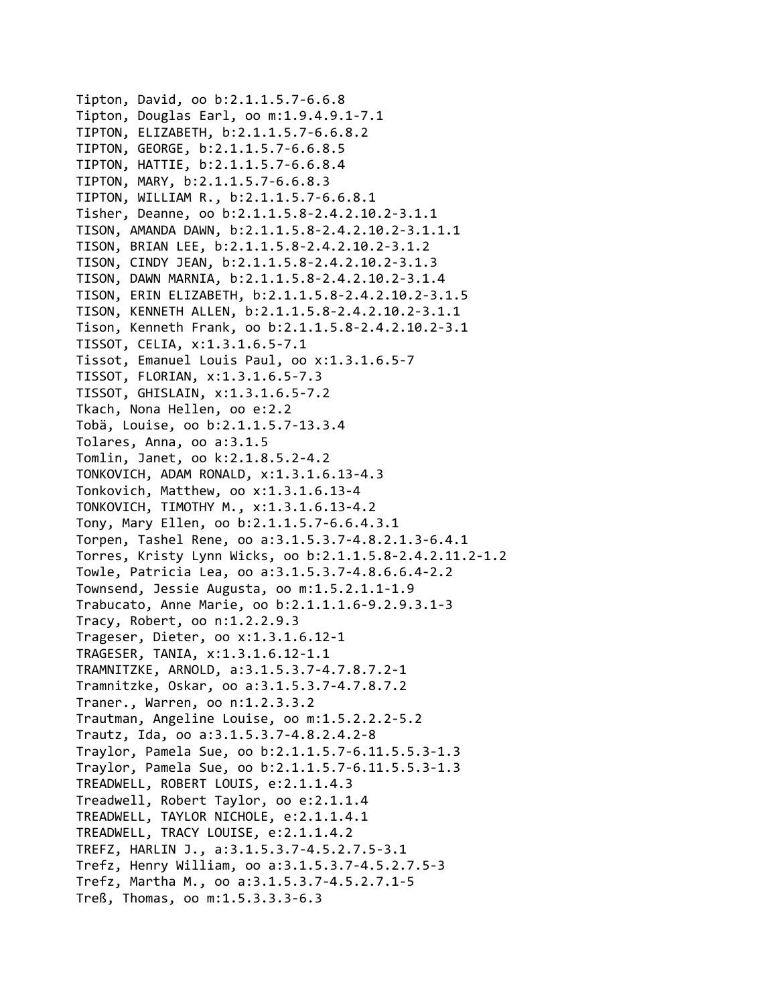Tipton, David, oo b:2.1.1.5.7‐6.6.8 Tipton, Douglas Earl, oo m:1.9.4.9.1‐7.1 TIPTON, ELIZABETH, b:2.1.1.5.7‐6.6.8.2 TIPTON, GEORGE, b:2.1.1.5.7‐6.6.8.5 TIPTON, HATTIE, b:2.1.1.5.7‐6.6.8.4 TIPTON, MARY, b:2.1.1.5.7‐6.6.8.3 TIPTON, WILLIAM R., b:2.1.1.5.7‐6.6.8.1 Tisher, Deanne, oo b:2.1.1.5.8‐2.4.2.10.2‐3.1.1 TISON, AMANDA DAWN, b:2.1.1.5.8‐2.4.2.10.2‐3.1.1.1 TISON, BRIAN LEE, b:2.1.1.5.8‐2.4.2.10.2‐3.1.2 TISON, CINDY JEAN, b:2.1.1.5.8‐2.4.2.10.2‐3.1.3 TISON, DAWN MARNIA, b:2.1.1.5.8‐2.4.2.10.2‐3.1.4 TISON, ERIN ELIZABETH, b:2.1.1.5.8‐2.4.2.10.2‐3.1.5 TISON, KENNETH ALLEN, b:2.1.1.5.8‐2.4.2.10.2‐3.1.1 Tison, Kenneth Frank, oo b:2.1.1.5.8‐2.4.2.10.2‐3.1 TISSOT, CELIA, x:1.3.1.6.5‐7.1 Tissot, Emanuel Louis Paul, oo x:1.3.1.6.5‐7 TISSOT, FLORIAN, x:1.3.1.6.5‐7.3 TISSOT, GHISLAIN, x:1.3.1.6.5‐7.2 Tkach, Nona Hellen, oo e:2.2 Tobä, Louise, oo b:2.1.1.5.7‐13.3.4 Tolares, Anna, oo a:3.1.5 Tomlin, Janet, oo k:2.1.8.5.2‐4.2 TONKOVICH, ADAM RONALD, x:1.3.1.6.13‐4.3 Tonkovich, Matthew, oo x:1.3.1.6.13‐4 TONKOVICH, TIMOTHY M., x:1.3.1.6.13‐4.2 Tony, Mary Ellen, oo b:2.1.1.5.7‐6.6.4.3.1 Torpen, Tashel Rene, oo a:3.1.5.3.7‐4.8.2.1.3‐6.4.1 Torres, Kristy Lynn Wicks, oo b:2.1.1.5.8‐2.4.2.11.2‐1.2 Towle, Patricia Lea, oo a:3.1.5.3.7‐4.8.6.6.4‐2.2 Townsend, Jessie Augusta, oo m:1.5.2.1.1‐1.9 Trabucato, Anne Marie, oo b:2.1.1.1.6‐9.2.9.3.1‐3 Tracy, Robert, oo n:1.2.2.9.3 Trageser, Dieter, oo x:1.3.1.6.12‐1 TRAGESER, TANIA, x:1.3.1.6.12‐1.1 TRAMNITZKE, ARNOLD, a:3.1.5.3.7‐4.7.8.7.2‐1 Tramnitzke, Oskar, oo a:3.1.5.3.7‐4.7.8.7.2 Traner., Warren, oo n:1.2.3.3.2 Trautman, Angeline Louise, oo m:1.5.2.2.2‐5.2 Trautz, Ida, oo a:3.1.5.3.7‐4.8.2.4.2‐8 Traylor, Pamela Sue, oo b:2.1.1.5.7‐6.11.5.5.3‐1.3 Traylor, Pamela Sue, oo b:2.1.1.5.7‐6.11.5.5.3‐1.3 TREADWELL, ROBERT LOUIS, e:2.1.1.4.3 Treadwell, Robert Taylor, oo e:2.1.1.4 TREADWELL, TAYLOR NICHOLE, e:2.1.1.4.1 TREADWELL, TRACY LOUISE, e:2.1.1.4.2 TREFZ, HARLIN J., a:3.1.5.3.7‐4.5.2.7.5‐3.1 Trefz, Henry William, oo a:3.1.5.3.7‐4.5.2.7.5‐3 Trefz, Martha M., oo a:3.1.5.3.7‐4.5.2.7.1‐5 Treß, Thomas, oo m:1.5.3.3.3‐6.3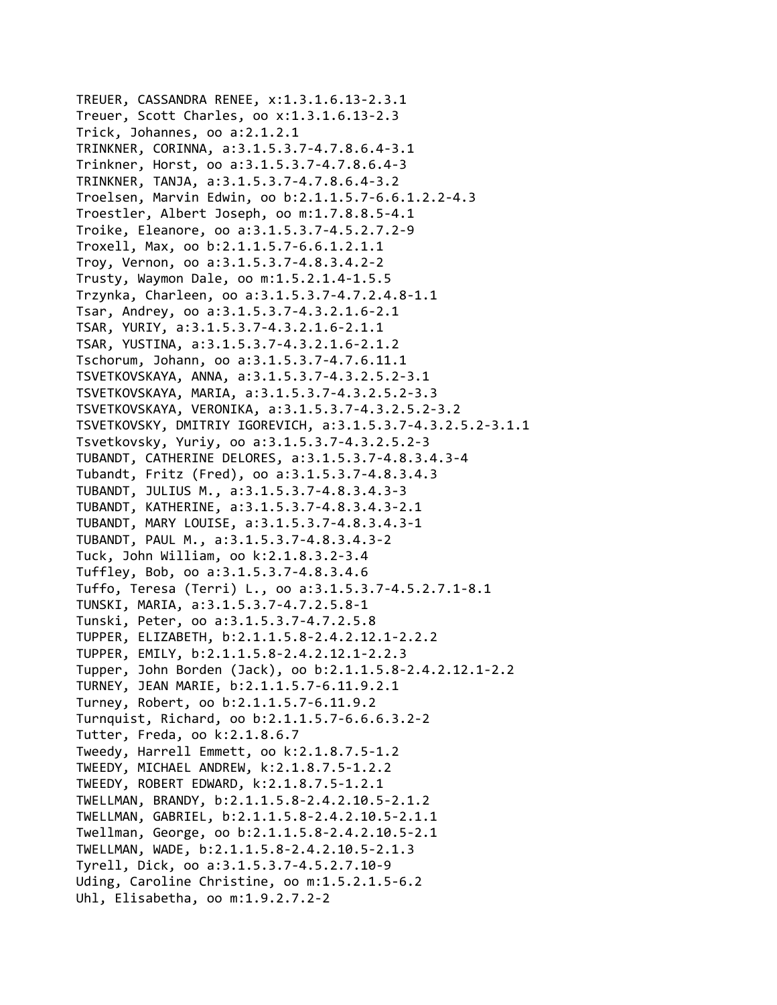TREUER, CASSANDRA RENEE, x:1.3.1.6.13‐2.3.1 Treuer, Scott Charles, oo x:1.3.1.6.13‐2.3 Trick, Johannes, oo a:2.1.2.1 TRINKNER, CORINNA, a:3.1.5.3.7‐4.7.8.6.4‐3.1 Trinkner, Horst, oo a:3.1.5.3.7‐4.7.8.6.4‐3 TRINKNER, TANJA, a:3.1.5.3.7‐4.7.8.6.4‐3.2 Troelsen, Marvin Edwin, oo b:2.1.1.5.7‐6.6.1.2.2‐4.3 Troestler, Albert Joseph, oo m:1.7.8.8.5‐4.1 Troike, Eleanore, oo a:3.1.5.3.7‐4.5.2.7.2‐9 Troxell, Max, oo b:2.1.1.5.7‐6.6.1.2.1.1 Troy, Vernon, oo a:3.1.5.3.7‐4.8.3.4.2‐2 Trusty, Waymon Dale, oo m:1.5.2.1.4‐1.5.5 Trzynka, Charleen, oo a:3.1.5.3.7‐4.7.2.4.8‐1.1 Tsar, Andrey, oo a:3.1.5.3.7‐4.3.2.1.6‐2.1 TSAR, YURIY, a:3.1.5.3.7‐4.3.2.1.6‐2.1.1 TSAR, YUSTINA, a:3.1.5.3.7‐4.3.2.1.6‐2.1.2 Tschorum, Johann, oo a:3.1.5.3.7‐4.7.6.11.1 TSVETKOVSKAYA, ANNA, a:3.1.5.3.7‐4.3.2.5.2‐3.1 TSVETKOVSKAYA, MARIA, a:3.1.5.3.7‐4.3.2.5.2‐3.3 TSVETKOVSKAYA, VERONIKA, a:3.1.5.3.7‐4.3.2.5.2‐3.2 TSVETKOVSKY, DMITRIY IGOREVICH, a:3.1.5.3.7‐4.3.2.5.2‐3.1.1 Tsvetkovsky, Yuriy, oo a:3.1.5.3.7‐4.3.2.5.2‐3 TUBANDT, CATHERINE DELORES, a:3.1.5.3.7‐4.8.3.4.3‐4 Tubandt, Fritz (Fred), oo a:3.1.5.3.7‐4.8.3.4.3 TUBANDT, JULIUS M., a:3.1.5.3.7‐4.8.3.4.3‐3 TUBANDT, KATHERINE, a:3.1.5.3.7‐4.8.3.4.3‐2.1 TUBANDT, MARY LOUISE, a:3.1.5.3.7‐4.8.3.4.3‐1 TUBANDT, PAUL M., a:3.1.5.3.7‐4.8.3.4.3‐2 Tuck, John William, oo k:2.1.8.3.2‐3.4 Tuffley, Bob, oo a:3.1.5.3.7‐4.8.3.4.6 Tuffo, Teresa (Terri) L., oo a:3.1.5.3.7‐4.5.2.7.1‐8.1 TUNSKI, MARIA, a:3.1.5.3.7‐4.7.2.5.8‐1 Tunski, Peter, oo a:3.1.5.3.7‐4.7.2.5.8 TUPPER, ELIZABETH, b:2.1.1.5.8‐2.4.2.12.1‐2.2.2 TUPPER, EMILY, b:2.1.1.5.8‐2.4.2.12.1‐2.2.3 Tupper, John Borden (Jack), oo b:2.1.1.5.8‐2.4.2.12.1‐2.2 TURNEY, JEAN MARIE, b:2.1.1.5.7‐6.11.9.2.1 Turney, Robert, oo b:2.1.1.5.7‐6.11.9.2 Turnquist, Richard, oo b:2.1.1.5.7‐6.6.6.3.2‐2 Tutter, Freda, oo k:2.1.8.6.7 Tweedy, Harrell Emmett, oo k:2.1.8.7.5‐1.2 TWEEDY, MICHAEL ANDREW, k:2.1.8.7.5‐1.2.2 TWEEDY, ROBERT EDWARD, k:2.1.8.7.5‐1.2.1 TWELLMAN, BRANDY, b:2.1.1.5.8‐2.4.2.10.5‐2.1.2 TWELLMAN, GABRIEL, b:2.1.1.5.8‐2.4.2.10.5‐2.1.1 Twellman, George, oo b:2.1.1.5.8‐2.4.2.10.5‐2.1 TWELLMAN, WADE, b:2.1.1.5.8‐2.4.2.10.5‐2.1.3 Tyrell, Dick, oo a:3.1.5.3.7‐4.5.2.7.10‐9 Uding, Caroline Christine, oo m:1.5.2.1.5‐6.2 Uhl, Elisabetha, oo m:1.9.2.7.2‐2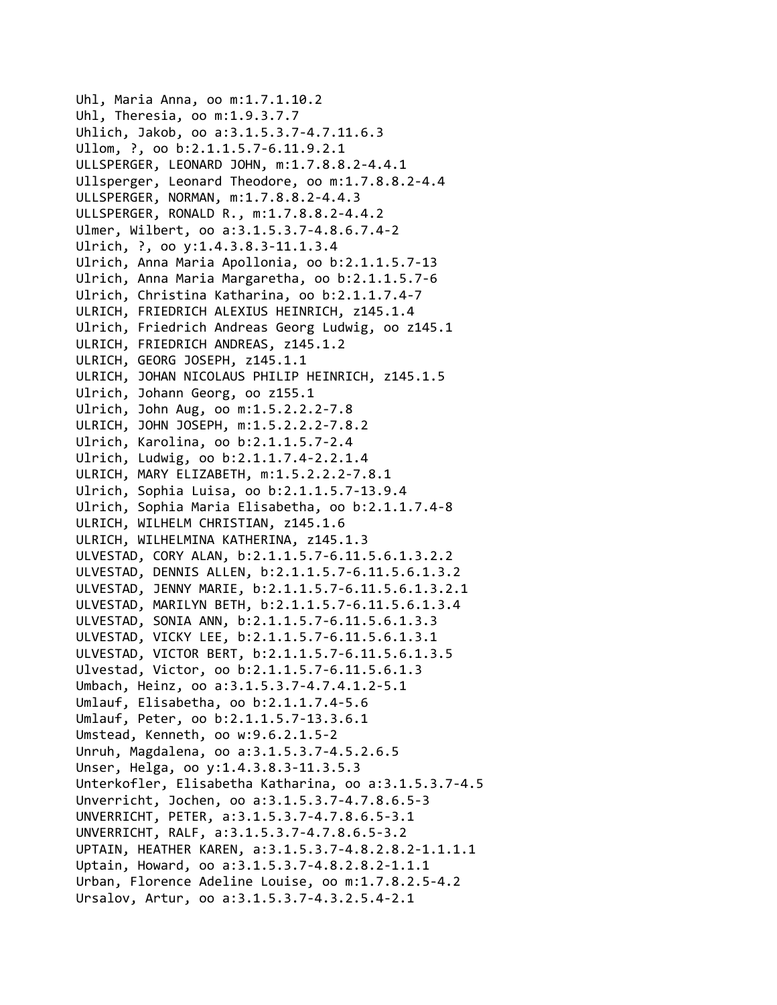Uhl, Maria Anna, oo m:1.7.1.10.2 Uhl, Theresia, oo m:1.9.3.7.7 Uhlich, Jakob, oo a:3.1.5.3.7‐4.7.11.6.3 Ullom, ?, oo b:2.1.1.5.7‐6.11.9.2.1 ULLSPERGER, LEONARD JOHN, m:1.7.8.8.2‐4.4.1 Ullsperger, Leonard Theodore, oo m:1.7.8.8.2‐4.4 ULLSPERGER, NORMAN, m:1.7.8.8.2‐4.4.3 ULLSPERGER, RONALD R., m:1.7.8.8.2‐4.4.2 Ulmer, Wilbert, oo a:3.1.5.3.7‐4.8.6.7.4‐2 Ulrich, ?, oo y:1.4.3.8.3‐11.1.3.4 Ulrich, Anna Maria Apollonia, oo b:2.1.1.5.7‐13 Ulrich, Anna Maria Margaretha, oo b:2.1.1.5.7‐6 Ulrich, Christina Katharina, oo b:2.1.1.7.4‐7 ULRICH, FRIEDRICH ALEXIUS HEINRICH, z145.1.4 Ulrich, Friedrich Andreas Georg Ludwig, oo z145.1 ULRICH, FRIEDRICH ANDREAS, z145.1.2 ULRICH, GEORG JOSEPH, z145.1.1 ULRICH, JOHAN NICOLAUS PHILIP HEINRICH, z145.1.5 Ulrich, Johann Georg, oo z155.1 Ulrich, John Aug, oo m:1.5.2.2.2‐7.8 ULRICH, JOHN JOSEPH, m:1.5.2.2.2‐7.8.2 Ulrich, Karolina, oo b:2.1.1.5.7‐2.4 Ulrich, Ludwig, oo b:2.1.1.7.4‐2.2.1.4 ULRICH, MARY ELIZABETH, m:1.5.2.2.2‐7.8.1 Ulrich, Sophia Luisa, oo b:2.1.1.5.7‐13.9.4 Ulrich, Sophia Maria Elisabetha, oo b:2.1.1.7.4‐8 ULRICH, WILHELM CHRISTIAN, z145.1.6 ULRICH, WILHELMINA KATHERINA, z145.1.3 ULVESTAD, CORY ALAN, b:2.1.1.5.7‐6.11.5.6.1.3.2.2 ULVESTAD, DENNIS ALLEN, b:2.1.1.5.7‐6.11.5.6.1.3.2 ULVESTAD, JENNY MARIE, b:2.1.1.5.7‐6.11.5.6.1.3.2.1 ULVESTAD, MARILYN BETH, b:2.1.1.5.7‐6.11.5.6.1.3.4 ULVESTAD, SONIA ANN, b:2.1.1.5.7‐6.11.5.6.1.3.3 ULVESTAD, VICKY LEE, b:2.1.1.5.7‐6.11.5.6.1.3.1 ULVESTAD, VICTOR BERT, b:2.1.1.5.7‐6.11.5.6.1.3.5 Ulvestad, Victor, oo b:2.1.1.5.7‐6.11.5.6.1.3 Umbach, Heinz, oo a:3.1.5.3.7‐4.7.4.1.2‐5.1 Umlauf, Elisabetha, oo b:2.1.1.7.4‐5.6 Umlauf, Peter, oo b:2.1.1.5.7‐13.3.6.1 Umstead, Kenneth, oo w:9.6.2.1.5‐2 Unruh, Magdalena, oo a:3.1.5.3.7‐4.5.2.6.5 Unser, Helga, oo y:1.4.3.8.3‐11.3.5.3 Unterkofler, Elisabetha Katharina, oo a:3.1.5.3.7‐4.5 Unverricht, Jochen, oo a:3.1.5.3.7‐4.7.8.6.5‐3 UNVERRICHT, PETER, a:3.1.5.3.7‐4.7.8.6.5‐3.1 UNVERRICHT, RALF, a:3.1.5.3.7‐4.7.8.6.5‐3.2 UPTAIN, HEATHER KAREN, a:3.1.5.3.7‐4.8.2.8.2‐1.1.1.1 Uptain, Howard, oo a:3.1.5.3.7‐4.8.2.8.2‐1.1.1 Urban, Florence Adeline Louise, oo m:1.7.8.2.5‐4.2 Ursalov, Artur, oo a:3.1.5.3.7‐4.3.2.5.4‐2.1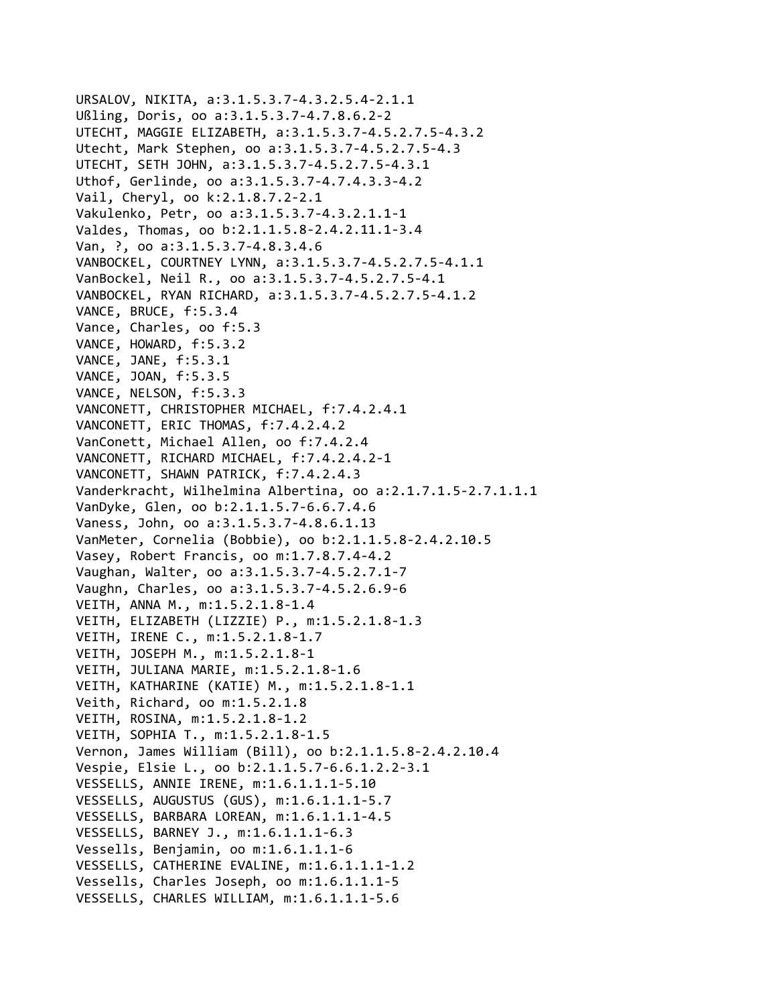```
URSALOV, NIKITA, a:3.1.5.3.7‐4.3.2.5.4‐2.1.1
Ußling, Doris, oo a:3.1.5.3.7‐4.7.8.6.2‐2
UTECHT, MAGGIE ELIZABETH, a:3.1.5.3.7‐4.5.2.7.5‐4.3.2
Utecht, Mark Stephen, oo a:3.1.5.3.7‐4.5.2.7.5‐4.3
UTECHT, SETH JOHN, a:3.1.5.3.7‐4.5.2.7.5‐4.3.1
Uthof, Gerlinde, oo a:3.1.5.3.7‐4.7.4.3.3‐4.2
Vail, Cheryl, oo k:2.1.8.7.2‐2.1
Vakulenko, Petr, oo a:3.1.5.3.7‐4.3.2.1.1‐1
Valdes, Thomas, oo b:2.1.1.5.8‐2.4.2.11.1‐3.4
Van, ?, oo a:3.1.5.3.7‐4.8.3.4.6
VANBOCKEL, COURTNEY LYNN, a:3.1.5.3.7‐4.5.2.7.5‐4.1.1
VanBockel, Neil R., oo a:3.1.5.3.7‐4.5.2.7.5‐4.1
VANBOCKEL, RYAN RICHARD, a:3.1.5.3.7‐4.5.2.7.5‐4.1.2
VANCE, BRUCE, f:5.3.4
Vance, Charles, oo f:5.3
VANCE, HOWARD, f:5.3.2
VANCE, JANE, f:5.3.1
VANCE, JOAN, f:5.3.5
VANCE, NELSON, f:5.3.3
VANCONETT, CHRISTOPHER MICHAEL, f:7.4.2.4.1
VANCONETT, ERIC THOMAS, f:7.4.2.4.2
VanConett, Michael Allen, oo f:7.4.2.4
VANCONETT, RICHARD MICHAEL, f:7.4.2.4.2‐1
VANCONETT, SHAWN PATRICK, f:7.4.2.4.3
Vanderkracht, Wilhelmina Albertina, oo a:2.1.7.1.5‐2.7.1.1.1
VanDyke, Glen, oo b:2.1.1.5.7‐6.6.7.4.6
Vaness, John, oo a:3.1.5.3.7‐4.8.6.1.13
VanMeter, Cornelia (Bobbie), oo b:2.1.1.5.8‐2.4.2.10.5
Vasey, Robert Francis, oo m:1.7.8.7.4‐4.2
Vaughan, Walter, oo a:3.1.5.3.7‐4.5.2.7.1‐7
Vaughn, Charles, oo a:3.1.5.3.7‐4.5.2.6.9‐6
VEITH, ANNA M., m:1.5.2.1.8‐1.4
VEITH, ELIZABETH (LIZZIE) P., m:1.5.2.1.8‐1.3
VEITH, IRENE C., m:1.5.2.1.8‐1.7
VEITH, JOSEPH M., m:1.5.2.1.8‐1
VEITH, JULIANA MARIE, m:1.5.2.1.8‐1.6
VEITH, KATHARINE (KATIE) M., m:1.5.2.1.8‐1.1
Veith, Richard, oo m:1.5.2.1.8
VEITH, ROSINA, m:1.5.2.1.8‐1.2
VEITH, SOPHIA T., m:1.5.2.1.8‐1.5
Vernon, James William (Bill), oo b:2.1.1.5.8‐2.4.2.10.4
Vespie, Elsie L., oo b:2.1.1.5.7‐6.6.1.2.2‐3.1
VESSELLS, ANNIE IRENE, m:1.6.1.1.1‐5.10
VESSELLS, AUGUSTUS (GUS), m:1.6.1.1.1‐5.7
VESSELLS, BARBARA LOREAN, m:1.6.1.1.1‐4.5
VESSELLS, BARNEY J., m:1.6.1.1.1‐6.3
Vessells, Benjamin, oo m:1.6.1.1.1‐6
VESSELLS, CATHERINE EVALINE, m:1.6.1.1.1‐1.2
Vessells, Charles Joseph, oo m:1.6.1.1.1‐5
VESSELLS, CHARLES WILLIAM, m:1.6.1.1.1‐5.6
```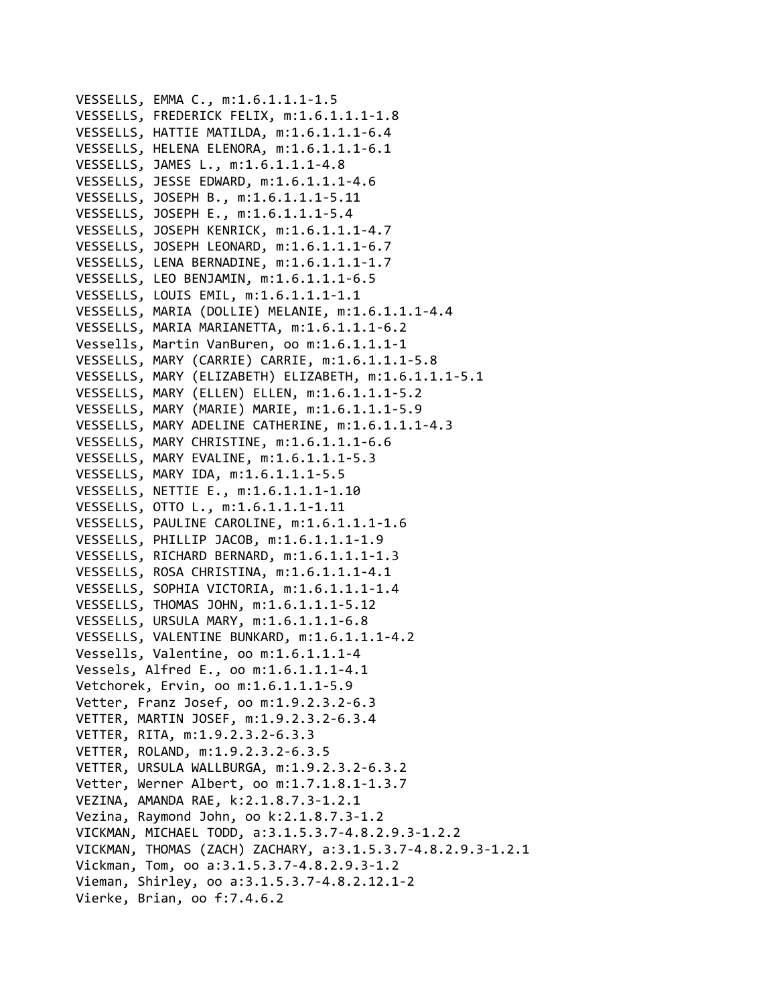VESSELLS, EMMA C., m:1.6.1.1.1‐1.5 VESSELLS, FREDERICK FELIX, m:1.6.1.1.1‐1.8 VESSELLS, HATTIE MATILDA, m:1.6.1.1.1‐6.4 VESSELLS, HELENA ELENORA, m:1.6.1.1.1‐6.1 VESSELLS, JAMES L., m:1.6.1.1.1‐4.8 VESSELLS, JESSE EDWARD, m:1.6.1.1.1‐4.6 VESSELLS, JOSEPH B., m:1.6.1.1.1‐5.11 VESSELLS, JOSEPH E., m:1.6.1.1.1‐5.4 VESSELLS, JOSEPH KENRICK, m:1.6.1.1.1‐4.7 VESSELLS, JOSEPH LEONARD, m:1.6.1.1.1‐6.7 VESSELLS, LENA BERNADINE, m:1.6.1.1.1‐1.7 VESSELLS, LEO BENJAMIN, m:1.6.1.1.1‐6.5 VESSELLS, LOUIS EMIL, m:1.6.1.1.1‐1.1 VESSELLS, MARIA (DOLLIE) MELANIE, m:1.6.1.1.1‐4.4 VESSELLS, MARIA MARIANETTA, m:1.6.1.1.1‐6.2 Vessells, Martin VanBuren, oo m:1.6.1.1.1‐1 VESSELLS, MARY (CARRIE) CARRIE, m:1.6.1.1.1‐5.8 VESSELLS, MARY (ELIZABETH) ELIZABETH, m:1.6.1.1.1‐5.1 VESSELLS, MARY (ELLEN) ELLEN, m:1.6.1.1.1‐5.2 VESSELLS, MARY (MARIE) MARIE, m:1.6.1.1.1‐5.9 VESSELLS, MARY ADELINE CATHERINE, m:1.6.1.1.1‐4.3 VESSELLS, MARY CHRISTINE, m:1.6.1.1.1‐6.6 VESSELLS, MARY EVALINE, m:1.6.1.1.1‐5.3 VESSELLS, MARY IDA, m:1.6.1.1.1‐5.5 VESSELLS, NETTIE E., m:1.6.1.1.1‐1.10 VESSELLS, OTTO L., m:1.6.1.1.1‐1.11 VESSELLS, PAULINE CAROLINE, m:1.6.1.1.1‐1.6 VESSELLS, PHILLIP JACOB, m:1.6.1.1.1‐1.9 VESSELLS, RICHARD BERNARD, m:1.6.1.1.1‐1.3 VESSELLS, ROSA CHRISTINA, m:1.6.1.1.1‐4.1 VESSELLS, SOPHIA VICTORIA, m:1.6.1.1.1‐1.4 VESSELLS, THOMAS JOHN, m:1.6.1.1.1‐5.12 VESSELLS, URSULA MARY, m:1.6.1.1.1‐6.8 VESSELLS, VALENTINE BUNKARD, m:1.6.1.1.1‐4.2 Vessells, Valentine, oo m:1.6.1.1.1‐4 Vessels, Alfred E., oo m:1.6.1.1.1‐4.1 Vetchorek, Ervin, oo m:1.6.1.1.1‐5.9 Vetter, Franz Josef, oo m:1.9.2.3.2‐6.3 VETTER, MARTIN JOSEF, m:1.9.2.3.2‐6.3.4 VETTER, RITA, m:1.9.2.3.2‐6.3.3 VETTER, ROLAND, m:1.9.2.3.2‐6.3.5 VETTER, URSULA WALLBURGA, m:1.9.2.3.2‐6.3.2 Vetter, Werner Albert, oo m:1.7.1.8.1‐1.3.7 VEZINA, AMANDA RAE, k:2.1.8.7.3‐1.2.1 Vezina, Raymond John, oo k:2.1.8.7.3‐1.2 VICKMAN, MICHAEL TODD, a:3.1.5.3.7‐4.8.2.9.3‐1.2.2 VICKMAN, THOMAS (ZACH) ZACHARY, a:3.1.5.3.7‐4.8.2.9.3‐1.2.1 Vickman, Tom, oo a:3.1.5.3.7‐4.8.2.9.3‐1.2 Vieman, Shirley, oo a:3.1.5.3.7‐4.8.2.12.1‐2 Vierke, Brian, oo f:7.4.6.2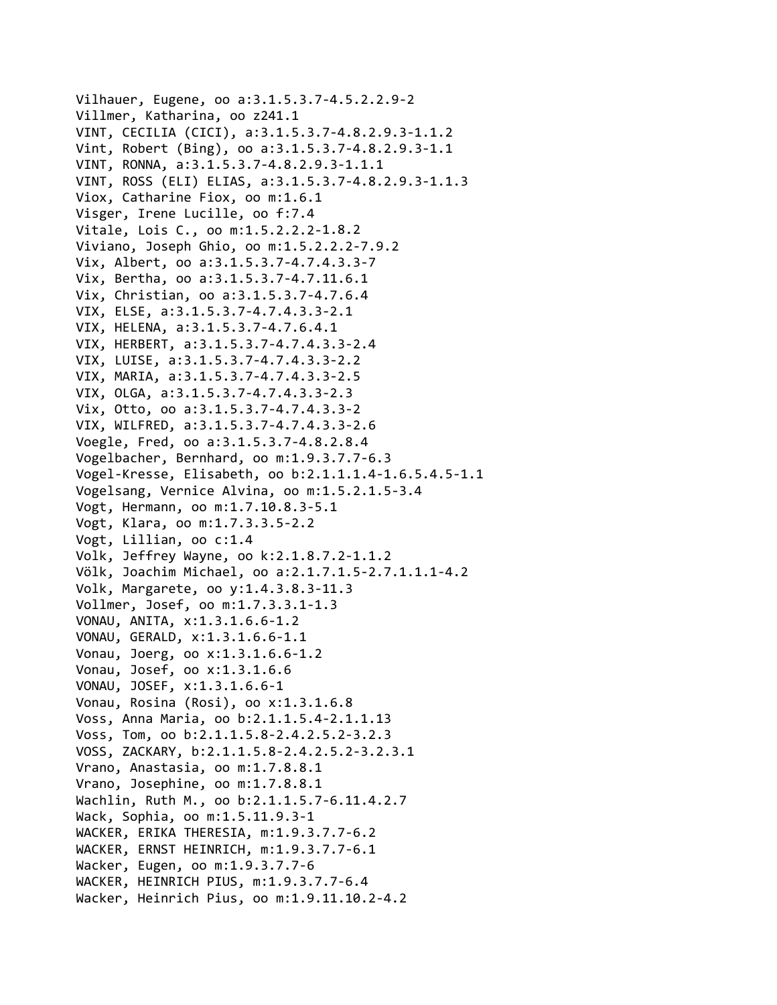Vilhauer, Eugene, oo a:3.1.5.3.7‐4.5.2.2.9‐2 Villmer, Katharina, oo z241.1 VINT, CECILIA (CICI), a:3.1.5.3.7‐4.8.2.9.3‐1.1.2 Vint, Robert (Bing), oo a:3.1.5.3.7‐4.8.2.9.3‐1.1 VINT, RONNA, a:3.1.5.3.7‐4.8.2.9.3‐1.1.1 VINT, ROSS (ELI) ELIAS, a:3.1.5.3.7‐4.8.2.9.3‐1.1.3 Viox, Catharine Fiox, oo m:1.6.1 Visger, Irene Lucille, oo f:7.4 Vitale, Lois C., oo m:1.5.2.2.2‐1.8.2 Viviano, Joseph Ghio, oo m:1.5.2.2.2‐7.9.2 Vix, Albert, oo a:3.1.5.3.7‐4.7.4.3.3‐7 Vix, Bertha, oo a:3.1.5.3.7‐4.7.11.6.1 Vix, Christian, oo a:3.1.5.3.7‐4.7.6.4 VIX, ELSE, a:3.1.5.3.7‐4.7.4.3.3‐2.1 VIX, HELENA, a:3.1.5.3.7‐4.7.6.4.1 VIX, HERBERT, a:3.1.5.3.7‐4.7.4.3.3‐2.4 VIX, LUISE, a:3.1.5.3.7‐4.7.4.3.3‐2.2 VIX, MARIA, a:3.1.5.3.7‐4.7.4.3.3‐2.5 VIX, OLGA, a:3.1.5.3.7‐4.7.4.3.3‐2.3 Vix, Otto, oo a:3.1.5.3.7‐4.7.4.3.3‐2 VIX, WILFRED, a:3.1.5.3.7‐4.7.4.3.3‐2.6 Voegle, Fred, oo a:3.1.5.3.7‐4.8.2.8.4 Vogelbacher, Bernhard, oo m:1.9.3.7.7‐6.3 Vogel‐Kresse, Elisabeth, oo b:2.1.1.1.4‐1.6.5.4.5‐1.1 Vogelsang, Vernice Alvina, oo m:1.5.2.1.5‐3.4 Vogt, Hermann, oo m:1.7.10.8.3‐5.1 Vogt, Klara, oo m:1.7.3.3.5‐2.2 Vogt, Lillian, oo c:1.4 Volk, Jeffrey Wayne, oo k:2.1.8.7.2‐1.1.2 Völk, Joachim Michael, oo a:2.1.7.1.5‐2.7.1.1.1‐4.2 Volk, Margarete, oo y:1.4.3.8.3‐11.3 Vollmer, Josef, oo m:1.7.3.3.1‐1.3 VONAU, ANITA, x:1.3.1.6.6‐1.2 VONAU, GERALD, x:1.3.1.6.6‐1.1 Vonau, Joerg, oo x:1.3.1.6.6‐1.2 Vonau, Josef, oo x:1.3.1.6.6 VONAU, JOSEF, x:1.3.1.6.6‐1 Vonau, Rosina (Rosi), oo x:1.3.1.6.8 Voss, Anna Maria, oo b:2.1.1.5.4‐2.1.1.13 Voss, Tom, oo b:2.1.1.5.8‐2.4.2.5.2‐3.2.3 VOSS, ZACKARY, b:2.1.1.5.8‐2.4.2.5.2‐3.2.3.1 Vrano, Anastasia, oo m:1.7.8.8.1 Vrano, Josephine, oo m:1.7.8.8.1 Wachlin, Ruth M., oo b:2.1.1.5.7‐6.11.4.2.7 Wack, Sophia, oo m:1.5.11.9.3‐1 WACKER, ERIKA THERESIA, m:1.9.3.7.7‐6.2 WACKER, ERNST HEINRICH, m:1.9.3.7.7‐6.1 Wacker, Eugen, oo m:1.9.3.7.7‐6 WACKER, HEINRICH PIUS, m:1.9.3.7.7‐6.4 Wacker, Heinrich Pius, oo m:1.9.11.10.2‐4.2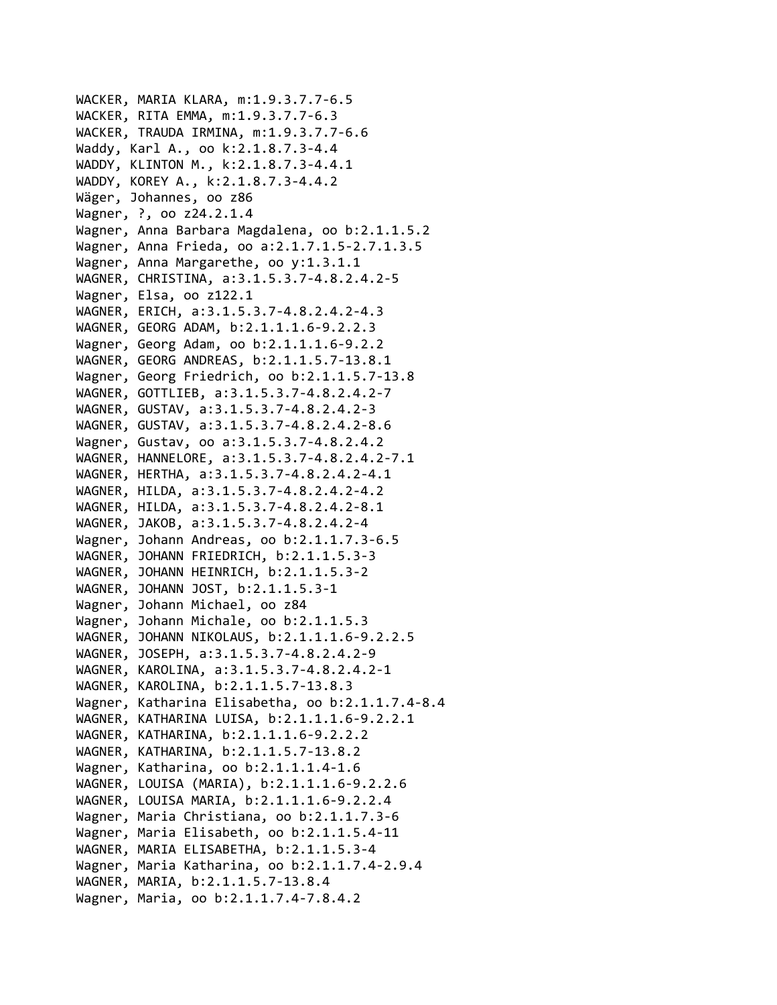```
WACKER, MARIA KLARA, m:1.9.3.7.7‐6.5
WACKER, RITA EMMA, m:1.9.3.7.7‐6.3
WACKER, TRAUDA IRMINA, m:1.9.3.7.7‐6.6
Waddy, Karl A., oo k:2.1.8.7.3‐4.4
WADDY, KLINTON M., k:2.1.8.7.3‐4.4.1
WADDY, KOREY A., k:2.1.8.7.3‐4.4.2
Wäger, Johannes, oo z86
Wagner, ?, oo z24.2.1.4
Wagner, Anna Barbara Magdalena, oo b:2.1.1.5.2
Wagner, Anna Frieda, oo a:2.1.7.1.5‐2.7.1.3.5
Wagner, Anna Margarethe, oo y:1.3.1.1
WAGNER, CHRISTINA, a:3.1.5.3.7‐4.8.2.4.2‐5
Wagner, Elsa, oo z122.1
WAGNER, ERICH, a:3.1.5.3.7‐4.8.2.4.2‐4.3
WAGNER, GEORG ADAM, b:2.1.1.1.6‐9.2.2.3
Wagner, Georg Adam, oo b:2.1.1.1.6‐9.2.2
WAGNER, GEORG ANDREAS, b:2.1.1.5.7‐13.8.1
Wagner, Georg Friedrich, oo b:2.1.1.5.7‐13.8
WAGNER, GOTTLIEB, a:3.1.5.3.7‐4.8.2.4.2‐7
WAGNER, GUSTAV, a:3.1.5.3.7‐4.8.2.4.2‐3
WAGNER, GUSTAV, a:3.1.5.3.7‐4.8.2.4.2‐8.6
Wagner, Gustav, oo a:3.1.5.3.7‐4.8.2.4.2
WAGNER, HANNELORE, a:3.1.5.3.7‐4.8.2.4.2‐7.1
WAGNER, HERTHA, a:3.1.5.3.7‐4.8.2.4.2‐4.1
WAGNER, HILDA, a:3.1.5.3.7‐4.8.2.4.2‐4.2
WAGNER, HILDA, a:3.1.5.3.7‐4.8.2.4.2‐8.1
WAGNER, JAKOB, a:3.1.5.3.7‐4.8.2.4.2‐4
Wagner, Johann Andreas, oo b:2.1.1.7.3‐6.5
WAGNER, JOHANN FRIEDRICH, b:2.1.1.5.3‐3
WAGNER, JOHANN HEINRICH, b:2.1.1.5.3‐2
WAGNER, JOHANN JOST, b:2.1.1.5.3‐1
Wagner, Johann Michael, oo z84
Wagner, Johann Michale, oo b:2.1.1.5.3
WAGNER, JOHANN NIKOLAUS, b:2.1.1.1.6‐9.2.2.5
WAGNER, JOSEPH, a:3.1.5.3.7‐4.8.2.4.2‐9
WAGNER, KAROLINA, a:3.1.5.3.7‐4.8.2.4.2‐1
WAGNER, KAROLINA, b:2.1.1.5.7‐13.8.3
Wagner, Katharina Elisabetha, oo b:2.1.1.7.4‐8.4
WAGNER, KATHARINA LUISA, b:2.1.1.1.6‐9.2.2.1
WAGNER, KATHARINA, b:2.1.1.1.6‐9.2.2.2
WAGNER, KATHARINA, b:2.1.1.5.7‐13.8.2
Wagner, Katharina, oo b:2.1.1.1.4‐1.6
WAGNER, LOUISA (MARIA), b:2.1.1.1.6‐9.2.2.6
WAGNER, LOUISA MARIA, b:2.1.1.1.6‐9.2.2.4
Wagner, Maria Christiana, oo b:2.1.1.7.3‐6
Wagner, Maria Elisabeth, oo b:2.1.1.5.4‐11
WAGNER, MARIA ELISABETHA, b:2.1.1.5.3‐4
Wagner, Maria Katharina, oo b:2.1.1.7.4‐2.9.4
WAGNER, MARIA, b:2.1.1.5.7‐13.8.4
Wagner, Maria, oo b:2.1.1.7.4‐7.8.4.2
```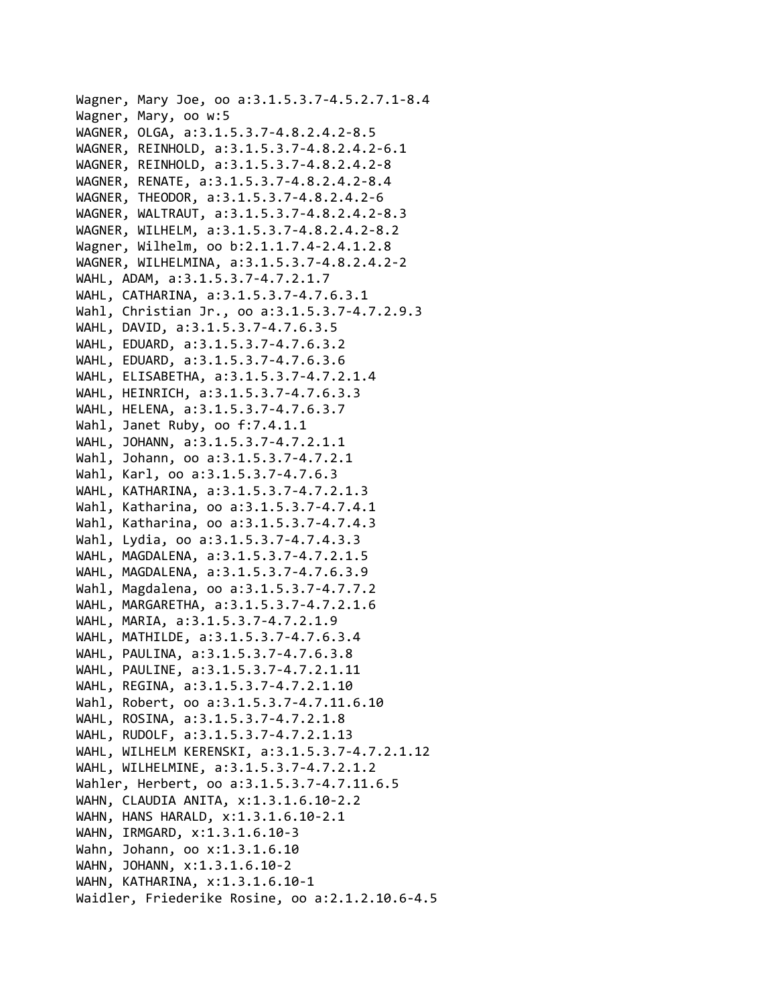```
Wagner, Mary Joe, oo a:3.1.5.3.7‐4.5.2.7.1‐8.4
Wagner, Mary, oo w:5
WAGNER, OLGA, a:3.1.5.3.7‐4.8.2.4.2‐8.5
WAGNER, REINHOLD, a:3.1.5.3.7‐4.8.2.4.2‐6.1
WAGNER, REINHOLD, a:3.1.5.3.7‐4.8.2.4.2‐8
WAGNER, RENATE, a:3.1.5.3.7‐4.8.2.4.2‐8.4
WAGNER, THEODOR, a:3.1.5.3.7‐4.8.2.4.2‐6
WAGNER, WALTRAUT, a:3.1.5.3.7‐4.8.2.4.2‐8.3
WAGNER, WILHELM, a:3.1.5.3.7‐4.8.2.4.2‐8.2
Wagner, Wilhelm, oo b:2.1.1.7.4‐2.4.1.2.8
WAGNER, WILHELMINA, a:3.1.5.3.7‐4.8.2.4.2‐2
WAHL, ADAM, a:3.1.5.3.7‐4.7.2.1.7
WAHL, CATHARINA, a:3.1.5.3.7‐4.7.6.3.1
Wahl, Christian Jr., oo a:3.1.5.3.7‐4.7.2.9.3
WAHL, DAVID, a:3.1.5.3.7‐4.7.6.3.5
WAHL, EDUARD, a:3.1.5.3.7‐4.7.6.3.2
WAHL, EDUARD, a:3.1.5.3.7‐4.7.6.3.6
WAHL, ELISABETHA, a:3.1.5.3.7‐4.7.2.1.4
WAHL, HEINRICH, a:3.1.5.3.7‐4.7.6.3.3
WAHL, HELENA, a:3.1.5.3.7‐4.7.6.3.7
Wahl, Janet Ruby, oo f:7.4.1.1
WAHL, JOHANN, a:3.1.5.3.7‐4.7.2.1.1
Wahl, Johann, oo a:3.1.5.3.7‐4.7.2.1
Wahl, Karl, oo a:3.1.5.3.7‐4.7.6.3
WAHL, KATHARINA, a:3.1.5.3.7‐4.7.2.1.3
Wahl, Katharina, oo a:3.1.5.3.7‐4.7.4.1
Wahl, Katharina, oo a:3.1.5.3.7‐4.7.4.3
Wahl, Lydia, oo a:3.1.5.3.7‐4.7.4.3.3
WAHL, MAGDALENA, a:3.1.5.3.7‐4.7.2.1.5
WAHL, MAGDALENA, a:3.1.5.3.7‐4.7.6.3.9
Wahl, Magdalena, oo a:3.1.5.3.7‐4.7.7.2
WAHL, MARGARETHA, a:3.1.5.3.7‐4.7.2.1.6
WAHL, MARIA, a:3.1.5.3.7‐4.7.2.1.9
WAHL, MATHILDE, a:3.1.5.3.7‐4.7.6.3.4
WAHL, PAULINA, a:3.1.5.3.7‐4.7.6.3.8
WAHL, PAULINE, a:3.1.5.3.7‐4.7.2.1.11
WAHL, REGINA, a:3.1.5.3.7‐4.7.2.1.10
Wahl, Robert, oo a:3.1.5.3.7‐4.7.11.6.10
WAHL, ROSINA, a:3.1.5.3.7‐4.7.2.1.8
WAHL, RUDOLF, a:3.1.5.3.7‐4.7.2.1.13
WAHL, WILHELM KERENSKI, a:3.1.5.3.7‐4.7.2.1.12
WAHL, WILHELMINE, a:3.1.5.3.7‐4.7.2.1.2
Wahler, Herbert, oo a:3.1.5.3.7‐4.7.11.6.5
WAHN, CLAUDIA ANITA, x:1.3.1.6.10‐2.2
WAHN, HANS HARALD, x:1.3.1.6.10‐2.1
WAHN, IRMGARD, x:1.3.1.6.10‐3
Wahn, Johann, oo x:1.3.1.6.10
WAHN, JOHANN, x:1.3.1.6.10‐2
WAHN, KATHARINA, x:1.3.1.6.10‐1
Waidler, Friederike Rosine, oo a:2.1.2.10.6‐4.5
```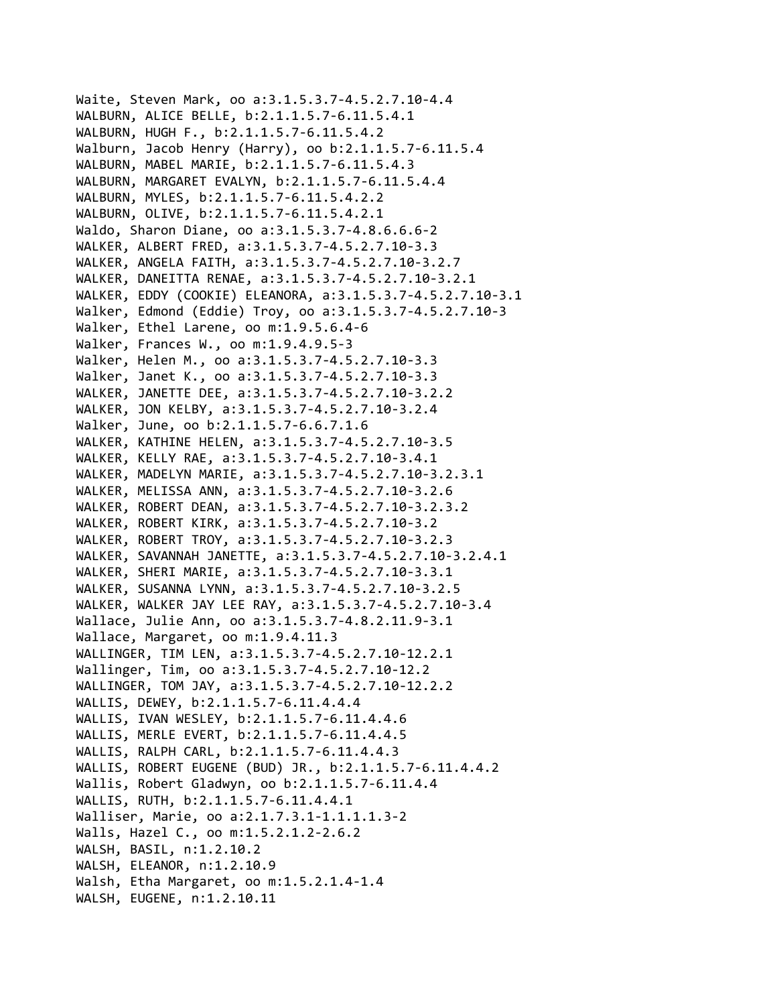```
Waite, Steven Mark, oo a:3.1.5.3.7‐4.5.2.7.10‐4.4
WALBURN, ALICE BELLE, b:2.1.1.5.7‐6.11.5.4.1
WALBURN, HUGH F., b:2.1.1.5.7‐6.11.5.4.2
Walburn, Jacob Henry (Harry), oo b:2.1.1.5.7‐6.11.5.4
WALBURN, MABEL MARIE, b:2.1.1.5.7‐6.11.5.4.3
WALBURN, MARGARET EVALYN, b:2.1.1.5.7‐6.11.5.4.4
WALBURN, MYLES, b:2.1.1.5.7‐6.11.5.4.2.2
WALBURN, OLIVE, b:2.1.1.5.7‐6.11.5.4.2.1
Waldo, Sharon Diane, oo a:3.1.5.3.7‐4.8.6.6.6‐2
WALKER, ALBERT FRED, a:3.1.5.3.7‐4.5.2.7.10‐3.3
WALKER, ANGELA FAITH, a:3.1.5.3.7‐4.5.2.7.10‐3.2.7
WALKER, DANEITTA RENAE, a:3.1.5.3.7‐4.5.2.7.10‐3.2.1
WALKER, EDDY (COOKIE) ELEANORA, a:3.1.5.3.7‐4.5.2.7.10‐3.1
Walker, Edmond (Eddie) Troy, oo a:3.1.5.3.7‐4.5.2.7.10‐3
Walker, Ethel Larene, oo m:1.9.5.6.4‐6
Walker, Frances W., oo m:1.9.4.9.5‐3
Walker, Helen M., oo a:3.1.5.3.7‐4.5.2.7.10‐3.3
Walker, Janet K., oo a:3.1.5.3.7‐4.5.2.7.10‐3.3
WALKER, JANETTE DEE, a:3.1.5.3.7‐4.5.2.7.10‐3.2.2
WALKER, JON KELBY, a:3.1.5.3.7‐4.5.2.7.10‐3.2.4
Walker, June, oo b:2.1.1.5.7‐6.6.7.1.6
WALKER, KATHINE HELEN, a:3.1.5.3.7‐4.5.2.7.10‐3.5
WALKER, KELLY RAE, a:3.1.5.3.7‐4.5.2.7.10‐3.4.1
WALKER, MADELYN MARIE, a:3.1.5.3.7‐4.5.2.7.10‐3.2.3.1
WALKER, MELISSA ANN, a:3.1.5.3.7‐4.5.2.7.10‐3.2.6
WALKER, ROBERT DEAN, a:3.1.5.3.7‐4.5.2.7.10‐3.2.3.2
WALKER, ROBERT KIRK, a:3.1.5.3.7‐4.5.2.7.10‐3.2
WALKER, ROBERT TROY, a:3.1.5.3.7‐4.5.2.7.10‐3.2.3
WALKER, SAVANNAH JANETTE, a:3.1.5.3.7‐4.5.2.7.10‐3.2.4.1
WALKER, SHERI MARIE, a:3.1.5.3.7‐4.5.2.7.10‐3.3.1
WALKER, SUSANNA LYNN, a:3.1.5.3.7‐4.5.2.7.10‐3.2.5
WALKER, WALKER JAY LEE RAY, a:3.1.5.3.7‐4.5.2.7.10‐3.4
Wallace, Julie Ann, oo a:3.1.5.3.7‐4.8.2.11.9‐3.1
Wallace, Margaret, oo m:1.9.4.11.3
WALLINGER, TIM LEN, a:3.1.5.3.7‐4.5.2.7.10‐12.2.1
Wallinger, Tim, oo a:3.1.5.3.7‐4.5.2.7.10‐12.2
WALLINGER, TOM JAY, a:3.1.5.3.7‐4.5.2.7.10‐12.2.2
WALLIS, DEWEY, b:2.1.1.5.7‐6.11.4.4.4
WALLIS, IVAN WESLEY, b:2.1.1.5.7‐6.11.4.4.6
WALLIS, MERLE EVERT, b:2.1.1.5.7‐6.11.4.4.5
WALLIS, RALPH CARL, b:2.1.1.5.7‐6.11.4.4.3
WALLIS, ROBERT EUGENE (BUD) JR., b:2.1.1.5.7‐6.11.4.4.2
Wallis, Robert Gladwyn, oo b:2.1.1.5.7‐6.11.4.4
WALLIS, RUTH, b:2.1.1.5.7‐6.11.4.4.1
Walliser, Marie, oo a:2.1.7.3.1‐1.1.1.1.3‐2
Walls, Hazel C., oo m:1.5.2.1.2‐2.6.2
WALSH, BASIL, n:1.2.10.2
WALSH, ELEANOR, n:1.2.10.9
Walsh, Etha Margaret, oo m:1.5.2.1.4‐1.4
WALSH, EUGENE, n:1.2.10.11
```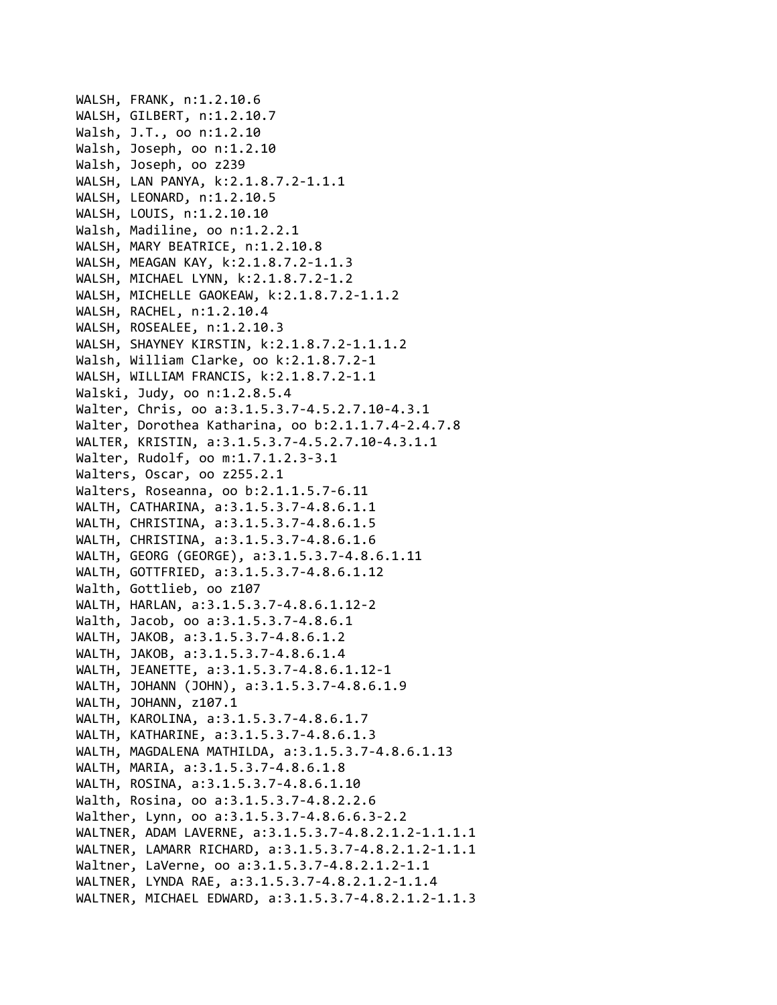WALSH, FRANK, n:1.2.10.6 WALSH, GILBERT, n:1.2.10.7 Walsh, J.T., oo n:1.2.10 Walsh, Joseph, oo n:1.2.10 Walsh, Joseph, oo z239 WALSH, LAN PANYA, k:2.1.8.7.2‐1.1.1 WALSH, LEONARD, n:1.2.10.5 WALSH, LOUIS, n:1.2.10.10 Walsh, Madiline, oo n:1.2.2.1 WALSH, MARY BEATRICE, n:1.2.10.8 WALSH, MEAGAN KAY, k:2.1.8.7.2‐1.1.3 WALSH, MICHAEL LYNN, k:2.1.8.7.2‐1.2 WALSH, MICHELLE GAOKEAW, k:2.1.8.7.2‐1.1.2 WALSH, RACHEL, n:1.2.10.4 WALSH, ROSEALEE, n:1.2.10.3 WALSH, SHAYNEY KIRSTIN, k:2.1.8.7.2‐1.1.1.2 Walsh, William Clarke, oo k:2.1.8.7.2‐1 WALSH, WILLIAM FRANCIS, k:2.1.8.7.2‐1.1 Walski, Judy, oo n:1.2.8.5.4 Walter, Chris, oo a:3.1.5.3.7‐4.5.2.7.10‐4.3.1 Walter, Dorothea Katharina, oo b:2.1.1.7.4‐2.4.7.8 WALTER, KRISTIN, a:3.1.5.3.7‐4.5.2.7.10‐4.3.1.1 Walter, Rudolf, oo m:1.7.1.2.3‐3.1 Walters, Oscar, oo z255.2.1 Walters, Roseanna, oo b:2.1.1.5.7‐6.11 WALTH, CATHARINA, a:3.1.5.3.7‐4.8.6.1.1 WALTH, CHRISTINA, a:3.1.5.3.7‐4.8.6.1.5 WALTH, CHRISTINA, a:3.1.5.3.7‐4.8.6.1.6 WALTH, GEORG (GEORGE), a:3.1.5.3.7‐4.8.6.1.11 WALTH, GOTTFRIED, a:3.1.5.3.7‐4.8.6.1.12 Walth, Gottlieb, oo z107 WALTH, HARLAN, a:3.1.5.3.7‐4.8.6.1.12‐2 Walth, Jacob, oo a:3.1.5.3.7‐4.8.6.1 WALTH, JAKOB, a:3.1.5.3.7‐4.8.6.1.2 WALTH, JAKOB, a:3.1.5.3.7‐4.8.6.1.4 WALTH, JEANETTE, a:3.1.5.3.7‐4.8.6.1.12‐1 WALTH, JOHANN (JOHN), a:3.1.5.3.7‐4.8.6.1.9 WALTH, JOHANN, z107.1 WALTH, KAROLINA, a:3.1.5.3.7‐4.8.6.1.7 WALTH, KATHARINE, a:3.1.5.3.7‐4.8.6.1.3 WALTH, MAGDALENA MATHILDA, a:3.1.5.3.7‐4.8.6.1.13 WALTH, MARIA, a:3.1.5.3.7‐4.8.6.1.8 WALTH, ROSINA, a:3.1.5.3.7‐4.8.6.1.10 Walth, Rosina, oo a:3.1.5.3.7‐4.8.2.2.6 Walther, Lynn, oo a:3.1.5.3.7‐4.8.6.6.3‐2.2 WALTNER, ADAM LAVERNE, a:3.1.5.3.7‐4.8.2.1.2‐1.1.1.1 WALTNER, LAMARR RICHARD, a:3.1.5.3.7‐4.8.2.1.2‐1.1.1 Waltner, LaVerne, oo a:3.1.5.3.7‐4.8.2.1.2‐1.1 WALTNER, LYNDA RAE, a:3.1.5.3.7‐4.8.2.1.2‐1.1.4 WALTNER, MICHAEL EDWARD, a:3.1.5.3.7‐4.8.2.1.2‐1.1.3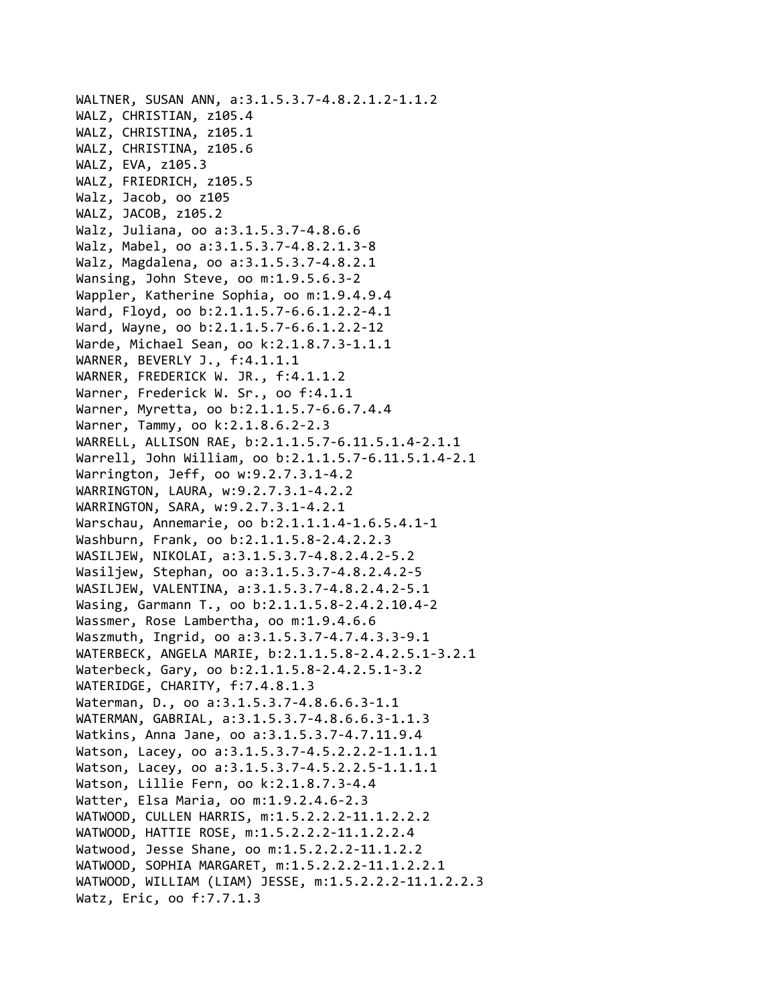WALTNER, SUSAN ANN, a:3.1.5.3.7‐4.8.2.1.2‐1.1.2 WALZ, CHRISTIAN, z105.4 WALZ, CHRISTINA, z105.1 WALZ, CHRISTINA, z105.6 WALZ, EVA, z105.3 WALZ, FRIEDRICH, z105.5 Walz, Jacob, oo z105 WALZ, JACOB, z105.2 Walz, Juliana, oo a:3.1.5.3.7‐4.8.6.6 Walz, Mabel, oo a:3.1.5.3.7‐4.8.2.1.3‐8 Walz, Magdalena, oo a:3.1.5.3.7‐4.8.2.1 Wansing, John Steve, oo m:1.9.5.6.3‐2 Wappler, Katherine Sophia, oo m:1.9.4.9.4 Ward, Floyd, oo b:2.1.1.5.7‐6.6.1.2.2‐4.1 Ward, Wayne, oo b:2.1.1.5.7‐6.6.1.2.2‐12 Warde, Michael Sean, oo k:2.1.8.7.3‐1.1.1 WARNER, BEVERLY J., f:4.1.1.1 WARNER, FREDERICK W. JR., f:4.1.1.2 Warner, Frederick W. Sr., oo f:4.1.1 Warner, Myretta, oo b:2.1.1.5.7‐6.6.7.4.4 Warner, Tammy, oo k:2.1.8.6.2‐2.3 WARRELL, ALLISON RAE, b:2.1.1.5.7‐6.11.5.1.4‐2.1.1 Warrell, John William, oo b:2.1.1.5.7‐6.11.5.1.4‐2.1 Warrington, Jeff, oo w:9.2.7.3.1‐4.2 WARRINGTON, LAURA, w:9.2.7.3.1‐4.2.2 WARRINGTON, SARA, w:9.2.7.3.1‐4.2.1 Warschau, Annemarie, oo b:2.1.1.1.4‐1.6.5.4.1‐1 Washburn, Frank, oo b:2.1.1.5.8‐2.4.2.2.3 WASILJEW, NIKOLAI, a:3.1.5.3.7‐4.8.2.4.2‐5.2 Wasiljew, Stephan, oo a:3.1.5.3.7‐4.8.2.4.2‐5 WASILJEW, VALENTINA, a:3.1.5.3.7‐4.8.2.4.2‐5.1 Wasing, Garmann T., oo b:2.1.1.5.8‐2.4.2.10.4‐2 Wassmer, Rose Lambertha, oo m:1.9.4.6.6 Waszmuth, Ingrid, oo a:3.1.5.3.7‐4.7.4.3.3‐9.1 WATERBECK, ANGELA MARIE, b:2.1.1.5.8‐2.4.2.5.1‐3.2.1 Waterbeck, Gary, oo b:2.1.1.5.8‐2.4.2.5.1‐3.2 WATERIDGE, CHARITY, f:7.4.8.1.3 Waterman, D., oo a:3.1.5.3.7‐4.8.6.6.3‐1.1 WATERMAN, GABRIAL, a:3.1.5.3.7‐4.8.6.6.3‐1.1.3 Watkins, Anna Jane, oo a:3.1.5.3.7‐4.7.11.9.4 Watson, Lacey, oo a:3.1.5.3.7‐4.5.2.2.2‐1.1.1.1 Watson, Lacey, oo a:3.1.5.3.7‐4.5.2.2.5‐1.1.1.1 Watson, Lillie Fern, oo k:2.1.8.7.3‐4.4 Watter, Elsa Maria, oo m:1.9.2.4.6‐2.3 WATWOOD, CULLEN HARRIS, m:1.5.2.2.2‐11.1.2.2.2 WATWOOD, HATTIE ROSE, m:1.5.2.2.2‐11.1.2.2.4 Watwood, Jesse Shane, oo m:1.5.2.2.2‐11.1.2.2 WATWOOD, SOPHIA MARGARET, m:1.5.2.2.2‐11.1.2.2.1 WATWOOD, WILLIAM (LIAM) JESSE, m:1.5.2.2.2‐11.1.2.2.3 Watz, Eric, oo f:7.7.1.3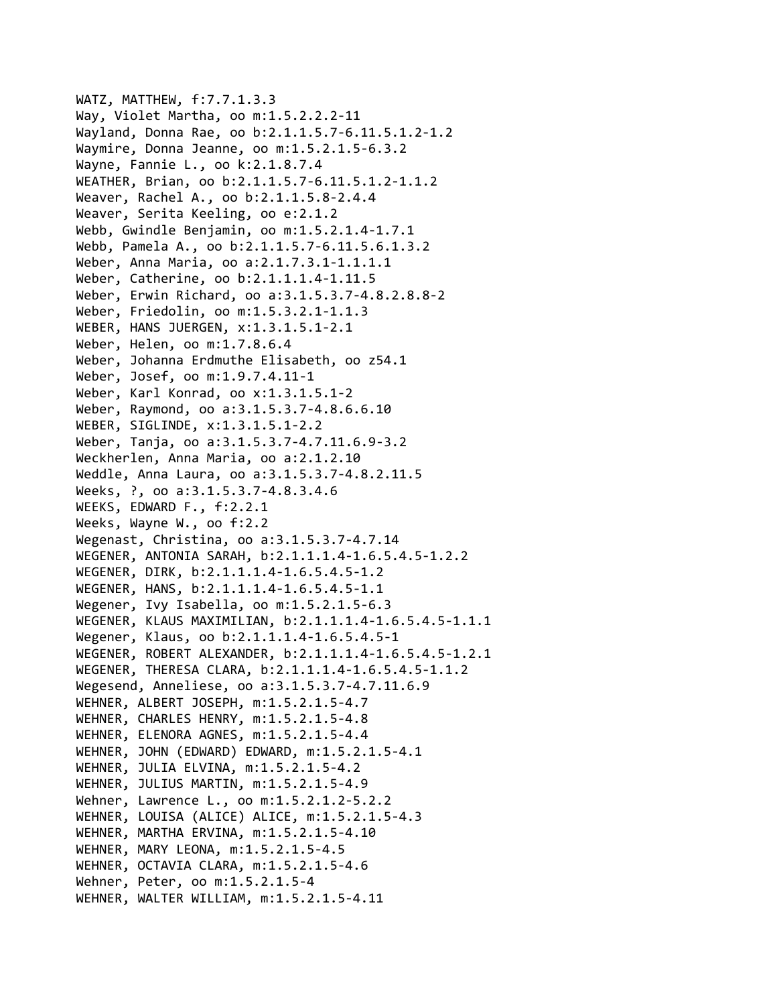WATZ, MATTHEW, f:7.7.1.3.3 Way, Violet Martha, oo m:1.5.2.2.2‐11 Wayland, Donna Rae, oo b:2.1.1.5.7‐6.11.5.1.2‐1.2 Waymire, Donna Jeanne, oo m:1.5.2.1.5‐6.3.2 Wayne, Fannie L., oo k:2.1.8.7.4 WEATHER, Brian, oo b:2.1.1.5.7‐6.11.5.1.2‐1.1.2 Weaver, Rachel A., oo b:2.1.1.5.8‐2.4.4 Weaver, Serita Keeling, oo e:2.1.2 Webb, Gwindle Benjamin, oo m:1.5.2.1.4‐1.7.1 Webb, Pamela A., oo b:2.1.1.5.7‐6.11.5.6.1.3.2 Weber, Anna Maria, oo a:2.1.7.3.1‐1.1.1.1 Weber, Catherine, oo b:2.1.1.1.4‐1.11.5 Weber, Erwin Richard, oo a:3.1.5.3.7‐4.8.2.8.8‐2 Weber, Friedolin, oo m:1.5.3.2.1‐1.1.3 WEBER, HANS JUERGEN, x:1.3.1.5.1‐2.1 Weber, Helen, oo m:1.7.8.6.4 Weber, Johanna Erdmuthe Elisabeth, oo z54.1 Weber, Josef, oo m:1.9.7.4.11‐1 Weber, Karl Konrad, oo x:1.3.1.5.1‐2 Weber, Raymond, oo a:3.1.5.3.7‐4.8.6.6.10 WEBER, SIGLINDE, x:1.3.1.5.1‐2.2 Weber, Tanja, oo a:3.1.5.3.7‐4.7.11.6.9‐3.2 Weckherlen, Anna Maria, oo a:2.1.2.10 Weddle, Anna Laura, oo a:3.1.5.3.7‐4.8.2.11.5 Weeks, ?, oo a:3.1.5.3.7‐4.8.3.4.6 WEEKS, EDWARD F., f:2.2.1 Weeks, Wayne W., oo f:2.2 Wegenast, Christina, oo a:3.1.5.3.7‐4.7.14 WEGENER, ANTONIA SARAH, b:2.1.1.1.4‐1.6.5.4.5‐1.2.2 WEGENER, DIRK, b:2.1.1.1.4‐1.6.5.4.5‐1.2 WEGENER, HANS, b:2.1.1.1.4‐1.6.5.4.5‐1.1 Wegener, Ivy Isabella, oo m:1.5.2.1.5-6.3 WEGENER, KLAUS MAXIMILIAN, b:2.1.1.1.4‐1.6.5.4.5‐1.1.1 Wegener, Klaus, oo b:2.1.1.1.4‐1.6.5.4.5‐1 WEGENER, ROBERT ALEXANDER, b:2.1.1.1.4‐1.6.5.4.5‐1.2.1 WEGENER, THERESA CLARA, b:2.1.1.1.4‐1.6.5.4.5‐1.1.2 Wegesend, Anneliese, oo a:3.1.5.3.7‐4.7.11.6.9 WEHNER, ALBERT JOSEPH, m:1.5.2.1.5‐4.7 WEHNER, CHARLES HENRY, m:1.5.2.1.5‐4.8 WEHNER, ELENORA AGNES, m:1.5.2.1.5‐4.4 WEHNER, JOHN (EDWARD) EDWARD, m:1.5.2.1.5‐4.1 WEHNER, JULIA ELVINA, m:1.5.2.1.5‐4.2 WEHNER, JULIUS MARTIN, m:1.5.2.1.5‐4.9 Wehner, Lawrence L., oo m:1.5.2.1.2‐5.2.2 WEHNER, LOUISA (ALICE) ALICE, m:1.5.2.1.5‐4.3 WEHNER, MARTHA ERVINA, m:1.5.2.1.5‐4.10 WEHNER, MARY LEONA, m:1.5.2.1.5‐4.5 WEHNER, OCTAVIA CLARA, m:1.5.2.1.5‐4.6 Wehner, Peter, oo m:1.5.2.1.5‐4 WEHNER, WALTER WILLIAM, m:1.5.2.1.5‐4.11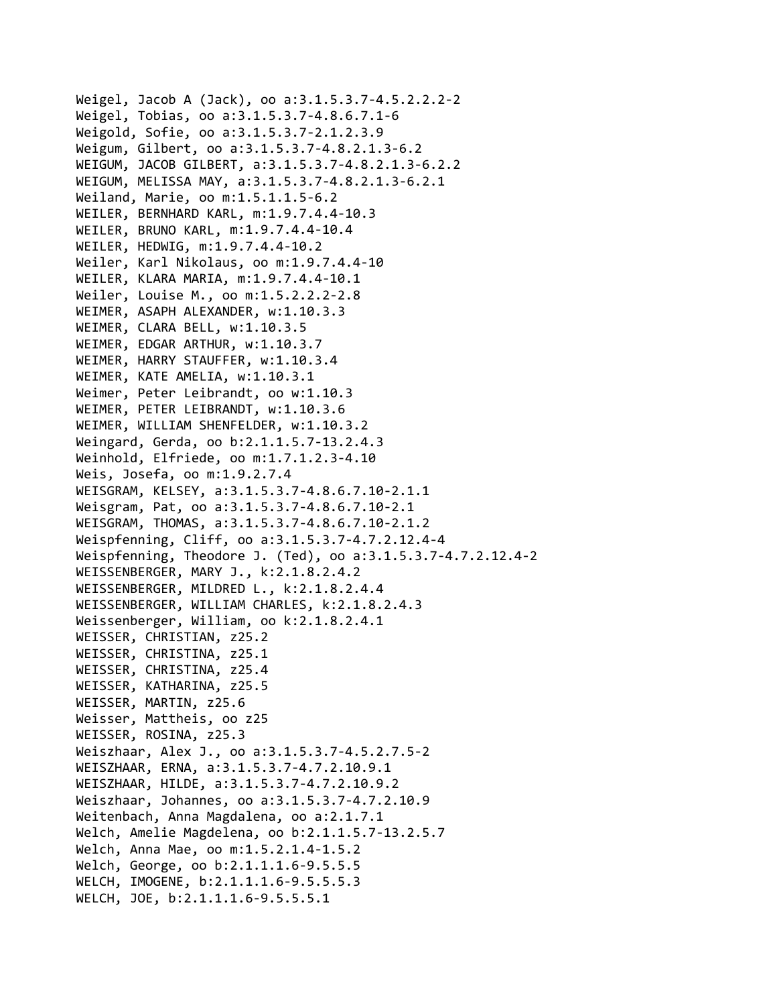Weigel, Jacob A (Jack), oo a:3.1.5.3.7‐4.5.2.2.2‐2 Weigel, Tobias, oo a:3.1.5.3.7‐4.8.6.7.1‐6 Weigold, Sofie, oo a:3.1.5.3.7‐2.1.2.3.9 Weigum, Gilbert, oo a:3.1.5.3.7‐4.8.2.1.3‐6.2 WEIGUM, JACOB GILBERT, a:3.1.5.3.7‐4.8.2.1.3‐6.2.2 WEIGUM, MELISSA MAY, a:3.1.5.3.7‐4.8.2.1.3‐6.2.1 Weiland, Marie, oo m:1.5.1.1.5‐6.2 WEILER, BERNHARD KARL, m:1.9.7.4.4‐10.3 WEILER, BRUNO KARL, m:1.9.7.4.4‐10.4 WEILER, HEDWIG, m:1.9.7.4.4‐10.2 Weiler, Karl Nikolaus, oo m:1.9.7.4.4‐10 WEILER, KLARA MARIA, m:1.9.7.4.4‐10.1 Weiler, Louise M., oo m:1.5.2.2.2‐2.8 WEIMER, ASAPH ALEXANDER, w:1.10.3.3 WEIMER, CLARA BELL, w:1.10.3.5 WEIMER, EDGAR ARTHUR, w:1.10.3.7 WEIMER, HARRY STAUFFER, w:1.10.3.4 WEIMER, KATE AMELIA, w:1.10.3.1 Weimer, Peter Leibrandt, oo w:1.10.3 WEIMER, PETER LEIBRANDT, w:1.10.3.6 WEIMER, WILLIAM SHENFELDER, w:1.10.3.2 Weingard, Gerda, oo b:2.1.1.5.7‐13.2.4.3 Weinhold, Elfriede, oo m:1.7.1.2.3‐4.10 Weis, Josefa, oo m:1.9.2.7.4 WEISGRAM, KELSEY, a:3.1.5.3.7‐4.8.6.7.10‐2.1.1 Weisgram, Pat, oo a:3.1.5.3.7‐4.8.6.7.10‐2.1 WEISGRAM, THOMAS, a:3.1.5.3.7‐4.8.6.7.10‐2.1.2 Weispfenning, Cliff, oo a:3.1.5.3.7‐4.7.2.12.4‐4 Weispfenning, Theodore J. (Ted), oo a:3.1.5.3.7‐4.7.2.12.4‐2 WEISSENBERGER, MARY J., k:2.1.8.2.4.2 WEISSENBERGER, MILDRED L., k:2.1.8.2.4.4 WEISSENBERGER, WILLIAM CHARLES, k:2.1.8.2.4.3 Weissenberger, William, oo k:2.1.8.2.4.1 WEISSER, CHRISTIAN, z25.2 WEISSER, CHRISTINA, z25.1 WEISSER, CHRISTINA, z25.4 WEISSER, KATHARINA, z25.5 WEISSER, MARTIN, z25.6 Weisser, Mattheis, oo z25 WEISSER, ROSINA, z25.3 Weiszhaar, Alex J., oo a:3.1.5.3.7‐4.5.2.7.5‐2 WEISZHAAR, ERNA, a:3.1.5.3.7‐4.7.2.10.9.1 WEISZHAAR, HILDE, a:3.1.5.3.7‐4.7.2.10.9.2 Weiszhaar, Johannes, oo a:3.1.5.3.7‐4.7.2.10.9 Weitenbach, Anna Magdalena, oo a:2.1.7.1 Welch, Amelie Magdelena, oo b:2.1.1.5.7‐13.2.5.7 Welch, Anna Mae, oo m:1.5.2.1.4‐1.5.2 Welch, George, oo b:2.1.1.1.6‐9.5.5.5 WELCH, IMOGENE, b:2.1.1.1.6‐9.5.5.5.3 WELCH, JOE, b:2.1.1.1.6‐9.5.5.5.1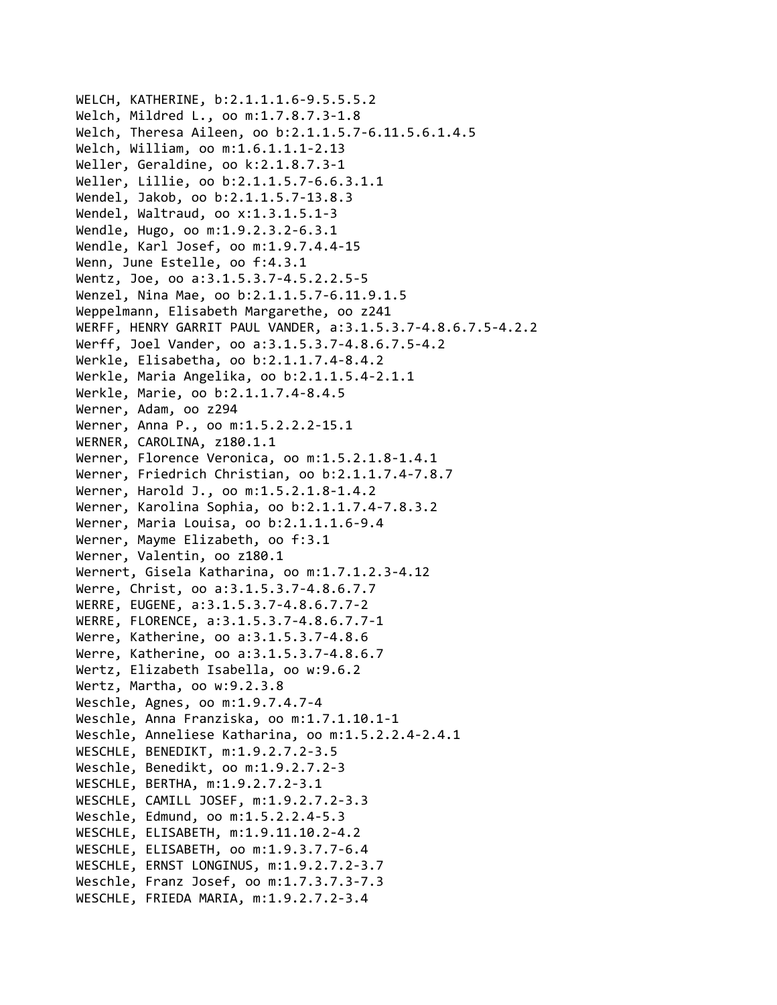WELCH, KATHERINE, b:2.1.1.1.6‐9.5.5.5.2 Welch, Mildred L., oo m:1.7.8.7.3‐1.8 Welch, Theresa Aileen, oo b:2.1.1.5.7‐6.11.5.6.1.4.5 Welch, William, oo m:1.6.1.1.1‐2.13 Weller, Geraldine, oo k:2.1.8.7.3‐1 Weller, Lillie, oo b:2.1.1.5.7‐6.6.3.1.1 Wendel, Jakob, oo b:2.1.1.5.7‐13.8.3 Wendel, Waltraud, oo x:1.3.1.5.1‐3 Wendle, Hugo, oo m:1.9.2.3.2‐6.3.1 Wendle, Karl Josef, oo m:1.9.7.4.4‐15 Wenn, June Estelle, oo f:4.3.1 Wentz, Joe, oo a:3.1.5.3.7‐4.5.2.2.5‐5 Wenzel, Nina Mae, oo b:2.1.1.5.7‐6.11.9.1.5 Weppelmann, Elisabeth Margarethe, oo z241 WERFF, HENRY GARRIT PAUL VANDER, a:3.1.5.3.7‐4.8.6.7.5‐4.2.2 Werff, Joel Vander, oo a:3.1.5.3.7‐4.8.6.7.5‐4.2 Werkle, Elisabetha, oo b:2.1.1.7.4‐8.4.2 Werkle, Maria Angelika, oo b:2.1.1.5.4‐2.1.1 Werkle, Marie, oo b:2.1.1.7.4‐8.4.5 Werner, Adam, oo z294 Werner, Anna P., oo m:1.5.2.2.2‐15.1 WERNER, CAROLINA, z180.1.1 Werner, Florence Veronica, oo m:1.5.2.1.8‐1.4.1 Werner, Friedrich Christian, oo b:2.1.1.7.4‐7.8.7 Werner, Harold J., oo m:1.5.2.1.8‐1.4.2 Werner, Karolina Sophia, oo b:2.1.1.7.4‐7.8.3.2 Werner, Maria Louisa, oo b:2.1.1.1.6‐9.4 Werner, Mayme Elizabeth, oo f:3.1 Werner, Valentin, oo z180.1 Wernert, Gisela Katharina, oo m:1.7.1.2.3‐4.12 Werre, Christ, oo a:3.1.5.3.7‐4.8.6.7.7 WERRE, EUGENE, a:3.1.5.3.7‐4.8.6.7.7‐2 WERRE, FLORENCE, a:3.1.5.3.7‐4.8.6.7.7‐1 Werre, Katherine, oo a:3.1.5.3.7‐4.8.6 Werre, Katherine, oo a:3.1.5.3.7‐4.8.6.7 Wertz, Elizabeth Isabella, oo w:9.6.2 Wertz, Martha, oo w:9.2.3.8 Weschle, Agnes, oo m:1.9.7.4.7‐4 Weschle, Anna Franziska, oo m:1.7.1.10.1‐1 Weschle, Anneliese Katharina, oo m:1.5.2.2.4‐2.4.1 WESCHLE, BENEDIKT, m:1.9.2.7.2‐3.5 Weschle, Benedikt, oo m:1.9.2.7.2‐3 WESCHLE, BERTHA, m:1.9.2.7.2‐3.1 WESCHLE, CAMILL JOSEF, m:1.9.2.7.2‐3.3 Weschle, Edmund, oo m:1.5.2.2.4‐5.3 WESCHLE, ELISABETH, m:1.9.11.10.2‐4.2 WESCHLE, ELISABETH, oo m:1.9.3.7.7‐6.4 WESCHLE, ERNST LONGINUS, m:1.9.2.7.2‐3.7 Weschle, Franz Josef, oo m:1.7.3.7.3‐7.3 WESCHLE, FRIEDA MARIA, m:1.9.2.7.2‐3.4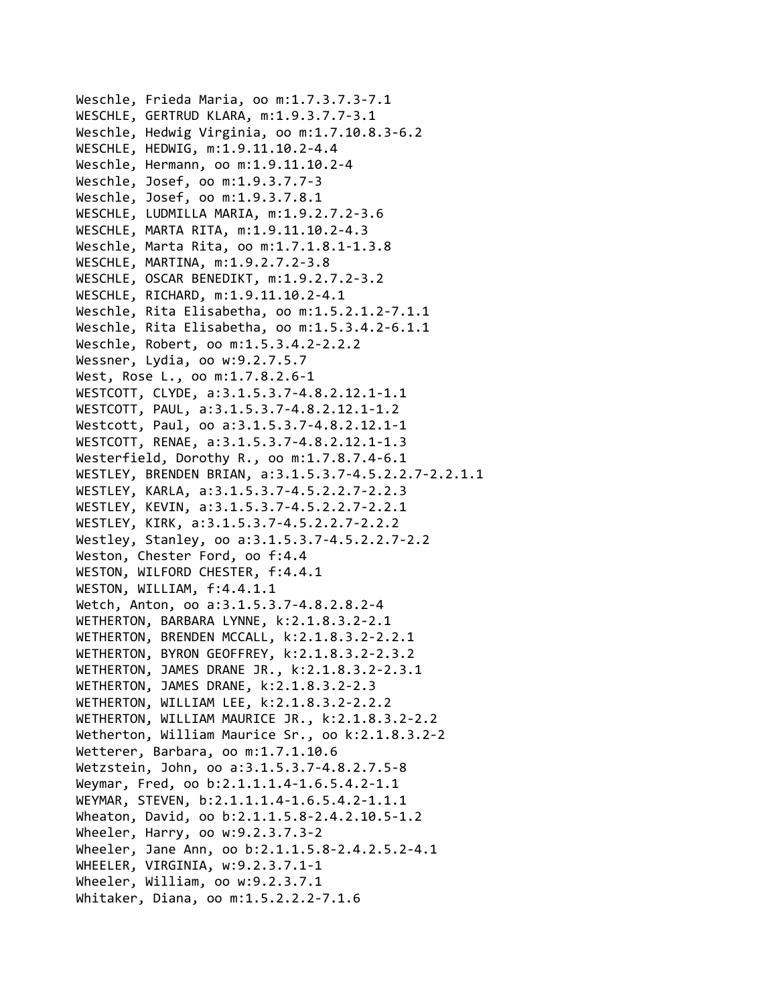Weschle, Frieda Maria, oo m:1.7.3.7.3‐7.1 WESCHLE, GERTRUD KLARA, m:1.9.3.7.7‐3.1 Weschle, Hedwig Virginia, oo m:1.7.10.8.3‐6.2 WESCHLE, HEDWIG, m:1.9.11.10.2‐4.4 Weschle, Hermann, oo m:1.9.11.10.2‐4 Weschle, Josef, oo m:1.9.3.7.7‐3 Weschle, Josef, oo m:1.9.3.7.8.1 WESCHLE, LUDMILLA MARIA, m:1.9.2.7.2‐3.6 WESCHLE, MARTA RITA, m:1.9.11.10.2‐4.3 Weschle, Marta Rita, oo m:1.7.1.8.1‐1.3.8 WESCHLE, MARTINA, m:1.9.2.7.2‐3.8 WESCHLE, OSCAR BENEDIKT, m:1.9.2.7.2‐3.2 WESCHLE, RICHARD, m:1.9.11.10.2‐4.1 Weschle, Rita Elisabetha, oo m:1.5.2.1.2‐7.1.1 Weschle, Rita Elisabetha, oo m:1.5.3.4.2‐6.1.1 Weschle, Robert, oo m:1.5.3.4.2‐2.2.2 Wessner, Lydia, oo w:9.2.7.5.7 West, Rose L., oo m:1.7.8.2.6‐1 WESTCOTT, CLYDE, a:3.1.5.3.7‐4.8.2.12.1‐1.1 WESTCOTT, PAUL, a:3.1.5.3.7‐4.8.2.12.1‐1.2 Westcott, Paul, oo a:3.1.5.3.7‐4.8.2.12.1‐1 WESTCOTT, RENAE, a:3.1.5.3.7‐4.8.2.12.1‐1.3 Westerfield, Dorothy R., oo m:1.7.8.7.4‐6.1 WESTLEY, BRENDEN BRIAN, a:3.1.5.3.7‐4.5.2.2.7‐2.2.1.1 WESTLEY, KARLA, a:3.1.5.3.7‐4.5.2.2.7‐2.2.3 WESTLEY, KEVIN, a:3.1.5.3.7‐4.5.2.2.7‐2.2.1 WESTLEY, KIRK, a:3.1.5.3.7‐4.5.2.2.7‐2.2.2 Westley, Stanley, oo a:3.1.5.3.7‐4.5.2.2.7‐2.2 Weston, Chester Ford, oo f:4.4 WESTON, WILFORD CHESTER, f:4.4.1 WESTON, WILLIAM, f:4.4.1.1 Wetch, Anton, oo a:3.1.5.3.7‐4.8.2.8.2‐4 WETHERTON, BARBARA LYNNE, k:2.1.8.3.2‐2.1 WETHERTON, BRENDEN MCCALL, k:2.1.8.3.2‐2.2.1 WETHERTON, BYRON GEOFFREY, k:2.1.8.3.2‐2.3.2 WETHERTON, JAMES DRANE JR., k:2.1.8.3.2‐2.3.1 WETHERTON, JAMES DRANE, k:2.1.8.3.2‐2.3 WETHERTON, WILLIAM LEE, k:2.1.8.3.2‐2.2.2 WETHERTON, WILLIAM MAURICE JR., k:2.1.8.3.2‐2.2 Wetherton, William Maurice Sr., oo k:2.1.8.3.2‐2 Wetterer, Barbara, oo m:1.7.1.10.6 Wetzstein, John, oo a:3.1.5.3.7‐4.8.2.7.5‐8 Weymar, Fred, oo b:2.1.1.1.4‐1.6.5.4.2‐1.1 WEYMAR, STEVEN, b:2.1.1.1.4‐1.6.5.4.2‐1.1.1 Wheaton, David, oo b:2.1.1.5.8‐2.4.2.10.5‐1.2 Wheeler, Harry, oo w:9.2.3.7.3‐2 Wheeler, Jane Ann, oo b:2.1.1.5.8‐2.4.2.5.2‐4.1 WHEELER, VIRGINIA, w:9.2.3.7.1‐1 Wheeler, William, oo w:9.2.3.7.1 Whitaker, Diana, oo m:1.5.2.2.2‐7.1.6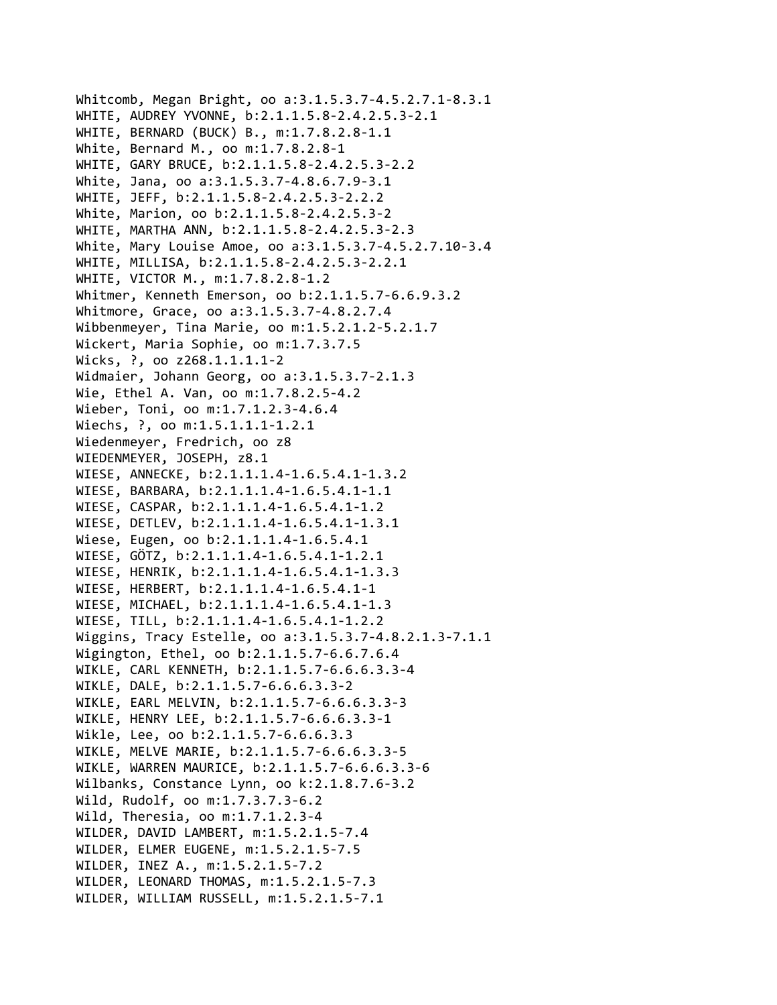```
Whitcomb, Megan Bright, oo a:3.1.5.3.7‐4.5.2.7.1‐8.3.1
WHITE, AUDREY YVONNE, b:2.1.1.5.8‐2.4.2.5.3‐2.1
WHITE, BERNARD (BUCK) B., m:1.7.8.2.8‐1.1
White, Bernard M., oo m:1.7.8.2.8‐1
WHITE, GARY BRUCE, b:2.1.1.5.8‐2.4.2.5.3‐2.2
White, Jana, oo a:3.1.5.3.7‐4.8.6.7.9‐3.1
WHITE, JEFF, b:2.1.1.5.8‐2.4.2.5.3‐2.2.2
White, Marion, oo b:2.1.1.5.8‐2.4.2.5.3‐2
WHITE, MARTHA ANN, b:2.1.1.5.8‐2.4.2.5.3‐2.3
White, Mary Louise Amoe, oo a:3.1.5.3.7‐4.5.2.7.10‐3.4
WHITE, MILLISA, b:2.1.1.5.8‐2.4.2.5.3‐2.2.1
WHITE, VICTOR M., m:1.7.8.2.8‐1.2
Whitmer, Kenneth Emerson, oo b:2.1.1.5.7‐6.6.9.3.2
Whitmore, Grace, oo a:3.1.5.3.7‐4.8.2.7.4
Wibbenmeyer, Tina Marie, oo m:1.5.2.1.2‐5.2.1.7
Wickert, Maria Sophie, oo m:1.7.3.7.5
Wicks, ?, oo z268.1.1.1.1‐2
Widmaier, Johann Georg, oo a:3.1.5.3.7‐2.1.3
Wie, Ethel A. Van, oo m:1.7.8.2.5‐4.2
Wieber, Toni, oo m:1.7.1.2.3‐4.6.4
Wiechs, ?, oo m:1.5.1.1.1-1.2.1
Wiedenmeyer, Fredrich, oo z8
WIEDENMEYER, JOSEPH, z8.1
WIESE, ANNECKE, b:2.1.1.1.4‐1.6.5.4.1‐1.3.2
WIESE, BARBARA, b:2.1.1.1.4‐1.6.5.4.1‐1.1
WIESE, CASPAR, b:2.1.1.1.4‐1.6.5.4.1‐1.2
WIESE, DETLEV, b:2.1.1.1.4‐1.6.5.4.1‐1.3.1
Wiese, Eugen, oo b:2.1.1.1.4‐1.6.5.4.1
WIESE, GÖTZ, b:2.1.1.1.4‐1.6.5.4.1‐1.2.1
WIESE, HENRIK, b:2.1.1.1.4‐1.6.5.4.1‐1.3.3
WIESE, HERBERT, b:2.1.1.1.4‐1.6.5.4.1‐1
WIESE, MICHAEL, b:2.1.1.1.4‐1.6.5.4.1‐1.3
WIESE, TILL, b:2.1.1.1.4‐1.6.5.4.1‐1.2.2
Wiggins, Tracy Estelle, oo a:3.1.5.3.7‐4.8.2.1.3‐7.1.1
Wigington, Ethel, oo b:2.1.1.5.7‐6.6.7.6.4
WIKLE, CARL KENNETH, b:2.1.1.5.7‐6.6.6.3.3‐4
WIKLE, DALE, b:2.1.1.5.7‐6.6.6.3.3‐2
WIKLE, EARL MELVIN, b:2.1.1.5.7‐6.6.6.3.3‐3
WIKLE, HENRY LEE, b:2.1.1.5.7‐6.6.6.3.3‐1
Wikle, Lee, oo b:2.1.1.5.7‐6.6.6.3.3
WIKLE, MELVE MARIE, b:2.1.1.5.7‐6.6.6.3.3‐5
WIKLE, WARREN MAURICE, b:2.1.1.5.7‐6.6.6.3.3‐6
Wilbanks, Constance Lynn, oo k:2.1.8.7.6‐3.2
Wild, Rudolf, oo m:1.7.3.7.3‐6.2
Wild, Theresia, oo m:1.7.1.2.3‐4
WILDER, DAVID LAMBERT, m:1.5.2.1.5‐7.4
WILDER, ELMER EUGENE, m:1.5.2.1.5‐7.5
WILDER, INEZ A., m:1.5.2.1.5‐7.2
WILDER, LEONARD THOMAS, m:1.5.2.1.5‐7.3
WILDER, WILLIAM RUSSELL, m:1.5.2.1.5‐7.1
```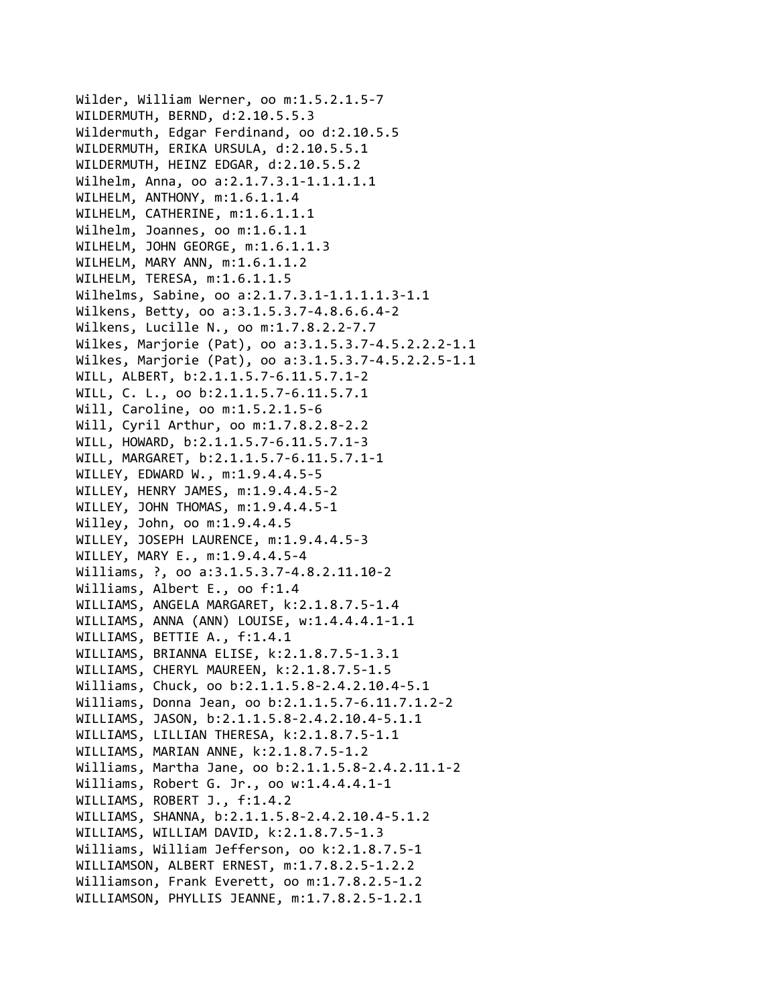Wilder, William Werner, oo m:1.5.2.1.5‐7 WILDERMUTH, BERND, d:2.10.5.5.3 Wildermuth, Edgar Ferdinand, oo d:2.10.5.5 WILDERMUTH, ERIKA URSULA, d:2.10.5.5.1 WILDERMUTH, HEINZ EDGAR, d:2.10.5.5.2 Wilhelm, Anna, oo a:2.1.7.3.1‐1.1.1.1.1 WILHELM, ANTHONY, m:1.6.1.1.4 WILHELM, CATHERINE, m:1.6.1.1.1 Wilhelm, Joannes, oo m:1.6.1.1 WILHELM, JOHN GEORGE, m:1.6.1.1.3 WILHELM, MARY ANN, m:1.6.1.1.2 WILHELM, TERESA, m:1.6.1.1.5 Wilhelms, Sabine, oo a:2.1.7.3.1‐1.1.1.1.3‐1.1 Wilkens, Betty, oo a:3.1.5.3.7‐4.8.6.6.4‐2 Wilkens, Lucille N., oo m:1.7.8.2.2‐7.7 Wilkes, Marjorie (Pat), oo a:3.1.5.3.7‐4.5.2.2.2‐1.1 Wilkes, Marjorie (Pat), oo a:3.1.5.3.7‐4.5.2.2.5‐1.1 WILL, ALBERT, b:2.1.1.5.7‐6.11.5.7.1‐2 WILL, C. L., oo b:2.1.1.5.7‐6.11.5.7.1 Will, Caroline, oo m:1.5.2.1.5‐6 Will, Cyril Arthur, oo m:1.7.8.2.8‐2.2 WILL, HOWARD, b:2.1.1.5.7‐6.11.5.7.1‐3 WILL, MARGARET, b:2.1.1.5.7‐6.11.5.7.1‐1 WILLEY, EDWARD W., m:1.9.4.4.5‐5 WILLEY, HENRY JAMES, m:1.9.4.4.5‐2 WILLEY, JOHN THOMAS, m:1.9.4.4.5‐1 Willey, John, oo m:1.9.4.4.5 WILLEY, JOSEPH LAURENCE, m:1.9.4.4.5‐3 WILLEY, MARY E., m:1.9.4.4.5‐4 Williams, ?, oo a:3.1.5.3.7‐4.8.2.11.10‐2 Williams, Albert E., oo f:1.4 WILLIAMS, ANGELA MARGARET, k:2.1.8.7.5‐1.4 WILLIAMS, ANNA (ANN) LOUISE, w:1.4.4.4.1‐1.1 WILLIAMS, BETTIE A., f:1.4.1 WILLIAMS, BRIANNA ELISE, k:2.1.8.7.5‐1.3.1 WILLIAMS, CHERYL MAUREEN, k:2.1.8.7.5‐1.5 Williams, Chuck, oo b:2.1.1.5.8‐2.4.2.10.4‐5.1 Williams, Donna Jean, oo b:2.1.1.5.7‐6.11.7.1.2‐2 WILLIAMS, JASON, b:2.1.1.5.8‐2.4.2.10.4‐5.1.1 WILLIAMS, LILLIAN THERESA, k:2.1.8.7.5‐1.1 WILLIAMS, MARIAN ANNE, k:2.1.8.7.5‐1.2 Williams, Martha Jane, oo b:2.1.1.5.8‐2.4.2.11.1‐2 Williams, Robert G. Jr., oo w:1.4.4.4.1‐1 WILLIAMS, ROBERT J., f:1.4.2 WILLIAMS, SHANNA, b:2.1.1.5.8‐2.4.2.10.4‐5.1.2 WILLIAMS, WILLIAM DAVID, k:2.1.8.7.5‐1.3 Williams, William Jefferson, oo k:2.1.8.7.5‐1 WILLIAMSON, ALBERT ERNEST, m:1.7.8.2.5‐1.2.2 Williamson, Frank Everett, oo m:1.7.8.2.5‐1.2 WILLIAMSON, PHYLLIS JEANNE, m:1.7.8.2.5‐1.2.1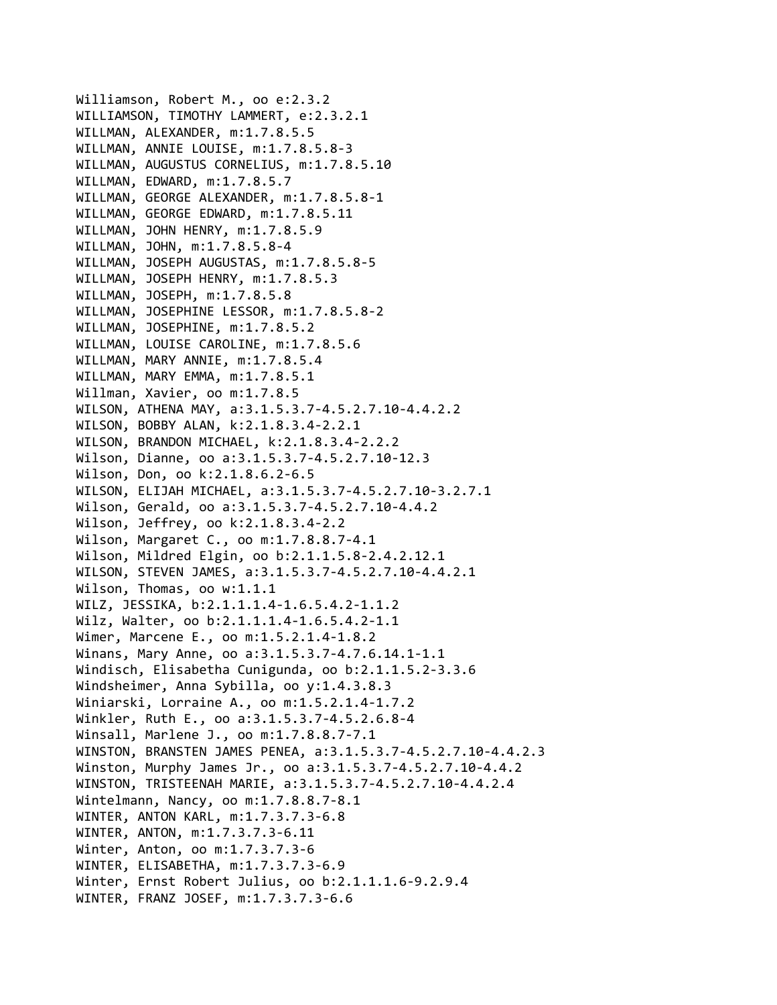Williamson, Robert M., oo e:2.3.2 WILLIAMSON, TIMOTHY LAMMERT, e:2.3.2.1 WILLMAN, ALEXANDER, m:1.7.8.5.5 WILLMAN, ANNIE LOUISE, m:1.7.8.5.8‐3 WILLMAN, AUGUSTUS CORNELIUS, m:1.7.8.5.10 WILLMAN, EDWARD, m:1.7.8.5.7 WILLMAN, GEORGE ALEXANDER, m:1.7.8.5.8‐1 WILLMAN, GEORGE EDWARD, m:1.7.8.5.11 WILLMAN, JOHN HENRY, m:1.7.8.5.9 WILLMAN, JOHN, m:1.7.8.5.8‐4 WILLMAN, JOSEPH AUGUSTAS, m:1.7.8.5.8‐5 WILLMAN, JOSEPH HENRY, m:1.7.8.5.3 WILLMAN, JOSEPH, m:1.7.8.5.8 WILLMAN, JOSEPHINE LESSOR, m:1.7.8.5.8‐2 WILLMAN, JOSEPHINE, m:1.7.8.5.2 WILLMAN, LOUISE CAROLINE, m:1.7.8.5.6 WILLMAN, MARY ANNIE, m:1.7.8.5.4 WILLMAN, MARY EMMA, m:1.7.8.5.1 Willman, Xavier, oo m:1.7.8.5 WILSON, ATHENA MAY, a:3.1.5.3.7‐4.5.2.7.10‐4.4.2.2 WILSON, BOBBY ALAN, k:2.1.8.3.4‐2.2.1 WILSON, BRANDON MICHAEL, k:2.1.8.3.4‐2.2.2 Wilson, Dianne, oo a:3.1.5.3.7‐4.5.2.7.10‐12.3 Wilson, Don, oo k:2.1.8.6.2‐6.5 WILSON, ELIJAH MICHAEL, a:3.1.5.3.7‐4.5.2.7.10‐3.2.7.1 Wilson, Gerald, oo a:3.1.5.3.7‐4.5.2.7.10‐4.4.2 Wilson, Jeffrey, oo k:2.1.8.3.4‐2.2 Wilson, Margaret C., oo m:1.7.8.8.7‐4.1 Wilson, Mildred Elgin, oo b:2.1.1.5.8‐2.4.2.12.1 WILSON, STEVEN JAMES, a:3.1.5.3.7‐4.5.2.7.10‐4.4.2.1 Wilson, Thomas, oo w:1.1.1 WILZ, JESSIKA, b:2.1.1.1.4‐1.6.5.4.2‐1.1.2 Wilz, Walter, oo b:2.1.1.1.4‐1.6.5.4.2‐1.1 Wimer, Marcene E., oo m:1.5.2.1.4‐1.8.2 Winans, Mary Anne, oo a:3.1.5.3.7‐4.7.6.14.1‐1.1 Windisch, Elisabetha Cunigunda, oo b:2.1.1.5.2‐3.3.6 Windsheimer, Anna Sybilla, oo y:1.4.3.8.3 Winiarski, Lorraine A., oo m:1.5.2.1.4‐1.7.2 Winkler, Ruth E., oo a:3.1.5.3.7‐4.5.2.6.8‐4 Winsall, Marlene J., oo m:1.7.8.8.7‐7.1 WINSTON, BRANSTEN JAMES PENEA, a:3.1.5.3.7‐4.5.2.7.10‐4.4.2.3 Winston, Murphy James Jr., oo a:3.1.5.3.7‐4.5.2.7.10‐4.4.2 WINSTON, TRISTEENAH MARIE, a:3.1.5.3.7‐4.5.2.7.10‐4.4.2.4 Wintelmann, Nancy, oo m:1.7.8.8.7‐8.1 WINTER, ANTON KARL, m:1.7.3.7.3‐6.8 WINTER, ANTON, m:1.7.3.7.3‐6.11 Winter, Anton, oo m:1.7.3.7.3‐6 WINTER, ELISABETHA, m:1.7.3.7.3‐6.9 Winter, Ernst Robert Julius, oo b:2.1.1.1.6‐9.2.9.4 WINTER, FRANZ JOSEF, m:1.7.3.7.3‐6.6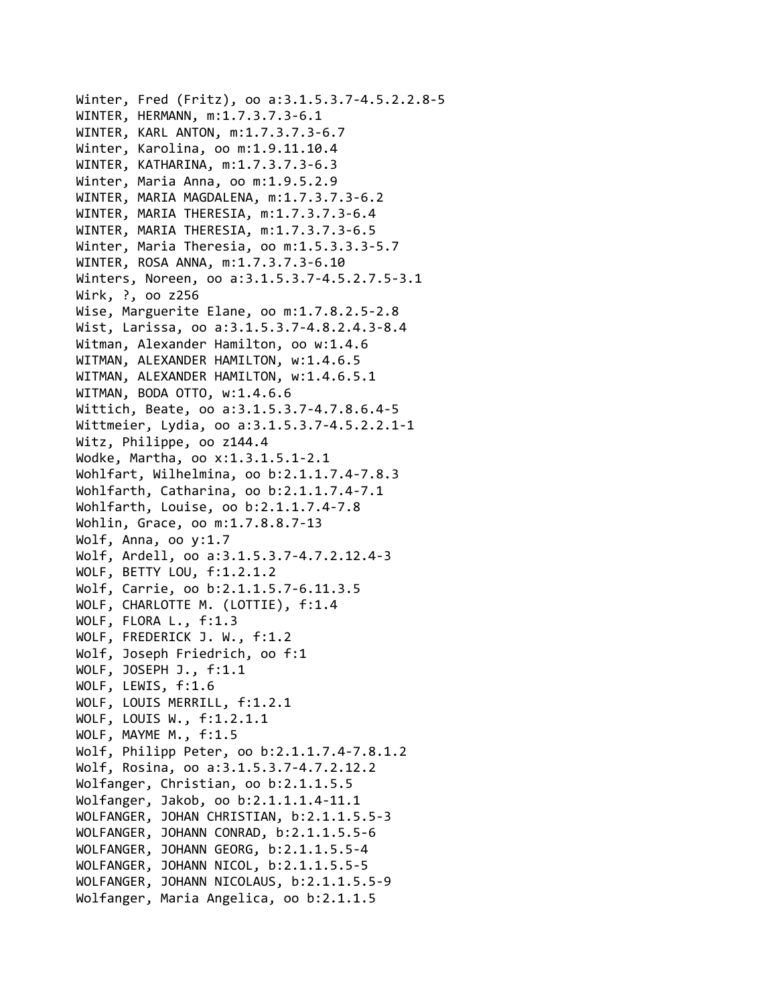Winter, Fred (Fritz), oo a:3.1.5.3.7‐4.5.2.2.8‐5 WINTER, HERMANN, m:1.7.3.7.3‐6.1 WINTER, KARL ANTON, m:1.7.3.7.3‐6.7 Winter, Karolina, oo m:1.9.11.10.4 WINTER, KATHARINA, m:1.7.3.7.3‐6.3 Winter, Maria Anna, oo m:1.9.5.2.9 WINTER, MARIA MAGDALENA, m:1.7.3.7.3‐6.2 WINTER, MARIA THERESIA, m:1.7.3.7.3‐6.4 WINTER, MARIA THERESIA, m:1.7.3.7.3‐6.5 Winter, Maria Theresia, oo m:1.5.3.3.3‐5.7 WINTER, ROSA ANNA, m:1.7.3.7.3‐6.10 Winters, Noreen, oo a:3.1.5.3.7‐4.5.2.7.5‐3.1 Wirk, ?, oo z256 Wise, Marguerite Elane, oo m:1.7.8.2.5‐2.8 Wist, Larissa, oo a:3.1.5.3.7‐4.8.2.4.3‐8.4 Witman, Alexander Hamilton, oo w:1.4.6 WITMAN, ALEXANDER HAMILTON, w:1.4.6.5 WITMAN, ALEXANDER HAMILTON, w:1.4.6.5.1 WITMAN, BODA OTTO, w:1.4.6.6 Wittich, Beate, oo a:3.1.5.3.7‐4.7.8.6.4‐5 Wittmeier, Lydia, oo a:3.1.5.3.7‐4.5.2.2.1‐1 Witz, Philippe, oo z144.4 Wodke, Martha, oo x:1.3.1.5.1‐2.1 Wohlfart, Wilhelmina, oo b:2.1.1.7.4‐7.8.3 Wohlfarth, Catharina, oo b:2.1.1.7.4‐7.1 Wohlfarth, Louise, oo b:2.1.1.7.4‐7.8 Wohlin, Grace, oo m:1.7.8.8.7‐13 Wolf, Anna, oo y:1.7 Wolf, Ardell, oo a:3.1.5.3.7‐4.7.2.12.4‐3 WOLF, BETTY LOU, f:1.2.1.2 Wolf, Carrie, oo b:2.1.1.5.7‐6.11.3.5 WOLF, CHARLOTTE M. (LOTTIE), f:1.4 WOLF, FLORA L., f:1.3 WOLF, FREDERICK J. W., f:1.2 Wolf, Joseph Friedrich, oo f:1 WOLF, JOSEPH J., f:1.1 WOLF, LEWIS, f:1.6 WOLF, LOUIS MERRILL, f:1.2.1 WOLF, LOUIS W., f:1.2.1.1 WOLF, MAYME M., f:1.5 Wolf, Philipp Peter, oo b:2.1.1.7.4‐7.8.1.2 Wolf, Rosina, oo a:3.1.5.3.7‐4.7.2.12.2 Wolfanger, Christian, oo b:2.1.1.5.5 Wolfanger, Jakob, oo b:2.1.1.1.4‐11.1 WOLFANGER, JOHAN CHRISTIAN, b:2.1.1.5.5‐3 WOLFANGER, JOHANN CONRAD, b:2.1.1.5.5‐6 WOLFANGER, JOHANN GEORG, b:2.1.1.5.5‐4 WOLFANGER, JOHANN NICOL, b:2.1.1.5.5‐5 WOLFANGER, JOHANN NICOLAUS, b:2.1.1.5.5‐9 Wolfanger, Maria Angelica, oo b:2.1.1.5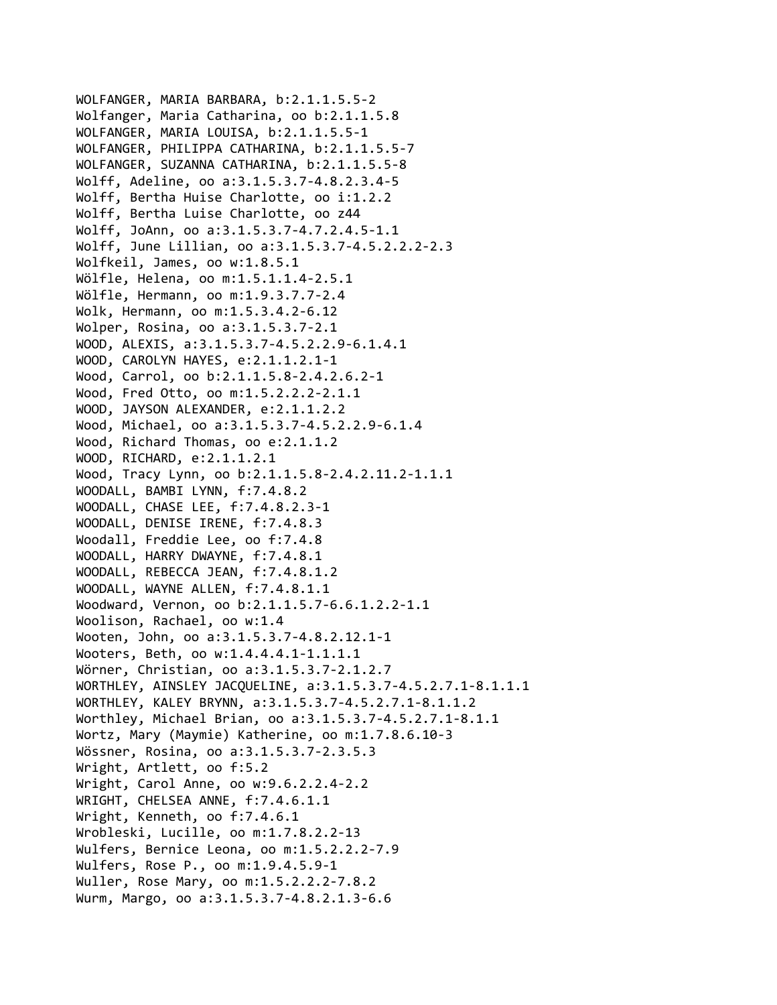```
WOLFANGER, MARIA BARBARA, b:2.1.1.5.5‐2
Wolfanger, Maria Catharina, oo b:2.1.1.5.8
WOLFANGER, MARIA LOUISA, b:2.1.1.5.5‐1
WOLFANGER, PHILIPPA CATHARINA, b:2.1.1.5.5‐7
WOLFANGER, SUZANNA CATHARINA, b:2.1.1.5.5‐8
Wolff, Adeline, oo a:3.1.5.3.7‐4.8.2.3.4‐5
Wolff, Bertha Huise Charlotte, oo i:1.2.2
Wolff, Bertha Luise Charlotte, oo z44
Wolff, JoAnn, oo a:3.1.5.3.7‐4.7.2.4.5‐1.1
Wolff, June Lillian, oo a:3.1.5.3.7‐4.5.2.2.2‐2.3
Wolfkeil, James, oo w:1.8.5.1
Wölfle, Helena, oo m:1.5.1.1.4‐2.5.1
Wölfle, Hermann, oo m:1.9.3.7.7‐2.4
Wolk, Hermann, oo m:1.5.3.4.2‐6.12
Wolper, Rosina, oo a:3.1.5.3.7‐2.1
WOOD, ALEXIS, a:3.1.5.3.7‐4.5.2.2.9‐6.1.4.1
WOOD, CAROLYN HAYES, e:2.1.1.2.1‐1
Wood, Carrol, oo b:2.1.1.5.8‐2.4.2.6.2‐1
Wood, Fred Otto, oo m:1.5.2.2.2‐2.1.1
WOOD, JAYSON ALEXANDER, e:2.1.1.2.2
Wood, Michael, oo a:3.1.5.3.7‐4.5.2.2.9‐6.1.4
Wood, Richard Thomas, oo e:2.1.1.2
WOOD, RICHARD, e:2.1.1.2.1
Wood, Tracy Lynn, oo b:2.1.1.5.8‐2.4.2.11.2‐1.1.1
WOODALL, BAMBI LYNN, f:7.4.8.2
WOODALL, CHASE LEE, f:7.4.8.2.3‐1
WOODALL, DENISE IRENE, f:7.4.8.3
Woodall, Freddie Lee, oo f:7.4.8
WOODALL, HARRY DWAYNE, f:7.4.8.1
WOODALL, REBECCA JEAN, f:7.4.8.1.2
WOODALL, WAYNE ALLEN, f:7.4.8.1.1
Woodward, Vernon, oo b:2.1.1.5.7‐6.6.1.2.2‐1.1
Woolison, Rachael, oo w:1.4
Wooten, John, oo a:3.1.5.3.7‐4.8.2.12.1‐1
Wooters, Beth, oo w:1.4.4.4.1‐1.1.1.1
Wörner, Christian, oo a:3.1.5.3.7‐2.1.2.7
WORTHLEY, AINSLEY JACQUELINE, a:3.1.5.3.7‐4.5.2.7.1‐8.1.1.1
WORTHLEY, KALEY BRYNN, a:3.1.5.3.7‐4.5.2.7.1‐8.1.1.2
Worthley, Michael Brian, oo a:3.1.5.3.7‐4.5.2.7.1‐8.1.1
Wortz, Mary (Maymie) Katherine, oo m:1.7.8.6.10‐3
Wössner, Rosina, oo a:3.1.5.3.7‐2.3.5.3
Wright, Artlett, oo f:5.2
Wright, Carol Anne, oo w:9.6.2.2.4‐2.2
WRIGHT, CHELSEA ANNE, f:7.4.6.1.1
Wright, Kenneth, oo f:7.4.6.1
Wrobleski, Lucille, oo m:1.7.8.2.2‐13
Wulfers, Bernice Leona, oo m:1.5.2.2.2‐7.9
Wulfers, Rose P., oo m:1.9.4.5.9‐1
Wuller, Rose Mary, oo m:1.5.2.2.2‐7.8.2
Wurm, Margo, oo a:3.1.5.3.7‐4.8.2.1.3‐6.6
```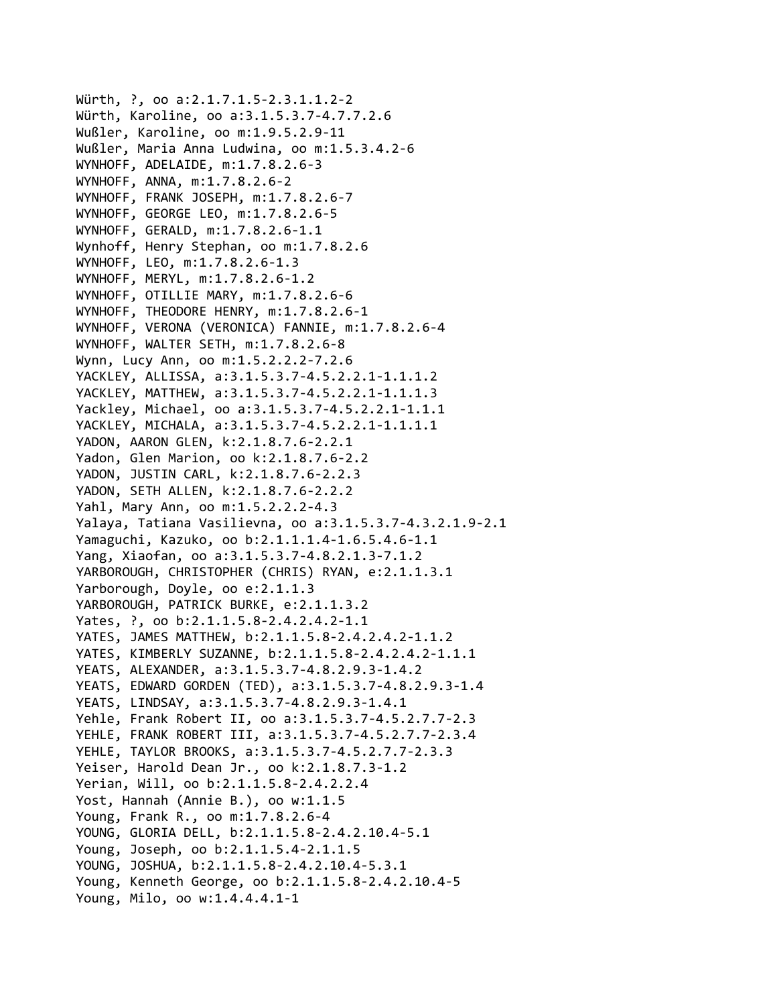```
Würth, ?, oo a:2.1.7.1.5-2.3.1.1.2-2
Würth, Karoline, oo a:3.1.5.3.7‐4.7.7.2.6
Wußler, Karoline, oo m:1.9.5.2.9‐11
Wußler, Maria Anna Ludwina, oo m:1.5.3.4.2‐6
WYNHOFF, ADELAIDE, m:1.7.8.2.6‐3
WYNHOFF, ANNA, m:1.7.8.2.6‐2
WYNHOFF, FRANK JOSEPH, m:1.7.8.2.6‐7
WYNHOFF, GEORGE LEO, m:1.7.8.2.6‐5
WYNHOFF, GERALD, m:1.7.8.2.6‐1.1
Wynhoff, Henry Stephan, oo m:1.7.8.2.6
WYNHOFF, LEO, m:1.7.8.2.6‐1.3
WYNHOFF, MERYL, m:1.7.8.2.6‐1.2
WYNHOFF, OTILLIE MARY, m:1.7.8.2.6‐6
WYNHOFF, THEODORE HENRY, m:1.7.8.2.6‐1
WYNHOFF, VERONA (VERONICA) FANNIE, m:1.7.8.2.6‐4
WYNHOFF, WALTER SETH, m:1.7.8.2.6‐8
Wynn, Lucy Ann, oo m:1.5.2.2.2‐7.2.6
YACKLEY, ALLISSA, a:3.1.5.3.7‐4.5.2.2.1‐1.1.1.2
YACKLEY, MATTHEW, a:3.1.5.3.7‐4.5.2.2.1‐1.1.1.3
Yackley, Michael, oo a:3.1.5.3.7‐4.5.2.2.1‐1.1.1
YACKLEY, MICHALA, a:3.1.5.3.7‐4.5.2.2.1‐1.1.1.1
YADON, AARON GLEN, k:2.1.8.7.6‐2.2.1
Yadon, Glen Marion, oo k:2.1.8.7.6‐2.2
YADON, JUSTIN CARL, k:2.1.8.7.6‐2.2.3
YADON, SETH ALLEN, k:2.1.8.7.6‐2.2.2
Yahl, Mary Ann, oo m:1.5.2.2.2‐4.3
Yalaya, Tatiana Vasilievna, oo a:3.1.5.3.7‐4.3.2.1.9‐2.1
Yamaguchi, Kazuko, oo b:2.1.1.1.4‐1.6.5.4.6‐1.1
Yang, Xiaofan, oo a:3.1.5.3.7‐4.8.2.1.3‐7.1.2
YARBOROUGH, CHRISTOPHER (CHRIS) RYAN, e:2.1.1.3.1
Yarborough, Doyle, oo e:2.1.1.3
YARBOROUGH, PATRICK BURKE, e:2.1.1.3.2
Yates, ?, oo b:2.1.1.5.8‐2.4.2.4.2‐1.1
YATES, JAMES MATTHEW, b:2.1.1.5.8‐2.4.2.4.2‐1.1.2
YATES, KIMBERLY SUZANNE, b:2.1.1.5.8‐2.4.2.4.2‐1.1.1
YEATS, ALEXANDER, a:3.1.5.3.7‐4.8.2.9.3‐1.4.2
YEATS, EDWARD GORDEN (TED), a:3.1.5.3.7‐4.8.2.9.3‐1.4
YEATS, LINDSAY, a:3.1.5.3.7‐4.8.2.9.3‐1.4.1
Yehle, Frank Robert II, oo a:3.1.5.3.7‐4.5.2.7.7‐2.3
YEHLE, FRANK ROBERT III, a:3.1.5.3.7‐4.5.2.7.7‐2.3.4
YEHLE, TAYLOR BROOKS, a:3.1.5.3.7‐4.5.2.7.7‐2.3.3
Yeiser, Harold Dean Jr., oo k:2.1.8.7.3‐1.2
Yerian, Will, oo b:2.1.1.5.8‐2.4.2.2.4
Yost, Hannah (Annie B.), oo w:1.1.5
Young, Frank R., oo m:1.7.8.2.6‐4
YOUNG, GLORIA DELL, b:2.1.1.5.8‐2.4.2.10.4‐5.1
Young, Joseph, oo b:2.1.1.5.4‐2.1.1.5
YOUNG, JOSHUA, b:2.1.1.5.8‐2.4.2.10.4‐5.3.1
Young, Kenneth George, oo b:2.1.1.5.8‐2.4.2.10.4‐5
Young, Milo, oo w:1.4.4.4.1‐1
```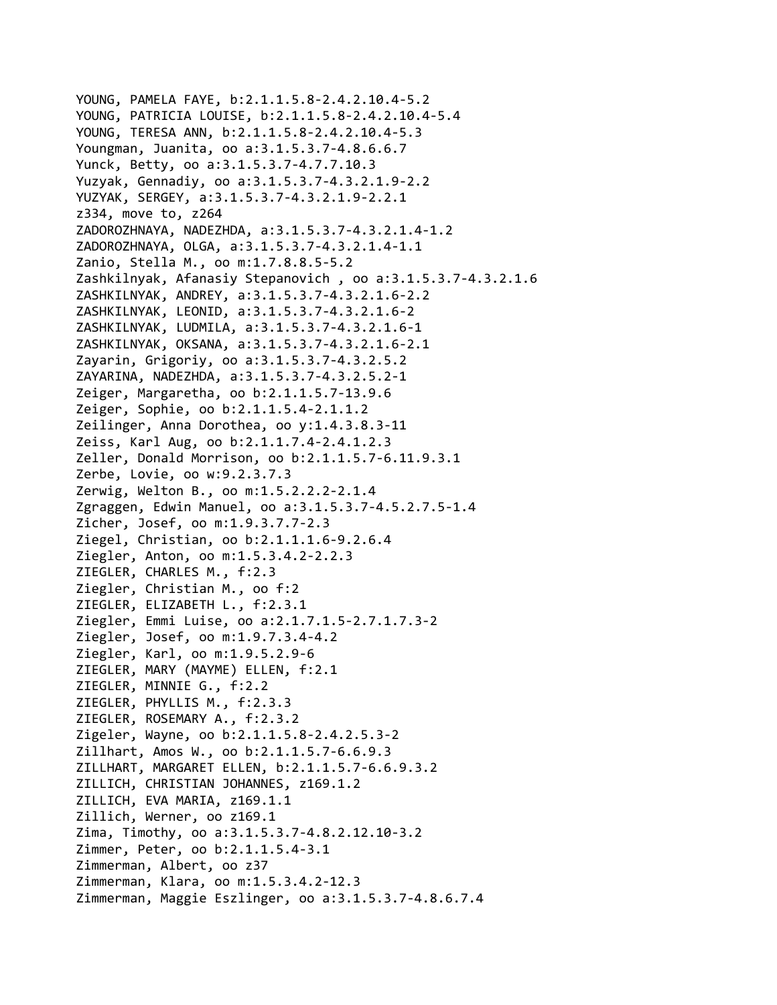```
YOUNG, PAMELA FAYE, b:2.1.1.5.8‐2.4.2.10.4‐5.2
YOUNG, PATRICIA LOUISE, b:2.1.1.5.8‐2.4.2.10.4‐5.4
YOUNG, TERESA ANN, b:2.1.1.5.8‐2.4.2.10.4‐5.3
Youngman, Juanita, oo a:3.1.5.3.7‐4.8.6.6.7
Yunck, Betty, oo a:3.1.5.3.7‐4.7.7.10.3
Yuzyak, Gennadiy, oo a:3.1.5.3.7‐4.3.2.1.9‐2.2
YUZYAK, SERGEY, a:3.1.5.3.7‐4.3.2.1.9‐2.2.1
z334, move to, z264
ZADOROZHNAYA, NADEZHDA, a:3.1.5.3.7‐4.3.2.1.4‐1.2
ZADOROZHNAYA, OLGA, a:3.1.5.3.7‐4.3.2.1.4‐1.1
Zanio, Stella M., oo m:1.7.8.8.5‐5.2
Zashkilnyak, Afanasiy Stepanovich , oo a:3.1.5.3.7‐4.3.2.1.6
ZASHKILNYAK, ANDREY, a:3.1.5.3.7‐4.3.2.1.6‐2.2
ZASHKILNYAK, LEONID, a:3.1.5.3.7‐4.3.2.1.6‐2
ZASHKILNYAK, LUDMILA, a:3.1.5.3.7‐4.3.2.1.6‐1
ZASHKILNYAK, OKSANA, a:3.1.5.3.7‐4.3.2.1.6‐2.1
Zayarin, Grigoriy, oo a:3.1.5.3.7‐4.3.2.5.2
ZAYARINA, NADEZHDA, a:3.1.5.3.7‐4.3.2.5.2‐1
Zeiger, Margaretha, oo b:2.1.1.5.7‐13.9.6
Zeiger, Sophie, oo b:2.1.1.5.4‐2.1.1.2
Zeilinger, Anna Dorothea, oo y:1.4.3.8.3‐11
Zeiss, Karl Aug, oo b:2.1.1.7.4‐2.4.1.2.3
Zeller, Donald Morrison, oo b:2.1.1.5.7‐6.11.9.3.1
Zerbe, Lovie, oo w:9.2.3.7.3
Zerwig, Welton B., oo m:1.5.2.2.2‐2.1.4
Zgraggen, Edwin Manuel, oo a:3.1.5.3.7‐4.5.2.7.5‐1.4
Zicher, Josef, oo m:1.9.3.7.7‐2.3
Ziegel, Christian, oo b:2.1.1.1.6‐9.2.6.4
Ziegler, Anton, oo m:1.5.3.4.2‐2.2.3
ZIEGLER, CHARLES M., f:2.3
Ziegler, Christian M., oo f:2
ZIEGLER, ELIZABETH L., f:2.3.1
Ziegler, Emmi Luise, oo a:2.1.7.1.5‐2.7.1.7.3‐2
Ziegler, Josef, oo m:1.9.7.3.4‐4.2
Ziegler, Karl, oo m:1.9.5.2.9‐6
ZIEGLER, MARY (MAYME) ELLEN, f:2.1
ZIEGLER, MINNIE G., f:2.2
ZIEGLER, PHYLLIS M., f:2.3.3
ZIEGLER, ROSEMARY A., f:2.3.2
Zigeler, Wayne, oo b:2.1.1.5.8‐2.4.2.5.3‐2
Zillhart, Amos W., oo b:2.1.1.5.7‐6.6.9.3
ZILLHART, MARGARET ELLEN, b:2.1.1.5.7‐6.6.9.3.2
ZILLICH, CHRISTIAN JOHANNES, z169.1.2
ZILLICH, EVA MARIA, z169.1.1
Zillich, Werner, oo z169.1
Zima, Timothy, oo a:3.1.5.3.7‐4.8.2.12.10‐3.2
Zimmer, Peter, oo b:2.1.1.5.4‐3.1
Zimmerman, Albert, oo z37
Zimmerman, Klara, oo m:1.5.3.4.2‐12.3
Zimmerman, Maggie Eszlinger, oo a:3.1.5.3.7‐4.8.6.7.4
```